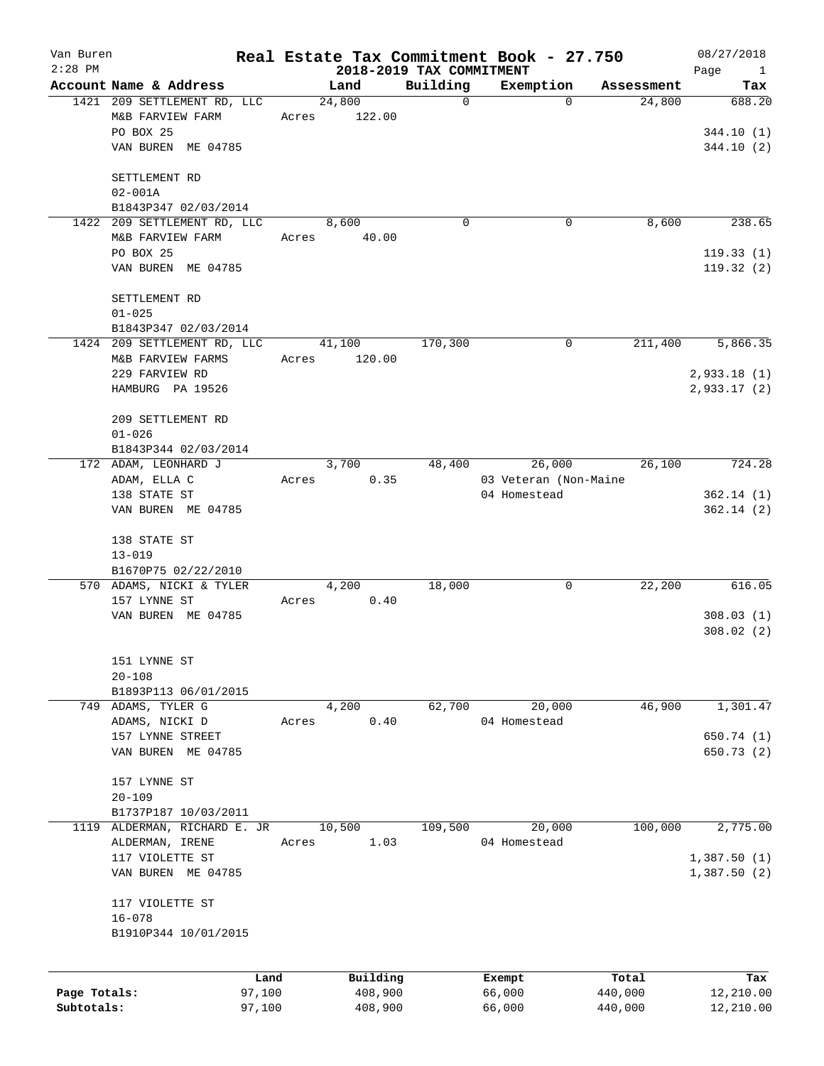| Van Buren<br>$2:28$ PM |                             |       | 2018-2019 TAX COMMITMENT |          | Real Estate Tax Commitment Book - 27.750 |            | 08/27/2018<br>Page<br>$\mathbf{1}$ |
|------------------------|-----------------------------|-------|--------------------------|----------|------------------------------------------|------------|------------------------------------|
|                        | Account Name & Address      |       | Land                     | Building | Exemption                                | Assessment | Tax                                |
|                        | 1421 209 SETTLEMENT RD, LLC |       | 24,800                   | 0        | $\Omega$                                 | 24,800     | 688.20                             |
|                        |                             |       |                          |          |                                          |            |                                    |
|                        | M&B FARVIEW FARM            | Acres | 122.00                   |          |                                          |            |                                    |
|                        | PO BOX 25                   |       |                          |          |                                          |            | 344.10(1)                          |
|                        | VAN BUREN ME 04785          |       |                          |          |                                          |            | 344.10(2)                          |
|                        | SETTLEMENT RD               |       |                          |          |                                          |            |                                    |
|                        | $02 - 001A$                 |       |                          |          |                                          |            |                                    |
|                        | B1843P347 02/03/2014        |       |                          |          |                                          |            |                                    |
|                        | 1422 209 SETTLEMENT RD, LLC |       | 8,600                    | $\Omega$ | 0                                        | 8,600      | 238.65                             |
|                        | M&B FARVIEW FARM            | Acres | 40.00                    |          |                                          |            |                                    |
|                        | PO BOX 25                   |       |                          |          |                                          |            | 119.33(1)                          |
|                        | VAN BUREN ME 04785          |       |                          |          |                                          |            | 119.32(2)                          |
|                        | SETTLEMENT RD               |       |                          |          |                                          |            |                                    |
|                        | $01 - 025$                  |       |                          |          |                                          |            |                                    |
|                        | B1843P347 02/03/2014        |       |                          |          |                                          |            |                                    |
|                        | 1424 209 SETTLEMENT RD, LLC |       | 41,100                   | 170,300  | 0                                        | 211,400    | 5,866.35                           |
|                        | M&B FARVIEW FARMS           | Acres | 120.00                   |          |                                          |            |                                    |
|                        | 229 FARVIEW RD              |       |                          |          |                                          |            | 2,933.18(1)                        |
|                        | HAMBURG PA 19526            |       |                          |          |                                          |            | 2,933.17(2)                        |
|                        |                             |       |                          |          |                                          |            |                                    |
|                        | 209 SETTLEMENT RD           |       |                          |          |                                          |            |                                    |
|                        | $01 - 026$                  |       |                          |          |                                          |            |                                    |
|                        | B1843P344 02/03/2014        |       |                          |          |                                          |            |                                    |
|                        | 172 ADAM, LEONHARD J        |       | 3,700                    | 48,400   | 26,000                                   | 26,100     | 724.28                             |
|                        | ADAM, ELLA C                | Acres | 0.35                     |          | 03 Veteran (Non-Maine                    |            |                                    |
|                        | 138 STATE ST                |       |                          |          | 04 Homestead                             |            | 362.14(1)                          |
|                        | VAN BUREN ME 04785          |       |                          |          |                                          |            | 362.14(2)                          |
|                        | 138 STATE ST                |       |                          |          |                                          |            |                                    |
|                        | $13 - 019$                  |       |                          |          |                                          |            |                                    |
|                        | B1670P75 02/22/2010         |       |                          |          |                                          |            |                                    |
|                        | 570 ADAMS, NICKI & TYLER    |       | 4,200                    | 18,000   | 0                                        | 22,200     | 616.05                             |
|                        | 157 LYNNE ST                | Acres | 0.40                     |          |                                          |            |                                    |
|                        | VAN BUREN ME 04785          |       |                          |          |                                          |            | 308.03(1)                          |
|                        |                             |       |                          |          |                                          |            | 308.02(2)                          |
|                        | 151 LYNNE ST                |       |                          |          |                                          |            |                                    |
|                        | $20 - 108$                  |       |                          |          |                                          |            |                                    |
|                        | B1893P113 06/01/2015        |       |                          |          |                                          |            |                                    |
|                        | 749 ADAMS, TYLER G          |       | 4,200                    | 62,700   | 20,000                                   | 46,900     | 1,301.47                           |
|                        | ADAMS, NICKI D              | Acres | 0.40                     |          | 04 Homestead                             |            |                                    |
|                        | 157 LYNNE STREET            |       |                          |          |                                          |            | 650.74 (1)                         |
|                        | VAN BUREN ME 04785          |       |                          |          |                                          |            | 650.73 (2)                         |
|                        |                             |       |                          |          |                                          |            |                                    |
|                        | 157 LYNNE ST                |       |                          |          |                                          |            |                                    |
|                        | $20 - 109$                  |       |                          |          |                                          |            |                                    |
|                        | B1737P187 10/03/2011        |       |                          |          |                                          |            |                                    |
| 1119                   | ALDERMAN, RICHARD E. JR     |       | 10,500                   | 109,500  | 20,000                                   | 100,000    | 2,775.00                           |
|                        | ALDERMAN, IRENE             | Acres | 1.03                     |          | 04 Homestead                             |            |                                    |
|                        | 117 VIOLETTE ST             |       |                          |          |                                          |            | 1,387.50(1)                        |
|                        | VAN BUREN ME 04785          |       |                          |          |                                          |            | 1,387.50(2)                        |
|                        |                             |       |                          |          |                                          |            |                                    |
|                        | 117 VIOLETTE ST             |       |                          |          |                                          |            |                                    |
|                        | $16 - 078$                  |       |                          |          |                                          |            |                                    |
|                        | B1910P344 10/01/2015        |       |                          |          |                                          |            |                                    |
|                        | Land                        |       | Building                 |          | Exempt                                   | Total      | Tax                                |
| Page Totals:           | 97,100                      |       | 408,900                  |          | 66,000                                   | 440,000    | 12,210.00                          |
| Subtotals:             | 97,100                      |       | 408,900                  |          | 66,000                                   | 440,000    | 12,210.00                          |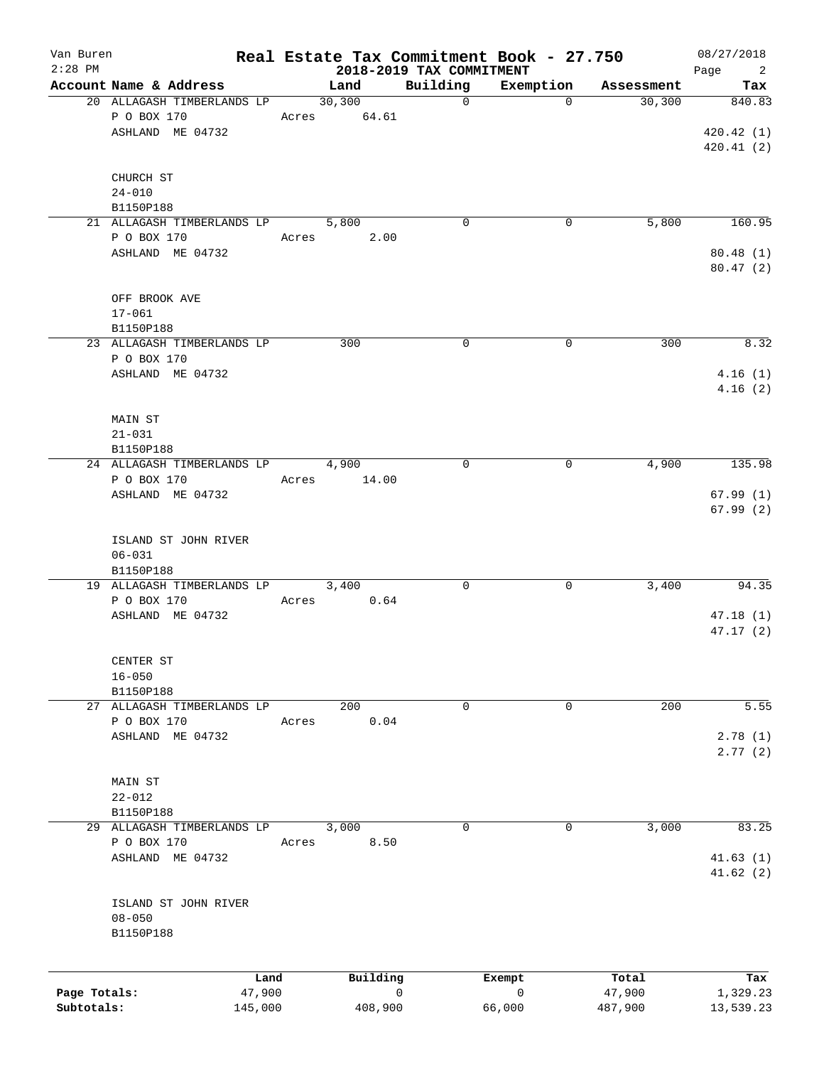| Van Buren<br>$2:28$ PM |                            |       |          |                                      | Real Estate Tax Commitment Book - 27.750 |            | 08/27/2018                                |
|------------------------|----------------------------|-------|----------|--------------------------------------|------------------------------------------|------------|-------------------------------------------|
|                        | Account Name & Address     |       | Land     | 2018-2019 TAX COMMITMENT<br>Building | Exemption                                | Assessment | Page<br>$\overline{\phantom{a}}^2$<br>Tax |
|                        | 20 ALLAGASH TIMBERLANDS LP |       | 30, 300  | $\mathbf 0$                          | $\mathbf 0$                              | 30, 300    | 840.83                                    |
|                        | P O BOX 170                | Acres | 64.61    |                                      |                                          |            |                                           |
|                        | ASHLAND ME 04732           |       |          |                                      |                                          |            | 420.42 (1)                                |
|                        |                            |       |          |                                      |                                          |            | 420.41(2)                                 |
|                        | CHURCH ST                  |       |          |                                      |                                          |            |                                           |
|                        | $24 - 010$                 |       |          |                                      |                                          |            |                                           |
|                        | B1150P188                  |       |          |                                      |                                          |            |                                           |
|                        | 21 ALLAGASH TIMBERLANDS LP |       | 5,800    | 0                                    | 0                                        | 5,800      | 160.95                                    |
|                        | P O BOX 170                |       | 2.00     |                                      |                                          |            |                                           |
|                        | ASHLAND ME 04732           | Acres |          |                                      |                                          |            | 80.48(1)                                  |
|                        |                            |       |          |                                      |                                          |            | 80.47(2)                                  |
|                        | OFF BROOK AVE              |       |          |                                      |                                          |            |                                           |
|                        | $17 - 061$                 |       |          |                                      |                                          |            |                                           |
|                        | B1150P188                  |       |          |                                      |                                          |            |                                           |
|                        | 23 ALLAGASH TIMBERLANDS LP |       | 300      | $\mathbf 0$                          | 0                                        | 300        | 8.32                                      |
|                        | P O BOX 170                |       |          |                                      |                                          |            |                                           |
|                        | ASHLAND ME 04732           |       |          |                                      |                                          |            | 4.16(1)                                   |
|                        |                            |       |          |                                      |                                          |            | 4.16(2)                                   |
|                        | MAIN ST                    |       |          |                                      |                                          |            |                                           |
|                        | $21 - 031$                 |       |          |                                      |                                          |            |                                           |
|                        | B1150P188                  |       |          |                                      |                                          |            |                                           |
|                        | 24 ALLAGASH TIMBERLANDS LP |       | 4,900    | 0                                    | 0                                        | 4,900      | 135.98                                    |
|                        | P O BOX 170                | Acres | 14.00    |                                      |                                          |            |                                           |
|                        | ASHLAND ME 04732           |       |          |                                      |                                          |            | 67.99(1)                                  |
|                        |                            |       |          |                                      |                                          |            | 67.99(2)                                  |
|                        | ISLAND ST JOHN RIVER       |       |          |                                      |                                          |            |                                           |
|                        | $06 - 031$                 |       |          |                                      |                                          |            |                                           |
|                        | B1150P188                  |       |          |                                      |                                          |            |                                           |
|                        | 19 ALLAGASH TIMBERLANDS LP |       | 3,400    | 0                                    | 0                                        | 3,400      | 94.35                                     |
|                        | P O BOX 170                | Acres | 0.64     |                                      |                                          |            |                                           |
|                        | ASHLAND ME 04732           |       |          |                                      |                                          |            | 47.18(1)                                  |
|                        |                            |       |          |                                      |                                          |            | 47.17(2)                                  |
|                        | CENTER ST                  |       |          |                                      |                                          |            |                                           |
|                        | $16 - 050$                 |       |          |                                      |                                          |            |                                           |
|                        | B1150P188                  |       |          |                                      |                                          |            |                                           |
|                        | 27 ALLAGASH TIMBERLANDS LP |       | 200      | $\mathsf{O}$                         | 0                                        | 200        | 5.55                                      |
|                        | P O BOX 170                | Acres | 0.04     |                                      |                                          |            |                                           |
|                        | ASHLAND ME 04732           |       |          |                                      |                                          |            | 2.78(1)                                   |
|                        |                            |       |          |                                      |                                          |            | 2.77(2)                                   |
|                        | MAIN ST                    |       |          |                                      |                                          |            |                                           |
|                        | $22 - 012$                 |       |          |                                      |                                          |            |                                           |
|                        | B1150P188                  |       |          |                                      |                                          |            |                                           |
|                        | 29 ALLAGASH TIMBERLANDS LP |       | 3,000    | 0                                    | 0                                        | 3,000      | 83.25                                     |
|                        | P O BOX 170                | Acres | 8.50     |                                      |                                          |            |                                           |
|                        | ASHLAND ME 04732           |       |          |                                      |                                          |            | 41.63(1)                                  |
|                        |                            |       |          |                                      |                                          |            | 41.62(2)                                  |
|                        | ISLAND ST JOHN RIVER       |       |          |                                      |                                          |            |                                           |
|                        | $08 - 050$                 |       |          |                                      |                                          |            |                                           |
|                        | B1150P188                  |       |          |                                      |                                          |            |                                           |
|                        |                            |       |          |                                      |                                          |            |                                           |
|                        | Land                       |       | Building |                                      | Exempt                                   | Total      | Tax                                       |
| Page Totals:           | 47,900                     |       |          | 0                                    | 0                                        | 47,900     | 1,329.23                                  |
| Subtotals:             | 145,000                    |       | 408,900  |                                      | 66,000                                   | 487,900    | 13,539.23                                 |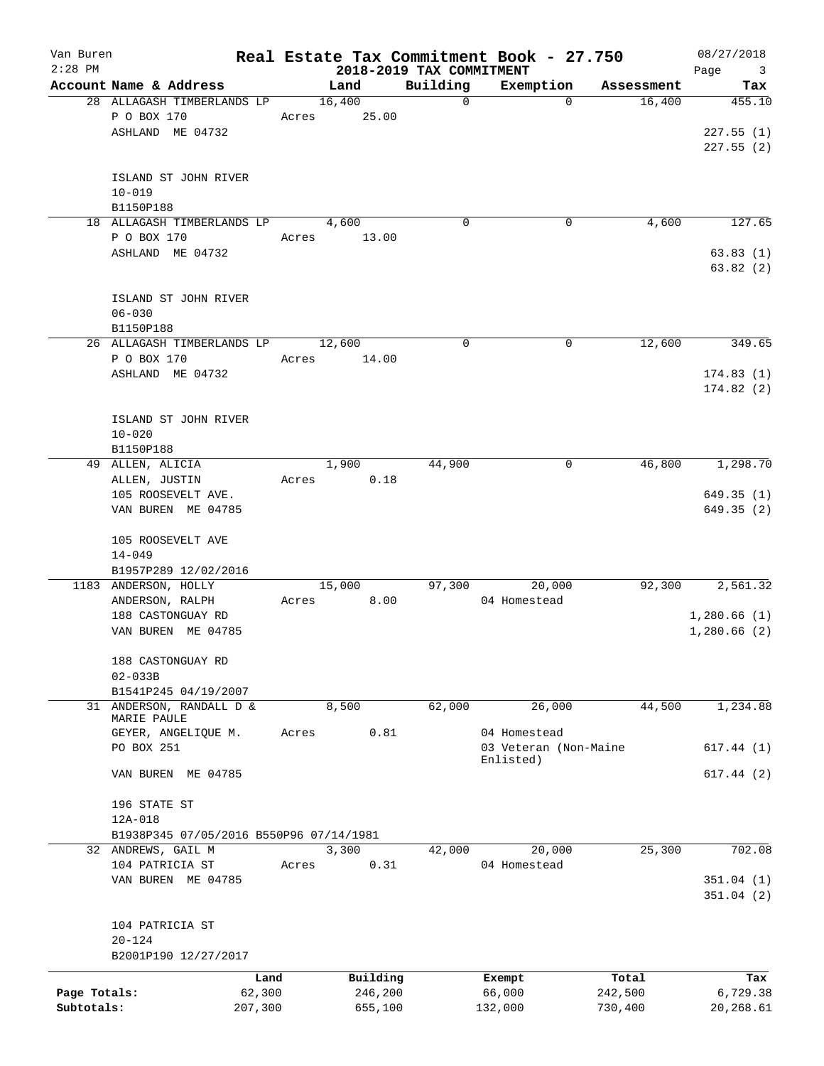| Van Buren<br>$2:28$ PM |                                              |         |        |          | 2018-2019 TAX COMMITMENT | Real Estate Tax Commitment Book - 27.750 |            | 08/27/2018<br>Page<br>$\overline{\mathbf{3}}$ |
|------------------------|----------------------------------------------|---------|--------|----------|--------------------------|------------------------------------------|------------|-----------------------------------------------|
|                        | Account Name & Address                       |         | Land   |          | Building                 | Exemption                                | Assessment | Tax                                           |
|                        | 28 ALLAGASH TIMBERLANDS LP                   |         | 16,400 |          | $\mathbf 0$              | $\Omega$                                 | 16,400     | 455.10                                        |
|                        | P O BOX 170                                  | Acres   |        | 25.00    |                          |                                          |            |                                               |
|                        | ASHLAND ME 04732                             |         |        |          |                          |                                          |            | 227.55(1)                                     |
|                        |                                              |         |        |          |                          |                                          |            | 227.55(2)                                     |
|                        |                                              |         |        |          |                          |                                          |            |                                               |
|                        | ISLAND ST JOHN RIVER                         |         |        |          |                          |                                          |            |                                               |
|                        | $10 - 019$                                   |         |        |          |                          |                                          |            |                                               |
|                        | B1150P188                                    |         |        |          |                          |                                          |            |                                               |
|                        | 18 ALLAGASH TIMBERLANDS LP                   |         | 4,600  |          | $\mathbf 0$              | 0                                        | 4,600      | 127.65                                        |
|                        | P O BOX 170                                  |         | Acres  | 13.00    |                          |                                          |            |                                               |
|                        | ASHLAND ME 04732                             |         |        |          |                          |                                          |            | 63.83(1)                                      |
|                        |                                              |         |        |          |                          |                                          |            | 63.82(2)                                      |
|                        | ISLAND ST JOHN RIVER                         |         |        |          |                          |                                          |            |                                               |
|                        |                                              |         |        |          |                          |                                          |            |                                               |
|                        | $06 - 030$                                   |         |        |          |                          |                                          |            |                                               |
|                        | B1150P188<br>26 ALLAGASH TIMBERLANDS LP      |         |        |          | 0                        | 0                                        | 12,600     | 349.65                                        |
|                        | P O BOX 170                                  |         | 12,600 |          |                          |                                          |            |                                               |
|                        |                                              | Acres   |        | 14.00    |                          |                                          |            |                                               |
|                        | ASHLAND ME 04732                             |         |        |          |                          |                                          |            | 174.83(1)                                     |
|                        |                                              |         |        |          |                          |                                          |            | 174.82(2)                                     |
|                        |                                              |         |        |          |                          |                                          |            |                                               |
|                        | ISLAND ST JOHN RIVER                         |         |        |          |                          |                                          |            |                                               |
|                        | $10 - 020$                                   |         |        |          |                          |                                          |            |                                               |
|                        | B1150P188                                    |         |        |          |                          |                                          |            |                                               |
|                        | 49 ALLEN, ALICIA                             |         | 1,900  |          | 44,900                   | 0                                        | 46,800     | 1,298.70                                      |
|                        | ALLEN, JUSTIN                                | Acres   |        | 0.18     |                          |                                          |            |                                               |
|                        | 105 ROOSEVELT AVE.                           |         |        |          |                          |                                          |            | 649.35(1)                                     |
|                        | VAN BUREN ME 04785                           |         |        |          |                          |                                          |            | 649.35 (2)                                    |
|                        |                                              |         |        |          |                          |                                          |            |                                               |
|                        | 105 ROOSEVELT AVE                            |         |        |          |                          |                                          |            |                                               |
|                        | $14 - 049$                                   |         |        |          |                          |                                          |            |                                               |
|                        | B1957P289 12/02/2016<br>1183 ANDERSON, HOLLY |         | 15,000 |          | 97,300                   | 20,000                                   | 92,300     | 2,561.32                                      |
|                        | ANDERSON, RALPH                              | Acres   |        | 8.00     |                          | 04 Homestead                             |            |                                               |
|                        | 188 CASTONGUAY RD                            |         |        |          |                          |                                          |            | 1,280.66(1)                                   |
|                        | VAN BUREN ME 04785                           |         |        |          |                          |                                          |            | 1,280.66(2)                                   |
|                        |                                              |         |        |          |                          |                                          |            |                                               |
|                        | 188 CASTONGUAY RD                            |         |        |          |                          |                                          |            |                                               |
|                        | $02 - 033B$                                  |         |        |          |                          |                                          |            |                                               |
|                        | B1541P245 04/19/2007                         |         |        |          |                          |                                          |            |                                               |
| 31                     | ANDERSON, RANDALL D &                        |         | 8,500  |          | 62,000                   | 26,000                                   | 44,500     | 1,234.88                                      |
|                        | MARIE PAULE                                  |         |        |          |                          |                                          |            |                                               |
|                        | GEYER, ANGELIQUE M.                          | Acres   |        | 0.81     |                          | 04 Homestead                             |            |                                               |
|                        | PO BOX 251                                   |         |        |          |                          | 03 Veteran (Non-Maine                    |            | 617.44(1)                                     |
|                        |                                              |         |        |          |                          | Enlisted)                                |            |                                               |
|                        | VAN BUREN ME 04785                           |         |        |          |                          |                                          |            | 617.44 (2)                                    |
|                        |                                              |         |        |          |                          |                                          |            |                                               |
|                        | 196 STATE ST                                 |         |        |          |                          |                                          |            |                                               |
|                        | $12A-018$                                    |         |        |          |                          |                                          |            |                                               |
|                        | B1938P345 07/05/2016 B550P96 07/14/1981      |         |        |          |                          |                                          |            |                                               |
|                        | 32 ANDREWS, GAIL M                           |         | 3,300  |          | 42,000                   | 20,000                                   | 25,300     | 702.08                                        |
|                        | 104 PATRICIA ST                              | Acres   |        | 0.31     |                          | 04 Homestead                             |            |                                               |
|                        | VAN BUREN ME 04785                           |         |        |          |                          |                                          |            | 351.04(1)                                     |
|                        |                                              |         |        |          |                          |                                          |            | 351.04(2)                                     |
|                        |                                              |         |        |          |                          |                                          |            |                                               |
|                        | 104 PATRICIA ST                              |         |        |          |                          |                                          |            |                                               |
|                        | $20 - 124$                                   |         |        |          |                          |                                          |            |                                               |
|                        | B2001P190 12/27/2017                         |         |        |          |                          |                                          |            |                                               |
|                        |                                              | Land    |        | Building |                          | Exempt                                   | Total      | Tax                                           |
| Page Totals:           |                                              | 62,300  |        | 246,200  |                          | 66,000                                   | 242,500    | 6,729.38                                      |
| Subtotals:             |                                              | 207,300 |        | 655,100  |                          | 132,000                                  | 730,400    | 20,268.61                                     |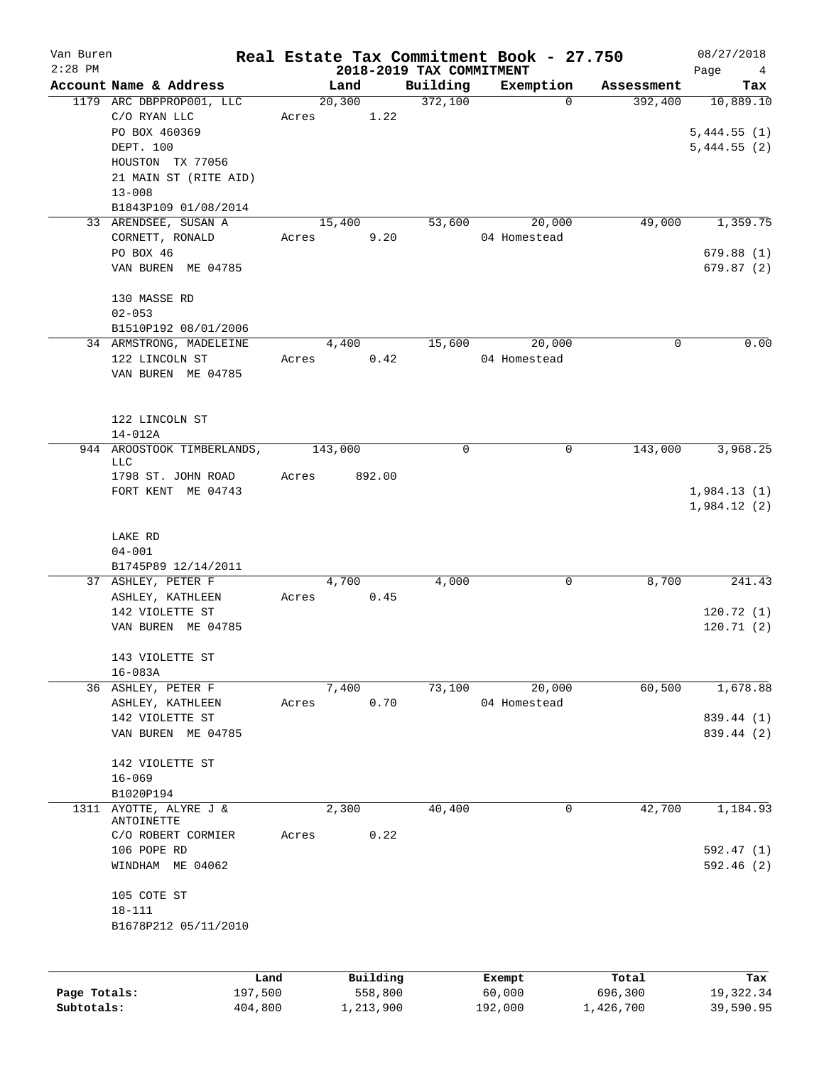| Van Buren<br>$2:28$ PM |                                           |         |       |         |           | 2018-2019 TAX COMMITMENT | Real Estate Tax Commitment Book - 27.750 |            | 08/27/2018<br>Page<br>$\overline{4}$ |
|------------------------|-------------------------------------------|---------|-------|---------|-----------|--------------------------|------------------------------------------|------------|--------------------------------------|
|                        | Account Name & Address                    |         |       | Land    |           | Building                 | Exemption                                | Assessment | Tax                                  |
|                        | 1179 ARC DBPPROP001, LLC                  |         |       | 20, 300 |           | 372,100                  | $\Omega$                                 | 392,400    | 10,889.10                            |
|                        | C/O RYAN LLC                              |         | Acres |         | 1.22      |                          |                                          |            |                                      |
|                        | PO BOX 460369                             |         |       |         |           |                          |                                          |            | 5,444.55(1)                          |
|                        | DEPT. 100                                 |         |       |         |           |                          |                                          |            | 5,444.55(2)                          |
|                        | HOUSTON TX 77056                          |         |       |         |           |                          |                                          |            |                                      |
|                        | 21 MAIN ST (RITE AID)                     |         |       |         |           |                          |                                          |            |                                      |
|                        | $13 - 008$                                |         |       |         |           |                          |                                          |            |                                      |
|                        | B1843P109 01/08/2014                      |         |       |         |           |                          |                                          |            |                                      |
|                        | 33 ARENDSEE, SUSAN A                      |         |       | 15,400  |           | 53,600                   | 20,000                                   | 49,000     | 1,359.75                             |
|                        | CORNETT, RONALD                           |         | Acres |         | 9.20      |                          | 04 Homestead                             |            |                                      |
|                        | PO BOX 46                                 |         |       |         |           |                          |                                          |            | 679.88(1)                            |
|                        | VAN BUREN ME 04785                        |         |       |         |           |                          |                                          |            | 679.87(2)                            |
|                        |                                           |         |       |         |           |                          |                                          |            |                                      |
|                        | 130 MASSE RD                              |         |       |         |           |                          |                                          |            |                                      |
|                        | $02 - 053$                                |         |       |         |           |                          |                                          |            |                                      |
|                        |                                           |         |       |         |           |                          |                                          |            |                                      |
|                        | B1510P192 08/01/2006                      |         |       |         |           |                          |                                          |            | 0.00                                 |
|                        | 34 ARMSTRONG, MADELEINE                   |         |       | 4,400   |           | 15,600                   | 20,000                                   | 0          |                                      |
|                        | 122 LINCOLN ST                            |         | Acres |         | 0.42      |                          | 04 Homestead                             |            |                                      |
|                        | VAN BUREN ME 04785                        |         |       |         |           |                          |                                          |            |                                      |
|                        |                                           |         |       |         |           |                          |                                          |            |                                      |
|                        |                                           |         |       |         |           |                          |                                          |            |                                      |
|                        | 122 LINCOLN ST                            |         |       |         |           |                          |                                          |            |                                      |
|                        | $14 - 012A$                               |         |       |         |           |                          |                                          |            |                                      |
|                        | 944 AROOSTOOK TIMBERLANDS,<br>LLC         |         |       | 143,000 |           | 0                        | 0                                        | 143,000    | 3,968.25                             |
|                        | 1798 ST. JOHN ROAD                        |         | Acres |         | 892.00    |                          |                                          |            |                                      |
|                        | FORT KENT ME 04743                        |         |       |         |           |                          |                                          |            | 1,984.13(1)                          |
|                        |                                           |         |       |         |           |                          |                                          |            | 1,984.12(2)                          |
|                        |                                           |         |       |         |           |                          |                                          |            |                                      |
|                        | LAKE RD                                   |         |       |         |           |                          |                                          |            |                                      |
|                        | $04 - 001$                                |         |       |         |           |                          |                                          |            |                                      |
|                        |                                           |         |       |         |           |                          |                                          |            |                                      |
|                        | B1745P89 12/14/2011<br>37 ASHLEY, PETER F |         |       | 4,700   |           | 4,000                    | 0                                        | 8,700      | 241.43                               |
|                        | ASHLEY, KATHLEEN                          |         | Acres |         | 0.45      |                          |                                          |            |                                      |
|                        | 142 VIOLETTE ST                           |         |       |         |           |                          |                                          |            | 120.72(1)                            |
|                        | VAN BUREN ME 04785                        |         |       |         |           |                          |                                          |            |                                      |
|                        |                                           |         |       |         |           |                          |                                          |            | 120.71(2)                            |
|                        | 143 VIOLETTE ST                           |         |       |         |           |                          |                                          |            |                                      |
|                        | $16 - 083A$                               |         |       |         |           |                          |                                          |            |                                      |
|                        | 36 ASHLEY, PETER F                        |         |       | 7,400   |           | 73,100                   | 20,000                                   | 60,500     | 1,678.88                             |
|                        |                                           |         |       |         | 0.70      |                          | 04 Homestead                             |            |                                      |
|                        | ASHLEY, KATHLEEN                          |         | Acres |         |           |                          |                                          |            |                                      |
|                        | 142 VIOLETTE ST<br>VAN BUREN ME 04785     |         |       |         |           |                          |                                          |            | 839.44 (1)                           |
|                        |                                           |         |       |         |           |                          |                                          |            | 839.44 (2)                           |
|                        |                                           |         |       |         |           |                          |                                          |            |                                      |
|                        | 142 VIOLETTE ST                           |         |       |         |           |                          |                                          |            |                                      |
|                        | $16 - 069$                                |         |       |         |           |                          |                                          |            |                                      |
|                        | B1020P194                                 |         |       |         |           |                          |                                          |            |                                      |
| 1311                   | AYOTTE, ALYRE J &<br>ANTOINETTE           |         |       | 2,300   |           | 40,400                   | 0                                        | 42,700     | 1,184.93                             |
|                        | C/O ROBERT CORMIER                        |         | Acres |         | 0.22      |                          |                                          |            |                                      |
|                        | 106 POPE RD                               |         |       |         |           |                          |                                          |            | 592.47(1)                            |
|                        | WINDHAM ME 04062                          |         |       |         |           |                          |                                          |            | 592.46 (2)                           |
|                        |                                           |         |       |         |           |                          |                                          |            |                                      |
|                        | 105 COTE ST                               |         |       |         |           |                          |                                          |            |                                      |
|                        | $18 - 111$                                |         |       |         |           |                          |                                          |            |                                      |
|                        | B1678P212 05/11/2010                      |         |       |         |           |                          |                                          |            |                                      |
|                        |                                           |         |       |         |           |                          |                                          |            |                                      |
|                        |                                           |         |       |         |           |                          |                                          |            |                                      |
|                        |                                           | Land    |       |         | Building  |                          | Exempt                                   | Total      | Tax                                  |
| Page Totals:           |                                           | 197,500 |       |         | 558,800   |                          | 60,000                                   | 696,300    | 19, 322.34                           |
| Subtotals:             |                                           | 404,800 |       |         | 1,213,900 |                          | 192,000                                  | 1,426,700  | 39,590.95                            |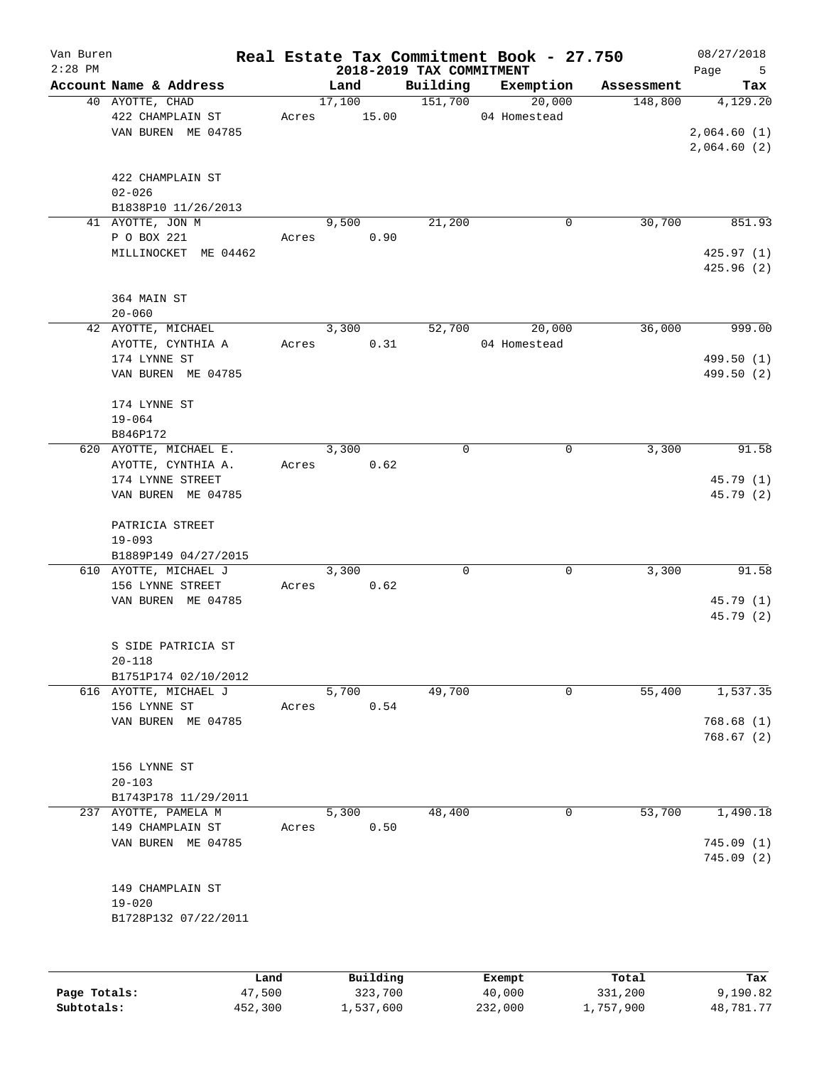| Van Buren<br>$2:28$ PM  |                      |       |        |                     | 2018-2019 TAX COMMITMENT | Real Estate Tax Commitment Book - 27.750 |                  | 08/27/2018<br>Page<br>5 |
|-------------------------|----------------------|-------|--------|---------------------|--------------------------|------------------------------------------|------------------|-------------------------|
| Account Name & Address  |                      |       | Land   |                     | Building                 | Exemption                                | Assessment       | Tax                     |
| 40 AYOTTE, CHAD         |                      |       | 17,100 |                     | 151,700                  | 20,000                                   | 148,800          | 4,129.20                |
| 422 CHAMPLAIN ST        |                      | Acres |        | 15.00               |                          | 04 Homestead                             |                  |                         |
|                         | VAN BUREN ME 04785   |       |        |                     |                          |                                          |                  | 2,064.60(1)             |
|                         |                      |       |        |                     |                          |                                          |                  | 2,064.60(2)             |
| 422 CHAMPLAIN ST        |                      |       |        |                     |                          |                                          |                  |                         |
| $02 - 026$              | B1838P10 11/26/2013  |       |        |                     |                          |                                          |                  |                         |
| 41 AYOTTE, JON M        |                      |       | 9,500  |                     | 21,200                   | 0                                        | 30,700           | 851.93                  |
| P O BOX 221             |                      | Acres |        | 0.90                |                          |                                          |                  |                         |
|                         | MILLINOCKET ME 04462 |       |        |                     |                          |                                          |                  | 425.97(1)               |
|                         |                      |       |        |                     |                          |                                          |                  | 425.96(2)               |
| 364 MAIN ST             |                      |       |        |                     |                          |                                          |                  |                         |
| $20 - 060$              |                      |       |        |                     |                          |                                          |                  |                         |
| 42 AYOTTE, MICHAEL      |                      |       | 3,300  |                     | 52,700                   | 20,000                                   | 36,000           | 999.00                  |
| AYOTTE, CYNTHIA A       |                      | Acres |        | 0.31                |                          | 04 Homestead                             |                  |                         |
| 174 LYNNE ST            |                      |       |        |                     |                          |                                          |                  | 499.50 (1)              |
|                         | VAN BUREN ME 04785   |       |        |                     |                          |                                          |                  | 499.50 (2)              |
| 174 LYNNE ST            |                      |       |        |                     |                          |                                          |                  |                         |
| $19 - 064$              |                      |       |        |                     |                          |                                          |                  |                         |
| B846P172                |                      |       |        |                     |                          |                                          |                  |                         |
| 620 AYOTTE, MICHAEL E.  |                      |       | 3,300  |                     | $\mathbf 0$              | 0                                        | 3,300            | 91.58                   |
| AYOTTE, CYNTHIA A.      |                      | Acres |        | 0.62                |                          |                                          |                  |                         |
| 174 LYNNE STREET        |                      |       |        |                     |                          |                                          |                  | 45.79 (1)               |
|                         | VAN BUREN ME 04785   |       |        |                     |                          |                                          |                  | 45.79 (2)               |
| PATRICIA STREET         |                      |       |        |                     |                          |                                          |                  |                         |
| $19 - 093$              |                      |       |        |                     |                          |                                          |                  |                         |
|                         | B1889P149 04/27/2015 |       |        |                     |                          |                                          |                  |                         |
| 610 AYOTTE, MICHAEL J   |                      |       | 3,300  |                     | 0                        | 0                                        | 3,300            | 91.58                   |
| 156 LYNNE STREET        |                      | Acres |        | 0.62                |                          |                                          |                  |                         |
|                         | VAN BUREN ME 04785   |       |        |                     |                          |                                          |                  | 45.79 (1)               |
|                         |                      |       |        |                     |                          |                                          |                  | 45.79 (2)               |
| S SIDE PATRICIA ST      |                      |       |        |                     |                          |                                          |                  |                         |
| $20 - 118$              |                      |       |        |                     |                          |                                          |                  |                         |
|                         | B1751P174 02/10/2012 |       |        |                     |                          |                                          |                  |                         |
| 616 AYOTTE, MICHAEL J   |                      |       | 5,700  |                     | 49,700                   | 0                                        | 55,400           | 1,537.35                |
| 156 LYNNE ST            |                      | Acres |        | 0.54                |                          |                                          |                  |                         |
|                         | VAN BUREN ME 04785   |       |        |                     |                          |                                          |                  | 768.68(1)               |
|                         |                      |       |        |                     |                          |                                          |                  | 768.67(2)               |
| 156 LYNNE ST            |                      |       |        |                     |                          |                                          |                  |                         |
| $20 - 103$              |                      |       |        |                     |                          |                                          |                  |                         |
|                         | B1743P178 11/29/2011 |       |        |                     |                          |                                          |                  |                         |
| AYOTTE, PAMELA M<br>237 |                      |       | 5,300  |                     | 48,400                   | 0                                        | 53,700           | 1,490.18                |
| 149 CHAMPLAIN ST        |                      | Acres |        | 0.50                |                          |                                          |                  |                         |
|                         | VAN BUREN ME 04785   |       |        |                     |                          |                                          |                  | 745.09 (1)              |
|                         |                      |       |        |                     |                          |                                          |                  | 745.09(2)               |
| 149 CHAMPLAIN ST        |                      |       |        |                     |                          |                                          |                  |                         |
| $19 - 020$              |                      |       |        |                     |                          |                                          |                  |                         |
|                         | B1728P132 07/22/2011 |       |        |                     |                          |                                          |                  |                         |
|                         |                      |       |        |                     |                          |                                          |                  |                         |
|                         |                      |       |        |                     |                          |                                          |                  |                         |
| Page Totals:            | Land<br>47,500       |       |        | Building<br>323,700 |                          | Exempt<br>40,000                         | Total<br>331,200 | Tax<br>9,190.82         |

**Subtotals:** 452,300 1,537,600 232,000 1,757,900 48,781.77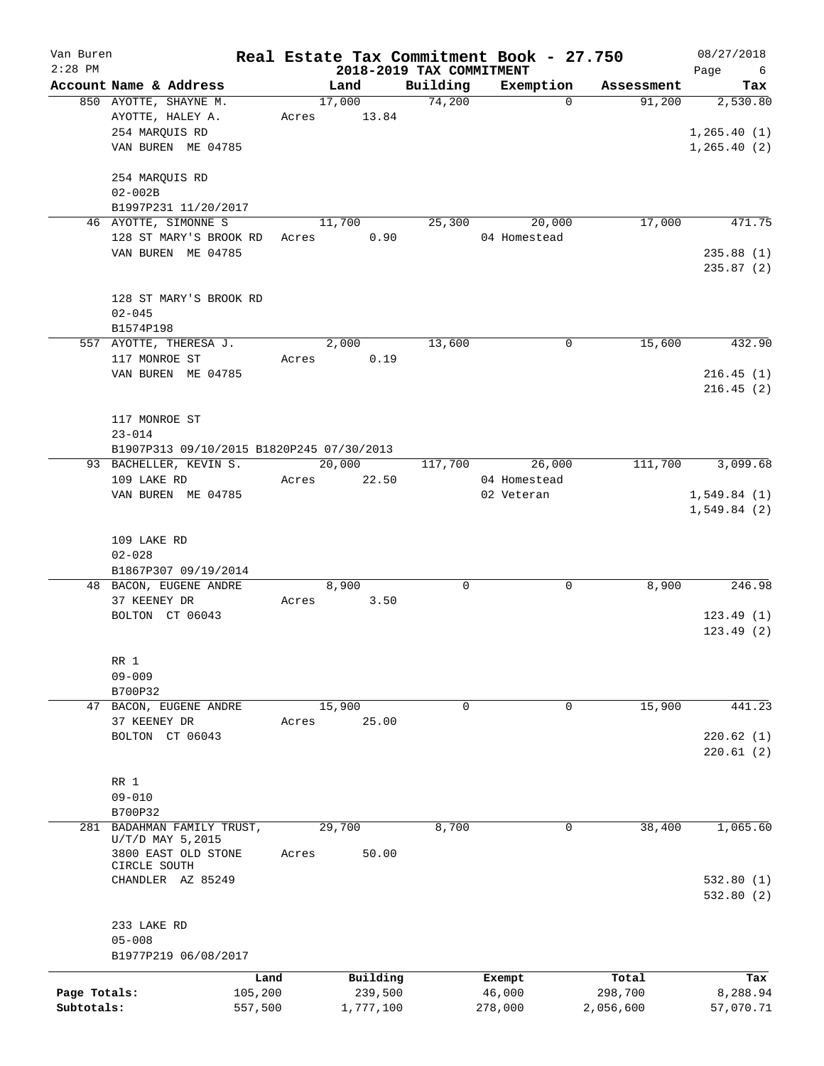| Van Buren<br>$2:28$ PM |                                            |         |       |           |                                      | Real Estate Tax Commitment Book - 27.750 |            | 08/27/2018                     |
|------------------------|--------------------------------------------|---------|-------|-----------|--------------------------------------|------------------------------------------|------------|--------------------------------|
|                        | Account Name & Address                     |         |       | Land      | 2018-2019 TAX COMMITMENT<br>Building | Exemption                                | Assessment | Page<br>$6\overline{6}$<br>Tax |
|                        | 850 AYOTTE, SHAYNE M.                      |         |       | 17,000    | 74,200                               | $\Omega$                                 | 91,200     | 2,530.80                       |
|                        | AYOTTE, HALEY A.                           |         | Acres | 13.84     |                                      |                                          |            |                                |
|                        | 254 MARQUIS RD                             |         |       |           |                                      |                                          |            | 1, 265.40(1)                   |
|                        | VAN BUREN ME 04785                         |         |       |           |                                      |                                          |            | 1, 265.40(2)                   |
|                        |                                            |         |       |           |                                      |                                          |            |                                |
|                        | 254 MARQUIS RD                             |         |       |           |                                      |                                          |            |                                |
|                        | $02 - 002B$                                |         |       |           |                                      |                                          |            |                                |
|                        | B1997P231 11/20/2017                       |         |       |           |                                      |                                          |            |                                |
|                        | 46 AYOTTE, SIMONNE S                       |         |       | 11,700    | 25,300                               | 20,000                                   | 17,000     | 471.75                         |
|                        | 128 ST MARY'S BROOK RD                     |         | Acres | 0.90      |                                      | 04 Homestead                             |            |                                |
|                        | VAN BUREN ME 04785                         |         |       |           |                                      |                                          |            | 235.88(1)                      |
|                        |                                            |         |       |           |                                      |                                          |            | 235.87(2)                      |
|                        |                                            |         |       |           |                                      |                                          |            |                                |
|                        | 128 ST MARY'S BROOK RD                     |         |       |           |                                      |                                          |            |                                |
|                        | $02 - 045$                                 |         |       |           |                                      |                                          |            |                                |
|                        | B1574P198                                  |         |       |           |                                      |                                          |            |                                |
|                        | 557 AYOTTE, THERESA J.                     |         |       | 2,000     | 13,600                               | 0                                        | 15,600     | 432.90                         |
|                        | 117 MONROE ST                              |         | Acres | 0.19      |                                      |                                          |            |                                |
|                        | VAN BUREN ME 04785                         |         |       |           |                                      |                                          |            | 216.45(1)                      |
|                        |                                            |         |       |           |                                      |                                          |            | 216.45(2)                      |
|                        |                                            |         |       |           |                                      |                                          |            |                                |
|                        | 117 MONROE ST                              |         |       |           |                                      |                                          |            |                                |
|                        | $23 - 014$                                 |         |       |           |                                      |                                          |            |                                |
|                        | B1907P313 09/10/2015 B1820P245 07/30/2013  |         |       |           |                                      |                                          |            |                                |
|                        | 93 BACHELLER, KEVIN S.                     |         |       | 20,000    | 117,700                              | 26,000                                   | 111,700    | 3,099.68                       |
|                        | 109 LAKE RD                                |         | Acres | 22.50     |                                      | 04 Homestead                             |            |                                |
|                        | VAN BUREN ME 04785                         |         |       |           |                                      | 02 Veteran                               |            | 1,549.84(1)                    |
|                        |                                            |         |       |           |                                      |                                          |            | 1,549.84(2)                    |
|                        |                                            |         |       |           |                                      |                                          |            |                                |
|                        | 109 LAKE RD                                |         |       |           |                                      |                                          |            |                                |
|                        | $02 - 028$                                 |         |       |           |                                      |                                          |            |                                |
|                        | B1867P307 09/19/2014                       |         |       |           |                                      |                                          |            |                                |
|                        | 48 BACON, EUGENE ANDRE                     |         |       | 8,900     | 0                                    | 0                                        | 8,900      | 246.98                         |
|                        | 37 KEENEY DR                               |         | Acres | 3.50      |                                      |                                          |            |                                |
|                        | BOLTON CT 06043                            |         |       |           |                                      |                                          |            | 123.49(1)                      |
|                        |                                            |         |       |           |                                      |                                          |            | 123.49(2)                      |
|                        |                                            |         |       |           |                                      |                                          |            |                                |
|                        | RR 1                                       |         |       |           |                                      |                                          |            |                                |
|                        | $09 - 009$                                 |         |       |           |                                      |                                          |            |                                |
|                        | B700P32                                    |         |       |           |                                      |                                          |            |                                |
| 47                     | BACON, EUGENE ANDRE                        |         |       | 15,900    | 0                                    | 0                                        | 15,900     | 441.23                         |
|                        | 37 KEENEY DR                               |         | Acres | 25.00     |                                      |                                          |            |                                |
|                        | BOLTON CT 06043                            |         |       |           |                                      |                                          |            | 220.62(1)                      |
|                        |                                            |         |       |           |                                      |                                          |            | 220.61(2)                      |
|                        |                                            |         |       |           |                                      |                                          |            |                                |
|                        | RR 1                                       |         |       |           |                                      |                                          |            |                                |
|                        | $09 - 010$                                 |         |       |           |                                      |                                          |            |                                |
|                        | B700P32                                    |         |       |           |                                      |                                          |            |                                |
| 281                    | BADAHMAN FAMILY TRUST,<br>U/T/D MAY 5,2015 |         |       | 29,700    | 8,700                                | 0                                        | 38,400     | 1,065.60                       |
|                        | 3800 EAST OLD STONE                        |         | Acres | 50.00     |                                      |                                          |            |                                |
|                        | CIRCLE SOUTH                               |         |       |           |                                      |                                          |            |                                |
|                        | CHANDLER AZ 85249                          |         |       |           |                                      |                                          |            | 532.80(1)                      |
|                        |                                            |         |       |           |                                      |                                          |            | 532.80(2)                      |
|                        |                                            |         |       |           |                                      |                                          |            |                                |
|                        | 233 LAKE RD                                |         |       |           |                                      |                                          |            |                                |
|                        | $05 - 008$                                 |         |       |           |                                      |                                          |            |                                |
|                        | B1977P219 06/08/2017                       |         |       |           |                                      |                                          |            |                                |
|                        |                                            | Land    |       | Building  |                                      | Exempt                                   | Total      | Tax                            |
| Page Totals:           |                                            | 105,200 |       | 239,500   |                                      | 46,000                                   | 298,700    | 8,288.94                       |
| Subtotals:             |                                            | 557,500 |       | 1,777,100 |                                      | 278,000                                  | 2,056,600  | 57,070.71                      |
|                        |                                            |         |       |           |                                      |                                          |            |                                |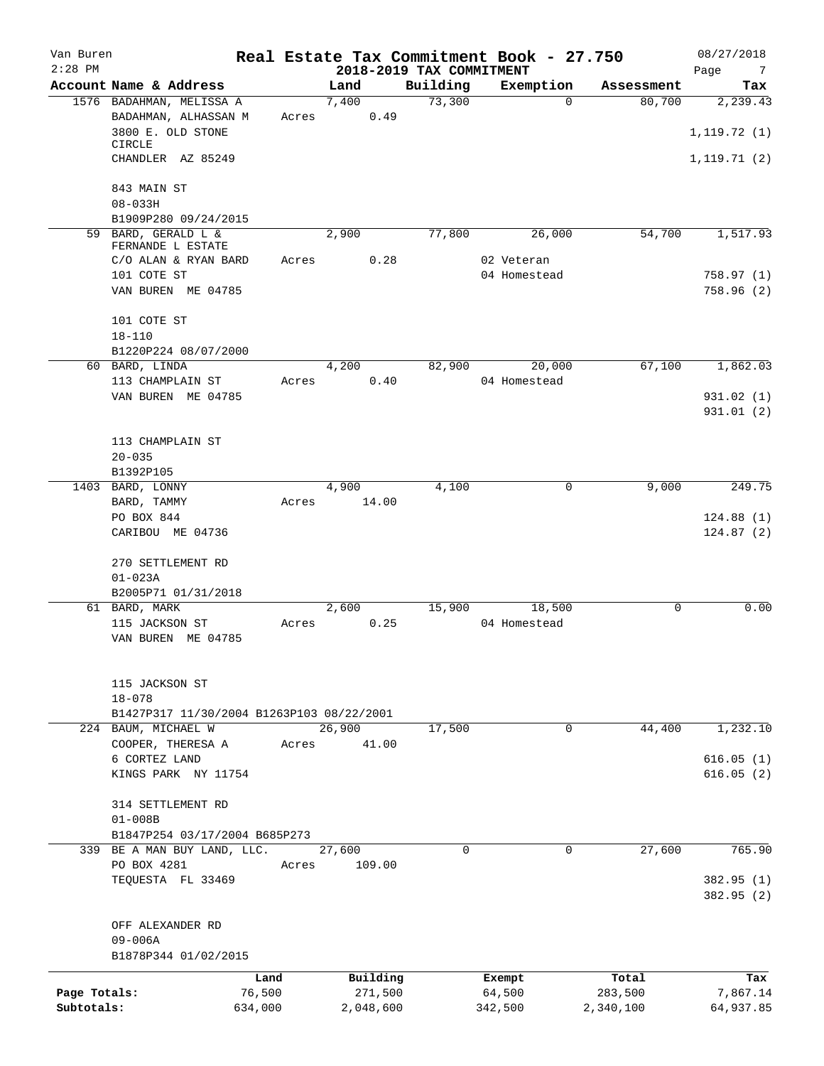| Van Buren<br>$2:28$ PM |                                           |         |                 | 2018-2019 TAX COMMITMENT | Real Estate Tax Commitment Book - 27.750 |            | 08/27/2018<br>Page<br>$\overline{7}$ |
|------------------------|-------------------------------------------|---------|-----------------|--------------------------|------------------------------------------|------------|--------------------------------------|
|                        | Account Name & Address                    |         | Land            | Building                 | Exemption                                | Assessment | Tax                                  |
|                        | 1576 BADAHMAN, MELISSA A                  |         | 7,400           | 73,300                   | $\Omega$                                 | 80,700     | 2,239.43                             |
|                        | BADAHMAN, ALHASSAN M                      | Acres   | 0.49            |                          |                                          |            |                                      |
|                        | 3800 E. OLD STONE                         |         |                 |                          |                                          |            | 1, 119.72(1)                         |
|                        | <b>CIRCLE</b>                             |         |                 |                          |                                          |            |                                      |
|                        | CHANDLER AZ 85249                         |         |                 |                          |                                          |            | 1,119.71 (2)                         |
|                        | 843 MAIN ST                               |         |                 |                          |                                          |            |                                      |
|                        | $08 - 033H$                               |         |                 |                          |                                          |            |                                      |
|                        | B1909P280 09/24/2015                      |         |                 |                          |                                          |            |                                      |
|                        | 59 BARD, GERALD L &                       |         | 2,900           | 77,800                   | 26,000                                   | 54,700     | 1,517.93                             |
|                        | FERNANDE L ESTATE<br>C/O ALAN & RYAN BARD | Acres   | 0.28            |                          | 02 Veteran                               |            |                                      |
|                        | 101 COTE ST                               |         |                 |                          | 04 Homestead                             |            | 758.97(1)                            |
|                        | VAN BUREN ME 04785                        |         |                 |                          |                                          |            | 758.96(2)                            |
|                        |                                           |         |                 |                          |                                          |            |                                      |
|                        | 101 COTE ST                               |         |                 |                          |                                          |            |                                      |
|                        | $18 - 110$                                |         |                 |                          |                                          |            |                                      |
|                        | B1220P224 08/07/2000                      |         |                 |                          |                                          |            |                                      |
|                        | 60 BARD, LINDA                            |         | 4,200           | 82,900                   | 20,000                                   | 67,100     | 1,862.03                             |
|                        | 113 CHAMPLAIN ST                          | Acres   | 0.40            |                          | 04 Homestead                             |            |                                      |
|                        | VAN BUREN ME 04785                        |         |                 |                          |                                          |            | 931.02(1)                            |
|                        |                                           |         |                 |                          |                                          |            | 931.01 (2)                           |
|                        |                                           |         |                 |                          |                                          |            |                                      |
|                        | 113 CHAMPLAIN ST<br>$20 - 035$            |         |                 |                          |                                          |            |                                      |
|                        | B1392P105                                 |         |                 |                          |                                          |            |                                      |
|                        | 1403 BARD, LONNY                          |         | 4,900           | 4,100                    | 0                                        | 9,000      | 249.75                               |
|                        | BARD, TAMMY                               | Acres   | 14.00           |                          |                                          |            |                                      |
|                        | PO BOX 844                                |         |                 |                          |                                          |            | 124.88(1)                            |
|                        | CARIBOU ME 04736                          |         |                 |                          |                                          |            | 124.87(2)                            |
|                        |                                           |         |                 |                          |                                          |            |                                      |
|                        | 270 SETTLEMENT RD                         |         |                 |                          |                                          |            |                                      |
|                        | $01 - 023A$                               |         |                 |                          |                                          |            |                                      |
|                        | B2005P71 01/31/2018<br>61 BARD, MARK      |         | 2,600           | 15,900                   | 18,500                                   | 0          | 0.00                                 |
|                        | 115 JACKSON ST                            | Acres   | 0.25            |                          | 04 Homestead                             |            |                                      |
|                        | VAN BUREN ME 04785                        |         |                 |                          |                                          |            |                                      |
|                        |                                           |         |                 |                          |                                          |            |                                      |
|                        |                                           |         |                 |                          |                                          |            |                                      |
|                        | 115 JACKSON ST                            |         |                 |                          |                                          |            |                                      |
|                        | $18 - 078$                                |         |                 |                          |                                          |            |                                      |
|                        | B1427P317 11/30/2004 B1263P103 08/22/2001 |         |                 |                          |                                          |            |                                      |
|                        | 224 BAUM, MICHAEL W<br>COOPER, THERESA A  | Acres   | 26,900<br>41.00 | 17,500                   | 0                                        | 44,400     | 1,232.10                             |
|                        | 6 CORTEZ LAND                             |         |                 |                          |                                          |            | 616.05(1)                            |
|                        | KINGS PARK NY 11754                       |         |                 |                          |                                          |            | 616.05(2)                            |
|                        |                                           |         |                 |                          |                                          |            |                                      |
|                        | 314 SETTLEMENT RD                         |         |                 |                          |                                          |            |                                      |
|                        | $01 - 008B$                               |         |                 |                          |                                          |            |                                      |
|                        | B1847P254 03/17/2004 B685P273             |         |                 |                          |                                          |            |                                      |
|                        | 339 BE A MAN BUY LAND, LLC.               |         | 27,600          | $\mathbf 0$              | 0                                        | 27,600     | 765.90                               |
|                        | PO BOX 4281                               | Acres   | 109.00          |                          |                                          |            |                                      |
|                        | TEQUESTA FL 33469                         |         |                 |                          |                                          |            | 382.95 (1)<br>382.95 (2)             |
|                        |                                           |         |                 |                          |                                          |            |                                      |
|                        | OFF ALEXANDER RD                          |         |                 |                          |                                          |            |                                      |
|                        | $09 - 006A$                               |         |                 |                          |                                          |            |                                      |
|                        | B1878P344 01/02/2015                      |         |                 |                          |                                          |            |                                      |
|                        |                                           | Land    | Building        |                          | Exempt                                   | Total      | Tax                                  |
| Page Totals:           |                                           | 76,500  | 271,500         |                          | 64,500                                   | 283,500    | 7,867.14                             |
| Subtotals:             |                                           | 634,000 | 2,048,600       |                          | 342,500                                  | 2,340,100  | 64,937.85                            |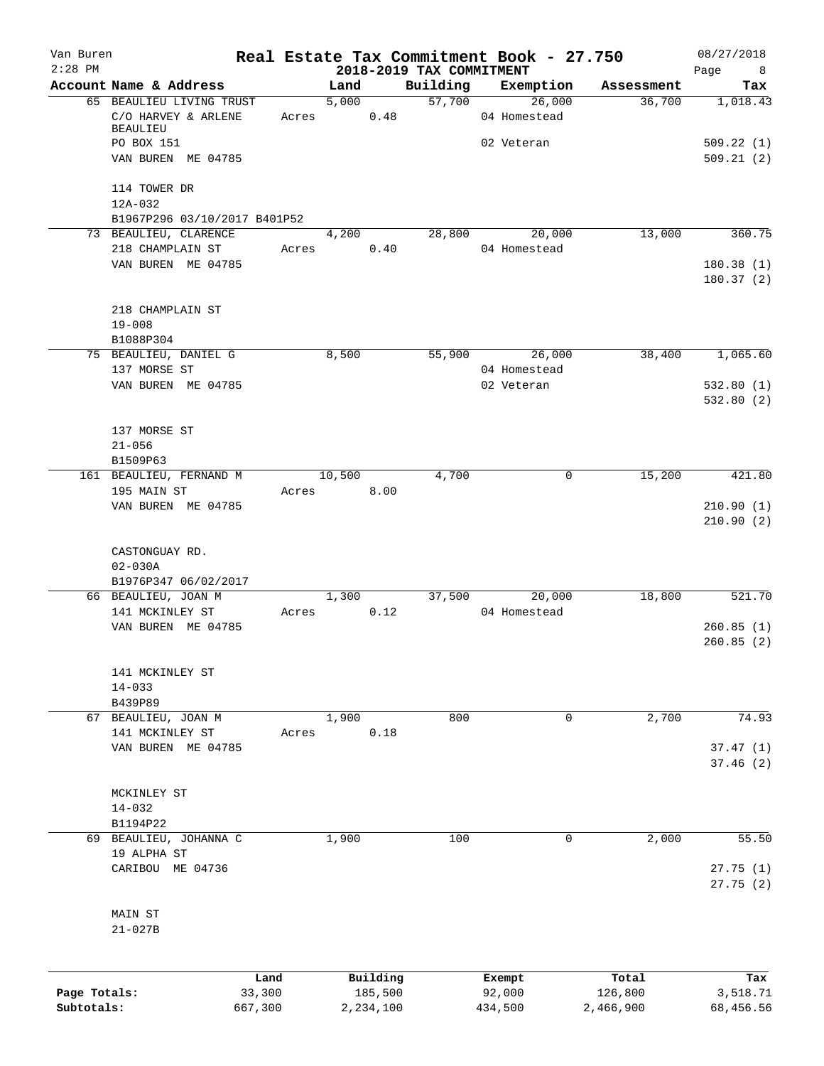| Van Buren    |                                         |                |        |                     |                                      | Real Estate Tax Commitment Book - 27.750 |                  | 08/27/2018                    |
|--------------|-----------------------------------------|----------------|--------|---------------------|--------------------------------------|------------------------------------------|------------------|-------------------------------|
| $2:28$ PM    | Account Name & Address                  |                | Land   |                     | 2018-2019 TAX COMMITMENT<br>Building | Exemption                                | Assessment       | Page<br>8 <sup>8</sup><br>Tax |
|              | 65 BEAULIEU LIVING TRUST                |                | 5,000  |                     | 57,700                               | 26,000                                   | 36,700           | 1,018.43                      |
|              | C/O HARVEY & ARLENE<br>BEAULIEU         |                | Acres  | 0.48                |                                      | 04 Homestead                             |                  |                               |
|              | PO BOX 151<br>VAN BUREN ME 04785        |                |        |                     |                                      | 02 Veteran                               |                  | 509.22(1)<br>509.21(2)        |
|              | 114 TOWER DR                            |                |        |                     |                                      |                                          |                  |                               |
|              | 12A-032<br>B1967P296 03/10/2017 B401P52 |                |        |                     |                                      |                                          |                  |                               |
|              | 73 BEAULIEU, CLARENCE                   |                | 4,200  |                     | 28,800                               | 20,000                                   | 13,000           | 360.75                        |
|              | 218 CHAMPLAIN ST                        |                | Acres  | 0.40                |                                      | 04 Homestead                             |                  |                               |
|              | VAN BUREN ME 04785                      |                |        |                     |                                      |                                          |                  | 180.38(1)<br>180.37(2)        |
|              | 218 CHAMPLAIN ST<br>$19 - 008$          |                |        |                     |                                      |                                          |                  |                               |
|              | B1088P304                               |                |        |                     |                                      |                                          |                  |                               |
|              | 75 BEAULIEU, DANIEL G                   |                | 8,500  |                     |                                      | 55,900 26,000                            | 38,400           | 1,065.60                      |
|              | 137 MORSE ST                            |                |        |                     |                                      | 04 Homestead                             |                  |                               |
|              | VAN BUREN ME 04785                      |                |        |                     |                                      | 02 Veteran                               |                  | 532.80(1)<br>532.80(2)        |
|              | 137 MORSE ST                            |                |        |                     |                                      |                                          |                  |                               |
|              | $21 - 056$                              |                |        |                     |                                      |                                          |                  |                               |
|              | B1509P63                                |                |        |                     |                                      |                                          |                  |                               |
|              | 161 BEAULIEU, FERNAND M                 |                | 10,500 |                     | 4,700                                | $\mathbf 0$                              | 15,200           | 421.80                        |
|              | 195 MAIN ST                             |                | Acres  | 8.00                |                                      |                                          |                  |                               |
|              | VAN BUREN ME 04785                      |                |        |                     |                                      |                                          |                  | 210.90(1)<br>210.90(2)        |
|              | CASTONGUAY RD.<br>$02 - 030A$           |                |        |                     |                                      |                                          |                  |                               |
|              | B1976P347 06/02/2017                    |                |        |                     |                                      |                                          |                  |                               |
|              | 66 BEAULIEU, JOAN M                     |                | 1,300  |                     | 37,500                               | 20,000                                   | 18,800           | 521.70                        |
|              | 141 MCKINLEY ST                         | Acres          |        | 0.12                |                                      | 04 Homestead                             |                  |                               |
|              | VAN BUREN ME 04785                      |                |        |                     |                                      |                                          |                  | 260.85(1)<br>260.85(2)        |
|              | 141 MCKINLEY ST                         |                |        |                     |                                      |                                          |                  |                               |
|              | $14 - 033$<br>B439P89                   |                |        |                     |                                      |                                          |                  |                               |
|              | 67 BEAULIEU, JOAN M                     |                | 1,900  |                     | 800                                  | 0                                        | 2,700            | 74.93                         |
|              | 141 MCKINLEY ST                         | Acres          |        | 0.18                |                                      |                                          |                  |                               |
|              | VAN BUREN ME 04785                      |                |        |                     |                                      |                                          |                  | 37.47(1)<br>37.46(2)          |
|              | MCKINLEY ST                             |                |        |                     |                                      |                                          |                  |                               |
|              | $14 - 032$                              |                |        |                     |                                      |                                          |                  |                               |
|              | B1194P22                                |                |        |                     |                                      |                                          |                  |                               |
|              | 69 BEAULIEU, JOHANNA C<br>19 ALPHA ST   |                | 1,900  |                     | 100                                  | 0                                        | 2,000            | 55.50                         |
|              | CARIBOU ME 04736                        |                |        |                     |                                      |                                          |                  | 27.75(1)<br>27.75(2)          |
|              | MAIN ST<br>$21 - 027B$                  |                |        |                     |                                      |                                          |                  |                               |
|              |                                         |                |        |                     |                                      |                                          |                  |                               |
| Page Totals: |                                         | Land<br>33,300 |        | Building<br>185,500 |                                      | Exempt<br>92,000                         | Total<br>126,800 | Tax<br>3,518.71               |
| Subtotals:   |                                         | 667,300        |        | 2,234,100           |                                      | 434,500                                  | 2,466,900        | 68,456.56                     |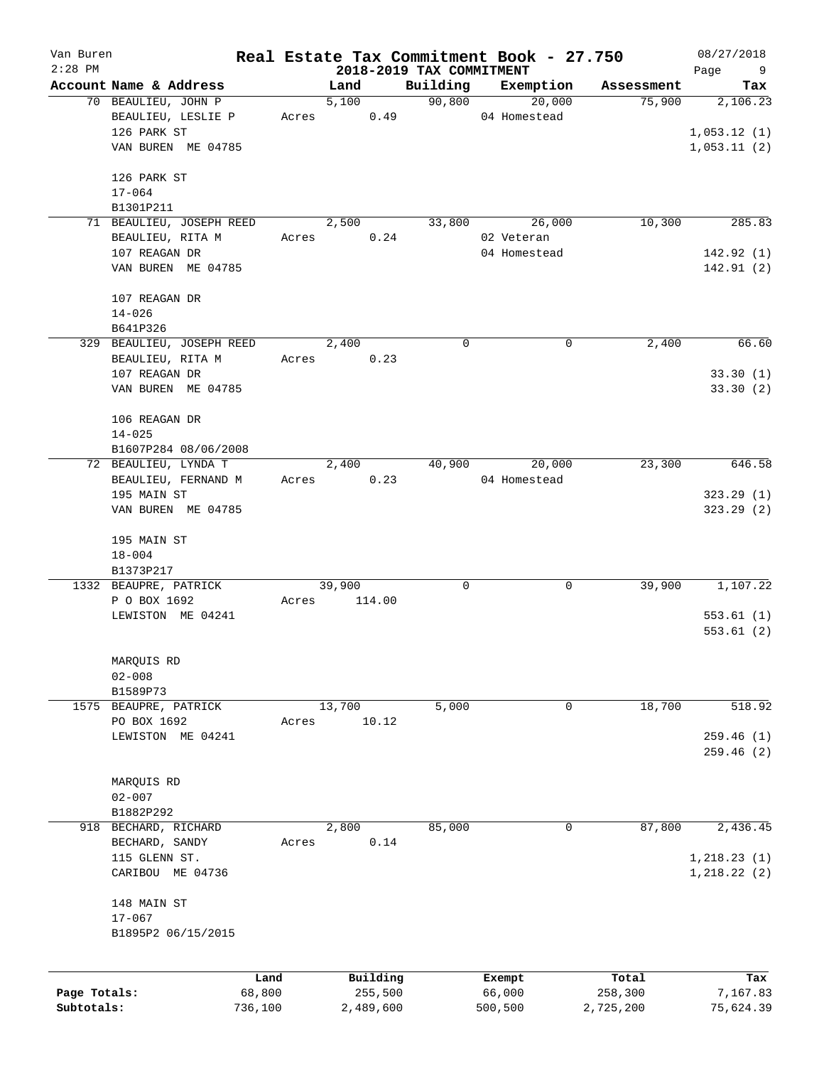| Van Buren<br>$2:28$ PM |                                           |         | 2018-2019 TAX COMMITMENT |             | Real Estate Tax Commitment Book - 27.750 |            | 08/27/2018<br>Page<br>9      |
|------------------------|-------------------------------------------|---------|--------------------------|-------------|------------------------------------------|------------|------------------------------|
|                        | Account Name & Address                    |         | Land                     | Building    | Exemption                                | Assessment | Tax                          |
|                        | 70 BEAULIEU, JOHN P<br>BEAULIEU, LESLIE P | Acres   | 5,100<br>0.49            | 90,800      | 20,000<br>04 Homestead                   | 75,900     | 2,106.23                     |
|                        | 126 PARK ST                               |         |                          |             |                                          |            | 1,053.12(1)                  |
|                        | VAN BUREN ME 04785                        |         |                          |             |                                          |            | 1,053.11(2)                  |
|                        | 126 PARK ST<br>$17 - 064$                 |         |                          |             |                                          |            |                              |
|                        | B1301P211                                 |         |                          |             |                                          |            |                              |
|                        | 71 BEAULIEU, JOSEPH REED                  |         | 2,500                    | 33,800      | 26,000                                   | 10,300     | 285.83                       |
|                        | BEAULIEU, RITA M<br>107 REAGAN DR         | Acres   | 0.24                     |             | 02 Veteran<br>04 Homestead               |            | 142.92(1)                    |
|                        | VAN BUREN ME 04785                        |         |                          |             |                                          |            | 142.91(2)                    |
|                        | 107 REAGAN DR                             |         |                          |             |                                          |            |                              |
|                        | $14 - 026$<br>B641P326                    |         |                          |             |                                          |            |                              |
|                        | 329 BEAULIEU, JOSEPH REED                 |         | 2,400                    | $\mathbf 0$ | $\mathbf 0$                              | 2,400      | 66.60                        |
|                        | BEAULIEU, RITA M<br>107 REAGAN DR         | Acres   | 0.23                     |             |                                          |            | 33.30(1)                     |
|                        | VAN BUREN ME 04785                        |         |                          |             |                                          |            | 33.30(2)                     |
|                        | 106 REAGAN DR                             |         |                          |             |                                          |            |                              |
|                        | $14 - 025$<br>B1607P284 08/06/2008        |         |                          |             |                                          |            |                              |
|                        | 72 BEAULIEU, LYNDA T                      |         | 2,400                    | 40,900      | 20,000                                   | 23,300     | 646.58                       |
|                        | BEAULIEU, FERNAND M                       |         | 0.23<br>Acres            |             | 04 Homestead                             |            |                              |
|                        | 195 MAIN ST                               |         |                          |             |                                          |            | 323.29(1)                    |
|                        | VAN BUREN ME 04785                        |         |                          |             |                                          |            | 323.29(2)                    |
|                        | 195 MAIN ST                               |         |                          |             |                                          |            |                              |
|                        | $18 - 004$<br>B1373P217                   |         |                          |             |                                          |            |                              |
|                        | 1332 BEAUPRE, PATRICK                     |         | 39,900                   | 0           | 0                                        | 39,900     | 1,107.22                     |
|                        | P O BOX 1692                              | Acres   | 114.00                   |             |                                          |            |                              |
|                        | LEWISTON ME 04241                         |         |                          |             |                                          |            | 553.61(1)<br>553.61(2)       |
|                        | MARQUIS RD                                |         |                          |             |                                          |            |                              |
|                        | $02 - 008$                                |         |                          |             |                                          |            |                              |
|                        | B1589P73                                  |         |                          |             |                                          |            |                              |
| 1575                   | BEAUPRE, PATRICK<br>PO BOX 1692           | Acres   | 13,700<br>10.12          | 5,000       | 0                                        | 18,700     | 518.92                       |
|                        | LEWISTON ME 04241                         |         |                          |             |                                          |            | 259.46(1)                    |
|                        |                                           |         |                          |             |                                          |            | 259.46(2)                    |
|                        | MARQUIS RD                                |         |                          |             |                                          |            |                              |
|                        | $02 - 007$<br>B1882P292                   |         |                          |             |                                          |            |                              |
|                        | 918 BECHARD, RICHARD                      |         | 2,800                    | 85,000      | 0                                        | 87,800     | 2,436.45                     |
|                        | BECHARD, SANDY                            | Acres   | 0.14                     |             |                                          |            |                              |
|                        | 115 GLENN ST.<br>CARIBOU ME 04736         |         |                          |             |                                          |            | 1, 218.23(1)<br>1, 218.22(2) |
|                        | 148 MAIN ST                               |         |                          |             |                                          |            |                              |
|                        | $17 - 067$                                |         |                          |             |                                          |            |                              |
|                        | B1895P2 06/15/2015                        |         |                          |             |                                          |            |                              |
|                        |                                           | Land    | Building                 |             | Exempt                                   | Total      | Tax                          |
| Page Totals:           |                                           | 68,800  | 255,500                  |             | 66,000                                   | 258,300    | 7,167.83                     |
| Subtotals:             |                                           | 736,100 | 2,489,600                |             | 500,500                                  | 2,725,200  | 75,624.39                    |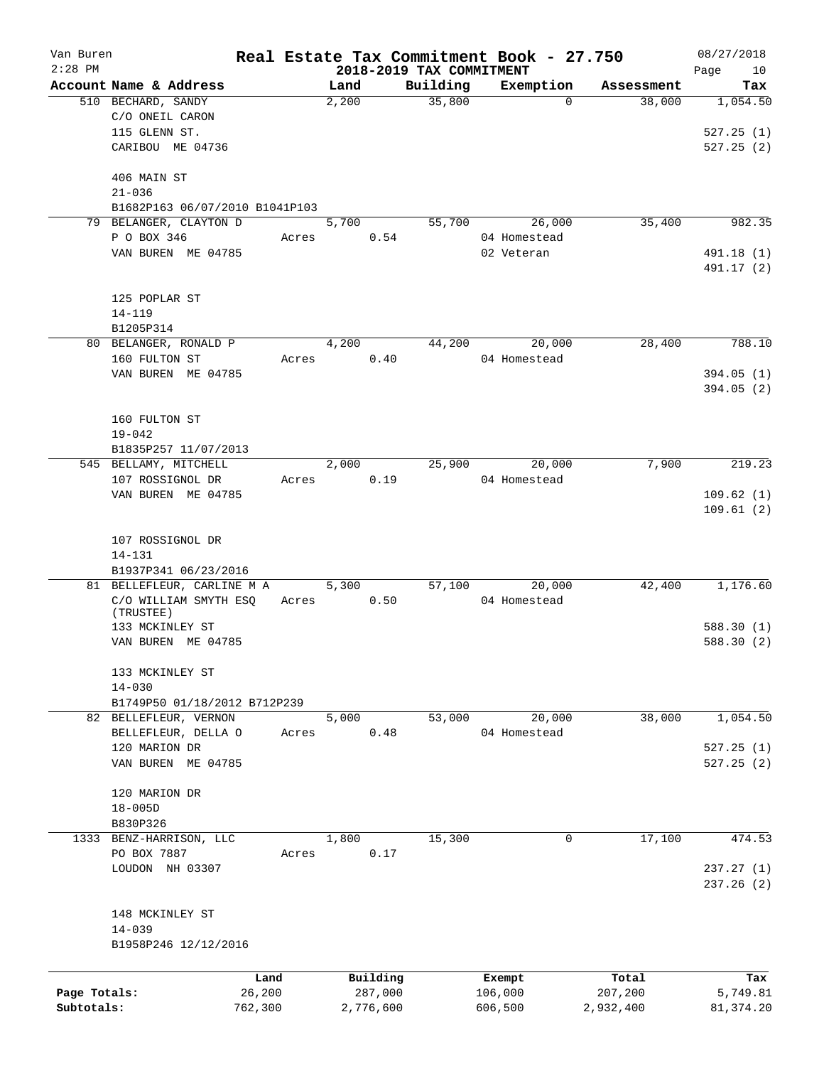| Van Buren    |                                       |         |               |         |                          | Real Estate Tax Commitment Book - 27.750 |                      | 08/27/2018      |
|--------------|---------------------------------------|---------|---------------|---------|--------------------------|------------------------------------------|----------------------|-----------------|
| $2:28$ PM    |                                       |         |               |         | 2018-2019 TAX COMMITMENT |                                          |                      | Page<br>10      |
|              | Account Name & Address                |         | Land<br>2,200 |         | Building<br>35,800       | Exemption<br>$\Omega$                    | Assessment<br>38,000 | Tax<br>1,054.50 |
|              | 510 BECHARD, SANDY<br>C/O ONEIL CARON |         |               |         |                          |                                          |                      |                 |
|              |                                       |         |               |         |                          |                                          |                      |                 |
|              | 115 GLENN ST.                         |         |               |         |                          |                                          |                      | 527.25(1)       |
|              | CARIBOU ME 04736                      |         |               |         |                          |                                          |                      | 527.25(2)       |
|              | 406 MAIN ST                           |         |               |         |                          |                                          |                      |                 |
|              | $21 - 036$                            |         |               |         |                          |                                          |                      |                 |
|              | B1682P163 06/07/2010 B1041P103        |         |               |         |                          |                                          |                      |                 |
|              | 79 BELANGER, CLAYTON D                |         | 5,700         |         | 55,700                   | 26,000                                   | 35,400               | 982.35          |
|              | P O BOX 346                           | Acres   |               | 0.54    |                          | 04 Homestead                             |                      |                 |
|              | VAN BUREN ME 04785                    |         |               |         |                          | 02 Veteran                               |                      | 491.18 (1)      |
|              |                                       |         |               |         |                          |                                          |                      | 491.17 (2)      |
|              |                                       |         |               |         |                          |                                          |                      |                 |
|              | 125 POPLAR ST                         |         |               |         |                          |                                          |                      |                 |
|              | $14 - 119$                            |         |               |         |                          |                                          |                      |                 |
|              | B1205P314                             |         |               |         |                          |                                          |                      |                 |
|              | 80 BELANGER, RONALD P                 |         | 4,200         |         | 44,200                   | 20,000                                   | 28,400               | 788.10          |
|              | 160 FULTON ST                         |         |               | 0.40    |                          |                                          |                      |                 |
|              |                                       | Acres   |               |         |                          | 04 Homestead                             |                      |                 |
|              | VAN BUREN ME 04785                    |         |               |         |                          |                                          |                      | 394.05(1)       |
|              |                                       |         |               |         |                          |                                          |                      | 394.05(2)       |
|              |                                       |         |               |         |                          |                                          |                      |                 |
|              | 160 FULTON ST                         |         |               |         |                          |                                          |                      |                 |
|              | $19 - 042$                            |         |               |         |                          |                                          |                      |                 |
|              | B1835P257 11/07/2013                  |         |               |         |                          |                                          |                      |                 |
|              | 545 BELLAMY, MITCHELL                 |         | 2,000         |         | 25,900                   | 20,000                                   | 7,900                | 219.23          |
|              | 107 ROSSIGNOL DR                      | Acres   |               | 0.19    |                          | 04 Homestead                             |                      |                 |
|              | VAN BUREN ME 04785                    |         |               |         |                          |                                          |                      | 109.62(1)       |
|              |                                       |         |               |         |                          |                                          |                      | 109.61(2)       |
|              |                                       |         |               |         |                          |                                          |                      |                 |
|              | 107 ROSSIGNOL DR                      |         |               |         |                          |                                          |                      |                 |
|              | $14 - 131$                            |         |               |         |                          |                                          |                      |                 |
|              | B1937P341 06/23/2016                  |         |               |         |                          |                                          |                      |                 |
|              | 81 BELLEFLEUR, CARLINE M A            |         | 5,300         |         | 57,100                   | 20,000                                   | 42,400               | 1,176.60        |
|              | C/O WILLIAM SMYTH ESQ                 | Acres   |               | 0.50    |                          | 04 Homestead                             |                      |                 |
|              | (TRUSTEE)                             |         |               |         |                          |                                          |                      |                 |
|              | 133 MCKINLEY ST                       |         |               |         |                          |                                          |                      | 588.30(1)       |
|              | VAN BUREN ME 04785                    |         |               |         |                          |                                          |                      | 588.30(2)       |
|              |                                       |         |               |         |                          |                                          |                      |                 |
|              | 133 MCKINLEY ST                       |         |               |         |                          |                                          |                      |                 |
|              | $14 - 030$                            |         |               |         |                          |                                          |                      |                 |
|              | B1749P50 01/18/2012 B712P239          |         |               |         |                          |                                          |                      |                 |
|              | 82 BELLEFLEUR, VERNON                 |         | 5,000         |         | 53,000                   | 20,000                                   | 38,000               | 1,054.50        |
|              | BELLEFLEUR, DELLA O                   | Acres   |               | 0.48    |                          | 04 Homestead                             |                      |                 |
|              | 120 MARION DR                         |         |               |         |                          |                                          |                      | 527.25(1)       |
|              | VAN BUREN ME 04785                    |         |               |         |                          |                                          |                      | 527.25(2)       |
|              |                                       |         |               |         |                          |                                          |                      |                 |
|              | 120 MARION DR                         |         |               |         |                          |                                          |                      |                 |
|              | $18 - 005D$                           |         |               |         |                          |                                          |                      |                 |
|              |                                       |         |               |         |                          |                                          |                      |                 |
|              | B830P326                              |         |               |         |                          |                                          |                      |                 |
|              | 1333 BENZ-HARRISON, LLC               |         | 1,800         |         | 15,300                   | 0                                        | 17,100               | 474.53          |
|              | PO BOX 7887                           | Acres   |               | 0.17    |                          |                                          |                      |                 |
|              | LOUDON NH 03307                       |         |               |         |                          |                                          |                      | 237.27(1)       |
|              |                                       |         |               |         |                          |                                          |                      | 237.26(2)       |
|              |                                       |         |               |         |                          |                                          |                      |                 |
|              | 148 MCKINLEY ST                       |         |               |         |                          |                                          |                      |                 |
|              | $14 - 039$                            |         |               |         |                          |                                          |                      |                 |
|              | B1958P246 12/12/2016                  |         |               |         |                          |                                          |                      |                 |
|              |                                       |         |               |         |                          |                                          |                      |                 |
|              |                                       | Land    | Building      |         |                          | Exempt                                   | Total                | Tax             |
| Page Totals: |                                       | 26,200  |               | 287,000 |                          | 106,000                                  | 207,200              | 5,749.81        |
| Subtotals:   |                                       | 762,300 | 2,776,600     |         |                          | 606,500                                  | 2,932,400            | 81, 374.20      |
|              |                                       |         |               |         |                          |                                          |                      |                 |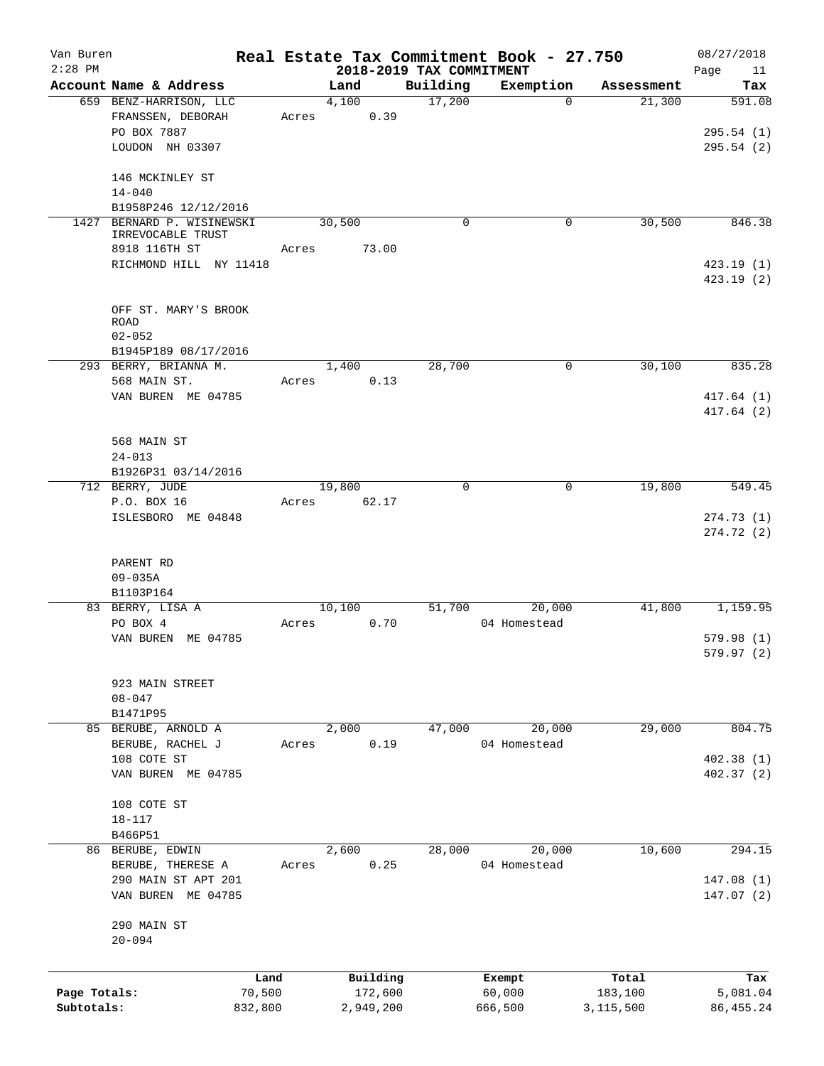| Van Buren<br>$2:28$ PM |                        |       | 2018-2019 TAX COMMITMENT |             | Real Estate Tax Commitment Book - 27.750 |            | 08/27/2018<br>Page<br>11 |
|------------------------|------------------------|-------|--------------------------|-------------|------------------------------------------|------------|--------------------------|
|                        | Account Name & Address |       | Land                     | Building    | Exemption                                | Assessment | Tax                      |
|                        | 659 BENZ-HARRISON, LLC |       | 4,100                    | 17,200      | 0                                        | 21,300     | 591.08                   |
|                        | FRANSSEN, DEBORAH      | Acres | 0.39                     |             |                                          |            |                          |
|                        | PO BOX 7887            |       |                          |             |                                          |            | 295.54(1)                |
|                        |                        |       |                          |             |                                          |            |                          |
|                        | LOUDON NH 03307        |       |                          |             |                                          |            | 295.54(2)                |
|                        |                        |       |                          |             |                                          |            |                          |
|                        | 146 MCKINLEY ST        |       |                          |             |                                          |            |                          |
|                        | $14 - 040$             |       |                          |             |                                          |            |                          |
|                        | B1958P246 12/12/2016   |       |                          |             |                                          |            |                          |
| 1427                   | BERNARD P. WISINEWSKI  |       | 30,500                   | $\mathbf 0$ | 0                                        | 30,500     | 846.38                   |
|                        | IRREVOCABLE TRUST      |       |                          |             |                                          |            |                          |
|                        | 8918 116TH ST          | Acres | 73.00                    |             |                                          |            |                          |
|                        | RICHMOND HILL NY 11418 |       |                          |             |                                          |            | 423.19 (1)               |
|                        |                        |       |                          |             |                                          |            | 423.19(2)                |
|                        |                        |       |                          |             |                                          |            |                          |
|                        | OFF ST. MARY'S BROOK   |       |                          |             |                                          |            |                          |
|                        | ROAD                   |       |                          |             |                                          |            |                          |
|                        | $02 - 052$             |       |                          |             |                                          |            |                          |
|                        | B1945P189 08/17/2016   |       |                          |             |                                          |            |                          |
|                        | 293 BERRY, BRIANNA M.  |       | 1,400                    | 28,700      | 0                                        | 30,100     | 835.28                   |
|                        | 568 MAIN ST.           | Acres | 0.13                     |             |                                          |            |                          |
|                        | VAN BUREN ME 04785     |       |                          |             |                                          |            | 417.64 (1)               |
|                        |                        |       |                          |             |                                          |            | 417.64 (2)               |
|                        |                        |       |                          |             |                                          |            |                          |
|                        | 568 MAIN ST            |       |                          |             |                                          |            |                          |
|                        | $24 - 013$             |       |                          |             |                                          |            |                          |
|                        | B1926P31 03/14/2016    |       |                          |             |                                          |            |                          |
|                        | 712 BERRY, JUDE        |       | 19,800                   | $\mathbf 0$ | 0                                        | 19,800     | 549.45                   |
|                        | P.O. BOX 16            | Acres | 62.17                    |             |                                          |            |                          |
|                        | ISLESBORO ME 04848     |       |                          |             |                                          |            | 274.73(1)                |
|                        |                        |       |                          |             |                                          |            | 274.72 (2)               |
|                        |                        |       |                          |             |                                          |            |                          |
|                        |                        |       |                          |             |                                          |            |                          |
|                        | PARENT RD              |       |                          |             |                                          |            |                          |
|                        | $09 - 035A$            |       |                          |             |                                          |            |                          |
|                        | B1103P164              |       |                          |             |                                          |            |                          |
|                        | 83 BERRY, LISA A       |       | 10,100                   | 51,700      | 20,000                                   | 41,800     | 1,159.95                 |
|                        | PO BOX 4               | Acres | 0.70                     |             | 04 Homestead                             |            |                          |
|                        | VAN BUREN ME 04785     |       |                          |             |                                          |            | 579.98(1)                |
|                        |                        |       |                          |             |                                          |            | 579.97 (2)               |
|                        |                        |       |                          |             |                                          |            |                          |
|                        | 923 MAIN STREET        |       |                          |             |                                          |            |                          |
|                        | $08 - 047$             |       |                          |             |                                          |            |                          |
|                        | B1471P95               |       |                          |             |                                          |            |                          |
|                        | 85 BERUBE, ARNOLD A    |       | 2,000                    | 47,000      | 20,000                                   | 29,000     | 804.75                   |
|                        | BERUBE, RACHEL J       | Acres | 0.19                     |             | 04 Homestead                             |            |                          |
|                        | 108 COTE ST            |       |                          |             |                                          |            | 402.38(1)                |
|                        | VAN BUREN ME 04785     |       |                          |             |                                          |            | 402.37(2)                |
|                        |                        |       |                          |             |                                          |            |                          |
|                        | 108 COTE ST            |       |                          |             |                                          |            |                          |
|                        | $18 - 117$             |       |                          |             |                                          |            |                          |
|                        | B466P51                |       |                          |             |                                          |            |                          |
|                        | 86 BERUBE, EDWIN       |       | 2,600                    | 28,000      | 20,000                                   | 10,600     | 294.15                   |
|                        | BERUBE, THERESE A      | Acres | 0.25                     |             | 04 Homestead                             |            |                          |
|                        | 290 MAIN ST APT 201    |       |                          |             |                                          |            | 147.08 (1)               |
|                        |                        |       |                          |             |                                          |            |                          |
|                        | VAN BUREN ME 04785     |       |                          |             |                                          |            | 147.07(2)                |
|                        |                        |       |                          |             |                                          |            |                          |
|                        | 290 MAIN ST            |       |                          |             |                                          |            |                          |
|                        | $20 - 094$             |       |                          |             |                                          |            |                          |
|                        |                        |       |                          |             |                                          |            |                          |
|                        | Land                   |       | Building                 |             | Exempt                                   | Total      | Tax                      |
| Page Totals:           | 70,500                 |       | 172,600                  |             | 60,000                                   | 183,100    | 5,081.04                 |
| Subtotals:             | 832,800                |       | 2,949,200                |             | 666,500                                  | 3,115,500  | 86, 455.24               |
|                        |                        |       |                          |             |                                          |            |                          |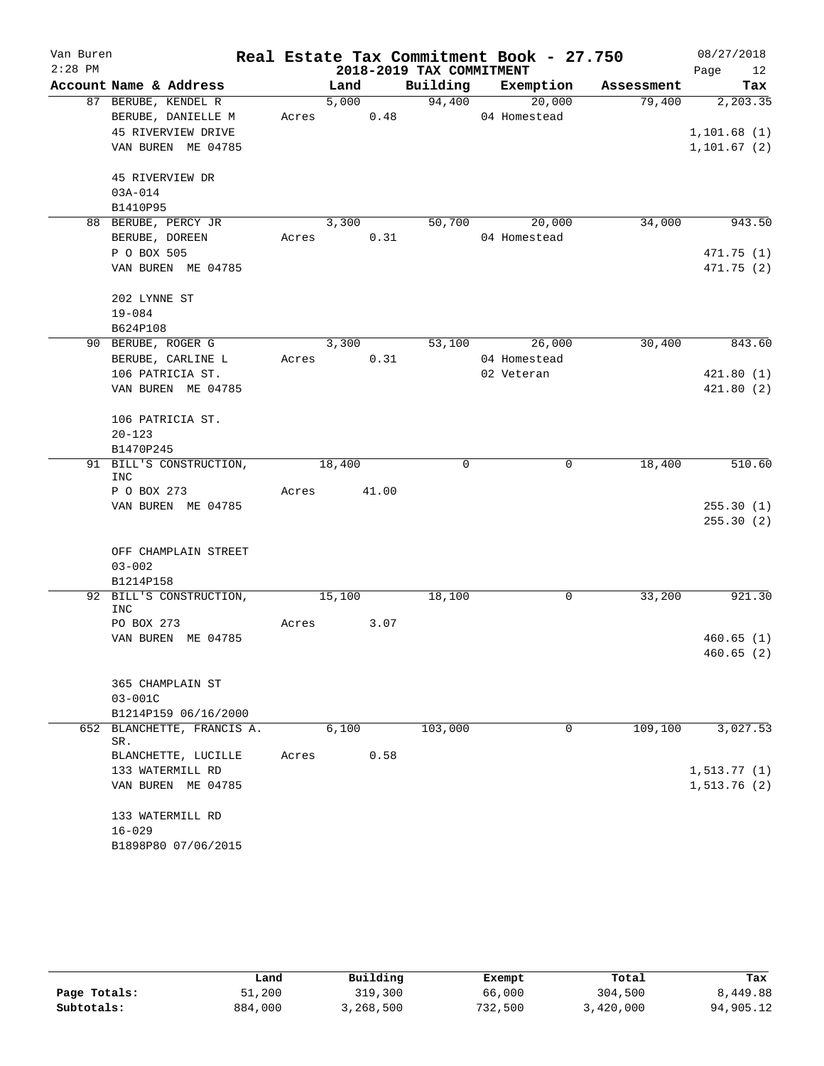| Van Buren |                                   |       |               |                          | Real Estate Tax Commitment Book - 27.750 |            | 08/27/2018   |
|-----------|-----------------------------------|-------|---------------|--------------------------|------------------------------------------|------------|--------------|
| $2:28$ PM |                                   |       |               | 2018-2019 TAX COMMITMENT |                                          |            | Page<br>12   |
|           | Account Name & Address            |       | Land          |                          | Building Exemption                       | Assessment | Tax          |
|           | 87 BERUBE, KENDEL R               |       | 5,000         | 94,400                   | 20,000                                   | 79,400     | 2,203.35     |
|           | BERUBE, DANIELLE M                | Acres | 0.48          |                          | 04 Homestead                             |            |              |
|           | 45 RIVERVIEW DRIVE                |       |               |                          |                                          |            | 1,101.68(1)  |
|           | VAN BUREN ME 04785                |       |               |                          |                                          |            | 1, 101.67(2) |
|           | 45 RIVERVIEW DR                   |       |               |                          |                                          |            |              |
|           | $03A - 014$                       |       |               |                          |                                          |            |              |
|           | B1410P95                          |       |               |                          |                                          |            |              |
|           | 88 BERUBE, PERCY JR               |       | 3,300         | 50,700                   | 20,000                                   | 34,000     | 943.50       |
|           | BERUBE, DOREEN                    |       | 0.31<br>Acres |                          | 04 Homestead                             |            |              |
|           | P O BOX 505                       |       |               |                          |                                          |            | 471.75(1)    |
|           | VAN BUREN ME 04785                |       |               |                          |                                          |            | 471.75 (2)   |
|           | 202 LYNNE ST                      |       |               |                          |                                          |            |              |
|           | $19 - 084$                        |       |               |                          |                                          |            |              |
|           | B624P108                          |       |               |                          |                                          |            |              |
|           | 90 BERUBE, ROGER G                |       | 3,300         | 53,100                   | 26,000                                   | 30,400     | 843.60       |
|           | BERUBE, CARLINE L                 | Acres | 0.31          |                          | 04 Homestead                             |            |              |
|           | 106 PATRICIA ST.                  |       |               |                          | 02 Veteran                               |            | 421.80(1)    |
|           | VAN BUREN ME 04785                |       |               |                          |                                          |            | 421.80 (2)   |
|           | 106 PATRICIA ST.                  |       |               |                          |                                          |            |              |
|           | $20 - 123$                        |       |               |                          |                                          |            |              |
|           | B1470P245                         |       |               |                          |                                          |            |              |
|           | 91 BILL'S CONSTRUCTION,<br>INC    |       | 18,400        | 0                        | 0                                        | 18,400     | 510.60       |
|           | P O BOX 273                       | Acres | 41.00         |                          |                                          |            |              |
|           | VAN BUREN ME 04785                |       |               |                          |                                          |            | 255.30(1)    |
|           |                                   |       |               |                          |                                          |            | 255.30(2)    |
|           | OFF CHAMPLAIN STREET              |       |               |                          |                                          |            |              |
|           | $03 - 002$                        |       |               |                          |                                          |            |              |
|           | B1214P158                         |       |               |                          |                                          |            |              |
|           | 92 BILL'S CONSTRUCTION,<br>INC    |       | 15,100        | 18,100                   | 0                                        | 33,200     | 921.30       |
|           | PO BOX 273                        | Acres | 3.07          |                          |                                          |            |              |
|           | VAN BUREN ME 04785                |       |               |                          |                                          |            | 460.65(1)    |
|           |                                   |       |               |                          |                                          |            | 460.65(2)    |
|           | 365 CHAMPLAIN ST                  |       |               |                          |                                          |            |              |
|           | $03 - 001C$                       |       |               |                          |                                          |            |              |
|           | B1214P159 06/16/2000              |       |               |                          |                                          |            |              |
|           | 652 BLANCHETTE, FRANCIS A.<br>SR. |       | 6,100         | 103,000                  | $\Omega$                                 | 109,100    | 3,027.53     |
|           | BLANCHETTE, LUCILLE               | Acres | 0.58          |                          |                                          |            |              |
|           | 133 WATERMILL RD                  |       |               |                          |                                          |            | 1, 513.77(1) |
|           | VAN BUREN ME 04785                |       |               |                          |                                          |            | 1,513.76(2)  |
|           | 133 WATERMILL RD                  |       |               |                          |                                          |            |              |
|           | $16 - 029$                        |       |               |                          |                                          |            |              |
|           | B1898P80 07/06/2015               |       |               |                          |                                          |            |              |

|              | Land    | Building  | Exempt  | Total     | Tax       |
|--------------|---------|-----------|---------|-----------|-----------|
| Page Totals: | 51,200  | 319,300   | 66,000  | 304,500   | 8,449.88  |
| Subtotals:   | 884,000 | 3,268,500 | 732,500 | 3,420,000 | 94,905.12 |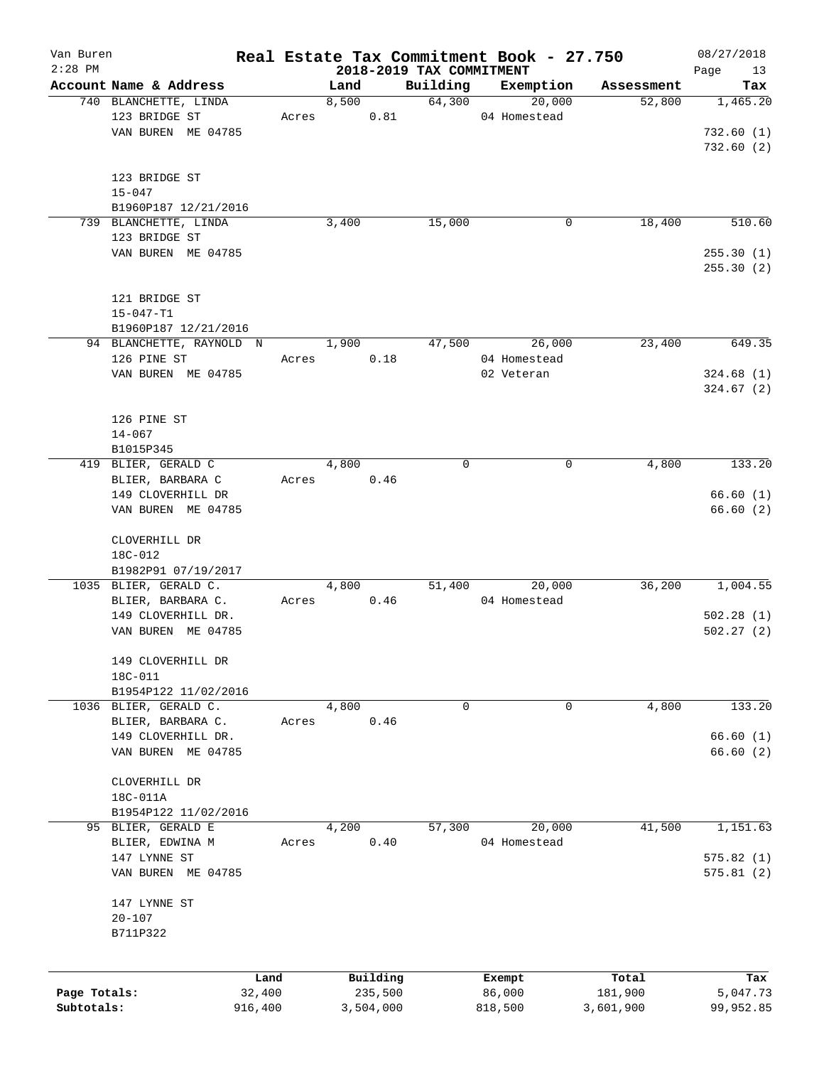| Van Buren    |                          |         |       |           |                                      | Real Estate Tax Commitment Book - 27.750 |            | 08/27/2018        |
|--------------|--------------------------|---------|-------|-----------|--------------------------------------|------------------------------------------|------------|-------------------|
| $2:28$ PM    | Account Name & Address   |         | Land  |           | 2018-2019 TAX COMMITMENT<br>Building | Exemption                                | Assessment | Page<br>13<br>Tax |
|              | 740 BLANCHETTE, LINDA    |         | 8,500 |           | 64,300                               | 20,000                                   | 52,800     | 1,465.20          |
|              | 123 BRIDGE ST            | Acres   |       | 0.81      |                                      | 04 Homestead                             |            |                   |
|              | VAN BUREN ME 04785       |         |       |           |                                      |                                          |            | 732.60(1)         |
|              |                          |         |       |           |                                      |                                          |            | 732.60(2)         |
|              |                          |         |       |           |                                      |                                          |            |                   |
|              | 123 BRIDGE ST            |         |       |           |                                      |                                          |            |                   |
|              | $15 - 047$               |         |       |           |                                      |                                          |            |                   |
|              | B1960P187 12/21/2016     |         |       |           |                                      |                                          |            |                   |
|              | 739 BLANCHETTE, LINDA    |         | 3,400 |           | 15,000                               | 0                                        | 18,400     | 510.60            |
|              | 123 BRIDGE ST            |         |       |           |                                      |                                          |            |                   |
|              | VAN BUREN ME 04785       |         |       |           |                                      |                                          |            | 255.30(1)         |
|              |                          |         |       |           |                                      |                                          |            | 255.30(2)         |
|              |                          |         |       |           |                                      |                                          |            |                   |
|              | 121 BRIDGE ST            |         |       |           |                                      |                                          |            |                   |
|              | $15 - 047 - T1$          |         |       |           |                                      |                                          |            |                   |
|              | B1960P187 12/21/2016     |         |       |           |                                      |                                          |            |                   |
|              | 94 BLANCHETTE, RAYNOLD N |         | 1,900 |           | 47,500                               | 26,000                                   | 23,400     | 649.35            |
|              | 126 PINE ST              | Acres   |       | 0.18      |                                      | 04 Homestead                             |            |                   |
|              | VAN BUREN ME 04785       |         |       |           |                                      | 02 Veteran                               |            | 324.68(1)         |
|              |                          |         |       |           |                                      |                                          |            | 324.67(2)         |
|              |                          |         |       |           |                                      |                                          |            |                   |
|              | 126 PINE ST              |         |       |           |                                      |                                          |            |                   |
|              | $14 - 067$               |         |       |           |                                      |                                          |            |                   |
|              | B1015P345                |         |       |           |                                      |                                          |            |                   |
|              | 419 BLIER, GERALD C      |         | 4,800 |           | 0                                    | 0                                        | 4,800      | 133.20            |
|              | BLIER, BARBARA C         | Acres   |       | 0.46      |                                      |                                          |            |                   |
|              | 149 CLOVERHILL DR        |         |       |           |                                      |                                          |            | 66.60(1)          |
|              | VAN BUREN ME 04785       |         |       |           |                                      |                                          |            | 66.60(2)          |
|              |                          |         |       |           |                                      |                                          |            |                   |
|              | CLOVERHILL DR            |         |       |           |                                      |                                          |            |                   |
|              | 18C-012                  |         |       |           |                                      |                                          |            |                   |
|              | B1982P91 07/19/2017      |         |       |           |                                      |                                          |            |                   |
|              | 1035 BLIER, GERALD C.    |         | 4,800 |           | 51,400                               | 20,000                                   | 36,200     | 1,004.55          |
|              | BLIER, BARBARA C.        | Acres   |       | 0.46      |                                      | 04 Homestead                             |            |                   |
|              | 149 CLOVERHILL DR.       |         |       |           |                                      |                                          |            | 502.28(1)         |
|              | VAN BUREN ME 04785       |         |       |           |                                      |                                          |            | 502.27(2)         |
|              |                          |         |       |           |                                      |                                          |            |                   |
|              | 149 CLOVERHILL DR        |         |       |           |                                      |                                          |            |                   |
|              | 18C-011                  |         |       |           |                                      |                                          |            |                   |
|              | B1954P122 11/02/2016     |         |       |           |                                      |                                          |            |                   |
|              | 1036 BLIER, GERALD C.    |         | 4,800 |           | 0                                    | 0                                        | 4,800      | 133.20            |
|              | BLIER, BARBARA C.        | Acres   |       | 0.46      |                                      |                                          |            |                   |
|              | 149 CLOVERHILL DR.       |         |       |           |                                      |                                          |            | 66.60(1)          |
|              | VAN BUREN ME 04785       |         |       |           |                                      |                                          |            | 66.60(2)          |
|              |                          |         |       |           |                                      |                                          |            |                   |
|              | CLOVERHILL DR            |         |       |           |                                      |                                          |            |                   |
|              | 18C-011A                 |         |       |           |                                      |                                          |            |                   |
|              | B1954P122 11/02/2016     |         |       |           |                                      |                                          |            |                   |
|              | 95 BLIER, GERALD E       |         | 4,200 |           | 57,300                               | 20,000                                   | 41,500     | 1,151.63          |
|              | BLIER, EDWINA M          | Acres   |       | 0.40      |                                      | 04 Homestead                             |            |                   |
|              | 147 LYNNE ST             |         |       |           |                                      |                                          |            | 575.82(1)         |
|              | VAN BUREN ME 04785       |         |       |           |                                      |                                          |            | 575.81(2)         |
|              |                          |         |       |           |                                      |                                          |            |                   |
|              | 147 LYNNE ST             |         |       |           |                                      |                                          |            |                   |
|              | $20 - 107$               |         |       |           |                                      |                                          |            |                   |
|              | B711P322                 |         |       |           |                                      |                                          |            |                   |
|              |                          |         |       |           |                                      |                                          |            |                   |
|              |                          |         |       |           |                                      |                                          |            |                   |
|              |                          | Land    |       | Building  |                                      | Exempt                                   | Total      | Tax               |
| Page Totals: |                          | 32,400  |       | 235,500   |                                      | 86,000                                   | 181,900    | 5,047.73          |
| Subtotals:   |                          | 916,400 |       | 3,504,000 |                                      | 818,500                                  | 3,601,900  | 99,952.85         |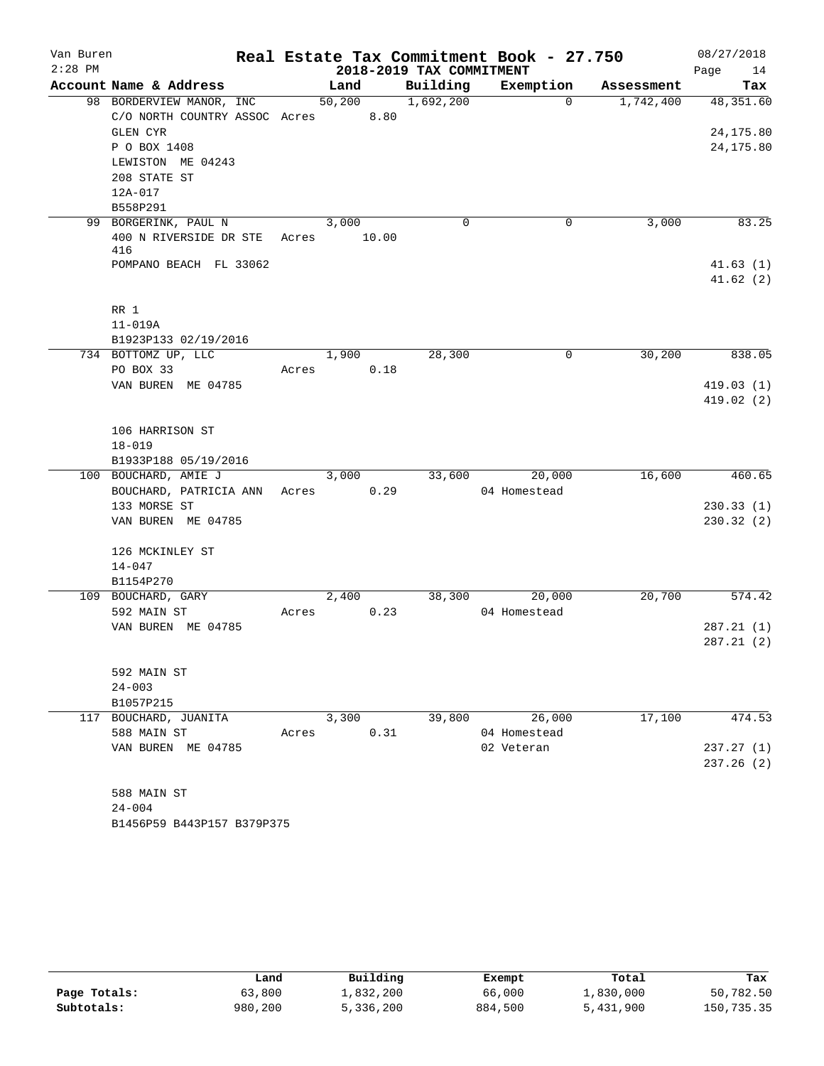| Van Buren |                                                       |       |        |                          | Real Estate Tax Commitment Book - 27.750 |            | 08/27/2018           |
|-----------|-------------------------------------------------------|-------|--------|--------------------------|------------------------------------------|------------|----------------------|
| $2:28$ PM |                                                       |       |        | 2018-2019 TAX COMMITMENT |                                          |            | Page<br>14           |
|           | Account Name & Address                                |       | Land   | Building                 | Exemption                                | Assessment | Tax                  |
|           | 98 BORDERVIEW MANOR, INC                              |       | 50,200 | 1,692,200                | $\Omega$                                 | 1,742,400  | 48,351.60            |
|           | C/O NORTH COUNTRY ASSOC Acres 8.80<br><b>GLEN CYR</b> |       |        |                          |                                          |            | 24, 175.80           |
|           | P O BOX 1408                                          |       |        |                          |                                          |            | 24, 175.80           |
|           | LEWISTON ME 04243                                     |       |        |                          |                                          |            |                      |
|           | 208 STATE ST                                          |       |        |                          |                                          |            |                      |
|           | 12A-017                                               |       |        |                          |                                          |            |                      |
|           | B558P291                                              |       |        |                          |                                          |            |                      |
|           | 99 BORGERINK, PAUL N                                  |       | 3,000  | 0                        | 0                                        | 3,000      | 83.25                |
|           | 400 N RIVERSIDE DR STE                                | Acres | 10.00  |                          |                                          |            |                      |
|           | 416                                                   |       |        |                          |                                          |            |                      |
|           | POMPANO BEACH FL 33062                                |       |        |                          |                                          |            | 41.63(1)<br>41.62(2) |
|           |                                                       |       |        |                          |                                          |            |                      |
|           | RR 1                                                  |       |        |                          |                                          |            |                      |
|           | $11 - 019A$                                           |       |        |                          |                                          |            |                      |
|           | B1923P133 02/19/2016                                  |       |        |                          |                                          |            |                      |
|           | 734 BOTTOMZ UP, LLC                                   |       | 1,900  | 28,300                   | $\mathbf 0$                              | 30,200     | 838.05               |
|           | PO BOX 33                                             | Acres | 0.18   |                          |                                          |            |                      |
|           | VAN BUREN ME 04785                                    |       |        |                          |                                          |            | 419.03(1)            |
|           |                                                       |       |        |                          |                                          |            | 419.02(2)            |
|           |                                                       |       |        |                          |                                          |            |                      |
|           | 106 HARRISON ST                                       |       |        |                          |                                          |            |                      |
|           | $18 - 019$<br>B1933P188 05/19/2016                    |       |        |                          |                                          |            |                      |
|           | 100 BOUCHARD, AMIE J                                  |       | 3,000  | 33,600                   | 20,000                                   | 16,600     | 460.65               |
|           | BOUCHARD, PATRICIA ANN                                | Acres | 0.29   |                          | 04 Homestead                             |            |                      |
|           | 133 MORSE ST                                          |       |        |                          |                                          |            | 230.33(1)            |
|           | VAN BUREN ME 04785                                    |       |        |                          |                                          |            | 230.32(2)            |
|           |                                                       |       |        |                          |                                          |            |                      |
|           | 126 MCKINLEY ST                                       |       |        |                          |                                          |            |                      |
|           | $14 - 047$                                            |       |        |                          |                                          |            |                      |
|           | B1154P270                                             |       |        |                          |                                          |            |                      |
|           | 109 BOUCHARD, GARY                                    |       | 2,400  | 38,300                   | 20,000<br>04 Homestead                   | 20,700     | 574.42               |
|           | 592 MAIN ST<br>VAN BUREN ME 04785                     | Acres | 0.23   |                          |                                          |            | 287.21(1)            |
|           |                                                       |       |        |                          |                                          |            | 287.21(2)            |
|           |                                                       |       |        |                          |                                          |            |                      |
|           | 592 MAIN ST                                           |       |        |                          |                                          |            |                      |
|           | $24 - 003$                                            |       |        |                          |                                          |            |                      |
|           | B1057P215                                             |       |        |                          |                                          |            |                      |
|           | 117 BOUCHARD, JUANITA                                 |       | 3,300  | 39,800                   | 26,000                                   | 17,100     | 474.53               |
|           | 588 MAIN ST                                           | Acres | 0.31   |                          | 04 Homestead                             |            |                      |
|           | VAN BUREN ME 04785                                    |       |        |                          | 02 Veteran                               |            | 237.27(1)            |
|           |                                                       |       |        |                          |                                          |            | 237.26(2)            |
|           |                                                       |       |        |                          |                                          |            |                      |
|           | 588 MAIN ST<br>$24 - 004$                             |       |        |                          |                                          |            |                      |
|           | B1456P59 B443P157 B379P375                            |       |        |                          |                                          |            |                      |
|           |                                                       |       |        |                          |                                          |            |                      |

|              | Land    | Building  | Exempt  | Total            | Tax        |
|--------------|---------|-----------|---------|------------------|------------|
| Page Totals: | 63,800  | 1,832,200 | 66,000  | $\perp$ ,830,000 | 50,782.50  |
| Subtotals:   | 980,200 | 5,336,200 | 884,500 | 5,431,900        | 150,735.35 |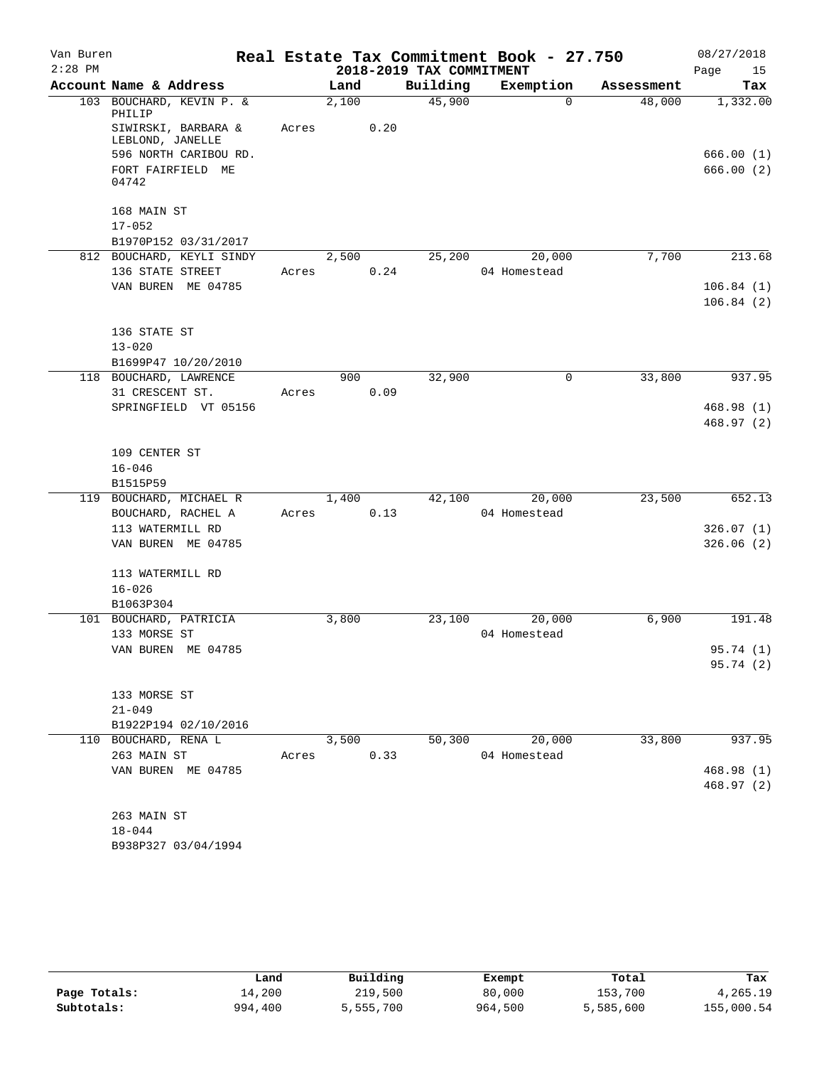| Van Buren |                                                   |       |       |      |                          | Real Estate Tax Commitment Book - 27.750 |            | 08/27/2018              |
|-----------|---------------------------------------------------|-------|-------|------|--------------------------|------------------------------------------|------------|-------------------------|
| $2:28$ PM |                                                   |       |       |      | 2018-2019 TAX COMMITMENT |                                          |            | Page<br>15              |
|           | Account Name & Address                            |       | Land  |      | Building                 | Exemption                                | Assessment | Tax                     |
|           | 103 BOUCHARD, KEVIN P. &<br>PHILIP                |       | 2,100 |      | 45,900                   | $\Omega$                                 | 48,000     | 1,332.00                |
|           | SIWIRSKI, BARBARA &<br>LEBLOND, JANELLE           | Acres |       | 0.20 |                          |                                          |            |                         |
|           | 596 NORTH CARIBOU RD.                             |       |       |      |                          |                                          |            | 666.00(1)               |
|           | FORT FAIRFIELD ME<br>04742                        |       |       |      |                          |                                          |            | 666.00 (2)              |
|           | 168 MAIN ST                                       |       |       |      |                          |                                          |            |                         |
|           | $17 - 052$                                        |       |       |      |                          |                                          |            |                         |
|           | B1970P152 03/31/2017<br>812 BOUCHARD, KEYLI SINDY |       | 2,500 |      | 25,200                   | 20,000                                   | 7,700      | 213.68                  |
|           | 136 STATE STREET                                  | Acres |       | 0.24 |                          | 04 Homestead                             |            |                         |
|           | VAN BUREN ME 04785                                |       |       |      |                          |                                          |            | 106.84(1)               |
|           |                                                   |       |       |      |                          |                                          |            | 106.84(2)               |
|           | 136 STATE ST                                      |       |       |      |                          |                                          |            |                         |
|           | $13 - 020$                                        |       |       |      |                          |                                          |            |                         |
|           | B1699P47 10/20/2010                               |       |       |      |                          |                                          |            |                         |
|           | 118 BOUCHARD, LAWRENCE                            |       | 900   |      | 32,900                   | $\mathbf 0$                              | 33,800     | 937.95                  |
|           | 31 CRESCENT ST.<br>SPRINGFIELD VT 05156           | Acres |       | 0.09 |                          |                                          |            | 468.98(1)               |
|           |                                                   |       |       |      |                          |                                          |            | 468.97(2)               |
|           |                                                   |       |       |      |                          |                                          |            |                         |
|           | 109 CENTER ST                                     |       |       |      |                          |                                          |            |                         |
|           | $16 - 046$                                        |       |       |      |                          |                                          |            |                         |
|           | B1515P59                                          |       |       |      |                          |                                          |            |                         |
|           | 119 BOUCHARD, MICHAEL R                           |       | 1,400 |      | 42,100                   | 20,000                                   | 23,500     | 652.13                  |
|           | BOUCHARD, RACHEL A<br>113 WATERMILL RD            | Acres |       | 0.13 |                          | 04 Homestead                             |            | 326.07(1)               |
|           | VAN BUREN ME 04785                                |       |       |      |                          |                                          |            | 326.06(2)               |
|           |                                                   |       |       |      |                          |                                          |            |                         |
|           | 113 WATERMILL RD                                  |       |       |      |                          |                                          |            |                         |
|           | $16 - 026$                                        |       |       |      |                          |                                          |            |                         |
|           | B1063P304<br>101 BOUCHARD, PATRICIA               |       | 3,800 |      | 23,100                   | 20,000                                   | 6,900      | 191.48                  |
|           | 133 MORSE ST                                      |       |       |      |                          | 04 Homestead                             |            |                         |
|           | VAN BUREN ME 04785                                |       |       |      |                          |                                          |            | 95.74 (1)               |
|           |                                                   |       |       |      |                          |                                          |            | 95.74 (2)               |
|           | 133 MORSE ST                                      |       |       |      |                          |                                          |            |                         |
|           | $21 - 049$                                        |       |       |      |                          |                                          |            |                         |
|           | B1922P194 02/10/2016                              |       |       |      |                          |                                          |            |                         |
|           | 110 BOUCHARD, RENA L                              |       | 3,500 |      | 50,300                   | 20,000                                   | 33,800     | 937.95                  |
|           | 263 MAIN ST                                       | Acres |       | 0.33 |                          | 04 Homestead                             |            |                         |
|           | VAN BUREN ME 04785                                |       |       |      |                          |                                          |            | 468.98(1)<br>468.97 (2) |
|           |                                                   |       |       |      |                          |                                          |            |                         |
|           | 263 MAIN ST                                       |       |       |      |                          |                                          |            |                         |
|           | $18 - 044$                                        |       |       |      |                          |                                          |            |                         |
|           | B938P327 03/04/1994                               |       |       |      |                          |                                          |            |                         |

|              | Land    | Building  | Exempt  | Total     | Tax        |
|--------------|---------|-----------|---------|-----------|------------|
| Page Totals: | 14,200  | 219,500   | 80,000  | 153,700   | 4,265.19   |
| Subtotals:   | 994,400 | 5,555,700 | 964,500 | 5,585,600 | 155,000.54 |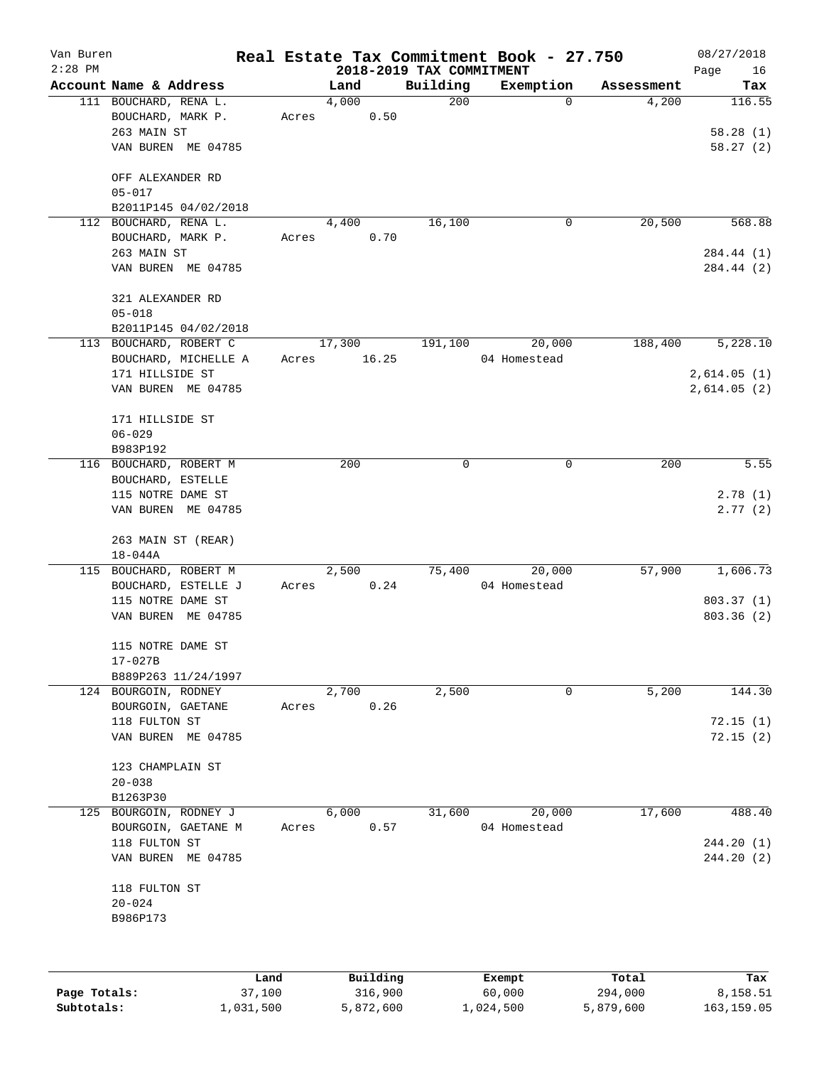| Van Buren<br>$2:28$ PM |                                                |       |        |           |                                      | Real Estate Tax Commitment Book - 27.750 |            | 08/27/2018        |
|------------------------|------------------------------------------------|-------|--------|-----------|--------------------------------------|------------------------------------------|------------|-------------------|
|                        | Account Name & Address                         |       | Land   |           | 2018-2019 TAX COMMITMENT<br>Building | Exemption                                | Assessment | Page<br>16<br>Tax |
|                        | 111 BOUCHARD, RENA L.                          |       | 4,000  |           | 200                                  | $\Omega$                                 | 4,200      | 116.55            |
|                        | BOUCHARD, MARK P.                              | Acres |        | 0.50      |                                      |                                          |            |                   |
|                        | 263 MAIN ST                                    |       |        |           |                                      |                                          |            | 58.28(1)          |
|                        | VAN BUREN ME 04785                             |       |        |           |                                      |                                          |            | 58.27(2)          |
|                        |                                                |       |        |           |                                      |                                          |            |                   |
|                        | OFF ALEXANDER RD                               |       |        |           |                                      |                                          |            |                   |
|                        | $05 - 017$                                     |       |        |           |                                      |                                          |            |                   |
|                        | B2011P145 04/02/2018                           |       |        |           |                                      |                                          |            |                   |
|                        | 112 BOUCHARD, RENA L.                          |       | 4,400  |           | 16,100                               | 0                                        | 20,500     | 568.88            |
|                        | BOUCHARD, MARK P.                              | Acres |        | 0.70      |                                      |                                          |            |                   |
|                        | 263 MAIN ST                                    |       |        |           |                                      |                                          |            | 284.44 (1)        |
|                        | VAN BUREN ME 04785                             |       |        |           |                                      |                                          |            | 284.44 (2)        |
|                        |                                                |       |        |           |                                      |                                          |            |                   |
|                        | 321 ALEXANDER RD                               |       |        |           |                                      |                                          |            |                   |
|                        | $05 - 018$                                     |       |        |           |                                      |                                          |            |                   |
|                        | B2011P145 04/02/2018<br>113 BOUCHARD, ROBERT C |       | 17,300 |           | 191,100                              | 20,000                                   | 188,400    | 5,228.10          |
|                        |                                                | Acres |        | 16.25     |                                      | 04 Homestead                             |            |                   |
|                        | BOUCHARD, MICHELLE A<br>171 HILLSIDE ST        |       |        |           |                                      |                                          |            | 2,614.05(1)       |
|                        | VAN BUREN ME 04785                             |       |        |           |                                      |                                          |            |                   |
|                        |                                                |       |        |           |                                      |                                          |            | 2,614.05 (2)      |
|                        | 171 HILLSIDE ST                                |       |        |           |                                      |                                          |            |                   |
|                        | $06 - 029$                                     |       |        |           |                                      |                                          |            |                   |
|                        | B983P192                                       |       |        |           |                                      |                                          |            |                   |
|                        | 116 BOUCHARD, ROBERT M                         |       | 200    |           | 0                                    | $\mathbf 0$                              | 200        | 5.55              |
|                        | BOUCHARD, ESTELLE                              |       |        |           |                                      |                                          |            |                   |
|                        | 115 NOTRE DAME ST                              |       |        |           |                                      |                                          |            | 2.78(1)           |
|                        | VAN BUREN ME 04785                             |       |        |           |                                      |                                          |            | 2.77(2)           |
|                        |                                                |       |        |           |                                      |                                          |            |                   |
|                        | 263 MAIN ST (REAR)                             |       |        |           |                                      |                                          |            |                   |
|                        | $18 - 044A$                                    |       |        |           |                                      |                                          |            |                   |
|                        | 115 BOUCHARD, ROBERT M                         |       | 2,500  |           | 75,400                               | 20,000                                   | 57,900     | 1,606.73          |
|                        | BOUCHARD, ESTELLE J                            | Acres |        | 0.24      |                                      | 04 Homestead                             |            |                   |
|                        | 115 NOTRE DAME ST                              |       |        |           |                                      |                                          |            | 803.37(1)         |
|                        | VAN BUREN ME 04785                             |       |        |           |                                      |                                          |            | 803.36(2)         |
|                        |                                                |       |        |           |                                      |                                          |            |                   |
|                        | 115 NOTRE DAME ST                              |       |        |           |                                      |                                          |            |                   |
|                        | $17 - 027B$<br>B889P263 11/24/1997             |       |        |           |                                      |                                          |            |                   |
|                        | 124 BOURGOIN, RODNEY                           |       | 2,700  |           | 2,500                                | $\mathsf{O}$                             | 5,200      | 144.30            |
|                        | BOURGOIN, GAETANE                              | Acres |        | 0.26      |                                      |                                          |            |                   |
|                        | 118 FULTON ST                                  |       |        |           |                                      |                                          |            | 72.15(1)          |
|                        | VAN BUREN ME 04785                             |       |        |           |                                      |                                          |            | 72.15(2)          |
|                        |                                                |       |        |           |                                      |                                          |            |                   |
|                        | 123 CHAMPLAIN ST                               |       |        |           |                                      |                                          |            |                   |
|                        | $20 - 038$                                     |       |        |           |                                      |                                          |            |                   |
|                        | B1263P30                                       |       |        |           |                                      |                                          |            |                   |
| 125                    | BOURGOIN, RODNEY J                             |       | 6,000  |           | 31,600                               | 20,000                                   | 17,600     | 488.40            |
|                        | BOURGOIN, GAETANE M                            | Acres |        | 0.57      |                                      | 04 Homestead                             |            |                   |
|                        | 118 FULTON ST                                  |       |        |           |                                      |                                          |            | 244.20(1)         |
|                        | VAN BUREN ME 04785                             |       |        |           |                                      |                                          |            | 244.20(2)         |
|                        |                                                |       |        |           |                                      |                                          |            |                   |
|                        | 118 FULTON ST                                  |       |        |           |                                      |                                          |            |                   |
|                        | $20 - 024$                                     |       |        |           |                                      |                                          |            |                   |
|                        | B986P173                                       |       |        |           |                                      |                                          |            |                   |
|                        |                                                |       |        |           |                                      |                                          |            |                   |
|                        |                                                | Land  |        | Building  |                                      |                                          | Total      |                   |
| Page Totals:           | 37,100                                         |       |        | 316,900   |                                      | Exempt<br>60,000                         | 294,000    | Tax<br>8,158.51   |
| Subtotals:             | 1,031,500                                      |       |        | 5,872,600 |                                      | 1,024,500                                | 5,879,600  | 163, 159.05       |
|                        |                                                |       |        |           |                                      |                                          |            |                   |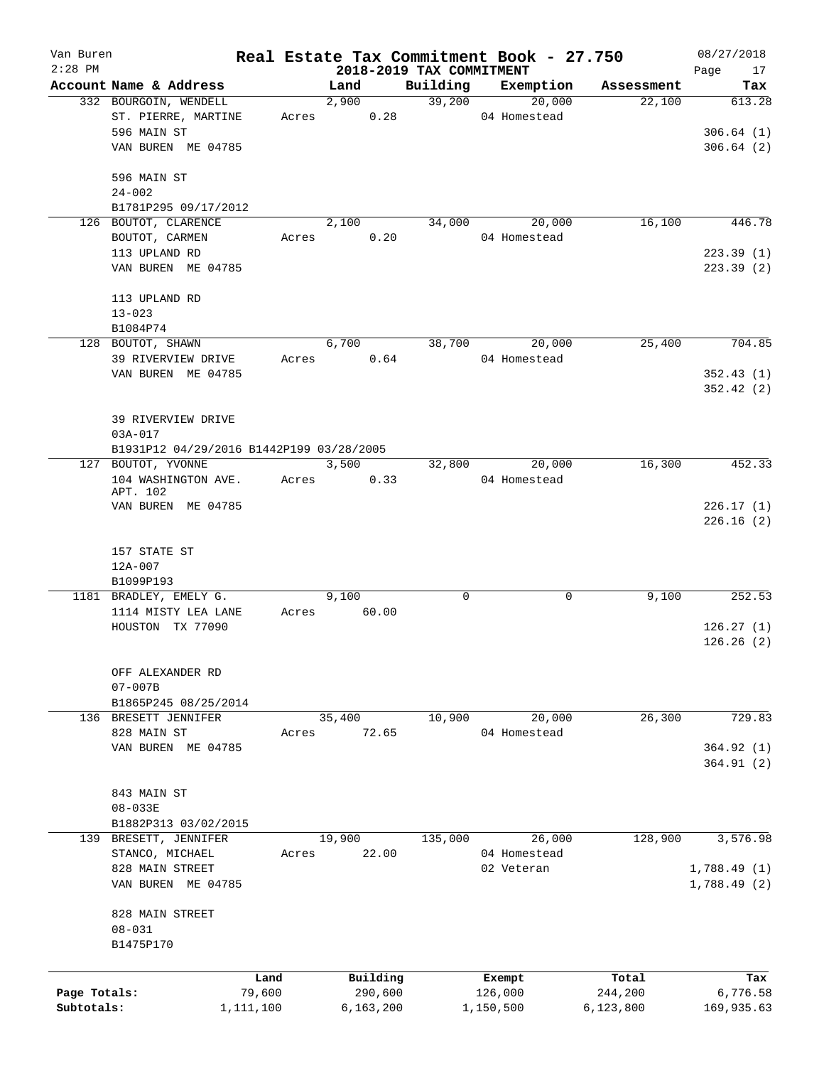| Van Buren<br>$2:28$ PM |                                          |           | 2018-2019 TAX COMMITMENT |          | Real Estate Tax Commitment Book - 27.750 |            | 08/27/2018<br>Page<br>17 |
|------------------------|------------------------------------------|-----------|--------------------------|----------|------------------------------------------|------------|--------------------------|
|                        | Account Name & Address                   |           | Land                     | Building | Exemption                                | Assessment | Tax                      |
|                        | 332 BOURGOIN, WENDELL                    |           | 2,900                    | 39,200   | 20,000                                   | 22,100     | 613.28                   |
|                        | ST. PIERRE, MARTINE                      | Acres     | 0.28                     |          | 04 Homestead                             |            |                          |
|                        | 596 MAIN ST                              |           |                          |          |                                          |            | 306.64(1)                |
|                        | VAN BUREN ME 04785                       |           |                          |          |                                          |            | 306.64(2)                |
|                        | 596 MAIN ST                              |           |                          |          |                                          |            |                          |
|                        | $24 - 002$                               |           |                          |          |                                          |            |                          |
|                        | B1781P295 09/17/2012                     |           |                          |          |                                          |            |                          |
|                        | 126 BOUTOT, CLARENCE                     |           | 2,100                    | 34,000   | 20,000                                   | 16,100     | 446.78                   |
|                        | BOUTOT, CARMEN                           | Acres     | 0.20                     |          | 04 Homestead                             |            |                          |
|                        | 113 UPLAND RD                            |           |                          |          |                                          |            | 223.39(1)                |
|                        | VAN BUREN ME 04785                       |           |                          |          |                                          |            | 223.39(2)                |
|                        | 113 UPLAND RD                            |           |                          |          |                                          |            |                          |
|                        | $13 - 023$                               |           |                          |          |                                          |            |                          |
|                        | B1084P74                                 |           |                          |          |                                          |            |                          |
|                        | 128 BOUTOT, SHAWN                        |           | 6,700                    | 38,700   | 20,000                                   | 25,400     | 704.85                   |
|                        | 39 RIVERVIEW DRIVE                       | Acres     | 0.64                     |          | 04 Homestead                             |            |                          |
|                        | VAN BUREN ME 04785                       |           |                          |          |                                          |            | 352.43(1)                |
|                        |                                          |           |                          |          |                                          |            | 352.42(2)                |
|                        | 39 RIVERVIEW DRIVE                       |           |                          |          |                                          |            |                          |
|                        | 03A-017                                  |           |                          |          |                                          |            |                          |
|                        | B1931P12 04/29/2016 B1442P199 03/28/2005 |           |                          |          |                                          |            |                          |
|                        | 127 BOUTOT, YVONNE                       |           | 3,500                    | 32,800   | 20,000                                   | 16,300     | 452.33                   |
|                        | 104 WASHINGTON AVE.                      | Acres     | 0.33                     |          | 04 Homestead                             |            |                          |
|                        | APT. 102                                 |           |                          |          |                                          |            |                          |
|                        | VAN BUREN ME 04785                       |           |                          |          |                                          |            | 226.17(1)                |
|                        |                                          |           |                          |          |                                          |            | 226.16(2)                |
|                        |                                          |           |                          |          |                                          |            |                          |
|                        | 157 STATE ST                             |           |                          |          |                                          |            |                          |
|                        | 12A-007                                  |           |                          |          |                                          |            |                          |
|                        | B1099P193                                |           |                          |          |                                          |            |                          |
|                        | 1181 BRADLEY, EMELY G.                   | Acres     | 9,100<br>60.00           | 0        | 0                                        | 9,100      | 252.53                   |
|                        | 1114 MISTY LEA LANE<br>HOUSTON TX 77090  |           |                          |          |                                          |            | 126.27(1)                |
|                        |                                          |           |                          |          |                                          |            | 126.26(2)                |
|                        |                                          |           |                          |          |                                          |            |                          |
|                        | OFF ALEXANDER RD                         |           |                          |          |                                          |            |                          |
|                        | $07 - 007B$                              |           |                          |          |                                          |            |                          |
|                        | B1865P245 08/25/2014                     |           |                          |          |                                          |            |                          |
|                        | 136 BRESETT JENNIFER                     |           | 35,400                   | 10,900   | 20,000                                   | 26,300     | 729.83                   |
|                        | 828 MAIN ST                              | Acres     | 72.65                    |          | 04 Homestead                             |            |                          |
|                        | VAN BUREN ME 04785                       |           |                          |          |                                          |            | 364.92(1)                |
|                        |                                          |           |                          |          |                                          |            | 364.91(2)                |
|                        |                                          |           |                          |          |                                          |            |                          |
|                        | 843 MAIN ST                              |           |                          |          |                                          |            |                          |
|                        | $08 - 033E$                              |           |                          |          |                                          |            |                          |
|                        | B1882P313 03/02/2015                     |           |                          |          |                                          |            |                          |
|                        | 139 BRESETT, JENNIFER                    |           | 19,900                   | 135,000  | 26,000                                   | 128,900    | 3, 576.98                |
|                        | STANCO, MICHAEL                          | Acres     | 22.00                    |          | 04 Homestead                             |            |                          |
|                        | 828 MAIN STREET                          |           |                          |          | 02 Veteran                               |            | 1,788.49(1)              |
|                        | VAN BUREN ME 04785                       |           |                          |          |                                          |            | 1,788.49(2)              |
|                        | 828 MAIN STREET                          |           |                          |          |                                          |            |                          |
|                        | $08 - 031$                               |           |                          |          |                                          |            |                          |
|                        | B1475P170                                |           |                          |          |                                          |            |                          |
|                        |                                          |           |                          |          |                                          |            |                          |
|                        |                                          | Land      | Building                 |          | Exempt                                   | Total      | Tax                      |
| Page Totals:           |                                          | 79,600    | 290,600                  |          | 126,000                                  | 244,200    | 6,776.58                 |
| Subtotals:             |                                          | 1,111,100 | 6,163,200                |          | 1,150,500                                | 6,123,800  | 169,935.63               |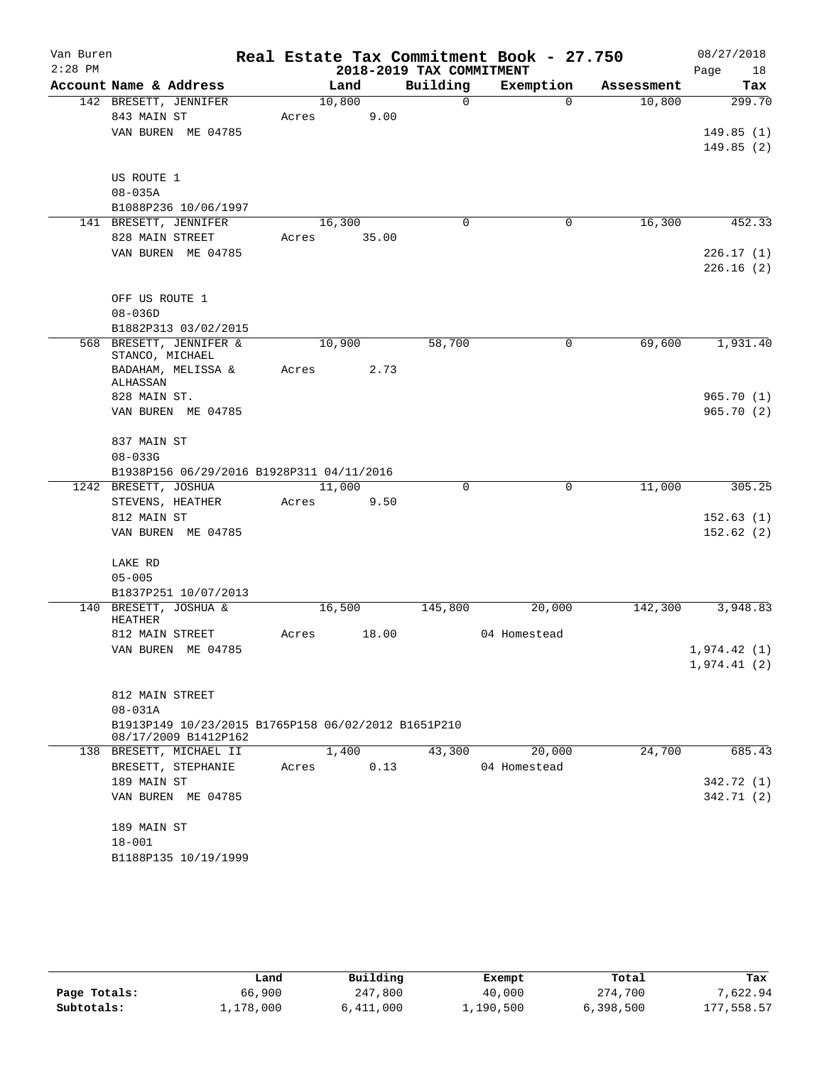| Van Buren |                                                                    |       |        |                          | Real Estate Tax Commitment Book - 27.750 |            | 08/27/2018             |
|-----------|--------------------------------------------------------------------|-------|--------|--------------------------|------------------------------------------|------------|------------------------|
| $2:28$ PM |                                                                    |       |        | 2018-2019 TAX COMMITMENT |                                          |            | Page<br>18             |
|           | Account Name & Address                                             |       | Land   | Building                 | Exemption                                | Assessment | Tax                    |
|           | 142 BRESETT, JENNIFER                                              |       | 10,800 | $\Omega$                 | $\Omega$                                 | 10,800     | 299.70                 |
|           | 843 MAIN ST                                                        | Acres | 9.00   |                          |                                          |            |                        |
|           | VAN BUREN ME 04785                                                 |       |        |                          |                                          |            | 149.85(1)<br>149.85(2) |
|           |                                                                    |       |        |                          |                                          |            |                        |
|           | US ROUTE 1                                                         |       |        |                          |                                          |            |                        |
|           | $08 - 035A$                                                        |       |        |                          |                                          |            |                        |
|           | B1088P236 10/06/1997                                               |       |        |                          |                                          |            |                        |
|           | 141 BRESETT, JENNIFER                                              |       | 16,300 | $\mathbf 0$              | $\mathbf 0$                              | 16,300     | 452.33                 |
|           | 828 MAIN STREET                                                    | Acres | 35.00  |                          |                                          |            |                        |
|           | VAN BUREN ME 04785                                                 |       |        |                          |                                          |            | 226.17(1)              |
|           |                                                                    |       |        |                          |                                          |            | 226.16(2)              |
|           |                                                                    |       |        |                          |                                          |            |                        |
|           | OFF US ROUTE 1                                                     |       |        |                          |                                          |            |                        |
|           | $08 - 036D$                                                        |       |        |                          |                                          |            |                        |
|           | B1882P313 03/02/2015<br>568 BRESETT, JENNIFER &                    |       | 10,900 | 58,700                   | $\mathbf 0$                              | 69,600     | 1,931.40               |
|           | STANCO, MICHAEL                                                    |       |        |                          |                                          |            |                        |
|           | BADAHAM, MELISSA &                                                 | Acres | 2.73   |                          |                                          |            |                        |
|           | ALHASSAN                                                           |       |        |                          |                                          |            |                        |
|           | 828 MAIN ST.                                                       |       |        |                          |                                          |            | 965.70(1)              |
|           | VAN BUREN ME 04785                                                 |       |        |                          |                                          |            | 965.70(2)              |
|           | 837 MAIN ST                                                        |       |        |                          |                                          |            |                        |
|           | $08 - 033G$                                                        |       |        |                          |                                          |            |                        |
|           | B1938P156 06/29/2016 B1928P311 04/11/2016                          |       |        |                          |                                          |            |                        |
|           | 1242 BRESETT, JOSHUA                                               |       | 11,000 | 0                        | $\mathbf 0$                              | 11,000     | 305.25                 |
|           | STEVENS, HEATHER                                                   | Acres | 9.50   |                          |                                          |            |                        |
|           | 812 MAIN ST                                                        |       |        |                          |                                          |            | 152.63(1)              |
|           | VAN BUREN ME 04785                                                 |       |        |                          |                                          |            | 152.62(2)              |
|           |                                                                    |       |        |                          |                                          |            |                        |
|           | LAKE RD                                                            |       |        |                          |                                          |            |                        |
|           | $05 - 005$                                                         |       |        |                          |                                          |            |                        |
|           | B1837P251 10/07/2013<br>140 BRESETT, JOSHUA &                      |       | 16,500 | 145,800                  | 20,000                                   | 142,300    | 3,948.83               |
|           | <b>HEATHER</b>                                                     |       |        |                          |                                          |            |                        |
|           | 812 MAIN STREET                                                    | Acres | 18.00  |                          | 04 Homestead                             |            |                        |
|           | VAN BUREN ME 04785                                                 |       |        |                          |                                          |            | 1,974.42 (1)           |
|           |                                                                    |       |        |                          |                                          |            | 1,974.41(2)            |
|           |                                                                    |       |        |                          |                                          |            |                        |
|           | 812 MAIN STREET                                                    |       |        |                          |                                          |            |                        |
|           | $08 - 031A$<br>B1913P149 10/23/2015 B1765P158 06/02/2012 B1651P210 |       |        |                          |                                          |            |                        |
|           | 08/17/2009 B1412P162                                               |       |        |                          |                                          |            |                        |
|           | 138 BRESETT, MICHAEL II                                            |       | 1,400  | 43,300                   | 20,000                                   | 24,700     | 685.43                 |
|           | BRESETT, STEPHANIE                                                 | Acres | 0.13   |                          | 04 Homestead                             |            |                        |
|           | 189 MAIN ST                                                        |       |        |                          |                                          |            | 342.72 (1)             |
|           | VAN BUREN ME 04785                                                 |       |        |                          |                                          |            | 342.71 (2)             |
|           |                                                                    |       |        |                          |                                          |            |                        |
|           | 189 MAIN ST                                                        |       |        |                          |                                          |            |                        |
|           | $18 - 001$                                                         |       |        |                          |                                          |            |                        |
|           | B1188P135 10/19/1999                                               |       |        |                          |                                          |            |                        |

|              | Land      | Building  | Exempt    | Total     | Tax        |
|--------------|-----------|-----------|-----------|-----------|------------|
| Page Totals: | 66,900    | 247,800   | 40,000    | 274,700   | 7.622.94   |
| Subtotals:   | 1,178,000 | 5,411,000 | 1,190,500 | 6,398,500 | 177,558.57 |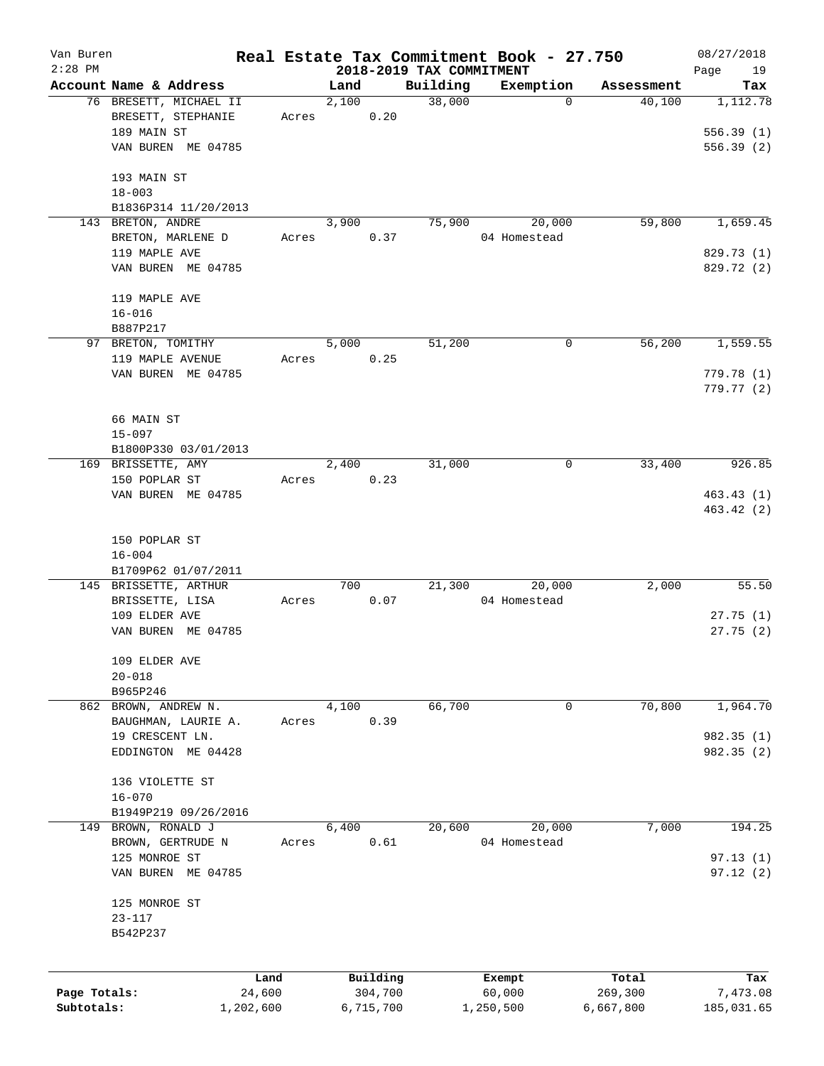| Van Buren    |                                     |        |       |           |                          | Real Estate Tax Commitment Book - 27.750 |            | 08/27/2018             |
|--------------|-------------------------------------|--------|-------|-----------|--------------------------|------------------------------------------|------------|------------------------|
| $2:28$ PM    |                                     |        |       |           | 2018-2019 TAX COMMITMENT |                                          |            | Page<br>19             |
|              | Account Name & Address              |        | Land  |           | Building                 | Exemption                                | Assessment | Tax                    |
|              | 76 BRESETT, MICHAEL II              |        | 2,100 |           | 38,000                   | 0                                        | 40,100     | 1,112.78               |
|              | BRESETT, STEPHANIE                  | Acres  |       | 0.20      |                          |                                          |            |                        |
|              | 189 MAIN ST                         |        |       |           |                          |                                          |            | 556.39(1)              |
|              | VAN BUREN ME 04785                  |        |       |           |                          |                                          |            | 556.39(2)              |
|              | 193 MAIN ST                         |        |       |           |                          |                                          |            |                        |
|              | $18 - 003$                          |        |       |           |                          |                                          |            |                        |
|              | B1836P314 11/20/2013                |        |       |           |                          |                                          |            |                        |
|              | 143 BRETON, ANDRE                   |        | 3,900 |           | 75,900                   | 20,000                                   | 59,800     | 1,659.45               |
|              | BRETON, MARLENE D                   | Acres  |       | 0.37      |                          | 04 Homestead                             |            |                        |
|              | 119 MAPLE AVE                       |        |       |           |                          |                                          |            | 829.73 (1)             |
|              | VAN BUREN ME 04785                  |        |       |           |                          |                                          |            | 829.72 (2)             |
|              | 119 MAPLE AVE                       |        |       |           |                          |                                          |            |                        |
|              | $16 - 016$                          |        |       |           |                          |                                          |            |                        |
|              | B887P217                            |        |       |           |                          |                                          |            |                        |
|              | 97 BRETON, TOMITHY                  |        | 5,000 |           | 51,200                   | 0                                        | 56,200     | 1,559.55               |
|              | 119 MAPLE AVENUE                    | Acres  |       | 0.25      |                          |                                          |            |                        |
|              | VAN BUREN ME 04785                  |        |       |           |                          |                                          |            | 779.78 (1)             |
|              |                                     |        |       |           |                          |                                          |            | 779.77 (2)             |
|              |                                     |        |       |           |                          |                                          |            |                        |
|              | 66 MAIN ST                          |        |       |           |                          |                                          |            |                        |
|              | $15 - 097$                          |        |       |           |                          |                                          |            |                        |
|              | B1800P330 03/01/2013                |        |       |           |                          |                                          |            |                        |
|              | 169 BRISSETTE, AMY                  |        | 2,400 |           | 31,000                   | 0                                        | 33,400     | 926.85                 |
|              | 150 POPLAR ST<br>VAN BUREN ME 04785 | Acres  |       | 0.23      |                          |                                          |            |                        |
|              |                                     |        |       |           |                          |                                          |            | 463.43(1)<br>463.42(2) |
|              |                                     |        |       |           |                          |                                          |            |                        |
|              | 150 POPLAR ST                       |        |       |           |                          |                                          |            |                        |
|              | $16 - 004$                          |        |       |           |                          |                                          |            |                        |
|              | B1709P62 01/07/2011                 |        |       |           |                          |                                          |            |                        |
|              | 145 BRISSETTE, ARTHUR               |        | 700   |           | 21,300                   | 20,000                                   | 2,000      | 55.50                  |
|              | BRISSETTE, LISA                     | Acres  |       | 0.07      |                          | 04 Homestead                             |            |                        |
|              | 109 ELDER AVE                       |        |       |           |                          |                                          |            | 27.75(1)               |
|              | VAN BUREN ME 04785                  |        |       |           |                          |                                          |            | 27.75(2)               |
|              | 109 ELDER AVE                       |        |       |           |                          |                                          |            |                        |
|              | $20 - 018$                          |        |       |           |                          |                                          |            |                        |
|              | B965P246                            |        |       |           |                          |                                          |            |                        |
|              | 862 BROWN, ANDREW N.                |        | 4,100 |           | 66,700                   | 0                                        | 70,800     | 1,964.70               |
|              | BAUGHMAN, LAURIE A.                 | Acres  |       | 0.39      |                          |                                          |            |                        |
|              | 19 CRESCENT LN.                     |        |       |           |                          |                                          |            | 982.35 (1)             |
|              | EDDINGTON ME 04428                  |        |       |           |                          |                                          |            | 982.35(2)              |
|              | 136 VIOLETTE ST                     |        |       |           |                          |                                          |            |                        |
|              | $16 - 070$                          |        |       |           |                          |                                          |            |                        |
|              | B1949P219 09/26/2016                |        |       |           |                          |                                          |            |                        |
| 149          | BROWN, RONALD J                     |        | 6,400 |           | 20,600                   | 20,000                                   | 7,000      | 194.25                 |
|              | BROWN, GERTRUDE N                   | Acres  |       | 0.61      |                          | 04 Homestead                             |            |                        |
|              | 125 MONROE ST                       |        |       |           |                          |                                          |            | 97.13(1)               |
|              | VAN BUREN ME 04785                  |        |       |           |                          |                                          |            | 97.12(2)               |
|              | 125 MONROE ST                       |        |       |           |                          |                                          |            |                        |
|              | $23 - 117$                          |        |       |           |                          |                                          |            |                        |
|              | B542P237                            |        |       |           |                          |                                          |            |                        |
|              |                                     |        |       |           |                          |                                          |            |                        |
|              |                                     | Land   |       | Building  |                          | Exempt                                   | Total      | Tax                    |
| Page Totals: |                                     | 24,600 |       | 304,700   |                          | 60,000                                   | 269,300    | 7,473.08               |
| Subtotals:   | 1,202,600                           |        |       | 6,715,700 |                          | 1,250,500                                | 6,667,800  | 185,031.65             |
|              |                                     |        |       |           |                          |                                          |            |                        |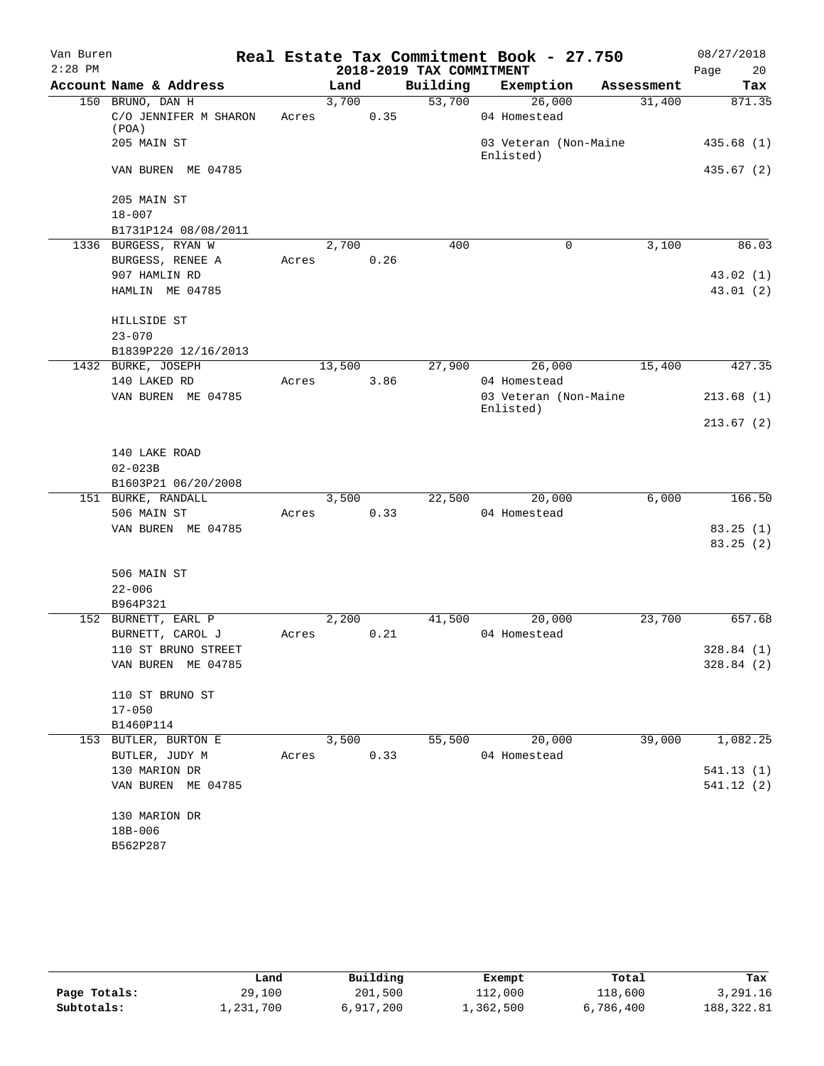| Van Buren |                                                    |       |        |      |                          | Real Estate Tax Commitment Book - 27.750 |            | 08/27/2018 |
|-----------|----------------------------------------------------|-------|--------|------|--------------------------|------------------------------------------|------------|------------|
| $2:28$ PM |                                                    |       |        |      | 2018-2019 TAX COMMITMENT |                                          |            | 20<br>Page |
|           | Account Name & Address                             |       | Land   |      | Building                 | Exemption                                | Assessment | Tax        |
|           | 150 BRUNO, DAN H<br>C/O JENNIFER M SHARON<br>(POA) | Acres | 3,700  | 0.35 | 53,700                   | 26,000<br>04 Homestead                   | 31,400     | 871.35     |
|           | 205 MAIN ST                                        |       |        |      |                          | 03 Veteran (Non-Maine<br>Enlisted)       |            | 435.68(1)  |
|           | VAN BUREN ME 04785                                 |       |        |      |                          |                                          |            | 435.67 (2) |
|           | 205 MAIN ST<br>$18 - 007$                          |       |        |      |                          |                                          |            |            |
|           | B1731P124 08/08/2011                               |       |        |      |                          |                                          |            |            |
|           | 1336 BURGESS, RYAN W                               |       | 2,700  |      | 400                      | 0                                        | 3,100      | 86.03      |
|           | BURGESS, RENEE A                                   | Acres |        | 0.26 |                          |                                          |            |            |
|           | 907 HAMLIN RD                                      |       |        |      |                          |                                          |            | 43.02(1)   |
|           | HAMLIN ME 04785                                    |       |        |      |                          |                                          |            | 43.01(2)   |
|           | HILLSIDE ST                                        |       |        |      |                          |                                          |            |            |
|           | $23 - 070$                                         |       |        |      |                          |                                          |            |            |
|           | B1839P220 12/16/2013                               |       |        |      |                          |                                          |            |            |
|           | 1432 BURKE, JOSEPH                                 |       | 13,500 |      | 27,900                   | 26,000                                   | 15,400     | 427.35     |
|           | 140 LAKED RD                                       | Acres |        | 3.86 |                          | 04 Homestead                             |            |            |
|           | VAN BUREN ME 04785                                 |       |        |      |                          | 03 Veteran (Non-Maine                    |            | 213.68(1)  |
|           |                                                    |       |        |      |                          | Enlisted)                                |            | 213.67(2)  |
|           |                                                    |       |        |      |                          |                                          |            |            |
|           | 140 LAKE ROAD                                      |       |        |      |                          |                                          |            |            |
|           | $02 - 023B$                                        |       |        |      |                          |                                          |            |            |
|           | B1603P21 06/20/2008                                |       |        |      |                          |                                          |            |            |
|           | 151 BURKE, RANDALL                                 |       | 3,500  |      | 22,500                   | 20,000                                   | 6,000      | 166.50     |
|           | 506 MAIN ST                                        | Acres |        | 0.33 |                          | 04 Homestead                             |            |            |
|           | VAN BUREN ME 04785                                 |       |        |      |                          |                                          |            | 83.25(1)   |
|           |                                                    |       |        |      |                          |                                          |            | 83.25(2)   |
|           | 506 MAIN ST                                        |       |        |      |                          |                                          |            |            |
|           | $22 - 006$                                         |       |        |      |                          |                                          |            |            |
|           | B964P321                                           |       |        |      |                          |                                          |            |            |
|           | 152 BURNETT, EARL P                                |       | 2,200  |      | 41,500                   | 20,000                                   | 23,700     | 657.68     |
|           | BURNETT, CAROL J                                   | Acres |        | 0.21 |                          | 04 Homestead                             |            |            |
|           | 110 ST BRUNO STREET                                |       |        |      |                          |                                          |            | 328.84 (1) |
|           | VAN BUREN ME 04785                                 |       |        |      |                          |                                          |            | 328.84 (2) |
|           | 110 ST BRUNO ST                                    |       |        |      |                          |                                          |            |            |
|           | $17 - 050$                                         |       |        |      |                          |                                          |            |            |
|           | B1460P114                                          |       |        |      |                          |                                          |            |            |
|           | 153 BUTLER, BURTON E                               |       | 3,500  |      | 55,500                   | 20,000                                   | 39,000     | 1,082.25   |
|           | BUTLER, JUDY M                                     |       | Acres  | 0.33 |                          | 04 Homestead                             |            |            |
|           | 130 MARION DR                                      |       |        |      |                          |                                          |            | 541.13(1)  |
|           | VAN BUREN ME 04785                                 |       |        |      |                          |                                          |            | 541.12(2)  |
|           | 130 MARION DR                                      |       |        |      |                          |                                          |            |            |
|           | 18B-006                                            |       |        |      |                          |                                          |            |            |
|           | B562P287                                           |       |        |      |                          |                                          |            |            |
|           |                                                    |       |        |      |                          |                                          |            |            |

|              | Land      | Building  | Exempt    | Total     | Tax        |
|--------------|-----------|-----------|-----------|-----------|------------|
| Page Totals: | 29,100    | 201,500   | 112,000   | 118,600   | 3,291.16   |
| Subtotals:   | 1,231,700 | 6,917,200 | 1,362,500 | 6,786,400 | 188,322.81 |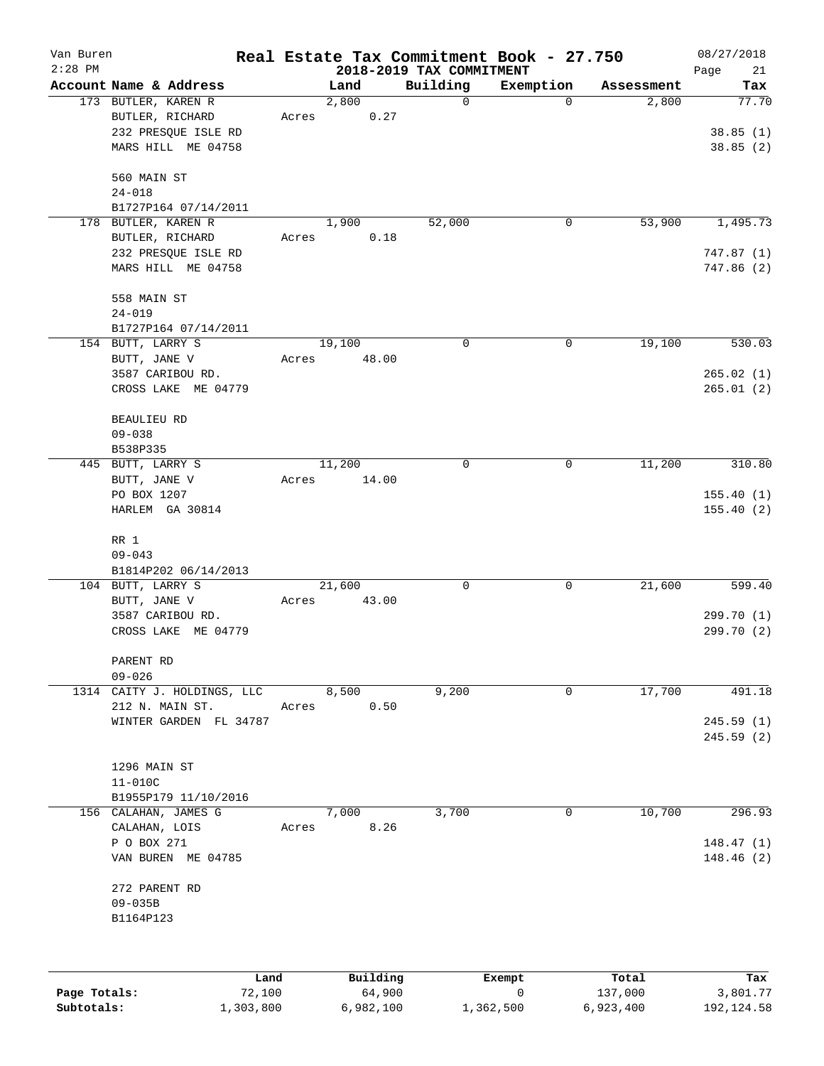| Van Buren<br>$2:28$ PM |                                           |       | 2018-2019 TAX COMMITMENT |             | Real Estate Tax Commitment Book - 27.750 |            | 08/27/2018        |
|------------------------|-------------------------------------------|-------|--------------------------|-------------|------------------------------------------|------------|-------------------|
|                        | Account Name & Address                    |       | Land                     | Building    | Exemption                                | Assessment | Page<br>21<br>Tax |
|                        | 173 BUTLER, KAREN R                       |       | 2,800                    | 0           | $\mathbf 0$                              | 2,800      | 77.70             |
|                        | BUTLER, RICHARD                           | Acres | 0.27                     |             |                                          |            |                   |
|                        | 232 PRESQUE ISLE RD                       |       |                          |             |                                          |            | 38.85(1)          |
|                        | MARS HILL ME 04758                        |       |                          |             |                                          |            | 38.85(2)          |
|                        | 560 MAIN ST                               |       |                          |             |                                          |            |                   |
|                        | $24 - 018$                                |       |                          |             |                                          |            |                   |
|                        | B1727P164 07/14/2011                      |       |                          |             |                                          |            |                   |
|                        | 178 BUTLER, KAREN R                       |       | 1,900                    | 52,000      | 0                                        | 53,900     | 1,495.73          |
|                        | BUTLER, RICHARD                           | Acres | 0.18                     |             |                                          |            |                   |
|                        | 232 PRESQUE ISLE RD                       |       |                          |             |                                          |            | 747.87(1)         |
|                        | MARS HILL ME 04758                        |       |                          |             |                                          |            | 747.86(2)         |
|                        | 558 MAIN ST                               |       |                          |             |                                          |            |                   |
|                        | $24 - 019$                                |       |                          |             |                                          |            |                   |
|                        | B1727P164 07/14/2011                      |       |                          |             |                                          |            |                   |
|                        | 154 BUTT, LARRY S                         |       | 19,100                   | $\mathbf 0$ | 0                                        | 19,100     | 530.03            |
|                        | BUTT, JANE V                              | Acres | 48.00                    |             |                                          |            |                   |
|                        | 3587 CARIBOU RD.                          |       |                          |             |                                          |            | 265.02(1)         |
|                        | CROSS LAKE ME 04779                       |       |                          |             |                                          |            | 265.01(2)         |
|                        | <b>BEAULIEU RD</b>                        |       |                          |             |                                          |            |                   |
|                        | $09 - 038$                                |       |                          |             |                                          |            |                   |
|                        | B538P335                                  |       |                          |             |                                          |            |                   |
|                        | 445 BUTT, LARRY S                         |       | 11,200                   | 0           | 0                                        | 11,200     | 310.80            |
|                        | BUTT, JANE V                              | Acres | 14.00                    |             |                                          |            |                   |
|                        | PO BOX 1207                               |       |                          |             |                                          |            | 155.40(1)         |
|                        | HARLEM GA 30814                           |       |                          |             |                                          |            | 155.40(2)         |
|                        | RR 1                                      |       |                          |             |                                          |            |                   |
|                        | $09 - 043$                                |       |                          |             |                                          |            |                   |
|                        | B1814P202 06/14/2013                      |       |                          |             |                                          |            |                   |
|                        | 104 BUTT, LARRY S                         |       | 21,600                   | 0           | 0                                        | 21,600     | 599.40            |
|                        | BUTT, JANE V                              | Acres | 43.00                    |             |                                          |            |                   |
|                        | 3587 CARIBOU RD.                          |       |                          |             |                                          |            | 299.70 (1)        |
|                        | CROSS LAKE ME 04779                       |       |                          |             |                                          |            | 299.70 (2)        |
|                        | PARENT RD                                 |       |                          |             |                                          |            |                   |
|                        | $09 - 026$                                |       |                          |             |                                          |            |                   |
|                        | 1314 CAITY J. HOLDINGS, LLC               |       | 8,500                    | 9,200       | 0                                        | 17,700     | 491.18            |
|                        | 212 N. MAIN ST.<br>WINTER GARDEN FL 34787 | Acres | 0.50                     |             |                                          |            | 245.59(1)         |
|                        |                                           |       |                          |             |                                          |            | 245.59(2)         |
|                        |                                           |       |                          |             |                                          |            |                   |
|                        | 1296 MAIN ST                              |       |                          |             |                                          |            |                   |
|                        | $11 - 010C$                               |       |                          |             |                                          |            |                   |
|                        | B1955P179 11/10/2016                      |       |                          |             |                                          |            |                   |
|                        | 156 CALAHAN, JAMES G                      |       | 7,000                    | 3,700       | 0                                        | 10,700     | 296.93            |
|                        | CALAHAN, LOIS                             | Acres | 8.26                     |             |                                          |            |                   |
|                        | P O BOX 271                               |       |                          |             |                                          |            | 148.47(1)         |
|                        | VAN BUREN ME 04785                        |       |                          |             |                                          |            | 148.46 (2)        |
|                        | 272 PARENT RD                             |       |                          |             |                                          |            |                   |
|                        | $09 - 035B$                               |       |                          |             |                                          |            |                   |
|                        | B1164P123                                 |       |                          |             |                                          |            |                   |
|                        |                                           |       |                          |             |                                          |            |                   |
|                        | Land                                      |       | Building                 |             | Exempt                                   | Total      | Tax               |
|                        |                                           |       |                          |             |                                          |            |                   |

|              | -------   | $-$       | ______    | ------    | ------     |
|--------------|-----------|-----------|-----------|-----------|------------|
| Page Totals: | 72,100    | 64,900    |           | 137,000   | 3,801.77   |
| Subtotals:   | 1,303,800 | 6,982,100 | 1,362,500 | 6,923,400 | 192,124.58 |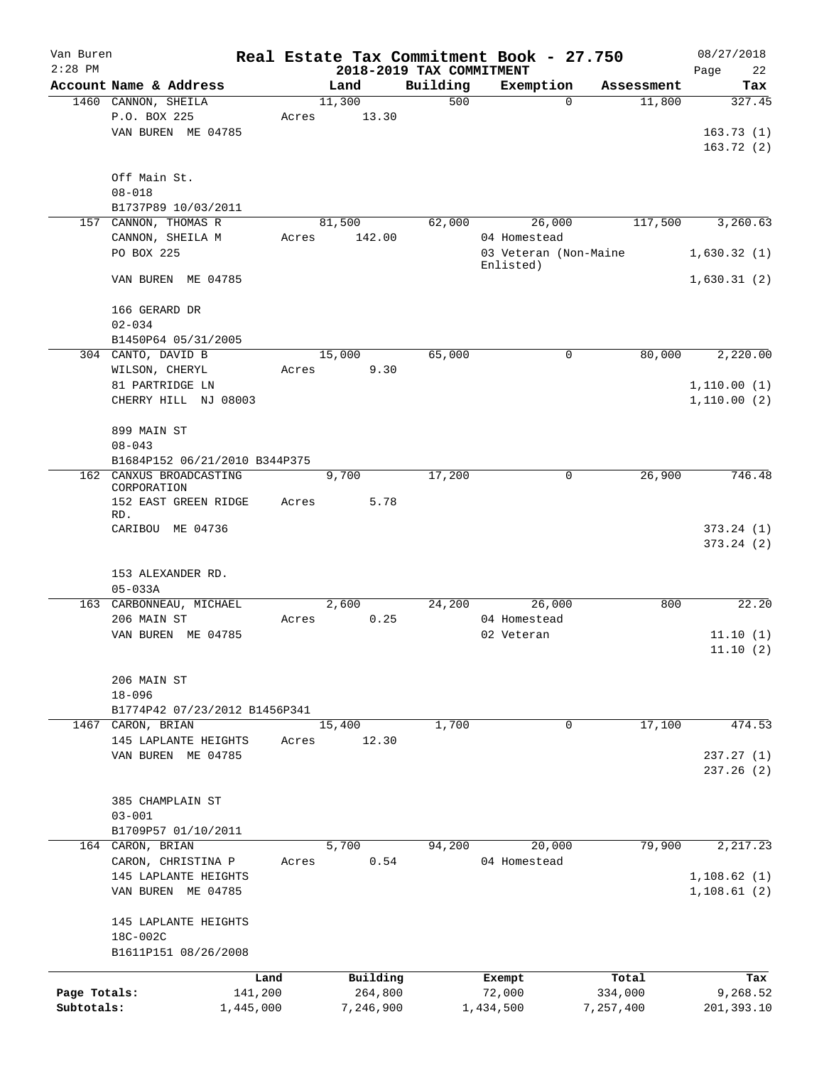| Van Buren<br>$2:28$ PM |                                     |       |           | 2018-2019 TAX COMMITMENT | Real Estate Tax Commitment Book - 27.750 |            | 08/27/2018<br>Page<br>22 |
|------------------------|-------------------------------------|-------|-----------|--------------------------|------------------------------------------|------------|--------------------------|
|                        | Account Name & Address              |       | Land      | Building                 | Exemption                                | Assessment | Tax                      |
|                        | 1460 CANNON, SHEILA                 |       | 11,300    | 500                      | $\mathbf 0$                              | 11,800     | 327.45                   |
|                        | P.O. BOX 225                        | Acres | 13.30     |                          |                                          |            |                          |
|                        | VAN BUREN ME 04785                  |       |           |                          |                                          |            | 163.73(1)                |
|                        |                                     |       |           |                          |                                          |            | 163.72(2)                |
|                        |                                     |       |           |                          |                                          |            |                          |
|                        | Off Main St.                        |       |           |                          |                                          |            |                          |
|                        | $08 - 018$                          |       |           |                          |                                          |            |                          |
|                        | B1737P89 10/03/2011                 |       |           |                          |                                          |            |                          |
| 157                    | CANNON, THOMAS R                    |       | 81,500    | 62,000                   | 26,000                                   | 117,500    | 3,260.63                 |
|                        | CANNON, SHEILA M                    | Acres | 142.00    |                          | 04 Homestead                             |            |                          |
|                        | PO BOX 225                          |       |           |                          | 03 Veteran (Non-Maine<br>Enlisted)       |            | 1,630.32(1)              |
|                        | VAN BUREN ME 04785                  |       |           |                          |                                          |            | 1,630.31(2)              |
|                        |                                     |       |           |                          |                                          |            |                          |
|                        | 166 GERARD DR                       |       |           |                          |                                          |            |                          |
|                        | $02 - 034$                          |       |           |                          |                                          |            |                          |
|                        | B1450P64 05/31/2005                 |       |           |                          |                                          |            |                          |
|                        | 304 CANTO, DAVID B                  |       | 15,000    | 65,000                   | 0                                        | 80,000     | 2,220.00                 |
|                        | WILSON, CHERYL                      | Acres | 9.30      |                          |                                          |            |                          |
|                        | 81 PARTRIDGE LN                     |       |           |                          |                                          |            | 1, 110.00(1)             |
|                        | CHERRY HILL NJ 08003                |       |           |                          |                                          |            | 1,110.00(2)              |
|                        | 899 MAIN ST                         |       |           |                          |                                          |            |                          |
|                        | $08 - 043$                          |       |           |                          |                                          |            |                          |
|                        | B1684P152 06/21/2010 B344P375       |       |           |                          |                                          |            |                          |
|                        | 162 CANXUS BROADCASTING             |       | 9,700     | 17,200                   | 0                                        | 26,900     | 746.48                   |
|                        | CORPORATION<br>152 EAST GREEN RIDGE | Acres | 5.78      |                          |                                          |            |                          |
|                        | RD.                                 |       |           |                          |                                          |            |                          |
|                        | CARIBOU ME 04736                    |       |           |                          |                                          |            | 373.24(1)                |
|                        |                                     |       |           |                          |                                          |            | 373.24(2)                |
|                        |                                     |       |           |                          |                                          |            |                          |
|                        | 153 ALEXANDER RD.                   |       |           |                          |                                          |            |                          |
|                        | $05 - 033A$                         |       |           |                          |                                          |            |                          |
|                        | 163 CARBONNEAU, MICHAEL             |       | 2,600     | 24,200                   | 26,000                                   | 800        | 22.20                    |
|                        | 206 MAIN ST                         | Acres | 0.25      |                          | 04 Homestead                             |            |                          |
|                        | VAN BUREN ME 04785                  |       |           |                          | 02 Veteran                               |            | 11.10(1)                 |
|                        |                                     |       |           |                          |                                          |            | 11.10(2)                 |
|                        | 206 MAIN ST                         |       |           |                          |                                          |            |                          |
|                        | $18 - 096$                          |       |           |                          |                                          |            |                          |
|                        | B1774P42 07/23/2012 B1456P341       |       |           |                          |                                          |            |                          |
|                        | 1467 CARON, BRIAN                   |       | 15,400    | 1,700                    | $\mathbf 0$                              | 17,100     | 474.53                   |
|                        | 145 LAPLANTE HEIGHTS                | Acres | 12.30     |                          |                                          |            |                          |
|                        | VAN BUREN ME 04785                  |       |           |                          |                                          |            | 237.27(1)                |
|                        |                                     |       |           |                          |                                          |            | 237.26(2)                |
|                        |                                     |       |           |                          |                                          |            |                          |
|                        | 385 CHAMPLAIN ST                    |       |           |                          |                                          |            |                          |
|                        | $03 - 001$                          |       |           |                          |                                          |            |                          |
|                        | B1709P57 01/10/2011                 |       |           |                          |                                          |            |                          |
|                        | 164 CARON, BRIAN                    |       | 5,700     | 94,200                   | 20,000                                   | 79,900     | 2,217.23                 |
|                        | CARON, CHRISTINA P                  | Acres | 0.54      |                          | 04 Homestead                             |            |                          |
|                        | 145 LAPLANTE HEIGHTS                |       |           |                          |                                          |            | 1,108.62(1)              |
|                        | VAN BUREN ME 04785                  |       |           |                          |                                          |            | 1,108.61(2)              |
|                        | 145 LAPLANTE HEIGHTS                |       |           |                          |                                          |            |                          |
|                        | 18C-002C                            |       |           |                          |                                          |            |                          |
|                        | B1611P151 08/26/2008                |       |           |                          |                                          |            |                          |
|                        |                                     | Land  | Building  |                          | Exempt                                   | Total      | Tax                      |
| Page Totals:           | 141,200                             |       | 264,800   |                          | 72,000                                   | 334,000    | 9,268.52                 |
| Subtotals:             | 1,445,000                           |       | 7,246,900 |                          | 1,434,500                                | 7,257,400  | 201,393.10               |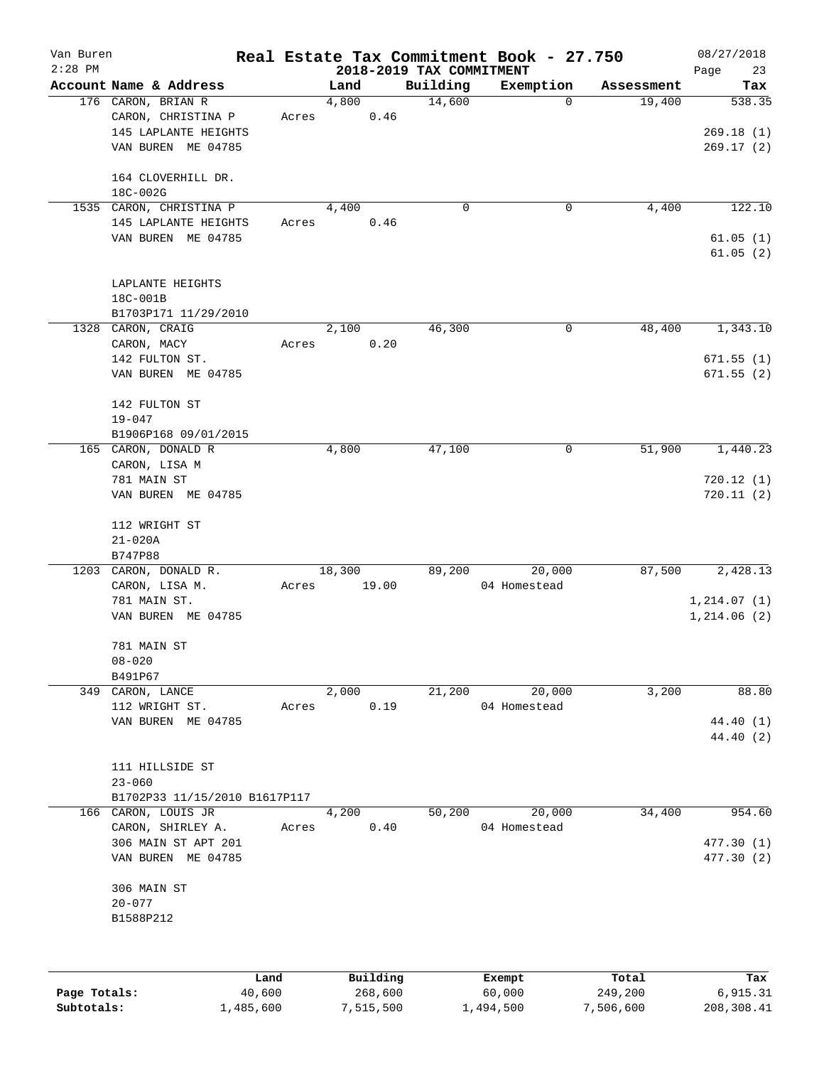| Van Buren<br>$2:28$ PM |                               |       |          |                                      | Real Estate Tax Commitment Book - 27.750 |            | 08/27/2018        |
|------------------------|-------------------------------|-------|----------|--------------------------------------|------------------------------------------|------------|-------------------|
|                        | Account Name & Address        |       | Land     | 2018-2019 TAX COMMITMENT<br>Building | Exemption                                | Assessment | Page<br>23<br>Tax |
|                        | 176 CARON, BRIAN R            |       | 4,800    | 14,600                               | 0                                        | 19,400     | 538.35            |
|                        | CARON, CHRISTINA P            | Acres | 0.46     |                                      |                                          |            |                   |
|                        | 145 LAPLANTE HEIGHTS          |       |          |                                      |                                          |            | 269.18(1)         |
|                        | VAN BUREN ME 04785            |       |          |                                      |                                          |            | 269.17(2)         |
|                        |                               |       |          |                                      |                                          |            |                   |
|                        | 164 CLOVERHILL DR.            |       |          |                                      |                                          |            |                   |
|                        | 18C-002G                      |       |          |                                      |                                          |            |                   |
|                        | 1535 CARON, CHRISTINA P       |       | 4,400    | $\mathbf 0$                          | 0                                        | 4,400      | 122.10            |
|                        | 145 LAPLANTE HEIGHTS          | Acres | 0.46     |                                      |                                          |            |                   |
|                        | VAN BUREN ME 04785            |       |          |                                      |                                          |            | 61.05(1)          |
|                        |                               |       |          |                                      |                                          |            | 61.05(2)          |
|                        |                               |       |          |                                      |                                          |            |                   |
|                        | LAPLANTE HEIGHTS              |       |          |                                      |                                          |            |                   |
|                        | 18C-001B                      |       |          |                                      |                                          |            |                   |
|                        | B1703P171 11/29/2010          |       |          |                                      |                                          |            |                   |
|                        | 1328 CARON, CRAIG             |       | 2,100    | 46,300                               | $\mathbf 0$                              | 48,400     | 1,343.10          |
|                        | CARON, MACY                   | Acres | 0.20     |                                      |                                          |            |                   |
|                        | 142 FULTON ST.                |       |          |                                      |                                          |            | 671.55(1)         |
|                        | VAN BUREN ME 04785            |       |          |                                      |                                          |            | 671.55(2)         |
|                        |                               |       |          |                                      |                                          |            |                   |
|                        | 142 FULTON ST                 |       |          |                                      |                                          |            |                   |
|                        | $19 - 047$                    |       |          |                                      |                                          |            |                   |
|                        | B1906P168 09/01/2015          |       |          |                                      |                                          |            |                   |
|                        | 165 CARON, DONALD R           |       | 4,800    | 47,100                               | 0                                        | 51,900     | 1,440.23          |
|                        | CARON, LISA M                 |       |          |                                      |                                          |            |                   |
|                        | 781 MAIN ST                   |       |          |                                      |                                          |            | 720.12(1)         |
|                        | VAN BUREN ME 04785            |       |          |                                      |                                          |            | 720.11(2)         |
|                        |                               |       |          |                                      |                                          |            |                   |
|                        | 112 WRIGHT ST                 |       |          |                                      |                                          |            |                   |
|                        | $21 - 020A$                   |       |          |                                      |                                          |            |                   |
|                        | B747P88                       |       |          |                                      |                                          |            |                   |
|                        | 1203 CARON, DONALD R.         |       | 18,300   | 89,200                               | 20,000                                   | 87,500     | 2,428.13          |
|                        | CARON, LISA M.                | Acres | 19.00    |                                      | 04 Homestead                             |            |                   |
|                        | 781 MAIN ST.                  |       |          |                                      |                                          |            | 1, 214.07(1)      |
|                        | VAN BUREN ME 04785            |       |          |                                      |                                          |            | 1,214.06(2)       |
|                        |                               |       |          |                                      |                                          |            |                   |
|                        | 781 MAIN ST                   |       |          |                                      |                                          |            |                   |
|                        | $08 - 020$<br>B491P67         |       |          |                                      |                                          |            |                   |
|                        | 349 CARON, LANCE              |       | 2,000    | 21,200                               | 20,000                                   | 3,200      | 88.80             |
|                        | 112 WRIGHT ST.                | Acres | 0.19     |                                      | 04 Homestead                             |            |                   |
|                        | VAN BUREN ME 04785            |       |          |                                      |                                          |            | 44.40 (1)         |
|                        |                               |       |          |                                      |                                          |            | 44.40 (2)         |
|                        |                               |       |          |                                      |                                          |            |                   |
|                        | 111 HILLSIDE ST               |       |          |                                      |                                          |            |                   |
|                        | $23 - 060$                    |       |          |                                      |                                          |            |                   |
|                        | B1702P33 11/15/2010 B1617P117 |       |          |                                      |                                          |            |                   |
|                        | 166 CARON, LOUIS JR           |       | 4,200    | 50,200                               | 20,000                                   | 34,400     | 954.60            |
|                        | CARON, SHIRLEY A.             | Acres | 0.40     |                                      | 04 Homestead                             |            |                   |
|                        | 306 MAIN ST APT 201           |       |          |                                      |                                          |            | 477.30(1)         |
|                        | VAN BUREN ME 04785            |       |          |                                      |                                          |            | 477.30 (2)        |
|                        |                               |       |          |                                      |                                          |            |                   |
|                        | 306 MAIN ST                   |       |          |                                      |                                          |            |                   |
|                        | $20 - 077$                    |       |          |                                      |                                          |            |                   |
|                        | B1588P212                     |       |          |                                      |                                          |            |                   |
|                        |                               |       |          |                                      |                                          |            |                   |
|                        |                               |       |          |                                      |                                          |            |                   |
|                        |                               |       |          |                                      |                                          |            |                   |
|                        | Land                          |       | Building |                                      | Exempt                                   | Total      | Tax               |
| Page Totals:           | 40,600                        |       | 268,600  |                                      | 60,000                                   | 249,200    | 6,915.31          |

**Subtotals:** 1,485,600 7,515,500 1,494,500 7,506,600 208,308.41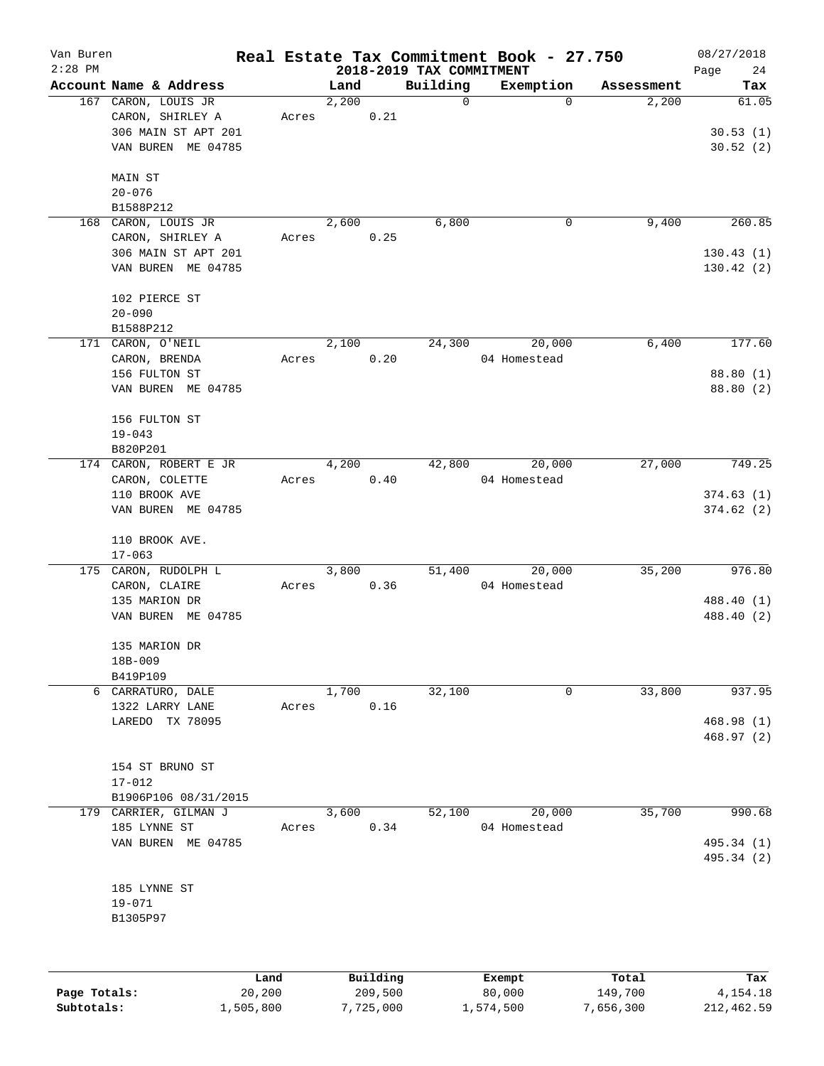| Van Buren    |                         |                |       |                     |                                      | Real Estate Tax Commitment Book - 27.750 |                  | 08/27/2018        |
|--------------|-------------------------|----------------|-------|---------------------|--------------------------------------|------------------------------------------|------------------|-------------------|
| $2:28$ PM    | Account Name & Address  |                | Land  |                     | 2018-2019 TAX COMMITMENT<br>Building | Exemption                                | Assessment       | Page<br>24<br>Tax |
|              | 167 CARON, LOUIS JR     |                | 2,200 |                     | 0                                    | 0                                        | 2,200            | 61.05             |
|              | CARON, SHIRLEY A        | Acres          |       | 0.21                |                                      |                                          |                  |                   |
|              | 306 MAIN ST APT 201     |                |       |                     |                                      |                                          |                  | 30.53(1)          |
|              | VAN BUREN ME 04785      |                |       |                     |                                      |                                          |                  | 30.52(2)          |
|              |                         |                |       |                     |                                      |                                          |                  |                   |
|              | MAIN ST                 |                |       |                     |                                      |                                          |                  |                   |
|              | $20 - 076$<br>B1588P212 |                |       |                     |                                      |                                          |                  |                   |
| 168          | CARON, LOUIS JR         |                | 2,600 |                     | 6,800                                | 0                                        | 9,400            | 260.85            |
|              | CARON, SHIRLEY A        | Acres          |       | 0.25                |                                      |                                          |                  |                   |
|              | 306 MAIN ST APT 201     |                |       |                     |                                      |                                          |                  | 130.43(1)         |
|              | VAN BUREN ME 04785      |                |       |                     |                                      |                                          |                  | 130.42(2)         |
|              |                         |                |       |                     |                                      |                                          |                  |                   |
|              | 102 PIERCE ST           |                |       |                     |                                      |                                          |                  |                   |
|              | $20 - 090$              |                |       |                     |                                      |                                          |                  |                   |
|              | B1588P212               |                |       |                     |                                      |                                          |                  |                   |
|              | 171 CARON, O'NEIL       |                | 2,100 |                     | 24,300                               | 20,000                                   | 6,400            | 177.60            |
|              | CARON, BRENDA           | Acres          |       | 0.20                |                                      | 04 Homestead                             |                  |                   |
|              | 156 FULTON ST           |                |       |                     |                                      |                                          |                  | 88.80 (1)         |
|              | VAN BUREN ME 04785      |                |       |                     |                                      |                                          |                  | 88.80 (2)         |
|              | 156 FULTON ST           |                |       |                     |                                      |                                          |                  |                   |
|              | $19 - 043$              |                |       |                     |                                      |                                          |                  |                   |
|              | B820P201                |                |       |                     |                                      |                                          |                  |                   |
|              | 174 CARON, ROBERT E JR  |                | 4,200 |                     | 42,800                               | 20,000                                   | 27,000           | 749.25            |
|              | CARON, COLETTE          | Acres          |       | 0.40                |                                      | 04 Homestead                             |                  |                   |
|              | 110 BROOK AVE           |                |       |                     |                                      |                                          |                  | 374.63(1)         |
|              | VAN BUREN ME 04785      |                |       |                     |                                      |                                          |                  | 374.62(2)         |
|              | 110 BROOK AVE.          |                |       |                     |                                      |                                          |                  |                   |
|              | $17 - 063$              |                |       |                     |                                      |                                          |                  |                   |
|              | 175 CARON, RUDOLPH L    |                | 3,800 |                     | 51,400                               | 20,000                                   | 35,200           | 976.80            |
|              | CARON, CLAIRE           | Acres          |       | 0.36                |                                      | 04 Homestead                             |                  |                   |
|              | 135 MARION DR           |                |       |                     |                                      |                                          |                  | 488.40 (1)        |
|              | VAN BUREN ME 04785      |                |       |                     |                                      |                                          |                  | 488.40 (2)        |
|              | 135 MARION DR           |                |       |                     |                                      |                                          |                  |                   |
|              | 18B-009                 |                |       |                     |                                      |                                          |                  |                   |
|              | B419P109                |                |       |                     |                                      |                                          |                  |                   |
|              | 6 CARRATURO, DALE       |                | 1,700 |                     | 32,100                               | 0                                        | 33,800           | 937.95            |
|              | 1322 LARRY LANE         | Acres          |       | 0.16                |                                      |                                          |                  |                   |
|              | LAREDO TX 78095         |                |       |                     |                                      |                                          |                  | 468.98(1)         |
|              |                         |                |       |                     |                                      |                                          |                  | 468.97(2)         |
|              | 154 ST BRUNO ST         |                |       |                     |                                      |                                          |                  |                   |
|              | $17 - 012$              |                |       |                     |                                      |                                          |                  |                   |
|              | B1906P106 08/31/2015    |                |       |                     |                                      |                                          |                  |                   |
| 179          | CARRIER, GILMAN J       |                | 3,600 |                     | 52,100                               | 20,000                                   | 35,700           | 990.68            |
|              | 185 LYNNE ST            | Acres          |       | 0.34                |                                      | 04 Homestead                             |                  |                   |
|              | VAN BUREN ME 04785      |                |       |                     |                                      |                                          |                  | 495.34 (1)        |
|              |                         |                |       |                     |                                      |                                          |                  | 495.34 (2)        |
|              | 185 LYNNE ST            |                |       |                     |                                      |                                          |                  |                   |
|              | $19 - 071$              |                |       |                     |                                      |                                          |                  |                   |
|              | B1305P97                |                |       |                     |                                      |                                          |                  |                   |
|              |                         |                |       |                     |                                      |                                          |                  |                   |
|              |                         |                |       |                     |                                      |                                          |                  |                   |
| Page Totals: |                         | Land<br>20,200 |       | Building<br>209,500 |                                      | Exempt<br>80,000                         | Total<br>149,700 | Tax<br>4,154.18   |
| Subtotals:   | 1,505,800               |                |       | 7,725,000           |                                      | 1,574,500                                | 7,656,300        | 212, 462.59       |
|              |                         |                |       |                     |                                      |                                          |                  |                   |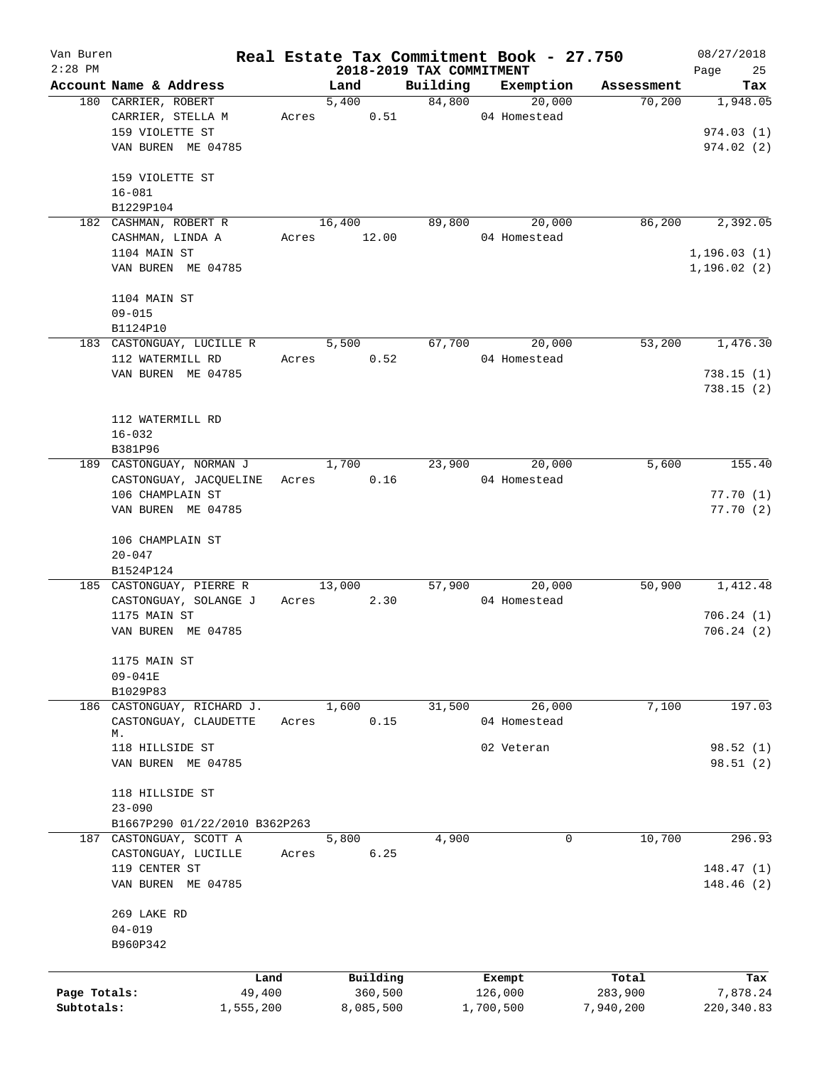| Van Buren<br>$2:28$ PM |                               |       | 2018-2019 TAX COMMITMENT |          | Real Estate Tax Commitment Book - 27.750 |            | 08/27/2018<br>Page<br>25 |
|------------------------|-------------------------------|-------|--------------------------|----------|------------------------------------------|------------|--------------------------|
|                        | Account Name & Address        |       | Land                     | Building | Exemption                                | Assessment | Tax                      |
|                        | 180 CARRIER, ROBERT           |       | 5,400                    | 84,800   | 20,000                                   | 70,200     | 1,948.05                 |
|                        | CARRIER, STELLA M             | Acres | 0.51                     |          | 04 Homestead                             |            |                          |
|                        | 159 VIOLETTE ST               |       |                          |          |                                          |            | 974.03(1)                |
|                        | VAN BUREN ME 04785            |       |                          |          |                                          |            | 974.02(2)                |
|                        |                               |       |                          |          |                                          |            |                          |
|                        | 159 VIOLETTE ST               |       |                          |          |                                          |            |                          |
|                        | $16 - 081$                    |       |                          |          |                                          |            |                          |
|                        | B1229P104                     |       |                          |          |                                          |            |                          |
|                        | 182 CASHMAN, ROBERT R         |       | 16,400                   | 89,800   | 20,000                                   | 86,200     | 2,392.05                 |
|                        | CASHMAN, LINDA A              | Acres | 12.00                    |          | 04 Homestead                             |            |                          |
|                        | 1104 MAIN ST                  |       |                          |          |                                          |            | 1, 196.03(1)             |
|                        | VAN BUREN ME 04785            |       |                          |          |                                          |            | 1, 196.02(2)             |
|                        |                               |       |                          |          |                                          |            |                          |
|                        | 1104 MAIN ST                  |       |                          |          |                                          |            |                          |
|                        | $09 - 015$                    |       |                          |          |                                          |            |                          |
|                        | B1124P10                      |       |                          |          |                                          |            |                          |
|                        | 183 CASTONGUAY, LUCILLE R     |       | 5,500                    | 67,700   | 20,000                                   | 53,200     | 1,476.30                 |
|                        | 112 WATERMILL RD              | Acres | 0.52                     |          | 04 Homestead                             |            |                          |
|                        | VAN BUREN ME 04785            |       |                          |          |                                          |            | 738.15(1)                |
|                        |                               |       |                          |          |                                          |            | 738.15(2)                |
|                        | 112 WATERMILL RD              |       |                          |          |                                          |            |                          |
|                        | $16 - 032$                    |       |                          |          |                                          |            |                          |
|                        | B381P96                       |       |                          |          |                                          |            |                          |
|                        | 189 CASTONGUAY, NORMAN J      |       | 1,700                    | 23,900   | 20,000                                   | 5,600      | 155.40                   |
|                        | CASTONGUAY, JACQUELINE        |       | 0.16<br>Acres            |          | 04 Homestead                             |            |                          |
|                        | 106 CHAMPLAIN ST              |       |                          |          |                                          |            | 77.70(1)                 |
|                        | VAN BUREN ME 04785            |       |                          |          |                                          |            | 77.70(2)                 |
|                        |                               |       |                          |          |                                          |            |                          |
|                        | 106 CHAMPLAIN ST              |       |                          |          |                                          |            |                          |
|                        | $20 - 047$                    |       |                          |          |                                          |            |                          |
|                        | B1524P124                     |       |                          |          |                                          |            |                          |
|                        | 185 CASTONGUAY, PIERRE R      |       | 13,000                   | 57,900   | 20,000                                   | 50,900     | 1,412.48                 |
|                        | CASTONGUAY, SOLANGE J         |       | 2.30<br>Acres            |          | 04 Homestead                             |            |                          |
|                        | 1175 MAIN ST                  |       |                          |          |                                          |            | 706.24(1)                |
|                        | VAN BUREN ME 04785            |       |                          |          |                                          |            | 706.24(2)                |
|                        |                               |       |                          |          |                                          |            |                          |
|                        | 1175 MAIN ST                  |       |                          |          |                                          |            |                          |
|                        | 09-041E                       |       |                          |          |                                          |            |                          |
|                        | B1029P83                      |       |                          |          |                                          |            |                          |
|                        | 186 CASTONGUAY, RICHARD J.    |       | 1,600<br>0.15            | 31,500   | 26,000                                   | 7,100      | 197.03                   |
|                        | CASTONGUAY, CLAUDETTE<br>М.   | Acres |                          |          | 04 Homestead                             |            |                          |
|                        | 118 HILLSIDE ST               |       |                          |          | 02 Veteran                               |            | 98.52 (1)                |
|                        | VAN BUREN ME 04785            |       |                          |          |                                          |            | 98.51(2)                 |
|                        |                               |       |                          |          |                                          |            |                          |
|                        | 118 HILLSIDE ST               |       |                          |          |                                          |            |                          |
|                        | $23 - 090$                    |       |                          |          |                                          |            |                          |
|                        | B1667P290 01/22/2010 B362P263 |       |                          |          |                                          |            |                          |
|                        | 187 CASTONGUAY, SCOTT A       |       | 5,800                    | 4,900    | 0                                        | 10,700     | 296.93                   |
|                        | CASTONGUAY, LUCILLE           | Acres | 6.25                     |          |                                          |            |                          |
|                        | 119 CENTER ST                 |       |                          |          |                                          |            | 148.47(1)                |
|                        | VAN BUREN ME 04785            |       |                          |          |                                          |            | 148.46(2)                |
|                        |                               |       |                          |          |                                          |            |                          |
|                        | 269 LAKE RD                   |       |                          |          |                                          |            |                          |
|                        | $04 - 019$                    |       |                          |          |                                          |            |                          |
|                        | B960P342                      |       |                          |          |                                          |            |                          |
|                        | Land                          |       | Building                 |          | Exempt                                   | Total      | Tax                      |
| Page Totals:           | 49,400                        |       | 360,500                  |          | 126,000                                  | 283,900    | 7,878.24                 |
| Subtotals:             | 1,555,200                     |       | 8,085,500                |          | 1,700,500                                | 7,940,200  | 220, 340.83              |
|                        |                               |       |                          |          |                                          |            |                          |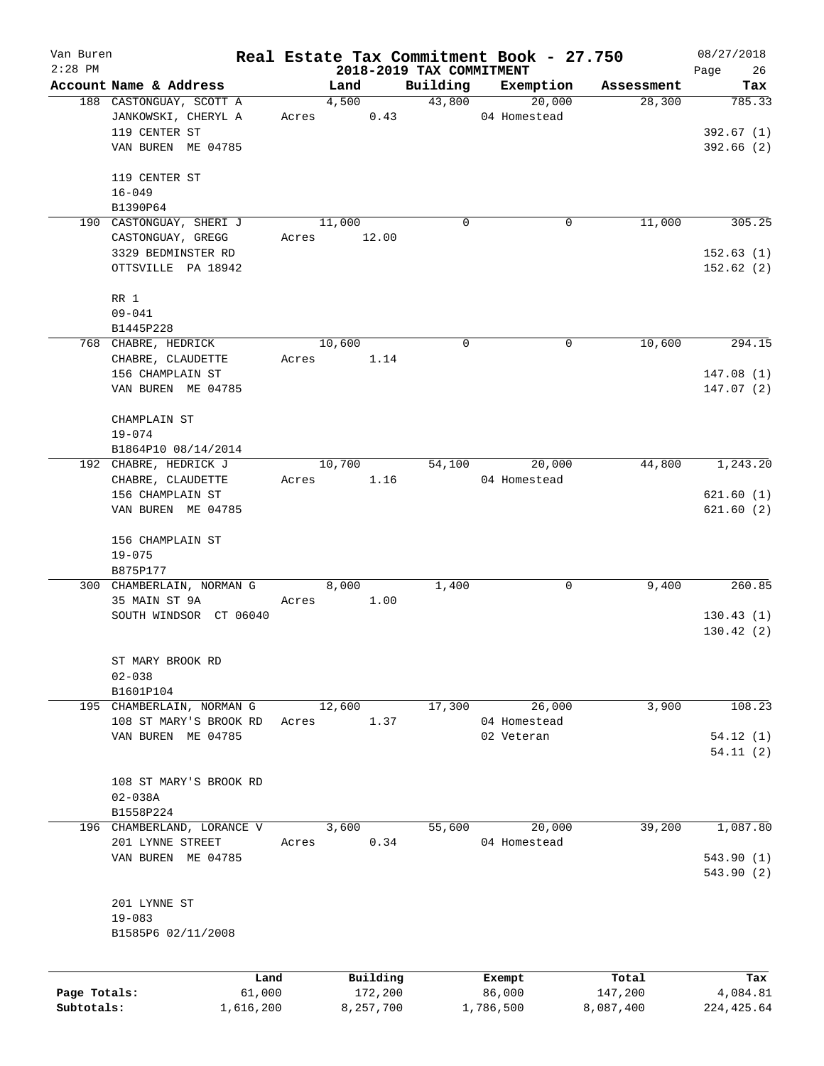| Van Buren<br>$2:28$ PM |                            |       |                                  |             | Real Estate Tax Commitment Book - 27.750 |            | 08/27/2018        |
|------------------------|----------------------------|-------|----------------------------------|-------------|------------------------------------------|------------|-------------------|
|                        | Account Name & Address     |       | 2018-2019 TAX COMMITMENT<br>Land | Building    | Exemption                                | Assessment | Page<br>26<br>Tax |
|                        | 188 CASTONGUAY, SCOTT A    |       | 4,500                            | 43,800      | 20,000                                   | 28,300     | 785.33            |
|                        | JANKOWSKI, CHERYL A        |       | 0.43<br>Acres                    |             | 04 Homestead                             |            |                   |
|                        | 119 CENTER ST              |       |                                  |             |                                          |            | 392.67(1)         |
|                        | VAN BUREN ME 04785         |       |                                  |             |                                          |            | 392.66(2)         |
|                        |                            |       |                                  |             |                                          |            |                   |
|                        | 119 CENTER ST              |       |                                  |             |                                          |            |                   |
|                        | $16 - 049$                 |       |                                  |             |                                          |            |                   |
|                        | B1390P64                   |       |                                  |             |                                          |            |                   |
|                        | 190 CASTONGUAY, SHERI J    |       | 11,000                           | $\mathbf 0$ | 0                                        | 11,000     | 305.25            |
|                        | CASTONGUAY, GREGG          | Acres | 12.00                            |             |                                          |            |                   |
|                        | 3329 BEDMINSTER RD         |       |                                  |             |                                          |            | 152.63(1)         |
|                        | OTTSVILLE PA 18942         |       |                                  |             |                                          |            | 152.62(2)         |
|                        | RR 1                       |       |                                  |             |                                          |            |                   |
|                        | $09 - 041$                 |       |                                  |             |                                          |            |                   |
|                        | B1445P228                  |       |                                  |             |                                          |            |                   |
|                        | 768 CHABRE, HEDRICK        |       | 10,600                           | $\mathbf 0$ | 0                                        | 10,600     | 294.15            |
|                        | CHABRE, CLAUDETTE          | Acres | 1.14                             |             |                                          |            |                   |
|                        | 156 CHAMPLAIN ST           |       |                                  |             |                                          |            | 147.08(1)         |
|                        | VAN BUREN ME 04785         |       |                                  |             |                                          |            | 147.07(2)         |
|                        |                            |       |                                  |             |                                          |            |                   |
|                        | CHAMPLAIN ST               |       |                                  |             |                                          |            |                   |
|                        | $19 - 074$                 |       |                                  |             |                                          |            |                   |
|                        | B1864P10 08/14/2014        |       |                                  |             |                                          |            |                   |
|                        | 192 CHABRE, HEDRICK J      |       | 10,700                           | 54,100      | 20,000                                   | 44,800     | 1,243.20          |
|                        | CHABRE, CLAUDETTE          | Acres | 1.16                             |             | 04 Homestead                             |            |                   |
|                        | 156 CHAMPLAIN ST           |       |                                  |             |                                          |            | 621.60(1)         |
|                        | VAN BUREN ME 04785         |       |                                  |             |                                          |            | 621.60(2)         |
|                        | 156 CHAMPLAIN ST           |       |                                  |             |                                          |            |                   |
|                        | $19 - 075$                 |       |                                  |             |                                          |            |                   |
|                        | B875P177                   |       |                                  |             |                                          |            |                   |
|                        | 300 CHAMBERLAIN, NORMAN G  |       | 8,000                            | 1,400       | 0                                        | 9,400      | 260.85            |
|                        | 35 MAIN ST 9A              | Acres | 1.00                             |             |                                          |            |                   |
|                        | SOUTH WINDSOR CT 06040     |       |                                  |             |                                          |            | 130.43(1)         |
|                        |                            |       |                                  |             |                                          |            | 130.42(2)         |
|                        | ST MARY BROOK RD           |       |                                  |             |                                          |            |                   |
|                        | $02 - 038$                 |       |                                  |             |                                          |            |                   |
|                        | B1601P104                  |       |                                  |             |                                          |            |                   |
|                        | 195 CHAMBERLAIN, NORMAN G  |       | 12,600                           | 17,300      | 26,000                                   | 3,900      | 108.23            |
|                        | 108 ST MARY'S BROOK RD     | Acres | 1.37                             |             | 04 Homestead                             |            |                   |
|                        | VAN BUREN ME 04785         |       |                                  |             | 02 Veteran                               |            | 54.12(1)          |
|                        |                            |       |                                  |             |                                          |            | 54.11(2)          |
|                        |                            |       |                                  |             |                                          |            |                   |
|                        | 108 ST MARY'S BROOK RD     |       |                                  |             |                                          |            |                   |
|                        | $02 - 038A$                |       |                                  |             |                                          |            |                   |
|                        | B1558P224                  |       |                                  |             |                                          |            |                   |
|                        | 196 CHAMBERLAND, LORANCE V |       | 3,600                            | 55,600      | 20,000                                   | 39,200     | 1,087.80          |
|                        | 201 LYNNE STREET           | Acres | 0.34                             |             | 04 Homestead                             |            |                   |
|                        | VAN BUREN ME 04785         |       |                                  |             |                                          |            | 543.90 (1)        |
|                        |                            |       |                                  |             |                                          |            | 543.90 (2)        |
|                        | 201 LYNNE ST               |       |                                  |             |                                          |            |                   |
|                        | $19 - 083$                 |       |                                  |             |                                          |            |                   |
|                        | B1585P6 02/11/2008         |       |                                  |             |                                          |            |                   |
|                        |                            |       |                                  |             |                                          |            |                   |
|                        | Land                       |       | Building                         |             | Exempt                                   | Total      | Tax               |
| Page Totals:           | 61,000                     |       | 172,200                          |             | 86,000                                   | 147,200    | 4,084.81          |
| Subtotals:             | 1,616,200                  |       | 8,257,700                        |             | 1,786,500                                | 8,087,400  | 224, 425.64       |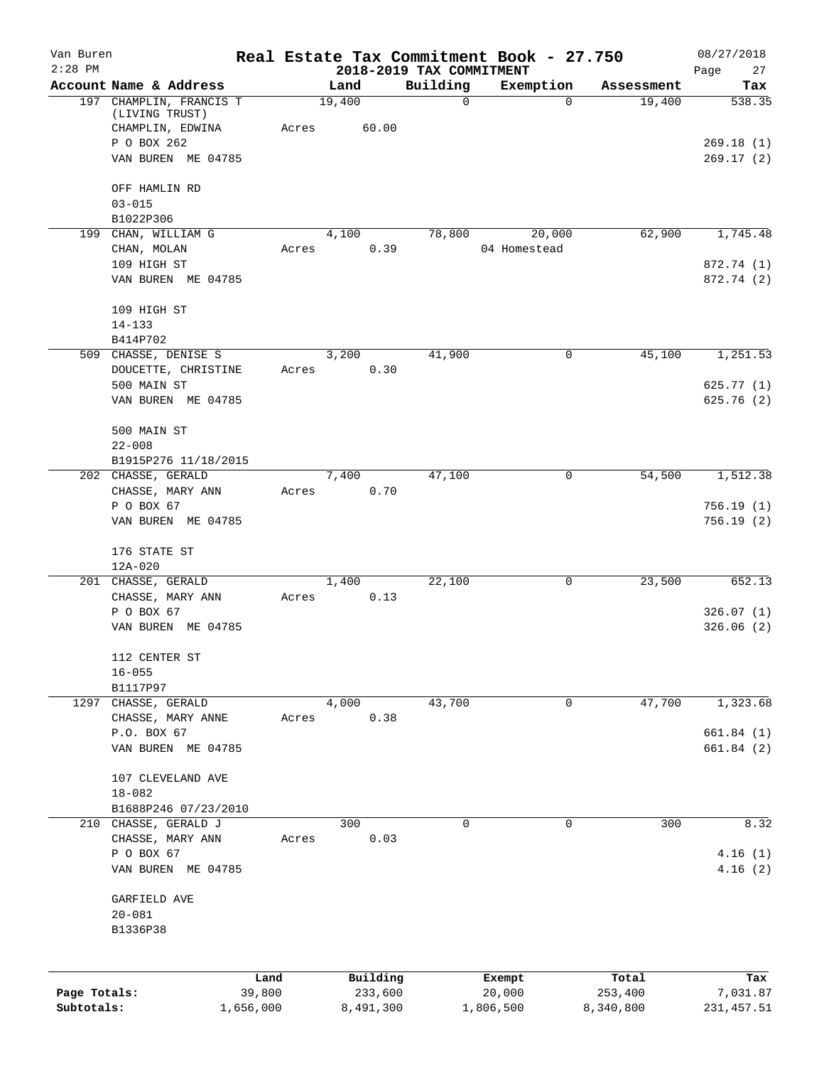| Van Buren    |                                              |           |                                  |             | Real Estate Tax Commitment Book - 27.750 |            | 08/27/2018             |
|--------------|----------------------------------------------|-----------|----------------------------------|-------------|------------------------------------------|------------|------------------------|
| $2:28$ PM    | Account Name & Address                       |           | 2018-2019 TAX COMMITMENT<br>Land | Building    | Exemption                                | Assessment | Page<br>27<br>Tax      |
|              | 197 CHAMPLIN, FRANCIS T<br>(LIVING TRUST)    |           | 19,400                           | $\mathbf 0$ | 0                                        | 19,400     | 538.35                 |
|              | CHAMPLIN, EDWINA                             | Acres     | 60.00                            |             |                                          |            |                        |
|              | P O BOX 262<br>VAN BUREN ME 04785            |           |                                  |             |                                          |            | 269.18(1)<br>269.17(2) |
|              | OFF HAMLIN RD                                |           |                                  |             |                                          |            |                        |
|              | $03 - 015$<br>B1022P306                      |           |                                  |             |                                          |            |                        |
|              | 199 CHAN, WILLIAM G                          |           | 4,100                            | 78,800      | 20,000                                   | 62,900     | 1,745.48               |
|              | CHAN, MOLAN                                  | Acres     | 0.39                             |             | 04 Homestead                             |            |                        |
|              | 109 HIGH ST                                  |           |                                  |             |                                          |            | 872.74 (1)             |
|              | VAN BUREN ME 04785                           |           |                                  |             |                                          |            | 872.74 (2)             |
|              | 109 HIGH ST                                  |           |                                  |             |                                          |            |                        |
|              | $14 - 133$<br>B414P702                       |           |                                  |             |                                          |            |                        |
|              | 509 CHASSE, DENISE S                         |           | 3,200                            | 41,900      | 0                                        | 45,100     | 1,251.53               |
|              | DOUCETTE, CHRISTINE                          | Acres     | 0.30                             |             |                                          |            |                        |
|              | 500 MAIN ST                                  |           |                                  |             |                                          |            | 625.77(1)              |
|              | VAN BUREN ME 04785                           |           |                                  |             |                                          |            | 625.76(2)              |
|              | 500 MAIN ST                                  |           |                                  |             |                                          |            |                        |
|              | $22 - 008$<br>B1915P276 11/18/2015           |           |                                  |             |                                          |            |                        |
|              | 202 CHASSE, GERALD                           |           | 7,400                            | 47,100      | 0                                        | 54,500     | 1,512.38               |
|              | CHASSE, MARY ANN                             | Acres     | 0.70                             |             |                                          |            |                        |
|              | P O BOX 67                                   |           |                                  |             |                                          |            | 756.19(1)              |
|              | VAN BUREN ME 04785                           |           |                                  |             |                                          |            | 756.19(2)              |
|              | 176 STATE ST                                 |           |                                  |             |                                          |            |                        |
|              | 12A-020<br>201 CHASSE, GERALD                |           | 1,400                            | 22,100      | 0                                        | 23,500     | 652.13                 |
|              | CHASSE, MARY ANN                             | Acres     | 0.13                             |             |                                          |            |                        |
|              | P O BOX 67                                   |           |                                  |             |                                          |            | 326.07(1)              |
|              | VAN BUREN ME 04785                           |           |                                  |             |                                          |            | 326.06(2)              |
|              | 112 CENTER ST                                |           |                                  |             |                                          |            |                        |
|              | $16 - 055$                                   |           |                                  |             |                                          |            |                        |
|              | B1117P97<br>1297 CHASSE, GERALD              |           | 4,000                            | 43,700      | 0                                        | 47,700     | 1,323.68               |
|              | CHASSE, MARY ANNE                            | Acres     | 0.38                             |             |                                          |            |                        |
|              | P.O. BOX 67                                  |           |                                  |             |                                          |            | 661.84(1)              |
|              | VAN BUREN ME 04785                           |           |                                  |             |                                          |            | 661.84(2)              |
|              | 107 CLEVELAND AVE                            |           |                                  |             |                                          |            |                        |
|              | $18 - 082$                                   |           |                                  |             |                                          |            |                        |
|              | B1688P246 07/23/2010<br>210 CHASSE, GERALD J |           | 300                              | $\mathbf 0$ | 0                                        | 300        | 8.32                   |
|              | CHASSE, MARY ANN                             | Acres     | 0.03                             |             |                                          |            |                        |
|              | P O BOX 67                                   |           |                                  |             |                                          |            | 4.16(1)                |
|              | VAN BUREN ME 04785                           |           |                                  |             |                                          |            | 4.16(2)                |
|              | GARFIELD AVE                                 |           |                                  |             |                                          |            |                        |
|              | $20 - 081$<br>B1336P38                       |           |                                  |             |                                          |            |                        |
|              |                                              |           |                                  |             |                                          |            |                        |
|              |                                              | Land      | Building                         |             | Exempt                                   | Total      | Tax                    |
| Page Totals: |                                              | 39,800    | 233,600                          |             | 20,000                                   | 253,400    | 7,031.87               |
| Subtotals:   |                                              | 1,656,000 | 8,491,300                        |             | 1,806,500                                | 8,340,800  | 231, 457.51            |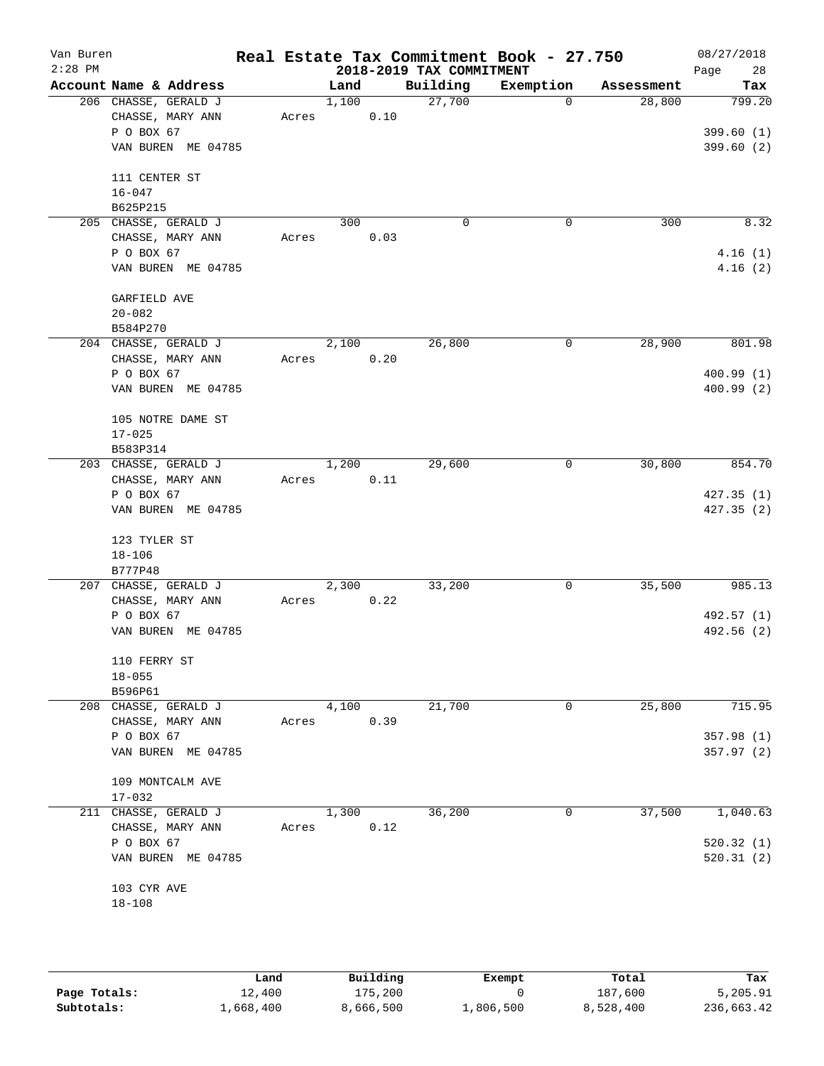| Van Buren<br>$2:28$ PM |                                          |       |       |      | 2018-2019 TAX COMMITMENT | Real Estate Tax Commitment Book - 27.750 |            | 08/27/2018<br>28<br>Page |
|------------------------|------------------------------------------|-------|-------|------|--------------------------|------------------------------------------|------------|--------------------------|
|                        | Account Name & Address                   |       | Land  |      | Building                 | Exemption                                | Assessment | Tax                      |
|                        | 206 CHASSE, GERALD J                     |       | 1,100 |      | 27,700                   | $\mathbf 0$                              | 28,800     | 799.20                   |
|                        | CHASSE, MARY ANN<br>P O BOX 67           | Acres |       | 0.10 |                          |                                          |            | 399.60(1)                |
|                        | VAN BUREN ME 04785                       |       |       |      |                          |                                          |            | 399.60(2)                |
|                        | 111 CENTER ST                            |       |       |      |                          |                                          |            |                          |
|                        | $16 - 047$                               |       |       |      |                          |                                          |            |                          |
|                        | B625P215                                 |       |       |      |                          |                                          |            |                          |
|                        | 205 CHASSE, GERALD J                     |       | 300   |      | $\mathbf 0$              | 0                                        | 300        | 8.32                     |
|                        | CHASSE, MARY ANN<br>P O BOX 67           | Acres |       | 0.03 |                          |                                          |            | 4.16(1)                  |
|                        | VAN BUREN ME 04785                       |       |       |      |                          |                                          |            | 4.16(2)                  |
|                        | GARFIELD AVE                             |       |       |      |                          |                                          |            |                          |
|                        | $20 - 082$                               |       |       |      |                          |                                          |            |                          |
|                        | B584P270<br>204 CHASSE, GERALD J         |       | 2,100 |      | 26,800                   | 0                                        | 28,900     | 801.98                   |
|                        | CHASSE, MARY ANN                         | Acres |       | 0.20 |                          |                                          |            |                          |
|                        | P O BOX 67                               |       |       |      |                          |                                          |            | 400.99(1)                |
|                        | VAN BUREN ME 04785                       |       |       |      |                          |                                          |            | 400.99(2)                |
|                        | 105 NOTRE DAME ST                        |       |       |      |                          |                                          |            |                          |
|                        | $17 - 025$                               |       |       |      |                          |                                          |            |                          |
|                        | B583P314                                 |       |       |      |                          |                                          |            |                          |
|                        | 203 CHASSE, GERALD J<br>CHASSE, MARY ANN | Acres | 1,200 | 0.11 | 29,600                   | 0                                        | 30,800     | 854.70                   |
|                        | P O BOX 67                               |       |       |      |                          |                                          |            | 427.35(1)                |
|                        | VAN BUREN ME 04785                       |       |       |      |                          |                                          |            | 427.35(2)                |
|                        | 123 TYLER ST                             |       |       |      |                          |                                          |            |                          |
|                        | $18 - 106$                               |       |       |      |                          |                                          |            |                          |
|                        | B777P48                                  |       |       |      |                          |                                          |            |                          |
|                        | 207 CHASSE, GERALD J                     |       | 2,300 |      | 33,200                   | 0                                        | 35,500     | 985.13                   |
|                        | CHASSE, MARY ANN<br>P O BOX 67           | Acres |       | 0.22 |                          |                                          |            | 492.57 (1)               |
|                        | VAN BUREN ME 04785                       |       |       |      |                          |                                          |            | 492.56 (2)               |
|                        |                                          |       |       |      |                          |                                          |            |                          |
|                        | 110 FERRY ST                             |       |       |      |                          |                                          |            |                          |
|                        | $18 - 055$                               |       |       |      |                          |                                          |            |                          |
|                        | B596P61                                  |       |       |      |                          |                                          |            |                          |
|                        | 208 CHASSE, GERALD J                     |       | 4,100 |      | 21,700                   | 0                                        | 25,800     | 715.95                   |
|                        | CHASSE, MARY ANN                         | Acres |       | 0.39 |                          |                                          |            |                          |
|                        | P O BOX 67                               |       |       |      |                          |                                          |            | 357.98(1)                |
|                        | VAN BUREN ME 04785                       |       |       |      |                          |                                          |            | 357.97(2)                |
|                        | 109 MONTCALM AVE                         |       |       |      |                          |                                          |            |                          |
|                        | $17 - 032$                               |       |       |      |                          |                                          |            |                          |
|                        | 211 CHASSE, GERALD J                     |       | 1,300 |      | 36,200                   | 0                                        | 37,500     | 1,040.63                 |
|                        | CHASSE, MARY ANN                         | Acres |       | 0.12 |                          |                                          |            |                          |
|                        | P O BOX 67                               |       |       |      |                          |                                          |            | 520.32(1)                |
|                        | VAN BUREN ME 04785                       |       |       |      |                          |                                          |            | 520.31(2)                |
|                        | 103 CYR AVE                              |       |       |      |                          |                                          |            |                          |
|                        | $18 - 108$                               |       |       |      |                          |                                          |            |                          |
|                        |                                          |       |       |      |                          |                                          |            |                          |

|              | Land      | Building  | Exempt    | Total     | Tax        |
|--------------|-----------|-----------|-----------|-----------|------------|
| Page Totals: | 12,400    | 175,200   |           | 187,600   | 5,205.91   |
| Subtotals:   | ⊥,668,400 | 8,666,500 | 1,806,500 | 8,528,400 | 236,663.42 |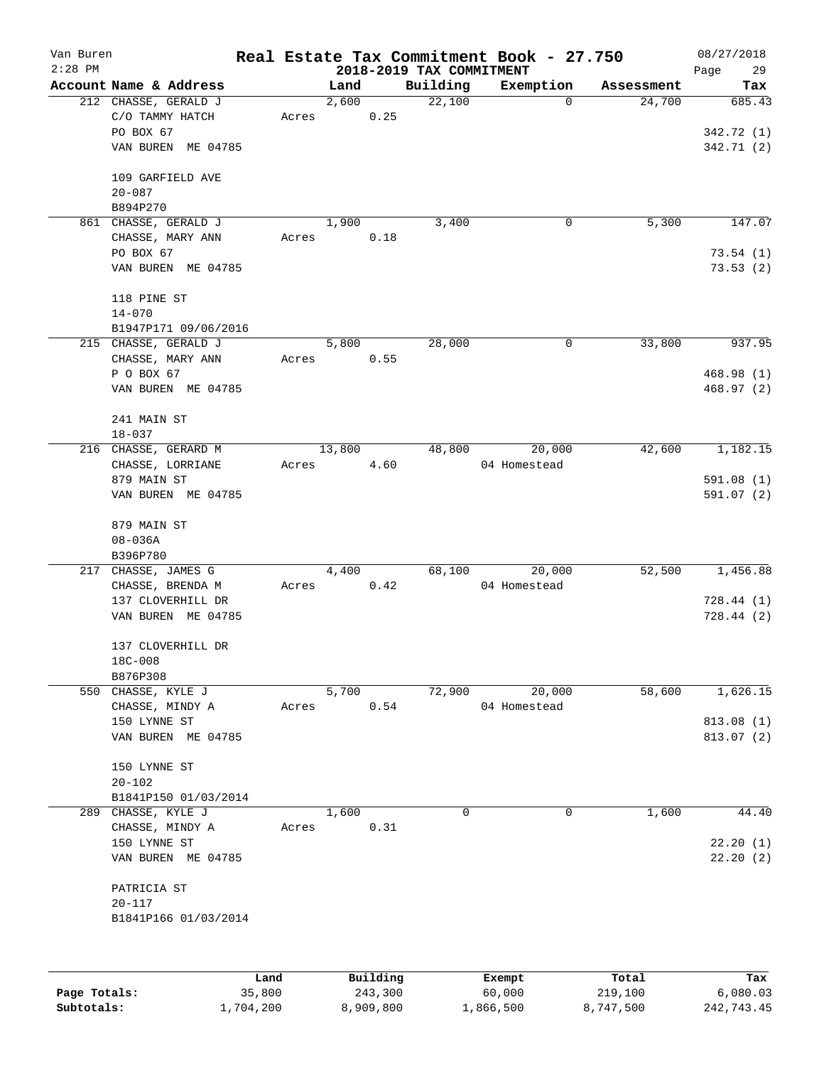| Van Buren |                                         |       |               |          |                          | Real Estate Tax Commitment Book - 27.750 |                      | 08/27/2018    |
|-----------|-----------------------------------------|-------|---------------|----------|--------------------------|------------------------------------------|----------------------|---------------|
| $2:28$ PM |                                         |       |               |          | 2018-2019 TAX COMMITMENT |                                          |                      | 29<br>Page    |
|           | Account Name & Address                  |       | Land<br>2,600 |          | Building<br>22,100       | Exemption<br>$\Omega$                    | Assessment<br>24,700 | Tax<br>685.43 |
|           | 212 CHASSE, GERALD J<br>C/O TAMMY HATCH | Acres |               | 0.25     |                          |                                          |                      |               |
|           | PO BOX 67                               |       |               |          |                          |                                          |                      | 342.72 (1)    |
|           | VAN BUREN ME 04785                      |       |               |          |                          |                                          |                      | 342.71 (2)    |
|           |                                         |       |               |          |                          |                                          |                      |               |
|           | 109 GARFIELD AVE                        |       |               |          |                          |                                          |                      |               |
|           | $20 - 087$                              |       |               |          |                          |                                          |                      |               |
|           | B894P270                                |       |               |          |                          |                                          |                      |               |
|           | 861 CHASSE, GERALD J                    |       | 1,900         |          | 3,400                    | 0                                        | 5,300                | 147.07        |
|           | CHASSE, MARY ANN                        | Acres |               | 0.18     |                          |                                          |                      |               |
|           | PO BOX 67                               |       |               |          |                          |                                          |                      | 73.54(1)      |
|           | VAN BUREN ME 04785                      |       |               |          |                          |                                          |                      | 73.53(2)      |
|           | 118 PINE ST                             |       |               |          |                          |                                          |                      |               |
|           | $14 - 070$                              |       |               |          |                          |                                          |                      |               |
|           | B1947P171 09/06/2016                    |       |               |          |                          |                                          |                      |               |
|           | 215 CHASSE, GERALD J                    |       | 5,800         |          | 28,000                   | 0                                        | 33,800               | 937.95        |
|           | CHASSE, MARY ANN                        | Acres |               | 0.55     |                          |                                          |                      |               |
|           | P O BOX 67                              |       |               |          |                          |                                          |                      | 468.98(1)     |
|           | VAN BUREN ME 04785                      |       |               |          |                          |                                          |                      | 468.97(2)     |
|           | 241 MAIN ST                             |       |               |          |                          |                                          |                      |               |
|           | $18 - 037$                              |       |               |          |                          |                                          |                      |               |
|           | 216 CHASSE, GERARD M                    |       | 13,800        |          | 48,800                   | 20,000                                   | 42,600               | 1,182.15      |
|           | CHASSE, LORRIANE                        | Acres |               | 4.60     |                          | 04 Homestead                             |                      |               |
|           | 879 MAIN ST                             |       |               |          |                          |                                          |                      | 591.08(1)     |
|           | VAN BUREN ME 04785                      |       |               |          |                          |                                          |                      | 591.07(2)     |
|           |                                         |       |               |          |                          |                                          |                      |               |
|           | 879 MAIN ST                             |       |               |          |                          |                                          |                      |               |
|           | $08 - 036A$                             |       |               |          |                          |                                          |                      |               |
|           | B396P780                                |       |               |          |                          |                                          |                      |               |
|           | 217 CHASSE, JAMES G                     |       | 4,400         |          | 68,100                   | 20,000                                   | 52,500               | 1,456.88      |
|           | CHASSE, BRENDA M                        | Acres |               | 0.42     |                          | 04 Homestead                             |                      |               |
|           | 137 CLOVERHILL DR                       |       |               |          |                          |                                          |                      | 728.44(1)     |
|           | VAN BUREN ME 04785                      |       |               |          |                          |                                          |                      | 728.44 (2)    |
|           |                                         |       |               |          |                          |                                          |                      |               |
|           | 137 CLOVERHILL DR                       |       |               |          |                          |                                          |                      |               |
|           | 18C-008                                 |       |               |          |                          |                                          |                      |               |
|           | B876P308                                |       |               |          |                          |                                          |                      |               |
|           | 550 CHASSE, KYLE J                      |       | 5,700         |          | 72,900                   | 20,000                                   | 58,600               | 1,626.15      |
|           | CHASSE, MINDY A                         | Acres |               | 0.54     |                          | 04 Homestead                             |                      |               |
|           | 150 LYNNE ST                            |       |               |          |                          |                                          |                      | 813.08 (1)    |
|           | VAN BUREN ME 04785                      |       |               |          |                          |                                          |                      | 813.07 (2)    |
|           | 150 LYNNE ST                            |       |               |          |                          |                                          |                      |               |
|           | $20 - 102$                              |       |               |          |                          |                                          |                      |               |
|           | B1841P150 01/03/2014                    |       |               |          |                          |                                          |                      |               |
|           | 289 CHASSE, KYLE J                      |       | 1,600         |          | 0                        | 0                                        | 1,600                | 44.40         |
|           | CHASSE, MINDY A                         | Acres |               | 0.31     |                          |                                          |                      |               |
|           | 150 LYNNE ST                            |       |               |          |                          |                                          |                      | 22.20(1)      |
|           | VAN BUREN ME 04785                      |       |               |          |                          |                                          |                      | 22.20(2)      |
|           | PATRICIA ST                             |       |               |          |                          |                                          |                      |               |
|           | $20 - 117$                              |       |               |          |                          |                                          |                      |               |
|           | B1841P166 01/03/2014                    |       |               |          |                          |                                          |                      |               |
|           |                                         |       |               |          |                          |                                          |                      |               |
|           |                                         | Land  |               | Building |                          | Exempt                                   | Total                | Tax           |
|           |                                         |       |               |          |                          |                                          |                      |               |

|              | Lano      | Building  | Exempt    | тосат     | rax.       |
|--------------|-----------|-----------|-----------|-----------|------------|
| Page Totals: | 35,800    | 243,300   | 60,000    | 219,100   | 6,080.03   |
| Subtotals:   | 1,704,200 | 8,909,800 | 1,866,500 | 8,747,500 | 242,743.45 |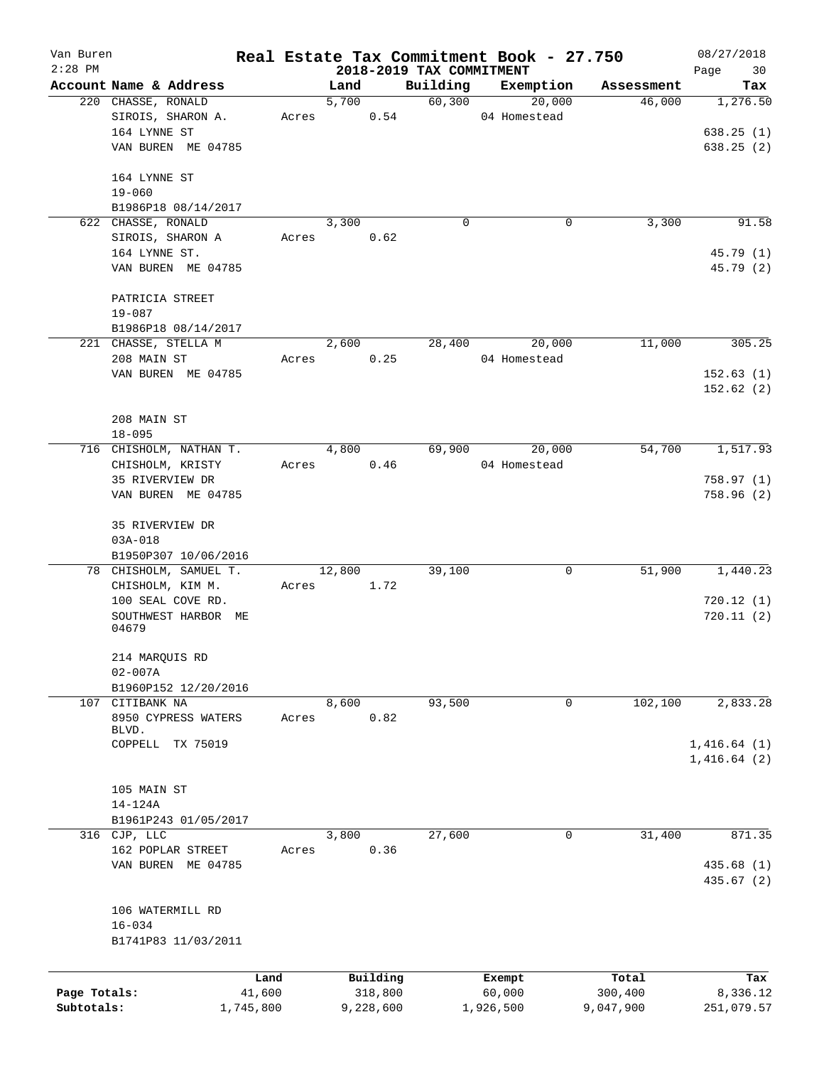| Van Buren<br>$2:28$ PM |                              |       |        |           | 2018-2019 TAX COMMITMENT | Real Estate Tax Commitment Book - 27.750 |            | 08/27/2018        |
|------------------------|------------------------------|-------|--------|-----------|--------------------------|------------------------------------------|------------|-------------------|
|                        | Account Name & Address       |       | Land   |           | Building                 | Exemption                                | Assessment | Page<br>30<br>Tax |
|                        | 220 CHASSE, RONALD           |       | 5,700  |           | 60,300                   | 20,000                                   | 46,000     | 1,276.50          |
|                        | SIROIS, SHARON A.            | Acres |        | 0.54      |                          | 04 Homestead                             |            |                   |
|                        | 164 LYNNE ST                 |       |        |           |                          |                                          |            | 638.25(1)         |
|                        | VAN BUREN ME 04785           |       |        |           |                          |                                          |            | 638.25(2)         |
|                        |                              |       |        |           |                          |                                          |            |                   |
|                        | 164 LYNNE ST                 |       |        |           |                          |                                          |            |                   |
|                        | $19 - 060$                   |       |        |           |                          |                                          |            |                   |
|                        | B1986P18 08/14/2017          |       |        |           |                          |                                          |            |                   |
|                        | 622 CHASSE, RONALD           |       | 3,300  |           | 0                        | $\mathbf 0$                              | 3,300      | 91.58             |
|                        | SIROIS, SHARON A             | Acres |        | 0.62      |                          |                                          |            |                   |
|                        | 164 LYNNE ST.                |       |        |           |                          |                                          |            | 45.79 (1)         |
|                        | VAN BUREN ME 04785           |       |        |           |                          |                                          |            | 45.79 (2)         |
|                        |                              |       |        |           |                          |                                          |            |                   |
|                        | PATRICIA STREET              |       |        |           |                          |                                          |            |                   |
|                        | $19 - 087$                   |       |        |           |                          |                                          |            |                   |
|                        | B1986P18 08/14/2017          |       |        |           |                          |                                          |            |                   |
|                        | 221 CHASSE, STELLA M         |       | 2,600  |           | 28,400                   | 20,000                                   | 11,000     | 305.25            |
|                        | 208 MAIN ST                  | Acres |        | 0.25      |                          | 04 Homestead                             |            |                   |
|                        | VAN BUREN ME 04785           |       |        |           |                          |                                          |            | 152.63(1)         |
|                        |                              |       |        |           |                          |                                          |            | 152.62(2)         |
|                        | 208 MAIN ST                  |       |        |           |                          |                                          |            |                   |
|                        | $18 - 095$                   |       |        |           |                          |                                          |            |                   |
|                        | 716 CHISHOLM, NATHAN T.      |       | 4,800  |           | 69,900                   | 20,000                                   | 54,700     | 1,517.93          |
|                        | CHISHOLM, KRISTY             | Acres |        | 0.46      |                          | 04 Homestead                             |            |                   |
|                        | 35 RIVERVIEW DR              |       |        |           |                          |                                          |            | 758.97(1)         |
|                        | VAN BUREN ME 04785           |       |        |           |                          |                                          |            | 758.96 (2)        |
|                        |                              |       |        |           |                          |                                          |            |                   |
|                        | 35 RIVERVIEW DR              |       |        |           |                          |                                          |            |                   |
|                        | $03A - 018$                  |       |        |           |                          |                                          |            |                   |
|                        | B1950P307 10/06/2016         |       |        |           |                          |                                          |            |                   |
|                        | 78 CHISHOLM, SAMUEL T.       |       | 12,800 |           | 39,100                   | 0                                        | 51,900     | 1,440.23          |
|                        | CHISHOLM, KIM M.             | Acres |        | 1.72      |                          |                                          |            |                   |
|                        | 100 SEAL COVE RD.            |       |        |           |                          |                                          |            | 720.12(1)         |
|                        | SOUTHWEST HARBOR ME<br>04679 |       |        |           |                          |                                          |            | 720.11 (2)        |
|                        |                              |       |        |           |                          |                                          |            |                   |
|                        | 214 MARQUIS RD               |       |        |           |                          |                                          |            |                   |
|                        | $02 - 007A$                  |       |        |           |                          |                                          |            |                   |
|                        | B1960P152 12/20/2016         |       |        |           |                          |                                          |            |                   |
|                        | 107 CITIBANK NA              |       | 8,600  |           | 93,500                   | 0                                        | 102, 100   | 2,833.28          |
|                        | 8950 CYPRESS WATERS          | Acres |        | 0.82      |                          |                                          |            |                   |
|                        | BLVD.                        |       |        |           |                          |                                          |            |                   |
|                        | COPPELL TX 75019             |       |        |           |                          |                                          |            | 1,416.64(1)       |
|                        |                              |       |        |           |                          |                                          |            | 1,416.64(2)       |
|                        | 105 MAIN ST                  |       |        |           |                          |                                          |            |                   |
|                        | 14-124A                      |       |        |           |                          |                                          |            |                   |
|                        | B1961P243 01/05/2017         |       |        |           |                          |                                          |            |                   |
|                        | 316 CJP, LLC                 |       | 3,800  |           | 27,600                   | 0                                        | 31,400     | 871.35            |
|                        | 162 POPLAR STREET            | Acres |        | 0.36      |                          |                                          |            |                   |
|                        | VAN BUREN ME 04785           |       |        |           |                          |                                          |            | 435.68 (1)        |
|                        |                              |       |        |           |                          |                                          |            | 435.67 (2)        |
|                        |                              |       |        |           |                          |                                          |            |                   |
|                        | 106 WATERMILL RD             |       |        |           |                          |                                          |            |                   |
|                        | $16 - 034$                   |       |        |           |                          |                                          |            |                   |
|                        | B1741P83 11/03/2011          |       |        |           |                          |                                          |            |                   |
|                        |                              |       |        |           |                          |                                          |            |                   |
|                        |                              | Land  |        | Building  |                          | Exempt                                   | Total      | Tax               |
| Page Totals:           | 41,600                       |       |        | 318,800   |                          | 60,000                                   | 300,400    | 8,336.12          |
| Subtotals:             | 1,745,800                    |       |        | 9,228,600 |                          | 1,926,500                                | 9,047,900  | 251,079.57        |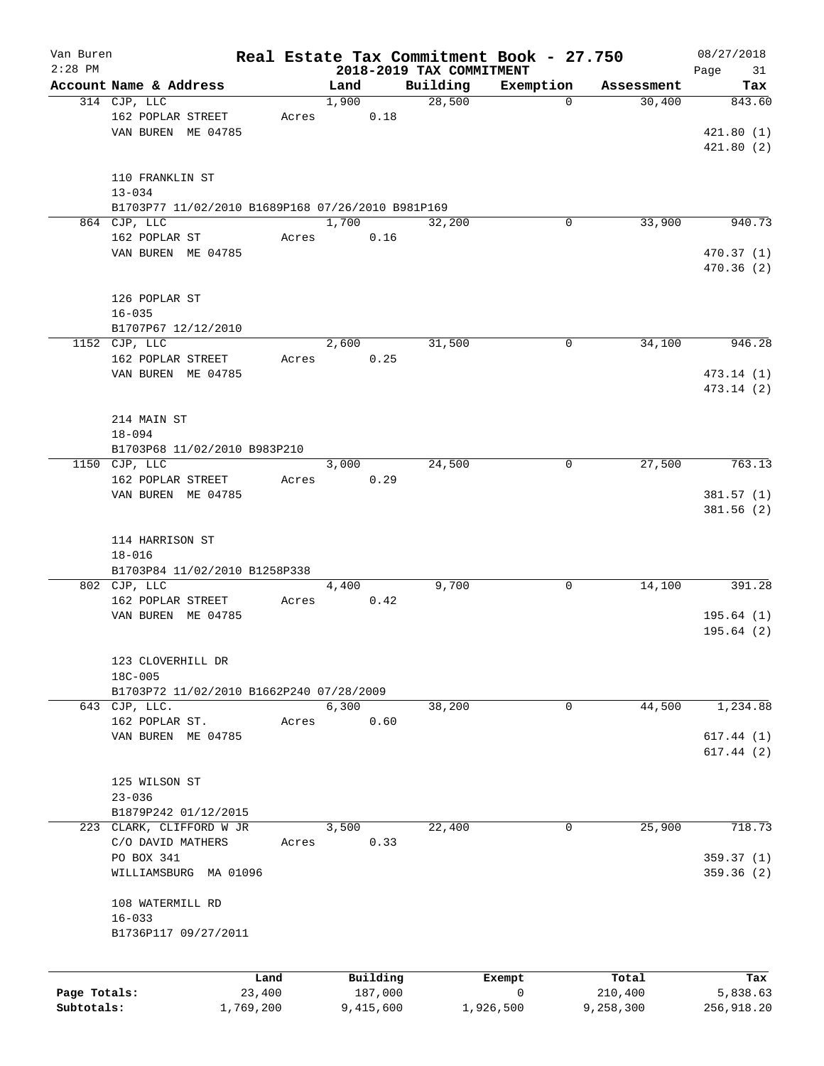| Van Buren    |                                                   |       |       |           |                          | Real Estate Tax Commitment Book - 27.750 |            | 08/27/2018 |
|--------------|---------------------------------------------------|-------|-------|-----------|--------------------------|------------------------------------------|------------|------------|
| $2:28$ PM    |                                                   |       |       |           | 2018-2019 TAX COMMITMENT |                                          |            | Page<br>31 |
|              | Account Name & Address                            |       | Land  |           | Building                 | Exemption                                | Assessment | Tax        |
|              | 314 CJP, LLC                                      |       | 1,900 |           | 28,500                   | $\mathbf 0$                              | 30,400     | 843.60     |
|              | 162 POPLAR STREET                                 | Acres |       | 0.18      |                          |                                          |            |            |
|              | VAN BUREN ME 04785                                |       |       |           |                          |                                          |            | 421.80(1)  |
|              |                                                   |       |       |           |                          |                                          |            | 421.80(2)  |
|              |                                                   |       |       |           |                          |                                          |            |            |
|              | 110 FRANKLIN ST                                   |       |       |           |                          |                                          |            |            |
|              | $13 - 034$                                        |       |       |           |                          |                                          |            |            |
|              | B1703P77 11/02/2010 B1689P168 07/26/2010 B981P169 |       |       |           |                          |                                          |            |            |
|              | 864 CJP, LLC                                      |       | 1,700 |           | 32,200                   | 0                                        | 33,900     | 940.73     |
|              | 162 POPLAR ST                                     | Acres |       | 0.16      |                          |                                          |            |            |
|              | VAN BUREN ME 04785                                |       |       |           |                          |                                          |            | 470.37(1)  |
|              |                                                   |       |       |           |                          |                                          |            | 470.36 (2) |
|              |                                                   |       |       |           |                          |                                          |            |            |
|              | 126 POPLAR ST                                     |       |       |           |                          |                                          |            |            |
|              | $16 - 035$                                        |       |       |           |                          |                                          |            |            |
|              | B1707P67 12/12/2010                               |       |       |           |                          |                                          |            |            |
|              | 1152 CJP, LLC                                     |       | 2,600 |           | 31,500                   | 0                                        | 34,100     | 946.28     |
|              | 162 POPLAR STREET                                 | Acres |       | 0.25      |                          |                                          |            |            |
|              | VAN BUREN ME 04785                                |       |       |           |                          |                                          |            | 473.14 (1) |
|              |                                                   |       |       |           |                          |                                          |            |            |
|              |                                                   |       |       |           |                          |                                          |            | 473.14(2)  |
|              |                                                   |       |       |           |                          |                                          |            |            |
|              | 214 MAIN ST                                       |       |       |           |                          |                                          |            |            |
|              | $18 - 094$                                        |       |       |           |                          |                                          |            |            |
|              | B1703P68 11/02/2010 B983P210                      |       |       |           |                          |                                          |            |            |
|              | 1150 CJP, LLC                                     |       | 3,000 |           | 24,500                   | 0                                        | 27,500     | 763.13     |
|              | 162 POPLAR STREET                                 | Acres |       | 0.29      |                          |                                          |            |            |
|              | VAN BUREN ME 04785                                |       |       |           |                          |                                          |            | 381.57(1)  |
|              |                                                   |       |       |           |                          |                                          |            | 381.56(2)  |
|              |                                                   |       |       |           |                          |                                          |            |            |
|              | 114 HARRISON ST                                   |       |       |           |                          |                                          |            |            |
|              | $18 - 016$                                        |       |       |           |                          |                                          |            |            |
|              | B1703P84 11/02/2010 B1258P338                     |       |       |           |                          |                                          |            |            |
|              | 802 CJP, LLC                                      |       | 4,400 |           | 9,700                    | 0                                        | 14,100     | 391.28     |
|              | 162 POPLAR STREET                                 | Acres |       | 0.42      |                          |                                          |            |            |
|              | VAN BUREN ME 04785                                |       |       |           |                          |                                          |            | 195.64(1)  |
|              |                                                   |       |       |           |                          |                                          |            | 195.64(2)  |
|              |                                                   |       |       |           |                          |                                          |            |            |
|              | 123 CLOVERHILL DR                                 |       |       |           |                          |                                          |            |            |
|              | 18C-005                                           |       |       |           |                          |                                          |            |            |
|              | B1703P72 11/02/2010 B1662P240 07/28/2009          |       |       |           |                          |                                          |            |            |
|              | 643 CJP, LLC.                                     |       | 6,300 |           | 38,200                   | 0                                        | 44,500     | 1,234.88   |
|              | 162 POPLAR ST.                                    |       |       | 0.60      |                          |                                          |            |            |
|              |                                                   | Acres |       |           |                          |                                          |            |            |
|              | VAN BUREN ME 04785                                |       |       |           |                          |                                          |            | 617.44(1)  |
|              |                                                   |       |       |           |                          |                                          |            | 617.44(2)  |
|              |                                                   |       |       |           |                          |                                          |            |            |
|              | 125 WILSON ST                                     |       |       |           |                          |                                          |            |            |
|              | $23 - 036$                                        |       |       |           |                          |                                          |            |            |
|              | B1879P242 01/12/2015                              |       |       |           |                          |                                          |            |            |
|              | 223 CLARK, CLIFFORD W JR                          |       | 3,500 |           | 22,400                   | 0                                        | 25,900     | 718.73     |
|              | C/O DAVID MATHERS                                 | Acres |       | 0.33      |                          |                                          |            |            |
|              | PO BOX 341                                        |       |       |           |                          |                                          |            | 359.37(1)  |
|              | WILLIAMSBURG MA 01096                             |       |       |           |                          |                                          |            | 359.36 (2) |
|              |                                                   |       |       |           |                          |                                          |            |            |
|              | 108 WATERMILL RD                                  |       |       |           |                          |                                          |            |            |
|              | $16 - 033$                                        |       |       |           |                          |                                          |            |            |
|              | B1736P117 09/27/2011                              |       |       |           |                          |                                          |            |            |
|              |                                                   |       |       |           |                          |                                          |            |            |
|              |                                                   |       |       |           |                          |                                          |            |            |
|              |                                                   | Land  |       | Building  |                          | Exempt                                   | Total      | Tax        |
| Page Totals: | 23,400                                            |       |       | 187,000   |                          | $\mathbf 0$                              | 210,400    | 5,838.63   |
| Subtotals:   | 1,769,200                                         |       |       | 9,415,600 |                          | 1,926,500                                | 9,258,300  | 256,918.20 |
|              |                                                   |       |       |           |                          |                                          |            |            |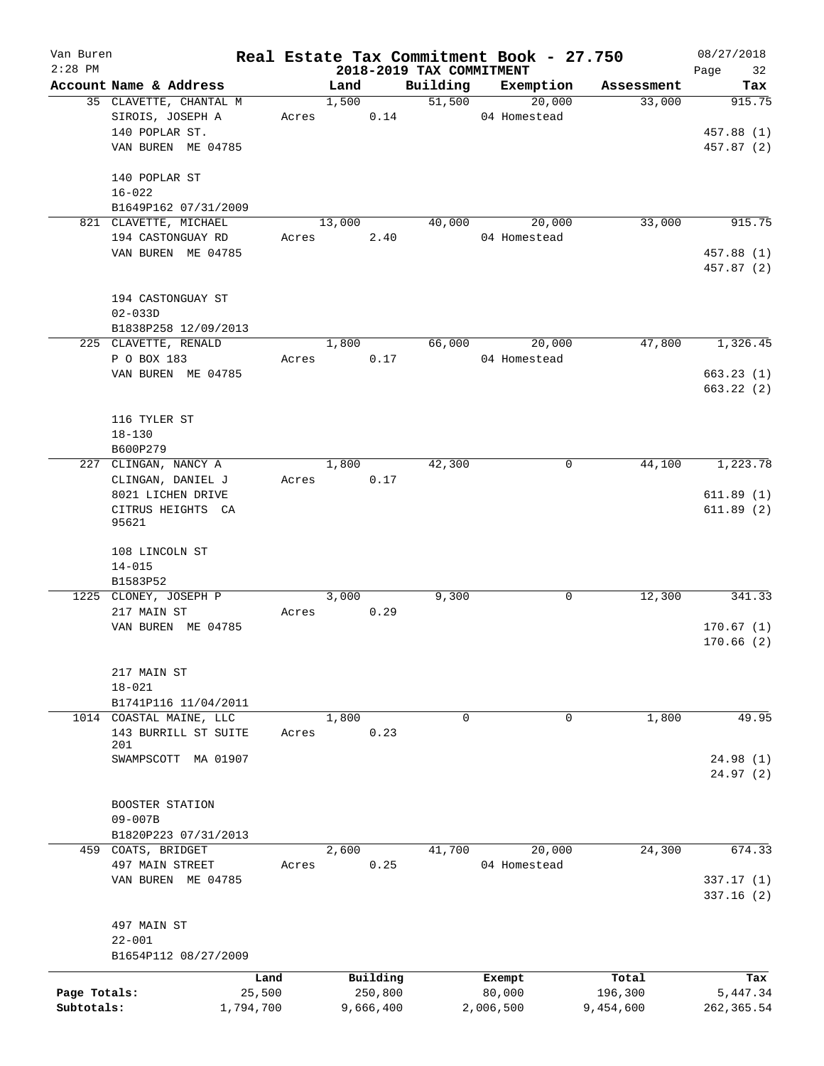| Van Buren<br>$2:28$ PM |                                                                           |           |       |                |           | 2018-2019 TAX COMMITMENT | Real Estate Tax Commitment Book - 27.750 |            | 08/27/2018<br>Page<br>32 |
|------------------------|---------------------------------------------------------------------------|-----------|-------|----------------|-----------|--------------------------|------------------------------------------|------------|--------------------------|
|                        | Account Name & Address                                                    |           |       | Land           |           | Building                 | Exemption                                | Assessment | Tax                      |
|                        | 35 CLAVETTE, CHANTAL M<br>SIROIS, JOSEPH A<br>140 POPLAR ST.              |           |       | 1,500<br>Acres | 0.14      | 51,500                   | 20,000<br>04 Homestead                   | 33,000     | 915.75<br>457.88 (1)     |
|                        | VAN BUREN ME 04785<br>140 POPLAR ST<br>$16 - 022$<br>B1649P162 07/31/2009 |           |       |                |           |                          |                                          |            | 457.87 (2)               |
|                        | 821 CLAVETTE, MICHAEL                                                     |           |       | 13,000         |           | 40,000                   | 20,000                                   | 33,000     | 915.75                   |
|                        | 194 CASTONGUAY RD                                                         |           | Acres |                | 2.40      |                          | 04 Homestead                             |            |                          |
|                        | VAN BUREN ME 04785                                                        |           |       |                |           |                          |                                          |            | 457.88 (1)<br>457.87 (2) |
|                        | 194 CASTONGUAY ST<br>$02 - 033D$                                          |           |       |                |           |                          |                                          |            |                          |
|                        | B1838P258 12/09/2013<br>225 CLAVETTE, RENALD                              |           |       | 1,800          |           | 66,000                   | 20,000                                   | 47,800     | 1,326.45                 |
|                        | P O BOX 183                                                               |           | Acres |                | 0.17      |                          | 04 Homestead                             |            |                          |
|                        | VAN BUREN ME 04785                                                        |           |       |                |           |                          |                                          |            | 663.23(1)                |
|                        |                                                                           |           |       |                |           |                          |                                          |            | 663.22(2)                |
|                        | 116 TYLER ST                                                              |           |       |                |           |                          |                                          |            |                          |
|                        | $18 - 130$                                                                |           |       |                |           |                          |                                          |            |                          |
|                        | B600P279                                                                  |           |       |                |           |                          |                                          |            |                          |
|                        | 227 CLINGAN, NANCY A<br>CLINGAN, DANIEL J                                 |           | Acres | 1,800          | 0.17      | 42,300                   | 0                                        | 44,100     | 1,223.78                 |
|                        | 8021 LICHEN DRIVE                                                         |           |       |                |           |                          |                                          |            | 611.89(1)                |
|                        | CITRUS HEIGHTS CA<br>95621                                                |           |       |                |           |                          |                                          |            | 611.89(2)                |
|                        | 108 LINCOLN ST<br>$14 - 015$<br>B1583P52                                  |           |       |                |           |                          |                                          |            |                          |
|                        | 1225 CLONEY, JOSEPH P                                                     |           |       | 3,000          |           | 9,300                    | 0                                        | 12,300     | 341.33                   |
|                        | 217 MAIN ST                                                               |           | Acres |                | 0.29      |                          |                                          |            |                          |
|                        | VAN BUREN ME 04785                                                        |           |       |                |           |                          |                                          |            | 170.67(1)<br>170.66(2)   |
|                        | 217 MAIN ST<br>$18 - 021$                                                 |           |       |                |           |                          |                                          |            |                          |
|                        | B1741P116 11/04/2011                                                      |           |       |                |           |                          |                                          |            |                          |
|                        | 1014 COASTAL MAINE, LLC                                                   |           |       | 1,800          |           | 0                        | 0                                        | 1,800      | 49.95                    |
|                        | 143 BURRILL ST SUITE<br>201                                               |           | Acres |                | 0.23      |                          |                                          |            |                          |
|                        | SWAMPSCOTT MA 01907                                                       |           |       |                |           |                          |                                          |            | 24.98(1)<br>24.97(2)     |
|                        | BOOSTER STATION<br>$09 - 007B$                                            |           |       |                |           |                          |                                          |            |                          |
|                        | B1820P223 07/31/2013                                                      |           |       |                |           |                          |                                          |            |                          |
|                        | 459 COATS, BRIDGET                                                        |           |       | 2,600          |           | 41,700                   | 20,000                                   | 24,300     | 674.33                   |
|                        | 497 MAIN STREET                                                           |           | Acres |                | 0.25      |                          | 04 Homestead                             |            |                          |
|                        | VAN BUREN ME 04785                                                        |           |       |                |           |                          |                                          |            | 337.17(1)<br>337.16(2)   |
|                        | 497 MAIN ST                                                               |           |       |                |           |                          |                                          |            |                          |
|                        | $22 - 001$                                                                |           |       |                |           |                          |                                          |            |                          |
|                        | B1654P112 08/27/2009                                                      |           |       |                |           |                          |                                          |            |                          |
|                        |                                                                           | Land      |       |                | Building  |                          | Exempt                                   | Total      | Tax                      |
| Page Totals:           |                                                                           | 25,500    |       |                | 250,800   |                          | 80,000                                   | 196,300    | 5,447.34                 |
| Subtotals:             |                                                                           | 1,794,700 |       |                | 9,666,400 |                          | 2,006,500                                | 9,454,600  | 262, 365.54              |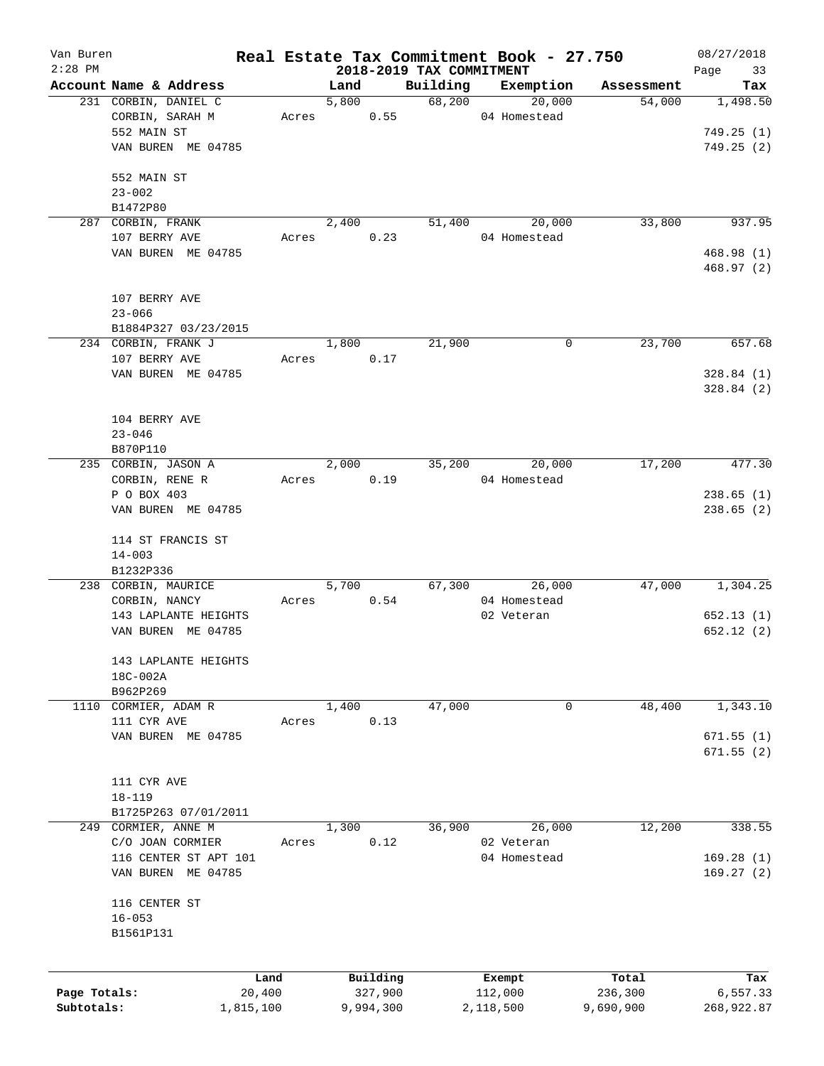| Van Buren    |                                  |       |       |           |                                      | Real Estate Tax Commitment Book - 27.750 |            | 08/27/2018        |
|--------------|----------------------------------|-------|-------|-----------|--------------------------------------|------------------------------------------|------------|-------------------|
| $2:28$ PM    | Account Name & Address           |       | Land  |           | 2018-2019 TAX COMMITMENT<br>Building | Exemption                                | Assessment | 33<br>Page<br>Tax |
|              | 231 CORBIN, DANIEL C             |       | 5,800 |           | 68,200                               | 20,000                                   | 54,000     | 1,498.50          |
|              | CORBIN, SARAH M                  | Acres |       | 0.55      |                                      | 04 Homestead                             |            |                   |
|              | 552 MAIN ST                      |       |       |           |                                      |                                          |            | 749.25(1)         |
|              | VAN BUREN ME 04785               |       |       |           |                                      |                                          |            | 749.25(2)         |
|              |                                  |       |       |           |                                      |                                          |            |                   |
|              | 552 MAIN ST                      |       |       |           |                                      |                                          |            |                   |
|              | $23 - 002$                       |       |       |           |                                      |                                          |            |                   |
|              | B1472P80                         |       |       |           |                                      |                                          |            |                   |
|              | 287 CORBIN, FRANK                |       | 2,400 |           | 51,400                               | 20,000                                   | 33,800     | 937.95            |
|              | 107 BERRY AVE                    | Acres |       | 0.23      |                                      | 04 Homestead                             |            |                   |
|              | VAN BUREN ME 04785               |       |       |           |                                      |                                          |            | 468.98 (1)        |
|              |                                  |       |       |           |                                      |                                          |            | 468.97(2)         |
|              |                                  |       |       |           |                                      |                                          |            |                   |
|              | 107 BERRY AVE                    |       |       |           |                                      |                                          |            |                   |
|              | $23 - 066$                       |       |       |           |                                      |                                          |            |                   |
|              | B1884P327 03/23/2015             |       |       |           |                                      |                                          |            |                   |
|              | 234 CORBIN, FRANK J              |       | 1,800 |           | 21,900                               | 0                                        | 23,700     | 657.68            |
|              | 107 BERRY AVE                    | Acres |       | 0.17      |                                      |                                          |            |                   |
|              | VAN BUREN ME 04785               |       |       |           |                                      |                                          |            | 328.84(1)         |
|              |                                  |       |       |           |                                      |                                          |            | 328.84(2)         |
|              |                                  |       |       |           |                                      |                                          |            |                   |
|              | 104 BERRY AVE                    |       |       |           |                                      |                                          |            |                   |
|              | $23 - 046$                       |       |       |           |                                      |                                          |            |                   |
|              | B870P110                         |       |       |           |                                      |                                          |            |                   |
|              | 235 CORBIN, JASON A              |       | 2,000 |           | 35,200                               | 20,000                                   | 17,200     | 477.30            |
|              | CORBIN, RENE R                   | Acres |       | 0.19      |                                      | 04 Homestead                             |            |                   |
|              | P O BOX 403                      |       |       |           |                                      |                                          |            | 238.65(1)         |
|              | VAN BUREN ME 04785               |       |       |           |                                      |                                          |            | 238.65(2)         |
|              |                                  |       |       |           |                                      |                                          |            |                   |
|              | 114 ST FRANCIS ST                |       |       |           |                                      |                                          |            |                   |
|              | $14 - 003$                       |       |       |           |                                      |                                          |            |                   |
|              | B1232P336<br>238 CORBIN, MAURICE |       | 5,700 |           |                                      | 67,300                                   | 47,000     | 1,304.25          |
|              | CORBIN, NANCY                    | Acres |       | 0.54      |                                      | 26,000<br>04 Homestead                   |            |                   |
|              | 143 LAPLANTE HEIGHTS             |       |       |           |                                      | 02 Veteran                               |            | 652.13(1)         |
|              | VAN BUREN ME 04785               |       |       |           |                                      |                                          |            | 652.12(2)         |
|              |                                  |       |       |           |                                      |                                          |            |                   |
|              | 143 LAPLANTE HEIGHTS             |       |       |           |                                      |                                          |            |                   |
|              | 18C-002A                         |       |       |           |                                      |                                          |            |                   |
|              | B962P269                         |       |       |           |                                      |                                          |            |                   |
| 1110         | CORMIER, ADAM R                  |       | 1,400 |           | 47,000                               | 0                                        | 48,400     | 1,343.10          |
|              | 111 CYR AVE                      | Acres |       | 0.13      |                                      |                                          |            |                   |
|              | VAN BUREN ME 04785               |       |       |           |                                      |                                          |            | 671.55(1)         |
|              |                                  |       |       |           |                                      |                                          |            | 671.55(2)         |
|              |                                  |       |       |           |                                      |                                          |            |                   |
|              | 111 CYR AVE                      |       |       |           |                                      |                                          |            |                   |
|              | $18 - 119$                       |       |       |           |                                      |                                          |            |                   |
|              | B1725P263 07/01/2011             |       |       |           |                                      |                                          |            |                   |
| 249          | CORMIER, ANNE M                  |       | 1,300 |           | 36,900                               | 26,000                                   | 12,200     | 338.55            |
|              | C/O JOAN CORMIER                 | Acres |       | 0.12      |                                      | 02 Veteran                               |            |                   |
|              | 116 CENTER ST APT 101            |       |       |           |                                      | 04 Homestead                             |            | 169.28(1)         |
|              | VAN BUREN ME 04785               |       |       |           |                                      |                                          |            | 169.27(2)         |
|              |                                  |       |       |           |                                      |                                          |            |                   |
|              | 116 CENTER ST                    |       |       |           |                                      |                                          |            |                   |
|              | $16 - 053$                       |       |       |           |                                      |                                          |            |                   |
|              | B1561P131                        |       |       |           |                                      |                                          |            |                   |
|              |                                  |       |       |           |                                      |                                          |            |                   |
|              |                                  | Land  |       | Building  |                                      | Exempt                                   | Total      | Tax               |
| Page Totals: | 20,400                           |       |       | 327,900   |                                      | 112,000                                  | 236,300    | 6,557.33          |
| Subtotals:   | 1,815,100                        |       |       | 9,994,300 |                                      | 2,118,500                                | 9,690,900  | 268,922.87        |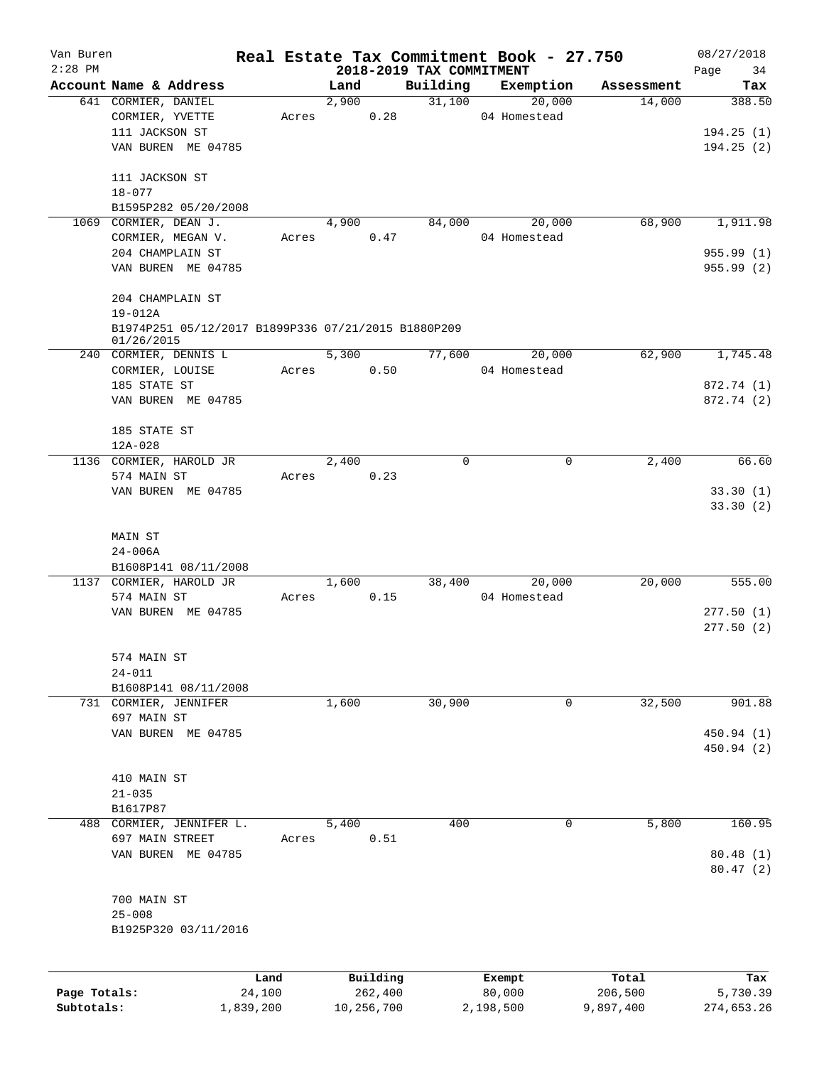| Van Buren    |                                                     |                |            |                     |                                      | Real Estate Tax Commitment Book - 27.750 |                  | 08/27/2018        |
|--------------|-----------------------------------------------------|----------------|------------|---------------------|--------------------------------------|------------------------------------------|------------------|-------------------|
| $2:28$ PM    | Account Name & Address                              |                | Land       |                     | 2018-2019 TAX COMMITMENT<br>Building | Exemption                                | Assessment       | 34<br>Page<br>Tax |
|              | 641 CORMIER, DANIEL                                 |                | 2,900      |                     | 31,100                               | 20,000                                   | 14,000           | 388.50            |
|              | CORMIER, YVETTE                                     | Acres          |            | 0.28                |                                      | 04 Homestead                             |                  |                   |
|              | 111 JACKSON ST                                      |                |            |                     |                                      |                                          |                  | 194.25(1)         |
|              | VAN BUREN ME 04785                                  |                |            |                     |                                      |                                          |                  | 194.25(2)         |
|              |                                                     |                |            |                     |                                      |                                          |                  |                   |
|              | 111 JACKSON ST                                      |                |            |                     |                                      |                                          |                  |                   |
|              | $18 - 077$                                          |                |            |                     |                                      |                                          |                  |                   |
|              | B1595P282 05/20/2008                                |                |            |                     |                                      |                                          |                  |                   |
|              | 1069 CORMIER, DEAN J.                               |                | 4,900      |                     | 84,000                               | 20,000                                   | 68,900           | 1,911.98          |
|              | CORMIER, MEGAN V.                                   | Acres          |            | 0.47                |                                      | 04 Homestead                             |                  |                   |
|              | 204 CHAMPLAIN ST                                    |                |            |                     |                                      |                                          |                  | 955.99(1)         |
|              | VAN BUREN ME 04785                                  |                |            |                     |                                      |                                          |                  | 955.99(2)         |
|              | 204 CHAMPLAIN ST                                    |                |            |                     |                                      |                                          |                  |                   |
|              | $19 - 012A$                                         |                |            |                     |                                      |                                          |                  |                   |
|              | B1974P251 05/12/2017 B1899P336 07/21/2015 B1880P209 |                |            |                     |                                      |                                          |                  |                   |
|              | 01/26/2015                                          |                |            |                     |                                      |                                          |                  |                   |
|              | 240 CORMIER, DENNIS L                               |                | 5,300      |                     | 77,600                               | 20,000                                   | 62,900           | 1,745.48          |
|              | CORMIER, LOUISE                                     | Acres          |            | 0.50                |                                      | 04 Homestead                             |                  |                   |
|              | 185 STATE ST                                        |                |            |                     |                                      |                                          |                  | 872.74 (1)        |
|              | VAN BUREN ME 04785                                  |                |            |                     |                                      |                                          |                  | 872.74 (2)        |
|              | 185 STATE ST                                        |                |            |                     |                                      |                                          |                  |                   |
|              | 12A-028                                             |                |            |                     |                                      |                                          |                  |                   |
|              | 1136 CORMIER, HAROLD JR                             |                | 2,400      |                     | $\Omega$                             | $\mathbf 0$                              | 2,400            | 66.60             |
|              | 574 MAIN ST                                         | Acres          |            | 0.23                |                                      |                                          |                  |                   |
|              | VAN BUREN ME 04785                                  |                |            |                     |                                      |                                          |                  | 33.30(1)          |
|              |                                                     |                |            |                     |                                      |                                          |                  | 33.30(2)          |
|              |                                                     |                |            |                     |                                      |                                          |                  |                   |
|              | MAIN ST                                             |                |            |                     |                                      |                                          |                  |                   |
|              | $24 - 006A$                                         |                |            |                     |                                      |                                          |                  |                   |
|              | B1608P141 08/11/2008                                |                |            |                     |                                      |                                          |                  |                   |
|              | 1137 CORMIER, HAROLD JR                             |                | 1,600      |                     | 38,400                               | 20,000                                   | 20,000           | 555.00            |
|              | 574 MAIN ST                                         | Acres          |            | 0.15                |                                      | 04 Homestead                             |                  |                   |
|              | VAN BUREN ME 04785                                  |                |            |                     |                                      |                                          |                  | 277.50(1)         |
|              |                                                     |                |            |                     |                                      |                                          |                  | 277.50(2)         |
|              | 574 MAIN ST                                         |                |            |                     |                                      |                                          |                  |                   |
|              | $24 - 011$                                          |                |            |                     |                                      |                                          |                  |                   |
|              | B1608P141 08/11/2008                                |                |            |                     |                                      |                                          |                  |                   |
|              | 731 CORMIER, JENNIFER                               |                | 1,600      |                     | 30,900                               | 0                                        | 32,500           | 901.88            |
|              | 697 MAIN ST                                         |                |            |                     |                                      |                                          |                  |                   |
|              | VAN BUREN ME 04785                                  |                |            |                     |                                      |                                          |                  | 450.94 (1)        |
|              |                                                     |                |            |                     |                                      |                                          |                  | 450.94 (2)        |
|              |                                                     |                |            |                     |                                      |                                          |                  |                   |
|              | 410 MAIN ST                                         |                |            |                     |                                      |                                          |                  |                   |
|              | $21 - 035$                                          |                |            |                     |                                      |                                          |                  |                   |
|              | B1617P87                                            |                |            |                     |                                      |                                          |                  |                   |
|              | 488 CORMIER, JENNIFER L.<br>697 MAIN STREET         | Acres          | 5,400      | 0.51                | 400                                  | 0                                        | 5,800            | 160.95            |
|              | VAN BUREN ME 04785                                  |                |            |                     |                                      |                                          |                  | 80.48 (1)         |
|              |                                                     |                |            |                     |                                      |                                          |                  | 80.47(2)          |
|              |                                                     |                |            |                     |                                      |                                          |                  |                   |
|              | 700 MAIN ST                                         |                |            |                     |                                      |                                          |                  |                   |
|              | $25 - 008$                                          |                |            |                     |                                      |                                          |                  |                   |
|              | B1925P320 03/11/2016                                |                |            |                     |                                      |                                          |                  |                   |
|              |                                                     |                |            |                     |                                      |                                          |                  |                   |
|              |                                                     |                |            |                     |                                      |                                          |                  |                   |
| Page Totals: |                                                     | Land<br>24,100 |            | Building<br>262,400 |                                      | Exempt<br>80,000                         | Total<br>206,500 | Tax<br>5,730.39   |
| Subtotals:   | 1,839,200                                           |                | 10,256,700 |                     |                                      | 2,198,500                                | 9,897,400        | 274,653.26        |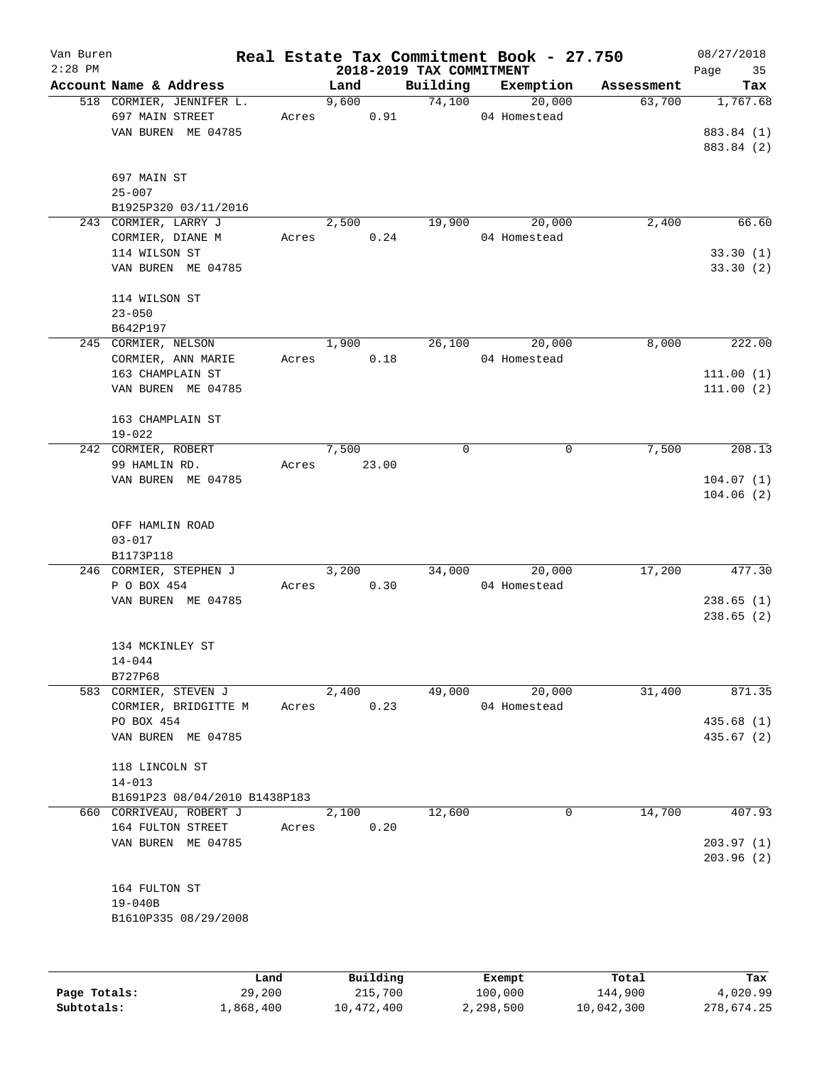| Van Buren    |                               |       |                                  |             | Real Estate Tax Commitment Book - 27.750 |            | 08/27/2018        |
|--------------|-------------------------------|-------|----------------------------------|-------------|------------------------------------------|------------|-------------------|
| $2:28$ PM    | Account Name & Address        |       | 2018-2019 TAX COMMITMENT<br>Land | Building    | Exemption                                | Assessment | Page<br>35<br>Tax |
|              | 518 CORMIER, JENNIFER L.      |       | 9,600                            | 74,100      | 20,000                                   | 63,700     | 1,767.68          |
|              | 697 MAIN STREET               | Acres | 0.91                             |             | 04 Homestead                             |            |                   |
|              | VAN BUREN ME 04785            |       |                                  |             |                                          |            | 883.84 (1)        |
|              |                               |       |                                  |             |                                          |            | 883.84 (2)        |
|              |                               |       |                                  |             |                                          |            |                   |
|              | 697 MAIN ST                   |       |                                  |             |                                          |            |                   |
|              | $25 - 007$                    |       |                                  |             |                                          |            |                   |
|              | B1925P320 03/11/2016          |       |                                  |             |                                          |            |                   |
|              | 243 CORMIER, LARRY J          |       | 2,500                            | 19,900      | 20,000                                   | 2,400      | 66.60             |
|              | CORMIER, DIANE M              | Acres | 0.24                             |             | 04 Homestead                             |            |                   |
|              | 114 WILSON ST                 |       |                                  |             |                                          |            | 33.30(1)          |
|              | VAN BUREN ME 04785            |       |                                  |             |                                          |            | 33.30(2)          |
|              |                               |       |                                  |             |                                          |            |                   |
|              | 114 WILSON ST                 |       |                                  |             |                                          |            |                   |
|              | $23 - 050$                    |       |                                  |             |                                          |            |                   |
|              | B642P197                      |       |                                  |             |                                          |            |                   |
|              | 245 CORMIER, NELSON           |       | 1,900                            | 26,100      | 20,000                                   | 8,000      | 222.00            |
|              | CORMIER, ANN MARIE            | Acres | 0.18                             |             | 04 Homestead                             |            |                   |
|              | 163 CHAMPLAIN ST              |       |                                  |             |                                          |            | 111.00(1)         |
|              | VAN BUREN ME 04785            |       |                                  |             |                                          |            | 111.00(2)         |
|              |                               |       |                                  |             |                                          |            |                   |
|              | 163 CHAMPLAIN ST              |       |                                  |             |                                          |            |                   |
|              | $19 - 022$                    |       |                                  |             |                                          |            |                   |
|              | 242 CORMIER, ROBERT           |       | 7,500                            | $\mathbf 0$ | 0                                        | 7,500      | 208.13            |
|              | 99 HAMLIN RD.                 | Acres | 23.00                            |             |                                          |            |                   |
|              | VAN BUREN ME 04785            |       |                                  |             |                                          |            | 104.07(1)         |
|              |                               |       |                                  |             |                                          |            | 104.06(2)         |
|              |                               |       |                                  |             |                                          |            |                   |
|              | OFF HAMLIN ROAD               |       |                                  |             |                                          |            |                   |
|              | $03 - 017$                    |       |                                  |             |                                          |            |                   |
|              | B1173P118                     |       |                                  |             |                                          |            |                   |
|              | 246 CORMIER, STEPHEN J        |       | 3,200                            | 34,000      | 20,000                                   | 17,200     | 477.30            |
|              | P O BOX 454                   | Acres | 0.30                             |             | 04 Homestead                             |            |                   |
|              | VAN BUREN ME 04785            |       |                                  |             |                                          |            | 238.65(1)         |
|              |                               |       |                                  |             |                                          |            | 238.65(2)         |
|              |                               |       |                                  |             |                                          |            |                   |
|              | 134 MCKINLEY ST               |       |                                  |             |                                          |            |                   |
|              | $14 - 044$                    |       |                                  |             |                                          |            |                   |
|              | B727P68                       |       |                                  |             |                                          |            |                   |
|              | 583 CORMIER, STEVEN J         |       | 2,400                            | 49,000      | 20,000                                   | 31,400     | 871.35            |
|              | CORMIER, BRIDGITTE M          | Acres | 0.23                             |             | 04 Homestead                             |            |                   |
|              | PO BOX 454                    |       |                                  |             |                                          |            | 435.68(1)         |
|              | VAN BUREN ME 04785            |       |                                  |             |                                          |            | 435.67 (2)        |
|              |                               |       |                                  |             |                                          |            |                   |
|              | 118 LINCOLN ST                |       |                                  |             |                                          |            |                   |
|              | $14 - 013$                    |       |                                  |             |                                          |            |                   |
|              | B1691P23 08/04/2010 B1438P183 |       |                                  |             |                                          |            |                   |
| 660          | CORRIVEAU, ROBERT J           |       | 2,100                            | 12,600      | 0                                        | 14,700     | 407.93            |
|              | 164 FULTON STREET             | Acres | 0.20                             |             |                                          |            |                   |
|              | VAN BUREN ME 04785            |       |                                  |             |                                          |            | 203.97(1)         |
|              |                               |       |                                  |             |                                          |            | 203.96 (2)        |
|              |                               |       |                                  |             |                                          |            |                   |
|              | 164 FULTON ST                 |       |                                  |             |                                          |            |                   |
|              | $19 - 040B$                   |       |                                  |             |                                          |            |                   |
|              | B1610P335 08/29/2008          |       |                                  |             |                                          |            |                   |
|              |                               |       |                                  |             |                                          |            |                   |
|              |                               |       |                                  |             |                                          |            |                   |
|              |                               |       |                                  |             |                                          |            |                   |
|              |                               | Land  | Building                         |             | Exempt                                   | Total      | Tax               |
| Page Totals: | 29,200                        |       | 215,700                          |             | 100,000                                  | 144,900    | 4,020.99          |

**Subtotals:** 1,868,400 10,472,400 2,298,500 10,042,300 278,674.25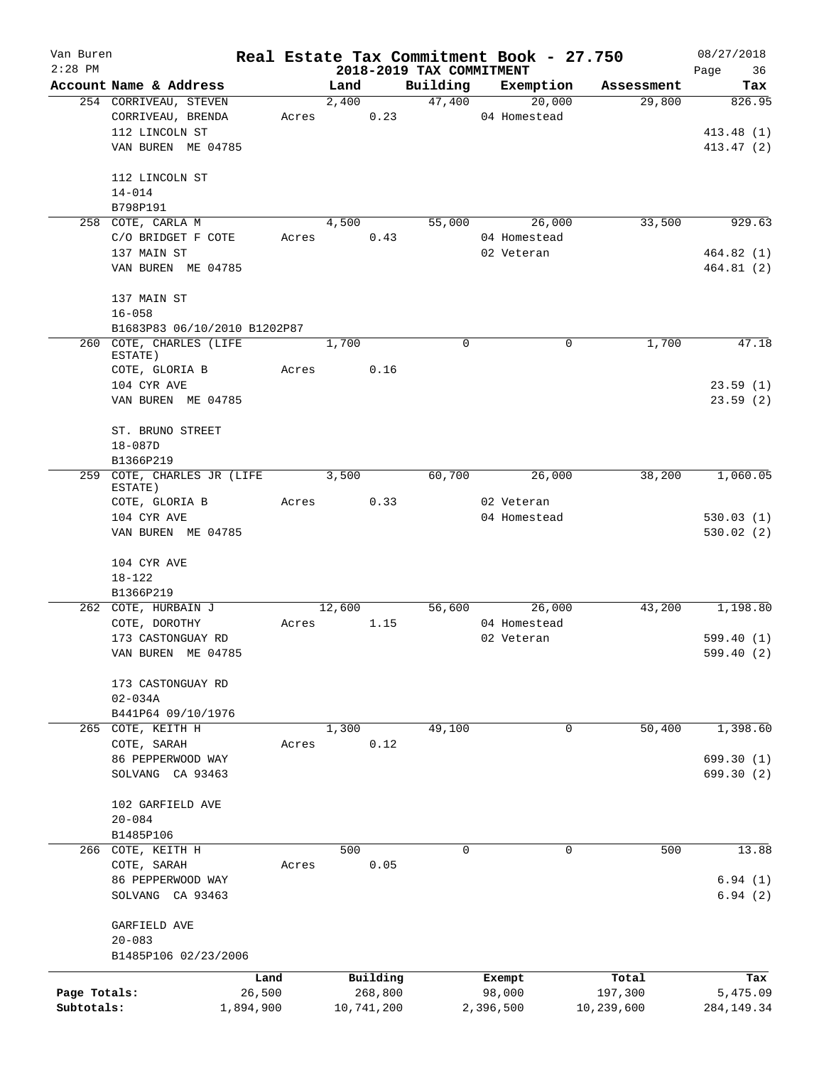| Van Buren<br>$2:28$ PM |                              |        |        |            |                                      | Real Estate Tax Commitment Book - 27.750 |            | 08/27/2018        |
|------------------------|------------------------------|--------|--------|------------|--------------------------------------|------------------------------------------|------------|-------------------|
|                        | Account Name & Address       |        | Land   |            | 2018-2019 TAX COMMITMENT<br>Building | Exemption                                | Assessment | 36<br>Page<br>Tax |
|                        | 254 CORRIVEAU, STEVEN        |        | 2,400  |            | 47,400                               | 20,000                                   | 29,800     | 826.95            |
|                        | CORRIVEAU, BRENDA            |        | Acres  | 0.23       |                                      | 04 Homestead                             |            |                   |
|                        | 112 LINCOLN ST               |        |        |            |                                      |                                          |            | 413.48 (1)        |
|                        | VAN BUREN ME 04785           |        |        |            |                                      |                                          |            | 413.47 (2)        |
|                        |                              |        |        |            |                                      |                                          |            |                   |
|                        | 112 LINCOLN ST               |        |        |            |                                      |                                          |            |                   |
|                        | $14 - 014$                   |        |        |            |                                      |                                          |            |                   |
|                        | B798P191                     |        |        |            |                                      |                                          |            |                   |
|                        | 258 COTE, CARLA M            |        | 4,500  |            | 55,000                               | 26,000                                   | 33,500     | 929.63            |
|                        | C/O BRIDGET F COTE           | Acres  |        | 0.43       |                                      | 04 Homestead                             |            |                   |
|                        | 137 MAIN ST                  |        |        |            |                                      | 02 Veteran                               |            | 464.82 (1)        |
|                        | VAN BUREN ME 04785           |        |        |            |                                      |                                          |            | 464.81 (2)        |
|                        |                              |        |        |            |                                      |                                          |            |                   |
|                        | 137 MAIN ST                  |        |        |            |                                      |                                          |            |                   |
|                        | $16 - 058$                   |        |        |            |                                      |                                          |            |                   |
|                        | B1683P83 06/10/2010 B1202P87 |        |        |            |                                      |                                          |            |                   |
|                        | 260 COTE, CHARLES (LIFE      |        | 1,700  |            | $\Omega$                             | 0                                        | 1,700      | 47.18             |
|                        | ESTATE)                      |        |        |            |                                      |                                          |            |                   |
|                        | COTE, GLORIA B               | Acres  |        | 0.16       |                                      |                                          |            |                   |
|                        | 104 CYR AVE                  |        |        |            |                                      |                                          |            | 23.59(1)          |
|                        | VAN BUREN ME 04785           |        |        |            |                                      |                                          |            | 23.59(2)          |
|                        |                              |        |        |            |                                      |                                          |            |                   |
|                        | ST. BRUNO STREET             |        |        |            |                                      |                                          |            |                   |
|                        | $18 - 087D$                  |        |        |            |                                      |                                          |            |                   |
|                        | B1366P219                    |        |        |            |                                      |                                          |            |                   |
|                        | 259 COTE, CHARLES JR (LIFE   |        | 3,500  |            | 60,700                               | 26,000                                   | 38,200     | 1,060.05          |
|                        | ESTATE)                      |        |        |            |                                      |                                          |            |                   |
|                        | COTE, GLORIA B               | Acres  |        | 0.33       |                                      | 02 Veteran                               |            |                   |
|                        | 104 CYR AVE                  |        |        |            |                                      | 04 Homestead                             |            | 530.03(1)         |
|                        | VAN BUREN ME 04785           |        |        |            |                                      |                                          |            | 530.02(2)         |
|                        |                              |        |        |            |                                      |                                          |            |                   |
|                        | 104 CYR AVE                  |        |        |            |                                      |                                          |            |                   |
|                        | $18 - 122$                   |        |        |            |                                      |                                          |            |                   |
|                        | B1366P219                    |        |        |            |                                      |                                          |            |                   |
|                        | 262 COTE, HURBAIN J          |        | 12,600 |            | 56,600                               | 26,000                                   | 43,200     | 1,198.80          |
|                        | COTE, DOROTHY                | Acres  |        | 1.15       |                                      | 04 Homestead                             |            |                   |
|                        | 173 CASTONGUAY RD            |        |        |            |                                      | 02 Veteran                               |            | 599.40(1)         |
|                        | VAN BUREN ME 04785           |        |        |            |                                      |                                          |            | 599.40 (2)        |
|                        |                              |        |        |            |                                      |                                          |            |                   |
|                        | 173 CASTONGUAY RD            |        |        |            |                                      |                                          |            |                   |
|                        | $02 - 034A$                  |        |        |            |                                      |                                          |            |                   |
|                        | B441P64 09/10/1976           |        |        |            |                                      |                                          |            |                   |
| 265                    | COTE, KEITH H                |        | 1,300  |            | 49,100                               | $\mathbf 0$                              | 50,400     | 1,398.60          |
|                        | COTE, SARAH                  | Acres  |        | 0.12       |                                      |                                          |            |                   |
|                        | 86 PEPPERWOOD WAY            |        |        |            |                                      |                                          |            | 699.30 (1)        |
|                        | SOLVANG CA 93463             |        |        |            |                                      |                                          |            | 699.30 (2)        |
|                        |                              |        |        |            |                                      |                                          |            |                   |
|                        | 102 GARFIELD AVE             |        |        |            |                                      |                                          |            |                   |
|                        | $20 - 084$                   |        |        |            |                                      |                                          |            |                   |
|                        | B1485P106                    |        |        |            |                                      |                                          |            |                   |
|                        | 266 COTE, KEITH H            |        | 500    |            | 0                                    | 0                                        | 500        | 13.88             |
|                        | COTE, SARAH                  | Acres  |        | 0.05       |                                      |                                          |            |                   |
|                        | 86 PEPPERWOOD WAY            |        |        |            |                                      |                                          |            | 6.94(1)           |
|                        | SOLVANG CA 93463             |        |        |            |                                      |                                          |            | 6.94(2)           |
|                        |                              |        |        |            |                                      |                                          |            |                   |
|                        | GARFIELD AVE<br>$20 - 083$   |        |        |            |                                      |                                          |            |                   |
|                        | B1485P106 02/23/2006         |        |        |            |                                      |                                          |            |                   |
|                        |                              |        |        |            |                                      |                                          |            |                   |
|                        |                              | Land   |        | Building   |                                      | Exempt                                   | Total      | Tax               |
| Page Totals:           |                              | 26,500 |        | 268,800    |                                      | 98,000                                   | 197,300    | 5,475.09          |
| Subtotals:             | 1,894,900                    |        |        | 10,741,200 |                                      | 2,396,500                                | 10,239,600 | 284, 149. 34      |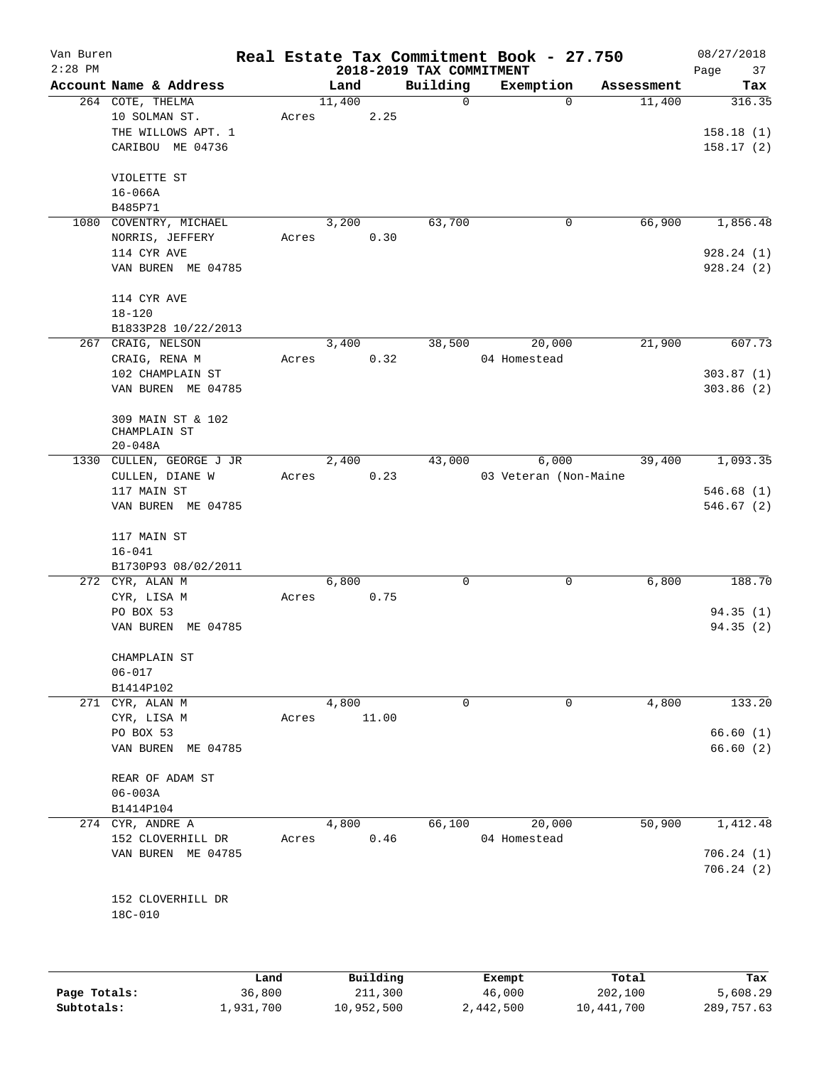| Van Buren<br>$2:28$ PM |                          |       |        |                                     |                                      | Real Estate Tax Commitment Book - 27.750 |            | 08/27/2018    |
|------------------------|--------------------------|-------|--------|-------------------------------------|--------------------------------------|------------------------------------------|------------|---------------|
|                        | Account Name & Address   |       | Land   |                                     | 2018-2019 TAX COMMITMENT<br>Building |                                          | Assessment | Page<br>37    |
|                        | 264 COTE, THELMA         |       | 11,400 |                                     | 0                                    | Exemption<br>$\mathbf 0$                 | 11,400     | Tax<br>316.35 |
|                        | 10 SOLMAN ST.            | Acres |        | 2.25                                |                                      |                                          |            |               |
|                        | THE WILLOWS APT. 1       |       |        |                                     |                                      |                                          |            | 158.18(1)     |
|                        |                          |       |        |                                     |                                      |                                          |            |               |
|                        | CARIBOU ME 04736         |       |        |                                     |                                      |                                          |            | 158.17(2)     |
|                        | VIOLETTE ST              |       |        |                                     |                                      |                                          |            |               |
|                        | $16 - 066A$              |       |        |                                     |                                      |                                          |            |               |
|                        | B485P71                  |       |        |                                     |                                      |                                          |            |               |
|                        | 1080 COVENTRY, MICHAEL   |       | 3,200  |                                     | 63,700                               | 0                                        | 66,900     | 1,856.48      |
|                        | NORRIS, JEFFERY          | Acres |        | 0.30                                |                                      |                                          |            |               |
|                        | 114 CYR AVE              |       |        |                                     |                                      |                                          |            | 928.24(1)     |
|                        | VAN BUREN ME 04785       |       |        |                                     |                                      |                                          |            | 928.24(2)     |
|                        | 114 CYR AVE              |       |        |                                     |                                      |                                          |            |               |
|                        | $18 - 120$               |       |        |                                     |                                      |                                          |            |               |
|                        | B1833P28 10/22/2013      |       |        |                                     |                                      |                                          |            |               |
|                        | 267 CRAIG, NELSON        |       | 3,400  |                                     | 38,500                               | 20,000                                   | 21,900     | 607.73        |
|                        | CRAIG, RENA M            | Acres |        | 0.32                                |                                      | 04 Homestead                             |            |               |
|                        | 102 CHAMPLAIN ST         |       |        |                                     |                                      |                                          |            | 303.87(1)     |
|                        | VAN BUREN ME 04785       |       |        |                                     |                                      |                                          |            | 303.86(2)     |
|                        |                          |       |        |                                     |                                      |                                          |            |               |
|                        | 309 MAIN ST & 102        |       |        |                                     |                                      |                                          |            |               |
|                        | CHAMPLAIN ST             |       |        |                                     |                                      |                                          |            |               |
|                        | $20 - 048A$              |       |        |                                     |                                      |                                          |            |               |
|                        | 1330 CULLEN, GEORGE J JR |       | 2,400  |                                     | 43,000                               | 6,000                                    | 39,400     | 1,093.35      |
|                        | CULLEN, DIANE W          | Acres |        | 0.23                                |                                      | 03 Veteran (Non-Maine                    |            |               |
|                        | 117 MAIN ST              |       |        |                                     |                                      |                                          |            | 546.68(1)     |
|                        | VAN BUREN ME 04785       |       |        |                                     |                                      |                                          |            | 546.67(2)     |
|                        |                          |       |        |                                     |                                      |                                          |            |               |
|                        | 117 MAIN ST              |       |        |                                     |                                      |                                          |            |               |
|                        | $16 - 041$               |       |        |                                     |                                      |                                          |            |               |
|                        | B1730P93 08/02/2011      |       |        |                                     |                                      |                                          |            |               |
|                        | 272 CYR, ALAN M          |       | 6,800  |                                     | 0                                    | 0                                        | 6,800      | 188.70        |
|                        | CYR, LISA M              | Acres |        | 0.75                                |                                      |                                          |            |               |
|                        | PO BOX 53                |       |        |                                     |                                      |                                          |            | 94.35(1)      |
|                        | VAN BUREN ME 04785       |       |        |                                     |                                      |                                          |            | 94.35(2)      |
|                        | CHAMPLAIN ST             |       |        |                                     |                                      |                                          |            |               |
|                        | $06 - 017$               |       |        |                                     |                                      |                                          |            |               |
|                        | B1414P102                |       |        |                                     |                                      |                                          |            |               |
|                        | 271 CYR, ALAN M          |       | 4,800  |                                     | 0                                    | 0                                        | 4,800      | 133.20        |
|                        | CYR, LISA M              | Acres |        | 11.00                               |                                      |                                          |            |               |
|                        | PO BOX 53                |       |        |                                     |                                      |                                          |            | 66.60(1)      |
|                        | VAN BUREN ME 04785       |       |        |                                     |                                      |                                          |            | 66.60(2)      |
|                        |                          |       |        |                                     |                                      |                                          |            |               |
|                        | REAR OF ADAM ST          |       |        |                                     |                                      |                                          |            |               |
|                        | $06 - 003A$              |       |        |                                     |                                      |                                          |            |               |
|                        | B1414P104                |       |        |                                     |                                      |                                          |            |               |
|                        | 274 CYR, ANDRE A         |       | 4,800  |                                     | 66,100                               | 20,000                                   | 50,900     | 1,412.48      |
|                        | 152 CLOVERHILL DR        | Acres |        | 0.46                                |                                      | 04 Homestead                             |            |               |
|                        | VAN BUREN ME 04785       |       |        |                                     |                                      |                                          |            | 706.24(1)     |
|                        |                          |       |        |                                     |                                      |                                          |            | 706.24(2)     |
|                        |                          |       |        |                                     |                                      |                                          |            |               |
|                        | 152 CLOVERHILL DR        |       |        |                                     |                                      |                                          |            |               |
|                        | 18C-010                  |       |        |                                     |                                      |                                          |            |               |
|                        |                          |       |        |                                     |                                      |                                          |            |               |
|                        |                          |       |        |                                     |                                      |                                          |            |               |
|                        |                          |       |        | $D_{\text{rel}}$ is a set of $\sim$ |                                      | <b>Pucamet</b>                           | $T - 1$    | m.,           |

|              | Land      | Building   | Exempt    | Total      | Tax        |
|--------------|-----------|------------|-----------|------------|------------|
| Page Totals: | 36,800    | 211,300    | 46,000    | 202,100    | 5,608.29   |
| Subtotals:   | 1,931,700 | 10,952,500 | 2,442,500 | 10,441,700 | 289,757.63 |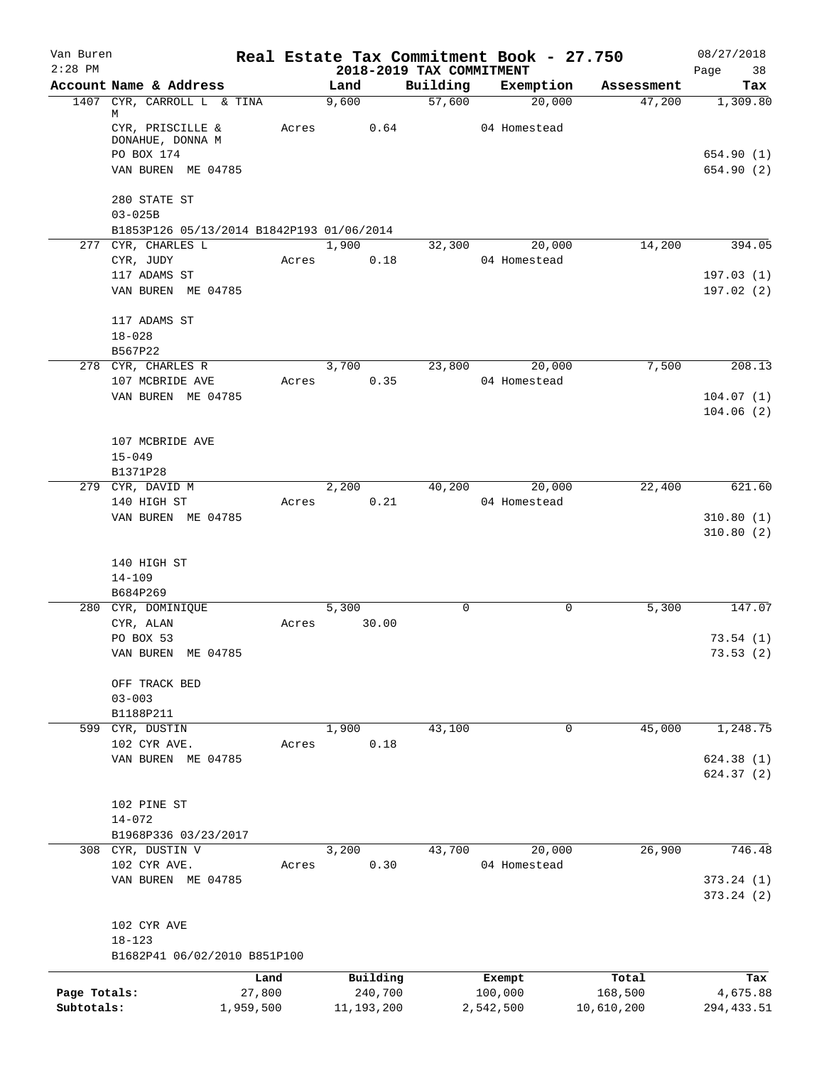| Van Buren<br>$2:28$ PM |                                           |           |                                  |          | Real Estate Tax Commitment Book - 27.750 |            | 08/27/2018        |
|------------------------|-------------------------------------------|-----------|----------------------------------|----------|------------------------------------------|------------|-------------------|
|                        | Account Name & Address                    |           | 2018-2019 TAX COMMITMENT<br>Land | Building | Exemption                                | Assessment | Page<br>38<br>Tax |
|                        | 1407 CYR, CARROLL L & TINA                |           | 9,600                            | 57,600   | 20,000                                   | 47,200     | 1,309.80          |
|                        | М<br>CYR, PRISCILLE &<br>DONAHUE, DONNA M | Acres     | 0.64                             |          | 04 Homestead                             |            |                   |
|                        | PO BOX 174                                |           |                                  |          |                                          |            | 654.90(1)         |
|                        | VAN BUREN ME 04785                        |           |                                  |          |                                          |            | 654.90 (2)        |
|                        | 280 STATE ST<br>$03 - 025B$               |           |                                  |          |                                          |            |                   |
|                        | B1853P126 05/13/2014 B1842P193 01/06/2014 |           |                                  |          |                                          |            |                   |
|                        | 277 CYR, CHARLES L                        |           | 1,900                            | 32,300   | 20,000                                   | 14,200     | 394.05            |
|                        | CYR, JUDY                                 | Acres     | 0.18                             |          | 04 Homestead                             |            |                   |
|                        | 117 ADAMS ST                              |           |                                  |          |                                          |            | 197.03(1)         |
|                        | VAN BUREN ME 04785                        |           |                                  |          |                                          |            | 197.02(2)         |
|                        | 117 ADAMS ST                              |           |                                  |          |                                          |            |                   |
|                        | $18 - 028$                                |           |                                  |          |                                          |            |                   |
|                        | B567P22                                   |           |                                  |          |                                          |            |                   |
|                        | 278 CYR, CHARLES R                        |           | 3,700                            | 23,800   | 20,000                                   | 7,500      | 208.13            |
|                        | 107 MCBRIDE AVE                           | Acres     | 0.35                             |          | 04 Homestead                             |            |                   |
|                        | VAN BUREN ME 04785                        |           |                                  |          |                                          |            | 104.07(1)         |
|                        |                                           |           |                                  |          |                                          |            | 104.06(2)         |
|                        | 107 MCBRIDE AVE                           |           |                                  |          |                                          |            |                   |
|                        | $15 - 049$                                |           |                                  |          |                                          |            |                   |
|                        | B1371P28                                  |           |                                  |          |                                          |            |                   |
|                        | 279 CYR, DAVID M                          |           | 2,200                            | 40,200   | 20,000                                   | 22,400     | 621.60            |
|                        | 140 HIGH ST                               | Acres     | 0.21                             |          | 04 Homestead                             |            |                   |
|                        | VAN BUREN ME 04785                        |           |                                  |          |                                          |            | 310.80(1)         |
|                        | 140 HIGH ST<br>$14 - 109$                 |           |                                  |          |                                          |            | 310.80(2)         |
|                        | B684P269<br>280 CYR, DOMINIQUE            |           | 5,300                            | 0        | 0                                        | 5,300      | 147.07            |
|                        | CYR, ALAN                                 | Acres     | 30.00                            |          |                                          |            |                   |
|                        | PO BOX 53                                 |           |                                  |          |                                          |            | 73.54(1)          |
|                        | VAN BUREN ME 04785                        |           |                                  |          |                                          |            | 73.53(2)          |
|                        |                                           |           |                                  |          |                                          |            |                   |
|                        | OFF TRACK BED<br>$03 - 003$               |           |                                  |          |                                          |            |                   |
|                        | B1188P211                                 |           |                                  |          |                                          |            |                   |
|                        | 599 CYR, DUSTIN                           |           | 1,900                            | 43,100   | 0                                        | 45,000     | 1,248.75          |
|                        | 102 CYR AVE.                              | Acres     | 0.18                             |          |                                          |            |                   |
|                        | VAN BUREN ME 04785                        |           |                                  |          |                                          |            | 624.38 (1)        |
|                        |                                           |           |                                  |          |                                          |            | 624.37 (2)        |
|                        | 102 PINE ST                               |           |                                  |          |                                          |            |                   |
|                        | $14 - 072$                                |           |                                  |          |                                          |            |                   |
|                        | B1968P336 03/23/2017                      |           |                                  |          |                                          |            |                   |
|                        | 308 CYR, DUSTIN V                         |           | 3,200                            | 43,700   | 20,000                                   | 26,900     | 746.48            |
|                        | 102 CYR AVE.                              | Acres     | 0.30                             |          | 04 Homestead                             |            |                   |
|                        | VAN BUREN ME 04785                        |           |                                  |          |                                          |            | 373.24(1)         |
|                        |                                           |           |                                  |          |                                          |            | 373.24(2)         |
|                        | 102 CYR AVE                               |           |                                  |          |                                          |            |                   |
|                        | $18 - 123$                                |           |                                  |          |                                          |            |                   |
|                        | B1682P41 06/02/2010 B851P100              |           |                                  |          |                                          |            |                   |
|                        |                                           | Land      | Building                         |          | Exempt                                   | Total      | Tax               |
| Page Totals:           |                                           | 27,800    | 240,700                          |          | 100,000                                  | 168,500    | 4,675.88          |
| Subtotals:             |                                           | 1,959,500 | 11, 193, 200                     |          | 2,542,500                                | 10,610,200 | 294, 433.51       |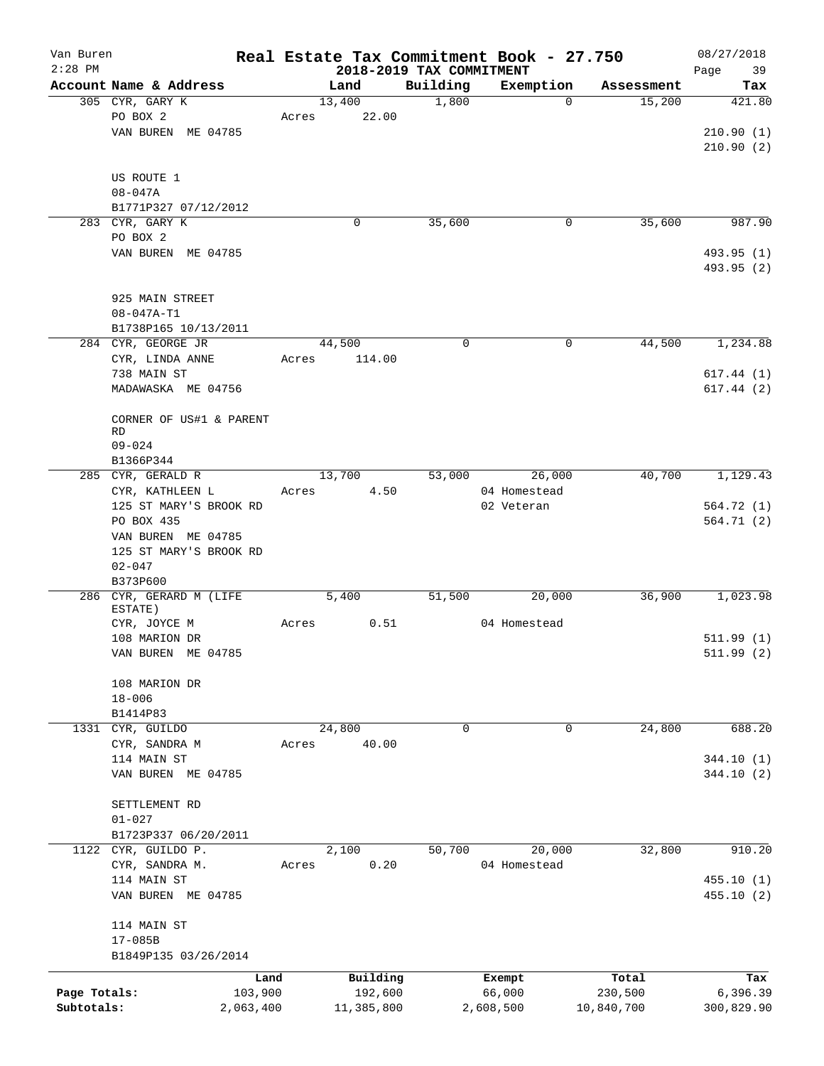| Van Buren    |                                             |           |                |                          | Real Estate Tax Commitment Book - 27.750 |                      | 08/27/2018    |
|--------------|---------------------------------------------|-----------|----------------|--------------------------|------------------------------------------|----------------------|---------------|
| $2:28$ PM    |                                             |           |                | 2018-2019 TAX COMMITMENT |                                          |                      | 39<br>Page    |
|              | Account Name & Address<br>305 CYR, GARY K   |           | Land<br>13,400 | Building<br>1,800        | Exemption<br>$\mathbf 0$                 | Assessment<br>15,200 | Tax<br>421.80 |
|              | PO BOX 2                                    | Acres     | 22.00          |                          |                                          |                      |               |
|              | VAN BUREN ME 04785                          |           |                |                          |                                          |                      | 210.90(1)     |
|              |                                             |           |                |                          |                                          |                      | 210.90(2)     |
|              |                                             |           |                |                          |                                          |                      |               |
|              | US ROUTE 1                                  |           |                |                          |                                          |                      |               |
|              | $08 - 047A$                                 |           |                |                          |                                          |                      |               |
|              | B1771P327 07/12/2012                        |           |                |                          |                                          |                      |               |
|              | 283 CYR, GARY K                             |           | 0              | 35,600                   | 0                                        | 35,600               | 987.90        |
|              | PO BOX 2                                    |           |                |                          |                                          |                      |               |
|              | VAN BUREN ME 04785                          |           |                |                          |                                          |                      | 493.95 (1)    |
|              |                                             |           |                |                          |                                          |                      | 493.95 (2)    |
|              | 925 MAIN STREET                             |           |                |                          |                                          |                      |               |
|              | $08 - 047A - T1$                            |           |                |                          |                                          |                      |               |
|              | B1738P165 10/13/2011                        |           |                |                          |                                          |                      |               |
|              | 284 CYR, GEORGE JR                          |           | 44,500         | $\mathbf 0$              | 0                                        | 44,500               | 1,234.88      |
|              | CYR, LINDA ANNE                             | Acres     | 114.00         |                          |                                          |                      |               |
|              | 738 MAIN ST                                 |           |                |                          |                                          |                      | 617.44(1)     |
|              | MADAWASKA ME 04756                          |           |                |                          |                                          |                      | 617.44(2)     |
|              |                                             |           |                |                          |                                          |                      |               |
|              | CORNER OF US#1 & PARENT                     |           |                |                          |                                          |                      |               |
|              | RD                                          |           |                |                          |                                          |                      |               |
|              | $09 - 024$                                  |           |                |                          |                                          |                      |               |
|              | B1366P344<br>285 CYR, GERALD R              |           | 13,700         | 53,000                   | 26,000                                   | 40,700               | 1,129.43      |
|              | CYR, KATHLEEN L                             | Acres     | 4.50           |                          | 04 Homestead                             |                      |               |
|              | 125 ST MARY'S BROOK RD                      |           |                |                          | 02 Veteran                               |                      | 564.72 (1)    |
|              | PO BOX 435                                  |           |                |                          |                                          |                      | 564.71 (2)    |
|              | VAN BUREN ME 04785                          |           |                |                          |                                          |                      |               |
|              | 125 ST MARY'S BROOK RD                      |           |                |                          |                                          |                      |               |
|              | $02 - 047$                                  |           |                |                          |                                          |                      |               |
|              | B373P600                                    |           |                |                          |                                          |                      |               |
|              | 286 CYR, GERARD M (LIFE                     |           | 5,400          | 51,500                   | 20,000                                   | 36,900               | 1,023.98      |
|              | ESTATE)                                     |           |                |                          |                                          |                      |               |
|              | CYR, JOYCE M<br>108 MARION DR               | Acres     | 0.51           |                          | 04 Homestead                             |                      | 511.99(1)     |
|              | VAN BUREN ME 04785                          |           |                |                          |                                          |                      | 511.99 (2)    |
|              |                                             |           |                |                          |                                          |                      |               |
|              | 108 MARION DR                               |           |                |                          |                                          |                      |               |
|              | $18 - 006$                                  |           |                |                          |                                          |                      |               |
|              | B1414P83                                    |           |                |                          |                                          |                      |               |
|              | 1331 CYR, GUILDO                            |           | 24,800         | $\Omega$                 | $\mathbf 0$                              | 24,800               | 688.20        |
|              | CYR, SANDRA M                               | Acres     | 40.00          |                          |                                          |                      |               |
|              | 114 MAIN ST                                 |           |                |                          |                                          |                      | 344.10 (1)    |
|              | VAN BUREN ME 04785                          |           |                |                          |                                          |                      | 344.10(2)     |
|              |                                             |           |                |                          |                                          |                      |               |
|              | SETTLEMENT RD                               |           |                |                          |                                          |                      |               |
|              | $01 - 027$                                  |           |                |                          |                                          |                      |               |
|              | B1723P337 06/20/2011<br>1122 CYR, GUILDO P. |           | 2,100          | 50,700                   | 20,000                                   | 32,800               | 910.20        |
|              | CYR, SANDRA M.                              | Acres     | 0.20           |                          | 04 Homestead                             |                      |               |
|              | 114 MAIN ST                                 |           |                |                          |                                          |                      | 455.10(1)     |
|              | VAN BUREN ME 04785                          |           |                |                          |                                          |                      | 455.10 (2)    |
|              |                                             |           |                |                          |                                          |                      |               |
|              | 114 MAIN ST                                 |           |                |                          |                                          |                      |               |
|              | $17 - 085B$                                 |           |                |                          |                                          |                      |               |
|              | B1849P135 03/26/2014                        |           |                |                          |                                          |                      |               |
|              |                                             | Land      | Building       |                          | Exempt                                   | Total                | Tax           |
| Page Totals: |                                             | 103,900   | 192,600        |                          | 66,000                                   | 230,500              | 6,396.39      |
| Subtotals:   |                                             | 2,063,400 | 11,385,800     |                          | 2,608,500                                | 10,840,700           | 300,829.90    |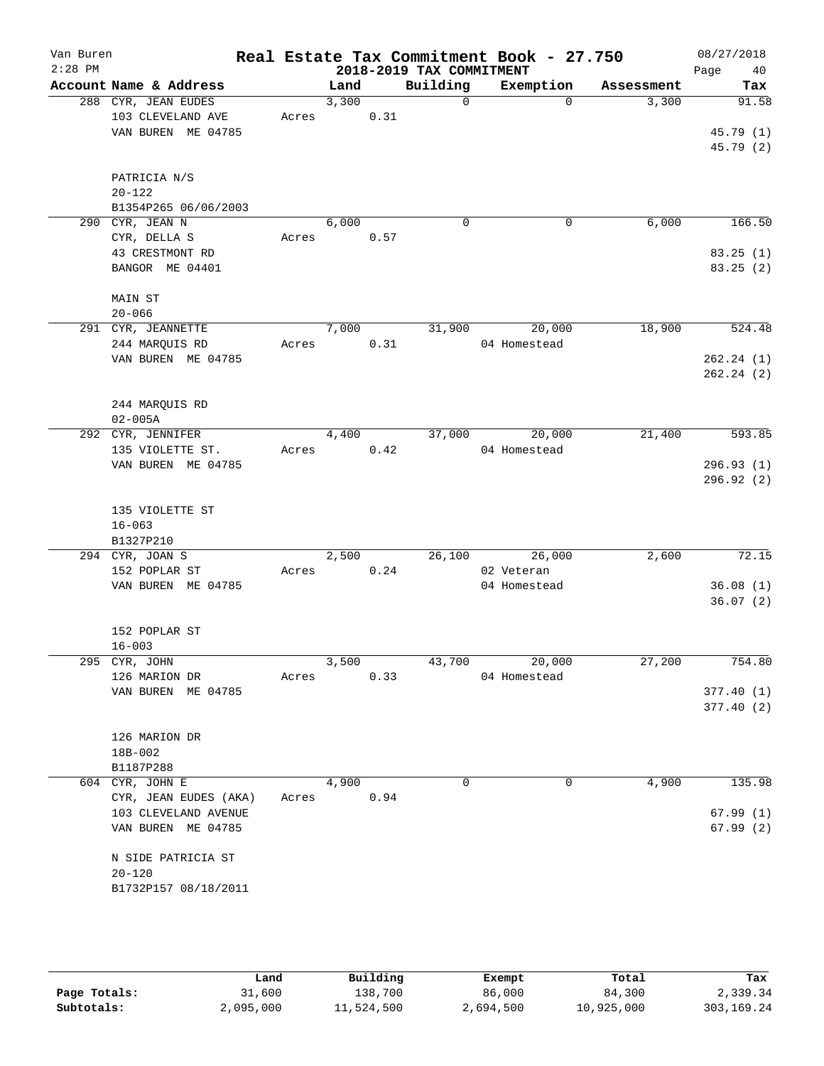| Van Buren<br>$2:28$ PM |                                                                |       |                |      | 2018-2019 TAX COMMITMENT | Real Estate Tax Commitment Book - 27.750 |            | 08/27/2018<br>Page<br>40        |
|------------------------|----------------------------------------------------------------|-------|----------------|------|--------------------------|------------------------------------------|------------|---------------------------------|
|                        | Account Name & Address                                         |       | Land           |      | Building                 | Exemption                                | Assessment | Tax                             |
|                        | 288 CYR, JEAN EUDES<br>103 CLEVELAND AVE<br>VAN BUREN ME 04785 |       | 3,300<br>Acres | 0.31 | $\overline{0}$           | $\Omega$                                 | 3,300      | 91.58<br>45.79 (1)<br>45.79 (2) |
|                        | PATRICIA N/S<br>$20 - 122$<br>B1354P265 06/06/2003             |       |                |      |                          |                                          |            |                                 |
|                        | 290 CYR, JEAN N                                                |       | 6,000          |      | $\Omega$                 | 0                                        | 6,000      | 166.50                          |
|                        | CYR, DELLA S                                                   | Acres |                | 0.57 |                          |                                          |            |                                 |
|                        | 43 CRESTMONT RD<br>BANGOR ME 04401                             |       |                |      |                          |                                          |            | 83.25(1)<br>83.25(2)            |
|                        | MAIN ST                                                        |       |                |      |                          |                                          |            |                                 |
|                        | $20 - 066$                                                     |       |                |      |                          |                                          |            |                                 |
|                        | 291 CYR, JEANNETTE                                             |       | 7,000          |      | 31,900                   | 20,000                                   | 18,900     | 524.48                          |
|                        | 244 MARQUIS RD<br>VAN BUREN ME 04785                           |       | Acres          | 0.31 |                          | 04 Homestead                             |            | 262.24(1)                       |
|                        |                                                                |       |                |      |                          |                                          |            | 262.24(2)                       |
|                        | 244 MARQUIS RD<br>$02 - 005A$                                  |       |                |      |                          |                                          |            |                                 |
|                        | 292 CYR, JENNIFER                                              |       | 4,400          |      |                          | 37,000<br>20,000                         | 21,400     | 593.85                          |
|                        | 135 VIOLETTE ST.                                               | Acres | 0.42           |      |                          | 04 Homestead                             |            |                                 |
|                        | VAN BUREN ME 04785                                             |       |                |      |                          |                                          |            | 296.93(1)<br>296.92(2)          |
|                        | 135 VIOLETTE ST<br>$16 - 063$                                  |       |                |      |                          |                                          |            |                                 |
|                        | B1327P210                                                      |       |                |      |                          |                                          |            |                                 |
|                        | 294 CYR, JOAN S                                                |       | 2,500          |      |                          | 26,100 26,000                            | 2,600      | 72.15                           |
|                        | 152 POPLAR ST<br>VAN BUREN ME 04785                            |       | Acres          | 0.24 |                          | 02 Veteran                               |            | 36.08(1)                        |
|                        |                                                                |       |                |      |                          | 04 Homestead                             |            | 36.07(2)                        |
|                        | 152 POPLAR ST<br>$16 - 003$                                    |       |                |      |                          |                                          |            |                                 |
|                        | 295 CYR, JOHN                                                  |       | 3,500          |      | 43,700                   | 20,000                                   | 27,200     | 754.80                          |
|                        | 126 MARION DR                                                  |       | Acres          | 0.33 |                          | 04 Homestead                             |            |                                 |
|                        | VAN BUREN ME 04785                                             |       |                |      |                          |                                          |            | 377.40(1)                       |
|                        |                                                                |       |                |      |                          |                                          |            | 377.40(2)                       |
|                        | 126 MARION DR                                                  |       |                |      |                          |                                          |            |                                 |
|                        | 18B-002                                                        |       |                |      |                          |                                          |            |                                 |
|                        | B1187P288                                                      |       |                |      |                          |                                          |            |                                 |
|                        | $\overline{604}$ CYR, JOHN E                                   |       | 4,900          |      | 0                        | 0                                        | 4,900      | 135.98                          |
|                        | CYR, JEAN EUDES (AKA)                                          | Acres |                | 0.94 |                          |                                          |            |                                 |
|                        | 103 CLEVELAND AVENUE                                           |       |                |      |                          |                                          |            | 67.99(1)                        |
|                        | VAN BUREN ME 04785                                             |       |                |      |                          |                                          |            | 67.99(2)                        |
|                        | N SIDE PATRICIA ST                                             |       |                |      |                          |                                          |            |                                 |
|                        | $20 - 120$                                                     |       |                |      |                          |                                          |            |                                 |
|                        | B1732P157 08/18/2011                                           |       |                |      |                          |                                          |            |                                 |
|                        |                                                                |       |                |      |                          |                                          |            |                                 |

|              | Land      | Building   | Exempt    | Total      | Tax          |
|--------------|-----------|------------|-----------|------------|--------------|
| Page Totals: | 31,600    | 138,700    | 86,000    | 84,300     | 2,339.34     |
| Subtotals:   | 2,095,000 | 11,524,500 | 2,694,500 | 10,925,000 | 303, 169. 24 |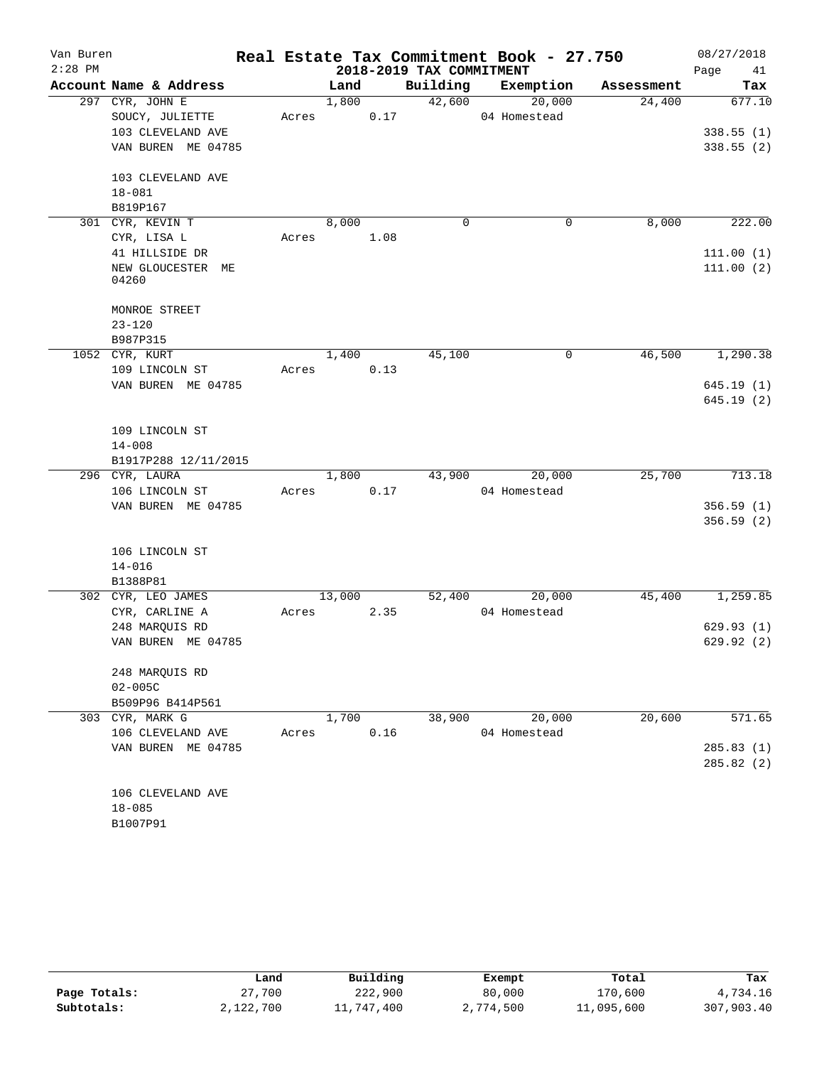| Van Buren |                            |       |        |      |                          | Real Estate Tax Commitment Book - 27.750 |            | 08/27/2018 |
|-----------|----------------------------|-------|--------|------|--------------------------|------------------------------------------|------------|------------|
| $2:28$ PM |                            |       |        |      | 2018-2019 TAX COMMITMENT |                                          |            | Page<br>41 |
|           | Account Name & Address     |       | Land   |      | Building                 | Exemption                                | Assessment | Tax        |
|           | 297 CYR, JOHN E            |       | 1,800  |      | 42,600                   | 20,000                                   | 24,400     | 677.10     |
|           | SOUCY, JULIETTE            | Acres |        | 0.17 |                          | 04 Homestead                             |            |            |
|           | 103 CLEVELAND AVE          |       |        |      |                          |                                          |            | 338.55(1)  |
|           | VAN BUREN ME 04785         |       |        |      |                          |                                          |            | 338.55(2)  |
|           | 103 CLEVELAND AVE          |       |        |      |                          |                                          |            |            |
|           | $18 - 081$                 |       |        |      |                          |                                          |            |            |
|           | B819P167                   |       |        |      |                          |                                          |            |            |
|           | 301 CYR, KEVIN T           |       | 8,000  |      | $\mathbf 0$              | $\mathbf 0$                              | 8,000      | 222.00     |
|           | CYR, LISA L                | Acres |        | 1.08 |                          |                                          |            |            |
|           | 41 HILLSIDE DR             |       |        |      |                          |                                          |            | 111.00(1)  |
|           | NEW GLOUCESTER ME<br>04260 |       |        |      |                          |                                          |            | 111.00(2)  |
|           | MONROE STREET              |       |        |      |                          |                                          |            |            |
|           | $23 - 120$                 |       |        |      |                          |                                          |            |            |
|           | B987P315                   |       |        |      |                          |                                          |            |            |
|           | 1052 CYR, KURT             |       | 1,400  |      | 45,100                   | 0                                        | 46,500     | 1,290.38   |
|           | 109 LINCOLN ST             | Acres |        | 0.13 |                          |                                          |            |            |
|           | VAN BUREN ME 04785         |       |        |      |                          |                                          |            | 645.19(1)  |
|           |                            |       |        |      |                          |                                          |            | 645.19(2)  |
|           | 109 LINCOLN ST             |       |        |      |                          |                                          |            |            |
|           | $14 - 008$                 |       |        |      |                          |                                          |            |            |
|           | B1917P288 12/11/2015       |       |        |      |                          |                                          |            |            |
|           | 296 CYR, LAURA             |       | 1,800  |      | 43,900                   | 20,000                                   | 25,700     | 713.18     |
|           | 106 LINCOLN ST             | Acres |        | 0.17 |                          | 04 Homestead                             |            |            |
|           | VAN BUREN ME 04785         |       |        |      |                          |                                          |            | 356.59(1)  |
|           |                            |       |        |      |                          |                                          |            | 356.59(2)  |
|           | 106 LINCOLN ST             |       |        |      |                          |                                          |            |            |
|           | $14 - 016$                 |       |        |      |                          |                                          |            |            |
|           | B1388P81                   |       |        |      |                          |                                          |            |            |
|           | 302 CYR, LEO JAMES         |       | 13,000 |      | 52,400                   | 20,000                                   | 45,400     | 1,259.85   |
|           | CYR, CARLINE A             | Acres |        | 2.35 |                          | 04 Homestead                             |            |            |
|           | 248 MARQUIS RD             |       |        |      |                          |                                          |            | 629.93(1)  |
|           | VAN BUREN ME 04785         |       |        |      |                          |                                          |            | 629.92(2)  |
|           | 248 MARQUIS RD             |       |        |      |                          |                                          |            |            |
|           | $02 - 005C$                |       |        |      |                          |                                          |            |            |
|           | B509P96 B414P561           |       |        |      |                          |                                          |            |            |
|           | 303 CYR, MARK G            |       | 1,700  |      | 38,900                   | 20,000                                   | 20,600     | 571.65     |
|           | 106 CLEVELAND AVE          | Acres |        | 0.16 |                          | 04 Homestead                             |            |            |
|           | VAN BUREN ME 04785         |       |        |      |                          |                                          |            | 285.83(1)  |
|           |                            |       |        |      |                          |                                          |            | 285.82(2)  |
|           |                            |       |        |      |                          |                                          |            |            |
|           | 106 CLEVELAND AVE          |       |        |      |                          |                                          |            |            |
|           | $18 - 085$                 |       |        |      |                          |                                          |            |            |
|           | B1007P91                   |       |        |      |                          |                                          |            |            |

|              | Land      | Building   | Exempt    | Total      | Tax        |
|--------------|-----------|------------|-----------|------------|------------|
| Page Totals: | 27,700    | 222,900    | 80,000    | 170,600    | 4,734.16   |
| Subtotals:   | 2,122,700 | 11,747,400 | 2,774,500 | 11,095,600 | 307,903.40 |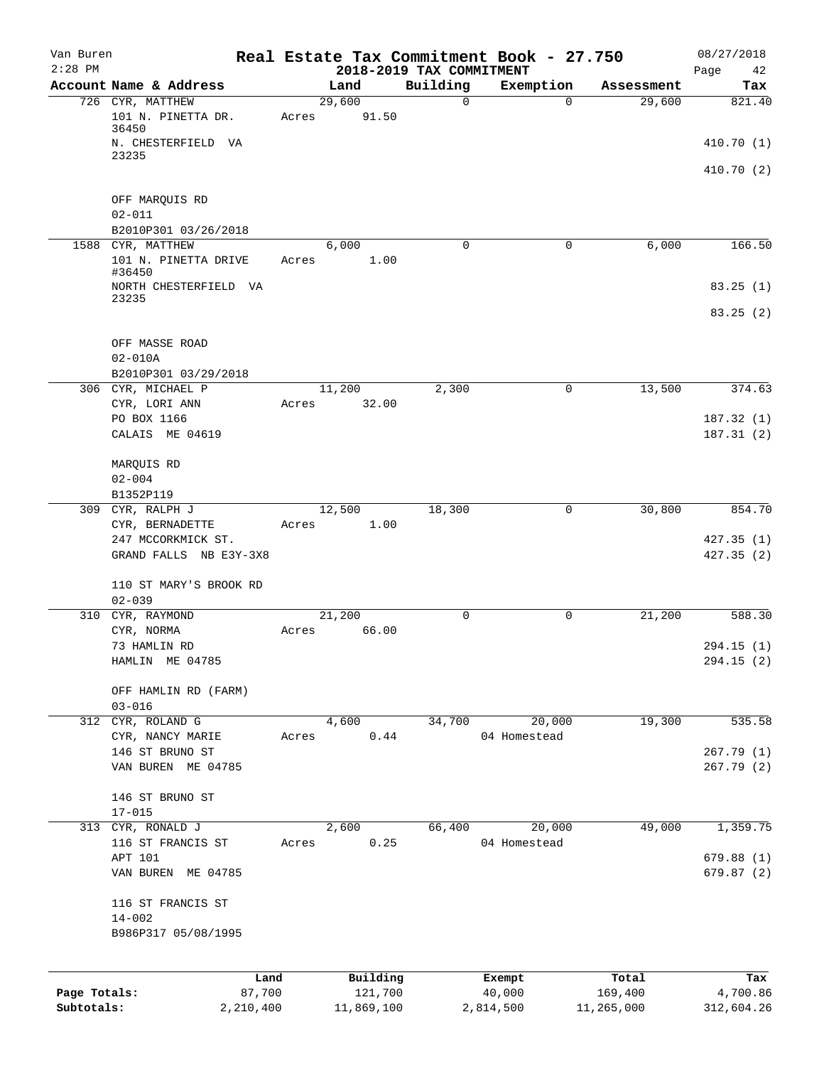| Van Buren    |                                                         | Real Estate Tax Commitment Book - 27.750 |                                      |              |            | 08/27/2018        |
|--------------|---------------------------------------------------------|------------------------------------------|--------------------------------------|--------------|------------|-------------------|
| $2:28$ PM    | Account Name & Address                                  | Land                                     | 2018-2019 TAX COMMITMENT<br>Building | Exemption    | Assessment | Page<br>42<br>Tax |
|              | 726 CYR, MATTHEW<br>101 N. PINETTA DR.                  | 29,600<br>91.50<br>Acres                 | 0                                    | $\mathbf 0$  | 29,600     | 821.40            |
|              | 36450<br>N. CHESTERFIELD VA                             |                                          |                                      |              |            | 410.70(1)         |
|              | 23235                                                   |                                          |                                      |              |            | 410.70 (2)        |
|              | OFF MARQUIS RD<br>$02 - 011$                            |                                          |                                      |              |            |                   |
|              | B2010P301 03/26/2018                                    |                                          |                                      |              |            |                   |
|              | 1588 CYR, MATTHEW                                       | 6,000                                    | 0                                    | 0            | 6,000      | 166.50            |
|              | 101 N. PINETTA DRIVE<br>#36450<br>NORTH CHESTERFIELD VA | 1.00<br>Acres                            |                                      |              |            | 83.25(1)          |
|              | 23235                                                   |                                          |                                      |              |            | 83.25(2)          |
|              | OFF MASSE ROAD<br>$02 - 010A$                           |                                          |                                      |              |            |                   |
|              | B2010P301 03/29/2018<br>306 CYR, MICHAEL P              | 11,200                                   | 2,300                                | 0            | 13,500     | 374.63            |
|              | CYR, LORI ANN                                           | 32.00<br>Acres                           |                                      |              |            |                   |
|              | PO BOX 1166                                             |                                          |                                      |              |            | 187.32(1)         |
|              | CALAIS ME 04619                                         |                                          |                                      |              |            | 187.31(2)         |
|              | MARQUIS RD                                              |                                          |                                      |              |            |                   |
|              | $02 - 004$                                              |                                          |                                      |              |            |                   |
|              | B1352P119                                               |                                          |                                      |              |            |                   |
|              | 309 CYR, RALPH J<br>CYR, BERNADETTE                     | 12,500<br>1.00<br>Acres                  | 18,300                               | $\mathbf 0$  | 30,800     | 854.70            |
|              | 247 MCCORKMICK ST.                                      |                                          |                                      |              |            | 427.35(1)         |
|              | GRAND FALLS NB E3Y-3X8                                  |                                          |                                      |              |            | 427.35(2)         |
|              | 110 ST MARY'S BROOK RD<br>$02 - 039$                    |                                          |                                      |              |            |                   |
|              | 310 CYR, RAYMOND                                        | 21,200                                   | 0                                    | 0            | 21,200     | 588.30            |
|              | CYR, NORMA                                              | 66.00<br>Acres                           |                                      |              |            |                   |
|              | 73 HAMLIN RD                                            |                                          |                                      |              |            | 294.15(1)         |
|              | HAMLIN ME 04785                                         |                                          |                                      |              |            | 294.15 (2)        |
|              | OFF HAMLIN RD (FARM)<br>$03 - 016$                      |                                          |                                      |              |            |                   |
|              | 312 CYR, ROLAND G                                       | 4,600                                    | 34,700                               | 20,000       | 19,300     | 535.58            |
|              | CYR, NANCY MARIE                                        | 0.44<br>Acres                            |                                      | 04 Homestead |            | 267.79(1)         |
|              | 146 ST BRUNO ST<br>VAN BUREN ME 04785                   |                                          |                                      |              |            | 267.79(2)         |
|              | 146 ST BRUNO ST                                         |                                          |                                      |              |            |                   |
|              | $17 - 015$<br>313 CYR, RONALD J                         | 2,600                                    | 66,400                               | 20,000       | 49,000     | 1,359.75          |
|              | 116 ST FRANCIS ST                                       | 0.25<br>Acres                            |                                      | 04 Homestead |            |                   |
|              | APT 101                                                 |                                          |                                      |              |            | 679.88(1)         |
|              | VAN BUREN ME 04785                                      |                                          |                                      |              |            | 679.87 (2)        |
|              | 116 ST FRANCIS ST<br>$14 - 002$                         |                                          |                                      |              |            |                   |
|              | B986P317 05/08/1995                                     |                                          |                                      |              |            |                   |
|              | Land                                                    | Building                                 |                                      | Exempt       | Total      | Tax               |
| Page Totals: | 87,700                                                  | 121,700                                  |                                      | 40,000       | 169,400    | 4,700.86          |
| Subtotals:   | 2,210,400                                               | 11,869,100                               |                                      | 2,814,500    | 11,265,000 | 312,604.26        |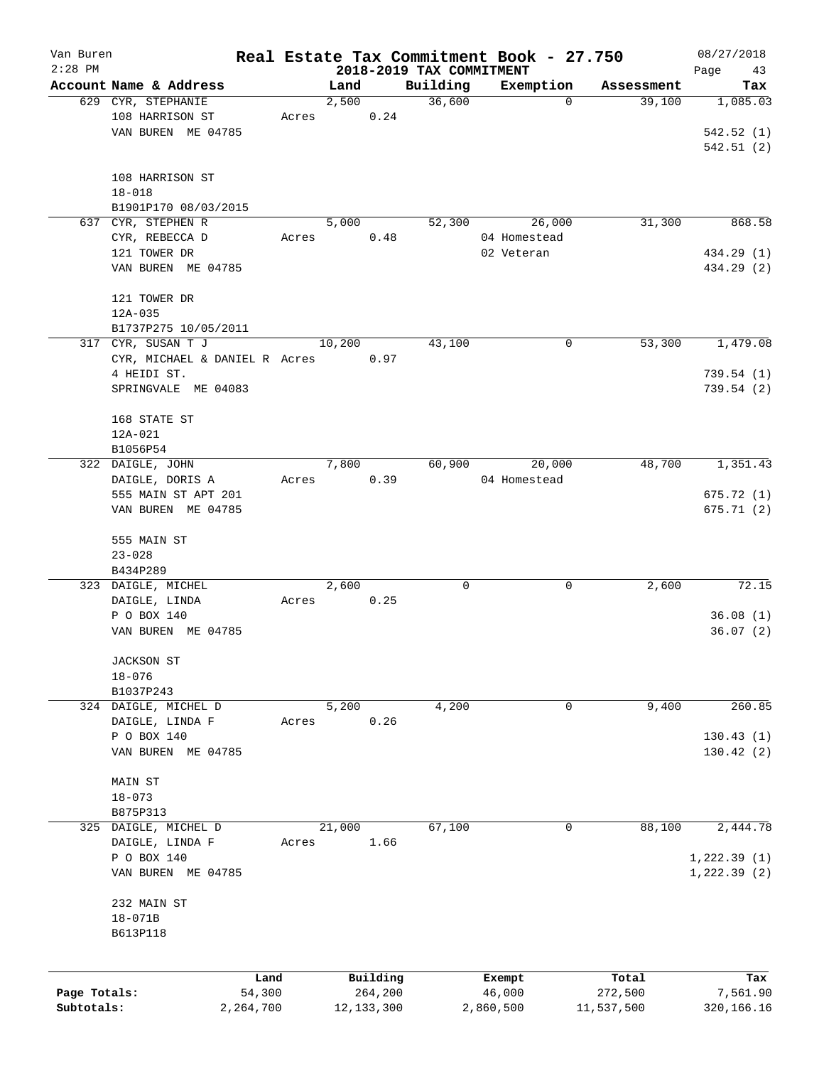| Van Buren    |                                              |       |               |              |                          | Real Estate Tax Commitment Book - 27.750 |                      | 08/27/2018      |
|--------------|----------------------------------------------|-------|---------------|--------------|--------------------------|------------------------------------------|----------------------|-----------------|
| $2:28$ PM    |                                              |       |               |              | 2018-2019 TAX COMMITMENT |                                          |                      | Page<br>43      |
|              | Account Name & Address<br>629 CYR, STEPHANIE |       | Land<br>2,500 |              | Building<br>36,600       | Exemption<br>$\mathbf 0$                 | Assessment<br>39,100 | Tax<br>1,085.03 |
|              | 108 HARRISON ST                              | Acres |               | 0.24         |                          |                                          |                      |                 |
|              | VAN BUREN ME 04785                           |       |               |              |                          |                                          |                      | 542.52(1)       |
|              |                                              |       |               |              |                          |                                          |                      | 542.51(2)       |
|              |                                              |       |               |              |                          |                                          |                      |                 |
|              | 108 HARRISON ST                              |       |               |              |                          |                                          |                      |                 |
|              | $18 - 018$                                   |       |               |              |                          |                                          |                      |                 |
|              | B1901P170 08/03/2015                         |       |               |              |                          |                                          |                      |                 |
|              | 637 CYR, STEPHEN R                           |       | 5,000         |              | 52,300                   | 26,000                                   | 31,300               | 868.58          |
|              | CYR, REBECCA D                               | Acres |               | 0.48         |                          | 04 Homestead                             |                      |                 |
|              | 121 TOWER DR                                 |       |               |              |                          | 02 Veteran                               |                      | 434.29 (1)      |
|              | VAN BUREN ME 04785                           |       |               |              |                          |                                          |                      | 434.29 (2)      |
|              |                                              |       |               |              |                          |                                          |                      |                 |
|              | 121 TOWER DR                                 |       |               |              |                          |                                          |                      |                 |
|              | 12A-035                                      |       |               |              |                          |                                          |                      |                 |
|              | B1737P275 10/05/2011                         |       |               |              |                          |                                          |                      |                 |
|              | 317 CYR, SUSAN T J                           |       | 10,200        |              | 43,100                   | 0                                        | 53,300               | 1,479.08        |
|              | CYR, MICHAEL & DANIEL R Acres                |       |               | 0.97         |                          |                                          |                      |                 |
|              | 4 HEIDI ST.                                  |       |               |              |                          |                                          |                      | 739.54(1)       |
|              | SPRINGVALE ME 04083                          |       |               |              |                          |                                          |                      | 739.54(2)       |
|              |                                              |       |               |              |                          |                                          |                      |                 |
|              | 168 STATE ST                                 |       |               |              |                          |                                          |                      |                 |
|              | 12A-021                                      |       |               |              |                          |                                          |                      |                 |
|              | B1056P54                                     |       |               |              |                          |                                          |                      |                 |
|              | 322 DAIGLE, JOHN                             |       | 7,800         |              | 60,900                   | 20,000                                   | 48,700               | 1,351.43        |
|              | DAIGLE, DORIS A                              | Acres |               | 0.39         |                          | 04 Homestead                             |                      |                 |
|              | 555 MAIN ST APT 201                          |       |               |              |                          |                                          |                      | 675.72(1)       |
|              | VAN BUREN ME 04785                           |       |               |              |                          |                                          |                      | 675.71(2)       |
|              |                                              |       |               |              |                          |                                          |                      |                 |
|              | 555 MAIN ST                                  |       |               |              |                          |                                          |                      |                 |
|              | $23 - 028$                                   |       |               |              |                          |                                          |                      |                 |
|              | B434P289                                     |       |               |              |                          |                                          |                      |                 |
|              | 323 DAIGLE, MICHEL                           |       | 2,600         |              | 0                        | 0                                        | 2,600                | 72.15           |
|              | DAIGLE, LINDA                                | Acres |               | 0.25         |                          |                                          |                      |                 |
|              | P O BOX 140                                  |       |               |              |                          |                                          |                      | 36.08(1)        |
|              | VAN BUREN ME 04785                           |       |               |              |                          |                                          |                      | 36.07(2)        |
|              |                                              |       |               |              |                          |                                          |                      |                 |
|              | JACKSON ST                                   |       |               |              |                          |                                          |                      |                 |
|              | $18 - 076$                                   |       |               |              |                          |                                          |                      |                 |
|              | B1037P243                                    |       |               |              |                          |                                          |                      |                 |
|              | 324 DAIGLE, MICHEL D                         |       | 5,200         |              | 4,200                    | 0                                        | 9,400                | 260.85          |
|              | DAIGLE, LINDA F                              | Acres |               | 0.26         |                          |                                          |                      |                 |
|              | P O BOX 140                                  |       |               |              |                          |                                          |                      | 130.43(1)       |
|              | VAN BUREN ME 04785                           |       |               |              |                          |                                          |                      | 130.42(2)       |
|              |                                              |       |               |              |                          |                                          |                      |                 |
|              | MAIN ST                                      |       |               |              |                          |                                          |                      |                 |
|              | $18 - 073$                                   |       |               |              |                          |                                          |                      |                 |
|              | B875P313                                     |       |               |              |                          |                                          |                      |                 |
|              | 325 DAIGLE, MICHEL D                         |       | 21,000        |              | 67,100                   | 0                                        | 88,100               | 2,444.78        |
|              | DAIGLE, LINDA F                              | Acres |               | 1.66         |                          |                                          |                      |                 |
|              | P O BOX 140                                  |       |               |              |                          |                                          |                      | 1,222.39(1)     |
|              | VAN BUREN ME 04785                           |       |               |              |                          |                                          |                      | 1, 222.39(2)    |
|              |                                              |       |               |              |                          |                                          |                      |                 |
|              | 232 MAIN ST                                  |       |               |              |                          |                                          |                      |                 |
|              | $18 - 071B$                                  |       |               |              |                          |                                          |                      |                 |
|              | B613P118                                     |       |               |              |                          |                                          |                      |                 |
|              |                                              |       |               |              |                          |                                          |                      |                 |
|              |                                              |       |               |              |                          |                                          |                      |                 |
|              |                                              | Land  |               | Building     |                          | Exempt                                   | Total                | Tax             |
| Page Totals: | 54,300                                       |       |               | 264,200      |                          | 46,000                                   | 272,500              | 7,561.90        |
| Subtotals:   | 2,264,700                                    |       |               | 12, 133, 300 |                          | 2,860,500                                | 11,537,500           | 320,166.16      |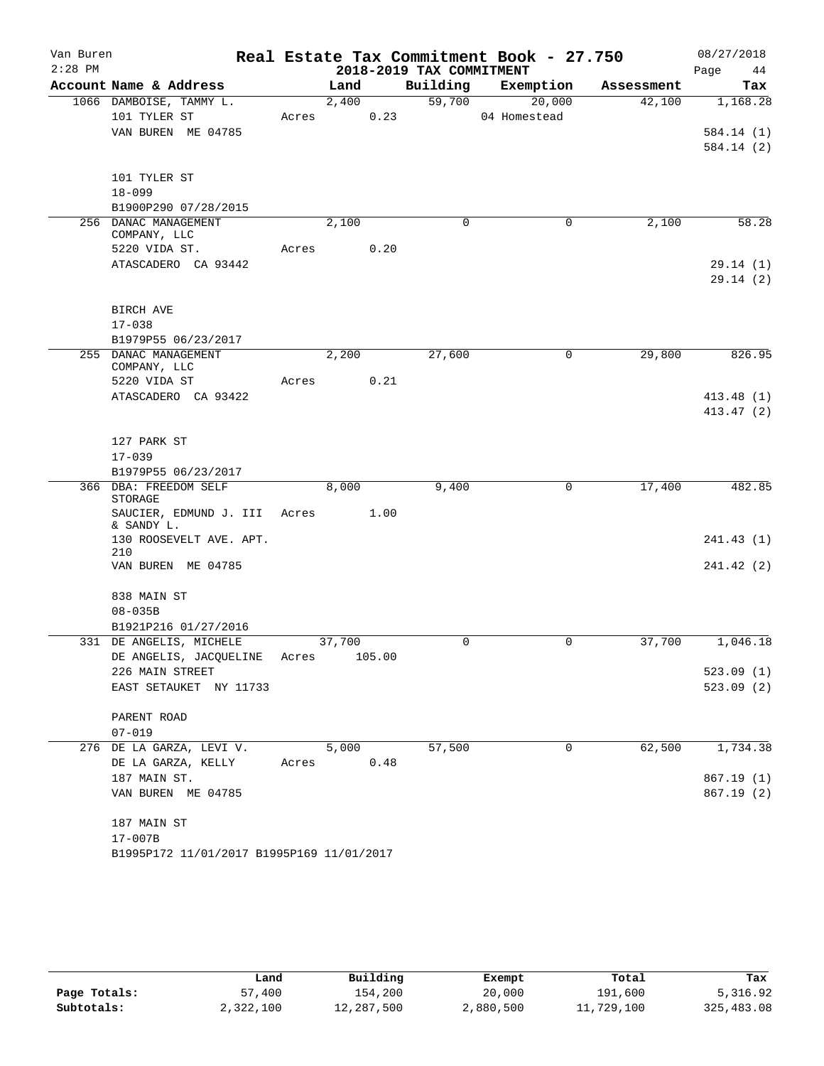| Van Buren |                                                          |       |        |                          | Real Estate Tax Commitment Book - 27.750 |            | 08/27/2018 |
|-----------|----------------------------------------------------------|-------|--------|--------------------------|------------------------------------------|------------|------------|
| $2:28$ PM |                                                          |       |        | 2018-2019 TAX COMMITMENT |                                          |            | Page<br>44 |
|           | Account Name & Address                                   |       | Land   | Building                 | Exemption                                | Assessment | Tax        |
|           | 1066 DAMBOISE, TAMMY L.                                  |       | 2,400  | 59,700                   | 20,000                                   | 42,100     | 1,168.28   |
|           | 101 TYLER ST                                             | Acres | 0.23   |                          | 04 Homestead                             |            |            |
|           | VAN BUREN ME 04785                                       |       |        |                          |                                          |            | 584.14 (1) |
|           |                                                          |       |        |                          |                                          |            | 584.14 (2) |
|           | 101 TYLER ST                                             |       |        |                          |                                          |            |            |
|           | $18 - 099$                                               |       |        |                          |                                          |            |            |
|           | B1900P290 07/28/2015                                     |       |        |                          |                                          |            |            |
|           | 256 DANAC MANAGEMENT                                     |       | 2,100  | 0                        | 0                                        | 2,100      | 58.28      |
|           | COMPANY, LLC                                             |       |        |                          |                                          |            |            |
|           | 5220 VIDA ST.                                            | Acres | 0.20   |                          |                                          |            |            |
|           | ATASCADERO CA 93442                                      |       |        |                          |                                          |            | 29.14(1)   |
|           |                                                          |       |        |                          |                                          |            | 29.14(2)   |
|           |                                                          |       |        |                          |                                          |            |            |
|           | BIRCH AVE<br>$17 - 038$                                  |       |        |                          |                                          |            |            |
|           | B1979P55 06/23/2017                                      |       |        |                          |                                          |            |            |
|           | 255 DANAC MANAGEMENT                                     |       | 2,200  | 27,600                   | 0                                        | 29,800     | 826.95     |
|           | COMPANY, LLC                                             |       |        |                          |                                          |            |            |
|           | 5220 VIDA ST                                             | Acres | 0.21   |                          |                                          |            |            |
|           | ATASCADERO CA 93422                                      |       |        |                          |                                          |            | 413.48 (1) |
|           |                                                          |       |        |                          |                                          |            | 413.47 (2) |
|           |                                                          |       |        |                          |                                          |            |            |
|           | 127 PARK ST<br>$17 - 039$                                |       |        |                          |                                          |            |            |
|           | B1979P55 06/23/2017                                      |       |        |                          |                                          |            |            |
|           | 366 DBA: FREEDOM SELF                                    |       | 8,000  | 9,400                    | 0                                        | 17,400     | 482.85     |
|           | STORAGE                                                  |       |        |                          |                                          |            |            |
|           | SAUCIER, EDMUND J. III                                   | Acres | 1.00   |                          |                                          |            |            |
|           | & SANDY L.<br>130 ROOSEVELT AVE. APT.                    |       |        |                          |                                          |            | 241.43 (1) |
|           | 210                                                      |       |        |                          |                                          |            |            |
|           | VAN BUREN ME 04785                                       |       |        |                          |                                          |            | 241.42 (2) |
|           |                                                          |       |        |                          |                                          |            |            |
|           | 838 MAIN ST                                              |       |        |                          |                                          |            |            |
|           | $08 - 035B$                                              |       |        |                          |                                          |            |            |
|           | B1921P216 01/27/2016                                     |       |        |                          |                                          |            |            |
|           | 331 DE ANGELIS, MICHELE                                  |       | 37,700 | 0                        | 0                                        | 37,700     | 1,046.18   |
|           | DE ANGELIS, JACQUELINE<br>226 MAIN STREET                | Acres | 105.00 |                          |                                          |            | 523.09(1)  |
|           | EAST SETAUKET NY 11733                                   |       |        |                          |                                          |            | 523.09(2)  |
|           |                                                          |       |        |                          |                                          |            |            |
|           | PARENT ROAD                                              |       |        |                          |                                          |            |            |
|           | $07 - 019$                                               |       |        |                          |                                          |            |            |
|           | 276 DE LA GARZA, LEVI V.                                 |       | 5,000  | 57,500                   | 0                                        | 62,500     | 1,734.38   |
|           | DE LA GARZA, KELLY                                       | Acres | 0.48   |                          |                                          |            |            |
|           | 187 MAIN ST.                                             |       |        |                          |                                          |            | 867.19(1)  |
|           | VAN BUREN ME 04785                                       |       |        |                          |                                          |            | 867.19(2)  |
|           |                                                          |       |        |                          |                                          |            |            |
|           | 187 MAIN ST                                              |       |        |                          |                                          |            |            |
|           | $17 - 007B$<br>B1995P172 11/01/2017 B1995P169 11/01/2017 |       |        |                          |                                          |            |            |
|           |                                                          |       |        |                          |                                          |            |            |

|              | Land      | Building   | Exempt    | Total      | Tax        |
|--------------|-----------|------------|-----------|------------|------------|
| Page Totals: | 57,400    | 154,200    | 20,000    | 191,600    | 5,316.92   |
| Subtotals:   | 2,322,100 | 12,287,500 | 2,880,500 | 11,729,100 | 325,483.08 |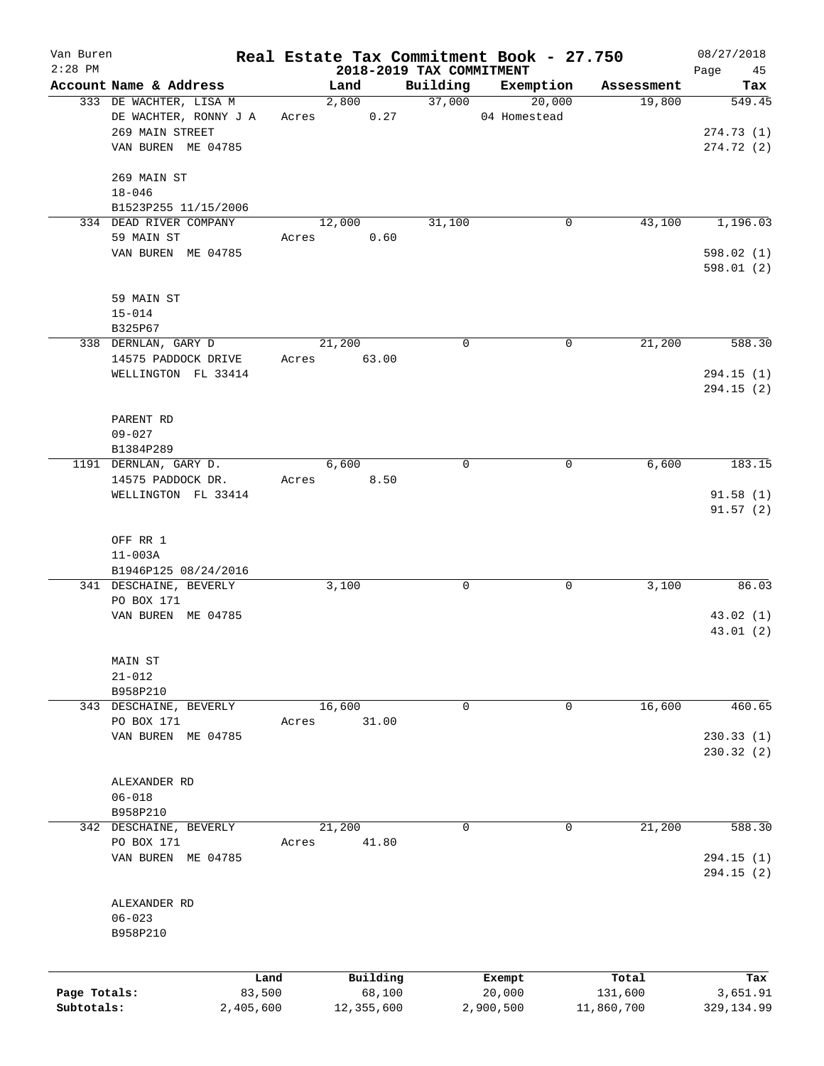| Van Buren<br>$2:28$ PM |                                            |       |                                  |             | Real Estate Tax Commitment Book - 27.750 |            | 08/27/2018        |
|------------------------|--------------------------------------------|-------|----------------------------------|-------------|------------------------------------------|------------|-------------------|
|                        | Account Name & Address                     |       | 2018-2019 TAX COMMITMENT<br>Land | Building    | Exemption                                | Assessment | 45<br>Page<br>Tax |
|                        | 333 DE WACHTER, LISA M                     |       | 2,800                            | 37,000      | 20,000                                   | 19,800     | 549.45            |
|                        | DE WACHTER, RONNY J A                      | Acres | 0.27                             |             | 04 Homestead                             |            |                   |
|                        | 269 MAIN STREET                            |       |                                  |             |                                          |            | 274.73(1)         |
|                        | VAN BUREN ME 04785                         |       |                                  |             |                                          |            | 274.72(2)         |
|                        |                                            |       |                                  |             |                                          |            |                   |
|                        | 269 MAIN ST                                |       |                                  |             |                                          |            |                   |
|                        | $18 - 046$                                 |       |                                  |             |                                          |            |                   |
|                        | B1523P255 11/15/2006                       |       |                                  |             |                                          |            |                   |
|                        | 334 DEAD RIVER COMPANY                     |       | 12,000                           | 31,100      | $\mathbf 0$                              | 43,100     | 1,196.03          |
|                        | 59 MAIN ST                                 | Acres | 0.60                             |             |                                          |            |                   |
|                        | VAN BUREN ME 04785                         |       |                                  |             |                                          |            | 598.02(1)         |
|                        |                                            |       |                                  |             |                                          |            | 598.01(2)         |
|                        |                                            |       |                                  |             |                                          |            |                   |
|                        | 59 MAIN ST                                 |       |                                  |             |                                          |            |                   |
|                        | $15 - 014$                                 |       |                                  |             |                                          |            |                   |
|                        | B325P67                                    |       |                                  |             |                                          |            |                   |
|                        | 338 DERNLAN, GARY D                        |       | 21,200                           | $\mathbf 0$ | 0                                        | 21,200     | 588.30            |
|                        | 14575 PADDOCK DRIVE<br>WELLINGTON FL 33414 | Acres | 63.00                            |             |                                          |            | 294.15(1)         |
|                        |                                            |       |                                  |             |                                          |            | 294.15(2)         |
|                        |                                            |       |                                  |             |                                          |            |                   |
|                        | PARENT RD                                  |       |                                  |             |                                          |            |                   |
|                        | $09 - 027$                                 |       |                                  |             |                                          |            |                   |
|                        | B1384P289                                  |       |                                  |             |                                          |            |                   |
|                        | 1191 DERNLAN, GARY D.                      |       | 6,600                            | $\mathbf 0$ | 0                                        | 6,600      | 183.15            |
|                        | 14575 PADDOCK DR.                          | Acres | 8.50                             |             |                                          |            |                   |
|                        | WELLINGTON FL 33414                        |       |                                  |             |                                          |            | 91.58(1)          |
|                        |                                            |       |                                  |             |                                          |            | 91.57(2)          |
|                        |                                            |       |                                  |             |                                          |            |                   |
|                        | OFF RR 1                                   |       |                                  |             |                                          |            |                   |
|                        | $11 - 003A$                                |       |                                  |             |                                          |            |                   |
|                        | B1946P125 08/24/2016                       |       |                                  |             |                                          |            |                   |
|                        | 341 DESCHAINE, BEVERLY                     |       | 3,100                            | 0           | 0                                        | 3,100      | 86.03             |
|                        | PO BOX 171                                 |       |                                  |             |                                          |            |                   |
|                        | VAN BUREN ME 04785                         |       |                                  |             |                                          |            | 43.02(1)          |
|                        |                                            |       |                                  |             |                                          |            | 43.01(2)          |
|                        |                                            |       |                                  |             |                                          |            |                   |
|                        | MAIN ST                                    |       |                                  |             |                                          |            |                   |
|                        | $21 - 012$                                 |       |                                  |             |                                          |            |                   |
|                        | B958P210                                   |       |                                  |             |                                          | 16,600     | 460.65            |
|                        | 343 DESCHAINE, BEVERLY<br>PO BOX 171       |       | 16,600<br>31.00                  | 0           | 0                                        |            |                   |
|                        | VAN BUREN ME 04785                         | Acres |                                  |             |                                          |            | 230.33(1)         |
|                        |                                            |       |                                  |             |                                          |            | 230.32 (2)        |
|                        |                                            |       |                                  |             |                                          |            |                   |
|                        | ALEXANDER RD                               |       |                                  |             |                                          |            |                   |
|                        | $06 - 018$                                 |       |                                  |             |                                          |            |                   |
|                        | B958P210                                   |       |                                  |             |                                          |            |                   |
|                        | 342 DESCHAINE, BEVERLY                     |       | 21,200                           | 0           | 0                                        | 21,200     | 588.30            |
|                        | PO BOX 171                                 | Acres | 41.80                            |             |                                          |            |                   |
|                        | VAN BUREN ME 04785                         |       |                                  |             |                                          |            | 294.15 (1)        |
|                        |                                            |       |                                  |             |                                          |            | 294.15 (2)        |
|                        |                                            |       |                                  |             |                                          |            |                   |
|                        | ALEXANDER RD                               |       |                                  |             |                                          |            |                   |
|                        | $06 - 023$                                 |       |                                  |             |                                          |            |                   |
|                        | B958P210                                   |       |                                  |             |                                          |            |                   |
|                        |                                            |       |                                  |             |                                          |            |                   |
|                        |                                            | Land  | Building                         |             |                                          | Total      | Tax               |
| Page Totals:           | 83,500                                     |       | 68,100                           |             | Exempt<br>20,000                         | 131,600    | 3,651.91          |
| Subtotals:             | 2,405,600                                  |       | 12,355,600                       |             | 2,900,500                                | 11,860,700 | 329, 134.99       |
|                        |                                            |       |                                  |             |                                          |            |                   |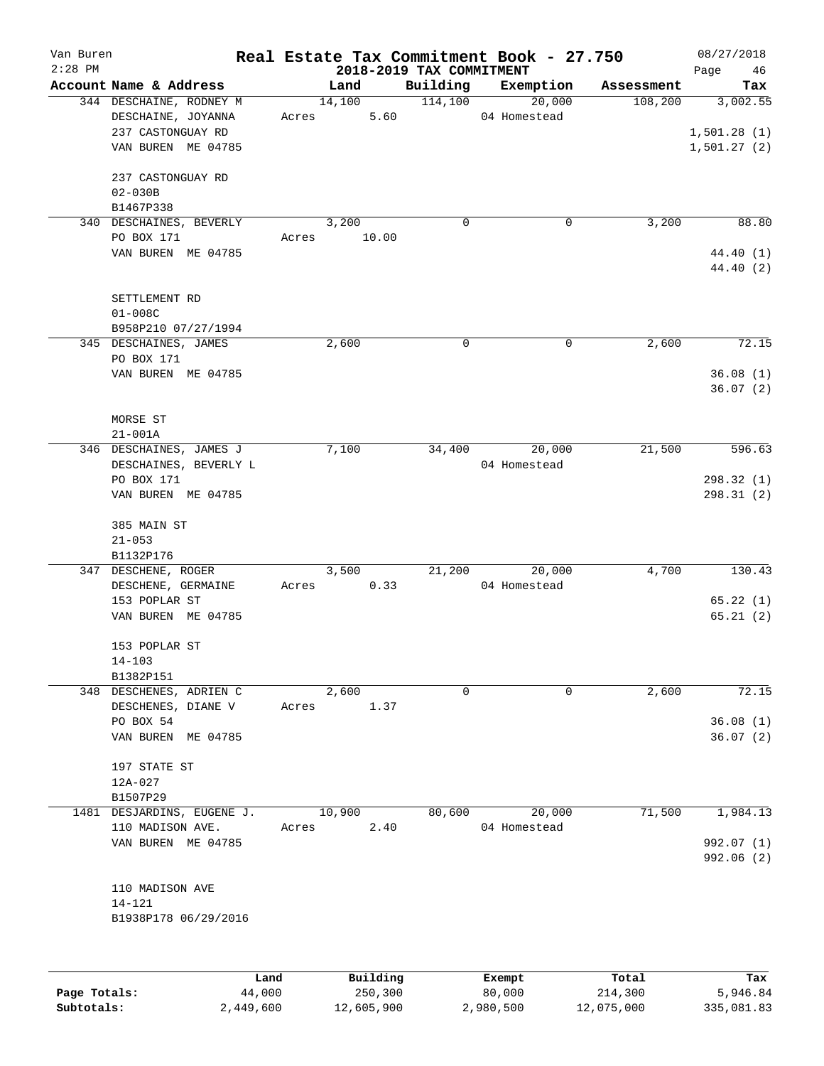| Van Buren<br>$2:28$ PM |                                                                                                               |       |                 | 2018-2019 TAX COMMITMENT | Real Estate Tax Commitment Book - 27.750 |            | 08/27/2018<br>Page<br>46               |
|------------------------|---------------------------------------------------------------------------------------------------------------|-------|-----------------|--------------------------|------------------------------------------|------------|----------------------------------------|
|                        | Account Name & Address                                                                                        |       | Land            | Building                 | Exemption                                | Assessment | Tax                                    |
|                        | 344 DESCHAINE, RODNEY M<br>DESCHAINE, JOYANNA<br>237 CASTONGUAY RD<br>VAN BUREN ME 04785<br>237 CASTONGUAY RD | Acres | 14,100<br>5.60  | 114,100                  | 20,000<br>04 Homestead                   | 108,200    | 3,002.55<br>1,501.28(1)<br>1,501.27(2) |
|                        | $02 - 030B$<br>B1467P338                                                                                      |       |                 |                          |                                          |            |                                        |
|                        | 340 DESCHAINES, BEVERLY                                                                                       |       | 3,200           | 0                        | 0                                        | 3,200      | 88.80                                  |
|                        | PO BOX 171                                                                                                    | Acres | 10.00           |                          |                                          |            |                                        |
|                        | VAN BUREN ME 04785                                                                                            |       |                 |                          |                                          |            | 44.40 (1)<br>44.40 (2)                 |
|                        | SETTLEMENT RD<br>$01 - 008C$                                                                                  |       |                 |                          |                                          |            |                                        |
|                        | B958P210 07/27/1994                                                                                           |       |                 |                          |                                          |            |                                        |
|                        | 345 DESCHAINES, JAMES<br>PO BOX 171                                                                           |       | 2,600           | $\mathbf 0$              | $\mathbf 0$                              | 2,600      | 72.15                                  |
|                        | VAN BUREN ME 04785                                                                                            |       |                 |                          |                                          |            | 36.08(1)<br>36.07(2)                   |
|                        | MORSE ST                                                                                                      |       |                 |                          |                                          |            |                                        |
|                        | $21 - 001A$                                                                                                   |       |                 |                          |                                          |            |                                        |
|                        | 346 DESCHAINES, JAMES J<br>DESCHAINES, BEVERLY L                                                              |       | 7,100           | 34,400                   | 20,000<br>04 Homestead                   | 21,500     | 596.63                                 |
|                        | PO BOX 171                                                                                                    |       |                 |                          |                                          |            | 298.32(1)                              |
|                        | VAN BUREN ME 04785                                                                                            |       |                 |                          |                                          |            | 298.31(2)                              |
|                        | 385 MAIN ST<br>$21 - 053$<br>B1132P176                                                                        |       |                 |                          |                                          |            |                                        |
|                        | 347 DESCHENE, ROGER                                                                                           |       | 3,500           | 21,200                   | 20,000                                   | 4,700      | 130.43                                 |
|                        | DESCHENE, GERMAINE                                                                                            | Acres | 0.33            |                          | 04 Homestead                             |            |                                        |
|                        | 153 POPLAR ST<br>VAN BUREN ME 04785                                                                           |       |                 |                          |                                          |            | 65.22(1)<br>65.21(2)                   |
|                        | 153 POPLAR ST<br>$14 - 103$                                                                                   |       |                 |                          |                                          |            |                                        |
|                        | B1382P151<br>348 DESCHENES, ADRIEN C                                                                          |       | 2,600           | $\Omega$                 | $\Omega$                                 | 2,600      | 72.15                                  |
|                        | DESCHENES, DIANE V                                                                                            | Acres | 1.37            |                          |                                          |            |                                        |
|                        | PO BOX 54                                                                                                     |       |                 |                          |                                          |            | 36.08(1)                               |
|                        | VAN BUREN ME 04785                                                                                            |       |                 |                          |                                          |            | 36.07(2)                               |
|                        | 197 STATE ST                                                                                                  |       |                 |                          |                                          |            |                                        |
|                        | 12A-027                                                                                                       |       |                 |                          |                                          |            |                                        |
|                        | B1507P29                                                                                                      |       |                 |                          |                                          |            |                                        |
|                        | 1481 DESJARDINS, EUGENE J.                                                                                    |       | 10,900          | 80,600                   | 20,000                                   | 71,500     | 1,984.13                               |
|                        | 110 MADISON AVE.<br>VAN BUREN ME 04785                                                                        | Acres | 2.40            |                          | 04 Homestead                             |            | 992.07 (1)                             |
|                        |                                                                                                               |       |                 |                          |                                          |            | 992.06 (2)                             |
|                        | 110 MADISON AVE                                                                                               |       |                 |                          |                                          |            |                                        |
|                        | 14-121                                                                                                        |       |                 |                          |                                          |            |                                        |
|                        | B1938P178 06/29/2016                                                                                          |       |                 |                          |                                          |            |                                        |
|                        |                                                                                                               |       |                 |                          |                                          |            |                                        |
|                        | Land.                                                                                                         |       | <b>Building</b> |                          | $F$ vemnt                                | $T$ otal   | To.                                    |

|              | Land      | Building   | Exempt    | Total      | Tax        |
|--------------|-----------|------------|-----------|------------|------------|
| Page Totals: | 44,000    | 250,300    | 80,000    | 214,300    | 5,946.84   |
| Subtotals:   | 2,449,600 | 12,605,900 | 2,980,500 | 12,075,000 | 335,081.83 |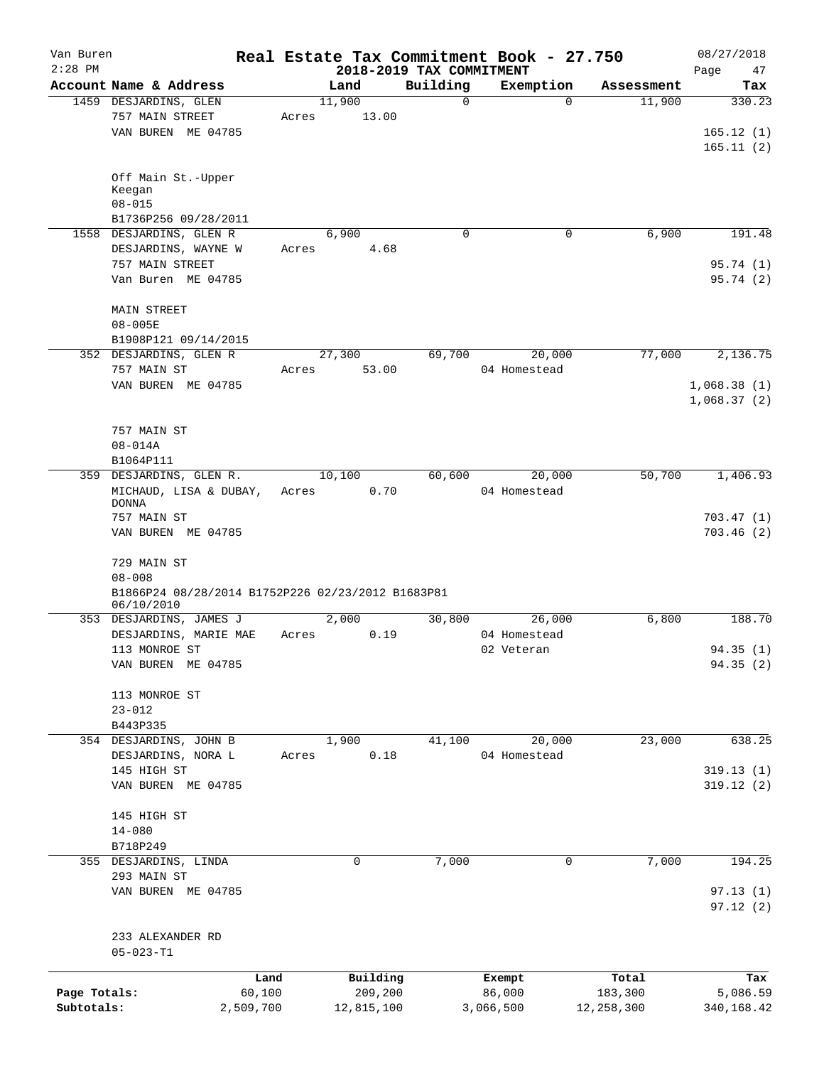| Van Buren    |                                                   |       |            |                                      | Real Estate Tax Commitment Book - 27.750 |                      | 08/27/2018            |
|--------------|---------------------------------------------------|-------|------------|--------------------------------------|------------------------------------------|----------------------|-----------------------|
| $2:28$ PM    | Account Name & Address                            |       | Land       | 2018-2019 TAX COMMITMENT<br>Building | Exemption                                |                      | 47<br>Page            |
|              | 1459 DESJARDINS, GLEN                             |       | 11,900     | $\Omega$                             | $\Omega$                                 | Assessment<br>11,900 | Tax<br>330.23         |
|              | 757 MAIN STREET                                   | Acres | 13.00      |                                      |                                          |                      |                       |
|              | VAN BUREN ME 04785                                |       |            |                                      |                                          |                      | 165.12(1)             |
|              |                                                   |       |            |                                      |                                          |                      | 165.11(2)             |
|              |                                                   |       |            |                                      |                                          |                      |                       |
|              | Off Main St.-Upper                                |       |            |                                      |                                          |                      |                       |
|              | Keegan<br>$08 - 015$                              |       |            |                                      |                                          |                      |                       |
|              | B1736P256 09/28/2011                              |       |            |                                      |                                          |                      |                       |
|              |                                                   |       | 6,900      | $\Omega$                             | 0                                        | 6,900                | 191.48                |
|              | 1558 DESJARDINS, GLEN R                           |       |            |                                      |                                          |                      |                       |
|              | DESJARDINS, WAYNE W<br>757 MAIN STREET            | Acres | 4.68       |                                      |                                          |                      |                       |
|              |                                                   |       |            |                                      |                                          |                      | 95.74 (1)             |
|              | Van Buren ME 04785                                |       |            |                                      |                                          |                      | 95.74(2)              |
|              | <b>MAIN STREET</b>                                |       |            |                                      |                                          |                      |                       |
|              | $08 - 005E$                                       |       |            |                                      |                                          |                      |                       |
|              | B1908P121 09/14/2015                              |       |            |                                      |                                          |                      |                       |
|              | 352 DESJARDINS, GLEN R                            |       | 27,300     | 69,700                               | 20,000                                   | 77,000               | 2,136.75              |
|              | 757 MAIN ST                                       | Acres | 53.00      |                                      | 04 Homestead                             |                      |                       |
|              | VAN BUREN ME 04785                                |       |            |                                      |                                          |                      | 1,068.38(1)           |
|              |                                                   |       |            |                                      |                                          |                      | 1,068.37(2)           |
|              | 757 MAIN ST                                       |       |            |                                      |                                          |                      |                       |
|              | $08 - 014A$                                       |       |            |                                      |                                          |                      |                       |
|              |                                                   |       |            |                                      |                                          |                      |                       |
|              | B1064P111                                         |       | 10,100     |                                      |                                          | 50,700               |                       |
|              | 359 DESJARDINS, GLEN R.                           |       |            | 60,600                               | 20,000                                   |                      | 1,406.93              |
|              | MICHAUD, LISA & DUBAY,<br><b>DONNA</b>            | Acres | 0.70       |                                      | 04 Homestead                             |                      |                       |
|              | 757 MAIN ST                                       |       |            |                                      |                                          |                      | 703.47(1)             |
|              | VAN BUREN ME 04785                                |       |            |                                      |                                          |                      | 703.46(2)             |
|              |                                                   |       |            |                                      |                                          |                      |                       |
|              | 729 MAIN ST                                       |       |            |                                      |                                          |                      |                       |
|              | $08 - 008$                                        |       |            |                                      |                                          |                      |                       |
|              | B1866P24 08/28/2014 B1752P226 02/23/2012 B1683P81 |       |            |                                      |                                          |                      |                       |
|              | 06/10/2010<br>353 DESJARDINS, JAMES J             |       | 2,000      | 30,800                               | 26,000                                   | 6,800                | 188.70                |
|              | DESJARDINS, MARIE MAE                             | Acres | 0.19       |                                      | 04 Homestead                             |                      |                       |
|              | 113 MONROE ST                                     |       |            |                                      |                                          |                      |                       |
|              |                                                   |       |            |                                      | 02 Veteran                               |                      | 94.35 (1)<br>94.35(2) |
|              | VAN BUREN ME 04785                                |       |            |                                      |                                          |                      |                       |
|              | 113 MONROE ST                                     |       |            |                                      |                                          |                      |                       |
|              | $23 - 012$                                        |       |            |                                      |                                          |                      |                       |
|              | B443P335                                          |       |            |                                      |                                          |                      |                       |
|              | 354 DESJARDINS, JOHN B                            |       | 1,900      | 41,100                               | 20,000                                   | 23,000               | 638.25                |
|              | DESJARDINS, NORA L                                | Acres | 0.18       |                                      | 04 Homestead                             |                      |                       |
|              | 145 HIGH ST                                       |       |            |                                      |                                          |                      | 319.13(1)             |
|              | VAN BUREN ME 04785                                |       |            |                                      |                                          |                      | 319.12(2)             |
|              |                                                   |       |            |                                      |                                          |                      |                       |
|              | 145 HIGH ST                                       |       |            |                                      |                                          |                      |                       |
|              | $14 - 080$                                        |       |            |                                      |                                          |                      |                       |
|              | B718P249                                          |       |            |                                      |                                          |                      |                       |
|              | 355 DESJARDINS, LINDA                             |       | 0          | 7,000                                | 0                                        | 7,000                | 194.25                |
|              | 293 MAIN ST                                       |       |            |                                      |                                          |                      |                       |
|              | VAN BUREN ME 04785                                |       |            |                                      |                                          |                      | 97.13(1)              |
|              |                                                   |       |            |                                      |                                          |                      | 97.12(2)              |
|              |                                                   |       |            |                                      |                                          |                      |                       |
|              | 233 ALEXANDER RD                                  |       |            |                                      |                                          |                      |                       |
|              | $05 - 023 - T1$                                   |       |            |                                      |                                          |                      |                       |
|              | Land                                              |       | Building   |                                      | Exempt                                   | Total                | Tax                   |
| Page Totals: | 60,100                                            |       | 209,200    |                                      | 86,000                                   | 183,300              | 5,086.59              |
| Subtotals:   | 2,509,700                                         |       | 12,815,100 |                                      | 3,066,500                                | 12,258,300           | 340,168.42            |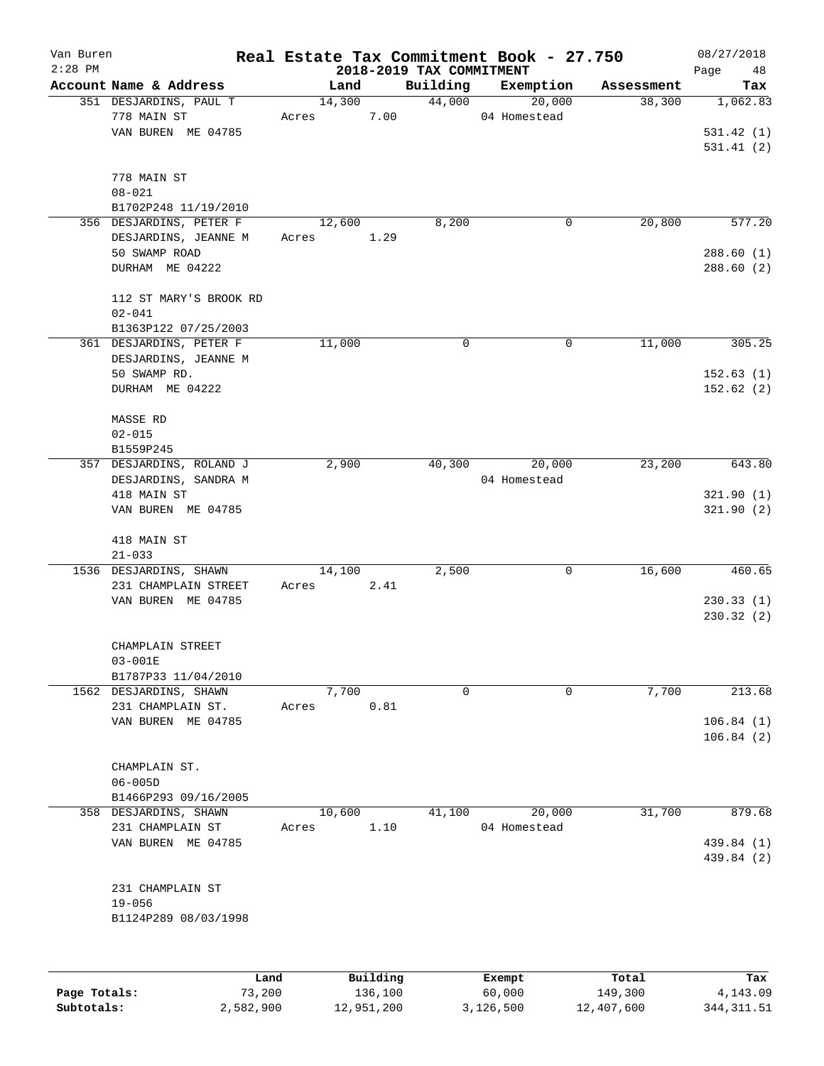| Van Buren    |                                 |        |          |                                      | Real Estate Tax Commitment Book - 27.750 |            | 08/27/2018        |
|--------------|---------------------------------|--------|----------|--------------------------------------|------------------------------------------|------------|-------------------|
| $2:28$ PM    | Account Name & Address          | Land   |          | 2018-2019 TAX COMMITMENT<br>Building | Exemption                                | Assessment | Page<br>48<br>Tax |
|              | 351 DESJARDINS, PAUL T          | 14,300 |          | 44,000                               | 20,000                                   | 38,300     | 1,062.83          |
|              | 778 MAIN ST                     | Acres  | 7.00     |                                      | 04 Homestead                             |            |                   |
|              | VAN BUREN ME 04785              |        |          |                                      |                                          |            | 531.42(1)         |
|              |                                 |        |          |                                      |                                          |            | 531.41(2)         |
|              |                                 |        |          |                                      |                                          |            |                   |
|              | 778 MAIN ST                     |        |          |                                      |                                          |            |                   |
|              | $08 - 021$                      |        |          |                                      |                                          |            |                   |
|              | B1702P248 11/19/2010            |        |          |                                      |                                          |            |                   |
|              | 356 DESJARDINS, PETER F         | 12,600 |          | 8,200                                | 0                                        | 20,800     | 577.20            |
|              | DESJARDINS, JEANNE M            | Acres  | 1.29     |                                      |                                          |            |                   |
|              | 50 SWAMP ROAD                   |        |          |                                      |                                          |            | 288.60(1)         |
|              | DURHAM ME 04222                 |        |          |                                      |                                          |            | 288.60(2)         |
|              |                                 |        |          |                                      |                                          |            |                   |
|              | 112 ST MARY'S BROOK RD          |        |          |                                      |                                          |            |                   |
|              | $02 - 041$                      |        |          |                                      |                                          |            |                   |
|              | B1363P122 07/25/2003            |        |          |                                      |                                          |            |                   |
|              | 361 DESJARDINS, PETER F         | 11,000 |          | 0                                    | 0                                        | 11,000     | 305.25            |
|              | DESJARDINS, JEANNE M            |        |          |                                      |                                          |            |                   |
|              | 50 SWAMP RD.                    |        |          |                                      |                                          |            | 152.63(1)         |
|              | DURHAM ME 04222                 |        |          |                                      |                                          |            | 152.62(2)         |
|              |                                 |        |          |                                      |                                          |            |                   |
|              | MASSE RD                        |        |          |                                      |                                          |            |                   |
|              | $02 - 015$                      |        |          |                                      |                                          |            |                   |
|              | B1559P245                       |        |          |                                      |                                          |            |                   |
|              | 357 DESJARDINS, ROLAND J        | 2,900  |          | 40,300                               | 20,000                                   | 23,200     | 643.80            |
|              | DESJARDINS, SANDRA M            |        |          |                                      | 04 Homestead                             |            |                   |
|              | 418 MAIN ST                     |        |          |                                      |                                          |            | 321.90(1)         |
|              | VAN BUREN ME 04785              |        |          |                                      |                                          |            | 321.90(2)         |
|              |                                 |        |          |                                      |                                          |            |                   |
|              | 418 MAIN ST                     |        |          |                                      |                                          |            |                   |
|              | $21 - 033$                      |        |          |                                      |                                          |            |                   |
|              | 1536 DESJARDINS, SHAWN          | 14,100 |          | 2,500                                | 0                                        | 16,600     | 460.65            |
|              | 231 CHAMPLAIN STREET            | Acres  | 2.41     |                                      |                                          |            |                   |
|              | VAN BUREN ME 04785              |        |          |                                      |                                          |            | 230.33(1)         |
|              |                                 |        |          |                                      |                                          |            | 230.32(2)         |
|              |                                 |        |          |                                      |                                          |            |                   |
|              | CHAMPLAIN STREET<br>$03 - 001E$ |        |          |                                      |                                          |            |                   |
|              | B1787P33 11/04/2010             |        |          |                                      |                                          |            |                   |
|              | 1562 DESJARDINS, SHAWN          | 7,700  |          | 0                                    | 0                                        | 7,700      | 213.68            |
|              | 231 CHAMPLAIN ST.               | Acres  | 0.81     |                                      |                                          |            |                   |
|              | VAN BUREN ME 04785              |        |          |                                      |                                          |            | 106.84(1)         |
|              |                                 |        |          |                                      |                                          |            | 106.84(2)         |
|              |                                 |        |          |                                      |                                          |            |                   |
|              | CHAMPLAIN ST.                   |        |          |                                      |                                          |            |                   |
|              | $06 - 005D$                     |        |          |                                      |                                          |            |                   |
|              | B1466P293 09/16/2005            |        |          |                                      |                                          |            |                   |
|              | 358 DESJARDINS, SHAWN           | 10,600 |          | 41,100                               | 20,000                                   | 31,700     | 879.68            |
|              | 231 CHAMPLAIN ST                | Acres  | 1.10     |                                      | 04 Homestead                             |            |                   |
|              | VAN BUREN ME 04785              |        |          |                                      |                                          |            | 439.84 (1)        |
|              |                                 |        |          |                                      |                                          |            | 439.84 (2)        |
|              |                                 |        |          |                                      |                                          |            |                   |
|              | 231 CHAMPLAIN ST                |        |          |                                      |                                          |            |                   |
|              | $19 - 056$                      |        |          |                                      |                                          |            |                   |
|              | B1124P289 08/03/1998            |        |          |                                      |                                          |            |                   |
|              |                                 |        |          |                                      |                                          |            |                   |
|              |                                 |        |          |                                      |                                          |            |                   |
|              | Land                            |        | Building |                                      | Exempt                                   | Total      | Tax               |
| Page Totals: | 73,200                          |        | 136,100  |                                      | 60,000                                   | 149,300    | 4,143.09          |

**Subtotals:** 2,582,900 12,951,200 3,126,500 12,407,600 344,311.51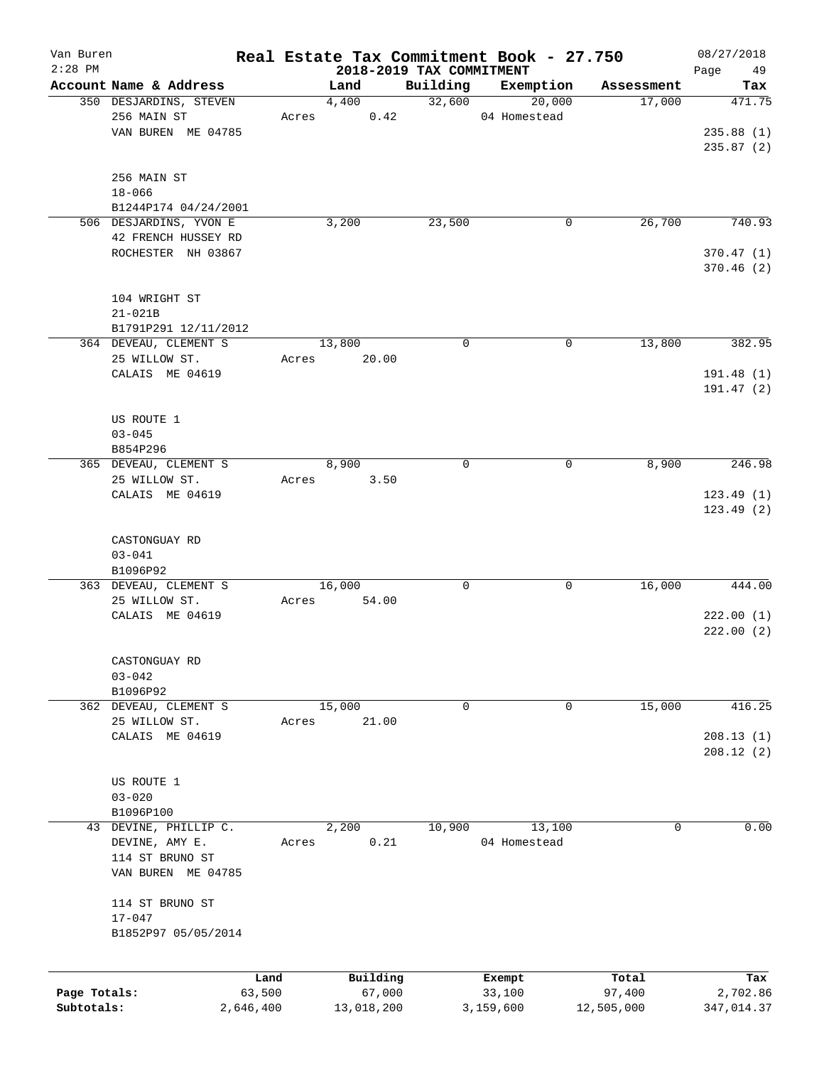| Van Buren<br>$2:28$ PM |                        |           |            | 2018-2019 TAX COMMITMENT | Real Estate Tax Commitment Book - 27.750 |            | 08/27/2018<br>Page |
|------------------------|------------------------|-----------|------------|--------------------------|------------------------------------------|------------|--------------------|
|                        | Account Name & Address |           | Land       | Building                 | Exemption                                | Assessment | 49<br>Tax          |
|                        | 350 DESJARDINS, STEVEN |           | 4,400      | 32,600                   | 20,000                                   | 17,000     | 471.75             |
|                        | 256 MAIN ST            | Acres     | 0.42       |                          | 04 Homestead                             |            |                    |
|                        | VAN BUREN ME 04785     |           |            |                          |                                          |            | 235.88(1)          |
|                        |                        |           |            |                          |                                          |            | 235.87(2)          |
|                        | 256 MAIN ST            |           |            |                          |                                          |            |                    |
|                        | $18 - 066$             |           |            |                          |                                          |            |                    |
|                        | B1244P174 04/24/2001   |           |            |                          |                                          |            |                    |
|                        | 506 DESJARDINS, YVON E |           | 3,200      | 23,500                   | 0                                        | 26,700     | 740.93             |
|                        | 42 FRENCH HUSSEY RD    |           |            |                          |                                          |            |                    |
|                        | ROCHESTER NH 03867     |           |            |                          |                                          |            | 370.47(1)          |
|                        |                        |           |            |                          |                                          |            | 370.46 (2)         |
|                        |                        |           |            |                          |                                          |            |                    |
|                        | 104 WRIGHT ST          |           |            |                          |                                          |            |                    |
|                        | $21 - 021B$            |           |            |                          |                                          |            |                    |
|                        | B1791P291 12/11/2012   |           |            |                          |                                          |            |                    |
|                        | 364 DEVEAU, CLEMENT S  |           | 13,800     | $\mathbf 0$              | $\mathbf 0$                              | 13,800     | 382.95             |
|                        | 25 WILLOW ST.          | Acres     | 20.00      |                          |                                          |            |                    |
|                        | CALAIS ME 04619        |           |            |                          |                                          |            | 191.48 (1)         |
|                        |                        |           |            |                          |                                          |            | 191.47 (2)         |
|                        |                        |           |            |                          |                                          |            |                    |
|                        | US ROUTE 1             |           |            |                          |                                          |            |                    |
|                        | $03 - 045$             |           |            |                          |                                          |            |                    |
|                        | B854P296               |           |            |                          |                                          |            |                    |
|                        | 365 DEVEAU, CLEMENT S  |           | 8,900      | $\mathbf 0$              | 0                                        | 8,900      | 246.98             |
|                        | 25 WILLOW ST.          | Acres     | 3.50       |                          |                                          |            |                    |
|                        | CALAIS ME 04619        |           |            |                          |                                          |            | 123.49(1)          |
|                        |                        |           |            |                          |                                          |            | 123.49 (2)         |
|                        |                        |           |            |                          |                                          |            |                    |
|                        | CASTONGUAY RD          |           |            |                          |                                          |            |                    |
|                        | $03 - 041$             |           |            |                          |                                          |            |                    |
|                        | B1096P92               |           |            |                          |                                          |            |                    |
|                        | 363 DEVEAU, CLEMENT S  |           | 16,000     | 0                        | 0                                        | 16,000     | 444.00             |
|                        | 25 WILLOW ST.          | Acres     | 54.00      |                          |                                          |            |                    |
|                        | CALAIS ME 04619        |           |            |                          |                                          |            | 222.00(1)          |
|                        |                        |           |            |                          |                                          |            | 222.00(2)          |
|                        |                        |           |            |                          |                                          |            |                    |
|                        | CASTONGUAY RD          |           |            |                          |                                          |            |                    |
|                        | $03 - 042$             |           |            |                          |                                          |            |                    |
|                        | B1096P92               |           |            |                          |                                          |            |                    |
|                        | 362 DEVEAU, CLEMENT S  |           | 15,000     | 0                        | 0                                        | 15,000     | 416.25             |
|                        |                        |           |            |                          |                                          |            |                    |
|                        | 25 WILLOW ST.          | Acres     | 21.00      |                          |                                          |            |                    |
|                        | CALAIS ME 04619        |           |            |                          |                                          |            | 208.13(1)          |
|                        |                        |           |            |                          |                                          |            | 208.12(2)          |
|                        |                        |           |            |                          |                                          |            |                    |
|                        | US ROUTE 1             |           |            |                          |                                          |            |                    |
|                        | $03 - 020$             |           |            |                          |                                          |            |                    |
|                        | B1096P100              |           |            |                          |                                          |            |                    |
|                        | 43 DEVINE, PHILLIP C.  |           | 2,200      | 10,900                   | 13,100                                   | 0          | 0.00               |
|                        | DEVINE, AMY E.         | Acres     | 0.21       |                          | 04 Homestead                             |            |                    |
|                        | 114 ST BRUNO ST        |           |            |                          |                                          |            |                    |
|                        | VAN BUREN ME 04785     |           |            |                          |                                          |            |                    |
|                        |                        |           |            |                          |                                          |            |                    |
|                        | 114 ST BRUNO ST        |           |            |                          |                                          |            |                    |
|                        | $17 - 047$             |           |            |                          |                                          |            |                    |
|                        | B1852P97 05/05/2014    |           |            |                          |                                          |            |                    |
|                        |                        |           |            |                          |                                          |            |                    |
|                        |                        | Land      | Building   |                          | Exempt                                   | Total      | Tax                |
| Page Totals:           |                        | 63,500    | 67,000     |                          | 33,100                                   | 97,400     | 2,702.86           |
| Subtotals:             |                        | 2,646,400 | 13,018,200 |                          | 3,159,600                                | 12,505,000 | 347,014.37         |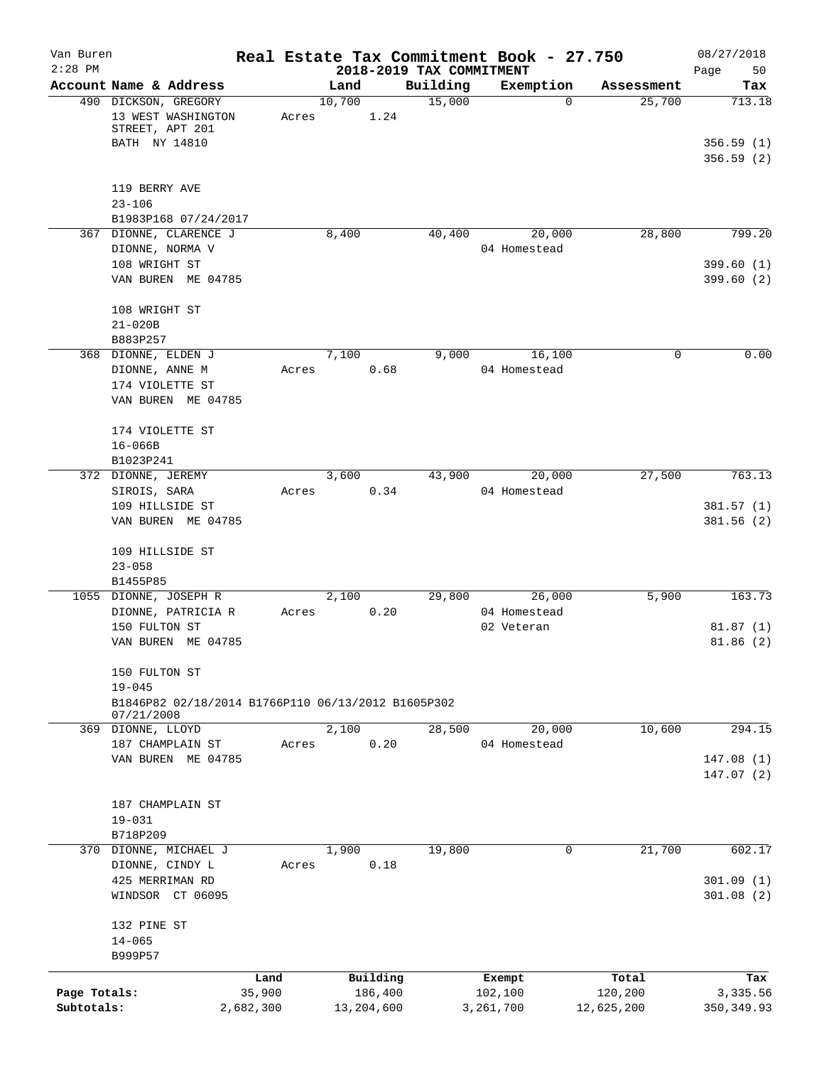| Van Buren                  |                                                                                                 |                     |                                  |          | Real Estate Tax Commitment Book - 27.750 |                       | 08/27/2018                       |
|----------------------------|-------------------------------------------------------------------------------------------------|---------------------|----------------------------------|----------|------------------------------------------|-----------------------|----------------------------------|
| $2:28$ PM                  | Account Name & Address                                                                          |                     | 2018-2019 TAX COMMITMENT<br>Land | Building | Exemption                                | Assessment            | Page<br>50<br>Tax                |
|                            | 490 DICKSON, GREGORY<br>13 WEST WASHINGTON<br>STREET, APT 201<br>BATH NY 14810                  | Acres               | 10,700<br>1.24                   | 15,000   | $\Omega$                                 | 25,700                | 713.18<br>356.59(1)<br>356.59(2) |
|                            | 119 BERRY AVE<br>$23 - 106$                                                                     |                     |                                  |          |                                          |                       |                                  |
|                            | B1983P168 07/24/2017<br>367 DIONNE, CLARENCE J                                                  |                     | 8,400                            | 40,400   | 20,000                                   | 28,800                | 799.20                           |
|                            | DIONNE, NORMA V<br>108 WRIGHT ST<br>VAN BUREN ME 04785                                          |                     |                                  |          | 04 Homestead                             |                       | 399.60(1)<br>399.60(2)           |
|                            | 108 WRIGHT ST<br>$21 - 020B$<br>B883P257                                                        |                     |                                  |          |                                          |                       |                                  |
|                            | 368 DIONNE, ELDEN J<br>DIONNE, ANNE M<br>174 VIOLETTE ST<br>VAN BUREN ME 04785                  | Acres               | 7,100<br>0.68                    | 9,000    | 16,100<br>04 Homestead                   | 0                     | 0.00                             |
|                            | 174 VIOLETTE ST<br>$16 - 066B$<br>B1023P241                                                     |                     |                                  |          |                                          |                       |                                  |
|                            | 372 DIONNE, JEREMY<br>SIROIS, SARA<br>109 HILLSIDE ST<br>VAN BUREN ME 04785                     | Acres               | 3,600<br>0.34                    | 43,900   | 20,000<br>04 Homestead                   | 27,500                | 763.13<br>381.57(1)<br>381.56(2) |
|                            | 109 HILLSIDE ST<br>$23 - 058$<br>B1455P85                                                       |                     |                                  |          |                                          |                       |                                  |
|                            | 1055 DIONNE, JOSEPH R<br>DIONNE, PATRICIA R<br>150 FULTON ST<br>VAN BUREN ME 04785              | Acres               | 2,100<br>0.20                    | 29,800   | 26,000<br>04 Homestead<br>02 Veteran     | 5,900                 | 163.73<br>81.87(1)<br>81.86(2)   |
|                            | 150 FULTON ST<br>$19 - 045$<br>B1846P82 02/18/2014 B1766P110 06/13/2012 B1605P302<br>07/21/2008 |                     |                                  |          |                                          |                       |                                  |
|                            | 369 DIONNE, LLOYD<br>187 CHAMPLAIN ST                                                           | Acres               | 2,100<br>0.20                    | 28,500   | 20,000<br>04 Homestead                   | 10,600                | 294.15                           |
|                            | VAN BUREN ME 04785                                                                              |                     |                                  |          |                                          |                       | 147.08(1)<br>147.07 (2)          |
|                            | 187 CHAMPLAIN ST<br>$19 - 031$                                                                  |                     |                                  |          |                                          |                       |                                  |
|                            | B718P209<br>370 DIONNE, MICHAEL J                                                               |                     | 1,900                            | 19,800   | 0                                        | 21,700                | 602.17                           |
|                            | DIONNE, CINDY L<br>425 MERRIMAN RD<br>WINDSOR CT 06095                                          | Acres               | 0.18                             |          |                                          |                       | 301.09(1)<br>301.08(2)           |
|                            | 132 PINE ST<br>$14 - 065$<br>B999P57                                                            |                     |                                  |          |                                          |                       |                                  |
|                            |                                                                                                 | Land                | Building                         |          | Exempt                                   | Total                 | Tax                              |
| Page Totals:<br>Subtotals: |                                                                                                 | 35,900<br>2,682,300 | 186,400<br>13,204,600            |          | 102,100<br>3,261,700                     | 120,200<br>12,625,200 | 3,335.56<br>350, 349.93          |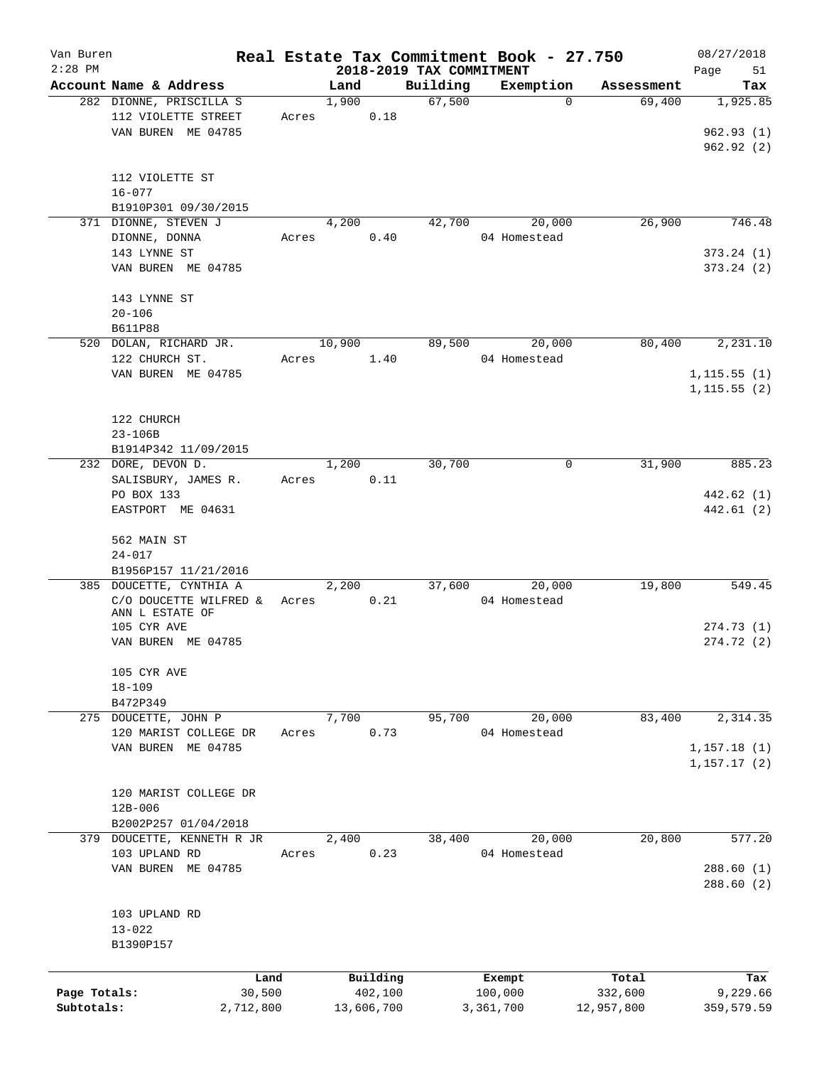| Van Buren<br>$2:28$ PM |                            |           |       |        |            | 2018-2019 TAX COMMITMENT | Real Estate Tax Commitment Book - 27.750 |            | 08/27/2018<br>Page<br>51 |
|------------------------|----------------------------|-----------|-------|--------|------------|--------------------------|------------------------------------------|------------|--------------------------|
|                        | Account Name & Address     |           |       | Land   |            | Building                 | Exemption                                | Assessment | Tax                      |
|                        | 282 DIONNE, PRISCILLA S    |           |       | 1,900  |            | 67,500                   | $\mathbf{0}$                             | 69,400     | 1,925.85                 |
|                        | 112 VIOLETTE STREET        |           | Acres |        | 0.18       |                          |                                          |            |                          |
|                        | VAN BUREN ME 04785         |           |       |        |            |                          |                                          |            | 962.93(1)                |
|                        |                            |           |       |        |            |                          |                                          |            | 962.92(2)                |
|                        |                            |           |       |        |            |                          |                                          |            |                          |
|                        |                            |           |       |        |            |                          |                                          |            |                          |
|                        | 112 VIOLETTE ST            |           |       |        |            |                          |                                          |            |                          |
|                        | $16 - 077$                 |           |       |        |            |                          |                                          |            |                          |
|                        | B1910P301 09/30/2015       |           |       |        |            |                          |                                          |            |                          |
|                        | 371 DIONNE, STEVEN J       |           |       | 4,200  |            | 42,700                   | 20,000                                   | 26,900     | 746.48                   |
|                        | DIONNE, DONNA              |           | Acres |        | 0.40       |                          | 04 Homestead                             |            |                          |
|                        | 143 LYNNE ST               |           |       |        |            |                          |                                          |            | 373.24(1)                |
|                        | VAN BUREN ME 04785         |           |       |        |            |                          |                                          |            | 373.24(2)                |
|                        |                            |           |       |        |            |                          |                                          |            |                          |
|                        | 143 LYNNE ST               |           |       |        |            |                          |                                          |            |                          |
|                        | $20 - 106$                 |           |       |        |            |                          |                                          |            |                          |
|                        | <b>B611P88</b>             |           |       |        |            |                          |                                          |            |                          |
|                        | 520 DOLAN, RICHARD JR.     |           |       | 10,900 |            | 89,500                   | 20,000                                   | 80,400     | 2,231.10                 |
|                        | 122 CHURCH ST.             |           | Acres |        | 1.40       |                          | 04 Homestead                             |            |                          |
|                        | VAN BUREN ME 04785         |           |       |        |            |                          |                                          |            | 1, 115.55(1)             |
|                        |                            |           |       |        |            |                          |                                          |            | 1, 115.55(2)             |
|                        |                            |           |       |        |            |                          |                                          |            |                          |
|                        | 122 CHURCH                 |           |       |        |            |                          |                                          |            |                          |
|                        | $23 - 106B$                |           |       |        |            |                          |                                          |            |                          |
|                        | B1914P342 11/09/2015       |           |       |        |            |                          |                                          |            |                          |
|                        | 232 DORE, DEVON D.         |           |       | 1,200  |            | 30,700                   | 0                                        | 31,900     | 885.23                   |
|                        |                            |           |       |        |            |                          |                                          |            |                          |
|                        | SALISBURY, JAMES R.        |           | Acres |        | 0.11       |                          |                                          |            |                          |
|                        | PO BOX 133                 |           |       |        |            |                          |                                          |            | 442.62 (1)               |
|                        | EASTPORT ME 04631          |           |       |        |            |                          |                                          |            | 442.61 (2)               |
|                        |                            |           |       |        |            |                          |                                          |            |                          |
|                        | 562 MAIN ST                |           |       |        |            |                          |                                          |            |                          |
|                        | $24 - 017$                 |           |       |        |            |                          |                                          |            |                          |
|                        | B1956P157 11/21/2016       |           |       |        |            |                          |                                          |            |                          |
|                        | 385 DOUCETTE, CYNTHIA A    |           |       | 2,200  |            | 37,600                   | 20,000                                   | 19,800     | 549.45                   |
|                        | C/O DOUCETTE WILFRED &     |           | Acres |        | 0.21       |                          | 04 Homestead                             |            |                          |
|                        | ANN L ESTATE OF            |           |       |        |            |                          |                                          |            |                          |
|                        | 105 CYR AVE                |           |       |        |            |                          |                                          |            | 274.73(1)                |
|                        | VAN BUREN ME 04785         |           |       |        |            |                          |                                          |            | 274.72(2)                |
|                        |                            |           |       |        |            |                          |                                          |            |                          |
|                        | 105 CYR AVE                |           |       |        |            |                          |                                          |            |                          |
|                        | $18 - 109$                 |           |       |        |            |                          |                                          |            |                          |
|                        | B472P349                   |           |       |        |            |                          |                                          |            |                          |
|                        | 275 DOUCETTE, JOHN P       |           |       | 7,700  |            | 95,700                   | 20,000                                   | 83,400     | 2,314.35                 |
|                        | 120 MARIST COLLEGE DR      |           | Acres |        | 0.73       |                          | 04 Homestead                             |            |                          |
|                        | VAN BUREN ME 04785         |           |       |        |            |                          |                                          |            | 1, 157.18(1)             |
|                        |                            |           |       |        |            |                          |                                          |            | 1, 157.17(2)             |
|                        |                            |           |       |        |            |                          |                                          |            |                          |
|                        | 120 MARIST COLLEGE DR      |           |       |        |            |                          |                                          |            |                          |
|                        | $12B - 006$                |           |       |        |            |                          |                                          |            |                          |
|                        | B2002P257 01/04/2018       |           |       |        |            |                          |                                          |            |                          |
|                        | 379 DOUCETTE, KENNETH R JR |           |       | 2,400  |            | 38,400                   | 20,000                                   | 20,800     | 577.20                   |
|                        | 103 UPLAND RD              |           | Acres |        | 0.23       |                          | 04 Homestead                             |            |                          |
|                        | VAN BUREN ME 04785         |           |       |        |            |                          |                                          |            | 288.60(1)                |
|                        |                            |           |       |        |            |                          |                                          |            | 288.60(2)                |
|                        |                            |           |       |        |            |                          |                                          |            |                          |
|                        |                            |           |       |        |            |                          |                                          |            |                          |
|                        | 103 UPLAND RD              |           |       |        |            |                          |                                          |            |                          |
|                        | $13 - 022$                 |           |       |        |            |                          |                                          |            |                          |
|                        | B1390P157                  |           |       |        |            |                          |                                          |            |                          |
|                        |                            |           |       |        |            |                          |                                          |            |                          |
|                        |                            | Land      |       |        | Building   |                          | Exempt                                   | Total      | Tax                      |
| Page Totals:           |                            | 30,500    |       |        | 402,100    |                          | 100,000                                  | 332,600    | 9,229.66                 |
| Subtotals:             |                            | 2,712,800 |       |        | 13,606,700 |                          | 3,361,700                                | 12,957,800 | 359,579.59               |
|                        |                            |           |       |        |            |                          |                                          |            |                          |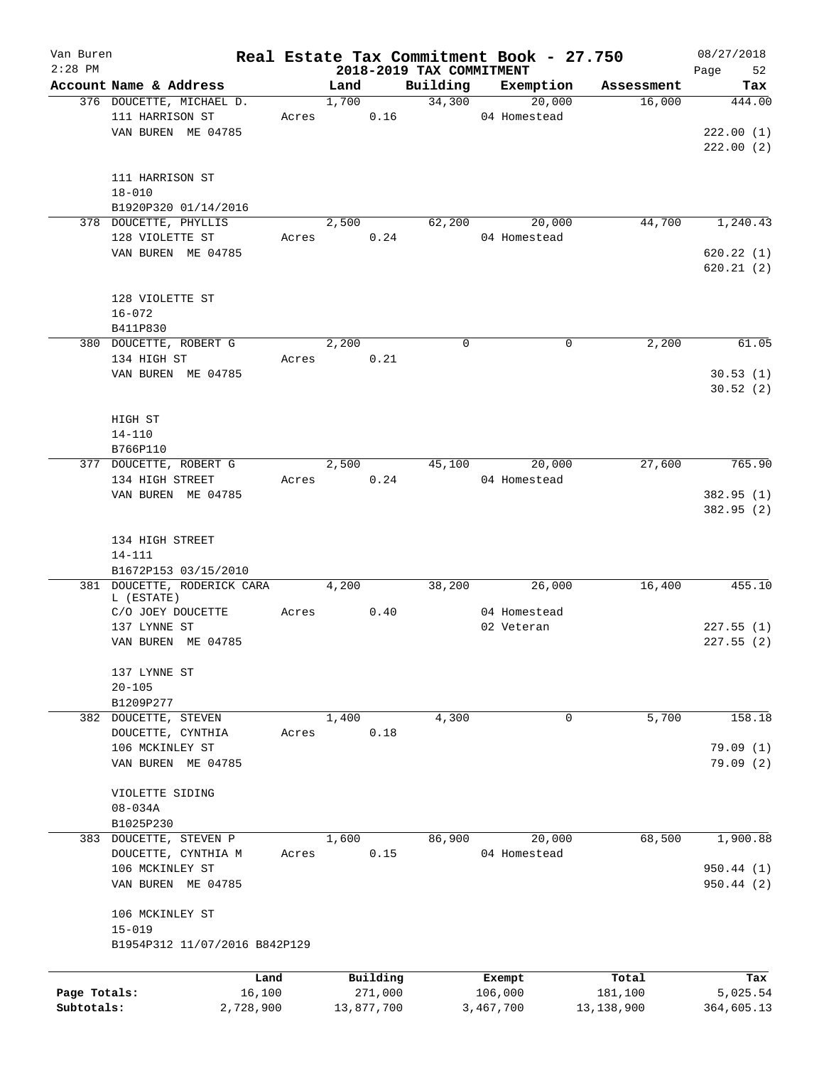| Van Buren    |                               |       |       |            |                                      | Real Estate Tax Commitment Book - 27.750 |              | 08/27/2018        |
|--------------|-------------------------------|-------|-------|------------|--------------------------------------|------------------------------------------|--------------|-------------------|
| $2:28$ PM    | Account Name & Address        |       | Land  |            | 2018-2019 TAX COMMITMENT<br>Building | Exemption                                | Assessment   | Page<br>52<br>Tax |
|              | 376 DOUCETTE, MICHAEL D.      |       | 1,700 |            | 34,300                               | 20,000                                   | 16,000       | 444.00            |
|              | 111 HARRISON ST               | Acres |       | 0.16       |                                      | 04 Homestead                             |              |                   |
|              | VAN BUREN ME 04785            |       |       |            |                                      |                                          |              | 222.00(1)         |
|              |                               |       |       |            |                                      |                                          |              |                   |
|              |                               |       |       |            |                                      |                                          |              | 222.00(2)         |
|              |                               |       |       |            |                                      |                                          |              |                   |
|              | 111 HARRISON ST               |       |       |            |                                      |                                          |              |                   |
|              | $18 - 010$                    |       |       |            |                                      |                                          |              |                   |
|              | B1920P320 01/14/2016          |       |       |            |                                      |                                          |              |                   |
|              | 378 DOUCETTE, PHYLLIS         |       | 2,500 |            | 62,200                               | 20,000                                   | 44,700       | 1,240.43          |
|              | 128 VIOLETTE ST               | Acres |       | 0.24       |                                      | 04 Homestead                             |              |                   |
|              | VAN BUREN ME 04785            |       |       |            |                                      |                                          |              | 620.22(1)         |
|              |                               |       |       |            |                                      |                                          |              | 620.21(2)         |
|              |                               |       |       |            |                                      |                                          |              |                   |
|              | 128 VIOLETTE ST               |       |       |            |                                      |                                          |              |                   |
|              | $16 - 072$                    |       |       |            |                                      |                                          |              |                   |
|              | B411P830                      |       |       |            |                                      |                                          |              |                   |
|              | 380 DOUCETTE, ROBERT G        |       | 2,200 |            | $\mathbf 0$                          | 0                                        | 2,200        | 61.05             |
|              | 134 HIGH ST                   | Acres |       | 0.21       |                                      |                                          |              |                   |
|              | VAN BUREN ME 04785            |       |       |            |                                      |                                          |              | 30.53(1)          |
|              |                               |       |       |            |                                      |                                          |              | 30.52(2)          |
|              |                               |       |       |            |                                      |                                          |              |                   |
|              | HIGH ST                       |       |       |            |                                      |                                          |              |                   |
|              | $14 - 110$                    |       |       |            |                                      |                                          |              |                   |
|              | B766P110                      |       |       |            |                                      |                                          |              |                   |
|              | 377 DOUCETTE, ROBERT G        |       | 2,500 |            | 45,100                               | 20,000                                   | 27,600       | 765.90            |
|              | 134 HIGH STREET               | Acres |       | 0.24       |                                      | 04 Homestead                             |              |                   |
|              | VAN BUREN ME 04785            |       |       |            |                                      |                                          |              | 382.95(1)         |
|              |                               |       |       |            |                                      |                                          |              | 382.95 (2)        |
|              |                               |       |       |            |                                      |                                          |              |                   |
|              | 134 HIGH STREET               |       |       |            |                                      |                                          |              |                   |
|              | $14 - 111$                    |       |       |            |                                      |                                          |              |                   |
|              | B1672P153 03/15/2010          |       |       |            |                                      |                                          |              |                   |
|              | 381 DOUCETTE, RODERICK CARA   |       | 4,200 |            | 38,200                               | 26,000                                   | 16,400       | 455.10            |
|              | L (ESTATE)                    |       |       |            |                                      |                                          |              |                   |
|              | C/O JOEY DOUCETTE             | Acres |       | 0.40       |                                      | 04 Homestead                             |              |                   |
|              | 137 LYNNE ST                  |       |       |            |                                      | 02 Veteran                               |              | 227.55(1)         |
|              | VAN BUREN ME 04785            |       |       |            |                                      |                                          |              | 227.55(2)         |
|              |                               |       |       |            |                                      |                                          |              |                   |
|              | 137 LYNNE ST                  |       |       |            |                                      |                                          |              |                   |
|              | $20 - 105$                    |       |       |            |                                      |                                          |              |                   |
|              | B1209P277                     |       |       |            |                                      |                                          |              |                   |
|              | 382 DOUCETTE, STEVEN          |       | 1,400 |            | 4,300                                | 0                                        | 5,700        | 158.18            |
|              | DOUCETTE, CYNTHIA             | Acres |       | 0.18       |                                      |                                          |              |                   |
|              | 106 MCKINLEY ST               |       |       |            |                                      |                                          |              | 79.09(1)          |
|              | VAN BUREN ME 04785            |       |       |            |                                      |                                          |              | 79.09(2)          |
|              |                               |       |       |            |                                      |                                          |              |                   |
|              | VIOLETTE SIDING               |       |       |            |                                      |                                          |              |                   |
|              | $08 - 034A$                   |       |       |            |                                      |                                          |              |                   |
|              | B1025P230                     |       |       |            |                                      |                                          |              |                   |
|              | 383 DOUCETTE, STEVEN P        |       | 1,600 |            | 86,900                               | 20,000                                   | 68,500       | 1,900.88          |
|              | DOUCETTE, CYNTHIA M           | Acres |       | 0.15       |                                      | 04 Homestead                             |              |                   |
|              | 106 MCKINLEY ST               |       |       |            |                                      |                                          |              | 950.44(1)         |
|              | VAN BUREN ME 04785            |       |       |            |                                      |                                          |              | 950.44(2)         |
|              |                               |       |       |            |                                      |                                          |              |                   |
|              | 106 MCKINLEY ST               |       |       |            |                                      |                                          |              |                   |
|              | $15 - 019$                    |       |       |            |                                      |                                          |              |                   |
|              | B1954P312 11/07/2016 B842P129 |       |       |            |                                      |                                          |              |                   |
|              |                               |       |       |            |                                      |                                          |              |                   |
|              | Land                          |       |       | Building   |                                      | Exempt                                   | Total        | Tax               |
| Page Totals: | 16,100                        |       |       | 271,000    |                                      | 106,000                                  | 181,100      | 5,025.54          |
| Subtotals:   | 2,728,900                     |       |       | 13,877,700 |                                      | 3,467,700                                | 13, 138, 900 | 364,605.13        |
|              |                               |       |       |            |                                      |                                          |              |                   |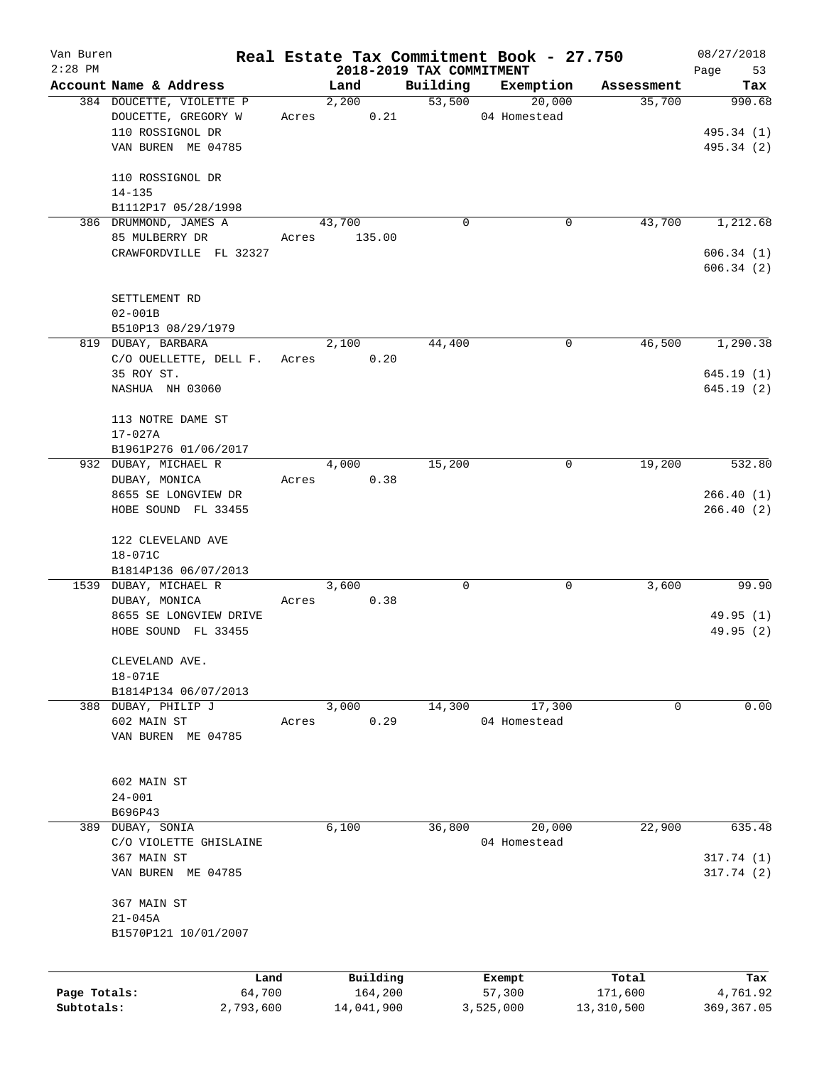| Van Buren<br>$2:28$ PM |                                                    |       |                          |                    | Real Estate Tax Commitment Book - 27.750 |                      | 08/27/2018    |
|------------------------|----------------------------------------------------|-------|--------------------------|--------------------|------------------------------------------|----------------------|---------------|
|                        |                                                    |       | 2018-2019 TAX COMMITMENT |                    |                                          |                      | 53<br>Page    |
|                        | Account Name & Address<br>384 DOUCETTE, VIOLETTE P |       | Land<br>2,200            | Building<br>53,500 | Exemption<br>20,000                      | Assessment<br>35,700 | Tax<br>990.68 |
|                        | DOUCETTE, GREGORY W                                | Acres | 0.21                     |                    | 04 Homestead                             |                      |               |
|                        | 110 ROSSIGNOL DR                                   |       |                          |                    |                                          |                      |               |
|                        |                                                    |       |                          |                    |                                          |                      | 495.34 (1)    |
|                        | VAN BUREN ME 04785                                 |       |                          |                    |                                          |                      | 495.34 (2)    |
|                        | 110 ROSSIGNOL DR                                   |       |                          |                    |                                          |                      |               |
|                        | $14 - 135$                                         |       |                          |                    |                                          |                      |               |
|                        | B1112P17 05/28/1998                                |       |                          |                    |                                          |                      |               |
|                        | 386 DRUMMOND, JAMES A                              |       | 43,700                   | $\Omega$           | 0                                        | 43,700               | 1,212.68      |
|                        | 85 MULBERRY DR                                     | Acres | 135.00                   |                    |                                          |                      |               |
|                        | CRAWFORDVILLE FL 32327                             |       |                          |                    |                                          |                      | 606.34(1)     |
|                        |                                                    |       |                          |                    |                                          |                      | 606.34(2)     |
|                        |                                                    |       |                          |                    |                                          |                      |               |
|                        | SETTLEMENT RD                                      |       |                          |                    |                                          |                      |               |
|                        | $02 - 001B$                                        |       |                          |                    |                                          |                      |               |
|                        | B510P13 08/29/1979                                 |       |                          |                    |                                          |                      |               |
|                        | 819 DUBAY, BARBARA                                 |       | 2,100                    | 44,400             | 0                                        | 46,500               | 1,290.38      |
|                        | C/O OUELLETTE, DELL F.                             | Acres | 0.20                     |                    |                                          |                      |               |
|                        | 35 ROY ST.                                         |       |                          |                    |                                          |                      | 645.19(1)     |
|                        | NASHUA NH 03060                                    |       |                          |                    |                                          |                      | 645.19(2)     |
|                        |                                                    |       |                          |                    |                                          |                      |               |
|                        | 113 NOTRE DAME ST                                  |       |                          |                    |                                          |                      |               |
|                        | 17-027A                                            |       |                          |                    |                                          |                      |               |
|                        | B1961P276 01/06/2017                               |       |                          |                    |                                          |                      |               |
|                        | 932 DUBAY, MICHAEL R                               |       | 4,000                    | 15,200             | 0                                        | 19,200               | 532.80        |
|                        | DUBAY, MONICA                                      | Acres | 0.38                     |                    |                                          |                      |               |
|                        | 8655 SE LONGVIEW DR                                |       |                          |                    |                                          |                      | 266.40(1)     |
|                        | HOBE SOUND FL 33455                                |       |                          |                    |                                          |                      | 266.40(2)     |
|                        |                                                    |       |                          |                    |                                          |                      |               |
|                        | 122 CLEVELAND AVE                                  |       |                          |                    |                                          |                      |               |
|                        | $18 - 071C$                                        |       |                          |                    |                                          |                      |               |
|                        | B1814P136 06/07/2013                               |       |                          |                    |                                          |                      |               |
|                        | 1539 DUBAY, MICHAEL R                              |       | 3,600                    | 0                  | 0                                        | 3,600                | 99.90         |
|                        | DUBAY, MONICA                                      | Acres | 0.38                     |                    |                                          |                      |               |
|                        | 8655 SE LONGVIEW DRIVE                             |       |                          |                    |                                          |                      | 49.95(1)      |
|                        | HOBE SOUND FL 33455                                |       |                          |                    |                                          |                      | 49.95(2)      |
|                        |                                                    |       |                          |                    |                                          |                      |               |
|                        | CLEVELAND AVE.                                     |       |                          |                    |                                          |                      |               |
|                        | $18 - 071E$                                        |       |                          |                    |                                          |                      |               |
|                        | B1814P134 06/07/2013                               |       |                          |                    |                                          |                      |               |
|                        | 388 DUBAY, PHILIP J                                |       | 3,000                    | 14,300             | 17,300                                   | 0                    | 0.00          |
|                        | 602 MAIN ST                                        | Acres | 0.29                     |                    | 04 Homestead                             |                      |               |
|                        | VAN BUREN ME 04785                                 |       |                          |                    |                                          |                      |               |
|                        |                                                    |       |                          |                    |                                          |                      |               |
|                        |                                                    |       |                          |                    |                                          |                      |               |
|                        | 602 MAIN ST                                        |       |                          |                    |                                          |                      |               |
|                        | $24 - 001$                                         |       |                          |                    |                                          |                      |               |
|                        | B696P43                                            |       |                          |                    |                                          |                      |               |
|                        | 389 DUBAY, SONIA                                   |       | 6,100                    | 36,800             | 20,000                                   | 22,900               | 635.48        |
|                        | C/O VIOLETTE GHISLAINE                             |       |                          |                    | 04 Homestead                             |                      |               |
|                        | 367 MAIN ST                                        |       |                          |                    |                                          |                      | 317.74 (1)    |
|                        | VAN BUREN ME 04785                                 |       |                          |                    |                                          |                      | 317.74(2)     |
|                        |                                                    |       |                          |                    |                                          |                      |               |
|                        | 367 MAIN ST                                        |       |                          |                    |                                          |                      |               |
|                        | $21 - 045A$                                        |       |                          |                    |                                          |                      |               |
|                        | B1570P121 10/01/2007                               |       |                          |                    |                                          |                      |               |
|                        |                                                    |       |                          |                    |                                          |                      |               |
|                        |                                                    |       |                          |                    |                                          |                      |               |
|                        | Land                                               |       | Building                 |                    | Exempt                                   | Total                | Tax           |
| Page Totals:           | 64,700                                             |       | 164,200                  |                    | 57,300                                   | 171,600              | 4,761.92      |
| Subtotals:             | 2,793,600                                          |       | 14,041,900               |                    | 3,525,000                                | 13,310,500           | 369, 367.05   |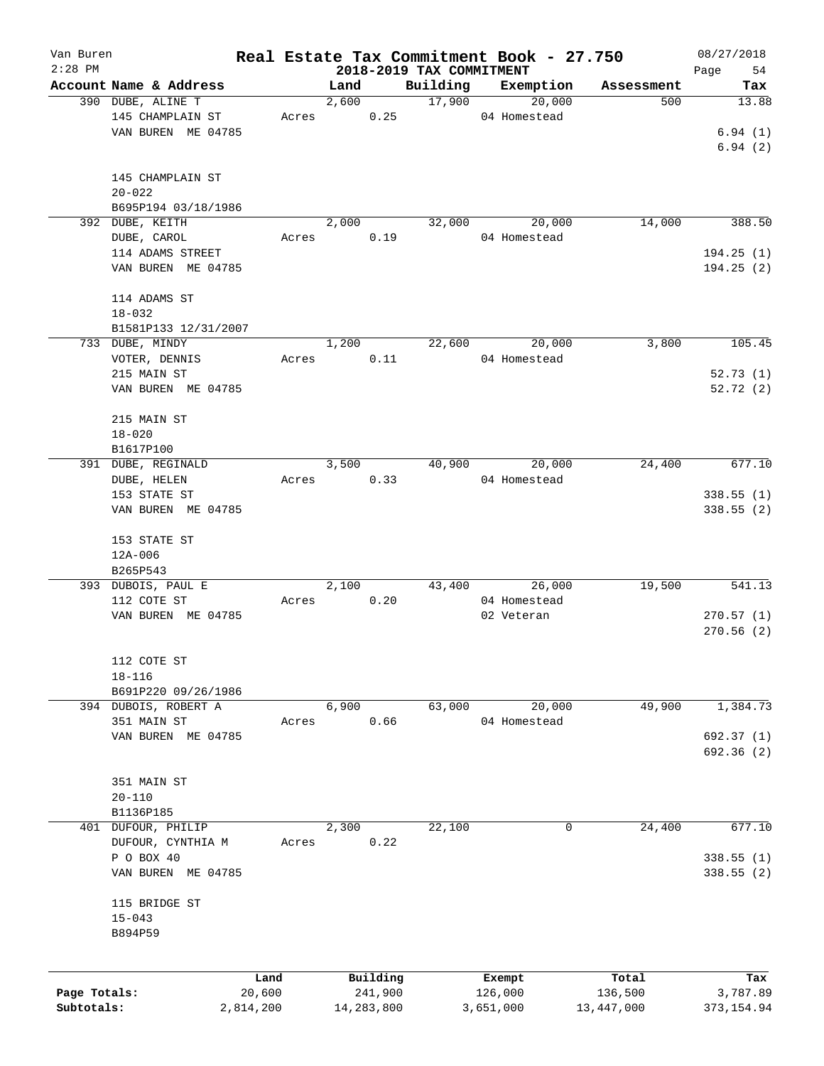| Van Buren    |                        |           |       |            |                                      | Real Estate Tax Commitment Book - 27.750 |                   | 08/27/2018   |
|--------------|------------------------|-----------|-------|------------|--------------------------------------|------------------------------------------|-------------------|--------------|
| $2:28$ PM    | Account Name & Address |           | Land  |            | 2018-2019 TAX COMMITMENT<br>Building | Exemption                                |                   | 54<br>Page   |
|              | 390 DUBE, ALINE T      |           | 2,600 |            | 17,900                               | 20,000                                   | Assessment<br>500 | Tax<br>13.88 |
|              |                        |           |       |            |                                      |                                          |                   |              |
|              | 145 CHAMPLAIN ST       | Acres     |       | 0.25       |                                      | 04 Homestead                             |                   |              |
|              | VAN BUREN ME 04785     |           |       |            |                                      |                                          |                   | 6.94(1)      |
|              |                        |           |       |            |                                      |                                          |                   | 6.94(2)      |
|              |                        |           |       |            |                                      |                                          |                   |              |
|              | 145 CHAMPLAIN ST       |           |       |            |                                      |                                          |                   |              |
|              | $20 - 022$             |           |       |            |                                      |                                          |                   |              |
|              | B695P194 03/18/1986    |           |       |            |                                      |                                          |                   |              |
|              | 392 DUBE, KEITH        |           | 2,000 |            | 32,000                               | 20,000                                   | 14,000            | 388.50       |
|              | DUBE, CAROL            | Acres     |       | 0.19       |                                      | 04 Homestead                             |                   |              |
|              | 114 ADAMS STREET       |           |       |            |                                      |                                          |                   | 194.25(1)    |
|              | VAN BUREN ME 04785     |           |       |            |                                      |                                          |                   | 194.25(2)    |
|              |                        |           |       |            |                                      |                                          |                   |              |
|              | 114 ADAMS ST           |           |       |            |                                      |                                          |                   |              |
|              | $18 - 032$             |           |       |            |                                      |                                          |                   |              |
|              | B1581P133 12/31/2007   |           |       |            |                                      |                                          |                   |              |
|              | 733 DUBE, MINDY        |           | 1,200 |            | 22,600                               | 20,000                                   | 3,800             | 105.45       |
|              | VOTER, DENNIS          | Acres     |       | 0.11       |                                      | 04 Homestead                             |                   |              |
|              | 215 MAIN ST            |           |       |            |                                      |                                          |                   | 52.73(1)     |
|              | VAN BUREN ME 04785     |           |       |            |                                      |                                          |                   | 52.72(2)     |
|              |                        |           |       |            |                                      |                                          |                   |              |
|              | 215 MAIN ST            |           |       |            |                                      |                                          |                   |              |
|              | $18 - 020$             |           |       |            |                                      |                                          |                   |              |
|              | B1617P100              |           |       |            |                                      |                                          |                   |              |
|              | 391 DUBE, REGINALD     |           | 3,500 |            | 40,900                               | 20,000                                   | 24,400            | 677.10       |
|              | DUBE, HELEN            | Acres     |       | 0.33       |                                      | 04 Homestead                             |                   |              |
|              | 153 STATE ST           |           |       |            |                                      |                                          |                   | 338.55(1)    |
|              | VAN BUREN ME 04785     |           |       |            |                                      |                                          |                   | 338.55(2)    |
|              |                        |           |       |            |                                      |                                          |                   |              |
|              |                        |           |       |            |                                      |                                          |                   |              |
|              | 153 STATE ST           |           |       |            |                                      |                                          |                   |              |
|              | $12A - 006$            |           |       |            |                                      |                                          |                   |              |
|              | B265P543               |           |       |            |                                      |                                          |                   |              |
|              | 393 DUBOIS, PAUL E     |           | 2,100 |            |                                      | 26,000<br>43,400                         | 19,500            | 541.13       |
|              | 112 COTE ST            | Acres     |       | 0.20       |                                      | 04 Homestead                             |                   |              |
|              | VAN BUREN ME 04785     |           |       |            |                                      | 02 Veteran                               |                   | 270.57(1)    |
|              |                        |           |       |            |                                      |                                          |                   | 270.56(2)    |
|              |                        |           |       |            |                                      |                                          |                   |              |
|              | 112 COTE ST            |           |       |            |                                      |                                          |                   |              |
|              | $18 - 116$             |           |       |            |                                      |                                          |                   |              |
|              | B691P220 09/26/1986    |           |       |            |                                      |                                          |                   |              |
|              | 394 DUBOIS, ROBERT A   |           | 6,900 |            | 63,000                               | 20,000                                   | 49,900            | 1,384.73     |
|              | 351 MAIN ST            | Acres     |       | 0.66       |                                      | 04 Homestead                             |                   |              |
|              | VAN BUREN ME 04785     |           |       |            |                                      |                                          |                   | 692.37 (1)   |
|              |                        |           |       |            |                                      |                                          |                   | 692.36 (2)   |
|              |                        |           |       |            |                                      |                                          |                   |              |
|              | 351 MAIN ST            |           |       |            |                                      |                                          |                   |              |
|              | $20 - 110$             |           |       |            |                                      |                                          |                   |              |
|              | B1136P185              |           |       |            |                                      |                                          |                   |              |
| 401          | DUFOUR, PHILIP         |           | 2,300 |            | 22,100                               | 0                                        | 24,400            | 677.10       |
|              | DUFOUR, CYNTHIA M      | Acres     |       | 0.22       |                                      |                                          |                   |              |
|              | P O BOX 40             |           |       |            |                                      |                                          |                   | 338.55 (1)   |
|              | VAN BUREN ME 04785     |           |       |            |                                      |                                          |                   | 338.55(2)    |
|              |                        |           |       |            |                                      |                                          |                   |              |
|              | 115 BRIDGE ST          |           |       |            |                                      |                                          |                   |              |
|              | $15 - 043$             |           |       |            |                                      |                                          |                   |              |
|              |                        |           |       |            |                                      |                                          |                   |              |
|              | B894P59                |           |       |            |                                      |                                          |                   |              |
|              |                        |           |       |            |                                      |                                          |                   |              |
|              |                        | Land      |       | Building   |                                      | Exempt                                   | Total             | Tax          |
| Page Totals: |                        | 20,600    |       | 241,900    |                                      | 126,000                                  | 136,500           | 3,787.89     |
|              |                        |           |       |            |                                      |                                          |                   |              |
| Subtotals:   |                        | 2,814,200 |       | 14,283,800 |                                      | 3,651,000                                | 13,447,000        | 373, 154.94  |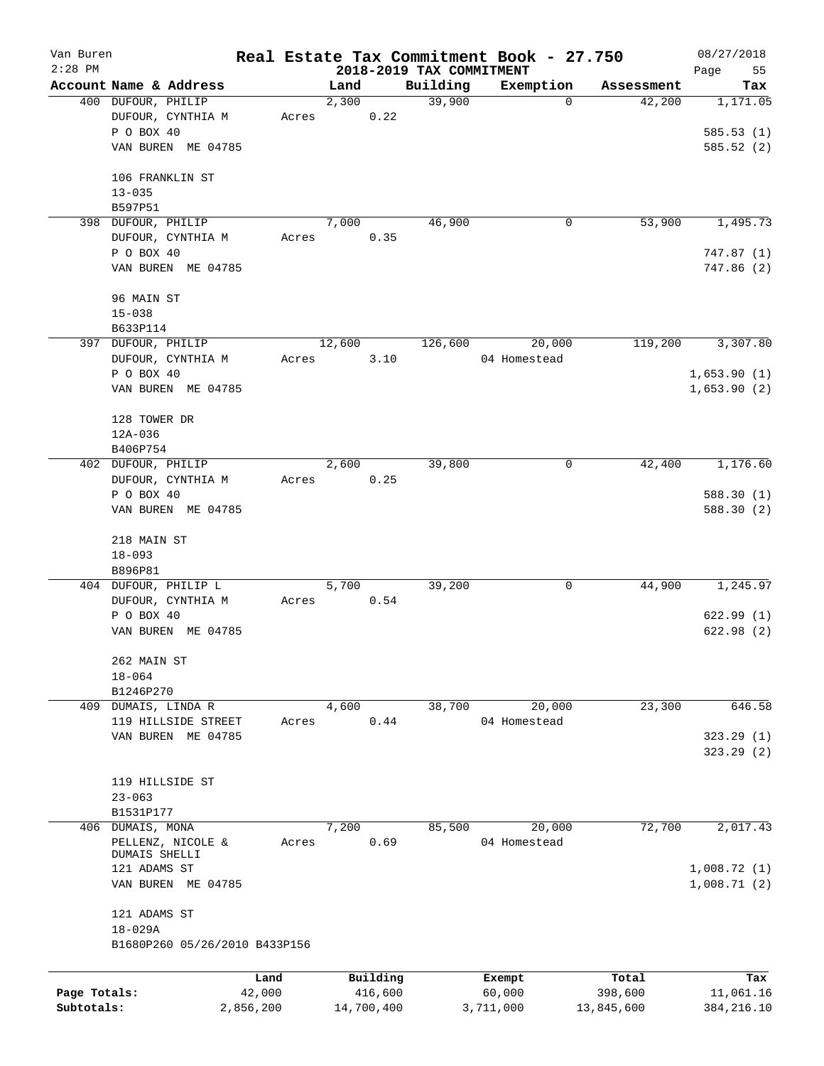| Van Buren    |                       |                               |       |        |            |                          | Real Estate Tax Commitment Book - 27.750 |            | 08/27/2018  |
|--------------|-----------------------|-------------------------------|-------|--------|------------|--------------------------|------------------------------------------|------------|-------------|
| $2:28$ PM    |                       |                               |       |        |            | 2018-2019 TAX COMMITMENT |                                          |            | Page<br>55  |
|              |                       | Account Name & Address        |       | Land   |            | Building                 | Exemption                                | Assessment | Tax         |
|              | 400 DUFOUR, PHILIP    |                               |       | 2,300  |            | 39,900                   | 0                                        | 42,200     | 1,171.05    |
|              |                       | DUFOUR, CYNTHIA M             | Acres |        | 0.22       |                          |                                          |            |             |
|              | P O BOX 40            |                               |       |        |            |                          |                                          |            | 585.53(1)   |
|              |                       | VAN BUREN ME 04785            |       |        |            |                          |                                          |            | 585.52(2)   |
|              | 106 FRANKLIN ST       |                               |       |        |            |                          |                                          |            |             |
|              |                       |                               |       |        |            |                          |                                          |            |             |
|              | $13 - 035$<br>B597P51 |                               |       |        |            |                          |                                          |            |             |
|              | 398 DUFOUR, PHILIP    |                               |       | 7,000  |            | 46,900                   | 0                                        | 53,900     | 1,495.73    |
|              |                       | DUFOUR, CYNTHIA M             |       |        | 0.35       |                          |                                          |            |             |
|              | P O BOX 40            |                               | Acres |        |            |                          |                                          |            | 747.87(1)   |
|              |                       | VAN BUREN ME 04785            |       |        |            |                          |                                          |            | 747.86(2)   |
|              |                       |                               |       |        |            |                          |                                          |            |             |
|              | 96 MAIN ST            |                               |       |        |            |                          |                                          |            |             |
|              | $15 - 038$            |                               |       |        |            |                          |                                          |            |             |
|              | B633P114              |                               |       |        |            |                          |                                          |            |             |
|              | 397 DUFOUR, PHILIP    |                               |       | 12,600 |            | 126,600                  | 20,000                                   | 119,200    | 3,307.80    |
|              |                       | DUFOUR, CYNTHIA M             | Acres |        | 3.10       |                          | 04 Homestead                             |            |             |
|              | P O BOX 40            |                               |       |        |            |                          |                                          |            | 1,653.90(1) |
|              |                       | VAN BUREN ME 04785            |       |        |            |                          |                                          |            | 1,653.90(2) |
|              |                       |                               |       |        |            |                          |                                          |            |             |
|              | 128 TOWER DR          |                               |       |        |            |                          |                                          |            |             |
|              | 12A-036               |                               |       |        |            |                          |                                          |            |             |
|              | B406P754              |                               |       |        |            |                          |                                          |            |             |
|              | 402 DUFOUR, PHILIP    |                               |       | 2,600  |            | 39,800                   | 0                                        | 42,400     | 1,176.60    |
|              |                       | DUFOUR, CYNTHIA M             | Acres |        | 0.25       |                          |                                          |            |             |
|              | P O BOX 40            |                               |       |        |            |                          |                                          |            | 588.30(1)   |
|              |                       | VAN BUREN ME 04785            |       |        |            |                          |                                          |            | 588.30 (2)  |
|              |                       |                               |       |        |            |                          |                                          |            |             |
|              | 218 MAIN ST           |                               |       |        |            |                          |                                          |            |             |
|              | $18 - 093$            |                               |       |        |            |                          |                                          |            |             |
|              | B896P81               |                               |       |        |            |                          |                                          |            |             |
|              |                       | 404 DUFOUR, PHILIP L          |       | 5,700  |            | 39,200                   | 0                                        | 44,900     | 1,245.97    |
|              |                       | DUFOUR, CYNTHIA M             | Acres |        | 0.54       |                          |                                          |            |             |
|              | P O BOX 40            |                               |       |        |            |                          |                                          |            | 622.99(1)   |
|              |                       | VAN BUREN ME 04785            |       |        |            |                          |                                          |            | 622.98(2)   |
|              |                       |                               |       |        |            |                          |                                          |            |             |
|              | 262 MAIN ST           |                               |       |        |            |                          |                                          |            |             |
|              | $18 - 064$            |                               |       |        |            |                          |                                          |            |             |
|              | B1246P270             |                               |       |        |            |                          |                                          |            |             |
|              | 409 DUMAIS, LINDA R   |                               |       | 4,600  |            | 38,700                   | 20,000                                   | 23,300     | 646.58      |
|              |                       | 119 HILLSIDE STREET           | Acres |        | 0.44       |                          | 04 Homestead                             |            |             |
|              |                       | VAN BUREN ME 04785            |       |        |            |                          |                                          |            | 323.29(1)   |
|              |                       |                               |       |        |            |                          |                                          |            | 323.29 (2)  |
|              |                       |                               |       |        |            |                          |                                          |            |             |
|              | 119 HILLSIDE ST       |                               |       |        |            |                          |                                          |            |             |
|              | $23 - 063$            |                               |       |        |            |                          |                                          |            |             |
|              | B1531P177             |                               |       |        |            |                          |                                          |            |             |
|              | 406 DUMAIS, MONA      |                               |       | 7,200  |            | 85,500                   | 20,000                                   | 72,700     | 2,017.43    |
|              |                       | PELLENZ, NICOLE &             | Acres |        | 0.69       |                          | 04 Homestead                             |            |             |
|              | DUMAIS SHELLI         |                               |       |        |            |                          |                                          |            |             |
|              | 121 ADAMS ST          |                               |       |        |            |                          |                                          |            | 1,008.72(1) |
|              |                       | VAN BUREN ME 04785            |       |        |            |                          |                                          |            | 1,008.71(2) |
|              |                       |                               |       |        |            |                          |                                          |            |             |
|              | 121 ADAMS ST          |                               |       |        |            |                          |                                          |            |             |
|              | 18-029A               |                               |       |        |            |                          |                                          |            |             |
|              |                       | B1680P260 05/26/2010 B433P156 |       |        |            |                          |                                          |            |             |
|              |                       |                               |       |        |            |                          |                                          |            |             |
|              |                       | Land                          |       |        | Building   |                          | Exempt                                   | Total      | Tax         |
| Page Totals: |                       | 42,000                        |       |        | 416,600    |                          | 60,000                                   | 398,600    | 11,061.16   |
| Subtotals:   |                       | 2,856,200                     |       |        | 14,700,400 |                          | 3,711,000                                | 13,845,600 | 384, 216.10 |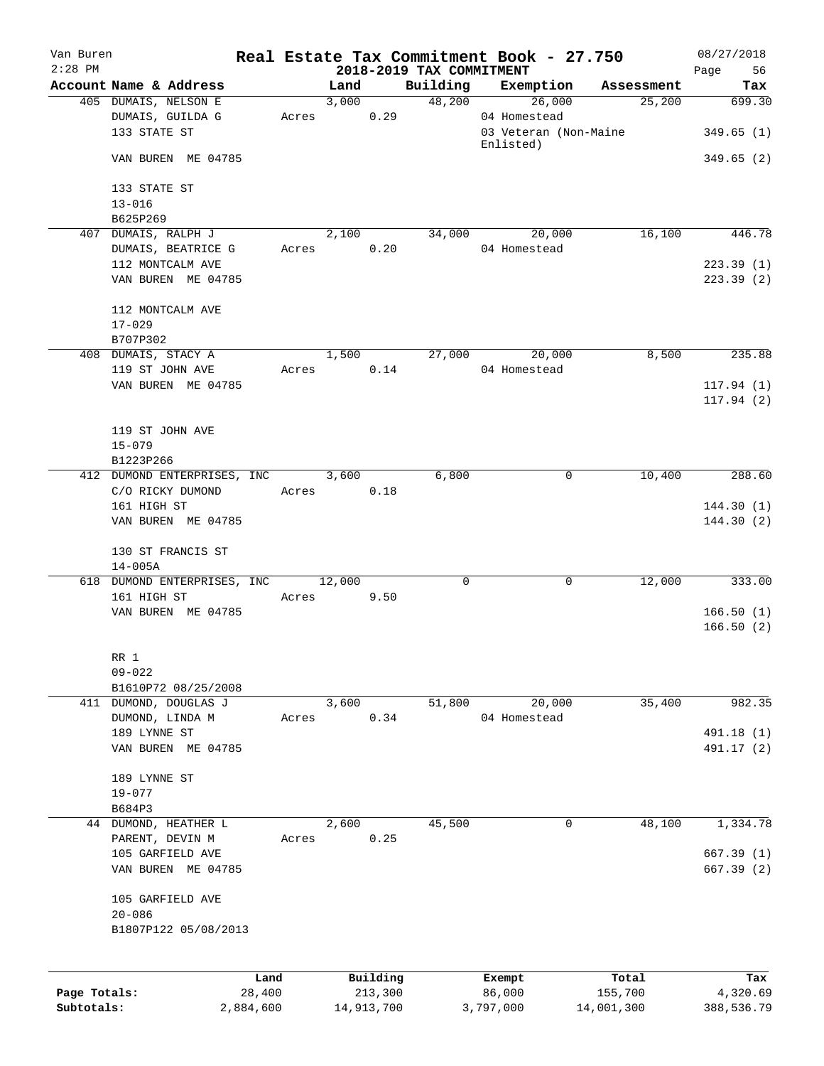| Van Buren    |                                        |       |                     |                          | Real Estate Tax Commitment Book - 27.750 |                  | 08/27/2018             |
|--------------|----------------------------------------|-------|---------------------|--------------------------|------------------------------------------|------------------|------------------------|
| $2:28$ PM    | Account Name & Address                 |       | Land                | 2018-2019 TAX COMMITMENT | Building Exemption                       | Assessment       | Page 56<br>Tax         |
|              | 405 DUMAIS, NELSON E                   |       | 3,000               |                          | 48,200<br>26,000                         | 25,200           | 699.30                 |
|              | DUMAIS, GUILDA G                       | Acres | 0.29                |                          | 04 Homestead                             |                  |                        |
|              | 133 STATE ST                           |       |                     |                          | 03 Veteran (Non-Maine<br>Enlisted)       |                  | 349.65(1)              |
|              | VAN BUREN ME 04785                     |       |                     |                          |                                          |                  | 349.65(2)              |
|              | 133 STATE ST                           |       |                     |                          |                                          |                  |                        |
|              | $13 - 016$                             |       |                     |                          |                                          |                  |                        |
|              | B625P269                               |       |                     |                          |                                          |                  |                        |
|              | 407 DUMAIS, RALPH J                    |       | 2,100               |                          | 34,000 20,000                            | 16,100           | 446.78                 |
|              | DUMAIS, BEATRICE G                     |       | 0.20<br>Acres       |                          | 04 Homestead                             |                  |                        |
|              | 112 MONTCALM AVE<br>VAN BUREN ME 04785 |       |                     |                          |                                          |                  | 223.39(1)<br>223.39(2) |
|              | 112 MONTCALM AVE                       |       |                     |                          |                                          |                  |                        |
|              | $17 - 029$                             |       |                     |                          |                                          |                  |                        |
|              | B707P302                               |       |                     |                          |                                          |                  |                        |
|              | 408 DUMAIS, STACY A                    |       | 1,500               |                          | 27,000 20,000                            | 8,500            | 235.88                 |
|              | 119 ST JOHN AVE                        |       | Acres 0.14          |                          | 04 Homestead                             |                  |                        |
|              | VAN BUREN ME 04785                     |       |                     |                          |                                          |                  | 117.94(1)              |
|              |                                        |       |                     |                          |                                          |                  | 117.94(2)              |
|              | 119 ST JOHN AVE                        |       |                     |                          |                                          |                  |                        |
|              | $15 - 079$                             |       |                     |                          |                                          |                  |                        |
|              | B1223P266                              |       |                     |                          |                                          |                  |                        |
|              | 412 DUMOND ENTERPRISES, INC            |       | 3,600               | 6,800                    | $\mathbf 0$                              | 10,400           | 288.60                 |
|              | C/O RICKY DUMOND                       |       | 0.18<br>Acres       |                          |                                          |                  |                        |
|              | 161 HIGH ST                            |       |                     |                          |                                          |                  | 144.30(1)              |
|              | VAN BUREN ME 04785                     |       |                     |                          |                                          |                  | 144.30(2)              |
|              | 130 ST FRANCIS ST                      |       |                     |                          |                                          |                  |                        |
|              | $14 - 005A$                            |       |                     |                          |                                          |                  |                        |
|              | 618 DUMOND ENTERPRISES, INC            |       | 12,000              | 0                        | 0                                        | 12,000           | 333.00                 |
|              | 161 HIGH ST                            |       | Acres 9.50          |                          |                                          |                  |                        |
|              | VAN BUREN ME 04785                     |       |                     |                          |                                          |                  | 166.50(1)              |
|              |                                        |       |                     |                          |                                          |                  | 166.50(2)              |
|              |                                        |       |                     |                          |                                          |                  |                        |
|              | RR 1<br>$09 - 022$                     |       |                     |                          |                                          |                  |                        |
|              | B1610P72 08/25/2008                    |       |                     |                          |                                          |                  |                        |
|              | 411 DUMOND, DOUGLAS J                  |       | 3,600               | 51,800                   | 20,000                                   | 35,400           | 982.35                 |
|              | DUMOND, LINDA M                        | Acres | 0.34                |                          | 04 Homestead                             |                  |                        |
|              | 189 LYNNE ST                           |       |                     |                          |                                          |                  | 491.18 (1)             |
|              | VAN BUREN ME 04785                     |       |                     |                          |                                          |                  | 491.17 (2)             |
|              |                                        |       |                     |                          |                                          |                  |                        |
|              | 189 LYNNE ST                           |       |                     |                          |                                          |                  |                        |
|              | $19 - 077$                             |       |                     |                          |                                          |                  |                        |
|              | B684P3                                 |       |                     |                          |                                          |                  |                        |
|              | 44 DUMOND, HEATHER L                   |       | 2,600               | 45,500                   | 0                                        | 48,100           | 1,334.78               |
|              | PARENT, DEVIN M                        | Acres | 0.25                |                          |                                          |                  |                        |
|              | 105 GARFIELD AVE                       |       |                     |                          |                                          |                  | 667.39(1)              |
|              | VAN BUREN ME 04785                     |       |                     |                          |                                          |                  | 667.39 (2)             |
|              | 105 GARFIELD AVE                       |       |                     |                          |                                          |                  |                        |
|              | $20 - 086$                             |       |                     |                          |                                          |                  |                        |
|              | B1807P122 05/08/2013                   |       |                     |                          |                                          |                  |                        |
|              |                                        |       |                     |                          |                                          |                  |                        |
| Page Totals: | Land<br>28,400                         |       | Building<br>213,300 |                          | Exempt<br>86,000                         | Total<br>155,700 | Tax<br>4,320.69        |
| Subtotals:   | 2,884,600                              |       | 14,913,700          |                          | 3,797,000                                | 14,001,300       | 388,536.79             |
|              |                                        |       |                     |                          |                                          |                  |                        |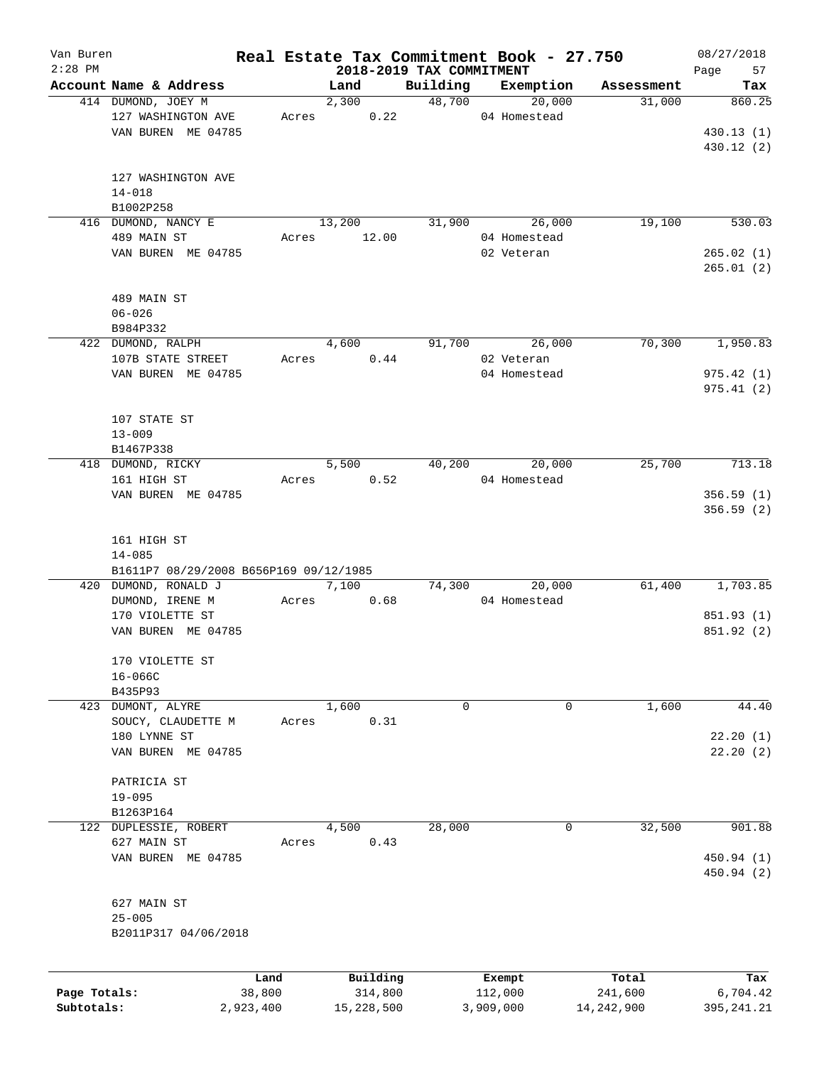| Van Buren<br>$2:28$ PM |                                        |           |       |        |            |                                      | Real Estate Tax Commitment Book - 27.750 |              | 08/27/2018        |
|------------------------|----------------------------------------|-----------|-------|--------|------------|--------------------------------------|------------------------------------------|--------------|-------------------|
|                        | Account Name & Address                 |           |       | Land   |            | 2018-2019 TAX COMMITMENT<br>Building | Exemption                                | Assessment   | 57<br>Page<br>Tax |
|                        | 414 DUMOND, JOEY M                     |           |       | 2,300  |            | 48,700                               | 20,000                                   | 31,000       | 860.25            |
|                        | 127 WASHINGTON AVE                     |           | Acres |        | 0.22       |                                      | 04 Homestead                             |              |                   |
|                        |                                        |           |       |        |            |                                      |                                          |              |                   |
|                        | VAN BUREN ME 04785                     |           |       |        |            |                                      |                                          |              | 430.13(1)         |
|                        |                                        |           |       |        |            |                                      |                                          |              | 430.12 (2)        |
|                        |                                        |           |       |        |            |                                      |                                          |              |                   |
|                        | 127 WASHINGTON AVE                     |           |       |        |            |                                      |                                          |              |                   |
|                        | $14 - 018$                             |           |       |        |            |                                      |                                          |              |                   |
|                        | B1002P258                              |           |       |        |            |                                      |                                          |              |                   |
|                        | 416 DUMOND, NANCY E                    |           |       | 13,200 |            | 31,900                               | 26,000                                   | 19,100       | 530.03            |
|                        | 489 MAIN ST                            |           | Acres |        | 12.00      |                                      | 04 Homestead                             |              |                   |
|                        | VAN BUREN ME 04785                     |           |       |        |            |                                      | 02 Veteran                               |              | 265.02(1)         |
|                        |                                        |           |       |        |            |                                      |                                          |              | 265.01(2)         |
|                        |                                        |           |       |        |            |                                      |                                          |              |                   |
|                        | 489 MAIN ST                            |           |       |        |            |                                      |                                          |              |                   |
|                        | $06 - 026$                             |           |       |        |            |                                      |                                          |              |                   |
|                        | B984P332                               |           |       |        |            |                                      |                                          |              |                   |
|                        | 422 DUMOND, RALPH                      |           |       | 4,600  |            | 91,700                               | 26,000                                   | 70,300       | 1,950.83          |
|                        | 107B STATE STREET                      |           | Acres |        | 0.44       |                                      | 02 Veteran                               |              |                   |
|                        | VAN BUREN ME 04785                     |           |       |        |            |                                      | 04 Homestead                             |              | 975.42(1)         |
|                        |                                        |           |       |        |            |                                      |                                          |              | 975.41(2)         |
|                        |                                        |           |       |        |            |                                      |                                          |              |                   |
|                        | 107 STATE ST                           |           |       |        |            |                                      |                                          |              |                   |
|                        | $13 - 009$                             |           |       |        |            |                                      |                                          |              |                   |
|                        | B1467P338                              |           |       |        |            |                                      |                                          |              |                   |
|                        | 418 DUMOND, RICKY                      |           |       | 5,500  |            | 40,200                               | 20,000                                   | 25,700       | 713.18            |
|                        | 161 HIGH ST                            |           | Acres |        | 0.52       |                                      | 04 Homestead                             |              |                   |
|                        |                                        |           |       |        |            |                                      |                                          |              |                   |
|                        | VAN BUREN ME 04785                     |           |       |        |            |                                      |                                          |              | 356.59(1)         |
|                        |                                        |           |       |        |            |                                      |                                          |              | 356.59(2)         |
|                        |                                        |           |       |        |            |                                      |                                          |              |                   |
|                        | 161 HIGH ST                            |           |       |        |            |                                      |                                          |              |                   |
|                        | $14 - 085$                             |           |       |        |            |                                      |                                          |              |                   |
|                        | B1611P7 08/29/2008 B656P169 09/12/1985 |           |       |        |            |                                      |                                          |              |                   |
|                        | 420 DUMOND, RONALD J                   |           |       | 7,100  |            | 74,300                               | 20,000                                   | 61,400       | 1,703.85          |
|                        | DUMOND, IRENE M                        |           | Acres |        | 0.68       |                                      | 04 Homestead                             |              |                   |
|                        | 170 VIOLETTE ST                        |           |       |        |            |                                      |                                          |              | 851.93 (1)        |
|                        | VAN BUREN ME 04785                     |           |       |        |            |                                      |                                          |              | 851.92 (2)        |
|                        |                                        |           |       |        |            |                                      |                                          |              |                   |
|                        | 170 VIOLETTE ST                        |           |       |        |            |                                      |                                          |              |                   |
|                        | $16 - 066C$                            |           |       |        |            |                                      |                                          |              |                   |
|                        | B435P93                                |           |       |        |            |                                      |                                          |              |                   |
|                        | 423 DUMONT, ALYRE                      |           |       | 1,600  |            | 0                                    | 0                                        | 1,600        | 44.40             |
|                        | SOUCY, CLAUDETTE M                     |           | Acres |        | 0.31       |                                      |                                          |              |                   |
|                        | 180 LYNNE ST                           |           |       |        |            |                                      |                                          |              | 22.20(1)          |
|                        | VAN BUREN ME 04785                     |           |       |        |            |                                      |                                          |              | 22.20(2)          |
|                        |                                        |           |       |        |            |                                      |                                          |              |                   |
|                        | PATRICIA ST                            |           |       |        |            |                                      |                                          |              |                   |
|                        | $19 - 095$                             |           |       |        |            |                                      |                                          |              |                   |
|                        | B1263P164                              |           |       |        |            |                                      |                                          |              |                   |
|                        | 122 DUPLESSIE, ROBERT                  |           |       | 4,500  |            | 28,000                               | 0                                        | 32,500       | 901.88            |
|                        | 627 MAIN ST                            |           | Acres |        | 0.43       |                                      |                                          |              |                   |
|                        | VAN BUREN ME 04785                     |           |       |        |            |                                      |                                          |              | 450.94 (1)        |
|                        |                                        |           |       |        |            |                                      |                                          |              | 450.94 (2)        |
|                        |                                        |           |       |        |            |                                      |                                          |              |                   |
|                        | 627 MAIN ST                            |           |       |        |            |                                      |                                          |              |                   |
|                        | $25 - 005$                             |           |       |        |            |                                      |                                          |              |                   |
|                        | B2011P317 04/06/2018                   |           |       |        |            |                                      |                                          |              |                   |
|                        |                                        |           |       |        |            |                                      |                                          |              |                   |
|                        |                                        |           |       |        |            |                                      |                                          |              |                   |
|                        |                                        | Land      |       |        | Building   |                                      | Exempt                                   | Total        | Tax               |
| Page Totals:           |                                        | 38,800    |       |        | 314,800    |                                      | 112,000                                  | 241,600      | 6,704.42          |
| Subtotals:             |                                        | 2,923,400 |       |        | 15,228,500 |                                      | 3,909,000                                | 14, 242, 900 | 395, 241.21       |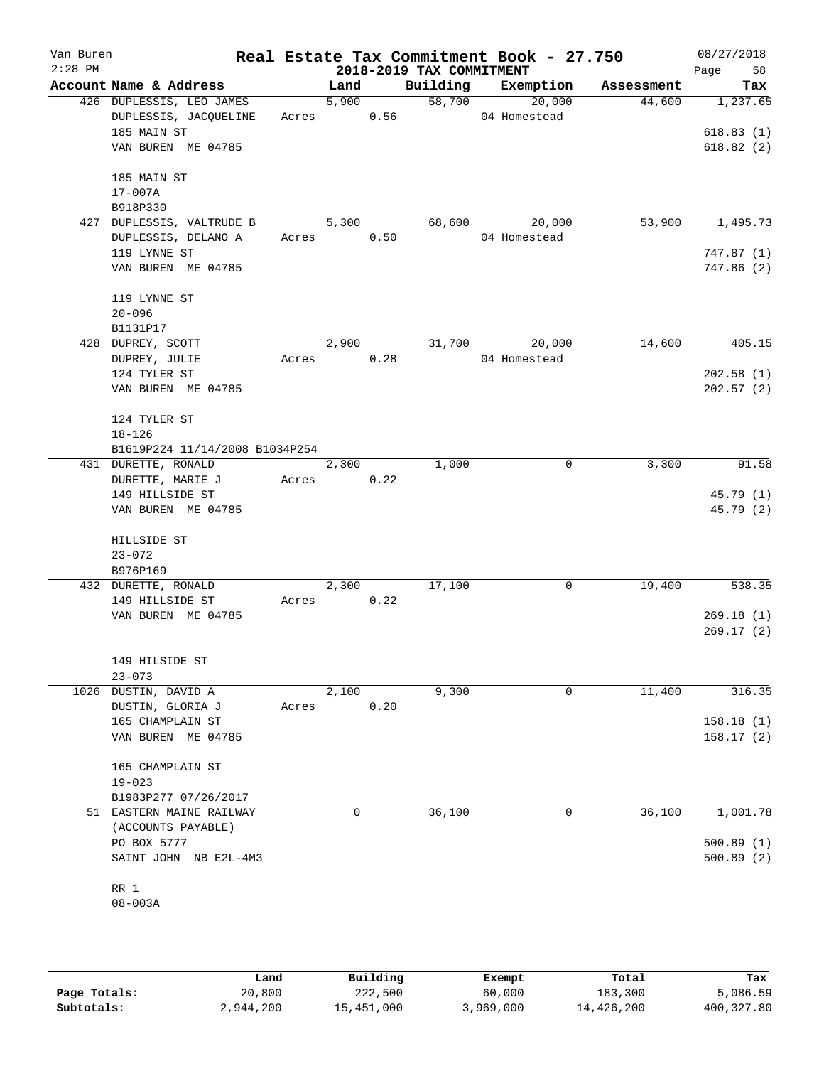| Van Buren<br>$2:28$ PM |                                |       |                    |      | 2018-2019 TAX COMMITMENT | Real Estate Tax Commitment Book - 27.750 |            | 08/27/2018<br>58<br>Page |
|------------------------|--------------------------------|-------|--------------------|------|--------------------------|------------------------------------------|------------|--------------------------|
|                        | Account Name & Address         |       | Land               |      | Building                 | Exemption                                | Assessment | Tax                      |
|                        | 426 DUPLESSIS, LEO JAMES       |       | 5,900              |      | 58,700                   | 20,000                                   | 44,600     | 1,237.65                 |
|                        | DUPLESSIS, JACQUELINE          | Acres | 0.56               |      |                          | 04 Homestead                             |            |                          |
|                        | 185 MAIN ST                    |       |                    |      |                          |                                          |            | 618.83(1)                |
|                        | VAN BUREN ME 04785             |       |                    |      |                          |                                          |            | 618.82(2)                |
|                        | 185 MAIN ST                    |       |                    |      |                          |                                          |            |                          |
|                        | 17-007A                        |       |                    |      |                          |                                          |            |                          |
|                        | B918P330                       |       |                    |      |                          |                                          |            |                          |
|                        | 427 DUPLESSIS, VALTRUDE B      |       | 5,300              |      | 68,600                   | 20,000                                   | 53,900     | 1,495.73                 |
|                        | DUPLESSIS, DELANO A            | Acres |                    | 0.50 |                          | 04 Homestead                             |            |                          |
|                        | 119 LYNNE ST                   |       |                    |      |                          |                                          |            | 747.87 (1)               |
|                        | VAN BUREN ME 04785             |       |                    |      |                          |                                          |            | 747.86 (2)               |
|                        | 119 LYNNE ST                   |       |                    |      |                          |                                          |            |                          |
|                        | $20 - 096$                     |       |                    |      |                          |                                          |            |                          |
|                        | B1131P17<br>428 DUPREY, SCOTT  |       | 2,900              |      | 31,700                   | 20,000                                   | 14,600     | 405.15                   |
|                        | DUPREY, JULIE                  | Acres |                    | 0.28 |                          | 04 Homestead                             |            |                          |
|                        | 124 TYLER ST                   |       |                    |      |                          |                                          |            | 202.58(1)                |
|                        | VAN BUREN ME 04785             |       |                    |      |                          |                                          |            | 202.57(2)                |
|                        |                                |       |                    |      |                          |                                          |            |                          |
|                        | 124 TYLER ST                   |       |                    |      |                          |                                          |            |                          |
|                        | $18 - 126$                     |       |                    |      |                          |                                          |            |                          |
|                        | B1619P224 11/14/2008 B1034P254 |       |                    |      |                          |                                          |            |                          |
|                        | 431 DURETTE, RONALD            |       | $\overline{2,300}$ |      | 1,000                    | 0                                        | 3,300      | 91.58                    |
|                        | DURETTE, MARIE J               | Acres |                    | 0.22 |                          |                                          |            |                          |
|                        | 149 HILLSIDE ST                |       |                    |      |                          |                                          |            | 45.79 (1)                |
|                        | VAN BUREN ME 04785             |       |                    |      |                          |                                          |            | 45.79 (2)                |
|                        | HILLSIDE ST                    |       |                    |      |                          |                                          |            |                          |
|                        | $23 - 072$                     |       |                    |      |                          |                                          |            |                          |
|                        | B976P169                       |       |                    |      |                          |                                          |            |                          |
|                        | 432 DURETTE, RONALD            |       | 2,300              |      | 17,100                   | 0                                        | 19,400     | 538.35                   |
|                        | 149 HILLSIDE ST                | Acres |                    | 0.22 |                          |                                          |            |                          |
|                        | VAN BUREN ME 04785             |       |                    |      |                          |                                          |            | 269.18(1)                |
|                        |                                |       |                    |      |                          |                                          |            | 269.17(2)                |
|                        | 149 HILSIDE ST                 |       |                    |      |                          |                                          |            |                          |
|                        | $23 - 073$                     |       |                    |      |                          |                                          |            |                          |
| 1026                   | DUSTIN, DAVID A                |       | 2,100              |      | 9,300                    | 0                                        | 11,400     | 316.35                   |
|                        | DUSTIN, GLORIA J               | Acres |                    | 0.20 |                          |                                          |            |                          |
|                        | 165 CHAMPLAIN ST               |       |                    |      |                          |                                          |            | 158.18(1)                |
|                        | VAN BUREN ME 04785             |       |                    |      |                          |                                          |            | 158.17(2)                |
|                        | 165 CHAMPLAIN ST               |       |                    |      |                          |                                          |            |                          |
|                        | $19 - 023$                     |       |                    |      |                          |                                          |            |                          |
|                        | B1983P277 07/26/2017           |       |                    |      |                          |                                          |            |                          |
|                        | 51 EASTERN MAINE RAILWAY       |       | 0                  |      | 36,100                   | 0                                        | 36,100     | 1,001.78                 |
|                        | (ACCOUNTS PAYABLE)             |       |                    |      |                          |                                          |            |                          |
|                        | PO BOX 5777                    |       |                    |      |                          |                                          |            | 500.89(1)                |
|                        | SAINT JOHN NB E2L-4M3          |       |                    |      |                          |                                          |            | 500.89(2)                |
|                        | RR 1                           |       |                    |      |                          |                                          |            |                          |
|                        | $08 - 003A$                    |       |                    |      |                          |                                          |            |                          |
|                        |                                |       |                    |      |                          |                                          |            |                          |

|              | Land      | Building   | Exempt    | Total      | Tax        |
|--------------|-----------|------------|-----------|------------|------------|
| Page Totals: | 20,800    | 222,500    | 60,000    | 183,300    | 5,086.59   |
| Subtotals:   | 2,944,200 | 15,451,000 | 3,969,000 | 14,426,200 | 400,327.80 |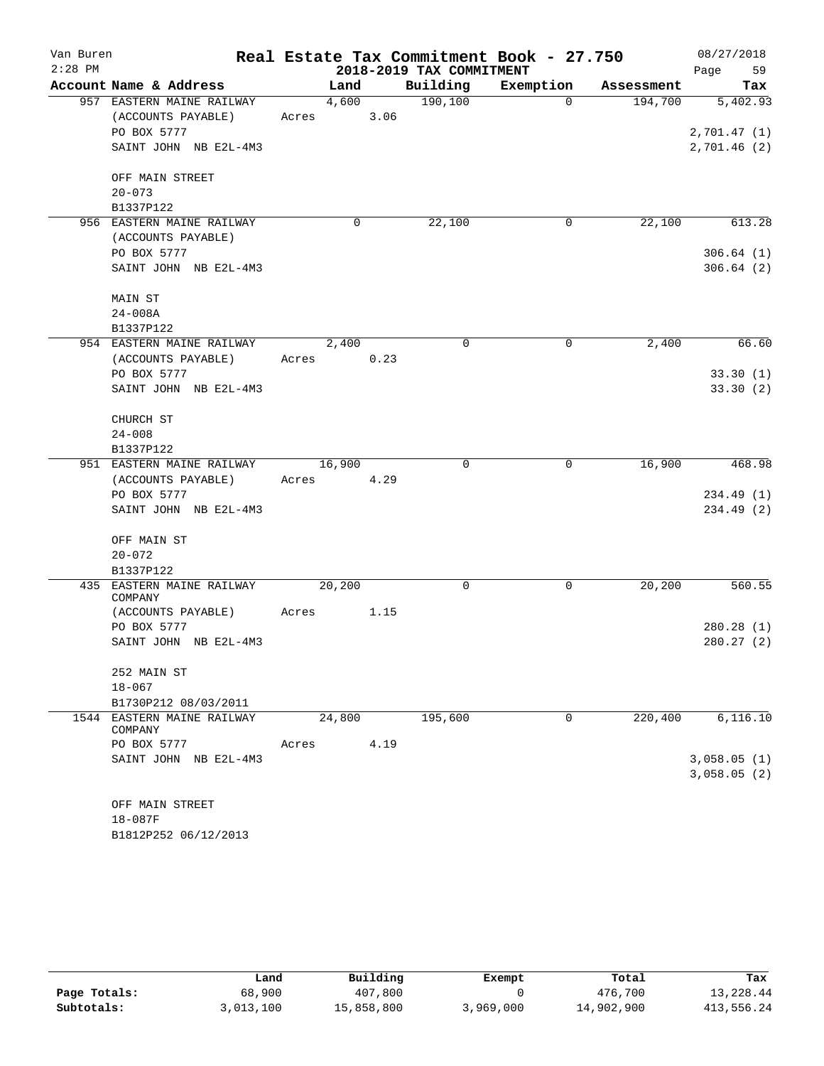| Van Buren |                                       |        | Real Estate Tax Commitment Book - 27.750 |           |            | 08/27/2018  |
|-----------|---------------------------------------|--------|------------------------------------------|-----------|------------|-------------|
| $2:28$ PM |                                       |        | 2018-2019 TAX COMMITMENT                 |           |            | 59<br>Page  |
|           | Account Name & Address                | Land   | Building                                 | Exemption | Assessment | Tax         |
|           | 957 EASTERN MAINE RAILWAY             | 4,600  | 190, 100                                 | $\Omega$  | 194,700    | 5,402.93    |
|           | (ACCOUNTS PAYABLE)                    | Acres  | 3.06                                     |           |            |             |
|           | PO BOX 5777                           |        |                                          |           |            | 2,701.47(1) |
|           | SAINT JOHN NB E2L-4M3                 |        |                                          |           |            | 2,701.46(2) |
|           | OFF MAIN STREET                       |        |                                          |           |            |             |
|           | $20 - 073$                            |        |                                          |           |            |             |
|           | B1337P122                             |        |                                          |           |            |             |
|           | 956 EASTERN MAINE RAILWAY             | 0      | 22,100                                   | 0         | 22,100     | 613.28      |
|           | (ACCOUNTS PAYABLE)                    |        |                                          |           |            |             |
|           | PO BOX 5777                           |        |                                          |           |            | 306.64(1)   |
|           | SAINT JOHN NB E2L-4M3                 |        |                                          |           |            | 306.64(2)   |
|           | MAIN ST                               |        |                                          |           |            |             |
|           | $24 - 008A$                           |        |                                          |           |            |             |
|           | B1337P122                             |        |                                          |           |            |             |
|           | 954 EASTERN MAINE RAILWAY             | 2,400  | 0                                        | 0         | 2,400      | 66.60       |
|           | (ACCOUNTS PAYABLE)                    | Acres  | 0.23                                     |           |            |             |
|           | PO BOX 5777                           |        |                                          |           |            | 33.30(1)    |
|           | SAINT JOHN NB E2L-4M3                 |        |                                          |           |            | 33.30(2)    |
|           | CHURCH ST                             |        |                                          |           |            |             |
|           | $24 - 008$                            |        |                                          |           |            |             |
|           | B1337P122                             |        |                                          |           |            |             |
|           | 951 EASTERN MAINE RAILWAY             | 16,900 | 0                                        | 0         | 16,900     | 468.98      |
|           | (ACCOUNTS PAYABLE)                    | Acres  | 4.29                                     |           |            |             |
|           | PO BOX 5777                           |        |                                          |           |            | 234.49 (1)  |
|           | SAINT JOHN NB E2L-4M3                 |        |                                          |           |            | 234.49 (2)  |
|           | OFF MAIN ST                           |        |                                          |           |            |             |
|           | $20 - 072$                            |        |                                          |           |            |             |
|           | B1337P122                             |        |                                          |           |            |             |
|           | 435 EASTERN MAINE RAILWAY             | 20,200 | 0                                        | 0         | 20,200     | 560.55      |
|           | COMPANY                               |        |                                          |           |            |             |
|           | (ACCOUNTS PAYABLE)                    | Acres  | 1.15                                     |           |            |             |
|           | PO BOX 5777                           |        |                                          |           |            | 280.28(1)   |
|           | SAINT JOHN NB E2L-4M3                 |        |                                          |           |            | 280.27(2)   |
|           | 252 MAIN ST                           |        |                                          |           |            |             |
|           | $18 - 067$                            |        |                                          |           |            |             |
|           | B1730P212 08/03/2011                  |        |                                          |           |            |             |
|           | 1544 EASTERN MAINE RAILWAY<br>COMPANY | 24,800 | 195,600                                  | 0         | 220,400    | 6, 116.10   |
|           | PO BOX 5777                           | Acres  | 4.19                                     |           |            |             |
|           | SAINT JOHN NB E2L-4M3                 |        |                                          |           |            | 3,058.05(1) |
|           |                                       |        |                                          |           |            | 3,058.05(2) |
|           | OFF MAIN STREET                       |        |                                          |           |            |             |
|           | 18-087F                               |        |                                          |           |            |             |
|           | B1812P252 06/12/2013                  |        |                                          |           |            |             |

|              | Land      | Building   | Exempt    | Total      | Tax        |
|--------------|-----------|------------|-----------|------------|------------|
| Page Totals: | 68,900    | 407,800    |           | 476,700    | 13,228.44  |
| Subtotals:   | 3,013,100 | 15,858,800 | 3,969,000 | 14,902,900 | 413,556.24 |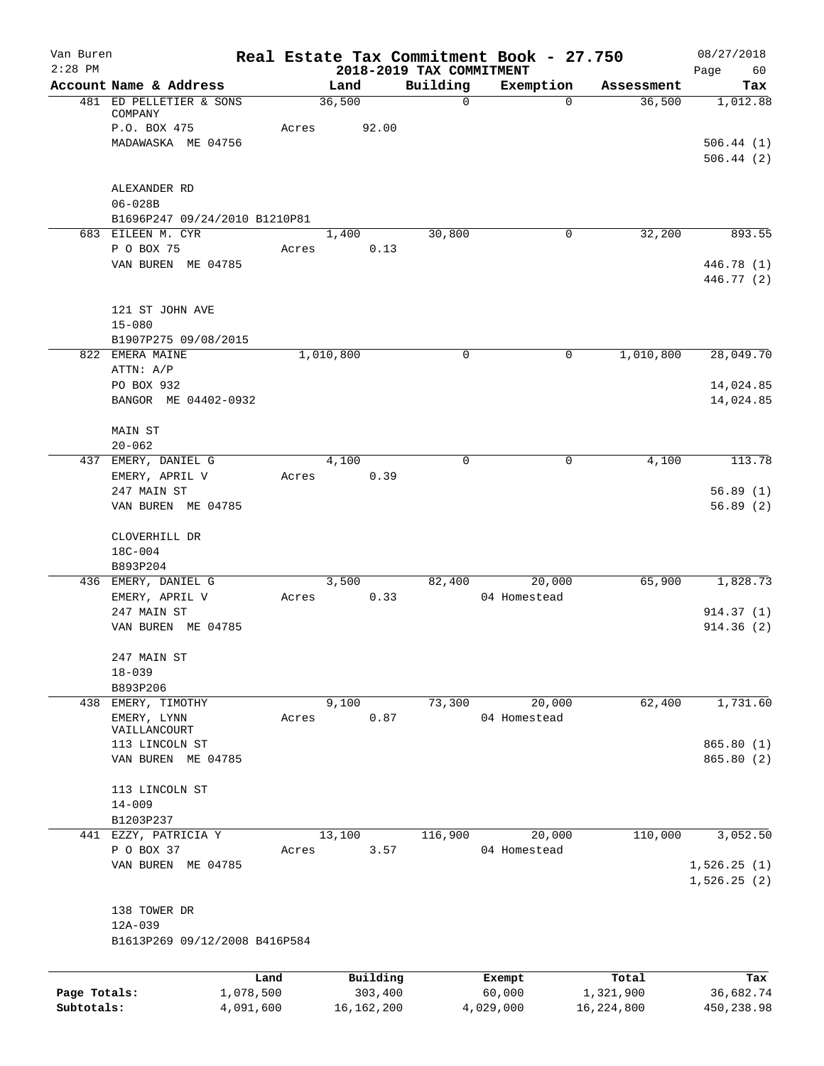| Van Buren    |                                         |           |               |                                      | Real Estate Tax Commitment Book - 27.750 |              | 08/27/2018                 |
|--------------|-----------------------------------------|-----------|---------------|--------------------------------------|------------------------------------------|--------------|----------------------------|
| $2:28$ PM    | Account Name & Address                  |           | Land          | 2018-2019 TAX COMMITMENT<br>Building | Exemption                                | Assessment   | Page<br>60<br>Tax          |
|              | 481 ED PELLETIER & SONS                 |           | 36,500        | 0                                    | $\Omega$                                 | 36,500       | 1,012.88                   |
|              | COMPANY                                 |           |               |                                      |                                          |              |                            |
|              | P.O. BOX 475                            | Acres     | 92.00         |                                      |                                          |              |                            |
|              | MADAWASKA ME 04756                      |           |               |                                      |                                          |              | 506.44(1)<br>506.44(2)     |
|              |                                         |           |               |                                      |                                          |              |                            |
|              | ALEXANDER RD                            |           |               |                                      |                                          |              |                            |
|              | $06 - 028B$                             |           |               |                                      |                                          |              |                            |
|              | B1696P247 09/24/2010 B1210P81           |           |               |                                      |                                          |              |                            |
|              | 683 EILEEN M. CYR                       |           | 1,400         | 30,800                               | 0                                        | 32,200       | 893.55                     |
|              | P O BOX 75<br>VAN BUREN ME 04785        | Acres     | 0.13          |                                      |                                          |              | 446.78 (1)                 |
|              |                                         |           |               |                                      |                                          |              | 446.77 (2)                 |
|              | 121 ST JOHN AVE                         |           |               |                                      |                                          |              |                            |
|              | $15 - 080$                              |           |               |                                      |                                          |              |                            |
|              | B1907P275 09/08/2015<br>822 EMERA MAINE |           | 1,010,800     | 0                                    | 0                                        | 1,010,800    | 28,049.70                  |
|              | ATTN: A/P                               |           |               |                                      |                                          |              |                            |
|              | PO BOX 932                              |           |               |                                      |                                          |              | 14,024.85                  |
|              | BANGOR ME 04402-0932                    |           |               |                                      |                                          |              | 14,024.85                  |
|              | <b>MAIN ST</b>                          |           |               |                                      |                                          |              |                            |
|              | $20 - 062$                              |           |               |                                      |                                          |              |                            |
|              | 437 EMERY, DANIEL G<br>EMERY, APRIL V   | Acres     | 4,100<br>0.39 | $\Omega$                             | 0                                        | 4,100        | 113.78                     |
|              | 247 MAIN ST                             |           |               |                                      |                                          |              | 56.89(1)                   |
|              | VAN BUREN ME 04785                      |           |               |                                      |                                          |              | 56.89(2)                   |
|              | CLOVERHILL DR                           |           |               |                                      |                                          |              |                            |
|              | 18C-004                                 |           |               |                                      |                                          |              |                            |
|              | B893P204                                |           |               |                                      |                                          | 65,900       |                            |
|              | 436 EMERY, DANIEL G<br>EMERY, APRIL V   | Acres     | 3,500<br>0.33 | 82,400                               | 20,000<br>04 Homestead                   |              | 1,828.73                   |
|              | 247 MAIN ST                             |           |               |                                      |                                          |              | 914.37(1)                  |
|              | VAN BUREN ME 04785                      |           |               |                                      |                                          |              | 914.36(2)                  |
|              | 247 MAIN ST                             |           |               |                                      |                                          |              |                            |
|              | $18 - 039$                              |           |               |                                      |                                          |              |                            |
|              | B893P206                                |           |               |                                      |                                          |              |                            |
|              | 438 EMERY, TIMOTHY                      |           | 9,100         | 73,300                               | 20,000                                   | 62,400       | 1,731.60                   |
|              | EMERY, LYNN<br>VAILLANCOURT             | Acres     | 0.87          |                                      | 04 Homestead                             |              |                            |
|              | 113 LINCOLN ST                          |           |               |                                      |                                          |              | 865.80 (1)                 |
|              | VAN BUREN ME 04785                      |           |               |                                      |                                          |              | 865.80 (2)                 |
|              | 113 LINCOLN ST                          |           |               |                                      |                                          |              |                            |
|              | $14 - 009$                              |           |               |                                      |                                          |              |                            |
|              | B1203P237                               |           |               |                                      |                                          |              |                            |
|              | 441 EZZY, PATRICIA Y                    |           | 13,100        | 116,900                              | 20,000                                   | 110,000      | 3,052.50                   |
|              | P O BOX 37<br>VAN BUREN ME 04785        | Acres     | 3.57          |                                      | 04 Homestead                             |              |                            |
|              |                                         |           |               |                                      |                                          |              | 1,526.25(1)<br>1,526.25(2) |
|              | 138 TOWER DR                            |           |               |                                      |                                          |              |                            |
|              | 12A-039                                 |           |               |                                      |                                          |              |                            |
|              | B1613P269 09/12/2008 B416P584           |           |               |                                      |                                          |              |                            |
|              |                                         | Land      | Building      |                                      | Exempt                                   | Total        | Tax                        |
| Page Totals: |                                         | 1,078,500 | 303,400       |                                      | 60,000                                   | 1,321,900    | 36,682.74                  |
| Subtotals:   |                                         | 4,091,600 | 16, 162, 200  |                                      | 4,029,000                                | 16, 224, 800 | 450,238.98                 |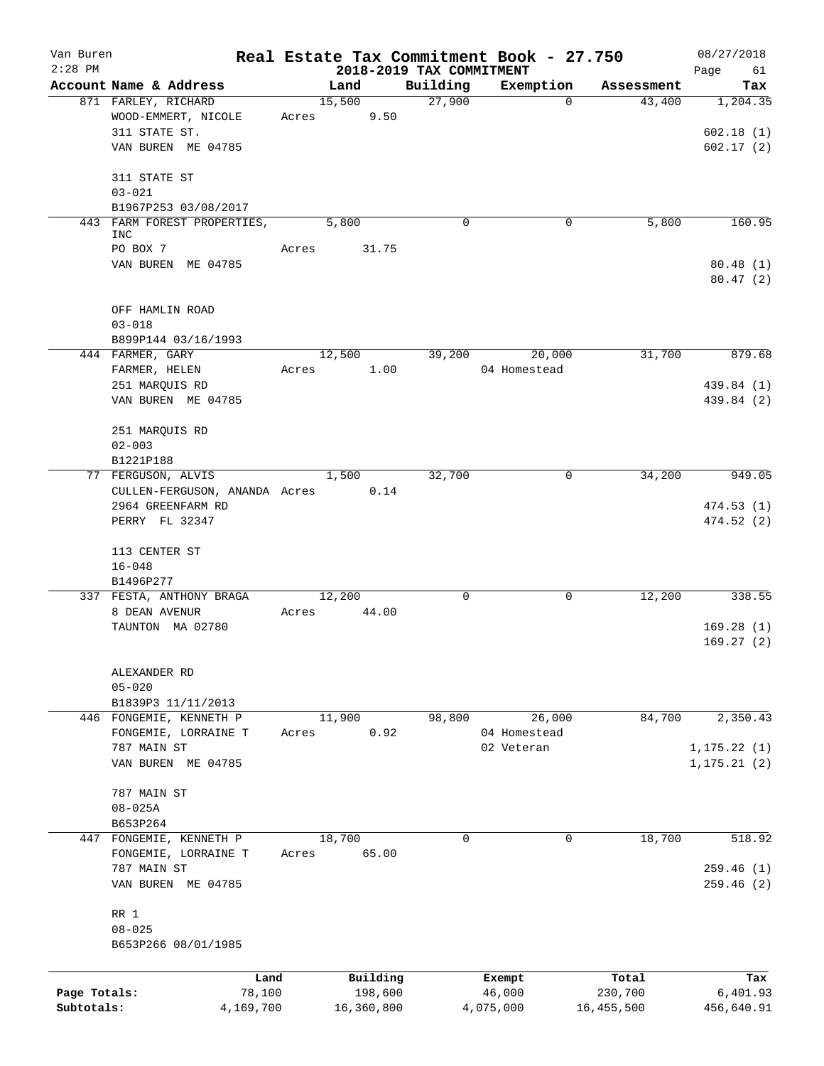| Van Buren<br>$2:28$ PM |                                   | Real Estate Tax Commitment Book - 27.750 | 2018-2019 TAX COMMITMENT |              |            | 08/27/2018<br>Page<br>61     |
|------------------------|-----------------------------------|------------------------------------------|--------------------------|--------------|------------|------------------------------|
|                        | Account Name & Address            | Land                                     | Building                 | Exemption    | Assessment | Tax                          |
|                        | 871 FARLEY, RICHARD               | 15,500                                   | 27,900                   | $\Omega$     | 43,400     | 1,204.35                     |
|                        | WOOD-EMMERT, NICOLE               | 9.50<br>Acres                            |                          |              |            |                              |
|                        | 311 STATE ST.                     |                                          |                          |              |            | 602.18(1)                    |
|                        | VAN BUREN ME 04785                |                                          |                          |              |            | 602.17(2)                    |
|                        | 311 STATE ST                      |                                          |                          |              |            |                              |
|                        | $03 - 021$                        |                                          |                          |              |            |                              |
|                        | B1967P253 03/08/2017              |                                          |                          |              |            |                              |
|                        | 443 FARM FOREST PROPERTIES,       | 5,800                                    | 0                        | 0            | 5,800      | 160.95                       |
|                        | <b>INC</b>                        |                                          |                          |              |            |                              |
|                        | PO BOX 7                          | Acres<br>31.75                           |                          |              |            |                              |
|                        | VAN BUREN ME 04785                |                                          |                          |              |            | 80.48(1)<br>80.47(2)         |
|                        | OFF HAMLIN ROAD                   |                                          |                          |              |            |                              |
|                        | $03 - 018$                        |                                          |                          |              |            |                              |
|                        | B899P144 03/16/1993               |                                          |                          |              |            |                              |
|                        | 444 FARMER, GARY                  | 12,500                                   | 39,200                   | 20,000       | 31,700     | 879.68                       |
|                        | FARMER, HELEN                     | 1.00<br>Acres                            |                          | 04 Homestead |            |                              |
|                        | 251 MARQUIS RD                    |                                          |                          |              |            | 439.84 (1)                   |
|                        | VAN BUREN ME 04785                |                                          |                          |              |            | 439.84 (2)                   |
|                        | 251 MARQUIS RD                    |                                          |                          |              |            |                              |
|                        | $02 - 003$                        |                                          |                          |              |            |                              |
|                        | B1221P188                         |                                          |                          |              |            |                              |
|                        | 77 FERGUSON, ALVIS                | 1,500                                    | 32,700                   | 0            | 34,200     | 949.05                       |
|                        | CULLEN-FERGUSON, ANANDA Acres     | 0.14                                     |                          |              |            |                              |
|                        | 2964 GREENFARM RD                 |                                          |                          |              |            | 474.53(1)                    |
|                        | PERRY FL 32347                    |                                          |                          |              |            | 474.52(2)                    |
|                        | 113 CENTER ST                     |                                          |                          |              |            |                              |
|                        | $16 - 048$                        |                                          |                          |              |            |                              |
|                        | B1496P277                         |                                          |                          |              |            |                              |
|                        | 337 FESTA, ANTHONY BRAGA          | 12,200                                   | 0                        | 0            | 12,200     | 338.55                       |
|                        | 8 DEAN AVENUR                     | 44.00<br>Acres                           |                          |              |            |                              |
|                        | TAUNTON MA 02780                  |                                          |                          |              |            | 169.28(1)<br>169.27(2)       |
|                        |                                   |                                          |                          |              |            |                              |
|                        | ALEXANDER RD                      |                                          |                          |              |            |                              |
|                        | $05 - 020$                        |                                          |                          |              |            |                              |
|                        | B1839P3 11/11/2013                |                                          |                          |              |            |                              |
|                        | 446 FONGEMIE, KENNETH P           | 11,900                                   | 98,800                   | 26,000       | 84,700     | 2,350.43                     |
|                        | FONGEMIE, LORRAINE T              | 0.92<br>Acres                            |                          | 04 Homestead |            |                              |
|                        | 787 MAIN ST<br>VAN BUREN ME 04785 |                                          |                          | 02 Veteran   |            | 1, 175.22(1)<br>1, 175.21(2) |
|                        | 787 MAIN ST                       |                                          |                          |              |            |                              |
|                        | $08 - 025A$                       |                                          |                          |              |            |                              |
|                        | B653P264                          |                                          |                          |              |            |                              |
|                        | 447 FONGEMIE, KENNETH P           | 18,700                                   | $\mathbf 0$              | 0            | 18,700     | 518.92                       |
|                        | FONGEMIE, LORRAINE T              | 65.00<br>Acres                           |                          |              |            |                              |
|                        | 787 MAIN ST                       |                                          |                          |              |            | 259.46(1)                    |
|                        | VAN BUREN ME 04785                |                                          |                          |              |            | 259.46(2)                    |
|                        | RR 1                              |                                          |                          |              |            |                              |
|                        | $08 - 025$                        |                                          |                          |              |            |                              |
|                        | B653P266 08/01/1985               |                                          |                          |              |            |                              |
|                        | Land                              | Building                                 |                          | Exempt       | Total      | Tax                          |
| Page Totals:           | 78,100                            | 198,600                                  |                          | 46,000       | 230,700    | 6,401.93                     |
| Subtotals:             | 4,169,700                         | 16,360,800                               |                          | 4,075,000    | 16,455,500 | 456,640.91                   |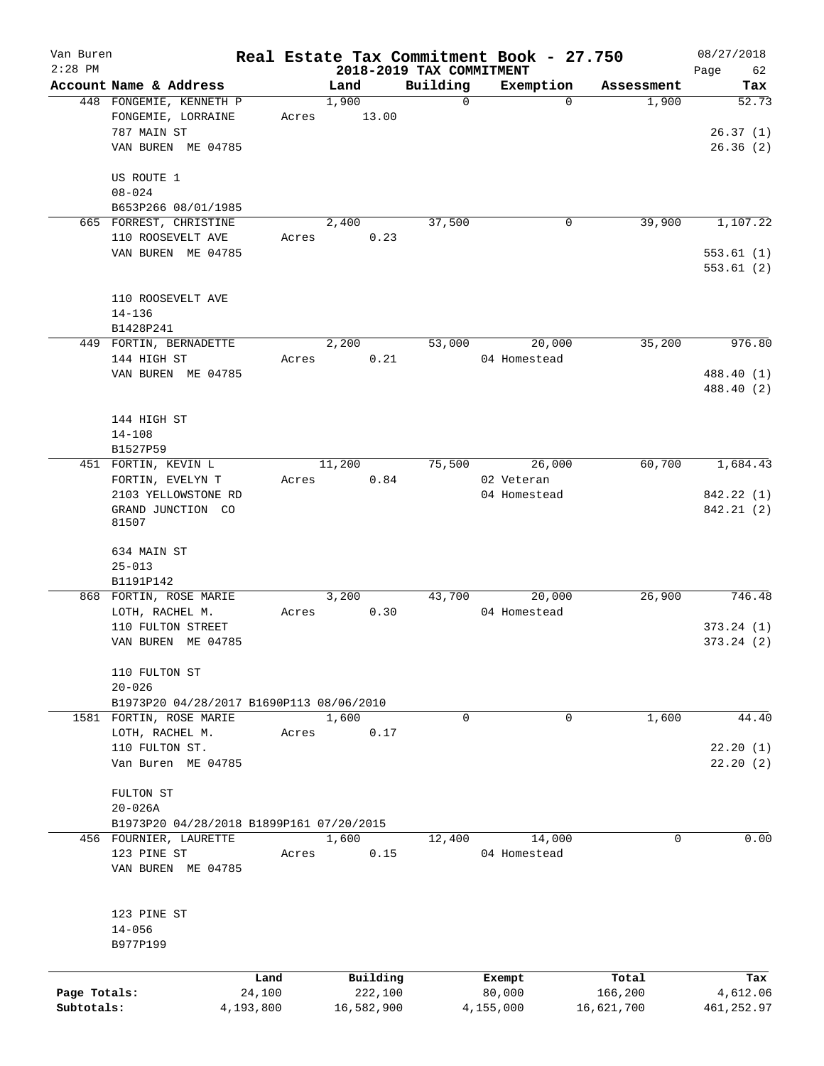| Van Buren<br>$2:28$ PM |                                                                     |           |            | 2018-2019 TAX COMMITMENT | Real Estate Tax Commitment Book - 27.750 |            | 08/27/2018           |
|------------------------|---------------------------------------------------------------------|-----------|------------|--------------------------|------------------------------------------|------------|----------------------|
|                        | Account Name & Address                                              |           | Land       | Building                 | Exemption                                | Assessment | 62<br>Page<br>Tax    |
|                        | 448 FONGEMIE, KENNETH P                                             |           | 1,900      | $\mathbf 0$              | $\Omega$                                 | 1,900      | 52.73                |
|                        | FONGEMIE, LORRAINE                                                  | Acres     | 13.00      |                          |                                          |            |                      |
|                        | 787 MAIN ST                                                         |           |            |                          |                                          |            | 26.37(1)             |
|                        | VAN BUREN ME 04785                                                  |           |            |                          |                                          |            | 26.36(2)             |
|                        |                                                                     |           |            |                          |                                          |            |                      |
|                        | US ROUTE 1                                                          |           |            |                          |                                          |            |                      |
|                        | $08 - 024$                                                          |           |            |                          |                                          |            |                      |
|                        | B653P266 08/01/1985                                                 |           |            |                          |                                          |            |                      |
|                        | 665 FORREST, CHRISTINE                                              |           | 2,400      | 37,500                   | 0                                        | 39,900     | 1,107.22             |
|                        | 110 ROOSEVELT AVE                                                   | Acres     | 0.23       |                          |                                          |            |                      |
|                        | VAN BUREN ME 04785                                                  |           |            |                          |                                          |            | 553.61(1)            |
|                        |                                                                     |           |            |                          |                                          |            | 553.61(2)            |
|                        |                                                                     |           |            |                          |                                          |            |                      |
|                        | 110 ROOSEVELT AVE                                                   |           |            |                          |                                          |            |                      |
|                        | $14 - 136$                                                          |           |            |                          |                                          |            |                      |
|                        | B1428P241                                                           |           |            |                          |                                          |            |                      |
|                        | 449 FORTIN, BERNADETTE                                              |           | 2,200      | 53,000                   | 20,000                                   | 35,200     | 976.80               |
|                        | 144 HIGH ST                                                         | Acres     | 0.21       |                          | 04 Homestead                             |            |                      |
|                        | VAN BUREN ME 04785                                                  |           |            |                          |                                          |            | 488.40 (1)           |
|                        |                                                                     |           |            |                          |                                          |            | 488.40 (2)           |
|                        |                                                                     |           |            |                          |                                          |            |                      |
|                        | 144 HIGH ST                                                         |           |            |                          |                                          |            |                      |
|                        | $14 - 108$                                                          |           |            |                          |                                          |            |                      |
|                        | B1527P59                                                            |           |            |                          |                                          |            |                      |
|                        | 451 FORTIN, KEVIN L                                                 |           | 11,200     | 75,500                   | 26,000                                   | 60,700     | 1,684.43             |
|                        | FORTIN, EVELYN T                                                    | Acres     | 0.84       |                          | 02 Veteran                               |            |                      |
|                        | 2103 YELLOWSTONE RD                                                 |           |            |                          | 04 Homestead                             |            | 842.22 (1)           |
|                        | GRAND JUNCTION CO                                                   |           |            |                          |                                          |            | 842.21 (2)           |
|                        | 81507                                                               |           |            |                          |                                          |            |                      |
|                        |                                                                     |           |            |                          |                                          |            |                      |
|                        | 634 MAIN ST                                                         |           |            |                          |                                          |            |                      |
|                        | $25 - 013$                                                          |           |            |                          |                                          |            |                      |
|                        | B1191P142                                                           |           |            |                          |                                          |            |                      |
|                        | 868 FORTIN, ROSE MARIE                                              |           | 3,200      | 43,700                   | 20,000                                   | 26,900     | 746.48               |
|                        | LOTH, RACHEL M.                                                     | Acres     | 0.30       |                          | 04 Homestead                             |            |                      |
|                        | 110 FULTON STREET                                                   |           |            |                          |                                          |            | 373.24(1)            |
|                        | VAN BUREN ME 04785                                                  |           |            |                          |                                          |            | 373.24(2)            |
|                        |                                                                     |           |            |                          |                                          |            |                      |
|                        | 110 FULTON ST                                                       |           |            |                          |                                          |            |                      |
|                        | $20 - 026$                                                          |           |            |                          |                                          |            |                      |
|                        | B1973P20 04/28/2017 B1690P113 08/06/2010<br>1581 FORTIN, ROSE MARIE |           | 1,600      | $\mathbf 0$              | 0                                        |            | 44.40                |
|                        |                                                                     |           |            |                          |                                          | 1,600      |                      |
|                        | LOTH, RACHEL M.<br>110 FULTON ST.                                   | Acres     | 0.17       |                          |                                          |            |                      |
|                        | Van Buren ME 04785                                                  |           |            |                          |                                          |            | 22.20(1)<br>22.20(2) |
|                        |                                                                     |           |            |                          |                                          |            |                      |
|                        | FULTON ST                                                           |           |            |                          |                                          |            |                      |
|                        | $20 - 026A$                                                         |           |            |                          |                                          |            |                      |
|                        | B1973P20 04/28/2018 B1899P161 07/20/2015                            |           |            |                          |                                          |            |                      |
|                        | 456 FOURNIER, LAURETTE                                              |           | 1,600      | 12,400                   | 14,000                                   | 0          | 0.00                 |
|                        | 123 PINE ST                                                         | Acres     | 0.15       |                          | 04 Homestead                             |            |                      |
|                        | VAN BUREN ME 04785                                                  |           |            |                          |                                          |            |                      |
|                        |                                                                     |           |            |                          |                                          |            |                      |
|                        |                                                                     |           |            |                          |                                          |            |                      |
|                        | 123 PINE ST                                                         |           |            |                          |                                          |            |                      |
|                        | $14 - 056$                                                          |           |            |                          |                                          |            |                      |
|                        | B977P199                                                            |           |            |                          |                                          |            |                      |
|                        |                                                                     |           |            |                          |                                          |            |                      |
|                        |                                                                     | Land      | Building   |                          | Exempt                                   | Total      | Tax                  |
| Page Totals:           |                                                                     | 24,100    | 222,100    |                          | 80,000                                   | 166,200    | 4,612.06             |
| Subtotals:             |                                                                     | 4,193,800 | 16,582,900 |                          | 4,155,000                                | 16,621,700 | 461, 252.97          |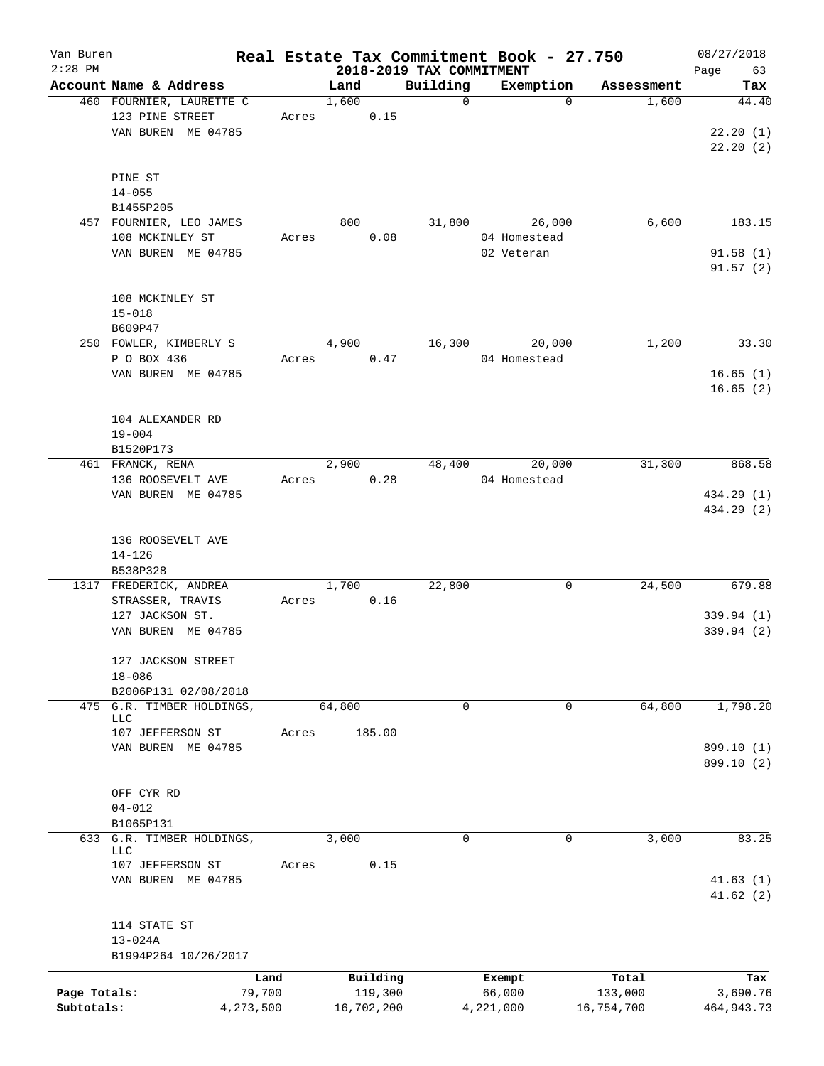| Van Buren    |                                             |       |                                  |              | Real Estate Tax Commitment Book - 27.750 |            | 08/27/2018           |
|--------------|---------------------------------------------|-------|----------------------------------|--------------|------------------------------------------|------------|----------------------|
| $2:28$ PM    | Account Name & Address                      |       | 2018-2019 TAX COMMITMENT<br>Land | Building     | Exemption                                | Assessment | 63<br>Page<br>Tax    |
|              | 460 FOURNIER, LAURETTE C<br>123 PINE STREET |       | 1,600                            | $\mathsf{O}$ | $\Omega$                                 | 1,600      | 44.40                |
|              | VAN BUREN ME 04785                          | Acres | 0.15                             |              |                                          |            | 22.20(1)<br>22.20(2) |
|              | PINE ST                                     |       |                                  |              |                                          |            |                      |
|              | $14 - 055$<br>B1455P205                     |       |                                  |              |                                          |            |                      |
|              | 457 FOURNIER, LEO JAMES                     |       | 800                              | 31,800       | 26,000                                   | 6,600      | 183.15               |
|              | 108 MCKINLEY ST                             | Acres | 0.08                             |              | 04 Homestead                             |            |                      |
|              | VAN BUREN ME 04785                          |       |                                  |              | 02 Veteran                               |            | 91.58(1)             |
|              |                                             |       |                                  |              |                                          |            | 91.57(2)             |
|              | 108 MCKINLEY ST                             |       |                                  |              |                                          |            |                      |
|              | $15 - 018$                                  |       |                                  |              |                                          |            |                      |
|              | B609P47                                     |       |                                  |              |                                          |            |                      |
|              | 250 FOWLER, KIMBERLY S                      |       | 4,900                            | 16,300       | 20,000                                   | 1,200      | 33.30                |
|              | P O BOX 436                                 | Acres | 0.47                             |              | 04 Homestead                             |            |                      |
|              | VAN BUREN ME 04785                          |       |                                  |              |                                          |            | 16.65(1)             |
|              |                                             |       |                                  |              |                                          |            | 16.65(2)             |
|              | 104 ALEXANDER RD                            |       |                                  |              |                                          |            |                      |
|              | $19 - 004$                                  |       |                                  |              |                                          |            |                      |
|              | B1520P173                                   |       |                                  |              |                                          |            |                      |
|              | 461 FRANCK, RENA                            |       | 2,900                            | 48,400       | 20,000                                   | 31,300     | 868.58               |
|              | 136 ROOSEVELT AVE                           | Acres | 0.28                             |              | 04 Homestead                             |            |                      |
|              | VAN BUREN ME 04785                          |       |                                  |              |                                          |            | 434.29 (1)           |
|              |                                             |       |                                  |              |                                          |            | 434.29 (2)           |
|              | 136 ROOSEVELT AVE                           |       |                                  |              |                                          |            |                      |
|              | $14 - 126$                                  |       |                                  |              |                                          |            |                      |
|              | B538P328                                    |       |                                  |              |                                          |            |                      |
|              | 1317 FREDERICK, ANDREA                      |       | 1,700                            | 22,800       | 0                                        | 24,500     | 679.88               |
|              | STRASSER, TRAVIS                            | Acres | 0.16                             |              |                                          |            |                      |
|              | 127 JACKSON ST.                             |       |                                  |              |                                          |            | 339.94 (1)           |
|              | VAN BUREN ME 04785                          |       |                                  |              |                                          |            | 339.94 (2)           |
|              | 127 JACKSON STREET                          |       |                                  |              |                                          |            |                      |
|              | $18 - 086$                                  |       |                                  |              |                                          |            |                      |
|              | B2006P131 02/08/2018                        |       |                                  |              |                                          |            |                      |
| 475          | G.R. TIMBER HOLDINGS,<br>LLC                |       | 64,800                           | 0            | $\mathbf 0$                              | 64,800     | 1,798.20             |
|              | 107 JEFFERSON ST                            | Acres | 185.00                           |              |                                          |            |                      |
|              | VAN BUREN ME 04785                          |       |                                  |              |                                          |            | 899.10 (1)           |
|              |                                             |       |                                  |              |                                          |            | 899.10 (2)           |
|              | OFF CYR RD                                  |       |                                  |              |                                          |            |                      |
|              | $04 - 012$                                  |       |                                  |              |                                          |            |                      |
|              | B1065P131                                   |       |                                  |              |                                          |            |                      |
|              | 633 G.R. TIMBER HOLDINGS,                   |       | 3,000                            | $\mathbf 0$  | 0                                        | 3,000      | 83.25                |
|              | <b>LLC</b><br>107 JEFFERSON ST              | Acres | 0.15                             |              |                                          |            |                      |
|              | VAN BUREN ME 04785                          |       |                                  |              |                                          |            | 41.63(1)             |
|              |                                             |       |                                  |              |                                          |            | 41.62(2)             |
|              | 114 STATE ST                                |       |                                  |              |                                          |            |                      |
|              | $13 - 024A$                                 |       |                                  |              |                                          |            |                      |
|              | B1994P264 10/26/2017                        |       |                                  |              |                                          |            |                      |
|              | Land                                        |       | Building                         |              | Exempt                                   | Total      | Tax                  |
| Page Totals: | 79,700                                      |       | 119,300                          |              | 66,000                                   | 133,000    | 3,690.76             |
| Subtotals:   | 4,273,500                                   |       | 16,702,200                       |              | 4,221,000                                | 16,754,700 | 464, 943. 73         |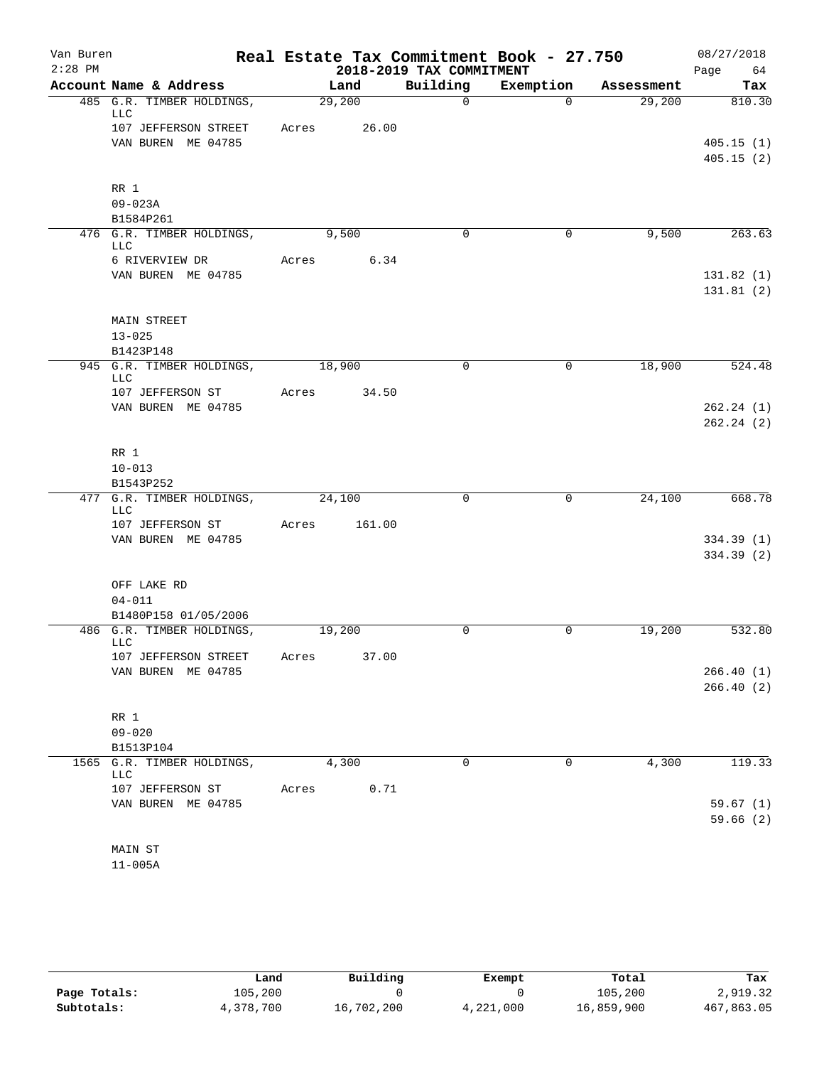| Van Buren |                                         |       |             |                          | Real Estate Tax Commitment Book - 27.750 |            | 08/27/2018 |
|-----------|-----------------------------------------|-------|-------------|--------------------------|------------------------------------------|------------|------------|
| $2:28$ PM |                                         |       |             | 2018-2019 TAX COMMITMENT |                                          |            | Page 64    |
|           | Account Name & Address                  |       | Land        | Building                 | Exemption                                | Assessment | Tax        |
|           | 485 G.R. TIMBER HOLDINGS,<br>LLC        |       | 29,200      | $\Omega$                 | $\Omega$                                 | 29,200     | 810.30     |
|           | 107 JEFFERSON STREET                    |       | Acres 26.00 |                          |                                          |            |            |
|           | VAN BUREN ME 04785                      |       |             |                          |                                          |            | 405.15(1)  |
|           |                                         |       |             |                          |                                          |            | 405.15(2)  |
|           | RR 1                                    |       |             |                          |                                          |            |            |
|           | $09 - 023A$                             |       |             |                          |                                          |            |            |
|           | B1584P261                               |       |             |                          |                                          |            |            |
|           | 476 G.R. TIMBER HOLDINGS,<br><b>LLC</b> |       | 9,500       | $\Omega$                 | 0                                        | 9,500      | 263.63     |
|           | 6 RIVERVIEW DR                          |       | Acres 6.34  |                          |                                          |            |            |
|           | VAN BUREN ME 04785                      |       |             |                          |                                          |            | 131.82(1)  |
|           |                                         |       |             |                          |                                          |            | 131.81(2)  |
|           |                                         |       |             |                          |                                          |            |            |
|           | <b>MAIN STREET</b>                      |       |             |                          |                                          |            |            |
|           | $13 - 025$                              |       |             |                          |                                          |            |            |
|           | B1423P148                               |       |             |                          |                                          |            |            |
|           | 945 G.R. TIMBER HOLDINGS,<br>LLC        |       | 18,900      | $\mathbf 0$              | 0                                        | 18,900     | 524.48     |
|           | 107 JEFFERSON ST                        | Acres | 34.50       |                          |                                          |            |            |
|           | VAN BUREN ME 04785                      |       |             |                          |                                          |            | 262.24(1)  |
|           |                                         |       |             |                          |                                          |            | 262.24(2)  |
|           |                                         |       |             |                          |                                          |            |            |
|           | RR 1                                    |       |             |                          |                                          |            |            |
|           | $10 - 013$<br>B1543P252                 |       |             |                          |                                          |            |            |
|           | 477 G.R. TIMBER HOLDINGS,               |       | 24,100      | 0                        | $\mathbf 0$                              | 24,100     | 668.78     |
|           | LLC                                     |       |             |                          |                                          |            |            |
|           | 107 JEFFERSON ST                        | Acres | 161.00      |                          |                                          |            |            |
|           | VAN BUREN ME 04785                      |       |             |                          |                                          |            | 334.39 (1) |
|           |                                         |       |             |                          |                                          |            | 334.39 (2) |
|           |                                         |       |             |                          |                                          |            |            |
|           | OFF LAKE RD                             |       |             |                          |                                          |            |            |
|           | $04 - 011$                              |       |             |                          |                                          |            |            |
|           | B1480P158 01/05/2006                    |       |             |                          |                                          |            | 532.80     |
|           | 486 G.R. TIMBER HOLDINGS,<br>LLC        |       | 19,200      | 0                        | 0                                        | 19,200     |            |
|           | 107 JEFFERSON STREET                    | Acres | 37.00       |                          |                                          |            |            |
|           | VAN BUREN ME 04785                      |       |             |                          |                                          |            | 266.40(1)  |
|           |                                         |       |             |                          |                                          |            | 266.40(2)  |
|           |                                         |       |             |                          |                                          |            |            |
|           | RR 1<br>$09 - 020$                      |       |             |                          |                                          |            |            |
|           | B1513P104                               |       |             |                          |                                          |            |            |
|           | 1565 G.R. TIMBER HOLDINGS,              |       | 4,300       | $\mathbf 0$              | 0                                        | 4,300      | 119.33     |
|           | LLC                                     |       |             |                          |                                          |            |            |
|           | 107 JEFFERSON ST                        | Acres | 0.71        |                          |                                          |            |            |
|           | VAN BUREN ME 04785                      |       |             |                          |                                          |            | 59.67(1)   |
|           |                                         |       |             |                          |                                          |            | 59.66(2)   |
|           |                                         |       |             |                          |                                          |            |            |
|           | MAIN ST                                 |       |             |                          |                                          |            |            |

11-005A

|              | Land      | Building   | Exempt    | Total      | Tax        |
|--------------|-----------|------------|-----------|------------|------------|
| Page Totals: | 105,200   |            |           | 105,200    | 2,919.32   |
| Subtotals:   | 4,378,700 | 16,702,200 | 4,221,000 | 16,859,900 | 467,863.05 |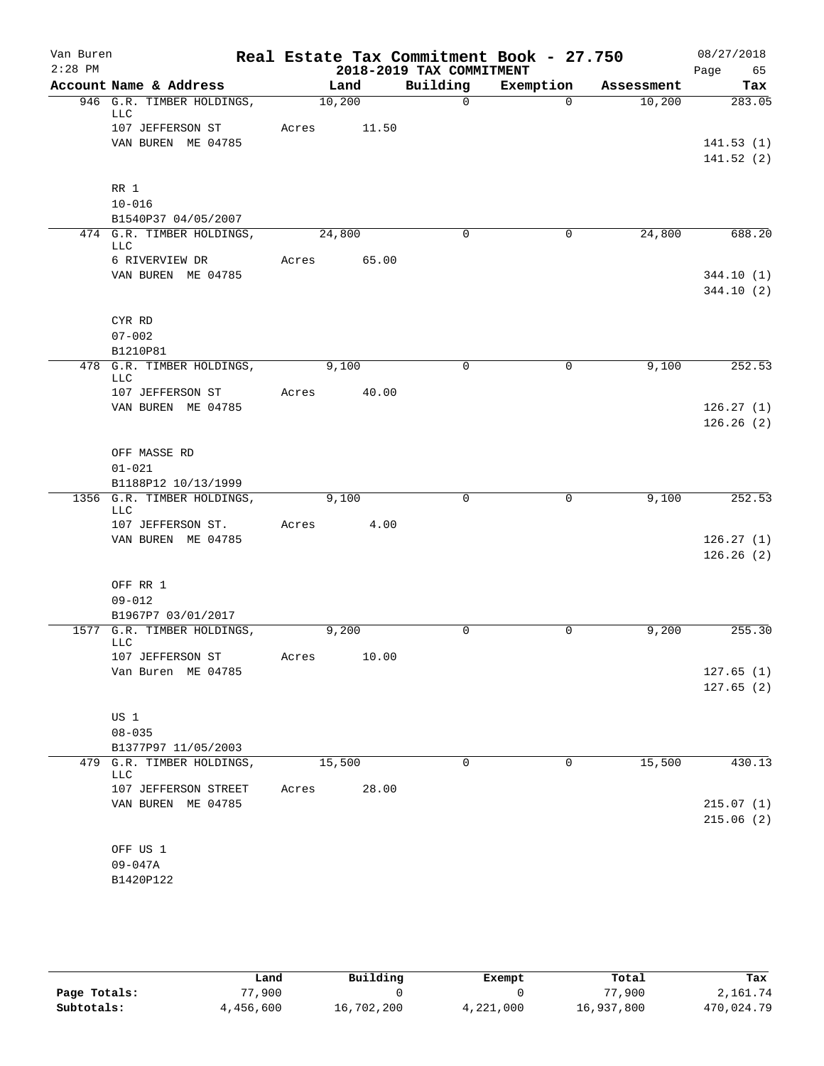| Van Buren |                                            |       |        |       |                          | Real Estate Tax Commitment Book - 27.750 |            | 08/27/2018 |           |
|-----------|--------------------------------------------|-------|--------|-------|--------------------------|------------------------------------------|------------|------------|-----------|
| $2:28$ PM |                                            |       |        |       | 2018-2019 TAX COMMITMENT |                                          |            | Page       | 65        |
|           | Account Name & Address                     |       | Land   |       | Building                 | Exemption                                | Assessment |            | Tax       |
|           | 946 G.R. TIMBER HOLDINGS,<br>LLC           |       | 10,200 |       | $\Omega$                 | $\Omega$                                 | 10,200     |            | 283.05    |
|           | 107 JEFFERSON ST                           | Acres |        | 11.50 |                          |                                          |            |            |           |
|           | VAN BUREN ME 04785                         |       |        |       |                          |                                          |            |            | 141.53(1) |
|           |                                            |       |        |       |                          |                                          |            |            | 141.52(2) |
|           | RR 1                                       |       |        |       |                          |                                          |            |            |           |
|           | $10 - 016$                                 |       |        |       |                          |                                          |            |            |           |
|           | B1540P37 04/05/2007                        |       |        |       |                          |                                          |            |            |           |
|           | 474 G.R. TIMBER HOLDINGS,<br>LLC           |       | 24,800 |       | $\Omega$                 | $\mathbf 0$                              | 24,800     |            | 688.20    |
|           | 6 RIVERVIEW DR                             | Acres |        | 65.00 |                          |                                          |            |            |           |
|           | VAN BUREN ME 04785                         |       |        |       |                          |                                          |            |            | 344.10(1) |
|           |                                            |       |        |       |                          |                                          |            |            | 344.10(2) |
|           | CYR RD                                     |       |        |       |                          |                                          |            |            |           |
|           | $07 - 002$                                 |       |        |       |                          |                                          |            |            |           |
|           | B1210P81                                   |       |        |       |                          |                                          |            |            |           |
|           | 478 G.R. TIMBER HOLDINGS,<br>LLC           |       | 9,100  |       | $\mathbf 0$              | $\mathbf 0$                              | 9,100      |            | 252.53    |
|           | 107 JEFFERSON ST                           | Acres |        | 40.00 |                          |                                          |            |            |           |
|           | VAN BUREN ME 04785                         |       |        |       |                          |                                          |            |            | 126.27(1) |
|           |                                            |       |        |       |                          |                                          |            |            | 126.26(2) |
|           | OFF MASSE RD                               |       |        |       |                          |                                          |            |            |           |
|           | $01 - 021$                                 |       |        |       |                          |                                          |            |            |           |
|           | B1188P12 10/13/1999                        |       |        |       |                          |                                          |            |            |           |
|           | 1356 G.R. TIMBER HOLDINGS,<br>LLC          |       | 9,100  |       | $\mathbf 0$              | $\mathbf 0$                              | 9,100      |            | 252.53    |
|           | 107 JEFFERSON ST.                          | Acres |        | 4.00  |                          |                                          |            |            |           |
|           | VAN BUREN ME 04785                         |       |        |       |                          |                                          |            |            | 126.27(1) |
|           |                                            |       |        |       |                          |                                          |            |            | 126.26(2) |
|           |                                            |       |        |       |                          |                                          |            |            |           |
|           | OFF RR 1<br>$09 - 012$                     |       |        |       |                          |                                          |            |            |           |
|           | B1967P7 03/01/2017                         |       |        |       |                          |                                          |            |            |           |
|           | 1577 G.R. TIMBER HOLDINGS,                 |       | 9,200  |       | 0                        | $\mathbf 0$                              | 9,200      |            | 255.30    |
|           | LLC<br>107 JEFFERSON ST                    | Acres |        | 10.00 |                          |                                          |            |            |           |
|           | Van Buren ME 04785                         |       |        |       |                          |                                          |            |            | 127.65(1) |
|           |                                            |       |        |       |                          |                                          |            |            | 127.65(2) |
|           |                                            |       |        |       |                          |                                          |            |            |           |
|           | US 1                                       |       |        |       |                          |                                          |            |            |           |
|           | $08 - 035$<br>B1377P97 11/05/2003          |       |        |       |                          |                                          |            |            |           |
| 479       | G.R. TIMBER HOLDINGS,                      |       | 15,500 |       | $\mathbf 0$              | 0                                        | 15,500     |            | 430.13    |
|           | <b>LLC</b>                                 |       |        |       |                          |                                          |            |            |           |
|           | 107 JEFFERSON STREET<br>VAN BUREN ME 04785 | Acres |        | 28.00 |                          |                                          |            |            | 215.07(1) |
|           |                                            |       |        |       |                          |                                          |            |            | 215.06(2) |
|           |                                            |       |        |       |                          |                                          |            |            |           |
|           | OFF US 1                                   |       |        |       |                          |                                          |            |            |           |
|           | $09 - 047A$                                |       |        |       |                          |                                          |            |            |           |
|           | B1420P122                                  |       |        |       |                          |                                          |            |            |           |

|              | Land      | Building   | Exempt    | Total      | Tax        |
|--------------|-----------|------------|-----------|------------|------------|
| Page Totals: | 77,900    |            |           | 77,900     | 2,161.74   |
| Subtotals:   | 4,456,600 | 16,702,200 | 4,221,000 | 16,937,800 | 470,024.79 |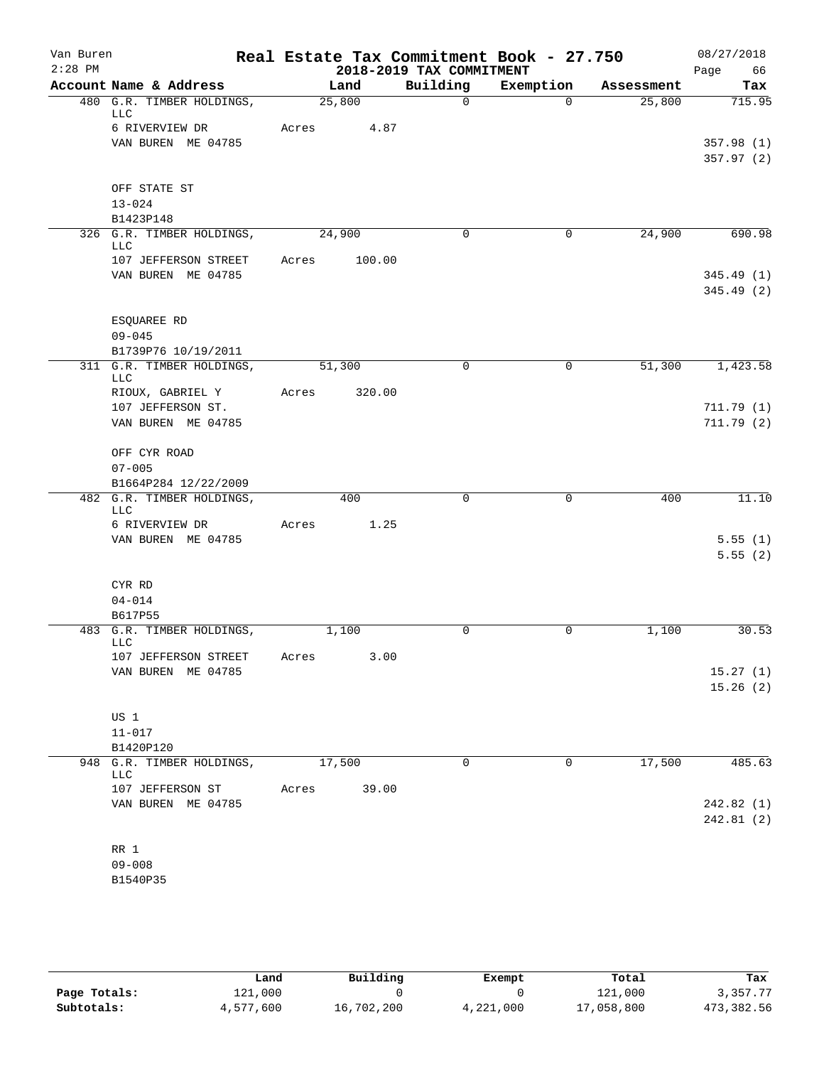| Van Buren<br>$2:28$ PM |                                         |       |        |        | 2018-2019 TAX COMMITMENT | Real Estate Tax Commitment Book - 27.750 |            | 08/27/2018<br>Page<br>66 |
|------------------------|-----------------------------------------|-------|--------|--------|--------------------------|------------------------------------------|------------|--------------------------|
|                        | Account Name & Address                  |       | Land   |        | Building                 | Exemption                                | Assessment | Tax                      |
|                        | 480 G.R. TIMBER HOLDINGS,               |       | 25,800 |        | $\mathbf 0$              | $\Omega$                                 | 25,800     | 715.95                   |
|                        | <b>LLC</b><br>6 RIVERVIEW DR            | Acres |        | 4.87   |                          |                                          |            |                          |
|                        | VAN BUREN ME 04785                      |       |        |        |                          |                                          |            | 357.98(1)                |
|                        |                                         |       |        |        |                          |                                          |            | 357.97(2)                |
|                        |                                         |       |        |        |                          |                                          |            |                          |
|                        | OFF STATE ST<br>$13 - 024$              |       |        |        |                          |                                          |            |                          |
|                        | B1423P148                               |       |        |        |                          |                                          |            |                          |
|                        | 326 G.R. TIMBER HOLDINGS,               |       | 24,900 |        | 0                        | $\mathbf 0$                              | 24,900     | 690.98                   |
|                        | <b>LLC</b>                              |       |        |        |                          |                                          |            |                          |
|                        | 107 JEFFERSON STREET                    | Acres |        | 100.00 |                          |                                          |            |                          |
|                        | VAN BUREN ME 04785                      |       |        |        |                          |                                          |            | 345.49(1)<br>345.49(2)   |
|                        |                                         |       |        |        |                          |                                          |            |                          |
|                        | ESQUAREE RD<br>$09 - 045$               |       |        |        |                          |                                          |            |                          |
|                        | B1739P76 10/19/2011                     |       |        |        |                          |                                          |            |                          |
|                        | 311 G.R. TIMBER HOLDINGS,               |       | 51,300 |        | $\Omega$                 | $\mathbf 0$                              | 51,300     | 1,423.58                 |
|                        | <b>LLC</b>                              |       |        |        |                          |                                          |            |                          |
|                        | RIOUX, GABRIEL Y                        | Acres |        | 320.00 |                          |                                          |            |                          |
|                        | 107 JEFFERSON ST.                       |       |        |        |                          |                                          |            | 711.79(1)<br>711.79(2)   |
|                        | VAN BUREN ME 04785                      |       |        |        |                          |                                          |            |                          |
|                        | OFF CYR ROAD                            |       |        |        |                          |                                          |            |                          |
|                        | $07 - 005$                              |       |        |        |                          |                                          |            |                          |
|                        | B1664P284 12/22/2009                    |       |        |        |                          |                                          |            |                          |
|                        | 482 G.R. TIMBER HOLDINGS,<br><b>LLC</b> |       | 400    |        | $\mathbf 0$              | $\mathbf 0$                              | 400        | 11.10                    |
|                        | 6 RIVERVIEW DR                          | Acres |        | 1.25   |                          |                                          |            |                          |
|                        | VAN BUREN ME 04785                      |       |        |        |                          |                                          |            | 5.55(1)                  |
|                        |                                         |       |        |        |                          |                                          |            | 5.55(2)                  |
|                        |                                         |       |        |        |                          |                                          |            |                          |
|                        | CYR RD                                  |       |        |        |                          |                                          |            |                          |
|                        | $04 - 014$                              |       |        |        |                          |                                          |            |                          |
|                        | B617P55<br>483 G.R. TIMBER HOLDINGS,    |       | 1,100  |        | 0                        | $\mathbf 0$                              | 1,100      | 30.53                    |
|                        | <b>LLC</b>                              |       |        |        |                          |                                          |            |                          |
|                        | 107 JEFFERSON STREET                    | Acres |        | 3.00   |                          |                                          |            |                          |
|                        | VAN BUREN ME 04785                      |       |        |        |                          |                                          |            | 15.27(1)                 |
|                        |                                         |       |        |        |                          |                                          |            | 15.26(2)                 |
|                        | US 1                                    |       |        |        |                          |                                          |            |                          |
|                        | $11 - 017$                              |       |        |        |                          |                                          |            |                          |
|                        | B1420P120                               |       |        |        |                          |                                          |            |                          |
| 948                    | G.R. TIMBER HOLDINGS,<br><b>LLC</b>     |       | 17,500 |        | 0                        | 0                                        | 17,500     | 485.63                   |
|                        | 107 JEFFERSON ST                        | Acres |        | 39.00  |                          |                                          |            |                          |
|                        | VAN BUREN ME 04785                      |       |        |        |                          |                                          |            | 242.82 (1)               |
|                        |                                         |       |        |        |                          |                                          |            | 242.81(2)                |
|                        |                                         |       |        |        |                          |                                          |            |                          |
|                        | RR 1<br>$09 - 008$                      |       |        |        |                          |                                          |            |                          |
|                        | B1540P35                                |       |        |        |                          |                                          |            |                          |
|                        |                                         |       |        |        |                          |                                          |            |                          |

|              | úand      | Building   | Exempt    | Total      | Tax        |
|--------------|-----------|------------|-----------|------------|------------|
| Page Totals: | 121,000   |            |           | 121,000    | 3,357.77   |
| Subtotals:   | 4,577,600 | 16,702,200 | 4,221,000 | 17,058,800 | 473,382.56 |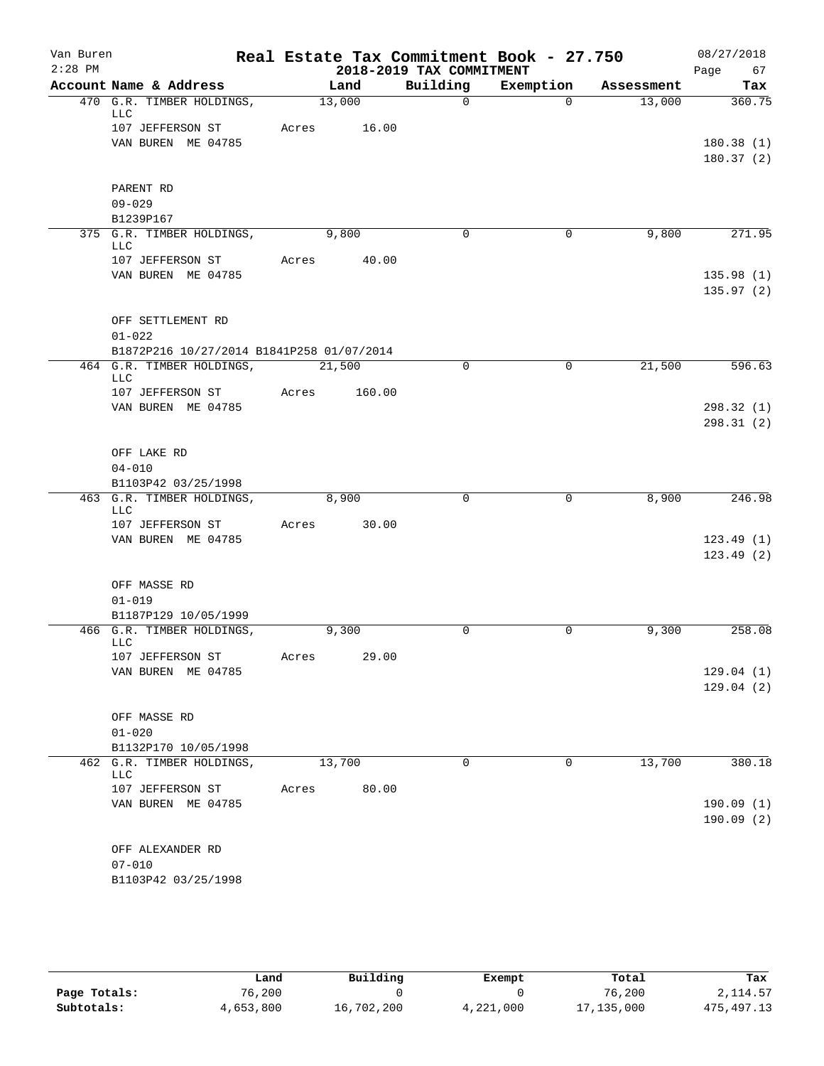| $2:28$ PM<br>2018-2019 TAX COMMITMENT<br>Page 67<br>Account Name & Address<br>Building<br>Exemption<br>Land<br>Assessment<br>470 G.R. TIMBER HOLDINGS,<br>13,000<br>$\Omega$<br>$\Omega$<br>13,000<br>360.75<br>LLC<br>107 JEFFERSON ST<br>Acres<br>16.00<br>VAN BUREN ME 04785<br>PARENT RD<br>$09 - 029$<br>B1239P167<br>375 G.R. TIMBER HOLDINGS,<br>9,800<br>9,800<br>$\Omega$<br>0<br>LLC<br>107 JEFFERSON ST<br>Acres 40.00<br>VAN BUREN ME 04785<br>OFF SETTLEMENT RD<br>$01 - 022$<br>B1872P216 10/27/2014 B1841P258 01/07/2014<br>464 G.R. TIMBER HOLDINGS,<br>$\mathbf 0$<br>$\mathbf 0$<br>21,500<br>21,500<br>LLC<br>107 JEFFERSON ST<br>Acres<br>160.00<br>VAN BUREN ME 04785<br>OFF LAKE RD<br>$04 - 010$<br>B1103P42 03/25/1998<br>463 G.R. TIMBER HOLDINGS,<br>8,900<br>$\mathbf 0$<br>$\overline{0}$<br>8,900<br>LLC<br>107 JEFFERSON ST<br>Acres<br>30.00<br>VAN BUREN ME 04785<br>OFF MASSE RD<br>$01 - 019$<br>B1187P129 10/05/1999<br>466 G.R. TIMBER HOLDINGS,<br>9,300<br>0<br>0<br>9,300<br>LLC<br>29.00<br>107 JEFFERSON ST<br>Acres<br>VAN BUREN ME 04785<br>OFF MASSE RD<br>$01 - 020$<br>B1132P170 10/05/1998<br>13,700<br>13,700<br>462<br>G.R. TIMBER HOLDINGS,<br>0<br>0<br>LLC<br>80.00<br>107 JEFFERSON ST<br>Acres<br>VAN BUREN ME 04785<br>OFF ALEXANDER RD<br>$07 - 010$<br>B1103P42 03/25/1998 | Van Buren |  |  |  | Real Estate Tax Commitment Book - 27.750 | 08/27/2018 |     |
|-------------------------------------------------------------------------------------------------------------------------------------------------------------------------------------------------------------------------------------------------------------------------------------------------------------------------------------------------------------------------------------------------------------------------------------------------------------------------------------------------------------------------------------------------------------------------------------------------------------------------------------------------------------------------------------------------------------------------------------------------------------------------------------------------------------------------------------------------------------------------------------------------------------------------------------------------------------------------------------------------------------------------------------------------------------------------------------------------------------------------------------------------------------------------------------------------------------------------------------------------------------------------------------------------------------------------------------|-----------|--|--|--|------------------------------------------|------------|-----|
|                                                                                                                                                                                                                                                                                                                                                                                                                                                                                                                                                                                                                                                                                                                                                                                                                                                                                                                                                                                                                                                                                                                                                                                                                                                                                                                                     |           |  |  |  |                                          |            |     |
|                                                                                                                                                                                                                                                                                                                                                                                                                                                                                                                                                                                                                                                                                                                                                                                                                                                                                                                                                                                                                                                                                                                                                                                                                                                                                                                                     |           |  |  |  |                                          |            | Tax |
| 180.38(1)<br>180.37(2)                                                                                                                                                                                                                                                                                                                                                                                                                                                                                                                                                                                                                                                                                                                                                                                                                                                                                                                                                                                                                                                                                                                                                                                                                                                                                                              |           |  |  |  |                                          |            |     |
|                                                                                                                                                                                                                                                                                                                                                                                                                                                                                                                                                                                                                                                                                                                                                                                                                                                                                                                                                                                                                                                                                                                                                                                                                                                                                                                                     |           |  |  |  |                                          |            |     |
|                                                                                                                                                                                                                                                                                                                                                                                                                                                                                                                                                                                                                                                                                                                                                                                                                                                                                                                                                                                                                                                                                                                                                                                                                                                                                                                                     |           |  |  |  |                                          |            |     |
|                                                                                                                                                                                                                                                                                                                                                                                                                                                                                                                                                                                                                                                                                                                                                                                                                                                                                                                                                                                                                                                                                                                                                                                                                                                                                                                                     |           |  |  |  |                                          |            |     |
| 271.95<br>135.98(1)<br>135.97(2)<br>596.63<br>298.32(1)<br>298.31(2)<br>246.98<br>123.49(1)<br>123.49(2)<br>258.08                                                                                                                                                                                                                                                                                                                                                                                                                                                                                                                                                                                                                                                                                                                                                                                                                                                                                                                                                                                                                                                                                                                                                                                                                  |           |  |  |  |                                          |            |     |
|                                                                                                                                                                                                                                                                                                                                                                                                                                                                                                                                                                                                                                                                                                                                                                                                                                                                                                                                                                                                                                                                                                                                                                                                                                                                                                                                     |           |  |  |  |                                          |            |     |
|                                                                                                                                                                                                                                                                                                                                                                                                                                                                                                                                                                                                                                                                                                                                                                                                                                                                                                                                                                                                                                                                                                                                                                                                                                                                                                                                     |           |  |  |  |                                          |            |     |
|                                                                                                                                                                                                                                                                                                                                                                                                                                                                                                                                                                                                                                                                                                                                                                                                                                                                                                                                                                                                                                                                                                                                                                                                                                                                                                                                     |           |  |  |  |                                          |            |     |
|                                                                                                                                                                                                                                                                                                                                                                                                                                                                                                                                                                                                                                                                                                                                                                                                                                                                                                                                                                                                                                                                                                                                                                                                                                                                                                                                     |           |  |  |  |                                          |            |     |
|                                                                                                                                                                                                                                                                                                                                                                                                                                                                                                                                                                                                                                                                                                                                                                                                                                                                                                                                                                                                                                                                                                                                                                                                                                                                                                                                     |           |  |  |  |                                          |            |     |
|                                                                                                                                                                                                                                                                                                                                                                                                                                                                                                                                                                                                                                                                                                                                                                                                                                                                                                                                                                                                                                                                                                                                                                                                                                                                                                                                     |           |  |  |  |                                          |            |     |
|                                                                                                                                                                                                                                                                                                                                                                                                                                                                                                                                                                                                                                                                                                                                                                                                                                                                                                                                                                                                                                                                                                                                                                                                                                                                                                                                     |           |  |  |  |                                          |            |     |
|                                                                                                                                                                                                                                                                                                                                                                                                                                                                                                                                                                                                                                                                                                                                                                                                                                                                                                                                                                                                                                                                                                                                                                                                                                                                                                                                     |           |  |  |  |                                          |            |     |
|                                                                                                                                                                                                                                                                                                                                                                                                                                                                                                                                                                                                                                                                                                                                                                                                                                                                                                                                                                                                                                                                                                                                                                                                                                                                                                                                     |           |  |  |  |                                          |            |     |
|                                                                                                                                                                                                                                                                                                                                                                                                                                                                                                                                                                                                                                                                                                                                                                                                                                                                                                                                                                                                                                                                                                                                                                                                                                                                                                                                     |           |  |  |  |                                          |            |     |
|                                                                                                                                                                                                                                                                                                                                                                                                                                                                                                                                                                                                                                                                                                                                                                                                                                                                                                                                                                                                                                                                                                                                                                                                                                                                                                                                     |           |  |  |  |                                          |            |     |
|                                                                                                                                                                                                                                                                                                                                                                                                                                                                                                                                                                                                                                                                                                                                                                                                                                                                                                                                                                                                                                                                                                                                                                                                                                                                                                                                     |           |  |  |  |                                          |            |     |
|                                                                                                                                                                                                                                                                                                                                                                                                                                                                                                                                                                                                                                                                                                                                                                                                                                                                                                                                                                                                                                                                                                                                                                                                                                                                                                                                     |           |  |  |  |                                          |            |     |
|                                                                                                                                                                                                                                                                                                                                                                                                                                                                                                                                                                                                                                                                                                                                                                                                                                                                                                                                                                                                                                                                                                                                                                                                                                                                                                                                     |           |  |  |  |                                          |            |     |
|                                                                                                                                                                                                                                                                                                                                                                                                                                                                                                                                                                                                                                                                                                                                                                                                                                                                                                                                                                                                                                                                                                                                                                                                                                                                                                                                     |           |  |  |  |                                          |            |     |
|                                                                                                                                                                                                                                                                                                                                                                                                                                                                                                                                                                                                                                                                                                                                                                                                                                                                                                                                                                                                                                                                                                                                                                                                                                                                                                                                     |           |  |  |  |                                          |            |     |
|                                                                                                                                                                                                                                                                                                                                                                                                                                                                                                                                                                                                                                                                                                                                                                                                                                                                                                                                                                                                                                                                                                                                                                                                                                                                                                                                     |           |  |  |  |                                          |            |     |
|                                                                                                                                                                                                                                                                                                                                                                                                                                                                                                                                                                                                                                                                                                                                                                                                                                                                                                                                                                                                                                                                                                                                                                                                                                                                                                                                     |           |  |  |  |                                          |            |     |
|                                                                                                                                                                                                                                                                                                                                                                                                                                                                                                                                                                                                                                                                                                                                                                                                                                                                                                                                                                                                                                                                                                                                                                                                                                                                                                                                     |           |  |  |  |                                          |            |     |
|                                                                                                                                                                                                                                                                                                                                                                                                                                                                                                                                                                                                                                                                                                                                                                                                                                                                                                                                                                                                                                                                                                                                                                                                                                                                                                                                     |           |  |  |  |                                          |            |     |
|                                                                                                                                                                                                                                                                                                                                                                                                                                                                                                                                                                                                                                                                                                                                                                                                                                                                                                                                                                                                                                                                                                                                                                                                                                                                                                                                     |           |  |  |  |                                          |            |     |
|                                                                                                                                                                                                                                                                                                                                                                                                                                                                                                                                                                                                                                                                                                                                                                                                                                                                                                                                                                                                                                                                                                                                                                                                                                                                                                                                     |           |  |  |  |                                          |            |     |
|                                                                                                                                                                                                                                                                                                                                                                                                                                                                                                                                                                                                                                                                                                                                                                                                                                                                                                                                                                                                                                                                                                                                                                                                                                                                                                                                     |           |  |  |  |                                          |            |     |
| 129.04(1)<br>129.04(2)<br>380.18<br>190.09(1)<br>190.09(2)                                                                                                                                                                                                                                                                                                                                                                                                                                                                                                                                                                                                                                                                                                                                                                                                                                                                                                                                                                                                                                                                                                                                                                                                                                                                          |           |  |  |  |                                          |            |     |
|                                                                                                                                                                                                                                                                                                                                                                                                                                                                                                                                                                                                                                                                                                                                                                                                                                                                                                                                                                                                                                                                                                                                                                                                                                                                                                                                     |           |  |  |  |                                          |            |     |
|                                                                                                                                                                                                                                                                                                                                                                                                                                                                                                                                                                                                                                                                                                                                                                                                                                                                                                                                                                                                                                                                                                                                                                                                                                                                                                                                     |           |  |  |  |                                          |            |     |
|                                                                                                                                                                                                                                                                                                                                                                                                                                                                                                                                                                                                                                                                                                                                                                                                                                                                                                                                                                                                                                                                                                                                                                                                                                                                                                                                     |           |  |  |  |                                          |            |     |
|                                                                                                                                                                                                                                                                                                                                                                                                                                                                                                                                                                                                                                                                                                                                                                                                                                                                                                                                                                                                                                                                                                                                                                                                                                                                                                                                     |           |  |  |  |                                          |            |     |
|                                                                                                                                                                                                                                                                                                                                                                                                                                                                                                                                                                                                                                                                                                                                                                                                                                                                                                                                                                                                                                                                                                                                                                                                                                                                                                                                     |           |  |  |  |                                          |            |     |
|                                                                                                                                                                                                                                                                                                                                                                                                                                                                                                                                                                                                                                                                                                                                                                                                                                                                                                                                                                                                                                                                                                                                                                                                                                                                                                                                     |           |  |  |  |                                          |            |     |
|                                                                                                                                                                                                                                                                                                                                                                                                                                                                                                                                                                                                                                                                                                                                                                                                                                                                                                                                                                                                                                                                                                                                                                                                                                                                                                                                     |           |  |  |  |                                          |            |     |
|                                                                                                                                                                                                                                                                                                                                                                                                                                                                                                                                                                                                                                                                                                                                                                                                                                                                                                                                                                                                                                                                                                                                                                                                                                                                                                                                     |           |  |  |  |                                          |            |     |
|                                                                                                                                                                                                                                                                                                                                                                                                                                                                                                                                                                                                                                                                                                                                                                                                                                                                                                                                                                                                                                                                                                                                                                                                                                                                                                                                     |           |  |  |  |                                          |            |     |
|                                                                                                                                                                                                                                                                                                                                                                                                                                                                                                                                                                                                                                                                                                                                                                                                                                                                                                                                                                                                                                                                                                                                                                                                                                                                                                                                     |           |  |  |  |                                          |            |     |
|                                                                                                                                                                                                                                                                                                                                                                                                                                                                                                                                                                                                                                                                                                                                                                                                                                                                                                                                                                                                                                                                                                                                                                                                                                                                                                                                     |           |  |  |  |                                          |            |     |
|                                                                                                                                                                                                                                                                                                                                                                                                                                                                                                                                                                                                                                                                                                                                                                                                                                                                                                                                                                                                                                                                                                                                                                                                                                                                                                                                     |           |  |  |  |                                          |            |     |
|                                                                                                                                                                                                                                                                                                                                                                                                                                                                                                                                                                                                                                                                                                                                                                                                                                                                                                                                                                                                                                                                                                                                                                                                                                                                                                                                     |           |  |  |  |                                          |            |     |

|              | Land      | Building   | Exempt    | Total      | Tax          |
|--------------|-----------|------------|-----------|------------|--------------|
| Page Totals: | 76.200    |            |           | 76,200     | 2, 114.57    |
| Subtotals:   | 4,653,800 | 16,702,200 | 4,221,000 | 17,135,000 | 475, 497. 13 |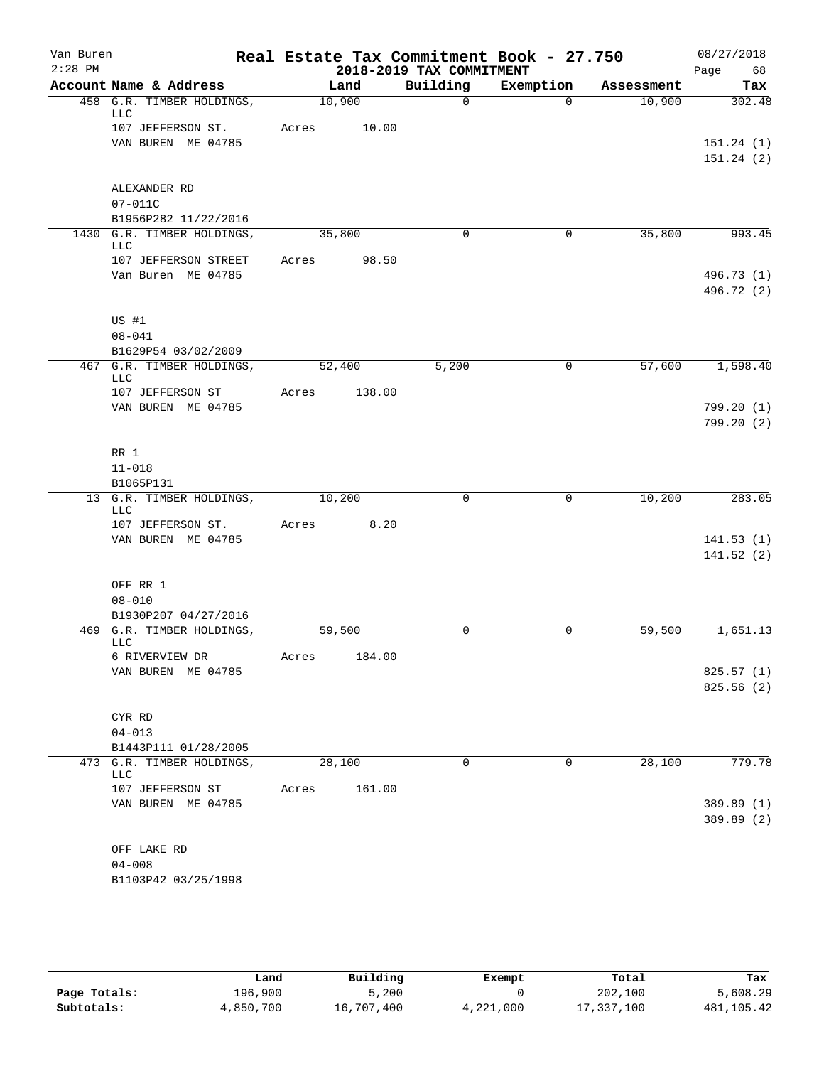| Van Buren |                                            |       |        |        |                          | Real Estate Tax Commitment Book - 27.750 |            | 08/27/2018 |
|-----------|--------------------------------------------|-------|--------|--------|--------------------------|------------------------------------------|------------|------------|
| $2:28$ PM |                                            |       |        |        | 2018-2019 TAX COMMITMENT |                                          |            | Page<br>68 |
|           | Account Name & Address                     |       | Land   |        | Building                 | Exemption                                | Assessment | Tax        |
|           | 458 G.R. TIMBER HOLDINGS,<br>LLC           |       | 10,900 |        | $\Omega$                 | $\Omega$                                 | 10,900     | 302.48     |
|           | 107 JEFFERSON ST.                          | Acres |        | 10.00  |                          |                                          |            |            |
|           | VAN BUREN ME 04785                         |       |        |        |                          |                                          |            | 151.24(1)  |
|           |                                            |       |        |        |                          |                                          |            | 151.24(2)  |
|           |                                            |       |        |        |                          |                                          |            |            |
|           | ALEXANDER RD<br>$07 - 011C$                |       |        |        |                          |                                          |            |            |
|           | B1956P282 11/22/2016                       |       |        |        |                          |                                          |            |            |
|           | 1430 G.R. TIMBER HOLDINGS,                 |       | 35,800 |        | $\Omega$                 | $\mathbf{0}$                             | 35,800     | 993.45     |
|           | LLC                                        |       |        |        |                          |                                          |            |            |
|           | 107 JEFFERSON STREET<br>Van Buren ME 04785 | Acres |        | 98.50  |                          |                                          |            | 496.73 (1) |
|           |                                            |       |        |        |                          |                                          |            | 496.72 (2) |
|           | US #1                                      |       |        |        |                          |                                          |            |            |
|           | $08 - 041$                                 |       |        |        |                          |                                          |            |            |
|           | B1629P54 03/02/2009                        |       |        |        |                          |                                          |            |            |
|           | 467 G.R. TIMBER HOLDINGS,<br>LLC           |       | 52,400 |        | 5,200                    | $\mathbf 0$                              | 57,600     | 1,598.40   |
|           | 107 JEFFERSON ST                           | Acres |        | 138.00 |                          |                                          |            |            |
|           | VAN BUREN ME 04785                         |       |        |        |                          |                                          |            | 799.20(1)  |
|           |                                            |       |        |        |                          |                                          |            | 799.20(2)  |
|           | RR 1                                       |       |        |        |                          |                                          |            |            |
|           | $11 - 018$                                 |       |        |        |                          |                                          |            |            |
|           | B1065P131                                  |       |        |        |                          |                                          |            |            |
|           | 13 G.R. TIMBER HOLDINGS,                   |       | 10,200 |        | $\mathbf 0$              | $\mathbf 0$                              | 10,200     | 283.05     |
|           | LLC<br>107 JEFFERSON ST.                   | Acres |        | 8.20   |                          |                                          |            |            |
|           | VAN BUREN ME 04785                         |       |        |        |                          |                                          |            | 141.53(1)  |
|           |                                            |       |        |        |                          |                                          |            | 141.52(2)  |
|           |                                            |       |        |        |                          |                                          |            |            |
|           | OFF RR 1                                   |       |        |        |                          |                                          |            |            |
|           | $08 - 010$                                 |       |        |        |                          |                                          |            |            |
|           | B1930P207 04/27/2016                       |       |        |        |                          |                                          |            |            |
|           | 469 G.R. TIMBER HOLDINGS,<br>LLC           |       | 59,500 |        | 0                        | 0                                        | 59,500     | 1,651.13   |
|           | 6 RIVERVIEW DR                             | Acres |        | 184.00 |                          |                                          |            |            |
|           | VAN BUREN ME 04785                         |       |        |        |                          |                                          |            | 825.57 (1) |
|           |                                            |       |        |        |                          |                                          |            | 825.56(2)  |
|           |                                            |       |        |        |                          |                                          |            |            |
|           | CYR RD<br>$04 - 013$                       |       |        |        |                          |                                          |            |            |
|           | B1443P111 01/28/2005                       |       |        |        |                          |                                          |            |            |
|           | 473 G.R. TIMBER HOLDINGS,<br>LLC           |       | 28,100 |        | 0                        | 0                                        | 28,100     | 779.78     |
|           | 107 JEFFERSON ST                           | Acres |        | 161.00 |                          |                                          |            |            |
|           | VAN BUREN ME 04785                         |       |        |        |                          |                                          |            | 389.89 (1) |
|           |                                            |       |        |        |                          |                                          |            | 389.89 (2) |
|           | OFF LAKE RD                                |       |        |        |                          |                                          |            |            |
|           | $04 - 008$                                 |       |        |        |                          |                                          |            |            |
|           | B1103P42 03/25/1998                        |       |        |        |                          |                                          |            |            |
|           |                                            |       |        |        |                          |                                          |            |            |

|              | Land      | Building   | Exempt    | Total      | Tax        |
|--------------|-----------|------------|-----------|------------|------------|
| Page Totals: | 196,900   | 5,200      |           | 202,100    | 5,608.29   |
| Subtotals:   | 4,850,700 | 16,707,400 | 4,221,000 | 17,337,100 | 481,105.42 |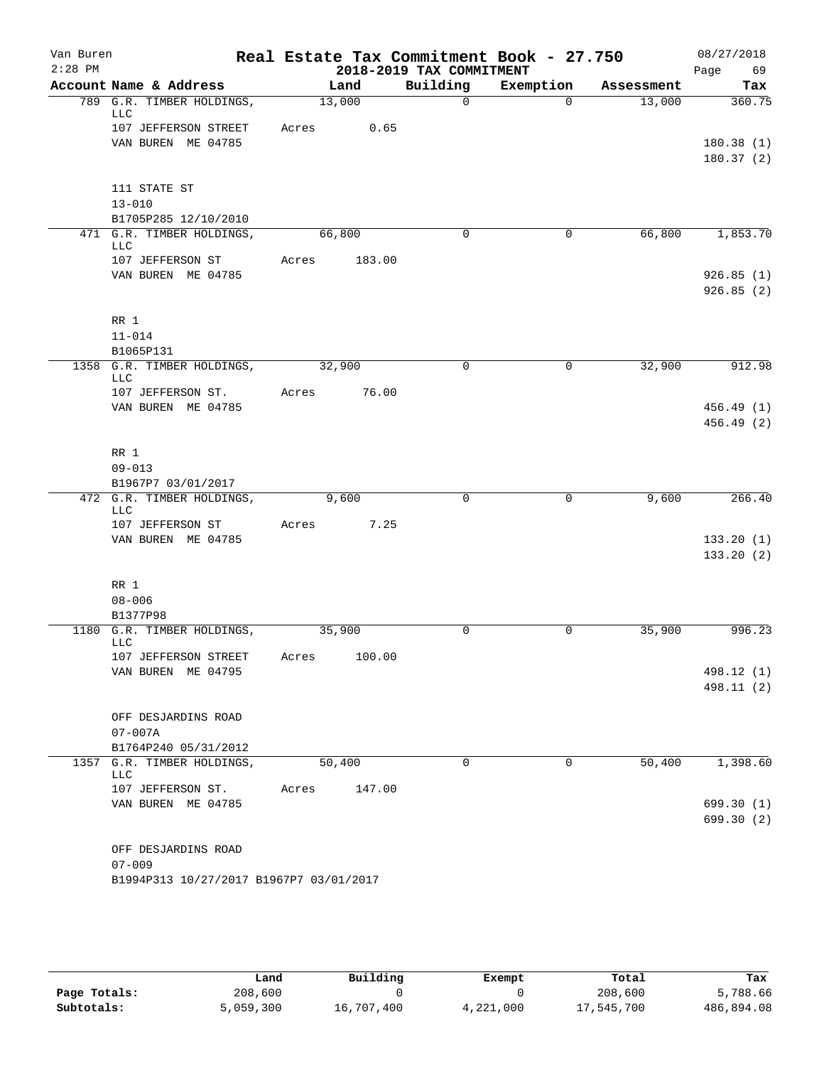| Van Buren |                                               |       |        |                          | Real Estate Tax Commitment Book - 27.750 |            | 08/27/2018 |
|-----------|-----------------------------------------------|-------|--------|--------------------------|------------------------------------------|------------|------------|
| $2:28$ PM |                                               |       |        | 2018-2019 TAX COMMITMENT |                                          |            | 69<br>Page |
|           | Account Name & Address                        |       | Land   | Building                 | Exemption                                | Assessment | Tax        |
|           | 789 G.R. TIMBER HOLDINGS,<br><b>LLC</b>       |       | 13,000 | $\Omega$                 | $\Omega$                                 | 13,000     | 360.75     |
|           | 107 JEFFERSON STREET<br>VAN BUREN ME 04785    | Acres | 0.65   |                          |                                          |            | 180.38(1)  |
|           |                                               |       |        |                          |                                          |            | 180.37(2)  |
|           | 111 STATE ST                                  |       |        |                          |                                          |            |            |
|           | $13 - 010$                                    |       |        |                          |                                          |            |            |
|           | B1705P285 12/10/2010                          |       |        |                          |                                          |            |            |
|           | 471 G.R. TIMBER HOLDINGS,<br>LLC              |       | 66,800 | $\Omega$                 | 0                                        | 66,800     | 1,853.70   |
|           | 107 JEFFERSON ST<br>VAN BUREN ME 04785        | Acres | 183.00 |                          |                                          |            | 926.85(1)  |
|           |                                               |       |        |                          |                                          |            | 926.85(2)  |
|           | RR 1                                          |       |        |                          |                                          |            |            |
|           | $11 - 014$                                    |       |        |                          |                                          |            |            |
|           | B1065P131<br>1358 G.R. TIMBER HOLDINGS,       |       | 32,900 | $\mathbf 0$              | 0                                        | 32,900     | 912.98     |
|           | LLC<br>107 JEFFERSON ST.                      | Acres | 76.00  |                          |                                          |            |            |
|           | VAN BUREN ME 04785                            |       |        |                          |                                          |            | 456.49(1)  |
|           |                                               |       |        |                          |                                          |            | 456.49 (2) |
|           | RR 1                                          |       |        |                          |                                          |            |            |
|           | $09 - 013$                                    |       |        |                          |                                          |            |            |
|           | B1967P7 03/01/2017                            |       |        |                          |                                          |            |            |
|           | 472 G.R. TIMBER HOLDINGS,<br><b>LLC</b>       |       | 9,600  | $\mathbf 0$              | 0                                        | 9,600      | 266.40     |
|           | 107 JEFFERSON ST                              | Acres | 7.25   |                          |                                          |            |            |
|           | VAN BUREN ME 04785                            |       |        |                          |                                          |            | 133.20(1)  |
|           |                                               |       |        |                          |                                          |            | 133.20(2)  |
|           | $RR$ 1                                        |       |        |                          |                                          |            |            |
|           | $08 - 006$                                    |       |        |                          |                                          |            |            |
|           | B1377P98                                      |       |        |                          |                                          |            |            |
|           | 1180 G.R. TIMBER HOLDINGS,<br>LLC             |       | 35,900 | 0                        | 0                                        | 35,900     | 996.23     |
|           | 107 JEFFERSON STREET<br>VAN BUREN ME 04795    | Acres | 100.00 |                          |                                          |            | 498.12 (1) |
|           |                                               |       |        |                          |                                          |            | 498.11 (2) |
|           |                                               |       |        |                          |                                          |            |            |
|           | OFF DESJARDINS ROAD                           |       |        |                          |                                          |            |            |
|           | $07 - 007A$                                   |       |        |                          |                                          |            |            |
| 1357      | B1764P240 05/31/2012<br>G.R. TIMBER HOLDINGS, |       | 50,400 | $\mathbf 0$              | 0                                        | 50,400     | 1,398.60   |
|           | <b>LLC</b>                                    |       |        |                          |                                          |            |            |
|           | 107 JEFFERSON ST.                             | Acres | 147.00 |                          |                                          |            |            |
|           | VAN BUREN ME 04785                            |       |        |                          |                                          |            | 699.30 (1) |
|           |                                               |       |        |                          |                                          |            | 699.30 (2) |
|           | OFF DESJARDINS ROAD                           |       |        |                          |                                          |            |            |
|           | $07 - 009$                                    |       |        |                          |                                          |            |            |
|           | B1994P313 10/27/2017 B1967P7 03/01/2017       |       |        |                          |                                          |            |            |

|              | Land      | Building   | Exempt    | Total      | Tax        |
|--------------|-----------|------------|-----------|------------|------------|
| Page Totals: | 208,600   |            |           | 208,600    | 5,788.66   |
| Subtotals:   | 5,059,300 | 16,707,400 | 4,221,000 | 17,545,700 | 486,894.08 |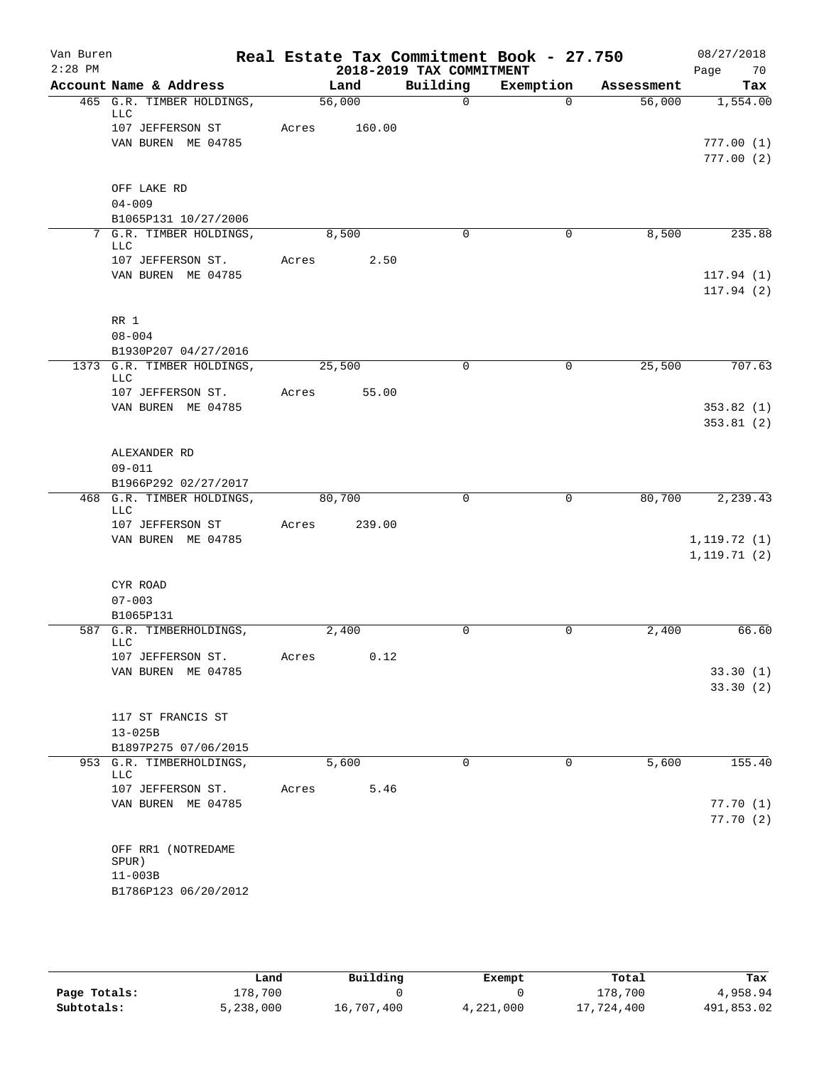| Real Estate Tax Commitment Book - 27.750<br>$2:28$ PM<br>2018-2019 TAX COMMITMENT<br>Page<br>Building<br>Account Name & Address<br>Exemption<br>Land<br>Assessment<br>465 G.R. TIMBER HOLDINGS,<br>56,000<br>$\Omega$<br>$\Omega$<br>56,000<br>LLC<br>107 JEFFERSON ST<br>Acres<br>160.00<br>VAN BUREN ME 04785<br>OFF LAKE RD<br>$04 - 009$<br>B1065P131 10/27/2006<br>7 G.R. TIMBER HOLDINGS,<br>8,500<br>8,500<br>$\Omega$<br>0<br>LLC<br>2.50<br>107 JEFFERSON ST.<br>Acres<br>VAN BUREN ME 04785<br>RR 1<br>$08 - 004$<br>B1930P207 04/27/2016<br>25,500<br>1373 G.R. TIMBER HOLDINGS,<br>25,500<br>$\mathbf 0$<br>0<br>LLC | 70<br>Tax<br>1,554.00            |
|----------------------------------------------------------------------------------------------------------------------------------------------------------------------------------------------------------------------------------------------------------------------------------------------------------------------------------------------------------------------------------------------------------------------------------------------------------------------------------------------------------------------------------------------------------------------------------------------------------------------------------|----------------------------------|
|                                                                                                                                                                                                                                                                                                                                                                                                                                                                                                                                                                                                                                  |                                  |
|                                                                                                                                                                                                                                                                                                                                                                                                                                                                                                                                                                                                                                  | 777.00(1)<br>777.00(2)           |
|                                                                                                                                                                                                                                                                                                                                                                                                                                                                                                                                                                                                                                  |                                  |
|                                                                                                                                                                                                                                                                                                                                                                                                                                                                                                                                                                                                                                  |                                  |
|                                                                                                                                                                                                                                                                                                                                                                                                                                                                                                                                                                                                                                  |                                  |
|                                                                                                                                                                                                                                                                                                                                                                                                                                                                                                                                                                                                                                  |                                  |
|                                                                                                                                                                                                                                                                                                                                                                                                                                                                                                                                                                                                                                  | 235.88<br>117.94(1)<br>117.94(2) |
|                                                                                                                                                                                                                                                                                                                                                                                                                                                                                                                                                                                                                                  |                                  |
|                                                                                                                                                                                                                                                                                                                                                                                                                                                                                                                                                                                                                                  |                                  |
|                                                                                                                                                                                                                                                                                                                                                                                                                                                                                                                                                                                                                                  |                                  |
|                                                                                                                                                                                                                                                                                                                                                                                                                                                                                                                                                                                                                                  |                                  |
|                                                                                                                                                                                                                                                                                                                                                                                                                                                                                                                                                                                                                                  |                                  |
|                                                                                                                                                                                                                                                                                                                                                                                                                                                                                                                                                                                                                                  |                                  |
|                                                                                                                                                                                                                                                                                                                                                                                                                                                                                                                                                                                                                                  |                                  |
|                                                                                                                                                                                                                                                                                                                                                                                                                                                                                                                                                                                                                                  |                                  |
|                                                                                                                                                                                                                                                                                                                                                                                                                                                                                                                                                                                                                                  |                                  |
|                                                                                                                                                                                                                                                                                                                                                                                                                                                                                                                                                                                                                                  |                                  |
|                                                                                                                                                                                                                                                                                                                                                                                                                                                                                                                                                                                                                                  | 707.63                           |
| 107 JEFFERSON ST.<br>Acres<br>55.00                                                                                                                                                                                                                                                                                                                                                                                                                                                                                                                                                                                              |                                  |
| VAN BUREN ME 04785                                                                                                                                                                                                                                                                                                                                                                                                                                                                                                                                                                                                               | 353.82(1)                        |
|                                                                                                                                                                                                                                                                                                                                                                                                                                                                                                                                                                                                                                  | 353.81(2)                        |
|                                                                                                                                                                                                                                                                                                                                                                                                                                                                                                                                                                                                                                  |                                  |
| ALEXANDER RD                                                                                                                                                                                                                                                                                                                                                                                                                                                                                                                                                                                                                     |                                  |
| $09 - 011$                                                                                                                                                                                                                                                                                                                                                                                                                                                                                                                                                                                                                       |                                  |
| B1966P292 02/27/2017<br>468 G.R. TIMBER HOLDINGS,<br>80,700<br>$\mathbf 0$<br>0<br>80,700                                                                                                                                                                                                                                                                                                                                                                                                                                                                                                                                        | 2,239.43                         |
| LLC                                                                                                                                                                                                                                                                                                                                                                                                                                                                                                                                                                                                                              |                                  |
| 107 JEFFERSON ST<br>239.00<br>Acres                                                                                                                                                                                                                                                                                                                                                                                                                                                                                                                                                                                              |                                  |
| VAN BUREN ME 04785                                                                                                                                                                                                                                                                                                                                                                                                                                                                                                                                                                                                               | 1, 119.72(1)                     |
|                                                                                                                                                                                                                                                                                                                                                                                                                                                                                                                                                                                                                                  | 1, 119.71(2)                     |
| CYR ROAD                                                                                                                                                                                                                                                                                                                                                                                                                                                                                                                                                                                                                         |                                  |
| $07 - 003$                                                                                                                                                                                                                                                                                                                                                                                                                                                                                                                                                                                                                       |                                  |
| B1065P131                                                                                                                                                                                                                                                                                                                                                                                                                                                                                                                                                                                                                        |                                  |
| 587 G.R. TIMBERHOLDINGS,<br>2,400<br>0<br>0<br>2,400                                                                                                                                                                                                                                                                                                                                                                                                                                                                                                                                                                             | 66.60                            |
| LLC                                                                                                                                                                                                                                                                                                                                                                                                                                                                                                                                                                                                                              |                                  |
| 0.12<br>107 JEFFERSON ST.<br>Acres<br>VAN BUREN ME 04785                                                                                                                                                                                                                                                                                                                                                                                                                                                                                                                                                                         | 33.30(1)                         |
|                                                                                                                                                                                                                                                                                                                                                                                                                                                                                                                                                                                                                                  | 33.30(2)                         |
|                                                                                                                                                                                                                                                                                                                                                                                                                                                                                                                                                                                                                                  |                                  |
| 117 ST FRANCIS ST                                                                                                                                                                                                                                                                                                                                                                                                                                                                                                                                                                                                                |                                  |
| $13 - 025B$                                                                                                                                                                                                                                                                                                                                                                                                                                                                                                                                                                                                                      |                                  |
| B1897P275 07/06/2015<br>5,600<br>$\mathbf 0$<br>953 G.R. TIMBERHOLDINGS,<br>0                                                                                                                                                                                                                                                                                                                                                                                                                                                                                                                                                    | 155.40                           |
| 5,600<br>LLC                                                                                                                                                                                                                                                                                                                                                                                                                                                                                                                                                                                                                     |                                  |
| 5.46<br>107 JEFFERSON ST.<br>Acres                                                                                                                                                                                                                                                                                                                                                                                                                                                                                                                                                                                               |                                  |
| VAN BUREN ME 04785                                                                                                                                                                                                                                                                                                                                                                                                                                                                                                                                                                                                               | 77.70(1)                         |
|                                                                                                                                                                                                                                                                                                                                                                                                                                                                                                                                                                                                                                  | 77.70(2)                         |
|                                                                                                                                                                                                                                                                                                                                                                                                                                                                                                                                                                                                                                  |                                  |
| OFF RR1 (NOTREDAME<br>SPUR)                                                                                                                                                                                                                                                                                                                                                                                                                                                                                                                                                                                                      |                                  |
| $11 - 003B$                                                                                                                                                                                                                                                                                                                                                                                                                                                                                                                                                                                                                      |                                  |
| B1786P123 06/20/2012                                                                                                                                                                                                                                                                                                                                                                                                                                                                                                                                                                                                             |                                  |

|              | Land      | Building   | Exempt    | Total      | Tax        |
|--------------|-----------|------------|-----------|------------|------------|
| Page Totals: | 178,700   |            |           | 178,700    | 4,958.94   |
| Subtotals:   | 5,238,000 | 16,707,400 | 4,221,000 | 17,724,400 | 491,853.02 |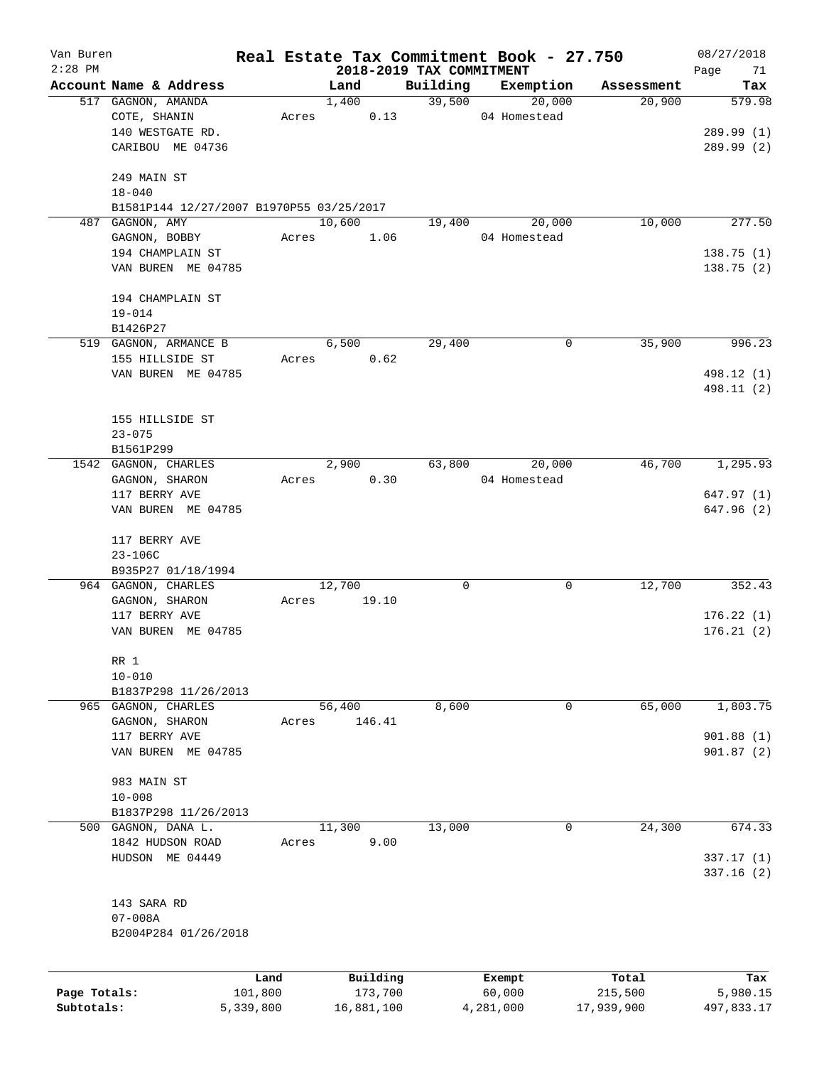| Van Buren    |                                          |           |       |               |            |                          | Real Estate Tax Commitment Book - 27.750 |                      | 08/27/2018    |
|--------------|------------------------------------------|-----------|-------|---------------|------------|--------------------------|------------------------------------------|----------------------|---------------|
| $2:28$ PM    | Account Name & Address                   |           |       |               |            | 2018-2019 TAX COMMITMENT |                                          |                      | Page<br>71    |
|              | 517 GAGNON, AMANDA                       |           |       | Land<br>1,400 |            | Building<br>39,500       | Exemption<br>20,000                      | Assessment<br>20,900 | Tax<br>579.98 |
|              | COTE, SHANIN                             |           | Acres |               | 0.13       |                          | 04 Homestead                             |                      |               |
|              | 140 WESTGATE RD.                         |           |       |               |            |                          |                                          |                      | 289.99(1)     |
|              | CARIBOU ME 04736                         |           |       |               |            |                          |                                          |                      | 289.99(2)     |
|              |                                          |           |       |               |            |                          |                                          |                      |               |
|              | 249 MAIN ST                              |           |       |               |            |                          |                                          |                      |               |
|              | $18 - 040$                               |           |       |               |            |                          |                                          |                      |               |
|              | B1581P144 12/27/2007 B1970P55 03/25/2017 |           |       |               |            |                          |                                          |                      |               |
|              | 487 GAGNON, AMY                          |           |       | 10,600        |            | 19,400                   | 20,000                                   | 10,000               | 277.50        |
|              | GAGNON, BOBBY                            |           | Acres |               | 1.06       |                          | 04 Homestead                             |                      |               |
|              | 194 CHAMPLAIN ST                         |           |       |               |            |                          |                                          |                      | 138.75(1)     |
|              | VAN BUREN ME 04785                       |           |       |               |            |                          |                                          |                      | 138.75(2)     |
|              | 194 CHAMPLAIN ST                         |           |       |               |            |                          |                                          |                      |               |
|              | $19 - 014$                               |           |       |               |            |                          |                                          |                      |               |
|              | B1426P27                                 |           |       |               |            |                          |                                          |                      |               |
|              | 519 GAGNON, ARMANCE B                    |           |       | 6,500         |            | 29,400                   | 0                                        | 35,900               | 996.23        |
|              | 155 HILLSIDE ST                          |           | Acres |               | 0.62       |                          |                                          |                      |               |
|              | VAN BUREN ME 04785                       |           |       |               |            |                          |                                          |                      | 498.12 (1)    |
|              |                                          |           |       |               |            |                          |                                          |                      | 498.11 (2)    |
|              |                                          |           |       |               |            |                          |                                          |                      |               |
|              | 155 HILLSIDE ST                          |           |       |               |            |                          |                                          |                      |               |
|              | $23 - 075$                               |           |       |               |            |                          |                                          |                      |               |
|              | B1561P299                                |           |       |               |            |                          |                                          |                      |               |
|              | 1542 GAGNON, CHARLES                     |           |       | 2,900         |            | 63,800                   | 20,000                                   | 46,700               | 1,295.93      |
|              | GAGNON, SHARON                           |           | Acres |               | 0.30       |                          | 04 Homestead                             |                      |               |
|              | 117 BERRY AVE                            |           |       |               |            |                          |                                          |                      | 647.97(1)     |
|              | VAN BUREN ME 04785                       |           |       |               |            |                          |                                          |                      | 647.96 (2)    |
|              | 117 BERRY AVE                            |           |       |               |            |                          |                                          |                      |               |
|              | $23 - 106C$                              |           |       |               |            |                          |                                          |                      |               |
|              | B935P27 01/18/1994                       |           |       |               |            |                          |                                          |                      |               |
|              | 964 GAGNON, CHARLES                      |           |       | 12,700        |            | 0                        | 0                                        | 12,700               | 352.43        |
|              | GAGNON, SHARON                           |           | Acres |               | 19.10      |                          |                                          |                      |               |
|              | 117 BERRY AVE                            |           |       |               |            |                          |                                          |                      | 176.22(1)     |
|              | VAN BUREN ME 04785                       |           |       |               |            |                          |                                          |                      | 176.21(2)     |
|              | RR 1                                     |           |       |               |            |                          |                                          |                      |               |
|              | $10 - 010$                               |           |       |               |            |                          |                                          |                      |               |
|              | B1837P298 11/26/2013                     |           |       |               |            |                          |                                          |                      |               |
|              | 965 GAGNON, CHARLES                      |           |       | 56,400        |            | 8,600                    | 0                                        | 65,000               | 1,803.75      |
|              | GAGNON, SHARON                           |           | Acres |               | 146.41     |                          |                                          |                      |               |
|              | 117 BERRY AVE                            |           |       |               |            |                          |                                          |                      | 901.88(1)     |
|              | VAN BUREN ME 04785                       |           |       |               |            |                          |                                          |                      | 901.87(2)     |
| 500          | 983 MAIN ST                              |           |       |               |            |                          |                                          |                      |               |
|              | $10 - 008$                               |           |       |               |            |                          |                                          |                      |               |
|              | B1837P298 11/26/2013                     |           |       |               |            |                          |                                          |                      |               |
|              | GAGNON, DANA L.                          |           |       | 11,300        |            | 13,000                   | 0                                        | 24,300               | 674.33        |
|              | 1842 HUDSON ROAD                         |           | Acres |               | 9.00       |                          |                                          |                      |               |
|              | HUDSON ME 04449                          |           |       |               |            |                          |                                          |                      | 337.17 (1)    |
|              |                                          |           |       |               |            |                          |                                          |                      | 337.16(2)     |
|              | 143 SARA RD                              |           |       |               |            |                          |                                          |                      |               |
|              | $07 - 008A$                              |           |       |               |            |                          |                                          |                      |               |
|              | B2004P284 01/26/2018                     |           |       |               |            |                          |                                          |                      |               |
|              |                                          |           |       |               |            |                          |                                          |                      |               |
|              |                                          | Land      |       |               | Building   |                          | Exempt                                   | Total                | Tax           |
| Page Totals: |                                          | 101,800   |       |               | 173,700    |                          | 60,000                                   | 215,500              | 5,980.15      |
| Subtotals:   |                                          | 5,339,800 |       |               | 16,881,100 |                          | 4,281,000                                | 17,939,900           | 497,833.17    |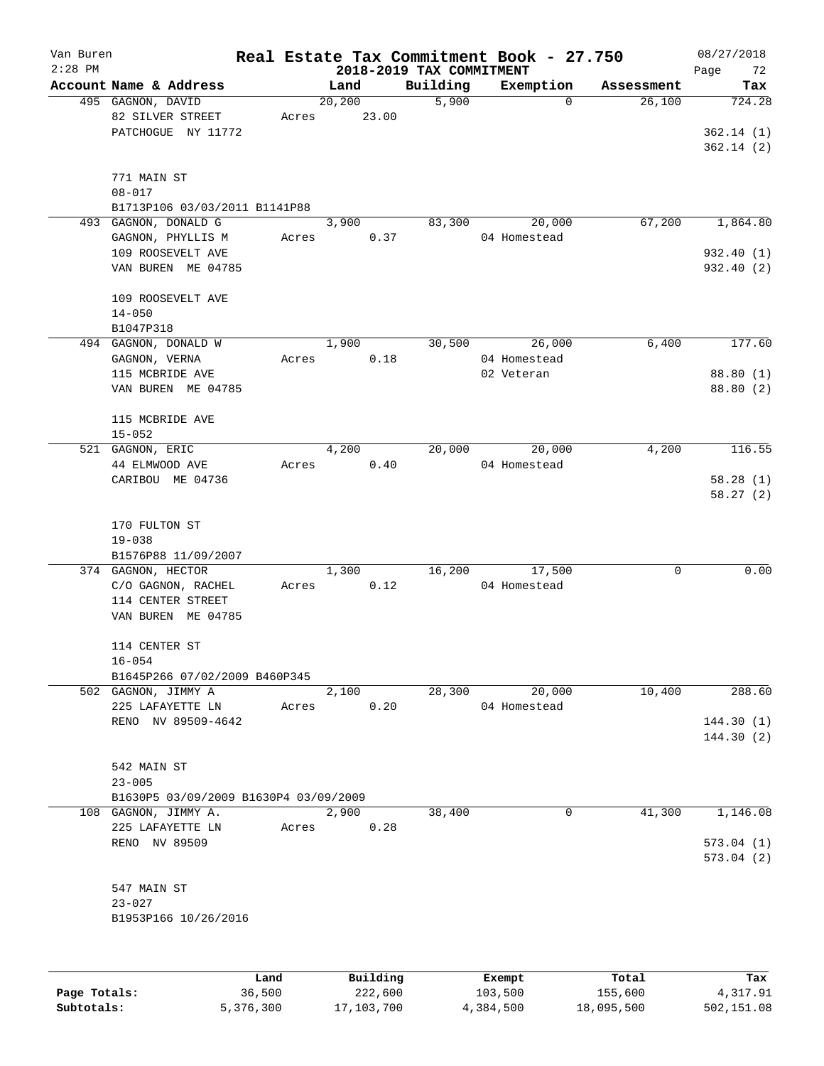| Van Buren<br>$2:28$ PM |                                       |        |          | 2018-2019 TAX COMMITMENT | Real Estate Tax Commitment Book - 27.750 |            | 08/27/2018<br>Page<br>72 |
|------------------------|---------------------------------------|--------|----------|--------------------------|------------------------------------------|------------|--------------------------|
|                        | Account Name & Address                |        | Land     | Building                 | Exemption                                | Assessment | Tax                      |
|                        | 495 GAGNON, DAVID                     |        | 20, 200  | 5,900                    | $\Omega$                                 | 26,100     | 724.28                   |
|                        | 82 SILVER STREET                      | Acres  | 23.00    |                          |                                          |            |                          |
|                        | PATCHOGUE NY 11772                    |        |          |                          |                                          |            | 362.14(1)                |
|                        |                                       |        |          |                          |                                          |            | 362.14(2)                |
|                        |                                       |        |          |                          |                                          |            |                          |
|                        | 771 MAIN ST                           |        |          |                          |                                          |            |                          |
|                        | $08 - 017$                            |        |          |                          |                                          |            |                          |
|                        | B1713P106 03/03/2011 B1141P88         |        |          |                          |                                          |            |                          |
| 493                    | GAGNON, DONALD G                      |        | 3,900    | 83,300                   | 20,000                                   | 67,200     | 1,864.80                 |
|                        | GAGNON, PHYLLIS M                     | Acres  | 0.37     |                          | 04 Homestead                             |            |                          |
|                        | 109 ROOSEVELT AVE                     |        |          |                          |                                          |            | 932.40 (1)               |
|                        | VAN BUREN ME 04785                    |        |          |                          |                                          |            | 932.40 (2)               |
|                        |                                       |        |          |                          |                                          |            |                          |
|                        |                                       |        |          |                          |                                          |            |                          |
|                        | 109 ROOSEVELT AVE                     |        |          |                          |                                          |            |                          |
|                        | $14 - 050$                            |        |          |                          |                                          |            |                          |
|                        | B1047P318                             |        |          |                          |                                          |            |                          |
|                        | 494 GAGNON, DONALD W                  |        | 1,900    | 30,500                   | 26,000                                   | 6,400      | 177.60                   |
|                        | GAGNON, VERNA                         | Acres  | 0.18     |                          | 04 Homestead                             |            |                          |
|                        | 115 MCBRIDE AVE                       |        |          |                          | 02 Veteran                               |            | 88.80 (1)                |
|                        | VAN BUREN ME 04785                    |        |          |                          |                                          |            | 88.80 (2)                |
|                        |                                       |        |          |                          |                                          |            |                          |
|                        | 115 MCBRIDE AVE                       |        |          |                          |                                          |            |                          |
|                        | $15 - 052$                            |        |          |                          |                                          |            |                          |
|                        | 521 GAGNON, ERIC                      |        | 4,200    | 20,000                   | 20,000                                   | 4,200      | 116.55                   |
|                        | 44 ELMWOOD AVE                        | Acres  | 0.40     |                          | 04 Homestead                             |            |                          |
|                        | CARIBOU ME 04736                      |        |          |                          |                                          |            | 58.28(1)                 |
|                        |                                       |        |          |                          |                                          |            | 58.27(2)                 |
|                        |                                       |        |          |                          |                                          |            |                          |
|                        | 170 FULTON ST                         |        |          |                          |                                          |            |                          |
|                        | $19 - 038$                            |        |          |                          |                                          |            |                          |
|                        | B1576P88 11/09/2007                   |        |          |                          |                                          |            |                          |
|                        | 374 GAGNON, HECTOR                    |        | 1,300    | 16,200                   | 17,500                                   | 0          | 0.00                     |
|                        | C/O GAGNON, RACHEL                    | Acres  | 0.12     |                          | 04 Homestead                             |            |                          |
|                        | 114 CENTER STREET                     |        |          |                          |                                          |            |                          |
|                        | VAN BUREN ME 04785                    |        |          |                          |                                          |            |                          |
|                        |                                       |        |          |                          |                                          |            |                          |
|                        | 114 CENTER ST                         |        |          |                          |                                          |            |                          |
|                        | $16 - 054$                            |        |          |                          |                                          |            |                          |
|                        | B1645P266 07/02/2009 B460P345         |        |          |                          |                                          |            |                          |
|                        | 502 GAGNON, JIMMY A                   |        | 2,100    | 28,300                   | 20,000                                   | 10,400     | 288.60                   |
|                        | 225 LAFAYETTE LN                      | Acres  | 0.20     |                          | 04 Homestead                             |            |                          |
|                        | RENO NV 89509-4642                    |        |          |                          |                                          |            | 144.30(1)                |
|                        |                                       |        |          |                          |                                          |            | 144.30(2)                |
|                        |                                       |        |          |                          |                                          |            |                          |
|                        | 542 MAIN ST                           |        |          |                          |                                          |            |                          |
|                        | $23 - 005$                            |        |          |                          |                                          |            |                          |
|                        | B1630P5 03/09/2009 B1630P4 03/09/2009 |        |          |                          |                                          |            |                          |
|                        | 108 GAGNON, JIMMY A.                  |        | 2,900    | 38,400                   | 0                                        | 41,300     | 1,146.08                 |
|                        | 225 LAFAYETTE LN                      | Acres  | 0.28     |                          |                                          |            |                          |
|                        | RENO NV 89509                         |        |          |                          |                                          |            | 573.04(1)                |
|                        |                                       |        |          |                          |                                          |            | 573.04 (2)               |
|                        |                                       |        |          |                          |                                          |            |                          |
|                        | 547 MAIN ST                           |        |          |                          |                                          |            |                          |
|                        |                                       |        |          |                          |                                          |            |                          |
|                        | $23 - 027$                            |        |          |                          |                                          |            |                          |
|                        | B1953P166 10/26/2016                  |        |          |                          |                                          |            |                          |
|                        |                                       |        |          |                          |                                          |            |                          |
|                        |                                       |        |          |                          |                                          |            |                          |
|                        |                                       | Land   | Building |                          |                                          | Total      | Tax                      |
| Page Totals:           |                                       | 36,500 | 222,600  |                          | Exempt<br>103,500                        | 155,600    | 4,317.91                 |
|                        |                                       |        |          |                          |                                          |            |                          |

**Subtotals:** 5,376,300 17,103,700 4,384,500 18,095,500 502,151.08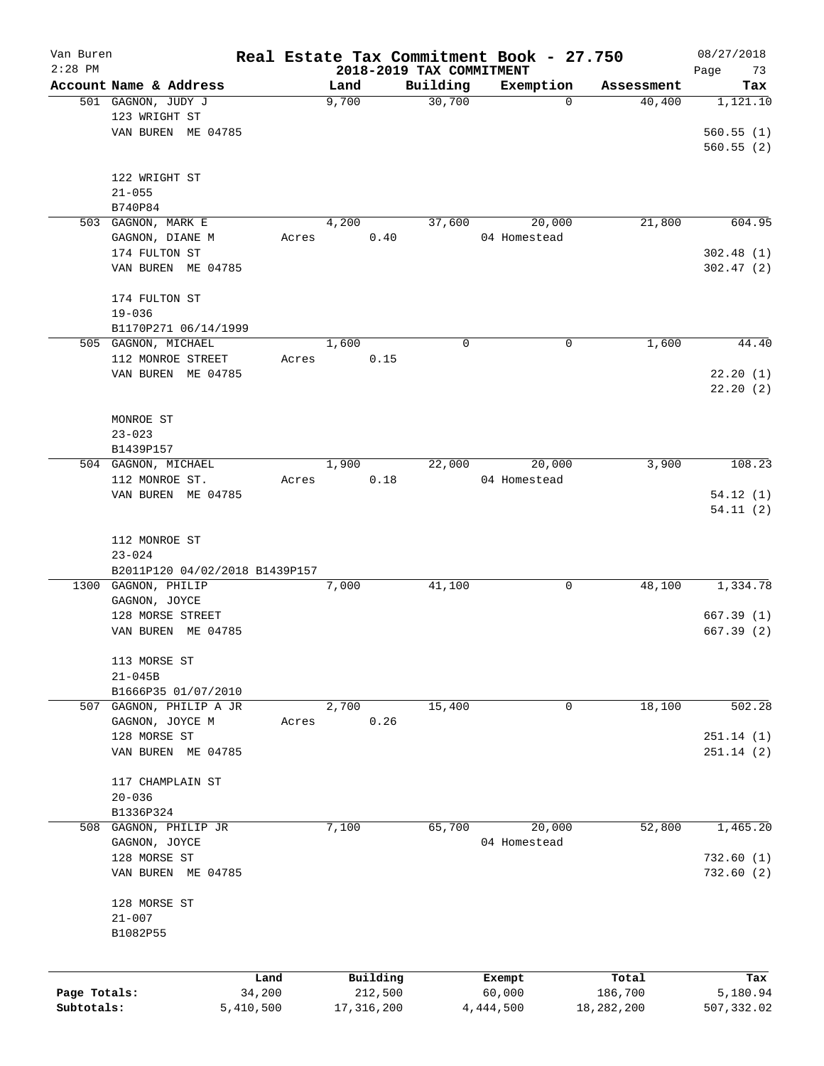| Van Buren    |                                |        |       |              |                          | Real Estate Tax Commitment Book - 27.750 |            | 08/27/2018 |
|--------------|--------------------------------|--------|-------|--------------|--------------------------|------------------------------------------|------------|------------|
| $2:28$ PM    |                                |        |       |              | 2018-2019 TAX COMMITMENT |                                          |            | Page<br>73 |
|              | Account Name & Address         |        | Land  |              | Building                 | Exemption                                | Assessment | Tax        |
|              | 501 GAGNON, JUDY J             |        | 9,700 |              | 30,700                   | $\mathbf 0$                              | 40,400     | 1,121.10   |
|              | 123 WRIGHT ST                  |        |       |              |                          |                                          |            |            |
|              | VAN BUREN ME 04785             |        |       |              |                          |                                          |            | 560.55(1)  |
|              |                                |        |       |              |                          |                                          |            | 560.55(2)  |
|              | 122 WRIGHT ST                  |        |       |              |                          |                                          |            |            |
|              | $21 - 055$                     |        |       |              |                          |                                          |            |            |
|              | B740P84                        |        |       |              |                          |                                          |            |            |
|              | 503 GAGNON, MARK E             |        | 4,200 |              | 37,600                   | 20,000                                   | 21,800     | 604.95     |
|              | GAGNON, DIANE M                | Acres  |       | 0.40         |                          | 04 Homestead                             |            |            |
|              | 174 FULTON ST                  |        |       |              |                          |                                          |            | 302.48(1)  |
|              | VAN BUREN ME 04785             |        |       |              |                          |                                          |            | 302.47(2)  |
|              |                                |        |       |              |                          |                                          |            |            |
|              | 174 FULTON ST                  |        |       |              |                          |                                          |            |            |
|              | $19 - 036$                     |        |       |              |                          |                                          |            |            |
|              | B1170P271 06/14/1999           |        |       |              |                          |                                          |            |            |
|              | 505 GAGNON, MICHAEL            |        | 1,600 |              | 0                        | 0                                        | 1,600      | 44.40      |
|              | 112 MONROE STREET              | Acres  |       | 0.15         |                          |                                          |            |            |
|              | VAN BUREN ME 04785             |        |       |              |                          |                                          |            | 22.20(1)   |
|              |                                |        |       |              |                          |                                          |            | 22.20(2)   |
|              |                                |        |       |              |                          |                                          |            |            |
|              | MONROE ST                      |        |       |              |                          |                                          |            |            |
|              | $23 - 023$                     |        |       |              |                          |                                          |            |            |
|              | B1439P157                      |        |       |              |                          |                                          |            |            |
|              | 504 GAGNON, MICHAEL            |        | 1,900 |              | 22,000                   | 20,000                                   | 3,900      | 108.23     |
|              | 112 MONROE ST.                 | Acres  |       | 0.18         |                          | 04 Homestead                             |            |            |
|              | VAN BUREN ME 04785             |        |       |              |                          |                                          |            | 54.12(1)   |
|              |                                |        |       |              |                          |                                          |            | 54.11(2)   |
|              |                                |        |       |              |                          |                                          |            |            |
|              | 112 MONROE ST                  |        |       |              |                          |                                          |            |            |
|              | $23 - 024$                     |        |       |              |                          |                                          |            |            |
|              | B2011P120 04/02/2018 B1439P157 |        |       |              |                          |                                          |            |            |
|              | 1300 GAGNON, PHILIP            |        | 7,000 |              | 41,100                   | 0                                        | 48,100     | 1,334.78   |
|              | GAGNON, JOYCE                  |        |       |              |                          |                                          |            |            |
|              | 128 MORSE STREET               |        |       |              |                          |                                          |            | 667.39(1)  |
|              | VAN BUREN ME 04785             |        |       |              |                          |                                          |            | 667.39(2)  |
|              |                                |        |       |              |                          |                                          |            |            |
|              | 113 MORSE ST                   |        |       |              |                          |                                          |            |            |
|              | $21 - 045B$                    |        |       |              |                          |                                          |            |            |
|              | B1666P35 01/07/2010            |        |       |              |                          |                                          |            |            |
| 507          | GAGNON, PHILIP A JR            |        | 2,700 |              | 15,400                   | 0                                        | 18,100     | 502.28     |
|              | GAGNON, JOYCE M                | Acres  |       | 0.26         |                          |                                          |            |            |
|              | 128 MORSE ST                   |        |       |              |                          |                                          |            | 251.14 (1) |
|              | VAN BUREN ME 04785             |        |       |              |                          |                                          |            | 251.14(2)  |
|              |                                |        |       |              |                          |                                          |            |            |
|              | 117 CHAMPLAIN ST               |        |       |              |                          |                                          |            |            |
|              | $20 - 036$                     |        |       |              |                          |                                          |            |            |
|              | B1336P324                      |        |       |              |                          |                                          |            |            |
| 508          | GAGNON, PHILIP JR              |        | 7,100 |              | 65,700                   | 20,000                                   | 52,800     | 1,465.20   |
|              | GAGNON, JOYCE                  |        |       |              |                          | 04 Homestead                             |            |            |
|              | 128 MORSE ST                   |        |       |              |                          |                                          |            | 732.60 (1) |
|              | VAN BUREN ME 04785             |        |       |              |                          |                                          |            | 732.60(2)  |
|              |                                |        |       |              |                          |                                          |            |            |
|              | 128 MORSE ST                   |        |       |              |                          |                                          |            |            |
|              | $21 - 007$                     |        |       |              |                          |                                          |            |            |
|              | B1082P55                       |        |       |              |                          |                                          |            |            |
|              |                                |        |       |              |                          |                                          |            |            |
|              |                                |        |       |              |                          |                                          |            |            |
|              |                                | Land   |       | Building     |                          | Exempt                                   | Total      | Tax        |
| Page Totals: |                                | 34,200 |       | 212,500      |                          | 60,000                                   | 186,700    | 5,180.94   |
| Subtotals:   | 5,410,500                      |        |       | 17, 316, 200 |                          | 4,444,500                                | 18,282,200 | 507,332.02 |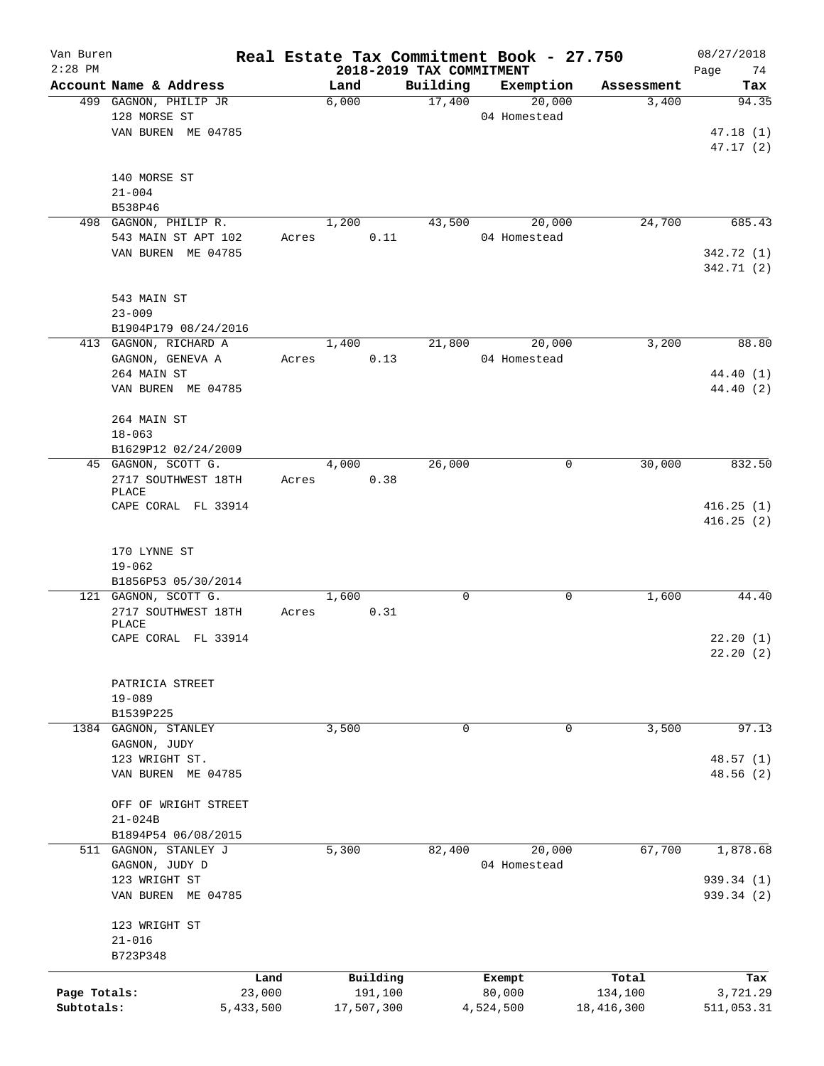| Van Buren    |                              |           |       |            |                          | Real Estate Tax Commitment Book - 27.750 |            | 08/27/2018 |
|--------------|------------------------------|-----------|-------|------------|--------------------------|------------------------------------------|------------|------------|
| $2:28$ PM    |                              |           |       |            | 2018-2019 TAX COMMITMENT |                                          |            | 74<br>Page |
|              | Account Name & Address       |           | Land  |            | Building                 | Exemption                                | Assessment | Tax        |
|              | 499 GAGNON, PHILIP JR        |           | 6,000 |            | 17,400                   | 20,000                                   | 3,400      | 94.35      |
|              | 128 MORSE ST                 |           |       |            |                          | 04 Homestead                             |            |            |
|              | VAN BUREN ME 04785           |           |       |            |                          |                                          |            | 47.18(1)   |
|              |                              |           |       |            |                          |                                          |            | 47.17(2)   |
|              | 140 MORSE ST                 |           |       |            |                          |                                          |            |            |
|              | $21 - 004$                   |           |       |            |                          |                                          |            |            |
|              | B538P46                      |           |       |            |                          |                                          |            |            |
|              | 498 GAGNON, PHILIP R.        |           | 1,200 |            | 43,500                   | 20,000                                   | 24,700     | 685.43     |
|              | 543 MAIN ST APT 102          |           |       | 0.11       |                          | 04 Homestead                             |            |            |
|              |                              | Acres     |       |            |                          |                                          |            |            |
|              | VAN BUREN ME 04785           |           |       |            |                          |                                          |            | 342.72 (1) |
|              |                              |           |       |            |                          |                                          |            | 342.71 (2) |
|              | 543 MAIN ST                  |           |       |            |                          |                                          |            |            |
|              | $23 - 009$                   |           |       |            |                          |                                          |            |            |
|              |                              |           |       |            |                          |                                          |            |            |
|              | B1904P179 08/24/2016         |           |       |            |                          |                                          |            |            |
|              | 413 GAGNON, RICHARD A        |           | 1,400 |            | 21,800                   | 20,000                                   | 3,200      | 88.80      |
|              | GAGNON, GENEVA A             | Acres     |       | 0.13       |                          | 04 Homestead                             |            |            |
|              | 264 MAIN ST                  |           |       |            |                          |                                          |            | 44.40 (1)  |
|              | VAN BUREN ME 04785           |           |       |            |                          |                                          |            | 44.40 (2)  |
|              |                              |           |       |            |                          |                                          |            |            |
|              | 264 MAIN ST                  |           |       |            |                          |                                          |            |            |
|              | $18 - 063$                   |           |       |            |                          |                                          |            |            |
|              | B1629P12 02/24/2009          |           |       |            |                          |                                          |            |            |
|              | 45 GAGNON, SCOTT G.          |           | 4,000 |            | 26,000                   | 0                                        | 30,000     | 832.50     |
|              | 2717 SOUTHWEST 18TH          | Acres     |       | 0.38       |                          |                                          |            |            |
|              | PLACE                        |           |       |            |                          |                                          |            |            |
|              | CAPE CORAL FL 33914          |           |       |            |                          |                                          |            | 416.25(1)  |
|              |                              |           |       |            |                          |                                          |            | 416.25(2)  |
|              |                              |           |       |            |                          |                                          |            |            |
|              | 170 LYNNE ST                 |           |       |            |                          |                                          |            |            |
|              | $19 - 062$                   |           |       |            |                          |                                          |            |            |
|              | B1856P53 05/30/2014          |           |       |            |                          |                                          |            |            |
|              | 121 GAGNON, SCOTT G.         |           | 1,600 |            | $\mathbf 0$              | 0                                        | 1,600      | 44.40      |
|              | 2717 SOUTHWEST 18TH          | Acres     |       | 0.31       |                          |                                          |            |            |
|              | PLACE<br>CAPE CORAL FL 33914 |           |       |            |                          |                                          |            | 22.20(1)   |
|              |                              |           |       |            |                          |                                          |            | 22.20(2)   |
|              |                              |           |       |            |                          |                                          |            |            |
|              | PATRICIA STREET              |           |       |            |                          |                                          |            |            |
|              | $19 - 089$                   |           |       |            |                          |                                          |            |            |
|              | B1539P225                    |           |       |            |                          |                                          |            |            |
| 1384         | GAGNON, STANLEY              |           | 3,500 |            | 0                        | 0                                        | 3,500      | 97.13      |
|              |                              |           |       |            |                          |                                          |            |            |
|              | GAGNON, JUDY                 |           |       |            |                          |                                          |            |            |
|              | 123 WRIGHT ST.               |           |       |            |                          |                                          |            | 48.57(1)   |
|              | VAN BUREN ME 04785           |           |       |            |                          |                                          |            | 48.56 (2)  |
|              |                              |           |       |            |                          |                                          |            |            |
|              | OFF OF WRIGHT STREET         |           |       |            |                          |                                          |            |            |
|              | $21 - 024B$                  |           |       |            |                          |                                          |            |            |
|              | B1894P54 06/08/2015          |           |       |            |                          |                                          |            |            |
|              | 511 GAGNON, STANLEY J        |           | 5,300 |            | 82,400                   | 20,000                                   | 67,700     | 1,878.68   |
|              | GAGNON, JUDY D               |           |       |            |                          | 04 Homestead                             |            |            |
|              | 123 WRIGHT ST                |           |       |            |                          |                                          |            | 939.34 (1) |
|              | VAN BUREN ME 04785           |           |       |            |                          |                                          |            | 939.34 (2) |
|              |                              |           |       |            |                          |                                          |            |            |
|              | 123 WRIGHT ST                |           |       |            |                          |                                          |            |            |
|              | $21 - 016$                   |           |       |            |                          |                                          |            |            |
|              | B723P348                     |           |       |            |                          |                                          |            |            |
|              |                              | Land      |       | Building   |                          | Exempt                                   | Total      | Tax        |
| Page Totals: |                              | 23,000    |       | 191,100    |                          | 80,000                                   | 134,100    | 3,721.29   |
| Subtotals:   |                              | 5,433,500 |       | 17,507,300 |                          | 4,524,500                                | 18,416,300 | 511,053.31 |
|              |                              |           |       |            |                          |                                          |            |            |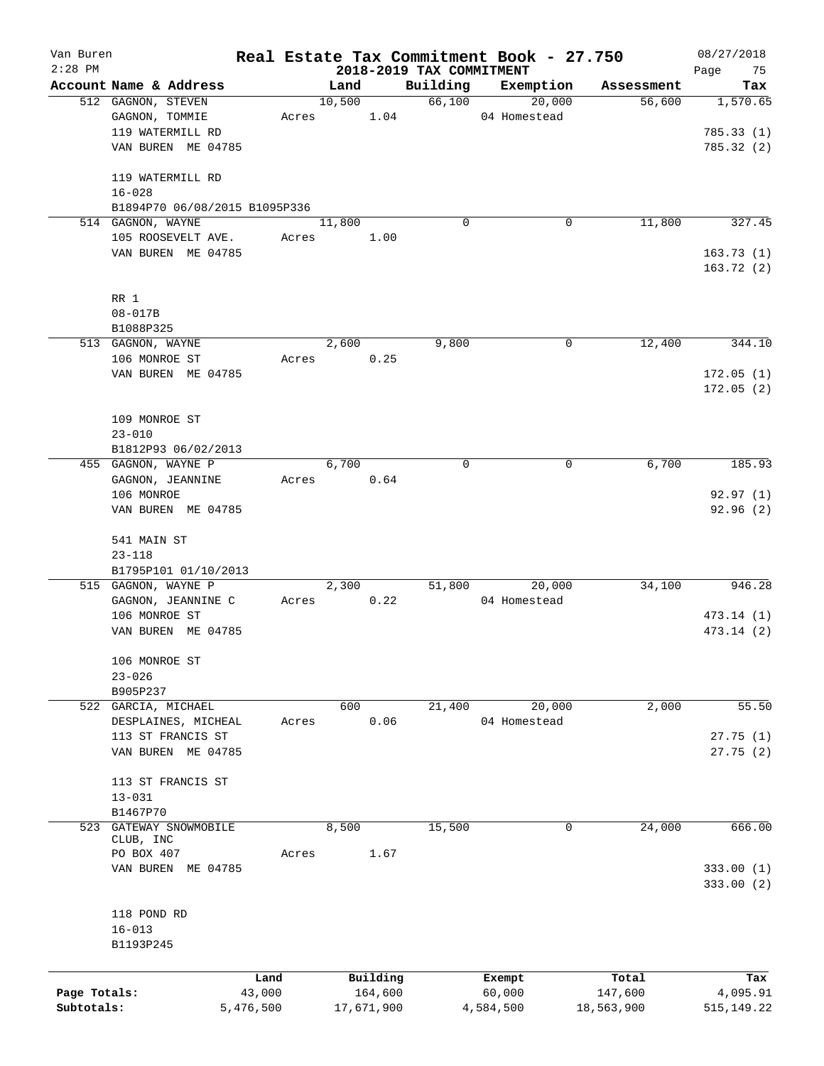| Van Buren    |                               |           |        |            |                                      | Real Estate Tax Commitment Book - 27.750 |                      | 08/27/2018      |
|--------------|-------------------------------|-----------|--------|------------|--------------------------------------|------------------------------------------|----------------------|-----------------|
| $2:28$ PM    | Account Name & Address        |           | Land   |            | 2018-2019 TAX COMMITMENT<br>Building | Exemption                                |                      | Page<br>75      |
|              | 512 GAGNON, STEVEN            |           | 10,500 |            | 66,100                               | 20,000                                   | Assessment<br>56,600 | Tax<br>1,570.65 |
|              | GAGNON, TOMMIE                | Acres     |        | 1.04       |                                      | 04 Homestead                             |                      |                 |
|              | 119 WATERMILL RD              |           |        |            |                                      |                                          |                      | 785.33(1)       |
|              | VAN BUREN ME 04785            |           |        |            |                                      |                                          |                      | 785.32 (2)      |
|              |                               |           |        |            |                                      |                                          |                      |                 |
|              | 119 WATERMILL RD              |           |        |            |                                      |                                          |                      |                 |
|              | $16 - 028$                    |           |        |            |                                      |                                          |                      |                 |
|              | B1894P70 06/08/2015 B1095P336 |           |        |            |                                      |                                          |                      |                 |
|              | 514 GAGNON, WAYNE             |           | 11,800 |            | $\Omega$                             | 0                                        | 11,800               | 327.45          |
|              | 105 ROOSEVELT AVE.            | Acres     |        | 1.00       |                                      |                                          |                      |                 |
|              | VAN BUREN ME 04785            |           |        |            |                                      |                                          |                      | 163.73(1)       |
|              |                               |           |        |            |                                      |                                          |                      | 163.72(2)       |
|              |                               |           |        |            |                                      |                                          |                      |                 |
|              | RR 1                          |           |        |            |                                      |                                          |                      |                 |
|              | $08 - 017B$                   |           |        |            |                                      |                                          |                      |                 |
|              | B1088P325                     |           |        |            |                                      |                                          |                      |                 |
|              | 513 GAGNON, WAYNE             |           | 2,600  |            | 9,800                                | 0                                        | 12,400               | 344.10          |
|              | 106 MONROE ST                 | Acres     |        | 0.25       |                                      |                                          |                      |                 |
|              | VAN BUREN ME 04785            |           |        |            |                                      |                                          |                      | 172.05(1)       |
|              |                               |           |        |            |                                      |                                          |                      | 172.05(2)       |
|              |                               |           |        |            |                                      |                                          |                      |                 |
|              | 109 MONROE ST                 |           |        |            |                                      |                                          |                      |                 |
|              | $23 - 010$                    |           |        |            |                                      |                                          |                      |                 |
|              | B1812P93 06/02/2013           |           |        |            |                                      |                                          |                      |                 |
|              | 455 GAGNON, WAYNE P           |           | 6,700  |            | $\mathbf 0$                          | 0                                        | 6,700                | 185.93          |
|              | GAGNON, JEANNINE              | Acres     |        | 0.64       |                                      |                                          |                      |                 |
|              | 106 MONROE                    |           |        |            |                                      |                                          |                      | 92.97(1)        |
|              | VAN BUREN ME 04785            |           |        |            |                                      |                                          |                      | 92.96 (2)       |
|              |                               |           |        |            |                                      |                                          |                      |                 |
|              | 541 MAIN ST                   |           |        |            |                                      |                                          |                      |                 |
|              | $23 - 118$                    |           |        |            |                                      |                                          |                      |                 |
|              | B1795P101 01/10/2013          |           |        |            |                                      |                                          |                      |                 |
|              | 515 GAGNON, WAYNE P           |           | 2,300  |            | 51,800                               | 20,000                                   | 34,100               | 946.28          |
|              | GAGNON, JEANNINE C            | Acres     |        | 0.22       |                                      | 04 Homestead                             |                      |                 |
|              | 106 MONROE ST                 |           |        |            |                                      |                                          |                      | 473.14(1)       |
|              | VAN BUREN ME 04785            |           |        |            |                                      |                                          |                      | 473.14 (2)      |
|              |                               |           |        |            |                                      |                                          |                      |                 |
|              | 106 MONROE ST                 |           |        |            |                                      |                                          |                      |                 |
|              | $23 - 026$                    |           |        |            |                                      |                                          |                      |                 |
|              | B905P237                      |           |        |            |                                      |                                          |                      |                 |
|              | 522 GARCIA, MICHAEL           |           | 600    |            | 21,400                               | 20,000                                   | 2,000                | 55.50           |
|              | DESPLAINES, MICHEAL           | Acres     |        | 0.06       |                                      | 04 Homestead                             |                      |                 |
|              | 113 ST FRANCIS ST             |           |        |            |                                      |                                          |                      | 27.75(1)        |
|              | VAN BUREN ME 04785            |           |        |            |                                      |                                          |                      | 27.75(2)        |
|              |                               |           |        |            |                                      |                                          |                      |                 |
|              | 113 ST FRANCIS ST             |           |        |            |                                      |                                          |                      |                 |
|              | $13 - 031$                    |           |        |            |                                      |                                          |                      |                 |
|              | B1467P70                      |           |        |            |                                      |                                          |                      |                 |
| 523          | GATEWAY SNOWMOBILE            |           | 8,500  |            | 15,500                               | 0                                        | 24,000               | 666.00          |
|              | CLUB, INC                     |           |        |            |                                      |                                          |                      |                 |
|              | PO BOX 407                    | Acres     |        | 1.67       |                                      |                                          |                      |                 |
|              | VAN BUREN ME 04785            |           |        |            |                                      |                                          |                      | 333.00(1)       |
|              |                               |           |        |            |                                      |                                          |                      | 333.00(2)       |
|              |                               |           |        |            |                                      |                                          |                      |                 |
|              | 118 POND RD                   |           |        |            |                                      |                                          |                      |                 |
|              | $16 - 013$                    |           |        |            |                                      |                                          |                      |                 |
|              | B1193P245                     |           |        |            |                                      |                                          |                      |                 |
|              |                               |           |        |            |                                      |                                          |                      |                 |
|              |                               | Land      |        | Building   |                                      | Exempt                                   | Total                | Tax             |
| Page Totals: |                               | 43,000    |        | 164,600    |                                      | 60,000                                   | 147,600              | 4,095.91        |
| Subtotals:   |                               | 5,476,500 |        | 17,671,900 |                                      | 4,584,500                                | 18,563,900           | 515, 149.22     |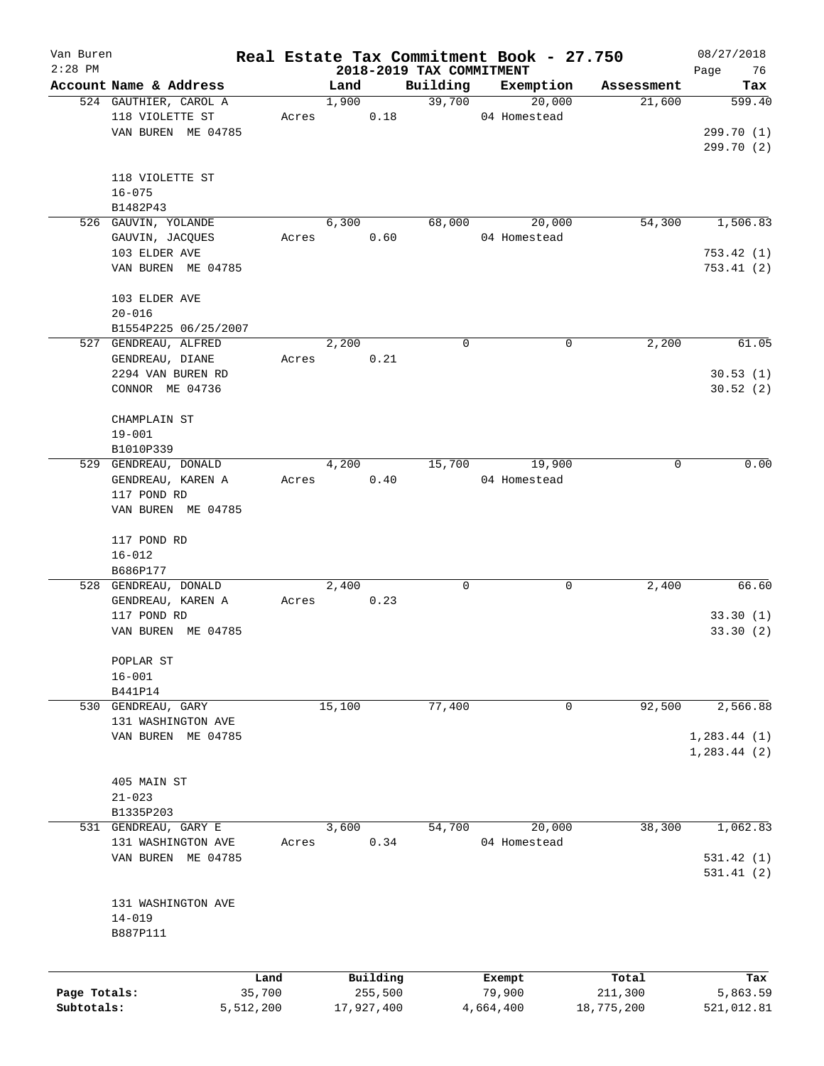| Van Buren<br>$2:28$ PM |                        |           |        |            |                                      | Real Estate Tax Commitment Book - 27.750 |            | 08/27/2018        |
|------------------------|------------------------|-----------|--------|------------|--------------------------------------|------------------------------------------|------------|-------------------|
|                        | Account Name & Address |           | Land   |            | 2018-2019 TAX COMMITMENT<br>Building | Exemption                                | Assessment | Page<br>76<br>Tax |
|                        | 524 GAUTHIER, CAROL A  |           | 1,900  |            | 39,700                               | 20,000                                   | 21,600     | 599.40            |
|                        | 118 VIOLETTE ST        | Acres     |        | 0.18       |                                      | 04 Homestead                             |            |                   |
|                        | VAN BUREN ME 04785     |           |        |            |                                      |                                          |            | 299.70 (1)        |
|                        |                        |           |        |            |                                      |                                          |            | 299.70 (2)        |
|                        |                        |           |        |            |                                      |                                          |            |                   |
|                        | 118 VIOLETTE ST        |           |        |            |                                      |                                          |            |                   |
|                        | $16 - 075$             |           |        |            |                                      |                                          |            |                   |
|                        | B1482P43               |           |        |            |                                      |                                          |            |                   |
|                        | 526 GAUVIN, YOLANDE    |           | 6,300  |            | 68,000                               | 20,000                                   | 54,300     | 1,506.83          |
|                        | GAUVIN, JACQUES        | Acres     |        | 0.60       |                                      | 04 Homestead                             |            |                   |
|                        | 103 ELDER AVE          |           |        |            |                                      |                                          |            | 753.42(1)         |
|                        | VAN BUREN ME 04785     |           |        |            |                                      |                                          |            | 753.41(2)         |
|                        |                        |           |        |            |                                      |                                          |            |                   |
|                        | 103 ELDER AVE          |           |        |            |                                      |                                          |            |                   |
|                        | $20 - 016$             |           |        |            |                                      |                                          |            |                   |
|                        | B1554P225 06/25/2007   |           |        |            |                                      |                                          |            |                   |
|                        | 527 GENDREAU, ALFRED   |           | 2,200  |            | 0                                    | 0                                        | 2,200      | 61.05             |
|                        | GENDREAU, DIANE        | Acres     |        | 0.21       |                                      |                                          |            |                   |
|                        | 2294 VAN BUREN RD      |           |        |            |                                      |                                          |            | 30.53(1)          |
|                        | CONNOR ME 04736        |           |        |            |                                      |                                          |            | 30.52(2)          |
|                        |                        |           |        |            |                                      |                                          |            |                   |
|                        | CHAMPLAIN ST           |           |        |            |                                      |                                          |            |                   |
|                        | $19 - 001$             |           |        |            |                                      |                                          |            |                   |
|                        | B1010P339              |           |        |            |                                      |                                          |            |                   |
|                        | 529 GENDREAU, DONALD   |           | 4,200  |            | 15,700                               | 19,900                                   | 0          | 0.00              |
|                        | GENDREAU, KAREN A      | Acres     |        | 0.40       |                                      | 04 Homestead                             |            |                   |
|                        | 117 POND RD            |           |        |            |                                      |                                          |            |                   |
|                        | VAN BUREN ME 04785     |           |        |            |                                      |                                          |            |                   |
|                        | 117 POND RD            |           |        |            |                                      |                                          |            |                   |
|                        | $16 - 012$             |           |        |            |                                      |                                          |            |                   |
|                        | B686P177               |           |        |            |                                      |                                          |            |                   |
|                        | 528 GENDREAU, DONALD   |           | 2,400  |            | 0                                    | 0                                        | 2,400      | 66.60             |
|                        | GENDREAU, KAREN A      | Acres     |        | 0.23       |                                      |                                          |            |                   |
|                        | 117 POND RD            |           |        |            |                                      |                                          |            | 33.30(1)          |
|                        | VAN BUREN ME 04785     |           |        |            |                                      |                                          |            | 33.30(2)          |
|                        |                        |           |        |            |                                      |                                          |            |                   |
|                        | POPLAR ST              |           |        |            |                                      |                                          |            |                   |
|                        | $16 - 001$             |           |        |            |                                      |                                          |            |                   |
|                        | B441P14                |           |        |            |                                      |                                          |            |                   |
|                        | 530 GENDREAU, GARY     |           | 15,100 |            | 77,400                               | 0                                        | 92,500     | 2,566.88          |
|                        | 131 WASHINGTON AVE     |           |        |            |                                      |                                          |            |                   |
|                        | VAN BUREN ME 04785     |           |        |            |                                      |                                          |            | 1, 283.44 (1)     |
|                        |                        |           |        |            |                                      |                                          |            | 1, 283.44 (2)     |
|                        |                        |           |        |            |                                      |                                          |            |                   |
|                        | 405 MAIN ST            |           |        |            |                                      |                                          |            |                   |
|                        | $21 - 023$             |           |        |            |                                      |                                          |            |                   |
|                        | B1335P203              |           |        |            |                                      |                                          |            |                   |
|                        | 531 GENDREAU, GARY E   |           | 3,600  |            | 54,700                               | 20,000                                   | 38,300     | 1,062.83          |
|                        | 131 WASHINGTON AVE     | Acres     |        | 0.34       |                                      | 04 Homestead                             |            |                   |
|                        | VAN BUREN ME 04785     |           |        |            |                                      |                                          |            | 531.42(1)         |
|                        |                        |           |        |            |                                      |                                          |            | 531.41(2)         |
|                        |                        |           |        |            |                                      |                                          |            |                   |
|                        | 131 WASHINGTON AVE     |           |        |            |                                      |                                          |            |                   |
|                        | $14 - 019$             |           |        |            |                                      |                                          |            |                   |
|                        | B887P111               |           |        |            |                                      |                                          |            |                   |
|                        |                        |           |        |            |                                      |                                          |            |                   |
|                        |                        | Land      |        | Building   |                                      | Exempt                                   | Total      | Tax               |
| Page Totals:           |                        | 35,700    |        | 255,500    |                                      | 79,900                                   | 211,300    | 5,863.59          |
| Subtotals:             |                        | 5,512,200 |        | 17,927,400 |                                      | 4,664,400                                | 18,775,200 | 521,012.81        |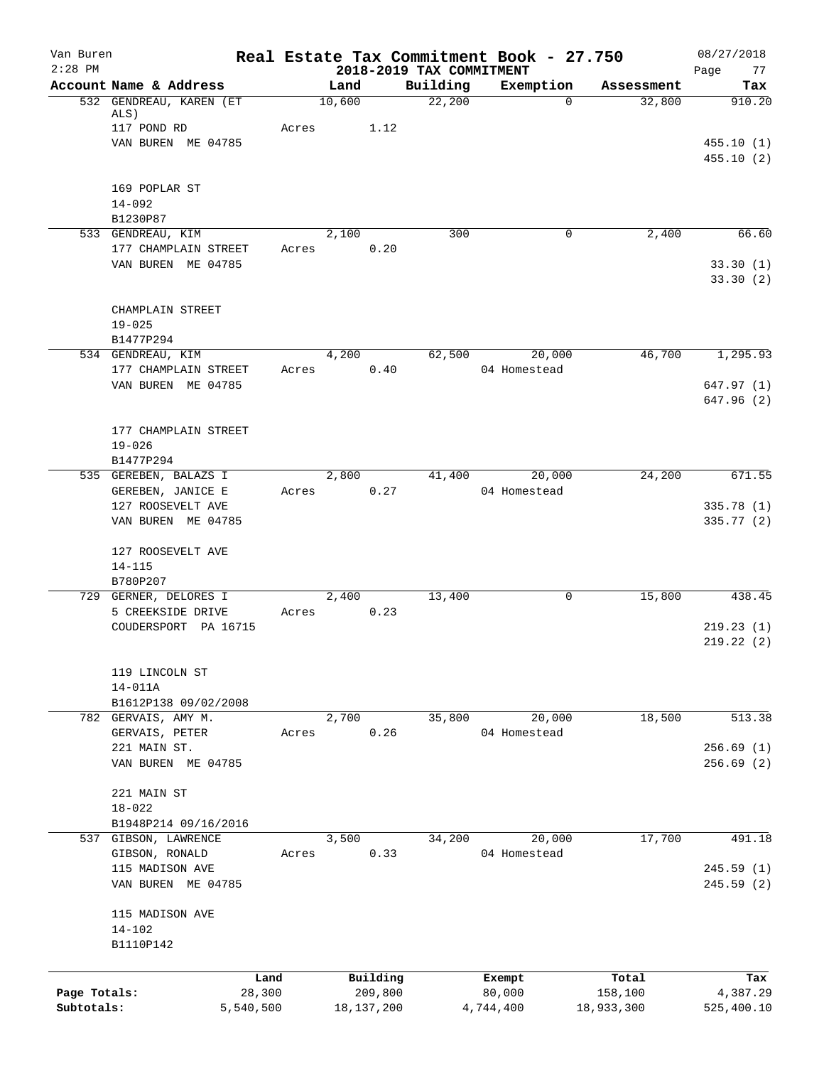| Van Buren    |                                   |           |        |              |                                      | Real Estate Tax Commitment Book - 27.750 |            | 08/27/2018              |
|--------------|-----------------------------------|-----------|--------|--------------|--------------------------------------|------------------------------------------|------------|-------------------------|
| $2:28$ PM    | Account Name & Address            |           | Land   |              | 2018-2019 TAX COMMITMENT<br>Building | Exemption                                | Assessment | Page<br>77<br>Tax       |
|              | 532 GENDREAU, KAREN (ET           |           | 10,600 |              | 22,200                               | $\Omega$                                 | 32,800     | 910.20                  |
|              | ALS)                              |           |        |              |                                      |                                          |            |                         |
|              | 117 POND RD                       | Acres     |        | 1.12         |                                      |                                          |            |                         |
|              | VAN BUREN ME 04785                |           |        |              |                                      |                                          |            | 455.10(1)               |
|              |                                   |           |        |              |                                      |                                          |            | 455.10(2)               |
|              |                                   |           |        |              |                                      |                                          |            |                         |
|              | 169 POPLAR ST<br>$14 - 092$       |           |        |              |                                      |                                          |            |                         |
|              | B1230P87                          |           |        |              |                                      |                                          |            |                         |
|              | 533 GENDREAU, KIM                 |           | 2,100  |              | 300                                  | $\mathbf 0$                              | 2,400      | 66.60                   |
|              | 177 CHAMPLAIN STREET              | Acres     |        | 0.20         |                                      |                                          |            |                         |
|              | VAN BUREN ME 04785                |           |        |              |                                      |                                          |            | 33.30(1)                |
|              |                                   |           |        |              |                                      |                                          |            | 33.30(2)                |
|              |                                   |           |        |              |                                      |                                          |            |                         |
|              | CHAMPLAIN STREET                  |           |        |              |                                      |                                          |            |                         |
|              | $19 - 025$                        |           |        |              |                                      |                                          |            |                         |
|              | B1477P294                         |           |        |              |                                      |                                          |            |                         |
|              | 534 GENDREAU, KIM                 |           | 4,200  |              | 62,500                               | 20,000                                   | 46,700     | 1,295.93                |
|              | 177 CHAMPLAIN STREET              | Acres     |        | 0.40         |                                      | 04 Homestead                             |            |                         |
|              | VAN BUREN ME 04785                |           |        |              |                                      |                                          |            | 647.97(1)<br>647.96 (2) |
|              |                                   |           |        |              |                                      |                                          |            |                         |
|              | 177 CHAMPLAIN STREET              |           |        |              |                                      |                                          |            |                         |
|              | $19 - 026$                        |           |        |              |                                      |                                          |            |                         |
|              | B1477P294                         |           |        |              |                                      |                                          |            |                         |
|              | 535 GEREBEN, BALAZS I             |           | 2,800  |              | 41,400                               | 20,000                                   | 24,200     | 671.55                  |
|              | GEREBEN, JANICE E                 | Acres     |        | 0.27         |                                      | 04 Homestead                             |            |                         |
|              | 127 ROOSEVELT AVE                 |           |        |              |                                      |                                          |            | 335.78(1)               |
|              | VAN BUREN ME 04785                |           |        |              |                                      |                                          |            | 335.77(2)               |
|              |                                   |           |        |              |                                      |                                          |            |                         |
|              | 127 ROOSEVELT AVE                 |           |        |              |                                      |                                          |            |                         |
|              | $14 - 115$                        |           |        |              |                                      |                                          |            |                         |
|              | B780P207<br>729 GERNER, DELORES I |           | 2,400  |              | 13,400                               | 0                                        | 15,800     | 438.45                  |
|              | 5 CREEKSIDE DRIVE                 | Acres     |        | 0.23         |                                      |                                          |            |                         |
|              | COUDERSPORT PA 16715              |           |        |              |                                      |                                          |            | 219.23(1)               |
|              |                                   |           |        |              |                                      |                                          |            | 219.22(2)               |
|              |                                   |           |        |              |                                      |                                          |            |                         |
|              | 119 LINCOLN ST                    |           |        |              |                                      |                                          |            |                         |
|              | $14 - 011A$                       |           |        |              |                                      |                                          |            |                         |
|              | B1612P138 09/02/2008              |           |        |              |                                      |                                          |            |                         |
|              | 782 GERVAIS, AMY M.               |           | 2,700  |              | 35,800                               | 20,000                                   | 18,500     | 513.38                  |
|              | GERVAIS, PETER                    | Acres     |        | 0.26         |                                      | 04 Homestead                             |            |                         |
|              | 221 MAIN ST.                      |           |        |              |                                      |                                          |            | 256.69(1)               |
|              | VAN BUREN ME 04785                |           |        |              |                                      |                                          |            | 256.69(2)               |
|              | 221 MAIN ST                       |           |        |              |                                      |                                          |            |                         |
|              | $18 - 022$                        |           |        |              |                                      |                                          |            |                         |
|              | B1948P214 09/16/2016              |           |        |              |                                      |                                          |            |                         |
|              | 537 GIBSON, LAWRENCE              |           | 3,500  |              | 34,200                               | 20,000                                   | 17,700     | 491.18                  |
|              | GIBSON, RONALD                    | Acres     |        | 0.33         |                                      | 04 Homestead                             |            |                         |
|              | 115 MADISON AVE                   |           |        |              |                                      |                                          |            | 245.59(1)               |
|              | VAN BUREN ME 04785                |           |        |              |                                      |                                          |            | 245.59(2)               |
|              |                                   |           |        |              |                                      |                                          |            |                         |
|              | 115 MADISON AVE                   |           |        |              |                                      |                                          |            |                         |
|              | $14 - 102$                        |           |        |              |                                      |                                          |            |                         |
|              | B1110P142                         |           |        |              |                                      |                                          |            |                         |
|              |                                   |           |        |              |                                      |                                          |            |                         |
|              |                                   | Land      |        | Building     |                                      | Exempt                                   | Total      | Tax                     |
| Page Totals: |                                   | 28,300    |        | 209,800      |                                      | 80,000                                   | 158,100    | 4,387.29                |
| Subtotals:   |                                   | 5,540,500 |        | 18, 137, 200 |                                      | 4,744,400                                | 18,933,300 | 525,400.10              |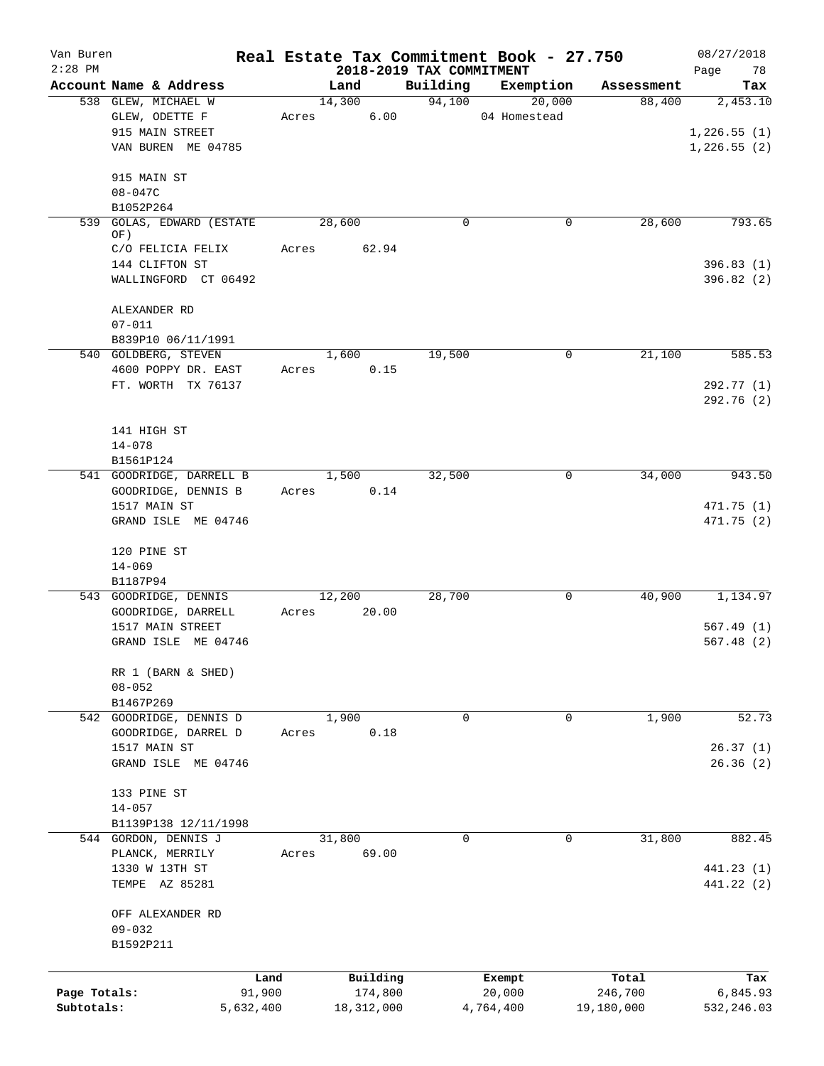| Van Buren<br>$2:28$ PM |                              |       | 2018-2019 TAX COMMITMENT |             | Real Estate Tax Commitment Book - 27.750 |            | 08/27/2018<br>Page<br>78 |
|------------------------|------------------------------|-------|--------------------------|-------------|------------------------------------------|------------|--------------------------|
|                        | Account Name & Address       |       | Land                     | Building    | Exemption                                | Assessment | Tax                      |
|                        | 538 GLEW, MICHAEL W          |       | 14,300                   | 94,100      | 20,000                                   | 88,400     | 2,453.10                 |
|                        | GLEW, ODETTE F               | Acres | 6.00                     |             | 04 Homestead                             |            |                          |
|                        | 915 MAIN STREET              |       |                          |             |                                          |            | 1,226.55(1)              |
|                        | VAN BUREN ME 04785           |       |                          |             |                                          |            | 1,226.55(2)              |
|                        | 915 MAIN ST                  |       |                          |             |                                          |            |                          |
|                        | 08-047C                      |       |                          |             |                                          |            |                          |
|                        | B1052P264                    |       |                          |             |                                          |            |                          |
| 539                    | GOLAS, EDWARD (ESTATE<br>OF) |       | 28,600                   | 0           | 0                                        | 28,600     | 793.65                   |
|                        | C/O FELICIA FELIX            | Acres | 62.94                    |             |                                          |            |                          |
|                        | 144 CLIFTON ST               |       |                          |             |                                          |            | 396.83(1)                |
|                        | WALLINGFORD CT 06492         |       |                          |             |                                          |            | 396.82(2)                |
|                        | ALEXANDER RD                 |       |                          |             |                                          |            |                          |
|                        | $07 - 011$                   |       |                          |             |                                          |            |                          |
|                        | B839P10 06/11/1991           |       |                          |             |                                          |            |                          |
|                        | 540 GOLDBERG, STEVEN         |       | 1,600                    | 19,500      | 0                                        | 21,100     | 585.53                   |
|                        | 4600 POPPY DR. EAST          | Acres | 0.15                     |             |                                          |            |                          |
|                        | FT. WORTH TX 76137           |       |                          |             |                                          |            | 292.77 (1)               |
|                        |                              |       |                          |             |                                          |            | 292.76 (2)               |
|                        |                              |       |                          |             |                                          |            |                          |
|                        | 141 HIGH ST                  |       |                          |             |                                          |            |                          |
|                        | $14 - 078$                   |       |                          |             |                                          |            |                          |
|                        | B1561P124                    |       |                          |             |                                          |            |                          |
|                        | 541 GOODRIDGE, DARRELL B     |       | 1,500                    | 32,500      | 0                                        | 34,000     | 943.50                   |
|                        | GOODRIDGE, DENNIS B          |       | 0.14<br>Acres            |             |                                          |            |                          |
|                        | 1517 MAIN ST                 |       |                          |             |                                          |            | 471.75 (1)               |
|                        | GRAND ISLE ME 04746          |       |                          |             |                                          |            | 471.75 (2)               |
|                        | 120 PINE ST                  |       |                          |             |                                          |            |                          |
|                        | $14 - 069$                   |       |                          |             |                                          |            |                          |
|                        | B1187P94                     |       |                          |             |                                          |            |                          |
|                        | 543 GOODRIDGE, DENNIS        |       | 12,200                   | 28,700      | 0                                        | 40,900     | 1,134.97                 |
|                        | GOODRIDGE, DARRELL           | Acres | 20.00                    |             |                                          |            |                          |
|                        | 1517 MAIN STREET             |       |                          |             |                                          |            | 567.49(1)                |
|                        | GRAND ISLE ME 04746          |       |                          |             |                                          |            | 567.48(2)                |
|                        | RR 1 (BARN & SHED)           |       |                          |             |                                          |            |                          |
|                        | $08 - 052$                   |       |                          |             |                                          |            |                          |
|                        | B1467P269                    |       |                          |             |                                          |            |                          |
|                        | 542 GOODRIDGE, DENNIS D      |       | 1,900                    | 0           | 0                                        | 1,900      | 52.73                    |
|                        | GOODRIDGE, DARREL D          | Acres | 0.18                     |             |                                          |            |                          |
|                        | 1517 MAIN ST                 |       |                          |             |                                          |            | 26.37(1)                 |
|                        | GRAND ISLE ME 04746          |       |                          |             |                                          |            | 26.36(2)                 |
|                        | 133 PINE ST                  |       |                          |             |                                          |            |                          |
|                        | $14 - 057$                   |       |                          |             |                                          |            |                          |
|                        | B1139P138 12/11/1998         |       |                          |             |                                          |            |                          |
|                        | 544 GORDON, DENNIS J         |       | 31,800                   | $\mathbf 0$ | 0                                        | 31,800     | 882.45                   |
|                        | PLANCK, MERRILY              | Acres | 69.00                    |             |                                          |            |                          |
|                        | 1330 W 13TH ST               |       |                          |             |                                          |            | 441.23 (1)               |
|                        | TEMPE AZ 85281               |       |                          |             |                                          |            | 441.22 (2)               |
|                        | OFF ALEXANDER RD             |       |                          |             |                                          |            |                          |
|                        | $09 - 032$                   |       |                          |             |                                          |            |                          |
|                        | B1592P211                    |       |                          |             |                                          |            |                          |
|                        |                              |       |                          |             |                                          |            |                          |
|                        |                              | Land  | Building                 |             | Exempt                                   | Total      | Tax                      |
| Page Totals:           | 91,900                       |       | 174,800                  |             | 20,000                                   | 246,700    | 6,845.93                 |
| Subtotals:             | 5,632,400                    |       | 18,312,000               |             | 4,764,400                                | 19,180,000 | 532,246.03               |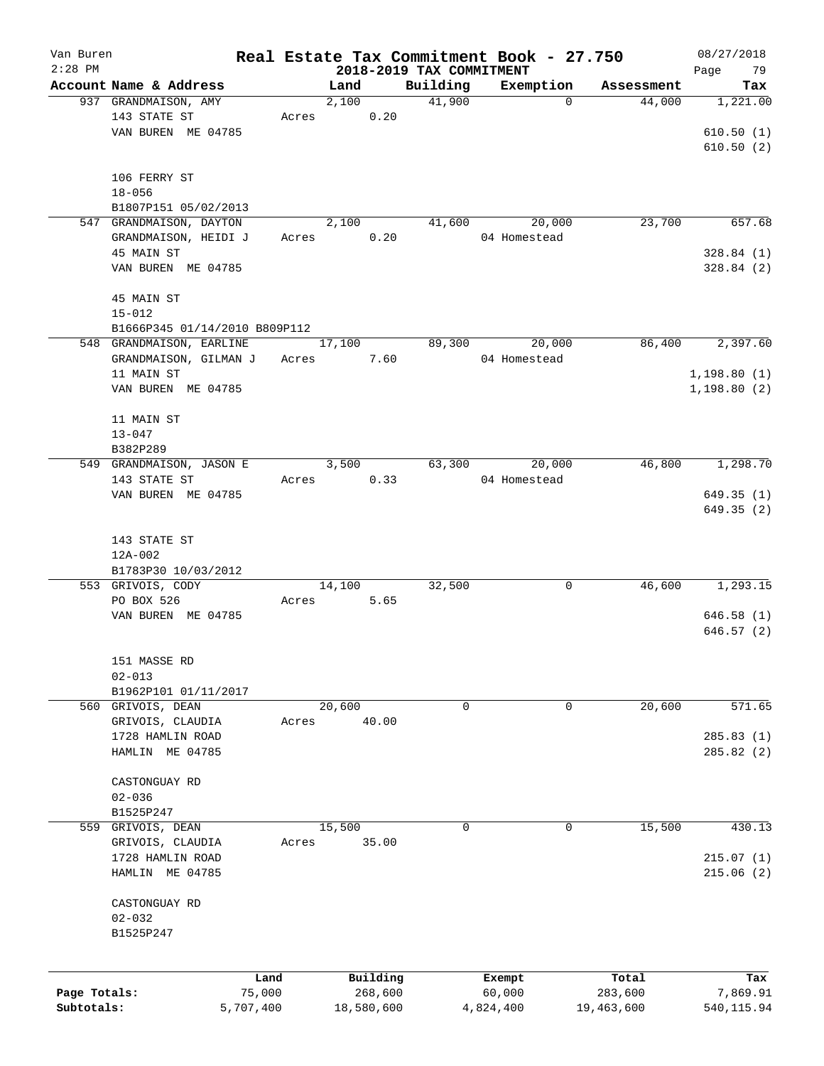| Van Buren    |                                                |           |               |          |                          | Real Estate Tax Commitment Book - 27.750 |                                     | 08/27/2018      |
|--------------|------------------------------------------------|-----------|---------------|----------|--------------------------|------------------------------------------|-------------------------------------|-----------------|
| $2:28$ PM    |                                                |           |               |          | 2018-2019 TAX COMMITMENT |                                          |                                     | 79<br>Page      |
|              | Account Name & Address<br>937 GRANDMAISON, AMY |           | Land<br>2,100 |          | Building<br>41,900       | Exemption                                | Assessment<br>44,000<br>$\mathbf 0$ | Tax<br>1,221.00 |
|              | 143 STATE ST                                   | Acres     |               | 0.20     |                          |                                          |                                     |                 |
|              | VAN BUREN ME 04785                             |           |               |          |                          |                                          |                                     | 610.50(1)       |
|              |                                                |           |               |          |                          |                                          |                                     | 610.50(2)       |
|              |                                                |           |               |          |                          |                                          |                                     |                 |
|              | 106 FERRY ST                                   |           |               |          |                          |                                          |                                     |                 |
|              | $18 - 056$                                     |           |               |          |                          |                                          |                                     |                 |
|              | B1807P151 05/02/2013                           |           |               |          |                          |                                          |                                     |                 |
|              | 547 GRANDMAISON, DAYTON                        |           | 2,100         |          | 41,600                   | 20,000                                   | 23,700                              | 657.68          |
|              | GRANDMAISON, HEIDI J                           | Acres     |               | 0.20     |                          | 04 Homestead                             |                                     |                 |
|              | 45 MAIN ST                                     |           |               |          |                          |                                          |                                     | 328.84(1)       |
|              | VAN BUREN ME 04785                             |           |               |          |                          |                                          |                                     | 328.84(2)       |
|              |                                                |           |               |          |                          |                                          |                                     |                 |
|              | 45 MAIN ST                                     |           |               |          |                          |                                          |                                     |                 |
|              | $15 - 012$                                     |           |               |          |                          |                                          |                                     |                 |
|              |                                                |           |               |          |                          |                                          |                                     |                 |
|              | B1666P345 01/14/2010 B809P112                  |           |               |          |                          |                                          |                                     | 2,397.60        |
|              | 548 GRANDMAISON, EARLINE                       |           | 17,100        |          | 89,300                   | 20,000                                   | 86,400                              |                 |
|              | GRANDMAISON, GILMAN J                          | Acres     |               | 7.60     |                          | 04 Homestead                             |                                     |                 |
|              | 11 MAIN ST                                     |           |               |          |                          |                                          |                                     | 1,198.80(1)     |
|              | VAN BUREN ME 04785                             |           |               |          |                          |                                          |                                     | 1,198.80(2)     |
|              |                                                |           |               |          |                          |                                          |                                     |                 |
|              | 11 MAIN ST                                     |           |               |          |                          |                                          |                                     |                 |
|              | $13 - 047$                                     |           |               |          |                          |                                          |                                     |                 |
|              | B382P289                                       |           |               |          |                          |                                          |                                     |                 |
|              | 549 GRANDMAISON, JASON E                       |           | 3,500         |          | 63,300                   | 20,000                                   | 46,800                              | 1,298.70        |
|              | 143 STATE ST                                   | Acres     |               | 0.33     |                          | 04 Homestead                             |                                     |                 |
|              | VAN BUREN ME 04785                             |           |               |          |                          |                                          |                                     | 649.35(1)       |
|              |                                                |           |               |          |                          |                                          |                                     | 649.35(2)       |
|              |                                                |           |               |          |                          |                                          |                                     |                 |
|              | 143 STATE ST                                   |           |               |          |                          |                                          |                                     |                 |
|              | $12A-002$                                      |           |               |          |                          |                                          |                                     |                 |
|              | B1783P30 10/03/2012                            |           |               |          |                          |                                          |                                     |                 |
|              | 553 GRIVOIS, CODY                              |           | 14,100        |          | 32,500                   |                                          | 46,600<br>0                         | 1,293.15        |
|              | PO BOX 526                                     | Acres     |               | 5.65     |                          |                                          |                                     |                 |
|              | VAN BUREN ME 04785                             |           |               |          |                          |                                          |                                     | 646.58(1)       |
|              |                                                |           |               |          |                          |                                          |                                     | 646.57(2)       |
|              |                                                |           |               |          |                          |                                          |                                     |                 |
|              | 151 MASSE RD                                   |           |               |          |                          |                                          |                                     |                 |
|              | $02 - 013$                                     |           |               |          |                          |                                          |                                     |                 |
|              | B1962P101 01/11/2017                           |           |               |          |                          |                                          |                                     |                 |
|              | 560 GRIVOIS, DEAN                              |           | 20,600        |          | 0                        |                                          | 20,600<br>0                         | 571.65          |
|              | GRIVOIS, CLAUDIA                               | Acres     |               | 40.00    |                          |                                          |                                     |                 |
|              | 1728 HAMLIN ROAD                               |           |               |          |                          |                                          |                                     | 285.83(1)       |
|              | HAMLIN ME 04785                                |           |               |          |                          |                                          |                                     | 285.82(2)       |
|              |                                                |           |               |          |                          |                                          |                                     |                 |
|              | CASTONGUAY RD                                  |           |               |          |                          |                                          |                                     |                 |
|              | $02 - 036$                                     |           |               |          |                          |                                          |                                     |                 |
|              | B1525P247                                      |           |               |          |                          |                                          |                                     |                 |
| 559          | GRIVOIS, DEAN                                  |           | 15,500        |          | 0                        |                                          | 15,500<br>$\mathbf 0$               | 430.13          |
|              | GRIVOIS, CLAUDIA                               | Acres     |               | 35.00    |                          |                                          |                                     |                 |
|              | 1728 HAMLIN ROAD                               |           |               |          |                          |                                          |                                     | 215.07(1)       |
|              | HAMLIN ME 04785                                |           |               |          |                          |                                          |                                     | 215.06(2)       |
|              |                                                |           |               |          |                          |                                          |                                     |                 |
|              | CASTONGUAY RD                                  |           |               |          |                          |                                          |                                     |                 |
|              | $02 - 032$                                     |           |               |          |                          |                                          |                                     |                 |
|              | B1525P247                                      |           |               |          |                          |                                          |                                     |                 |
|              |                                                |           |               |          |                          |                                          |                                     |                 |
|              |                                                |           |               |          |                          |                                          |                                     |                 |
|              |                                                | Land      |               | Building |                          | Exempt                                   | Total                               | Tax             |
| Page Totals: |                                                | 75,000    |               | 268,600  |                          | 60,000                                   | 283,600                             | 7,869.91        |
| Subtotals:   |                                                | 5,707,400 | 18,580,600    |          |                          | 4,824,400                                | 19,463,600                          | 540,115.94      |
|              |                                                |           |               |          |                          |                                          |                                     |                 |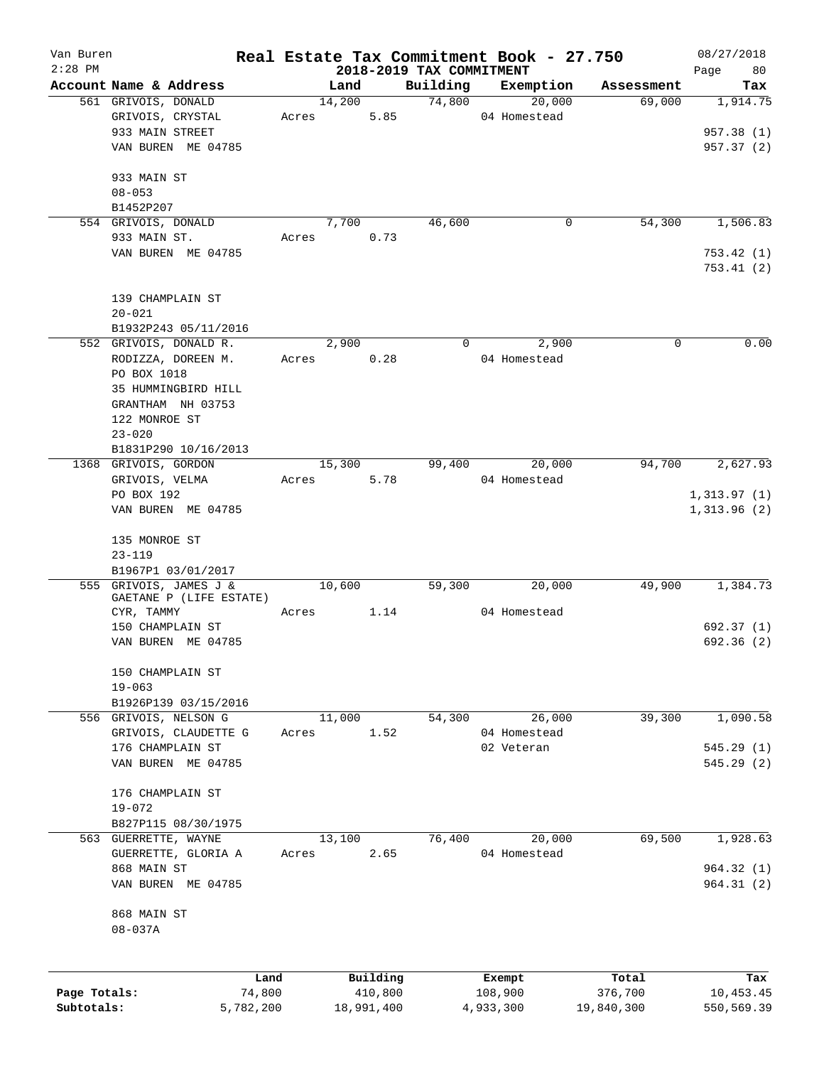| Van Buren    |                         |       |                          |          | Real Estate Tax Commitment Book - 27.750 |                  | 08/27/2018       |
|--------------|-------------------------|-------|--------------------------|----------|------------------------------------------|------------------|------------------|
| $2:28$ PM    |                         |       | 2018-2019 TAX COMMITMENT |          |                                          |                  | Page<br>80       |
|              | Account Name & Address  |       | Land                     | Building | Exemption                                | Assessment       | Tax              |
|              | 561 GRIVOIS, DONALD     |       | 14,200                   | 74,800   | 20,000                                   | 69,000           | 1,914.75         |
|              | GRIVOIS, CRYSTAL        | Acres | 5.85                     |          | 04 Homestead                             |                  |                  |
|              | 933 MAIN STREET         |       |                          |          |                                          |                  | 957.38 (1)       |
|              | VAN BUREN ME 04785      |       |                          |          |                                          |                  | 957.37 (2)       |
|              | 933 MAIN ST             |       |                          |          |                                          |                  |                  |
|              | $08 - 053$              |       |                          |          |                                          |                  |                  |
|              | B1452P207               |       |                          |          |                                          |                  |                  |
|              | 554 GRIVOIS, DONALD     |       | 7,700                    | 46,600   | 0                                        | 54,300           | 1,506.83         |
|              | 933 MAIN ST.            | Acres | 0.73                     |          |                                          |                  |                  |
|              | VAN BUREN ME 04785      |       |                          |          |                                          |                  | 753.42 (1)       |
|              |                         |       |                          |          |                                          |                  | 753.41 (2)       |
|              | 139 CHAMPLAIN ST        |       |                          |          |                                          |                  |                  |
|              | $20 - 021$              |       |                          |          |                                          |                  |                  |
|              | B1932P243 05/11/2016    |       |                          |          |                                          |                  |                  |
|              | 552 GRIVOIS, DONALD R.  |       | 2,900                    | $\Omega$ | 2,900                                    | 0                | 0.00             |
|              | RODIZZA, DOREEN M.      | Acres | 0.28                     |          | 04 Homestead                             |                  |                  |
|              | PO BOX 1018             |       |                          |          |                                          |                  |                  |
|              | 35 HUMMINGBIRD HILL     |       |                          |          |                                          |                  |                  |
|              | GRANTHAM NH 03753       |       |                          |          |                                          |                  |                  |
|              | 122 MONROE ST           |       |                          |          |                                          |                  |                  |
|              |                         |       |                          |          |                                          |                  |                  |
|              | $23 - 020$              |       |                          |          |                                          |                  |                  |
|              | B1831P290 10/16/2013    |       |                          |          |                                          |                  |                  |
|              | 1368 GRIVOIS, GORDON    |       | 15,300                   | 99,400   | 20,000                                   | 94,700           | 2,627.93         |
|              | GRIVOIS, VELMA          | Acres | 5.78                     |          | 04 Homestead                             |                  |                  |
|              | PO BOX 192              |       |                          |          |                                          |                  | 1,313.97(1)      |
|              | VAN BUREN ME 04785      |       |                          |          |                                          |                  | 1,313.96(2)      |
|              | 135 MONROE ST           |       |                          |          |                                          |                  |                  |
|              | $23 - 119$              |       |                          |          |                                          |                  |                  |
|              | B1967P1 03/01/2017      |       |                          |          |                                          |                  |                  |
|              | 555 GRIVOIS, JAMES J &  |       | 10,600                   | 59,300   | 20,000                                   | 49,900           | 1,384.73         |
|              | GAETANE P (LIFE ESTATE) |       |                          |          |                                          |                  |                  |
|              | CYR, TAMMY              | Acres | 1.14                     |          | 04 Homestead                             |                  |                  |
|              | 150 CHAMPLAIN ST        |       |                          |          |                                          |                  | 692.37 (1)       |
|              | VAN BUREN ME 04785      |       |                          |          |                                          |                  | 692.36 (2)       |
|              | 150 CHAMPLAIN ST        |       |                          |          |                                          |                  |                  |
|              | $19 - 063$              |       |                          |          |                                          |                  |                  |
|              | B1926P139 03/15/2016    |       |                          |          |                                          |                  |                  |
|              | 556 GRIVOIS, NELSON G   |       | 11,000                   | 54,300   | 26,000                                   | 39,300           | 1,090.58         |
|              | GRIVOIS, CLAUDETTE G    | Acres | 1.52                     |          | 04 Homestead                             |                  |                  |
|              | 176 CHAMPLAIN ST        |       |                          |          | 02 Veteran                               |                  | 545.29(1)        |
|              | VAN BUREN ME 04785      |       |                          |          |                                          |                  | 545.29(2)        |
|              | 176 CHAMPLAIN ST        |       |                          |          |                                          |                  |                  |
|              | $19 - 072$              |       |                          |          |                                          |                  |                  |
|              | B827P115 08/30/1975     |       |                          |          |                                          |                  |                  |
|              | 563 GUERRETTE, WAYNE    |       | 13,100                   | 76,400   | 20,000                                   | 69,500           | 1,928.63         |
|              | GUERRETTE, GLORIA A     | Acres | 2.65                     |          | 04 Homestead                             |                  |                  |
|              | 868 MAIN ST             |       |                          |          |                                          |                  | 964.32(1)        |
|              | VAN BUREN ME 04785      |       |                          |          |                                          |                  | 964.31(2)        |
|              | 868 MAIN ST             |       |                          |          |                                          |                  |                  |
|              | $08 - 037A$             |       |                          |          |                                          |                  |                  |
|              |                         |       |                          |          |                                          |                  |                  |
| Page Totals: | Land<br>74,800          |       | Building<br>410,800      |          | Exempt<br>108,900                        | Total<br>376,700 | Tax<br>10,453.45 |
| Subtotals:   | 5,782,200               |       | 18,991,400               |          | 4,933,300                                | 19,840,300       | 550,569.39       |
|              |                         |       |                          |          |                                          |                  |                  |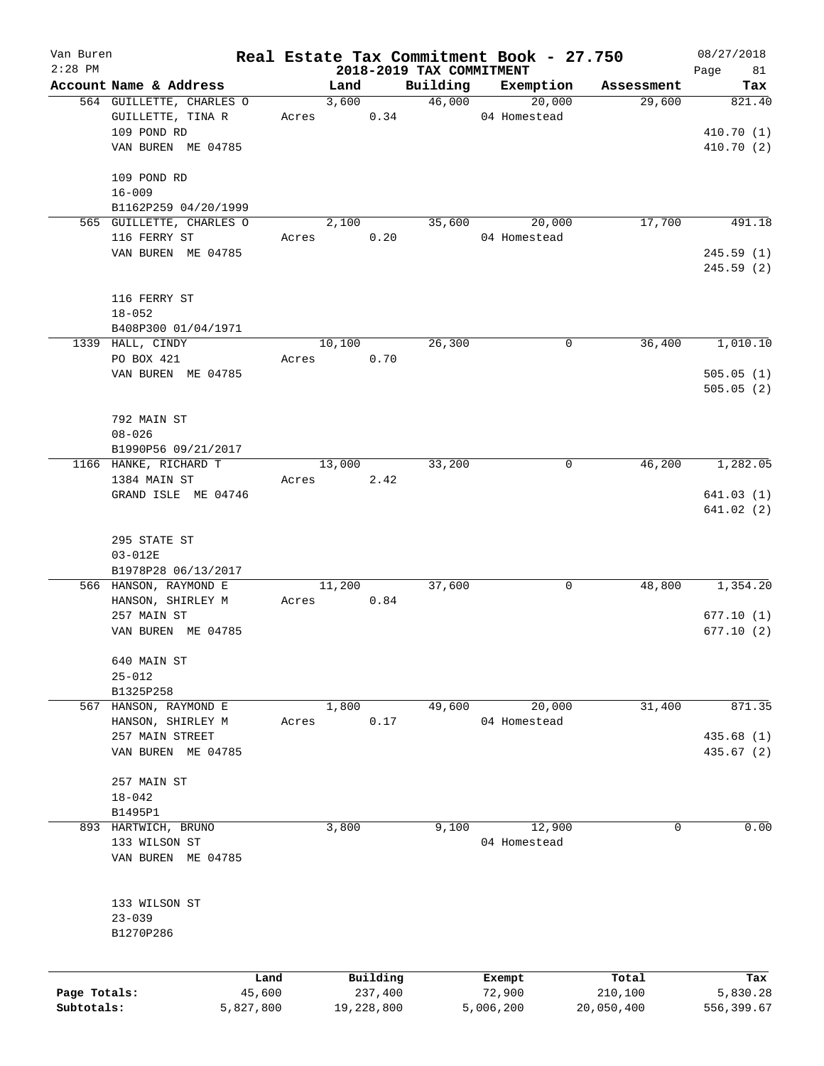| Van Buren<br>$2:28$ PM |                          |        |        |            |                                      | Real Estate Tax Commitment Book - 27.750 |            | 08/27/2018        |
|------------------------|--------------------------|--------|--------|------------|--------------------------------------|------------------------------------------|------------|-------------------|
|                        | Account Name & Address   |        | Land   |            | 2018-2019 TAX COMMITMENT<br>Building | Exemption                                | Assessment | Page<br>81<br>Tax |
|                        | 564 GUILLETTE, CHARLES O |        | 3,600  |            | 46,000                               | 20,000                                   | 29,600     | 821.40            |
|                        | GUILLETTE, TINA R        | Acres  |        | 0.34       |                                      | 04 Homestead                             |            |                   |
|                        | 109 POND RD              |        |        |            |                                      |                                          |            | 410.70(1)         |
|                        | VAN BUREN ME 04785       |        |        |            |                                      |                                          |            | 410.70 (2)        |
|                        |                          |        |        |            |                                      |                                          |            |                   |
|                        | 109 POND RD              |        |        |            |                                      |                                          |            |                   |
|                        | $16 - 009$               |        |        |            |                                      |                                          |            |                   |
|                        | B1162P259 04/20/1999     |        |        |            |                                      |                                          |            |                   |
|                        | 565 GUILLETTE, CHARLES O |        | 2,100  |            | 35,600                               | 20,000                                   | 17,700     | 491.18            |
|                        | 116 FERRY ST             | Acres  |        | 0.20       |                                      | 04 Homestead                             |            |                   |
|                        | VAN BUREN ME 04785       |        |        |            |                                      |                                          |            | 245.59(1)         |
|                        |                          |        |        |            |                                      |                                          |            | 245.59(2)         |
|                        |                          |        |        |            |                                      |                                          |            |                   |
|                        | 116 FERRY ST             |        |        |            |                                      |                                          |            |                   |
|                        | $18 - 052$               |        |        |            |                                      |                                          |            |                   |
|                        | B408P300 01/04/1971      |        |        |            |                                      |                                          |            |                   |
|                        | 1339 HALL, CINDY         |        | 10,100 |            | 26,300                               | 0                                        | 36,400     | 1,010.10          |
|                        | PO BOX 421               | Acres  |        | 0.70       |                                      |                                          |            |                   |
|                        | VAN BUREN ME 04785       |        |        |            |                                      |                                          |            | 505.05(1)         |
|                        |                          |        |        |            |                                      |                                          |            | 505.05(2)         |
|                        |                          |        |        |            |                                      |                                          |            |                   |
|                        | 792 MAIN ST              |        |        |            |                                      |                                          |            |                   |
|                        | $08 - 026$               |        |        |            |                                      |                                          |            |                   |
|                        | B1990P56 09/21/2017      |        |        |            |                                      |                                          |            |                   |
|                        | 1166 HANKE, RICHARD T    |        | 13,000 |            | 33,200                               | 0                                        | 46,200     | 1,282.05          |
|                        | 1384 MAIN ST             | Acres  |        | 2.42       |                                      |                                          |            |                   |
|                        | GRAND ISLE ME 04746      |        |        |            |                                      |                                          |            | 641.03(1)         |
|                        |                          |        |        |            |                                      |                                          |            | 641.02(2)         |
|                        |                          |        |        |            |                                      |                                          |            |                   |
|                        | 295 STATE ST             |        |        |            |                                      |                                          |            |                   |
|                        | $03 - 012E$              |        |        |            |                                      |                                          |            |                   |
|                        | B1978P28 06/13/2017      |        |        |            |                                      |                                          |            |                   |
|                        | 566 HANSON, RAYMOND E    |        | 11,200 |            | 37,600                               | 0                                        | 48,800     | 1,354.20          |
|                        | HANSON, SHIRLEY M        | Acres  |        | 0.84       |                                      |                                          |            |                   |
|                        | 257 MAIN ST              |        |        |            |                                      |                                          |            | 677.10(1)         |
|                        | VAN BUREN ME 04785       |        |        |            |                                      |                                          |            | 677.10(2)         |
|                        | 640 MAIN ST              |        |        |            |                                      |                                          |            |                   |
|                        | $25 - 012$               |        |        |            |                                      |                                          |            |                   |
|                        | B1325P258                |        |        |            |                                      |                                          |            |                   |
| 567                    | HANSON, RAYMOND E        |        | 1,800  |            | 49,600                               | 20,000                                   | 31,400     | 871.35            |
|                        | HANSON, SHIRLEY M        | Acres  |        | 0.17       |                                      | 04 Homestead                             |            |                   |
|                        | 257 MAIN STREET          |        |        |            |                                      |                                          |            | 435.68 (1)        |
|                        | VAN BUREN ME 04785       |        |        |            |                                      |                                          |            | 435.67 (2)        |
|                        |                          |        |        |            |                                      |                                          |            |                   |
|                        | 257 MAIN ST              |        |        |            |                                      |                                          |            |                   |
|                        | $18 - 042$               |        |        |            |                                      |                                          |            |                   |
|                        | B1495P1                  |        |        |            |                                      |                                          |            |                   |
|                        | 893 HARTWICH, BRUNO      |        | 3,800  |            | 9,100                                | 12,900                                   | 0          | 0.00              |
|                        | 133 WILSON ST            |        |        |            |                                      | 04 Homestead                             |            |                   |
|                        | VAN BUREN ME 04785       |        |        |            |                                      |                                          |            |                   |
|                        |                          |        |        |            |                                      |                                          |            |                   |
|                        |                          |        |        |            |                                      |                                          |            |                   |
|                        | 133 WILSON ST            |        |        |            |                                      |                                          |            |                   |
|                        | $23 - 039$               |        |        |            |                                      |                                          |            |                   |
|                        | B1270P286                |        |        |            |                                      |                                          |            |                   |
|                        |                          |        |        |            |                                      |                                          |            |                   |
|                        |                          |        |        |            |                                      |                                          |            |                   |
|                        |                          | Land   |        | Building   |                                      | Exempt                                   | Total      | Tax               |
| Page Totals:           |                          | 45,600 |        | 237,400    |                                      | 72,900                                   | 210,100    | 5,830.28          |
| Subtotals:             | 5,827,800                |        |        | 19,228,800 |                                      | 5,006,200                                | 20,050,400 | 556,399.67        |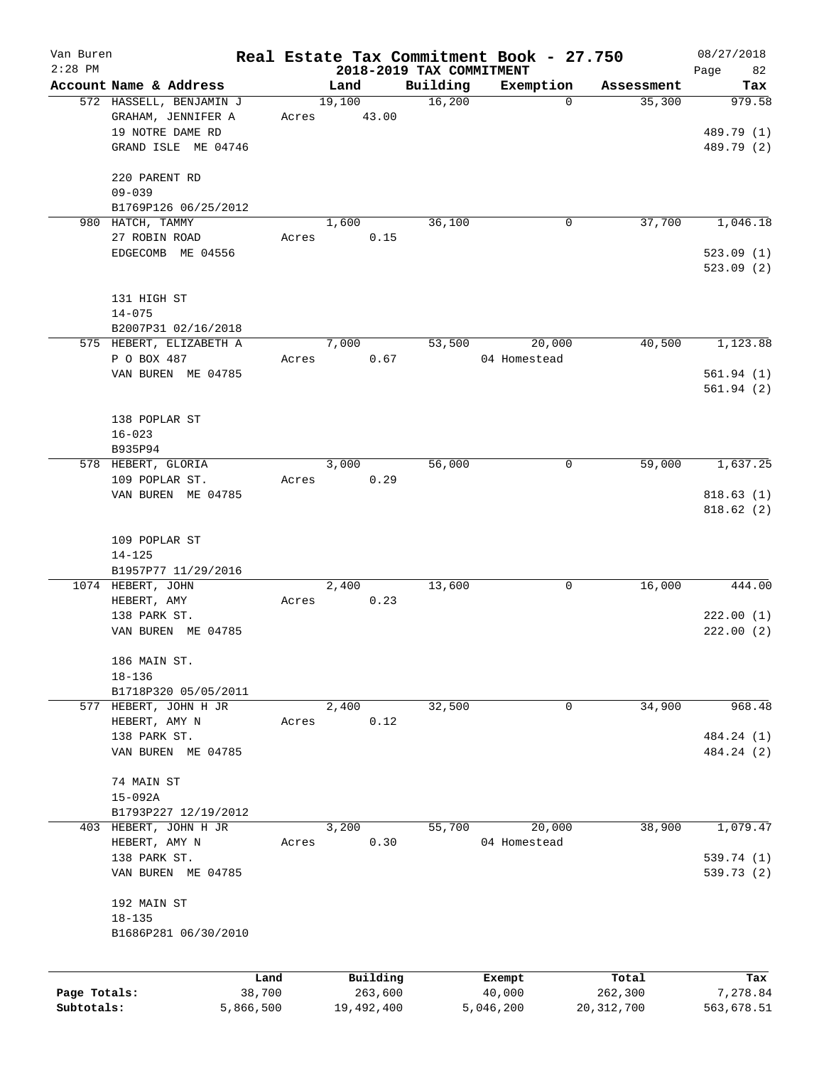| Van Buren<br>$2:28$ PM |                                         |           |            |                                      | Real Estate Tax Commitment Book - 27.750 |              | 08/27/2018               |
|------------------------|-----------------------------------------|-----------|------------|--------------------------------------|------------------------------------------|--------------|--------------------------|
|                        | Account Name & Address                  |           | Land       | 2018-2019 TAX COMMITMENT<br>Building | Exemption                                | Assessment   | Page<br>82<br>Tax        |
|                        | 572 HASSELL, BENJAMIN J                 |           | 19,100     | 16,200                               | $\Omega$                                 | 35,300       | 979.58                   |
|                        | GRAHAM, JENNIFER A                      | Acres     | 43.00      |                                      |                                          |              |                          |
|                        | 19 NOTRE DAME RD<br>GRAND ISLE ME 04746 |           |            |                                      |                                          |              | 489.79 (1)<br>489.79 (2) |
|                        |                                         |           |            |                                      |                                          |              |                          |
|                        | 220 PARENT RD                           |           |            |                                      |                                          |              |                          |
|                        | $09 - 039$<br>B1769P126 06/25/2012      |           |            |                                      |                                          |              |                          |
|                        | 980 HATCH, TAMMY                        |           | 1,600      | 36,100                               | 0                                        | 37,700       | 1,046.18                 |
|                        | 27 ROBIN ROAD                           | Acres     | 0.15       |                                      |                                          |              |                          |
|                        | EDGECOMB ME 04556                       |           |            |                                      |                                          |              | 523.09(1)<br>523.09(2)   |
|                        |                                         |           |            |                                      |                                          |              |                          |
|                        | 131 HIGH ST<br>$14 - 075$               |           |            |                                      |                                          |              |                          |
|                        | B2007P31 02/16/2018                     |           |            |                                      |                                          |              |                          |
|                        | 575 HEBERT, ELIZABETH A                 |           | 7,000      | 53,500                               | 20,000                                   | 40,500       | 1,123.88                 |
|                        | P O BOX 487                             | Acres     | 0.67       |                                      | 04 Homestead                             |              |                          |
|                        | VAN BUREN ME 04785                      |           |            |                                      |                                          |              | 561.94(1)<br>561.94(2)   |
|                        |                                         |           |            |                                      |                                          |              |                          |
|                        | 138 POPLAR ST<br>$16 - 023$             |           |            |                                      |                                          |              |                          |
|                        | B935P94                                 |           |            |                                      |                                          |              |                          |
|                        | 578 HEBERT, GLORIA                      |           | 3,000      | 56,000                               | 0                                        | 59,000       | 1,637.25                 |
|                        | 109 POPLAR ST.                          | Acres     | 0.29       |                                      |                                          |              |                          |
|                        | VAN BUREN ME 04785                      |           |            |                                      |                                          |              | 818.63(1)<br>818.62(2)   |
|                        |                                         |           |            |                                      |                                          |              |                          |
|                        | 109 POPLAR ST<br>$14 - 125$             |           |            |                                      |                                          |              |                          |
|                        | B1957P77 11/29/2016                     |           |            |                                      |                                          |              |                          |
|                        | 1074 HEBERT, JOHN                       |           | 2,400      | 13,600                               | 0                                        | 16,000       | 444.00                   |
|                        | HEBERT, AMY<br>138 PARK ST.             | Acres     | 0.23       |                                      |                                          |              | 222.00(1)                |
|                        | VAN BUREN ME 04785                      |           |            |                                      |                                          |              | 222.00(2)                |
|                        |                                         |           |            |                                      |                                          |              |                          |
|                        | 186 MAIN ST.<br>$18 - 136$              |           |            |                                      |                                          |              |                          |
|                        | B1718P320 05/05/2011                    |           |            |                                      |                                          |              |                          |
|                        | 577 HEBERT, JOHN H JR                   |           | 2,400      | 32,500                               | 0                                        | 34,900       | 968.48                   |
|                        | HEBERT, AMY N                           | Acres     | 0.12       |                                      |                                          |              |                          |
|                        | 138 PARK ST.<br>VAN BUREN ME 04785      |           |            |                                      |                                          |              | 484.24 (1)<br>484.24 (2) |
|                        |                                         |           |            |                                      |                                          |              |                          |
|                        | 74 MAIN ST                              |           |            |                                      |                                          |              |                          |
|                        | $15 - 092A$<br>B1793P227 12/19/2012     |           |            |                                      |                                          |              |                          |
|                        | 403 HEBERT, JOHN H JR                   |           | 3,200      | 55,700                               | 20,000                                   | 38,900       | 1,079.47                 |
|                        | HEBERT, AMY N                           | Acres     | 0.30       |                                      | 04 Homestead                             |              |                          |
|                        | 138 PARK ST.<br>VAN BUREN ME 04785      |           |            |                                      |                                          |              | 539.74 (1)<br>539.73 (2) |
|                        |                                         |           |            |                                      |                                          |              |                          |
|                        | 192 MAIN ST                             |           |            |                                      |                                          |              |                          |
|                        | $18 - 135$<br>B1686P281 06/30/2010      |           |            |                                      |                                          |              |                          |
|                        |                                         |           |            |                                      |                                          |              |                          |
|                        |                                         | Land      | Building   |                                      | Exempt                                   | Total        | Tax                      |
| Page Totals:           |                                         | 38,700    | 263,600    |                                      | 40,000                                   | 262,300      | 7,278.84                 |
| Subtotals:             |                                         | 5,866,500 | 19,492,400 |                                      | 5,046,200                                | 20, 312, 700 | 563,678.51               |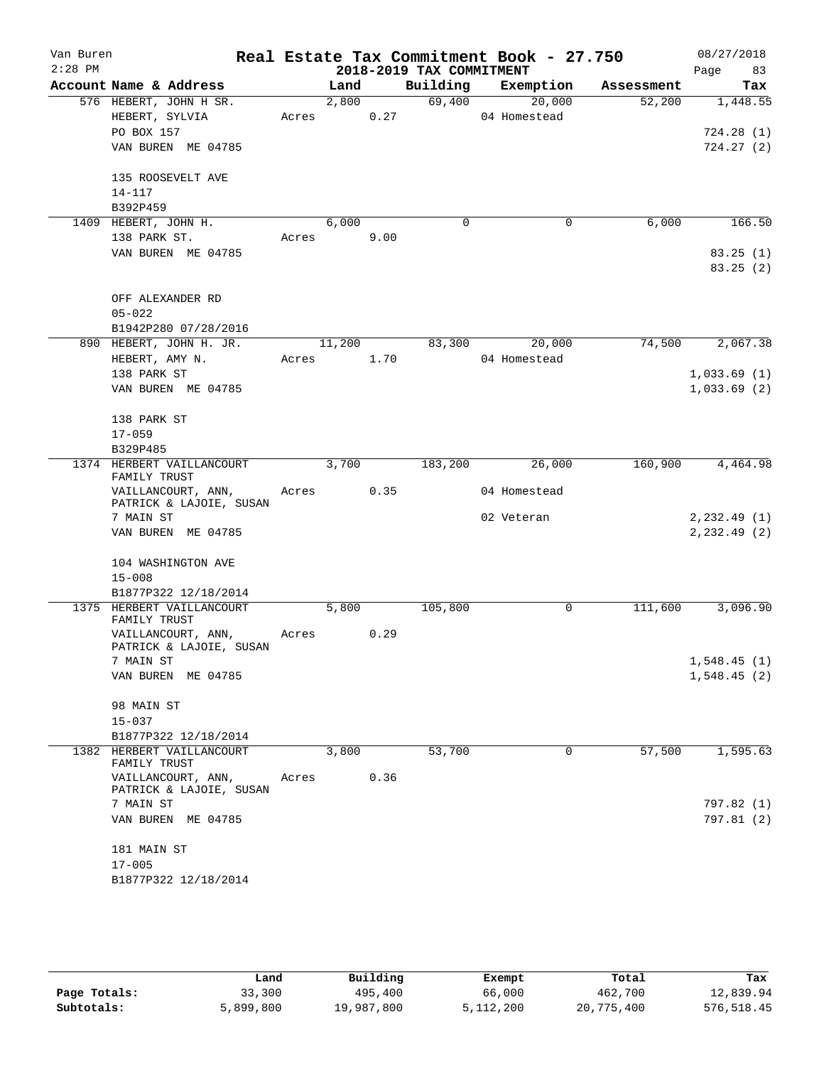| Van Buren<br>$2:28$ PM |                                           |       |        |      | 2018-2019 TAX COMMITMENT | Real Estate Tax Commitment Book - 27.750 |            | 08/27/2018<br>Page<br>83 |
|------------------------|-------------------------------------------|-------|--------|------|--------------------------|------------------------------------------|------------|--------------------------|
|                        | Account Name & Address                    |       | Land   |      | Building                 | Exemption                                | Assessment | Tax                      |
|                        | 576 HEBERT, JOHN H SR.                    |       | 2,800  |      | 69,400                   | 20,000                                   | 52,200     | 1,448.55                 |
|                        | HEBERT, SYLVIA                            | Acres |        | 0.27 |                          | 04 Homestead                             |            |                          |
|                        | PO BOX 157                                |       |        |      |                          |                                          |            | 724.28 (1)               |
|                        | VAN BUREN ME 04785                        |       |        |      |                          |                                          |            | 724.27(2)                |
|                        |                                           |       |        |      |                          |                                          |            |                          |
|                        | 135 ROOSEVELT AVE                         |       |        |      |                          |                                          |            |                          |
|                        | $14 - 117$                                |       |        |      |                          |                                          |            |                          |
|                        | B392P459                                  |       |        |      |                          |                                          |            |                          |
|                        | 1409 HEBERT, JOHN H.                      |       | 6,000  |      | 0                        | 0                                        | 6,000      | 166.50                   |
|                        | 138 PARK ST.                              | Acres |        | 9.00 |                          |                                          |            |                          |
|                        | VAN BUREN ME 04785                        |       |        |      |                          |                                          |            | 83.25(1)                 |
|                        |                                           |       |        |      |                          |                                          |            | 83.25(2)                 |
|                        |                                           |       |        |      |                          |                                          |            |                          |
|                        | OFF ALEXANDER RD                          |       |        |      |                          |                                          |            |                          |
|                        | $05 - 022$                                |       |        |      |                          |                                          |            |                          |
|                        | B1942P280 07/28/2016                      |       |        |      |                          |                                          |            |                          |
|                        | 890 HEBERT, JOHN H. JR.                   |       | 11,200 |      | 83,300                   | 20,000                                   | 74,500     | 2,067.38                 |
|                        | HEBERT, AMY N.                            | Acres |        | 1.70 |                          | 04 Homestead                             |            |                          |
|                        | 138 PARK ST                               |       |        |      |                          |                                          |            | 1,033.69(1)              |
|                        | VAN BUREN ME 04785                        |       |        |      |                          |                                          |            | 1,033.69(2)              |
|                        |                                           |       |        |      |                          |                                          |            |                          |
|                        | 138 PARK ST                               |       |        |      |                          |                                          |            |                          |
|                        | $17 - 059$                                |       |        |      |                          |                                          |            |                          |
|                        | B329P485                                  |       |        |      |                          |                                          |            |                          |
|                        | 1374 HERBERT VAILLANCOURT                 |       | 3,700  |      | 183,200                  | 26,000                                   | 160,900    | 4,464.98                 |
|                        | FAMILY TRUST                              |       |        |      |                          |                                          |            |                          |
|                        | VAILLANCOURT, ANN,                        | Acres |        | 0.35 |                          | 04 Homestead                             |            |                          |
|                        | PATRICK & LAJOIE, SUSAN                   |       |        |      |                          |                                          |            |                          |
|                        | 7 MAIN ST                                 |       |        |      |                          | 02 Veteran                               |            | 2, 232.49(1)             |
|                        | VAN BUREN ME 04785                        |       |        |      |                          |                                          |            | 2, 232.49(2)             |
|                        |                                           |       |        |      |                          |                                          |            |                          |
|                        | 104 WASHINGTON AVE                        |       |        |      |                          |                                          |            |                          |
|                        | $15 - 008$                                |       |        |      |                          |                                          |            |                          |
|                        | B1877P322 12/18/2014                      |       |        |      |                          |                                          |            |                          |
|                        | 1375 HERBERT VAILLANCOURT<br>FAMILY TRUST |       | 5,800  |      | 105,800                  | 0                                        | 111,600    | 3,096.90                 |
|                        | VAILLANCOURT, ANN,                        | Acres |        | 0.29 |                          |                                          |            |                          |
|                        | PATRICK & LAJOIE, SUSAN                   |       |        |      |                          |                                          |            |                          |
|                        | 7 MAIN ST                                 |       |        |      |                          |                                          |            | 1,548.45(1)              |
|                        | VAN BUREN ME 04785                        |       |        |      |                          |                                          |            | 1,548.45(2)              |
|                        |                                           |       |        |      |                          |                                          |            |                          |
|                        | 98 MAIN ST                                |       |        |      |                          |                                          |            |                          |
|                        | $15 - 037$                                |       |        |      |                          |                                          |            |                          |
|                        | B1877P322 12/18/2014                      |       |        |      |                          |                                          |            |                          |
|                        | 1382 HERBERT VAILLANCOURT                 |       | 3,800  |      | 53,700                   | 0                                        | 57,500     | 1,595.63                 |
|                        | FAMILY TRUST                              |       |        |      |                          |                                          |            |                          |
|                        | VAILLANCOURT, ANN,                        | Acres |        | 0.36 |                          |                                          |            |                          |
|                        | PATRICK & LAJOIE, SUSAN                   |       |        |      |                          |                                          |            |                          |
|                        | 7 MAIN ST                                 |       |        |      |                          |                                          |            | 797.82 (1)               |
|                        | VAN BUREN ME 04785                        |       |        |      |                          |                                          |            | 797.81 (2)               |
|                        |                                           |       |        |      |                          |                                          |            |                          |
|                        | 181 MAIN ST                               |       |        |      |                          |                                          |            |                          |
|                        | $17 - 005$<br>B1877P322 12/18/2014        |       |        |      |                          |                                          |            |                          |
|                        |                                           |       |        |      |                          |                                          |            |                          |
|                        |                                           |       |        |      |                          |                                          |            |                          |

|              | Land      | Building   | Exempt    | Total      | Tax         |
|--------------|-----------|------------|-----------|------------|-------------|
| Page Totals: | 33,300    | 495,400    | 66,000    | 462,700    | 12,839.94   |
| Subtotals:   | 5,899,800 | 19,987,800 | 5,112,200 | 20,775,400 | 576, 518.45 |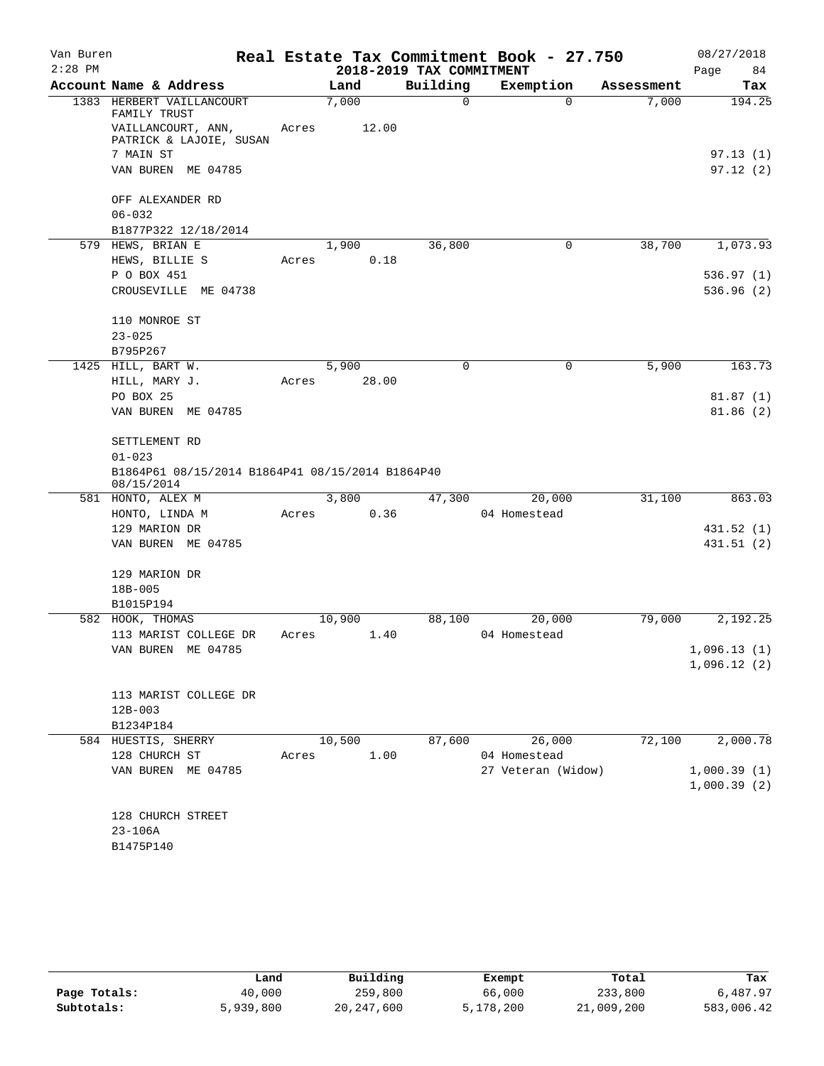| Van Buren |                                                                |       |        |                          | Real Estate Tax Commitment Book - 27.750 |            | 08/27/2018  |
|-----------|----------------------------------------------------------------|-------|--------|--------------------------|------------------------------------------|------------|-------------|
| $2:28$ PM |                                                                |       |        | 2018-2019 TAX COMMITMENT |                                          |            | Page<br>84  |
|           | Account Name & Address                                         |       | Land   | Building                 | Exemption                                | Assessment | Tax         |
|           | 1383 HERBERT VAILLANCOURT<br>FAMILY TRUST                      |       | 7,000  | $\Omega$                 | $\Omega$                                 | 7,000      | 194.25      |
|           | VAILLANCOURT, ANN,<br>PATRICK & LAJOIE, SUSAN                  | Acres | 12.00  |                          |                                          |            |             |
|           | 7 MAIN ST                                                      |       |        |                          |                                          |            | 97.13(1)    |
|           | VAN BUREN ME 04785                                             |       |        |                          |                                          |            | 97.12(2)    |
|           | OFF ALEXANDER RD                                               |       |        |                          |                                          |            |             |
|           | $06 - 032$                                                     |       |        |                          |                                          |            |             |
|           | B1877P322 12/18/2014                                           |       |        |                          |                                          |            |             |
|           | 579 HEWS, BRIAN E                                              |       | 1,900  | 36,800                   | 0                                        | 38,700     | 1,073.93    |
|           | HEWS, BILLIE S                                                 | Acres | 0.18   |                          |                                          |            |             |
|           | P O BOX 451                                                    |       |        |                          |                                          |            | 536.97(1)   |
|           | CROUSEVILLE ME 04738                                           |       |        |                          |                                          |            | 536.96 (2)  |
|           | 110 MONROE ST                                                  |       |        |                          |                                          |            |             |
|           | $23 - 025$                                                     |       |        |                          |                                          |            |             |
|           | B795P267                                                       |       |        |                          |                                          |            |             |
|           | 1425 HILL, BART W.                                             |       | 5,900  | $\mathbf 0$              | 0                                        | 5,900      | 163.73      |
|           | HILL, MARY J.                                                  | Acres | 28.00  |                          |                                          |            |             |
|           | PO BOX 25                                                      |       |        |                          |                                          |            | 81.87(1)    |
|           | VAN BUREN ME 04785                                             |       |        |                          |                                          |            | 81.86(2)    |
|           | SETTLEMENT RD                                                  |       |        |                          |                                          |            |             |
|           | $01 - 023$                                                     |       |        |                          |                                          |            |             |
|           | B1864P61 08/15/2014 B1864P41 08/15/2014 B1864P40<br>08/15/2014 |       |        |                          |                                          |            |             |
|           | 581 HONTO, ALEX M                                              |       | 3,800  | 47,300                   | 20,000                                   | 31,100     | 863.03      |
|           | HONTO, LINDA M                                                 | Acres | 0.36   |                          | 04 Homestead                             |            |             |
|           | 129 MARION DR                                                  |       |        |                          |                                          |            | 431.52 (1)  |
|           | VAN BUREN ME 04785                                             |       |        |                          |                                          |            | 431.51(2)   |
|           | 129 MARION DR                                                  |       |        |                          |                                          |            |             |
|           | 18B-005                                                        |       |        |                          |                                          |            |             |
|           | B1015P194                                                      |       |        |                          |                                          |            |             |
|           | 582 HOOK, THOMAS                                               |       | 10,900 | 88,100                   | 20,000                                   | 79,000     | 2,192.25    |
|           | 113 MARIST COLLEGE DR                                          | Acres | 1.40   |                          | 04 Homestead                             |            |             |
|           | VAN BUREN ME 04785                                             |       |        |                          |                                          |            | 1,096.13(1) |
|           |                                                                |       |        |                          |                                          |            | 1,096.12(2) |
|           | 113 MARIST COLLEGE DR                                          |       |        |                          |                                          |            |             |
|           | $12B - 003$                                                    |       |        |                          |                                          |            |             |
|           | B1234P184                                                      |       |        |                          |                                          |            |             |
|           | 584 HUESTIS, SHERRY                                            |       | 10,500 | 87,600                   | 26,000                                   | 72,100     | 2,000.78    |
|           | 128 CHURCH ST                                                  | Acres | 1.00   |                          | 04 Homestead                             |            |             |
|           | VAN BUREN ME 04785                                             |       |        |                          | 27 Veteran (Widow)                       |            | 1,000.39(1) |
|           |                                                                |       |        |                          |                                          |            | 1,000.39(2) |
|           | 128 CHURCH STREET                                              |       |        |                          |                                          |            |             |
|           | $23 - 106A$                                                    |       |        |                          |                                          |            |             |
|           | B1475P140                                                      |       |        |                          |                                          |            |             |
|           |                                                                |       |        |                          |                                          |            |             |

|              | Land      | Building     | Exempt    | Total      | Tax        |
|--------------|-----------|--------------|-----------|------------|------------|
| Page Totals: | 40,000    | 259,800      | 66,000    | 233,800    | 6,487.97   |
| Subtotals:   | 5,939,800 | 20, 247, 600 | 5,178,200 | 21,009,200 | 583,006.42 |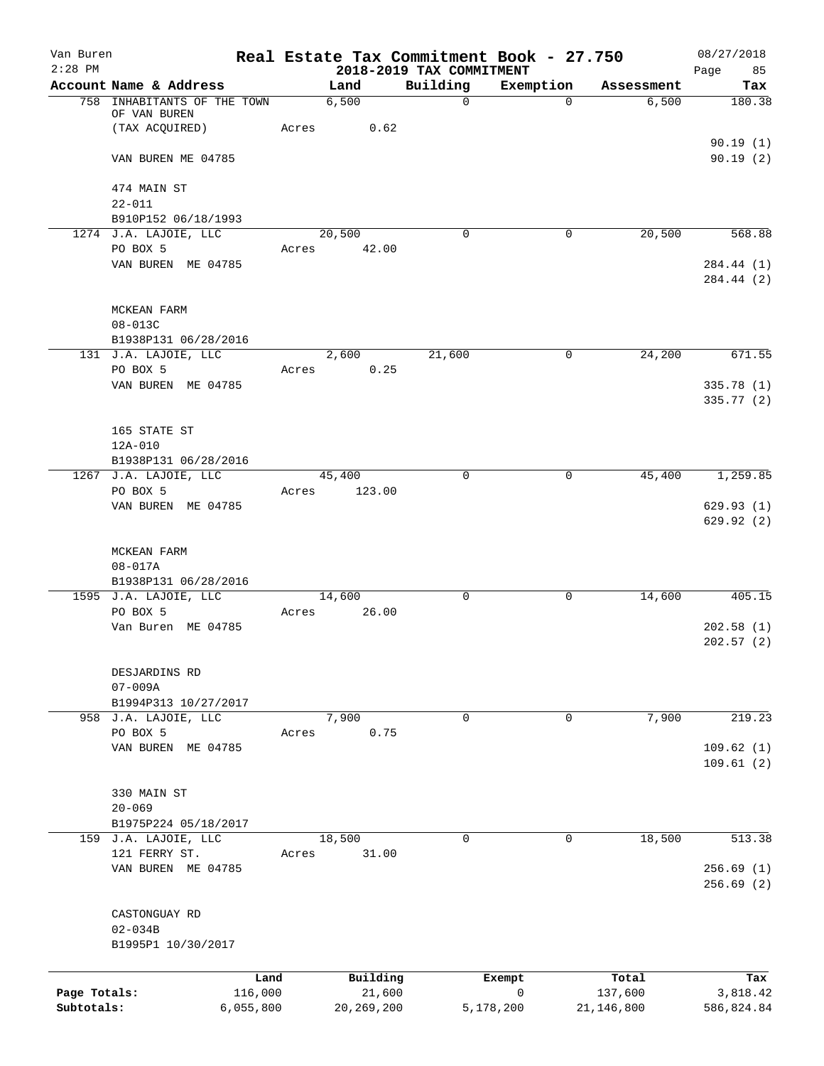| Van Buren<br>$2:28$ PM |                                               | Real Estate Tax Commitment Book - 27.750 | 2018-2019 TAX COMMITMENT |                        |                  | 08/27/2018             |
|------------------------|-----------------------------------------------|------------------------------------------|--------------------------|------------------------|------------------|------------------------|
|                        | Account Name & Address                        | Land                                     | Building                 | Exemption              | Assessment       | Page<br>85<br>Tax      |
|                        | 758 INHABITANTS OF THE TOWN                   | 6,500                                    | $\mathbf 0$              | $\Omega$               | 6,500            | 180.38                 |
|                        | OF VAN BUREN                                  |                                          |                          |                        |                  |                        |
|                        | (TAX ACQUIRED)                                | 0.62<br>Acres                            |                          |                        |                  |                        |
|                        | VAN BUREN ME 04785                            |                                          |                          |                        |                  | 90.19(1)<br>90.19(2)   |
|                        |                                               |                                          |                          |                        |                  |                        |
|                        | 474 MAIN ST                                   |                                          |                          |                        |                  |                        |
|                        | $22 - 011$                                    |                                          |                          |                        |                  |                        |
|                        | B910P152 06/18/1993                           |                                          |                          |                        |                  |                        |
|                        | 1274 J.A. LAJOIE, LLC                         | 20,500                                   | $\Omega$                 | 0                      | 20,500           | 568.88                 |
|                        | PO BOX 5<br>VAN BUREN ME 04785                | Acres 42.00                              |                          |                        |                  | 284.44 (1)             |
|                        |                                               |                                          |                          |                        |                  | 284.44 (2)             |
|                        |                                               |                                          |                          |                        |                  |                        |
|                        | MCKEAN FARM                                   |                                          |                          |                        |                  |                        |
|                        | 08-013C                                       |                                          |                          |                        |                  |                        |
|                        | B1938P131 06/28/2016                          |                                          |                          |                        |                  |                        |
|                        | 131 J.A. LAJOIE, LLC<br>PO BOX 5              | 2,600<br>Acres<br>0.25                   | 21,600                   | 0                      | 24,200           | 671.55                 |
|                        | VAN BUREN ME 04785                            |                                          |                          |                        |                  | 335.78 (1)             |
|                        |                                               |                                          |                          |                        |                  | 335.77 (2)             |
|                        |                                               |                                          |                          |                        |                  |                        |
|                        | 165 STATE ST                                  |                                          |                          |                        |                  |                        |
|                        | 12A-010                                       |                                          |                          |                        |                  |                        |
|                        | B1938P131 06/28/2016<br>1267 J.A. LAJOIE, LLC | 45,400                                   | $\Omega$                 | 0                      | 45,400           | 1,259.85               |
|                        | PO BOX 5                                      | 123.00<br>Acres                          |                          |                        |                  |                        |
|                        | VAN BUREN ME 04785                            |                                          |                          |                        |                  | 629.93(1)              |
|                        |                                               |                                          |                          |                        |                  | 629.92(2)              |
|                        |                                               |                                          |                          |                        |                  |                        |
|                        | MCKEAN FARM                                   |                                          |                          |                        |                  |                        |
|                        | $08 - 017A$<br>B1938P131 06/28/2016           |                                          |                          |                        |                  |                        |
|                        | 1595 J.A. LAJOIE, LLC                         | 14,600                                   | $\mathbf 0$              | 0                      | 14,600           | 405.15                 |
|                        | PO BOX 5                                      | 26.00<br>Acres                           |                          |                        |                  |                        |
|                        | Van Buren ME 04785                            |                                          |                          |                        |                  | 202.58(1)              |
|                        |                                               |                                          |                          |                        |                  | 202.57(2)              |
|                        | DESJARDINS RD                                 |                                          |                          |                        |                  |                        |
|                        | $07 - 009A$                                   |                                          |                          |                        |                  |                        |
|                        | B1994P313 10/27/2017                          |                                          |                          |                        |                  |                        |
|                        | 958 J.A. LAJOIE, LLC                          | 7,900                                    | 0                        | 0                      | 7,900            | 219.23                 |
|                        | PO BOX 5                                      | 0.75<br>Acres                            |                          |                        |                  |                        |
|                        | VAN BUREN ME 04785                            |                                          |                          |                        |                  | 109.62(1)              |
|                        |                                               |                                          |                          |                        |                  | 109.61(2)              |
|                        | 330 MAIN ST                                   |                                          |                          |                        |                  |                        |
|                        | $20 - 069$                                    |                                          |                          |                        |                  |                        |
|                        | B1975P224 05/18/2017                          |                                          |                          |                        |                  |                        |
|                        | 159 J.A. LAJOIE, LLC                          | 18,500                                   | $\Omega$                 | 0                      | 18,500           | 513.38                 |
|                        | 121 FERRY ST.                                 | 31.00<br>Acres                           |                          |                        |                  |                        |
|                        | VAN BUREN ME 04785                            |                                          |                          |                        |                  | 256.69(1)<br>256.69(2) |
|                        |                                               |                                          |                          |                        |                  |                        |
|                        | CASTONGUAY RD                                 |                                          |                          |                        |                  |                        |
|                        | $02 - 034B$                                   |                                          |                          |                        |                  |                        |
|                        | B1995P1 10/30/2017                            |                                          |                          |                        |                  |                        |
|                        |                                               |                                          |                          |                        |                  |                        |
| Page Totals:           | Land<br>116,000                               | Building<br>21,600                       |                          | Exempt<br>$\mathsf{O}$ | Total<br>137,600 | Tax<br>3,818.42        |
| Subtotals:             | 6,055,800                                     | 20, 269, 200                             |                          | 5,178,200              | 21,146,800       | 586,824.84             |
|                        |                                               |                                          |                          |                        |                  |                        |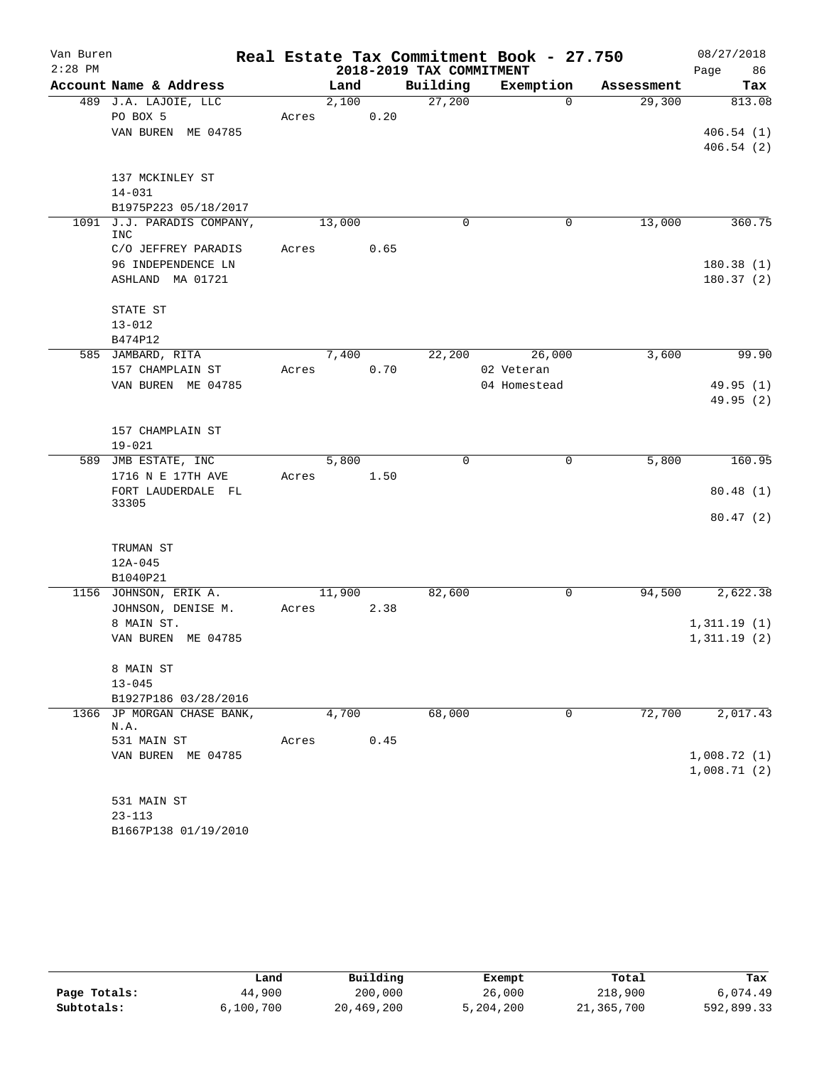| Van Buren |                                       |       |        |      |                          | Real Estate Tax Commitment Book - 27.750 |            | 08/27/2018  |
|-----------|---------------------------------------|-------|--------|------|--------------------------|------------------------------------------|------------|-------------|
| $2:28$ PM |                                       |       |        |      | 2018-2019 TAX COMMITMENT |                                          |            | Page<br>86  |
|           | Account Name & Address                |       | Land   |      | Building                 | Exemption                                | Assessment | Tax         |
|           | 489 J.A. LAJOIE, LLC                  |       | 2,100  |      | 27,200                   | $\Omega$                                 | 29,300     | 813.08      |
|           | PO BOX 5                              | Acres |        | 0.20 |                          |                                          |            |             |
|           | VAN BUREN ME 04785                    |       |        |      |                          |                                          |            | 406.54(1)   |
|           |                                       |       |        |      |                          |                                          |            | 406.54(2)   |
|           | 137 MCKINLEY ST                       |       |        |      |                          |                                          |            |             |
|           | $14 - 031$                            |       |        |      |                          |                                          |            |             |
|           | B1975P223 05/18/2017                  |       |        |      |                          |                                          |            |             |
|           | 1091 J.J. PARADIS COMPANY,            |       | 13,000 |      | $\mathbf 0$              | 0                                        | 13,000     | 360.75      |
|           | <b>INC</b>                            |       |        |      |                          |                                          |            |             |
|           | C/O JEFFREY PARADIS                   | Acres |        | 0.65 |                          |                                          |            |             |
|           | 96 INDEPENDENCE LN                    |       |        |      |                          |                                          |            | 180.38(1)   |
|           | ASHLAND MA 01721                      |       |        |      |                          |                                          |            | 180.37 (2)  |
|           |                                       |       |        |      |                          |                                          |            |             |
|           | STATE ST                              |       |        |      |                          |                                          |            |             |
|           | $13 - 012$                            |       |        |      |                          |                                          |            |             |
|           | B474P12                               |       | 7,400  |      |                          |                                          | 3,600      | 99.90       |
|           | 585 JAMBARD, RITA<br>157 CHAMPLAIN ST | Acres |        | 0.70 | 22,200                   | 26,000<br>02 Veteran                     |            |             |
|           | VAN BUREN ME 04785                    |       |        |      |                          | 04 Homestead                             |            | 49.95 (1)   |
|           |                                       |       |        |      |                          |                                          |            | 49.95 (2)   |
|           |                                       |       |        |      |                          |                                          |            |             |
|           | 157 CHAMPLAIN ST                      |       |        |      |                          |                                          |            |             |
|           | $19 - 021$                            |       |        |      |                          |                                          |            |             |
|           | 589 JMB ESTATE, INC                   |       | 5,800  |      | $\mathbf 0$              | $\mathbf 0$                              | 5,800      | 160.95      |
|           | 1716 N E 17TH AVE                     | Acres |        | 1.50 |                          |                                          |            |             |
|           | FORT LAUDERDALE FL                    |       |        |      |                          |                                          |            | 80.48(1)    |
|           | 33305                                 |       |        |      |                          |                                          |            |             |
|           |                                       |       |        |      |                          |                                          |            | 80.47(2)    |
|           | TRUMAN ST                             |       |        |      |                          |                                          |            |             |
|           | $12A - 045$                           |       |        |      |                          |                                          |            |             |
|           | B1040P21                              |       |        |      |                          |                                          |            |             |
|           | 1156 JOHNSON, ERIK A.                 |       | 11,900 |      | 82,600                   | 0                                        | 94,500     | 2,622.38    |
|           | JOHNSON, DENISE M.                    | Acres |        | 2.38 |                          |                                          |            |             |
|           | 8 MAIN ST.                            |       |        |      |                          |                                          |            | 1,311.19(1) |
|           | VAN BUREN ME 04785                    |       |        |      |                          |                                          |            | 1,311.19(2) |
|           |                                       |       |        |      |                          |                                          |            |             |
|           | 8 MAIN ST                             |       |        |      |                          |                                          |            |             |
|           | $13 - 045$                            |       |        |      |                          |                                          |            |             |
|           | B1927P186 03/28/2016                  |       |        |      |                          |                                          |            |             |
|           | 1366 JP MORGAN CHASE BANK,<br>N.A.    |       | 4,700  |      | 68,000                   | 0                                        | 72,700     | 2,017.43    |
|           | 531 MAIN ST                           | Acres |        | 0.45 |                          |                                          |            |             |
|           | VAN BUREN ME 04785                    |       |        |      |                          |                                          |            | 1,008.72(1) |
|           |                                       |       |        |      |                          |                                          |            | 1,008.71(2) |
|           |                                       |       |        |      |                          |                                          |            |             |
|           | 531 MAIN ST                           |       |        |      |                          |                                          |            |             |
|           | $23 - 113$                            |       |        |      |                          |                                          |            |             |
|           | B1667P138 01/19/2010                  |       |        |      |                          |                                          |            |             |

|              | Land      | Building   | Exempt    | Total      | Tax        |
|--------------|-----------|------------|-----------|------------|------------|
| Page Totals: | 44,900    | 200,000    | 26,000    | 218,900    | 6,074.49   |
| Subtotals:   | 6,100,700 | 20,469,200 | 5,204,200 | 21,365,700 | 592,899.33 |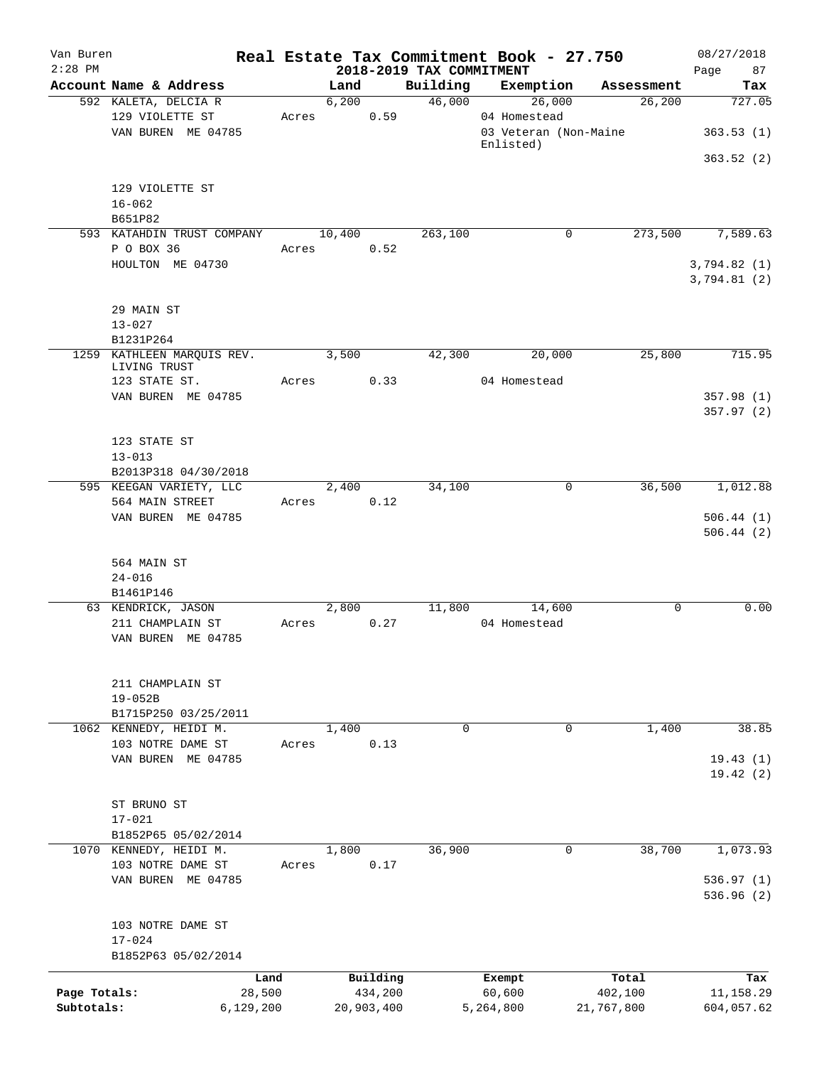| Van Buren    |                                                         |       |        |                     |                                      | Real Estate Tax Commitment Book - 27.750 |                  | 08/27/2018                 |
|--------------|---------------------------------------------------------|-------|--------|---------------------|--------------------------------------|------------------------------------------|------------------|----------------------------|
| $2:28$ PM    | Account Name & Address                                  |       | Land   |                     | 2018-2019 TAX COMMITMENT<br>Building | Exemption                                | Assessment       | 87<br>Page<br>Tax          |
|              | 592 KALETA, DELCIA R                                    |       | 6,200  |                     | 46,000                               | 26,000                                   | 26,200           | 727.05                     |
|              | 129 VIOLETTE ST<br>VAN BUREN ME 04785                   | Acres |        | 0.59                |                                      | 04 Homestead<br>03 Veteran (Non-Maine    |                  | 363.53(1)                  |
|              |                                                         |       |        |                     |                                      | Enlisted)                                |                  | 363.52(2)                  |
|              | 129 VIOLETTE ST                                         |       |        |                     |                                      |                                          |                  |                            |
|              | $16 - 062$<br>B651P82                                   |       |        |                     |                                      |                                          |                  |                            |
|              | 593 KATAHDIN TRUST COMPANY                              |       | 10,400 |                     | 263,100                              | 0                                        | 273,500          | 7,589.63                   |
|              | P O BOX 36                                              | Acres |        | 0.52                |                                      |                                          |                  |                            |
|              | HOULTON ME 04730                                        |       |        |                     |                                      |                                          |                  | 3,794.82(1)<br>3,794.81(2) |
|              | 29 MAIN ST                                              |       |        |                     |                                      |                                          |                  |                            |
|              | $13 - 027$                                              |       |        |                     |                                      |                                          |                  |                            |
|              | B1231P264<br>1259 KATHLEEN MARQUIS REV.<br>LIVING TRUST |       | 3,500  |                     | 42,300                               | 20,000                                   | 25,800           | 715.95                     |
|              | 123 STATE ST.                                           | Acres |        | 0.33                |                                      | 04 Homestead                             |                  |                            |
|              | VAN BUREN ME 04785                                      |       |        |                     |                                      |                                          |                  | 357.98(1)<br>357.97(2)     |
|              | 123 STATE ST                                            |       |        |                     |                                      |                                          |                  |                            |
|              | $13 - 013$                                              |       |        |                     |                                      |                                          |                  |                            |
|              | B2013P318 04/30/2018<br>595 KEEGAN VARIETY, LLC         |       | 2,400  |                     | 34,100                               | 0                                        | 36,500           | 1,012.88                   |
|              | 564 MAIN STREET                                         | Acres |        | 0.12                |                                      |                                          |                  |                            |
|              | VAN BUREN ME 04785                                      |       |        |                     |                                      |                                          |                  | 506.44(1)<br>506.44(2)     |
|              | 564 MAIN ST                                             |       |        |                     |                                      |                                          |                  |                            |
|              | $24 - 016$<br>B1461P146                                 |       |        |                     |                                      |                                          |                  |                            |
|              | 63 KENDRICK, JASON                                      |       | 2,800  |                     | 11,800                               | 14,600                                   | 0                | 0.00                       |
|              | 211 CHAMPLAIN ST<br>VAN BUREN ME 04785                  | Acres |        | 0.27                |                                      | 04 Homestead                             |                  |                            |
|              | 211 CHAMPLAIN ST<br>$19 - 052B$                         |       |        |                     |                                      |                                          |                  |                            |
|              | B1715P250 03/25/2011<br>1062 KENNEDY, HEIDI M.          |       | 1,400  |                     | $\mathbf 0$                          | $\mathbf 0$                              | 1,400            | 38.85                      |
|              | 103 NOTRE DAME ST                                       | Acres |        | 0.13                |                                      |                                          |                  |                            |
|              | VAN BUREN ME 04785                                      |       |        |                     |                                      |                                          |                  | 19.43(1)                   |
|              |                                                         |       |        |                     |                                      |                                          |                  | 19.42(2)                   |
|              | ST BRUNO ST                                             |       |        |                     |                                      |                                          |                  |                            |
|              | $17 - 021$                                              |       |        |                     |                                      |                                          |                  |                            |
|              | B1852P65 05/02/2014                                     |       |        |                     |                                      |                                          |                  |                            |
|              | 1070 KENNEDY, HEIDI M.<br>103 NOTRE DAME ST             | Acres | 1,800  | 0.17                | 36,900                               | 0                                        | 38,700           | 1,073.93                   |
|              | VAN BUREN ME 04785                                      |       |        |                     |                                      |                                          |                  | 536.97(1)                  |
|              |                                                         |       |        |                     |                                      |                                          |                  | 536.96(2)                  |
|              | 103 NOTRE DAME ST<br>$17 - 024$                         |       |        |                     |                                      |                                          |                  |                            |
|              | B1852P63 05/02/2014                                     |       |        |                     |                                      |                                          |                  |                            |
| Page Totals: | Land<br>28,500                                          |       |        | Building<br>434,200 |                                      | Exempt<br>60,600                         | Total<br>402,100 | Tax<br>11,158.29           |
| Subtotals:   | 6,129,200                                               |       |        | 20,903,400          |                                      | 5,264,800                                | 21,767,800       | 604,057.62                 |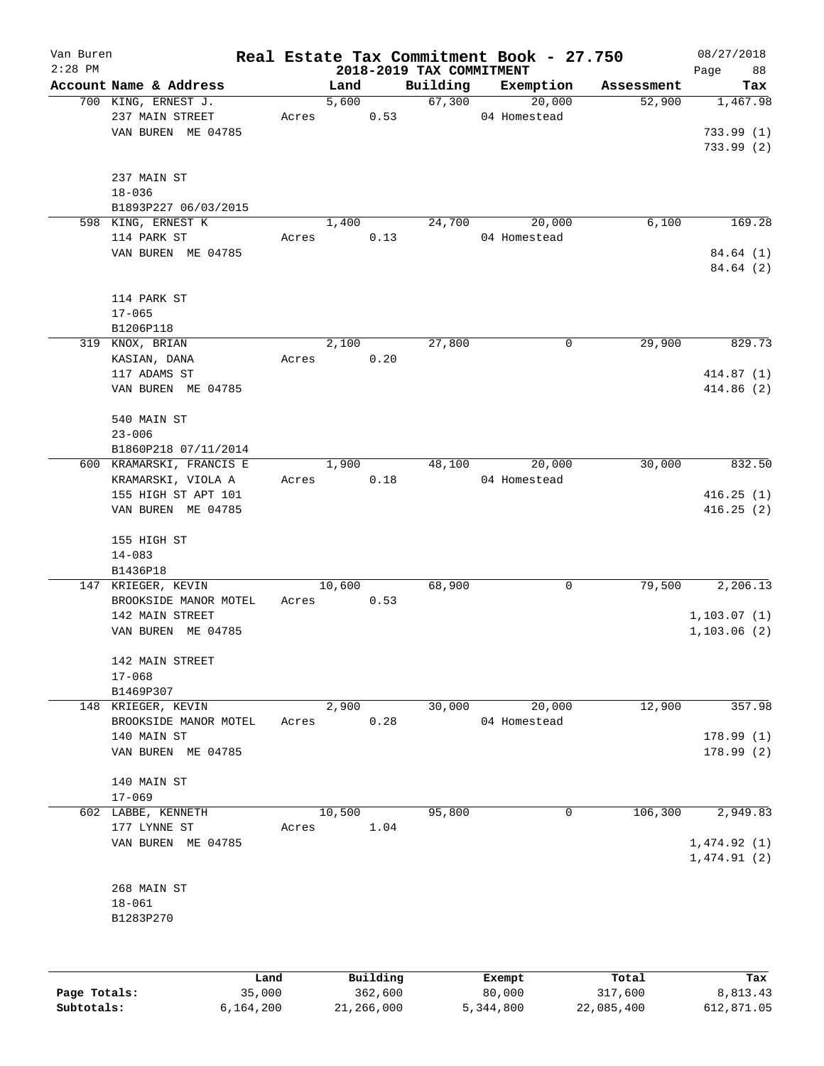| Van Buren<br>$2:28$ PM |                           |       |        |          | 2018-2019 TAX COMMITMENT | Real Estate Tax Commitment Book - 27.750 |            | 08/27/2018        |
|------------------------|---------------------------|-------|--------|----------|--------------------------|------------------------------------------|------------|-------------------|
|                        | Account Name & Address    |       | Land   |          | Building                 | Exemption                                | Assessment | 88<br>Page<br>Tax |
|                        | 700 KING, ERNEST J.       |       | 5,600  |          | 67,300                   | 20,000                                   | 52,900     | 1,467.98          |
|                        | 237 MAIN STREET           | Acres |        | 0.53     |                          | 04 Homestead                             |            |                   |
|                        | VAN BUREN ME 04785        |       |        |          |                          |                                          |            | 733.99(1)         |
|                        |                           |       |        |          |                          |                                          |            | 733.99(2)         |
|                        |                           |       |        |          |                          |                                          |            |                   |
|                        | 237 MAIN ST<br>$18 - 036$ |       |        |          |                          |                                          |            |                   |
|                        | B1893P227 06/03/2015      |       |        |          |                          |                                          |            |                   |
|                        | 598 KING, ERNEST K        |       | 1,400  |          | 24,700                   | 20,000                                   | 6,100      | 169.28            |
|                        | 114 PARK ST               | Acres |        | 0.13     |                          | 04 Homestead                             |            |                   |
|                        | VAN BUREN ME 04785        |       |        |          |                          |                                          |            | 84.64 (1)         |
|                        |                           |       |        |          |                          |                                          |            | 84.64 (2)         |
|                        | 114 PARK ST               |       |        |          |                          |                                          |            |                   |
|                        | $17 - 065$                |       |        |          |                          |                                          |            |                   |
|                        | B1206P118                 |       |        |          |                          |                                          |            |                   |
|                        | 319 KNOX, BRIAN           |       | 2,100  |          | 27,800                   | 0                                        | 29,900     | 829.73            |
|                        | KASIAN, DANA              | Acres |        | 0.20     |                          |                                          |            |                   |
|                        | 117 ADAMS ST              |       |        |          |                          |                                          |            | 414.87(1)         |
|                        | VAN BUREN ME 04785        |       |        |          |                          |                                          |            | 414.86(2)         |
|                        | 540 MAIN ST               |       |        |          |                          |                                          |            |                   |
|                        | $23 - 006$                |       |        |          |                          |                                          |            |                   |
|                        | B1860P218 07/11/2014      |       |        |          |                          |                                          |            |                   |
|                        | 600 KRAMARSKI, FRANCIS E  |       | 1,900  |          | 48,100                   | 20,000                                   | 30,000     | 832.50            |
|                        | KRAMARSKI, VIOLA A        | Acres |        | 0.18     |                          | 04 Homestead                             |            |                   |
|                        | 155 HIGH ST APT 101       |       |        |          |                          |                                          |            | 416.25(1)         |
|                        | VAN BUREN ME 04785        |       |        |          |                          |                                          |            | 416.25(2)         |
|                        | 155 HIGH ST               |       |        |          |                          |                                          |            |                   |
|                        | $14 - 083$                |       |        |          |                          |                                          |            |                   |
|                        | B1436P18                  |       |        |          |                          |                                          |            |                   |
|                        | 147 KRIEGER, KEVIN        |       | 10,600 |          | 68,900                   | 0                                        | 79,500     | 2,206.13          |
|                        | BROOKSIDE MANOR MOTEL     | Acres |        | 0.53     |                          |                                          |            |                   |
|                        | 142 MAIN STREET           |       |        |          |                          |                                          |            | 1, 103.07(1)      |
|                        | VAN BUREN ME 04785        |       |        |          |                          |                                          |            | 1, 103.06(2)      |
|                        | 142 MAIN STREET           |       |        |          |                          |                                          |            |                   |
|                        | $17 - 068$                |       |        |          |                          |                                          |            |                   |
|                        | B1469P307                 |       |        |          |                          |                                          |            |                   |
|                        | 148 KRIEGER, KEVIN        |       | 2,900  |          | 30,000                   | 20,000                                   | 12,900     | 357.98            |
|                        | BROOKSIDE MANOR MOTEL     | Acres |        | 0.28     |                          | 04 Homestead                             |            |                   |
|                        | 140 MAIN ST               |       |        |          |                          |                                          |            | 178.99(1)         |
|                        | VAN BUREN ME 04785        |       |        |          |                          |                                          |            | 178.99(2)         |
|                        | 140 MAIN ST               |       |        |          |                          |                                          |            |                   |
|                        | $17 - 069$                |       |        |          |                          |                                          |            |                   |
|                        | 602 LABBE, KENNETH        |       | 10,500 |          | 95,800                   | 0                                        | 106,300    | 2,949.83          |
|                        | 177 LYNNE ST              | Acres |        | 1.04     |                          |                                          |            |                   |
|                        | VAN BUREN ME 04785        |       |        |          |                          |                                          |            | 1,474.92(1)       |
|                        |                           |       |        |          |                          |                                          |            | 1,474.91(2)       |
|                        | 268 MAIN ST               |       |        |          |                          |                                          |            |                   |
|                        | $18 - 061$                |       |        |          |                          |                                          |            |                   |
|                        | B1283P270                 |       |        |          |                          |                                          |            |                   |
|                        |                           |       |        |          |                          |                                          |            |                   |
|                        |                           | Land  |        | Building |                          | Exempt                                   | Total      | Tax               |

**Page Totals:** 35,000 362,600 80,000 317,600 8,813.43 **Subtotals:** 6,164,200 21,266,000 5,344,800 22,085,400 612,871.05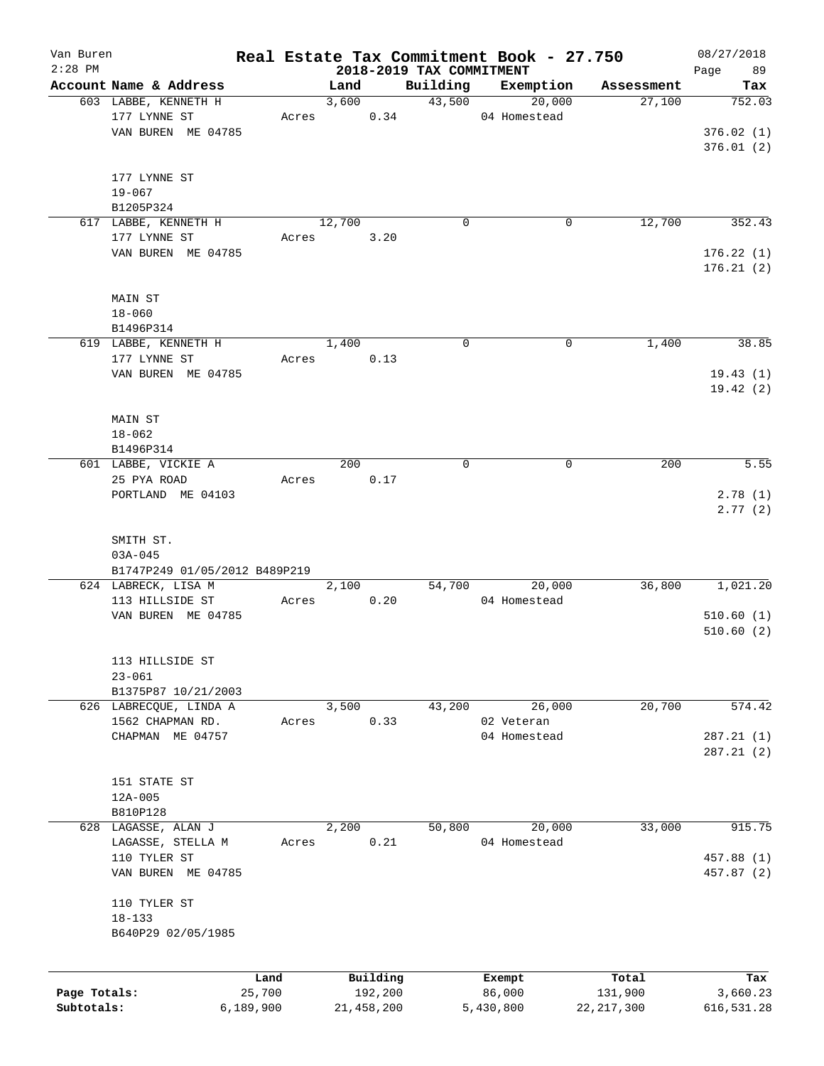| Van Buren<br>$2:28$ PM |                               |           |        |            | 2018-2019 TAX COMMITMENT | Real Estate Tax Commitment Book - 27.750 |              | 08/27/2018<br>Page<br>89 |
|------------------------|-------------------------------|-----------|--------|------------|--------------------------|------------------------------------------|--------------|--------------------------|
|                        | Account Name & Address        |           | Land   |            | Building                 | Exemption                                | Assessment   | Tax                      |
|                        | 603 LABBE, KENNETH H          |           | 3,600  |            | 43,500                   | 20,000                                   | 27,100       | 752.03                   |
|                        | 177 LYNNE ST                  | Acres     |        | 0.34       |                          | 04 Homestead                             |              |                          |
|                        | VAN BUREN ME 04785            |           |        |            |                          |                                          |              | 376.02(1)                |
|                        |                               |           |        |            |                          |                                          |              | 376.01(2)                |
|                        |                               |           |        |            |                          |                                          |              |                          |
|                        | 177 LYNNE ST                  |           |        |            |                          |                                          |              |                          |
|                        | $19 - 067$                    |           |        |            |                          |                                          |              |                          |
|                        | B1205P324                     |           |        |            |                          |                                          |              |                          |
|                        | 617 LABBE, KENNETH H          |           | 12,700 |            | 0                        | 0                                        | 12,700       | 352.43                   |
|                        | 177 LYNNE ST                  |           |        |            |                          |                                          |              |                          |
|                        |                               | Acres     |        | 3.20       |                          |                                          |              |                          |
|                        | VAN BUREN ME 04785            |           |        |            |                          |                                          |              | 176.22(1)                |
|                        |                               |           |        |            |                          |                                          |              | 176.21(2)                |
|                        |                               |           |        |            |                          |                                          |              |                          |
|                        | MAIN ST                       |           |        |            |                          |                                          |              |                          |
|                        | $18 - 060$                    |           |        |            |                          |                                          |              |                          |
|                        | B1496P314                     |           |        |            |                          |                                          |              |                          |
|                        | 619 LABBE, KENNETH H          |           | 1,400  |            | $\mathbf 0$              | 0                                        | 1,400        | 38.85                    |
|                        | 177 LYNNE ST                  | Acres     |        | 0.13       |                          |                                          |              |                          |
|                        | VAN BUREN ME 04785            |           |        |            |                          |                                          |              | 19.43(1)                 |
|                        |                               |           |        |            |                          |                                          |              | 19.42(2)                 |
|                        |                               |           |        |            |                          |                                          |              |                          |
|                        | MAIN ST                       |           |        |            |                          |                                          |              |                          |
|                        | $18 - 062$                    |           |        |            |                          |                                          |              |                          |
|                        | B1496P314                     |           |        |            |                          |                                          |              |                          |
|                        | 601 LABBE, VICKIE A           |           | 200    |            | $\mathbf 0$              | 0                                        | 200          | 5.55                     |
|                        | 25 PYA ROAD                   | Acres     |        | 0.17       |                          |                                          |              |                          |
|                        | PORTLAND ME 04103             |           |        |            |                          |                                          |              | 2.78(1)                  |
|                        |                               |           |        |            |                          |                                          |              | 2.77(2)                  |
|                        |                               |           |        |            |                          |                                          |              |                          |
|                        | SMITH ST.                     |           |        |            |                          |                                          |              |                          |
|                        | $03A - 045$                   |           |        |            |                          |                                          |              |                          |
|                        | B1747P249 01/05/2012 B489P219 |           |        |            |                          |                                          |              |                          |
|                        | 624 LABRECK, LISA M           |           | 2,100  |            | 54,700                   | 20,000                                   | 36,800       | 1,021.20                 |
|                        | 113 HILLSIDE ST               | Acres     |        | 0.20       |                          | 04 Homestead                             |              |                          |
|                        | VAN BUREN ME 04785            |           |        |            |                          |                                          |              | 510.60(1)                |
|                        |                               |           |        |            |                          |                                          |              | 510.60(2)                |
|                        |                               |           |        |            |                          |                                          |              |                          |
|                        | 113 HILLSIDE ST               |           |        |            |                          |                                          |              |                          |
|                        | $23 - 061$                    |           |        |            |                          |                                          |              |                          |
|                        | B1375P87 10/21/2003           |           |        |            |                          |                                          |              |                          |
|                        | 626 LABRECQUE, LINDA A        |           | 3,500  |            | 43,200                   | 26,000                                   | 20,700       | 574.42                   |
|                        | 1562 CHAPMAN RD.              | Acres     |        | 0.33       |                          | 02 Veteran                               |              |                          |
|                        | CHAPMAN ME 04757              |           |        |            |                          | 04 Homestead                             |              | 287.21(1)                |
|                        |                               |           |        |            |                          |                                          |              | 287.21(2)                |
|                        |                               |           |        |            |                          |                                          |              |                          |
|                        | 151 STATE ST                  |           |        |            |                          |                                          |              |                          |
|                        | $12A - 005$                   |           |        |            |                          |                                          |              |                          |
|                        | B810P128                      |           |        |            |                          |                                          |              |                          |
|                        | 628 LAGASSE, ALAN J           |           | 2,200  |            | 50,800                   | 20,000                                   | 33,000       | 915.75                   |
|                        | LAGASSE, STELLA M             | Acres     |        | 0.21       |                          | 04 Homestead                             |              |                          |
|                        | 110 TYLER ST                  |           |        |            |                          |                                          |              | 457.88 (1)               |
|                        |                               |           |        |            |                          |                                          |              |                          |
|                        | VAN BUREN ME 04785            |           |        |            |                          |                                          |              | 457.87 (2)               |
|                        |                               |           |        |            |                          |                                          |              |                          |
|                        | 110 TYLER ST                  |           |        |            |                          |                                          |              |                          |
|                        | $18 - 133$                    |           |        |            |                          |                                          |              |                          |
|                        | B640P29 02/05/1985            |           |        |            |                          |                                          |              |                          |
|                        |                               |           |        |            |                          |                                          |              |                          |
|                        |                               | Land      |        | Building   |                          | Exempt                                   | Total        | Tax                      |
| Page Totals:           |                               | 25,700    |        | 192,200    |                          | 86,000                                   | 131,900      | 3,660.23                 |
| Subtotals:             |                               | 6,189,900 |        | 21,458,200 |                          | 5,430,800                                | 22, 217, 300 | 616,531.28               |
|                        |                               |           |        |            |                          |                                          |              |                          |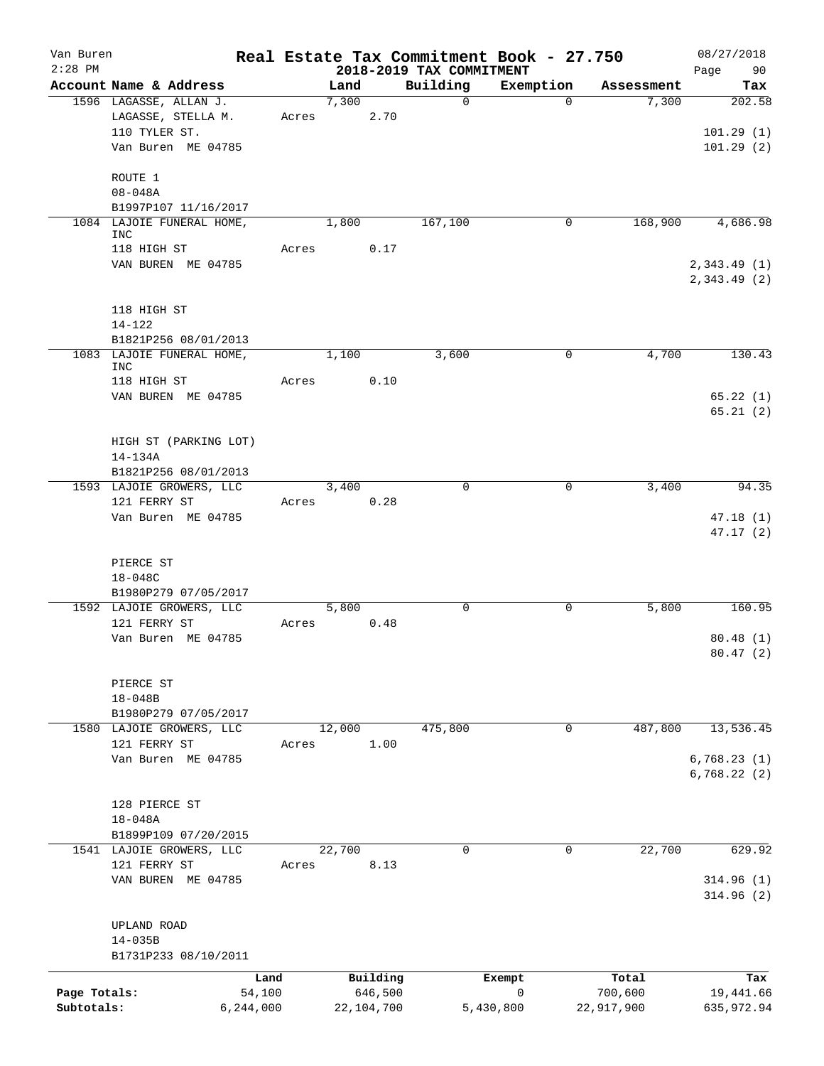| Van Buren    |                                                  |                |        |                     |                          | Real Estate Tax Commitment Book - 27.750 |                  | 08/27/2018                 |
|--------------|--------------------------------------------------|----------------|--------|---------------------|--------------------------|------------------------------------------|------------------|----------------------------|
| $2:28$ PM    |                                                  |                |        |                     | 2018-2019 TAX COMMITMENT |                                          |                  | 90<br>Page                 |
|              | Account Name & Address                           |                | Land   |                     | Building                 | Exemption                                | Assessment       | Tax                        |
|              | 1596 LAGASSE, ALLAN J.<br>LAGASSE, STELLA M.     | Acres          | 7,300  | 2.70                | $\Omega$                 | $\Omega$                                 | 7,300            | 202.58                     |
|              | 110 TYLER ST.                                    |                |        |                     |                          |                                          |                  | 101.29(1)                  |
|              | Van Buren ME 04785                               |                |        |                     |                          |                                          |                  | 101.29(2)                  |
|              |                                                  |                |        |                     |                          |                                          |                  |                            |
|              | ROUTE 1                                          |                |        |                     |                          |                                          |                  |                            |
|              | $08 - 048A$                                      |                |        |                     |                          |                                          |                  |                            |
|              | B1997P107 11/16/2017                             |                |        |                     |                          |                                          |                  |                            |
|              | 1084 LAJOIE FUNERAL HOME,                        |                | 1,800  |                     | 167,100                  | 0                                        | 168,900          | 4,686.98                   |
|              | <b>INC</b><br>118 HIGH ST                        | Acres          |        | 0.17                |                          |                                          |                  |                            |
|              | VAN BUREN ME 04785                               |                |        |                     |                          |                                          |                  | 2,343.49 (1)               |
|              |                                                  |                |        |                     |                          |                                          |                  | 2,343.49(2)                |
|              | 118 HIGH ST                                      |                |        |                     |                          |                                          |                  |                            |
|              | $14 - 122$                                       |                |        |                     |                          |                                          |                  |                            |
|              | B1821P256 08/01/2013                             |                |        |                     |                          |                                          |                  |                            |
|              | 1083 LAJOIE FUNERAL HOME,                        |                | 1,100  |                     | 3,600                    | 0                                        | 4,700            | 130.43                     |
|              | <b>INC</b>                                       |                |        |                     |                          |                                          |                  |                            |
|              | 118 HIGH ST                                      | Acres          |        | 0.10                |                          |                                          |                  |                            |
|              | VAN BUREN ME 04785                               |                |        |                     |                          |                                          |                  | 65.22(1)                   |
|              |                                                  |                |        |                     |                          |                                          |                  | 65.21(2)                   |
|              | HIGH ST (PARKING LOT)                            |                |        |                     |                          |                                          |                  |                            |
|              | 14-134A                                          |                |        |                     |                          |                                          |                  |                            |
|              | B1821P256 08/01/2013                             |                |        |                     |                          |                                          |                  |                            |
|              | 1593 LAJOIE GROWERS, LLC                         |                | 3,400  |                     | $\mathbf 0$              | 0                                        | 3,400            | 94.35                      |
|              | 121 FERRY ST                                     | Acres          |        | 0.28                |                          |                                          |                  |                            |
|              | Van Buren ME 04785                               |                |        |                     |                          |                                          |                  | 47.18(1)                   |
|              |                                                  |                |        |                     |                          |                                          |                  | 47.17(2)                   |
|              |                                                  |                |        |                     |                          |                                          |                  |                            |
|              | PIERCE ST                                        |                |        |                     |                          |                                          |                  |                            |
|              | 18-048C                                          |                |        |                     |                          |                                          |                  |                            |
|              | B1980P279 07/05/2017<br>1592 LAJOIE GROWERS, LLC |                | 5,800  |                     | $\mathbf 0$              | 0                                        | 5,800            | 160.95                     |
|              | 121 FERRY ST                                     | Acres          |        | 0.48                |                          |                                          |                  |                            |
|              | Van Buren ME 04785                               |                |        |                     |                          |                                          |                  | 80.48(1)                   |
|              |                                                  |                |        |                     |                          |                                          |                  | 80.47(2)                   |
|              |                                                  |                |        |                     |                          |                                          |                  |                            |
|              | PIERCE ST                                        |                |        |                     |                          |                                          |                  |                            |
|              | $18 - 048B$                                      |                |        |                     |                          |                                          |                  |                            |
|              | B1980P279 07/05/2017                             |                |        |                     |                          |                                          |                  |                            |
|              | 1580 LAJOIE GROWERS, LLC                         |                | 12,000 |                     | 475,800                  | 0                                        | 487,800          | 13,536.45                  |
|              | 121 FERRY ST                                     | Acres          |        | 1.00                |                          |                                          |                  |                            |
|              | Van Buren ME 04785                               |                |        |                     |                          |                                          |                  | 6,768.23(1)<br>6,768.22(2) |
|              |                                                  |                |        |                     |                          |                                          |                  |                            |
|              | 128 PIERCE ST                                    |                |        |                     |                          |                                          |                  |                            |
|              | $18 - 048A$                                      |                |        |                     |                          |                                          |                  |                            |
|              | B1899P109 07/20/2015                             |                |        |                     |                          |                                          |                  |                            |
|              | 1541 LAJOIE GROWERS, LLC                         |                | 22,700 |                     | 0                        | 0                                        | 22,700           | 629.92                     |
|              | 121 FERRY ST                                     | Acres          |        | 8.13                |                          |                                          |                  |                            |
|              | VAN BUREN ME 04785                               |                |        |                     |                          |                                          |                  | 314.96(1)                  |
|              |                                                  |                |        |                     |                          |                                          |                  | 314.96(2)                  |
|              |                                                  |                |        |                     |                          |                                          |                  |                            |
|              | UPLAND ROAD<br>$14 - 035B$                       |                |        |                     |                          |                                          |                  |                            |
|              | B1731P233 08/10/2011                             |                |        |                     |                          |                                          |                  |                            |
|              |                                                  |                |        |                     |                          |                                          |                  |                            |
| Page Totals: |                                                  | Land<br>54,100 |        | Building<br>646,500 |                          | Exempt<br>0                              | Total<br>700,600 | Tax<br>19,441.66           |
| Subtotals:   | 6,244,000                                        |                |        | 22,104,700          |                          | 5,430,800                                | 22,917,900       | 635,972.94                 |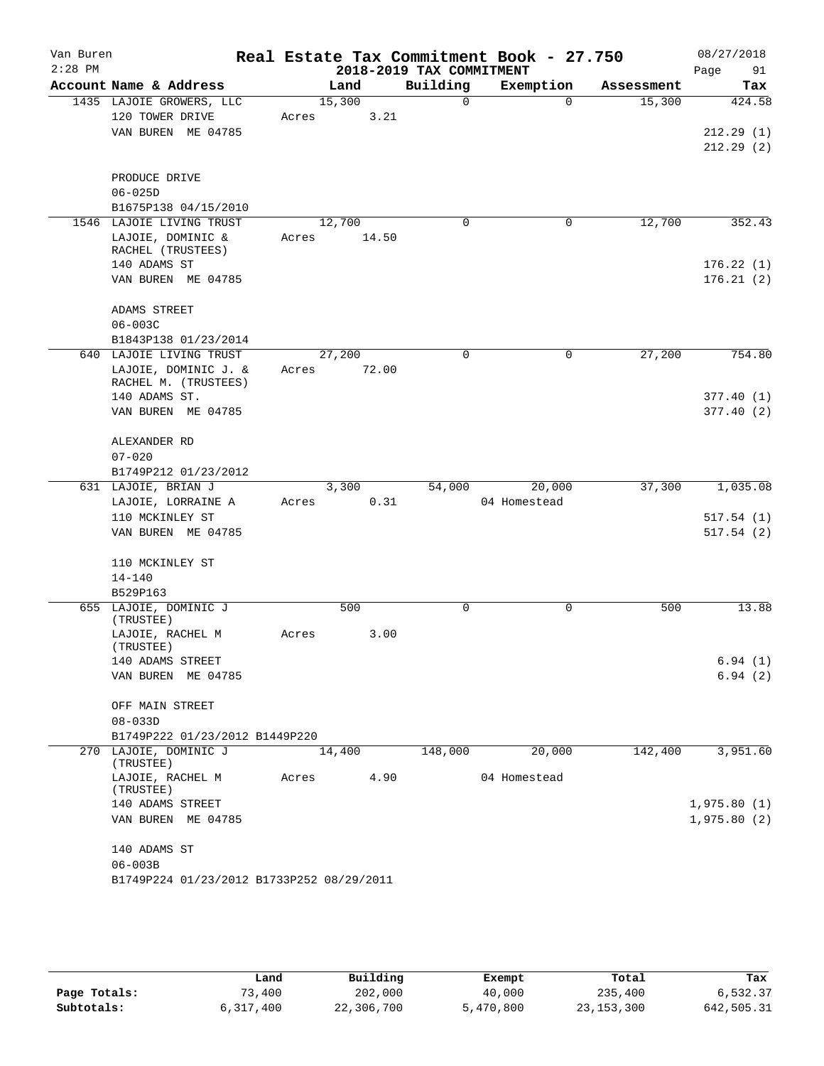| Van Buren<br>$2:28$ PM |                                                         |       |        | 2018-2019 TAX COMMITMENT | Real Estate Tax Commitment Book - 27.750 |            | 08/27/2018<br>Page<br>91 |
|------------------------|---------------------------------------------------------|-------|--------|--------------------------|------------------------------------------|------------|--------------------------|
|                        | Account Name & Address                                  |       | Land   | Building                 | Exemption                                | Assessment | Tax                      |
|                        | 1435 LAJOIE GROWERS, LLC                                |       | 15,300 | 0                        | $\Omega$                                 | 15,300     | 424.58                   |
|                        | 120 TOWER DRIVE                                         | Acres | 3.21   |                          |                                          |            |                          |
|                        | VAN BUREN ME 04785                                      |       |        |                          |                                          |            | 212.29 (1)               |
|                        |                                                         |       |        |                          |                                          |            | 212.29(2)                |
|                        | PRODUCE DRIVE                                           |       |        |                          |                                          |            |                          |
|                        | $06 - 025D$                                             |       |        |                          |                                          |            |                          |
|                        | B1675P138 04/15/2010                                    |       |        |                          |                                          |            |                          |
|                        | 1546 LAJOIE LIVING TRUST                                |       | 12,700 | 0                        | $\mathbf 0$                              | 12,700     | 352.43                   |
|                        | LAJOIE, DOMINIC &                                       | Acres | 14.50  |                          |                                          |            |                          |
|                        | RACHEL (TRUSTEES)                                       |       |        |                          |                                          |            |                          |
|                        | 140 ADAMS ST                                            |       |        |                          |                                          |            | 176.22(1)                |
|                        | VAN BUREN ME 04785                                      |       |        |                          |                                          |            | 176.21(2)                |
|                        | ADAMS STREET                                            |       |        |                          |                                          |            |                          |
|                        | $06 - 003C$                                             |       |        |                          |                                          |            |                          |
|                        | B1843P138 01/23/2014                                    |       |        |                          |                                          |            |                          |
|                        | 640 LAJOIE LIVING TRUST                                 |       | 27,200 | 0                        | 0                                        | 27,200     | 754.80                   |
|                        | LAJOIE, DOMINIC J. &                                    | Acres | 72.00  |                          |                                          |            |                          |
|                        | RACHEL M. (TRUSTEES)<br>140 ADAMS ST.                   |       |        |                          |                                          |            | 377.40 (1)               |
|                        | VAN BUREN ME 04785                                      |       |        |                          |                                          |            | 377.40(2)                |
|                        |                                                         |       |        |                          |                                          |            |                          |
|                        | ALEXANDER RD                                            |       |        |                          |                                          |            |                          |
|                        | $07 - 020$                                              |       |        |                          |                                          |            |                          |
|                        | B1749P212 01/23/2012                                    |       |        |                          |                                          |            |                          |
|                        | 631 LAJOIE, BRIAN J                                     |       | 3,300  | 54,000                   | 20,000                                   | 37,300     | 1,035.08                 |
|                        | LAJOIE, LORRAINE A                                      | Acres | 0.31   |                          | 04 Homestead                             |            |                          |
|                        | 110 MCKINLEY ST                                         |       |        |                          |                                          |            | 517.54(1)                |
|                        | VAN BUREN ME 04785                                      |       |        |                          |                                          |            | 517.54(2)                |
|                        | 110 MCKINLEY ST                                         |       |        |                          |                                          |            |                          |
|                        | $14 - 140$                                              |       |        |                          |                                          |            |                          |
|                        | B529P163                                                |       |        |                          |                                          |            |                          |
|                        | 655 LAJOIE, DOMINIC J<br>(TRUSTEE)                      |       | 500    | 0                        | 0                                        | 500        | 13.88                    |
|                        | LAJOIE, RACHEL M<br>(TRUSTEE)                           | Acres | 3.00   |                          |                                          |            |                          |
|                        | 140 ADAMS STREET                                        |       |        |                          |                                          |            | 6.94(1)                  |
|                        | VAN BUREN ME 04785                                      |       |        |                          |                                          |            | 6.94(2)                  |
|                        |                                                         |       |        |                          |                                          |            |                          |
|                        | OFF MAIN STREET                                         |       |        |                          |                                          |            |                          |
|                        | $08 - 033D$                                             |       |        |                          |                                          |            |                          |
|                        | B1749P222 01/23/2012 B1449P220<br>270 LAJOIE, DOMINIC J |       |        |                          |                                          | 142,400    |                          |
|                        | (TRUSTEE)                                               |       | 14,400 | 148,000                  | 20,000                                   |            | 3,951.60                 |
|                        | LAJOIE, RACHEL M<br>(TRUSTEE)                           | Acres | 4.90   |                          | 04 Homestead                             |            |                          |
|                        | 140 ADAMS STREET                                        |       |        |                          |                                          |            | 1,975.80(1)              |
|                        | VAN BUREN ME 04785                                      |       |        |                          |                                          |            | 1,975.80(2)              |
|                        | 140 ADAMS ST                                            |       |        |                          |                                          |            |                          |
|                        | $06 - 003B$                                             |       |        |                          |                                          |            |                          |
|                        | B1749P224 01/23/2012 B1733P252 08/29/2011               |       |        |                          |                                          |            |                          |
|                        |                                                         |       |        |                          |                                          |            |                          |

|              | Land      | Building   | Exempt    | Total        | Tax        |
|--------------|-----------|------------|-----------|--------------|------------|
| Page Totals: | 73,400    | 202,000    | 40,000    | 235,400      | 6,532.37   |
| Subtotals:   | 6,317,400 | 22,306,700 | 5,470,800 | 23, 153, 300 | 642,505.31 |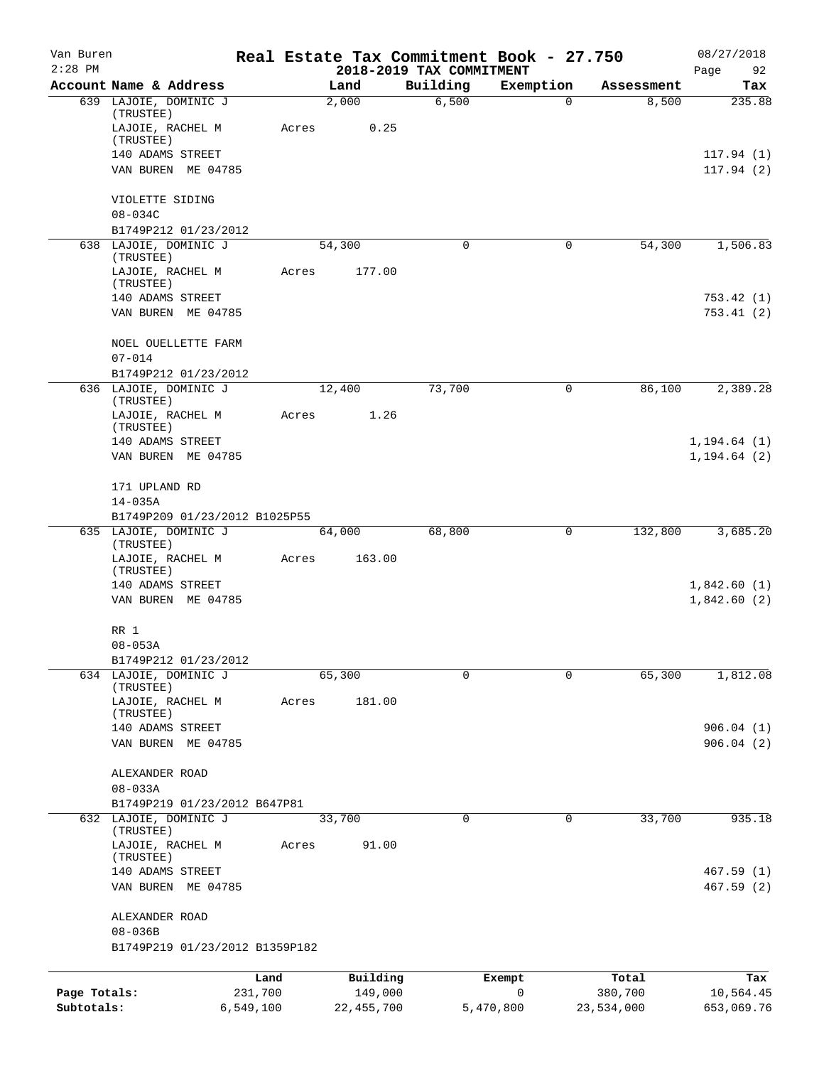| Van Buren<br>$2:28$ PM |                                               |       |              | 2018-2019 TAX COMMITMENT | Real Estate Tax Commitment Book - 27.750 |            | 08/27/2018<br>Page<br>92 |
|------------------------|-----------------------------------------------|-------|--------------|--------------------------|------------------------------------------|------------|--------------------------|
|                        | Account Name & Address                        |       | Land         | Building                 | Exemption                                | Assessment | Tax                      |
|                        | 639 LAJOIE, DOMINIC J                         |       | 2,000        | 6,500                    | 0                                        | 8,500      | 235.88                   |
|                        | (TRUSTEE)<br>LAJOIE, RACHEL M                 | Acres | 0.25         |                          |                                          |            |                          |
|                        | (TRUSTEE)                                     |       |              |                          |                                          |            |                          |
|                        | 140 ADAMS STREET                              |       |              |                          |                                          |            | 117.94(1)                |
|                        | VAN BUREN ME 04785                            |       |              |                          |                                          |            | 117.94(2)                |
|                        | VIOLETTE SIDING                               |       |              |                          |                                          |            |                          |
|                        | $08 - 034C$<br>B1749P212 01/23/2012           |       |              |                          |                                          |            |                          |
|                        | 638 LAJOIE, DOMINIC J                         |       | 54,300       | 0                        | 0                                        | 54,300     | 1,506.83                 |
|                        | (TRUSTEE)                                     |       |              |                          |                                          |            |                          |
|                        | LAJOIE, RACHEL M                              | Acres | 177.00       |                          |                                          |            |                          |
|                        | (TRUSTEE)<br>140 ADAMS STREET                 |       |              |                          |                                          |            | 753.42(1)                |
|                        | VAN BUREN ME 04785                            |       |              |                          |                                          |            | 753.41(2)                |
|                        |                                               |       |              |                          |                                          |            |                          |
|                        | NOEL OUELLETTE FARM<br>$07 - 014$             |       |              |                          |                                          |            |                          |
|                        | B1749P212 01/23/2012                          |       |              |                          |                                          |            |                          |
|                        | 636 LAJOIE, DOMINIC J<br>(TRUSTEE)            |       | 12,400       | 73,700                   | 0                                        | 86,100     | 2,389.28                 |
|                        | LAJOIE, RACHEL M<br>(TRUSTEE)                 | Acres | 1.26         |                          |                                          |            |                          |
|                        | 140 ADAMS STREET                              |       |              |                          |                                          |            | 1, 194.64(1)             |
|                        | VAN BUREN ME 04785                            |       |              |                          |                                          |            | 1, 194.64(2)             |
|                        | 171 UPLAND RD                                 |       |              |                          |                                          |            |                          |
|                        | $14 - 035A$<br>B1749P209 01/23/2012 B1025P55  |       |              |                          |                                          |            |                          |
|                        | 635 LAJOIE, DOMINIC J                         |       | 64,000       | 68,800                   | 0                                        | 132,800    | 3,685.20                 |
|                        | (TRUSTEE)                                     |       |              |                          |                                          |            |                          |
|                        | LAJOIE, RACHEL M<br>(TRUSTEE)                 | Acres | 163.00       |                          |                                          |            |                          |
|                        | 140 ADAMS STREET                              |       |              |                          |                                          |            | 1,842.60(1)              |
|                        | VAN BUREN ME 04785                            |       |              |                          |                                          |            | 1,842.60(2)              |
|                        | RR 1                                          |       |              |                          |                                          |            |                          |
|                        | $08 - 053A$<br>B1749P212 01/23/2012           |       |              |                          |                                          |            |                          |
|                        | 634 LAJOIE, DOMINIC J                         |       | 65,300       | $\mathbf 0$              | $\mathbf 0$                              | 65,300     | 1,812.08                 |
|                        | (TRUSTEE)                                     |       |              |                          |                                          |            |                          |
|                        | LAJOIE, RACHEL M<br>(TRUSTEE)                 | Acres | 181.00       |                          |                                          |            |                          |
|                        | 140 ADAMS STREET                              |       |              |                          |                                          |            | 906.04(1)                |
|                        | VAN BUREN ME 04785                            |       |              |                          |                                          |            | 906.04(2)                |
|                        | ALEXANDER ROAD                                |       |              |                          |                                          |            |                          |
|                        | $08 - 033A$                                   |       |              |                          |                                          |            |                          |
|                        | B1749P219 01/23/2012 B647P81                  |       |              |                          |                                          |            |                          |
|                        | 632 LAJOIE, DOMINIC J<br>(TRUSTEE)            |       | 33,700       | 0                        | 0                                        | 33,700     | 935.18                   |
|                        | LAJOIE, RACHEL M                              | Acres | 91.00        |                          |                                          |            |                          |
|                        | (TRUSTEE)                                     |       |              |                          |                                          |            |                          |
|                        | 140 ADAMS STREET                              |       |              |                          |                                          |            | 467.59(1)                |
|                        | VAN BUREN<br>ME 04785                         |       |              |                          |                                          |            | 467.59 (2)               |
|                        | ALEXANDER ROAD                                |       |              |                          |                                          |            |                          |
|                        | $08 - 036B$<br>B1749P219 01/23/2012 B1359P182 |       |              |                          |                                          |            |                          |
|                        |                                               |       |              |                          |                                          |            |                          |
|                        | Land                                          |       | Building     |                          | Exempt                                   | Total      | Tax                      |
| Page Totals:           | 231,700                                       |       | 149,000      |                          | $\mathbf 0$                              | 380,700    | 10,564.45                |
| Subtotals:             | 6,549,100                                     |       | 22, 455, 700 |                          | 5,470,800                                | 23,534,000 | 653,069.76               |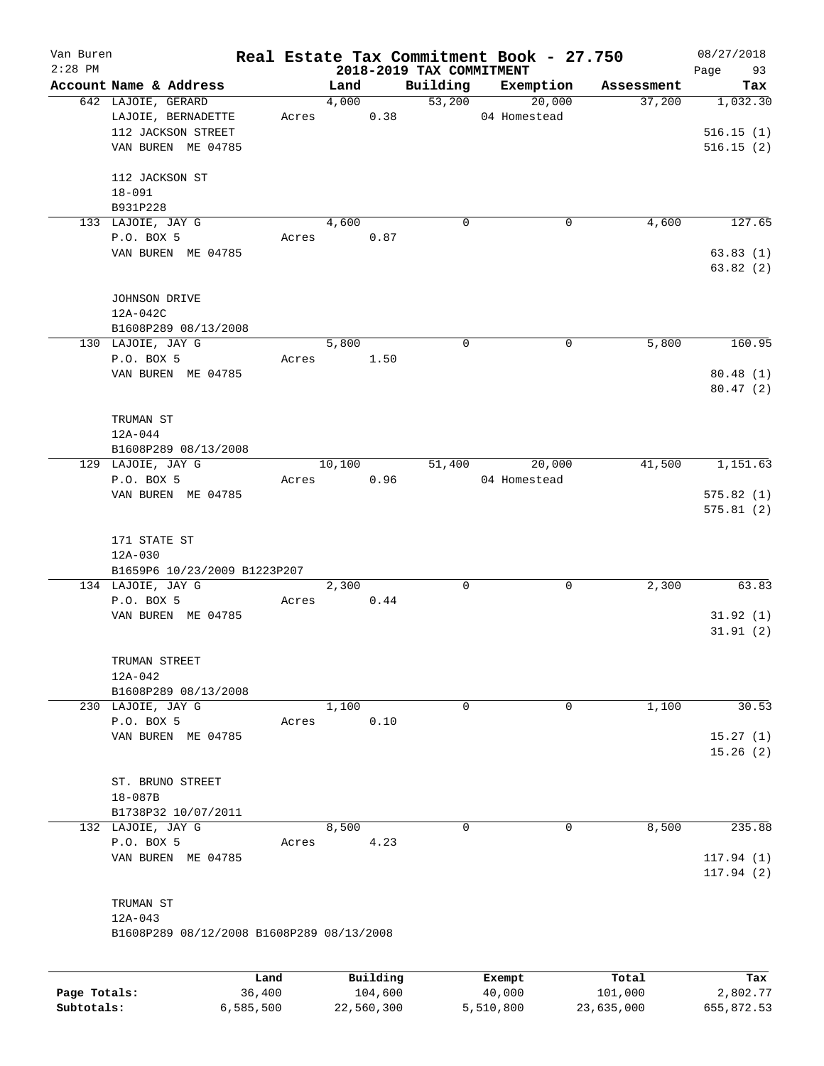| Van Buren<br>$2:28$ PM |                                           |        |        |          | 2018-2019 TAX COMMITMENT | Real Estate Tax Commitment Book - 27.750 |            | 08/27/2018<br>Page<br>93 |
|------------------------|-------------------------------------------|--------|--------|----------|--------------------------|------------------------------------------|------------|--------------------------|
|                        | Account Name & Address                    |        | Land   |          | Building                 | Exemption                                | Assessment | Tax                      |
|                        | 642 LAJOIE, GERARD                        |        | 4,000  |          | 53,200                   | 20,000                                   | 37,200     | 1,032.30                 |
|                        | LAJOIE, BERNADETTE                        | Acres  |        | 0.38     |                          | 04 Homestead                             |            |                          |
|                        | 112 JACKSON STREET                        |        |        |          |                          |                                          |            | 516.15(1)                |
|                        | VAN BUREN ME 04785                        |        |        |          |                          |                                          |            | 516.15(2)                |
|                        |                                           |        |        |          |                          |                                          |            |                          |
|                        | 112 JACKSON ST                            |        |        |          |                          |                                          |            |                          |
|                        | $18 - 091$                                |        |        |          |                          |                                          |            |                          |
|                        | B931P228                                  |        |        |          |                          |                                          |            |                          |
|                        | 133 LAJOIE, JAY G                         |        | 4,600  |          | $\mathbf 0$              | 0                                        | 4,600      | 127.65                   |
|                        | P.O. BOX 5                                | Acres  |        | 0.87     |                          |                                          |            |                          |
|                        | VAN BUREN ME 04785                        |        |        |          |                          |                                          |            | 63.83(1)                 |
|                        |                                           |        |        |          |                          |                                          |            | 63.82(2)                 |
|                        |                                           |        |        |          |                          |                                          |            |                          |
|                        | JOHNSON DRIVE                             |        |        |          |                          |                                          |            |                          |
|                        | 12A-042C                                  |        |        |          |                          |                                          |            |                          |
|                        | B1608P289 08/13/2008<br>130 LAJOIE, JAY G |        | 5,800  |          | $\mathbf 0$              | $\mathbf 0$                              | 5,800      | 160.95                   |
|                        | P.O. BOX 5                                | Acres  |        | 1.50     |                          |                                          |            |                          |
|                        | VAN BUREN ME 04785                        |        |        |          |                          |                                          |            | 80.48(1)                 |
|                        |                                           |        |        |          |                          |                                          |            | 80.47(2)                 |
|                        |                                           |        |        |          |                          |                                          |            |                          |
|                        | TRUMAN ST                                 |        |        |          |                          |                                          |            |                          |
|                        | $12A-044$                                 |        |        |          |                          |                                          |            |                          |
|                        | B1608P289 08/13/2008                      |        |        |          |                          |                                          |            |                          |
|                        | 129 LAJOIE, JAY G                         |        | 10,100 |          | 51,400                   | 20,000                                   | 41,500     | 1,151.63                 |
|                        | P.O. BOX 5                                | Acres  |        | 0.96     |                          | 04 Homestead                             |            |                          |
|                        | VAN BUREN ME 04785                        |        |        |          |                          |                                          |            | 575.82(1)                |
|                        |                                           |        |        |          |                          |                                          |            | 575.81(2)                |
|                        |                                           |        |        |          |                          |                                          |            |                          |
|                        | 171 STATE ST                              |        |        |          |                          |                                          |            |                          |
|                        | 12A-030                                   |        |        |          |                          |                                          |            |                          |
|                        | B1659P6 10/23/2009 B1223P207              |        |        |          |                          |                                          |            |                          |
|                        | 134 LAJOIE, JAY G                         |        | 2,300  |          | 0                        | $\mathbf 0$                              | 2,300      | 63.83                    |
|                        | P.O. BOX 5                                | Acres  |        | 0.44     |                          |                                          |            |                          |
|                        | VAN BUREN ME 04785                        |        |        |          |                          |                                          |            | 31.92(1)<br>31.91(2)     |
|                        |                                           |        |        |          |                          |                                          |            |                          |
|                        | TRUMAN STREET                             |        |        |          |                          |                                          |            |                          |
|                        | $12A - 042$                               |        |        |          |                          |                                          |            |                          |
|                        | B1608P289 08/13/2008                      |        |        |          |                          |                                          |            |                          |
|                        | 230 LAJOIE, JAY G                         |        | 1,100  |          | 0                        | 0                                        | 1,100      | 30.53                    |
|                        | P.O. BOX 5                                | Acres  |        | 0.10     |                          |                                          |            |                          |
|                        | VAN BUREN ME 04785                        |        |        |          |                          |                                          |            | 15.27(1)                 |
|                        |                                           |        |        |          |                          |                                          |            | 15.26(2)                 |
|                        |                                           |        |        |          |                          |                                          |            |                          |
|                        | ST. BRUNO STREET                          |        |        |          |                          |                                          |            |                          |
|                        | $18 - 087B$                               |        |        |          |                          |                                          |            |                          |
|                        | B1738P32 10/07/2011                       |        |        |          |                          |                                          |            |                          |
|                        | 132 LAJOIE, JAY G                         |        | 8,500  |          | $\mathbf 0$              | $\mathbf 0$                              | 8,500      | 235.88                   |
|                        | P.O. BOX 5                                | Acres  |        | 4.23     |                          |                                          |            |                          |
|                        | VAN BUREN ME 04785                        |        |        |          |                          |                                          |            | 117.94(1)                |
|                        |                                           |        |        |          |                          |                                          |            | 117.94 (2)               |
|                        | TRUMAN ST                                 |        |        |          |                          |                                          |            |                          |
|                        | $12A - 043$                               |        |        |          |                          |                                          |            |                          |
|                        | B1608P289 08/12/2008 B1608P289 08/13/2008 |        |        |          |                          |                                          |            |                          |
|                        |                                           |        |        |          |                          |                                          |            |                          |
|                        |                                           |        |        |          |                          |                                          |            |                          |
|                        |                                           | Land   |        | Building |                          | Exempt                                   | Total      | Tax                      |
| Page Totals:           |                                           | 36,400 |        | 104,600  |                          | 40,000                                   | 101,000    | 2,802.77                 |

**Subtotals:** 6,585,500 22,560,300 5,510,800 23,635,000 655,872.53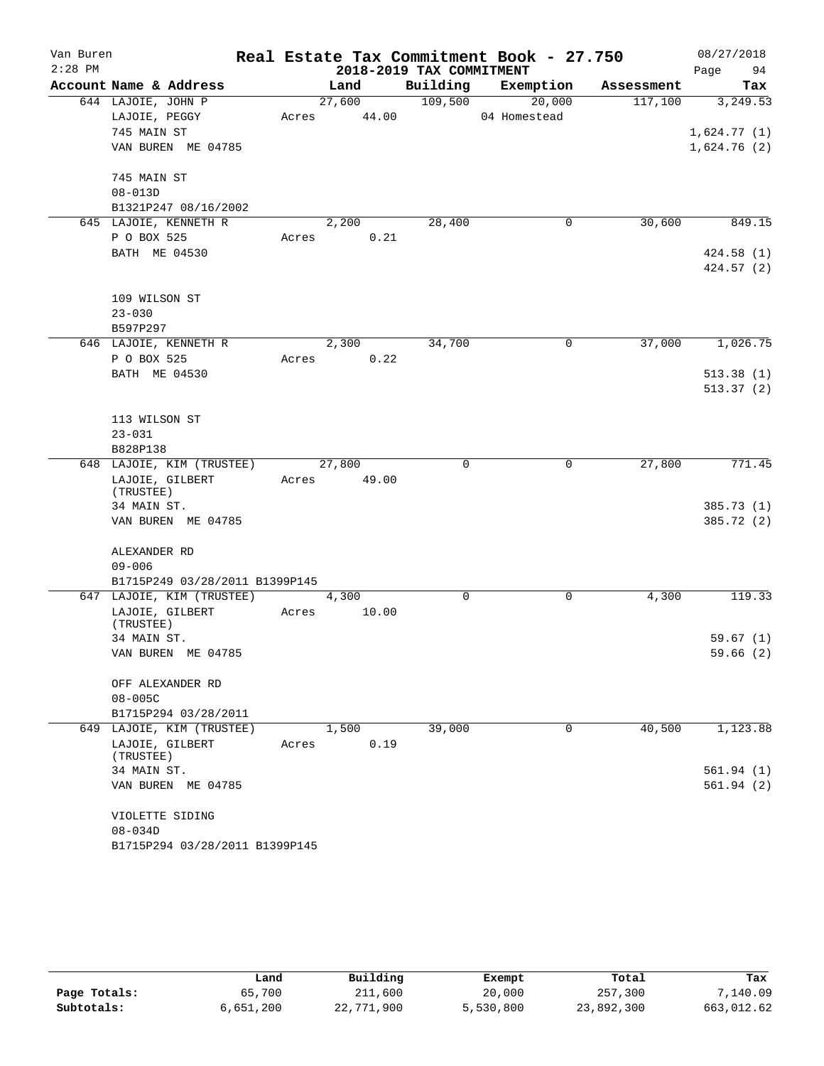| Van Buren |                                                             |       |        |       |                          | Real Estate Tax Commitment Book - 27.750 |             | 08/27/2018  |            |
|-----------|-------------------------------------------------------------|-------|--------|-------|--------------------------|------------------------------------------|-------------|-------------|------------|
| $2:28$ PM |                                                             |       |        |       | 2018-2019 TAX COMMITMENT |                                          |             | Page        | 94         |
|           | Account Name & Address                                      |       | Land   |       | Building                 | Exemption                                | Assessment  |             | Tax        |
|           | 644 LAJOIE, JOHN P                                          |       | 27,600 |       | 109,500                  | 20,000                                   | 117,100     |             | 3,249.53   |
|           | LAJOIE, PEGGY                                               | Acres |        | 44.00 |                          | 04 Homestead                             |             |             |            |
|           | 745 MAIN ST                                                 |       |        |       |                          |                                          |             | 1,624.77(1) |            |
|           | VAN BUREN ME 04785                                          |       |        |       |                          |                                          |             | 1,624.76(2) |            |
|           | 745 MAIN ST                                                 |       |        |       |                          |                                          |             |             |            |
|           | $08 - 013D$                                                 |       |        |       |                          |                                          |             |             |            |
|           | B1321P247 08/16/2002                                        |       |        |       |                          |                                          |             |             |            |
|           | 645 LAJOIE, KENNETH R                                       |       | 2,200  |       | 28,400                   |                                          | 30,600<br>0 |             | 849.15     |
|           | P O BOX 525                                                 | Acres |        | 0.21  |                          |                                          |             |             |            |
|           | BATH ME 04530                                               |       |        |       |                          |                                          |             |             | 424.58(1)  |
|           |                                                             |       |        |       |                          |                                          |             |             | 424.57(2)  |
|           | 109 WILSON ST                                               |       |        |       |                          |                                          |             |             |            |
|           | $23 - 030$                                                  |       |        |       |                          |                                          |             |             |            |
|           | B597P297                                                    |       |        |       |                          |                                          |             |             |            |
|           | 646 LAJOIE, KENNETH R                                       |       | 2,300  |       | 34,700                   |                                          | 37,000<br>0 |             | 1,026.75   |
|           | P O BOX 525                                                 | Acres |        | 0.22  |                          |                                          |             |             |            |
|           | BATH ME 04530                                               |       |        |       |                          |                                          |             |             | 513.38(1)  |
|           |                                                             |       |        |       |                          |                                          |             |             | 513.37(2)  |
|           | 113 WILSON ST                                               |       |        |       |                          |                                          |             |             |            |
|           | $23 - 031$                                                  |       |        |       |                          |                                          |             |             |            |
|           | B828P138                                                    |       |        |       |                          |                                          |             |             |            |
|           | 648 LAJOIE, KIM (TRUSTEE)                                   |       | 27,800 |       | 0                        |                                          | 27,800<br>0 |             | 771.45     |
|           | LAJOIE, GILBERT                                             | Acres |        | 49.00 |                          |                                          |             |             |            |
|           | (TRUSTEE)<br>34 MAIN ST.                                    |       |        |       |                          |                                          |             |             | 385.73(1)  |
|           | VAN BUREN ME 04785                                          |       |        |       |                          |                                          |             |             | 385.72 (2) |
|           |                                                             |       |        |       |                          |                                          |             |             |            |
|           | ALEXANDER RD                                                |       |        |       |                          |                                          |             |             |            |
|           | $09 - 006$                                                  |       |        |       |                          |                                          |             |             |            |
|           | B1715P249 03/28/2011 B1399P145<br>647 LAJOIE, KIM (TRUSTEE) |       |        |       | 0                        |                                          | 0<br>4,300  |             | 119.33     |
|           | LAJOIE, GILBERT                                             |       | 4,300  | 10.00 |                          |                                          |             |             |            |
|           | (TRUSTEE)                                                   | Acres |        |       |                          |                                          |             |             |            |
|           | 34 MAIN ST.                                                 |       |        |       |                          |                                          |             |             | 59.67(1)   |
|           | VAN BUREN ME 04785                                          |       |        |       |                          |                                          |             |             | 59.66(2)   |
|           | OFF ALEXANDER RD                                            |       |        |       |                          |                                          |             |             |            |
|           | $08 - 005C$                                                 |       |        |       |                          |                                          |             |             |            |
|           | B1715P294 03/28/2011                                        |       |        |       |                          |                                          |             |             |            |
|           | 649 LAJOIE, KIM (TRUSTEE)                                   |       | 1,500  |       | 39,000                   |                                          | 40,500<br>0 |             | 1,123.88   |
|           | LAJOIE, GILBERT                                             | Acres |        | 0.19  |                          |                                          |             |             |            |
|           | (TRUSTEE)<br>34 MAIN ST.                                    |       |        |       |                          |                                          |             |             | 561.94(1)  |
|           | VAN BUREN ME 04785                                          |       |        |       |                          |                                          |             |             | 561.94(2)  |
|           | VIOLETTE SIDING                                             |       |        |       |                          |                                          |             |             |            |
|           | $08 - 034D$                                                 |       |        |       |                          |                                          |             |             |            |
|           | B1715P294 03/28/2011 B1399P145                              |       |        |       |                          |                                          |             |             |            |
|           |                                                             |       |        |       |                          |                                          |             |             |            |

|              | Land      | Building   | Exempt    | Total      | Tax        |
|--------------|-----------|------------|-----------|------------|------------|
| Page Totals: | 65,700    | 211,600    | 20,000    | 257,300    | 7,140.09   |
| Subtotals:   | 6,651,200 | 22,771,900 | 5,530,800 | 23,892,300 | 663,012.62 |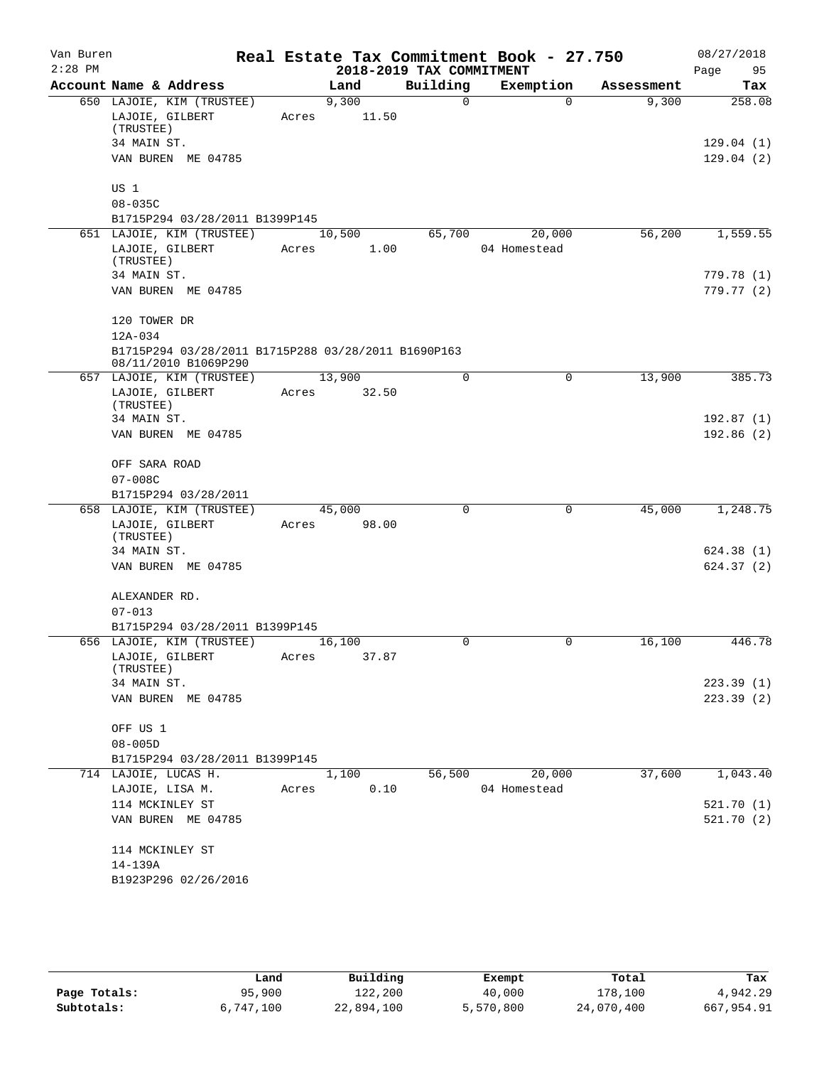| Van Buren<br>$2:28$ PM |                                                                             |       |                 | 2018-2019 TAX COMMITMENT | Real Estate Tax Commitment Book - 27.750 |            | 08/27/2018<br>Page<br>95 |
|------------------------|-----------------------------------------------------------------------------|-------|-----------------|--------------------------|------------------------------------------|------------|--------------------------|
|                        | Account Name & Address                                                      |       | Land            | Building                 | Exemption                                | Assessment | <b>Tax</b>               |
|                        | 650 LAJOIE, KIM (TRUSTEE)<br>LAJOIE, GILBERT<br>(TRUSTEE)<br>34 MAIN ST.    | Acres | 9,300<br>11.50  | $\Omega$                 | $\Omega$                                 | 9,300      | 258.08<br>129.04(1)      |
|                        | VAN BUREN ME 04785                                                          |       |                 |                          |                                          |            | 129.04(2)                |
|                        | US 1<br>$08 - 035C$                                                         |       |                 |                          |                                          |            |                          |
|                        | B1715P294 03/28/2011 B1399P145                                              |       |                 |                          |                                          |            |                          |
|                        | 651 LAJOIE, KIM (TRUSTEE)<br>LAJOIE, GILBERT<br>(TRUSTEE)                   | Acres | 10,500<br>1.00  | 65,700                   | 20,000<br>04 Homestead                   | 56,200     | 1,559.55                 |
|                        | 34 MAIN ST.<br>VAN BUREN ME 04785                                           |       |                 |                          |                                          |            | 779.78 (1)<br>779.77 (2) |
|                        | 120 TOWER DR<br>12A-034                                                     |       |                 |                          |                                          |            |                          |
|                        | B1715P294 03/28/2011 B1715P288 03/28/2011 B1690P163<br>08/11/2010 B1069P290 |       |                 |                          |                                          |            |                          |
|                        | 657 LAJOIE, KIM (TRUSTEE)<br>LAJOIE, GILBERT<br>(TRUSTEE)                   | Acres | 13,900<br>32.50 | $\Omega$                 | $\Omega$                                 | 13,900     | 385.73                   |
|                        | 34 MAIN ST.<br>VAN BUREN ME 04785                                           |       |                 |                          |                                          |            | 192.87(1)<br>192.86(2)   |
|                        | OFF SARA ROAD<br>$07 - 008C$                                                |       |                 |                          |                                          |            |                          |
|                        | B1715P294 03/28/2011                                                        |       |                 |                          |                                          |            |                          |
|                        | 658 LAJOIE, KIM (TRUSTEE)<br>LAJOIE, GILBERT<br>(TRUSTEE)                   | Acres | 45,000<br>98.00 | $\Omega$                 | 0                                        | 45,000     | 1,248.75                 |
|                        | 34 MAIN ST.<br>VAN BUREN ME 04785                                           |       |                 |                          |                                          |            | 624.38(1)<br>624.37(2)   |
|                        | ALEXANDER RD.<br>$07 - 013$                                                 |       |                 |                          |                                          |            |                          |
|                        | B1715P294 03/28/2011 B1399P145                                              |       |                 |                          |                                          |            |                          |
|                        | 656 LAJOIE, KIM (TRUSTEE)<br>LAJOIE, GILBERT<br>(TRUSTEE)                   | Acres | 16,100<br>37.87 | 0                        | $\mathbf 0$                              | 16,100     | 446.78                   |
|                        | 34 MAIN ST.<br>VAN BUREN ME 04785                                           |       |                 |                          |                                          |            | 223.39(1)<br>223.39(2)   |
|                        | OFF US 1<br>$08 - 005D$                                                     |       |                 |                          |                                          |            |                          |
|                        | B1715P294 03/28/2011 B1399P145                                              |       |                 |                          |                                          |            |                          |
|                        | 714 LAJOIE, LUCAS H.                                                        |       | 1,100           | 56,500                   | 20,000                                   | 37,600     | 1,043.40                 |
|                        | LAJOIE, LISA M.                                                             | Acres | 0.10            |                          | 04 Homestead                             |            |                          |
|                        | 114 MCKINLEY ST<br>VAN BUREN ME 04785                                       |       |                 |                          |                                          |            | 521.70(1)<br>521.70(2)   |
|                        | 114 MCKINLEY ST<br>14-139A<br>B1923P296 02/26/2016                          |       |                 |                          |                                          |            |                          |
|                        |                                                                             |       |                 |                          |                                          |            |                          |

|              | Land      | Building   | Exempt    | Total      | Tax        |
|--------------|-----------|------------|-----------|------------|------------|
| Page Totals: | 95,900    | 122,200    | 40,000    | 178,100    | 4,942.29   |
| Subtotals:   | 6,747,100 | 22,894,100 | 5,570,800 | 24,070,400 | 667,954.91 |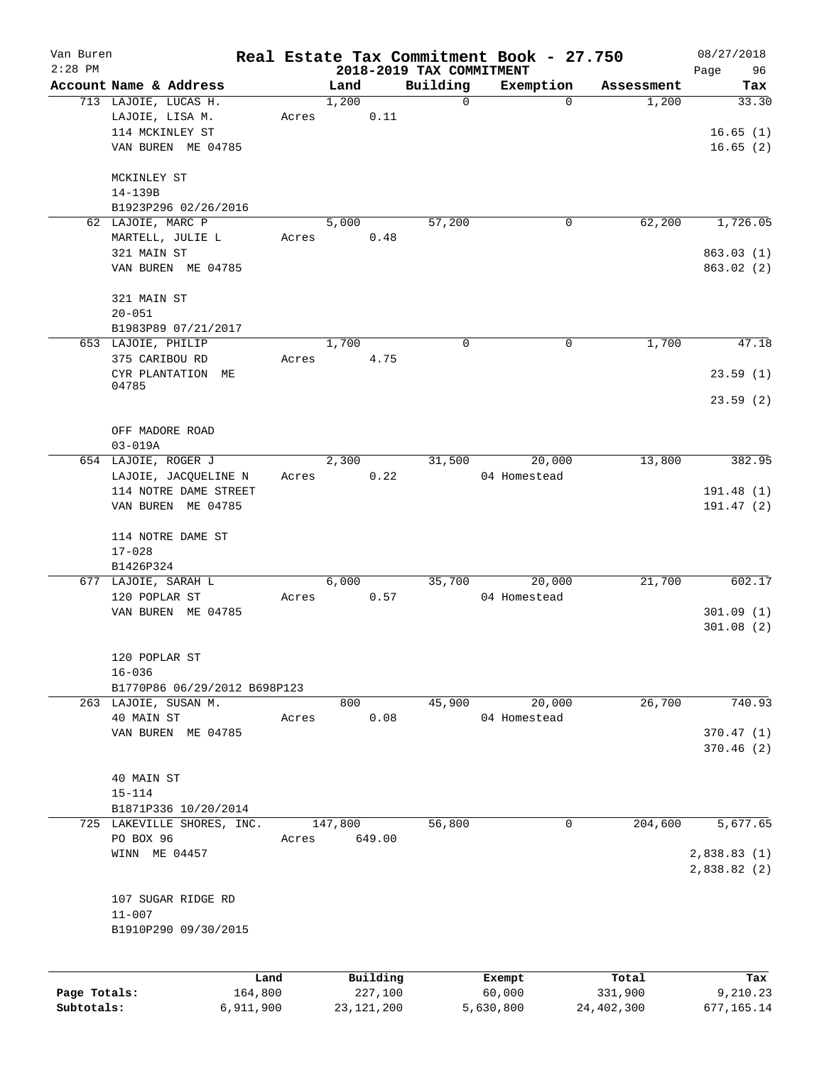| Van Buren    |                                                    |                 |               |                     |                          | Real Estate Tax Commitment Book - 27.750 |                     | 08/27/2018             |
|--------------|----------------------------------------------------|-----------------|---------------|---------------------|--------------------------|------------------------------------------|---------------------|------------------------|
| $2:28$ PM    |                                                    |                 |               |                     | 2018-2019 TAX COMMITMENT |                                          |                     | 96<br>Page             |
|              | Account Name & Address<br>713 LAJOIE, LUCAS H.     |                 | Land<br>1,200 |                     | Building<br>0            | Exemption<br>$\Omega$                    | Assessment<br>1,200 | Tax<br>33.30           |
|              | LAJOIE, LISA M.                                    | Acres           |               | 0.11                |                          |                                          |                     |                        |
|              | 114 MCKINLEY ST                                    |                 |               |                     |                          |                                          |                     | 16.65(1)               |
|              | VAN BUREN ME 04785                                 |                 |               |                     |                          |                                          |                     | 16.65(2)               |
|              |                                                    |                 |               |                     |                          |                                          |                     |                        |
|              | MCKINLEY ST                                        |                 |               |                     |                          |                                          |                     |                        |
|              | $14 - 139B$                                        |                 |               |                     |                          |                                          |                     |                        |
|              | B1923P296 02/26/2016                               |                 |               |                     |                          |                                          |                     |                        |
|              | 62 LAJOIE, MARC P                                  |                 | 5,000         |                     | 57,200                   | $\mathbf 0$                              | 62,200              | 1,726.05               |
|              | MARTELL, JULIE L                                   | Acres           |               | 0.48                |                          |                                          |                     |                        |
|              | 321 MAIN ST                                        |                 |               |                     |                          |                                          |                     | 863.03(1)              |
|              | VAN BUREN ME 04785                                 |                 |               |                     |                          |                                          |                     | 863.02 (2)             |
|              | 321 MAIN ST                                        |                 |               |                     |                          |                                          |                     |                        |
|              | $20 - 051$                                         |                 |               |                     |                          |                                          |                     |                        |
|              | B1983P89 07/21/2017                                |                 |               |                     |                          |                                          |                     |                        |
|              | 653 LAJOIE, PHILIP                                 |                 | 1,700         |                     | $\mathbf 0$              | $\mathbf 0$                              | 1,700               | 47.18                  |
|              | 375 CARIBOU RD                                     | Acres           |               | 4.75                |                          |                                          |                     |                        |
|              | CYR PLANTATION ME                                  |                 |               |                     |                          |                                          |                     | 23.59(1)               |
|              | 04785                                              |                 |               |                     |                          |                                          |                     |                        |
|              |                                                    |                 |               |                     |                          |                                          |                     | 23.59(2)               |
|              | OFF MADORE ROAD                                    |                 |               |                     |                          |                                          |                     |                        |
|              | $03 - 019A$                                        |                 |               |                     |                          |                                          |                     |                        |
|              | 654 LAJOIE, ROGER J                                |                 | 2,300         |                     | 31,500                   | 20,000                                   | 13,800              | 382.95                 |
|              | LAJOIE, JACQUELINE N                               | Acres           |               | 0.22                |                          | 04 Homestead                             |                     |                        |
|              | 114 NOTRE DAME STREET                              |                 |               |                     |                          |                                          |                     | 191.48 (1)             |
|              | VAN BUREN ME 04785                                 |                 |               |                     |                          |                                          |                     | 191.47(2)              |
|              |                                                    |                 |               |                     |                          |                                          |                     |                        |
|              | 114 NOTRE DAME ST                                  |                 |               |                     |                          |                                          |                     |                        |
|              | $17 - 028$                                         |                 |               |                     |                          |                                          |                     |                        |
|              | B1426P324                                          |                 |               |                     |                          |                                          |                     |                        |
|              | 677 LAJOIE, SARAH L                                |                 | 6,000         |                     | 35,700                   | 20,000                                   | 21,700              | 602.17                 |
|              | 120 POPLAR ST                                      | Acres           |               | 0.57                |                          | 04 Homestead                             |                     |                        |
|              | VAN BUREN ME 04785                                 |                 |               |                     |                          |                                          |                     | 301.09(1)<br>301.08(2) |
|              |                                                    |                 |               |                     |                          |                                          |                     |                        |
|              | 120 POPLAR ST                                      |                 |               |                     |                          |                                          |                     |                        |
|              | $16 - 036$                                         |                 |               |                     |                          |                                          |                     |                        |
|              | B1770P86 06/29/2012 B698P123                       |                 |               |                     |                          |                                          |                     |                        |
|              | 263 LAJOIE, SUSAN M.                               |                 | 800           |                     | 45,900                   | 20,000                                   | 26,700              | 740.93                 |
|              | 40 MAIN ST                                         | Acres           |               | 0.08                |                          | 04 Homestead                             |                     |                        |
|              | VAN BUREN ME 04785                                 |                 |               |                     |                          |                                          |                     | 370.47(1)              |
|              |                                                    |                 |               |                     |                          |                                          |                     | 370.46(2)              |
|              |                                                    |                 |               |                     |                          |                                          |                     |                        |
|              | 40 MAIN ST                                         |                 |               |                     |                          |                                          |                     |                        |
|              | $15 - 114$                                         |                 |               |                     |                          |                                          |                     |                        |
|              | B1871P336 10/20/2014<br>725 LAKEVILLE SHORES, INC. |                 | 147,800       |                     | 56,800                   | 0                                        | 204,600             | 5,677.65               |
|              | PO BOX 96                                          | Acres           |               | 649.00              |                          |                                          |                     |                        |
|              | WINN ME 04457                                      |                 |               |                     |                          |                                          |                     | 2,838.83(1)            |
|              |                                                    |                 |               |                     |                          |                                          |                     | 2,838.82(2)            |
|              |                                                    |                 |               |                     |                          |                                          |                     |                        |
|              | 107 SUGAR RIDGE RD                                 |                 |               |                     |                          |                                          |                     |                        |
|              | $11 - 007$                                         |                 |               |                     |                          |                                          |                     |                        |
|              | B1910P290 09/30/2015                               |                 |               |                     |                          |                                          |                     |                        |
|              |                                                    |                 |               |                     |                          |                                          |                     |                        |
| Page Totals: |                                                    | Land<br>164,800 |               | Building<br>227,100 |                          | Exempt<br>60,000                         | Total<br>331,900    | Tax<br>9,210.23        |
| Subtotals:   |                                                    | 6,911,900       |               | 23, 121, 200        |                          | 5,630,800                                | 24, 402, 300        | 677,165.14             |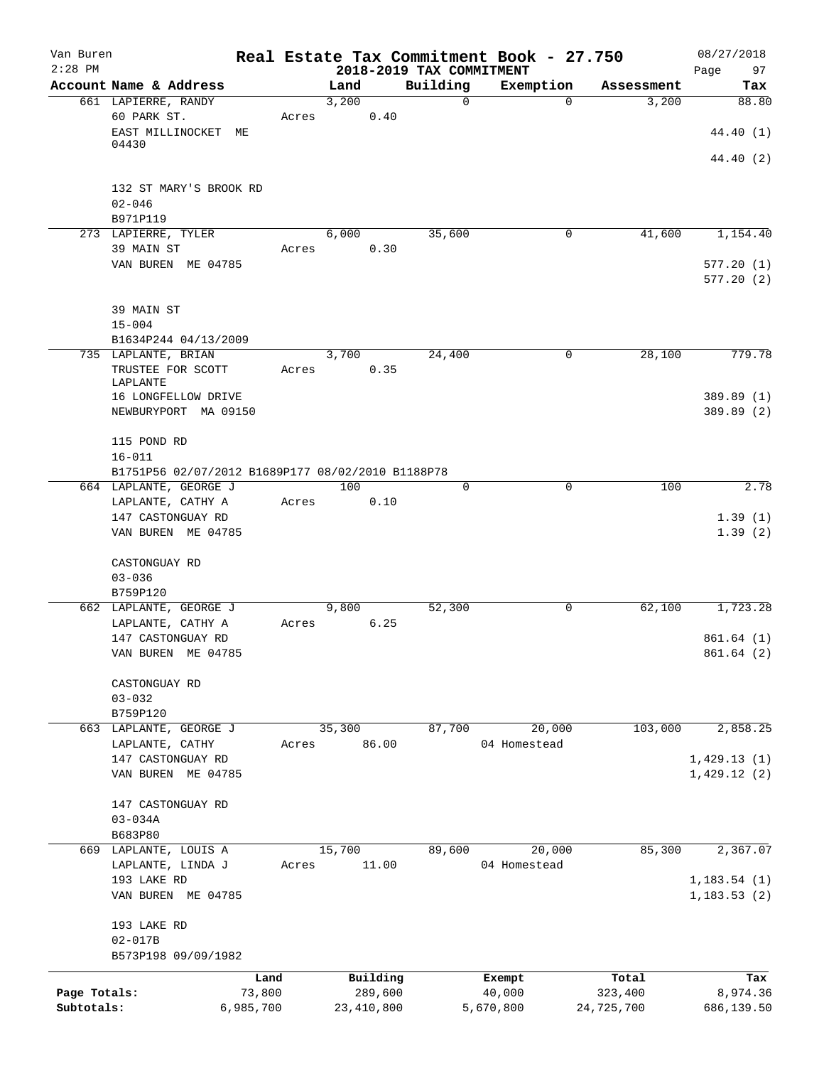| Van Buren<br>$2:28$ PM |                                                   |                |        |                     |                                      | Real Estate Tax Commitment Book - 27.750 |                  | 08/27/2018               |
|------------------------|---------------------------------------------------|----------------|--------|---------------------|--------------------------------------|------------------------------------------|------------------|--------------------------|
|                        | Account Name & Address                            |                | Land   |                     | 2018-2019 TAX COMMITMENT<br>Building | Exemption                                | Assessment       | Page<br>97<br>Tax        |
|                        | 661 LAPIERRE, RANDY<br>60 PARK ST.                | Acres          | 3,200  | 0.40                | $\mathbf 0$                          | $\Omega$                                 | 3,200            | 88.80                    |
|                        | EAST MILLINOCKET ME<br>04430                      |                |        |                     |                                      |                                          |                  | 44.40 (1)                |
|                        |                                                   |                |        |                     |                                      |                                          |                  | 44.40 (2)                |
|                        | 132 ST MARY'S BROOK RD<br>$02 - 046$              |                |        |                     |                                      |                                          |                  |                          |
|                        | B971P119                                          |                |        |                     |                                      |                                          |                  |                          |
|                        | 273 LAPIERRE, TYLER                               |                | 6,000  |                     | 35,600                               | 0                                        | 41,600           | 1,154.40                 |
|                        | 39 MAIN ST<br>VAN BUREN ME 04785                  | Acres          |        | 0.30                |                                      |                                          |                  | 577.20(1)                |
|                        |                                                   |                |        |                     |                                      |                                          |                  | 577.20(2)                |
|                        | 39 MAIN ST<br>$15 - 004$                          |                |        |                     |                                      |                                          |                  |                          |
|                        | B1634P244 04/13/2009                              |                |        |                     |                                      |                                          |                  |                          |
|                        | 735 LAPLANTE, BRIAN                               |                | 3,700  |                     | 24,400                               | 0                                        | 28,100           | 779.78                   |
|                        | TRUSTEE FOR SCOTT<br>LAPLANTE                     | Acres          |        | 0.35                |                                      |                                          |                  |                          |
|                        | 16 LONGFELLOW DRIVE<br>NEWBURYPORT MA 09150       |                |        |                     |                                      |                                          |                  | 389.89 (1)<br>389.89 (2) |
|                        |                                                   |                |        |                     |                                      |                                          |                  |                          |
|                        | 115 POND RD<br>$16 - 011$                         |                |        |                     |                                      |                                          |                  |                          |
|                        | B1751P56 02/07/2012 B1689P177 08/02/2010 B1188P78 |                |        |                     |                                      |                                          |                  |                          |
|                        | 664 LAPLANTE, GEORGE J                            |                | 100    |                     | 0                                    | $\mathbf 0$                              | 100              | 2.78                     |
|                        | LAPLANTE, CATHY A                                 | Acres          |        | 0.10                |                                      |                                          |                  |                          |
|                        | 147 CASTONGUAY RD<br>VAN BUREN ME 04785           |                |        |                     |                                      |                                          |                  | 1.39(1)<br>1.39(2)       |
|                        | CASTONGUAY RD                                     |                |        |                     |                                      |                                          |                  |                          |
|                        | $03 - 036$                                        |                |        |                     |                                      |                                          |                  |                          |
|                        | B759P120                                          |                |        |                     |                                      |                                          |                  |                          |
|                        | 662 LAPLANTE, GEORGE J<br>LAPLANTE, CATHY A       | Acres          | 9,800  | 6.25                | 52,300                               | 0                                        | 62,100           | 1,723.28                 |
|                        | 147 CASTONGUAY RD                                 |                |        |                     |                                      |                                          |                  | 861.64(1)                |
|                        | VAN BUREN ME 04785                                |                |        |                     |                                      |                                          |                  | 861.64 (2)               |
|                        | CASTONGUAY RD                                     |                |        |                     |                                      |                                          |                  |                          |
|                        | $03 - 032$<br>B759P120                            |                |        |                     |                                      |                                          |                  |                          |
|                        | 663 LAPLANTE, GEORGE J                            |                | 35,300 |                     | 87,700                               | 20,000                                   | 103,000          | 2,858.25                 |
|                        | LAPLANTE, CATHY                                   | Acres          |        | 86.00               |                                      | 04 Homestead                             |                  |                          |
|                        | 147 CASTONGUAY RD                                 |                |        |                     |                                      |                                          |                  | 1,429.13(1)              |
|                        | VAN BUREN ME 04785                                |                |        |                     |                                      |                                          |                  | 1,429.12(2)              |
|                        | 147 CASTONGUAY RD                                 |                |        |                     |                                      |                                          |                  |                          |
|                        | $03 - 034A$                                       |                |        |                     |                                      |                                          |                  |                          |
|                        | B683P80<br>669 LAPLANTE, LOUIS A                  |                | 15,700 |                     | 89,600                               | 20,000                                   | 85,300           | 2,367.07                 |
|                        | LAPLANTE, LINDA J                                 | Acres          |        | 11.00               |                                      | 04 Homestead                             |                  |                          |
|                        | 193 LAKE RD                                       |                |        |                     |                                      |                                          |                  | 1, 183.54(1)             |
|                        | VAN BUREN ME 04785                                |                |        |                     |                                      |                                          |                  | 1, 183.53(2)             |
|                        | 193 LAKE RD                                       |                |        |                     |                                      |                                          |                  |                          |
|                        | $02 - 017B$<br>B573P198 09/09/1982                |                |        |                     |                                      |                                          |                  |                          |
|                        |                                                   |                |        |                     |                                      |                                          |                  |                          |
| Page Totals:           |                                                   | Land<br>73,800 |        | Building<br>289,600 |                                      | Exempt<br>40,000                         | Total<br>323,400 | Tax<br>8,974.36          |
| Subtotals:             |                                                   | 6,985,700      |        | 23, 410, 800        |                                      | 5,670,800                                | 24,725,700       | 686,139.50               |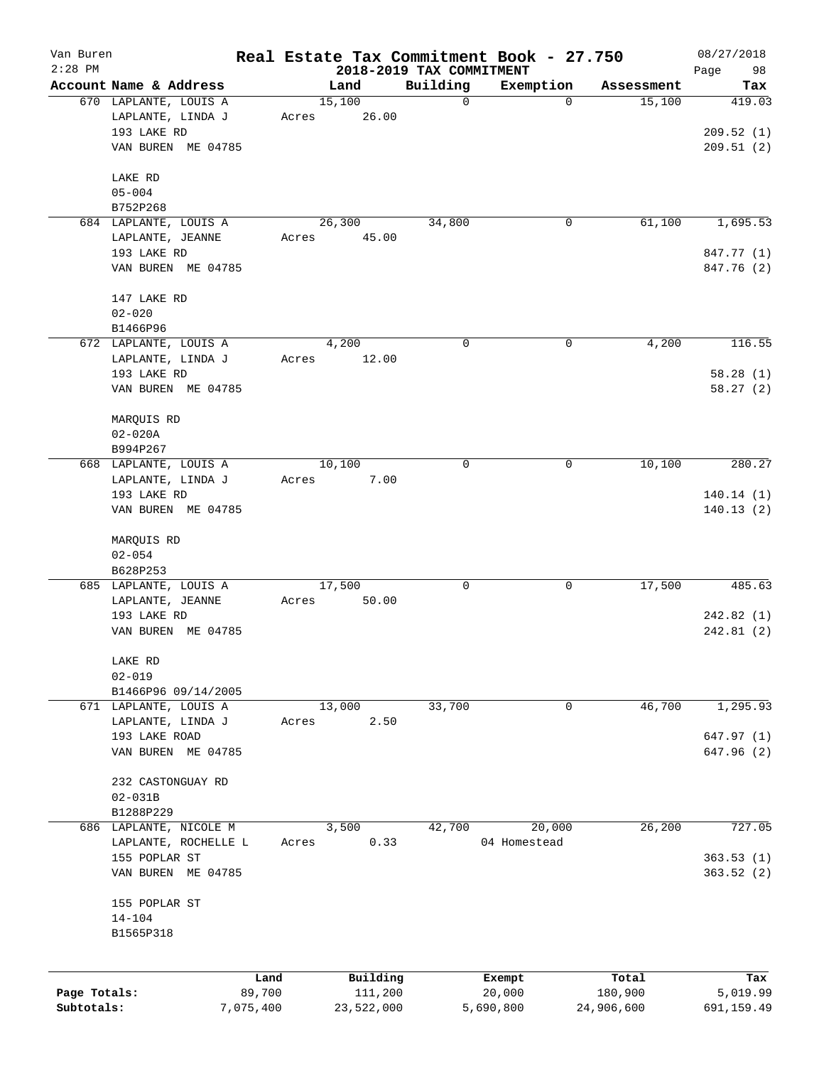| Van Buren    |                                           |       |                 |                                      | Real Estate Tax Commitment Book - 27.750 |            | 08/27/2018        |
|--------------|-------------------------------------------|-------|-----------------|--------------------------------------|------------------------------------------|------------|-------------------|
| $2:28$ PM    | Account Name & Address                    |       | Land            | 2018-2019 TAX COMMITMENT<br>Building | Exemption                                | Assessment | 98<br>Page<br>Tax |
|              | 670 LAPLANTE, LOUIS A                     |       | 15,100          | $\mathbf 0$                          | 0                                        | 15,100     | 419.03            |
|              | LAPLANTE, LINDA J                         | Acres | 26.00           |                                      |                                          |            |                   |
|              | 193 LAKE RD                               |       |                 |                                      |                                          |            | 209.52(1)         |
|              | VAN BUREN ME 04785                        |       |                 |                                      |                                          |            | 209.51(2)         |
|              |                                           |       |                 |                                      |                                          |            |                   |
|              | LAKE RD                                   |       |                 |                                      |                                          |            |                   |
|              | $05 - 004$                                |       |                 |                                      |                                          |            |                   |
|              | B752P268                                  |       |                 |                                      |                                          |            |                   |
|              | 684 LAPLANTE, LOUIS A                     |       | 26,300          | 34,800                               | 0                                        | 61,100     | 1,695.53          |
|              | LAPLANTE, JEANNE                          | Acres | 45.00           |                                      |                                          |            |                   |
|              | 193 LAKE RD                               |       |                 |                                      |                                          |            | 847.77 (1)        |
|              | VAN BUREN ME 04785                        |       |                 |                                      |                                          |            | 847.76 (2)        |
|              |                                           |       |                 |                                      |                                          |            |                   |
|              | 147 LAKE RD<br>$02 - 020$                 |       |                 |                                      |                                          |            |                   |
|              | B1466P96                                  |       |                 |                                      |                                          |            |                   |
|              | 672 LAPLANTE, LOUIS A                     |       | 4,200           | $\mathbf 0$                          | 0                                        | 4,200      | 116.55            |
|              | LAPLANTE, LINDA J                         | Acres | 12.00           |                                      |                                          |            |                   |
|              | 193 LAKE RD                               |       |                 |                                      |                                          |            | 58.28(1)          |
|              | VAN BUREN ME 04785                        |       |                 |                                      |                                          |            | 58.27(2)          |
|              |                                           |       |                 |                                      |                                          |            |                   |
|              | MARQUIS RD                                |       |                 |                                      |                                          |            |                   |
|              | $02 - 020A$                               |       |                 |                                      |                                          |            |                   |
|              | B994P267                                  |       |                 |                                      |                                          |            |                   |
|              | 668 LAPLANTE, LOUIS A                     |       | 10,100          | 0                                    | 0                                        | 10,100     | 280.27            |
|              | LAPLANTE, LINDA J                         | Acres | 7.00            |                                      |                                          |            |                   |
|              | 193 LAKE RD                               |       |                 |                                      |                                          |            | 140.14(1)         |
|              | VAN BUREN ME 04785                        |       |                 |                                      |                                          |            | 140.13(2)         |
|              |                                           |       |                 |                                      |                                          |            |                   |
|              | MARQUIS RD                                |       |                 |                                      |                                          |            |                   |
|              | $02 - 054$                                |       |                 |                                      |                                          |            |                   |
|              | B628P253                                  |       |                 | $\mathbf 0$                          |                                          |            | 485.63            |
|              | 685 LAPLANTE, LOUIS A<br>LAPLANTE, JEANNE | Acres | 17,500<br>50.00 |                                      | 0                                        | 17,500     |                   |
|              | 193 LAKE RD                               |       |                 |                                      |                                          |            | 242.82(1)         |
|              | VAN BUREN ME 04785                        |       |                 |                                      |                                          |            | 242.81 (2)        |
|              |                                           |       |                 |                                      |                                          |            |                   |
|              | LAKE RD                                   |       |                 |                                      |                                          |            |                   |
|              | $02 - 019$                                |       |                 |                                      |                                          |            |                   |
|              | B1466P96 09/14/2005                       |       |                 |                                      |                                          |            |                   |
|              | 671 LAPLANTE, LOUIS A                     |       | 13,000          | 33,700                               | 0                                        | 46,700     | 1, 295.93         |
|              | LAPLANTE, LINDA J                         | Acres | 2.50            |                                      |                                          |            |                   |
|              | 193 LAKE ROAD                             |       |                 |                                      |                                          |            | 647.97 (1)        |
|              | VAN BUREN ME 04785                        |       |                 |                                      |                                          |            | 647.96(2)         |
|              |                                           |       |                 |                                      |                                          |            |                   |
|              | 232 CASTONGUAY RD                         |       |                 |                                      |                                          |            |                   |
|              | $02 - 031B$<br>B1288P229                  |       |                 |                                      |                                          |            |                   |
|              | 686 LAPLANTE, NICOLE M                    |       | 3,500           | 42,700                               | 20,000                                   | 26, 200    | 727.05            |
|              | LAPLANTE, ROCHELLE L                      | Acres | 0.33            |                                      | 04 Homestead                             |            |                   |
|              | 155 POPLAR ST                             |       |                 |                                      |                                          |            | 363.53(1)         |
|              | VAN BUREN ME 04785                        |       |                 |                                      |                                          |            | 363.52(2)         |
|              |                                           |       |                 |                                      |                                          |            |                   |
|              | 155 POPLAR ST                             |       |                 |                                      |                                          |            |                   |
|              | $14 - 104$                                |       |                 |                                      |                                          |            |                   |
|              | B1565P318                                 |       |                 |                                      |                                          |            |                   |
|              |                                           |       |                 |                                      |                                          |            |                   |
|              |                                           | Land  | Building        |                                      | Exempt                                   | Total      | Tax               |
| Page Totals: | 89,700                                    |       | 111,200         |                                      | 20,000                                   | 180,900    | 5,019.99          |
| Subtotals:   | 7,075,400                                 |       | 23,522,000      |                                      | 5,690,800                                | 24,906,600 | 691,159.49        |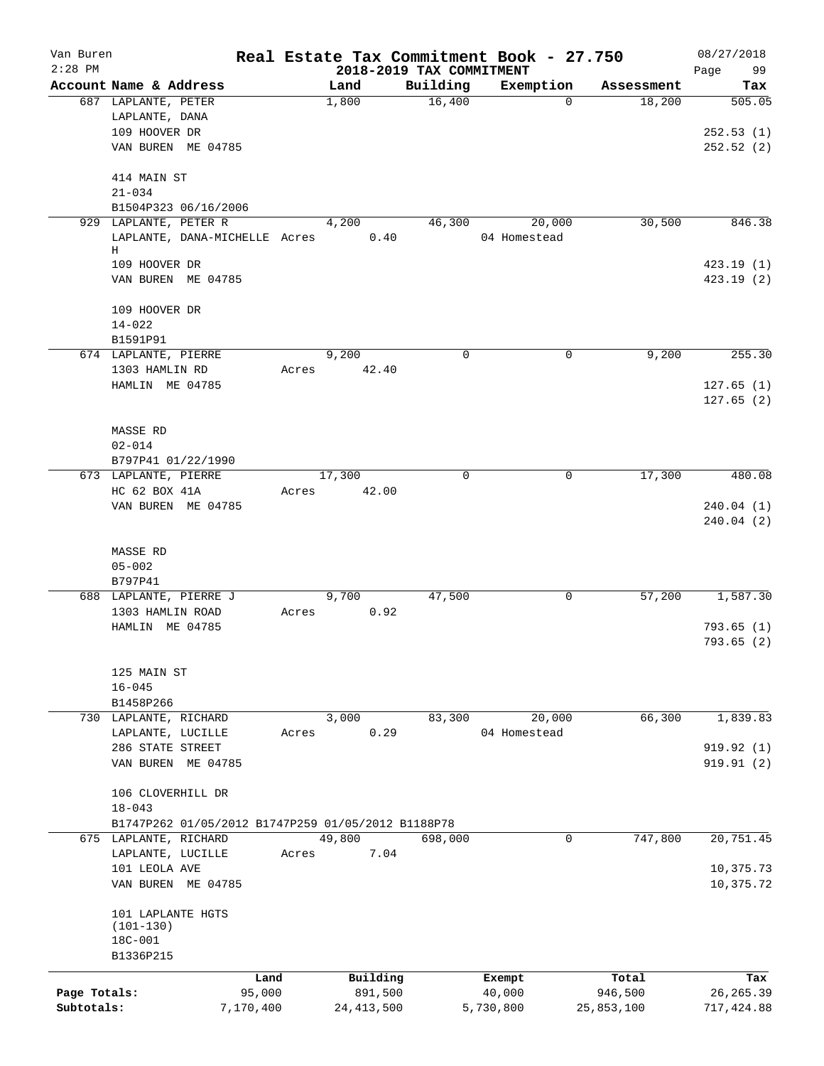| Van Buren    |                                                    |        |                          |          | Real Estate Tax Commitment Book - 27.750 |            | 08/27/2018  |
|--------------|----------------------------------------------------|--------|--------------------------|----------|------------------------------------------|------------|-------------|
| $2:28$ PM    |                                                    |        | 2018-2019 TAX COMMITMENT |          |                                          |            | 99<br>Page  |
|              | Account Name & Address                             |        | Land                     | Building | Exemption                                | Assessment | Tax         |
|              | 687 LAPLANTE, PETER                                |        | 1,800                    | 16,400   | $\Omega$                                 | 18,200     | 505.05      |
|              | LAPLANTE, DANA                                     |        |                          |          |                                          |            |             |
|              | 109 HOOVER DR                                      |        |                          |          |                                          |            | 252.53(1)   |
|              | VAN BUREN ME 04785                                 |        |                          |          |                                          |            | 252.52(2)   |
|              | 414 MAIN ST                                        |        |                          |          |                                          |            |             |
|              | $21 - 034$                                         |        |                          |          |                                          |            |             |
|              | B1504P323 06/16/2006                               |        |                          |          |                                          |            |             |
|              | 929 LAPLANTE, PETER R                              |        | 4,200                    | 46,300   | 20,000                                   | 30,500     | 846.38      |
|              | LAPLANTE, DANA-MICHELLE Acres                      |        | 0.40                     |          | 04 Homestead                             |            |             |
|              | Н                                                  |        |                          |          |                                          |            |             |
|              | 109 HOOVER DR                                      |        |                          |          |                                          |            | 423.19(1)   |
|              | VAN BUREN ME 04785                                 |        |                          |          |                                          |            | 423.19(2)   |
|              | 109 HOOVER DR                                      |        |                          |          |                                          |            |             |
|              | $14 - 022$                                         |        |                          |          |                                          |            |             |
|              | B1591P91                                           |        |                          |          |                                          |            |             |
|              | 674 LAPLANTE, PIERRE                               |        | 9,200                    | 0        | 0                                        | 9,200      | 255.30      |
|              | 1303 HAMLIN RD                                     | Acres  | 42.40                    |          |                                          |            |             |
|              | HAMLIN ME 04785                                    |        |                          |          |                                          |            | 127.65(1)   |
|              |                                                    |        |                          |          |                                          |            | 127.65(2)   |
|              |                                                    |        |                          |          |                                          |            |             |
|              | <b>MASSE RD</b>                                    |        |                          |          |                                          |            |             |
|              | $02 - 014$                                         |        |                          |          |                                          |            |             |
|              | B797P41 01/22/1990                                 |        |                          |          |                                          |            |             |
|              | 673 LAPLANTE, PIERRE                               |        | 17,300                   | $\Omega$ | $\mathbf 0$                              | 17,300     | 480.08      |
|              | HC 62 BOX 41A                                      | Acres  | 42.00                    |          |                                          |            |             |
|              | VAN BUREN ME 04785                                 |        |                          |          |                                          |            | 240.04(1)   |
|              |                                                    |        |                          |          |                                          |            | 240.04(2)   |
|              |                                                    |        |                          |          |                                          |            |             |
|              | <b>MASSE RD</b>                                    |        |                          |          |                                          |            |             |
|              | $05 - 002$                                         |        |                          |          |                                          |            |             |
|              | B797P41                                            |        |                          |          |                                          |            |             |
|              | 688 LAPLANTE, PIERRE J                             |        | 9,700                    | 47,500   | 0                                        | 57,200     | 1,587.30    |
|              | 1303 HAMLIN ROAD                                   | Acres  | 0.92                     |          |                                          |            |             |
|              | HAMLIN ME 04785                                    |        |                          |          |                                          |            | 793.65(1)   |
|              |                                                    |        |                          |          |                                          |            | 793.65(2)   |
|              |                                                    |        |                          |          |                                          |            |             |
|              | 125 MAIN ST                                        |        |                          |          |                                          |            |             |
|              | $16 - 045$                                         |        |                          |          |                                          |            |             |
|              | B1458P266                                          |        |                          |          |                                          |            |             |
|              | 730 LAPLANTE, RICHARD                              |        | 3,000                    | 83,300   | 20,000                                   | 66,300     | 1,839.83    |
|              | LAPLANTE, LUCILLE                                  | Acres  | 0.29                     |          | 04 Homestead                             |            |             |
|              | 286 STATE STREET                                   |        |                          |          |                                          |            | 919.92(1)   |
|              | VAN BUREN ME 04785                                 |        |                          |          |                                          |            | 919.91(2)   |
|              | 106 CLOVERHILL DR                                  |        |                          |          |                                          |            |             |
|              | $18 - 043$                                         |        |                          |          |                                          |            |             |
|              | B1747P262 01/05/2012 B1747P259 01/05/2012 B1188P78 |        |                          |          |                                          |            |             |
|              | 675 LAPLANTE, RICHARD                              |        | 49,800                   | 698,000  | 0                                        | 747,800    | 20,751.45   |
|              | LAPLANTE, LUCILLE                                  | Acres  | 7.04                     |          |                                          |            |             |
|              | 101 LEOLA AVE                                      |        |                          |          |                                          |            | 10,375.73   |
|              | VAN BUREN ME 04785                                 |        |                          |          |                                          |            | 10,375.72   |
|              |                                                    |        |                          |          |                                          |            |             |
|              | 101 LAPLANTE HGTS                                  |        |                          |          |                                          |            |             |
|              | $(101 - 130)$                                      |        |                          |          |                                          |            |             |
|              | 18C-001                                            |        |                          |          |                                          |            |             |
|              | B1336P215                                          |        |                          |          |                                          |            |             |
|              |                                                    | Land   | Building                 |          | Exempt                                   | Total      | Tax         |
| Page Totals: |                                                    | 95,000 | 891,500                  |          | 40,000                                   | 946,500    | 26, 265.39  |
| Subtotals:   | 7,170,400                                          |        | 24, 413, 500             |          | 5,730,800                                | 25,853,100 | 717, 424.88 |
|              |                                                    |        |                          |          |                                          |            |             |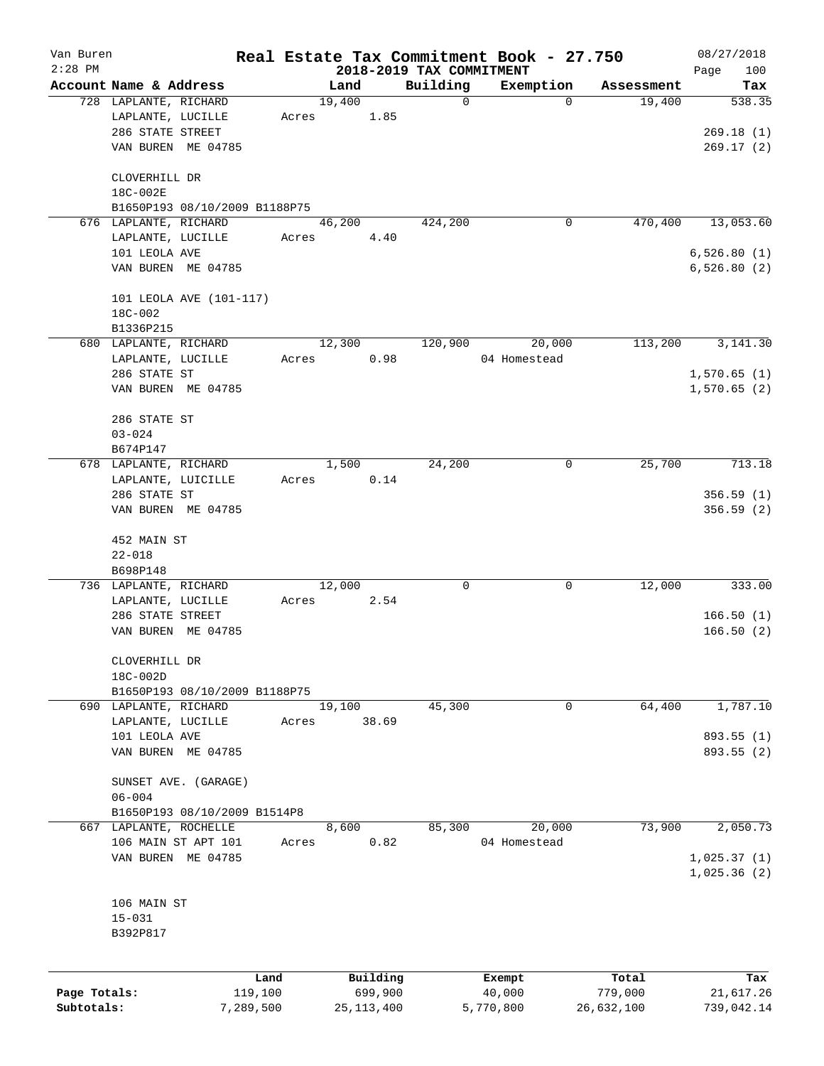| Van Buren    |                        |                               |       |        |              |                          | Real Estate Tax Commitment Book - 27.750 |                      | 08/27/2018  |
|--------------|------------------------|-------------------------------|-------|--------|--------------|--------------------------|------------------------------------------|----------------------|-------------|
| $2:28$ PM    |                        |                               |       |        |              | 2018-2019 TAX COMMITMENT |                                          |                      | 100<br>Page |
|              | Account Name & Address |                               |       | Land   |              | Building                 | Exemption                                | Assessment           | Tax         |
|              | 728 LAPLANTE, RICHARD  |                               |       | 19,400 |              | 0                        | $\mathbf 0$                              | 19,400               | 538.35      |
|              | LAPLANTE, LUCILLE      |                               | Acres |        | 1.85         |                          |                                          |                      |             |
|              | 286 STATE STREET       |                               |       |        |              |                          |                                          |                      | 269.18(1)   |
|              |                        | VAN BUREN ME 04785            |       |        |              |                          |                                          |                      | 269.17(2)   |
|              | CLOVERHILL DR          |                               |       |        |              |                          |                                          |                      |             |
|              | 18C-002E               |                               |       |        |              |                          |                                          |                      |             |
|              |                        | B1650P193 08/10/2009 B1188P75 |       |        |              |                          |                                          |                      |             |
|              | 676 LAPLANTE, RICHARD  |                               |       | 46,200 |              | 424,200                  | 0                                        | 470,400              | 13,053.60   |
|              | LAPLANTE, LUCILLE      |                               | Acres |        | 4.40         |                          |                                          |                      |             |
|              | 101 LEOLA AVE          |                               |       |        |              |                          |                                          |                      | 6,526.80(1) |
|              |                        | VAN BUREN ME 04785            |       |        |              |                          |                                          |                      | 6,526.80(2) |
|              |                        | 101 LEOLA AVE (101-117)       |       |        |              |                          |                                          |                      |             |
|              | 18C-002                |                               |       |        |              |                          |                                          |                      |             |
|              | B1336P215              |                               |       |        |              |                          |                                          |                      |             |
|              | 680 LAPLANTE, RICHARD  |                               |       | 12,300 |              | 120,900                  | 20,000                                   | $1\overline{13,200}$ | 3,141.30    |
|              |                        |                               |       |        |              |                          |                                          |                      |             |
|              | LAPLANTE, LUCILLE      |                               | Acres |        | 0.98         |                          | 04 Homestead                             |                      |             |
|              | 286 STATE ST           |                               |       |        |              |                          |                                          |                      | 1,570.65(1) |
|              |                        | VAN BUREN ME 04785            |       |        |              |                          |                                          |                      | 1,570.65(2) |
|              | 286 STATE ST           |                               |       |        |              |                          |                                          |                      |             |
|              | $03 - 024$             |                               |       |        |              |                          |                                          |                      |             |
|              | B674P147               |                               |       |        |              |                          |                                          |                      |             |
|              | 678 LAPLANTE, RICHARD  |                               |       | 1,500  |              | 24,200                   | 0                                        | 25,700               | 713.18      |
|              |                        | LAPLANTE, LUICILLE            | Acres |        | 0.14         |                          |                                          |                      |             |
|              | 286 STATE ST           |                               |       |        |              |                          |                                          |                      | 356.59(1)   |
|              |                        | VAN BUREN ME 04785            |       |        |              |                          |                                          |                      | 356.59(2)   |
|              | 452 MAIN ST            |                               |       |        |              |                          |                                          |                      |             |
|              | $22 - 018$             |                               |       |        |              |                          |                                          |                      |             |
|              | B698P148               |                               |       |        |              |                          |                                          |                      |             |
|              | 736 LAPLANTE, RICHARD  |                               |       | 12,000 |              | 0                        | 0                                        | 12,000               | 333.00      |
|              | LAPLANTE, LUCILLE      |                               | Acres |        | 2.54         |                          |                                          |                      |             |
|              | 286 STATE STREET       |                               |       |        |              |                          |                                          |                      | 166.50(1)   |
|              |                        | VAN BUREN ME 04785            |       |        |              |                          |                                          |                      | 166.50(2)   |
|              | CLOVERHILL DR          |                               |       |        |              |                          |                                          |                      |             |
|              | 18C-002D               |                               |       |        |              |                          |                                          |                      |             |
|              |                        | B1650P193 08/10/2009 B1188P75 |       |        |              |                          |                                          |                      |             |
|              | 690 LAPLANTE, RICHARD  |                               |       | 19,100 |              | 45,300                   | 0                                        | 64,400               | 1,787.10    |
|              | LAPLANTE, LUCILLE      |                               | Acres |        | 38.69        |                          |                                          |                      |             |
|              | 101 LEOLA AVE          |                               |       |        |              |                          |                                          |                      | 893.55 (1)  |
|              |                        | VAN BUREN ME 04785            |       |        |              |                          |                                          |                      | 893.55 (2)  |
|              |                        |                               |       |        |              |                          |                                          |                      |             |
|              |                        | SUNSET AVE. (GARAGE)          |       |        |              |                          |                                          |                      |             |
|              | $06 - 004$             |                               |       |        |              |                          |                                          |                      |             |
|              |                        | B1650P193 08/10/2009 B1514P8  |       |        |              |                          |                                          |                      |             |
|              | 667 LAPLANTE, ROCHELLE |                               |       | 8,600  |              | 85,300                   | 20,000                                   | 73,900               | 2,050.73    |
|              |                        | 106 MAIN ST APT 101           | Acres |        | 0.82         |                          | 04 Homestead                             |                      |             |
|              |                        | VAN BUREN ME 04785            |       |        |              |                          |                                          |                      | 1,025.37(1) |
|              |                        |                               |       |        |              |                          |                                          |                      | 1,025.36(2) |
|              |                        |                               |       |        |              |                          |                                          |                      |             |
|              | 106 MAIN ST            |                               |       |        |              |                          |                                          |                      |             |
|              | $15 - 031$             |                               |       |        |              |                          |                                          |                      |             |
|              | B392P817               |                               |       |        |              |                          |                                          |                      |             |
|              |                        |                               |       |        |              |                          |                                          |                      |             |
|              |                        | Land                          |       |        | Building     |                          | Exempt                                   | Total                | Tax         |
| Page Totals: |                        | 119,100                       |       |        | 699,900      |                          | 40,000                                   | 779,000              | 21,617.26   |
| Subtotals:   |                        | 7,289,500                     |       |        | 25, 113, 400 |                          | 5,770,800                                | 26,632,100           | 739,042.14  |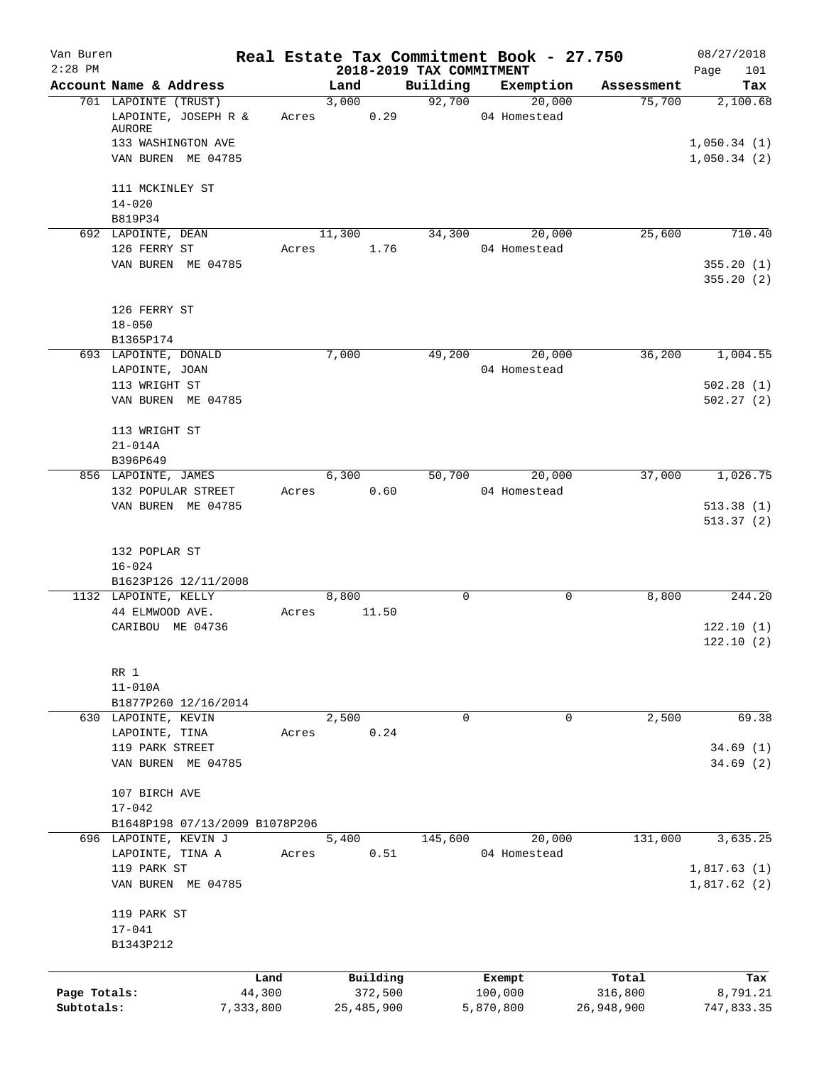| Van Buren<br>$2:28$ PM |                                                                              |           | 2018-2019 TAX COMMITMENT |             | Real Estate Tax Commitment Book - 27.750 |            | 08/27/2018<br>101<br>Page  |
|------------------------|------------------------------------------------------------------------------|-----------|--------------------------|-------------|------------------------------------------|------------|----------------------------|
|                        | Account Name & Address                                                       |           | Land                     | Building    | Exemption                                | Assessment | Tax                        |
|                        | 701 LAPOINTE (TRUST)<br>LAPOINTE, JOSEPH R &<br>AURORE<br>133 WASHINGTON AVE | Acres     | 3,000<br>0.29            | 92,700      | 20,000<br>04 Homestead                   | 75,700     | 2,100.68<br>1,050.34(1)    |
|                        | VAN BUREN ME 04785<br>111 MCKINLEY ST                                        |           |                          |             |                                          |            | 1,050.34(2)                |
|                        | $14 - 020$<br>B819P34                                                        |           |                          |             |                                          |            |                            |
|                        | 692 LAPOINTE, DEAN<br>126 FERRY ST                                           | Acres     | 11,300<br>1.76           |             | 34,300 20,000<br>04 Homestead            | 25,600     | 710.40                     |
|                        | VAN BUREN ME 04785                                                           |           |                          |             |                                          |            | 355.20(1)<br>355.20(2)     |
|                        | 126 FERRY ST<br>$18 - 050$                                                   |           |                          |             |                                          |            |                            |
|                        | B1365P174<br>693 LAPOINTE, DONALD                                            |           | 7,000                    | 49,200      | 20,000                                   | 36,200     | 1,004.55                   |
|                        | LAPOINTE, JOAN                                                               |           |                          |             | 04 Homestead                             |            |                            |
|                        | 113 WRIGHT ST<br>VAN BUREN ME 04785                                          |           |                          |             |                                          |            | 502.28(1)<br>502.27(2)     |
|                        | 113 WRIGHT ST<br>$21 - 014A$                                                 |           |                          |             |                                          |            |                            |
|                        | B396P649                                                                     |           |                          |             |                                          |            |                            |
|                        | 856 LAPOINTE, JAMES                                                          | Acres     | 6,300<br>0.60            | 50,700      | 20,000<br>04 Homestead                   | 37,000     | 1,026.75                   |
|                        | 132 POPULAR STREET<br>VAN BUREN ME 04785                                     |           |                          |             |                                          |            | 513.38(1)<br>513.37(2)     |
|                        | 132 POPLAR ST<br>$16 - 024$                                                  |           |                          |             |                                          |            |                            |
|                        | B1623P126 12/11/2008                                                         |           |                          |             |                                          |            |                            |
|                        | 1132 LAPOINTE, KELLY<br>44 ELMWOOD AVE.                                      | Acres     | 8,800<br>11.50           | 0           | 0                                        | 8,800      | 244.20                     |
|                        | CARIBOU ME 04736                                                             |           |                          |             |                                          |            | 122.10(1)<br>122.10(2)     |
|                        | RR 1<br>$11 - 010A$                                                          |           |                          |             |                                          |            |                            |
|                        | B1877P260 12/16/2014                                                         |           |                          |             |                                          |            |                            |
|                        | 630 LAPOINTE, KEVIN                                                          |           | 2,500                    | $\mathbf 0$ | 0                                        | 2,500      | 69.38                      |
|                        | LAPOINTE, TINA<br>119 PARK STREET                                            | Acres     | 0.24                     |             |                                          |            | 34.69(1)                   |
|                        | VAN BUREN ME 04785                                                           |           |                          |             |                                          |            | 34.69(2)                   |
|                        | 107 BIRCH AVE<br>$17 - 042$                                                  |           |                          |             |                                          |            |                            |
|                        | B1648P198 07/13/2009 B1078P206                                               |           |                          |             |                                          |            |                            |
|                        | 696 LAPOINTE, KEVIN J<br>LAPOINTE, TINA A                                    | Acres     | 5,400<br>0.51            | 145,600     | 20,000<br>04 Homestead                   | 131,000    | 3,635.25                   |
|                        | 119 PARK ST<br>VAN BUREN ME 04785                                            |           |                          |             |                                          |            | 1,817.63(1)<br>1,817.62(2) |
|                        | 119 PARK ST<br>$17 - 041$<br>B1343P212                                       |           |                          |             |                                          |            |                            |
|                        |                                                                              | Land      | Building                 |             | Exempt                                   | Total      | Tax                        |
| Page Totals:           |                                                                              | 44,300    | 372,500                  |             | 100,000                                  | 316,800    | 8,791.21                   |
| Subtotals:             |                                                                              | 7,333,800 | 25,485,900               |             | 5,870,800                                | 26,948,900 | 747,833.35                 |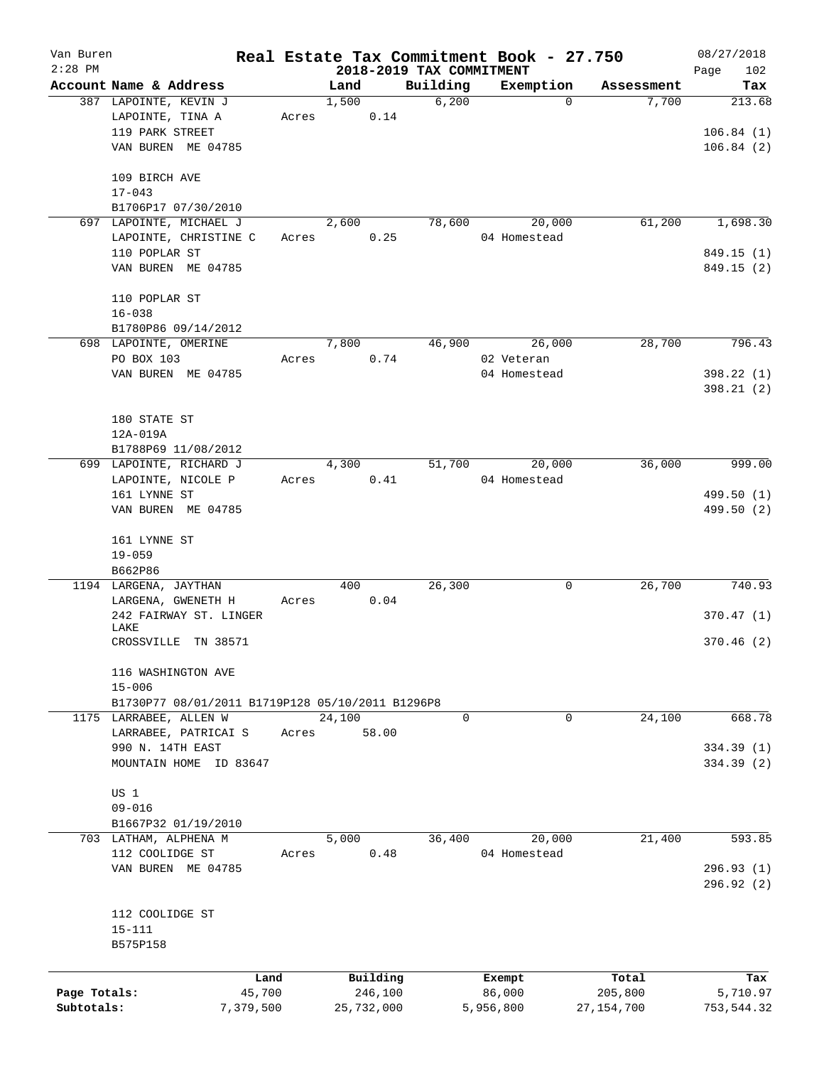| Van Buren    |                                                  |       |                          |             | Real Estate Tax Commitment Book - 27.750 |              | 08/27/2018  |
|--------------|--------------------------------------------------|-------|--------------------------|-------------|------------------------------------------|--------------|-------------|
| $2:28$ PM    |                                                  |       | 2018-2019 TAX COMMITMENT |             |                                          |              | Page<br>102 |
|              | Account Name & Address                           |       | Land                     | Building    | Exemption                                | Assessment   | Tax         |
|              | 387 LAPOINTE, KEVIN J                            |       | 1,500                    | 6,200       | $\Omega$                                 | 7,700        | 213.68      |
|              | LAPOINTE, TINA A                                 | Acres | 0.14                     |             |                                          |              |             |
|              | 119 PARK STREET                                  |       |                          |             |                                          |              | 106.84(1)   |
|              | VAN BUREN ME 04785                               |       |                          |             |                                          |              | 106.84(2)   |
|              | 109 BIRCH AVE                                    |       |                          |             |                                          |              |             |
|              | $17 - 043$                                       |       |                          |             |                                          |              |             |
|              | B1706P17 07/30/2010                              |       |                          |             |                                          |              |             |
|              | 697 LAPOINTE, MICHAEL J                          |       | 2,600                    | 78,600      | 20,000                                   | 61,200       | 1,698.30    |
|              | LAPOINTE, CHRISTINE C                            | Acres | 0.25                     |             | 04 Homestead                             |              |             |
|              | 110 POPLAR ST                                    |       |                          |             |                                          |              | 849.15 (1)  |
|              | VAN BUREN ME 04785                               |       |                          |             |                                          |              | 849.15 (2)  |
|              |                                                  |       |                          |             |                                          |              |             |
|              | 110 POPLAR ST                                    |       |                          |             |                                          |              |             |
|              | $16 - 038$                                       |       |                          |             |                                          |              |             |
|              | B1780P86 09/14/2012                              |       |                          |             |                                          |              |             |
|              | 698 LAPOINTE, OMERINE                            |       | 7,800                    | 46,900      | 26,000                                   | 28,700       | 796.43      |
|              | PO BOX 103                                       | Acres | 0.74                     |             | 02 Veteran                               |              |             |
|              | VAN BUREN ME 04785                               |       |                          |             | 04 Homestead                             |              | 398.22 (1)  |
|              |                                                  |       |                          |             |                                          |              | 398.21(2)   |
|              |                                                  |       |                          |             |                                          |              |             |
|              | 180 STATE ST                                     |       |                          |             |                                          |              |             |
|              | 12A-019A                                         |       |                          |             |                                          |              |             |
|              | B1788P69 11/08/2012                              |       |                          |             |                                          |              |             |
|              | 699 LAPOINTE, RICHARD J                          |       | 4,300                    | 51,700      | 20,000                                   | 36,000       | 999.00      |
|              | LAPOINTE, NICOLE P                               | Acres | 0.41                     |             | 04 Homestead                             |              |             |
|              | 161 LYNNE ST                                     |       |                          |             |                                          |              | 499.50 (1)  |
|              | VAN BUREN ME 04785                               |       |                          |             |                                          |              | 499.50 (2)  |
|              | 161 LYNNE ST                                     |       |                          |             |                                          |              |             |
|              | $19 - 059$                                       |       |                          |             |                                          |              |             |
|              | B662P86                                          |       |                          |             |                                          |              |             |
|              | 1194 LARGENA, JAYTHAN                            |       | 400                      | 26,300      | 0                                        | 26,700       | 740.93      |
|              | LARGENA, GWENETH H                               |       | 0.04                     |             |                                          |              |             |
|              |                                                  | Acres |                          |             |                                          |              |             |
|              | 242 FAIRWAY ST. LINGER<br>LAKE                   |       |                          |             |                                          |              | 370.47(1)   |
|              | CROSSVILLE TN 38571                              |       |                          |             |                                          |              | 370.46(2)   |
|              |                                                  |       |                          |             |                                          |              |             |
|              | 116 WASHINGTON AVE                               |       |                          |             |                                          |              |             |
|              | $15 - 006$                                       |       |                          |             |                                          |              |             |
|              | B1730P77 08/01/2011 B1719P128 05/10/2011 B1296P8 |       |                          |             |                                          |              |             |
|              | 1175 LARRABEE, ALLEN W                           | Acres | 24,100                   | $\mathbf 0$ | 0                                        | 24,100       | 668.78      |
|              | LARRABEE, PATRICAI S                             |       | 58.00                    |             |                                          |              |             |
|              | 990 N. 14TH EAST                                 |       |                          |             |                                          |              | 334.39 (1)  |
|              | MOUNTAIN HOME ID 83647                           |       |                          |             |                                          |              | 334.39 (2)  |
|              | US 1                                             |       |                          |             |                                          |              |             |
|              | $09 - 016$                                       |       |                          |             |                                          |              |             |
|              | B1667P32 01/19/2010                              |       |                          |             |                                          |              |             |
|              | 703 LATHAM, ALPHENA M                            |       | 5,000                    | 36,400      | 20,000                                   | 21,400       | 593.85      |
|              | 112 COOLIDGE ST                                  | Acres | 0.48                     |             | 04 Homestead                             |              |             |
|              | VAN BUREN ME 04785                               |       |                          |             |                                          |              | 296.93(1)   |
|              |                                                  |       |                          |             |                                          |              | 296.92(2)   |
|              |                                                  |       |                          |             |                                          |              |             |
|              | 112 COOLIDGE ST                                  |       |                          |             |                                          |              |             |
|              | $15 - 111$                                       |       |                          |             |                                          |              |             |
|              | B575P158                                         |       |                          |             |                                          |              |             |
|              |                                                  |       |                          |             |                                          |              |             |
|              | Land                                             |       | Building                 |             | Exempt                                   | Total        | Tax         |
| Page Totals: | 45,700                                           |       | 246,100                  |             | 86,000                                   | 205,800      | 5,710.97    |
| Subtotals:   | 7,379,500                                        |       | 25,732,000               |             | 5,956,800                                | 27, 154, 700 | 753,544.32  |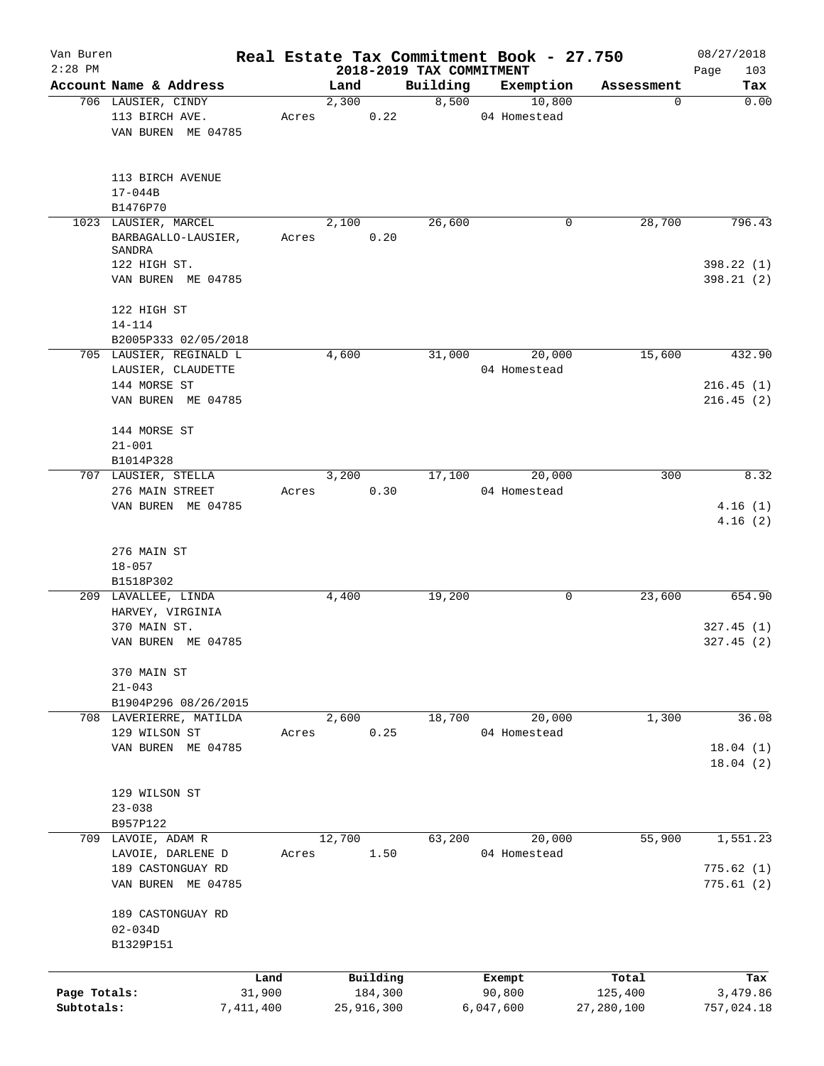| Van Buren    |                               |           |            |          |          | Real Estate Tax Commitment Book - 27.750 |                 | 08/27/2018         |
|--------------|-------------------------------|-----------|------------|----------|----------|------------------------------------------|-----------------|--------------------|
| $2:28$ PM    | Account Name & Address        |           | Land       |          | Building | 2018-2019 TAX COMMITMENT<br>Exemption    |                 | Page<br>103<br>Tax |
|              | 706 LAUSIER, CINDY            |           | 2,300      |          | 8,500    | 10,800                                   | Assessment<br>0 | 0.00               |
|              | 113 BIRCH AVE.                | Acres     |            | 0.22     |          | 04 Homestead                             |                 |                    |
|              | VAN BUREN ME 04785            |           |            |          |          |                                          |                 |                    |
|              | 113 BIRCH AVENUE              |           |            |          |          |                                          |                 |                    |
|              | $17 - 044B$                   |           |            |          |          |                                          |                 |                    |
|              | B1476P70                      |           |            |          |          |                                          |                 |                    |
|              | 1023 LAUSIER, MARCEL          |           | 2,100      |          | 26,600   | 0                                        | 28,700          | 796.43             |
|              | BARBAGALLO-LAUSIER,<br>SANDRA | Acres     |            | 0.20     |          |                                          |                 |                    |
|              | 122 HIGH ST.                  |           |            |          |          |                                          |                 | 398.22 (1)         |
|              | VAN BUREN ME 04785            |           |            |          |          |                                          |                 | 398.21(2)          |
|              | 122 HIGH ST<br>$14 - 114$     |           |            |          |          |                                          |                 |                    |
|              | B2005P333 02/05/2018          |           |            |          |          |                                          |                 |                    |
|              | 705 LAUSIER, REGINALD L       |           | 4,600      |          | 31,000   | 20,000                                   | 15,600          | 432.90             |
|              | LAUSIER, CLAUDETTE            |           |            |          |          | 04 Homestead                             |                 |                    |
|              | 144 MORSE ST                  |           |            |          |          |                                          |                 | 216.45(1)          |
|              | VAN BUREN ME 04785            |           |            |          |          |                                          |                 | 216.45(2)          |
|              | 144 MORSE ST                  |           |            |          |          |                                          |                 |                    |
|              | $21 - 001$                    |           |            |          |          |                                          |                 |                    |
|              | B1014P328                     |           |            |          |          |                                          |                 |                    |
|              | 707 LAUSIER, STELLA           |           | 3,200      |          | 17,100   | 20,000                                   | 300             | 8.32               |
|              | 276 MAIN STREET               | Acres     |            | 0.30     |          | 04 Homestead                             |                 |                    |
|              | VAN BUREN ME 04785            |           |            |          |          |                                          |                 | 4.16(1)<br>4.16(2) |
|              | 276 MAIN ST                   |           |            |          |          |                                          |                 |                    |
|              | $18 - 057$                    |           |            |          |          |                                          |                 |                    |
|              | B1518P302                     |           |            |          |          |                                          |                 |                    |
|              | 209 LAVALLEE, LINDA           |           | 4,400      |          | 19,200   | 0                                        | 23,600          | 654.90             |
|              | HARVEY, VIRGINIA              |           |            |          |          |                                          |                 |                    |
|              | 370 MAIN ST.                  |           |            |          |          |                                          |                 | 327.45(1)          |
|              | VAN BUREN ME 04785            |           |            |          |          |                                          |                 | 327.45(2)          |
|              | 370 MAIN ST                   |           |            |          |          |                                          |                 |                    |
|              | $21 - 043$                    |           |            |          |          |                                          |                 |                    |
|              | B1904P296 08/26/2015          |           |            |          |          |                                          |                 |                    |
|              | 708 LAVERIERRE, MATILDA       |           | 2,600      |          | 18,700   | 20,000                                   | 1,300           | 36.08              |
|              | 129 WILSON ST                 | Acres     |            | 0.25     |          | 04 Homestead                             |                 |                    |
|              | VAN BUREN ME 04785            |           |            |          |          |                                          |                 | 18.04(1)           |
|              |                               |           |            |          |          |                                          |                 | 18.04(2)           |
|              |                               |           |            |          |          |                                          |                 |                    |
|              | 129 WILSON ST                 |           |            |          |          |                                          |                 |                    |
|              | $23 - 038$                    |           |            |          |          |                                          |                 |                    |
|              | B957P122                      |           |            |          |          |                                          |                 |                    |
|              | 709 LAVOIE, ADAM R            |           | 12,700     |          | 63,200   | 20,000                                   | 55,900          | 1,551.23           |
|              | LAVOIE, DARLENE D             | Acres     |            | 1.50     |          | 04 Homestead                             |                 |                    |
|              | 189 CASTONGUAY RD             |           |            |          |          |                                          |                 | 775.62(1)          |
|              | VAN BUREN ME 04785            |           |            |          |          |                                          |                 | 775.61(2)          |
|              | 189 CASTONGUAY RD             |           |            |          |          |                                          |                 |                    |
|              | $02 - 034D$                   |           |            |          |          |                                          |                 |                    |
|              | B1329P151                     |           |            |          |          |                                          |                 |                    |
|              |                               |           |            |          |          |                                          |                 |                    |
|              |                               | Land      |            | Building |          | Exempt                                   | Total           | Tax                |
| Page Totals: |                               | 31,900    |            | 184,300  |          | 90,800                                   | 125,400         | 3,479.86           |
| Subtotals:   |                               | 7,411,400 | 25,916,300 |          |          | 6,047,600                                | 27, 280, 100    | 757,024.18         |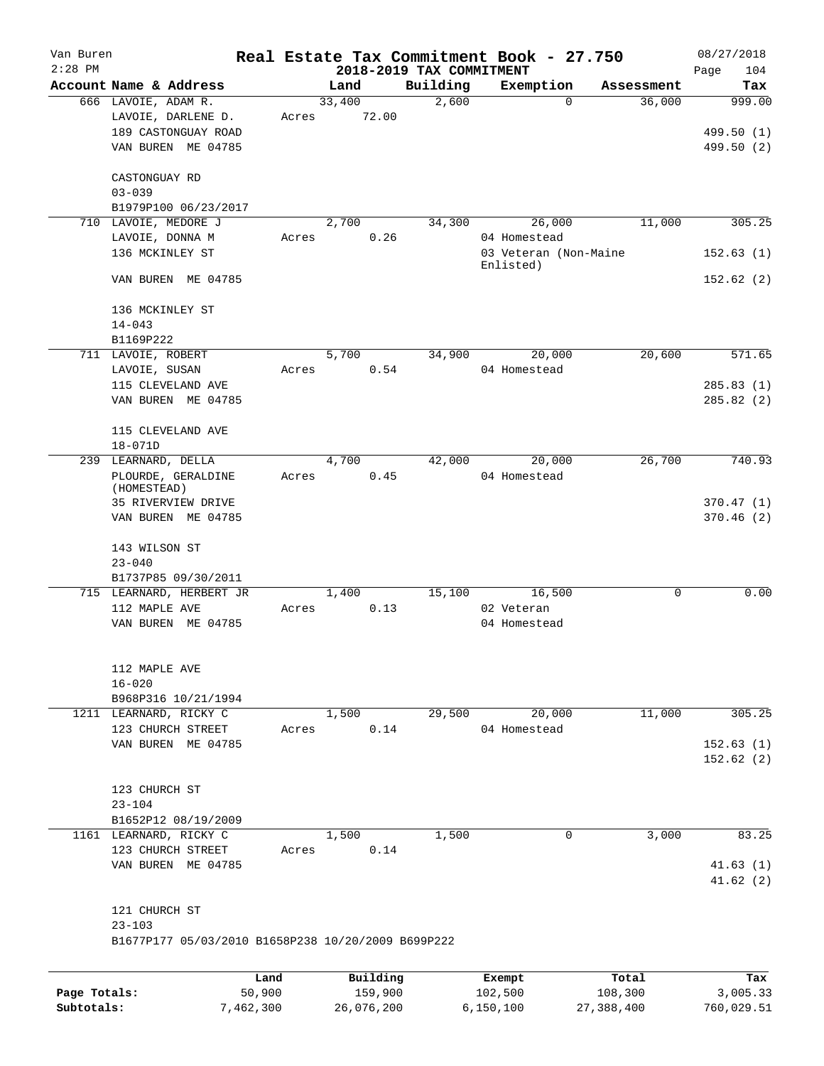| Van Buren    |                                                    |       |        |            |                                      | Real Estate Tax Commitment Book - 27.750 |            | 08/27/2018         |
|--------------|----------------------------------------------------|-------|--------|------------|--------------------------------------|------------------------------------------|------------|--------------------|
| $2:28$ PM    | Account Name & Address                             |       | Land   |            | 2018-2019 TAX COMMITMENT<br>Building | Exemption                                | Assessment | 104<br>Page<br>Tax |
|              | 666 LAVOIE, ADAM R.                                |       | 33,400 |            | 2,600                                | $\Omega$                                 | 36,000     | 999.00             |
|              | LAVOIE, DARLENE D.                                 | Acres |        | 72.00      |                                      |                                          |            |                    |
|              | 189 CASTONGUAY ROAD                                |       |        |            |                                      |                                          |            | 499.50 (1)         |
|              | VAN BUREN ME 04785                                 |       |        |            |                                      |                                          |            | 499.50 (2)         |
|              |                                                    |       |        |            |                                      |                                          |            |                    |
|              | CASTONGUAY RD                                      |       |        |            |                                      |                                          |            |                    |
|              | $03 - 039$                                         |       |        |            |                                      |                                          |            |                    |
|              | B1979P100 06/23/2017                               |       |        |            |                                      |                                          |            |                    |
|              | 710 LAVOIE, MEDORE J                               |       | 2,700  |            | 34,300                               | 26,000                                   | 11,000     | 305.25             |
|              | LAVOIE, DONNA M                                    | Acres |        | 0.26       |                                      | 04 Homestead                             |            |                    |
|              | 136 MCKINLEY ST                                    |       |        |            |                                      | 03 Veteran (Non-Maine<br>Enlisted)       |            | 152.63(1)          |
|              | VAN BUREN ME 04785                                 |       |        |            |                                      |                                          |            | 152.62(2)          |
|              | 136 MCKINLEY ST                                    |       |        |            |                                      |                                          |            |                    |
|              | $14 - 043$                                         |       |        |            |                                      |                                          |            |                    |
|              | B1169P222                                          |       |        |            |                                      |                                          |            |                    |
|              | 711 LAVOIE, ROBERT                                 |       | 5,700  |            | 34,900                               | 20,000                                   | 20,600     | 571.65             |
|              | LAVOIE, SUSAN                                      | Acres |        | 0.54       |                                      | 04 Homestead                             |            |                    |
|              | 115 CLEVELAND AVE                                  |       |        |            |                                      |                                          |            | 285.83(1)          |
|              | VAN BUREN ME 04785                                 |       |        |            |                                      |                                          |            | 285.82(2)          |
|              | 115 CLEVELAND AVE                                  |       |        |            |                                      |                                          |            |                    |
|              | $18 - 071D$                                        |       |        |            |                                      |                                          |            |                    |
|              | 239 LEARNARD, DELLA                                |       | 4,700  |            | 42,000                               | 20,000                                   | 26,700     | 740.93             |
|              | PLOURDE, GERALDINE                                 | Acres |        | 0.45       |                                      | 04 Homestead                             |            |                    |
|              | (HOMESTEAD)                                        |       |        |            |                                      |                                          |            |                    |
|              | 35 RIVERVIEW DRIVE                                 |       |        |            |                                      |                                          |            | 370.47(1)          |
|              | VAN BUREN ME 04785                                 |       |        |            |                                      |                                          |            | 370.46(2)          |
|              | 143 WILSON ST                                      |       |        |            |                                      |                                          |            |                    |
|              | $23 - 040$                                         |       |        |            |                                      |                                          |            |                    |
|              | B1737P85 09/30/2011                                |       |        |            |                                      |                                          |            |                    |
|              | 715 LEARNARD, HERBERT JR                           |       | 1,400  |            | 15,100                               | 16,500                                   | 0          | 0.00               |
|              | 112 MAPLE AVE                                      | Acres |        | 0.13       |                                      | 02 Veteran                               |            |                    |
|              | VAN BUREN ME 04785                                 |       |        |            |                                      | 04 Homestead                             |            |                    |
|              |                                                    |       |        |            |                                      |                                          |            |                    |
|              | 112 MAPLE AVE                                      |       |        |            |                                      |                                          |            |                    |
|              | $16 - 020$                                         |       |        |            |                                      |                                          |            |                    |
|              | B968P316 10/21/1994                                |       |        |            |                                      |                                          |            |                    |
|              | 1211 LEARNARD, RICKY C                             |       | 1,500  |            | 29,500                               | 20,000                                   | 11,000     | 305.25             |
|              | 123 CHURCH STREET                                  | Acres |        | 0.14       |                                      | 04 Homestead                             |            |                    |
|              | VAN BUREN ME 04785                                 |       |        |            |                                      |                                          |            | 152.63(1)          |
|              |                                                    |       |        |            |                                      |                                          |            | 152.62(2)          |
|              | 123 CHURCH ST                                      |       |        |            |                                      |                                          |            |                    |
|              | $23 - 104$                                         |       |        |            |                                      |                                          |            |                    |
|              | B1652P12 08/19/2009                                |       |        |            |                                      |                                          |            |                    |
|              | 1161 LEARNARD, RICKY C                             |       | 1,500  |            | 1,500                                | 0                                        | 3,000      | 83.25              |
|              | 123 CHURCH STREET                                  | Acres |        | 0.14       |                                      |                                          |            |                    |
|              | VAN BUREN ME 04785                                 |       |        |            |                                      |                                          |            | 41.63(1)           |
|              |                                                    |       |        |            |                                      |                                          |            | 41.62(2)           |
|              | 121 CHURCH ST                                      |       |        |            |                                      |                                          |            |                    |
|              | $23 - 103$                                         |       |        |            |                                      |                                          |            |                    |
|              | B1677P177 05/03/2010 B1658P238 10/20/2009 B699P222 |       |        |            |                                      |                                          |            |                    |
|              | Land                                               |       |        | Building   |                                      |                                          | Total      |                    |
| Page Totals: | 50,900                                             |       |        | 159,900    |                                      | Exempt<br>102,500                        | 108,300    | Tax<br>3,005.33    |
| Subtotals:   | 7,462,300                                          |       |        | 26,076,200 |                                      | 6, 150, 100                              | 27,388,400 | 760,029.51         |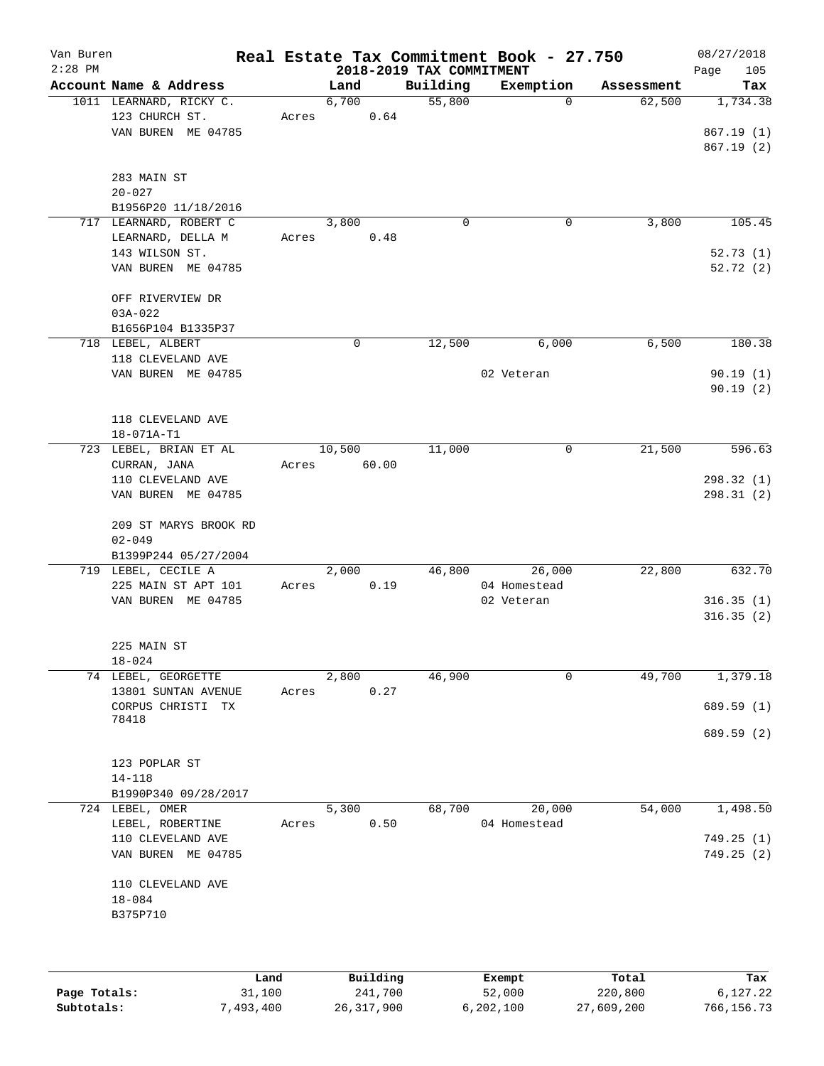| Van Buren<br>$2:28$ PM |                                                                                   |       |                 | 2018-2019 TAX COMMITMENT | Real Estate Tax Commitment Book - 27.750 |            | 08/27/2018<br>105<br>Page                     |
|------------------------|-----------------------------------------------------------------------------------|-------|-----------------|--------------------------|------------------------------------------|------------|-----------------------------------------------|
|                        | Account Name & Address                                                            |       | Land            | Building                 | Exemption                                | Assessment | Tax                                           |
|                        | 1011 LEARNARD, RICKY C.<br>123 CHURCH ST.<br>VAN BUREN ME 04785                   | Acres | 6,700<br>0.64   | 55,800                   | $\mathbf{0}$                             | 62,500     | 1,734.38<br>867.19(1)<br>867.19(2)            |
|                        | 283 MAIN ST<br>$20 - 027$<br>B1956P20 11/18/2016                                  |       |                 |                          |                                          |            |                                               |
|                        | 717 LEARNARD, ROBERT C                                                            |       | 3,800           | 0                        | 0                                        | 3,800      | 105.45                                        |
|                        | LEARNARD, DELLA M<br>143 WILSON ST.<br>VAN BUREN ME 04785                         | Acres | 0.48            |                          |                                          |            | 52.73(1)<br>52.72(2)                          |
|                        | OFF RIVERVIEW DR<br>$03A - 022$<br>B1656P104 B1335P37                             |       |                 |                          |                                          |            |                                               |
|                        | 718 LEBEL, ALBERT                                                                 |       | $\mathbf 0$     | 12,500                   | 6,000                                    | 6,500      | 180.38                                        |
|                        | 118 CLEVELAND AVE<br>VAN BUREN ME 04785                                           |       |                 |                          | 02 Veteran                               |            | 90.19(1)<br>90.19(2)                          |
|                        | 118 CLEVELAND AVE<br>18-071A-T1                                                   |       |                 |                          |                                          |            |                                               |
|                        | 723 LEBEL, BRIAN ET AL<br>CURRAN, JANA<br>110 CLEVELAND AVE<br>VAN BUREN ME 04785 | Acres | 10,500<br>60.00 | 11,000                   | 0                                        | 21,500     | $\overline{596}.63$<br>298.32(1)<br>298.31(2) |
|                        | 209 ST MARYS BROOK RD<br>$02 - 049$<br>B1399P244 05/27/2004                       |       |                 |                          |                                          |            |                                               |
|                        | 719 LEBEL, CECILE A<br>225 MAIN ST APT 101<br>VAN BUREN ME 04785                  | Acres | 2,000<br>0.19   | 46,800                   | 26,000<br>04 Homestead<br>02 Veteran     | 22,800     | 632.70<br>316.35(1)<br>316.35(2)              |
|                        | 225 MAIN ST<br>$18 - 024$                                                         |       |                 |                          |                                          |            |                                               |
|                        | 74 LEBEL, GEORGETTE<br>13801 SUNTAN AVENUE<br>CORPUS CHRISTI TX                   | Acres | 2,800<br>0.27   | 46,900                   | $\mathbf 0$                              | 49,700     | 1,379.18<br>689.59 (1)                        |
|                        | 78418                                                                             |       |                 |                          |                                          |            | 689.59 (2)                                    |
|                        | 123 POPLAR ST<br>$14 - 118$<br>B1990P340 09/28/2017                               |       |                 |                          |                                          |            |                                               |
|                        | 724 LEBEL, OMER<br>LEBEL, ROBERTINE                                               | Acres | 5,300<br>0.50   | 68,700                   | 20,000<br>04 Homestead                   | 54,000     | 1,498.50                                      |
|                        | 110 CLEVELAND AVE<br>VAN BUREN ME 04785                                           |       |                 |                          |                                          |            | 749.25(1)<br>749.25 (2)                       |
|                        | 110 CLEVELAND AVE<br>$18 - 084$<br>B375P710                                       |       |                 |                          |                                          |            |                                               |
|                        |                                                                                   | Land  | Building        |                          | Exempt                                   | Total      | Tax                                           |

|              | Land      | Building   | Exempt    | Total      | Tax        |
|--------------|-----------|------------|-----------|------------|------------|
| Page Totals: | 31,100    | 241,700    | 52,000    | 220,800    | 6,127.22   |
| Subtotals:   | 7.493.400 | 26,317,900 | 6,202,100 | 27,609,200 | 766,156.73 |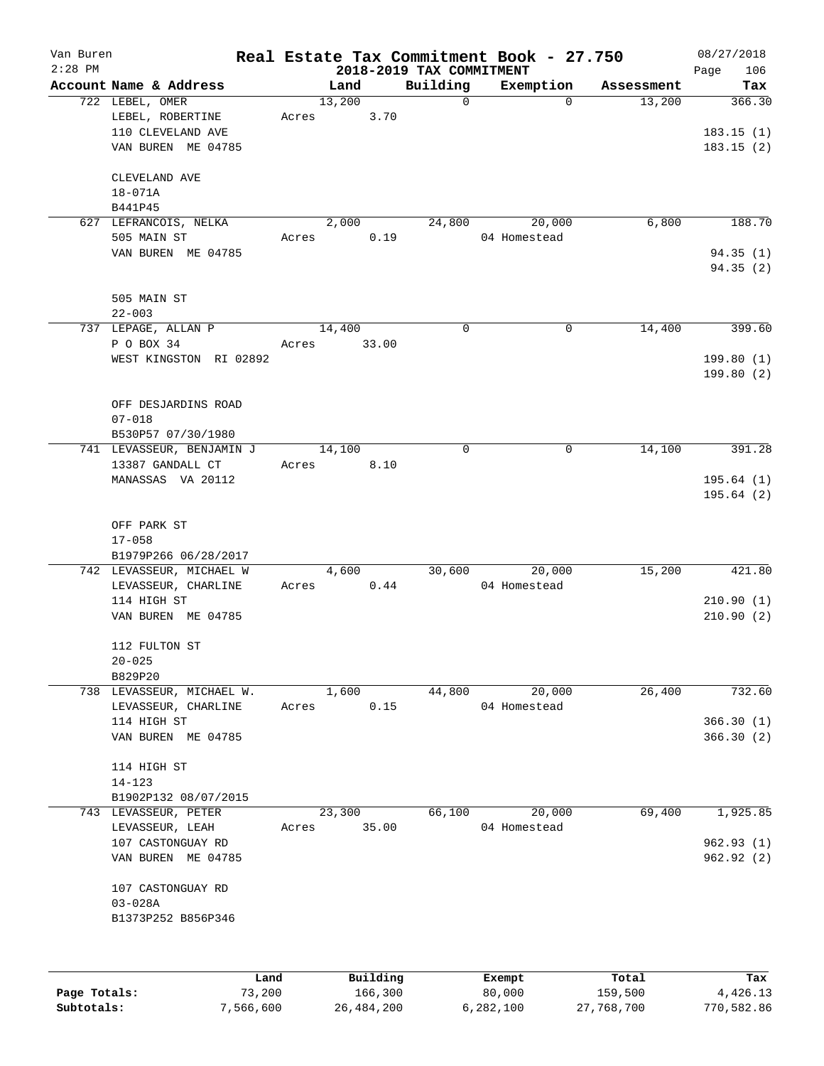| Van Buren<br>$2:28$ PM |                           |       |          |                                      | Real Estate Tax Commitment Book - 27.750 |            | 08/27/2018         |
|------------------------|---------------------------|-------|----------|--------------------------------------|------------------------------------------|------------|--------------------|
|                        | Account Name & Address    |       | Land     | 2018-2019 TAX COMMITMENT<br>Building | Exemption                                | Assessment | 106<br>Page<br>Tax |
|                        | 722 LEBEL, OMER           |       | 13,200   | 0                                    | $\Omega$                                 | 13,200     | 366.30             |
|                        | LEBEL, ROBERTINE          | Acres | 3.70     |                                      |                                          |            |                    |
|                        | 110 CLEVELAND AVE         |       |          |                                      |                                          |            | 183.15(1)          |
|                        | VAN BUREN ME 04785        |       |          |                                      |                                          |            | 183.15(2)          |
|                        |                           |       |          |                                      |                                          |            |                    |
|                        | CLEVELAND AVE             |       |          |                                      |                                          |            |                    |
|                        | $18 - 071A$               |       |          |                                      |                                          |            |                    |
|                        | B441P45                   |       |          |                                      |                                          |            |                    |
|                        | 627 LEFRANCOIS, NELKA     |       | 2,000    | 24,800                               | 20,000                                   | 6,800      | 188.70             |
|                        | 505 MAIN ST               | Acres | 0.19     |                                      | 04 Homestead                             |            |                    |
|                        | VAN BUREN ME 04785        |       |          |                                      |                                          |            | 94.35(1)           |
|                        |                           |       |          |                                      |                                          |            | 94.35 (2)          |
|                        |                           |       |          |                                      |                                          |            |                    |
|                        | 505 MAIN ST               |       |          |                                      |                                          |            |                    |
|                        | $22 - 003$                |       |          |                                      |                                          |            |                    |
|                        | 737 LEPAGE, ALLAN P       |       | 14,400   | $\Omega$                             | 0                                        | 14,400     | 399.60             |
|                        | P O BOX 34                | Acres | 33.00    |                                      |                                          |            |                    |
|                        | WEST KINGSTON RI 02892    |       |          |                                      |                                          |            | 199.80(1)          |
|                        |                           |       |          |                                      |                                          |            | 199.80(2)          |
|                        | OFF DESJARDINS ROAD       |       |          |                                      |                                          |            |                    |
|                        | $07 - 018$                |       |          |                                      |                                          |            |                    |
|                        | B530P57 07/30/1980        |       |          |                                      |                                          |            |                    |
|                        | 741 LEVASSEUR, BENJAMIN J |       | 14,100   | 0                                    | 0                                        | 14,100     | 391.28             |
|                        | 13387 GANDALL CT          | Acres | 8.10     |                                      |                                          |            |                    |
|                        | MANASSAS VA 20112         |       |          |                                      |                                          |            | 195.64(1)          |
|                        |                           |       |          |                                      |                                          |            | 195.64(2)          |
|                        |                           |       |          |                                      |                                          |            |                    |
|                        | OFF PARK ST               |       |          |                                      |                                          |            |                    |
|                        | $17 - 058$                |       |          |                                      |                                          |            |                    |
|                        | B1979P266 06/28/2017      |       |          |                                      |                                          |            |                    |
|                        | 742 LEVASSEUR, MICHAEL W  |       | 4,600    | 30,600                               | 20,000                                   | 15,200     | 421.80             |
|                        | LEVASSEUR, CHARLINE       | Acres | 0.44     |                                      | 04 Homestead                             |            |                    |
|                        | 114 HIGH ST               |       |          |                                      |                                          |            | 210.90(1)          |
|                        | VAN BUREN ME 04785        |       |          |                                      |                                          |            | 210.90(2)          |
|                        |                           |       |          |                                      |                                          |            |                    |
|                        | 112 FULTON ST             |       |          |                                      |                                          |            |                    |
|                        | $20 - 025$                |       |          |                                      |                                          |            |                    |
|                        | B829P20                   |       |          |                                      |                                          |            |                    |
|                        | 738 LEVASSEUR, MICHAEL W. |       | 1,600    | 44,800                               | 20,000                                   | 26,400     | 732.60             |
|                        | LEVASSEUR, CHARLINE       | Acres | 0.15     |                                      | 04 Homestead                             |            |                    |
|                        | 114 HIGH ST               |       |          |                                      |                                          |            | 366.30(1)          |
|                        | VAN BUREN ME 04785        |       |          |                                      |                                          |            | 366.30(2)          |
|                        |                           |       |          |                                      |                                          |            |                    |
|                        | 114 HIGH ST<br>$14 - 123$ |       |          |                                      |                                          |            |                    |
|                        | B1902P132 08/07/2015      |       |          |                                      |                                          |            |                    |
|                        | 743 LEVASSEUR, PETER      |       | 23,300   | 66,100                               | 20,000                                   | 69,400     | 1,925.85           |
|                        | LEVASSEUR, LEAH           | Acres | 35.00    |                                      | 04 Homestead                             |            |                    |
|                        | 107 CASTONGUAY RD         |       |          |                                      |                                          |            | 962.93(1)          |
|                        | VAN BUREN ME 04785        |       |          |                                      |                                          |            | 962.92(2)          |
|                        |                           |       |          |                                      |                                          |            |                    |
|                        | 107 CASTONGUAY RD         |       |          |                                      |                                          |            |                    |
|                        | $03 - 028A$               |       |          |                                      |                                          |            |                    |
|                        | B1373P252 B856P346        |       |          |                                      |                                          |            |                    |
|                        |                           |       |          |                                      |                                          |            |                    |
|                        |                           |       |          |                                      |                                          |            |                    |
|                        | Land                      |       | Building |                                      |                                          | Total      | Tax                |
| Page Totals:           | 73,200                    |       | 166,300  |                                      | Exempt<br>80,000                         | 159,500    | 4,426.13           |
|                        |                           |       |          |                                      |                                          |            |                    |

**Subtotals:** 7,566,600 26,484,200 6,282,100 27,768,700 770,582.86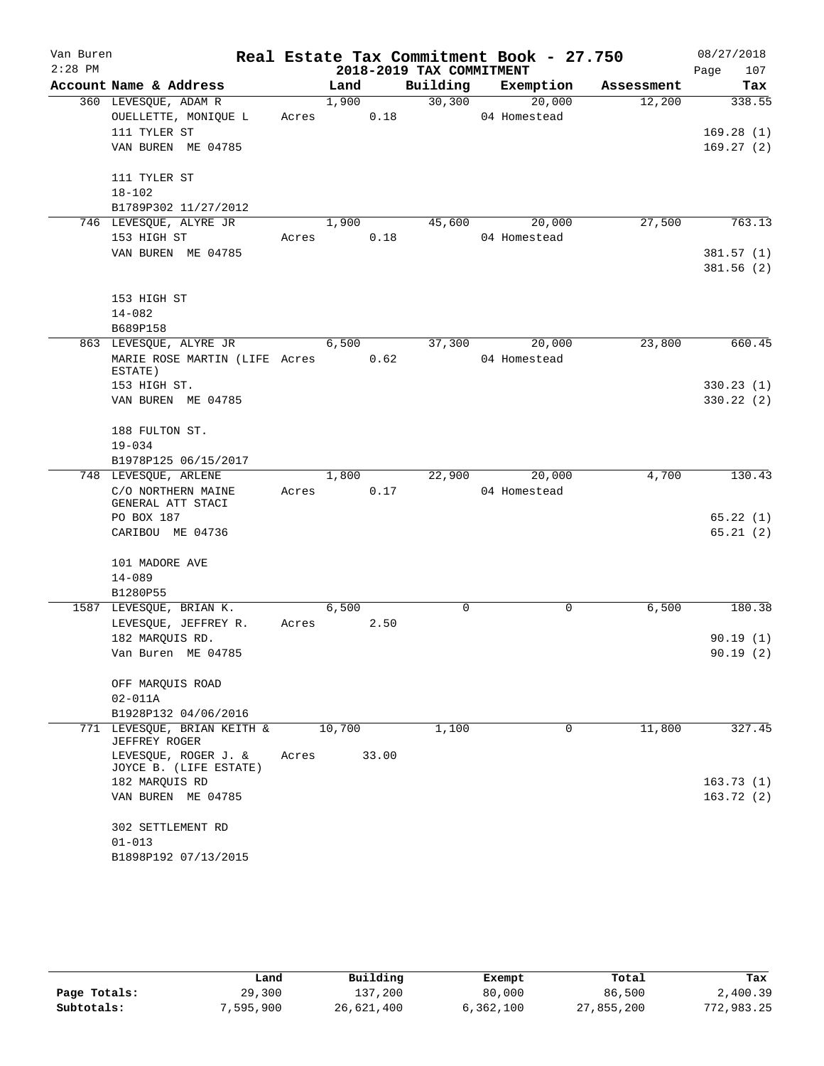| Van Buren |                                                     |       |            |       |                          | Real Estate Tax Commitment Book - 27.750 |            |      | 08/27/2018 |
|-----------|-----------------------------------------------------|-------|------------|-------|--------------------------|------------------------------------------|------------|------|------------|
| $2:28$ PM |                                                     |       |            |       | 2018-2019 TAX COMMITMENT |                                          |            | Page | 107        |
|           | Account Name & Address                              |       | Land       |       |                          | Building Exemption                       | Assessment |      | Tax        |
|           | 360 LEVESQUE, ADAM R                                |       | 1,900      |       | 30,300                   | 20,000                                   | 12,200     |      | 338.55     |
|           | OUELLETTE, MONIQUE L                                |       | Acres 0.18 |       |                          | 04 Homestead                             |            |      |            |
|           | 111 TYLER ST                                        |       |            |       |                          |                                          |            |      | 169.28(1)  |
|           | VAN BUREN ME 04785                                  |       |            |       |                          |                                          |            |      | 169.27(2)  |
|           | 111 TYLER ST                                        |       |            |       |                          |                                          |            |      |            |
|           | $18 - 102$                                          |       |            |       |                          |                                          |            |      |            |
|           | B1789P302 11/27/2012                                |       |            |       |                          |                                          |            |      |            |
|           | 746 LEVESQUE, ALYRE JR                              |       | 1,900      |       | 45,600                   | 20,000                                   | 27,500     |      | 763.13     |
|           | 153 HIGH ST                                         |       | Acres 0.18 |       |                          | 04 Homestead                             |            |      |            |
|           | VAN BUREN ME 04785                                  |       |            |       |                          |                                          |            |      | 381.57(1)  |
|           |                                                     |       |            |       |                          |                                          |            |      | 381.56(2)  |
|           | 153 HIGH ST                                         |       |            |       |                          |                                          |            |      |            |
|           | $14 - 082$                                          |       |            |       |                          |                                          |            |      |            |
|           | B689P158                                            |       |            |       |                          |                                          |            |      |            |
|           | 863 LEVESQUE, ALYRE JR                              |       | 6,500      |       | 37,300                   | 20,000                                   | 23,800     |      | 660.45     |
|           | MARIE ROSE MARTIN (LIFE Acres 0.62                  |       |            |       |                          | 04 Homestead                             |            |      |            |
|           | ESTATE)                                             |       |            |       |                          |                                          |            |      |            |
|           | 153 HIGH ST.                                        |       |            |       |                          |                                          |            |      | 330.23(1)  |
|           | VAN BUREN ME 04785                                  |       |            |       |                          |                                          |            |      | 330.22 (2) |
|           | 188 FULTON ST.                                      |       |            |       |                          |                                          |            |      |            |
|           | $19 - 034$                                          |       |            |       |                          |                                          |            |      |            |
|           | B1978P125 06/15/2017                                |       |            |       |                          |                                          |            |      |            |
|           | 748 LEVESQUE, ARLENE                                |       |            |       |                          | 1,800 22,900 20,000                      | 4,700      |      | 130.43     |
|           | C/O NORTHERN MAINE<br>GENERAL ATT STACI             |       | Acres      | 0.17  |                          | 04 Homestead                             |            |      |            |
|           | PO BOX 187                                          |       |            |       |                          |                                          |            |      | 65.22(1)   |
|           | CARIBOU ME 04736                                    |       |            |       |                          |                                          |            |      | 65.21(2)   |
|           | 101 MADORE AVE                                      |       |            |       |                          |                                          |            |      |            |
|           | $14 - 089$                                          |       |            |       |                          |                                          |            |      |            |
|           | B1280P55                                            |       |            |       |                          |                                          |            |      |            |
|           | 1587 LEVESQUE, BRIAN K.                             |       | 6,500      |       | 0                        | $\mathbf 0$                              | 6,500      |      | 180.38     |
|           | LEVESQUE, JEFFREY R.                                |       | Acres 2.50 |       |                          |                                          |            |      |            |
|           | 182 MAROUIS RD.                                     |       |            |       |                          |                                          |            |      | 90.19(1)   |
|           | Van Buren ME 04785                                  |       |            |       |                          |                                          |            |      | 90.19(2)   |
|           | OFF MARQUIS ROAD                                    |       |            |       |                          |                                          |            |      |            |
|           | $02 - 011A$                                         |       |            |       |                          |                                          |            |      |            |
|           | B1928P132 04/06/2016                                |       |            |       |                          |                                          |            |      |            |
|           | 771 LEVESOUE, BRIAN KEITH &<br><b>JEFFREY ROGER</b> |       | 10,700     |       | 1,100                    | $\Omega$                                 | 11,800     |      | 327.45     |
|           | LEVESQUE, ROGER J. &<br>JOYCE B. (LIFE ESTATE)      | Acres |            | 33.00 |                          |                                          |            |      |            |
|           | 182 MARQUIS RD                                      |       |            |       |                          |                                          |            |      | 163.73(1)  |
|           | VAN BUREN ME 04785                                  |       |            |       |                          |                                          |            |      | 163.72(2)  |
|           |                                                     |       |            |       |                          |                                          |            |      |            |
|           | 302 SETTLEMENT RD                                   |       |            |       |                          |                                          |            |      |            |
|           | $01 - 013$                                          |       |            |       |                          |                                          |            |      |            |
|           | B1898P192 07/13/2015                                |       |            |       |                          |                                          |            |      |            |

|              | Land      | Building   | Exempt    | Total      | Tax        |
|--------------|-----------|------------|-----------|------------|------------|
| Page Totals: | 29,300    | 137,200    | 80,000    | 86,500     | 2,400.39   |
| Subtotals:   | 7,595,900 | 26,621,400 | 6,362,100 | 27,855,200 | 772,983.25 |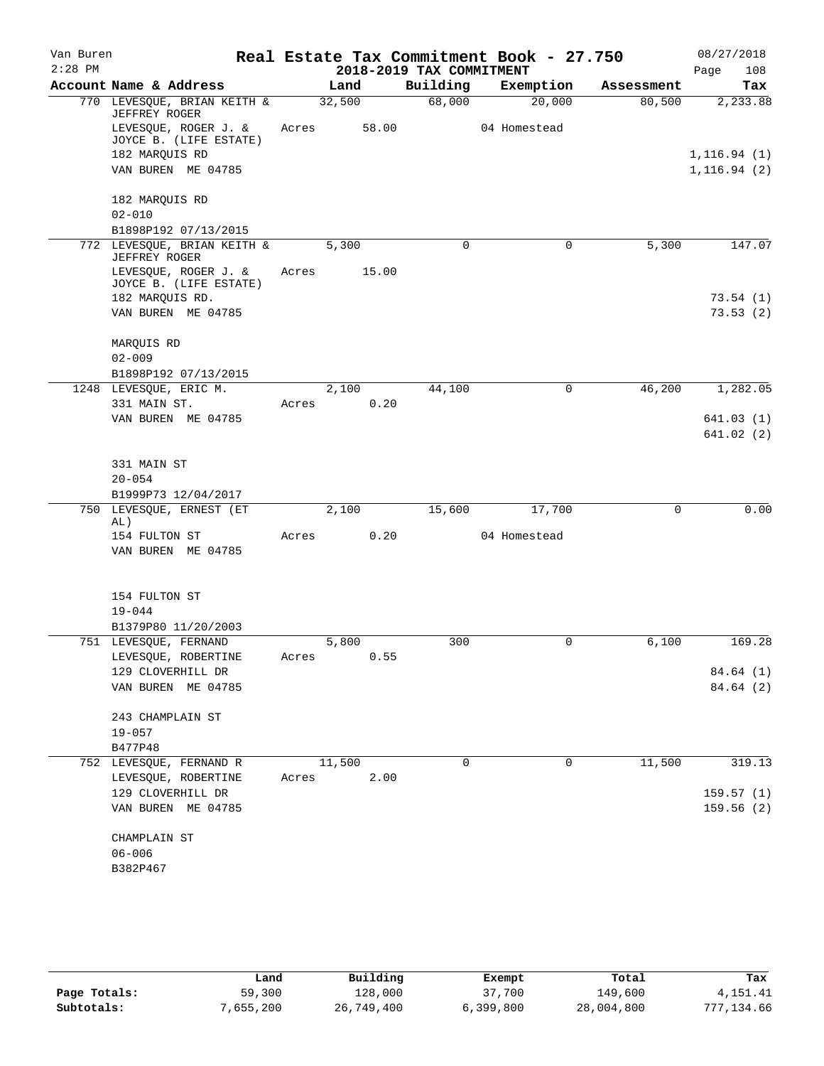| Van Buren |                                                     |       |               |                          | Real Estate Tax Commitment Book - 27.750 |            | 08/27/2018   |
|-----------|-----------------------------------------------------|-------|---------------|--------------------------|------------------------------------------|------------|--------------|
| $2:28$ PM |                                                     |       |               | 2018-2019 TAX COMMITMENT |                                          |            | Page<br>108  |
|           | Account Name & Address                              |       | Land          | Building                 | Exemption                                | Assessment | Tax          |
|           | 770 LEVESQUE, BRIAN KEITH &<br>JEFFREY ROGER        |       | 32,500        | 68,000                   | 20,000                                   | 80,500     | 2,233.88     |
|           | LEVESQUE, ROGER J. &<br>JOYCE B. (LIFE ESTATE)      | Acres | 58.00         |                          | 04 Homestead                             |            |              |
|           | 182 MARQUIS RD                                      |       |               |                          |                                          |            | 1, 116.94(1) |
|           | VAN BUREN ME 04785                                  |       |               |                          |                                          |            | 1, 116.94(2) |
|           | 182 MARQUIS RD                                      |       |               |                          |                                          |            |              |
|           | $02 - 010$                                          |       |               |                          |                                          |            |              |
|           | B1898P192 07/13/2015<br>772 LEVESQUE, BRIAN KEITH & |       | 5,300         | 0                        | 0                                        | 5,300      | 147.07       |
|           | <b>JEFFREY ROGER</b>                                |       |               |                          |                                          |            |              |
|           | LEVESQUE, ROGER J. &<br>JOYCE B. (LIFE ESTATE)      | Acres | 15.00         |                          |                                          |            |              |
|           | 182 MARQUIS RD.                                     |       |               |                          |                                          |            | 73.54(1)     |
|           | VAN BUREN ME 04785                                  |       |               |                          |                                          |            | 73.53(2)     |
|           | MARQUIS RD                                          |       |               |                          |                                          |            |              |
|           | $02 - 009$                                          |       |               |                          |                                          |            |              |
|           | B1898P192 07/13/2015                                |       |               |                          |                                          |            |              |
|           | 1248 LEVESQUE, ERIC M.                              |       | 2,100         | 44,100                   | 0                                        | 46,200     | 1,282.05     |
|           | 331 MAIN ST.<br>VAN BUREN ME 04785                  | Acres | 0.20          |                          |                                          |            | 641.03(1)    |
|           |                                                     |       |               |                          |                                          |            | 641.02(2)    |
|           | 331 MAIN ST                                         |       |               |                          |                                          |            |              |
|           | $20 - 054$                                          |       |               |                          |                                          |            |              |
|           | B1999P73 12/04/2017                                 |       |               |                          |                                          |            |              |
|           | 750 LEVESQUE, ERNEST (ET                            |       | 2,100         | 15,600                   | 17,700                                   | 0          | 0.00         |
|           | AL)<br>154 FULTON ST                                | Acres | 0.20          |                          | 04 Homestead                             |            |              |
|           | VAN BUREN ME 04785                                  |       |               |                          |                                          |            |              |
|           |                                                     |       |               |                          |                                          |            |              |
|           | 154 FULTON ST                                       |       |               |                          |                                          |            |              |
|           | $19 - 044$                                          |       |               |                          |                                          |            |              |
|           | B1379P80 11/20/2003                                 |       |               |                          |                                          |            |              |
|           | 751 LEVESQUE, FERNAND<br>LEVESQUE, ROBERTINE        |       | 5,800<br>0.55 | 300                      | 0                                        | 6,100      | 169.28       |
|           | 129 CLOVERHILL DR                                   | Acres |               |                          |                                          |            | 84.64 (1)    |
|           | VAN BUREN ME 04785                                  |       |               |                          |                                          |            | 84.64 (2)    |
|           | 243 CHAMPLAIN ST                                    |       |               |                          |                                          |            |              |
|           | $19 - 057$                                          |       |               |                          |                                          |            |              |
|           | B477P48                                             |       |               |                          |                                          |            |              |
|           | 752 LEVESOUE, FERNAND R                             |       | 11,500        | 0                        | 0                                        | 11,500     | 319.13       |
|           | LEVESQUE, ROBERTINE                                 | Acres | 2.00          |                          |                                          |            |              |
|           | 129 CLOVERHILL DR                                   |       |               |                          |                                          |            | 159.57(1)    |
|           | VAN BUREN ME 04785                                  |       |               |                          |                                          |            | 159.56(2)    |
|           | CHAMPLAIN ST                                        |       |               |                          |                                          |            |              |
|           | $06 - 006$                                          |       |               |                          |                                          |            |              |
|           | B382P467                                            |       |               |                          |                                          |            |              |
|           |                                                     |       |               |                          |                                          |            |              |

|              | Land      | Building   | Exempt    | Total      | Tax        |
|--------------|-----------|------------|-----------|------------|------------|
| Page Totals: | 59,300    | 128,000    | 37,700    | 149,600    | 4,151.41   |
| Subtotals:   | 7,655,200 | 26,749,400 | 6,399,800 | 28,004,800 | 777.134.66 |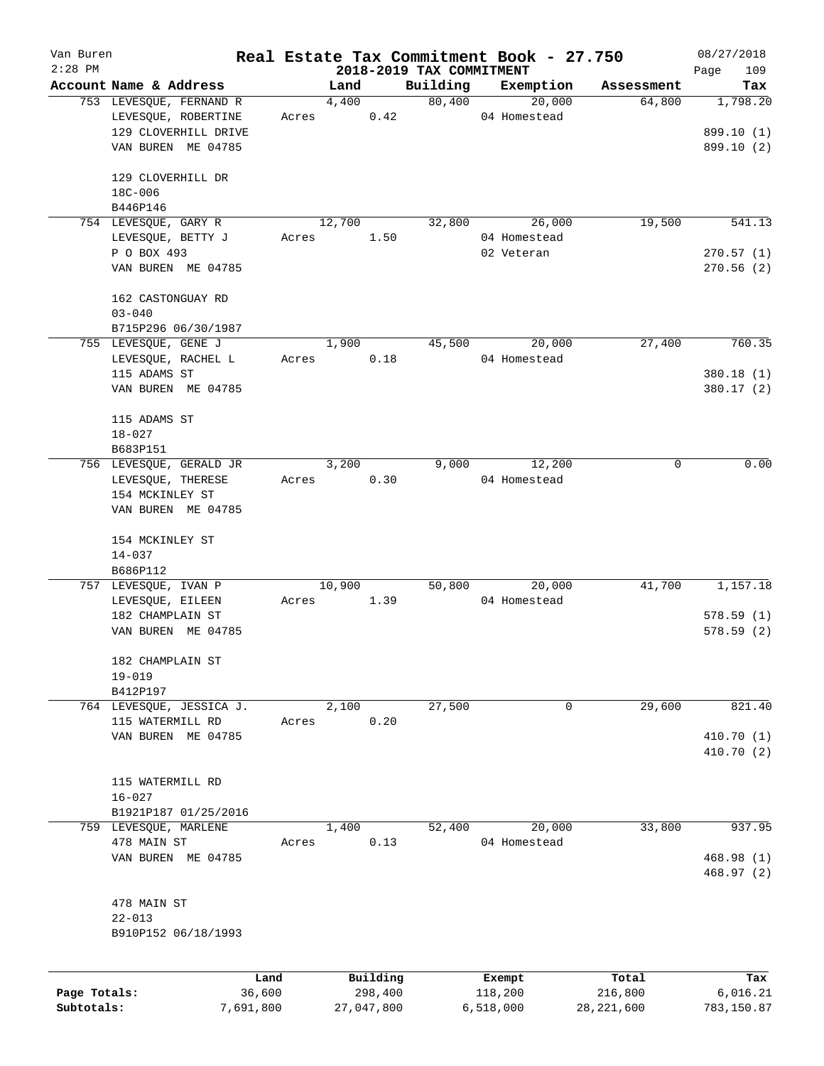| 2018-2019 TAX COMMITMENT<br>Account Name & Address<br>Building<br>Exemption<br>Land<br>Assessment<br>Tax<br>80,400<br>20,000<br>64,800<br>1,798.20<br>753 LEVESQUE, FERNAND R<br>4,400<br>LEVESQUE, ROBERTINE<br>0.42<br>04 Homestead<br>Acres<br>129 CLOVERHILL DRIVE<br>899.10 (1)<br>VAN BUREN ME 04785<br>899.10 (2)<br>129 CLOVERHILL DR<br>18C-006<br>B446P146<br>12,700<br>26,000<br>19,500<br>541.13<br>754 LEVESQUE, GARY R<br>32,800<br>04 Homestead<br>LEVESQUE, BETTY J<br>1.50<br>Acres<br>P O BOX 493<br>02 Veteran<br>270.57(1)<br>VAN BUREN ME 04785<br>270.56(2)<br>162 CASTONGUAY RD<br>$03 - 040$<br>B715P296 06/30/1987<br>1,900<br>45,500<br>20,000<br>27,400<br>760.35<br>755 LEVESQUE, GENE J<br>LEVESQUE, RACHEL L<br>0.18<br>04 Homestead<br>Acres<br>115 ADAMS ST<br>380.18 (1)<br>VAN BUREN ME 04785<br>380.17 (2)<br>115 ADAMS ST<br>$18 - 027$<br>B683P151<br>0.00<br>756 LEVESQUE, GERALD JR<br>3,200<br>12,200<br>9,000<br>0<br>LEVESQUE, THERESE<br>Acres<br>0.30<br>04 Homestead<br>154 MCKINLEY ST<br>VAN BUREN ME 04785<br>154 MCKINLEY ST<br>$14 - 037$<br>B686P112<br>50,800<br>41,700<br>757 LEVESQUE, IVAN P<br>10,900<br>20,000<br>04 Homestead<br>LEVESQUE, EILEEN<br>1.39<br>Acres<br>182 CHAMPLAIN ST<br>578.59(1)<br>VAN BUREN ME 04785<br>578.59 (2)<br>182 CHAMPLAIN ST<br>$19 - 019$<br>B412P197<br>2,100<br>27,500<br>29,600<br>764 LEVESQUE, JESSICA J.<br>0<br>0.20<br>115 WATERMILL RD<br>Acres<br>VAN BUREN ME 04785<br>115 WATERMILL RD<br>$16 - 027$<br>B1921P187 01/25/2016<br>20,000<br>33,800<br>759 LEVESQUE, MARLENE<br>1,400<br>52,400<br>478 MAIN ST<br>0.13<br>04 Homestead<br>Acres<br>VAN BUREN ME 04785<br>478 MAIN ST<br>$22 - 013$<br>B910P152 06/18/1993<br>Building<br>Total<br>Land<br>Exempt<br>Page Totals:<br>36,600<br>298,400<br>118,200<br>216,800<br>6,016.21<br>6,518,000<br>Subtotals:<br>7,691,800<br>27,047,800 | Van Buren |  |  | Real Estate Tax Commitment Book - 27.750 |              | 08/27/2018  |
|--------------------------------------------------------------------------------------------------------------------------------------------------------------------------------------------------------------------------------------------------------------------------------------------------------------------------------------------------------------------------------------------------------------------------------------------------------------------------------------------------------------------------------------------------------------------------------------------------------------------------------------------------------------------------------------------------------------------------------------------------------------------------------------------------------------------------------------------------------------------------------------------------------------------------------------------------------------------------------------------------------------------------------------------------------------------------------------------------------------------------------------------------------------------------------------------------------------------------------------------------------------------------------------------------------------------------------------------------------------------------------------------------------------------------------------------------------------------------------------------------------------------------------------------------------------------------------------------------------------------------------------------------------------------------------------------------------------------------------------------------------------------------------------------------------------------------------------------------------------------------------------------------|-----------|--|--|------------------------------------------|--------------|-------------|
|                                                                                                                                                                                                                                                                                                                                                                                                                                                                                                                                                                                                                                                                                                                                                                                                                                                                                                                                                                                                                                                                                                                                                                                                                                                                                                                                                                                                                                                                                                                                                                                                                                                                                                                                                                                                                                                                                                  | $2:28$ PM |  |  |                                          |              | 109<br>Page |
|                                                                                                                                                                                                                                                                                                                                                                                                                                                                                                                                                                                                                                                                                                                                                                                                                                                                                                                                                                                                                                                                                                                                                                                                                                                                                                                                                                                                                                                                                                                                                                                                                                                                                                                                                                                                                                                                                                  |           |  |  |                                          |              |             |
|                                                                                                                                                                                                                                                                                                                                                                                                                                                                                                                                                                                                                                                                                                                                                                                                                                                                                                                                                                                                                                                                                                                                                                                                                                                                                                                                                                                                                                                                                                                                                                                                                                                                                                                                                                                                                                                                                                  |           |  |  |                                          |              |             |
|                                                                                                                                                                                                                                                                                                                                                                                                                                                                                                                                                                                                                                                                                                                                                                                                                                                                                                                                                                                                                                                                                                                                                                                                                                                                                                                                                                                                                                                                                                                                                                                                                                                                                                                                                                                                                                                                                                  |           |  |  |                                          |              |             |
|                                                                                                                                                                                                                                                                                                                                                                                                                                                                                                                                                                                                                                                                                                                                                                                                                                                                                                                                                                                                                                                                                                                                                                                                                                                                                                                                                                                                                                                                                                                                                                                                                                                                                                                                                                                                                                                                                                  |           |  |  |                                          |              |             |
|                                                                                                                                                                                                                                                                                                                                                                                                                                                                                                                                                                                                                                                                                                                                                                                                                                                                                                                                                                                                                                                                                                                                                                                                                                                                                                                                                                                                                                                                                                                                                                                                                                                                                                                                                                                                                                                                                                  |           |  |  |                                          |              |             |
|                                                                                                                                                                                                                                                                                                                                                                                                                                                                                                                                                                                                                                                                                                                                                                                                                                                                                                                                                                                                                                                                                                                                                                                                                                                                                                                                                                                                                                                                                                                                                                                                                                                                                                                                                                                                                                                                                                  |           |  |  |                                          |              |             |
|                                                                                                                                                                                                                                                                                                                                                                                                                                                                                                                                                                                                                                                                                                                                                                                                                                                                                                                                                                                                                                                                                                                                                                                                                                                                                                                                                                                                                                                                                                                                                                                                                                                                                                                                                                                                                                                                                                  |           |  |  |                                          |              |             |
|                                                                                                                                                                                                                                                                                                                                                                                                                                                                                                                                                                                                                                                                                                                                                                                                                                                                                                                                                                                                                                                                                                                                                                                                                                                                                                                                                                                                                                                                                                                                                                                                                                                                                                                                                                                                                                                                                                  |           |  |  |                                          |              |             |
|                                                                                                                                                                                                                                                                                                                                                                                                                                                                                                                                                                                                                                                                                                                                                                                                                                                                                                                                                                                                                                                                                                                                                                                                                                                                                                                                                                                                                                                                                                                                                                                                                                                                                                                                                                                                                                                                                                  |           |  |  |                                          |              |             |
|                                                                                                                                                                                                                                                                                                                                                                                                                                                                                                                                                                                                                                                                                                                                                                                                                                                                                                                                                                                                                                                                                                                                                                                                                                                                                                                                                                                                                                                                                                                                                                                                                                                                                                                                                                                                                                                                                                  |           |  |  |                                          |              |             |
|                                                                                                                                                                                                                                                                                                                                                                                                                                                                                                                                                                                                                                                                                                                                                                                                                                                                                                                                                                                                                                                                                                                                                                                                                                                                                                                                                                                                                                                                                                                                                                                                                                                                                                                                                                                                                                                                                                  |           |  |  |                                          |              |             |
|                                                                                                                                                                                                                                                                                                                                                                                                                                                                                                                                                                                                                                                                                                                                                                                                                                                                                                                                                                                                                                                                                                                                                                                                                                                                                                                                                                                                                                                                                                                                                                                                                                                                                                                                                                                                                                                                                                  |           |  |  |                                          |              |             |
|                                                                                                                                                                                                                                                                                                                                                                                                                                                                                                                                                                                                                                                                                                                                                                                                                                                                                                                                                                                                                                                                                                                                                                                                                                                                                                                                                                                                                                                                                                                                                                                                                                                                                                                                                                                                                                                                                                  |           |  |  |                                          |              |             |
|                                                                                                                                                                                                                                                                                                                                                                                                                                                                                                                                                                                                                                                                                                                                                                                                                                                                                                                                                                                                                                                                                                                                                                                                                                                                                                                                                                                                                                                                                                                                                                                                                                                                                                                                                                                                                                                                                                  |           |  |  |                                          |              |             |
|                                                                                                                                                                                                                                                                                                                                                                                                                                                                                                                                                                                                                                                                                                                                                                                                                                                                                                                                                                                                                                                                                                                                                                                                                                                                                                                                                                                                                                                                                                                                                                                                                                                                                                                                                                                                                                                                                                  |           |  |  |                                          |              |             |
|                                                                                                                                                                                                                                                                                                                                                                                                                                                                                                                                                                                                                                                                                                                                                                                                                                                                                                                                                                                                                                                                                                                                                                                                                                                                                                                                                                                                                                                                                                                                                                                                                                                                                                                                                                                                                                                                                                  |           |  |  |                                          |              |             |
|                                                                                                                                                                                                                                                                                                                                                                                                                                                                                                                                                                                                                                                                                                                                                                                                                                                                                                                                                                                                                                                                                                                                                                                                                                                                                                                                                                                                                                                                                                                                                                                                                                                                                                                                                                                                                                                                                                  |           |  |  |                                          |              |             |
|                                                                                                                                                                                                                                                                                                                                                                                                                                                                                                                                                                                                                                                                                                                                                                                                                                                                                                                                                                                                                                                                                                                                                                                                                                                                                                                                                                                                                                                                                                                                                                                                                                                                                                                                                                                                                                                                                                  |           |  |  |                                          |              |             |
|                                                                                                                                                                                                                                                                                                                                                                                                                                                                                                                                                                                                                                                                                                                                                                                                                                                                                                                                                                                                                                                                                                                                                                                                                                                                                                                                                                                                                                                                                                                                                                                                                                                                                                                                                                                                                                                                                                  |           |  |  |                                          |              |             |
|                                                                                                                                                                                                                                                                                                                                                                                                                                                                                                                                                                                                                                                                                                                                                                                                                                                                                                                                                                                                                                                                                                                                                                                                                                                                                                                                                                                                                                                                                                                                                                                                                                                                                                                                                                                                                                                                                                  |           |  |  |                                          |              |             |
|                                                                                                                                                                                                                                                                                                                                                                                                                                                                                                                                                                                                                                                                                                                                                                                                                                                                                                                                                                                                                                                                                                                                                                                                                                                                                                                                                                                                                                                                                                                                                                                                                                                                                                                                                                                                                                                                                                  |           |  |  |                                          |              |             |
|                                                                                                                                                                                                                                                                                                                                                                                                                                                                                                                                                                                                                                                                                                                                                                                                                                                                                                                                                                                                                                                                                                                                                                                                                                                                                                                                                                                                                                                                                                                                                                                                                                                                                                                                                                                                                                                                                                  |           |  |  |                                          |              |             |
|                                                                                                                                                                                                                                                                                                                                                                                                                                                                                                                                                                                                                                                                                                                                                                                                                                                                                                                                                                                                                                                                                                                                                                                                                                                                                                                                                                                                                                                                                                                                                                                                                                                                                                                                                                                                                                                                                                  |           |  |  |                                          |              |             |
|                                                                                                                                                                                                                                                                                                                                                                                                                                                                                                                                                                                                                                                                                                                                                                                                                                                                                                                                                                                                                                                                                                                                                                                                                                                                                                                                                                                                                                                                                                                                                                                                                                                                                                                                                                                                                                                                                                  |           |  |  |                                          |              |             |
|                                                                                                                                                                                                                                                                                                                                                                                                                                                                                                                                                                                                                                                                                                                                                                                                                                                                                                                                                                                                                                                                                                                                                                                                                                                                                                                                                                                                                                                                                                                                                                                                                                                                                                                                                                                                                                                                                                  |           |  |  |                                          |              |             |
|                                                                                                                                                                                                                                                                                                                                                                                                                                                                                                                                                                                                                                                                                                                                                                                                                                                                                                                                                                                                                                                                                                                                                                                                                                                                                                                                                                                                                                                                                                                                                                                                                                                                                                                                                                                                                                                                                                  |           |  |  |                                          |              |             |
|                                                                                                                                                                                                                                                                                                                                                                                                                                                                                                                                                                                                                                                                                                                                                                                                                                                                                                                                                                                                                                                                                                                                                                                                                                                                                                                                                                                                                                                                                                                                                                                                                                                                                                                                                                                                                                                                                                  |           |  |  |                                          |              |             |
|                                                                                                                                                                                                                                                                                                                                                                                                                                                                                                                                                                                                                                                                                                                                                                                                                                                                                                                                                                                                                                                                                                                                                                                                                                                                                                                                                                                                                                                                                                                                                                                                                                                                                                                                                                                                                                                                                                  |           |  |  |                                          |              |             |
|                                                                                                                                                                                                                                                                                                                                                                                                                                                                                                                                                                                                                                                                                                                                                                                                                                                                                                                                                                                                                                                                                                                                                                                                                                                                                                                                                                                                                                                                                                                                                                                                                                                                                                                                                                                                                                                                                                  |           |  |  |                                          |              |             |
|                                                                                                                                                                                                                                                                                                                                                                                                                                                                                                                                                                                                                                                                                                                                                                                                                                                                                                                                                                                                                                                                                                                                                                                                                                                                                                                                                                                                                                                                                                                                                                                                                                                                                                                                                                                                                                                                                                  |           |  |  |                                          |              |             |
|                                                                                                                                                                                                                                                                                                                                                                                                                                                                                                                                                                                                                                                                                                                                                                                                                                                                                                                                                                                                                                                                                                                                                                                                                                                                                                                                                                                                                                                                                                                                                                                                                                                                                                                                                                                                                                                                                                  |           |  |  |                                          |              |             |
|                                                                                                                                                                                                                                                                                                                                                                                                                                                                                                                                                                                                                                                                                                                                                                                                                                                                                                                                                                                                                                                                                                                                                                                                                                                                                                                                                                                                                                                                                                                                                                                                                                                                                                                                                                                                                                                                                                  |           |  |  |                                          |              |             |
|                                                                                                                                                                                                                                                                                                                                                                                                                                                                                                                                                                                                                                                                                                                                                                                                                                                                                                                                                                                                                                                                                                                                                                                                                                                                                                                                                                                                                                                                                                                                                                                                                                                                                                                                                                                                                                                                                                  |           |  |  |                                          |              |             |
|                                                                                                                                                                                                                                                                                                                                                                                                                                                                                                                                                                                                                                                                                                                                                                                                                                                                                                                                                                                                                                                                                                                                                                                                                                                                                                                                                                                                                                                                                                                                                                                                                                                                                                                                                                                                                                                                                                  |           |  |  |                                          |              | 1,157.18    |
|                                                                                                                                                                                                                                                                                                                                                                                                                                                                                                                                                                                                                                                                                                                                                                                                                                                                                                                                                                                                                                                                                                                                                                                                                                                                                                                                                                                                                                                                                                                                                                                                                                                                                                                                                                                                                                                                                                  |           |  |  |                                          |              |             |
|                                                                                                                                                                                                                                                                                                                                                                                                                                                                                                                                                                                                                                                                                                                                                                                                                                                                                                                                                                                                                                                                                                                                                                                                                                                                                                                                                                                                                                                                                                                                                                                                                                                                                                                                                                                                                                                                                                  |           |  |  |                                          |              |             |
|                                                                                                                                                                                                                                                                                                                                                                                                                                                                                                                                                                                                                                                                                                                                                                                                                                                                                                                                                                                                                                                                                                                                                                                                                                                                                                                                                                                                                                                                                                                                                                                                                                                                                                                                                                                                                                                                                                  |           |  |  |                                          |              |             |
|                                                                                                                                                                                                                                                                                                                                                                                                                                                                                                                                                                                                                                                                                                                                                                                                                                                                                                                                                                                                                                                                                                                                                                                                                                                                                                                                                                                                                                                                                                                                                                                                                                                                                                                                                                                                                                                                                                  |           |  |  |                                          |              |             |
|                                                                                                                                                                                                                                                                                                                                                                                                                                                                                                                                                                                                                                                                                                                                                                                                                                                                                                                                                                                                                                                                                                                                                                                                                                                                                                                                                                                                                                                                                                                                                                                                                                                                                                                                                                                                                                                                                                  |           |  |  |                                          |              |             |
|                                                                                                                                                                                                                                                                                                                                                                                                                                                                                                                                                                                                                                                                                                                                                                                                                                                                                                                                                                                                                                                                                                                                                                                                                                                                                                                                                                                                                                                                                                                                                                                                                                                                                                                                                                                                                                                                                                  |           |  |  |                                          |              |             |
|                                                                                                                                                                                                                                                                                                                                                                                                                                                                                                                                                                                                                                                                                                                                                                                                                                                                                                                                                                                                                                                                                                                                                                                                                                                                                                                                                                                                                                                                                                                                                                                                                                                                                                                                                                                                                                                                                                  |           |  |  |                                          |              |             |
|                                                                                                                                                                                                                                                                                                                                                                                                                                                                                                                                                                                                                                                                                                                                                                                                                                                                                                                                                                                                                                                                                                                                                                                                                                                                                                                                                                                                                                                                                                                                                                                                                                                                                                                                                                                                                                                                                                  |           |  |  |                                          |              | 821.40      |
|                                                                                                                                                                                                                                                                                                                                                                                                                                                                                                                                                                                                                                                                                                                                                                                                                                                                                                                                                                                                                                                                                                                                                                                                                                                                                                                                                                                                                                                                                                                                                                                                                                                                                                                                                                                                                                                                                                  |           |  |  |                                          |              |             |
|                                                                                                                                                                                                                                                                                                                                                                                                                                                                                                                                                                                                                                                                                                                                                                                                                                                                                                                                                                                                                                                                                                                                                                                                                                                                                                                                                                                                                                                                                                                                                                                                                                                                                                                                                                                                                                                                                                  |           |  |  |                                          |              | 410.70(1)   |
|                                                                                                                                                                                                                                                                                                                                                                                                                                                                                                                                                                                                                                                                                                                                                                                                                                                                                                                                                                                                                                                                                                                                                                                                                                                                                                                                                                                                                                                                                                                                                                                                                                                                                                                                                                                                                                                                                                  |           |  |  |                                          |              | 410.70(2)   |
|                                                                                                                                                                                                                                                                                                                                                                                                                                                                                                                                                                                                                                                                                                                                                                                                                                                                                                                                                                                                                                                                                                                                                                                                                                                                                                                                                                                                                                                                                                                                                                                                                                                                                                                                                                                                                                                                                                  |           |  |  |                                          |              |             |
|                                                                                                                                                                                                                                                                                                                                                                                                                                                                                                                                                                                                                                                                                                                                                                                                                                                                                                                                                                                                                                                                                                                                                                                                                                                                                                                                                                                                                                                                                                                                                                                                                                                                                                                                                                                                                                                                                                  |           |  |  |                                          |              |             |
|                                                                                                                                                                                                                                                                                                                                                                                                                                                                                                                                                                                                                                                                                                                                                                                                                                                                                                                                                                                                                                                                                                                                                                                                                                                                                                                                                                                                                                                                                                                                                                                                                                                                                                                                                                                                                                                                                                  |           |  |  |                                          |              |             |
|                                                                                                                                                                                                                                                                                                                                                                                                                                                                                                                                                                                                                                                                                                                                                                                                                                                                                                                                                                                                                                                                                                                                                                                                                                                                                                                                                                                                                                                                                                                                                                                                                                                                                                                                                                                                                                                                                                  |           |  |  |                                          |              |             |
|                                                                                                                                                                                                                                                                                                                                                                                                                                                                                                                                                                                                                                                                                                                                                                                                                                                                                                                                                                                                                                                                                                                                                                                                                                                                                                                                                                                                                                                                                                                                                                                                                                                                                                                                                                                                                                                                                                  |           |  |  |                                          |              | 937.95      |
|                                                                                                                                                                                                                                                                                                                                                                                                                                                                                                                                                                                                                                                                                                                                                                                                                                                                                                                                                                                                                                                                                                                                                                                                                                                                                                                                                                                                                                                                                                                                                                                                                                                                                                                                                                                                                                                                                                  |           |  |  |                                          |              |             |
|                                                                                                                                                                                                                                                                                                                                                                                                                                                                                                                                                                                                                                                                                                                                                                                                                                                                                                                                                                                                                                                                                                                                                                                                                                                                                                                                                                                                                                                                                                                                                                                                                                                                                                                                                                                                                                                                                                  |           |  |  |                                          |              | 468.98 (1)  |
|                                                                                                                                                                                                                                                                                                                                                                                                                                                                                                                                                                                                                                                                                                                                                                                                                                                                                                                                                                                                                                                                                                                                                                                                                                                                                                                                                                                                                                                                                                                                                                                                                                                                                                                                                                                                                                                                                                  |           |  |  |                                          |              | 468.97 (2)  |
|                                                                                                                                                                                                                                                                                                                                                                                                                                                                                                                                                                                                                                                                                                                                                                                                                                                                                                                                                                                                                                                                                                                                                                                                                                                                                                                                                                                                                                                                                                                                                                                                                                                                                                                                                                                                                                                                                                  |           |  |  |                                          |              |             |
|                                                                                                                                                                                                                                                                                                                                                                                                                                                                                                                                                                                                                                                                                                                                                                                                                                                                                                                                                                                                                                                                                                                                                                                                                                                                                                                                                                                                                                                                                                                                                                                                                                                                                                                                                                                                                                                                                                  |           |  |  |                                          |              |             |
|                                                                                                                                                                                                                                                                                                                                                                                                                                                                                                                                                                                                                                                                                                                                                                                                                                                                                                                                                                                                                                                                                                                                                                                                                                                                                                                                                                                                                                                                                                                                                                                                                                                                                                                                                                                                                                                                                                  |           |  |  |                                          |              |             |
|                                                                                                                                                                                                                                                                                                                                                                                                                                                                                                                                                                                                                                                                                                                                                                                                                                                                                                                                                                                                                                                                                                                                                                                                                                                                                                                                                                                                                                                                                                                                                                                                                                                                                                                                                                                                                                                                                                  |           |  |  |                                          |              |             |
|                                                                                                                                                                                                                                                                                                                                                                                                                                                                                                                                                                                                                                                                                                                                                                                                                                                                                                                                                                                                                                                                                                                                                                                                                                                                                                                                                                                                                                                                                                                                                                                                                                                                                                                                                                                                                                                                                                  |           |  |  |                                          |              |             |
|                                                                                                                                                                                                                                                                                                                                                                                                                                                                                                                                                                                                                                                                                                                                                                                                                                                                                                                                                                                                                                                                                                                                                                                                                                                                                                                                                                                                                                                                                                                                                                                                                                                                                                                                                                                                                                                                                                  |           |  |  |                                          |              |             |
|                                                                                                                                                                                                                                                                                                                                                                                                                                                                                                                                                                                                                                                                                                                                                                                                                                                                                                                                                                                                                                                                                                                                                                                                                                                                                                                                                                                                                                                                                                                                                                                                                                                                                                                                                                                                                                                                                                  |           |  |  |                                          |              | Tax         |
|                                                                                                                                                                                                                                                                                                                                                                                                                                                                                                                                                                                                                                                                                                                                                                                                                                                                                                                                                                                                                                                                                                                                                                                                                                                                                                                                                                                                                                                                                                                                                                                                                                                                                                                                                                                                                                                                                                  |           |  |  |                                          | 28, 221, 600 | 783,150.87  |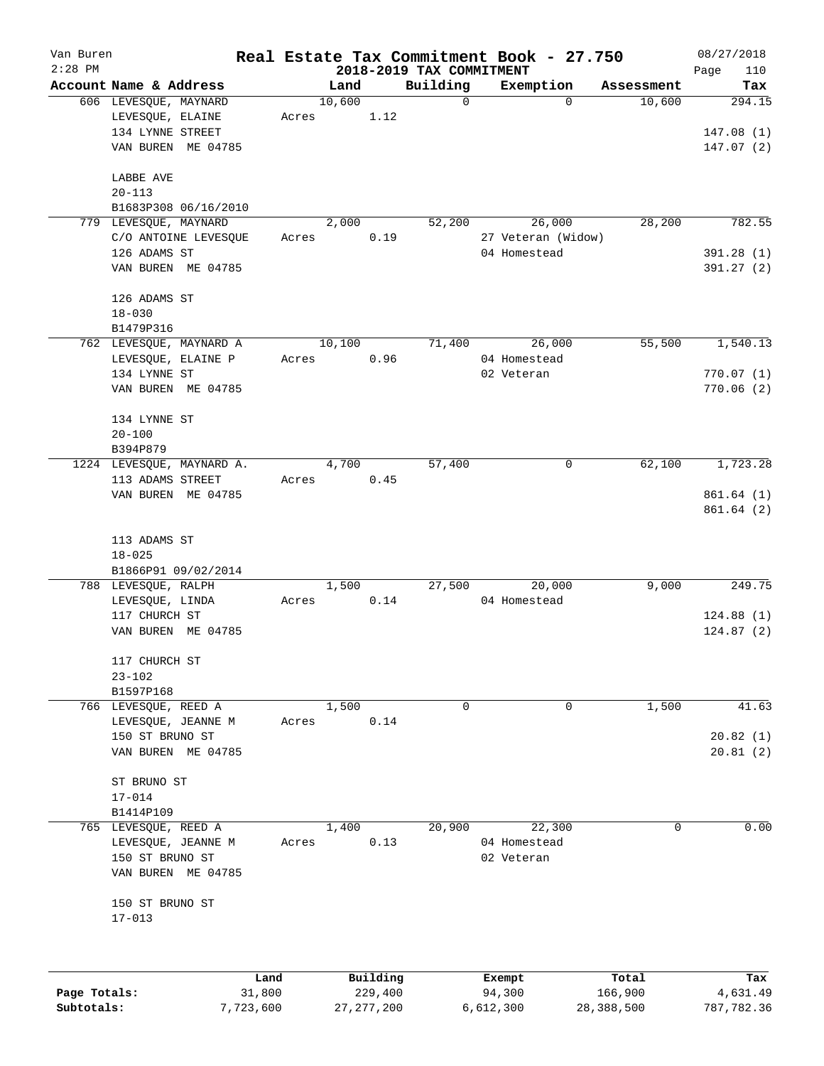| Van Buren    |                                      |       |        |                     |                          | Real Estate Tax Commitment Book - 27.750 |                  | 08/27/2018      |
|--------------|--------------------------------------|-------|--------|---------------------|--------------------------|------------------------------------------|------------------|-----------------|
| $2:28$ PM    |                                      |       |        |                     | 2018-2019 TAX COMMITMENT |                                          |                  | Page<br>110     |
|              | Account Name & Address               |       | Land   |                     | Building                 | Exemption<br>$\Omega$                    | Assessment       | Tax             |
|              | 606 LEVESQUE, MAYNARD                |       | 10,600 |                     | $\mathbf 0$              |                                          | 10,600           | 294.15          |
|              | LEVESQUE, ELAINE<br>134 LYNNE STREET | Acres |        | 1.12                |                          |                                          |                  |                 |
|              |                                      |       |        |                     |                          |                                          |                  | 147.08(1)       |
|              | VAN BUREN ME 04785                   |       |        |                     |                          |                                          |                  | 147.07(2)       |
|              | LABBE AVE                            |       |        |                     |                          |                                          |                  |                 |
|              | $20 - 113$                           |       |        |                     |                          |                                          |                  |                 |
|              | B1683P308 06/16/2010                 |       |        |                     |                          |                                          |                  |                 |
|              | 779 LEVESQUE, MAYNARD                |       | 2,000  |                     | 52,200                   | 26,000                                   | 28,200           | 782.55          |
|              | C/O ANTOINE LEVESQUE                 | Acres |        | 0.19                |                          | 27 Veteran (Widow)                       |                  |                 |
|              | 126 ADAMS ST                         |       |        |                     |                          | 04 Homestead                             |                  | 391.28(1)       |
|              | VAN BUREN ME 04785                   |       |        |                     |                          |                                          |                  | 391.27(2)       |
|              | 126 ADAMS ST                         |       |        |                     |                          |                                          |                  |                 |
|              | $18 - 030$                           |       |        |                     |                          |                                          |                  |                 |
|              | B1479P316                            |       |        |                     |                          |                                          |                  |                 |
|              | 762 LEVESQUE, MAYNARD A              |       | 10,100 |                     | 71,400                   | 26,000                                   | 55,500           | 1,540.13        |
|              | LEVESQUE, ELAINE P                   | Acres |        | 0.96                |                          | 04 Homestead                             |                  |                 |
|              | 134 LYNNE ST                         |       |        |                     |                          | 02 Veteran                               |                  | 770.07(1)       |
|              | VAN BUREN ME 04785                   |       |        |                     |                          |                                          |                  | 770.06(2)       |
|              |                                      |       |        |                     |                          |                                          |                  |                 |
|              | 134 LYNNE ST                         |       |        |                     |                          |                                          |                  |                 |
|              | $20 - 100$                           |       |        |                     |                          |                                          |                  |                 |
|              | B394P879                             |       |        |                     |                          |                                          |                  |                 |
|              | 1224 LEVESQUE, MAYNARD A.            |       | 4,700  |                     | 57,400                   | 0                                        | 62,100           | 1,723.28        |
|              | 113 ADAMS STREET                     | Acres |        | 0.45                |                          |                                          |                  |                 |
|              | VAN BUREN ME 04785                   |       |        |                     |                          |                                          |                  | 861.64(1)       |
|              |                                      |       |        |                     |                          |                                          |                  | 861.64(2)       |
|              | 113 ADAMS ST                         |       |        |                     |                          |                                          |                  |                 |
|              | $18 - 025$                           |       |        |                     |                          |                                          |                  |                 |
|              | B1866P91 09/02/2014                  |       |        |                     |                          |                                          |                  |                 |
|              | 788 LEVESQUE, RALPH                  |       | 1,500  |                     | 27,500                   | 20,000                                   | 9,000            | 249.75          |
|              | LEVESQUE, LINDA                      | Acres |        | 0.14                |                          | 04 Homestead                             |                  |                 |
|              | 117 CHURCH ST                        |       |        |                     |                          |                                          |                  | 124.88(1)       |
|              | VAN BUREN ME 04785                   |       |        |                     |                          |                                          |                  | 124.87(2)       |
|              | 117 CHURCH ST                        |       |        |                     |                          |                                          |                  |                 |
|              | $23 - 102$                           |       |        |                     |                          |                                          |                  |                 |
|              | B1597P168                            |       |        |                     |                          |                                          |                  |                 |
|              | 766 LEVESQUE, REED A                 |       | 1,500  |                     | $\mathbf 0$              | $\mathbf 0$                              | 1,500            | 41.63           |
|              | LEVESOUE, JEANNE M                   | Acres |        | 0.14                |                          |                                          |                  |                 |
|              | 150 ST BRUNO ST                      |       |        |                     |                          |                                          |                  | 20.82(1)        |
|              | VAN BUREN ME 04785                   |       |        |                     |                          |                                          |                  | 20.81(2)        |
|              | ST BRUNO ST                          |       |        |                     |                          |                                          |                  |                 |
|              | $17 - 014$                           |       |        |                     |                          |                                          |                  |                 |
|              | B1414P109                            |       |        |                     |                          |                                          |                  |                 |
|              | 765 LEVESQUE, REED A                 |       | 1,400  |                     | 20,900                   | 22,300                                   | 0                | 0.00            |
|              | LEVESQUE, JEANNE M                   | Acres |        | 0.13                |                          | 04 Homestead                             |                  |                 |
|              | 150 ST BRUNO ST                      |       |        |                     |                          | 02 Veteran                               |                  |                 |
|              | VAN BUREN ME 04785                   |       |        |                     |                          |                                          |                  |                 |
|              | 150 ST BRUNO ST                      |       |        |                     |                          |                                          |                  |                 |
|              | $17 - 013$                           |       |        |                     |                          |                                          |                  |                 |
|              |                                      |       |        |                     |                          |                                          |                  |                 |
|              |                                      |       |        |                     |                          |                                          |                  |                 |
| Page Totals: | 31,800                               | Land  |        | Building<br>229,400 |                          | Exempt<br>94,300                         | Total<br>166,900 | Tax<br>4,631.49 |
|              |                                      |       |        |                     |                          |                                          |                  |                 |

**Subtotals:** 7,723,600 27,277,200 6,612,300 28,388,500 787,782.36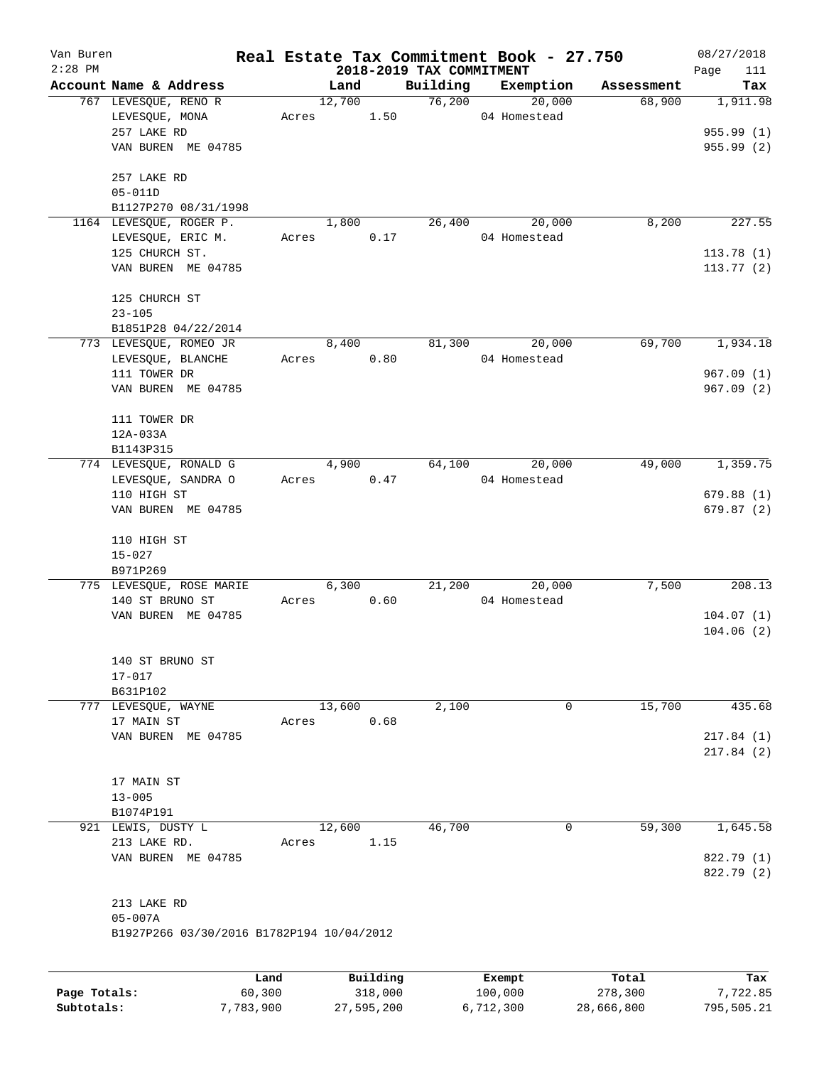| Van Buren<br>$2:28$ PM |                                           | Real Estate Tax Commitment Book - 27.750 |        |            |                                      |           |              |            | 08/27/2018             |
|------------------------|-------------------------------------------|------------------------------------------|--------|------------|--------------------------------------|-----------|--------------|------------|------------------------|
|                        | Account Name & Address                    |                                          | Land   |            | 2018-2019 TAX COMMITMENT<br>Building |           | Exemption    | Assessment | 111<br>Page<br>Tax     |
|                        | 767 LEVESQUE, RENO R                      |                                          | 12,700 |            | 76,200                               |           | 20,000       | 68,900     | 1,911.98               |
|                        | LEVESQUE, MONA                            | Acres                                    |        | 1.50       |                                      |           | 04 Homestead |            |                        |
|                        | 257 LAKE RD                               |                                          |        |            |                                      |           |              |            | 955.99 (1)             |
|                        | VAN BUREN ME 04785                        |                                          |        |            |                                      |           |              |            | 955.99 (2)             |
|                        |                                           |                                          |        |            |                                      |           |              |            |                        |
|                        | 257 LAKE RD                               |                                          |        |            |                                      |           |              |            |                        |
|                        | $05 - 011D$                               |                                          |        |            |                                      |           |              |            |                        |
|                        | B1127P270 08/31/1998                      |                                          |        |            |                                      |           |              |            |                        |
|                        | 1164 LEVESQUE, ROGER P.                   |                                          | 1,800  |            | 26,400                               |           | 20,000       | 8,200      | 227.55                 |
|                        | LEVESQUE, ERIC M.                         | Acres                                    |        | 0.17       |                                      |           | 04 Homestead |            |                        |
|                        | 125 CHURCH ST.<br>VAN BUREN ME 04785      |                                          |        |            |                                      |           |              |            | 113.78(1)<br>113.77(2) |
|                        |                                           |                                          |        |            |                                      |           |              |            |                        |
|                        | 125 CHURCH ST                             |                                          |        |            |                                      |           |              |            |                        |
|                        | $23 - 105$                                |                                          |        |            |                                      |           |              |            |                        |
|                        | B1851P28 04/22/2014                       |                                          |        |            |                                      |           |              |            |                        |
|                        | 773 LEVESQUE, ROMEO JR                    |                                          | 8,400  |            | 81,300                               |           | 20,000       | 69,700     | 1,934.18               |
|                        | LEVESQUE, BLANCHE                         | Acres                                    |        | 0.80       |                                      |           | 04 Homestead |            |                        |
|                        | 111 TOWER DR                              |                                          |        |            |                                      |           |              |            | 967.09(1)              |
|                        | VAN BUREN ME 04785                        |                                          |        |            |                                      |           |              |            | 967.09(2)              |
|                        |                                           |                                          |        |            |                                      |           |              |            |                        |
|                        | 111 TOWER DR                              |                                          |        |            |                                      |           |              |            |                        |
|                        | 12A-033A                                  |                                          |        |            |                                      |           |              |            |                        |
|                        | B1143P315                                 |                                          |        |            |                                      |           |              |            |                        |
|                        | 774 LEVESQUE, RONALD G                    |                                          | 4,900  |            | 64,100                               |           | 20,000       | 49,000     | 1,359.75               |
|                        | LEVESQUE, SANDRA O                        | Acres                                    |        | 0.47       |                                      |           | 04 Homestead |            |                        |
|                        | 110 HIGH ST                               |                                          |        |            |                                      |           |              |            | 679.88(1)              |
|                        | VAN BUREN ME 04785                        |                                          |        |            |                                      |           |              |            | 679.87(2)              |
|                        | 110 HIGH ST                               |                                          |        |            |                                      |           |              |            |                        |
|                        | $15 - 027$                                |                                          |        |            |                                      |           |              |            |                        |
|                        | B971P269                                  |                                          |        |            |                                      |           |              |            |                        |
|                        | 775 LEVESQUE, ROSE MARIE                  |                                          | 6,300  |            | 21,200                               |           | 20,000       | 7,500      | 208.13                 |
|                        | 140 ST BRUNO ST                           | Acres                                    |        | 0.60       |                                      |           | 04 Homestead |            |                        |
|                        | VAN BUREN ME 04785                        |                                          |        |            |                                      |           |              |            | 104.07(1)              |
|                        |                                           |                                          |        |            |                                      |           |              |            | 104.06(2)              |
|                        |                                           |                                          |        |            |                                      |           |              |            |                        |
|                        | 140 ST BRUNO ST                           |                                          |        |            |                                      |           |              |            |                        |
|                        | $17 - 017$                                |                                          |        |            |                                      |           |              |            |                        |
|                        | B631P102                                  |                                          |        |            |                                      |           |              |            |                        |
|                        | 777 LEVESQUE, WAYNE                       |                                          | 13,600 |            | 2,100                                |           | 0            | 15,700     | 435.68                 |
|                        | 17 MAIN ST                                | Acres                                    |        | 0.68       |                                      |           |              |            |                        |
|                        | VAN BUREN ME 04785                        |                                          |        |            |                                      |           |              |            | 217.84(1)              |
|                        |                                           |                                          |        |            |                                      |           |              |            | 217.84(2)              |
|                        |                                           |                                          |        |            |                                      |           |              |            |                        |
|                        | 17 MAIN ST                                |                                          |        |            |                                      |           |              |            |                        |
|                        | $13 - 005$                                |                                          |        |            |                                      |           |              |            |                        |
|                        | B1074P191                                 |                                          |        |            |                                      |           |              |            |                        |
|                        | 921 LEWIS, DUSTY L                        |                                          | 12,600 |            | 46,700                               |           | 0            | 59,300     | 1,645.58               |
|                        | 213 LAKE RD.                              | Acres                                    |        | 1.15       |                                      |           |              |            |                        |
|                        | VAN BUREN ME 04785                        |                                          |        |            |                                      |           |              |            | 822.79 (1)             |
|                        |                                           |                                          |        |            |                                      |           |              |            | 822.79 (2)             |
|                        |                                           |                                          |        |            |                                      |           |              |            |                        |
|                        | 213 LAKE RD                               |                                          |        |            |                                      |           |              |            |                        |
|                        | $05 - 007A$                               |                                          |        |            |                                      |           |              |            |                        |
|                        | B1927P266 03/30/2016 B1782P194 10/04/2012 |                                          |        |            |                                      |           |              |            |                        |
|                        |                                           |                                          |        |            |                                      |           |              |            |                        |
|                        |                                           | Land                                     |        | Building   |                                      |           | Exempt       | Total      | Tax                    |
| Page Totals:           |                                           | 60,300                                   |        | 318,000    |                                      | 100,000   |              | 278,300    | 7,722.85               |
| Subtotals:             |                                           | 7,783,900                                |        | 27,595,200 |                                      | 6,712,300 |              | 28,666,800 | 795,505.21             |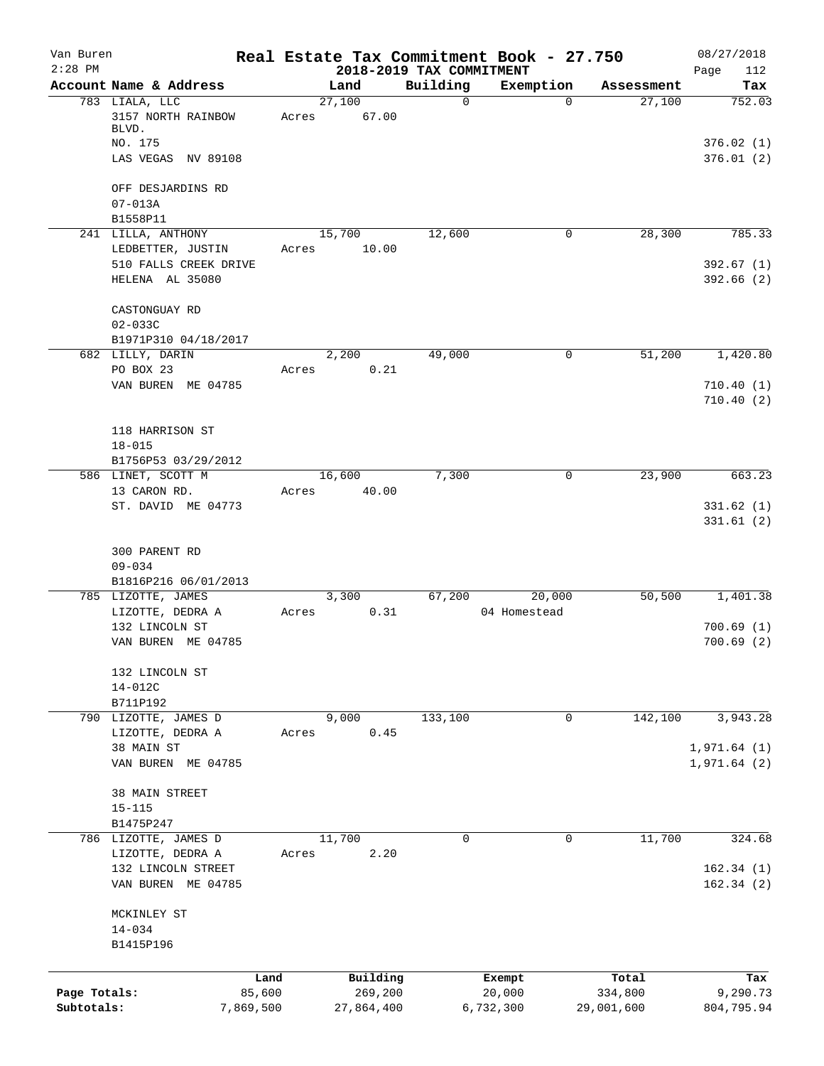| Van Buren<br>$2:28$ PM |                                    |       |                     | 2018-2019 TAX COMMITMENT | Real Estate Tax Commitment Book - 27.750 |                  | 08/27/2018<br>Page<br>112 |
|------------------------|------------------------------------|-------|---------------------|--------------------------|------------------------------------------|------------------|---------------------------|
|                        | Account Name & Address             |       | Land                | Building                 | Exemption                                | Assessment       | Tax                       |
|                        | 783 LIALA, LLC                     |       | 27,100              | $\mathbf 0$              | $\Omega$                                 | 27,100           | 752.03                    |
|                        | 3157 NORTH RAINBOW<br>BLVD.        | Acres | 67.00               |                          |                                          |                  |                           |
|                        | NO. 175                            |       |                     |                          |                                          |                  | 376.02(1)                 |
|                        | LAS VEGAS NV 89108                 |       |                     |                          |                                          |                  | 376.01(2)                 |
|                        | OFF DESJARDINS RD                  |       |                     |                          |                                          |                  |                           |
|                        | $07 - 013A$<br>B1558P11            |       |                     |                          |                                          |                  |                           |
|                        | 241 LILLA, ANTHONY                 |       | 15,700              | 12,600                   | 0                                        | 28,300           | 785.33                    |
|                        | LEDBETTER, JUSTIN                  | Acres | 10.00               |                          |                                          |                  |                           |
|                        | 510 FALLS CREEK DRIVE              |       |                     |                          |                                          |                  | 392.67(1)                 |
|                        | HELENA AL 35080                    |       |                     |                          |                                          |                  | 392.66(2)                 |
|                        | CASTONGUAY RD                      |       |                     |                          |                                          |                  |                           |
|                        | $02 - 033C$                        |       |                     |                          |                                          |                  |                           |
|                        | B1971P310 04/18/2017               |       |                     |                          |                                          |                  |                           |
|                        | 682 LILLY, DARIN                   |       | 2,200               | 49,000                   | 0                                        | 51,200           | 1,420.80                  |
|                        | PO BOX 23                          | Acres | 0.21                |                          |                                          |                  | 710.40(1)                 |
|                        | VAN BUREN ME 04785                 |       |                     |                          |                                          |                  | 710.40(2)                 |
|                        | 118 HARRISON ST                    |       |                     |                          |                                          |                  |                           |
|                        | $18 - 015$                         |       |                     |                          |                                          |                  |                           |
|                        | B1756P53 03/29/2012                |       |                     |                          |                                          |                  |                           |
|                        | 586 LINET, SCOTT M                 |       | 16,600              | 7,300                    | $\mathbf 0$                              | 23,900           | 663.23                    |
|                        | 13 CARON RD.                       | Acres | 40.00               |                          |                                          |                  |                           |
|                        | ST. DAVID ME 04773                 |       |                     |                          |                                          |                  | 331.62(1)<br>331.61(2)    |
|                        | 300 PARENT RD                      |       |                     |                          |                                          |                  |                           |
|                        | $09 - 034$                         |       |                     |                          |                                          |                  |                           |
|                        | B1816P216 06/01/2013               |       |                     |                          |                                          |                  |                           |
|                        | 785 LIZOTTE, JAMES                 |       | 3,300               | 67,200                   | 20,000                                   | 50,500           | 1,401.38                  |
|                        | LIZOTTE, DEDRA A<br>132 LINCOLN ST | Acres | 0.31                |                          | 04 Homestead                             |                  |                           |
|                        | VAN BUREN ME 04785                 |       |                     |                          |                                          |                  | 700.69(1)<br>700.69(2)    |
|                        | 132 LINCOLN ST                     |       |                     |                          |                                          |                  |                           |
|                        | $14 - 012C$                        |       |                     |                          |                                          |                  |                           |
|                        | B711P192                           |       |                     |                          |                                          |                  |                           |
|                        | 790 LIZOTTE, JAMES D               |       | 9,000               | 133,100                  | 0                                        | 142,100          | 3,943.28                  |
|                        | LIZOTTE, DEDRA A                   | Acres | 0.45                |                          |                                          |                  |                           |
|                        | 38 MAIN ST                         |       |                     |                          |                                          |                  | 1,971.64(1)               |
|                        | VAN BUREN ME 04785                 |       |                     |                          |                                          |                  | 1,971.64(2)               |
|                        | 38 MAIN STREET                     |       |                     |                          |                                          |                  |                           |
|                        | $15 - 115$                         |       |                     |                          |                                          |                  |                           |
|                        | B1475P247                          |       |                     |                          |                                          |                  |                           |
|                        | 786 LIZOTTE, JAMES D               |       | 11,700              | $\Omega$                 | 0                                        | 11,700           | 324.68                    |
|                        | LIZOTTE, DEDRA A                   | Acres | 2.20                |                          |                                          |                  |                           |
|                        | 132 LINCOLN STREET                 |       |                     |                          |                                          |                  | 162.34(1)                 |
|                        | VAN BUREN ME 04785                 |       |                     |                          |                                          |                  | 162.34(2)                 |
|                        | MCKINLEY ST                        |       |                     |                          |                                          |                  |                           |
|                        | $14 - 034$                         |       |                     |                          |                                          |                  |                           |
|                        | B1415P196                          |       |                     |                          |                                          |                  |                           |
|                        | Land                               |       |                     |                          |                                          |                  |                           |
| Page Totals:           | 85,600                             |       | Building<br>269,200 |                          | Exempt<br>20,000                         | Total<br>334,800 | Tax<br>9,290.73           |
| Subtotals:             | 7,869,500                          |       | 27,864,400          |                          | 6,732,300                                | 29,001,600       | 804,795.94                |
|                        |                                    |       |                     |                          |                                          |                  |                           |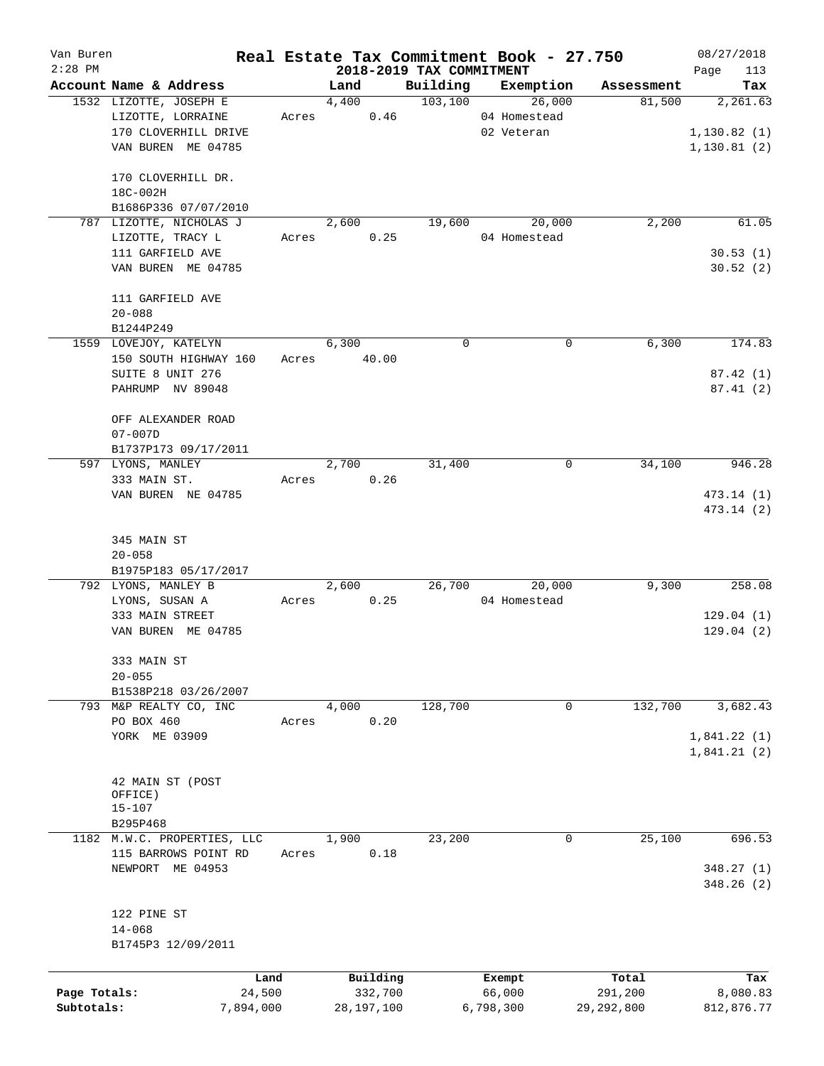| Van Buren    |                                             |       |                          |                      | Real Estate Tax Commitment Book - 27.750 |                      | 08/27/2018   |
|--------------|---------------------------------------------|-------|--------------------------|----------------------|------------------------------------------|----------------------|--------------|
| $2:28$ PM    | Account Name & Address                      |       | 2018-2019 TAX COMMITMENT |                      |                                          |                      | Page<br>113  |
|              |                                             |       | Land<br>4,400            | Building<br>103, 100 | Exemption<br>26,000                      | Assessment<br>81,500 | Tax          |
|              | 1532 LIZOTTE, JOSEPH E<br>LIZOTTE, LORRAINE | Acres | 0.46                     |                      | 04 Homestead                             |                      | 2,261.63     |
|              |                                             |       |                          |                      | 02 Veteran                               |                      | 1, 130.82(1) |
|              | 170 CLOVERHILL DRIVE                        |       |                          |                      |                                          |                      |              |
|              | VAN BUREN ME 04785                          |       |                          |                      |                                          |                      | 1, 130.81(2) |
|              |                                             |       |                          |                      |                                          |                      |              |
|              | 170 CLOVERHILL DR.                          |       |                          |                      |                                          |                      |              |
|              | 18C-002H                                    |       |                          |                      |                                          |                      |              |
|              | B1686P336 07/07/2010                        |       |                          |                      |                                          |                      |              |
|              | 787 LIZOTTE, NICHOLAS J                     |       | 2,600                    | 19,600               | 20,000                                   | 2,200                | 61.05        |
|              | LIZOTTE, TRACY L                            | Acres | 0.25                     |                      | 04 Homestead                             |                      |              |
|              | 111 GARFIELD AVE                            |       |                          |                      |                                          |                      | 30.53(1)     |
|              | VAN BUREN ME 04785                          |       |                          |                      |                                          |                      | 30.52(2)     |
|              |                                             |       |                          |                      |                                          |                      |              |
|              | 111 GARFIELD AVE                            |       |                          |                      |                                          |                      |              |
|              | $20 - 088$                                  |       |                          |                      |                                          |                      |              |
|              | B1244P249                                   |       |                          |                      |                                          |                      |              |
|              | 1559 LOVEJOY, KATELYN                       |       | 6,300                    | 0                    | 0                                        | 6,300                | 174.83       |
|              | 150 SOUTH HIGHWAY 160                       | Acres | 40.00                    |                      |                                          |                      |              |
|              | SUITE 8 UNIT 276                            |       |                          |                      |                                          |                      | 87.42(1)     |
|              | PAHRUMP NV 89048                            |       |                          |                      |                                          |                      | 87.41(2)     |
|              |                                             |       |                          |                      |                                          |                      |              |
|              | OFF ALEXANDER ROAD                          |       |                          |                      |                                          |                      |              |
|              | $07 - 007D$                                 |       |                          |                      |                                          |                      |              |
|              | B1737P173 09/17/2011                        |       |                          |                      |                                          |                      |              |
|              | 597 LYONS, MANLEY                           |       | 2,700                    | 31,400               | 0                                        | 34,100               | 946.28       |
|              | 333 MAIN ST.                                | Acres | 0.26                     |                      |                                          |                      |              |
|              | VAN BUREN NE 04785                          |       |                          |                      |                                          |                      | 473.14 (1)   |
|              |                                             |       |                          |                      |                                          |                      | 473.14 (2)   |
|              |                                             |       |                          |                      |                                          |                      |              |
|              | 345 MAIN ST                                 |       |                          |                      |                                          |                      |              |
|              | $20 - 058$                                  |       |                          |                      |                                          |                      |              |
|              | B1975P183 05/17/2017                        |       |                          |                      |                                          |                      |              |
|              | 792 LYONS, MANLEY B                         |       | 2,600                    | 26,700               | 20,000                                   | 9,300                | 258.08       |
|              | LYONS, SUSAN A                              | Acres | 0.25                     |                      | 04 Homestead                             |                      |              |
|              | 333 MAIN STREET                             |       |                          |                      |                                          |                      | 129.04(1)    |
|              | VAN BUREN ME 04785                          |       |                          |                      |                                          |                      | 129.04(2)    |
|              |                                             |       |                          |                      |                                          |                      |              |
|              | 333 MAIN ST                                 |       |                          |                      |                                          |                      |              |
|              | $20 - 055$                                  |       |                          |                      |                                          |                      |              |
|              | B1538P218 03/26/2007                        |       |                          |                      |                                          |                      |              |
|              | 793 M&P REALTY CO, INC                      |       | 4,000                    | 128,700              | 0                                        | 132,700              | 3,682.43     |
|              | PO BOX 460                                  | Acres | 0.20                     |                      |                                          |                      |              |
|              | YORK ME 03909                               |       |                          |                      |                                          |                      | 1,841.22(1)  |
|              |                                             |       |                          |                      |                                          |                      | 1,841.21(2)  |
|              |                                             |       |                          |                      |                                          |                      |              |
|              | 42 MAIN ST (POST                            |       |                          |                      |                                          |                      |              |
|              | OFFICE)                                     |       |                          |                      |                                          |                      |              |
|              | $15 - 107$                                  |       |                          |                      |                                          |                      |              |
|              | B295P468                                    |       |                          |                      |                                          |                      |              |
|              | 1182 M.W.C. PROPERTIES, LLC                 |       | 1,900                    | 23,200               | $\mathbf 0$                              | 25,100               | 696.53       |
|              | 115 BARROWS POINT RD                        | Acres | 0.18                     |                      |                                          |                      |              |
|              | NEWPORT<br>ME 04953                         |       |                          |                      |                                          |                      | 348.27(1)    |
|              |                                             |       |                          |                      |                                          |                      | 348.26(2)    |
|              |                                             |       |                          |                      |                                          |                      |              |
|              | 122 PINE ST                                 |       |                          |                      |                                          |                      |              |
|              | $14 - 068$                                  |       |                          |                      |                                          |                      |              |
|              | B1745P3 12/09/2011                          |       |                          |                      |                                          |                      |              |
|              |                                             |       |                          |                      |                                          |                      |              |
|              |                                             | Land  | Building                 |                      | Exempt                                   | Total                | Tax          |
| Page Totals: | 24,500                                      |       | 332,700                  |                      | 66,000                                   | 291,200              | 8,080.83     |
| Subtotals:   | 7,894,000                                   |       | 28,197,100               |                      | 6,798,300                                | 29, 292, 800         | 812,876.77   |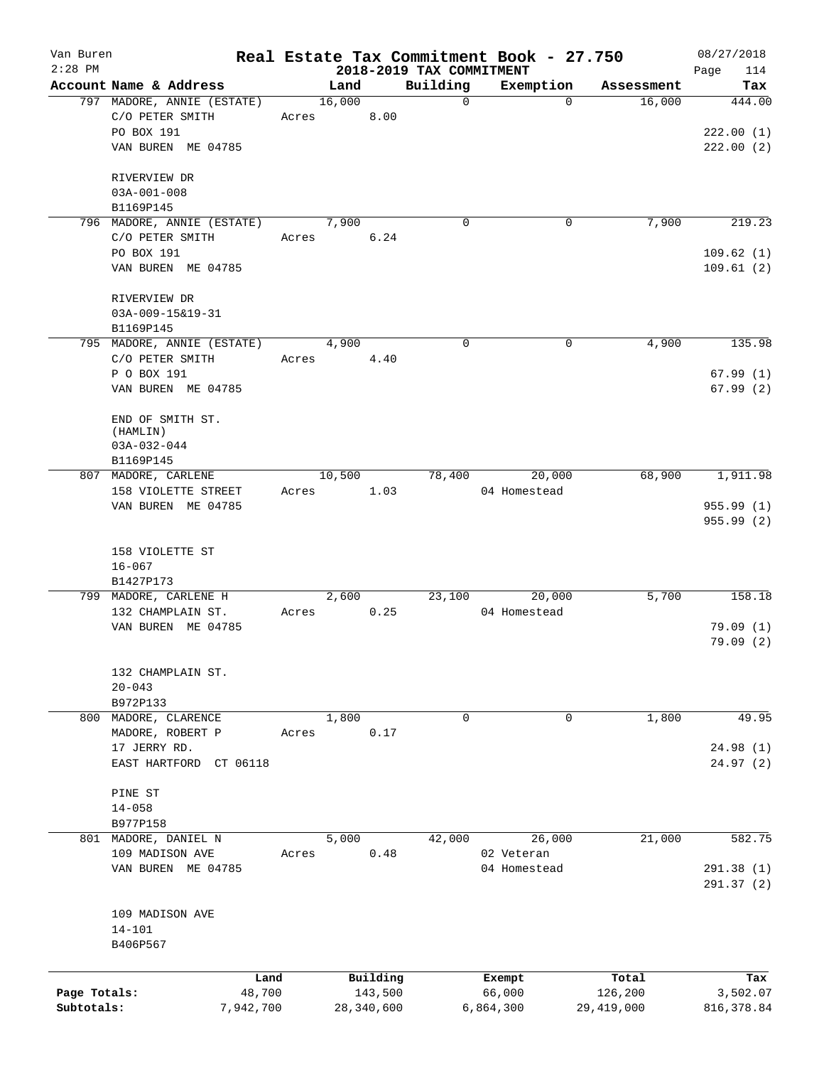| Van Buren<br>$2:28$ PM |                                               |       |                 |            | 2018-2019 TAX COMMITMENT | Real Estate Tax Commitment Book - 27.750 |              | 08/27/2018<br>114<br>Page |
|------------------------|-----------------------------------------------|-------|-----------------|------------|--------------------------|------------------------------------------|--------------|---------------------------|
|                        | Account Name & Address                        |       | Land            |            | Building                 | Exemption                                | Assessment   | Tax                       |
|                        | 797 MADORE, ANNIE (ESTATE)<br>C/O PETER SMITH |       | 16,000<br>Acres | 8.00       | $\mathsf{O}$             | $\Omega$                                 | 16,000       | 444.00                    |
|                        | PO BOX 191<br>VAN BUREN ME 04785              |       |                 |            |                          |                                          |              | 222.00(1)<br>222.00(2)    |
|                        | RIVERVIEW DR<br>$03A-001-008$                 |       |                 |            |                          |                                          |              |                           |
|                        | B1169P145                                     |       |                 |            |                          |                                          |              |                           |
|                        | 796 MADORE, ANNIE (ESTATE)                    |       | 7,900           |            | $\mathbf 0$              | 0                                        | 7,900        | 219.23                    |
|                        | C/O PETER SMITH                               | Acres |                 | 6.24       |                          |                                          |              |                           |
|                        | PO BOX 191<br>VAN BUREN ME 04785              |       |                 |            |                          |                                          |              | 109.62(1)<br>109.61(2)    |
|                        | RIVERVIEW DR                                  |       |                 |            |                          |                                          |              |                           |
|                        | 03A-009-15&19-31<br>B1169P145                 |       |                 |            |                          |                                          |              |                           |
|                        | 795 MADORE, ANNIE (ESTATE)                    |       | 4,900           |            | $\mathbf 0$              | 0                                        | 4,900        | 135.98                    |
|                        | C/O PETER SMITH                               |       | Acres 4.40      |            |                          |                                          |              |                           |
|                        | P O BOX 191<br>VAN BUREN ME 04785             |       |                 |            |                          |                                          |              | 67.99(1)<br>67.99(2)      |
|                        | END OF SMITH ST.                              |       |                 |            |                          |                                          |              |                           |
|                        | (HAMLIN)                                      |       |                 |            |                          |                                          |              |                           |
|                        | $03A-032-044$                                 |       |                 |            |                          |                                          |              |                           |
|                        | B1169P145                                     |       |                 |            |                          |                                          |              |                           |
|                        | 807 MADORE, CARLENE<br>158 VIOLETTE STREET    | Acres | 10,500          | 1.03       | 78,400                   | 20,000<br>04 Homestead                   | 68,900       | 1,911.98                  |
|                        | VAN BUREN ME 04785                            |       |                 |            |                          |                                          |              | 955.99(1)                 |
|                        |                                               |       |                 |            |                          |                                          |              | 955.99(2)                 |
|                        | 158 VIOLETTE ST                               |       |                 |            |                          |                                          |              |                           |
|                        | $16 - 067$                                    |       |                 |            |                          |                                          |              |                           |
|                        | B1427P173                                     |       |                 |            |                          |                                          |              |                           |
|                        | 799 MADORE, CARLENE H                         |       | 2,600           |            |                          | 23,100<br>20,000                         | 5,700        | 158.18                    |
|                        | 132 CHAMPLAIN ST.<br>VAN BUREN ME 04785       | Acres |                 | 0.25       |                          | 04 Homestead                             |              | 79.09(1)                  |
|                        |                                               |       |                 |            |                          |                                          |              | 79.09(2)                  |
|                        | 132 CHAMPLAIN ST.                             |       |                 |            |                          |                                          |              |                           |
|                        | $20 - 043$                                    |       |                 |            |                          |                                          |              |                           |
|                        | B972P133<br>800 MADORE, CLARENCE              |       | 1,800           |            | 0                        | 0                                        | 1,800        | 49.95                     |
|                        | MADORE, ROBERT P                              | Acres |                 | 0.17       |                          |                                          |              |                           |
|                        | 17 JERRY RD.                                  |       |                 |            |                          |                                          |              | 24.98 (1)                 |
|                        | EAST HARTFORD CT 06118                        |       |                 |            |                          |                                          |              | 24.97 (2)                 |
|                        | PINE ST                                       |       |                 |            |                          |                                          |              |                           |
|                        | $14 - 058$                                    |       |                 |            |                          |                                          |              |                           |
|                        | B977P158                                      |       |                 |            |                          |                                          |              |                           |
|                        | 801 MADORE, DANIEL N                          |       | 5,000           |            | 42,000                   | 26,000                                   | 21,000       | 582.75                    |
|                        | 109 MADISON AVE<br>VAN BUREN ME 04785         | Acres |                 | 0.48       |                          | 02 Veteran<br>04 Homestead               |              | 291.38(1)                 |
|                        |                                               |       |                 |            |                          |                                          |              | 291.37(2)                 |
|                        | 109 MADISON AVE                               |       |                 |            |                          |                                          |              |                           |
|                        | $14 - 101$                                    |       |                 |            |                          |                                          |              |                           |
|                        | B406P567                                      |       |                 |            |                          |                                          |              |                           |
|                        |                                               | Land  |                 | Building   |                          | Exempt                                   | Total        | Tax                       |
| Page Totals:           | 48,700                                        |       |                 | 143,500    |                          | 66,000                                   | 126,200      | 3,502.07                  |
| Subtotals:             | 7,942,700                                     |       |                 | 28,340,600 |                          | 6,864,300                                | 29, 419, 000 | 816, 378.84               |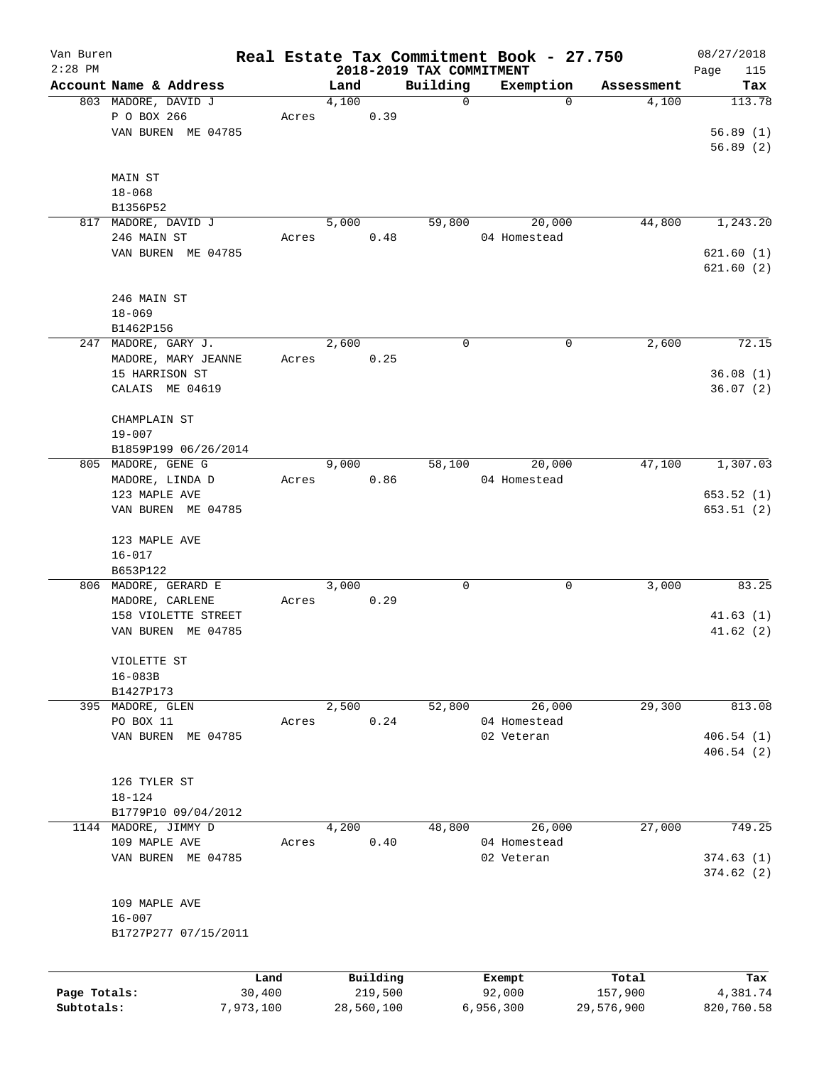| Van Buren    |                           |        |                                  |             | Real Estate Tax Commitment Book - 27.750 |            | 08/27/2018         |
|--------------|---------------------------|--------|----------------------------------|-------------|------------------------------------------|------------|--------------------|
| $2:28$ PM    | Account Name & Address    |        | 2018-2019 TAX COMMITMENT<br>Land | Building    | Exemption                                | Assessment | Page<br>115<br>Tax |
|              | 803 MADORE, DAVID J       |        | 4,100                            | $\mathbf 0$ | $\Omega$                                 | 4,100      | 113.78             |
|              | P O BOX 266               | Acres  | 0.39                             |             |                                          |            |                    |
|              | VAN BUREN ME 04785        |        |                                  |             |                                          |            | 56.89(1)           |
|              |                           |        |                                  |             |                                          |            | 56.89(2)           |
|              |                           |        |                                  |             |                                          |            |                    |
|              | MAIN ST                   |        |                                  |             |                                          |            |                    |
|              | $18 - 068$                |        |                                  |             |                                          |            |                    |
|              | B1356P52                  |        |                                  |             |                                          |            |                    |
|              | 817 MADORE, DAVID J       |        | 5,000                            | 59,800      | 20,000                                   | 44,800     | 1,243.20           |
|              | 246 MAIN ST               | Acres  | 0.48                             |             | 04 Homestead                             |            |                    |
|              | VAN BUREN ME 04785        |        |                                  |             |                                          |            | 621.60(1)          |
|              |                           |        |                                  |             |                                          |            | 621.60(2)          |
|              | 246 MAIN ST               |        |                                  |             |                                          |            |                    |
|              | $18 - 069$                |        |                                  |             |                                          |            |                    |
|              | B1462P156                 |        |                                  |             |                                          |            |                    |
|              | 247 MADORE, GARY J.       |        | 2,600                            | 0           | 0                                        | 2,600      | 72.15              |
|              | MADORE, MARY JEANNE       | Acres  | 0.25                             |             |                                          |            |                    |
|              | 15 HARRISON ST            |        |                                  |             |                                          |            | 36.08(1)           |
|              | CALAIS ME 04619           |        |                                  |             |                                          |            | 36.07(2)           |
|              |                           |        |                                  |             |                                          |            |                    |
|              | CHAMPLAIN ST              |        |                                  |             |                                          |            |                    |
|              | $19 - 007$                |        |                                  |             |                                          |            |                    |
|              | B1859P199 06/26/2014      |        |                                  |             |                                          |            |                    |
|              | 805 MADORE, GENE G        |        | 9,000                            | 58,100      | 20,000                                   | 47,100     | 1,307.03           |
|              | MADORE, LINDA D           | Acres  | 0.86                             |             | 04 Homestead                             |            |                    |
|              | 123 MAPLE AVE             |        |                                  |             |                                          |            | 653.52(1)          |
|              | VAN BUREN ME 04785        |        |                                  |             |                                          |            | 653.51(2)          |
|              |                           |        |                                  |             |                                          |            |                    |
|              | 123 MAPLE AVE             |        |                                  |             |                                          |            |                    |
|              | $16 - 017$                |        |                                  |             |                                          |            |                    |
|              | B653P122                  |        |                                  |             |                                          |            |                    |
|              | 806 MADORE, GERARD E      |        | 3,000                            | 0           | 0                                        | 3,000      | 83.25              |
|              | MADORE, CARLENE           | Acres  | 0.29                             |             |                                          |            |                    |
|              | 158 VIOLETTE STREET       |        |                                  |             |                                          |            | 41.63(1)           |
|              | VAN BUREN ME 04785        |        |                                  |             |                                          |            | 41.62(2)           |
|              |                           |        |                                  |             |                                          |            |                    |
|              | VIOLETTE ST               |        |                                  |             |                                          |            |                    |
|              | $16 - 083B$               |        |                                  |             |                                          |            |                    |
| 395          | B1427P173<br>MADORE, GLEN |        | 2,500                            | 52,800      | 26,000                                   | 29,300     | 813.08             |
|              | PO BOX 11                 | Acres  | 0.24                             |             | 04 Homestead                             |            |                    |
|              | VAN BUREN ME 04785        |        |                                  |             | 02 Veteran                               |            | 406.54(1)          |
|              |                           |        |                                  |             |                                          |            | 406.54(2)          |
|              |                           |        |                                  |             |                                          |            |                    |
|              | 126 TYLER ST              |        |                                  |             |                                          |            |                    |
|              | $18 - 124$                |        |                                  |             |                                          |            |                    |
|              | B1779P10 09/04/2012       |        |                                  |             |                                          |            |                    |
| 1144         | MADORE, JIMMY D           |        | 4,200                            | 48,800      | 26,000                                   | 27,000     | 749.25             |
|              | 109 MAPLE AVE             | Acres  | 0.40                             |             | 04 Homestead                             |            |                    |
|              | VAN BUREN ME 04785        |        |                                  |             | 02 Veteran                               |            | 374.63(1)          |
|              |                           |        |                                  |             |                                          |            | 374.62(2)          |
|              |                           |        |                                  |             |                                          |            |                    |
|              | 109 MAPLE AVE             |        |                                  |             |                                          |            |                    |
|              | $16 - 007$                |        |                                  |             |                                          |            |                    |
|              | B1727P277 07/15/2011      |        |                                  |             |                                          |            |                    |
|              |                           |        |                                  |             |                                          |            |                    |
|              |                           | Land   | Building                         |             | Exempt                                   | Total      | Tax                |
| Page Totals: |                           | 30,400 | 219,500                          |             | 92,000                                   | 157,900    | 4,381.74           |

**Subtotals:** 7,973,100 28,560,100 6,956,300 29,576,900 820,760.58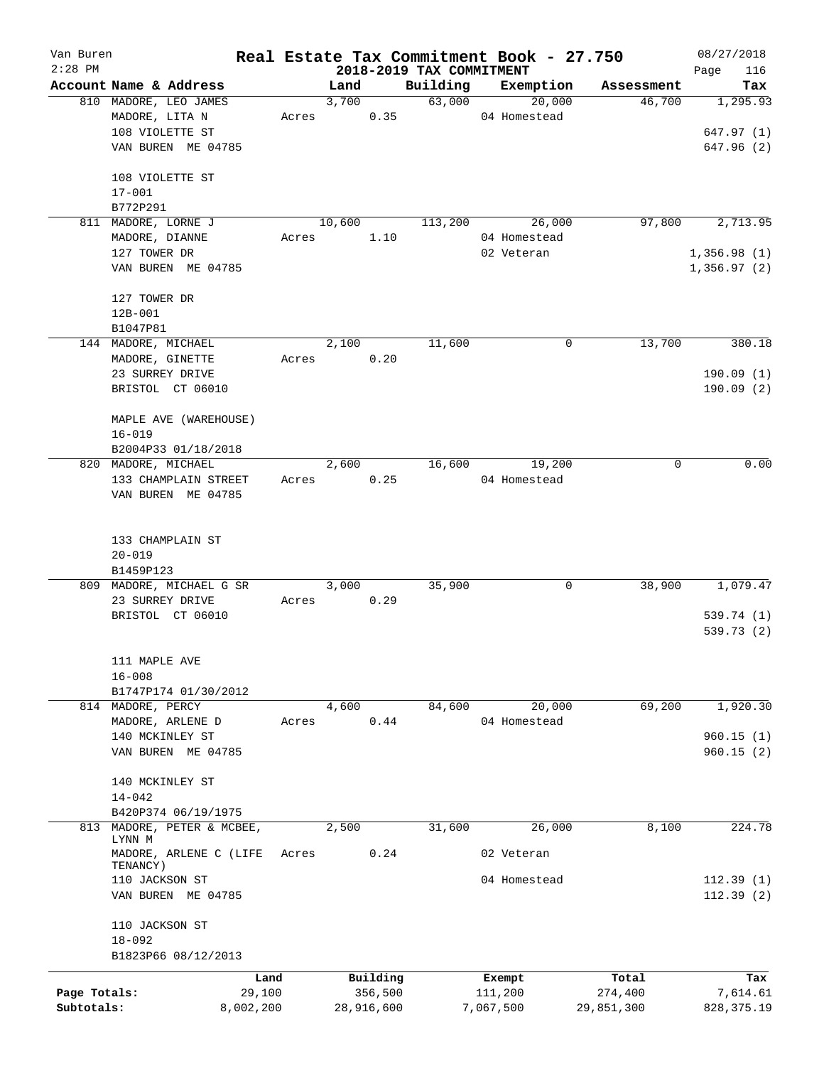| Van Buren    |                                     |           |        |            |                          | Real Estate Tax Commitment Book - 27.750 |            | 08/27/2018  |
|--------------|-------------------------------------|-----------|--------|------------|--------------------------|------------------------------------------|------------|-------------|
| $2:28$ PM    |                                     |           |        |            | 2018-2019 TAX COMMITMENT |                                          |            | Page<br>116 |
|              | Account Name & Address              |           | Land   |            | Building                 | Exemption                                | Assessment | Tax         |
|              | 810 MADORE, LEO JAMES               |           | 3,700  |            | 63,000                   | 20,000                                   | 46,700     | 1,295.93    |
|              | MADORE, LITA N                      | Acres     |        | 0.35       |                          | 04 Homestead                             |            |             |
|              | 108 VIOLETTE ST                     |           |        |            |                          |                                          |            | 647.97 (1)  |
|              | VAN BUREN ME 04785                  |           |        |            |                          |                                          |            | 647.96 (2)  |
|              | 108 VIOLETTE ST                     |           |        |            |                          |                                          |            |             |
|              | $17 - 001$                          |           |        |            |                          |                                          |            |             |
|              | B772P291                            |           |        |            |                          |                                          |            |             |
| 811          | MADORE, LORNE J                     |           | 10,600 |            | 113,200                  | 26,000                                   | 97,800     | 2,713.95    |
|              | MADORE, DIANNE                      | Acres     |        | 1.10       |                          | 04 Homestead                             |            |             |
|              | 127 TOWER DR                        |           |        |            |                          | 02 Veteran                               |            | 1,356.98(1) |
|              | VAN BUREN ME 04785                  |           |        |            |                          |                                          |            | 1,356.97(2) |
|              | 127 TOWER DR                        |           |        |            |                          |                                          |            |             |
|              | $12B-001$                           |           |        |            |                          |                                          |            |             |
|              | B1047P81                            |           |        |            |                          |                                          |            |             |
|              | 144 MADORE, MICHAEL                 |           | 2,100  |            | 11,600                   | 0                                        | 13,700     | 380.18      |
|              | MADORE, GINETTE                     | Acres     |        | 0.20       |                          |                                          |            |             |
|              | 23 SURREY DRIVE                     |           |        |            |                          |                                          |            | 190.09(1)   |
|              | BRISTOL CT 06010                    |           |        |            |                          |                                          |            | 190.09(2)   |
|              |                                     |           |        |            |                          |                                          |            |             |
|              | MAPLE AVE (WAREHOUSE)               |           |        |            |                          |                                          |            |             |
|              | $16 - 019$                          |           |        |            |                          |                                          |            |             |
|              | B2004P33 01/18/2018                 |           |        |            |                          |                                          |            |             |
|              | 820 MADORE, MICHAEL                 |           | 2,600  |            | 16,600                   | 19,200                                   | 0          | 0.00        |
|              | 133 CHAMPLAIN STREET                | Acres     |        | 0.25       |                          | 04 Homestead                             |            |             |
|              | VAN BUREN ME 04785                  |           |        |            |                          |                                          |            |             |
|              |                                     |           |        |            |                          |                                          |            |             |
|              |                                     |           |        |            |                          |                                          |            |             |
|              | 133 CHAMPLAIN ST                    |           |        |            |                          |                                          |            |             |
|              | $20 - 019$                          |           |        |            |                          |                                          |            |             |
|              | B1459P123                           |           |        |            |                          |                                          |            |             |
|              | 809 MADORE, MICHAEL G SR            |           | 3,000  |            | 35,900                   | 0                                        | 38,900     | 1,079.47    |
|              | 23 SURREY DRIVE<br>BRISTOL CT 06010 | Acres     |        | 0.29       |                          |                                          |            | 539.74 (1)  |
|              |                                     |           |        |            |                          |                                          |            | 539.73 (2)  |
|              |                                     |           |        |            |                          |                                          |            |             |
|              | 111 MAPLE AVE                       |           |        |            |                          |                                          |            |             |
|              | $16 - 008$                          |           |        |            |                          |                                          |            |             |
|              | B1747P174 01/30/2012                |           |        |            |                          |                                          |            |             |
|              | 814 MADORE, PERCY                   |           | 4,600  |            | 84,600                   | 20,000                                   | 69,200     | 1,920.30    |
|              | MADORE, ARLENE D                    | Acres     |        | 0.44       |                          | 04 Homestead                             |            |             |
|              | 140 MCKINLEY ST                     |           |        |            |                          |                                          |            | 960.15(1)   |
|              | VAN BUREN ME 04785                  |           |        |            |                          |                                          |            | 960.15(2)   |
|              |                                     |           |        |            |                          |                                          |            |             |
|              | 140 MCKINLEY ST                     |           |        |            |                          |                                          |            |             |
|              | $14 - 042$                          |           |        |            |                          |                                          |            |             |
|              | B420P374 06/19/1975                 |           |        |            |                          |                                          |            |             |
| 813          | MADORE, PETER & MCBEE,<br>LYNN M    |           | 2,500  |            | 31,600                   | 26,000                                   | 8,100      | 224.78      |
|              | MADORE, ARLENE C (LIFE              | Acres     |        | 0.24       |                          | 02 Veteran                               |            |             |
|              | TENANCY)                            |           |        |            |                          |                                          |            |             |
|              | 110 JACKSON ST                      |           |        |            |                          | 04 Homestead                             |            | 112.39(1)   |
|              | VAN BUREN ME 04785                  |           |        |            |                          |                                          |            | 112.39(2)   |
|              | 110 JACKSON ST                      |           |        |            |                          |                                          |            |             |
|              | $18 - 092$                          |           |        |            |                          |                                          |            |             |
|              | B1823P66 08/12/2013                 |           |        |            |                          |                                          |            |             |
|              |                                     | Land      |        | Building   |                          | Exempt                                   | Total      | Tax         |
| Page Totals: |                                     | 29,100    |        | 356,500    |                          | 111,200                                  | 274,400    | 7,614.61    |
| Subtotals:   |                                     | 8,002,200 |        | 28,916,600 |                          | 7,067,500                                | 29,851,300 | 828, 375.19 |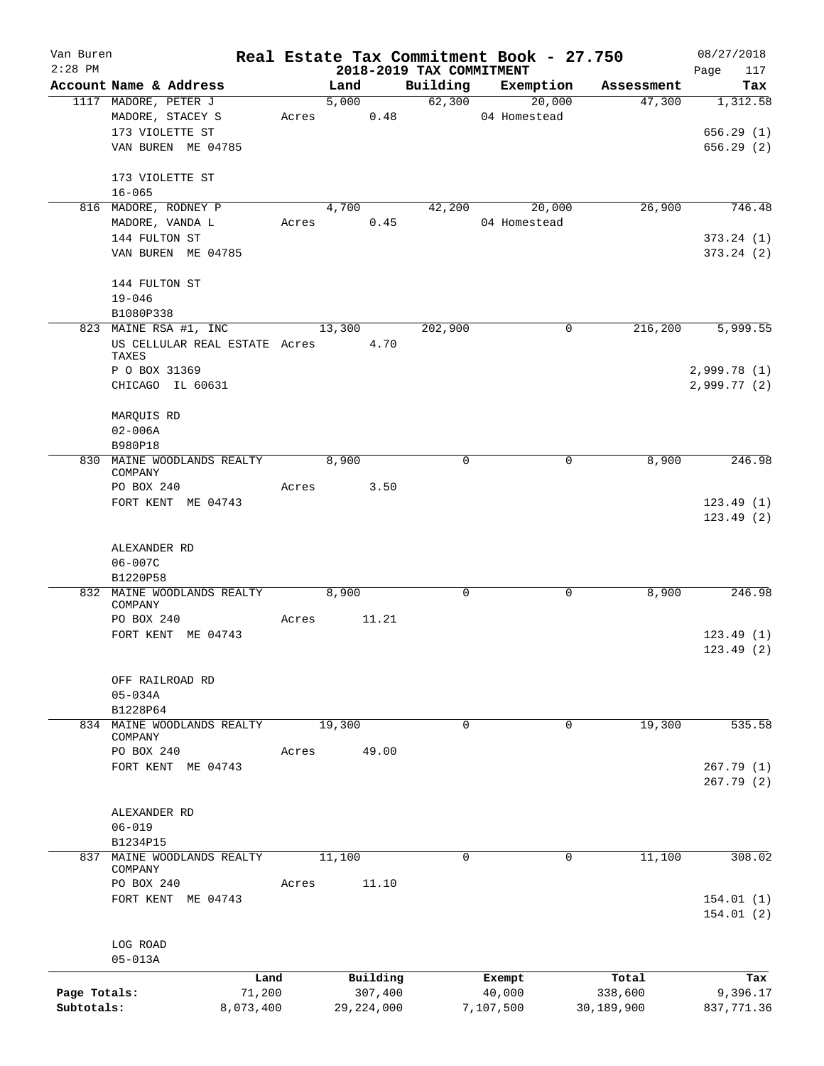| Van Buren    |                                    |                |            |            |                     |                          |                  | Real Estate Tax Commitment Book - 27.750 | 08/27/2018         |
|--------------|------------------------------------|----------------|------------|------------|---------------------|--------------------------|------------------|------------------------------------------|--------------------|
| $2:28$ PM    | Account Name & Address             |                |            | Land       |                     | 2018-2019 TAX COMMITMENT |                  | Building Exemption Assessment            | 117<br>Page<br>Tax |
|              | 1117 MADORE, PETER J               |                |            | 5,000      |                     |                          | 62,300<br>20,000 | 47,300                                   | 1,312.58           |
|              | MADORE, STACEY S                   |                |            | Acres 0.48 |                     |                          | 04 Homestead     |                                          |                    |
|              | 173 VIOLETTE ST                    |                |            |            |                     |                          |                  |                                          | 656.29(1)          |
|              | VAN BUREN ME 04785                 |                |            |            |                     |                          |                  |                                          | 656.29(2)          |
|              |                                    |                |            |            |                     |                          |                  |                                          |                    |
|              | 173 VIOLETTE ST                    |                |            |            |                     |                          |                  |                                          |                    |
|              | $16 - 065$                         |                |            |            |                     |                          |                  |                                          |                    |
|              | 816 MADORE, RODNEY P               |                |            | 4,700      |                     |                          | 42,200<br>20,000 | 26,900                                   | 746.48             |
|              | MADORE, VANDA L                    |                | Acres 0.45 |            |                     |                          | 04 Homestead     |                                          |                    |
|              | 144 FULTON ST                      |                |            |            |                     |                          |                  |                                          | 373.24(1)          |
|              | VAN BUREN ME 04785                 |                |            |            |                     |                          |                  |                                          | 373.24 (2)         |
|              | 144 FULTON ST                      |                |            |            |                     |                          |                  |                                          |                    |
|              | $19 - 046$                         |                |            |            |                     |                          |                  |                                          |                    |
|              | B1080P338                          |                |            |            |                     |                          |                  |                                          |                    |
|              | 823 MAINE RSA #1, INC              |                |            | 13,300     |                     | 202,900                  |                  | 216,200<br>0                             | 5,999.55           |
|              | US CELLULAR REAL ESTATE Acres 4.70 |                |            |            |                     |                          |                  |                                          |                    |
|              | TAXES                              |                |            |            |                     |                          |                  |                                          |                    |
|              | P O BOX 31369                      |                |            |            |                     |                          |                  |                                          | 2,999.78(1)        |
|              | CHICAGO IL 60631                   |                |            |            |                     |                          |                  |                                          | 2,999.77(2)        |
|              | MARQUIS RD                         |                |            |            |                     |                          |                  |                                          |                    |
|              | $02 - 006A$                        |                |            |            |                     |                          |                  |                                          |                    |
|              | B980P18                            |                |            |            |                     |                          |                  |                                          |                    |
|              | 830 MAINE WOODLANDS REALTY         |                |            | 8,900      |                     | 0                        |                  | 8,900<br>0                               | 246.98             |
|              | COMPANY                            |                |            |            |                     |                          |                  |                                          |                    |
|              | PO BOX 240                         |                | Acres      |            | 3.50                |                          |                  |                                          |                    |
|              | FORT KENT ME 04743                 |                |            |            |                     |                          |                  |                                          | 123.49(1)          |
|              |                                    |                |            |            |                     |                          |                  |                                          | 123.49(2)          |
|              | ALEXANDER RD                       |                |            |            |                     |                          |                  |                                          |                    |
|              | 06-007C                            |                |            |            |                     |                          |                  |                                          |                    |
|              | B1220P58                           |                |            |            |                     |                          |                  |                                          |                    |
|              | 832 MAINE WOODLANDS REALTY         |                | 8,900      |            |                     | $\mathbf 0$              |                  | 8,900<br>0                               | 246.98             |
|              | COMPANY                            |                |            |            |                     |                          |                  |                                          |                    |
|              | PO BOX 240                         |                | Acres      |            | 11.21               |                          |                  |                                          |                    |
|              | FORT KENT ME 04743                 |                |            |            |                     |                          |                  |                                          | 123.49(1)          |
|              |                                    |                |            |            |                     |                          |                  |                                          | 123.49 (2)         |
|              | OFF RAILROAD RD                    |                |            |            |                     |                          |                  |                                          |                    |
|              | $05 - 034A$                        |                |            |            |                     |                          |                  |                                          |                    |
|              | B1228P64                           |                |            |            |                     |                          |                  |                                          |                    |
|              | 834 MAINE WOODLANDS REALTY         |                |            | 19,300     |                     | $\Omega$                 |                  | 19,300<br>0                              | 535.58             |
|              | COMPANY                            |                |            |            |                     |                          |                  |                                          |                    |
|              | PO BOX 240                         |                | Acres      |            | 49.00               |                          |                  |                                          |                    |
|              | FORT KENT ME 04743                 |                |            |            |                     |                          |                  |                                          | 267.79(1)          |
|              |                                    |                |            |            |                     |                          |                  |                                          | 267.79 (2)         |
|              |                                    |                |            |            |                     |                          |                  |                                          |                    |
|              | ALEXANDER RD                       |                |            |            |                     |                          |                  |                                          |                    |
|              | $06 - 019$<br>B1234P15             |                |            |            |                     |                          |                  |                                          |                    |
|              | 837 MAINE WOODLANDS REALTY         |                |            | 11,100     |                     | $\Omega$                 |                  | 11,100<br>0                              | 308.02             |
|              | COMPANY                            |                |            |            |                     |                          |                  |                                          |                    |
|              | PO BOX 240                         |                | Acres      |            | 11.10               |                          |                  |                                          |                    |
|              | FORT KENT ME 04743                 |                |            |            |                     |                          |                  |                                          | 154.01(1)          |
|              |                                    |                |            |            |                     |                          |                  |                                          | 154.01(2)          |
|              |                                    |                |            |            |                     |                          |                  |                                          |                    |
|              | LOG ROAD<br>$05 - 013A$            |                |            |            |                     |                          |                  |                                          |                    |
|              |                                    |                |            |            |                     |                          |                  |                                          |                    |
| Page Totals: |                                    | Land<br>71,200 |            |            | Building<br>307,400 |                          | Exempt<br>40,000 | Total<br>338,600                         | Tax<br>9,396.17    |
| Subtotals:   |                                    | 8,073,400      |            |            | 29, 224, 000        |                          | 7,107,500        | 30,189,900                               | 837,771.36         |
|              |                                    |                |            |            |                     |                          |                  |                                          |                    |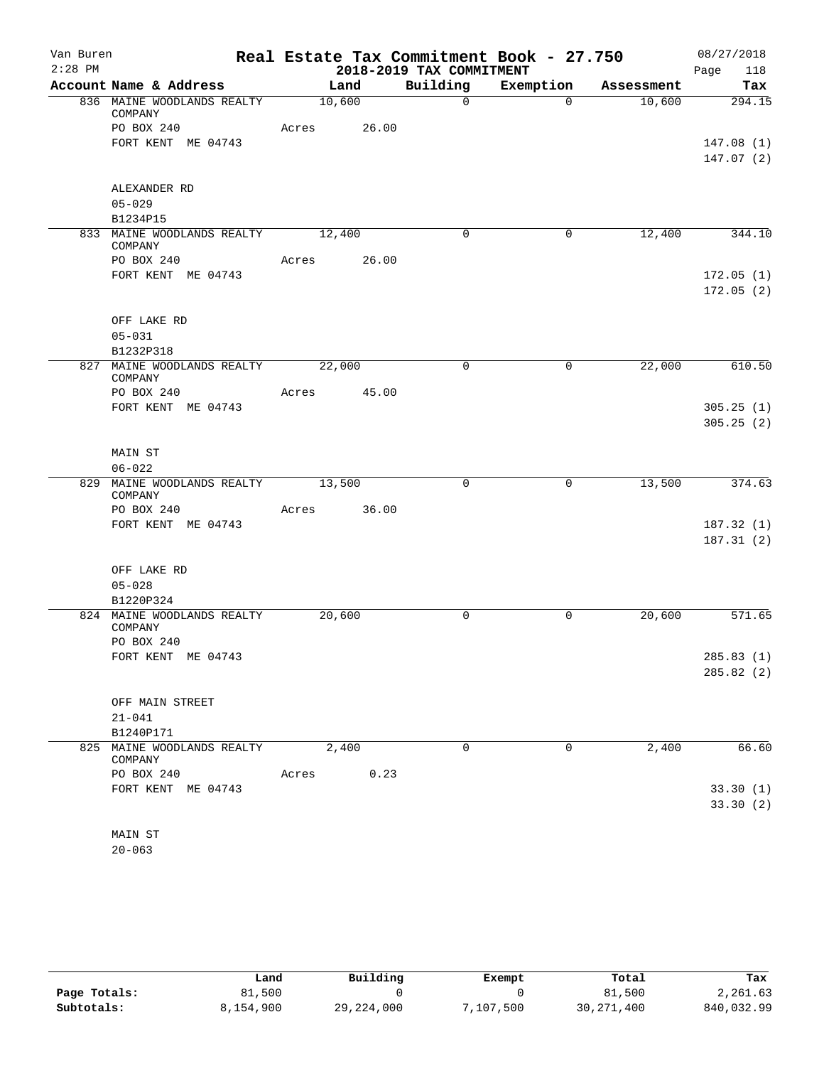| Van Buren |                                              | Real Estate Tax Commitment Book - 27.750 |                          |              |            | 08/27/2018  |
|-----------|----------------------------------------------|------------------------------------------|--------------------------|--------------|------------|-------------|
| $2:28$ PM |                                              |                                          | 2018-2019 TAX COMMITMENT |              |            | 118<br>Page |
|           | Account Name & Address                       | Land                                     | Building                 | Exemption    | Assessment | Tax         |
|           | 836 MAINE WOODLANDS REALTY<br>COMPANY        | 10,600                                   | $\Omega$                 | $\Omega$     | 10,600     | 294.15      |
|           | PO BOX 240                                   | Acres 26.00                              |                          |              |            |             |
|           | FORT KENT ME 04743                           |                                          |                          |              |            | 147.08(1)   |
|           |                                              |                                          |                          |              |            | 147.07(2)   |
|           | ALEXANDER RD                                 |                                          |                          |              |            |             |
|           | $05 - 029$                                   |                                          |                          |              |            |             |
|           | B1234P15<br>833 MAINE WOODLANDS REALTY       | 12,400                                   | $\Omega$                 | 0            | 12,400     | 344.10      |
|           | COMPANY                                      |                                          |                          |              |            |             |
|           | PO BOX 240                                   | 26.00<br>Acres                           |                          |              |            |             |
|           | FORT KENT ME 04743                           |                                          |                          |              |            | 172.05(1)   |
|           |                                              |                                          |                          |              |            | 172.05(2)   |
|           | OFF LAKE RD                                  |                                          |                          |              |            |             |
|           | $05 - 031$                                   |                                          |                          |              |            |             |
|           | B1232P318                                    |                                          |                          |              |            |             |
|           | 827 MAINE WOODLANDS REALTY<br>COMPANY        | 22,000                                   | $\mathbf 0$              | $\mathbf 0$  | 22,000     | 610.50      |
|           | PO BOX 240                                   | 45.00<br>Acres                           |                          |              |            |             |
|           | FORT KENT ME 04743                           |                                          |                          |              |            | 305.25(1)   |
|           |                                              |                                          |                          |              |            | 305.25(2)   |
|           | MAIN ST                                      |                                          |                          |              |            |             |
|           | $06 - 022$                                   |                                          |                          |              |            |             |
|           | 829 MAINE WOODLANDS REALTY 13,500<br>COMPANY |                                          | 0                        | $\mathsf{O}$ | 13,500     | 374.63      |
|           | PO BOX 240                                   | Acres 36.00                              |                          |              |            |             |
|           | FORT KENT ME 04743                           |                                          |                          |              |            | 187.32(1)   |
|           |                                              |                                          |                          |              |            | 187.31(2)   |
|           | OFF LAKE RD                                  |                                          |                          |              |            |             |
|           | $05 - 028$                                   |                                          |                          |              |            |             |
|           | B1220P324                                    |                                          |                          |              |            |             |
|           | 824 MAINE WOODLANDS REALTY<br>COMPANY        | 20,600                                   | 0                        | 0            | 20,600     | 571.65      |
|           | PO BOX 240                                   |                                          |                          |              |            |             |
|           | FORT KENT ME 04743                           |                                          |                          |              |            | 285.83 (1)  |
|           |                                              |                                          |                          |              |            | 285.82(2)   |
|           | OFF MAIN STREET                              |                                          |                          |              |            |             |
|           | $21 - 041$                                   |                                          |                          |              |            |             |
|           | B1240P171                                    |                                          |                          |              |            |             |
|           | 825 MAINE WOODLANDS REALTY<br>COMPANY        | 2,400                                    | $\mathbf 0$              | 0            | 2,400      | 66.60       |
|           | PO BOX 240                                   | Acres<br>0.23                            |                          |              |            |             |
|           | FORT KENT ME 04743                           |                                          |                          |              |            | 33.30(1)    |
|           |                                              |                                          |                          |              |            | 33.30(2)    |
|           | MAIN ST                                      |                                          |                          |              |            |             |
|           | $20 - 063$                                   |                                          |                          |              |            |             |

|              | Land      | Building     | Exempt   | Total        | Tax        |
|--------------|-----------|--------------|----------|--------------|------------|
| Page Totals: | 81,500    |              |          | 81,500       | 2,261.63   |
| Subtotals:   | 8,154,900 | 29, 224, 000 | ,107,500 | 30, 271, 400 | 840,032.99 |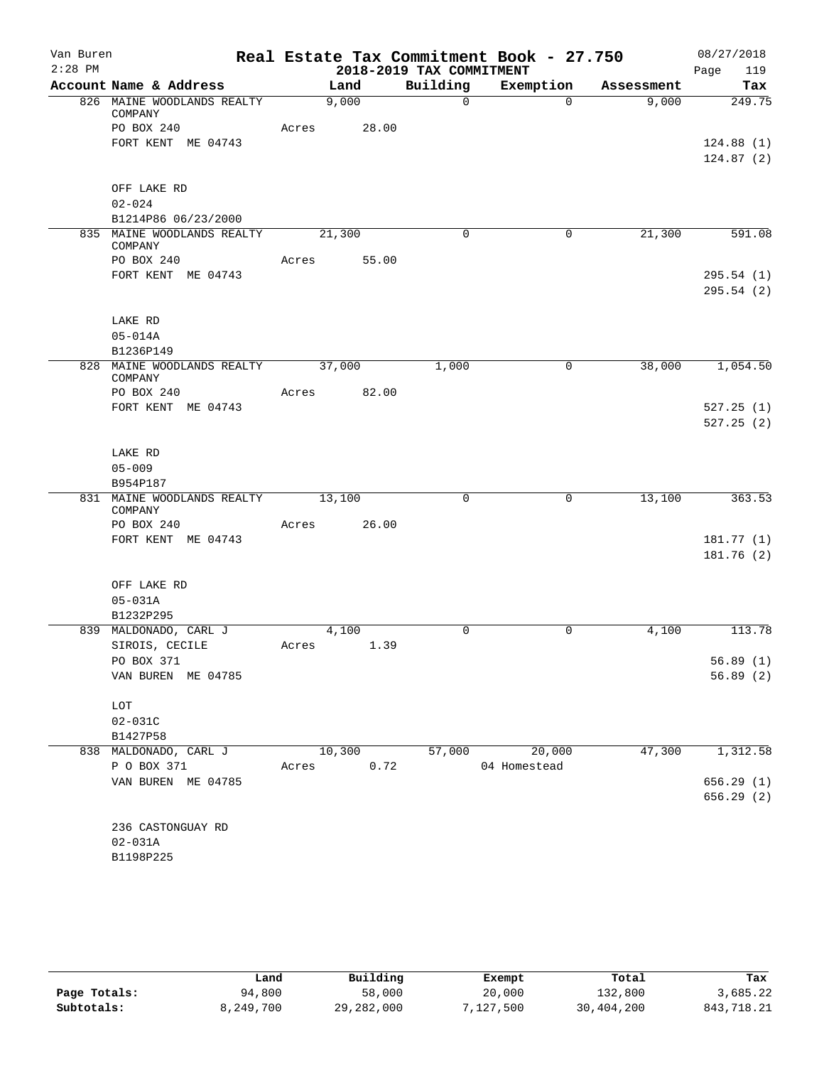| Van Buren |                                       |       |             |                          | Real Estate Tax Commitment Book - 27.750 |            | 08/27/2018             |
|-----------|---------------------------------------|-------|-------------|--------------------------|------------------------------------------|------------|------------------------|
| $2:28$ PM |                                       |       |             | 2018-2019 TAX COMMITMENT |                                          |            | 119<br>Page            |
|           | Account Name & Address                |       | Land        | Building                 | Exemption                                | Assessment | Tax                    |
|           | 826 MAINE WOODLANDS REALTY<br>COMPANY |       | 9,000       | $\Omega$                 | $\Omega$                                 | 9,000      | 249.75                 |
|           | PO BOX 240                            | Acres | 28.00       |                          |                                          |            |                        |
|           | FORT KENT ME 04743                    |       |             |                          |                                          |            | 124.88(1)              |
|           |                                       |       |             |                          |                                          |            | 124.87(2)              |
|           | OFF LAKE RD                           |       |             |                          |                                          |            |                        |
|           | $02 - 024$                            |       |             |                          |                                          |            |                        |
|           | B1214P86 06/23/2000                   |       |             |                          |                                          |            |                        |
|           | 835 MAINE WOODLANDS REALTY            |       | 21,300      | $\Omega$                 | 0                                        | 21,300     | 591.08                 |
|           | COMPANY                               |       |             |                          |                                          |            |                        |
|           | PO BOX 240                            | Acres | 55.00       |                          |                                          |            |                        |
|           | FORT KENT ME 04743                    |       |             |                          |                                          |            | 295.54(1)<br>295.54(2) |
|           |                                       |       |             |                          |                                          |            |                        |
|           | LAKE RD                               |       |             |                          |                                          |            |                        |
|           | $05 - 014A$<br>B1236P149              |       |             |                          |                                          |            |                        |
|           | 828 MAINE WOODLANDS REALTY            |       | 37,000      | 1,000                    | 0                                        | 38,000     | 1,054.50               |
|           | COMPANY                               |       |             |                          |                                          |            |                        |
|           | PO BOX 240                            |       | Acres 82.00 |                          |                                          |            |                        |
|           | FORT KENT ME 04743                    |       |             |                          |                                          |            | 527.25(1)              |
|           |                                       |       |             |                          |                                          |            | 527.25(2)              |
|           | LAKE RD                               |       |             |                          |                                          |            |                        |
|           | $05 - 009$                            |       |             |                          |                                          |            |                        |
|           | B954P187                              |       |             |                          |                                          |            |                        |
|           | 831 MAINE WOODLANDS REALTY<br>COMPANY |       | 13,100      | $\mathbf 0$              | 0                                        | 13,100     | 363.53                 |
|           | PO BOX 240                            | Acres | 26.00       |                          |                                          |            |                        |
|           | FORT KENT ME 04743                    |       |             |                          |                                          |            | 181.77(1)              |
|           |                                       |       |             |                          |                                          |            | 181.76(2)              |
|           | OFF LAKE RD                           |       |             |                          |                                          |            |                        |
|           | $05 - 031A$                           |       |             |                          |                                          |            |                        |
|           | B1232P295                             |       |             |                          |                                          |            |                        |
|           | 839 MALDONADO, CARL J                 |       | 4,100       | 0                        | $\mathbf 0$                              | 4,100      | 113.78                 |
|           | SIROIS, CECILE                        | Acres | 1.39        |                          |                                          |            |                        |
|           | PO BOX 371                            |       |             |                          |                                          |            | 56.89(1)               |
|           | VAN BUREN ME 04785                    |       |             |                          |                                          |            | 56.89(2)               |
|           | LOT                                   |       |             |                          |                                          |            |                        |
|           | $02 - 031C$                           |       |             |                          |                                          |            |                        |
|           | B1427P58                              |       |             |                          |                                          |            |                        |
|           | 838 MALDONADO, CARL J                 |       | 10,300      | 57,000                   | 20,000                                   | 47,300     | 1,312.58               |
|           | P O BOX 371                           | Acres | 0.72        |                          | 04 Homestead                             |            |                        |
|           | VAN BUREN ME 04785                    |       |             |                          |                                          |            | 656.29(1)              |
|           |                                       |       |             |                          |                                          |            | 656.29(2)              |
|           | 236 CASTONGUAY RD                     |       |             |                          |                                          |            |                        |
|           | $02 - 031A$                           |       |             |                          |                                          |            |                        |
|           | B1198P225                             |       |             |                          |                                          |            |                        |
|           |                                       |       |             |                          |                                          |            |                        |

|              | Land      | Building   | Exempt    | Total      | Tax        |
|--------------|-----------|------------|-----------|------------|------------|
| Page Totals: | 94,800    | 58,000     | 20,000    | 132,800    | 3,685.22   |
| Subtotals:   | 8,249,700 | 29,282,000 | 7,127,500 | 30,404,200 | 843,718.21 |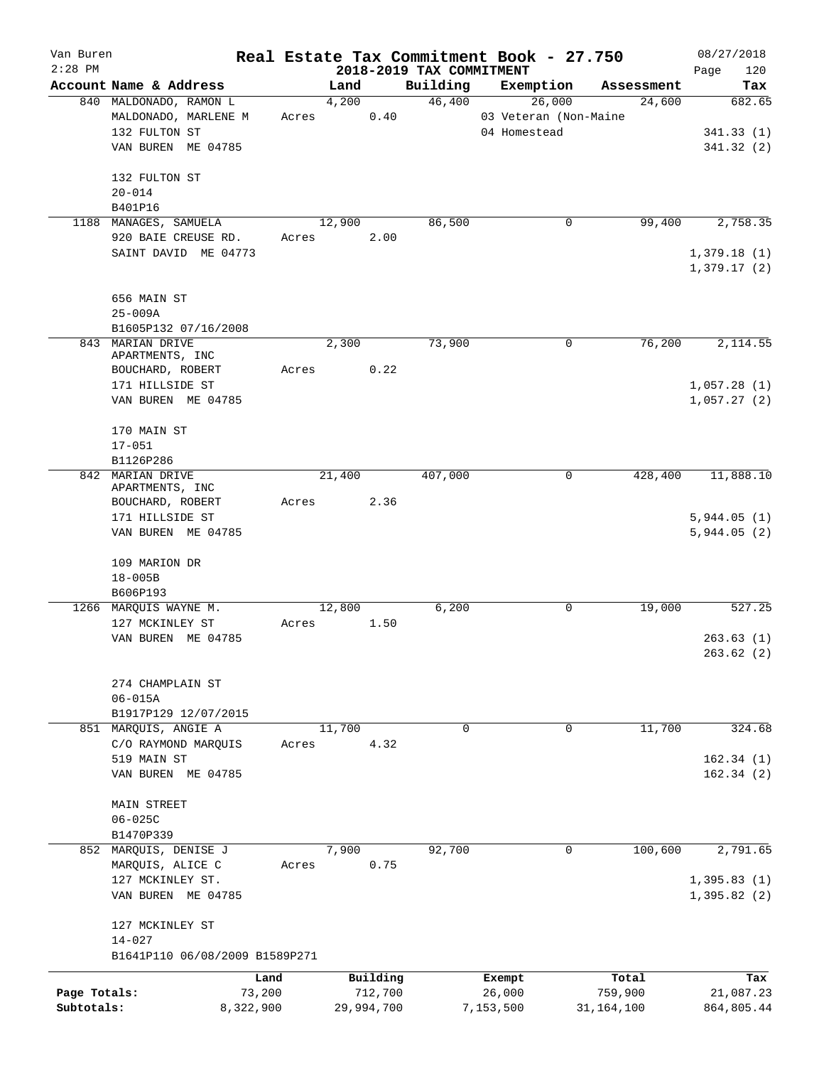| Van Buren    |                                                |           |        |            |                          | Real Estate Tax Commitment Book - 27.750 |              |             | 08/27/2018 |
|--------------|------------------------------------------------|-----------|--------|------------|--------------------------|------------------------------------------|--------------|-------------|------------|
| $2:28$ PM    |                                                |           |        |            | 2018-2019 TAX COMMITMENT |                                          |              | Page        | 120        |
|              | Account Name & Address                         |           | Land   |            | Building                 | Exemption                                | Assessment   |             | Tax        |
|              | 840 MALDONADO, RAMON L<br>MALDONADO, MARLENE M | Acres     | 4,200  | 0.40       | 46,400                   | 26,000<br>03 Veteran (Non-Maine          | 24,600       |             | 682.65     |
|              | 132 FULTON ST                                  |           |        |            |                          | 04 Homestead                             |              |             | 341.33(1)  |
|              | VAN BUREN ME 04785                             |           |        |            |                          |                                          |              |             | 341.32 (2) |
|              |                                                |           |        |            |                          |                                          |              |             |            |
|              | 132 FULTON ST                                  |           |        |            |                          |                                          |              |             |            |
|              | $20 - 014$                                     |           |        |            |                          |                                          |              |             |            |
|              | B401P16                                        |           |        |            |                          |                                          |              |             |            |
|              | 1188 MANAGES, SAMUELA                          |           | 12,900 |            | 86,500                   | 0                                        | 99,400       |             | 2,758.35   |
|              | 920 BAIE CREUSE RD.                            | Acres     |        | 2.00       |                          |                                          |              |             |            |
|              | SAINT DAVID ME 04773                           |           |        |            |                          |                                          |              | 1,379.18(1) |            |
|              |                                                |           |        |            |                          |                                          |              | 1,379.17(2) |            |
|              |                                                |           |        |            |                          |                                          |              |             |            |
|              | 656 MAIN ST                                    |           |        |            |                          |                                          |              |             |            |
|              | $25 - 009A$                                    |           |        |            |                          |                                          |              |             |            |
|              | B1605P132 07/16/2008                           |           |        |            |                          |                                          |              |             |            |
|              | 843 MARIAN DRIVE                               |           | 2,300  |            | 73,900                   | $\mathbf 0$                              | 76,200       |             | 2,114.55   |
|              | APARTMENTS, INC                                |           |        |            |                          |                                          |              |             |            |
|              | BOUCHARD, ROBERT                               | Acres     |        | 0.22       |                          |                                          |              |             |            |
|              | 171 HILLSIDE ST                                |           |        |            |                          |                                          |              | 1,057.28(1) |            |
|              | VAN BUREN ME 04785                             |           |        |            |                          |                                          |              | 1,057.27(2) |            |
|              |                                                |           |        |            |                          |                                          |              |             |            |
|              | 170 MAIN ST                                    |           |        |            |                          |                                          |              |             |            |
|              | $17 - 051$                                     |           |        |            |                          |                                          |              |             |            |
|              | B1126P286                                      |           |        |            |                          |                                          |              |             |            |
|              | 842 MARIAN DRIVE<br>APARTMENTS, INC            |           | 21,400 |            | 407,000                  | $\mathbf 0$                              | 428,400      |             | 11,888.10  |
|              | BOUCHARD, ROBERT                               | Acres     |        | 2.36       |                          |                                          |              |             |            |
|              | 171 HILLSIDE ST                                |           |        |            |                          |                                          |              | 5,944.05(1) |            |
|              | VAN BUREN ME 04785                             |           |        |            |                          |                                          |              | 5,944.05(2) |            |
|              |                                                |           |        |            |                          |                                          |              |             |            |
|              | 109 MARION DR                                  |           |        |            |                          |                                          |              |             |            |
|              | $18 - 005B$                                    |           |        |            |                          |                                          |              |             |            |
|              | B606P193                                       |           |        |            |                          |                                          |              |             |            |
|              | 1266 MARQUIS WAYNE M.                          |           | 12,800 |            | 6,200                    | 0                                        | 19,000       |             | 527.25     |
|              | 127 MCKINLEY ST                                | Acres     |        | 1.50       |                          |                                          |              |             |            |
|              | VAN BUREN ME 04785                             |           |        |            |                          |                                          |              |             | 263.63(1)  |
|              |                                                |           |        |            |                          |                                          |              |             | 263.62(2)  |
|              |                                                |           |        |            |                          |                                          |              |             |            |
|              | 274 CHAMPLAIN ST                               |           |        |            |                          |                                          |              |             |            |
|              | $06 - 015A$                                    |           |        |            |                          |                                          |              |             |            |
|              | B1917P129 12/07/2015                           |           |        |            |                          |                                          |              |             |            |
|              | 851 MARQUIS, ANGIE A                           |           | 11,700 |            | 0                        | 0                                        | 11,700       |             | 324.68     |
|              | C/O RAYMOND MARQUIS                            | Acres     |        | 4.32       |                          |                                          |              |             |            |
|              | 519 MAIN ST                                    |           |        |            |                          |                                          |              |             | 162.34(1)  |
|              | VAN BUREN ME 04785                             |           |        |            |                          |                                          |              |             | 162.34(2)  |
|              |                                                |           |        |            |                          |                                          |              |             |            |
|              | <b>MAIN STREET</b>                             |           |        |            |                          |                                          |              |             |            |
|              | $06 - 025C$                                    |           |        |            |                          |                                          |              |             |            |
|              | B1470P339<br>852 MARQUIS, DENISE J             |           | 7,900  |            | 92,700                   | 0                                        | 100,600      |             | 2,791.65   |
|              | MARQUIS, ALICE C                               | Acres     |        | 0.75       |                          |                                          |              |             |            |
|              | 127 MCKINLEY ST.                               |           |        |            |                          |                                          |              | 1,395.83(1) |            |
|              | VAN BUREN ME 04785                             |           |        |            |                          |                                          |              | 1,395.82(2) |            |
|              |                                                |           |        |            |                          |                                          |              |             |            |
|              | 127 MCKINLEY ST                                |           |        |            |                          |                                          |              |             |            |
|              | $14 - 027$                                     |           |        |            |                          |                                          |              |             |            |
|              | B1641P110 06/08/2009 B1589P271                 |           |        |            |                          |                                          |              |             |            |
|              |                                                |           |        |            |                          |                                          |              |             |            |
|              |                                                | Land      |        | Building   |                          | Exempt                                   | Total        |             | Tax        |
| Page Totals: |                                                | 73,200    |        | 712,700    |                          | 26,000                                   | 759,900      |             | 21,087.23  |
| Subtotals:   |                                                | 8,322,900 |        | 29,994,700 |                          | 7,153,500                                | 31, 164, 100 |             | 864,805.44 |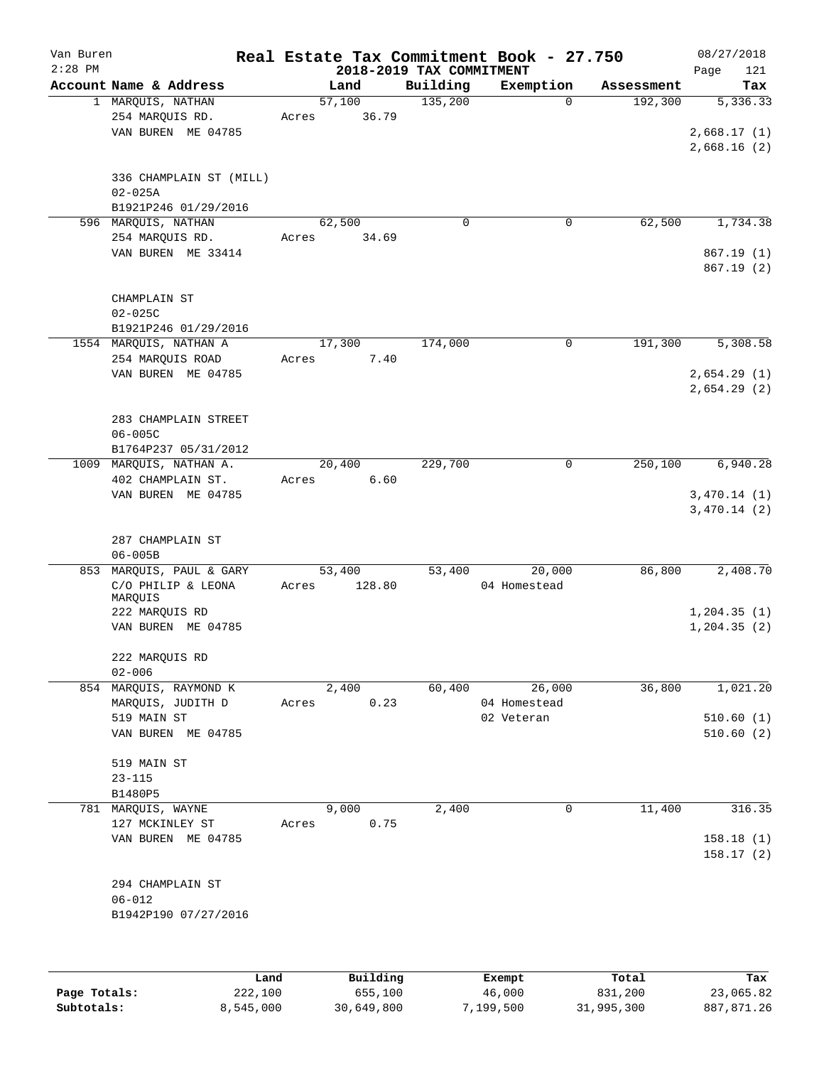| Van Buren<br>$2:28$ PM |                                            |      |                           | 2018-2019 TAX COMMITMENT | Real Estate Tax Commitment Book - 27.750 |            | 08/27/2018<br>121<br>Page |
|------------------------|--------------------------------------------|------|---------------------------|--------------------------|------------------------------------------|------------|---------------------------|
|                        | Account Name & Address                     |      | Land                      | Building                 | Exemption                                | Assessment | Tax                       |
|                        | 1 MARQUIS, NATHAN                          |      | 57,100                    | 135,200                  | $\Omega$                                 | 192,300    | 5,336.33                  |
|                        | 254 MARQUIS RD.                            |      | 36.79<br>Acres            |                          |                                          |            |                           |
|                        | VAN BUREN ME 04785                         |      |                           |                          |                                          |            | 2,668.17(1)               |
|                        |                                            |      |                           |                          |                                          |            | 2,668.16(2)               |
|                        | 336 CHAMPLAIN ST (MILL)                    |      |                           |                          |                                          |            |                           |
|                        | $02 - 025A$                                |      |                           |                          |                                          |            |                           |
|                        | B1921P246 01/29/2016                       |      |                           |                          |                                          |            |                           |
|                        | 596 MARQUIS, NATHAN                        |      | 62,500                    | $\mathbf 0$              | 0                                        | 62,500     | 1,734.38                  |
|                        | 254 MARQUIS RD.                            |      | 34.69<br>Acres            |                          |                                          |            |                           |
|                        | VAN BUREN ME 33414                         |      |                           |                          |                                          |            | 867.19(1)                 |
|                        |                                            |      |                           |                          |                                          |            | 867.19(2)                 |
|                        | CHAMPLAIN ST                               |      |                           |                          |                                          |            |                           |
|                        | $02 - 025C$                                |      |                           |                          |                                          |            |                           |
|                        | B1921P246 01/29/2016                       |      |                           |                          |                                          |            |                           |
|                        | 1554 MARQUIS, NATHAN A                     |      | 17,300                    | 174,000                  | 0                                        | 191,300    | 5,308.58                  |
|                        | 254 MARQUIS ROAD                           |      | 7.40<br>Acres             |                          |                                          |            |                           |
|                        | VAN BUREN ME 04785                         |      |                           |                          |                                          |            | 2,654.29(1)               |
|                        |                                            |      |                           |                          |                                          |            | 2,654.29(2)               |
|                        |                                            |      |                           |                          |                                          |            |                           |
|                        | 283 CHAMPLAIN STREET                       |      |                           |                          |                                          |            |                           |
|                        | $06 - 005C$<br>B1764P237 05/31/2012        |      |                           |                          |                                          |            |                           |
|                        | 1009 MARQUIS, NATHAN A.                    |      | 20,400                    | 229,700                  | 0                                        | 250,100    | 6,940.28                  |
|                        | 402 CHAMPLAIN ST.                          |      | 6.60<br>Acres             |                          |                                          |            |                           |
|                        | VAN BUREN ME 04785                         |      |                           |                          |                                          |            | 3,470.14(1)               |
|                        |                                            |      |                           |                          |                                          |            | 3,470.14(2)               |
|                        |                                            |      |                           |                          |                                          |            |                           |
|                        | 287 CHAMPLAIN ST                           |      |                           |                          |                                          |            |                           |
|                        | $06 - 005B$                                |      |                           |                          |                                          |            |                           |
| 853                    | MARQUIS, PAUL & GARY<br>C/O PHILIP & LEONA |      | 53,400<br>128.80<br>Acres | 53,400                   | 20,000<br>04 Homestead                   | 86,800     | 2,408.70                  |
|                        | MARQUIS                                    |      |                           |                          |                                          |            |                           |
|                        | 222 MARQUIS RD                             |      |                           |                          |                                          |            | 1, 204.35(1)              |
|                        | VAN BUREN ME 04785                         |      |                           |                          |                                          |            | 1, 204.35(2)              |
|                        |                                            |      |                           |                          |                                          |            |                           |
|                        | 222 MARQUIS RD                             |      |                           |                          |                                          |            |                           |
|                        | $02 - 006$<br>854 MARQUIS, RAYMOND K       |      | 2,400                     | 60,400                   | 26,000                                   | 36,800     | 1,021.20                  |
|                        | MARQUIS, JUDITH D                          |      | 0.23<br>Acres             |                          | 04 Homestead                             |            |                           |
|                        | 519 MAIN ST                                |      |                           |                          | 02 Veteran                               |            | 510.60(1)                 |
|                        | VAN BUREN ME 04785                         |      |                           |                          |                                          |            | 510.60(2)                 |
|                        |                                            |      |                           |                          |                                          |            |                           |
|                        | 519 MAIN ST                                |      |                           |                          |                                          |            |                           |
|                        | $23 - 115$                                 |      |                           |                          |                                          |            |                           |
|                        | B1480P5                                    |      |                           |                          |                                          |            |                           |
|                        | 781 MARQUIS, WAYNE                         |      | 9,000                     | 2,400                    | 0                                        | 11,400     | 316.35                    |
|                        | 127 MCKINLEY ST<br>VAN BUREN ME 04785      |      | 0.75<br>Acres             |                          |                                          |            | 158.18(1)                 |
|                        |                                            |      |                           |                          |                                          |            | 158.17(2)                 |
|                        |                                            |      |                           |                          |                                          |            |                           |
|                        | 294 CHAMPLAIN ST                           |      |                           |                          |                                          |            |                           |
|                        | $06 - 012$                                 |      |                           |                          |                                          |            |                           |
|                        | B1942P190 07/27/2016                       |      |                           |                          |                                          |            |                           |
|                        |                                            |      |                           |                          |                                          |            |                           |
|                        |                                            |      |                           |                          |                                          |            |                           |
|                        |                                            |      |                           |                          |                                          |            |                           |
|                        |                                            | Land | Building                  |                          | Exempt                                   | Total      | Tax                       |

|              | Land      | Building   | Exempt    | Total      | Tax        |
|--------------|-----------|------------|-----------|------------|------------|
| Page Totals: | 222,100   | 655,100    | 46,000    | 831,200    | 23,065.82  |
| Subtotals:   | 8.545.000 | 30,649,800 | 7,199,500 | 31,995,300 | 887,871.26 |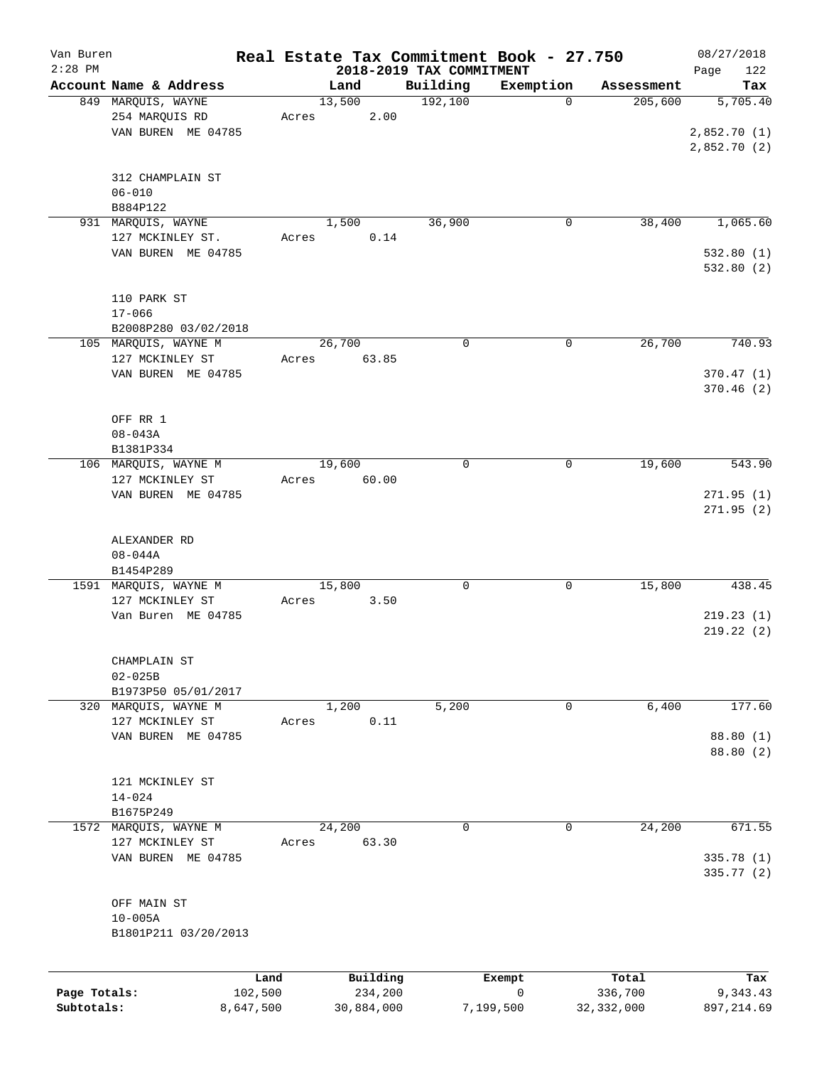| Van Buren    |                        |         |            |                          | Real Estate Tax Commitment Book - 27.750 |              | 08/27/2018  |
|--------------|------------------------|---------|------------|--------------------------|------------------------------------------|--------------|-------------|
| $2:28$ PM    |                        |         |            | 2018-2019 TAX COMMITMENT |                                          |              | 122<br>Page |
|              | Account Name & Address |         | Land       | Building                 | Exemption                                | Assessment   | Tax         |
|              | 849 MARQUIS, WAYNE     |         | 13,500     | 192,100                  | $\mathbf 0$                              | 205,600      | 5,705.40    |
|              | 254 MARQUIS RD         | Acres   | 2.00       |                          |                                          |              |             |
|              | VAN BUREN ME 04785     |         |            |                          |                                          |              | 2,852.70(1) |
|              |                        |         |            |                          |                                          |              | 2,852.70(2) |
|              |                        |         |            |                          |                                          |              |             |
|              | 312 CHAMPLAIN ST       |         |            |                          |                                          |              |             |
|              | $06 - 010$             |         |            |                          |                                          |              |             |
|              | B884P122               |         |            |                          |                                          |              |             |
|              | 931 MARQUIS, WAYNE     |         | 1,500      | 36,900                   | 0                                        | 38,400       | 1,065.60    |
|              | 127 MCKINLEY ST.       | Acres   | 0.14       |                          |                                          |              |             |
|              |                        |         |            |                          |                                          |              |             |
|              | VAN BUREN ME 04785     |         |            |                          |                                          |              | 532.80(1)   |
|              |                        |         |            |                          |                                          |              | 532.80(2)   |
|              |                        |         |            |                          |                                          |              |             |
|              | 110 PARK ST            |         |            |                          |                                          |              |             |
|              | $17 - 066$             |         |            |                          |                                          |              |             |
|              | B2008P280 03/02/2018   |         |            |                          |                                          |              |             |
|              | 105 MARQUIS, WAYNE M   |         | 26,700     | 0                        | 0                                        | 26,700       | 740.93      |
|              | 127 MCKINLEY ST        | Acres   | 63.85      |                          |                                          |              |             |
|              | VAN BUREN ME 04785     |         |            |                          |                                          |              | 370.47(1)   |
|              |                        |         |            |                          |                                          |              | 370.46(2)   |
|              |                        |         |            |                          |                                          |              |             |
|              |                        |         |            |                          |                                          |              |             |
|              | OFF RR 1               |         |            |                          |                                          |              |             |
|              | $08 - 043A$            |         |            |                          |                                          |              |             |
|              | B1381P334              |         |            |                          |                                          |              |             |
|              | 106 MARQUIS, WAYNE M   |         | 19,600     | 0                        | 0                                        | 19,600       | 543.90      |
|              | 127 MCKINLEY ST        | Acres   | 60.00      |                          |                                          |              |             |
|              | VAN BUREN ME 04785     |         |            |                          |                                          |              | 271.95(1)   |
|              |                        |         |            |                          |                                          |              | 271.95(2)   |
|              |                        |         |            |                          |                                          |              |             |
|              | ALEXANDER RD           |         |            |                          |                                          |              |             |
|              | $08 - 044A$            |         |            |                          |                                          |              |             |
|              | B1454P289              |         |            |                          |                                          |              |             |
|              | 1591 MARQUIS, WAYNE M  |         | 15,800     | 0                        | 0                                        | 15,800       | 438.45      |
|              | 127 MCKINLEY ST        | Acres   | 3.50       |                          |                                          |              |             |
|              |                        |         |            |                          |                                          |              |             |
|              | Van Buren ME 04785     |         |            |                          |                                          |              | 219.23(1)   |
|              |                        |         |            |                          |                                          |              | 219.22(2)   |
|              |                        |         |            |                          |                                          |              |             |
|              | CHAMPLAIN ST           |         |            |                          |                                          |              |             |
|              | $02 - 025B$            |         |            |                          |                                          |              |             |
|              | B1973P50 05/01/2017    |         |            |                          |                                          |              |             |
|              | 320 MARQUIS, WAYNE M   |         | 1,200      | 5,200                    | 0                                        | 6,400        | 177.60      |
|              | 127 MCKINLEY ST        | Acres   | 0.11       |                          |                                          |              |             |
|              | VAN BUREN ME 04785     |         |            |                          |                                          |              | 88.80 (1)   |
|              |                        |         |            |                          |                                          |              | 88.80 (2)   |
|              |                        |         |            |                          |                                          |              |             |
|              | 121 MCKINLEY ST        |         |            |                          |                                          |              |             |
|              |                        |         |            |                          |                                          |              |             |
|              | $14 - 024$             |         |            |                          |                                          |              |             |
|              | B1675P249              |         |            |                          |                                          |              |             |
|              | 1572 MARQUIS, WAYNE M  |         | 24,200     | 0                        | $\mathbf 0$                              | 24,200       | 671.55      |
|              | 127 MCKINLEY ST        | Acres   | 63.30      |                          |                                          |              |             |
|              | VAN BUREN ME 04785     |         |            |                          |                                          |              | 335.78 (1)  |
|              |                        |         |            |                          |                                          |              | 335.77 (2)  |
|              |                        |         |            |                          |                                          |              |             |
|              | OFF MAIN ST            |         |            |                          |                                          |              |             |
|              | $10 - 005A$            |         |            |                          |                                          |              |             |
|              | B1801P211 03/20/2013   |         |            |                          |                                          |              |             |
|              |                        |         |            |                          |                                          |              |             |
|              |                        |         |            |                          |                                          |              |             |
|              |                        | Land    | Building   |                          | Exempt                                   | Total        | Tax         |
| Page Totals: |                        | 102,500 | 234,200    |                          | 0                                        | 336,700      | 9,343.43    |
| Subtotals:   | 8,647,500              |         | 30,884,000 |                          | 7,199,500                                | 32, 332, 000 | 897, 214.69 |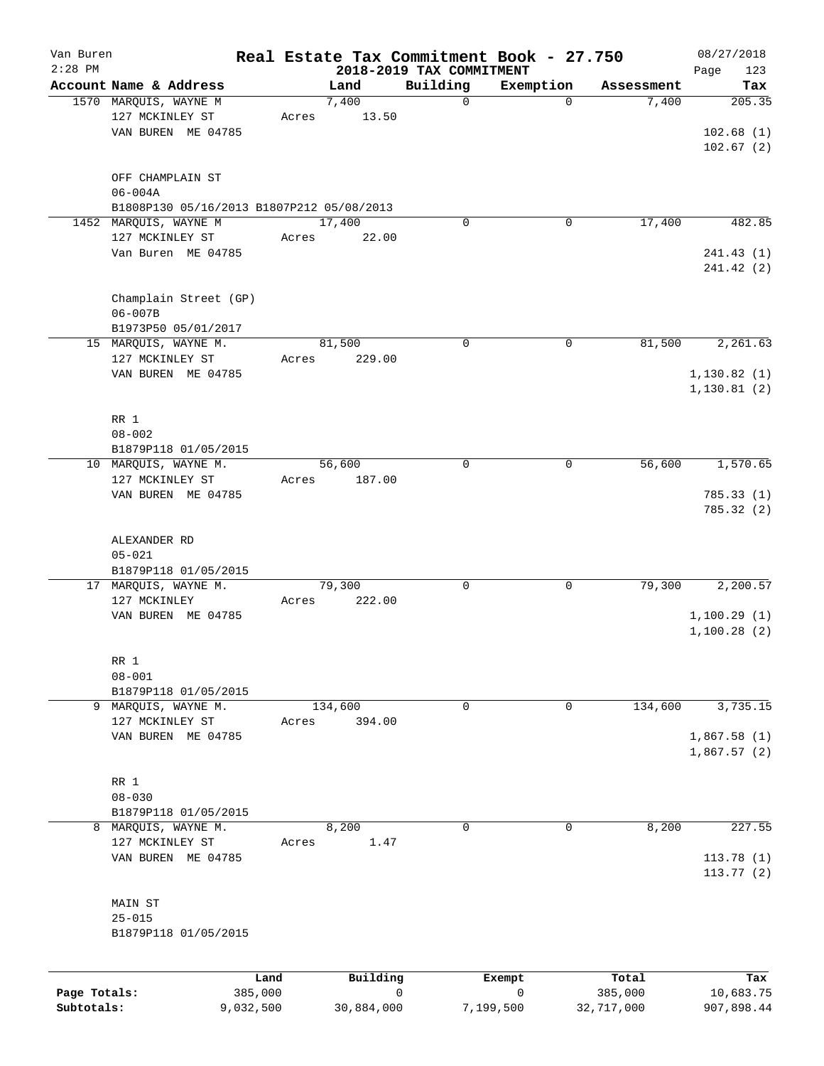| Van Buren<br>$2:28$ PM |                                           | Real Estate Tax Commitment Book - 27.750 |                                      |             |            | 08/27/2018         |
|------------------------|-------------------------------------------|------------------------------------------|--------------------------------------|-------------|------------|--------------------|
|                        | Account Name & Address                    | Land                                     | 2018-2019 TAX COMMITMENT<br>Building | Exemption   | Assessment | 123<br>Page<br>Tax |
|                        | 1570 MARQUIS, WAYNE M                     | 7,400                                    | 0                                    | $\mathbf 0$ | 7,400      | 205.35             |
|                        | 127 MCKINLEY ST                           | 13.50<br>Acres                           |                                      |             |            |                    |
|                        | VAN BUREN ME 04785                        |                                          |                                      |             |            | 102.68(1)          |
|                        |                                           |                                          |                                      |             |            | 102.67(2)          |
|                        |                                           |                                          |                                      |             |            |                    |
|                        | OFF CHAMPLAIN ST                          |                                          |                                      |             |            |                    |
|                        | $06 - 004A$                               |                                          |                                      |             |            |                    |
|                        |                                           |                                          |                                      |             |            |                    |
|                        | B1808P130 05/16/2013 B1807P212 05/08/2013 |                                          | 0                                    |             | 17,400     |                    |
|                        | 1452 MARQUIS, WAYNE M                     | 17,400                                   |                                      | 0           |            | 482.85             |
|                        | 127 MCKINLEY ST                           | 22.00<br>Acres                           |                                      |             |            |                    |
|                        | Van Buren ME 04785                        |                                          |                                      |             |            | 241.43(1)          |
|                        |                                           |                                          |                                      |             |            | 241.42 (2)         |
|                        |                                           |                                          |                                      |             |            |                    |
|                        | Champlain Street (GP)                     |                                          |                                      |             |            |                    |
|                        | $06 - 007B$                               |                                          |                                      |             |            |                    |
|                        | B1973P50 05/01/2017                       |                                          |                                      |             |            |                    |
|                        | 15 MARQUIS, WAYNE M.                      | 81,500                                   | 0                                    | 0           | 81,500     | 2,261.63           |
|                        | 127 MCKINLEY ST                           | 229.00<br>Acres                          |                                      |             |            |                    |
|                        | VAN BUREN ME 04785                        |                                          |                                      |             |            | 1, 130.82(1)       |
|                        |                                           |                                          |                                      |             |            | 1,130.81(2)        |
|                        |                                           |                                          |                                      |             |            |                    |
|                        | RR 1                                      |                                          |                                      |             |            |                    |
|                        | $08 - 002$                                |                                          |                                      |             |            |                    |
|                        | B1879P118 01/05/2015                      |                                          |                                      |             |            |                    |
|                        | 10 MARQUIS, WAYNE M.                      | 56,600                                   | $\mathbf 0$                          | 0           | 56,600     | 1,570.65           |
|                        | 127 MCKINLEY ST                           | 187.00                                   |                                      |             |            |                    |
|                        |                                           | Acres                                    |                                      |             |            |                    |
|                        | VAN BUREN ME 04785                        |                                          |                                      |             |            | 785.33(1)          |
|                        |                                           |                                          |                                      |             |            | 785.32 (2)         |
|                        |                                           |                                          |                                      |             |            |                    |
|                        | ALEXANDER RD                              |                                          |                                      |             |            |                    |
|                        | $05 - 021$                                |                                          |                                      |             |            |                    |
|                        | B1879P118 01/05/2015                      |                                          |                                      |             |            |                    |
|                        | 17 MARQUIS, WAYNE M.                      | 79,300                                   | 0                                    | 0           | 79,300     | 2,200.57           |
|                        | 127 MCKINLEY                              | 222.00<br>Acres                          |                                      |             |            |                    |
|                        | VAN BUREN ME 04785                        |                                          |                                      |             |            | 1,100.29(1)        |
|                        |                                           |                                          |                                      |             |            | 1,100.28(2)        |
|                        |                                           |                                          |                                      |             |            |                    |
|                        | RR 1                                      |                                          |                                      |             |            |                    |
|                        | $08 - 001$                                |                                          |                                      |             |            |                    |
|                        | B1879P118 01/05/2015                      |                                          |                                      |             |            |                    |
| 9                      | MARQUIS, WAYNE M.                         | 134,600                                  | 0                                    | 0           | 134,600    | 3,735.15           |
|                        | 127 MCKINLEY ST                           | Acres<br>394.00                          |                                      |             |            |                    |
|                        | VAN BUREN ME 04785                        |                                          |                                      |             |            | 1,867.58(1)        |
|                        |                                           |                                          |                                      |             |            | 1,867.57(2)        |
|                        |                                           |                                          |                                      |             |            |                    |
|                        | RR 1                                      |                                          |                                      |             |            |                    |
|                        | $08 - 030$                                |                                          |                                      |             |            |                    |
|                        | B1879P118 01/05/2015                      |                                          |                                      |             |            |                    |
| 8                      | MARQUIS, WAYNE M.                         | 8,200                                    | $\Omega$                             | 0           | 8,200      | 227.55             |
|                        | 127 MCKINLEY ST                           | 1.47<br>Acres                            |                                      |             |            |                    |
|                        | VAN BUREN ME 04785                        |                                          |                                      |             |            | 113.78 (1)         |
|                        |                                           |                                          |                                      |             |            | 113.77(2)          |
|                        |                                           |                                          |                                      |             |            |                    |
|                        |                                           |                                          |                                      |             |            |                    |
|                        | MAIN ST                                   |                                          |                                      |             |            |                    |
|                        | $25 - 015$                                |                                          |                                      |             |            |                    |
|                        | B1879P118 01/05/2015                      |                                          |                                      |             |            |                    |
|                        |                                           |                                          |                                      |             |            |                    |
|                        |                                           |                                          |                                      |             |            |                    |
|                        |                                           | Building<br>Land                         |                                      | Exempt      | Total      | Tax                |
| Page Totals:           | 385,000                                   |                                          | 0                                    | 0           | 385,000    | 10,683.75          |

**Subtotals:** 9,032,500 30,884,000 7,199,500 32,717,000 907,898.44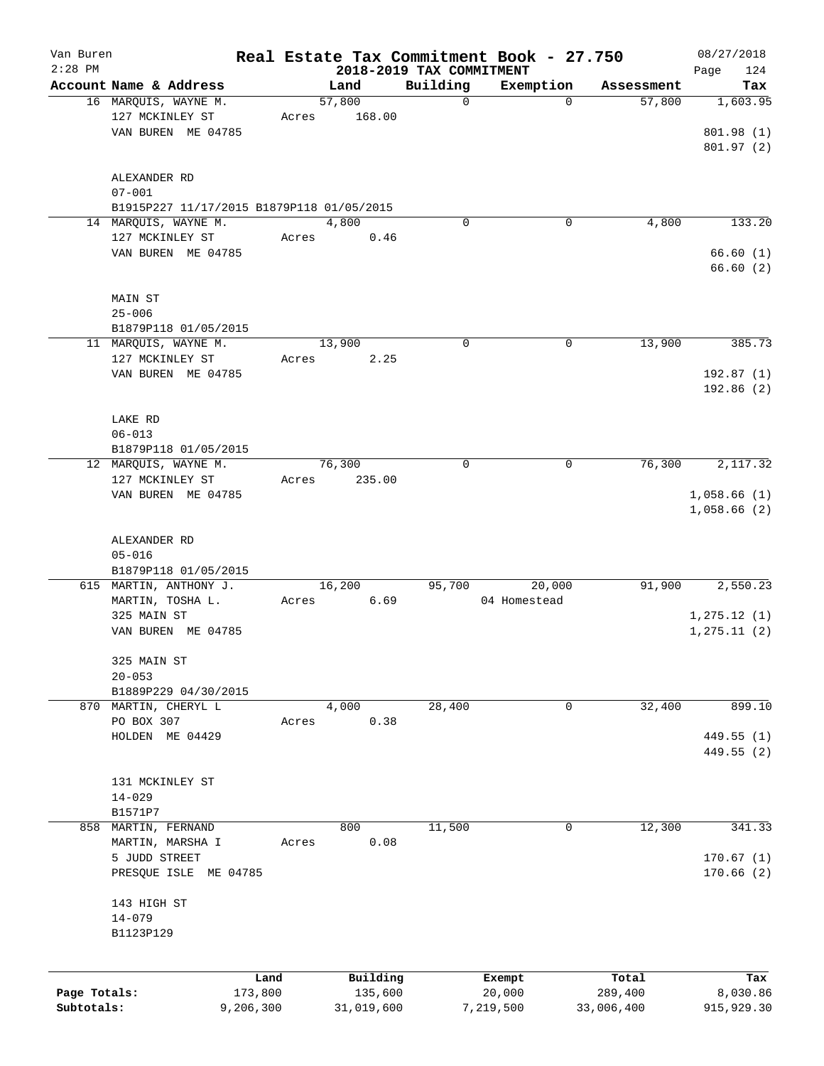| Van Buren    |                                           |       |            |                          | Real Estate Tax Commitment Book - 27.750 |            | 08/27/2018   |
|--------------|-------------------------------------------|-------|------------|--------------------------|------------------------------------------|------------|--------------|
| $2:28$ PM    |                                           |       |            | 2018-2019 TAX COMMITMENT |                                          |            | 124<br>Page  |
|              | Account Name & Address                    |       | Land       | Building                 | Exemption                                | Assessment | Tax          |
|              | 16 MARQUIS, WAYNE M.                      |       | 57,800     | $\mathbf 0$              | $\mathbf 0$                              | 57,800     | 1,603.95     |
|              | 127 MCKINLEY ST                           | Acres | 168.00     |                          |                                          |            |              |
|              | VAN BUREN ME 04785                        |       |            |                          |                                          |            | 801.98 (1)   |
|              |                                           |       |            |                          |                                          |            | 801.97(2)    |
|              |                                           |       |            |                          |                                          |            |              |
|              | ALEXANDER RD                              |       |            |                          |                                          |            |              |
|              | $07 - 001$                                |       |            |                          |                                          |            |              |
|              | B1915P227 11/17/2015 B1879P118 01/05/2015 |       |            |                          |                                          |            |              |
|              | 14 MARQUIS, WAYNE M.                      |       | 4,800      | 0                        | 0                                        | 4,800      | 133.20       |
|              | 127 MCKINLEY ST                           | Acres | 0.46       |                          |                                          |            |              |
|              | VAN BUREN ME 04785                        |       |            |                          |                                          |            | 66.60(1)     |
|              |                                           |       |            |                          |                                          |            | 66.60(2)     |
|              |                                           |       |            |                          |                                          |            |              |
|              | MAIN ST                                   |       |            |                          |                                          |            |              |
|              | $25 - 006$                                |       |            |                          |                                          |            |              |
|              | B1879P118 01/05/2015                      |       |            |                          |                                          |            |              |
|              | 11 MARQUIS, WAYNE M.                      |       | 13,900     | 0                        | 0                                        | 13,900     | 385.73       |
|              |                                           |       |            |                          |                                          |            |              |
|              | 127 MCKINLEY ST                           | Acres | 2.25       |                          |                                          |            |              |
|              | VAN BUREN ME 04785                        |       |            |                          |                                          |            | 192.87 (1)   |
|              |                                           |       |            |                          |                                          |            | 192.86(2)    |
|              |                                           |       |            |                          |                                          |            |              |
|              | LAKE RD                                   |       |            |                          |                                          |            |              |
|              | $06 - 013$                                |       |            |                          |                                          |            |              |
|              | B1879P118 01/05/2015                      |       |            |                          |                                          |            |              |
|              | 12 MARQUIS, WAYNE M.                      |       | 76,300     | 0                        | 0                                        | 76,300     | 2,117.32     |
|              | 127 MCKINLEY ST                           | Acres | 235.00     |                          |                                          |            |              |
|              | VAN BUREN ME 04785                        |       |            |                          |                                          |            | 1,058.66(1)  |
|              |                                           |       |            |                          |                                          |            | 1,058.66(2)  |
|              |                                           |       |            |                          |                                          |            |              |
|              |                                           |       |            |                          |                                          |            |              |
|              | ALEXANDER RD                              |       |            |                          |                                          |            |              |
|              | $05 - 016$                                |       |            |                          |                                          |            |              |
|              | B1879P118 01/05/2015                      |       |            |                          |                                          |            |              |
|              | 615 MARTIN, ANTHONY J.                    |       | 16,200     | 95,700                   | 20,000                                   | 91,900     | 2,550.23     |
|              | MARTIN, TOSHA L.                          | Acres | 6.69       |                          | 04 Homestead                             |            |              |
|              | 325 MAIN ST                               |       |            |                          |                                          |            | 1, 275.12(1) |
|              | VAN BUREN ME 04785                        |       |            |                          |                                          |            | 1, 275.11(2) |
|              |                                           |       |            |                          |                                          |            |              |
|              | 325 MAIN ST                               |       |            |                          |                                          |            |              |
|              | $20 - 053$                                |       |            |                          |                                          |            |              |
|              | B1889P229 04/30/2015                      |       |            |                          |                                          |            |              |
|              | 870 MARTIN, CHERYL L                      |       | 4,000      | 28,400                   | 0                                        | 32,400     | 899.10       |
|              | PO BOX 307                                | Acres | 0.38       |                          |                                          |            |              |
|              | HOLDEN ME 04429                           |       |            |                          |                                          |            | 449.55 (1)   |
|              |                                           |       |            |                          |                                          |            |              |
|              |                                           |       |            |                          |                                          |            | 449.55 (2)   |
|              |                                           |       |            |                          |                                          |            |              |
|              | 131 MCKINLEY ST                           |       |            |                          |                                          |            |              |
|              | $14 - 029$                                |       |            |                          |                                          |            |              |
|              | B1571P7                                   |       |            |                          |                                          |            |              |
|              | 858 MARTIN, FERNAND                       |       | 800        | 11,500                   | 0                                        | 12,300     | 341.33       |
|              | MARTIN, MARSHA I                          | Acres | 0.08       |                          |                                          |            |              |
|              | 5 JUDD STREET                             |       |            |                          |                                          |            | 170.67(1)    |
|              | PRESQUE ISLE<br>ME 04785                  |       |            |                          |                                          |            | 170.66(2)    |
|              |                                           |       |            |                          |                                          |            |              |
|              | 143 HIGH ST                               |       |            |                          |                                          |            |              |
|              | $14 - 079$                                |       |            |                          |                                          |            |              |
|              | B1123P129                                 |       |            |                          |                                          |            |              |
|              |                                           |       |            |                          |                                          |            |              |
|              |                                           |       |            |                          |                                          |            |              |
|              |                                           | Land  | Building   |                          | Exempt                                   | Total      | Tax          |
| Page Totals: | 173,800                                   |       | 135,600    |                          | 20,000                                   | 289,400    | 8,030.86     |
| Subtotals:   | 9,206,300                                 |       | 31,019,600 |                          | 7,219,500                                | 33,006,400 | 915,929.30   |
|              |                                           |       |            |                          |                                          |            |              |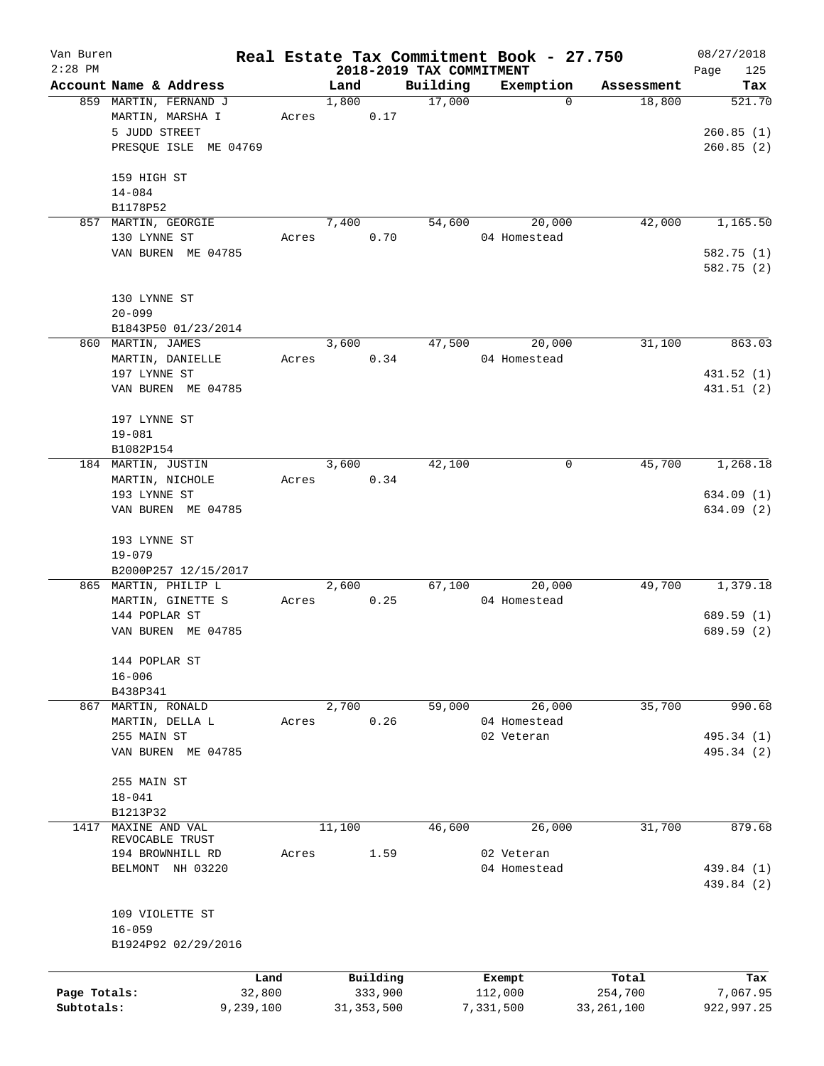| Van Buren    |                        |       |        |              |                                      | Real Estate Tax Commitment Book - 27.750 |              | 08/27/2018         |
|--------------|------------------------|-------|--------|--------------|--------------------------------------|------------------------------------------|--------------|--------------------|
| $2:28$ PM    | Account Name & Address |       | Land   |              | 2018-2019 TAX COMMITMENT<br>Building | Exemption                                | Assessment   | 125<br>Page<br>Tax |
|              | 859 MARTIN, FERNAND J  |       | 1,800  |              | 17,000                               | $\Omega$                                 | 18,800       | 521.70             |
|              | MARTIN, MARSHA I       | Acres |        | 0.17         |                                      |                                          |              |                    |
|              | 5 JUDD STREET          |       |        |              |                                      |                                          |              | 260.85(1)          |
|              | PRESQUE ISLE ME 04769  |       |        |              |                                      |                                          |              | 260.85(2)          |
|              |                        |       |        |              |                                      |                                          |              |                    |
|              | 159 HIGH ST            |       |        |              |                                      |                                          |              |                    |
|              | $14 - 084$             |       |        |              |                                      |                                          |              |                    |
|              | B1178P52               |       |        |              |                                      |                                          |              |                    |
| 857          | MARTIN, GEORGIE        |       | 7,400  |              | 54,600                               | 20,000                                   | 42,000       | 1,165.50           |
|              | 130 LYNNE ST           | Acres |        | 0.70         |                                      | 04 Homestead                             |              |                    |
|              | VAN BUREN ME 04785     |       |        |              |                                      |                                          |              | 582.75 (1)         |
|              |                        |       |        |              |                                      |                                          |              | 582.75 (2)         |
|              |                        |       |        |              |                                      |                                          |              |                    |
|              | 130 LYNNE ST           |       |        |              |                                      |                                          |              |                    |
|              | $20 - 099$             |       |        |              |                                      |                                          |              |                    |
|              | B1843P50 01/23/2014    |       |        |              |                                      |                                          |              |                    |
|              | 860 MARTIN, JAMES      |       | 3,600  |              | 47,500                               | 20,000                                   | 31,100       | 863.03             |
|              | MARTIN, DANIELLE       | Acres |        | 0.34         |                                      | 04 Homestead                             |              |                    |
|              | 197 LYNNE ST           |       |        |              |                                      |                                          |              | 431.52 (1)         |
|              | VAN BUREN ME 04785     |       |        |              |                                      |                                          |              | 431.51 (2)         |
|              |                        |       |        |              |                                      |                                          |              |                    |
|              | 197 LYNNE ST           |       |        |              |                                      |                                          |              |                    |
|              | $19 - 081$             |       |        |              |                                      |                                          |              |                    |
|              | B1082P154              |       |        |              |                                      |                                          |              |                    |
|              | 184 MARTIN, JUSTIN     |       | 3,600  |              | 42,100                               | 0                                        | 45,700       | 1,268.18           |
|              | MARTIN, NICHOLE        | Acres |        | 0.34         |                                      |                                          |              |                    |
|              | 193 LYNNE ST           |       |        |              |                                      |                                          |              | 634.09(1)          |
|              | VAN BUREN ME 04785     |       |        |              |                                      |                                          |              | 634.09 (2)         |
|              |                        |       |        |              |                                      |                                          |              |                    |
|              | 193 LYNNE ST           |       |        |              |                                      |                                          |              |                    |
|              | $19 - 079$             |       |        |              |                                      |                                          |              |                    |
|              | B2000P257 12/15/2017   |       |        |              |                                      |                                          |              |                    |
|              | 865 MARTIN, PHILIP L   |       | 2,600  |              | 67,100                               | 20,000                                   | 49,700       | 1,379.18           |
|              | MARTIN, GINETTE S      | Acres |        | 0.25         |                                      | 04 Homestead                             |              |                    |
|              | 144 POPLAR ST          |       |        |              |                                      |                                          |              | 689.59 (1)         |
|              | VAN BUREN ME 04785     |       |        |              |                                      |                                          |              | 689.59 (2)         |
|              |                        |       |        |              |                                      |                                          |              |                    |
|              | 144 POPLAR ST          |       |        |              |                                      |                                          |              |                    |
|              | $16 - 006$<br>B438P341 |       |        |              |                                      |                                          |              |                    |
|              | 867 MARTIN, RONALD     |       | 2,700  |              | 59,000                               | 26,000                                   | 35,700       | 990.68             |
|              | MARTIN, DELLA L        | Acres |        | 0.26         |                                      | 04 Homestead                             |              |                    |
|              | 255 MAIN ST            |       |        |              |                                      | 02 Veteran                               |              | 495.34 (1)         |
|              | VAN BUREN ME 04785     |       |        |              |                                      |                                          |              | 495.34 (2)         |
|              |                        |       |        |              |                                      |                                          |              |                    |
|              | 255 MAIN ST            |       |        |              |                                      |                                          |              |                    |
|              | $18 - 041$             |       |        |              |                                      |                                          |              |                    |
|              | B1213P32               |       |        |              |                                      |                                          |              |                    |
| 1417         | MAXINE AND VAL         |       | 11,100 |              | 46,600                               | 26,000                                   | 31,700       | 879.68             |
|              | REVOCABLE TRUST        |       |        |              |                                      |                                          |              |                    |
|              | 194 BROWNHILL RD       | Acres |        | 1.59         |                                      | 02 Veteran                               |              |                    |
|              | NH 03220<br>BELMONT    |       |        |              |                                      | 04 Homestead                             |              | 439.84 (1)         |
|              |                        |       |        |              |                                      |                                          |              | 439.84 (2)         |
|              |                        |       |        |              |                                      |                                          |              |                    |
|              | 109 VIOLETTE ST        |       |        |              |                                      |                                          |              |                    |
|              | $16 - 059$             |       |        |              |                                      |                                          |              |                    |
|              | B1924P92 02/29/2016    |       |        |              |                                      |                                          |              |                    |
|              |                        |       |        |              |                                      |                                          |              |                    |
|              |                        | Land  |        | Building     |                                      | Exempt                                   | Total        | Tax                |
| Page Totals: | 32,800                 |       |        | 333,900      |                                      | 112,000                                  | 254,700      | 7,067.95           |
| Subtotals:   | 9,239,100              |       |        | 31, 353, 500 |                                      | 7,331,500                                | 33, 261, 100 | 922,997.25         |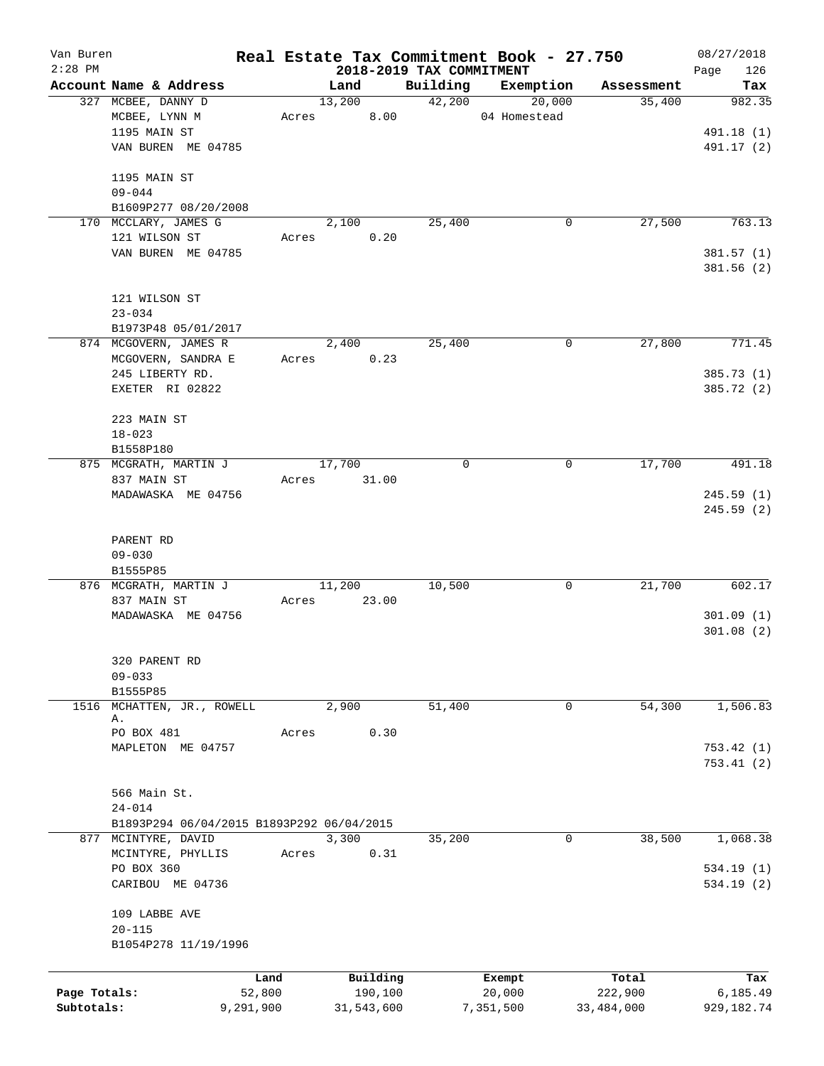| Van Buren    |                                           |       |                 |                                      | Real Estate Tax Commitment Book - 27.750 |            | 08/27/2018    |
|--------------|-------------------------------------------|-------|-----------------|--------------------------------------|------------------------------------------|------------|---------------|
| $2:28$ PM    | Account Name & Address                    |       | Land            | 2018-2019 TAX COMMITMENT<br>Building | Exemption                                | Assessment | 126<br>Page   |
|              | 327 MCBEE, DANNY D                        |       | 13,200          | 42,200                               | 20,000                                   | 35,400     | Tax<br>982.35 |
|              | MCBEE, LYNN M                             | Acres | 8.00            |                                      | 04 Homestead                             |            |               |
|              | 1195 MAIN ST                              |       |                 |                                      |                                          |            | 491.18 (1)    |
|              | VAN BUREN ME 04785                        |       |                 |                                      |                                          |            | 491.17 (2)    |
|              |                                           |       |                 |                                      |                                          |            |               |
|              | 1195 MAIN ST                              |       |                 |                                      |                                          |            |               |
|              | $09 - 044$                                |       |                 |                                      |                                          |            |               |
|              | B1609P277 08/20/2008                      |       |                 |                                      |                                          |            |               |
|              | 170 MCCLARY, JAMES G                      |       | 2,100           | 25,400                               | 0                                        | 27,500     | 763.13        |
|              | 121 WILSON ST                             | Acres | 0.20            |                                      |                                          |            |               |
|              | VAN BUREN ME 04785                        |       |                 |                                      |                                          |            | 381.57(1)     |
|              |                                           |       |                 |                                      |                                          |            | 381.56 (2)    |
|              |                                           |       |                 |                                      |                                          |            |               |
|              | 121 WILSON ST<br>$23 - 034$               |       |                 |                                      |                                          |            |               |
|              | B1973P48 05/01/2017                       |       |                 |                                      |                                          |            |               |
|              | 874 MCGOVERN, JAMES R                     |       | 2,400           | 25,400                               | 0                                        | 27,800     | 771.45        |
|              | MCGOVERN, SANDRA E                        | Acres | 0.23            |                                      |                                          |            |               |
|              | 245 LIBERTY RD.                           |       |                 |                                      |                                          |            | 385.73 (1)    |
|              | EXETER RI 02822                           |       |                 |                                      |                                          |            | 385.72 (2)    |
|              |                                           |       |                 |                                      |                                          |            |               |
|              | 223 MAIN ST                               |       |                 |                                      |                                          |            |               |
|              | $18 - 023$                                |       |                 |                                      |                                          |            |               |
|              | B1558P180                                 |       |                 |                                      |                                          |            |               |
|              | 875 MCGRATH, MARTIN J                     |       | 17,700          | $\mathbf 0$                          | 0                                        | 17,700     | 491.18        |
|              | 837 MAIN ST                               | Acres | 31.00           |                                      |                                          |            |               |
|              | MADAWASKA ME 04756                        |       |                 |                                      |                                          |            | 245.59(1)     |
|              |                                           |       |                 |                                      |                                          |            | 245.59 (2)    |
|              |                                           |       |                 |                                      |                                          |            |               |
|              | PARENT RD                                 |       |                 |                                      |                                          |            |               |
|              | $09 - 030$                                |       |                 |                                      |                                          |            |               |
|              | B1555P85                                  |       |                 |                                      |                                          |            |               |
|              | 876 MCGRATH, MARTIN J<br>837 MAIN ST      |       | 11,200<br>23.00 | 10,500                               | 0                                        | 21,700     | 602.17        |
|              | MADAWASKA ME 04756                        | Acres |                 |                                      |                                          |            | 301.09(1)     |
|              |                                           |       |                 |                                      |                                          |            | 301.08(2)     |
|              |                                           |       |                 |                                      |                                          |            |               |
|              | 320 PARENT RD                             |       |                 |                                      |                                          |            |               |
|              | $09 - 033$                                |       |                 |                                      |                                          |            |               |
|              | B1555P85                                  |       |                 |                                      |                                          |            |               |
| 1516         | MCHATTEN, JR., ROWELL                     |       | 2,900           | 51,400                               | 0                                        | 54,300     | 1,506.83      |
|              | Α.                                        |       |                 |                                      |                                          |            |               |
|              | PO BOX 481                                | Acres | 0.30            |                                      |                                          |            |               |
|              | MAPLETON ME 04757                         |       |                 |                                      |                                          |            | 753.42(1)     |
|              |                                           |       |                 |                                      |                                          |            | 753.41(2)     |
|              | 566 Main St.                              |       |                 |                                      |                                          |            |               |
|              | $24 - 014$                                |       |                 |                                      |                                          |            |               |
|              | B1893P294 06/04/2015 B1893P292 06/04/2015 |       |                 |                                      |                                          |            |               |
|              | 877 MCINTYRE, DAVID                       |       | 3,300           | 35,200                               | 0                                        | 38,500     | 1,068.38      |
|              | MCINTYRE, PHYLLIS                         | Acres | 0.31            |                                      |                                          |            |               |
|              | PO BOX 360                                |       |                 |                                      |                                          |            | 534.19(1)     |
|              | CARIBOU ME 04736                          |       |                 |                                      |                                          |            | 534.19(2)     |
|              |                                           |       |                 |                                      |                                          |            |               |
|              | 109 LABBE AVE                             |       |                 |                                      |                                          |            |               |
|              | $20 - 115$                                |       |                 |                                      |                                          |            |               |
|              | B1054P278 11/19/1996                      |       |                 |                                      |                                          |            |               |
|              |                                           |       |                 |                                      |                                          |            |               |
|              |                                           | Land  | Building        |                                      | Exempt                                   | Total      | Tax           |
| Page Totals: | 52,800                                    |       | 190,100         |                                      | 20,000                                   | 222,900    | 6,185.49      |
| Subtotals:   | 9,291,900                                 |       | 31,543,600      |                                      | 7,351,500                                | 33,484,000 | 929, 182. 74  |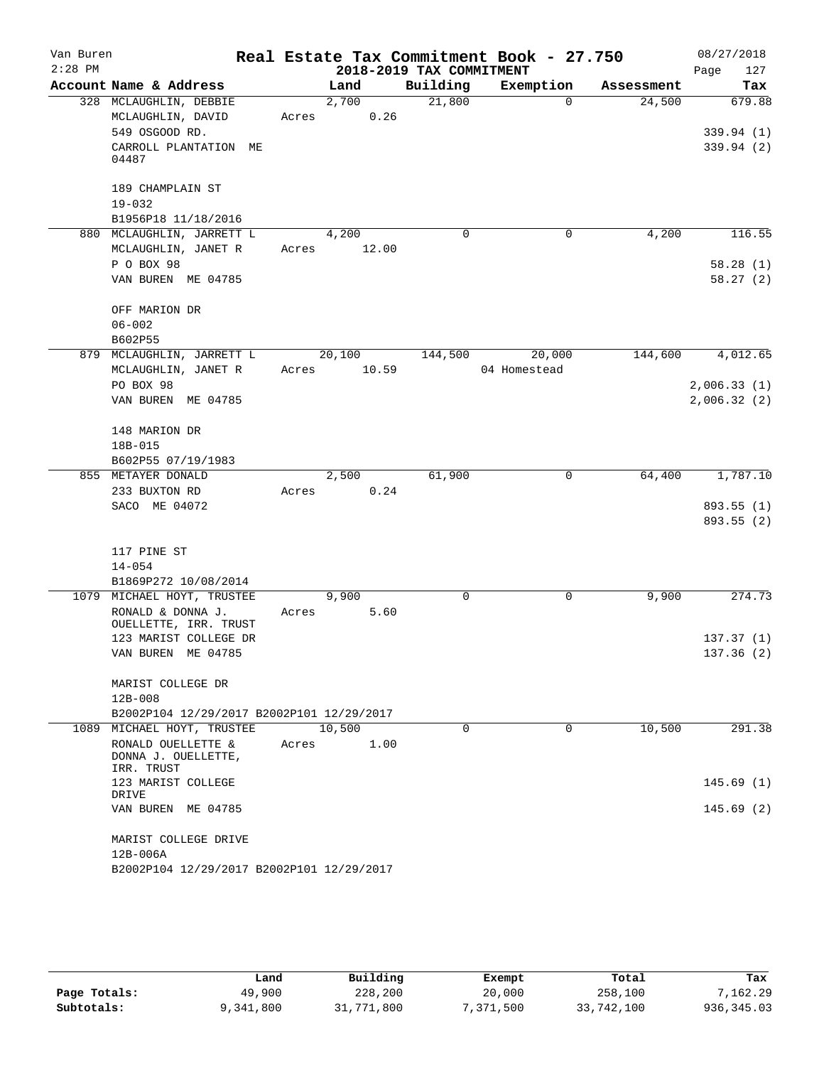| Van Buren |                                           |       |             |                          | Real Estate Tax Commitment Book - 27.750 |            | 08/27/2018       |
|-----------|-------------------------------------------|-------|-------------|--------------------------|------------------------------------------|------------|------------------|
| $2:28$ PM |                                           |       |             | 2018-2019 TAX COMMITMENT |                                          |            | 127<br>Page      |
|           | Account Name & Address                    |       | Land        | Building                 | Exemption                                | Assessment | Tax              |
|           | 328 MCLAUGHLIN, DEBBIE                    |       | 2,700       | 21,800                   | $\Omega$                                 | 24,500     | 679.88           |
|           | MCLAUGHLIN, DAVID                         |       | Acres 0.26  |                          |                                          |            |                  |
|           | 549 OSGOOD RD.                            |       |             |                          |                                          |            | 339.94(1)        |
|           | CARROLL PLANTATION ME                     |       |             |                          |                                          |            | 339.94(2)        |
|           | 04487                                     |       |             |                          |                                          |            |                  |
|           | 189 CHAMPLAIN ST                          |       |             |                          |                                          |            |                  |
|           | $19 - 032$                                |       |             |                          |                                          |            |                  |
|           | B1956P18 11/18/2016                       |       |             |                          |                                          |            |                  |
|           | 880 MCLAUGHLIN, JARRETT L                 |       | 4,200       | $\Omega$                 | 0                                        | 4,200      | 116.55           |
|           | MCLAUGHLIN, JANET R                       |       | Acres 12.00 |                          |                                          |            |                  |
|           | P O BOX 98                                |       |             |                          |                                          |            | 58.28(1)         |
|           | VAN BUREN ME 04785                        |       |             |                          |                                          |            | 58.27(2)         |
|           |                                           |       |             |                          |                                          |            |                  |
|           | OFF MARION DR                             |       |             |                          |                                          |            |                  |
|           | $06 - 002$                                |       |             |                          |                                          |            |                  |
|           | B602P55                                   |       |             |                          |                                          |            |                  |
|           | 879 MCLAUGHLIN, JARRETT L 20,100          |       |             | 144,500                  | 20,000                                   |            | 144,600 4,012.65 |
|           | MCLAUGHLIN, JANET R                       |       | Acres 10.59 |                          | 04 Homestead                             |            |                  |
|           | PO BOX 98                                 |       |             |                          |                                          |            | 2,006.33(1)      |
|           | VAN BUREN ME 04785                        |       |             |                          |                                          |            | 2,006.32(2)      |
|           |                                           |       |             |                          |                                          |            |                  |
|           | 148 MARION DR                             |       |             |                          |                                          |            |                  |
|           | 18B-015                                   |       |             |                          |                                          |            |                  |
|           | B602P55 07/19/1983                        |       |             |                          |                                          |            |                  |
|           | 855 METAYER DONALD                        |       | 2,500       | 61,900                   | $\mathbf 0$                              | 64,400     | 1,787.10         |
|           | 233 BUXTON RD                             | Acres | 0.24        |                          |                                          |            |                  |
|           | SACO ME 04072                             |       |             |                          |                                          |            | 893.55 (1)       |
|           |                                           |       |             |                          |                                          |            | 893.55(2)        |
|           |                                           |       |             |                          |                                          |            |                  |
|           | 117 PINE ST                               |       |             |                          |                                          |            |                  |
|           | $14 - 054$                                |       |             |                          |                                          |            |                  |
|           | B1869P272 10/08/2014                      |       |             |                          |                                          |            |                  |
|           | 1079 MICHAEL HOYT, TRUSTEE                |       | 9,900       | 0                        | 0                                        | 9,900      | 274.73           |
|           | RONALD & DONNA J.                         | Acres | 5.60        |                          |                                          |            |                  |
|           | OUELLETTE, IRR. TRUST                     |       |             |                          |                                          |            |                  |
|           | 123 MARIST COLLEGE DR                     |       |             |                          |                                          |            | 137.37(1)        |
|           | VAN BUREN ME 04785                        |       |             |                          |                                          |            | 137.36(2)        |
|           |                                           |       |             |                          |                                          |            |                  |
|           | MARIST COLLEGE DR                         |       |             |                          |                                          |            |                  |
|           | $12B - 008$                               |       |             |                          |                                          |            |                  |
|           | B2002P104 12/29/2017 B2002P101 12/29/2017 |       |             |                          |                                          |            |                  |
|           | 1089 MICHAEL HOYT, TRUSTEE                |       | 10,500      | $\Omega$                 | $\Omega$                                 | 10,500     | 291.38           |
|           | RONALD OUELLETTE &                        | Acres | 1.00        |                          |                                          |            |                  |
|           | DONNA J. OUELLETTE,                       |       |             |                          |                                          |            |                  |
|           | IRR. TRUST                                |       |             |                          |                                          |            |                  |
|           | 123 MARIST COLLEGE<br>DRIVE               |       |             |                          |                                          |            | 145.69(1)        |
|           | VAN BUREN ME 04785                        |       |             |                          |                                          |            | 145.69(2)        |
|           |                                           |       |             |                          |                                          |            |                  |
|           | MARIST COLLEGE DRIVE                      |       |             |                          |                                          |            |                  |
|           | $12B-006A$                                |       |             |                          |                                          |            |                  |
|           | B2002P104 12/29/2017 B2002P101 12/29/2017 |       |             |                          |                                          |            |                  |
|           |                                           |       |             |                          |                                          |            |                  |

|              | Land      | Building   | Exempt    | Total      | Tax         |
|--------------|-----------|------------|-----------|------------|-------------|
| Page Totals: | 49,900    | 228,200    | 20,000    | 258,100    | 7,162.29    |
| Subtotals:   | 9,341,800 | 31,771,800 | 7,371,500 | 33,742,100 | 936, 345.03 |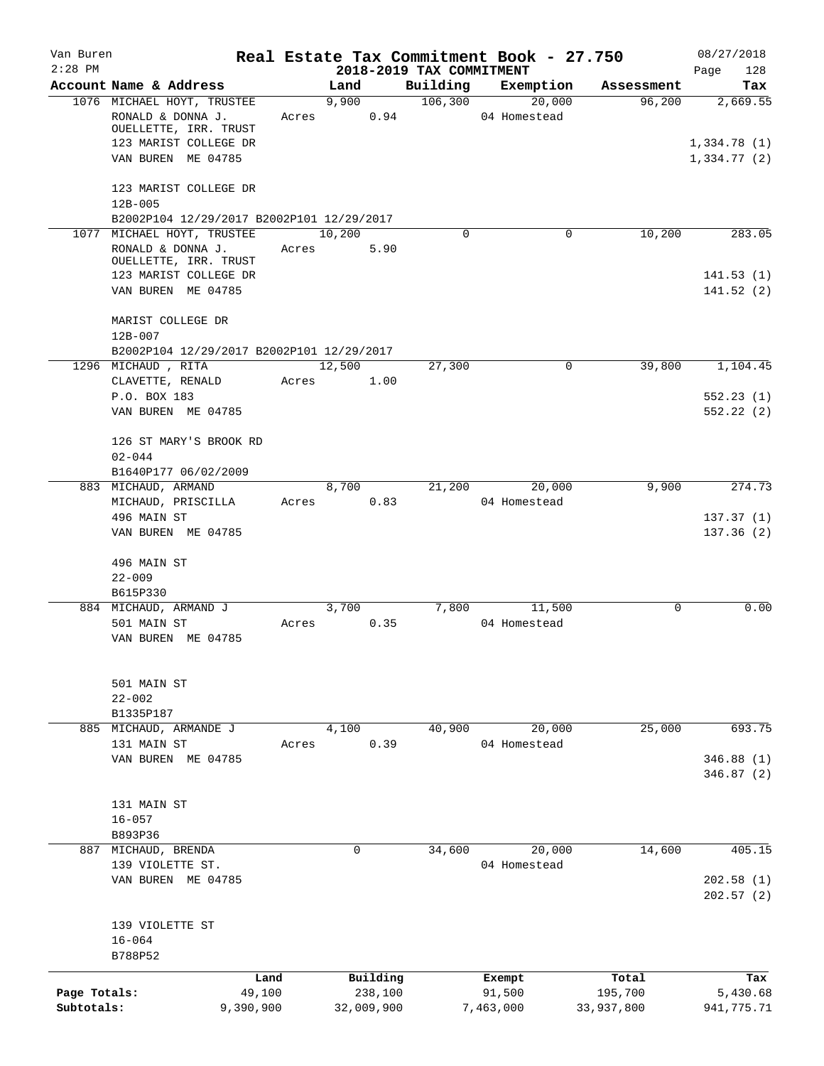| Van Buren    |                                                          |           |               |                                      | Real Estate Tax Commitment Book - 27.750 |            | 08/27/2018             |
|--------------|----------------------------------------------------------|-----------|---------------|--------------------------------------|------------------------------------------|------------|------------------------|
| $2:28$ PM    | Account Name & Address                                   |           | Land          | 2018-2019 TAX COMMITMENT<br>Building | Exemption                                | Assessment | Page<br>128<br>Tax     |
|              | 1076 MICHAEL HOYT, TRUSTEE                               |           | 9,900         | 106,300                              | 20,000                                   | 96,200     | 2,669.55               |
|              | RONALD & DONNA J.<br>OUELLETTE, IRR. TRUST               | Acres     | 0.94          |                                      | 04 Homestead                             |            |                        |
|              | 123 MARIST COLLEGE DR                                    |           |               |                                      |                                          |            | 1,334.78(1)            |
|              | VAN BUREN ME 04785                                       |           |               |                                      |                                          |            | 1,334.77(2)            |
|              | 123 MARIST COLLEGE DR                                    |           |               |                                      |                                          |            |                        |
|              | $12B - 005$<br>B2002P104 12/29/2017 B2002P101 12/29/2017 |           |               |                                      |                                          |            |                        |
|              | 1077 MICHAEL HOYT, TRUSTEE                               |           | 10,200        | $\Omega$                             | 0                                        | 10,200     | 283.05                 |
|              | RONALD & DONNA J.                                        | Acres     | 5.90          |                                      |                                          |            |                        |
|              | OUELLETTE, IRR. TRUST<br>123 MARIST COLLEGE DR           |           |               |                                      |                                          |            | 141.53(1)              |
|              | VAN BUREN ME 04785                                       |           |               |                                      |                                          |            | 141.52(2)              |
|              | MARIST COLLEGE DR<br>$12B - 007$                         |           |               |                                      |                                          |            |                        |
|              | B2002P104 12/29/2017 B2002P101 12/29/2017                |           |               |                                      |                                          |            |                        |
|              | 1296 MICHAUD, RITA                                       |           | 12,500        | 27,300                               | 0                                        | 39,800     | 1,104.45               |
|              | CLAVETTE, RENALD<br>P.O. BOX 183                         | Acres     | 1.00          |                                      |                                          |            | 552.23(1)              |
|              | VAN BUREN ME 04785                                       |           |               |                                      |                                          |            | 552.22(2)              |
|              | 126 ST MARY'S BROOK RD<br>$02 - 044$                     |           |               |                                      |                                          |            |                        |
|              | B1640P177 06/02/2009                                     |           |               |                                      |                                          |            |                        |
|              | 883 MICHAUD, ARMAND                                      |           | 8,700         | 21,200                               | 20,000                                   | 9,900      | 274.73                 |
|              | MICHAUD, PRISCILLA                                       | Acres     | 0.83          |                                      | 04 Homestead                             |            |                        |
|              | 496 MAIN ST<br>VAN BUREN ME 04785                        |           |               |                                      |                                          |            | 137.37(1)<br>137.36(2) |
|              | 496 MAIN ST                                              |           |               |                                      |                                          |            |                        |
|              | $22 - 009$                                               |           |               |                                      |                                          |            |                        |
|              | B615P330                                                 |           |               |                                      |                                          |            |                        |
|              | 884 MICHAUD, ARMAND J<br>501 MAIN ST                     | Acres     | 3,700<br>0.35 | 7,800                                | 11,500<br>04 Homestead                   | 0          | 0.00                   |
|              | VAN BUREN ME 04785                                       |           |               |                                      |                                          |            |                        |
|              | 501 MAIN ST                                              |           |               |                                      |                                          |            |                        |
|              | $22 - 002$                                               |           |               |                                      |                                          |            |                        |
|              | B1335P187<br>885 MICHAUD, ARMANDE J                      |           | 4,100         | 40,900                               | 20,000                                   | 25,000     | 693.75                 |
|              | 131 MAIN ST                                              | Acres     | 0.39          |                                      | 04 Homestead                             |            |                        |
|              | VAN BUREN ME 04785                                       |           |               |                                      |                                          |            | 346.88 (1)             |
|              |                                                          |           |               |                                      |                                          |            | 346.87(2)              |
|              | 131 MAIN ST                                              |           |               |                                      |                                          |            |                        |
|              | $16 - 057$                                               |           |               |                                      |                                          |            |                        |
|              | B893P36                                                  |           |               |                                      |                                          |            |                        |
|              | 887 MICHAUD, BRENDA                                      |           | 0             | 34,600                               | 20,000                                   | 14,600     | 405.15                 |
|              | 139 VIOLETTE ST.<br>VAN BUREN ME 04785                   |           |               |                                      | 04 Homestead                             |            | 202.58(1)              |
|              |                                                          |           |               |                                      |                                          |            | 202.57(2)              |
|              | 139 VIOLETTE ST                                          |           |               |                                      |                                          |            |                        |
|              | $16 - 064$                                               |           |               |                                      |                                          |            |                        |
|              | B788P52                                                  |           |               |                                      |                                          |            |                        |
|              |                                                          | Land      | Building      |                                      | Exempt                                   | Total      | Tax                    |
| Page Totals: |                                                          | 49,100    | 238,100       |                                      | 91,500                                   | 195,700    | 5,430.68               |
| Subtotals:   |                                                          | 9,390,900 | 32,009,900    |                                      | 7,463,000                                | 33,937,800 | 941,775.71             |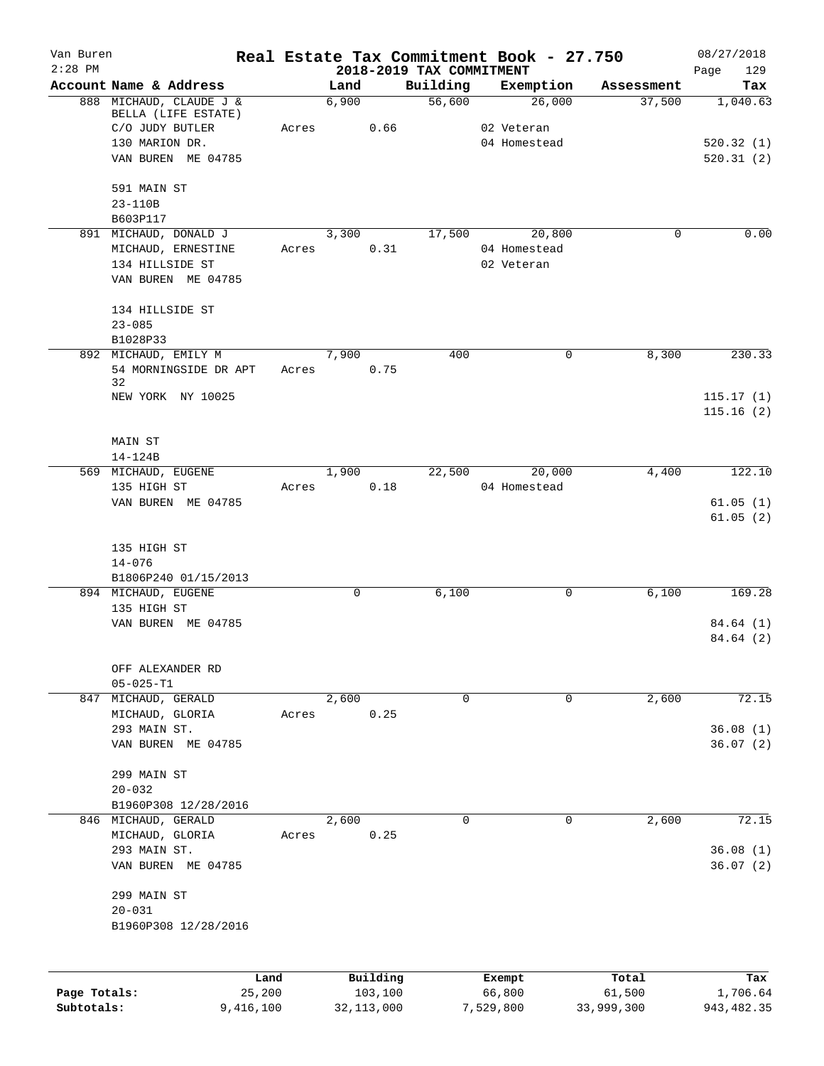| Van Buren                  |                                   |                     |             |                         |                                      | Real Estate Tax Commitment Book - 27.750 |                      | 08/27/2018              |
|----------------------------|-----------------------------------|---------------------|-------------|-------------------------|--------------------------------------|------------------------------------------|----------------------|-------------------------|
| $2:28$ PM                  | Account Name & Address            |                     | Land        |                         | 2018-2019 TAX COMMITMENT<br>Building | Exemption                                | Assessment           | 129<br>Page<br>Tax      |
|                            | 888 MICHAUD, CLAUDE J &           |                     | 6,900       |                         | 56,600                               | 26,000                                   | 37,500               | 1,040.63                |
|                            | BELLA (LIFE ESTATE)               |                     |             |                         |                                      |                                          |                      |                         |
|                            | C/O JUDY BUTLER<br>130 MARION DR. | Acres               |             | 0.66                    |                                      | 02 Veteran<br>04 Homestead               |                      | 520.32(1)               |
|                            | VAN BUREN ME 04785                |                     |             |                         |                                      |                                          |                      | 520.31(2)               |
|                            |                                   |                     |             |                         |                                      |                                          |                      |                         |
|                            | 591 MAIN ST<br>$23 - 110B$        |                     |             |                         |                                      |                                          |                      |                         |
|                            | B603P117                          |                     |             |                         |                                      |                                          |                      |                         |
|                            | 891 MICHAUD, DONALD J             |                     | 3,300       |                         | 17,500                               | 20,800                                   | 0                    | 0.00                    |
|                            | MICHAUD, ERNESTINE                | Acres               |             | 0.31                    |                                      | 04 Homestead                             |                      |                         |
|                            | 134 HILLSIDE ST                   |                     |             |                         |                                      | 02 Veteran                               |                      |                         |
|                            | VAN BUREN ME 04785                |                     |             |                         |                                      |                                          |                      |                         |
|                            | 134 HILLSIDE ST                   |                     |             |                         |                                      |                                          |                      |                         |
|                            | $23 - 085$                        |                     |             |                         |                                      |                                          |                      |                         |
|                            | B1028P33                          |                     |             |                         |                                      |                                          |                      |                         |
|                            | 892 MICHAUD, EMILY M              |                     | 7,900       |                         | 400                                  | 0                                        | 8,300                | 230.33                  |
|                            | 54 MORNINGSIDE DR APT<br>32       | Acres               |             | 0.75                    |                                      |                                          |                      |                         |
|                            | NEW YORK NY 10025                 |                     |             |                         |                                      |                                          |                      | 115.17(1)               |
|                            |                                   |                     |             |                         |                                      |                                          |                      | 115.16(2)               |
|                            | MAIN ST                           |                     |             |                         |                                      |                                          |                      |                         |
|                            | 14-124B                           |                     |             |                         |                                      |                                          |                      |                         |
|                            | 569 MICHAUD, EUGENE               |                     | 1,900       |                         | 22,500                               | 20,000                                   | 4,400                | 122.10                  |
|                            | 135 HIGH ST                       | Acres               |             | 0.18                    |                                      | 04 Homestead                             |                      |                         |
|                            | VAN BUREN ME 04785                |                     |             |                         |                                      |                                          |                      | 61.05(1)                |
|                            |                                   |                     |             |                         |                                      |                                          |                      | 61.05(2)                |
|                            | 135 HIGH ST                       |                     |             |                         |                                      |                                          |                      |                         |
|                            | $14 - 076$                        |                     |             |                         |                                      |                                          |                      |                         |
|                            | B1806P240 01/15/2013              |                     |             |                         |                                      |                                          |                      |                         |
|                            | 894 MICHAUD, EUGENE               |                     | $\mathbf 0$ |                         | 6,100                                | 0                                        | 6,100                | 169.28                  |
|                            | 135 HIGH ST                       |                     |             |                         |                                      |                                          |                      |                         |
|                            | VAN BUREN ME 04785                |                     |             |                         |                                      |                                          |                      | 84.64 (1)<br>84.64 (2)  |
|                            |                                   |                     |             |                         |                                      |                                          |                      |                         |
|                            | OFF ALEXANDER RD                  |                     |             |                         |                                      |                                          |                      |                         |
|                            | $05 - 025 - T1$                   |                     |             |                         |                                      |                                          |                      |                         |
| 847                        | MICHAUD, GERALD                   |                     | 2,600       |                         | 0                                    | 0                                        | 2,600                | 72.15                   |
|                            | MICHAUD, GLORIA                   | Acres               |             | 0.25                    |                                      |                                          |                      |                         |
|                            | 293 MAIN ST.                      |                     |             |                         |                                      |                                          |                      | 36.08(1)                |
|                            | VAN BUREN ME 04785                |                     |             |                         |                                      |                                          |                      | 36.07(2)                |
|                            | 299 MAIN ST                       |                     |             |                         |                                      |                                          |                      |                         |
|                            | $20 - 032$                        |                     |             |                         |                                      |                                          |                      |                         |
|                            | B1960P308 12/28/2016              |                     |             |                         |                                      |                                          |                      |                         |
|                            | 846 MICHAUD, GERALD               |                     | 2,600       |                         | 0                                    | 0                                        | 2,600                | 72.15                   |
|                            | MICHAUD, GLORIA                   | Acres               |             | 0.25                    |                                      |                                          |                      |                         |
|                            | 293 MAIN ST.                      |                     |             |                         |                                      |                                          |                      | 36.08(1)                |
|                            | VAN BUREN ME 04785                |                     |             |                         |                                      |                                          |                      | 36.07(2)                |
|                            | 299 MAIN ST                       |                     |             |                         |                                      |                                          |                      |                         |
|                            | $20 - 031$                        |                     |             |                         |                                      |                                          |                      |                         |
|                            | B1960P308 12/28/2016              |                     |             |                         |                                      |                                          |                      |                         |
|                            |                                   |                     |             |                         |                                      |                                          |                      |                         |
|                            |                                   | Land                |             | Building                |                                      | Exempt                                   | Total                | Tax                     |
| Page Totals:<br>Subtotals: |                                   | 25,200<br>9,416,100 |             | 103,100<br>32, 113, 000 |                                      | 66,800<br>7,529,800                      | 61,500<br>33,999,300 | 1,706.64<br>943, 482.35 |
|                            |                                   |                     |             |                         |                                      |                                          |                      |                         |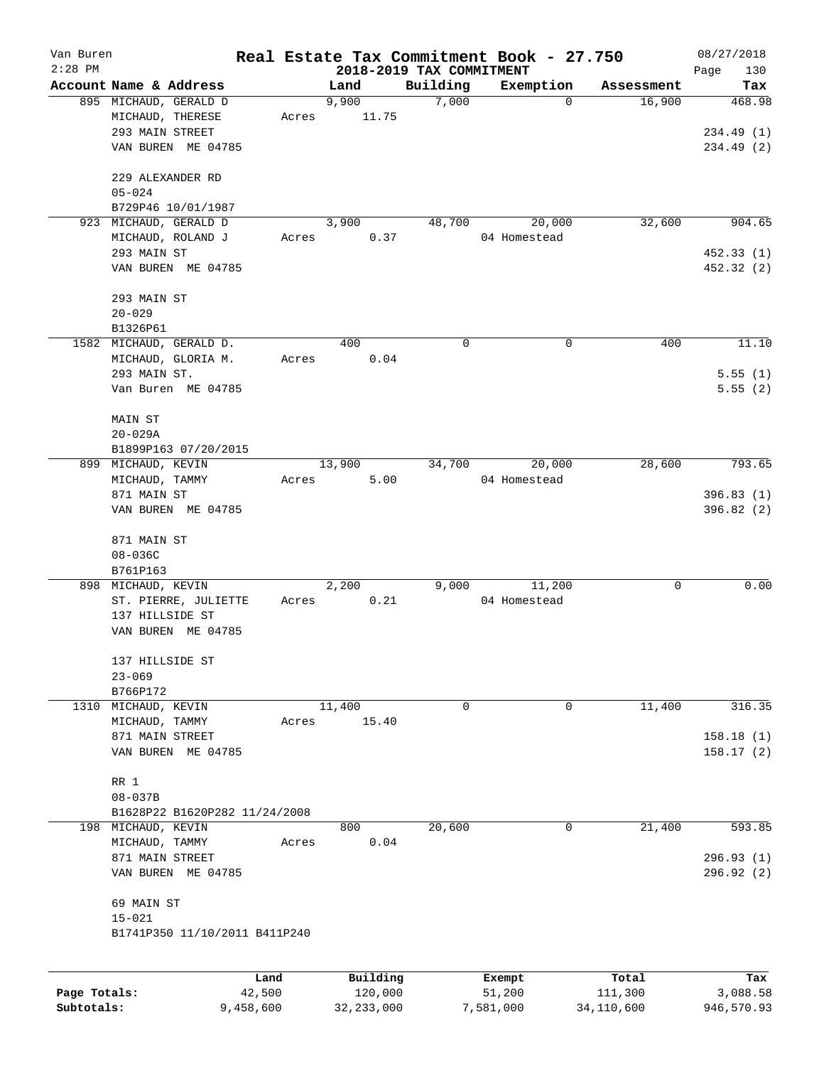| Van Buren    |                               |        |          |                                      | Real Estate Tax Commitment Book - 27.750 |            | 08/27/2018         |
|--------------|-------------------------------|--------|----------|--------------------------------------|------------------------------------------|------------|--------------------|
| $2:28$ PM    | Account Name & Address        |        | Land     | 2018-2019 TAX COMMITMENT<br>Building | Exemption                                | Assessment | Page<br>130<br>Tax |
|              | 895 MICHAUD, GERALD D         |        | 9,900    | 7,000                                | $\mathbf 0$                              | 16,900     | 468.98             |
|              | MICHAUD, THERESE              | Acres  | 11.75    |                                      |                                          |            |                    |
|              | 293 MAIN STREET               |        |          |                                      |                                          |            | 234.49(1)          |
|              | VAN BUREN ME 04785            |        |          |                                      |                                          |            | 234.49 (2)         |
|              |                               |        |          |                                      |                                          |            |                    |
|              | 229 ALEXANDER RD              |        |          |                                      |                                          |            |                    |
|              | $05 - 024$                    |        |          |                                      |                                          |            |                    |
|              | B729P46 10/01/1987            |        |          |                                      |                                          |            |                    |
|              | 923 MICHAUD, GERALD D         |        | 3,900    | 48,700                               | 20,000                                   | 32,600     | 904.65             |
|              | MICHAUD, ROLAND J             | Acres  | 0.37     |                                      | 04 Homestead                             |            |                    |
|              | 293 MAIN ST                   |        |          |                                      |                                          |            | 452.33(1)          |
|              | VAN BUREN ME 04785            |        |          |                                      |                                          |            | 452.32 (2)         |
|              |                               |        |          |                                      |                                          |            |                    |
|              | 293 MAIN ST                   |        |          |                                      |                                          |            |                    |
|              | $20 - 029$                    |        |          |                                      |                                          |            |                    |
|              | B1326P61                      |        |          |                                      |                                          |            |                    |
|              | 1582 MICHAUD, GERALD D.       |        | 400      | 0                                    | 0                                        | 400        | 11.10              |
|              | MICHAUD, GLORIA M.            | Acres  | 0.04     |                                      |                                          |            |                    |
|              | 293 MAIN ST.                  |        |          |                                      |                                          |            | 5.55(1)            |
|              | Van Buren ME 04785            |        |          |                                      |                                          |            | 5.55(2)            |
|              | MAIN ST                       |        |          |                                      |                                          |            |                    |
|              | $20 - 029A$                   |        |          |                                      |                                          |            |                    |
|              | B1899P163 07/20/2015          |        |          |                                      |                                          |            |                    |
|              | 899 MICHAUD, KEVIN            |        | 13,900   | 34,700                               | 20,000                                   | 28,600     | 793.65             |
|              | MICHAUD, TAMMY                | Acres  | 5.00     |                                      | 04 Homestead                             |            |                    |
|              | 871 MAIN ST                   |        |          |                                      |                                          |            | 396.83(1)          |
|              | VAN BUREN ME 04785            |        |          |                                      |                                          |            | 396.82 (2)         |
|              |                               |        |          |                                      |                                          |            |                    |
|              | 871 MAIN ST                   |        |          |                                      |                                          |            |                    |
|              | $08 - 036C$                   |        |          |                                      |                                          |            |                    |
|              | B761P163                      |        |          |                                      |                                          |            |                    |
|              | 898 MICHAUD, KEVIN            |        | 2,200    | 9,000                                | 11,200                                   | 0          | 0.00               |
|              | ST. PIERRE, JULIETTE          | Acres  | 0.21     |                                      | 04 Homestead                             |            |                    |
|              | 137 HILLSIDE ST               |        |          |                                      |                                          |            |                    |
|              | VAN BUREN ME 04785            |        |          |                                      |                                          |            |                    |
|              | 137 HILLSIDE ST               |        |          |                                      |                                          |            |                    |
|              | $23 - 069$                    |        |          |                                      |                                          |            |                    |
|              | B766P172                      |        |          |                                      |                                          |            |                    |
| 1310         | MICHAUD, KEVIN                |        | 11,400   | 0                                    | 0                                        | 11,400     | 316.35             |
|              | MICHAUD, TAMMY                | Acres  | 15.40    |                                      |                                          |            |                    |
|              | 871 MAIN STREET               |        |          |                                      |                                          |            | 158.18(1)          |
|              | VAN BUREN ME 04785            |        |          |                                      |                                          |            | 158.17(2)          |
|              |                               |        |          |                                      |                                          |            |                    |
|              | RR 1                          |        |          |                                      |                                          |            |                    |
|              | $08 - 037B$                   |        |          |                                      |                                          |            |                    |
|              | B1628P22 B1620P282 11/24/2008 |        |          |                                      |                                          |            |                    |
|              | 198 MICHAUD, KEVIN            |        | 800      | 20,600                               | 0                                        | 21,400     | 593.85             |
|              | MICHAUD, TAMMY                | Acres  | 0.04     |                                      |                                          |            |                    |
|              | 871 MAIN STREET               |        |          |                                      |                                          |            | 296.93(1)          |
|              | VAN BUREN ME 04785            |        |          |                                      |                                          |            | 296.92 (2)         |
|              | 69 MAIN ST                    |        |          |                                      |                                          |            |                    |
|              | $15 - 021$                    |        |          |                                      |                                          |            |                    |
|              | B1741P350 11/10/2011 B411P240 |        |          |                                      |                                          |            |                    |
|              |                               |        |          |                                      |                                          |            |                    |
|              |                               | Land   | Building |                                      | Exempt                                   | Total      | Tax                |
| Page Totals: |                               | 42,500 | 120,000  |                                      | 51,200                                   | 111,300    | 3,088.58           |

**Subtotals:** 9,458,600 32,233,000 7,581,000 34,110,600 946,570.93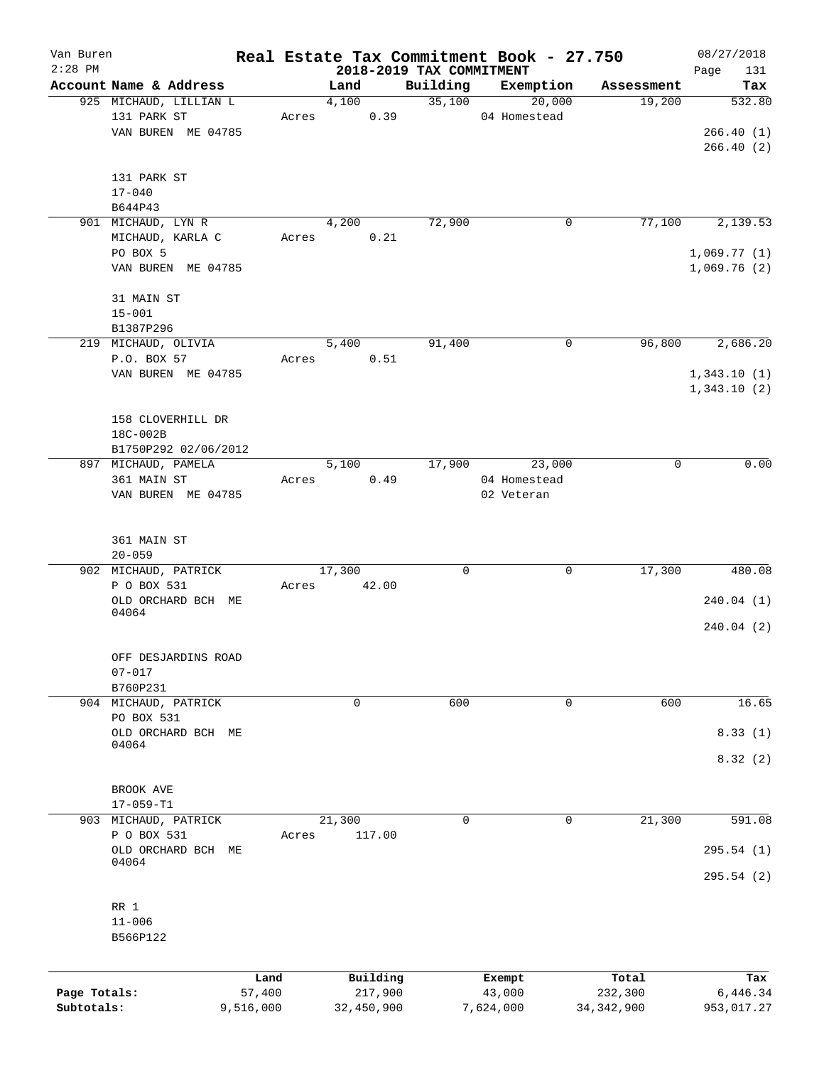| Van Buren    |                                    |                |       |               |                     |                          | Real Estate Tax Commitment Book - 27.750 |                      | 08/27/2018      |
|--------------|------------------------------------|----------------|-------|---------------|---------------------|--------------------------|------------------------------------------|----------------------|-----------------|
| $2:28$ PM    | Account Name & Address             |                |       |               |                     | 2018-2019 TAX COMMITMENT |                                          |                      | 131<br>Page     |
|              | 925 MICHAUD, LILLIAN L             |                |       | Land<br>4,100 |                     | Building<br>35,100       | Exemption<br>20,000                      | Assessment<br>19,200 | Tax<br>532.80   |
|              | 131 PARK ST                        |                | Acres |               | 0.39                |                          | 04 Homestead                             |                      |                 |
|              | VAN BUREN ME 04785                 |                |       |               |                     |                          |                                          |                      | 266.40(1)       |
|              |                                    |                |       |               |                     |                          |                                          |                      | 266.40(2)       |
|              | 131 PARK ST                        |                |       |               |                     |                          |                                          |                      |                 |
|              | $17 - 040$                         |                |       |               |                     |                          |                                          |                      |                 |
|              | B644P43                            |                |       |               |                     |                          |                                          |                      |                 |
|              | 901 MICHAUD, LYN R                 |                |       | 4,200         |                     | 72,900                   | 0                                        | 77,100               | 2,139.53        |
|              | MICHAUD, KARLA C                   |                |       |               | 0.21                |                          |                                          |                      |                 |
|              |                                    |                | Acres |               |                     |                          |                                          |                      |                 |
|              | PO BOX 5                           |                |       |               |                     |                          |                                          |                      | 1,069.77(1)     |
|              | VAN BUREN ME 04785                 |                |       |               |                     |                          |                                          |                      | 1,069.76(2)     |
|              | 31 MAIN ST                         |                |       |               |                     |                          |                                          |                      |                 |
|              | $15 - 001$                         |                |       |               |                     |                          |                                          |                      |                 |
|              | B1387P296                          |                |       |               |                     |                          |                                          |                      |                 |
|              | 219 MICHAUD, OLIVIA                |                |       | 5,400         |                     | 91,400                   | 0                                        | 96,800               | 2,686.20        |
|              | P.O. BOX 57                        |                | Acres |               | 0.51                |                          |                                          |                      |                 |
|              | VAN BUREN ME 04785                 |                |       |               |                     |                          |                                          |                      | 1,343.10(1)     |
|              |                                    |                |       |               |                     |                          |                                          |                      | 1,343.10(2)     |
|              | 158 CLOVERHILL DR                  |                |       |               |                     |                          |                                          |                      |                 |
|              | 18C-002B                           |                |       |               |                     |                          |                                          |                      |                 |
|              | B1750P292 02/06/2012               |                |       |               |                     |                          |                                          |                      |                 |
|              | 897 MICHAUD, PAMELA                |                |       | 5,100         |                     | 17,900                   | 23,000                                   | 0                    | 0.00            |
|              | 361 MAIN ST                        |                | Acres |               | 0.49                |                          | 04 Homestead                             |                      |                 |
|              | VAN BUREN ME 04785                 |                |       |               |                     |                          | 02 Veteran                               |                      |                 |
|              |                                    |                |       |               |                     |                          |                                          |                      |                 |
|              | 361 MAIN ST                        |                |       |               |                     |                          |                                          |                      |                 |
|              | $20 - 059$                         |                |       |               |                     |                          |                                          |                      |                 |
|              | 902 MICHAUD, PATRICK               |                |       | 17,300        |                     | $\mathbf 0$              | 0                                        | 17,300               | 480.08          |
|              | P O BOX 531                        |                | Acres | 42.00         |                     |                          |                                          |                      |                 |
|              | OLD ORCHARD BCH ME                 |                |       |               |                     |                          |                                          |                      | 240.04(1)       |
|              | 04064                              |                |       |               |                     |                          |                                          |                      | 240.04(2)       |
|              |                                    |                |       |               |                     |                          |                                          |                      |                 |
|              | OFF DESJARDINS ROAD                |                |       |               |                     |                          |                                          |                      |                 |
|              | $07 - 017$                         |                |       |               |                     |                          |                                          |                      |                 |
|              | B760P231                           |                |       |               |                     |                          |                                          |                      |                 |
|              | 904 MICHAUD, PATRICK<br>PO BOX 531 |                |       | 0             |                     | 600                      | $\mathbf 0$                              | 600                  | 16.65           |
|              | OLD ORCHARD BCH ME                 |                |       |               |                     |                          |                                          |                      | 8.33(1)         |
|              | 04064                              |                |       |               |                     |                          |                                          |                      |                 |
|              |                                    |                |       |               |                     |                          |                                          |                      | 8.32(2)         |
|              | BROOK AVE                          |                |       |               |                     |                          |                                          |                      |                 |
|              | $17 - 059 - T1$                    |                |       |               |                     |                          |                                          |                      |                 |
|              | 903 MICHAUD, PATRICK               |                |       | 21,300        |                     | $\mathbf 0$              | $\mathbf 0$                              | 21,300               | 591.08          |
|              | P O BOX 531                        |                | Acres |               | 117.00              |                          |                                          |                      |                 |
|              | OLD ORCHARD BCH ME                 |                |       |               |                     |                          |                                          |                      | 295.54(1)       |
|              | 04064                              |                |       |               |                     |                          |                                          |                      |                 |
|              |                                    |                |       |               |                     |                          |                                          |                      | 295.54(2)       |
|              | RR 1                               |                |       |               |                     |                          |                                          |                      |                 |
|              | $11 - 006$                         |                |       |               |                     |                          |                                          |                      |                 |
|              | B566P122                           |                |       |               |                     |                          |                                          |                      |                 |
|              |                                    |                |       |               |                     |                          |                                          |                      |                 |
| Page Totals: |                                    | Land<br>57,400 |       |               | Building<br>217,900 |                          | Exempt<br>43,000                         | Total<br>232,300     | Tax<br>6,446.34 |
| Subtotals:   |                                    | 9,516,000      |       |               | 32,450,900          |                          | 7,624,000                                | 34, 342, 900         | 953,017.27      |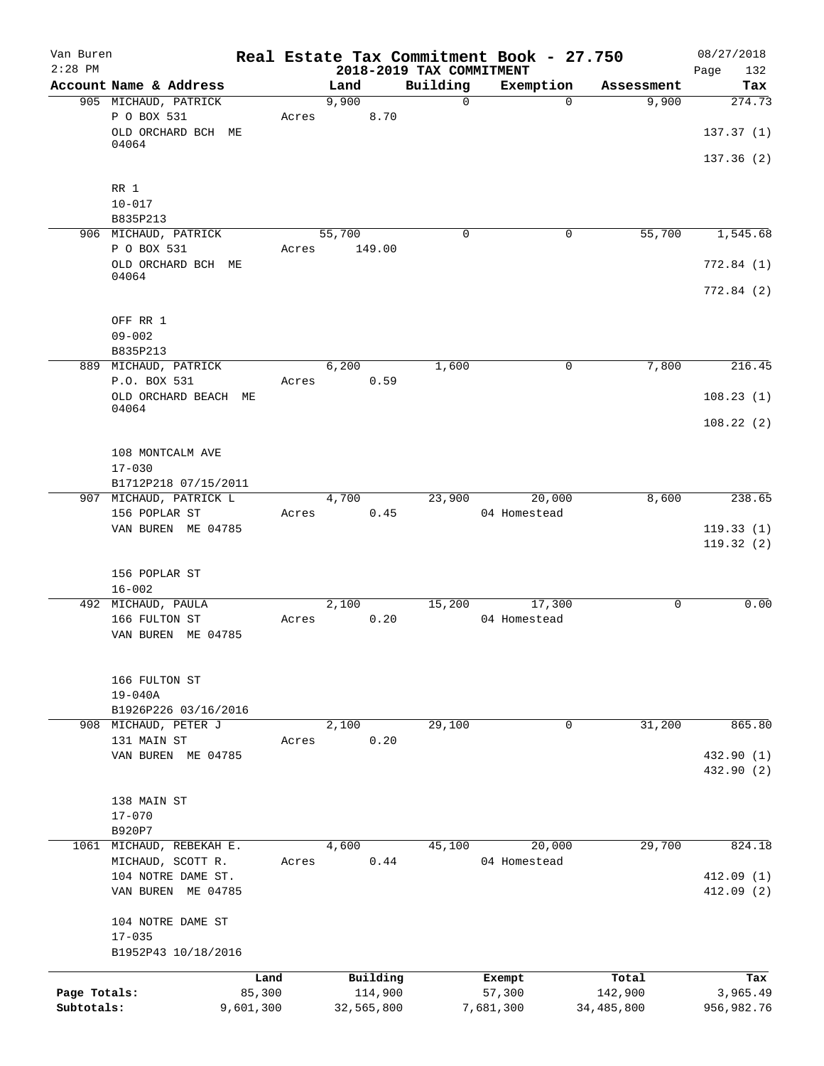| Van Buren<br>$2:28$ PM |                          |           |       |            | 2018-2019 TAX COMMITMENT | Real Estate Tax Commitment Book - 27.750 |              | 08/27/2018<br>Page<br>132 |
|------------------------|--------------------------|-----------|-------|------------|--------------------------|------------------------------------------|--------------|---------------------------|
|                        | Account Name & Address   |           |       | Land       | Building                 | Exemption                                | Assessment   | Tax                       |
|                        | 905 MICHAUD, PATRICK     |           |       | 9,900      | $\mathbf 0$              | $\Omega$                                 | 9,900        | 274.73                    |
|                        | P O BOX 531              |           | Acres | 8.70       |                          |                                          |              |                           |
|                        | OLD ORCHARD BCH ME       |           |       |            |                          |                                          |              | 137.37(1)                 |
|                        | 04064                    |           |       |            |                          |                                          |              |                           |
|                        |                          |           |       |            |                          |                                          |              | 137.36(2)                 |
|                        | RR 1                     |           |       |            |                          |                                          |              |                           |
|                        | $10 - 017$               |           |       |            |                          |                                          |              |                           |
|                        | B835P213                 |           |       |            |                          |                                          |              |                           |
|                        | 906 MICHAUD, PATRICK     |           |       | 55,700     | 0                        | 0                                        | 55,700       | 1,545.68                  |
|                        | P O BOX 531              |           | Acres | 149.00     |                          |                                          |              |                           |
|                        | OLD ORCHARD BCH ME       |           |       |            |                          |                                          |              | 772.84(1)                 |
|                        | 04064                    |           |       |            |                          |                                          |              |                           |
|                        |                          |           |       |            |                          |                                          |              | 772.84(2)                 |
|                        |                          |           |       |            |                          |                                          |              |                           |
|                        | OFF RR 1                 |           |       |            |                          |                                          |              |                           |
|                        | $09 - 002$               |           |       |            |                          |                                          |              |                           |
|                        | B835P213                 |           |       |            |                          |                                          |              |                           |
|                        | 889 MICHAUD, PATRICK     |           |       | 6,200      | 1,600                    | $\mathbf 0$                              | 7,800        | 216.45                    |
|                        | P.O. BOX 531             |           | Acres | 0.59       |                          |                                          |              |                           |
|                        | OLD ORCHARD BEACH ME     |           |       |            |                          |                                          |              | 108.23(1)                 |
|                        | 04064                    |           |       |            |                          |                                          |              | 108.22(2)                 |
|                        |                          |           |       |            |                          |                                          |              |                           |
|                        | 108 MONTCALM AVE         |           |       |            |                          |                                          |              |                           |
|                        | $17 - 030$               |           |       |            |                          |                                          |              |                           |
|                        | B1712P218 07/15/2011     |           |       |            |                          |                                          |              |                           |
|                        | 907 MICHAUD, PATRICK L   |           |       | 4,700      | 23,900                   | 20,000                                   | 8,600        | 238.65                    |
|                        | 156 POPLAR ST            |           | Acres | 0.45       |                          | 04 Homestead                             |              |                           |
|                        | VAN BUREN ME 04785       |           |       |            |                          |                                          |              | 119.33(1)                 |
|                        |                          |           |       |            |                          |                                          |              | 119.32(2)                 |
|                        |                          |           |       |            |                          |                                          |              |                           |
|                        | 156 POPLAR ST            |           |       |            |                          |                                          |              |                           |
|                        | $16 - 002$               |           |       |            |                          |                                          |              |                           |
|                        | 492 MICHAUD, PAULA       |           |       | 2,100      | 15,200                   | 17,300                                   | 0            | 0.00                      |
|                        | 166 FULTON ST            |           |       | 0.20       |                          | 04 Homestead                             |              |                           |
|                        | VAN BUREN ME 04785       |           | Acres |            |                          |                                          |              |                           |
|                        |                          |           |       |            |                          |                                          |              |                           |
|                        |                          |           |       |            |                          |                                          |              |                           |
|                        | 166 FULTON ST            |           |       |            |                          |                                          |              |                           |
|                        | $19 - 040A$              |           |       |            |                          |                                          |              |                           |
|                        | B1926P226 03/16/2016     |           |       |            |                          |                                          |              |                           |
|                        | 908 MICHAUD, PETER J     |           |       | 2,100      | 29,100                   | $\mathbf 0$                              | 31,200       | 865.80                    |
|                        | 131 MAIN ST              |           | Acres | 0.20       |                          |                                          |              |                           |
|                        | VAN BUREN ME 04785       |           |       |            |                          |                                          |              | 432.90 (1)                |
|                        |                          |           |       |            |                          |                                          |              | 432.90 (2)                |
|                        |                          |           |       |            |                          |                                          |              |                           |
|                        | 138 MAIN ST              |           |       |            |                          |                                          |              |                           |
|                        | $17 - 070$               |           |       |            |                          |                                          |              |                           |
|                        | B920P7                   |           |       |            |                          |                                          |              |                           |
|                        | 1061 MICHAUD, REBEKAH E. |           |       | 4,600      | 45,100                   | 20,000                                   | 29,700       | 824.18                    |
|                        | MICHAUD, SCOTT R.        |           | Acres | 0.44       |                          | 04 Homestead                             |              |                           |
|                        | 104 NOTRE DAME ST.       |           |       |            |                          |                                          |              | 412.09 (1)                |
|                        | VAN BUREN ME 04785       |           |       |            |                          |                                          |              | 412.09(2)                 |
|                        | 104 NOTRE DAME ST        |           |       |            |                          |                                          |              |                           |
|                        | $17 - 035$               |           |       |            |                          |                                          |              |                           |
|                        | B1952P43 10/18/2016      |           |       |            |                          |                                          |              |                           |
|                        |                          |           |       |            |                          |                                          |              |                           |
|                        |                          | Land      |       | Building   |                          | Exempt                                   | Total        | Tax                       |
| Page Totals:           |                          | 85,300    |       | 114,900    |                          | 57,300                                   | 142,900      | 3,965.49                  |
| Subtotals:             |                          | 9,601,300 |       | 32,565,800 |                          | 7,681,300                                | 34, 485, 800 | 956,982.76                |
|                        |                          |           |       |            |                          |                                          |              |                           |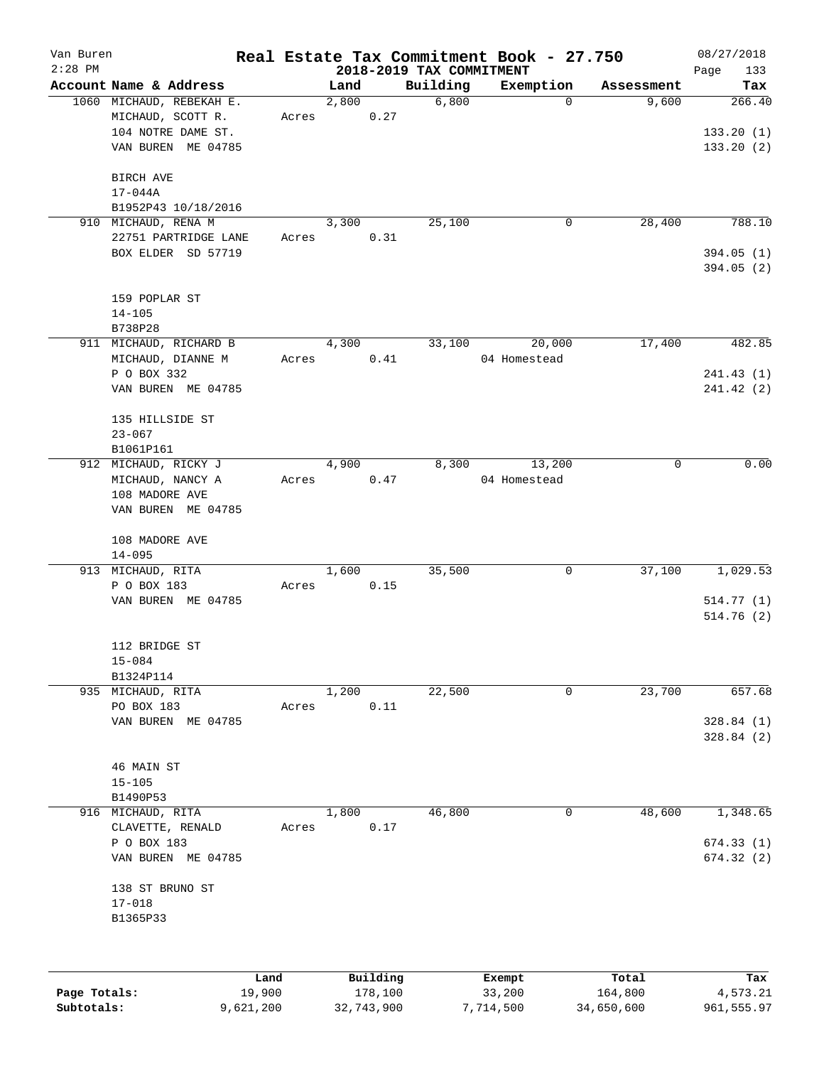| Van Buren<br>$2:28$ PM |                                                                                           |       |       |          | 2018-2019 TAX COMMITMENT | Real Estate Tax Commitment Book - 27.750 |            | 08/27/2018<br>133<br>Page          |
|------------------------|-------------------------------------------------------------------------------------------|-------|-------|----------|--------------------------|------------------------------------------|------------|------------------------------------|
|                        | Account Name & Address                                                                    |       | Land  |          | Building                 | Exemption                                | Assessment | Tax                                |
|                        | 1060 MICHAUD, REBEKAH E.<br>MICHAUD, SCOTT R.<br>104 NOTRE DAME ST.<br>VAN BUREN ME 04785 | Acres | 2,800 | 0.27     | 6,800                    | $\Omega$                                 | 9,600      | 266.40<br>133.20(1)<br>133.20(2)   |
|                        | BIRCH AVE<br>17-044A<br>B1952P43 10/18/2016                                               |       |       |          |                          |                                          |            |                                    |
|                        | 910 MICHAUD, RENA M                                                                       |       | 3,300 |          | 25,100                   | 0                                        | 28,400     | 788.10                             |
|                        | 22751 PARTRIDGE LANE<br>BOX ELDER SD 57719                                                | Acres |       | 0.31     |                          |                                          |            | 394.05(1)<br>394.05(2)             |
|                        | 159 POPLAR ST<br>$14 - 105$<br>B738P28                                                    |       |       |          |                          |                                          |            |                                    |
|                        | 911 MICHAUD, RICHARD B                                                                    |       | 4,300 |          | 33,100                   | 20,000                                   | 17,400     | 482.85                             |
|                        | MICHAUD, DIANNE M<br>P O BOX 332<br>VAN BUREN ME 04785                                    | Acres |       | 0.41     |                          | 04 Homestead                             |            | 241.43(1)<br>241.42 (2)            |
|                        | 135 HILLSIDE ST<br>$23 - 067$<br>B1061P161                                                |       |       |          |                          |                                          |            |                                    |
|                        | 912 MICHAUD, RICKY J<br>MICHAUD, NANCY A<br>108 MADORE AVE<br>VAN BUREN ME 04785          | Acres | 4,900 | 0.47     | 8,300                    | 13,200<br>04 Homestead                   | 0          | 0.00                               |
|                        | 108 MADORE AVE<br>$14 - 095$                                                              |       |       |          |                          |                                          |            |                                    |
|                        | 913 MICHAUD, RITA<br>P O BOX 183<br>VAN BUREN ME 04785                                    | Acres | 1,600 | 0.15     | 35,500                   | $\mathbf 0$                              | 37,100     | 1,029.53<br>514.77(1)<br>514.76(2) |
|                        | 112 BRIDGE ST<br>$15 - 084$                                                               |       |       |          |                          |                                          |            |                                    |
|                        | B1324P114<br>935 MICHAUD, RITA                                                            |       | 1,200 |          | 22,500                   | $\mathbf 0$                              | 23,700     | 657.68                             |
|                        | PO BOX 183<br>VAN BUREN ME 04785                                                          | Acres |       | 0.11     |                          |                                          |            | 328.84(1)<br>328.84(2)             |
|                        | 46 MAIN ST<br>$15 - 105$<br>B1490P53                                                      |       |       |          |                          |                                          |            |                                    |
|                        | 916 MICHAUD, RITA                                                                         |       | 1,800 |          | 46,800                   | $\mathsf{O}$                             | 48,600     | 1,348.65                           |
|                        | CLAVETTE, RENALD<br>P O BOX 183<br>VAN BUREN ME 04785                                     | Acres |       | 0.17     |                          |                                          |            | 674.33(1)<br>674.32(2)             |
|                        | 138 ST BRUNO ST<br>$17 - 018$<br>B1365P33                                                 |       |       |          |                          |                                          |            |                                    |
|                        | Land                                                                                      |       |       | Building |                          | Exempt                                   | Total      | Tax                                |
| Page Totals:           | 19,900                                                                                    |       |       | 178,100  |                          | 33,200                                   | 164,800    | 4,573.21                           |

**Subtotals:** 9,621,200 32,743,900 7,714,500 34,650,600 961,555.97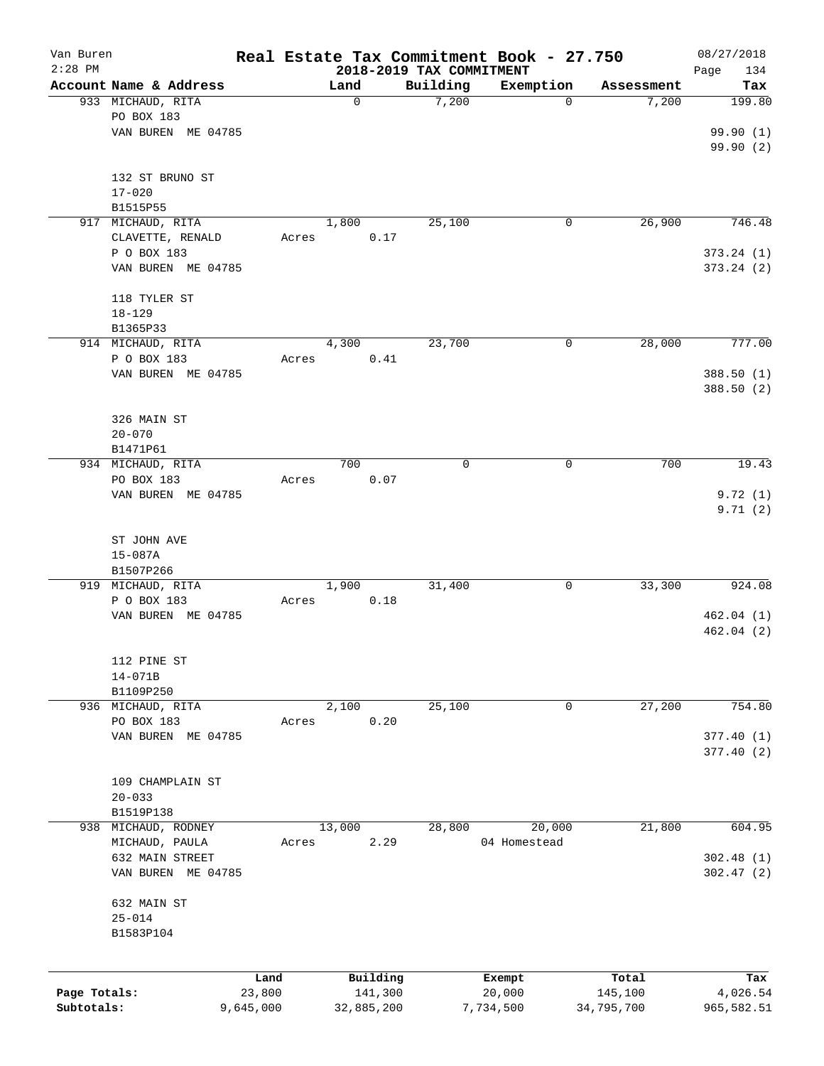| Van Buren    |                                   |           |            |                                      | Real Estate Tax Commitment Book - 27.750 |            | 08/27/2018         |
|--------------|-----------------------------------|-----------|------------|--------------------------------------|------------------------------------------|------------|--------------------|
| $2:28$ PM    | Account Name & Address            |           | Land       | 2018-2019 TAX COMMITMENT<br>Building | Exemption                                | Assessment | Page<br>134<br>Tax |
|              | 933 MICHAUD, RITA                 |           | 0          | 7,200                                | $\mathbf 0$                              | 7,200      | 199.80             |
|              | PO BOX 183                        |           |            |                                      |                                          |            |                    |
|              | VAN BUREN ME 04785                |           |            |                                      |                                          |            | 99.90 (1)          |
|              |                                   |           |            |                                      |                                          |            | 99.90 (2)          |
|              |                                   |           |            |                                      |                                          |            |                    |
|              | 132 ST BRUNO ST                   |           |            |                                      |                                          |            |                    |
|              | $17 - 020$                        |           |            |                                      |                                          |            |                    |
|              | B1515P55                          |           |            |                                      |                                          |            |                    |
|              | 917 MICHAUD, RITA                 |           | 1,800      | 25,100                               | 0                                        | 26,900     | 746.48             |
|              | CLAVETTE, RENALD                  | Acres     |            | 0.17                                 |                                          |            |                    |
|              | P O BOX 183                       |           |            |                                      |                                          |            | 373.24(1)          |
|              | VAN BUREN ME 04785                |           |            |                                      |                                          |            | 373.24(2)          |
|              | 118 TYLER ST                      |           |            |                                      |                                          |            |                    |
|              | $18 - 129$                        |           |            |                                      |                                          |            |                    |
|              | B1365P33                          |           |            |                                      |                                          |            |                    |
|              | 914 MICHAUD, RITA                 |           | 4,300      | 23,700                               | 0                                        | 28,000     | 777.00             |
|              | P O BOX 183                       | Acres     |            | 0.41                                 |                                          |            |                    |
|              | VAN BUREN ME 04785                |           |            |                                      |                                          |            | 388.50 (1)         |
|              |                                   |           |            |                                      |                                          |            | 388.50 (2)         |
|              |                                   |           |            |                                      |                                          |            |                    |
|              | 326 MAIN ST                       |           |            |                                      |                                          |            |                    |
|              | $20 - 070$                        |           |            |                                      |                                          |            |                    |
|              | B1471P61                          |           | 700        | $\mathbf 0$                          | 0                                        | 700        | 19.43              |
|              | 934 MICHAUD, RITA<br>PO BOX 183   | Acres     |            | 0.07                                 |                                          |            |                    |
|              | VAN BUREN ME 04785                |           |            |                                      |                                          |            | 9.72(1)            |
|              |                                   |           |            |                                      |                                          |            | 9.71(2)            |
|              |                                   |           |            |                                      |                                          |            |                    |
|              | ST JOHN AVE                       |           |            |                                      |                                          |            |                    |
|              | $15 - 087A$                       |           |            |                                      |                                          |            |                    |
|              | B1507P266                         |           |            |                                      |                                          |            |                    |
|              | 919 MICHAUD, RITA                 |           | 1,900      | 31,400                               | 0                                        | 33,300     | 924.08             |
|              | P O BOX 183                       | Acres     |            | 0.18                                 |                                          |            |                    |
|              | VAN BUREN ME 04785                |           |            |                                      |                                          |            | 462.04(1)          |
|              |                                   |           |            |                                      |                                          |            | 462.04(2)          |
|              | 112 PINE ST                       |           |            |                                      |                                          |            |                    |
|              | $14 - 071B$                       |           |            |                                      |                                          |            |                    |
|              | B1109P250                         |           |            |                                      |                                          |            |                    |
|              | 936 MICHAUD, RITA                 |           | 2,100      | 25,100                               | 0                                        | 27,200     | 754.80             |
|              | PO BOX 183                        | Acres     |            | 0.20                                 |                                          |            |                    |
|              | VAN BUREN ME 04785                |           |            |                                      |                                          |            | 377.40 (1)         |
|              |                                   |           |            |                                      |                                          |            | 377.40(2)          |
|              |                                   |           |            |                                      |                                          |            |                    |
|              | 109 CHAMPLAIN ST                  |           |            |                                      |                                          |            |                    |
|              | $20 - 033$                        |           |            |                                      |                                          |            |                    |
|              | B1519P138                         |           |            |                                      |                                          |            |                    |
| 938          | MICHAUD, RODNEY<br>MICHAUD, PAULA | Acres     | 13,000     | 28,800<br>2.29                       | 20,000<br>04 Homestead                   | 21,800     | 604.95             |
|              | 632 MAIN STREET                   |           |            |                                      |                                          |            | 302.48(1)          |
|              | VAN BUREN ME 04785                |           |            |                                      |                                          |            | 302.47(2)          |
|              |                                   |           |            |                                      |                                          |            |                    |
|              | 632 MAIN ST                       |           |            |                                      |                                          |            |                    |
|              | $25 - 014$                        |           |            |                                      |                                          |            |                    |
|              | B1583P104                         |           |            |                                      |                                          |            |                    |
|              |                                   |           |            |                                      |                                          |            |                    |
|              |                                   | Land      |            | Building                             | Exempt                                   | Total      | Tax                |
| Page Totals: |                                   | 23,800    |            | 141,300                              | 20,000                                   | 145,100    | 4,026.54           |
| Subtotals:   |                                   | 9,645,000 | 32,885,200 |                                      | 7,734,500                                | 34,795,700 | 965,582.51         |
|              |                                   |           |            |                                      |                                          |            |                    |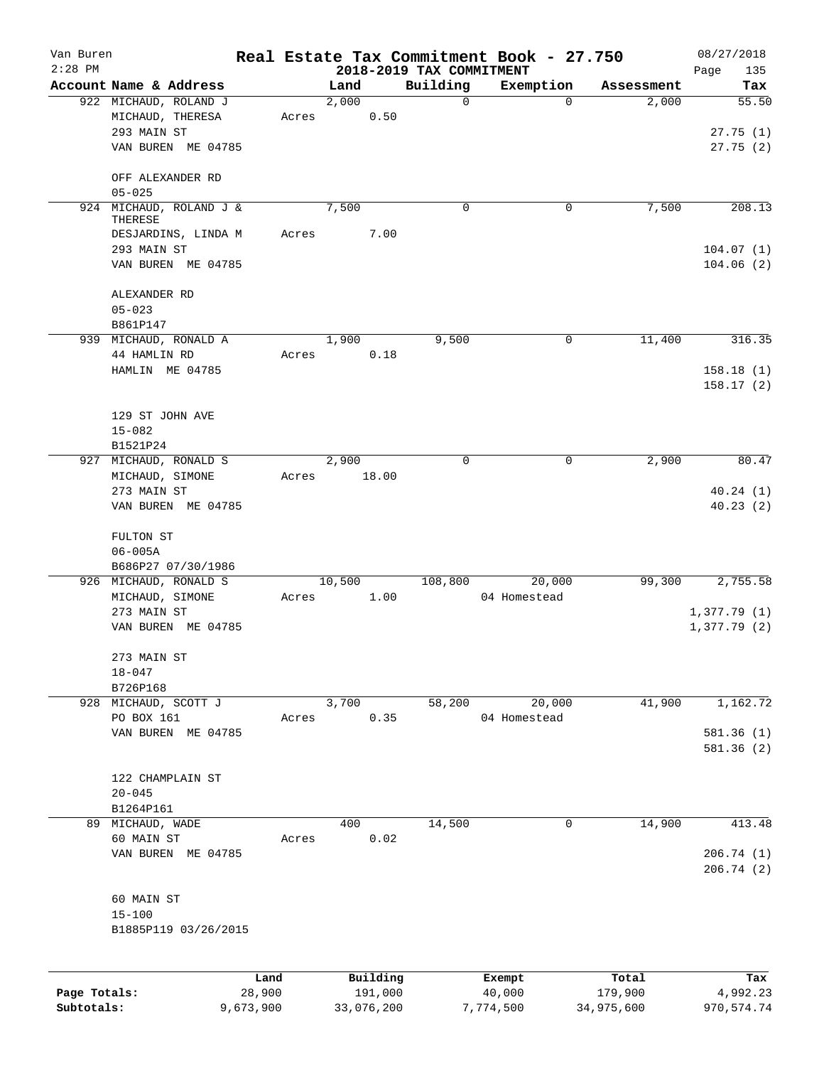| Van Buren<br>$2:28$ PM |                                |           |        |            |                                      | Real Estate Tax Commitment Book - 27.750 |            | 08/27/2018         |
|------------------------|--------------------------------|-----------|--------|------------|--------------------------------------|------------------------------------------|------------|--------------------|
|                        | Account Name & Address         |           | Land   |            | 2018-2019 TAX COMMITMENT<br>Building | Exemption                                | Assessment | 135<br>Page<br>Tax |
|                        | 922 MICHAUD, ROLAND J          |           | 2,000  |            | $\mathbf 0$                          | $\Omega$                                 | 2,000      | $\overline{55.50}$ |
|                        | MICHAUD, THERESA               | Acres     |        | 0.50       |                                      |                                          |            |                    |
|                        | 293 MAIN ST                    |           |        |            |                                      |                                          |            | 27.75(1)           |
|                        | VAN BUREN ME 04785             |           |        |            |                                      |                                          |            | 27.75(2)           |
|                        | OFF ALEXANDER RD               |           |        |            |                                      |                                          |            |                    |
|                        | $05 - 025$                     |           |        |            |                                      |                                          |            |                    |
|                        | 924 MICHAUD, ROLAND J &        |           | 7,500  |            | 0                                    | 0                                        | 7,500      | 208.13             |
|                        | THERESE<br>DESJARDINS, LINDA M | Acres     |        | 7.00       |                                      |                                          |            |                    |
|                        | 293 MAIN ST                    |           |        |            |                                      |                                          |            | 104.07(1)          |
|                        | VAN BUREN ME 04785             |           |        |            |                                      |                                          |            | 104.06(2)          |
|                        | ALEXANDER RD                   |           |        |            |                                      |                                          |            |                    |
|                        | $05 - 023$                     |           |        |            |                                      |                                          |            |                    |
|                        | B861P147                       |           |        |            |                                      |                                          |            |                    |
|                        | 939 MICHAUD, RONALD A          |           | 1,900  |            | 9,500                                | 0                                        | 11,400     | 316.35             |
|                        | 44 HAMLIN RD                   | Acres     |        | 0.18       |                                      |                                          |            |                    |
|                        | HAMLIN ME 04785                |           |        |            |                                      |                                          |            | 158.18(1)          |
|                        |                                |           |        |            |                                      |                                          |            | 158.17(2)          |
|                        | 129 ST JOHN AVE                |           |        |            |                                      |                                          |            |                    |
|                        | $15 - 082$                     |           |        |            |                                      |                                          |            |                    |
|                        | B1521P24                       |           |        |            |                                      |                                          |            |                    |
|                        | 927 MICHAUD, RONALD S          |           | 2,900  |            | $\Omega$                             | $\mathbf 0$                              | 2,900      | 80.47              |
|                        | MICHAUD, SIMONE                | Acres     |        | 18.00      |                                      |                                          |            |                    |
|                        | 273 MAIN ST                    |           |        |            |                                      |                                          |            | 40.24(1)           |
|                        | VAN BUREN ME 04785             |           |        |            |                                      |                                          |            | 40.23(2)           |
|                        | FULTON ST                      |           |        |            |                                      |                                          |            |                    |
|                        | $06 - 005A$                    |           |        |            |                                      |                                          |            |                    |
|                        | B686P27 07/30/1986             |           |        |            |                                      |                                          |            |                    |
|                        | 926 MICHAUD, RONALD S          |           | 10,500 |            | 108,800                              | 20,000                                   | 99,300     | 2,755.58           |
|                        | MICHAUD, SIMONE                | Acres     |        | 1.00       |                                      | 04 Homestead                             |            |                    |
|                        | 273 MAIN ST                    |           |        |            |                                      |                                          |            | 1,377.79(1)        |
|                        | VAN BUREN ME 04785             |           |        |            |                                      |                                          |            | 1,377.79(2)        |
|                        | 273 MAIN ST                    |           |        |            |                                      |                                          |            |                    |
|                        | $18 - 047$                     |           |        |            |                                      |                                          |            |                    |
|                        | B726P168                       |           |        |            |                                      |                                          |            |                    |
|                        | 928 MICHAUD, SCOTT J           |           | 3,700  |            | 58,200                               | 20,000                                   | 41,900     | 1,162.72           |
|                        | PO BOX 161                     | Acres     |        | 0.35       |                                      | 04 Homestead                             |            |                    |
|                        | VAN BUREN ME 04785             |           |        |            |                                      |                                          |            | 581.36 (1)         |
|                        |                                |           |        |            |                                      |                                          |            | 581.36 (2)         |
|                        | 122 CHAMPLAIN ST               |           |        |            |                                      |                                          |            |                    |
|                        | $20 - 045$                     |           |        |            |                                      |                                          |            |                    |
|                        | B1264P161                      |           |        |            |                                      |                                          |            |                    |
|                        | 89 MICHAUD, WADE               |           | 400    |            | 14,500                               | 0                                        | 14,900     | 413.48             |
|                        | 60 MAIN ST                     | Acres     |        | 0.02       |                                      |                                          |            |                    |
|                        | VAN BUREN ME 04785             |           |        |            |                                      |                                          |            | 206.74 (1)         |
|                        |                                |           |        |            |                                      |                                          |            | 206.74(2)          |
|                        | 60 MAIN ST                     |           |        |            |                                      |                                          |            |                    |
|                        | $15 - 100$                     |           |        |            |                                      |                                          |            |                    |
|                        | B1885P119 03/26/2015           |           |        |            |                                      |                                          |            |                    |
|                        |                                |           |        |            |                                      |                                          |            |                    |
|                        |                                | Land      |        | Building   |                                      | Exempt                                   | Total      | Tax                |
| Page Totals:           |                                | 28,900    |        | 191,000    |                                      | 40,000                                   | 179,900    | 4,992.23           |
| Subtotals:             |                                | 9,673,900 |        | 33,076,200 |                                      | 7,774,500                                | 34,975,600 | 970, 574.74        |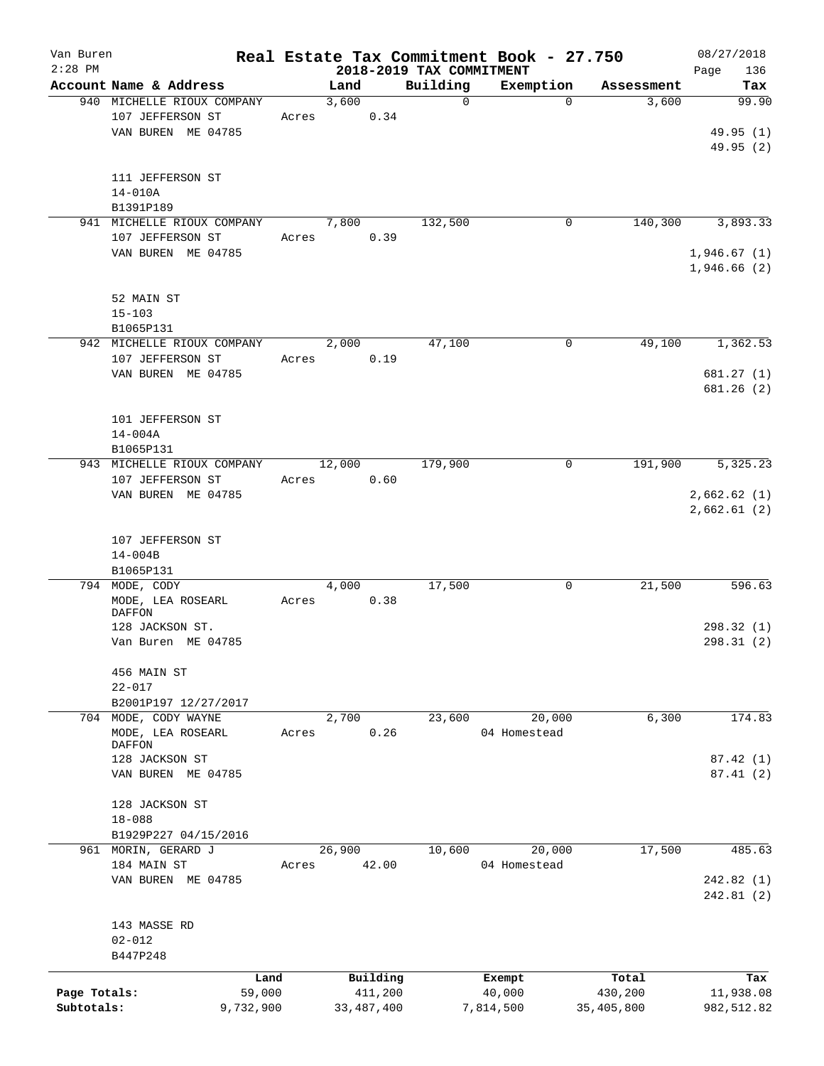| Van Buren    |                            |       |        |              |                          | Real Estate Tax Commitment Book - 27.750 |            | 08/27/2018   |
|--------------|----------------------------|-------|--------|--------------|--------------------------|------------------------------------------|------------|--------------|
| $2:28$ PM    |                            |       |        |              | 2018-2019 TAX COMMITMENT |                                          |            | Page<br>136  |
|              | Account Name & Address     |       | Land   |              | Building                 | Exemption                                | Assessment | Tax          |
|              | 940 MICHELLE RIOUX COMPANY |       | 3,600  |              | $\mathbf 0$              | 0                                        | 3,600      | 99.90        |
|              | 107 JEFFERSON ST           | Acres |        | 0.34         |                          |                                          |            |              |
|              | VAN BUREN ME 04785         |       |        |              |                          |                                          |            | 49.95 (1)    |
|              |                            |       |        |              |                          |                                          |            | 49.95 (2)    |
|              |                            |       |        |              |                          |                                          |            |              |
|              | 111 JEFFERSON ST           |       |        |              |                          |                                          |            |              |
|              | $14 - 010A$                |       |        |              |                          |                                          |            |              |
|              | B1391P189                  |       |        |              |                          |                                          |            |              |
|              | 941 MICHELLE RIOUX COMPANY |       | 7,800  |              | 132,500                  | 0                                        | 140,300    | 3,893.33     |
|              | 107 JEFFERSON ST           | Acres |        | 0.39         |                          |                                          |            |              |
|              | VAN BUREN ME 04785         |       |        |              |                          |                                          |            | 1,946.67(1)  |
|              |                            |       |        |              |                          |                                          |            | 1,946.66 (2) |
|              |                            |       |        |              |                          |                                          |            |              |
|              | 52 MAIN ST                 |       |        |              |                          |                                          |            |              |
|              | $15 - 103$                 |       |        |              |                          |                                          |            |              |
|              | B1065P131                  |       |        |              |                          |                                          |            |              |
|              | 942 MICHELLE RIOUX COMPANY |       | 2,000  |              | 47,100                   | 0                                        | 49,100     | 1,362.53     |
|              | 107 JEFFERSON ST           | Acres |        | 0.19         |                          |                                          |            |              |
|              | VAN BUREN ME 04785         |       |        |              |                          |                                          |            | 681.27 (1)   |
|              |                            |       |        |              |                          |                                          |            | 681.26 (2)   |
|              |                            |       |        |              |                          |                                          |            |              |
|              | 101 JEFFERSON ST           |       |        |              |                          |                                          |            |              |
|              | $14 - 004A$                |       |        |              |                          |                                          |            |              |
|              | B1065P131                  |       |        |              |                          |                                          |            |              |
| 943          | MICHELLE RIOUX COMPANY     |       | 12,000 |              | 179,900                  | 0                                        | 191,900    | 5,325.23     |
|              | 107 JEFFERSON ST           | Acres |        | 0.60         |                          |                                          |            |              |
|              | VAN BUREN ME 04785         |       |        |              |                          |                                          |            | 2,662.62(1)  |
|              |                            |       |        |              |                          |                                          |            | 2,662.61(2)  |
|              |                            |       |        |              |                          |                                          |            |              |
|              | 107 JEFFERSON ST           |       |        |              |                          |                                          |            |              |
|              | $14 - 004B$                |       |        |              |                          |                                          |            |              |
|              | B1065P131                  |       |        |              |                          |                                          |            |              |
|              | 794 MODE, CODY             |       | 4,000  |              | 17,500                   | 0                                        | 21,500     | 596.63       |
|              | MODE, LEA ROSEARL          | Acres |        | 0.38         |                          |                                          |            |              |
|              | DAFFON                     |       |        |              |                          |                                          |            |              |
|              | 128 JACKSON ST.            |       |        |              |                          |                                          |            | 298.32 (1)   |
|              | Van Buren ME 04785         |       |        |              |                          |                                          |            | 298.31(2)    |
|              |                            |       |        |              |                          |                                          |            |              |
|              | 456 MAIN ST                |       |        |              |                          |                                          |            |              |
|              | $22 - 017$                 |       |        |              |                          |                                          |            |              |
|              | B2001P197 12/27/2017       |       |        |              |                          |                                          |            |              |
|              | 704 MODE, CODY WAYNE       |       | 2,700  |              | 23,600                   | 20,000                                   | 6,300      | 174.83       |
|              | MODE, LEA ROSEARL          | Acres |        | 0.26         |                          | 04 Homestead                             |            |              |
|              | DAFFON                     |       |        |              |                          |                                          |            |              |
|              | 128 JACKSON ST             |       |        |              |                          |                                          |            | 87.42(1)     |
|              | VAN BUREN ME 04785         |       |        |              |                          |                                          |            | 87.41(2)     |
|              |                            |       |        |              |                          |                                          |            |              |
|              | 128 JACKSON ST             |       |        |              |                          |                                          |            |              |
|              | $18 - 088$                 |       |        |              |                          |                                          |            |              |
|              | B1929P227 04/15/2016       |       |        |              |                          |                                          |            |              |
|              | 961 MORIN, GERARD J        |       | 26,900 |              | 10,600                   | 20,000                                   | 17,500     | 485.63       |
|              | 184 MAIN ST                | Acres |        | 42.00        |                          | 04 Homestead                             |            |              |
|              | VAN BUREN ME 04785         |       |        |              |                          |                                          |            | 242.82 (1)   |
|              |                            |       |        |              |                          |                                          |            | 242.81(2)    |
|              |                            |       |        |              |                          |                                          |            |              |
|              |                            |       |        |              |                          |                                          |            |              |
|              | 143 MASSE RD<br>$02 - 012$ |       |        |              |                          |                                          |            |              |
|              |                            |       |        |              |                          |                                          |            |              |
|              | B447P248                   |       |        |              |                          |                                          |            |              |
|              | Land                       |       |        | Building     |                          | Exempt                                   | Total      | Tax          |
| Page Totals: | 59,000                     |       |        | 411,200      |                          | 40,000                                   | 430,200    | 11,938.08    |
| Subtotals:   | 9,732,900                  |       |        | 33, 487, 400 |                          | 7,814,500                                | 35,405,800 | 982,512.82   |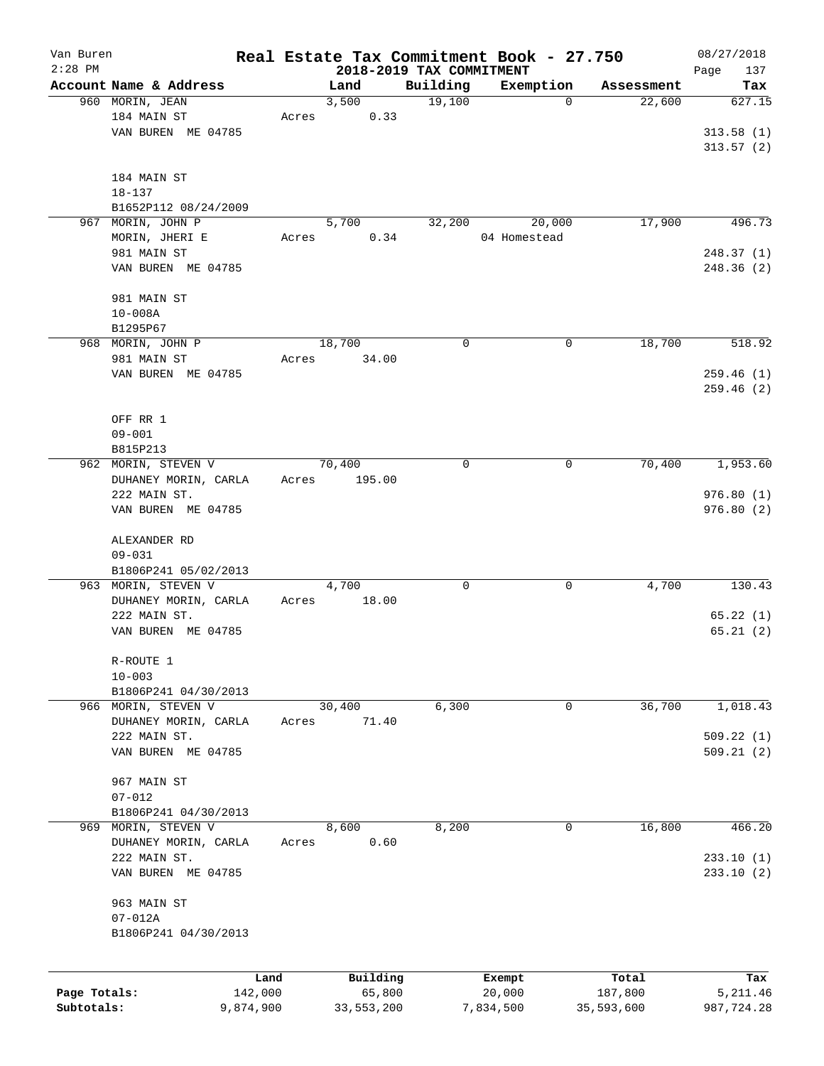| Van Buren    |                                         |                 |                    |                          | Real Estate Tax Commitment Book - 27.750 |                       | 08/27/2018             |
|--------------|-----------------------------------------|-----------------|--------------------|--------------------------|------------------------------------------|-----------------------|------------------------|
| $2:28$ PM    | Account Name & Address                  |                 |                    | 2018-2019 TAX COMMITMENT |                                          |                       | Page<br>137            |
|              | 960 MORIN, JEAN                         |                 | Land<br>3,500      | Building<br>19,100       | Exemption<br>$\mathbf 0$                 | Assessment<br>22,600  | Tax<br>627.15          |
|              | 184 MAIN ST                             | Acres           | 0.33               |                          |                                          |                       |                        |
|              | VAN BUREN ME 04785                      |                 |                    |                          |                                          |                       | 313.58(1)              |
|              |                                         |                 |                    |                          |                                          |                       | 313.57(2)              |
|              |                                         |                 |                    |                          |                                          |                       |                        |
|              | 184 MAIN ST                             |                 |                    |                          |                                          |                       |                        |
|              | $18 - 137$                              |                 |                    |                          |                                          |                       |                        |
|              | B1652P112 08/24/2009                    |                 |                    |                          |                                          |                       |                        |
| 967          | MORIN, JOHN P                           |                 | 5,700              | 32,200                   | 20,000                                   | 17,900                | 496.73                 |
|              | MORIN, JHERI E                          | Acres           | 0.34               |                          | 04 Homestead                             |                       |                        |
|              | 981 MAIN ST                             |                 |                    |                          |                                          |                       | 248.37(1)              |
|              | VAN BUREN ME 04785                      |                 |                    |                          |                                          |                       | 248.36 (2)             |
|              | 981 MAIN ST                             |                 |                    |                          |                                          |                       |                        |
|              | $10 - 008A$                             |                 |                    |                          |                                          |                       |                        |
|              | B1295P67                                |                 |                    |                          |                                          |                       |                        |
|              | 968 MORIN, JOHN P                       |                 | 18,700             | 0                        | 0                                        | 18,700                | 518.92                 |
|              | 981 MAIN ST                             | Acres           | 34.00              |                          |                                          |                       |                        |
|              | VAN BUREN ME 04785                      |                 |                    |                          |                                          |                       | 259.46 (1)             |
|              |                                         |                 |                    |                          |                                          |                       | 259.46(2)              |
|              |                                         |                 |                    |                          |                                          |                       |                        |
|              | OFF RR 1                                |                 |                    |                          |                                          |                       |                        |
|              | $09 - 001$                              |                 |                    |                          |                                          |                       |                        |
|              | B815P213                                |                 |                    |                          |                                          |                       |                        |
|              | 962 MORIN, STEVEN V                     |                 | 70,400             | 0                        | 0                                        | 70,400                | 1,953.60               |
|              | DUHANEY MORIN, CARLA                    | Acres           | 195.00             |                          |                                          |                       |                        |
|              | 222 MAIN ST.                            |                 |                    |                          |                                          |                       | 976.80(1)              |
|              | VAN BUREN ME 04785                      |                 |                    |                          |                                          |                       | 976.80 (2)             |
|              | ALEXANDER RD                            |                 |                    |                          |                                          |                       |                        |
|              | $09 - 031$                              |                 |                    |                          |                                          |                       |                        |
|              | B1806P241 05/02/2013                    |                 |                    |                          |                                          |                       |                        |
|              | 963 MORIN, STEVEN V                     |                 | 4,700              | 0                        | 0                                        | 4,700                 | 130.43                 |
|              | DUHANEY MORIN, CARLA                    | Acres           | 18.00              |                          |                                          |                       |                        |
|              | 222 MAIN ST.                            |                 |                    |                          |                                          |                       | 65.22(1)               |
|              | VAN BUREN ME 04785                      |                 |                    |                          |                                          |                       | 65.21(2)               |
|              | R-ROUTE 1                               |                 |                    |                          |                                          |                       |                        |
|              | $10 - 003$                              |                 |                    |                          |                                          |                       |                        |
|              | B1806P241 04/30/2013                    |                 |                    |                          |                                          |                       |                        |
|              | 966 MORIN, STEVEN V                     |                 | 30,400             | 6,300                    | 0                                        | 36,700                | 1,018.43               |
|              | DUHANEY MORIN, CARLA                    | Acres           | 71.40              |                          |                                          |                       |                        |
|              | 222 MAIN ST.                            |                 |                    |                          |                                          |                       | 509.22(1)              |
|              | VAN BUREN ME 04785                      |                 |                    |                          |                                          |                       | 509.21(2)              |
|              |                                         |                 |                    |                          |                                          |                       |                        |
|              | 967 MAIN ST                             |                 |                    |                          |                                          |                       |                        |
|              | $07 - 012$                              |                 |                    |                          |                                          |                       |                        |
| 969          | B1806P241 04/30/2013<br>MORIN, STEVEN V |                 | 8,600              | 8,200                    | 0                                        | 16,800                | 466.20                 |
|              | DUHANEY MORIN, CARLA                    | Acres           | 0.60               |                          |                                          |                       |                        |
|              | 222 MAIN ST.                            |                 |                    |                          |                                          |                       | 233.10(1)              |
|              | VAN BUREN ME 04785                      |                 |                    |                          |                                          |                       | 233.10(2)              |
|              |                                         |                 |                    |                          |                                          |                       |                        |
|              | 963 MAIN ST                             |                 |                    |                          |                                          |                       |                        |
|              | $07 - 012A$                             |                 |                    |                          |                                          |                       |                        |
|              | B1806P241 04/30/2013                    |                 |                    |                          |                                          |                       |                        |
|              |                                         |                 |                    |                          |                                          |                       |                        |
| Page Totals: |                                         | Land<br>142,000 | Building<br>65,800 |                          | Exempt                                   | Total                 | Tax                    |
| Subtotals:   |                                         | 9,874,900       | 33,553,200         |                          | 20,000<br>7,834,500                      | 187,800<br>35,593,600 | 5,211.46<br>987,724.28 |
|              |                                         |                 |                    |                          |                                          |                       |                        |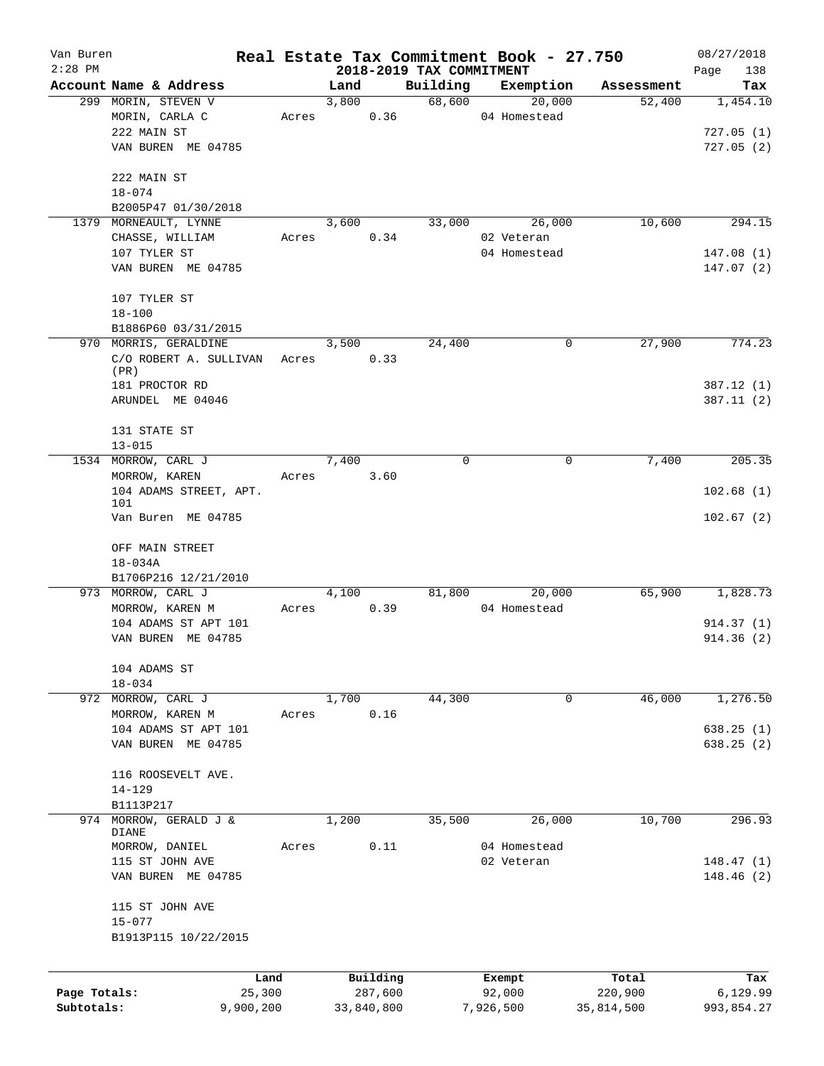| Van Buren    |                           |       |               |            |                                      | Real Estate Tax Commitment Book - 27.750 |                      | 08/27/2018         |
|--------------|---------------------------|-------|---------------|------------|--------------------------------------|------------------------------------------|----------------------|--------------------|
| $2:28$ PM    | Account Name & Address    |       |               |            | 2018-2019 TAX COMMITMENT<br>Building | Exemption                                |                      | Page<br>138<br>Tax |
|              | 299 MORIN, STEVEN V       |       | Land<br>3,800 |            | 68,600                               | 20,000                                   | Assessment<br>52,400 | 1,454.10           |
|              | MORIN, CARLA C            | Acres |               | 0.36       |                                      | 04 Homestead                             |                      |                    |
|              | 222 MAIN ST               |       |               |            |                                      |                                          |                      | 727.05(1)          |
|              | VAN BUREN ME 04785        |       |               |            |                                      |                                          |                      | 727.05(2)          |
|              |                           |       |               |            |                                      |                                          |                      |                    |
|              | 222 MAIN ST               |       |               |            |                                      |                                          |                      |                    |
|              | $18 - 074$                |       |               |            |                                      |                                          |                      |                    |
|              | B2005P47 01/30/2018       |       |               |            |                                      |                                          |                      |                    |
|              | 1379 MORNEAULT, LYNNE     |       | 3,600         |            | 33,000                               | 26,000                                   | 10,600               | 294.15             |
|              | CHASSE, WILLIAM           | Acres |               | 0.34       |                                      | 02 Veteran                               |                      |                    |
|              | 107 TYLER ST              |       |               |            |                                      | 04 Homestead                             |                      | 147.08(1)          |
|              | VAN BUREN ME 04785        |       |               |            |                                      |                                          |                      | 147.07(2)          |
|              |                           |       |               |            |                                      |                                          |                      |                    |
|              | 107 TYLER ST              |       |               |            |                                      |                                          |                      |                    |
|              | $18 - 100$                |       |               |            |                                      |                                          |                      |                    |
|              | B1886P60 03/31/2015       |       |               |            |                                      |                                          |                      |                    |
|              | 970 MORRIS, GERALDINE     |       | 3,500         |            | 24,400                               | 0                                        | 27,900               | 774.23             |
|              | C/O ROBERT A. SULLIVAN    | Acres |               | 0.33       |                                      |                                          |                      |                    |
|              | (PR)                      |       |               |            |                                      |                                          |                      |                    |
|              | 181 PROCTOR RD            |       |               |            |                                      |                                          |                      | 387.12 (1)         |
|              | ARUNDEL ME 04046          |       |               |            |                                      |                                          |                      | 387.11(2)          |
|              |                           |       |               |            |                                      |                                          |                      |                    |
|              | 131 STATE ST              |       |               |            |                                      |                                          |                      |                    |
|              | $13 - 015$                |       |               |            |                                      |                                          |                      |                    |
|              | 1534 MORROW, CARL J       |       | 7,400         |            | $\Omega$                             | $\mathbf 0$                              | 7,400                | 205.35             |
|              | MORROW, KAREN             | Acres |               | 3.60       |                                      |                                          |                      |                    |
|              | 104 ADAMS STREET, APT.    |       |               |            |                                      |                                          |                      | 102.68(1)          |
|              | 101<br>Van Buren ME 04785 |       |               |            |                                      |                                          |                      | 102.67(2)          |
|              |                           |       |               |            |                                      |                                          |                      |                    |
|              | OFF MAIN STREET           |       |               |            |                                      |                                          |                      |                    |
|              | $18 - 034A$               |       |               |            |                                      |                                          |                      |                    |
|              | B1706P216 12/21/2010      |       |               |            |                                      |                                          |                      |                    |
|              | 973 MORROW, CARL J        |       | 4,100         |            | 81,800                               | 20,000                                   | 65,900               | 1,828.73           |
|              | MORROW, KAREN M           | Acres |               | 0.39       |                                      | 04 Homestead                             |                      |                    |
|              | 104 ADAMS ST APT 101      |       |               |            |                                      |                                          |                      | 914.37 (1)         |
|              | VAN BUREN ME 04785        |       |               |            |                                      |                                          |                      | 914.36(2)          |
|              |                           |       |               |            |                                      |                                          |                      |                    |
|              | 104 ADAMS ST              |       |               |            |                                      |                                          |                      |                    |
|              | $18 - 034$                |       |               |            |                                      |                                          |                      |                    |
|              | 972 MORROW, CARL J        |       | 1,700         |            | 44,300                               | 0                                        | 46,000               | 1,276.50           |
|              | MORROW, KAREN M           | Acres |               | 0.16       |                                      |                                          |                      |                    |
|              | 104 ADAMS ST APT 101      |       |               |            |                                      |                                          |                      | 638.25(1)          |
|              | VAN BUREN ME 04785        |       |               |            |                                      |                                          |                      | 638.25(2)          |
|              |                           |       |               |            |                                      |                                          |                      |                    |
|              | 116 ROOSEVELT AVE.        |       |               |            |                                      |                                          |                      |                    |
|              | $14 - 129$                |       |               |            |                                      |                                          |                      |                    |
|              | B1113P217                 |       |               |            |                                      |                                          |                      |                    |
| 974          | MORROW, GERALD J &        |       | 1,200         |            | 35,500                               | 26,000                                   | 10,700               | 296.93             |
|              | DIANE                     |       |               |            |                                      |                                          |                      |                    |
|              | MORROW, DANIEL            | Acres |               | 0.11       |                                      | 04 Homestead                             |                      |                    |
|              | 115 ST JOHN AVE           |       |               |            |                                      | 02 Veteran                               |                      | 148.47(1)          |
|              | VAN BUREN ME 04785        |       |               |            |                                      |                                          |                      | 148.46(2)          |
|              |                           |       |               |            |                                      |                                          |                      |                    |
|              | 115 ST JOHN AVE           |       |               |            |                                      |                                          |                      |                    |
|              | $15 - 077$                |       |               |            |                                      |                                          |                      |                    |
|              | B1913P115 10/22/2015      |       |               |            |                                      |                                          |                      |                    |
|              |                           |       |               |            |                                      |                                          |                      |                    |
|              |                           | Land  |               | Building   |                                      | Exempt                                   | Total                | Tax                |
| Page Totals: | 25,300                    |       |               | 287,600    |                                      | 92,000                                   | 220,900              | 6,129.99           |
| Subtotals:   | 9,900,200                 |       |               | 33,840,800 |                                      | 7,926,500                                | 35,814,500           | 993,854.27         |
|              |                           |       |               |            |                                      |                                          |                      |                    |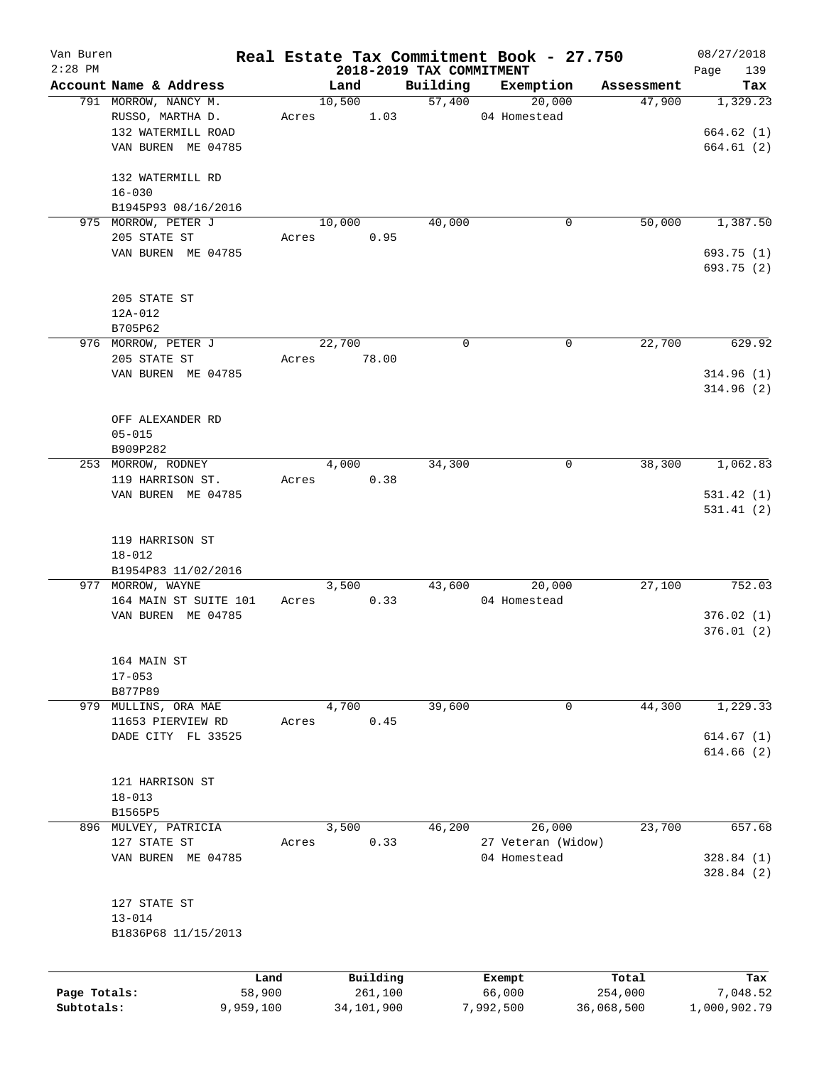| Van Buren    |                        |       |        |            |                          | Real Estate Tax Commitment Book - 27.750 |            | 08/27/2018      |
|--------------|------------------------|-------|--------|------------|--------------------------|------------------------------------------|------------|-----------------|
| $2:28$ PM    |                        |       |        |            | 2018-2019 TAX COMMITMENT |                                          |            | 139<br>Page     |
|              | Account Name & Address |       | Land   |            | Building                 | Exemption                                | Assessment | Tax             |
|              | 791 MORROW, NANCY M.   |       | 10,500 |            | 57,400                   | 20,000                                   | 47,900     | 1,329.23        |
|              | RUSSO, MARTHA D.       | Acres |        | 1.03       |                          | 04 Homestead                             |            |                 |
|              | 132 WATERMILL ROAD     |       |        |            |                          |                                          |            | 664.62(1)       |
|              | VAN BUREN ME 04785     |       |        |            |                          |                                          |            | 664.61 (2)      |
|              | 132 WATERMILL RD       |       |        |            |                          |                                          |            |                 |
|              | $16 - 030$             |       |        |            |                          |                                          |            |                 |
|              | B1945P93 08/16/2016    |       |        |            |                          |                                          |            |                 |
|              | 975 MORROW, PETER J    |       | 10,000 |            | 40,000                   | 0                                        | 50,000     | 1,387.50        |
|              | 205 STATE ST           | Acres |        | 0.95       |                          |                                          |            |                 |
|              | VAN BUREN ME 04785     |       |        |            |                          |                                          |            | 693.75 (1)      |
|              |                        |       |        |            |                          |                                          |            | 693.75 (2)      |
|              | 205 STATE ST           |       |        |            |                          |                                          |            |                 |
|              | $12A-012$              |       |        |            |                          |                                          |            |                 |
|              | B705P62                |       |        |            |                          |                                          |            |                 |
|              |                        |       | 22,700 |            | 0                        |                                          |            |                 |
|              | 976 MORROW, PETER J    |       |        |            |                          | 0                                        | 22,700     | 629.92          |
|              | 205 STATE ST           | Acres |        | 78.00      |                          |                                          |            |                 |
|              | VAN BUREN ME 04785     |       |        |            |                          |                                          |            | 314.96(1)       |
|              |                        |       |        |            |                          |                                          |            | 314.96(2)       |
|              | OFF ALEXANDER RD       |       |        |            |                          |                                          |            |                 |
|              | $05 - 015$             |       |        |            |                          |                                          |            |                 |
|              | B909P282               |       |        |            |                          |                                          |            |                 |
|              | 253 MORROW, RODNEY     |       | 4,000  |            | 34,300                   | 0                                        | 38,300     | 1,062.83        |
|              | 119 HARRISON ST.       | Acres |        | 0.38       |                          |                                          |            |                 |
|              |                        |       |        |            |                          |                                          |            |                 |
|              | VAN BUREN ME 04785     |       |        |            |                          |                                          |            | 531.42(1)       |
|              |                        |       |        |            |                          |                                          |            | 531.41(2)       |
|              | 119 HARRISON ST        |       |        |            |                          |                                          |            |                 |
|              |                        |       |        |            |                          |                                          |            |                 |
|              | $18 - 012$             |       |        |            |                          |                                          |            |                 |
|              | B1954P83 11/02/2016    |       |        |            |                          |                                          |            |                 |
|              | 977 MORROW, WAYNE      |       | 3,500  |            | 43,600                   | 20,000                                   | 27,100     | 752.03          |
|              | 164 MAIN ST SUITE 101  | Acres |        | 0.33       |                          | 04 Homestead                             |            |                 |
|              | VAN BUREN ME 04785     |       |        |            |                          |                                          |            | 376.02(1)       |
|              |                        |       |        |            |                          |                                          |            | 376.01(2)       |
|              | 164 MAIN ST            |       |        |            |                          |                                          |            |                 |
|              | $17 - 053$             |       |        |            |                          |                                          |            |                 |
|              | B877P89                |       |        |            |                          |                                          |            |                 |
|              | 979 MULLINS, ORA MAE   |       | 4,700  |            | 39,600                   | 0                                        | 44,300     | 1,229.33        |
|              |                        |       |        |            |                          |                                          |            |                 |
|              | 11653 PIERVIEW RD      | Acres |        | 0.45       |                          |                                          |            |                 |
|              | DADE CITY FL 33525     |       |        |            |                          |                                          |            | 614.67(1)       |
|              |                        |       |        |            |                          |                                          |            | 614.66(2)       |
|              |                        |       |        |            |                          |                                          |            |                 |
|              | 121 HARRISON ST        |       |        |            |                          |                                          |            |                 |
|              | $18 - 013$             |       |        |            |                          |                                          |            |                 |
|              | B1565P5                |       |        |            |                          |                                          |            |                 |
|              | 896 MULVEY, PATRICIA   |       | 3,500  |            | 46,200                   | 26,000                                   | 23,700     | 657.68          |
|              | 127 STATE ST           | Acres |        | 0.33       |                          | 27 Veteran (Widow)                       |            |                 |
|              | VAN BUREN ME 04785     |       |        |            |                          | 04 Homestead                             |            | 328.84 (1)      |
|              |                        |       |        |            |                          |                                          |            | 328.84(2)       |
|              | 127 STATE ST           |       |        |            |                          |                                          |            |                 |
|              | $13 - 014$             |       |        |            |                          |                                          |            |                 |
|              |                        |       |        |            |                          |                                          |            |                 |
|              | B1836P68 11/15/2013    |       |        |            |                          |                                          |            |                 |
|              |                        |       |        | Building   |                          |                                          | Total      |                 |
| Page Totals: | Land<br>58,900         |       |        | 261,100    |                          | Exempt<br>66,000                         | 254,000    | Tax<br>7,048.52 |
| Subtotals:   | 9,959,100              |       |        | 34,101,900 |                          | 7,992,500                                | 36,068,500 | 1,000,902.79    |
|              |                        |       |        |            |                          |                                          |            |                 |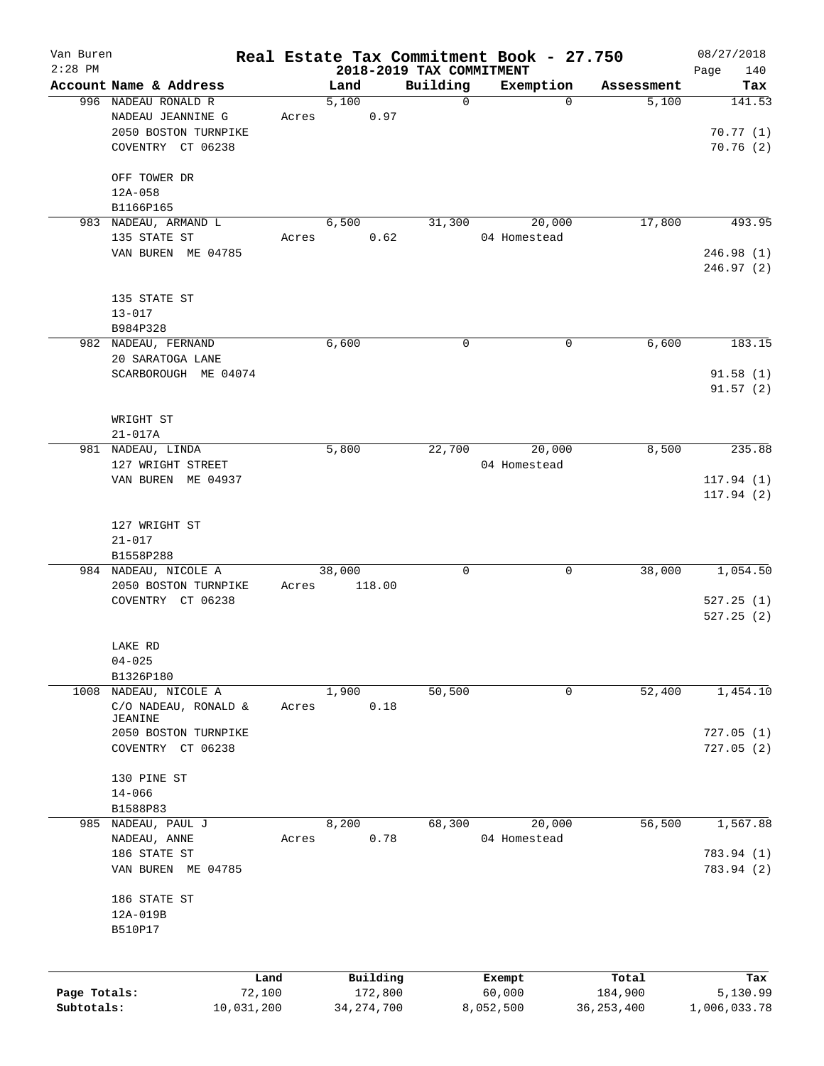| Van Buren    |                                   |       |              |                                      | Real Estate Tax Commitment Book - 27.750 |              | 08/27/2018         |
|--------------|-----------------------------------|-------|--------------|--------------------------------------|------------------------------------------|--------------|--------------------|
| $2:28$ PM    | Account Name & Address            |       | Land         | 2018-2019 TAX COMMITMENT<br>Building | Exemption                                | Assessment   | Page<br>140<br>Tax |
|              | 996 NADEAU RONALD R               |       | 5,100        | $\mathbf 0$                          | $\Omega$                                 | 5,100        | 141.53             |
|              | NADEAU JEANNINE G                 | Acres | 0.97         |                                      |                                          |              |                    |
|              | 2050 BOSTON TURNPIKE              |       |              |                                      |                                          |              | 70.77(1)           |
|              | COVENTRY CT 06238                 |       |              |                                      |                                          |              | 70.76(2)           |
|              |                                   |       |              |                                      |                                          |              |                    |
|              | OFF TOWER DR                      |       |              |                                      |                                          |              |                    |
|              | $12A - 058$                       |       |              |                                      |                                          |              |                    |
|              | B1166P165                         |       |              |                                      |                                          |              |                    |
|              | 983 NADEAU, ARMAND L              |       | 6,500        | 31,300                               | 20,000                                   | 17,800       | 493.95             |
|              | 135 STATE ST                      | Acres | 0.62         |                                      | 04 Homestead                             |              |                    |
|              | VAN BUREN ME 04785                |       |              |                                      |                                          |              | 246.98(1)          |
|              |                                   |       |              |                                      |                                          |              | 246.97(2)          |
|              |                                   |       |              |                                      |                                          |              |                    |
|              | 135 STATE ST                      |       |              |                                      |                                          |              |                    |
|              | $13 - 017$                        |       |              |                                      |                                          |              |                    |
|              | B984P328                          |       |              |                                      |                                          |              |                    |
|              | 982 NADEAU, FERNAND               |       | 6,600        | 0                                    | 0                                        | 6,600        | 183.15             |
|              | 20 SARATOGA LANE                  |       |              |                                      |                                          |              |                    |
|              | SCARBOROUGH ME 04074              |       |              |                                      |                                          |              | 91.58(1)           |
|              |                                   |       |              |                                      |                                          |              | 91.57(2)           |
|              |                                   |       |              |                                      |                                          |              |                    |
|              | WRIGHT ST                         |       |              |                                      |                                          |              |                    |
|              | $21 - 017A$                       |       |              |                                      |                                          |              |                    |
|              | 981 NADEAU, LINDA                 |       | 5,800        | 22,700                               | 20,000                                   | 8,500        | 235.88             |
|              | 127 WRIGHT STREET                 |       |              |                                      | 04 Homestead                             |              |                    |
|              | VAN BUREN ME 04937                |       |              |                                      |                                          |              | 117.94(1)          |
|              |                                   |       |              |                                      |                                          |              | 117.94(2)          |
|              |                                   |       |              |                                      |                                          |              |                    |
|              | 127 WRIGHT ST                     |       |              |                                      |                                          |              |                    |
|              | $21 - 017$                        |       |              |                                      |                                          |              |                    |
|              | B1558P288<br>984 NADEAU, NICOLE A |       | 38,000       | 0                                    | $\mathbf 0$                              | 38,000       | 1,054.50           |
|              | 2050 BOSTON TURNPIKE              | Acres | 118.00       |                                      |                                          |              |                    |
|              | COVENTRY CT 06238                 |       |              |                                      |                                          |              | 527.25(1)          |
|              |                                   |       |              |                                      |                                          |              | 527.25(2)          |
|              |                                   |       |              |                                      |                                          |              |                    |
|              | LAKE RD                           |       |              |                                      |                                          |              |                    |
|              | $04 - 025$                        |       |              |                                      |                                          |              |                    |
|              | B1326P180                         |       |              |                                      |                                          |              |                    |
| 1008         | NADEAU, NICOLE A                  |       | 1,900        | 50,500                               | 0                                        | 52,400       | 1,454.10           |
|              | C/O NADEAU, RONALD &              | Acres | 0.18         |                                      |                                          |              |                    |
|              | JEANINE                           |       |              |                                      |                                          |              |                    |
|              | 2050 BOSTON TURNPIKE              |       |              |                                      |                                          |              | 727.05(1)          |
|              | COVENTRY CT 06238                 |       |              |                                      |                                          |              | 727.05(2)          |
|              |                                   |       |              |                                      |                                          |              |                    |
|              | 130 PINE ST                       |       |              |                                      |                                          |              |                    |
|              | $14 - 066$                        |       |              |                                      |                                          |              |                    |
|              | B1588P83<br>985 NADEAU, PAUL J    |       | 8,200        | 68,300                               | 20,000                                   | 56,500       | 1,567.88           |
|              | NADEAU, ANNE                      | Acres | 0.78         |                                      | 04 Homestead                             |              |                    |
|              | 186 STATE ST                      |       |              |                                      |                                          |              | 783.94 (1)         |
|              | VAN BUREN<br>ME 04785             |       |              |                                      |                                          |              | 783.94 (2)         |
|              |                                   |       |              |                                      |                                          |              |                    |
|              | 186 STATE ST                      |       |              |                                      |                                          |              |                    |
|              | 12A-019B                          |       |              |                                      |                                          |              |                    |
|              | B510P17                           |       |              |                                      |                                          |              |                    |
|              |                                   |       |              |                                      |                                          |              |                    |
|              |                                   |       |              |                                      |                                          |              |                    |
|              | Land                              |       | Building     |                                      | Exempt                                   | Total        | Tax                |
| Page Totals: | 72,100                            |       | 172,800      |                                      | 60,000                                   | 184,900      | 5,130.99           |
| Subtotals:   | 10,031,200                        |       | 34, 274, 700 |                                      | 8,052,500                                | 36, 253, 400 | 1,006,033.78       |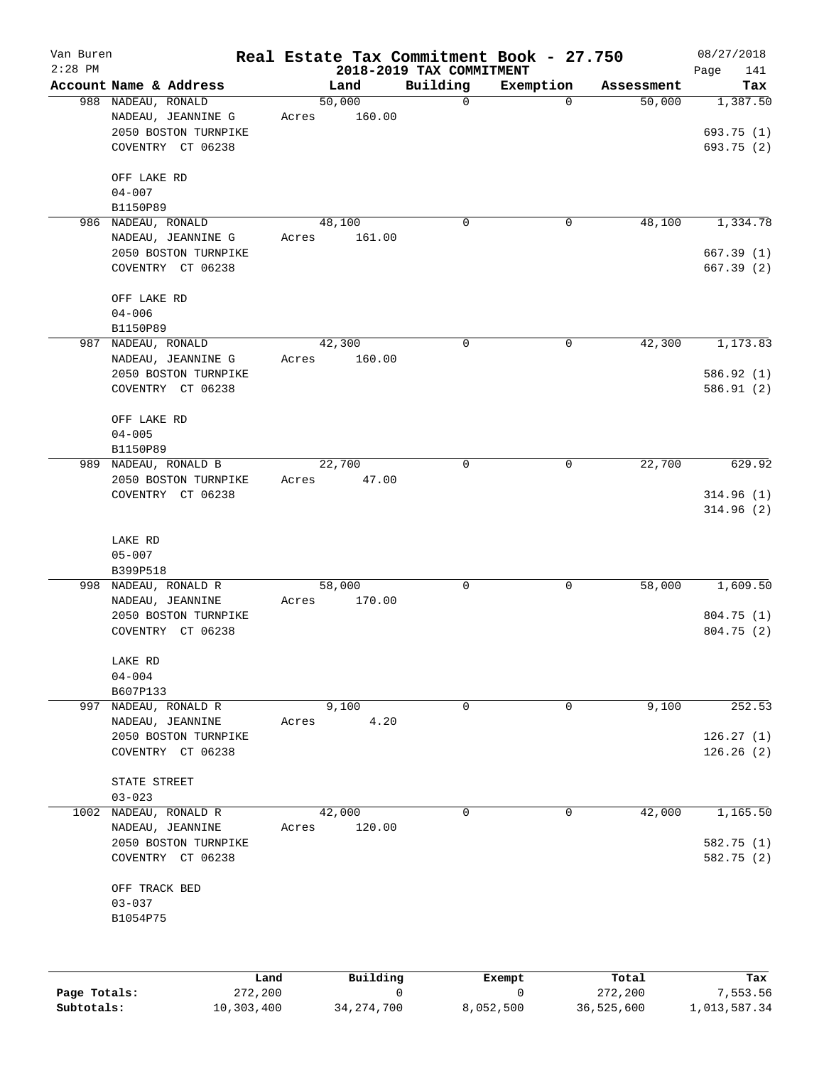| Van Buren<br>$2:28$ PM |                                                                                       |                 |          | 2018-2019 TAX COMMITMENT | Real Estate Tax Commitment Book - 27.750 |            | 08/27/2018<br>141<br>Page            |
|------------------------|---------------------------------------------------------------------------------------|-----------------|----------|--------------------------|------------------------------------------|------------|--------------------------------------|
|                        | Account Name & Address                                                                |                 | Land     | Building                 | Exemption                                | Assessment | Tax                                  |
|                        | 988 NADEAU, RONALD<br>NADEAU, JEANNINE G<br>2050 BOSTON TURNPIKE<br>COVENTRY CT 06238 | 50,000<br>Acres | 160.00   | 0                        | $\mathbf 0$                              | 50,000     | 1,387.50<br>693.75 (1)<br>693.75 (2) |
|                        | OFF LAKE RD<br>$04 - 007$<br>B1150P89                                                 |                 |          |                          |                                          |            |                                      |
| 986                    | NADEAU, RONALD                                                                        | 48,100          |          | 0                        | 0                                        | 48,100     | 1,334.78                             |
|                        | NADEAU, JEANNINE G<br>2050 BOSTON TURNPIKE<br>COVENTRY CT 06238                       | Acres           | 161.00   |                          |                                          |            | 667.39(1)<br>667.39(2)               |
|                        | OFF LAKE RD<br>$04 - 006$<br>B1150P89                                                 |                 |          |                          |                                          |            |                                      |
| 987                    | NADEAU, RONALD                                                                        | 42,300          |          | 0                        | $\mathbf 0$                              | 42,300     | 1,173.83                             |
|                        | NADEAU, JEANNINE G<br>2050 BOSTON TURNPIKE<br>COVENTRY CT 06238                       | Acres           | 160.00   |                          |                                          |            | 586.92 (1)<br>586.91(2)              |
|                        | OFF LAKE RD<br>$04 - 005$<br>B1150P89                                                 |                 |          |                          |                                          |            |                                      |
|                        | 989 NADEAU, RONALD B                                                                  | 22,700          |          | 0                        | 0                                        | 22,700     | 629.92                               |
|                        | 2050 BOSTON TURNPIKE<br>COVENTRY CT 06238                                             | Acres           | 47.00    |                          |                                          |            | 314.96(1)<br>314.96(2)               |
|                        | LAKE RD<br>$05 - 007$<br>B399P518                                                     |                 |          |                          |                                          |            |                                      |
| 998                    | NADEAU, RONALD R                                                                      | 58,000          |          | 0                        | 0                                        | 58,000     | 1,609.50                             |
|                        | NADEAU, JEANNINE<br>2050 BOSTON TURNPIKE<br>COVENTRY CT 06238                         | Acres           | 170.00   |                          |                                          |            | 804.75 (1)<br>804.75(2)              |
|                        | LAKE RD<br>$04 - 004$<br>B607P133                                                     |                 |          |                          |                                          |            |                                      |
| 997                    | NADEAU, RONALD R                                                                      |                 | 9,100    | 0                        | 0                                        | 9,100      | 252.53                               |
|                        | NADEAU, JEANNINE<br>2050 BOSTON TURNPIKE<br>COVENTRY CT 06238                         | Acres           | 4.20     |                          |                                          |            | 126.27(1)<br>126.26(2)               |
|                        | STATE STREET<br>$03 - 023$                                                            |                 |          |                          |                                          |            |                                      |
| 1002                   | NADEAU, RONALD R<br>NADEAU, JEANNINE<br>2050 BOSTON TURNPIKE<br>COVENTRY CT 06238     | 42,000<br>Acres | 120.00   | 0                        | $\mathbf 0$                              | 42,000     | 1,165.50<br>582.75 (1)<br>582.75 (2) |
|                        | OFF TRACK BED<br>$03 - 037$<br>B1054P75                                               |                 |          |                          |                                          |            |                                      |
|                        | Land.                                                                                 |                 | Building |                          | <b>Ryomnt</b>                            | $T0+21$    | Tay                                  |

|              | Land       | Building     | Exempt    | Total      | Tax          |
|--------------|------------|--------------|-----------|------------|--------------|
| Page Totals: | 272,200    |              |           | 272,200    | 7,553.56     |
| Subtotals:   | 10,303,400 | 34, 274, 700 | 8,052,500 | 36,525,600 | 1,013,587.34 |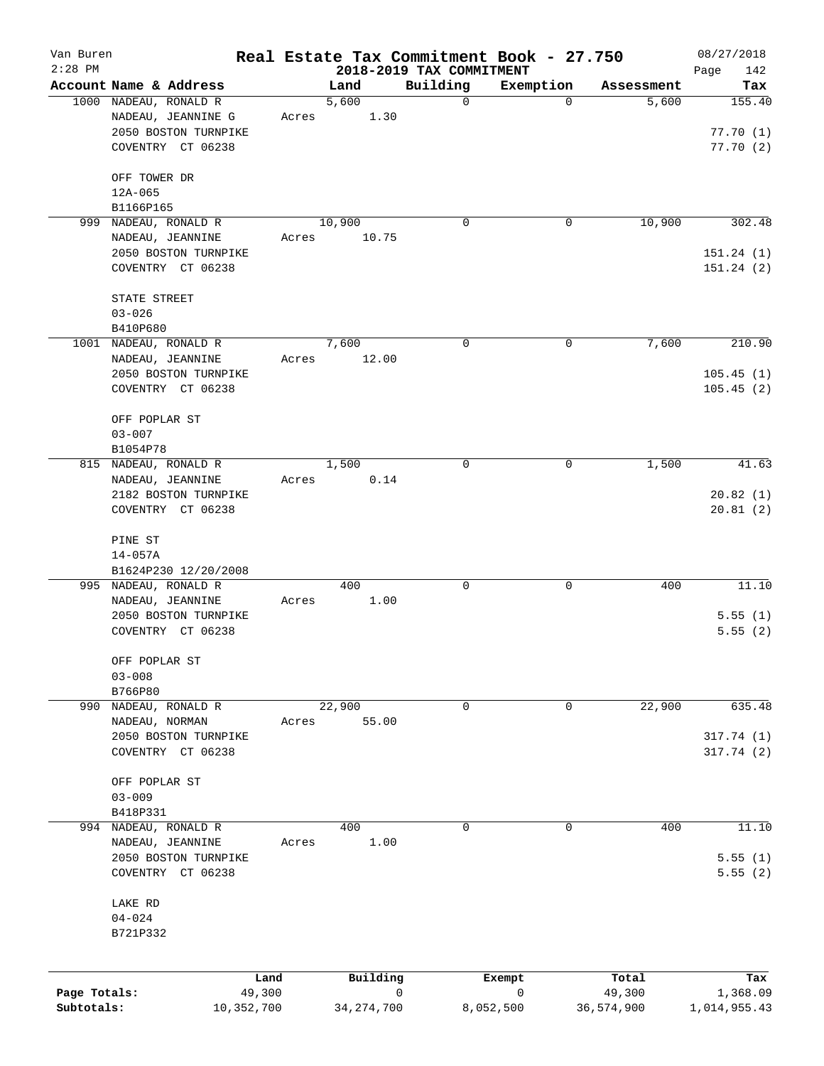| Van Buren    |                                           |        |              |                                      | Real Estate Tax Commitment Book - 27.750 |              | 08/27/2018         |
|--------------|-------------------------------------------|--------|--------------|--------------------------------------|------------------------------------------|--------------|--------------------|
| $2:28$ PM    | Account Name & Address                    |        | Land         | 2018-2019 TAX COMMITMENT<br>Building | Exemption                                | Assessment   | Page<br>142<br>Tax |
|              | 1000 NADEAU, RONALD R                     |        | 5,600        | $\mathbf 0$                          | $\mathbf 0$                              | 5,600        | 155.40             |
|              | NADEAU, JEANNINE G                        | Acres  | 1.30         |                                      |                                          |              |                    |
|              | 2050 BOSTON TURNPIKE                      |        |              |                                      |                                          |              | 77.70(1)           |
|              | COVENTRY CT 06238                         |        |              |                                      |                                          |              | 77.70(2)           |
|              | OFF TOWER DR                              |        |              |                                      |                                          |              |                    |
|              | $12A - 065$                               |        |              |                                      |                                          |              |                    |
|              | B1166P165                                 |        |              |                                      |                                          |              |                    |
|              | 999 NADEAU, RONALD R                      |        | 10,900       | $\mathbf 0$                          | 0                                        | 10,900       | 302.48             |
|              | NADEAU, JEANNINE                          | Acres  | 10.75        |                                      |                                          |              |                    |
|              | 2050 BOSTON TURNPIKE                      |        |              |                                      |                                          |              | 151.24(1)          |
|              | COVENTRY CT 06238                         |        |              |                                      |                                          |              | 151.24(2)          |
|              | STATE STREET                              |        |              |                                      |                                          |              |                    |
|              | $03 - 026$                                |        |              |                                      |                                          |              |                    |
|              | B410P680                                  |        |              |                                      |                                          |              |                    |
|              | 1001 NADEAU, RONALD R                     |        | 7,600        | $\mathbf 0$                          | 0                                        | 7,600        | 210.90             |
|              | NADEAU, JEANNINE                          | Acres  | 12.00        |                                      |                                          |              |                    |
|              | 2050 BOSTON TURNPIKE                      |        |              |                                      |                                          |              | 105.45(1)          |
|              | COVENTRY CT 06238                         |        |              |                                      |                                          |              | 105.45(2)          |
|              |                                           |        |              |                                      |                                          |              |                    |
|              | OFF POPLAR ST                             |        |              |                                      |                                          |              |                    |
|              | $03 - 007$                                |        |              |                                      |                                          |              |                    |
|              | B1054P78<br>815 NADEAU, RONALD R          |        | 1,500        | $\mathbf 0$                          | 0                                        | 1,500        | 41.63              |
|              | NADEAU, JEANNINE                          | Acres  | 0.14         |                                      |                                          |              |                    |
|              | 2182 BOSTON TURNPIKE                      |        |              |                                      |                                          |              | 20.82(1)           |
|              | COVENTRY CT 06238                         |        |              |                                      |                                          |              | 20.81(2)           |
|              |                                           |        |              |                                      |                                          |              |                    |
|              | PINE ST                                   |        |              |                                      |                                          |              |                    |
|              | $14 - 057A$                               |        |              |                                      |                                          |              |                    |
|              | B1624P230 12/20/2008                      |        |              |                                      |                                          |              |                    |
|              | 995 NADEAU, RONALD R                      |        | 400          | 0                                    | 0                                        | 400          | 11.10              |
|              | NADEAU, JEANNINE                          | Acres  | 1.00         |                                      |                                          |              |                    |
|              | 2050 BOSTON TURNPIKE<br>COVENTRY CT 06238 |        |              |                                      |                                          |              | 5.55(1)<br>5.55(2) |
|              |                                           |        |              |                                      |                                          |              |                    |
|              | OFF POPLAR ST                             |        |              |                                      |                                          |              |                    |
|              | $03 - 008$                                |        |              |                                      |                                          |              |                    |
|              | B766P80                                   |        |              |                                      |                                          |              |                    |
|              | 990 NADEAU, RONALD R                      |        | 22,900       | 0                                    | 0                                        | 22,900       | 635.48             |
|              | NADEAU, NORMAN                            | Acres  | 55.00        |                                      |                                          |              |                    |
|              | 2050 BOSTON TURNPIKE                      |        |              |                                      |                                          |              | 317.74 (1)         |
|              | COVENTRY CT 06238                         |        |              |                                      |                                          |              | 317.74(2)          |
|              | OFF POPLAR ST                             |        |              |                                      |                                          |              |                    |
|              | $03 - 009$                                |        |              |                                      |                                          |              |                    |
|              | B418P331                                  |        |              |                                      |                                          |              |                    |
|              | 994 NADEAU, RONALD R                      |        | 400          | 0                                    | 0                                        | 400          | 11.10              |
|              | NADEAU, JEANNINE                          | Acres  | 1.00         |                                      |                                          |              |                    |
|              | 2050 BOSTON TURNPIKE                      |        |              |                                      |                                          |              | 5.55(1)            |
|              | COVENTRY CT 06238                         |        |              |                                      |                                          |              | 5.55(2)            |
|              | LAKE RD                                   |        |              |                                      |                                          |              |                    |
|              | $04 - 024$                                |        |              |                                      |                                          |              |                    |
|              | B721P332                                  |        |              |                                      |                                          |              |                    |
|              |                                           |        |              |                                      |                                          |              |                    |
|              |                                           | Land   | Building     |                                      | Exempt                                   | Total        | Tax                |
| Page Totals: |                                           | 49,300 |              | 0                                    | 0                                        | 49,300       | 1,368.09           |
| Subtotals:   | 10,352,700                                |        | 34, 274, 700 |                                      | 8,052,500                                | 36, 574, 900 | 1,014,955.43       |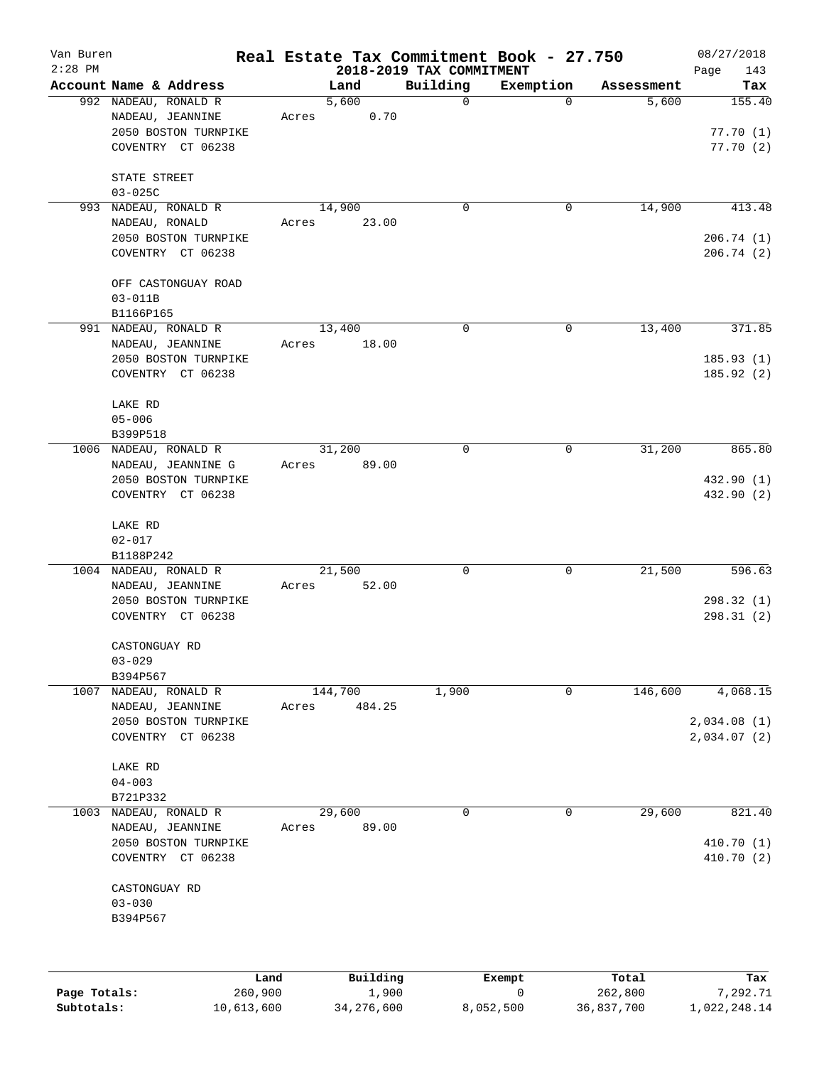| Van Buren    |                                           | Real Estate Tax Commitment Book - 27.750 |                                      |             |                     | 08/27/2018             |
|--------------|-------------------------------------------|------------------------------------------|--------------------------------------|-------------|---------------------|------------------------|
| $2:28$ PM    | Account Name & Address                    | Land                                     | 2018-2019 TAX COMMITMENT<br>Building | Exemption   |                     | Page<br>143            |
|              | 992 NADEAU, RONALD R                      | 5,600                                    | $\mathbf 0$                          | $\Omega$    | Assessment<br>5,600 | Tax<br>155.40          |
|              | NADEAU, JEANNINE                          | 0.70<br>Acres                            |                                      |             |                     |                        |
|              | 2050 BOSTON TURNPIKE                      |                                          |                                      |             |                     | 77.70(1)               |
|              | COVENTRY CT 06238                         |                                          |                                      |             |                     | 77.70(2)               |
|              |                                           |                                          |                                      |             |                     |                        |
|              | STATE STREET                              |                                          |                                      |             |                     |                        |
|              | $03 - 025C$                               |                                          |                                      |             |                     |                        |
| 993          | NADEAU, RONALD R                          | 14,900                                   | 0                                    | 0           | 14,900              | 413.48                 |
|              | NADEAU, RONALD                            | 23.00<br>Acres                           |                                      |             |                     |                        |
|              | 2050 BOSTON TURNPIKE                      |                                          |                                      |             |                     | 206.74(1)              |
|              | COVENTRY CT 06238                         |                                          |                                      |             |                     | 206.74(2)              |
|              |                                           |                                          |                                      |             |                     |                        |
|              | OFF CASTONGUAY ROAD                       |                                          |                                      |             |                     |                        |
|              | $03 - 011B$                               |                                          |                                      |             |                     |                        |
|              | B1166P165                                 |                                          |                                      |             |                     |                        |
|              | 991 NADEAU, RONALD R                      | 13,400                                   | 0                                    | $\mathbf 0$ | 13,400              | 371.85                 |
|              | NADEAU, JEANNINE                          | 18.00<br>Acres                           |                                      |             |                     |                        |
|              | 2050 BOSTON TURNPIKE<br>COVENTRY CT 06238 |                                          |                                      |             |                     | 185.93(1)<br>185.92(2) |
|              |                                           |                                          |                                      |             |                     |                        |
|              | LAKE RD                                   |                                          |                                      |             |                     |                        |
|              | $05 - 006$                                |                                          |                                      |             |                     |                        |
|              | B399P518                                  |                                          |                                      |             |                     |                        |
| 1006         | NADEAU, RONALD R                          | 31,200                                   | $\mathbf 0$                          | 0           | 31,200              | 865.80                 |
|              | NADEAU, JEANNINE G                        | 89.00<br>Acres                           |                                      |             |                     |                        |
|              | 2050 BOSTON TURNPIKE                      |                                          |                                      |             |                     | 432.90 (1)             |
|              | COVENTRY CT 06238                         |                                          |                                      |             |                     | 432.90 (2)             |
|              |                                           |                                          |                                      |             |                     |                        |
|              | LAKE RD                                   |                                          |                                      |             |                     |                        |
|              | $02 - 017$                                |                                          |                                      |             |                     |                        |
|              | B1188P242                                 |                                          |                                      |             |                     |                        |
|              | 1004 NADEAU, RONALD R                     | 21,500                                   | 0                                    | 0           | 21,500              | 596.63                 |
|              | NADEAU, JEANNINE                          | 52.00<br>Acres                           |                                      |             |                     |                        |
|              | 2050 BOSTON TURNPIKE                      |                                          |                                      |             |                     | 298.32 (1)             |
|              | COVENTRY CT 06238                         |                                          |                                      |             |                     | 298.31 (2)             |
|              | CASTONGUAY RD                             |                                          |                                      |             |                     |                        |
|              | $03 - 029$                                |                                          |                                      |             |                     |                        |
|              | B394P567                                  |                                          |                                      |             |                     |                        |
| 1007         | NADEAU, RONALD R                          | 144,700                                  | 1,900                                | 0           | 146,600             | 4,068.15               |
|              | NADEAU, JEANNINE                          | 484.25<br>Acres                          |                                      |             |                     |                        |
|              | 2050 BOSTON TURNPIKE                      |                                          |                                      |             |                     | 2,034.08(1)            |
|              | COVENTRY CT 06238                         |                                          |                                      |             |                     | 2,034.07 (2)           |
|              |                                           |                                          |                                      |             |                     |                        |
|              | LAKE RD                                   |                                          |                                      |             |                     |                        |
|              | $04 - 003$                                |                                          |                                      |             |                     |                        |
|              | B721P332                                  |                                          |                                      |             |                     |                        |
| 1003         | NADEAU, RONALD R                          | 29,600                                   | 0                                    | 0           | 29,600              | 821.40                 |
|              | NADEAU, JEANNINE                          | 89.00<br>Acres                           |                                      |             |                     |                        |
|              | 2050 BOSTON TURNPIKE                      |                                          |                                      |             |                     | 410.70 (1)             |
|              | COVENTRY CT 06238                         |                                          |                                      |             |                     | 410.70 (2)             |
|              |                                           |                                          |                                      |             |                     |                        |
|              | CASTONGUAY RD                             |                                          |                                      |             |                     |                        |
|              | $03 - 030$                                |                                          |                                      |             |                     |                        |
|              | B394P567                                  |                                          |                                      |             |                     |                        |
|              |                                           |                                          |                                      |             |                     |                        |
|              |                                           |                                          |                                      |             |                     |                        |
|              | Land                                      | Building                                 |                                      | Exempt      | Total               | Tax                    |
| Page Totals: | 260,900                                   |                                          | 1,900                                | 0           | 262,800             | 7,292.71               |

**Subtotals:** 10,613,600 34,276,600 8,052,500 36,837,700 1,022,248.14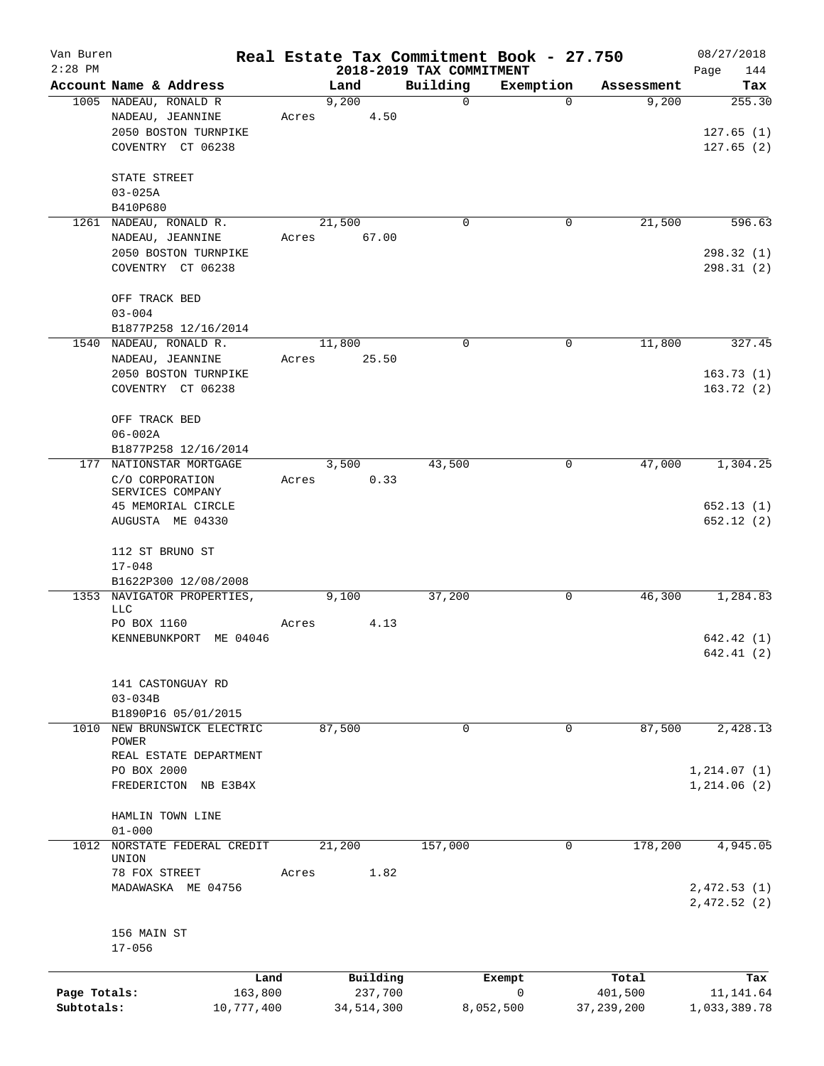| Van Buren    |                            |       |              |                                      | Real Estate Tax Commitment Book - 27.750 |              | 08/27/2018                 |
|--------------|----------------------------|-------|--------------|--------------------------------------|------------------------------------------|--------------|----------------------------|
| $2:28$ PM    | Account Name & Address     |       | Land         | 2018-2019 TAX COMMITMENT<br>Building | Exemption                                | Assessment   | Page<br>144<br>Tax         |
|              | 1005 NADEAU, RONALD R      |       | 9,200        | 0                                    | $\Omega$                                 | 9,200        | 255.30                     |
|              | NADEAU, JEANNINE           | Acres | 4.50         |                                      |                                          |              |                            |
|              | 2050 BOSTON TURNPIKE       |       |              |                                      |                                          |              | 127.65(1)                  |
|              | COVENTRY CT 06238          |       |              |                                      |                                          |              | 127.65(2)                  |
|              |                            |       |              |                                      |                                          |              |                            |
|              | STATE STREET               |       |              |                                      |                                          |              |                            |
|              | $03 - 025A$                |       |              |                                      |                                          |              |                            |
|              | B410P680                   |       |              |                                      |                                          |              |                            |
| 1261         | NADEAU, RONALD R.          |       | 21,500       | 0                                    | 0                                        | 21,500       | 596.63                     |
|              | NADEAU, JEANNINE           | Acres | 67.00        |                                      |                                          |              |                            |
|              | 2050 BOSTON TURNPIKE       |       |              |                                      |                                          |              | 298.32(1)                  |
|              | COVENTRY CT 06238          |       |              |                                      |                                          |              | 298.31(2)                  |
|              | OFF TRACK BED              |       |              |                                      |                                          |              |                            |
|              | $03 - 004$                 |       |              |                                      |                                          |              |                            |
|              | B1877P258 12/16/2014       |       |              |                                      |                                          |              |                            |
| 1540         | NADEAU, RONALD R.          |       | 11,800       | 0                                    | $\mathbf 0$                              | 11,800       | 327.45                     |
|              | NADEAU, JEANNINE           | Acres | 25.50        |                                      |                                          |              |                            |
|              | 2050 BOSTON TURNPIKE       |       |              |                                      |                                          |              | 163.73(1)                  |
|              | COVENTRY CT 06238          |       |              |                                      |                                          |              | 163.72(2)                  |
|              |                            |       |              |                                      |                                          |              |                            |
|              | OFF TRACK BED              |       |              |                                      |                                          |              |                            |
|              | $06 - 002A$                |       |              |                                      |                                          |              |                            |
|              | B1877P258 12/16/2014       |       |              |                                      |                                          |              |                            |
| 177          | NATIONSTAR MORTGAGE        |       | 3,500        | 43,500                               | 0                                        | 47,000       | 1,304.25                   |
|              | C/O CORPORATION            | Acres | 0.33         |                                      |                                          |              |                            |
|              | SERVICES COMPANY           |       |              |                                      |                                          |              |                            |
|              | 45 MEMORIAL CIRCLE         |       |              |                                      |                                          |              | 652.13(1)                  |
|              | AUGUSTA ME 04330           |       |              |                                      |                                          |              | 652.12(2)                  |
|              | 112 ST BRUNO ST            |       |              |                                      |                                          |              |                            |
|              | $17 - 048$                 |       |              |                                      |                                          |              |                            |
|              | B1622P300 12/08/2008       |       |              |                                      |                                          |              |                            |
|              | 1353 NAVIGATOR PROPERTIES, |       | 9,100        | 37,200                               | 0                                        | 46,300       | 1,284.83                   |
|              | LLC                        |       |              |                                      |                                          |              |                            |
|              | PO BOX 1160                | Acres | 4.13         |                                      |                                          |              |                            |
|              | KENNEBUNKPORT ME 04046     |       |              |                                      |                                          |              | 642.42(1)                  |
|              |                            |       |              |                                      |                                          |              | 642.41(2)                  |
|              | 141 CASTONGUAY RD          |       |              |                                      |                                          |              |                            |
|              | $03 - 034B$                |       |              |                                      |                                          |              |                            |
|              | B1890P16 05/01/2015        |       |              |                                      |                                          |              |                            |
| 1010         | NEW BRUNSWICK ELECTRIC     |       | 87,500       | 0                                    | $\mathbf 0$                              | 87,500       | 2,428.13                   |
|              | POWER                      |       |              |                                      |                                          |              |                            |
|              | REAL ESTATE DEPARTMENT     |       |              |                                      |                                          |              |                            |
|              | PO BOX 2000                |       |              |                                      |                                          |              | 1, 214.07(1)               |
|              | FREDERICTON NB E3B4X       |       |              |                                      |                                          |              | 1, 214.06(2)               |
|              | HAMLIN TOWN LINE           |       |              |                                      |                                          |              |                            |
|              | $01 - 000$                 |       |              |                                      |                                          |              |                            |
| 1012         | NORSTATE FEDERAL CREDIT    |       | 21,200       | 157,000                              | $\mathbf 0$                              | 178,200      | 4,945.05                   |
|              | UNION                      |       | 1.82         |                                      |                                          |              |                            |
|              | 78 FOX STREET              | Acres |              |                                      |                                          |              |                            |
|              | MADAWASKA ME 04756         |       |              |                                      |                                          |              | 2,472.53(1)<br>2,472.52(2) |
|              |                            |       |              |                                      |                                          |              |                            |
|              | 156 MAIN ST                |       |              |                                      |                                          |              |                            |
|              | $17 - 056$                 |       |              |                                      |                                          |              |                            |
|              |                            | Land  | Building     |                                      | Exempt                                   | Total        | Tax                        |
| Page Totals: | 163,800                    |       | 237,700      |                                      | 0                                        | 401,500      | 11, 141.64                 |
| Subtotals:   | 10,777,400                 |       | 34, 514, 300 |                                      | 8,052,500                                | 37, 239, 200 | 1,033,389.78               |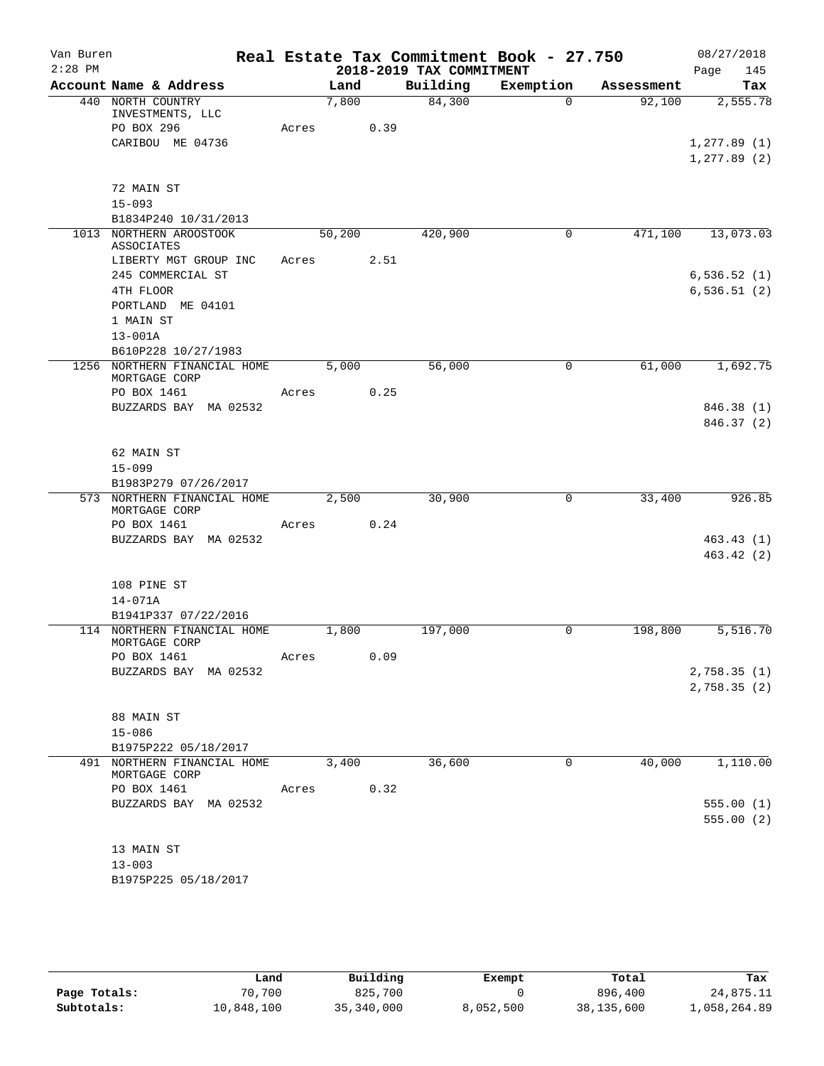| Van Buren |                                                 |       |        |      |                          | Real Estate Tax Commitment Book - 27.750 |            | 08/27/2018   |
|-----------|-------------------------------------------------|-------|--------|------|--------------------------|------------------------------------------|------------|--------------|
| $2:28$ PM |                                                 |       |        |      | 2018-2019 TAX COMMITMENT |                                          |            | 145<br>Page  |
|           | Account Name & Address                          |       | Land   |      | Building                 | Exemption                                | Assessment | Tax          |
|           | 440 NORTH COUNTRY<br>INVESTMENTS, LLC           |       | 7,800  |      | 84,300                   | $\Omega$                                 | 92,100     | 2,555.78     |
|           | PO BOX 296                                      | Acres |        | 0.39 |                          |                                          |            |              |
|           | CARIBOU ME 04736                                |       |        |      |                          |                                          |            | 1, 277.89(1) |
|           |                                                 |       |        |      |                          |                                          |            | 1, 277.89(2) |
|           |                                                 |       |        |      |                          |                                          |            |              |
|           | 72 MAIN ST                                      |       |        |      |                          |                                          |            |              |
|           | $15 - 093$                                      |       |        |      |                          |                                          |            |              |
|           | B1834P240 10/31/2013<br>1013 NORTHERN AROOSTOOK |       | 50,200 |      | 420,900                  | 0                                        | 471,100    | 13,073.03    |
|           | <b>ASSOCIATES</b>                               |       |        |      |                          |                                          |            |              |
|           | LIBERTY MGT GROUP INC                           | Acres |        | 2.51 |                          |                                          |            |              |
|           | 245 COMMERCIAL ST                               |       |        |      |                          |                                          |            | 6, 536.52(1) |
|           | 4TH FLOOR                                       |       |        |      |                          |                                          |            | 6, 536.51(2) |
|           | PORTLAND ME 04101                               |       |        |      |                          |                                          |            |              |
|           | 1 MAIN ST                                       |       |        |      |                          |                                          |            |              |
|           | $13 - 001A$                                     |       |        |      |                          |                                          |            |              |
|           | B610P228 10/27/1983                             |       |        |      |                          |                                          |            |              |
|           | 1256 NORTHERN FINANCIAL HOME<br>MORTGAGE CORP   |       | 5,000  |      | 56,000                   | $\mathbf 0$                              | 61,000     | 1,692.75     |
|           | PO BOX 1461                                     | Acres |        | 0.25 |                          |                                          |            |              |
|           | BUZZARDS BAY MA 02532                           |       |        |      |                          |                                          |            | 846.38 (1)   |
|           |                                                 |       |        |      |                          |                                          |            | 846.37 (2)   |
|           | 62 MAIN ST                                      |       |        |      |                          |                                          |            |              |
|           | $15 - 099$                                      |       |        |      |                          |                                          |            |              |
|           | B1983P279 07/26/2017                            |       |        |      |                          |                                          |            |              |
|           | 573 NORTHERN FINANCIAL HOME                     |       | 2,500  |      | 30,900                   | 0                                        | 33,400     | 926.85       |
|           | MORTGAGE CORP                                   |       |        |      |                          |                                          |            |              |
|           | PO BOX 1461                                     | Acres |        | 0.24 |                          |                                          |            |              |
|           | BUZZARDS BAY MA 02532                           |       |        |      |                          |                                          |            | 463.43(1)    |
|           |                                                 |       |        |      |                          |                                          |            | 463.42(2)    |
|           | 108 PINE ST                                     |       |        |      |                          |                                          |            |              |
|           | $14 - 071A$                                     |       |        |      |                          |                                          |            |              |
|           | B1941P337 07/22/2016                            |       |        |      |                          |                                          |            |              |
|           | 114 NORTHERN FINANCIAL HOME                     |       | 1,800  |      | 197,000                  | 0                                        | 198,800    | 5,516.70     |
|           | MORTGAGE CORP                                   |       |        |      |                          |                                          |            |              |
|           | PO BOX 1461                                     | Acres |        | 0.09 |                          |                                          |            |              |
|           | BUZZARDS BAY MA 02532                           |       |        |      |                          |                                          |            | 2,758.35 (1) |
|           |                                                 |       |        |      |                          |                                          |            | 2,758.35(2)  |
|           |                                                 |       |        |      |                          |                                          |            |              |
|           | 88 MAIN ST<br>$15 - 086$                        |       |        |      |                          |                                          |            |              |
|           | B1975P222 05/18/2017                            |       |        |      |                          |                                          |            |              |
|           | 491 NORTHERN FINANCIAL HOME                     |       | 3,400  |      | 36,600                   | 0                                        | 40,000     | 1,110.00     |
|           | MORTGAGE CORP                                   |       |        |      |                          |                                          |            |              |
|           | PO BOX 1461                                     | Acres |        | 0.32 |                          |                                          |            |              |
|           | BUZZARDS BAY MA 02532                           |       |        |      |                          |                                          |            | 555.00(1)    |
|           |                                                 |       |        |      |                          |                                          |            | 555.00(2)    |
|           |                                                 |       |        |      |                          |                                          |            |              |
|           | 13 MAIN ST                                      |       |        |      |                          |                                          |            |              |
|           | $13 - 003$                                      |       |        |      |                          |                                          |            |              |
|           | B1975P225 05/18/2017                            |       |        |      |                          |                                          |            |              |

|              | Land       | Building   | Exempt    | Total      | Tax          |
|--------------|------------|------------|-----------|------------|--------------|
| Page Totals: | 70,700     | 825,700    |           | 896,400    | 24,875.11    |
| Subtotals:   | 10,848,100 | 35,340,000 | 8,052,500 | 38,135,600 | 1,058,264.89 |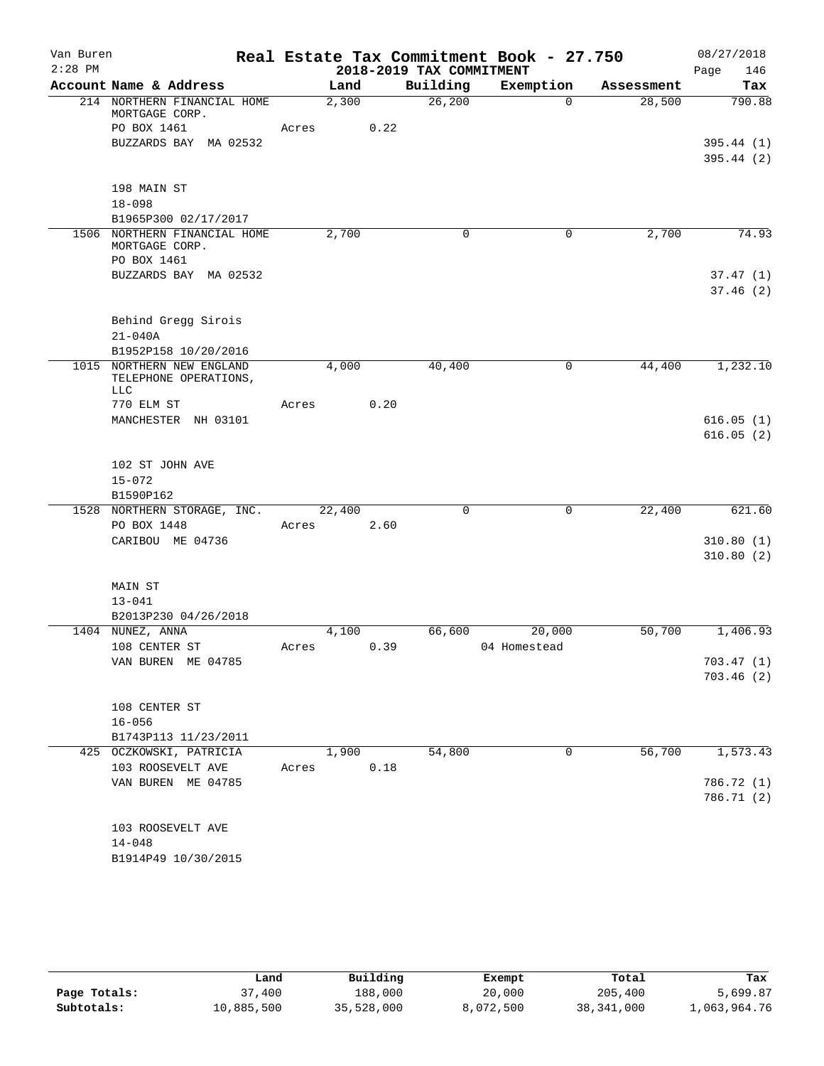| Van Buren |                                                   |       |        |      |                          | Real Estate Tax Commitment Book - 27.750 |            | 08/27/2018  |
|-----------|---------------------------------------------------|-------|--------|------|--------------------------|------------------------------------------|------------|-------------|
| $2:28$ PM |                                                   |       |        |      | 2018-2019 TAX COMMITMENT |                                          |            | 146<br>Page |
|           | Account Name & Address                            |       | Land   |      | Building                 | Exemption                                | Assessment | Tax         |
|           | 214 NORTHERN FINANCIAL HOME<br>MORTGAGE CORP.     |       | 2,300  |      | 26, 200                  | $\Omega$                                 | 28,500     | 790.88      |
|           | PO BOX 1461                                       | Acres |        | 0.22 |                          |                                          |            |             |
|           | BUZZARDS BAY MA 02532                             |       |        |      |                          |                                          |            | 395.44(1)   |
|           |                                                   |       |        |      |                          |                                          |            | 395.44(2)   |
|           |                                                   |       |        |      |                          |                                          |            |             |
|           | 198 MAIN ST<br>$18 - 098$                         |       |        |      |                          |                                          |            |             |
|           | B1965P300 02/17/2017                              |       |        |      |                          |                                          |            |             |
|           | 1506 NORTHERN FINANCIAL HOME                      |       | 2,700  |      | 0                        | 0                                        | 2,700      | 74.93       |
|           | MORTGAGE CORP.                                    |       |        |      |                          |                                          |            |             |
|           | PO BOX 1461                                       |       |        |      |                          |                                          |            |             |
|           | BUZZARDS BAY MA 02532                             |       |        |      |                          |                                          |            | 37.47(1)    |
|           |                                                   |       |        |      |                          |                                          |            | 37.46(2)    |
|           |                                                   |       |        |      |                          |                                          |            |             |
|           | Behind Gregg Sirois                               |       |        |      |                          |                                          |            |             |
|           | $21 - 040A$                                       |       |        |      |                          |                                          |            |             |
|           | B1952P158 10/20/2016<br>1015 NORTHERN NEW ENGLAND |       | 4,000  |      | 40,400                   | 0                                        | 44,400     | 1,232.10    |
|           | TELEPHONE OPERATIONS,                             |       |        |      |                          |                                          |            |             |
|           | <b>LLC</b>                                        |       |        |      |                          |                                          |            |             |
|           | 770 ELM ST                                        | Acres |        | 0.20 |                          |                                          |            |             |
|           | MANCHESTER NH 03101                               |       |        |      |                          |                                          |            | 616.05(1)   |
|           |                                                   |       |        |      |                          |                                          |            | 616.05(2)   |
|           |                                                   |       |        |      |                          |                                          |            |             |
|           | 102 ST JOHN AVE<br>$15 - 072$                     |       |        |      |                          |                                          |            |             |
|           | B1590P162                                         |       |        |      |                          |                                          |            |             |
|           | 1528 NORTHERN STORAGE, INC.                       |       | 22,400 |      | $\mathbf 0$              | 0                                        | 22,400     | 621.60      |
|           | PO BOX 1448                                       | Acres |        | 2.60 |                          |                                          |            |             |
|           | CARIBOU ME 04736                                  |       |        |      |                          |                                          |            | 310.80(1)   |
|           |                                                   |       |        |      |                          |                                          |            | 310.80(2)   |
|           |                                                   |       |        |      |                          |                                          |            |             |
|           | MAIN ST                                           |       |        |      |                          |                                          |            |             |
|           | $13 - 041$                                        |       |        |      |                          |                                          |            |             |
|           | B2013P230 04/26/2018                              |       |        |      |                          |                                          |            |             |
|           | 1404 NUNEZ, ANNA<br>108 CENTER ST                 |       | 4,100  | 0.39 | 66,600                   | 20,000<br>04 Homestead                   | 50,700     | 1,406.93    |
|           | VAN BUREN ME 04785                                | Acres |        |      |                          |                                          |            | 703.47 (1)  |
|           |                                                   |       |        |      |                          |                                          |            | 703.46(2)   |
|           |                                                   |       |        |      |                          |                                          |            |             |
|           | 108 CENTER ST                                     |       |        |      |                          |                                          |            |             |
|           | $16 - 056$                                        |       |        |      |                          |                                          |            |             |
|           | B1743P113 11/23/2011                              |       |        |      |                          |                                          |            |             |
|           | 425 OCZKOWSKI, PATRICIA                           |       | 1,900  |      | 54,800                   | 0                                        | 56,700     | 1,573.43    |
|           | 103 ROOSEVELT AVE                                 | Acres |        | 0.18 |                          |                                          |            |             |
|           | VAN BUREN ME 04785                                |       |        |      |                          |                                          |            | 786.72 (1)  |
|           |                                                   |       |        |      |                          |                                          |            | 786.71 (2)  |
|           |                                                   |       |        |      |                          |                                          |            |             |
|           | 103 ROOSEVELT AVE                                 |       |        |      |                          |                                          |            |             |
|           | $14 - 048$<br>B1914P49 10/30/2015                 |       |        |      |                          |                                          |            |             |
|           |                                                   |       |        |      |                          |                                          |            |             |

|              | Land       | Building   | Exempt    | Total        | Tax          |
|--------------|------------|------------|-----------|--------------|--------------|
| Page Totals: | 37,400     | 188,000    | 20,000    | 205,400      | 5,699.87     |
| Subtotals:   | 10,885,500 | 35,528,000 | 8,072,500 | 38, 341, 000 | 1,063,964.76 |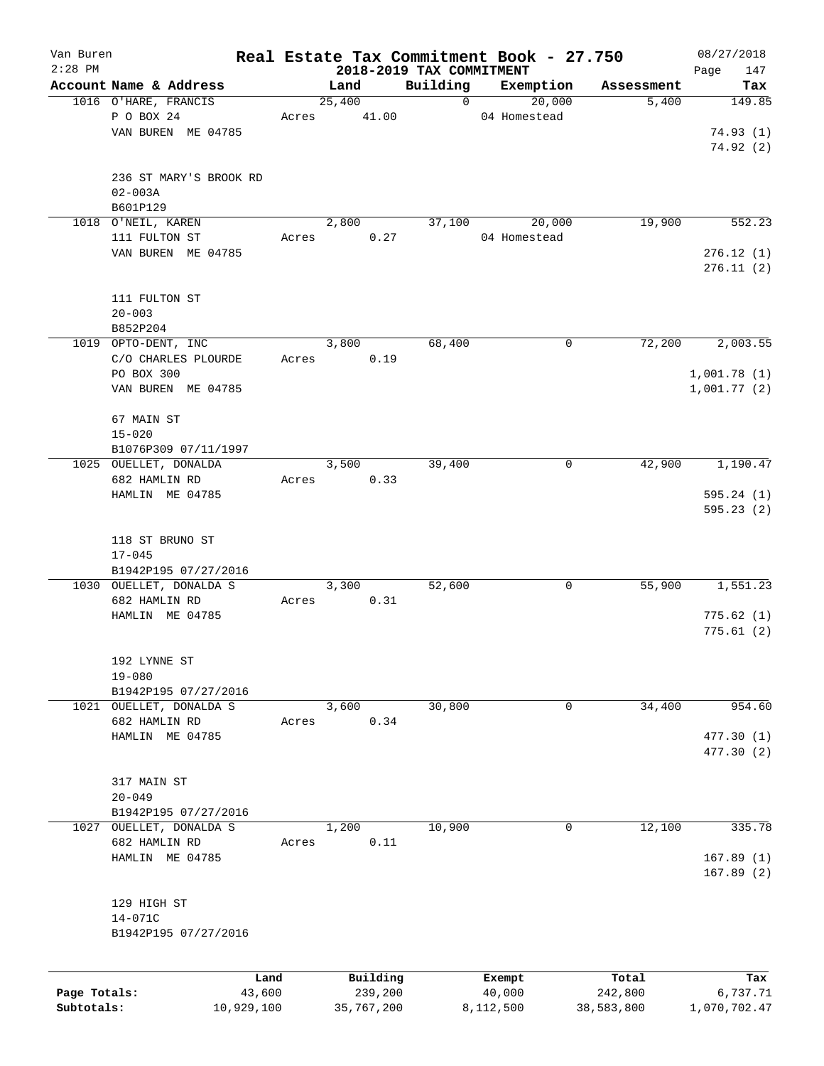| Van Buren    |                                          |       |        |            |                                      | Real Estate Tax Commitment Book - 27.750 |            | 08/27/2018         |
|--------------|------------------------------------------|-------|--------|------------|--------------------------------------|------------------------------------------|------------|--------------------|
| $2:28$ PM    | Account Name & Address                   |       | Land   |            | 2018-2019 TAX COMMITMENT<br>Building | Exemption                                | Assessment | 147<br>Page<br>Tax |
|              | 1016 O'HARE, FRANCIS                     |       | 25,400 |            | $\mathbf 0$                          | 20,000                                   | 5,400      | 149.85             |
|              | P O BOX 24                               | Acres |        | 41.00      |                                      | 04 Homestead                             |            |                    |
|              | VAN BUREN ME 04785                       |       |        |            |                                      |                                          |            | 74.93(1)           |
|              |                                          |       |        |            |                                      |                                          |            | 74.92(2)           |
|              |                                          |       |        |            |                                      |                                          |            |                    |
|              | 236 ST MARY'S BROOK RD                   |       |        |            |                                      |                                          |            |                    |
|              | $02 - 003A$                              |       |        |            |                                      |                                          |            |                    |
|              | B601P129                                 |       |        |            |                                      |                                          |            |                    |
|              | 1018 O'NEIL, KAREN                       |       | 2,800  |            | 37,100                               | 20,000                                   | 19,900     | 552.23             |
|              | 111 FULTON ST                            | Acres |        | 0.27       |                                      | 04 Homestead                             |            |                    |
|              | VAN BUREN ME 04785                       |       |        |            |                                      |                                          |            | 276.12(1)          |
|              |                                          |       |        |            |                                      |                                          |            | 276.11(2)          |
|              |                                          |       |        |            |                                      |                                          |            |                    |
|              | 111 FULTON ST                            |       |        |            |                                      |                                          |            |                    |
|              | $20 - 003$                               |       |        |            |                                      |                                          |            |                    |
|              | B852P204                                 |       |        |            |                                      |                                          |            |                    |
|              | 1019 OPTO-DENT, INC                      |       | 3,800  |            | 68,400                               | 0                                        | 72,200     | 2,003.55           |
|              | C/O CHARLES PLOURDE                      | Acres |        | 0.19       |                                      |                                          |            |                    |
|              | PO BOX 300                               |       |        |            |                                      |                                          |            | 1,001.78(1)        |
|              | VAN BUREN ME 04785                       |       |        |            |                                      |                                          |            | 1,001.77(2)        |
|              | 67 MAIN ST                               |       |        |            |                                      |                                          |            |                    |
|              | $15 - 020$                               |       |        |            |                                      |                                          |            |                    |
|              | B1076P309 07/11/1997                     |       |        |            |                                      |                                          |            |                    |
|              | 1025 OUELLET, DONALDA                    |       | 3,500  |            | 39,400                               | 0                                        | 42,900     | 1,190.47           |
|              | 682 HAMLIN RD                            | Acres |        | 0.33       |                                      |                                          |            |                    |
|              | HAMLIN ME 04785                          |       |        |            |                                      |                                          |            | 595.24(1)          |
|              |                                          |       |        |            |                                      |                                          |            | 595.23(2)          |
|              |                                          |       |        |            |                                      |                                          |            |                    |
|              | 118 ST BRUNO ST                          |       |        |            |                                      |                                          |            |                    |
|              | $17 - 045$                               |       |        |            |                                      |                                          |            |                    |
|              | B1942P195 07/27/2016                     |       |        |            |                                      |                                          |            |                    |
|              | 1030 OUELLET, DONALDA S                  |       | 3,300  |            | 52,600                               | 0                                        | 55,900     | 1,551.23           |
|              | 682 HAMLIN RD                            | Acres |        | 0.31       |                                      |                                          |            |                    |
|              | HAMLIN ME 04785                          |       |        |            |                                      |                                          |            | 775.62(1)          |
|              |                                          |       |        |            |                                      |                                          |            | 775.61(2)          |
|              |                                          |       |        |            |                                      |                                          |            |                    |
|              | 192 LYNNE ST                             |       |        |            |                                      |                                          |            |                    |
|              | $19 - 080$                               |       |        |            |                                      |                                          |            |                    |
|              | B1942P195 07/27/2016                     |       |        |            |                                      |                                          |            | 954.60             |
|              | 1021 OUELLET, DONALDA S<br>682 HAMLIN RD |       | 3,600  |            | 30,800                               | 0                                        | 34,400     |                    |
|              | HAMLIN ME 04785                          | Acres |        | 0.34       |                                      |                                          |            | 477.30 (1)         |
|              |                                          |       |        |            |                                      |                                          |            | 477.30 (2)         |
|              |                                          |       |        |            |                                      |                                          |            |                    |
|              | 317 MAIN ST                              |       |        |            |                                      |                                          |            |                    |
|              | $20 - 049$                               |       |        |            |                                      |                                          |            |                    |
|              | B1942P195 07/27/2016                     |       |        |            |                                      |                                          |            |                    |
| 1027         | OUELLET, DONALDA S                       |       | 1,200  |            | 10,900                               | $\mathbf 0$                              | 12,100     | 335.78             |
|              | 682 HAMLIN RD                            | Acres |        | 0.11       |                                      |                                          |            |                    |
|              | HAMLIN ME 04785                          |       |        |            |                                      |                                          |            | 167.89(1)          |
|              |                                          |       |        |            |                                      |                                          |            | 167.89(2)          |
|              |                                          |       |        |            |                                      |                                          |            |                    |
|              | 129 HIGH ST                              |       |        |            |                                      |                                          |            |                    |
|              | 14-071C                                  |       |        |            |                                      |                                          |            |                    |
|              | B1942P195 07/27/2016                     |       |        |            |                                      |                                          |            |                    |
|              |                                          |       |        |            |                                      |                                          |            |                    |
|              |                                          | Land  |        | Building   |                                      | Exempt                                   | Total      | Tax                |
| Page Totals: | 43,600                                   |       |        | 239,200    |                                      | 40,000                                   | 242,800    | 6,737.71           |
| Subtotals:   | 10,929,100                               |       |        | 35,767,200 |                                      | 8,112,500                                | 38,583,800 | 1,070,702.47       |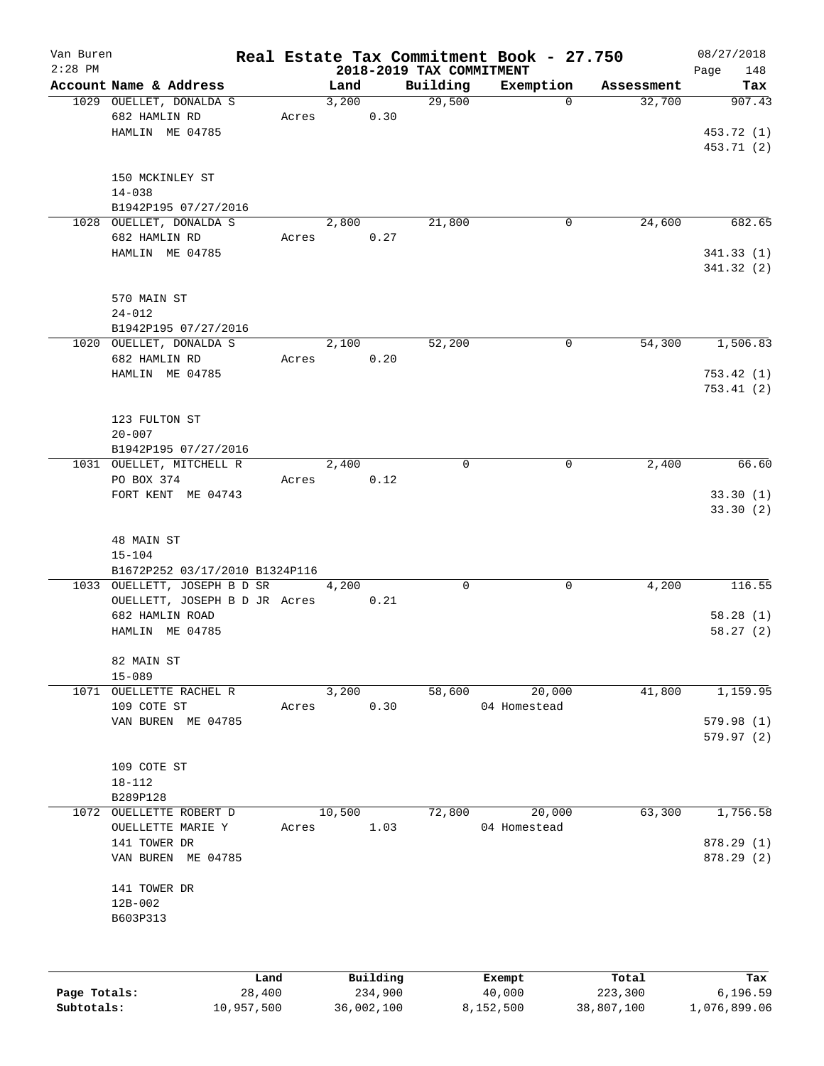| Van Buren<br>$2:28$ PM |                                                                     |       |        |          | 2018-2019 TAX COMMITMENT | Real Estate Tax Commitment Book - 27.750 |            | 08/27/2018<br>148<br>Page          |
|------------------------|---------------------------------------------------------------------|-------|--------|----------|--------------------------|------------------------------------------|------------|------------------------------------|
|                        | Account Name & Address                                              |       | Land   |          | Building                 | Exemption                                | Assessment | Tax                                |
|                        | 1029 OUELLET, DONALDA S<br>682 HAMLIN RD<br>HAMLIN ME 04785         | Acres | 3,200  | 0.30     | 29,500                   | $\Omega$                                 | 32,700     | 907.43<br>453.72 (1)<br>453.71 (2) |
|                        | 150 MCKINLEY ST<br>$14 - 038$<br>B1942P195 07/27/2016               |       |        |          |                          |                                          |            |                                    |
|                        | 1028 OUELLET, DONALDA S                                             |       | 2,800  |          | 21,800                   | $\mathbf 0$                              | 24,600     | 682.65                             |
|                        | 682 HAMLIN RD<br>HAMLIN ME 04785                                    | Acres |        | 0.27     |                          |                                          |            | 341.33(1)<br>341.32(2)             |
|                        | 570 MAIN ST<br>$24 - 012$<br>B1942P195 07/27/2016                   |       |        |          |                          |                                          |            |                                    |
|                        | 1020 OUELLET, DONALDA S                                             |       | 2,100  |          | 52,200                   | 0                                        | 54,300     | 1,506.83                           |
|                        | 682 HAMLIN RD<br>HAMLIN ME 04785                                    | Acres |        | 0.20     |                          |                                          |            | 753.42(1)<br>753.41(2)             |
|                        | 123 FULTON ST<br>$20 - 007$<br>B1942P195 07/27/2016                 |       |        |          |                          |                                          |            |                                    |
|                        | 1031 OUELLET, MITCHELL R                                            |       | 2,400  |          | $\mathbf 0$              | 0                                        | 2,400      | 66.60                              |
|                        | PO BOX 374<br>FORT KENT ME 04743                                    | Acres |        | 0.12     |                          |                                          |            | 33.30(1)<br>33.30(2)               |
|                        | 48 MAIN ST<br>$15 - 104$<br>B1672P252 03/17/2010 B1324P116          |       |        |          |                          |                                          |            |                                    |
|                        | 1033 OUELLETT, JOSEPH B D SR                                        |       | 4,200  |          | 0                        | 0                                        | 4,200      | 116.55                             |
|                        | OUELLETT, JOSEPH B D JR Acres<br>682 HAMLIN ROAD<br>HAMLIN ME 04785 |       |        | 0.21     |                          |                                          |            | 58.28(1)<br>58.27(2)               |
|                        | 82 MAIN ST<br>$15 - 089$                                            |       |        |          |                          |                                          |            |                                    |
|                        | 1071 OUELLETTE RACHEL R                                             |       | 3,200  |          | 58,600                   | 20,000                                   | 41,800     | 1,159.95                           |
|                        | 109 COTE ST<br>VAN BUREN ME 04785                                   | Acres |        | 0.30     |                          | 04 Homestead                             |            | 579.98(1)<br>579.97(2)             |
|                        | 109 COTE ST<br>$18 - 112$<br>B289P128                               |       |        |          |                          |                                          |            |                                    |
|                        | 1072 OUELLETTE ROBERT D                                             |       | 10,500 |          | 72,800                   | 20,000                                   | 63,300     | 1,756.58                           |
|                        | OUELLETTE MARIE Y                                                   | Acres |        | 1.03     |                          | 04 Homestead                             |            |                                    |
|                        | 141 TOWER DR<br>VAN BUREN ME 04785                                  |       |        |          |                          |                                          |            | 878.29 (1)<br>878.29 (2)           |
|                        | 141 TOWER DR                                                        |       |        |          |                          |                                          |            |                                    |
|                        | 12B-002<br>B603P313                                                 |       |        |          |                          |                                          |            |                                    |
|                        |                                                                     |       |        |          |                          |                                          |            |                                    |
|                        | Land                                                                |       |        | Building |                          | Exempt                                   | Total      | Tax                                |

**Page Totals:** 28,400 234,900 40,000 223,300 6,196.59 **Subtotals:** 10,957,500 36,002,100 8,152,500 38,807,100 1,076,899.06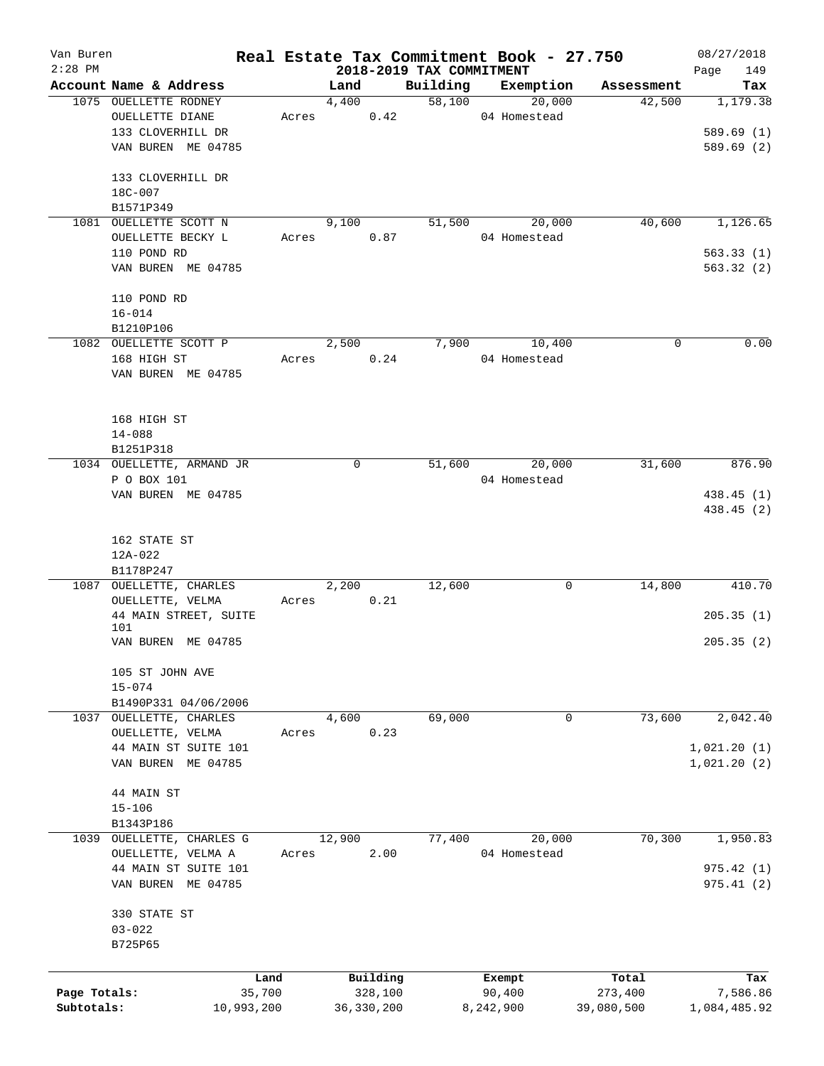| Van Buren    |                           |       |        |              |                          | Real Estate Tax Commitment Book - 27.750 |             | 08/27/2018   |
|--------------|---------------------------|-------|--------|--------------|--------------------------|------------------------------------------|-------------|--------------|
| $2:28$ PM    |                           |       |        |              | 2018-2019 TAX COMMITMENT |                                          |             | 149<br>Page  |
|              | Account Name & Address    |       | Land   |              | Building                 | Exemption                                | Assessment  | Tax          |
|              | 1075 OUELLETTE RODNEY     |       | 4,400  |              | 58,100                   | 20,000                                   | 42,500      | 1,179.38     |
|              | OUELLETTE DIANE           | Acres |        | 0.42         |                          | 04 Homestead                             |             |              |
|              | 133 CLOVERHILL DR         |       |        |              |                          |                                          |             | 589.69(1)    |
|              | VAN BUREN ME 04785        |       |        |              |                          |                                          |             | 589.69(2)    |
|              | 133 CLOVERHILL DR         |       |        |              |                          |                                          |             |              |
|              | 18C-007                   |       |        |              |                          |                                          |             |              |
|              | B1571P349                 |       |        |              |                          |                                          |             |              |
|              | 1081 OUELLETTE SCOTT N    |       | 9,100  |              | 51,500                   | 20,000                                   | 40,600      | 1,126.65     |
|              | OUELLETTE BECKY L         | Acres |        | 0.87         |                          | 04 Homestead                             |             |              |
|              | 110 POND RD               |       |        |              |                          |                                          |             | 563.33(1)    |
|              | VAN BUREN ME 04785        |       |        |              |                          |                                          |             | 563.32(2)    |
|              |                           |       |        |              |                          |                                          |             |              |
|              | 110 POND RD               |       |        |              |                          |                                          |             |              |
|              | $16 - 014$                |       |        |              |                          |                                          |             |              |
|              | B1210P106                 |       |        |              |                          |                                          |             |              |
|              | 1082 OUELLETTE SCOTT P    |       | 2,500  |              | 7,900                    | 10,400                                   | $\mathbf 0$ | 0.00         |
|              | 168 HIGH ST               | Acres |        | 0.24         |                          | 04 Homestead                             |             |              |
|              | VAN BUREN ME 04785        |       |        |              |                          |                                          |             |              |
|              |                           |       |        |              |                          |                                          |             |              |
|              |                           |       |        |              |                          |                                          |             |              |
|              | 168 HIGH ST               |       |        |              |                          |                                          |             |              |
|              | $14 - 088$                |       |        |              |                          |                                          |             |              |
|              | B1251P318                 |       |        |              |                          |                                          |             |              |
|              | 1034 OUELLETTE, ARMAND JR |       | 0      |              | 51,600                   | 20,000                                   | 31,600      | 876.90       |
|              | P O BOX 101               |       |        |              |                          | 04 Homestead                             |             |              |
|              | VAN BUREN ME 04785        |       |        |              |                          |                                          |             | 438.45 (1)   |
|              |                           |       |        |              |                          |                                          |             | 438.45 (2)   |
|              |                           |       |        |              |                          |                                          |             |              |
|              | 162 STATE ST              |       |        |              |                          |                                          |             |              |
|              | 12A-022                   |       |        |              |                          |                                          |             |              |
|              | B1178P247                 |       |        |              |                          |                                          |             |              |
| 1087         | OUELLETTE, CHARLES        |       | 2,200  |              | 12,600                   | 0                                        | 14,800      | 410.70       |
|              | OUELLETTE, VELMA          | Acres |        | 0.21         |                          |                                          |             |              |
|              | 44 MAIN STREET, SUITE     |       |        |              |                          |                                          |             | 205.35(1)    |
|              | 101                       |       |        |              |                          |                                          |             |              |
|              | VAN BUREN ME 04785        |       |        |              |                          |                                          |             | 205.35(2)    |
|              |                           |       |        |              |                          |                                          |             |              |
|              | 105 ST JOHN AVE           |       |        |              |                          |                                          |             |              |
|              | $15 - 074$                |       |        |              |                          |                                          |             |              |
|              | B1490P331 04/06/2006      |       |        |              |                          |                                          |             |              |
|              | 1037 OUELLETTE, CHARLES   |       | 4,600  |              | 69,000                   | 0                                        | 73,600      | 2,042.40     |
|              | OUELLETTE, VELMA          | Acres |        | 0.23         |                          |                                          |             |              |
|              | 44 MAIN ST SUITE 101      |       |        |              |                          |                                          |             | 1,021.20(1)  |
|              | VAN BUREN ME 04785        |       |        |              |                          |                                          |             | 1,021.20(2)  |
|              |                           |       |        |              |                          |                                          |             |              |
|              | 44 MAIN ST                |       |        |              |                          |                                          |             |              |
|              | $15 - 106$                |       |        |              |                          |                                          |             |              |
|              | B1343P186                 |       |        |              |                          |                                          |             |              |
|              | 1039 OUELLETTE, CHARLES G |       | 12,900 |              | 77,400                   | 20,000                                   | 70,300      | 1,950.83     |
|              | OUELLETTE, VELMA A        | Acres |        | 2.00         |                          | 04 Homestead                             |             |              |
|              | 44 MAIN ST SUITE 101      |       |        |              |                          |                                          |             | 975.42(1)    |
|              | VAN BUREN ME 04785        |       |        |              |                          |                                          |             | 975.41(2)    |
|              |                           |       |        |              |                          |                                          |             |              |
|              | 330 STATE ST              |       |        |              |                          |                                          |             |              |
|              | $03 - 022$                |       |        |              |                          |                                          |             |              |
|              | B725P65                   |       |        |              |                          |                                          |             |              |
|              |                           |       |        |              |                          |                                          |             |              |
|              | Land                      |       |        | Building     |                          | Exempt                                   | Total       | Tax          |
| Page Totals: | 35,700                    |       |        | 328,100      |                          | 90,400                                   | 273,400     | 7,586.86     |
| Subtotals:   | 10,993,200                |       |        | 36, 330, 200 |                          | 8,242,900                                | 39,080,500  | 1,084,485.92 |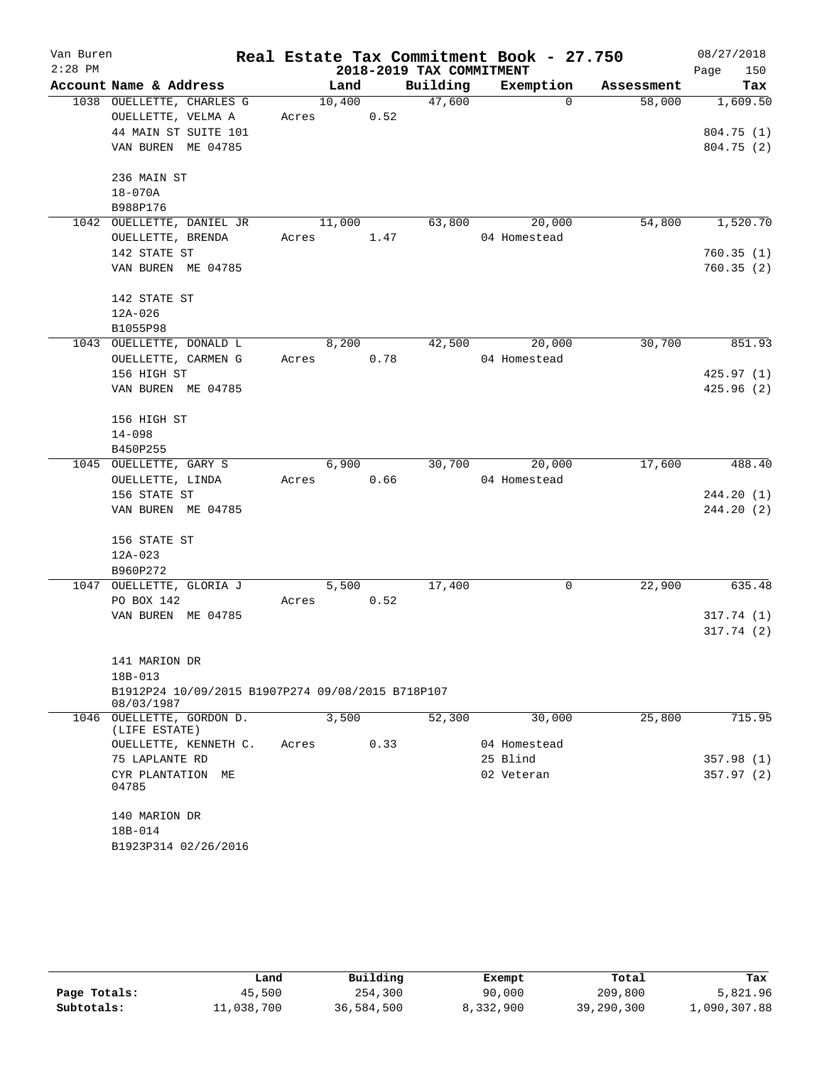| Van Buren<br>$2:28$ PM |                                                   |       |            |      | 2018-2019 TAX COMMITMENT | Real Estate Tax Commitment Book - 27.750 |            | 08/27/2018<br>Page<br>150 |
|------------------------|---------------------------------------------------|-------|------------|------|--------------------------|------------------------------------------|------------|---------------------------|
|                        | Account Name & Address                            |       | Land       |      | Building                 | Exemption                                | Assessment | Tax                       |
|                        | 1038 OUELLETTE, CHARLES G                         |       | 10,400     |      | 47,600                   | $\Omega$                                 | 58,000     | 1,609.50                  |
|                        | OUELLETTE, VELMA A                                |       | Acres 0.52 |      |                          |                                          |            |                           |
|                        | 44 MAIN ST SUITE 101                              |       |            |      |                          |                                          |            | 804.75(1)                 |
|                        | VAN BUREN ME 04785                                |       |            |      |                          |                                          |            | 804.75(2)                 |
|                        |                                                   |       |            |      |                          |                                          |            |                           |
|                        | 236 MAIN ST                                       |       |            |      |                          |                                          |            |                           |
|                        | 18-070A                                           |       |            |      |                          |                                          |            |                           |
|                        | B988P176                                          |       |            |      |                          |                                          |            |                           |
|                        | 1042 OUELLETTE, DANIEL JR                         |       | 11,000     |      | 63,800                   | 20,000                                   | 54,800     | 1,520.70                  |
|                        | OUELLETTE, BRENDA                                 |       | Acres      | 1.47 |                          | 04 Homestead                             |            |                           |
|                        | 142 STATE ST                                      |       |            |      |                          |                                          |            | 760.35(1)                 |
|                        | VAN BUREN ME 04785                                |       |            |      |                          |                                          |            | 760.35(2)                 |
|                        |                                                   |       |            |      |                          |                                          |            |                           |
|                        | 142 STATE ST                                      |       |            |      |                          |                                          |            |                           |
|                        | $12A-026$                                         |       |            |      |                          |                                          |            |                           |
|                        | B1055P98                                          |       |            |      |                          |                                          |            |                           |
|                        | 1043 OUELLETTE, DONALD L                          |       | 8,200      |      | 42,500                   | 20,000                                   | 30,700     | 851.93                    |
|                        | OUELLETTE, CARMEN G                               |       | Acres      | 0.78 |                          | 04 Homestead                             |            |                           |
|                        | 156 HIGH ST                                       |       |            |      |                          |                                          |            | 425.97(1)                 |
|                        |                                                   |       |            |      |                          |                                          |            |                           |
|                        | VAN BUREN ME 04785                                |       |            |      |                          |                                          |            | 425.96(2)                 |
|                        | 156 HIGH ST                                       |       |            |      |                          |                                          |            |                           |
|                        |                                                   |       |            |      |                          |                                          |            |                           |
|                        | $14 - 098$                                        |       |            |      |                          |                                          |            |                           |
|                        | B450P255                                          |       |            |      |                          |                                          |            |                           |
|                        | 1045 OUELLETTE, GARY S                            |       | 6,900      |      | 30,700                   | 20,000                                   | 17,600     | 488.40                    |
|                        | OUELLETTE, LINDA                                  |       | Acres      | 0.66 |                          | 04 Homestead                             |            |                           |
|                        | 156 STATE ST                                      |       |            |      |                          |                                          |            | 244.20 (1)                |
|                        | VAN BUREN ME 04785                                |       |            |      |                          |                                          |            | 244.20 (2)                |
|                        |                                                   |       |            |      |                          |                                          |            |                           |
|                        | 156 STATE ST                                      |       |            |      |                          |                                          |            |                           |
|                        | $12A-023$                                         |       |            |      |                          |                                          |            |                           |
|                        | B960P272                                          |       |            |      |                          |                                          |            |                           |
|                        | 1047 OUELLETTE, GLORIA J                          |       | 5,500      |      | 17,400                   | 0                                        | 22,900     | 635.48                    |
|                        | PO BOX 142                                        | Acres |            | 0.52 |                          |                                          |            |                           |
|                        | VAN BUREN ME 04785                                |       |            |      |                          |                                          |            | 317.74(1)                 |
|                        |                                                   |       |            |      |                          |                                          |            | 317.74 (2)                |
|                        |                                                   |       |            |      |                          |                                          |            |                           |
|                        | 141 MARION DR                                     |       |            |      |                          |                                          |            |                           |
|                        | 18B-013                                           |       |            |      |                          |                                          |            |                           |
|                        | B1912P24 10/09/2015 B1907P274 09/08/2015 B718P107 |       |            |      |                          |                                          |            |                           |
|                        | 08/03/1987<br>1046 OUELLETTE, GORDON D.           |       | 3,500      |      | 52,300                   | 30,000                                   | 25,800     | 715.95                    |
|                        | (LIFE ESTATE)                                     |       |            |      |                          |                                          |            |                           |
|                        | OUELLETTE, KENNETH C.                             | Acres |            | 0.33 |                          | 04 Homestead                             |            |                           |
|                        | 75 LAPLANTE RD                                    |       |            |      |                          | 25 Blind                                 |            | 357.98 (1)                |
|                        | CYR PLANTATION ME                                 |       |            |      |                          | 02 Veteran                               |            | 357.97 (2)                |
|                        | 04785                                             |       |            |      |                          |                                          |            |                           |
|                        | 140 MARION DR                                     |       |            |      |                          |                                          |            |                           |
|                        | 18B-014                                           |       |            |      |                          |                                          |            |                           |
|                        | B1923P314 02/26/2016                              |       |            |      |                          |                                          |            |                           |
|                        |                                                   |       |            |      |                          |                                          |            |                           |
|                        |                                                   |       |            |      |                          |                                          |            |                           |

|              | Land       | Building   | Exempt    | Total      | Tax          |
|--------------|------------|------------|-----------|------------|--------------|
| Page Totals: | 45,500     | 254,300    | 90,000    | 209,800    | 5,821.96     |
| Subtotals:   | 11,038,700 | 36,584,500 | 8,332,900 | 39,290,300 | 1,090,307.88 |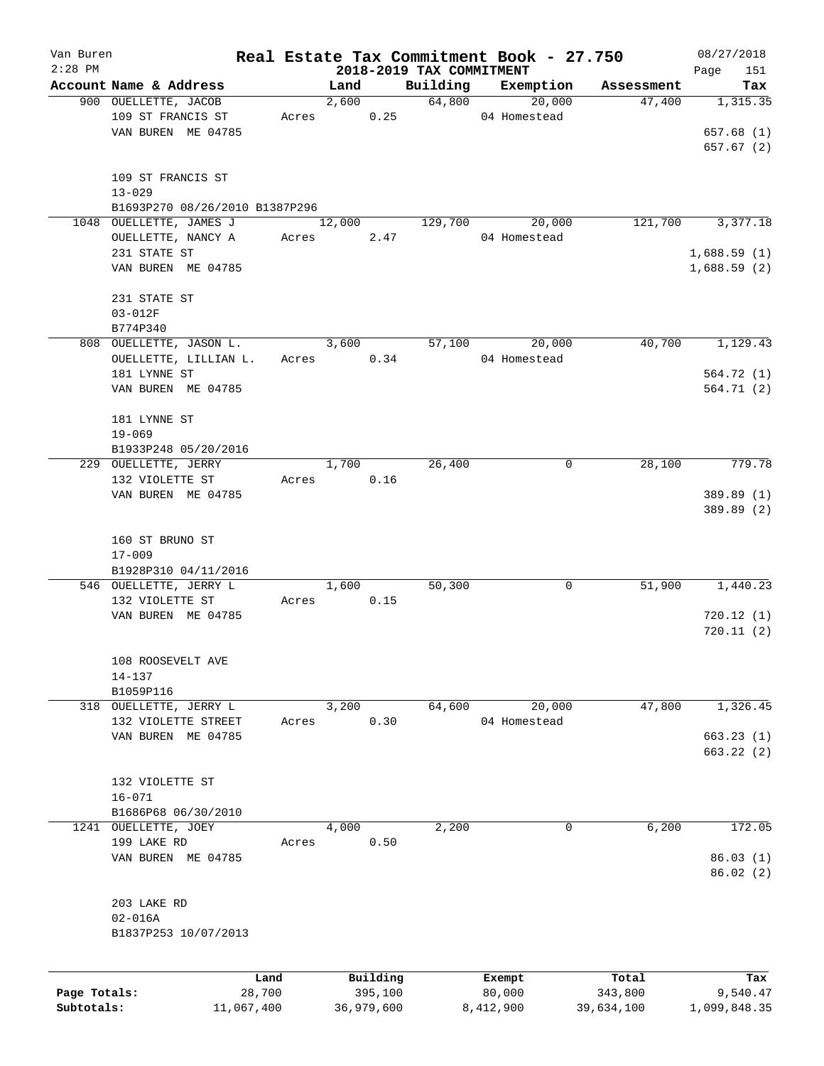| Van Buren    |                                           |            |       |            |            |                          | Real Estate Tax Commitment Book - 27.750 |            | 08/27/2018              |
|--------------|-------------------------------------------|------------|-------|------------|------------|--------------------------|------------------------------------------|------------|-------------------------|
| $2:28$ PM    |                                           |            |       |            |            | 2018-2019 TAX COMMITMENT |                                          |            | 151<br>Page             |
|              | Account Name & Address                    |            |       | Land       |            | Building                 | Exemption                                | Assessment | Tax                     |
|              | 900 OUELLETTE, JACOB                      |            |       |            | 2,600      | 64,800                   | 20,000                                   | 47,400     | 1,315.35                |
|              | 109 ST FRANCIS ST                         |            | Acres |            | 0.25       |                          | 04 Homestead                             |            |                         |
|              | VAN BUREN ME 04785                        |            |       |            |            |                          |                                          |            | 657.68 (1)              |
|              |                                           |            |       |            |            |                          |                                          |            | 657.67 (2)              |
|              |                                           |            |       |            |            |                          |                                          |            |                         |
|              | 109 ST FRANCIS ST                         |            |       |            |            |                          |                                          |            |                         |
|              | $13 - 029$                                |            |       |            |            |                          |                                          |            |                         |
|              | B1693P270 08/26/2010 B1387P296            |            |       |            |            |                          |                                          |            |                         |
|              | 1048 OUELLETTE, JAMES J                   |            |       | 12,000     |            | 129,700                  | 20,000                                   | 121,700    | 3,377.18                |
|              | OUELLETTE, NANCY A                        |            | Acres |            | 2.47       |                          | 04 Homestead                             |            |                         |
|              | 231 STATE ST                              |            |       |            |            |                          |                                          |            | 1,688.59(1)             |
|              | VAN BUREN ME 04785                        |            |       |            |            |                          |                                          |            | 1,688.59(2)             |
|              |                                           |            |       |            |            |                          |                                          |            |                         |
|              | 231 STATE ST<br>$03 - 012F$               |            |       |            |            |                          |                                          |            |                         |
|              | B774P340                                  |            |       |            |            |                          |                                          |            |                         |
|              | 808 OUELLETTE, JASON L.                   |            |       | 3,600      |            | 57,100                   | 20,000                                   | 40,700     | 1, 129.43               |
|              | OUELLETTE, LILLIAN L.                     |            |       | Acres 0.34 |            |                          | 04 Homestead                             |            |                         |
|              |                                           |            |       |            |            |                          |                                          |            |                         |
|              | 181 LYNNE ST                              |            |       |            |            |                          |                                          |            | 564.72 (1)<br>564.71(2) |
|              | VAN BUREN ME 04785                        |            |       |            |            |                          |                                          |            |                         |
|              | 181 LYNNE ST                              |            |       |            |            |                          |                                          |            |                         |
|              | $19 - 069$                                |            |       |            |            |                          |                                          |            |                         |
|              |                                           |            |       |            |            |                          |                                          |            |                         |
|              | B1933P248 05/20/2016                      |            |       | 1,700      |            | 26,400                   | 0                                        | 28,100     | 779.78                  |
|              | 229 OUELLETTE, JERRY                      |            |       |            |            |                          |                                          |            |                         |
|              | 132 VIOLETTE ST                           |            | Acres |            | 0.16       |                          |                                          |            |                         |
|              | VAN BUREN ME 04785                        |            |       |            |            |                          |                                          |            | 389.89 (1)              |
|              |                                           |            |       |            |            |                          |                                          |            | 389.89 (2)              |
|              |                                           |            |       |            |            |                          |                                          |            |                         |
|              | 160 ST BRUNO ST                           |            |       |            |            |                          |                                          |            |                         |
|              | $17 - 009$                                |            |       |            |            |                          |                                          |            |                         |
|              | B1928P310 04/11/2016                      |            |       | 1,600      |            | 50,300                   | 0                                        | 51,900     | 1,440.23                |
|              | 546 OUELLETTE, JERRY L<br>132 VIOLETTE ST |            |       |            | 0.15       |                          |                                          |            |                         |
|              | VAN BUREN ME 04785                        |            | Acres |            |            |                          |                                          |            | 720.12(1)               |
|              |                                           |            |       |            |            |                          |                                          |            | 720.11(2)               |
|              |                                           |            |       |            |            |                          |                                          |            |                         |
|              |                                           |            |       |            |            |                          |                                          |            |                         |
|              | 108 ROOSEVELT AVE<br>$14 - 137$           |            |       |            |            |                          |                                          |            |                         |
|              | B1059P116                                 |            |       |            |            |                          |                                          |            |                         |
|              | 318 OUELLETTE, JERRY L                    |            |       | 3,200      |            | 64,600                   | 20,000                                   | 47,800     | 1,326.45                |
|              | 132 VIOLETTE STREET                       |            | Acres |            | 0.30       |                          | 04 Homestead                             |            |                         |
|              | VAN BUREN ME 04785                        |            |       |            |            |                          |                                          |            | 663.23(1)               |
|              |                                           |            |       |            |            |                          |                                          |            | 663.22(2)               |
|              |                                           |            |       |            |            |                          |                                          |            |                         |
|              | 132 VIOLETTE ST                           |            |       |            |            |                          |                                          |            |                         |
|              | $16 - 071$                                |            |       |            |            |                          |                                          |            |                         |
|              | B1686P68 06/30/2010                       |            |       |            |            |                          |                                          |            |                         |
|              | 1241 OUELLETTE, JOEY                      |            |       | 4,000      |            | 2,200                    | $\mathbf 0$                              | 6,200      | 172.05                  |
|              | 199 LAKE RD                               |            | Acres |            | 0.50       |                          |                                          |            |                         |
|              | VAN BUREN ME 04785                        |            |       |            |            |                          |                                          |            | 86.03(1)                |
|              |                                           |            |       |            |            |                          |                                          |            | 86.02(2)                |
|              |                                           |            |       |            |            |                          |                                          |            |                         |
|              | 203 LAKE RD                               |            |       |            |            |                          |                                          |            |                         |
|              |                                           |            |       |            |            |                          |                                          |            |                         |
|              | $02 - 016A$                               |            |       |            |            |                          |                                          |            |                         |
|              | B1837P253 10/07/2013                      |            |       |            |            |                          |                                          |            |                         |
|              |                                           |            |       |            |            |                          |                                          |            |                         |
|              |                                           | Land       |       |            | Building   |                          | Exempt                                   | Total      | Tax                     |
| Page Totals: |                                           | 28,700     |       |            | 395,100    |                          | 80,000                                   | 343,800    | 9,540.47                |
| Subtotals:   |                                           | 11,067,400 |       |            | 36,979,600 |                          | 8,412,900                                | 39,634,100 | 1,099,848.35            |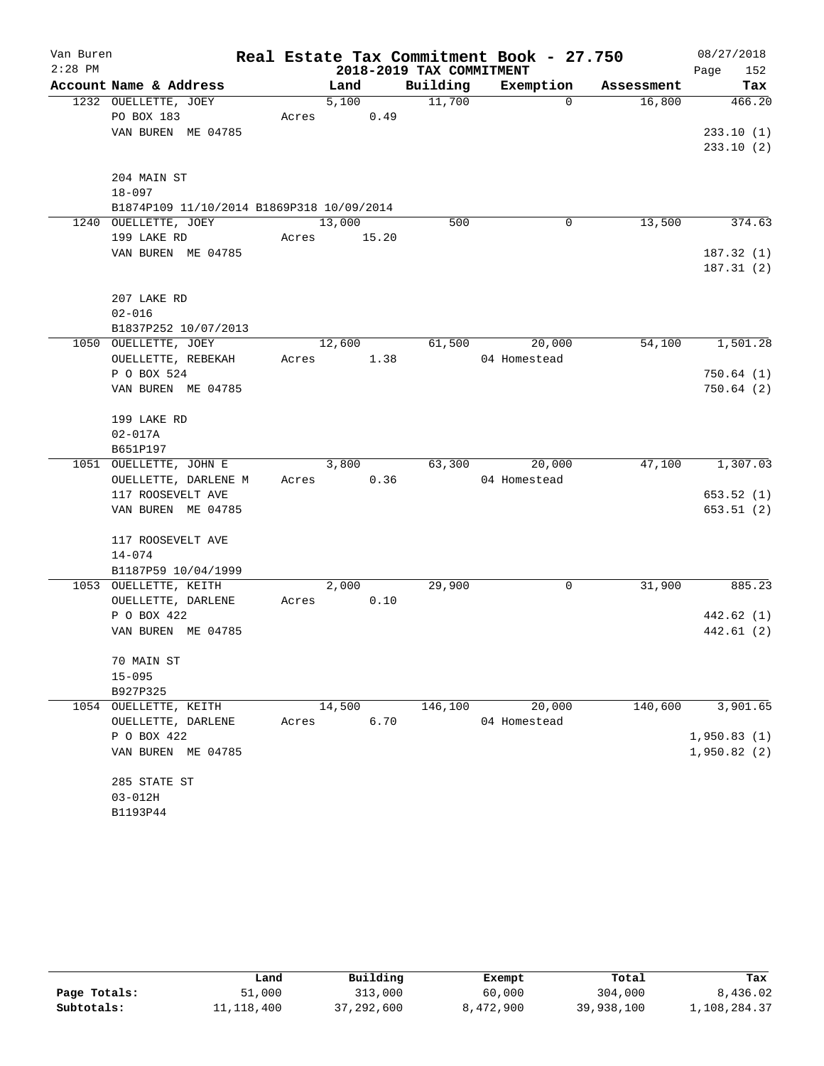| Van Buren |                                           |       |        |                          | Real Estate Tax Commitment Book - 27.750 |            | 08/27/2018  |
|-----------|-------------------------------------------|-------|--------|--------------------------|------------------------------------------|------------|-------------|
| $2:28$ PM |                                           |       |        | 2018-2019 TAX COMMITMENT |                                          |            | Page<br>152 |
|           | Account Name & Address                    |       | Land   | Building                 | Exemption                                | Assessment | Tax         |
|           | 1232 OUELLETTE, JOEY                      |       | 5,100  | 11,700                   | $\Omega$                                 | 16,800     | 466.20      |
|           | PO BOX 183                                | Acres | 0.49   |                          |                                          |            |             |
|           | VAN BUREN ME 04785                        |       |        |                          |                                          |            | 233.10(1)   |
|           |                                           |       |        |                          |                                          |            | 233.10(2)   |
|           | 204 MAIN ST                               |       |        |                          |                                          |            |             |
|           | $18 - 097$                                |       |        |                          |                                          |            |             |
|           | B1874P109 11/10/2014 B1869P318 10/09/2014 |       |        |                          |                                          |            |             |
| 1240      | OUELLETTE, JOEY                           |       | 13,000 | 500                      | 0                                        | 13,500     | 374.63      |
|           | 199 LAKE RD                               | Acres | 15.20  |                          |                                          |            |             |
|           | VAN BUREN ME 04785                        |       |        |                          |                                          |            | 187.32(1)   |
|           |                                           |       |        |                          |                                          |            | 187.31(2)   |
|           | 207 LAKE RD                               |       |        |                          |                                          |            |             |
|           | $02 - 016$                                |       |        |                          |                                          |            |             |
|           | B1837P252 10/07/2013                      |       |        |                          |                                          |            |             |
|           | 1050 OUELLETTE, JOEY                      |       | 12,600 | 61,500                   | 20,000                                   | 54,100     | 1,501.28    |
|           | OUELLETTE, REBEKAH                        | Acres | 1.38   |                          | 04 Homestead                             |            |             |
|           | P O BOX 524                               |       |        |                          |                                          |            | 750.64(1)   |
|           | VAN BUREN ME 04785                        |       |        |                          |                                          |            | 750.64(2)   |
|           |                                           |       |        |                          |                                          |            |             |
|           | 199 LAKE RD                               |       |        |                          |                                          |            |             |
|           | $02 - 017A$                               |       |        |                          |                                          |            |             |
|           | B651P197                                  |       |        |                          |                                          |            |             |
|           | 1051 OUELLETTE, JOHN E                    |       | 3,800  | 63,300                   | 20,000                                   | 47,100     | 1,307.03    |
|           | OUELLETTE, DARLENE M                      | Acres | 0.36   |                          | 04 Homestead                             |            |             |
|           | 117 ROOSEVELT AVE                         |       |        |                          |                                          |            | 653.52(1)   |
|           | VAN BUREN ME 04785                        |       |        |                          |                                          |            | 653.51(2)   |
|           | 117 ROOSEVELT AVE                         |       |        |                          |                                          |            |             |
|           | $14 - 074$                                |       |        |                          |                                          |            |             |
|           | B1187P59 10/04/1999                       |       |        |                          |                                          |            |             |
|           | 1053 OUELLETTE, KEITH                     |       | 2,000  | 29,900                   | 0                                        | 31,900     | 885.23      |
|           | OUELLETTE, DARLENE                        | Acres | 0.10   |                          |                                          |            |             |
|           | P O BOX 422                               |       |        |                          |                                          |            | 442.62 (1)  |
|           | VAN BUREN ME 04785                        |       |        |                          |                                          |            | 442.61 (2)  |
|           | 70 MAIN ST                                |       |        |                          |                                          |            |             |
|           | $15 - 095$                                |       |        |                          |                                          |            |             |
|           | B927P325                                  |       |        |                          |                                          |            |             |
|           | 1054 OUELLETTE, KEITH                     |       | 14,500 | 146,100                  | 20,000                                   | 140,600    | 3,901.65    |
|           | OUELLETTE, DARLENE                        | Acres | 6.70   |                          | 04 Homestead                             |            |             |
|           | P O BOX 422                               |       |        |                          |                                          |            | 1,950.83(1) |
|           | VAN BUREN ME 04785                        |       |        |                          |                                          |            | 1,950.82(2) |
|           | 285 STATE ST                              |       |        |                          |                                          |            |             |
|           | $03 - 012H$                               |       |        |                          |                                          |            |             |
|           | B1193P44                                  |       |        |                          |                                          |            |             |

|              | Land       | Building     | Exempt    | Total      | Tax          |
|--------------|------------|--------------|-----------|------------|--------------|
| Page Totals: | 51,000     | 313,000      | 60,000    | 304,000    | 8,436.02     |
| Subtotals:   | 11,118,400 | 37, 292, 600 | 8,472,900 | 39,938,100 | 1,108,284.37 |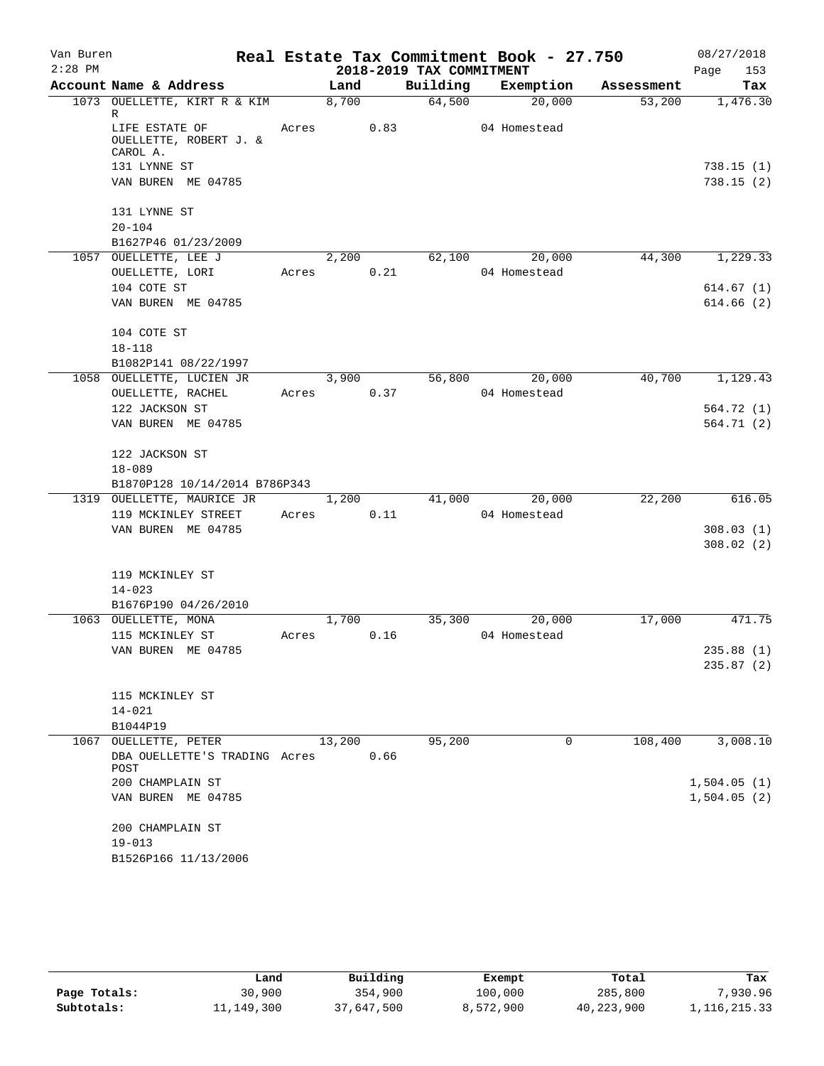| Van Buren<br>$2:28$ PM |                                                                                                 |       |        |      | 2018-2019 TAX COMMITMENT | Real Estate Tax Commitment Book - 27.750 |                               | 08/27/2018<br>Page<br>153 |
|------------------------|-------------------------------------------------------------------------------------------------|-------|--------|------|--------------------------|------------------------------------------|-------------------------------|---------------------------|
|                        | Account Name & Address                                                                          |       | Land   |      |                          |                                          | Building Exemption Assessment | Tax                       |
|                        | 1073 OUELLETTE, KIRT R & KIM                                                                    |       | 8,700  |      | 64,500                   | 20,000                                   | 53,200                        | 1,476.30                  |
|                        | R<br>LIFE ESTATE OF<br>OUELLETTE, ROBERT J. &<br>CAROL A.<br>131 LYNNE ST<br>VAN BUREN ME 04785 |       | Acres  | 0.83 |                          | 04 Homestead                             |                               | 738.15(1)<br>738.15(2)    |
|                        | 131 LYNNE ST                                                                                    |       |        |      |                          |                                          |                               |                           |
|                        | $20 - 104$<br>B1627P46 01/23/2009                                                               |       |        |      |                          |                                          |                               |                           |
|                        | 1057 OUELLETTE, LEE J<br>OUELLETTE, LORI                                                        | Acres | 2,200  | 0.21 | 62,100                   | 20,000<br>04 Homestead                   | 44,300                        | 1,229.33                  |
|                        | 104 COTE ST                                                                                     |       |        |      |                          |                                          |                               | 614.67(1)                 |
|                        | VAN BUREN ME 04785                                                                              |       |        |      |                          |                                          |                               | 614.66(2)                 |
|                        | 104 COTE ST                                                                                     |       |        |      |                          |                                          |                               |                           |
|                        | $18 - 118$                                                                                      |       |        |      |                          |                                          |                               |                           |
|                        | B1082P141 08/22/1997<br>1058 OUELLETTE, LUCIEN JR                                               |       | 3,900  |      | 56,800                   | 20,000                                   | 40,700                        | 1,129.43                  |
|                        | OUELLETTE, RACHEL                                                                               |       | Acres  | 0.37 |                          | 04 Homestead                             |                               |                           |
|                        | 122 JACKSON ST                                                                                  |       |        |      |                          |                                          |                               | 564.72 (1)                |
|                        | VAN BUREN ME 04785                                                                              |       |        |      |                          |                                          |                               | 564.71 (2)                |
|                        | 122 JACKSON ST                                                                                  |       |        |      |                          |                                          |                               |                           |
|                        | $18 - 089$                                                                                      |       |        |      |                          |                                          |                               |                           |
|                        | B1870P128 10/14/2014 B786P343                                                                   |       |        |      |                          |                                          |                               |                           |
|                        | 1319 OUELLETTE, MAURICE JR                                                                      |       | 1,200  |      | 41,000                   | 20,000                                   | 22,200                        | 616.05                    |
|                        | 119 MCKINLEY STREET                                                                             | Acres |        | 0.11 |                          | 04 Homestead                             |                               |                           |
|                        | VAN BUREN ME 04785                                                                              |       |        |      |                          |                                          |                               | 308.03(1)                 |
|                        |                                                                                                 |       |        |      |                          |                                          |                               | 308.02(2)                 |
|                        | 119 MCKINLEY ST                                                                                 |       |        |      |                          |                                          |                               |                           |
|                        | $14 - 023$                                                                                      |       |        |      |                          |                                          |                               |                           |
|                        | B1676P190 04/26/2010                                                                            |       |        |      |                          |                                          |                               |                           |
|                        | 1063 OUELLETTE, MONA                                                                            |       | 1,700  |      | 35,300                   | 20,000                                   | 17,000                        | 471.75                    |
|                        | 115 MCKINLEY ST                                                                                 |       | Acres  | 0.16 |                          | 04 Homestead                             |                               |                           |
|                        | VAN BUREN ME 04785                                                                              |       |        |      |                          |                                          |                               | 235.88 (1)                |
|                        |                                                                                                 |       |        |      |                          |                                          |                               | 235.87(2)                 |
|                        | 115 MCKINLEY ST                                                                                 |       |        |      |                          |                                          |                               |                           |
|                        | $14 - 021$                                                                                      |       |        |      |                          |                                          |                               |                           |
|                        | B1044P19                                                                                        |       |        |      |                          |                                          |                               |                           |
|                        | 1067 OUELLETTE, PETER                                                                           |       | 13,200 |      | 95,200                   | 0                                        | 108,400                       | 3,008.10                  |
|                        | DBA OUELLETTE'S TRADING Acres<br>POST                                                           |       |        | 0.66 |                          |                                          |                               |                           |
|                        | 200 CHAMPLAIN ST                                                                                |       |        |      |                          |                                          |                               | 1,504.05(1)               |
|                        | VAN BUREN ME 04785                                                                              |       |        |      |                          |                                          |                               | 1,504.05(2)               |
|                        | 200 CHAMPLAIN ST                                                                                |       |        |      |                          |                                          |                               |                           |
|                        | $19 - 013$                                                                                      |       |        |      |                          |                                          |                               |                           |
|                        | B1526P166 11/13/2006                                                                            |       |        |      |                          |                                          |                               |                           |

|              | Land       | Building   | Exempt    | Total      | Tax             |
|--------------|------------|------------|-----------|------------|-----------------|
| Page Totals: | 30,900     | 354,900    | 100,000   | 285,800    | 7,930.96        |
| Subtotals:   | 11,149,300 | 37,647,500 | 8,572,900 | 40,223,900 | 1, 116, 215. 33 |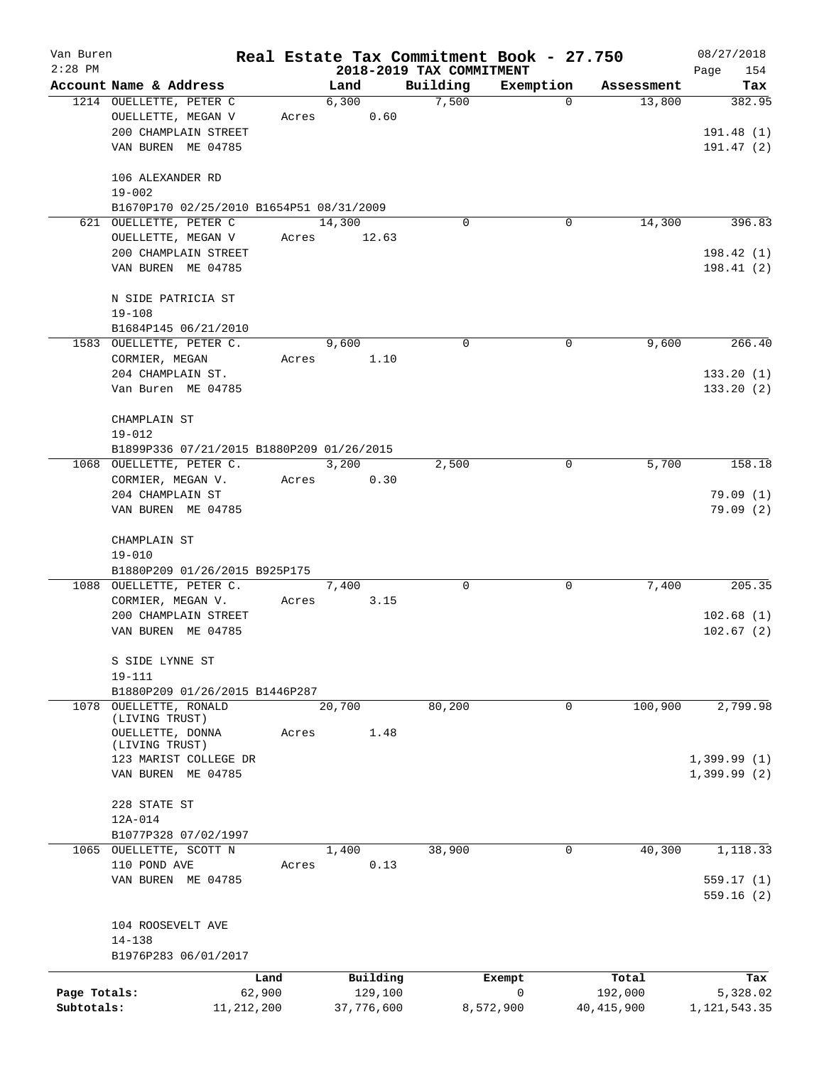| Van Buren    |                                                   |                |                     |                          | Real Estate Tax Commitment Book - 27.750 |                      | 08/27/2018         |
|--------------|---------------------------------------------------|----------------|---------------------|--------------------------|------------------------------------------|----------------------|--------------------|
| $2:28$ PM    |                                                   |                |                     | 2018-2019 TAX COMMITMENT |                                          |                      | Page<br>154<br>Tax |
|              | Account Name & Address<br>1214 OUELLETTE, PETER C |                | Land<br>6,300       | Building<br>7,500        | Exemption<br>$\mathbf 0$                 | Assessment<br>13,800 | 382.95             |
|              | OUELLETTE, MEGAN V                                | Acres          | 0.60                |                          |                                          |                      |                    |
|              | 200 CHAMPLAIN STREET                              |                |                     |                          |                                          |                      | 191.48(1)          |
|              | VAN BUREN ME 04785                                |                |                     |                          |                                          |                      | 191.47(2)          |
|              |                                                   |                |                     |                          |                                          |                      |                    |
|              | 106 ALEXANDER RD                                  |                |                     |                          |                                          |                      |                    |
|              | $19 - 002$                                        |                |                     |                          |                                          |                      |                    |
|              | B1670P170 02/25/2010 B1654P51 08/31/2009          |                |                     |                          |                                          |                      |                    |
|              | 621 OUELLETTE, PETER C                            |                | 14,300              | $\mathbf 0$              | 0                                        | 14,300               | 396.83             |
|              | OUELLETTE, MEGAN V                                | Acres          | 12.63               |                          |                                          |                      |                    |
|              | 200 CHAMPLAIN STREET                              |                |                     |                          |                                          |                      | 198.42(1)          |
|              | VAN BUREN ME 04785                                |                |                     |                          |                                          |                      | 198.41(2)          |
|              | N SIDE PATRICIA ST                                |                |                     |                          |                                          |                      |                    |
|              | $19 - 108$                                        |                |                     |                          |                                          |                      |                    |
|              | B1684P145 06/21/2010                              |                |                     |                          |                                          |                      |                    |
|              | 1583 OUELLETTE, PETER C.                          |                | 9,600               | $\Omega$                 | 0                                        | 9,600                | 266.40             |
|              | CORMIER, MEGAN                                    | Acres          | 1.10                |                          |                                          |                      |                    |
|              | 204 CHAMPLAIN ST.                                 |                |                     |                          |                                          |                      | 133.20(1)          |
|              | Van Buren ME 04785                                |                |                     |                          |                                          |                      | 133.20(2)          |
|              | CHAMPLAIN ST                                      |                |                     |                          |                                          |                      |                    |
|              | $19 - 012$                                        |                |                     |                          |                                          |                      |                    |
|              | B1899P336 07/21/2015 B1880P209 01/26/2015         |                |                     |                          |                                          |                      |                    |
|              | 1068 OUELLETTE, PETER C.                          |                | 3,200               | 2,500                    | 0                                        | 5,700                | 158.18             |
|              | CORMIER, MEGAN V.                                 | Acres          | 0.30                |                          |                                          |                      |                    |
|              | 204 CHAMPLAIN ST                                  |                |                     |                          |                                          |                      | 79.09 (1)          |
|              | VAN BUREN ME 04785                                |                |                     |                          |                                          |                      | 79.09(2)           |
|              |                                                   |                |                     |                          |                                          |                      |                    |
|              | CHAMPLAIN ST                                      |                |                     |                          |                                          |                      |                    |
|              | $19 - 010$                                        |                |                     |                          |                                          |                      |                    |
|              | B1880P209 01/26/2015 B925P175                     |                |                     |                          |                                          |                      |                    |
|              | 1088 OUELLETTE, PETER C.                          |                | 7,400               | $\Omega$                 | 0                                        | 7,400                | 205.35             |
|              | CORMIER, MEGAN V.                                 | Acres          | 3.15                |                          |                                          |                      |                    |
|              | 200 CHAMPLAIN STREET                              |                |                     |                          |                                          |                      | 102.68(1)          |
|              | VAN BUREN ME 04785                                |                |                     |                          |                                          |                      | 102.67(2)          |
|              | S SIDE LYNNE ST                                   |                |                     |                          |                                          |                      |                    |
|              | $19 - 111$                                        |                |                     |                          |                                          |                      |                    |
|              | B1880P209 01/26/2015 B1446P287                    |                |                     |                          |                                          |                      |                    |
|              | 1078 OUELLETTE, RONALD<br>(LIVING TRUST)          |                | 20,700              | 80,200                   | 0                                        | 100,900              | 2,799.98           |
|              | OUELLETTE, DONNA                                  | Acres          | 1.48                |                          |                                          |                      |                    |
|              | (LIVING TRUST)                                    |                |                     |                          |                                          |                      |                    |
|              | 123 MARIST COLLEGE DR                             |                |                     |                          |                                          |                      | $1,399.99$ (1)     |
|              | VAN BUREN ME 04785                                |                |                     |                          |                                          |                      | $1,399.99$ (2)     |
|              | 228 STATE ST                                      |                |                     |                          |                                          |                      |                    |
|              | 12A-014                                           |                |                     |                          |                                          |                      |                    |
|              | B1077P328 07/02/1997                              |                |                     |                          |                                          |                      |                    |
|              | 1065 OUELLETTE, SCOTT N                           |                | 1,400               | 38,900                   | $\mathbf 0$                              | 40,300               | 1,118.33           |
|              | 110 POND AVE                                      | Acres          | 0.13                |                          |                                          |                      |                    |
|              | VAN BUREN ME 04785                                |                |                     |                          |                                          |                      | 559.17(1)          |
|              |                                                   |                |                     |                          |                                          |                      | 559.16(2)          |
|              |                                                   |                |                     |                          |                                          |                      |                    |
|              | 104 ROOSEVELT AVE                                 |                |                     |                          |                                          |                      |                    |
|              | $14 - 138$<br>B1976P283 06/01/2017                |                |                     |                          |                                          |                      |                    |
|              |                                                   |                |                     |                          |                                          |                      |                    |
| Page Totals: |                                                   | Land<br>62,900 | Building<br>129,100 |                          | Exempt<br>0                              | Total<br>192,000     | Tax<br>5,328.02    |
| Subtotals:   | 11, 212, 200                                      |                | 37,776,600          |                          | 8,572,900                                | 40, 415, 900         | 1, 121, 543.35     |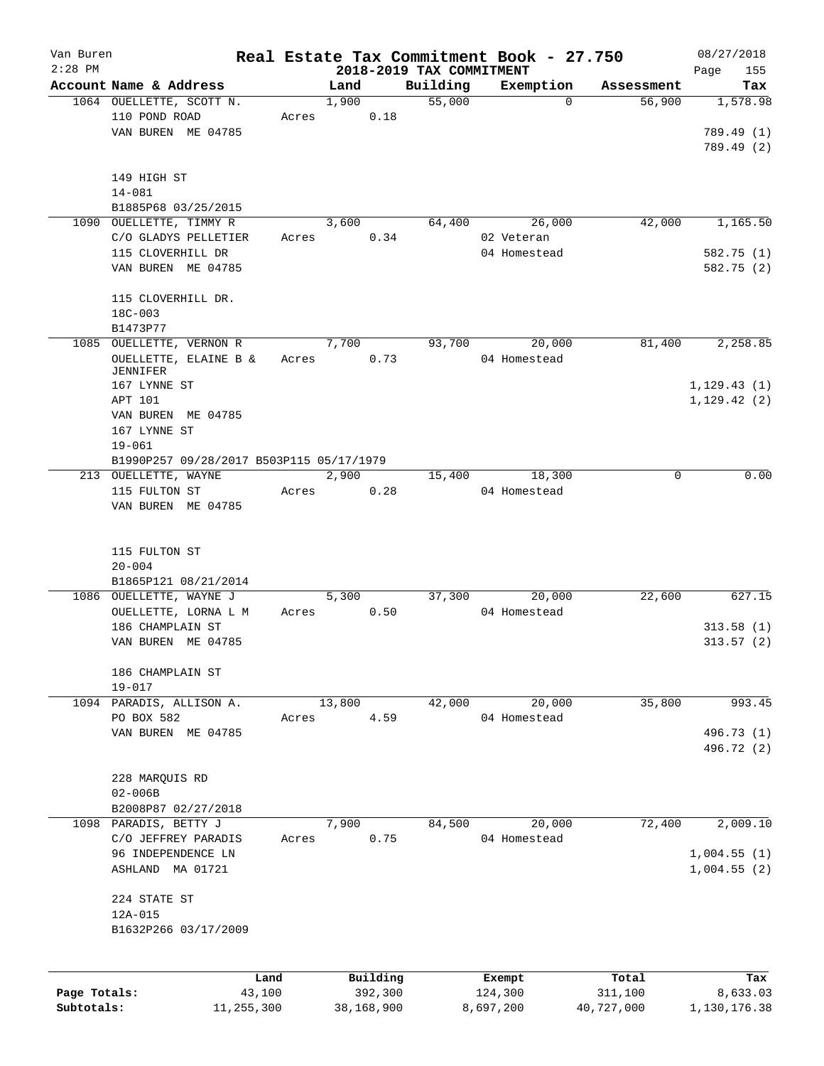| Van Buren    |                                           |        |               |                                      | Real Estate Tax Commitment Book - 27.750 |            | 08/27/2018             |
|--------------|-------------------------------------------|--------|---------------|--------------------------------------|------------------------------------------|------------|------------------------|
| $2:28$ PM    | Account Name & Address                    |        | Land          | 2018-2019 TAX COMMITMENT<br>Building |                                          | Assessment | Page<br>155            |
|              | 1064 OUELLETTE, SCOTT N.                  |        | 1,900         | 55,000                               | Exemption<br>$\mathbf 0$                 | 56,900     | Tax<br>1,578.98        |
|              | 110 POND ROAD                             | Acres  | 0.18          |                                      |                                          |            |                        |
|              | VAN BUREN ME 04785                        |        |               |                                      |                                          |            | 789.49 (1)             |
|              |                                           |        |               |                                      |                                          |            | 789.49 (2)             |
|              |                                           |        |               |                                      |                                          |            |                        |
|              | 149 HIGH ST                               |        |               |                                      |                                          |            |                        |
|              | $14 - 081$                                |        |               |                                      |                                          |            |                        |
|              | B1885P68 03/25/2015                       |        |               |                                      |                                          |            |                        |
|              | 1090 OUELLETTE, TIMMY R                   |        | 3,600         | 64,400                               | 26,000                                   | 42,000     | 1,165.50               |
|              | C/O GLADYS PELLETIER                      | Acres  | 0.34          |                                      | 02 Veteran                               |            |                        |
|              | 115 CLOVERHILL DR                         |        |               |                                      | 04 Homestead                             |            | 582.75 (1)             |
|              | VAN BUREN ME 04785                        |        |               |                                      |                                          |            | 582.75 (2)             |
|              |                                           |        |               |                                      |                                          |            |                        |
|              | 115 CLOVERHILL DR.                        |        |               |                                      |                                          |            |                        |
|              | $18C - 003$                               |        |               |                                      |                                          |            |                        |
|              | B1473P77                                  |        |               |                                      |                                          |            |                        |
|              | 1085 OUELLETTE, VERNON R                  |        | 7,700         | 93,700                               | 20,000                                   | 81,400     | 2,258.85               |
|              | OUELLETTE, ELAINE B &<br>JENNIFER         | Acres  | 0.73          |                                      | 04 Homestead                             |            |                        |
|              | 167 LYNNE ST                              |        |               |                                      |                                          |            | 1, 129.43(1)           |
|              | APT 101                                   |        |               |                                      |                                          |            | 1,129.42(2)            |
|              | VAN BUREN ME 04785                        |        |               |                                      |                                          |            |                        |
|              | 167 LYNNE ST                              |        |               |                                      |                                          |            |                        |
|              | $19 - 061$                                |        |               |                                      |                                          |            |                        |
|              | B1990P257 09/28/2017 B503P115 05/17/1979  |        |               |                                      |                                          |            |                        |
|              | 213 OUELLETTE, WAYNE                      |        | 2,900         | 15,400                               | 18,300                                   | $\Omega$   | 0.00                   |
|              | 115 FULTON ST                             | Acres  | 0.28          |                                      | 04 Homestead                             |            |                        |
|              | VAN BUREN ME 04785                        |        |               |                                      |                                          |            |                        |
|              | 115 FULTON ST<br>$20 - 004$               |        |               |                                      |                                          |            |                        |
|              | B1865P121 08/21/2014                      |        |               |                                      |                                          |            |                        |
|              | 1086 OUELLETTE, WAYNE J                   |        | 5,300         | 37,300                               | 20,000                                   | 22,600     | 627.15                 |
|              | OUELLETTE, LORNA L M                      | Acres  | 0.50          |                                      | 04 Homestead                             |            |                        |
|              | 186 CHAMPLAIN ST                          |        |               |                                      |                                          |            | 313.58(1)<br>313.57(2) |
|              | VAN BUREN ME 04785                        |        |               |                                      |                                          |            |                        |
|              | 186 CHAMPLAIN ST                          |        |               |                                      |                                          |            |                        |
|              | $19 - 017$                                |        |               |                                      |                                          |            |                        |
|              | 1094 PARADIS, ALLISON A.                  |        | 13,800        | 42,000                               | 20,000                                   | 35,800     | 993.45                 |
|              | PO BOX 582                                | Acres  | 4.59          |                                      | 04 Homestead                             |            |                        |
|              | VAN BUREN ME 04785                        |        |               |                                      |                                          |            | 496.73 (1)             |
|              |                                           |        |               |                                      |                                          |            | 496.72 (2)             |
|              |                                           |        |               |                                      |                                          |            |                        |
|              | 228 MARQUIS RD                            |        |               |                                      |                                          |            |                        |
|              | $02 - 006B$                               |        |               |                                      |                                          |            |                        |
|              | B2008P87 02/27/2018                       |        |               |                                      |                                          |            |                        |
|              | 1098 PARADIS, BETTY J                     |        | 7,900<br>0.75 | 84,500                               | 20,000                                   | 72,400     | 2,009.10               |
|              | C/O JEFFREY PARADIS<br>96 INDEPENDENCE LN | Acres  |               |                                      | 04 Homestead                             |            | 1,004.55(1)            |
|              | ASHLAND MA 01721                          |        |               |                                      |                                          |            | 1,004.55(2)            |
|              |                                           |        |               |                                      |                                          |            |                        |
|              | 224 STATE ST                              |        |               |                                      |                                          |            |                        |
|              | 12A-015                                   |        |               |                                      |                                          |            |                        |
|              | B1632P266 03/17/2009                      |        |               |                                      |                                          |            |                        |
|              |                                           |        |               |                                      |                                          |            |                        |
|              |                                           | Land   | Building      |                                      | Exempt                                   | Total      | Tax                    |
| Page Totals: |                                           | 43,100 | 392,300       |                                      | 124,300                                  | 311,100    | 8,633.03               |
| Subtotals:   | 11,255,300                                |        | 38,168,900    |                                      | 8,697,200                                | 40,727,000 | 1,130,176.38           |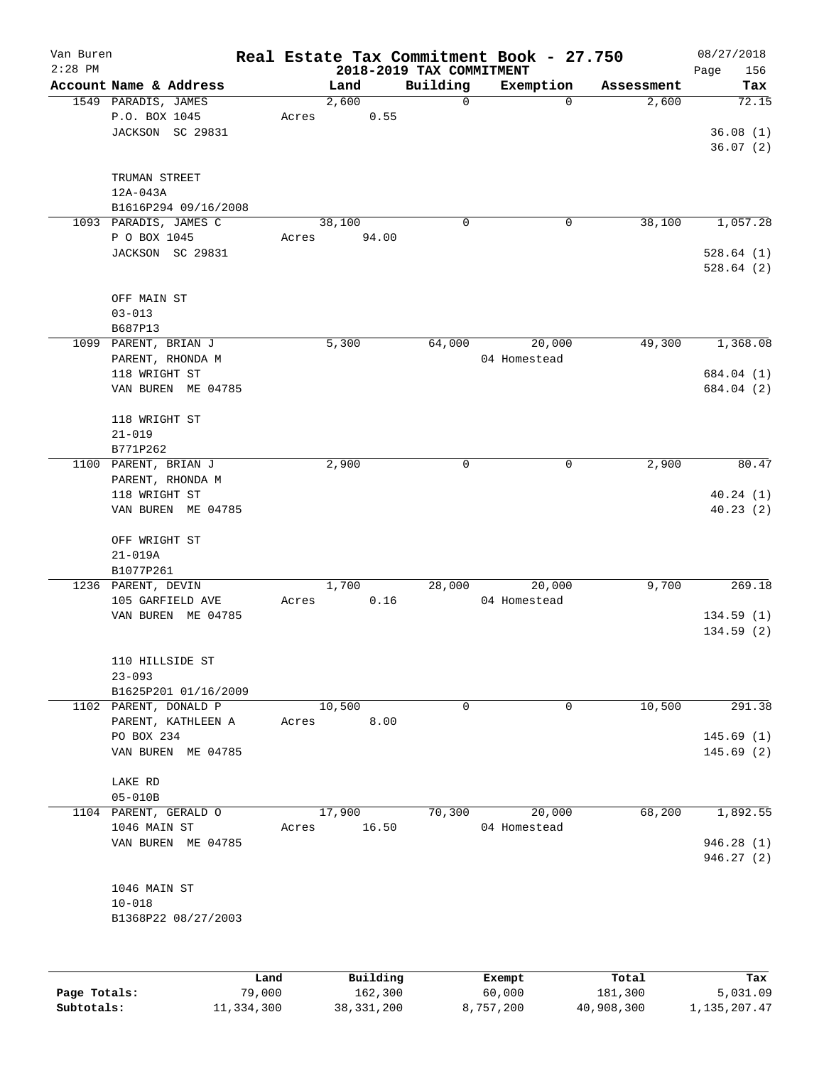| Van Buren<br>$2:28$ PM |                                  |       |                 | 2018-2019 TAX COMMITMENT | Real Estate Tax Commitment Book - 27.750 |            | 08/27/2018<br>156 |
|------------------------|----------------------------------|-------|-----------------|--------------------------|------------------------------------------|------------|-------------------|
|                        | Account Name & Address           |       | Land            | Building                 | Exemption                                | Assessment | Page<br>Tax       |
|                        | 1549 PARADIS, JAMES              |       | 2,600           | 0                        | 0                                        | 2,600      | 72.15             |
|                        | P.O. BOX 1045                    | Acres | 0.55            |                          |                                          |            |                   |
|                        |                                  |       |                 |                          |                                          |            |                   |
|                        | JACKSON SC 29831                 |       |                 |                          |                                          |            | 36.08(1)          |
|                        |                                  |       |                 |                          |                                          |            | 36.07(2)          |
|                        |                                  |       |                 |                          |                                          |            |                   |
|                        | TRUMAN STREET                    |       |                 |                          |                                          |            |                   |
|                        | $12A-043A$                       |       |                 |                          |                                          |            |                   |
|                        | B1616P294 09/16/2008             |       |                 |                          |                                          |            |                   |
|                        | 1093 PARADIS, JAMES C            |       | 38,100          | 0                        | 0                                        | 38,100     | 1,057.28          |
|                        | P O BOX 1045                     | Acres | 94.00           |                          |                                          |            |                   |
|                        | JACKSON SC 29831                 |       |                 |                          |                                          |            | 528.64(1)         |
|                        |                                  |       |                 |                          |                                          |            | 528.64(2)         |
|                        |                                  |       |                 |                          |                                          |            |                   |
|                        | OFF MAIN ST                      |       |                 |                          |                                          |            |                   |
|                        | $03 - 013$                       |       |                 |                          |                                          |            |                   |
|                        | B687P13                          |       |                 |                          |                                          |            |                   |
|                        | 1099 PARENT, BRIAN J             |       | 5,300           | 64,000                   | 20,000                                   | 49,300     | 1,368.08          |
|                        | PARENT, RHONDA M                 |       |                 |                          | 04 Homestead                             |            |                   |
|                        | 118 WRIGHT ST                    |       |                 |                          |                                          |            | 684.04 (1)        |
|                        | VAN BUREN ME 04785               |       |                 |                          |                                          |            | 684.04 (2)        |
|                        |                                  |       |                 |                          |                                          |            |                   |
|                        | 118 WRIGHT ST                    |       |                 |                          |                                          |            |                   |
|                        | $21 - 019$                       |       |                 |                          |                                          |            |                   |
|                        | B771P262                         |       |                 |                          |                                          |            |                   |
|                        | 1100 PARENT, BRIAN J             |       | 2,900           | $\mathbf 0$              | 0                                        | 2,900      | 80.47             |
|                        | PARENT, RHONDA M                 |       |                 |                          |                                          |            |                   |
|                        | 118 WRIGHT ST                    |       |                 |                          |                                          |            | 40.24(1)          |
|                        | VAN BUREN ME 04785               |       |                 |                          |                                          |            | 40.23(2)          |
|                        |                                  |       |                 |                          |                                          |            |                   |
|                        | OFF WRIGHT ST                    |       |                 |                          |                                          |            |                   |
|                        | $21 - 019A$                      |       |                 |                          |                                          |            |                   |
|                        | B1077P261                        |       |                 |                          |                                          |            |                   |
|                        | 1236 PARENT, DEVIN               |       | 1,700           | 28,000                   | 20,000                                   | 9,700      | 269.18            |
|                        | 105 GARFIELD AVE                 | Acres | 0.16            |                          | 04 Homestead                             |            |                   |
|                        | VAN BUREN ME 04785               |       |                 |                          |                                          |            | 134.59(1)         |
|                        |                                  |       |                 |                          |                                          |            | 134.59(2)         |
|                        |                                  |       |                 |                          |                                          |            |                   |
|                        | 110 HILLSIDE ST                  |       |                 |                          |                                          |            |                   |
|                        | $23 - 093$                       |       |                 |                          |                                          |            |                   |
|                        | B1625P201 01/16/2009             |       |                 |                          |                                          |            |                   |
|                        | 1102 PARENT, DONALD P            |       | 10,500          | 0                        | 0                                        | 10,500     | 291.38            |
|                        |                                  |       | 8.00            |                          |                                          |            |                   |
|                        | PARENT, KATHLEEN A<br>PO BOX 234 | Acres |                 |                          |                                          |            |                   |
|                        |                                  |       |                 |                          |                                          |            | 145.69(1)         |
|                        | VAN BUREN ME 04785               |       |                 |                          |                                          |            | 145.69(2)         |
|                        |                                  |       |                 |                          |                                          |            |                   |
|                        | LAKE RD                          |       |                 |                          |                                          |            |                   |
|                        | $05 - 010B$                      |       |                 |                          |                                          |            |                   |
|                        | 1104 PARENT, GERALD O            |       | 17,900          | 70,300                   | 20,000                                   | 68,200     | 1,892.55          |
|                        | 1046 MAIN ST                     | Acres | 16.50           |                          | 04 Homestead                             |            |                   |
|                        | VAN BUREN ME 04785               |       |                 |                          |                                          |            | 946.28(1)         |
|                        |                                  |       |                 |                          |                                          |            | 946.27 (2)        |
|                        |                                  |       |                 |                          |                                          |            |                   |
|                        | 1046 MAIN ST                     |       |                 |                          |                                          |            |                   |
|                        | $10 - 018$                       |       |                 |                          |                                          |            |                   |
|                        | B1368P22 08/27/2003              |       |                 |                          |                                          |            |                   |
|                        |                                  |       |                 |                          |                                          |            |                   |
|                        |                                  |       |                 |                          |                                          |            |                   |
|                        |                                  |       |                 |                          |                                          |            |                   |
|                        |                                  | Land  | <b>Building</b> |                          | <b>Exempt</b>                            | Total      | Tax               |

|              | Land       | Building     | Exempt    | Total      | Tax          |
|--------------|------------|--------------|-----------|------------|--------------|
| Page Totals: | 79,000     | 162,300      | 60,000    | 181,300    | 5,031.09     |
| Subtotals:   | 11,334,300 | 38, 331, 200 | 8,757,200 | 40,908,300 | 1,135,207.47 |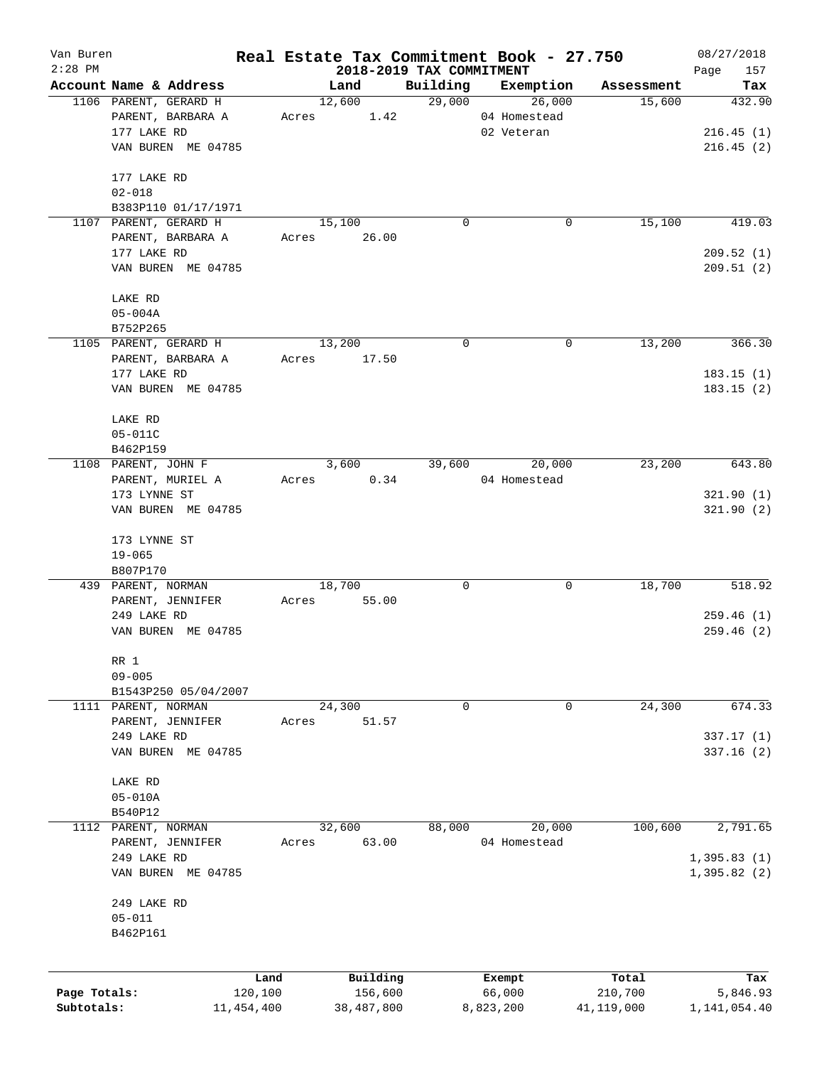| Van Buren    |                        |              |                |                                      | Real Estate Tax Commitment Book - 27.750 |                      | 08/27/2018    |
|--------------|------------------------|--------------|----------------|--------------------------------------|------------------------------------------|----------------------|---------------|
| $2:28$ PM    | Account Name & Address |              |                | 2018-2019 TAX COMMITMENT<br>Building |                                          |                      | Page<br>157   |
|              | 1106 PARENT, GERARD H  |              | Land<br>12,600 |                                      | Exemption<br>29,000                      | Assessment<br>15,600 | Tax<br>432.90 |
|              |                        |              |                |                                      | 26,000                                   |                      |               |
|              | PARENT, BARBARA A      | Acres        | 1.42           |                                      | 04 Homestead                             |                      |               |
|              | 177 LAKE RD            |              |                |                                      | 02 Veteran                               |                      | 216.45(1)     |
|              | VAN BUREN ME 04785     |              |                |                                      |                                          |                      | 216.45(2)     |
|              | 177 LAKE RD            |              |                |                                      |                                          |                      |               |
|              | $02 - 018$             |              |                |                                      |                                          |                      |               |
|              | B383P110 01/17/1971    |              |                |                                      |                                          |                      |               |
|              | 1107 PARENT, GERARD H  |              | 15,100         | 0                                    | 0                                        | 15,100               | 419.03        |
|              | PARENT, BARBARA A      | Acres        | 26.00          |                                      |                                          |                      |               |
|              | 177 LAKE RD            |              |                |                                      |                                          |                      | 209.52(1)     |
|              | VAN BUREN ME 04785     |              |                |                                      |                                          |                      | 209.51(2)     |
|              |                        |              |                |                                      |                                          |                      |               |
|              | LAKE RD                |              |                |                                      |                                          |                      |               |
|              | $05 - 004A$            |              |                |                                      |                                          |                      |               |
|              | B752P265               |              |                |                                      |                                          |                      |               |
|              | 1105 PARENT, GERARD H  |              | 13,200         | 0                                    | 0                                        | 13,200               | 366.30        |
|              | PARENT, BARBARA A      | Acres        | 17.50          |                                      |                                          |                      |               |
|              | 177 LAKE RD            |              |                |                                      |                                          |                      | 183.15(1)     |
|              | VAN BUREN ME 04785     |              |                |                                      |                                          |                      | 183.15(2)     |
|              | LAKE RD                |              |                |                                      |                                          |                      |               |
|              | 05-011C                |              |                |                                      |                                          |                      |               |
|              | B462P159               |              |                |                                      |                                          |                      |               |
|              | 1108 PARENT, JOHN F    |              | 3,600          | 39,600                               | 20,000                                   | 23,200               | 643.80        |
|              |                        |              |                |                                      |                                          |                      |               |
|              | PARENT, MURIEL A       | Acres        | 0.34           |                                      | 04 Homestead                             |                      |               |
|              | 173 LYNNE ST           |              |                |                                      |                                          |                      | 321.90(1)     |
|              | VAN BUREN ME 04785     |              |                |                                      |                                          |                      | 321.90(2)     |
|              | 173 LYNNE ST           |              |                |                                      |                                          |                      |               |
|              | $19 - 065$             |              |                |                                      |                                          |                      |               |
|              | B807P170               |              |                |                                      |                                          |                      |               |
|              | 439 PARENT, NORMAN     |              | 18,700         | 0                                    | 0                                        | 18,700               | 518.92        |
|              | PARENT, JENNIFER       | Acres        | 55.00          |                                      |                                          |                      |               |
|              | 249 LAKE RD            |              |                |                                      |                                          |                      | 259.46(1)     |
|              | VAN BUREN ME 04785     |              |                |                                      |                                          |                      | 259.46(2)     |
|              | RR 1                   |              |                |                                      |                                          |                      |               |
|              | $09 - 005$             |              |                |                                      |                                          |                      |               |
|              | B1543P250 05/04/2007   |              |                |                                      |                                          |                      |               |
|              |                        |              |                |                                      |                                          |                      | 674.33        |
|              | 1111 PARENT, NORMAN    |              | 24,300         | 0                                    | 0                                        | 24,300               |               |
|              | PARENT, JENNIFER       | Acres        | 51.57          |                                      |                                          |                      |               |
|              | 249 LAKE RD            |              |                |                                      |                                          |                      | 337.17(1)     |
|              | VAN BUREN ME 04785     |              |                |                                      |                                          |                      | 337.16(2)     |
|              | LAKE RD                |              |                |                                      |                                          |                      |               |
|              | $05 - 010A$            |              |                |                                      |                                          |                      |               |
|              | B540P12                |              |                |                                      |                                          |                      |               |
| 1112         | PARENT, NORMAN         |              | 32,600         | 88,000                               | 20,000                                   | 100,600              | 2,791.65      |
|              | PARENT, JENNIFER       | Acres        | 63.00          |                                      | 04 Homestead                             |                      |               |
|              | 249 LAKE RD            |              |                |                                      |                                          |                      | 1,395.83(1)   |
|              | VAN BUREN ME 04785     |              |                |                                      |                                          |                      | 1,395.82(2)   |
|              |                        |              |                |                                      |                                          |                      |               |
|              | 249 LAKE RD            |              |                |                                      |                                          |                      |               |
|              | $05 - 011$             |              |                |                                      |                                          |                      |               |
|              | B462P161               |              |                |                                      |                                          |                      |               |
|              |                        |              |                |                                      |                                          |                      |               |
|              |                        | Land         | Building       |                                      | Exempt                                   | Total                | Tax           |
| Page Totals: |                        | 120,100      | 156,600        |                                      | 66,000                                   | 210,700              | 5,846.93      |
| Subtotals:   |                        | 11, 454, 400 | 38,487,800     |                                      | 8,823,200                                | 41,119,000           | 1,141,054.40  |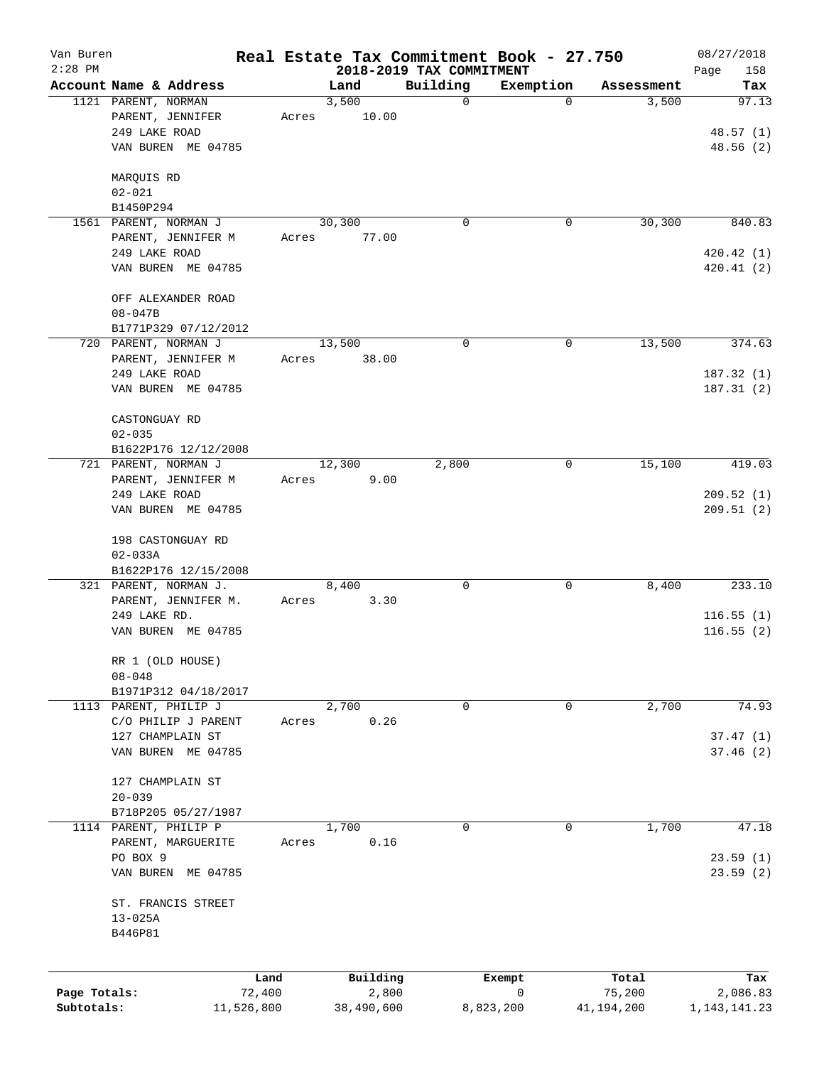| Van Buren    |                        |                |                   | Real Estate Tax Commitment Book - 27.750 |             |                 | 08/27/2018         |
|--------------|------------------------|----------------|-------------------|------------------------------------------|-------------|-----------------|--------------------|
| $2:28$ PM    | Account Name & Address |                | Land              | 2018-2019 TAX COMMITMENT<br>Building     | Exemption   | Assessment      | Page<br>158<br>Tax |
|              | 1121 PARENT, NORMAN    |                | 3,500             | 0                                        | 0           | 3,500           | 97.13              |
|              | PARENT, JENNIFER       | Acres          | 10.00             |                                          |             |                 |                    |
|              | 249 LAKE ROAD          |                |                   |                                          |             |                 | 48.57(1)           |
|              | VAN BUREN ME 04785     |                |                   |                                          |             |                 | 48.56(2)           |
|              | MARQUIS RD             |                |                   |                                          |             |                 |                    |
|              | $02 - 021$             |                |                   |                                          |             |                 |                    |
|              | B1450P294              |                |                   |                                          |             |                 |                    |
|              | 1561 PARENT, NORMAN J  |                | 30,300            | 0                                        | $\mathbf 0$ | 30,300          | 840.83             |
|              | PARENT, JENNIFER M     | Acres          | 77.00             |                                          |             |                 |                    |
|              | 249 LAKE ROAD          |                |                   |                                          |             |                 | 420.42 (1)         |
|              | VAN BUREN ME 04785     |                |                   |                                          |             |                 | 420.41(2)          |
|              | OFF ALEXANDER ROAD     |                |                   |                                          |             |                 |                    |
|              | $08 - 047B$            |                |                   |                                          |             |                 |                    |
|              | B1771P329 07/12/2012   |                |                   |                                          |             |                 |                    |
|              | 720 PARENT, NORMAN J   |                | 13,500            | 0                                        | $\mathbf 0$ | 13,500          | 374.63             |
|              | PARENT, JENNIFER M     | Acres          | 38.00             |                                          |             |                 |                    |
|              | 249 LAKE ROAD          |                |                   |                                          |             |                 | 187.32(1)          |
|              | VAN BUREN ME 04785     |                |                   |                                          |             |                 | 187.31(2)          |
|              | CASTONGUAY RD          |                |                   |                                          |             |                 |                    |
|              | $02 - 035$             |                |                   |                                          |             |                 |                    |
|              | B1622P176 12/12/2008   |                |                   |                                          |             |                 |                    |
|              | 721 PARENT, NORMAN J   |                | 12,300            | 2,800                                    | 0           | 15,100          | 419.03             |
|              | PARENT, JENNIFER M     | Acres          | 9.00              |                                          |             |                 |                    |
|              | 249 LAKE ROAD          |                |                   |                                          |             |                 | 209.52(1)          |
|              | VAN BUREN ME 04785     |                |                   |                                          |             |                 | 209.51(2)          |
|              | 198 CASTONGUAY RD      |                |                   |                                          |             |                 |                    |
|              | $02 - 033A$            |                |                   |                                          |             |                 |                    |
|              | B1622P176 12/15/2008   |                |                   |                                          |             |                 |                    |
|              | 321 PARENT, NORMAN J.  |                | 8,400             | 0                                        | $\mathbf 0$ | 8,400           | 233.10             |
|              | PARENT, JENNIFER M.    | Acres          | 3.30              |                                          |             |                 |                    |
|              | 249 LAKE RD.           |                |                   |                                          |             |                 | 116.55(1)          |
|              | VAN BUREN ME 04785     |                |                   |                                          |             |                 | 116.55(2)          |
|              | RR 1 (OLD HOUSE)       |                |                   |                                          |             |                 |                    |
|              | $08 - 048$             |                |                   |                                          |             |                 |                    |
|              | B1971P312 04/18/2017   |                |                   |                                          |             |                 |                    |
|              | 1113 PARENT, PHILIP J  |                | 2,700             | 0                                        | 0           | 2,700           | 74.93              |
|              | C/O PHILIP J PARENT    | Acres          | 0.26              |                                          |             |                 |                    |
|              | 127 CHAMPLAIN ST       |                |                   |                                          |             |                 | 37.47(1)           |
|              | VAN BUREN ME 04785     |                |                   |                                          |             |                 | 37.46(2)           |
|              | 127 CHAMPLAIN ST       |                |                   |                                          |             |                 |                    |
|              | $20 - 039$             |                |                   |                                          |             |                 |                    |
|              | B718P205 05/27/1987    |                |                   |                                          |             |                 |                    |
|              | 1114 PARENT, PHILIP P  |                | 1,700             | 0                                        | 0           | 1,700           | 47.18              |
|              | PARENT, MARGUERITE     | Acres          | 0.16              |                                          |             |                 |                    |
|              | PO BOX 9               |                |                   |                                          |             |                 | 23.59(1)           |
|              | VAN BUREN ME 04785     |                |                   |                                          |             |                 | 23.59(2)           |
|              | ST. FRANCIS STREET     |                |                   |                                          |             |                 |                    |
|              | $13 - 025A$            |                |                   |                                          |             |                 |                    |
|              | B446P81                |                |                   |                                          |             |                 |                    |
|              |                        |                |                   |                                          |             |                 |                    |
| Page Totals: |                        | Land<br>72,400 | Building<br>2,800 | Exempt<br>0                              |             | Total<br>75,200 | Tax<br>2,086.83    |
| Subtotals:   |                        | 11,526,800     | 38,490,600        | 8,823,200                                |             | 41,194,200      | 1, 143, 141. 23    |
|              |                        |                |                   |                                          |             |                 |                    |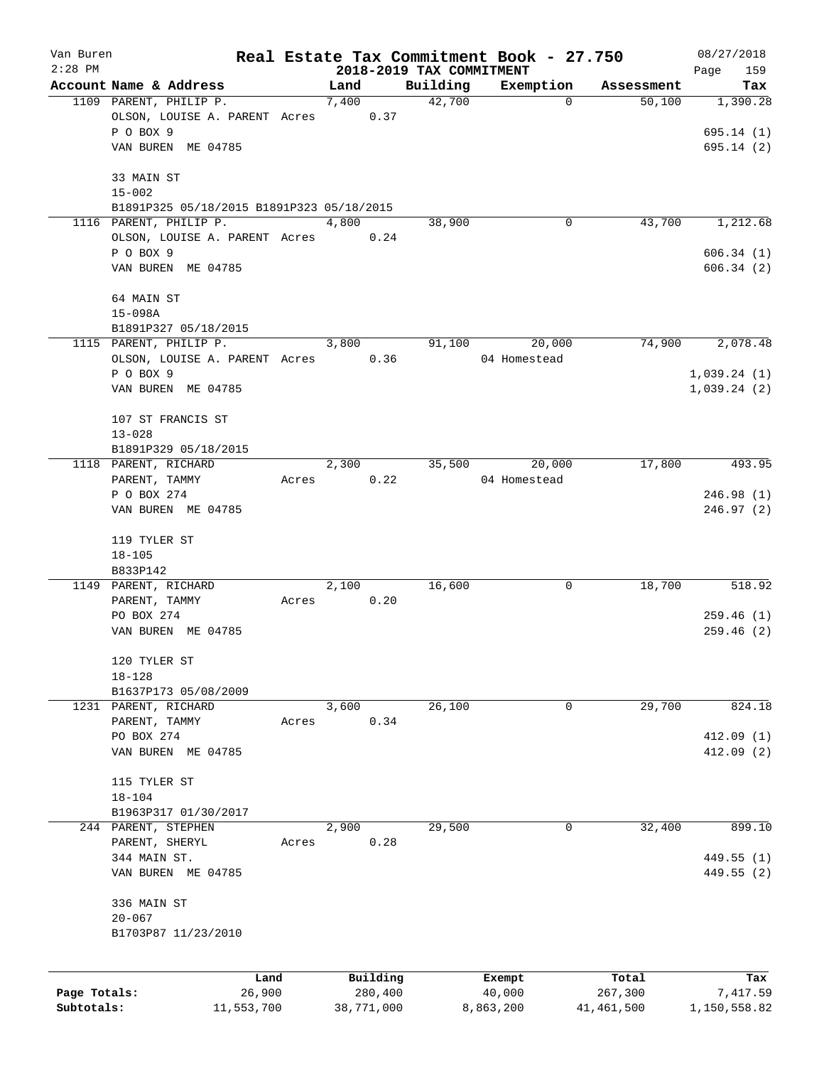| Van Buren    |                                           |       |       |                     |                          | Real Estate Tax Commitment Book - 27.750 |                  | 08/27/2018      |
|--------------|-------------------------------------------|-------|-------|---------------------|--------------------------|------------------------------------------|------------------|-----------------|
| $2:28$ PM    |                                           |       |       |                     | 2018-2019 TAX COMMITMENT |                                          |                  | 159<br>Page     |
|              | Account Name & Address                    |       | Land  |                     | Building                 | Exemption                                | Assessment       | Tax             |
|              | 1109 PARENT, PHILIP P.                    |       | 7,400 |                     | 42,700                   | $\mathbf 0$                              | 50,100           | 1,390.28        |
|              | OLSON, LOUISE A. PARENT Acres             |       |       | 0.37                |                          |                                          |                  |                 |
|              | P O BOX 9                                 |       |       |                     |                          |                                          |                  | 695.14(1)       |
|              | VAN BUREN ME 04785                        |       |       |                     |                          |                                          |                  | 695.14(2)       |
|              |                                           |       |       |                     |                          |                                          |                  |                 |
|              | 33 MAIN ST                                |       |       |                     |                          |                                          |                  |                 |
|              | $15 - 002$                                |       |       |                     |                          |                                          |                  |                 |
|              | B1891P325 05/18/2015 B1891P323 05/18/2015 |       |       |                     |                          |                                          |                  |                 |
|              | 1116 PARENT, PHILIP P.                    |       | 4,800 |                     | 38,900                   | 0                                        | 43,700           | 1,212.68        |
|              | OLSON, LOUISE A. PARENT Acres             |       |       | 0.24                |                          |                                          |                  |                 |
|              | P O BOX 9                                 |       |       |                     |                          |                                          |                  | 606.34(1)       |
|              | VAN BUREN ME 04785                        |       |       |                     |                          |                                          |                  | 606.34(2)       |
|              |                                           |       |       |                     |                          |                                          |                  |                 |
|              | 64 MAIN ST                                |       |       |                     |                          |                                          |                  |                 |
|              | $15 - 098A$                               |       |       |                     |                          |                                          |                  |                 |
|              | B1891P327 05/18/2015                      |       |       |                     |                          |                                          |                  |                 |
|              | 1115 PARENT, PHILIP P.                    |       | 3,800 |                     | 91,100                   | 20,000                                   | 74,900           | 2,078.48        |
|              | OLSON, LOUISE A. PARENT Acres             |       |       | 0.36                |                          | 04 Homestead                             |                  |                 |
|              | P O BOX 9                                 |       |       |                     |                          |                                          |                  | 1,039.24(1)     |
|              | VAN BUREN ME 04785                        |       |       |                     |                          |                                          |                  | 1,039.24(2)     |
|              |                                           |       |       |                     |                          |                                          |                  |                 |
|              | 107 ST FRANCIS ST                         |       |       |                     |                          |                                          |                  |                 |
|              | $13 - 028$                                |       |       |                     |                          |                                          |                  |                 |
|              | B1891P329 05/18/2015                      |       |       |                     |                          |                                          |                  |                 |
|              | 1118 PARENT, RICHARD                      |       | 2,300 |                     | 35,500                   | 20,000                                   | 17,800           | 493.95          |
|              | PARENT, TAMMY                             | Acres |       | 0.22                |                          | 04 Homestead                             |                  |                 |
|              | P O BOX 274                               |       |       |                     |                          |                                          |                  | 246.98(1)       |
|              | VAN BUREN ME 04785                        |       |       |                     |                          |                                          |                  | 246.97(2)       |
|              |                                           |       |       |                     |                          |                                          |                  |                 |
|              | 119 TYLER ST                              |       |       |                     |                          |                                          |                  |                 |
|              | $18 - 105$                                |       |       |                     |                          |                                          |                  |                 |
|              | B833P142                                  |       |       |                     |                          |                                          |                  |                 |
|              | 1149 PARENT, RICHARD                      |       | 2,100 |                     | 16,600                   | 0                                        | 18,700           | 518.92          |
|              | PARENT, TAMMY                             | Acres |       | 0.20                |                          |                                          |                  |                 |
|              | PO BOX 274                                |       |       |                     |                          |                                          |                  | 259.46(1)       |
|              | VAN BUREN ME 04785                        |       |       |                     |                          |                                          |                  | 259.46(2)       |
|              |                                           |       |       |                     |                          |                                          |                  |                 |
|              | 120 TYLER ST                              |       |       |                     |                          |                                          |                  |                 |
|              | $18 - 128$                                |       |       |                     |                          |                                          |                  |                 |
|              | B1637P173 05/08/2009                      |       |       |                     |                          |                                          |                  |                 |
|              | 1231 PARENT, RICHARD                      |       | 3,600 |                     | 26,100                   | 0                                        | 29,700           | 824.18          |
|              | PARENT, TAMMY                             | Acres |       | 0.34                |                          |                                          |                  |                 |
|              | PO BOX 274                                |       |       |                     |                          |                                          |                  | 412.09(1)       |
|              | VAN BUREN ME 04785                        |       |       |                     |                          |                                          |                  | 412.09(2)       |
|              |                                           |       |       |                     |                          |                                          |                  |                 |
|              | 115 TYLER ST                              |       |       |                     |                          |                                          |                  |                 |
|              | $18 - 104$                                |       |       |                     |                          |                                          |                  |                 |
|              | B1963P317 01/30/2017                      |       |       |                     |                          |                                          |                  |                 |
|              | 244 PARENT, STEPHEN                       |       | 2,900 |                     | 29,500                   | 0                                        | 32,400           | 899.10          |
|              | PARENT, SHERYL                            | Acres |       | 0.28                |                          |                                          |                  |                 |
|              | 344 MAIN ST.                              |       |       |                     |                          |                                          |                  | 449.55 (1)      |
|              |                                           |       |       |                     |                          |                                          |                  |                 |
|              | VAN BUREN ME 04785                        |       |       |                     |                          |                                          |                  | 449.55 (2)      |
|              |                                           |       |       |                     |                          |                                          |                  |                 |
|              | 336 MAIN ST                               |       |       |                     |                          |                                          |                  |                 |
|              | $20 - 067$                                |       |       |                     |                          |                                          |                  |                 |
|              | B1703P87 11/23/2010                       |       |       |                     |                          |                                          |                  |                 |
|              |                                           |       |       |                     |                          |                                          |                  |                 |
|              |                                           |       |       |                     |                          |                                          |                  |                 |
| Page Totals: | Land<br>26,900                            |       |       | Building<br>280,400 |                          | Exempt<br>40,000                         | Total<br>267,300 | Tax<br>7,417.59 |
| Subtotals:   | 11,553,700                                |       |       | 38,771,000          |                          | 8,863,200                                | 41,461,500       | 1,150,558.82    |
|              |                                           |       |       |                     |                          |                                          |                  |                 |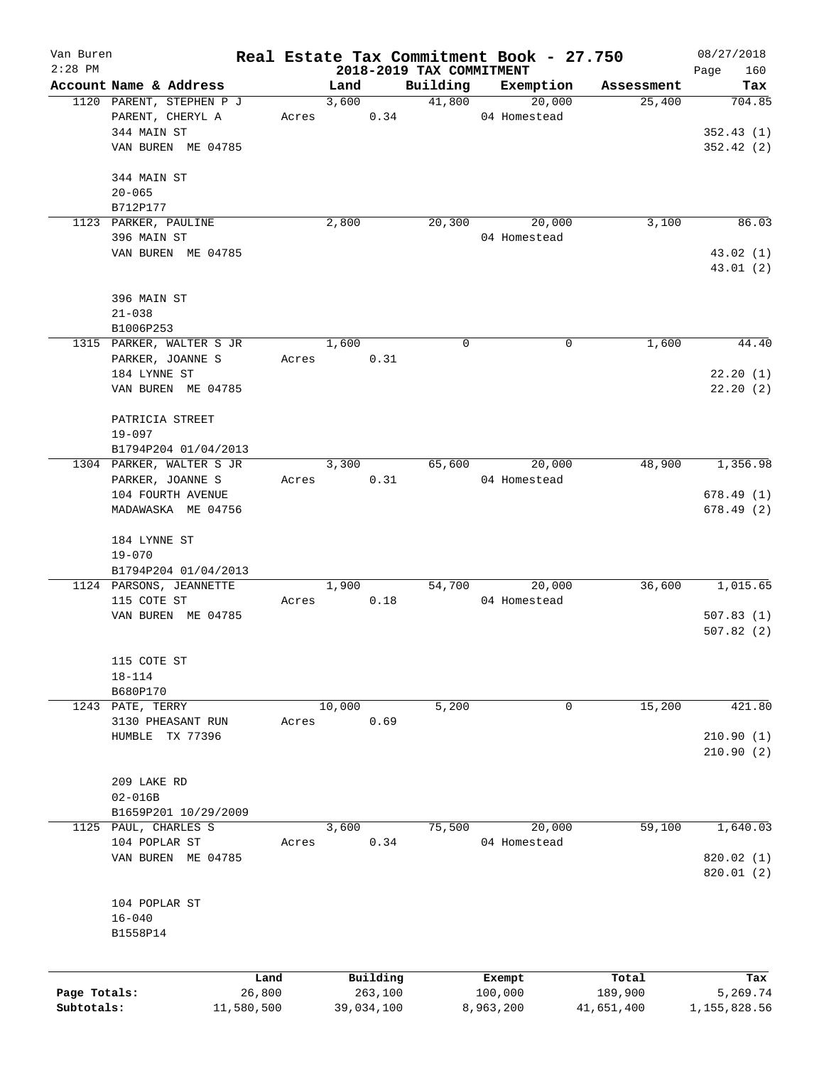| Van Buren<br>$2:28$ PM |                          |            |        |            |                                      | Real Estate Tax Commitment Book - 27.750 |            | 08/27/2018    |
|------------------------|--------------------------|------------|--------|------------|--------------------------------------|------------------------------------------|------------|---------------|
|                        | Account Name & Address   |            | Land   |            | 2018-2019 TAX COMMITMENT<br>Building | Exemption                                | Assessment | 160<br>Page   |
|                        | 1120 PARENT, STEPHEN P J |            | 3,600  |            | 41,800                               | 20,000                                   | 25,400     | Tax<br>704.85 |
|                        | PARENT, CHERYL A         | Acres      |        | 0.34       |                                      | 04 Homestead                             |            |               |
|                        | 344 MAIN ST              |            |        |            |                                      |                                          |            | 352.43(1)     |
|                        |                          |            |        |            |                                      |                                          |            |               |
|                        | VAN BUREN ME 04785       |            |        |            |                                      |                                          |            | 352.42(2)     |
|                        |                          |            |        |            |                                      |                                          |            |               |
|                        | 344 MAIN ST              |            |        |            |                                      |                                          |            |               |
|                        | $20 - 065$               |            |        |            |                                      |                                          |            |               |
|                        | B712P177                 |            |        |            |                                      |                                          |            |               |
|                        | 1123 PARKER, PAULINE     |            | 2,800  |            | 20,300                               | 20,000                                   | 3,100      | 86.03         |
|                        | 396 MAIN ST              |            |        |            |                                      | 04 Homestead                             |            |               |
|                        | VAN BUREN ME 04785       |            |        |            |                                      |                                          |            | 43.02 (1)     |
|                        |                          |            |        |            |                                      |                                          |            | 43.01 (2)     |
|                        |                          |            |        |            |                                      |                                          |            |               |
|                        | 396 MAIN ST              |            |        |            |                                      |                                          |            |               |
|                        | $21 - 038$               |            |        |            |                                      |                                          |            |               |
|                        | B1006P253                |            |        |            |                                      |                                          |            |               |
|                        | 1315 PARKER, WALTER S JR |            | 1,600  |            | 0                                    | 0                                        | 1,600      | 44.40         |
|                        | PARKER, JOANNE S         | Acres      |        | 0.31       |                                      |                                          |            |               |
|                        | 184 LYNNE ST             |            |        |            |                                      |                                          |            | 22.20(1)      |
|                        | VAN BUREN ME 04785       |            |        |            |                                      |                                          |            | 22.20(2)      |
|                        |                          |            |        |            |                                      |                                          |            |               |
|                        | PATRICIA STREET          |            |        |            |                                      |                                          |            |               |
|                        | $19 - 097$               |            |        |            |                                      |                                          |            |               |
|                        | B1794P204 01/04/2013     |            |        |            |                                      |                                          |            |               |
|                        | 1304 PARKER, WALTER S JR |            | 3,300  |            | 65,600                               | 20,000                                   | 48,900     | 1,356.98      |
|                        | PARKER, JOANNE S         | Acres      |        | 0.31       |                                      | 04 Homestead                             |            |               |
|                        | 104 FOURTH AVENUE        |            |        |            |                                      |                                          |            | 678.49(1)     |
|                        | MADAWASKA ME 04756       |            |        |            |                                      |                                          |            | 678.49(2)     |
|                        |                          |            |        |            |                                      |                                          |            |               |
|                        | 184 LYNNE ST             |            |        |            |                                      |                                          |            |               |
|                        | $19 - 070$               |            |        |            |                                      |                                          |            |               |
|                        | B1794P204 01/04/2013     |            |        |            |                                      |                                          |            |               |
|                        | 1124 PARSONS, JEANNETTE  |            | 1,900  |            | 54,700                               | 20,000                                   | 36,600     | 1,015.65      |
|                        | 115 COTE ST              | Acres      |        | 0.18       |                                      | 04 Homestead                             |            |               |
|                        | VAN BUREN ME 04785       |            |        |            |                                      |                                          |            | 507.83(1)     |
|                        |                          |            |        |            |                                      |                                          |            | 507.82(2)     |
|                        |                          |            |        |            |                                      |                                          |            |               |
|                        | 115 COTE ST              |            |        |            |                                      |                                          |            |               |
|                        | $18 - 114$               |            |        |            |                                      |                                          |            |               |
|                        | B680P170                 |            |        |            |                                      |                                          |            |               |
|                        | 1243 PATE, TERRY         |            | 10,000 |            | 5,200                                | 0                                        | 15,200     | 421.80        |
|                        | 3130 PHEASANT RUN        | Acres      |        | 0.69       |                                      |                                          |            |               |
|                        | HUMBLE TX 77396          |            |        |            |                                      |                                          |            | 210.90(1)     |
|                        |                          |            |        |            |                                      |                                          |            | 210.90(2)     |
|                        |                          |            |        |            |                                      |                                          |            |               |
|                        | 209 LAKE RD              |            |        |            |                                      |                                          |            |               |
|                        | $02 - 016B$              |            |        |            |                                      |                                          |            |               |
|                        | B1659P201 10/29/2009     |            |        |            |                                      |                                          |            |               |
| 1125                   | PAUL, CHARLES S          |            | 3,600  |            | 75,500                               | 20,000                                   | 59,100     | 1,640.03      |
|                        | 104 POPLAR ST            | Acres      |        | 0.34       |                                      | 04 Homestead                             |            |               |
|                        | VAN BUREN ME 04785       |            |        |            |                                      |                                          |            | 820.02(1)     |
|                        |                          |            |        |            |                                      |                                          |            | 820.01 (2)    |
|                        |                          |            |        |            |                                      |                                          |            |               |
|                        | 104 POPLAR ST            |            |        |            |                                      |                                          |            |               |
|                        | $16 - 040$               |            |        |            |                                      |                                          |            |               |
|                        | B1558P14                 |            |        |            |                                      |                                          |            |               |
|                        |                          |            |        |            |                                      |                                          |            |               |
|                        |                          |            |        |            |                                      |                                          |            |               |
|                        |                          | Land       |        | Building   |                                      | Exempt                                   | Total      | Tax           |
| Page Totals:           |                          | 26,800     |        | 263,100    |                                      | 100,000                                  | 189,900    | 5,269.74      |
| Subtotals:             |                          | 11,580,500 |        | 39,034,100 |                                      | 8,963,200                                | 41,651,400 | 1,155,828.56  |
|                        |                          |            |        |            |                                      |                                          |            |               |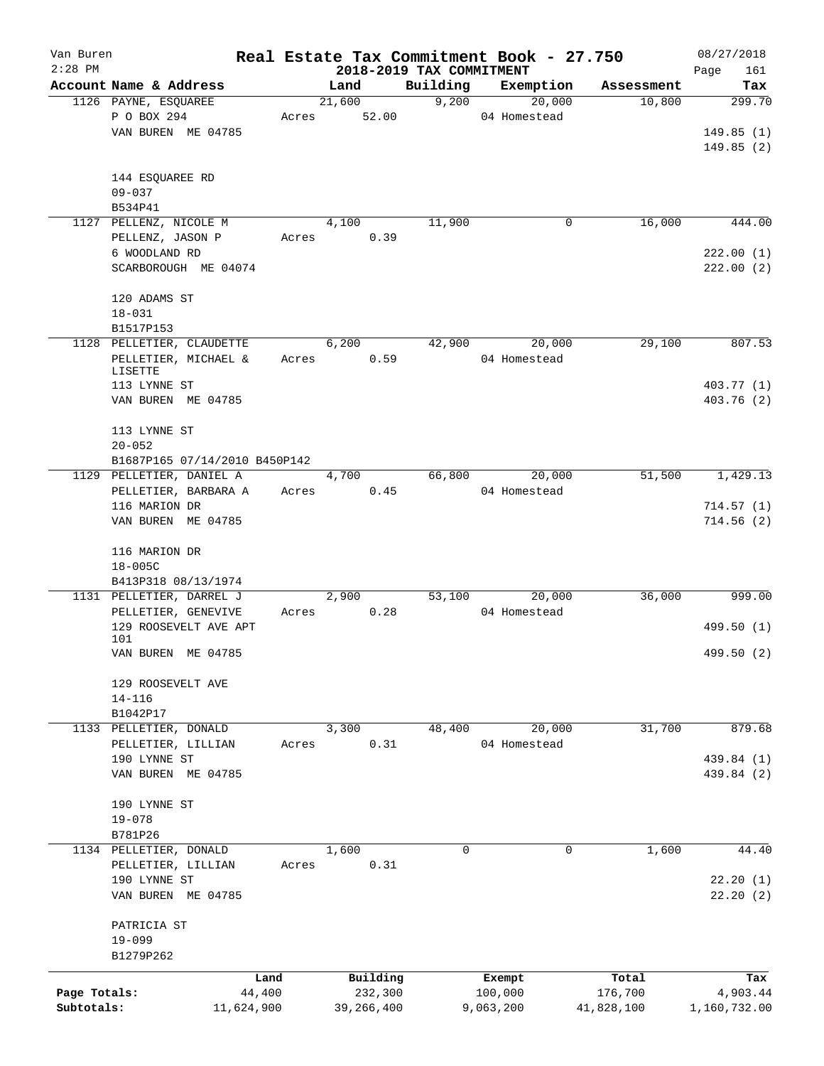| Van Buren    |                                    |       | Real Estate Tax Commitment Book - 27.750<br>2018-2019 TAX COMMITMENT |          |              |            |                      |  |  |  |
|--------------|------------------------------------|-------|----------------------------------------------------------------------|----------|--------------|------------|----------------------|--|--|--|
| $2:28$ PM    | Account Name & Address             |       | Land                                                                 | Building | Exemption    | Assessment | 161<br>Page<br>Tax   |  |  |  |
|              | 1126 PAYNE, ESQUAREE               |       | 21,600                                                               | 9,200    | 20,000       | 10,800     | 299.70               |  |  |  |
|              | P O BOX 294                        | Acres | 52.00                                                                |          | 04 Homestead |            |                      |  |  |  |
|              | VAN BUREN ME 04785                 |       |                                                                      |          |              |            | 149.85(1)            |  |  |  |
|              |                                    |       |                                                                      |          |              |            | 149.85(2)            |  |  |  |
|              |                                    |       |                                                                      |          |              |            |                      |  |  |  |
|              | 144 ESQUAREE RD                    |       |                                                                      |          |              |            |                      |  |  |  |
|              | $09 - 037$                         |       |                                                                      |          |              |            |                      |  |  |  |
|              | B534P41                            |       |                                                                      |          |              |            |                      |  |  |  |
|              | 1127 PELLENZ, NICOLE M             |       | 4,100                                                                | 11,900   | 0            | 16,000     | 444.00               |  |  |  |
|              | PELLENZ, JASON P                   | Acres | 0.39                                                                 |          |              |            |                      |  |  |  |
|              | 6 WOODLAND RD                      |       |                                                                      |          |              |            | 222.00(1)            |  |  |  |
|              | SCARBOROUGH ME 04074               |       |                                                                      |          |              |            | 222.00(2)            |  |  |  |
|              |                                    |       |                                                                      |          |              |            |                      |  |  |  |
|              | 120 ADAMS ST                       |       |                                                                      |          |              |            |                      |  |  |  |
|              | $18 - 031$                         |       |                                                                      |          |              |            |                      |  |  |  |
|              | B1517P153                          |       |                                                                      |          |              |            |                      |  |  |  |
|              | 1128 PELLETIER, CLAUDETTE          |       | 6,200                                                                | 42,900   | 20,000       | 29,100     | 807.53               |  |  |  |
|              | PELLETIER, MICHAEL &               | Acres | 0.59                                                                 |          | 04 Homestead |            |                      |  |  |  |
|              | LISETTE                            |       |                                                                      |          |              |            |                      |  |  |  |
|              | 113 LYNNE ST                       |       |                                                                      |          |              |            | 403.77 (1)           |  |  |  |
|              | VAN BUREN ME 04785                 |       |                                                                      |          |              |            | 403.76 (2)           |  |  |  |
|              |                                    |       |                                                                      |          |              |            |                      |  |  |  |
|              | 113 LYNNE ST                       |       |                                                                      |          |              |            |                      |  |  |  |
|              | $20 - 052$                         |       |                                                                      |          |              |            |                      |  |  |  |
|              | B1687P165 07/14/2010 B450P142      |       |                                                                      |          |              |            |                      |  |  |  |
|              | 1129 PELLETIER, DANIEL A           |       | 4,700                                                                | 66,800   | 20,000       | 51,500     | 1,429.13             |  |  |  |
|              | PELLETIER, BARBARA A               | Acres | 0.45                                                                 |          | 04 Homestead |            |                      |  |  |  |
|              | 116 MARION DR                      |       |                                                                      |          |              |            | 714.57(1)            |  |  |  |
|              | VAN BUREN ME 04785                 |       |                                                                      |          |              |            | 714.56(2)            |  |  |  |
|              |                                    |       |                                                                      |          |              |            |                      |  |  |  |
|              | 116 MARION DR                      |       |                                                                      |          |              |            |                      |  |  |  |
|              | $18 - 005C$                        |       |                                                                      |          |              |            |                      |  |  |  |
|              | B413P318 08/13/1974                |       |                                                                      |          |              |            |                      |  |  |  |
|              | 1131 PELLETIER, DARREL J           |       | 2,900                                                                | 53,100   | 20,000       | 36,000     | 999.00               |  |  |  |
|              | PELLETIER, GENEVIVE                | Acres | 0.28                                                                 |          | 04 Homestead |            |                      |  |  |  |
|              | 129 ROOSEVELT AVE APT              |       |                                                                      |          |              |            | 499.50 (1)           |  |  |  |
|              | 101                                |       |                                                                      |          |              |            |                      |  |  |  |
|              | VAN BUREN ME 04785                 |       |                                                                      |          |              |            | 499.50 (2)           |  |  |  |
|              | 129 ROOSEVELT AVE                  |       |                                                                      |          |              |            |                      |  |  |  |
|              | $14 - 116$                         |       |                                                                      |          |              |            |                      |  |  |  |
|              | B1042P17                           |       |                                                                      |          |              |            |                      |  |  |  |
| 1133         | PELLETIER, DONALD                  |       | 3,300                                                                | 48,400   | 20,000       | 31,700     | 879.68               |  |  |  |
|              | PELLETIER, LILLIAN                 | Acres | 0.31                                                                 |          | 04 Homestead |            |                      |  |  |  |
|              |                                    |       |                                                                      |          |              |            |                      |  |  |  |
|              | 190 LYNNE ST                       |       |                                                                      |          |              |            | 439.84 (1)           |  |  |  |
|              | VAN BUREN ME 04785                 |       |                                                                      |          |              |            | 439.84 (2)           |  |  |  |
|              | 190 LYNNE ST                       |       |                                                                      |          |              |            |                      |  |  |  |
|              | $19 - 078$                         |       |                                                                      |          |              |            |                      |  |  |  |
|              | B781P26                            |       |                                                                      |          |              |            |                      |  |  |  |
|              | 1134 PELLETIER, DONALD             |       | 1,600                                                                | 0        | 0            | 1,600      | 44.40                |  |  |  |
|              | PELLETIER, LILLIAN                 | Acres | 0.31                                                                 |          |              |            |                      |  |  |  |
|              |                                    |       |                                                                      |          |              |            |                      |  |  |  |
|              | 190 LYNNE ST<br>VAN BUREN ME 04785 |       |                                                                      |          |              |            | 22.20(1)<br>22.20(2) |  |  |  |
|              |                                    |       |                                                                      |          |              |            |                      |  |  |  |
|              | PATRICIA ST                        |       |                                                                      |          |              |            |                      |  |  |  |
|              | $19 - 099$                         |       |                                                                      |          |              |            |                      |  |  |  |
|              | B1279P262                          |       |                                                                      |          |              |            |                      |  |  |  |
|              |                                    | Land  | Building                                                             |          | Exempt       | Total      | Tax                  |  |  |  |
| Page Totals: | 44,400                             |       | 232,300                                                              |          | 100,000      | 176,700    | 4,903.44             |  |  |  |
| Subtotals:   | 11,624,900                         |       | 39, 266, 400                                                         |          | 9,063,200    | 41,828,100 | 1,160,732.00         |  |  |  |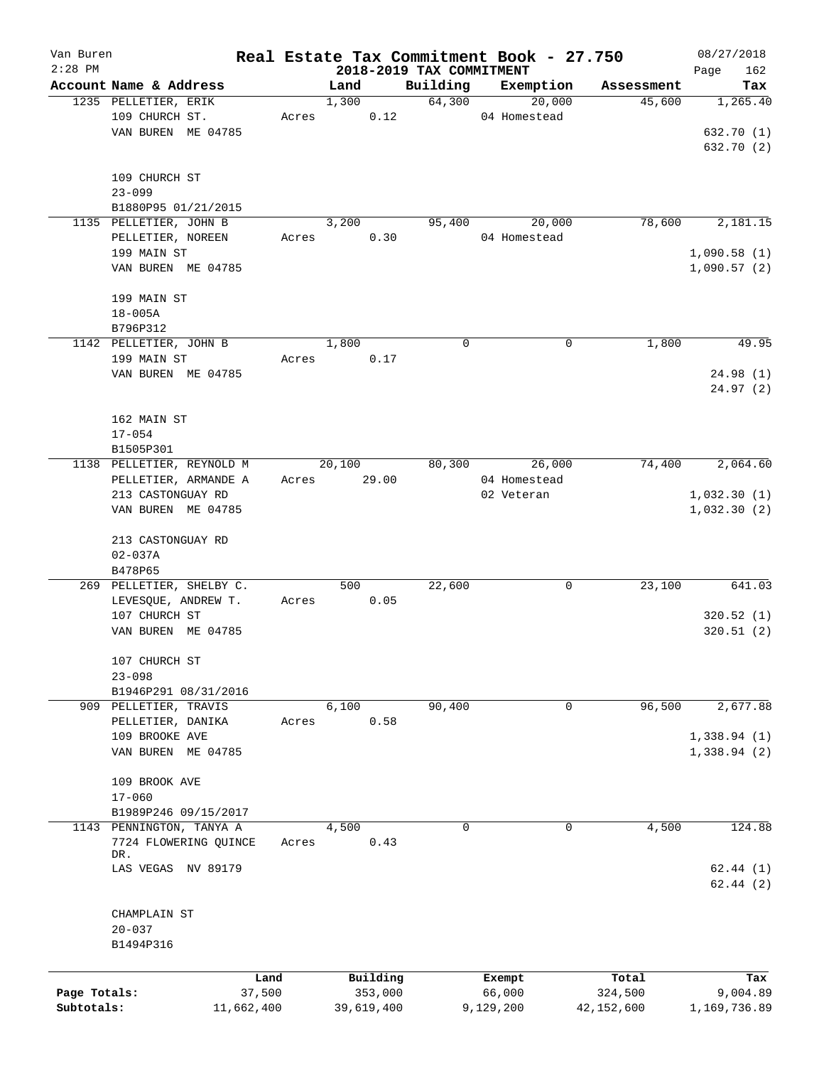| Van Buren    |                           |            |       |            |         |                          | Real Estate Tax Commitment Book - 27.750 |             |            | 08/27/2018   |
|--------------|---------------------------|------------|-------|------------|---------|--------------------------|------------------------------------------|-------------|------------|--------------|
| $2:28$ PM    |                           |            |       |            |         | 2018-2019 TAX COMMITMENT |                                          |             |            | 162<br>Page  |
|              | Account Name & Address    |            |       | Land       |         | Building                 | Exemption                                |             | Assessment | Tax          |
|              | 1235 PELLETIER, ERIK      |            |       | 1,300      |         | 64,300                   | 04 Homestead                             | 20,000      | 45,600     | 1,265.40     |
|              | 109 CHURCH ST.            |            | Acres |            | 0.12    |                          |                                          |             |            |              |
|              | VAN BUREN ME 04785        |            |       |            |         |                          |                                          |             |            | 632.70 (1)   |
|              |                           |            |       |            |         |                          |                                          |             |            | 632.70 (2)   |
|              |                           |            |       |            |         |                          |                                          |             |            |              |
|              | 109 CHURCH ST             |            |       |            |         |                          |                                          |             |            |              |
|              | $23 - 099$                |            |       |            |         |                          |                                          |             |            |              |
|              | B1880P95 01/21/2015       |            |       |            |         |                          |                                          |             |            |              |
|              | 1135 PELLETIER, JOHN B    |            |       | 3,200      |         | 95,400                   |                                          | 20,000      | 78,600     | 2,181.15     |
|              | PELLETIER, NOREEN         |            | Acres |            | 0.30    |                          | 04 Homestead                             |             |            |              |
|              | 199 MAIN ST               |            |       |            |         |                          |                                          |             |            | 1,090.58(1)  |
|              | VAN BUREN ME 04785        |            |       |            |         |                          |                                          |             |            | 1,090.57(2)  |
|              |                           |            |       |            |         |                          |                                          |             |            |              |
|              | 199 MAIN ST               |            |       |            |         |                          |                                          |             |            |              |
|              | $18 - 005A$               |            |       |            |         |                          |                                          |             |            |              |
|              | B796P312                  |            |       |            |         |                          |                                          |             |            |              |
|              | 1142 PELLETIER, JOHN B    |            |       | 1,800      |         | $\mathbf 0$              |                                          | 0           | 1,800      | 49.95        |
|              | 199 MAIN ST               |            | Acres |            | 0.17    |                          |                                          |             |            |              |
|              | VAN BUREN ME 04785        |            |       |            |         |                          |                                          |             |            | 24.98 (1)    |
|              |                           |            |       |            |         |                          |                                          |             |            | 24.97 (2)    |
|              |                           |            |       |            |         |                          |                                          |             |            |              |
|              | 162 MAIN ST               |            |       |            |         |                          |                                          |             |            |              |
|              | $17 - 054$                |            |       |            |         |                          |                                          |             |            |              |
|              | B1505P301                 |            |       |            |         |                          |                                          |             |            |              |
|              | 1138 PELLETIER, REYNOLD M |            |       | 20,100     |         | 80,300                   |                                          | 26,000      | 74,400     | 2,064.60     |
|              | PELLETIER, ARMANDE A      |            | Acres |            | 29.00   |                          | 04 Homestead                             |             |            |              |
|              | 213 CASTONGUAY RD         |            |       |            |         |                          | 02 Veteran                               |             |            | 1,032.30(1)  |
|              | VAN BUREN ME 04785        |            |       |            |         |                          |                                          |             |            | 1,032.30(2)  |
|              |                           |            |       |            |         |                          |                                          |             |            |              |
|              | 213 CASTONGUAY RD         |            |       |            |         |                          |                                          |             |            |              |
|              | $02 - 037A$               |            |       |            |         |                          |                                          |             |            |              |
|              | B478P65                   |            |       |            |         |                          |                                          |             |            |              |
|              | 269 PELLETIER, SHELBY C.  |            |       | 500        |         | 22,600                   |                                          | 0           | 23,100     | 641.03       |
|              | LEVESQUE, ANDREW T.       |            | Acres |            | 0.05    |                          |                                          |             |            |              |
|              | 107 CHURCH ST             |            |       |            |         |                          |                                          |             |            | 320.52(1)    |
|              | VAN BUREN ME 04785        |            |       |            |         |                          |                                          |             |            | 320.51(2)    |
|              |                           |            |       |            |         |                          |                                          |             |            |              |
|              | 107 CHURCH ST             |            |       |            |         |                          |                                          |             |            |              |
|              | $23 - 098$                |            |       |            |         |                          |                                          |             |            |              |
|              |                           |            |       |            |         |                          |                                          |             |            |              |
|              | B1946P291 08/31/2016      |            |       |            |         |                          |                                          |             |            |              |
|              | 909 PELLETIER, TRAVIS     |            |       | 6,100      |         | 90,400                   |                                          | 0           | 96,500     | 2,677.88     |
|              | PELLETIER, DANIKA         |            | Acres |            | 0.58    |                          |                                          |             |            |              |
|              | 109 BROOKE AVE            |            |       |            |         |                          |                                          |             |            | 1,338.94(1)  |
|              | VAN BUREN ME 04785        |            |       |            |         |                          |                                          |             |            | 1,338.94(2)  |
|              |                           |            |       |            |         |                          |                                          |             |            |              |
|              | 109 BROOK AVE             |            |       |            |         |                          |                                          |             |            |              |
|              | $17 - 060$                |            |       |            |         |                          |                                          |             |            |              |
|              | B1989P246 09/15/2017      |            |       |            |         |                          |                                          |             |            |              |
|              | 1143 PENNINGTON, TANYA A  |            |       | 4,500      |         | 0                        |                                          | $\mathbf 0$ | 4,500      | 124.88       |
|              | 7724 FLOWERING QUINCE     |            | Acres |            | 0.43    |                          |                                          |             |            |              |
|              | DR.                       |            |       |            |         |                          |                                          |             |            |              |
|              | LAS VEGAS NV 89179        |            |       |            |         |                          |                                          |             |            | 62.44(1)     |
|              |                           |            |       |            |         |                          |                                          |             |            | 62.44(2)     |
|              |                           |            |       |            |         |                          |                                          |             |            |              |
|              | CHAMPLAIN ST              |            |       |            |         |                          |                                          |             |            |              |
|              | $20 - 037$                |            |       |            |         |                          |                                          |             |            |              |
|              | B1494P316                 |            |       |            |         |                          |                                          |             |            |              |
|              |                           |            |       |            |         |                          |                                          |             |            |              |
|              |                           | Land       |       | Building   |         |                          | Exempt                                   |             | Total      | Tax          |
| Page Totals: |                           | 37,500     |       |            | 353,000 |                          | 66,000                                   |             | 324,500    | 9,004.89     |
| Subtotals:   |                           | 11,662,400 |       | 39,619,400 |         |                          | 9,129,200                                |             | 42,152,600 | 1,169,736.89 |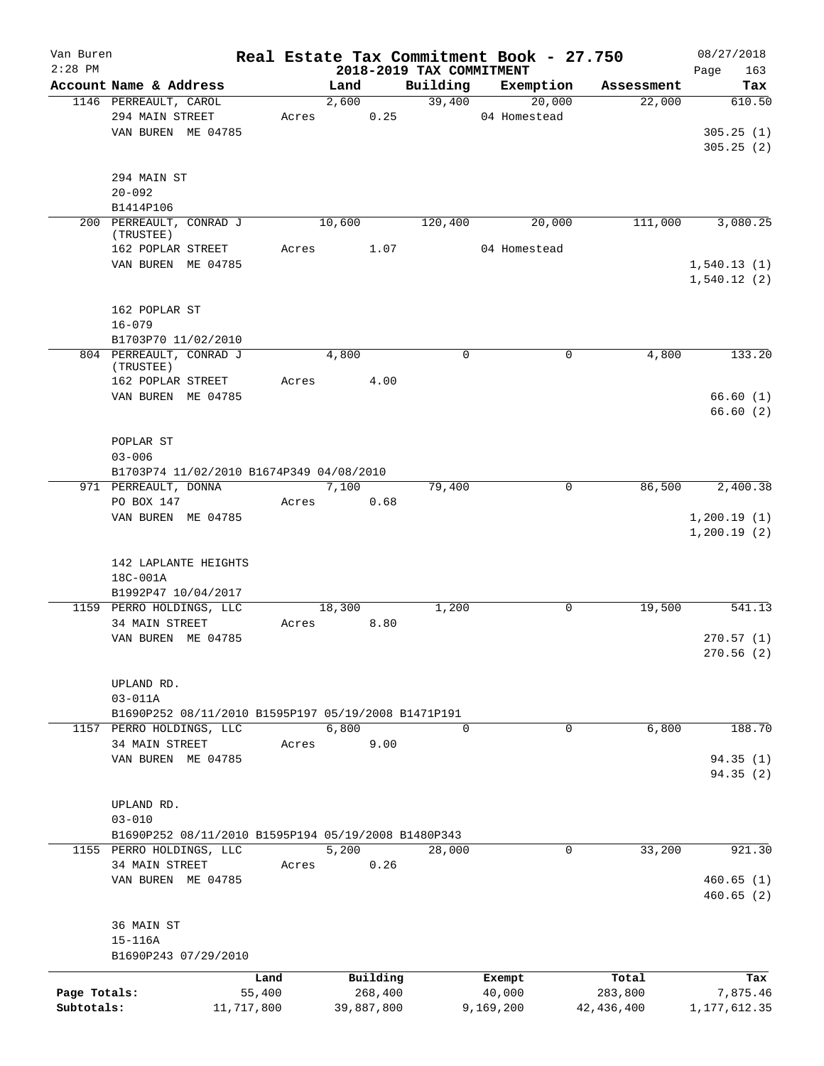| Van Buren<br>$2:28$ PM |                                                         |            |       |        |            | 2018-2019 TAX COMMITMENT |           | Real Estate Tax Commitment Book - 27.750 |              | 08/27/2018                 |
|------------------------|---------------------------------------------------------|------------|-------|--------|------------|--------------------------|-----------|------------------------------------------|--------------|----------------------------|
|                        | Account Name & Address                                  |            |       | Land   |            | Building                 |           | Exemption                                | Assessment   | 163<br>Page<br>Tax         |
|                        | 1146 PERREAULT, CAROL                                   |            |       | 2,600  |            | 39,400                   |           | 20,000                                   | 22,000       | 610.50                     |
|                        | 294 MAIN STREET                                         |            | Acres |        | 0.25       |                          |           | 04 Homestead                             |              |                            |
|                        | VAN BUREN ME 04785                                      |            |       |        |            |                          |           |                                          |              | 305.25(1)                  |
|                        |                                                         |            |       |        |            |                          |           |                                          |              | 305.25(2)                  |
|                        |                                                         |            |       |        |            |                          |           |                                          |              |                            |
|                        | 294 MAIN ST                                             |            |       |        |            |                          |           |                                          |              |                            |
|                        | $20 - 092$                                              |            |       |        |            |                          |           |                                          |              |                            |
|                        | B1414P106                                               |            |       |        |            |                          |           |                                          |              |                            |
|                        | 200 PERREAULT, CONRAD J                                 |            |       | 10,600 |            | 120,400                  |           | 20,000                                   | 111,000      | 3,080.25                   |
|                        | (TRUSTEE)<br>162 POPLAR STREET                          |            | Acres |        | 1.07       |                          |           | 04 Homestead                             |              |                            |
|                        | VAN BUREN ME 04785                                      |            |       |        |            |                          |           |                                          |              | 1,540.13(1)                |
|                        |                                                         |            |       |        |            |                          |           |                                          |              | 1,540.12(2)                |
|                        |                                                         |            |       |        |            |                          |           |                                          |              |                            |
|                        | 162 POPLAR ST                                           |            |       |        |            |                          |           |                                          |              |                            |
|                        | $16 - 079$                                              |            |       |        |            |                          |           |                                          |              |                            |
|                        | B1703P70 11/02/2010                                     |            |       |        |            |                          |           |                                          |              |                            |
|                        | 804 PERREAULT, CONRAD J<br>(TRUSTEE)                    |            |       | 4,800  |            | $\mathbf 0$              |           | 0                                        | 4,800        | 133.20                     |
|                        | 162 POPLAR STREET                                       |            | Acres |        | 4.00       |                          |           |                                          |              |                            |
|                        | VAN BUREN ME 04785                                      |            |       |        |            |                          |           |                                          |              | 66.60(1)                   |
|                        |                                                         |            |       |        |            |                          |           |                                          |              | 66.60(2)                   |
|                        |                                                         |            |       |        |            |                          |           |                                          |              |                            |
|                        | POPLAR ST                                               |            |       |        |            |                          |           |                                          |              |                            |
|                        | $03 - 006$                                              |            |       |        |            |                          |           |                                          |              |                            |
|                        | B1703P74 11/02/2010 B1674P349 04/08/2010                |            |       |        |            |                          |           |                                          |              |                            |
|                        | 971 PERREAULT, DONNA                                    |            |       | 7,100  |            | 79,400                   |           | 0                                        | 86,500       | 2,400.38                   |
|                        | PO BOX 147                                              |            | Acres |        | 0.68       |                          |           |                                          |              |                            |
|                        | VAN BUREN ME 04785                                      |            |       |        |            |                          |           |                                          |              | 1,200.19(1)<br>1,200.19(2) |
|                        | 142 LAPLANTE HEIGHTS<br>18C-001A<br>B1992P47 10/04/2017 |            |       |        |            |                          |           |                                          |              |                            |
|                        | 1159 PERRO HOLDINGS, LLC                                |            |       | 18,300 |            | 1,200                    |           | 0                                        | 19,500       | 541.13                     |
|                        | 34 MAIN STREET                                          |            | Acres |        | 8.80       |                          |           |                                          |              |                            |
|                        | VAN BUREN ME 04785                                      |            |       |        |            |                          |           |                                          |              | 270.57(1)                  |
|                        |                                                         |            |       |        |            |                          |           |                                          |              | 270.56(2)                  |
|                        | UPLAND RD.                                              |            |       |        |            |                          |           |                                          |              |                            |
|                        | $03 - 011A$                                             |            |       |        |            |                          |           |                                          |              |                            |
|                        | B1690P252 08/11/2010 B1595P197 05/19/2008 B1471P191     |            |       |        |            |                          |           |                                          |              |                            |
|                        | 1157 PERRO HOLDINGS, LLC                                |            |       | 6,800  |            | $\Omega$                 |           | 0                                        | 6,800        | 188.70                     |
|                        | 34 MAIN STREET                                          |            | Acres |        | 9.00       |                          |           |                                          |              |                            |
|                        | VAN BUREN ME 04785                                      |            |       |        |            |                          |           |                                          |              | 94.35 (1)                  |
|                        |                                                         |            |       |        |            |                          |           |                                          |              | 94.35 (2)                  |
|                        |                                                         |            |       |        |            |                          |           |                                          |              |                            |
|                        | UPLAND RD.<br>$03 - 010$                                |            |       |        |            |                          |           |                                          |              |                            |
|                        | B1690P252 08/11/2010 B1595P194 05/19/2008 B1480P343     |            |       |        |            |                          |           |                                          |              |                            |
|                        | 1155 PERRO HOLDINGS, LLC                                |            |       | 5,200  |            | 28,000                   |           | 0                                        | 33,200       | 921.30                     |
|                        | 34 MAIN STREET                                          |            | Acres |        | 0.26       |                          |           |                                          |              |                            |
|                        | VAN BUREN ME 04785                                      |            |       |        |            |                          |           |                                          |              | 460.65(1)                  |
|                        |                                                         |            |       |        |            |                          |           |                                          |              | 460.65(2)                  |
|                        |                                                         |            |       |        |            |                          |           |                                          |              |                            |
|                        | 36 MAIN ST                                              |            |       |        |            |                          |           |                                          |              |                            |
|                        | $15 - 116A$                                             |            |       |        |            |                          |           |                                          |              |                            |
|                        | B1690P243 07/29/2010                                    |            |       |        |            |                          |           |                                          |              |                            |
|                        |                                                         | Land       |       |        | Building   |                          | Exempt    |                                          | Total        | Tax                        |
| Page Totals:           |                                                         | 55,400     |       |        | 268,400    |                          | 40,000    |                                          | 283,800      | 7,875.46                   |
| Subtotals:             |                                                         | 11,717,800 |       |        | 39,887,800 |                          | 9,169,200 |                                          | 42, 436, 400 | 1, 177, 612.35             |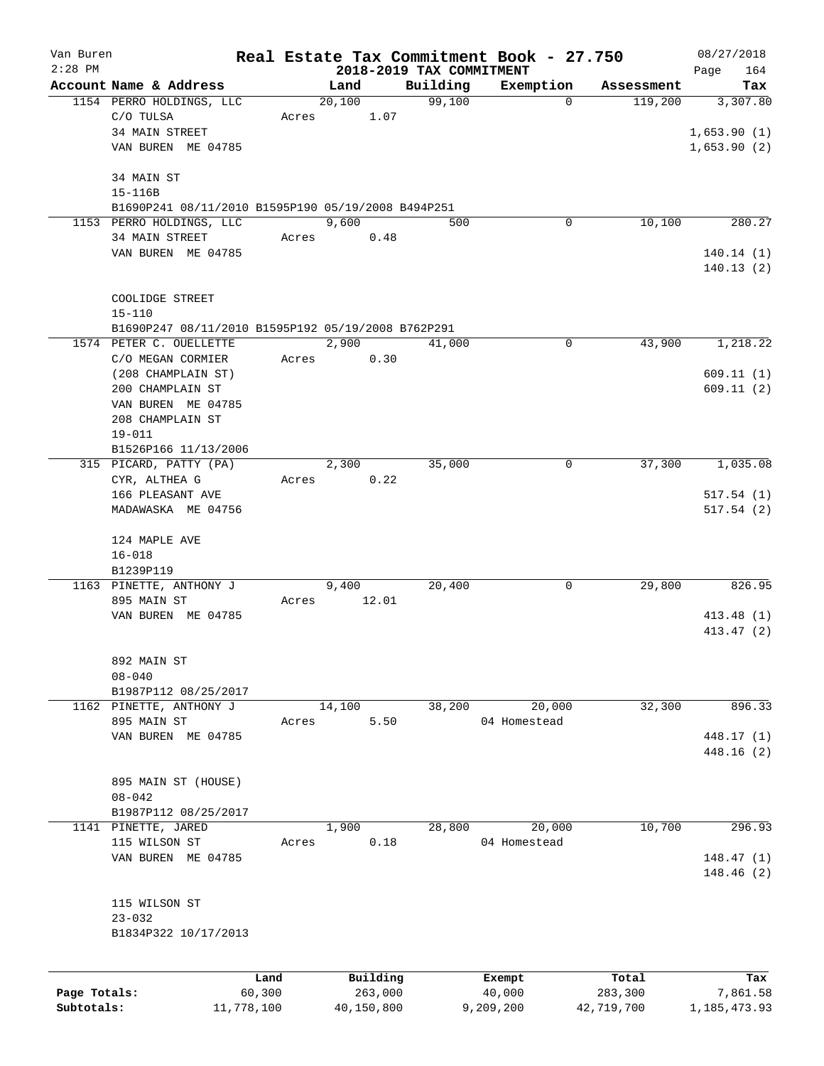| Van Buren    |                                                    |        |          |                                      | Real Estate Tax Commitment Book - 27.750 |            | 08/27/2018         |
|--------------|----------------------------------------------------|--------|----------|--------------------------------------|------------------------------------------|------------|--------------------|
| $2:28$ PM    | Account Name & Address                             |        | Land     | 2018-2019 TAX COMMITMENT<br>Building | Exemption                                | Assessment | 164<br>Page<br>Tax |
|              | 1154 PERRO HOLDINGS, LLC                           |        | 20,100   | 99,100                               | $\mathbf 0$                              | 119,200    | 3,307.80           |
|              | C/O TULSA                                          | Acres  | 1.07     |                                      |                                          |            |                    |
|              | 34 MAIN STREET                                     |        |          |                                      |                                          |            | 1,653.90(1)        |
|              | VAN BUREN ME 04785                                 |        |          |                                      |                                          |            | 1,653.90(2)        |
|              |                                                    |        |          |                                      |                                          |            |                    |
|              | 34 MAIN ST                                         |        |          |                                      |                                          |            |                    |
|              | 15-116B                                            |        |          |                                      |                                          |            |                    |
|              | B1690P241 08/11/2010 B1595P190 05/19/2008 B494P251 |        |          |                                      |                                          |            |                    |
|              | 1153 PERRO HOLDINGS, LLC                           |        | 9,600    | 500                                  | 0                                        | 10,100     | 280.27             |
|              | 34 MAIN STREET                                     | Acres  | 0.48     |                                      |                                          |            |                    |
|              | VAN BUREN ME 04785                                 |        |          |                                      |                                          |            | 140.14(1)          |
|              |                                                    |        |          |                                      |                                          |            | 140.13(2)          |
|              |                                                    |        |          |                                      |                                          |            |                    |
|              | COOLIDGE STREET                                    |        |          |                                      |                                          |            |                    |
|              | $15 - 110$                                         |        |          |                                      |                                          |            |                    |
|              | B1690P247 08/11/2010 B1595P192 05/19/2008 B762P291 |        |          |                                      |                                          |            |                    |
|              | 1574 PETER C. OUELLETTE                            |        | 2,900    | 41,000                               | 0                                        | 43,900     | 1,218.22           |
|              | C/O MEGAN CORMIER                                  | Acres  | 0.30     |                                      |                                          |            |                    |
|              | (208 CHAMPLAIN ST)                                 |        |          |                                      |                                          |            | 609.11(1)          |
|              | 200 CHAMPLAIN ST                                   |        |          |                                      |                                          |            | 609.11(2)          |
|              | VAN BUREN ME 04785                                 |        |          |                                      |                                          |            |                    |
|              | 208 CHAMPLAIN ST                                   |        |          |                                      |                                          |            |                    |
|              | $19 - 011$                                         |        |          |                                      |                                          |            |                    |
|              | B1526P166 11/13/2006                               |        |          |                                      |                                          |            |                    |
|              | 315 PICARD, PATTY (PA)                             |        | 2,300    | 35,000                               | 0                                        | 37,300     | 1,035.08           |
|              | CYR, ALTHEA G                                      | Acres  | 0.22     |                                      |                                          |            |                    |
|              | 166 PLEASANT AVE                                   |        |          |                                      |                                          |            | 517.54(1)          |
|              | MADAWASKA ME 04756                                 |        |          |                                      |                                          |            | 517.54(2)          |
|              | 124 MAPLE AVE                                      |        |          |                                      |                                          |            |                    |
|              | $16 - 018$                                         |        |          |                                      |                                          |            |                    |
|              | B1239P119                                          |        |          |                                      |                                          |            |                    |
|              | 1163 PINETTE, ANTHONY J                            |        | 9,400    | 20,400                               | 0                                        | 29,800     | 826.95             |
|              | 895 MAIN ST                                        | Acres  | 12.01    |                                      |                                          |            |                    |
|              | VAN BUREN ME 04785                                 |        |          |                                      |                                          |            | 413.48(1)          |
|              |                                                    |        |          |                                      |                                          |            | 413.47(2)          |
|              |                                                    |        |          |                                      |                                          |            |                    |
|              | 892 MAIN ST                                        |        |          |                                      |                                          |            |                    |
|              | $08 - 040$                                         |        |          |                                      |                                          |            |                    |
|              | B1987P112 08/25/2017                               |        |          |                                      |                                          |            |                    |
|              | 1162 PINETTE, ANTHONY J                            |        | 14,100   | 38,200                               | 20,000                                   | 32,300     | 896.33             |
|              | 895 MAIN ST                                        | Acres  | 5.50     |                                      | 04 Homestead                             |            |                    |
|              | VAN BUREN ME 04785                                 |        |          |                                      |                                          |            | 448.17 (1)         |
|              |                                                    |        |          |                                      |                                          |            | 448.16(2)          |
|              |                                                    |        |          |                                      |                                          |            |                    |
|              | 895 MAIN ST (HOUSE)                                |        |          |                                      |                                          |            |                    |
|              | $08 - 042$                                         |        |          |                                      |                                          |            |                    |
|              | B1987P112 08/25/2017                               |        |          |                                      |                                          |            |                    |
|              | 1141 PINETTE, JARED                                |        | 1,900    | 28,800                               | 20,000                                   | 10,700     | 296.93             |
|              | 115 WILSON ST                                      | Acres  | 0.18     |                                      | 04 Homestead                             |            |                    |
|              | VAN BUREN ME 04785                                 |        |          |                                      |                                          |            | 148.47(1)          |
|              |                                                    |        |          |                                      |                                          |            | 148.46 (2)         |
|              |                                                    |        |          |                                      |                                          |            |                    |
|              | 115 WILSON ST                                      |        |          |                                      |                                          |            |                    |
|              | $23 - 032$                                         |        |          |                                      |                                          |            |                    |
|              | B1834P322 10/17/2013                               |        |          |                                      |                                          |            |                    |
|              |                                                    |        |          |                                      |                                          |            |                    |
|              |                                                    | Land   | Building |                                      | Exempt                                   | Total      | Tax                |
| Page Totals: |                                                    | 60,300 | 263,000  |                                      | 40,000                                   | 283,300    | 7,861.58           |

**Subtotals:** 11,778,100 40,150,800 9,209,200 42,719,700 1,185,473.93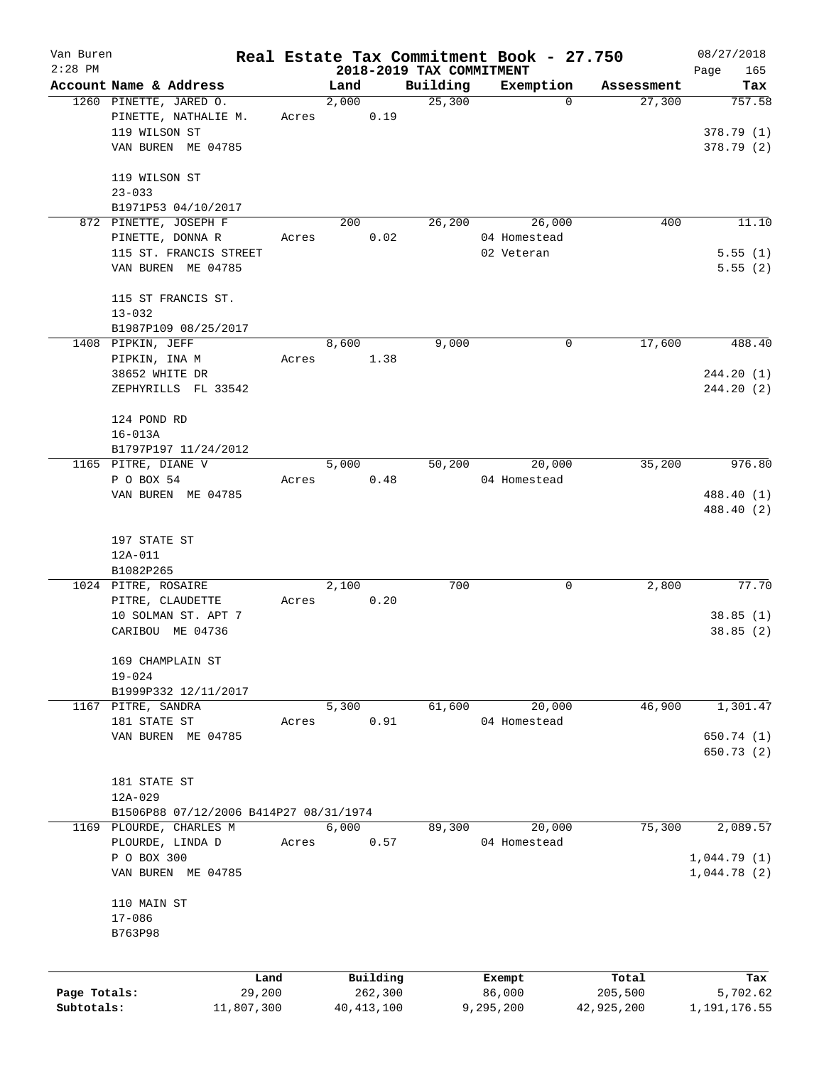| Van Buren    |                                        |                |               |                     |                          | Real Estate Tax Commitment Book - 27.750 |                      | 08/27/2018      |
|--------------|----------------------------------------|----------------|---------------|---------------------|--------------------------|------------------------------------------|----------------------|-----------------|
| $2:28$ PM    | Account Name & Address                 |                |               |                     | 2018-2019 TAX COMMITMENT |                                          |                      | 165<br>Page     |
|              | 1260 PINETTE, JARED O.                 |                | Land<br>2,000 |                     | Building<br>25,300       | Exemption<br>$\mathbf 0$                 | Assessment<br>27,300 | Tax<br>757.58   |
|              | PINETTE, NATHALIE M.                   | Acres          |               | 0.19                |                          |                                          |                      |                 |
|              | 119 WILSON ST                          |                |               |                     |                          |                                          |                      | 378.79(1)       |
|              | VAN BUREN ME 04785                     |                |               |                     |                          |                                          |                      | 378.79(2)       |
|              |                                        |                |               |                     |                          |                                          |                      |                 |
|              | 119 WILSON ST                          |                |               |                     |                          |                                          |                      |                 |
|              | $23 - 033$                             |                |               |                     |                          |                                          |                      |                 |
|              | B1971P53 04/10/2017                    |                |               |                     |                          |                                          |                      |                 |
|              | 872 PINETTE, JOSEPH F                  |                | 200           |                     | 26,200                   | 26,000                                   | 400                  | 11.10           |
|              | PINETTE, DONNA R                       | Acres          |               | 0.02                |                          | 04 Homestead                             |                      |                 |
|              | 115 ST. FRANCIS STREET                 |                |               |                     |                          | 02 Veteran                               |                      | 5.55(1)         |
|              | VAN BUREN ME 04785                     |                |               |                     |                          |                                          |                      | 5.55(2)         |
|              | 115 ST FRANCIS ST.                     |                |               |                     |                          |                                          |                      |                 |
|              | $13 - 032$                             |                |               |                     |                          |                                          |                      |                 |
|              | B1987P109 08/25/2017                   |                |               |                     |                          |                                          |                      |                 |
|              | 1408 PIPKIN, JEFF                      |                | 8,600         |                     | 9,000                    | 0                                        | 17,600               | 488.40          |
|              | PIPKIN, INA M                          | Acres          |               | 1.38                |                          |                                          |                      |                 |
|              | 38652 WHITE DR                         |                |               |                     |                          |                                          |                      | 244.20(1)       |
|              | ZEPHYRILLS FL 33542                    |                |               |                     |                          |                                          |                      | 244.20(2)       |
|              | 124 POND RD                            |                |               |                     |                          |                                          |                      |                 |
|              | $16 - 013A$                            |                |               |                     |                          |                                          |                      |                 |
|              | B1797P197 11/24/2012                   |                |               |                     |                          |                                          |                      |                 |
|              | 1165 PITRE, DIANE V                    |                | 5,000         |                     | 50,200                   | 20,000                                   | 35,200               | 976.80          |
|              | P O BOX 54                             | Acres          |               | 0.48                |                          | 04 Homestead                             |                      |                 |
|              | VAN BUREN ME 04785                     |                |               |                     |                          |                                          |                      | 488.40 (1)      |
|              |                                        |                |               |                     |                          |                                          |                      | 488.40 (2)      |
|              | 197 STATE ST                           |                |               |                     |                          |                                          |                      |                 |
|              | 12A-011                                |                |               |                     |                          |                                          |                      |                 |
|              | B1082P265                              |                |               |                     |                          |                                          |                      |                 |
|              | 1024 PITRE, ROSAIRE                    |                | 2,100         |                     | 700                      | 0                                        | 2,800                | 77.70           |
|              | PITRE, CLAUDETTE                       | Acres          |               | 0.20                |                          |                                          |                      |                 |
|              | 10 SOLMAN ST. APT 7                    |                |               |                     |                          |                                          |                      | 38.85(1)        |
|              | CARIBOU ME 04736                       |                |               |                     |                          |                                          |                      | 38.85(2)        |
|              | 169 CHAMPLAIN ST                       |                |               |                     |                          |                                          |                      |                 |
|              | $19 - 024$                             |                |               |                     |                          |                                          |                      |                 |
|              | B1999P332 12/11/2017                   |                |               |                     |                          |                                          |                      |                 |
|              | 1167 PITRE, SANDRA                     |                | 5,300         |                     | 61,600                   | 20,000                                   | 46,900               | 1,301.47        |
|              | 181 STATE ST                           | Acres          |               | 0.91                |                          | 04 Homestead                             |                      |                 |
|              | VAN BUREN ME 04785                     |                |               |                     |                          |                                          |                      | 650.74 (1)      |
|              |                                        |                |               |                     |                          |                                          |                      | 650.73 (2)      |
|              | 181 STATE ST                           |                |               |                     |                          |                                          |                      |                 |
|              | 12A-029                                |                |               |                     |                          |                                          |                      |                 |
|              | B1506P88 07/12/2006 B414P27 08/31/1974 |                |               |                     |                          |                                          |                      |                 |
|              | 1169 PLOURDE, CHARLES M                |                | 6,000         |                     | 89,300                   | 20,000                                   | 75,300               | 2,089.57        |
|              | PLOURDE, LINDA D                       | Acres          |               | 0.57                |                          | 04 Homestead                             |                      |                 |
|              | P O BOX 300                            |                |               |                     |                          |                                          |                      | 1,044.79(1)     |
|              | VAN BUREN ME 04785                     |                |               |                     |                          |                                          |                      | 1,044.78(2)     |
|              | 110 MAIN ST                            |                |               |                     |                          |                                          |                      |                 |
|              | $17 - 086$                             |                |               |                     |                          |                                          |                      |                 |
|              | B763P98                                |                |               |                     |                          |                                          |                      |                 |
|              |                                        |                |               |                     |                          |                                          |                      |                 |
| Page Totals: |                                        | Land<br>29,200 |               | Building<br>262,300 |                          | Exempt<br>86,000                         | Total<br>205,500     | Tax<br>5,702.62 |
| Subtotals:   |                                        | 11,807,300     |               | 40, 413, 100        |                          | 9,295,200                                | 42,925,200           | 1,191,176.55    |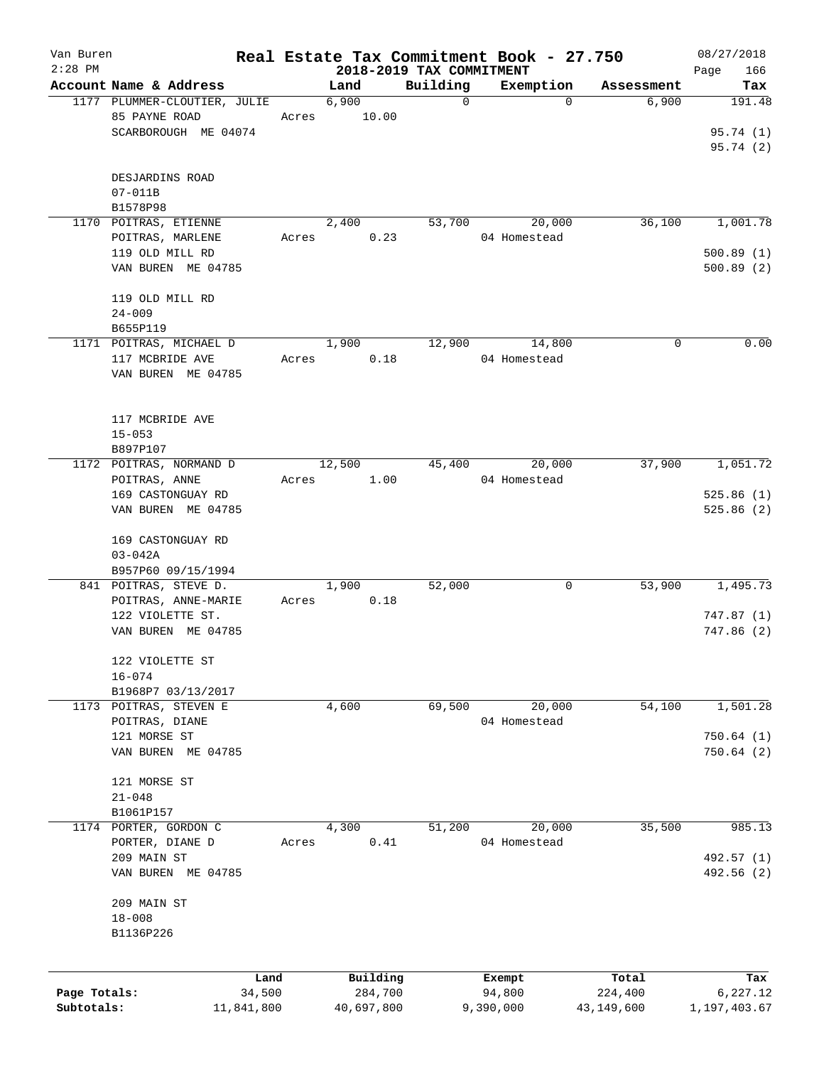| Van Buren<br>$2:28$ PM |                                                                       |            |        |            | 2018-2019 TAX COMMITMENT | Real Estate Tax Commitment Book - 27.750 |              | 08/27/2018<br>166<br>Page        |
|------------------------|-----------------------------------------------------------------------|------------|--------|------------|--------------------------|------------------------------------------|--------------|----------------------------------|
|                        | Account Name & Address                                                |            | Land   |            | Building                 | Exemption                                | Assessment   | Tax                              |
|                        | 1177 PLUMMER-CLOUTIER, JULIE<br>85 PAYNE ROAD<br>SCARBOROUGH ME 04074 | Acres      | 6,900  | 10.00      | $\mathbf 0$              | $\Omega$                                 | 6,900        | 191.48<br>95.74 (1)<br>95.74 (2) |
|                        | DESJARDINS ROAD<br>$07 - 011B$<br>B1578P98                            |            |        |            |                          |                                          |              |                                  |
|                        | 1170 POITRAS, ETIENNE                                                 |            | 2,400  |            | 53,700                   | 20,000                                   | 36,100       | 1,001.78                         |
|                        | POITRAS, MARLENE<br>119 OLD MILL RD                                   | Acres      |        | 0.23       |                          | 04 Homestead                             |              | 500.89(1)                        |
|                        | VAN BUREN ME 04785                                                    |            |        |            |                          |                                          |              | 500.89(2)                        |
|                        | 119 OLD MILL RD<br>$24 - 009$                                         |            |        |            |                          |                                          |              |                                  |
|                        | B655P119                                                              |            |        |            |                          |                                          |              |                                  |
|                        | 1171 POITRAS, MICHAEL D<br>117 MCBRIDE AVE<br>VAN BUREN ME 04785      | Acres      | 1,900  | 0.18       | 12,900                   | 14,800<br>04 Homestead                   | 0            | 0.00                             |
|                        | 117 MCBRIDE AVE<br>$15 - 053$<br>B897P107                             |            |        |            |                          |                                          |              |                                  |
|                        | 1172 POITRAS, NORMAND D                                               |            | 12,500 |            | 45,400                   | 20,000                                   | 37,900       | 1,051.72                         |
|                        | POITRAS, ANNE                                                         | Acres      |        | 1.00       |                          | 04 Homestead                             |              |                                  |
|                        | 169 CASTONGUAY RD<br>VAN BUREN ME 04785                               |            |        |            |                          |                                          |              | 525.86(1)<br>525.86(2)           |
|                        | 169 CASTONGUAY RD<br>$03 - 042A$<br>B957P60 09/15/1994                |            |        |            |                          |                                          |              |                                  |
|                        | 841 POITRAS, STEVE D.                                                 |            | 1,900  |            | 52,000                   | 0                                        | 53,900       | 1,495.73                         |
|                        | POITRAS, ANNE-MARIE<br>122 VIOLETTE ST.                               | Acres      |        | 0.18       |                          |                                          |              | 747.87(1)                        |
|                        | VAN BUREN ME 04785                                                    |            |        |            |                          |                                          |              | 747.86 (2)                       |
|                        | 122 VIOLETTE ST<br>$16 - 074$                                         |            |        |            |                          |                                          |              |                                  |
|                        | B1968P7 03/13/2017                                                    |            |        |            |                          |                                          |              |                                  |
| 1173                   | POITRAS, STEVEN E                                                     |            | 4,600  |            | 69,500                   | 20,000                                   | 54,100       | 1,501.28                         |
|                        | POITRAS, DIANE<br>121 MORSE ST                                        |            |        |            |                          | 04 Homestead                             |              | 750.64(1)                        |
|                        | VAN BUREN ME 04785                                                    |            |        |            |                          |                                          |              | 750.64(2)                        |
|                        | 121 MORSE ST                                                          |            |        |            |                          |                                          |              |                                  |
|                        | $21 - 048$<br>B1061P157                                               |            |        |            |                          |                                          |              |                                  |
|                        | 1174 PORTER, GORDON C                                                 |            | 4,300  |            | 51,200                   | 20,000                                   | 35,500       | 985.13                           |
|                        | PORTER, DIANE D                                                       | Acres      |        | 0.41       |                          | 04 Homestead                             |              |                                  |
|                        | 209 MAIN ST<br>VAN BUREN ME 04785                                     |            |        |            |                          |                                          |              | 492.57 (1)<br>492.56 (2)         |
|                        | 209 MAIN ST<br>$18 - 008$                                             |            |        |            |                          |                                          |              |                                  |
|                        | B1136P226                                                             |            |        |            |                          |                                          |              |                                  |
|                        |                                                                       | Land       |        | Building   |                          | Exempt                                   | Total        | Tax                              |
| Page Totals:           |                                                                       | 34,500     |        | 284,700    |                          | 94,800                                   | 224,400      | 6,227.12                         |
| Subtotals:             |                                                                       | 11,841,800 |        | 40,697,800 |                          | 9,390,000                                | 43, 149, 600 | 1,197,403.67                     |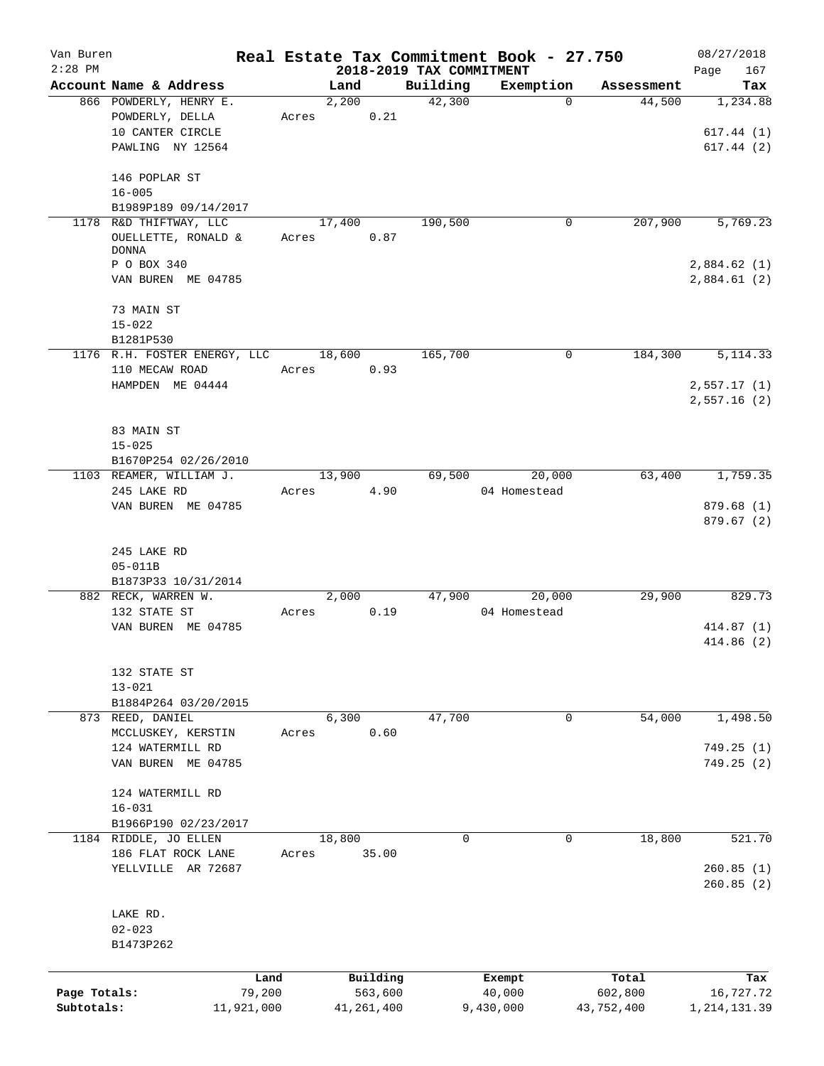| Van Buren    |                              |        |              |                          | Real Estate Tax Commitment Book - 27.750 |            | 08/27/2018             |
|--------------|------------------------------|--------|--------------|--------------------------|------------------------------------------|------------|------------------------|
| $2:28$ PM    |                              |        |              | 2018-2019 TAX COMMITMENT |                                          |            | 167<br>Page            |
|              | Account Name & Address       | Land   |              | Building<br>42,300       | Exemption<br>$\Omega$                    | Assessment | Tax                    |
|              | 866 POWDERLY, HENRY E.       | 2,200  |              |                          |                                          | 44,500     | 1,234.88               |
|              | POWDERLY, DELLA              | Acres  | 0.21         |                          |                                          |            |                        |
|              | 10 CANTER CIRCLE             |        |              |                          |                                          |            | 617.44(1)              |
|              | PAWLING NY 12564             |        |              |                          |                                          |            | 617.44(2)              |
|              | 146 POPLAR ST                |        |              |                          |                                          |            |                        |
|              | $16 - 005$                   |        |              |                          |                                          |            |                        |
|              | B1989P189 09/14/2017         |        |              |                          |                                          |            |                        |
|              | 1178 R&D THIFTWAY, LLC       | 17,400 |              | 190,500                  | 0                                        | 207,900    | 5,769.23               |
|              | OUELLETTE, RONALD &          | Acres  | 0.87         |                          |                                          |            |                        |
|              | <b>DONNA</b>                 |        |              |                          |                                          |            |                        |
|              | P O BOX 340                  |        |              |                          |                                          |            | 2,884.62(1)            |
|              | VAN BUREN ME 04785           |        |              |                          |                                          |            | 2,884.61(2)            |
|              | 73 MAIN ST                   |        |              |                          |                                          |            |                        |
|              | $15 - 022$                   |        |              |                          |                                          |            |                        |
|              | B1281P530                    |        |              |                          |                                          |            |                        |
|              | 1176 R.H. FOSTER ENERGY, LLC | 18,600 |              | 165,700                  | 0                                        | 184,300    | 5, 114.33              |
|              | 110 MECAW ROAD               | Acres  | 0.93         |                          |                                          |            |                        |
|              | HAMPDEN ME 04444             |        |              |                          |                                          |            | 2,557.17(1)            |
|              |                              |        |              |                          |                                          |            | 2,557.16(2)            |
|              |                              |        |              |                          |                                          |            |                        |
|              | 83 MAIN ST                   |        |              |                          |                                          |            |                        |
|              |                              |        |              |                          |                                          |            |                        |
|              | $15 - 025$                   |        |              |                          |                                          |            |                        |
|              | B1670P254 02/26/2010         |        |              |                          |                                          |            |                        |
|              | 1103 REAMER, WILLIAM J.      | 13,900 |              | 69,500                   | 20,000                                   | 63,400     | 1,759.35               |
|              | 245 LAKE RD                  | Acres  | 4.90         |                          | 04 Homestead                             |            |                        |
|              | VAN BUREN ME 04785           |        |              |                          |                                          |            | 879.68(1)<br>879.67(2) |
|              |                              |        |              |                          |                                          |            |                        |
|              | 245 LAKE RD                  |        |              |                          |                                          |            |                        |
|              | $05 - 011B$                  |        |              |                          |                                          |            |                        |
|              | B1873P33 10/31/2014          |        |              |                          |                                          |            |                        |
|              | 882 RECK, WARREN W.          | 2,000  |              | 47,900                   | 20,000                                   | 29,900     | 829.73                 |
|              | 132 STATE ST                 | Acres  | 0.19         |                          | 04 Homestead                             |            |                        |
|              | VAN BUREN ME 04785           |        |              |                          |                                          |            | 414.87(1)              |
|              |                              |        |              |                          |                                          |            | 414.86(2)              |
|              |                              |        |              |                          |                                          |            |                        |
|              | 132 STATE ST                 |        |              |                          |                                          |            |                        |
|              |                              |        |              |                          |                                          |            |                        |
|              | $13 - 021$                   |        |              |                          |                                          |            |                        |
|              | B1884P264 03/20/2015         |        |              |                          |                                          |            |                        |
|              | 873 REED, DANIEL             | 6,300  |              | 47,700                   | 0                                        | 54,000     | 1,498.50               |
|              | MCCLUSKEY, KERSTIN           | Acres  | 0.60         |                          |                                          |            |                        |
|              | 124 WATERMILL RD             |        |              |                          |                                          |            | 749.25(1)              |
|              | VAN BUREN ME 04785           |        |              |                          |                                          |            | 749.25 (2)             |
|              |                              |        |              |                          |                                          |            |                        |
|              | 124 WATERMILL RD             |        |              |                          |                                          |            |                        |
|              | $16 - 031$                   |        |              |                          |                                          |            |                        |
|              | B1966P190 02/23/2017         |        |              |                          |                                          |            |                        |
|              | 1184 RIDDLE, JO ELLEN        | 18,800 |              | $\Omega$                 | 0                                        | 18,800     | 521.70                 |
|              | 186 FLAT ROCK LANE           | Acres  | 35.00        |                          |                                          |            |                        |
|              | YELLVILLE AR 72687           |        |              |                          |                                          |            | 260.85(1)              |
|              |                              |        |              |                          |                                          |            | 260.85(2)              |
|              |                              |        |              |                          |                                          |            |                        |
|              | LAKE RD.                     |        |              |                          |                                          |            |                        |
|              | $02 - 023$                   |        |              |                          |                                          |            |                        |
|              | B1473P262                    |        |              |                          |                                          |            |                        |
|              |                              |        |              |                          |                                          |            |                        |
|              | Land                         |        | Building     |                          | Exempt                                   | Total      | Tax                    |
| Page Totals: | 79,200                       |        | 563,600      |                          | 40,000                                   | 602,800    | 16,727.72              |
| Subtotals:   | 11,921,000                   |        | 41, 261, 400 |                          | 9,430,000                                | 43,752,400 | 1, 214, 131.39         |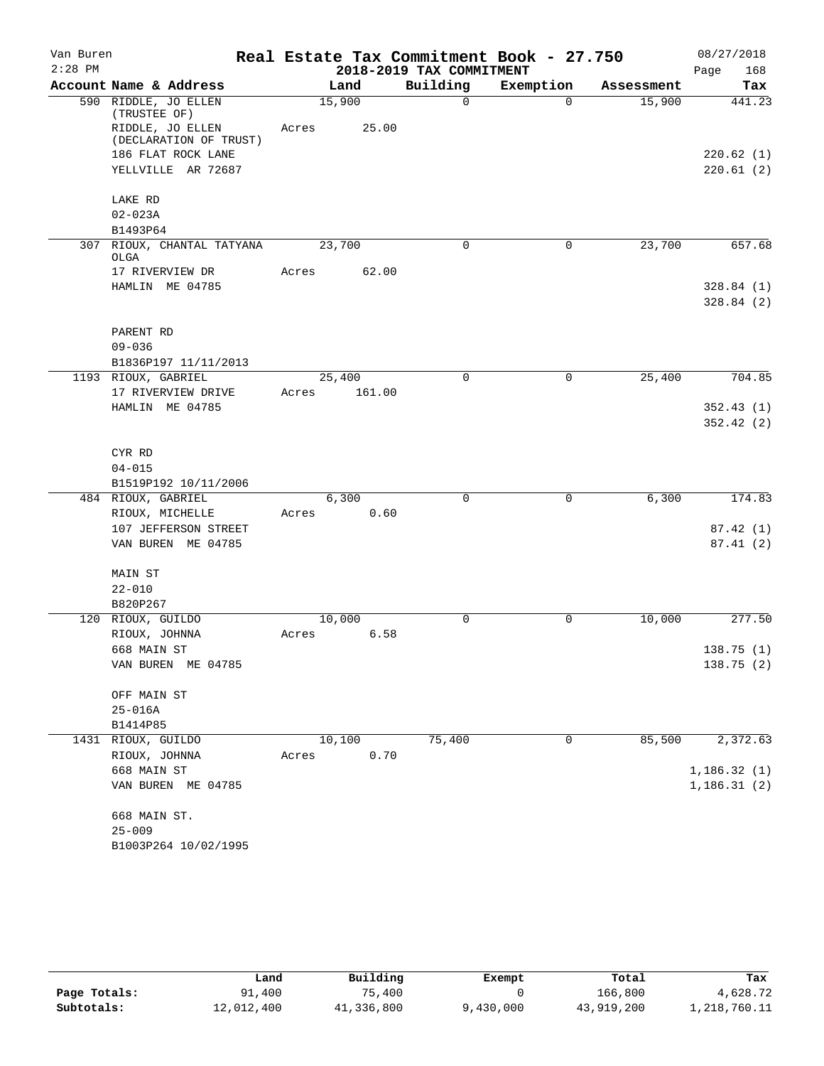| Van Buren |                                      |       |        |                          | Real Estate Tax Commitment Book - 27.750 |            | 08/27/2018  |
|-----------|--------------------------------------|-------|--------|--------------------------|------------------------------------------|------------|-------------|
| $2:28$ PM |                                      |       |        | 2018-2019 TAX COMMITMENT |                                          |            | Page<br>168 |
|           | Account Name & Address               |       | Land   | Building                 | Exemption                                | Assessment | Tax         |
|           | 590 RIDDLE, JO ELLEN<br>(TRUSTEE OF) |       | 15,900 | $\Omega$                 | $\Omega$                                 | 15,900     | 441.23      |
|           | RIDDLE, JO ELLEN                     | Acres | 25.00  |                          |                                          |            |             |
|           | (DECLARATION OF TRUST)               |       |        |                          |                                          |            |             |
|           | 186 FLAT ROCK LANE                   |       |        |                          |                                          |            | 220.62 (1)  |
|           | YELLVILLE AR 72687                   |       |        |                          |                                          |            | 220.61(2)   |
|           | LAKE RD                              |       |        |                          |                                          |            |             |
|           | $02 - 023A$                          |       |        |                          |                                          |            |             |
|           | B1493P64                             |       |        |                          |                                          |            |             |
| 307       | RIOUX, CHANTAL TATYANA               |       | 23,700 | 0                        | 0                                        | 23,700     | 657.68      |
|           | OLGA                                 |       | 62.00  |                          |                                          |            |             |
|           | 17 RIVERVIEW DR<br>HAMLIN ME 04785   | Acres |        |                          |                                          |            | 328.84(1)   |
|           |                                      |       |        |                          |                                          |            | 328.84(2)   |
|           |                                      |       |        |                          |                                          |            |             |
|           | PARENT RD                            |       |        |                          |                                          |            |             |
|           | $09 - 036$                           |       |        |                          |                                          |            |             |
|           | B1836P197 11/11/2013                 |       |        |                          |                                          |            |             |
|           | 1193 RIOUX, GABRIEL                  |       | 25,400 | $\Omega$                 | 0                                        | 25,400     | 704.85      |
|           | 17 RIVERVIEW DRIVE                   | Acres | 161.00 |                          |                                          |            |             |
|           | HAMLIN ME 04785                      |       |        |                          |                                          |            | 352.43(1)   |
|           |                                      |       |        |                          |                                          |            | 352.42(2)   |
|           |                                      |       |        |                          |                                          |            |             |
|           | CYR RD                               |       |        |                          |                                          |            |             |
|           | $04 - 015$<br>B1519P192 10/11/2006   |       |        |                          |                                          |            |             |
|           | 484 RIOUX, GABRIEL                   |       | 6,300  | $\mathbf 0$              | $\mathbf 0$                              | 6,300      | 174.83      |
|           | RIOUX, MICHELLE                      | Acres | 0.60   |                          |                                          |            |             |
|           | 107 JEFFERSON STREET                 |       |        |                          |                                          |            | 87.42(1)    |
|           | VAN BUREN ME 04785                   |       |        |                          |                                          |            | 87.41(2)    |
|           |                                      |       |        |                          |                                          |            |             |
|           | MAIN ST                              |       |        |                          |                                          |            |             |
|           | $22 - 010$                           |       |        |                          |                                          |            |             |
|           | B820P267                             |       |        |                          |                                          |            |             |
|           | 120 RIOUX, GUILDO                    |       | 10,000 | $\Omega$                 | 0                                        | 10,000     | 277.50      |
|           | RIOUX, JOHNNA<br>668 MAIN ST         | Acres | 6.58   |                          |                                          |            | 138.75 (1)  |
|           | VAN BUREN ME 04785                   |       |        |                          |                                          |            | 138.75(2)   |
|           |                                      |       |        |                          |                                          |            |             |
|           | OFF MAIN ST                          |       |        |                          |                                          |            |             |
|           | $25 - 016A$                          |       |        |                          |                                          |            |             |
|           | B1414P85                             |       |        |                          |                                          |            |             |
|           | 1431 RIOUX, GUILDO                   |       | 10,100 | 75,400                   | 0                                        | 85,500     | 2,372.63    |
|           | RIOUX, JOHNNA                        | Acres | 0.70   |                          |                                          |            |             |
|           | 668 MAIN ST                          |       |        |                          |                                          |            | 1,186.32(1) |
|           | VAN BUREN ME 04785                   |       |        |                          |                                          |            | 1,186.31(2) |
|           | 668 MAIN ST.                         |       |        |                          |                                          |            |             |
|           | $25 - 009$                           |       |        |                          |                                          |            |             |
|           | B1003P264 10/02/1995                 |       |        |                          |                                          |            |             |
|           |                                      |       |        |                          |                                          |            |             |

|              | Land       | Building   | Exempt    | Total      | Tax          |
|--------------|------------|------------|-----------|------------|--------------|
| Page Totals: | 91,400     | 75,400     |           | 166,800    | 4,628.72     |
| Subtotals:   | 12,012,400 | 41,336,800 | 9,430,000 | 43,919,200 | 1,218,760.11 |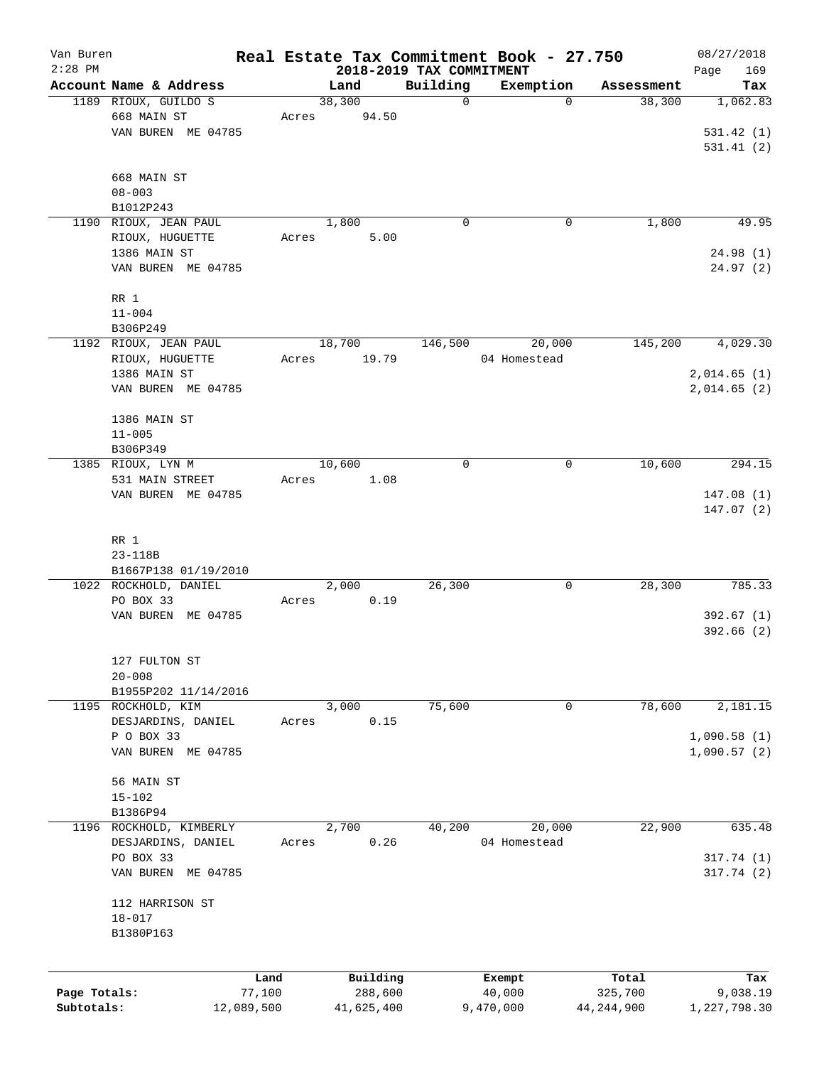| Van Buren    |                                    |            |                                  |             | Real Estate Tax Commitment Book - 27.750 |              | 08/27/2018         |
|--------------|------------------------------------|------------|----------------------------------|-------------|------------------------------------------|--------------|--------------------|
| $2:28$ PM    | Account Name & Address             |            | 2018-2019 TAX COMMITMENT<br>Land | Building    | Exemption                                | Assessment   | 169<br>Page<br>Tax |
|              | 1189 RIOUX, GUILDO S               |            | 38,300                           | $\mathbf 0$ | 0                                        | 38,300       | 1,062.83           |
|              | 668 MAIN ST                        | Acres      | 94.50                            |             |                                          |              |                    |
|              | VAN BUREN ME 04785                 |            |                                  |             |                                          |              | 531.42(1)          |
|              |                                    |            |                                  |             |                                          |              | 531.41(2)          |
|              |                                    |            |                                  |             |                                          |              |                    |
|              | 668 MAIN ST                        |            |                                  |             |                                          |              |                    |
|              | $08 - 003$                         |            |                                  |             |                                          |              |                    |
|              | B1012P243                          |            |                                  |             |                                          |              |                    |
|              | 1190 RIOUX, JEAN PAUL              |            | 1,800                            | $\mathbf 0$ | 0                                        | 1,800        | 49.95              |
|              | RIOUX, HUGUETTE                    | Acres      | 5.00                             |             |                                          |              |                    |
|              | 1386 MAIN ST                       |            |                                  |             |                                          |              | 24.98(1)           |
|              | VAN BUREN ME 04785                 |            |                                  |             |                                          |              | 24.97(2)           |
|              |                                    |            |                                  |             |                                          |              |                    |
|              | RR 1                               |            |                                  |             |                                          |              |                    |
|              | $11 - 004$                         |            |                                  |             |                                          |              |                    |
|              | B306P249                           |            |                                  |             |                                          |              |                    |
|              | 1192 RIOUX, JEAN PAUL              |            | 18,700                           | 146,500     | 20,000                                   | 145,200      | 4,029.30           |
|              | RIOUX, HUGUETTE                    | Acres      | 19.79                            |             | 04 Homestead                             |              |                    |
|              | 1386 MAIN ST                       |            |                                  |             |                                          |              | 2,014.65(1)        |
|              | VAN BUREN ME 04785                 |            |                                  |             |                                          |              | 2,014.65(2)        |
|              | 1386 MAIN ST                       |            |                                  |             |                                          |              |                    |
|              | $11 - 005$                         |            |                                  |             |                                          |              |                    |
|              | B306P349                           |            |                                  |             |                                          |              |                    |
|              | 1385 RIOUX, LYN M                  |            | 10,600                           | $\mathbf 0$ | 0                                        | 10,600       | 294.15             |
|              | 531 MAIN STREET                    | Acres      | 1.08                             |             |                                          |              |                    |
|              | VAN BUREN ME 04785                 |            |                                  |             |                                          |              | 147.08(1)          |
|              |                                    |            |                                  |             |                                          |              | 147.07(2)          |
|              |                                    |            |                                  |             |                                          |              |                    |
|              | RR 1                               |            |                                  |             |                                          |              |                    |
|              | $23 - 118B$                        |            |                                  |             |                                          |              |                    |
|              | B1667P138 01/19/2010               |            |                                  |             |                                          |              |                    |
|              | 1022 ROCKHOLD, DANIEL              |            | 2,000                            | 26,300      | 0                                        | 28,300       | 785.33             |
|              | PO BOX 33                          | Acres      | 0.19                             |             |                                          |              |                    |
|              | VAN BUREN ME 04785                 |            |                                  |             |                                          |              | 392.67(1)          |
|              |                                    |            |                                  |             |                                          |              | 392.66(2)          |
|              |                                    |            |                                  |             |                                          |              |                    |
|              | 127 FULTON ST                      |            |                                  |             |                                          |              |                    |
|              | $20 - 008$<br>B1955P202 11/14/2016 |            |                                  |             |                                          |              |                    |
|              | 1195 ROCKHOLD, KIM                 |            | 3,000                            | 75,600      | 0                                        | 78,600       | 2,181.15           |
|              | DESJARDINS, DANIEL                 | Acres      | 0.15                             |             |                                          |              |                    |
|              | P O BOX 33                         |            |                                  |             |                                          |              | 1,090.58(1)        |
|              | VAN BUREN ME 04785                 |            |                                  |             |                                          |              | 1,090.57(2)        |
|              |                                    |            |                                  |             |                                          |              |                    |
|              | 56 MAIN ST                         |            |                                  |             |                                          |              |                    |
|              | $15 - 102$                         |            |                                  |             |                                          |              |                    |
|              | B1386P94                           |            |                                  |             |                                          |              |                    |
| 1196         | ROCKHOLD, KIMBERLY                 |            | 2,700                            | 40,200      | 20,000                                   | 22,900       | 635.48             |
|              | DESJARDINS, DANIEL                 | Acres      | 0.26                             |             | 04 Homestead                             |              |                    |
|              | PO BOX 33                          |            |                                  |             |                                          |              | 317.74 (1)         |
|              | VAN BUREN ME 04785                 |            |                                  |             |                                          |              | 317.74(2)          |
|              |                                    |            |                                  |             |                                          |              |                    |
|              | 112 HARRISON ST                    |            |                                  |             |                                          |              |                    |
|              | $18 - 017$                         |            |                                  |             |                                          |              |                    |
|              | B1380P163                          |            |                                  |             |                                          |              |                    |
|              |                                    |            |                                  |             |                                          |              |                    |
|              |                                    | Land       | Building                         |             | Exempt                                   | Total        | Tax                |
| Page Totals: |                                    | 77,100     | 288,600                          |             | 40,000                                   | 325,700      | 9,038.19           |
| Subtotals:   |                                    | 12,089,500 | 41,625,400                       |             | 9,470,000                                | 44, 244, 900 | 1,227,798.30       |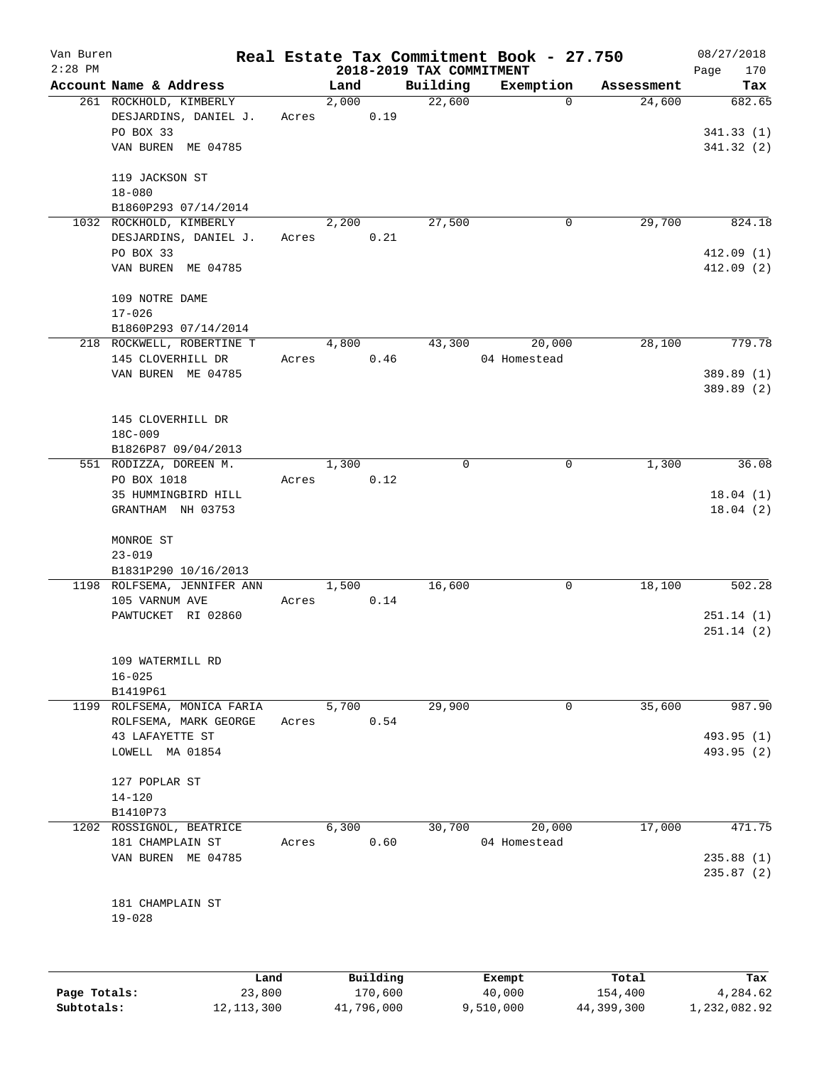| Van Buren<br>$2:28$ PM |                                         |       |       |          | 2018-2019 TAX COMMITMENT | Real Estate Tax Commitment Book - 27.750 |            | 08/27/2018         |
|------------------------|-----------------------------------------|-------|-------|----------|--------------------------|------------------------------------------|------------|--------------------|
|                        | Account Name & Address                  |       | Land  |          | Building                 | Exemption                                | Assessment | 170<br>Page<br>Tax |
|                        | 261 ROCKHOLD, KIMBERLY                  |       | 2,000 |          | 22,600                   | $\mathbf 0$                              | 24,600     | 682.65             |
|                        | DESJARDINS, DANIEL J.                   | Acres |       | 0.19     |                          |                                          |            |                    |
|                        | PO BOX 33                               |       |       |          |                          |                                          |            | 341.33(1)          |
|                        | VAN BUREN ME 04785                      |       |       |          |                          |                                          |            | 341.32(2)          |
|                        |                                         |       |       |          |                          |                                          |            |                    |
|                        | 119 JACKSON ST                          |       |       |          |                          |                                          |            |                    |
|                        | $18 - 080$                              |       |       |          |                          |                                          |            |                    |
|                        | B1860P293 07/14/2014                    |       |       |          |                          |                                          |            |                    |
|                        | 1032 ROCKHOLD, KIMBERLY                 |       | 2,200 |          | 27,500                   | 0                                        | 29,700     | 824.18             |
|                        | DESJARDINS, DANIEL J.                   | Acres |       | 0.21     |                          |                                          |            |                    |
|                        | PO BOX 33                               |       |       |          |                          |                                          |            | 412.09(1)          |
|                        | VAN BUREN ME 04785                      |       |       |          |                          |                                          |            | 412.09(2)          |
|                        |                                         |       |       |          |                          |                                          |            |                    |
|                        | 109 NOTRE DAME                          |       |       |          |                          |                                          |            |                    |
|                        | $17 - 026$<br>B1860P293 07/14/2014      |       |       |          |                          |                                          |            |                    |
|                        | 218 ROCKWELL, ROBERTINE T               |       | 4,800 |          | 43,300                   | 20,000                                   | 28,100     | 779.78             |
|                        | 145 CLOVERHILL DR                       | Acres |       | 0.46     |                          | 04 Homestead                             |            |                    |
|                        | VAN BUREN ME 04785                      |       |       |          |                          |                                          |            | 389.89 (1)         |
|                        |                                         |       |       |          |                          |                                          |            | 389.89 (2)         |
|                        |                                         |       |       |          |                          |                                          |            |                    |
|                        | 145 CLOVERHILL DR                       |       |       |          |                          |                                          |            |                    |
|                        | 18C-009                                 |       |       |          |                          |                                          |            |                    |
|                        | B1826P87 09/04/2013                     |       |       |          |                          |                                          |            |                    |
|                        | 551 RODIZZA, DOREEN M.                  |       | 1,300 |          | 0                        | 0                                        | 1,300      | 36.08              |
|                        | PO BOX 1018                             | Acres |       | 0.12     |                          |                                          |            |                    |
|                        | 35 HUMMINGBIRD HILL                     |       |       |          |                          |                                          |            | 18.04(1)           |
|                        | GRANTHAM NH 03753                       |       |       |          |                          |                                          |            | 18.04(2)           |
|                        | MONROE ST                               |       |       |          |                          |                                          |            |                    |
|                        | $23 - 019$                              |       |       |          |                          |                                          |            |                    |
|                        | B1831P290 10/16/2013                    |       |       |          |                          |                                          |            |                    |
|                        | 1198 ROLFSEMA, JENNIFER ANN             |       | 1,500 |          | 16,600                   | 0                                        | 18,100     | 502.28             |
|                        | 105 VARNUM AVE                          | Acres |       | 0.14     |                          |                                          |            |                    |
|                        | PAWTUCKET RI 02860                      |       |       |          |                          |                                          |            | 251.14(1)          |
|                        |                                         |       |       |          |                          |                                          |            | 251.14(2)          |
|                        |                                         |       |       |          |                          |                                          |            |                    |
|                        | 109 WATERMILL RD                        |       |       |          |                          |                                          |            |                    |
|                        | $16 - 025$                              |       |       |          |                          |                                          |            |                    |
|                        | B1419P61<br>1199 ROLFSEMA, MONICA FARIA |       |       |          | 29,900                   |                                          |            | 987.90             |
|                        | ROLFSEMA, MARK GEORGE                   | Acres | 5,700 | 0.54     |                          | 0                                        | 35,600     |                    |
|                        | 43 LAFAYETTE ST                         |       |       |          |                          |                                          |            | 493.95 (1)         |
|                        | LOWELL MA 01854                         |       |       |          |                          |                                          |            | 493.95 (2)         |
|                        |                                         |       |       |          |                          |                                          |            |                    |
|                        | 127 POPLAR ST                           |       |       |          |                          |                                          |            |                    |
|                        | $14 - 120$                              |       |       |          |                          |                                          |            |                    |
|                        | B1410P73                                |       |       |          |                          |                                          |            |                    |
|                        | 1202 ROSSIGNOL, BEATRICE                |       | 6,300 |          | 30,700                   | 20,000                                   | 17,000     | 471.75             |
|                        | 181 CHAMPLAIN ST                        | Acres |       | 0.60     |                          | 04 Homestead                             |            |                    |
|                        | VAN BUREN ME 04785                      |       |       |          |                          |                                          |            | 235.88(1)          |
|                        |                                         |       |       |          |                          |                                          |            | 235.87(2)          |
|                        | 181 CHAMPLAIN ST                        |       |       |          |                          |                                          |            |                    |
|                        | $19 - 028$                              |       |       |          |                          |                                          |            |                    |
|                        |                                         |       |       |          |                          |                                          |            |                    |
|                        |                                         |       |       |          |                          |                                          |            |                    |
|                        | Land                                    |       |       | Building |                          | Exempt                                   | Total      | Tax                |
|                        |                                         |       |       |          |                          |                                          |            |                    |

|              | Land         | Building   | Exempt    | Total      | Tax          |
|--------------|--------------|------------|-----------|------------|--------------|
| Page Totals: | 23,800       | 170,600    | 40,000    | 154,400    | 4,284.62     |
| Subtotals:   | 12, 113, 300 | 41,796,000 | 9,510,000 | 44,399,300 | 1,232,082.92 |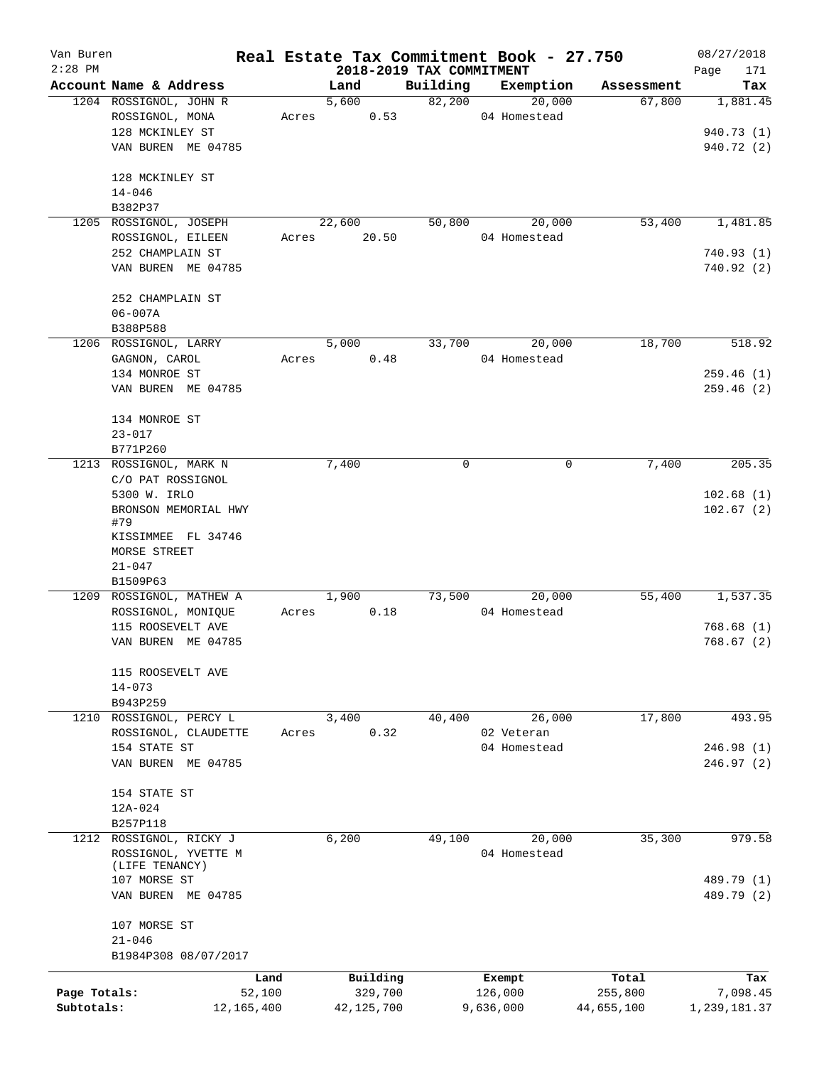| Van Buren    |                                    |       |                                  |          | Real Estate Tax Commitment Book - 27.750 |                  | 08/27/2018         |
|--------------|------------------------------------|-------|----------------------------------|----------|------------------------------------------|------------------|--------------------|
| $2:28$ PM    | Account Name & Address             |       | 2018-2019 TAX COMMITMENT<br>Land | Building | Exemption                                | Assessment       | Page<br>171<br>Tax |
|              | 1204 ROSSIGNOL, JOHN R             |       | 5,600                            | 82,200   | 20,000                                   | 67,800           | 1,881.45           |
|              | ROSSIGNOL, MONA                    | Acres | 0.53                             |          | 04 Homestead                             |                  |                    |
|              | 128 MCKINLEY ST                    |       |                                  |          |                                          |                  | 940.73 (1)         |
|              | VAN BUREN ME 04785                 |       |                                  |          |                                          |                  | 940.72 (2)         |
|              | 128 MCKINLEY ST                    |       |                                  |          |                                          |                  |                    |
|              | $14 - 046$                         |       |                                  |          |                                          |                  |                    |
|              | B382P37                            |       |                                  |          |                                          |                  |                    |
|              | 1205 ROSSIGNOL, JOSEPH             |       | 22,600                           | 50,800   | 20,000                                   | 53,400           | 1,481.85           |
|              | ROSSIGNOL, EILEEN                  |       |                                  |          |                                          |                  |                    |
|              | 252 CHAMPLAIN ST                   | Acres | 20.50                            |          | 04 Homestead                             |                  | 740.93(1)          |
|              | VAN BUREN ME 04785                 |       |                                  |          |                                          |                  | 740.92(2)          |
|              |                                    |       |                                  |          |                                          |                  |                    |
|              | 252 CHAMPLAIN ST                   |       |                                  |          |                                          |                  |                    |
|              | $06 - 007A$                        |       |                                  |          |                                          |                  |                    |
|              | B388P588                           |       |                                  |          |                                          |                  |                    |
|              | 1206 ROSSIGNOL, LARRY              |       | 5,000                            | 33,700   | 20,000                                   | 18,700           | 518.92             |
|              | GAGNON, CAROL                      | Acres | 0.48                             |          | 04 Homestead                             |                  |                    |
|              | 134 MONROE ST                      |       |                                  |          |                                          |                  | 259.46(1)          |
|              | VAN BUREN ME 04785                 |       |                                  |          |                                          |                  | 259.46(2)          |
|              | 134 MONROE ST                      |       |                                  |          |                                          |                  |                    |
|              |                                    |       |                                  |          |                                          |                  |                    |
|              | $23 - 017$                         |       |                                  |          |                                          |                  |                    |
|              | B771P260                           |       |                                  |          |                                          |                  |                    |
|              | 1213 ROSSIGNOL, MARK N             |       | 7,400                            | 0        | 0                                        | 7,400            | 205.35             |
|              | C/O PAT ROSSIGNOL                  |       |                                  |          |                                          |                  |                    |
|              | 5300 W. IRLO                       |       |                                  |          |                                          |                  | 102.68(1)          |
|              | BRONSON MEMORIAL HWY<br>#79        |       |                                  |          |                                          |                  | 102.67(2)          |
|              | KISSIMMEE FL 34746                 |       |                                  |          |                                          |                  |                    |
|              | MORSE STREET                       |       |                                  |          |                                          |                  |                    |
|              | $21 - 047$                         |       |                                  |          |                                          |                  |                    |
|              | B1509P63                           |       |                                  |          |                                          |                  |                    |
|              | 1209 ROSSIGNOL, MATHEW A           |       | 1,900                            | 73,500   | 20,000                                   | 55,400           | 1,537.35           |
|              | ROSSIGNOL, MONIQUE                 | Acres | 0.18                             |          | 04 Homestead                             |                  |                    |
|              | 115 ROOSEVELT AVE                  |       |                                  |          |                                          |                  | 768.68(1)          |
|              |                                    |       |                                  |          |                                          |                  |                    |
|              | VAN BUREN ME 04785                 |       |                                  |          |                                          |                  | 768.67(2)          |
|              | 115 ROOSEVELT AVE                  |       |                                  |          |                                          |                  |                    |
|              | $14 - 073$                         |       |                                  |          |                                          |                  |                    |
|              | B943P259                           |       |                                  |          |                                          |                  |                    |
|              | 1210 ROSSIGNOL, PERCY L            |       | 3,400                            | 40,400   | 26,000                                   | 17,800           | 493.95             |
|              | ROSSIGNOL, CLAUDETTE               | Acres | 0.32                             |          | 02 Veteran                               |                  |                    |
|              | 154 STATE ST                       |       |                                  |          | 04 Homestead                             |                  | 246.98(1)          |
|              | VAN BUREN ME 04785                 |       |                                  |          |                                          |                  | 246.97(2)          |
|              | 154 STATE ST                       |       |                                  |          |                                          |                  |                    |
|              | 12A-024                            |       |                                  |          |                                          |                  |                    |
|              | B257P118                           |       |                                  |          |                                          |                  |                    |
|              | 1212 ROSSIGNOL, RICKY J            |       | 6,200                            | 49,100   | 20,000                                   | 35,300           | 979.58             |
|              | ROSSIGNOL, YVETTE M                |       |                                  |          | 04 Homestead                             |                  |                    |
|              | (LIFE TENANCY)                     |       |                                  |          |                                          |                  |                    |
|              | 107 MORSE ST                       |       |                                  |          |                                          |                  | 489.79 (1)         |
|              | VAN BUREN ME 04785                 |       |                                  |          |                                          |                  | 489.79 (2)         |
|              |                                    |       |                                  |          |                                          |                  |                    |
|              | 107 MORSE ST                       |       |                                  |          |                                          |                  |                    |
|              | $21 - 046$<br>B1984P308 08/07/2017 |       |                                  |          |                                          |                  |                    |
|              |                                    |       |                                  |          |                                          |                  |                    |
| Page Totals: | 52,100                             | Land  | Building<br>329,700              |          | Exempt<br>126,000                        | Total<br>255,800 | Tax<br>7,098.45    |
| Subtotals:   | 12, 165, 400                       |       | 42, 125, 700                     |          | 9,636,000                                | 44,655,100       | 1,239,181.37       |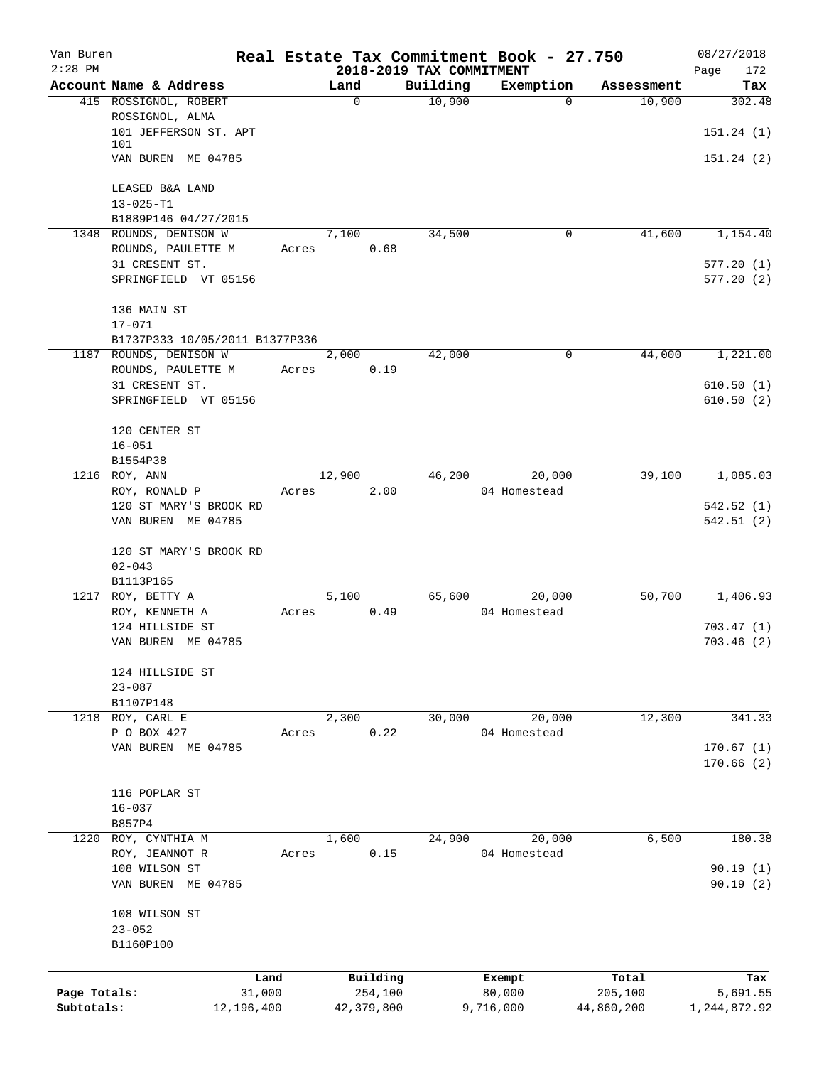| Van Buren    |                                |       |             |            |                          | Real Estate Tax Commitment Book - 27.750 |            | 08/27/2018   |
|--------------|--------------------------------|-------|-------------|------------|--------------------------|------------------------------------------|------------|--------------|
| $2:28$ PM    |                                |       |             |            | 2018-2019 TAX COMMITMENT |                                          |            | Page<br>172  |
|              | Account Name & Address         |       | Land        |            | Building                 | Exemption                                | Assessment | Tax          |
|              | 415 ROSSIGNOL, ROBERT          |       | $\mathbf 0$ |            | 10,900                   | $\Omega$                                 | 10,900     | 302.48       |
|              | ROSSIGNOL, ALMA                |       |             |            |                          |                                          |            |              |
|              | 101 JEFFERSON ST. APT<br>101   |       |             |            |                          |                                          |            | 151.24(1)    |
|              | VAN BUREN ME 04785             |       |             |            |                          |                                          |            | 151.24(2)    |
|              |                                |       |             |            |                          |                                          |            |              |
|              | LEASED B&A LAND                |       |             |            |                          |                                          |            |              |
|              | $13 - 025 - T1$                |       |             |            |                          |                                          |            |              |
|              | B1889P146 04/27/2015           |       |             |            |                          |                                          |            |              |
|              | 1348 ROUNDS, DENISON W         |       | 7,100       |            | 34,500                   | $\mathbf 0$                              | 41,600     | 1,154.40     |
|              | ROUNDS, PAULETTE M             | Acres |             | 0.68       |                          |                                          |            |              |
|              | 31 CRESENT ST.                 |       |             |            |                          |                                          |            | 577.20(1)    |
|              | SPRINGFIELD VT 05156           |       |             |            |                          |                                          |            | 577.20(2)    |
|              |                                |       |             |            |                          |                                          |            |              |
|              | 136 MAIN ST                    |       |             |            |                          |                                          |            |              |
|              | $17 - 071$                     |       |             |            |                          |                                          |            |              |
|              | B1737P333 10/05/2011 B1377P336 |       |             |            |                          |                                          |            |              |
|              | 1187 ROUNDS, DENISON W         |       | 2,000       |            | 42,000                   | 0                                        | 44,000     | 1,221.00     |
|              | ROUNDS, PAULETTE M             | Acres |             | 0.19       |                          |                                          |            |              |
|              | 31 CRESENT ST.                 |       |             |            |                          |                                          |            | 610.50(1)    |
|              | SPRINGFIELD VT 05156           |       |             |            |                          |                                          |            | 610.50(2)    |
|              |                                |       |             |            |                          |                                          |            |              |
|              | 120 CENTER ST                  |       |             |            |                          |                                          |            |              |
|              | $16 - 051$                     |       |             |            |                          |                                          |            |              |
|              | B1554P38                       |       |             |            |                          |                                          |            |              |
|              | 1216 ROY, ANN                  |       | 12,900      |            | 46,200                   | 20,000                                   | 39,100     | 1,085.03     |
|              | ROY, RONALD P                  | Acres |             | 2.00       |                          | 04 Homestead                             |            |              |
|              | 120 ST MARY'S BROOK RD         |       |             |            |                          |                                          |            | 542.52(1)    |
|              | VAN BUREN ME 04785             |       |             |            |                          |                                          |            | 542.51(2)    |
|              |                                |       |             |            |                          |                                          |            |              |
|              | 120 ST MARY'S BROOK RD         |       |             |            |                          |                                          |            |              |
|              | $02 - 043$                     |       |             |            |                          |                                          |            |              |
|              | B1113P165                      |       |             |            |                          |                                          |            |              |
|              | 1217 ROY, BETTY A              |       | 5,100       |            | 65,600                   | 20,000                                   | 50,700     | 1,406.93     |
|              | ROY, KENNETH A                 | Acres |             | 0.49       |                          | 04 Homestead                             |            |              |
|              | 124 HILLSIDE ST                |       |             |            |                          |                                          |            | 703.47(1)    |
|              | VAN BUREN ME 04785             |       |             |            |                          |                                          |            | 703.46(2)    |
|              |                                |       |             |            |                          |                                          |            |              |
|              | 124 HILLSIDE ST                |       |             |            |                          |                                          |            |              |
|              | $23 - 087$                     |       |             |            |                          |                                          |            |              |
|              | B1107P148                      |       |             |            |                          |                                          |            |              |
|              | 1218 ROY, CARL E               |       | 2,300       |            | 30,000                   | 20,000                                   | 12,300     | 341.33       |
|              | P O BOX 427                    | Acres |             | 0.22       |                          | 04 Homestead                             |            |              |
|              | VAN BUREN ME 04785             |       |             |            |                          |                                          |            | 170.67(1)    |
|              |                                |       |             |            |                          |                                          |            | 170.66(2)    |
|              |                                |       |             |            |                          |                                          |            |              |
|              | 116 POPLAR ST                  |       |             |            |                          |                                          |            |              |
|              | $16 - 037$                     |       |             |            |                          |                                          |            |              |
|              | B857P4                         |       |             |            |                          |                                          |            |              |
|              | 1220 ROY, CYNTHIA M            |       | 1,600       |            | 24,900                   | 20,000                                   | 6,500      | 180.38       |
|              | ROY, JEANNOT R                 | Acres |             | 0.15       |                          | 04 Homestead                             |            |              |
|              | 108 WILSON ST                  |       |             |            |                          |                                          |            | 90.19(1)     |
|              | VAN BUREN ME 04785             |       |             |            |                          |                                          |            | 90.19(2)     |
|              |                                |       |             |            |                          |                                          |            |              |
|              | 108 WILSON ST                  |       |             |            |                          |                                          |            |              |
|              | $23 - 052$                     |       |             |            |                          |                                          |            |              |
|              | B1160P100                      |       |             |            |                          |                                          |            |              |
|              |                                |       |             |            |                          |                                          |            |              |
|              | Land                           |       |             | Building   |                          | Exempt                                   | Total      | Tax          |
| Page Totals: | 31,000                         |       |             | 254,100    |                          | 80,000                                   | 205,100    | 5,691.55     |
| Subtotals:   | 12,196,400                     |       |             | 42,379,800 |                          | 9,716,000                                | 44,860,200 | 1,244,872.92 |
|              |                                |       |             |            |                          |                                          |            |              |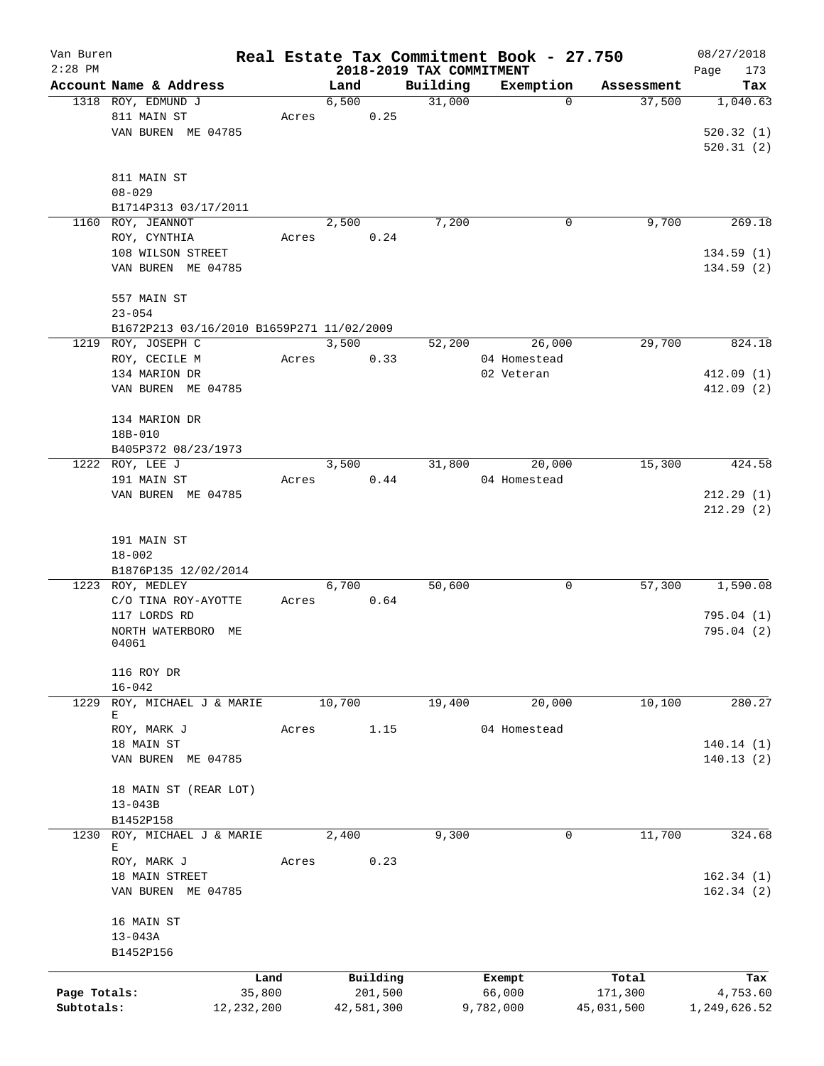| Van Buren    |                                          |                                           |        |            |                          | Real Estate Tax Commitment Book - 27.750 |            | 08/27/2018   |
|--------------|------------------------------------------|-------------------------------------------|--------|------------|--------------------------|------------------------------------------|------------|--------------|
| $2:28$ PM    |                                          |                                           |        |            | 2018-2019 TAX COMMITMENT |                                          |            | Page<br>173  |
|              | Account Name & Address                   |                                           | Land   |            | Building                 | Exemption                                | Assessment | Tax          |
|              | 1318 ROY, EDMUND J                       |                                           | 6,500  |            | 31,000                   | $\mathbf 0$                              | 37,500     | 1,040.63     |
|              | 811 MAIN ST                              | Acres                                     |        | 0.25       |                          |                                          |            |              |
|              | VAN BUREN ME 04785                       |                                           |        |            |                          |                                          |            | 520.32(1)    |
|              |                                          |                                           |        |            |                          |                                          |            | 520.31(2)    |
|              |                                          |                                           |        |            |                          |                                          |            |              |
|              | 811 MAIN ST                              |                                           |        |            |                          |                                          |            |              |
|              | $08 - 029$                               |                                           |        |            |                          |                                          |            |              |
|              | B1714P313 03/17/2011                     |                                           |        |            |                          |                                          |            |              |
|              | 1160 ROY, JEANNOT                        |                                           | 2,500  |            | 7,200                    | 0                                        | 9,700      | 269.18       |
|              | ROY, CYNTHIA                             | Acres                                     |        | 0.24       |                          |                                          |            |              |
|              | 108 WILSON STREET                        |                                           |        |            |                          |                                          |            | 134.59(1)    |
|              | VAN BUREN ME 04785                       |                                           |        |            |                          |                                          |            | 134.59(2)    |
|              |                                          |                                           |        |            |                          |                                          |            |              |
|              | 557 MAIN ST                              |                                           |        |            |                          |                                          |            |              |
|              | $23 - 054$                               |                                           |        |            |                          |                                          |            |              |
|              |                                          |                                           |        |            |                          |                                          |            |              |
|              |                                          | B1672P213 03/16/2010 B1659P271 11/02/2009 |        |            |                          |                                          |            |              |
|              | 1219 ROY, JOSEPH C                       |                                           | 3,500  |            | 52,200                   | 26,000                                   | 29,700     | 824.18       |
|              | ROY, CECILE M                            | Acres                                     |        | 0.33       |                          | 04 Homestead                             |            |              |
|              | 134 MARION DR                            |                                           |        |            |                          | 02 Veteran                               |            | 412.09(1)    |
|              | VAN BUREN ME 04785                       |                                           |        |            |                          |                                          |            | 412.09(2)    |
|              |                                          |                                           |        |            |                          |                                          |            |              |
|              | 134 MARION DR                            |                                           |        |            |                          |                                          |            |              |
|              | 18B-010                                  |                                           |        |            |                          |                                          |            |              |
|              | B405P372 08/23/1973                      |                                           |        |            |                          |                                          |            |              |
|              | 1222 ROY, LEE J                          |                                           | 3,500  |            | 31,800                   | 20,000                                   | 15,300     | 424.58       |
|              | 191 MAIN ST                              | Acres                                     |        | 0.44       |                          | 04 Homestead                             |            |              |
|              | VAN BUREN ME 04785                       |                                           |        |            |                          |                                          |            | 212.29(1)    |
|              |                                          |                                           |        |            |                          |                                          |            | 212.29(2)    |
|              |                                          |                                           |        |            |                          |                                          |            |              |
|              | 191 MAIN ST                              |                                           |        |            |                          |                                          |            |              |
|              | $18 - 002$                               |                                           |        |            |                          |                                          |            |              |
|              |                                          |                                           |        |            |                          |                                          |            |              |
|              | B1876P135 12/02/2014<br>1223 ROY, MEDLEY |                                           | 6,700  |            | 50,600                   | 0                                        | 57,300     | 1,590.08     |
|              |                                          |                                           |        | 0.64       |                          |                                          |            |              |
|              | C/O TINA ROY-AYOTTE                      | Acres                                     |        |            |                          |                                          |            |              |
|              | 117 LORDS RD                             |                                           |        |            |                          |                                          |            | 795.04(1)    |
|              | NORTH WATERBORO                          | MЕ                                        |        |            |                          |                                          |            | 795.04(2)    |
|              | 04061                                    |                                           |        |            |                          |                                          |            |              |
|              | 116 ROY DR                               |                                           |        |            |                          |                                          |            |              |
|              |                                          |                                           |        |            |                          |                                          |            |              |
|              | $16 - 042$                               |                                           |        |            |                          |                                          |            |              |
|              | 1229 ROY, MICHAEL J & MARIE<br>E         |                                           | 10,700 |            | 19,400                   | 20,000                                   | 10,100     | 280.27       |
|              | ROY, MARK J                              | Acres                                     |        | 1.15       |                          | 04 Homestead                             |            |              |
|              | 18 MAIN ST                               |                                           |        |            |                          |                                          |            | 140.14(1)    |
|              |                                          |                                           |        |            |                          |                                          |            |              |
|              | VAN BUREN ME 04785                       |                                           |        |            |                          |                                          |            | 140.13(2)    |
|              |                                          |                                           |        |            |                          |                                          |            |              |
|              | 18 MAIN ST (REAR LOT)                    |                                           |        |            |                          |                                          |            |              |
|              | $13 - 043B$                              |                                           |        |            |                          |                                          |            |              |
|              | B1452P158                                |                                           |        |            |                          |                                          |            |              |
| 1230         | ROY, MICHAEL J & MARIE                   |                                           | 2,400  |            | 9,300                    | 0                                        | 11,700     | 324.68       |
|              | Е                                        |                                           |        |            |                          |                                          |            |              |
|              | ROY, MARK J                              | Acres                                     |        | 0.23       |                          |                                          |            |              |
|              | 18 MAIN STREET                           |                                           |        |            |                          |                                          |            | 162.34(1)    |
|              | VAN BUREN ME 04785                       |                                           |        |            |                          |                                          |            | 162.34(2)    |
|              |                                          |                                           |        |            |                          |                                          |            |              |
|              | 16 MAIN ST                               |                                           |        |            |                          |                                          |            |              |
|              | $13 - 043A$                              |                                           |        |            |                          |                                          |            |              |
|              | B1452P156                                |                                           |        |            |                          |                                          |            |              |
|              |                                          |                                           |        |            |                          |                                          |            |              |
|              |                                          | Land                                      |        | Building   |                          | Exempt                                   | Total      | Tax          |
| Page Totals: |                                          | 35,800                                    |        | 201,500    |                          | 66,000                                   | 171,300    | 4,753.60     |
| Subtotals:   |                                          | 12, 232, 200                              |        | 42,581,300 |                          | 9,782,000                                | 45,031,500 | 1,249,626.52 |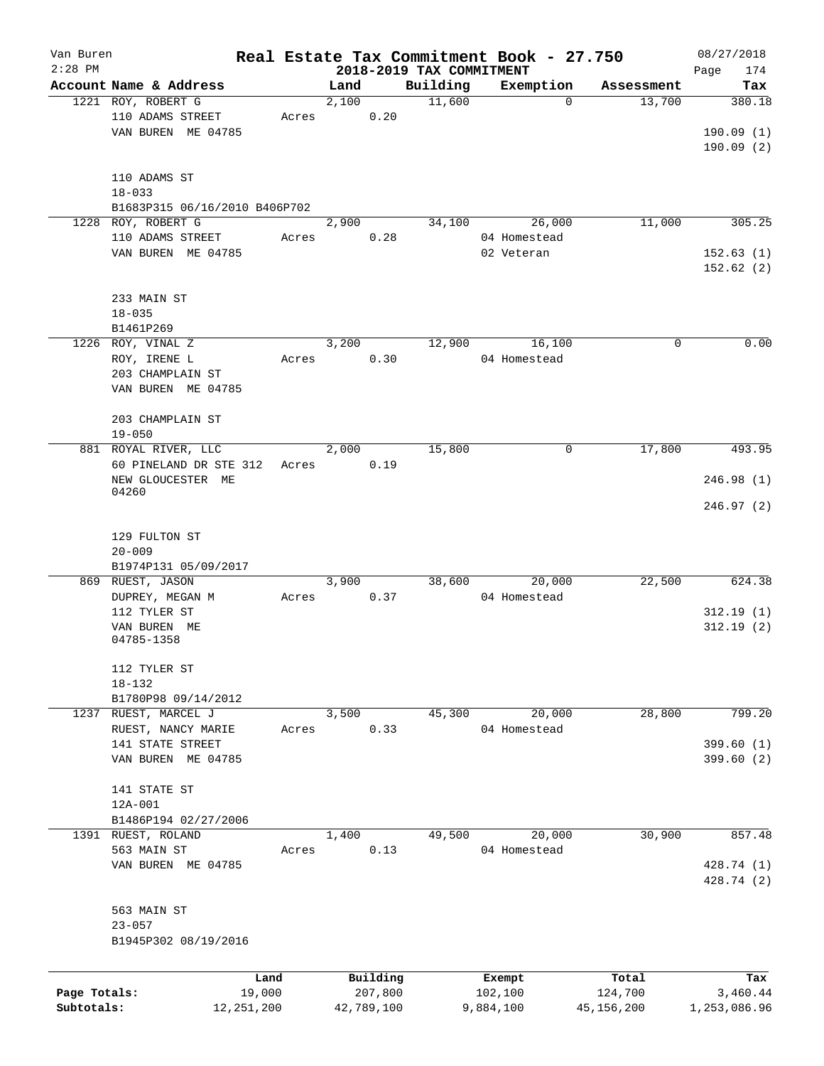| Van Buren    |                                        |       |       |            |                          | Real Estate Tax Commitment Book - 27.750 |              | 08/27/2018   |
|--------------|----------------------------------------|-------|-------|------------|--------------------------|------------------------------------------|--------------|--------------|
| $2:28$ PM    |                                        |       |       |            | 2018-2019 TAX COMMITMENT |                                          |              | 174<br>Page  |
|              | Account Name & Address                 |       | Land  |            | Building                 | Exemption                                | Assessment   | Tax          |
|              | 1221 ROY, ROBERT G                     |       | 2,100 |            | 11,600                   | $\Omega$                                 | 13,700       | 380.18       |
|              | 110 ADAMS STREET<br>VAN BUREN ME 04785 | Acres |       | 0.20       |                          |                                          |              | 190.09(1)    |
|              |                                        |       |       |            |                          |                                          |              | 190.09(2)    |
|              |                                        |       |       |            |                          |                                          |              |              |
|              | 110 ADAMS ST                           |       |       |            |                          |                                          |              |              |
|              | $18 - 033$                             |       |       |            |                          |                                          |              |              |
|              | B1683P315 06/16/2010 B406P702          |       |       |            |                          |                                          |              |              |
| 1228         | ROY, ROBERT G                          |       | 2,900 |            | 34,100                   | 26,000                                   | 11,000       | 305.25       |
|              | 110 ADAMS STREET                       | Acres |       | 0.28       |                          | 04 Homestead                             |              |              |
|              | VAN BUREN ME 04785                     |       |       |            |                          | 02 Veteran                               |              | 152.63(1)    |
|              |                                        |       |       |            |                          |                                          |              | 152.62(2)    |
|              |                                        |       |       |            |                          |                                          |              |              |
|              | 233 MAIN ST                            |       |       |            |                          |                                          |              |              |
|              | $18 - 035$                             |       |       |            |                          |                                          |              |              |
|              | B1461P269                              |       |       |            |                          |                                          |              |              |
|              | 1226 ROY, VINAL Z                      |       | 3,200 |            | 12,900                   | 16,100<br>04 Homestead                   | 0            | 0.00         |
|              | ROY, IRENE L<br>203 CHAMPLAIN ST       | Acres |       | 0.30       |                          |                                          |              |              |
|              | VAN BUREN ME 04785                     |       |       |            |                          |                                          |              |              |
|              |                                        |       |       |            |                          |                                          |              |              |
|              | 203 CHAMPLAIN ST                       |       |       |            |                          |                                          |              |              |
|              | $19 - 050$                             |       |       |            |                          |                                          |              |              |
|              | 881 ROYAL RIVER, LLC                   |       | 2,000 |            | 15,800                   | 0                                        | 17,800       | 493.95       |
|              | 60 PINELAND DR STE 312                 | Acres |       | 0.19       |                          |                                          |              |              |
|              | NEW GLOUCESTER ME                      |       |       |            |                          |                                          |              | 246.98 (1)   |
|              | 04260                                  |       |       |            |                          |                                          |              |              |
|              |                                        |       |       |            |                          |                                          |              | 246.97 (2)   |
|              | 129 FULTON ST                          |       |       |            |                          |                                          |              |              |
|              | $20 - 009$                             |       |       |            |                          |                                          |              |              |
|              | B1974P131 05/09/2017                   |       |       |            |                          |                                          |              |              |
|              | 869 RUEST, JASON                       |       | 3,900 |            | 38,600                   | 20,000                                   | 22,500       | 624.38       |
|              | DUPREY, MEGAN M                        | Acres |       | 0.37       |                          | 04 Homestead                             |              |              |
|              | 112 TYLER ST                           |       |       |            |                          |                                          |              | 312.19(1)    |
|              | VAN BUREN ME                           |       |       |            |                          |                                          |              | 312.19(2)    |
|              | 04785-1358                             |       |       |            |                          |                                          |              |              |
|              |                                        |       |       |            |                          |                                          |              |              |
|              | 112 TYLER ST                           |       |       |            |                          |                                          |              |              |
|              | $18 - 132$<br>B1780P98 09/14/2012      |       |       |            |                          |                                          |              |              |
|              | 1237 RUEST, MARCEL J                   |       | 3,500 |            | 45,300                   | 20,000                                   | 28,800       | 799.20       |
|              | RUEST, NANCY MARIE                     | Acres |       | 0.33       |                          | 04 Homestead                             |              |              |
|              | 141 STATE STREET                       |       |       |            |                          |                                          |              | 399.60(1)    |
|              | VAN BUREN ME 04785                     |       |       |            |                          |                                          |              | 399.60(2)    |
|              |                                        |       |       |            |                          |                                          |              |              |
|              | 141 STATE ST                           |       |       |            |                          |                                          |              |              |
|              | 12A-001                                |       |       |            |                          |                                          |              |              |
|              | B1486P194 02/27/2006                   |       |       |            |                          |                                          |              |              |
|              | 1391 RUEST, ROLAND                     |       | 1,400 |            | 49,500                   | 20,000                                   | 30,900       | 857.48       |
|              | 563 MAIN ST                            | Acres |       | 0.13       |                          | 04 Homestead                             |              |              |
|              | VAN BUREN ME 04785                     |       |       |            |                          |                                          |              | 428.74 (1)   |
|              |                                        |       |       |            |                          |                                          |              | 428.74 (2)   |
|              | 563 MAIN ST                            |       |       |            |                          |                                          |              |              |
|              | $23 - 057$                             |       |       |            |                          |                                          |              |              |
|              | B1945P302 08/19/2016                   |       |       |            |                          |                                          |              |              |
|              |                                        |       |       |            |                          |                                          |              |              |
|              |                                        | Land  |       | Building   |                          | Exempt                                   | Total        | Tax          |
| Page Totals: | 19,000                                 |       |       | 207,800    |                          | 102,100                                  | 124,700      | 3,460.44     |
| Subtotals:   | 12, 251, 200                           |       |       | 42,789,100 |                          | 9,884,100                                | 45, 156, 200 | 1,253,086.96 |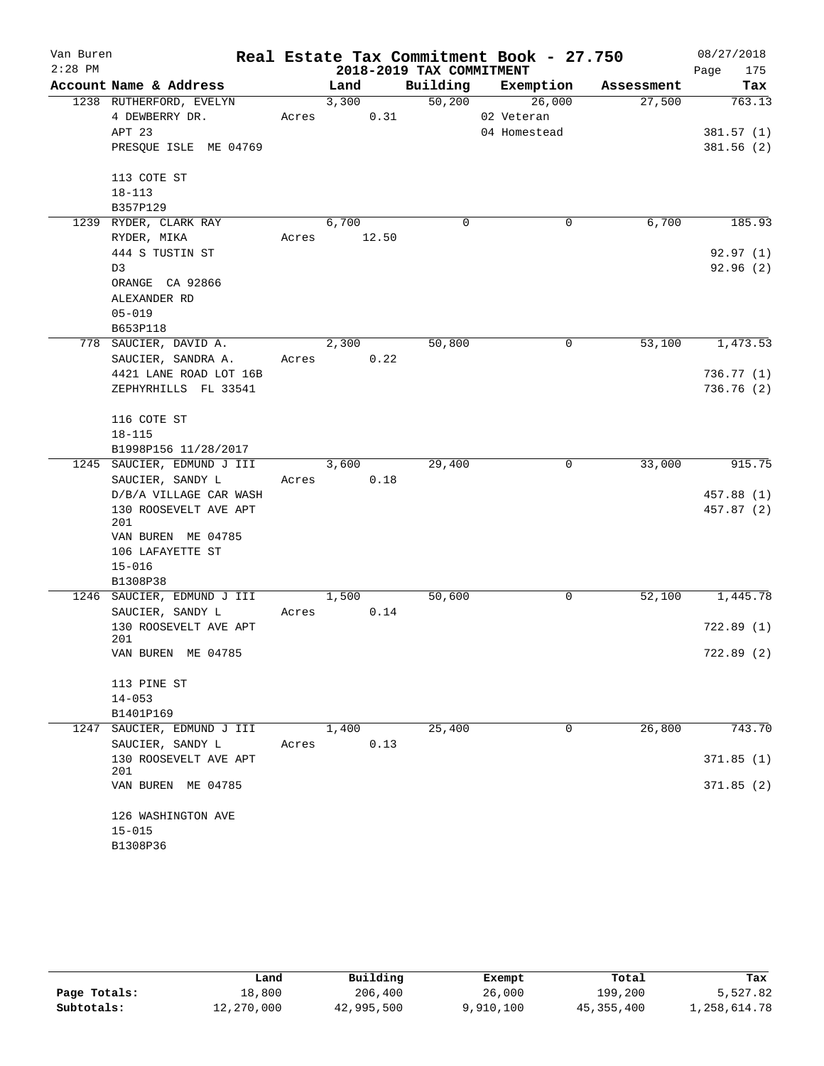| Van Buren |                                                 |       |                          |          | Real Estate Tax Commitment Book - 27.750 |            | 08/27/2018      |  |  |  |
|-----------|-------------------------------------------------|-------|--------------------------|----------|------------------------------------------|------------|-----------------|--|--|--|
| $2:28$ PM |                                                 |       | 2018-2019 TAX COMMITMENT |          | 175<br>Page                              |            |                 |  |  |  |
|           | Account Name & Address                          |       | Land                     |          | Building Exemption                       | Assessment | Tax             |  |  |  |
|           | 1238 RUTHERFORD, EVELYN                         |       | 3,300                    |          | 50,200 26,000                            | 27,500     | 763.13          |  |  |  |
|           | 4 DEWBERRY DR.                                  |       | 0.31<br>Acres            |          | 02 Veteran                               |            |                 |  |  |  |
|           | APT 23                                          |       |                          |          | 04 Homestead                             |            | 381.57(1)       |  |  |  |
|           | PRESQUE ISLE ME 04769                           |       |                          |          |                                          |            | 381.56(2)       |  |  |  |
|           | 113 COTE ST                                     |       |                          |          |                                          |            |                 |  |  |  |
|           | $18 - 113$                                      |       |                          |          |                                          |            |                 |  |  |  |
|           | B357P129                                        |       |                          |          |                                          |            |                 |  |  |  |
|           | 1239 RYDER, CLARK RAY                           |       | 6,700                    | $\Omega$ | 0                                        | 6,700      | 185.93          |  |  |  |
|           | RYDER, MIKA                                     |       | Acres 12.50              |          |                                          |            |                 |  |  |  |
|           | 444 S TUSTIN ST                                 |       |                          |          |                                          |            | 92.97(1)        |  |  |  |
|           | D3                                              |       |                          |          |                                          |            | 92.96(2)        |  |  |  |
|           | ORANGE CA 92866                                 |       |                          |          |                                          |            |                 |  |  |  |
|           | ALEXANDER RD                                    |       |                          |          |                                          |            |                 |  |  |  |
|           | $05 - 019$                                      |       |                          |          |                                          |            |                 |  |  |  |
|           | B653P118                                        |       |                          |          |                                          |            |                 |  |  |  |
|           | 778 SAUCIER, DAVID A.                           |       | 2,300                    | 50,800   | 0                                        | 53,100     | 1,473.53        |  |  |  |
|           | SAUCIER, SANDRA A.                              |       | 0.22<br>Acres            |          |                                          |            |                 |  |  |  |
|           | 4421 LANE ROAD LOT 16B                          |       |                          |          |                                          |            | 736.77 (1)      |  |  |  |
|           | ZEPHYRHILLS FL 33541                            |       |                          |          |                                          |            | 736.76 (2)      |  |  |  |
|           |                                                 |       |                          |          |                                          |            |                 |  |  |  |
|           | 116 COTE ST                                     |       |                          |          |                                          |            |                 |  |  |  |
|           | $18 - 115$                                      |       |                          |          |                                          |            |                 |  |  |  |
|           | B1998P156 11/28/2017                            |       |                          |          |                                          |            |                 |  |  |  |
|           | 1245 SAUCIER, EDMUND J III                      |       | 3,600                    | 29,400   | 0                                        | 33,000     | 915.75          |  |  |  |
|           | SAUCIER, SANDY L                                |       | 0.18<br>Acres            |          |                                          |            |                 |  |  |  |
|           | D/B/A VILLAGE CAR WASH<br>130 ROOSEVELT AVE APT |       |                          |          |                                          |            | 457.88 (1)      |  |  |  |
|           | 201                                             |       |                          |          |                                          |            | 457.87 (2)      |  |  |  |
|           | VAN BUREN ME 04785                              |       |                          |          |                                          |            |                 |  |  |  |
|           | 106 LAFAYETTE ST                                |       |                          |          |                                          |            |                 |  |  |  |
|           | $15 - 016$                                      |       |                          |          |                                          |            |                 |  |  |  |
|           | B1308P38                                        |       |                          |          |                                          |            |                 |  |  |  |
|           | 1246 SAUCIER, EDMUND J III                      |       | 1,500                    | 50,600   | 0                                        |            | 52,100 1,445.78 |  |  |  |
|           | SAUCIER, SANDY L                                |       | Acres 0.14               |          |                                          |            |                 |  |  |  |
|           | 130 ROOSEVELT AVE APT                           |       |                          |          |                                          |            | 722.89 (1)      |  |  |  |
|           | 201<br>VAN BUREN ME 04785                       |       |                          |          |                                          |            | 722.89 (2)      |  |  |  |
|           |                                                 |       |                          |          |                                          |            |                 |  |  |  |
|           | 113 PINE ST                                     |       |                          |          |                                          |            |                 |  |  |  |
|           | $14 - 053$                                      |       |                          |          |                                          |            |                 |  |  |  |
|           | B1401P169                                       |       |                          |          |                                          |            |                 |  |  |  |
| 1247      | SAUCIER, EDMUND J III                           |       | 1,400                    | 25,400   | $\Omega$                                 | 26,800     | 743.70          |  |  |  |
|           | SAUCIER, SANDY L                                | Acres | 0.13                     |          |                                          |            |                 |  |  |  |
|           | 130 ROOSEVELT AVE APT                           |       |                          |          |                                          |            | 371.85(1)       |  |  |  |
|           | 201                                             |       |                          |          |                                          |            |                 |  |  |  |
|           | VAN BUREN ME 04785                              |       |                          |          |                                          |            | 371.85(2)       |  |  |  |
|           |                                                 |       |                          |          |                                          |            |                 |  |  |  |
|           | 126 WASHINGTON AVE                              |       |                          |          |                                          |            |                 |  |  |  |
|           | $15 - 015$<br>B1308P36                          |       |                          |          |                                          |            |                 |  |  |  |
|           |                                                 |       |                          |          |                                          |            |                 |  |  |  |

|              | Land       | Building   | Exempt    | Total        | Tax          |
|--------------|------------|------------|-----------|--------------|--------------|
| Page Totals: | 18,800     | 206,400    | 26,000    | 199,200      | 5,527.82     |
| Subtotals:   | 12,270,000 | 42,995,500 | 9,910,100 | 45, 355, 400 | 1,258,614.78 |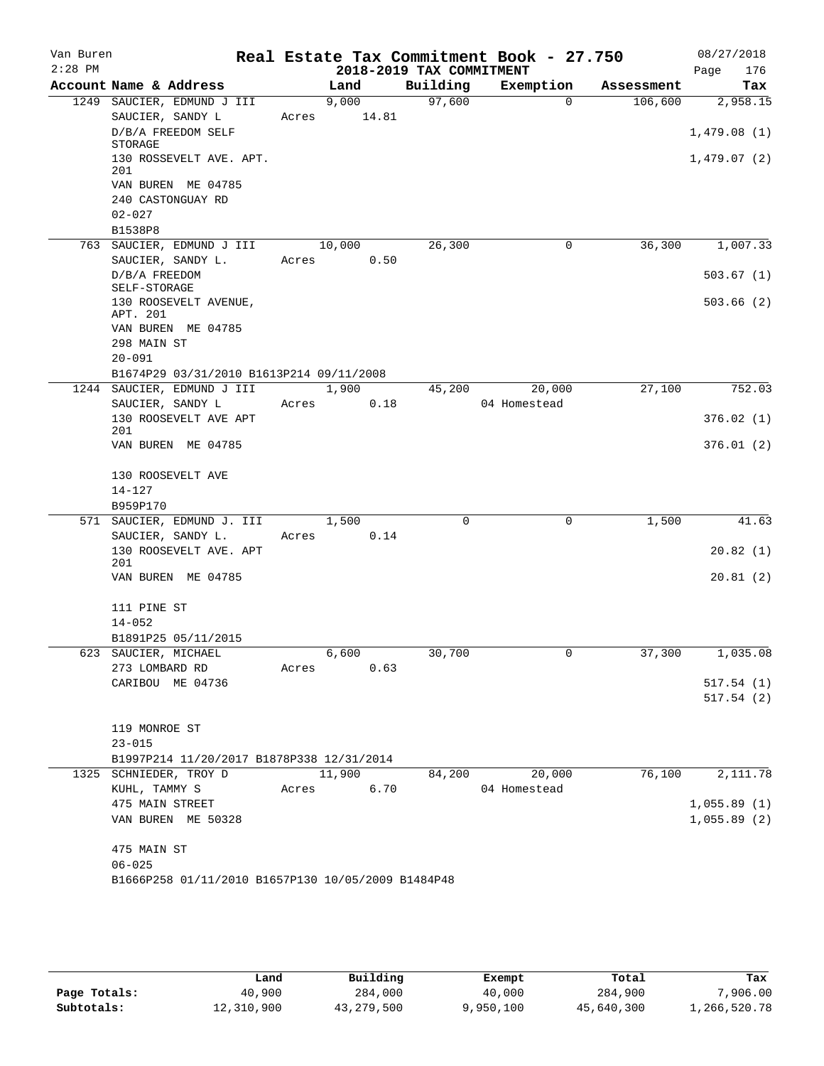| Van Buren<br>$2:28$ PM |                                                    |       |             | 2018-2019 TAX COMMITMENT | Real Estate Tax Commitment Book - 27.750 |            | 08/27/2018<br>Page<br>176 |
|------------------------|----------------------------------------------------|-------|-------------|--------------------------|------------------------------------------|------------|---------------------------|
|                        | Account Name & Address                             |       | Land        | Building                 | Exemption                                | Assessment | Tax                       |
|                        | 1249 SAUCIER, EDMUND J III                         |       | 9,000       | 97,600                   | $\Omega$                                 | 106,600    | 2,958.15                  |
|                        | SAUCIER, SANDY L                                   |       | Acres 14.81 |                          |                                          |            |                           |
|                        | D/B/A FREEDOM SELF<br>STORAGE                      |       |             |                          |                                          |            | 1,479.08(1)               |
|                        | 130 ROSSEVELT AVE. APT.<br>201                     |       |             |                          |                                          |            | 1,479.07(2)               |
|                        | VAN BUREN ME 04785                                 |       |             |                          |                                          |            |                           |
|                        | 240 CASTONGUAY RD                                  |       |             |                          |                                          |            |                           |
|                        | $02 - 027$                                         |       |             |                          |                                          |            |                           |
|                        | B1538P8                                            |       |             |                          |                                          |            |                           |
|                        | 763 SAUCIER, EDMUND J III                          |       | 10,000      | 26,300                   | 0                                        | 36,300     | 1,007.33                  |
|                        | SAUCIER, SANDY L.                                  | Acres | 0.50        |                          |                                          |            |                           |
|                        | D/B/A FREEDOM<br>SELF-STORAGE                      |       |             |                          |                                          |            | 503.67(1)                 |
|                        | 130 ROOSEVELT AVENUE,                              |       |             |                          |                                          |            | 503.66(2)                 |
|                        | APT. 201                                           |       |             |                          |                                          |            |                           |
|                        | VAN BUREN ME 04785                                 |       |             |                          |                                          |            |                           |
|                        | 298 MAIN ST                                        |       |             |                          |                                          |            |                           |
|                        | $20 - 091$                                         |       |             |                          |                                          |            |                           |
|                        | B1674P29 03/31/2010 B1613P214 09/11/2008           |       |             |                          |                                          |            |                           |
|                        | 1244 SAUCIER, EDMUND J III                         |       | 1,900       | 45,200                   | 20,000                                   | 27,100     | 752.03                    |
|                        | SAUCIER, SANDY L<br>130 ROOSEVELT AVE APT          | Acres | 0.18        |                          | 04 Homestead                             |            |                           |
|                        | 201                                                |       |             |                          |                                          |            | 376.02(1)                 |
|                        | VAN BUREN ME 04785                                 |       |             |                          |                                          |            | 376.01(2)                 |
|                        | 130 ROOSEVELT AVE                                  |       |             |                          |                                          |            |                           |
|                        | $14 - 127$                                         |       |             |                          |                                          |            |                           |
|                        | B959P170                                           |       |             |                          |                                          |            |                           |
|                        | 571 SAUCIER, EDMUND J. III                         |       | 1,500       | $\Omega$                 | $\mathbf 0$                              | 1,500      | 41.63                     |
|                        | SAUCIER, SANDY L.                                  | Acres | 0.14        |                          |                                          |            |                           |
|                        | 130 ROOSEVELT AVE. APT                             |       |             |                          |                                          |            | 20.82(1)                  |
|                        | 201                                                |       |             |                          |                                          |            |                           |
|                        | VAN BUREN ME 04785                                 |       |             |                          |                                          |            | 20.81(2)                  |
|                        | 111 PINE ST                                        |       |             |                          |                                          |            |                           |
|                        | $14 - 052$                                         |       |             |                          |                                          |            |                           |
|                        | B1891P25 05/11/2015                                |       |             |                          |                                          |            |                           |
|                        | 623 SAUCIER, MICHAEL                               |       | 6,600       | 30,700                   | $\cup$                                   | 37,300     | 1,035.08                  |
|                        | 273 LOMBARD RD                                     | Acres | 0.63        |                          |                                          |            |                           |
|                        | CARIBOU ME 04736                                   |       |             |                          |                                          |            | 517.54(1)                 |
|                        |                                                    |       |             |                          |                                          |            | 517.54(2)                 |
|                        | 119 MONROE ST                                      |       |             |                          |                                          |            |                           |
|                        | $23 - 015$                                         |       |             |                          |                                          |            |                           |
|                        | B1997P214 11/20/2017 B1878P338 12/31/2014          |       |             |                          |                                          |            |                           |
|                        | 1325 SCHNIEDER, TROY D                             |       | 11,900      | 84,200                   | 20,000                                   | 76,100     | 2,111.78                  |
|                        | KUHL, TAMMY S                                      | Acres | 6.70        |                          | 04 Homestead                             |            |                           |
|                        | 475 MAIN STREET                                    |       |             |                          |                                          |            | 1,055.89(1)               |
|                        | VAN BUREN ME 50328                                 |       |             |                          |                                          |            | 1,055.89(2)               |
|                        | 475 MAIN ST                                        |       |             |                          |                                          |            |                           |
|                        | $06 - 025$                                         |       |             |                          |                                          |            |                           |
|                        | B1666P258 01/11/2010 B1657P130 10/05/2009 B1484P48 |       |             |                          |                                          |            |                           |

|              | Land       | Building   | Exempt    | Total      | Tax          |
|--------------|------------|------------|-----------|------------|--------------|
| Page Totals: | 40,900     | 284,000    | 40,000    | 284,900    | 7,906.00     |
| Subtotals:   | 12,310,900 | 43,279,500 | 9,950,100 | 45,640,300 | 1,266,520.78 |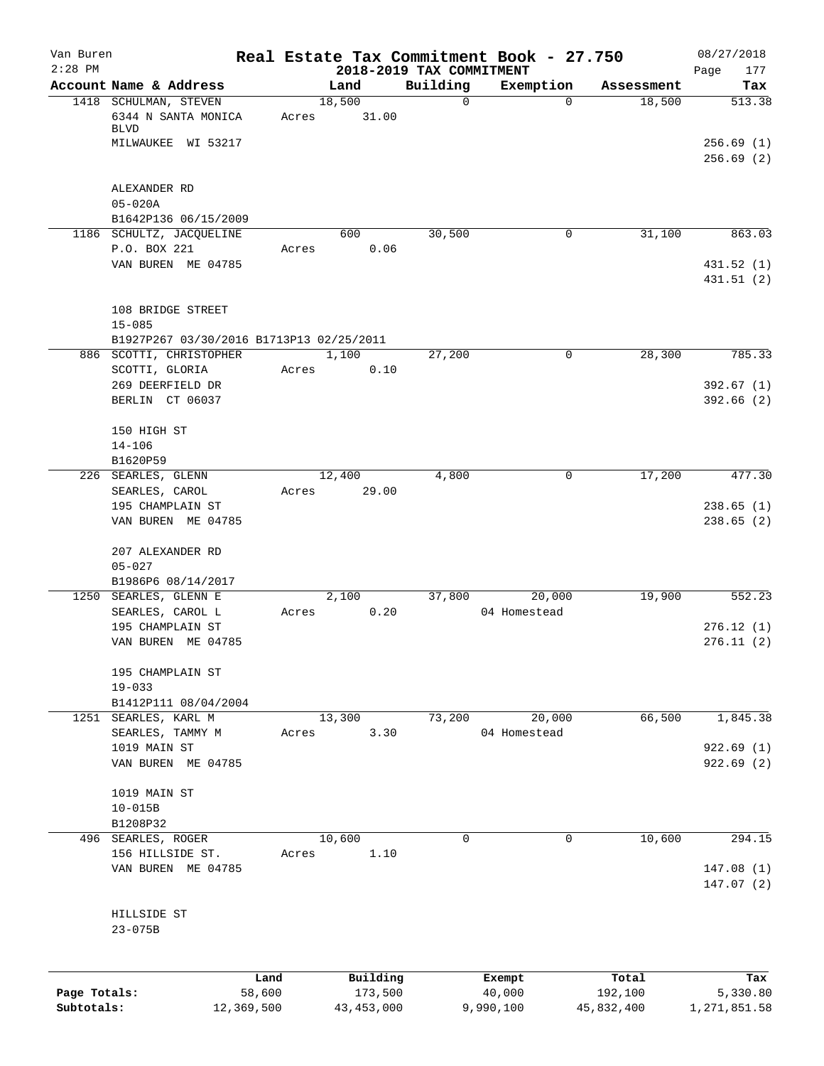| Van Buren<br>$2:28$ PM |                                                        |                |                     |                                      | Real Estate Tax Commitment Book - 27.750 |                  | 08/27/2018               |
|------------------------|--------------------------------------------------------|----------------|---------------------|--------------------------------------|------------------------------------------|------------------|--------------------------|
|                        | Account Name & Address                                 |                | Land                | 2018-2019 TAX COMMITMENT<br>Building | Exemption                                | Assessment       | Page<br>177<br>Tax       |
|                        | 1418 SCHULMAN, STEVEN                                  |                | 18,500              | $\mathbf 0$                          | $\Omega$                                 | 18,500           | 513.38                   |
|                        | 6344 N SANTA MONICA<br><b>BLVD</b>                     | Acres          | 31.00               |                                      |                                          |                  |                          |
|                        | MILWAUKEE WI 53217                                     |                |                     |                                      |                                          |                  | 256.69(1)<br>256.69(2)   |
|                        | ALEXANDER RD                                           |                |                     |                                      |                                          |                  |                          |
|                        | $05 - 020A$                                            |                |                     |                                      |                                          |                  |                          |
|                        | B1642P136 06/15/2009                                   |                |                     | 30,500                               | 0                                        | 31,100           | 863.03                   |
|                        | 1186 SCHULTZ, JACQUELINE<br>P.O. BOX 221               | Acres          | 600<br>0.06         |                                      |                                          |                  |                          |
|                        | VAN BUREN ME 04785                                     |                |                     |                                      |                                          |                  | 431.52 (1)<br>431.51 (2) |
|                        | 108 BRIDGE STREET                                      |                |                     |                                      |                                          |                  |                          |
|                        | $15 - 085$<br>B1927P267 03/30/2016 B1713P13 02/25/2011 |                |                     |                                      |                                          |                  |                          |
|                        | 886 SCOTTI, CHRISTOPHER                                |                | 1,100               | 27,200                               | 0                                        | 28,300           | 785.33                   |
|                        | SCOTTI, GLORIA                                         | Acres          | 0.10                |                                      |                                          |                  |                          |
|                        | 269 DEERFIELD DR<br>BERLIN CT 06037                    |                |                     |                                      |                                          |                  | 392.67(1)<br>392.66(2)   |
|                        | 150 HIGH ST                                            |                |                     |                                      |                                          |                  |                          |
|                        | $14 - 106$<br>B1620P59                                 |                |                     |                                      |                                          |                  |                          |
|                        | 226 SEARLES, GLENN                                     |                | 12,400              | 4,800                                | 0                                        | 17,200           | 477.30                   |
|                        | SEARLES, CAROL                                         | Acres          | 29.00               |                                      |                                          |                  |                          |
|                        | 195 CHAMPLAIN ST<br>VAN BUREN ME 04785                 |                |                     |                                      |                                          |                  | 238.65(1)<br>238.65(2)   |
|                        | 207 ALEXANDER RD<br>$05 - 027$                         |                |                     |                                      |                                          |                  |                          |
|                        | B1986P6 08/14/2017                                     |                |                     |                                      |                                          |                  |                          |
|                        | 1250 SEARLES, GLENN E                                  |                | 2,100               | 37,800                               | 20,000                                   | 19,900           | 552.23                   |
|                        | SEARLES, CAROL L                                       | Acres          | 0.20                |                                      | 04 Homestead                             |                  |                          |
|                        | 195 CHAMPLAIN ST<br>VAN BUREN ME 04785                 |                |                     |                                      |                                          |                  | 276.12(1)<br>276.11(2)   |
|                        | 195 CHAMPLAIN ST<br>$19 - 033$                         |                |                     |                                      |                                          |                  |                          |
|                        | B1412P111 08/04/2004                                   |                |                     |                                      |                                          |                  |                          |
|                        | 1251 SEARLES, KARL M                                   |                | 13,300              | 73,200                               | 20,000                                   | 66,500           | 1,845.38                 |
|                        | SEARLES, TAMMY M                                       | Acres          | 3.30                |                                      | 04 Homestead                             |                  |                          |
|                        | 1019 MAIN ST<br>VAN BUREN ME 04785                     |                |                     |                                      |                                          |                  | 922.69(1)<br>922.69(2)   |
|                        | 1019 MAIN ST                                           |                |                     |                                      |                                          |                  |                          |
|                        | $10 - 015B$<br>B1208P32                                |                |                     |                                      |                                          |                  |                          |
|                        | 496 SEARLES, ROGER                                     |                | 10,600              | $\Omega$                             | 0                                        | 10,600           | 294.15                   |
|                        | 156 HILLSIDE ST.                                       | Acres          | 1.10                |                                      |                                          |                  |                          |
|                        | VAN BUREN ME 04785                                     |                |                     |                                      |                                          |                  | 147.08(1)<br>147.07(2)   |
|                        | HILLSIDE ST<br>$23 - 075B$                             |                |                     |                                      |                                          |                  |                          |
|                        |                                                        |                |                     |                                      |                                          |                  |                          |
| Page Totals:           |                                                        | Land<br>58,600 | Building<br>173,500 |                                      | Exempt<br>40,000                         | Total<br>192,100 | Tax<br>5,330.80          |
| Subtotals:             |                                                        | 12,369,500     | 43, 453, 000        |                                      | 9,990,100                                | 45,832,400       | 1,271,851.58             |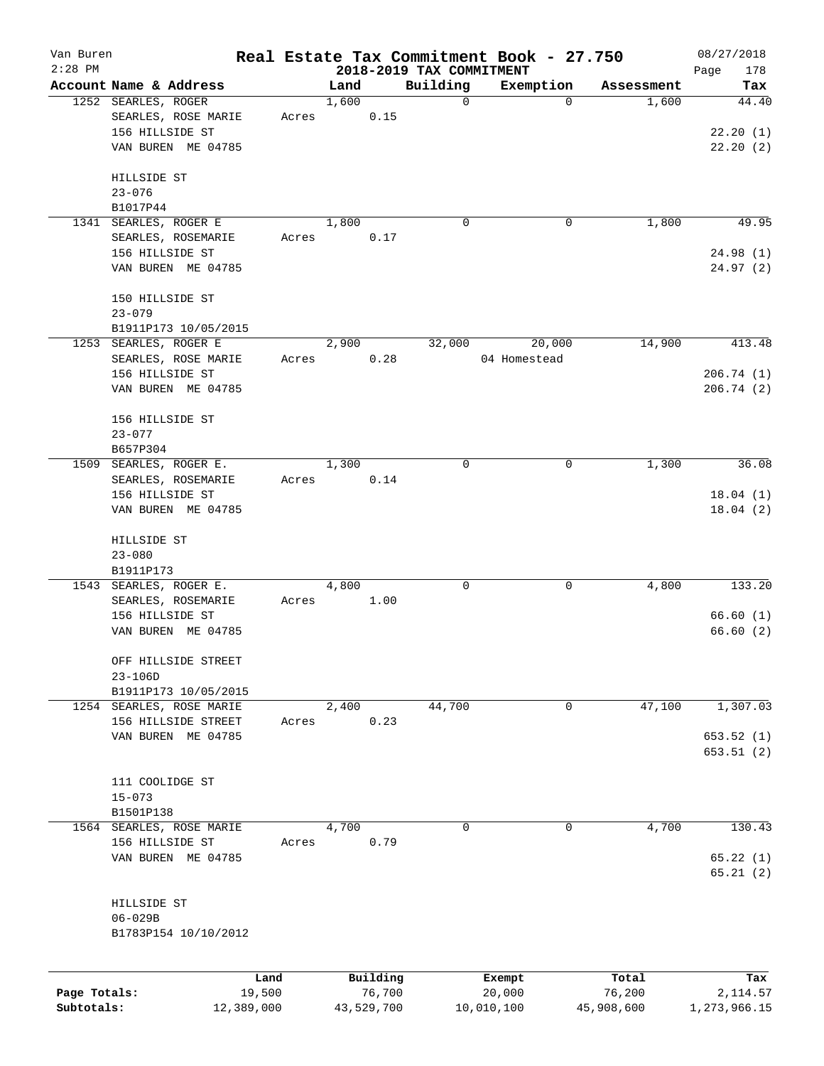| Van Buren<br>$2:28$ PM |                                               |                          |       |               |            |                          | Real Estate Tax Commitment Book - 27.750 |                     | 08/27/2018   |
|------------------------|-----------------------------------------------|--------------------------|-------|---------------|------------|--------------------------|------------------------------------------|---------------------|--------------|
|                        |                                               |                          |       |               |            | 2018-2019 TAX COMMITMENT |                                          |                     | Page<br>178  |
|                        | Account Name & Address<br>1252 SEARLES, ROGER |                          |       | Land<br>1,600 |            | Building<br>0            | Exemption<br>0                           | Assessment<br>1,600 | Tax<br>44.40 |
|                        |                                               |                          |       |               |            |                          |                                          |                     |              |
|                        | 156 HILLSIDE ST                               | SEARLES, ROSE MARIE      | Acres |               | 0.15       |                          |                                          |                     |              |
|                        |                                               |                          |       |               |            |                          |                                          |                     | 22.20(1)     |
|                        |                                               | VAN BUREN ME 04785       |       |               |            |                          |                                          |                     | 22.20(2)     |
|                        | HILLSIDE ST                                   |                          |       |               |            |                          |                                          |                     |              |
|                        | $23 - 076$                                    |                          |       |               |            |                          |                                          |                     |              |
|                        | B1017P44                                      |                          |       |               |            |                          |                                          |                     |              |
|                        | 1341 SEARLES, ROGER E                         |                          |       | 1,800         |            | 0                        | 0                                        | 1,800               | 49.95        |
|                        |                                               | SEARLES, ROSEMARIE       |       |               |            |                          |                                          |                     |              |
|                        |                                               |                          | Acres |               | 0.17       |                          |                                          |                     |              |
|                        | 156 HILLSIDE ST                               |                          |       |               |            |                          |                                          |                     | 24.98(1)     |
|                        |                                               | VAN BUREN ME 04785       |       |               |            |                          |                                          |                     | 24.97(2)     |
|                        | 150 HILLSIDE ST                               |                          |       |               |            |                          |                                          |                     |              |
|                        | $23 - 079$                                    |                          |       |               |            |                          |                                          |                     |              |
|                        |                                               |                          |       |               |            |                          |                                          |                     |              |
|                        | 1253 SEARLES, ROGER E                         | B1911P173 10/05/2015     |       | 2,900         |            | 32,000                   |                                          | 14,900              | 413.48       |
|                        |                                               |                          |       |               |            |                          | 20,000                                   |                     |              |
|                        |                                               | SEARLES, ROSE MARIE      | Acres |               | 0.28       |                          | 04 Homestead                             |                     |              |
|                        | 156 HILLSIDE ST                               |                          |       |               |            |                          |                                          |                     | 206.74(1)    |
|                        |                                               | VAN BUREN ME 04785       |       |               |            |                          |                                          |                     | 206.74(2)    |
|                        |                                               |                          |       |               |            |                          |                                          |                     |              |
|                        | 156 HILLSIDE ST                               |                          |       |               |            |                          |                                          |                     |              |
|                        | $23 - 077$                                    |                          |       |               |            |                          |                                          |                     |              |
|                        | B657P304                                      |                          |       |               |            |                          |                                          |                     |              |
| 1509                   | SEARLES, ROGER E.                             |                          |       | 1,300         |            | 0                        | 0                                        | 1,300               | 36.08        |
|                        |                                               | SEARLES, ROSEMARIE       | Acres |               | 0.14       |                          |                                          |                     |              |
|                        | 156 HILLSIDE ST                               |                          |       |               |            |                          |                                          |                     | 18.04(1)     |
|                        |                                               | VAN BUREN ME 04785       |       |               |            |                          |                                          |                     | 18.04(2)     |
|                        | HILLSIDE ST                                   |                          |       |               |            |                          |                                          |                     |              |
|                        | $23 - 080$                                    |                          |       |               |            |                          |                                          |                     |              |
|                        | B1911P173                                     |                          |       |               |            |                          |                                          |                     |              |
|                        | 1543 SEARLES, ROGER E.                        |                          |       | 4,800         |            | 0                        | 0                                        | 4,800               | 133.20       |
|                        |                                               |                          |       |               |            |                          |                                          |                     |              |
|                        | 156 HILLSIDE ST                               | SEARLES, ROSEMARIE       | Acres |               | 1.00       |                          |                                          |                     | 66.60(1)     |
|                        |                                               |                          |       |               |            |                          |                                          |                     |              |
|                        |                                               | VAN BUREN ME 04785       |       |               |            |                          |                                          |                     | 66.60(2)     |
|                        |                                               | OFF HILLSIDE STREET      |       |               |            |                          |                                          |                     |              |
|                        | $23 - 106D$                                   |                          |       |               |            |                          |                                          |                     |              |
|                        |                                               | B1911P173 10/05/2015     |       |               |            |                          |                                          |                     |              |
|                        |                                               | 1254 SEARLES, ROSE MARIE |       | 2,400         |            | 44,700                   | 0                                        | 47,100              | 1,307.03     |
|                        |                                               | 156 HILLSIDE STREET      | Acres |               | 0.23       |                          |                                          |                     |              |
|                        |                                               | VAN BUREN ME 04785       |       |               |            |                          |                                          |                     | 653.52(1)    |
|                        |                                               |                          |       |               |            |                          |                                          |                     | 653.51 (2)   |
|                        |                                               |                          |       |               |            |                          |                                          |                     |              |
|                        | 111 COOLIDGE ST                               |                          |       |               |            |                          |                                          |                     |              |
|                        | $15 - 073$                                    |                          |       |               |            |                          |                                          |                     |              |
|                        |                                               |                          |       |               |            |                          |                                          |                     |              |
|                        | B1501P138                                     |                          |       |               |            |                          |                                          |                     |              |
|                        |                                               | 1564 SEARLES, ROSE MARIE |       | 4,700         |            | 0                        | 0                                        | 4,700               | 130.43       |
|                        | 156 HILLSIDE ST                               |                          | Acres |               | 0.79       |                          |                                          |                     |              |
|                        |                                               | VAN BUREN ME 04785       |       |               |            |                          |                                          |                     | 65.22(1)     |
|                        |                                               |                          |       |               |            |                          |                                          |                     | 65.21(2)     |
|                        |                                               |                          |       |               |            |                          |                                          |                     |              |
|                        | HILLSIDE ST                                   |                          |       |               |            |                          |                                          |                     |              |
|                        | $06 - 029B$                                   |                          |       |               |            |                          |                                          |                     |              |
|                        |                                               | B1783P154 10/10/2012     |       |               |            |                          |                                          |                     |              |
|                        |                                               |                          |       |               |            |                          |                                          |                     |              |
|                        |                                               | Land                     |       |               | Building   |                          | Exempt                                   | Total               | Tax          |
| Page Totals:           |                                               | 19,500                   |       |               | 76,700     |                          | 20,000                                   | 76,200              | 2, 114.57    |
| Subtotals:             |                                               | 12,389,000               |       |               | 43,529,700 |                          | 10,010,100                               | 45,908,600          | 1,273,966.15 |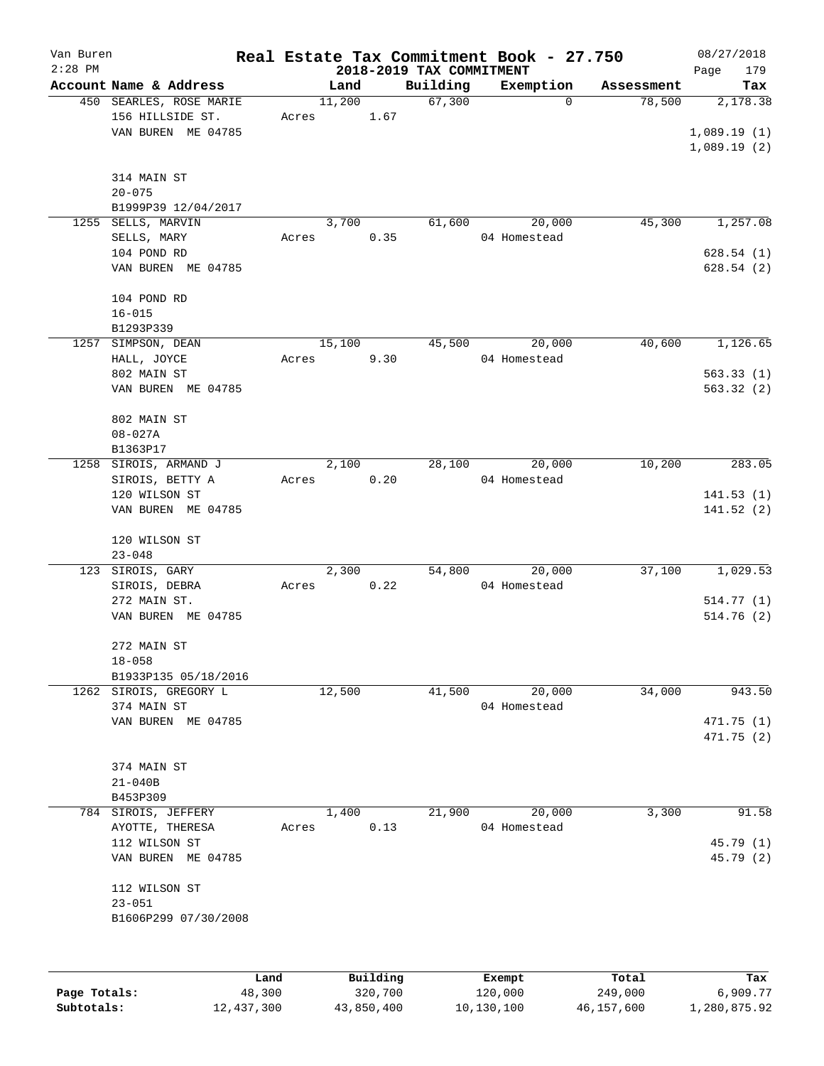| Van Buren    |                                                |        |        |          |                          | Real Estate Tax Commitment Book - 27.750 |            | 08/27/2018  |
|--------------|------------------------------------------------|--------|--------|----------|--------------------------|------------------------------------------|------------|-------------|
| $2:28$ PM    |                                                |        |        |          | 2018-2019 TAX COMMITMENT |                                          |            | Page<br>179 |
|              | Account Name & Address                         |        | Land   |          | Building                 | Exemption                                | Assessment | Tax         |
|              | 450 SEARLES, ROSE MARIE                        |        | 11,200 |          | 67,300                   | 0                                        | 78,500     | 2,178.38    |
|              | 156 HILLSIDE ST.                               | Acres  |        | 1.67     |                          |                                          |            |             |
|              | VAN BUREN ME 04785                             |        |        |          |                          |                                          |            | 1,089.19(1) |
|              |                                                |        |        |          |                          |                                          |            | 1,089.19(2) |
|              |                                                |        |        |          |                          |                                          |            |             |
|              | 314 MAIN ST                                    |        |        |          |                          |                                          |            |             |
|              | $20 - 075$                                     |        |        |          |                          |                                          |            |             |
|              | B1999P39 12/04/2017                            |        |        |          |                          |                                          |            |             |
| 1255         | SELLS, MARVIN                                  |        | 3,700  |          | 61,600                   | 20,000                                   | 45,300     | 1,257.08    |
|              | SELLS, MARY                                    | Acres  |        | 0.35     |                          | 04 Homestead                             |            |             |
|              | 104 POND RD                                    |        |        |          |                          |                                          |            | 628.54(1)   |
|              | VAN BUREN ME 04785                             |        |        |          |                          |                                          |            | 628.54(2)   |
|              |                                                |        |        |          |                          |                                          |            |             |
|              | 104 POND RD                                    |        |        |          |                          |                                          |            |             |
|              | $16 - 015$                                     |        |        |          |                          |                                          |            |             |
|              | B1293P339                                      |        |        |          |                          |                                          |            |             |
|              | 1257 SIMPSON, DEAN                             |        | 15,100 |          | 45,500                   | 20,000                                   | 40,600     | 1,126.65    |
|              | HALL, JOYCE                                    | Acres  |        | 9.30     |                          | 04 Homestead                             |            |             |
|              | 802 MAIN ST                                    |        |        |          |                          |                                          |            | 563.33(1)   |
|              | VAN BUREN ME 04785                             |        |        |          |                          |                                          |            | 563.32(2)   |
|              |                                                |        |        |          |                          |                                          |            |             |
|              | 802 MAIN ST                                    |        |        |          |                          |                                          |            |             |
|              | $08 - 027A$                                    |        |        |          |                          |                                          |            |             |
|              | B1363P17                                       |        |        |          |                          |                                          |            |             |
| 1258         | SIROIS, ARMAND J                               |        | 2,100  |          | 28,100                   | 20,000                                   | 10,200     | 283.05      |
|              | SIROIS, BETTY A                                | Acres  |        | 0.20     |                          | 04 Homestead                             |            |             |
|              | 120 WILSON ST                                  |        |        |          |                          |                                          |            | 141.53(1)   |
|              | VAN BUREN ME 04785                             |        |        |          |                          |                                          |            | 141.52(2)   |
|              |                                                |        |        |          |                          |                                          |            |             |
|              | 120 WILSON ST                                  |        |        |          |                          |                                          |            |             |
|              | $23 - 048$                                     |        |        |          |                          |                                          |            |             |
| 123          | SIROIS, GARY                                   |        | 2,300  |          | 54,800                   | 20,000                                   | 37,100     | 1,029.53    |
|              | SIROIS, DEBRA                                  | Acres  |        | 0.22     |                          | 04 Homestead                             |            |             |
|              | 272 MAIN ST.                                   |        |        |          |                          |                                          |            | 514.77(1)   |
|              | VAN BUREN ME 04785                             |        |        |          |                          |                                          |            | 514.76(2)   |
|              |                                                |        |        |          |                          |                                          |            |             |
|              | 272 MAIN ST<br>$18 - 058$                      |        |        |          |                          |                                          |            |             |
|              |                                                |        |        |          |                          |                                          |            |             |
|              | B1933P135 05/18/2016<br>1262 SIROIS, GREGORY L |        | 12,500 |          | 41,500                   | 20,000                                   | 34,000     | 943.50      |
|              | 374 MAIN ST                                    |        |        |          |                          | 04 Homestead                             |            |             |
|              | VAN BUREN ME 04785                             |        |        |          |                          |                                          |            |             |
|              |                                                |        |        |          |                          |                                          |            | 471.75 (1)  |
|              |                                                |        |        |          |                          |                                          |            | 471.75 (2)  |
|              | 374 MAIN ST                                    |        |        |          |                          |                                          |            |             |
|              |                                                |        |        |          |                          |                                          |            |             |
|              | $21 - 040B$                                    |        |        |          |                          |                                          |            |             |
|              | B453P309                                       |        |        |          |                          |                                          |            |             |
| 784          | SIROIS, JEFFERY                                |        | 1,400  |          | 21,900                   | 20,000                                   | 3,300      | 91.58       |
|              | AYOTTE, THERESA                                | Acres  |        | 0.13     |                          | 04 Homestead                             |            |             |
|              | 112 WILSON ST                                  |        |        |          |                          |                                          |            | 45.79 (1)   |
|              | VAN BUREN ME 04785                             |        |        |          |                          |                                          |            | 45.79 (2)   |
|              | 112 WILSON ST                                  |        |        |          |                          |                                          |            |             |
|              |                                                |        |        |          |                          |                                          |            |             |
|              | $23 - 051$                                     |        |        |          |                          |                                          |            |             |
|              | B1606P299 07/30/2008                           |        |        |          |                          |                                          |            |             |
|              |                                                |        |        |          |                          |                                          |            |             |
|              |                                                |        |        |          |                          |                                          |            |             |
|              |                                                | Land   |        | Building |                          | Exempt                                   | Total      | Tax         |
| Page Totals: |                                                | 48,300 |        | 320,700  |                          | 120,000                                  | 249,000    | 6,909.77    |

**Subtotals:** 12,437,300 43,850,400 10,130,100 46,157,600 1,280,875.92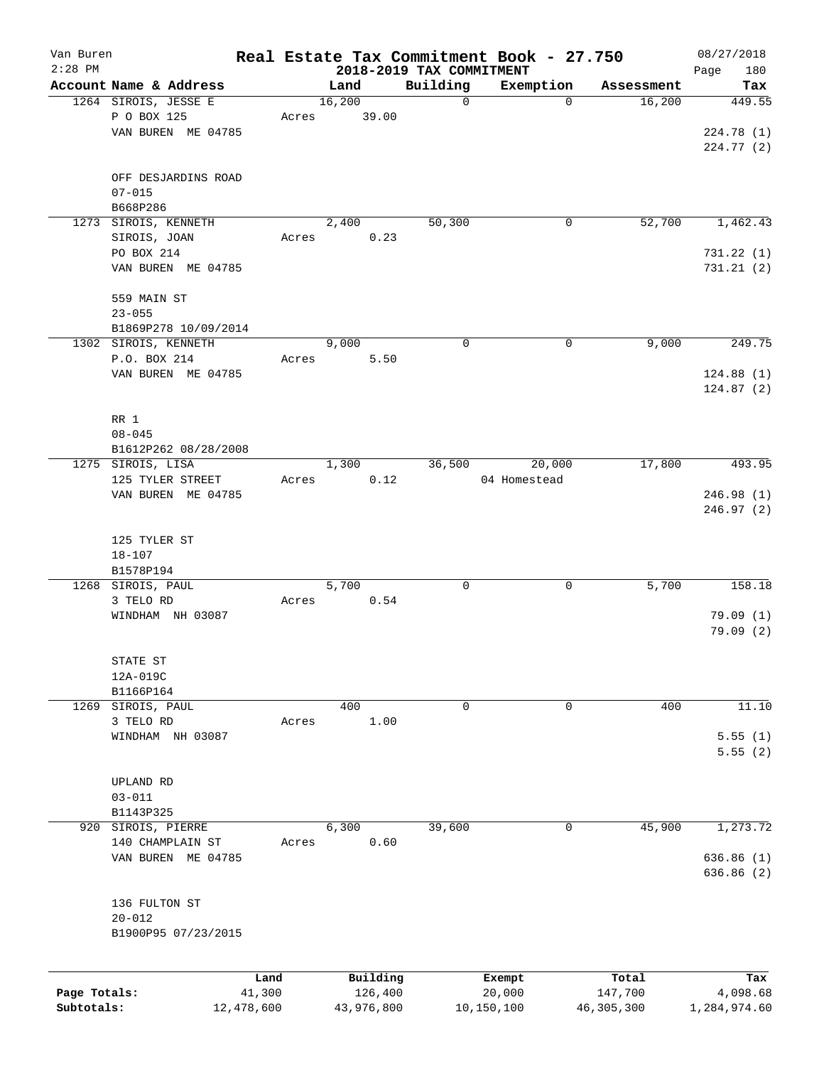| Van Buren                  |                        |                      |       |        |                       |                          | Real Estate Tax Commitment Book - 27.750 |                         | 08/27/2018               |
|----------------------------|------------------------|----------------------|-------|--------|-----------------------|--------------------------|------------------------------------------|-------------------------|--------------------------|
| $2:28$ PM                  |                        |                      |       |        |                       | 2018-2019 TAX COMMITMENT |                                          |                         | 180<br>Page              |
|                            | Account Name & Address |                      |       | Land   |                       | Building                 | Exemption                                | Assessment              | Tax                      |
|                            | 1264 SIROIS, JESSE E   |                      |       | 16,200 |                       | 0                        | $\mathbf 0$                              | 16,200                  | 449.55                   |
|                            | P O BOX 125            |                      | Acres |        | 39.00                 |                          |                                          |                         |                          |
|                            | VAN BUREN ME 04785     |                      |       |        |                       |                          |                                          |                         | 224.78 (1)               |
|                            |                        |                      |       |        |                       |                          |                                          |                         | 224.77 (2)               |
|                            | OFF DESJARDINS ROAD    |                      |       |        |                       |                          |                                          |                         |                          |
|                            | $07 - 015$             |                      |       |        |                       |                          |                                          |                         |                          |
|                            | B668P286               |                      |       |        |                       |                          |                                          |                         |                          |
|                            | 1273 SIROIS, KENNETH   |                      |       | 2,400  |                       | 50,300                   | 0                                        | 52,700                  | 1,462.43                 |
|                            | SIROIS, JOAN           |                      | Acres |        | 0.23                  |                          |                                          |                         |                          |
|                            | PO BOX 214             |                      |       |        |                       |                          |                                          |                         | 731.22(1)                |
|                            | VAN BUREN ME 04785     |                      |       |        |                       |                          |                                          |                         | 731.21(2)                |
|                            |                        |                      |       |        |                       |                          |                                          |                         |                          |
|                            | 559 MAIN ST            |                      |       |        |                       |                          |                                          |                         |                          |
|                            | $23 - 055$             |                      |       |        |                       |                          |                                          |                         |                          |
|                            | B1869P278 10/09/2014   |                      |       |        |                       |                          |                                          |                         |                          |
|                            | 1302 SIROIS, KENNETH   |                      |       | 9,000  |                       | $\mathbf 0$              | $\mathbf 0$                              | 9,000                   | 249.75                   |
|                            | P.O. BOX 214           |                      | Acres |        | 5.50                  |                          |                                          |                         |                          |
|                            | VAN BUREN ME 04785     |                      |       |        |                       |                          |                                          |                         | 124.88(1)                |
|                            |                        |                      |       |        |                       |                          |                                          |                         | 124.87(2)                |
|                            |                        |                      |       |        |                       |                          |                                          |                         |                          |
|                            | RR 1                   |                      |       |        |                       |                          |                                          |                         |                          |
|                            | $08 - 045$             |                      |       |        |                       |                          |                                          |                         |                          |
|                            | B1612P262 08/28/2008   |                      |       |        |                       |                          |                                          |                         |                          |
|                            | 1275 SIROIS, LISA      |                      |       | 1,300  |                       | 36,500                   | 20,000                                   | 17,800                  | 493.95                   |
|                            | 125 TYLER STREET       |                      | Acres |        | 0.12                  |                          | 04 Homestead                             |                         |                          |
|                            | VAN BUREN ME 04785     |                      |       |        |                       |                          |                                          |                         | 246.98(1)                |
|                            |                        |                      |       |        |                       |                          |                                          |                         | 246.97(2)                |
|                            |                        |                      |       |        |                       |                          |                                          |                         |                          |
|                            | 125 TYLER ST           |                      |       |        |                       |                          |                                          |                         |                          |
|                            | $18 - 107$             |                      |       |        |                       |                          |                                          |                         |                          |
|                            | B1578P194              |                      |       |        |                       |                          |                                          |                         |                          |
|                            | 1268 SIROIS, PAUL      |                      |       | 5,700  |                       | 0                        | 0                                        | 5,700                   | 158.18                   |
|                            | 3 TELO RD              |                      | Acres |        | 0.54                  |                          |                                          |                         |                          |
|                            | WINDHAM NH 03087       |                      |       |        |                       |                          |                                          |                         | 79.09(1)                 |
|                            |                        |                      |       |        |                       |                          |                                          |                         | 79.09(2)                 |
|                            |                        |                      |       |        |                       |                          |                                          |                         |                          |
|                            | STATE ST               |                      |       |        |                       |                          |                                          |                         |                          |
|                            | 12A-019C               |                      |       |        |                       |                          |                                          |                         |                          |
|                            | B1166P164              |                      |       |        |                       |                          |                                          |                         |                          |
| 1269                       | SIROIS, PAUL           |                      |       | 400    |                       | 0                        | 0                                        | 400                     | 11.10                    |
|                            | 3 TELO RD              |                      | Acres |        | 1.00                  |                          |                                          |                         |                          |
|                            | WINDHAM NH 03087       |                      |       |        |                       |                          |                                          |                         | 5.55(1)                  |
|                            |                        |                      |       |        |                       |                          |                                          |                         | 5.55(2)                  |
|                            | UPLAND RD              |                      |       |        |                       |                          |                                          |                         |                          |
|                            | $03 - 011$             |                      |       |        |                       |                          |                                          |                         |                          |
|                            | B1143P325              |                      |       |        |                       |                          |                                          |                         |                          |
| 920                        | SIROIS, PIERRE         |                      |       | 6,300  |                       | 39,600                   | 0                                        | 45,900                  | 1,273.72                 |
|                            | 140 CHAMPLAIN ST       |                      | Acres |        | 0.60                  |                          |                                          |                         |                          |
|                            | VAN BUREN ME 04785     |                      |       |        |                       |                          |                                          |                         | 636.86(1)                |
|                            |                        |                      |       |        |                       |                          |                                          |                         | 636.86 (2)               |
|                            |                        |                      |       |        |                       |                          |                                          |                         |                          |
|                            | 136 FULTON ST          |                      |       |        |                       |                          |                                          |                         |                          |
|                            | $20 - 012$             |                      |       |        |                       |                          |                                          |                         |                          |
|                            | B1900P95 07/23/2015    |                      |       |        |                       |                          |                                          |                         |                          |
|                            |                        |                      |       |        |                       |                          |                                          |                         |                          |
|                            |                        |                      |       |        |                       |                          |                                          |                         |                          |
|                            |                        | Land                 |       |        | Building              |                          | Exempt                                   | Total                   | Tax                      |
| Page Totals:<br>Subtotals: |                        | 41,300<br>12,478,600 |       |        | 126,400<br>43,976,800 |                          | 20,000<br>10,150,100                     | 147,700<br>46, 305, 300 | 4,098.68<br>1,284,974.60 |
|                            |                        |                      |       |        |                       |                          |                                          |                         |                          |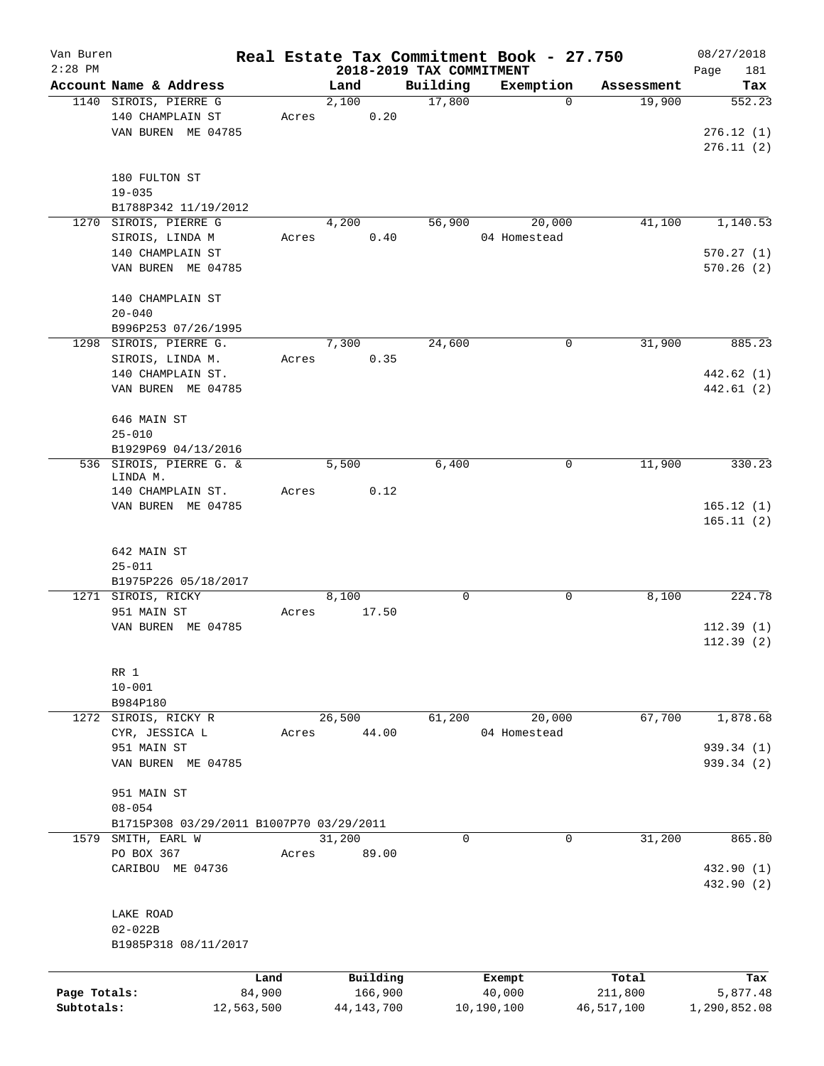| Van Buren    |                                          |            |       |        |              |                          | Real Estate Tax Commitment Book - 27.750 |                      | 08/27/2018   |
|--------------|------------------------------------------|------------|-------|--------|--------------|--------------------------|------------------------------------------|----------------------|--------------|
| $2:28$ PM    |                                          |            |       |        |              | 2018-2019 TAX COMMITMENT |                                          |                      | Page<br>181  |
|              | Account Name & Address                   |            |       | Land   |              | Building                 | Exemption                                | Assessment<br>19,900 | Tax          |
|              | 1140 SIROIS, PIERRE G                    |            |       | 2,100  | 0.20         | 17,800                   |                                          | 0                    | 552.23       |
|              | 140 CHAMPLAIN ST                         |            | Acres |        |              |                          |                                          |                      |              |
|              | VAN BUREN ME 04785                       |            |       |        |              |                          |                                          |                      | 276.12(1)    |
|              |                                          |            |       |        |              |                          |                                          |                      | 276.11(2)    |
|              |                                          |            |       |        |              |                          |                                          |                      |              |
|              | 180 FULTON ST                            |            |       |        |              |                          |                                          |                      |              |
|              | $19 - 035$                               |            |       |        |              |                          |                                          |                      |              |
|              | B1788P342 11/19/2012                     |            |       |        |              |                          |                                          |                      |              |
| 1270         | SIROIS, PIERRE G                         |            |       | 4,200  |              | 56,900                   | 20,000                                   | 41,100               | 1,140.53     |
|              | SIROIS, LINDA M                          |            | Acres |        | 0.40         |                          | 04 Homestead                             |                      |              |
|              | 140 CHAMPLAIN ST                         |            |       |        |              |                          |                                          |                      | 570.27(1)    |
|              | VAN BUREN ME 04785                       |            |       |        |              |                          |                                          |                      | 570.26(2)    |
|              |                                          |            |       |        |              |                          |                                          |                      |              |
|              | 140 CHAMPLAIN ST                         |            |       |        |              |                          |                                          |                      |              |
|              | $20 - 040$                               |            |       |        |              |                          |                                          |                      |              |
|              | B996P253 07/26/1995                      |            |       |        |              |                          |                                          |                      |              |
|              | 1298 SIROIS, PIERRE G.                   |            |       | 7,300  |              | 24,600                   |                                          | 31,900<br>0          | 885.23       |
|              | SIROIS, LINDA M.                         |            | Acres |        | 0.35         |                          |                                          |                      |              |
|              | 140 CHAMPLAIN ST.                        |            |       |        |              |                          |                                          |                      | 442.62 (1)   |
|              | VAN BUREN ME 04785                       |            |       |        |              |                          |                                          |                      | 442.61 (2)   |
|              |                                          |            |       |        |              |                          |                                          |                      |              |
|              | 646 MAIN ST                              |            |       |        |              |                          |                                          |                      |              |
|              | $25 - 010$                               |            |       |        |              |                          |                                          |                      |              |
|              | B1929P69 04/13/2016                      |            |       |        |              |                          |                                          |                      |              |
|              | 536 SIROIS, PIERRE G. &                  |            |       | 5,500  |              | 6,400                    |                                          | 11,900<br>0          | 330.23       |
|              | LINDA M.                                 |            |       |        |              |                          |                                          |                      |              |
|              | 140 CHAMPLAIN ST.                        |            | Acres |        | 0.12         |                          |                                          |                      |              |
|              | VAN BUREN ME 04785                       |            |       |        |              |                          |                                          |                      | 165.12(1)    |
|              |                                          |            |       |        |              |                          |                                          |                      | 165.11(2)    |
|              |                                          |            |       |        |              |                          |                                          |                      |              |
|              | 642 MAIN ST                              |            |       |        |              |                          |                                          |                      |              |
|              | $25 - 011$                               |            |       |        |              |                          |                                          |                      |              |
|              | B1975P226 05/18/2017                     |            |       |        |              |                          |                                          |                      |              |
|              | 1271 SIROIS, RICKY                       |            |       | 8,100  |              | $\mathbf 0$              |                                          | 8,100<br>0           | 224.78       |
|              | 951 MAIN ST                              |            | Acres |        | 17.50        |                          |                                          |                      |              |
|              | VAN BUREN ME 04785                       |            |       |        |              |                          |                                          |                      | 112.39(1)    |
|              |                                          |            |       |        |              |                          |                                          |                      | 112.39(2)    |
|              |                                          |            |       |        |              |                          |                                          |                      |              |
|              | RR 1                                     |            |       |        |              |                          |                                          |                      |              |
|              | $10 - 001$                               |            |       |        |              |                          |                                          |                      |              |
|              | B984P180                                 |            |       |        |              |                          |                                          |                      |              |
|              | 1272 SIROIS, RICKY R                     |            |       | 26,500 |              | 61,200                   | 20,000                                   | 67,700               | 1,878.68     |
|              | CYR, JESSICA L                           |            | Acres |        | 44.00        |                          | 04 Homestead                             |                      |              |
|              | 951 MAIN ST                              |            |       |        |              |                          |                                          |                      | 939.34 (1)   |
|              | VAN BUREN ME 04785                       |            |       |        |              |                          |                                          |                      | 939.34 (2)   |
|              |                                          |            |       |        |              |                          |                                          |                      |              |
|              | 951 MAIN ST                              |            |       |        |              |                          |                                          |                      |              |
|              | $08 - 054$                               |            |       |        |              |                          |                                          |                      |              |
|              | B1715P308 03/29/2011 B1007P70 03/29/2011 |            |       |        |              |                          |                                          |                      |              |
|              | 1579 SMITH, EARL W                       |            |       | 31,200 |              | $\mathbf 0$              |                                          | 31,200<br>0          | 865.80       |
|              | PO BOX 367                               |            | Acres |        | 89.00        |                          |                                          |                      |              |
|              | CARIBOU ME 04736                         |            |       |        |              |                          |                                          |                      | 432.90 (1)   |
|              |                                          |            |       |        |              |                          |                                          |                      | 432.90 (2)   |
|              |                                          |            |       |        |              |                          |                                          |                      |              |
|              | LAKE ROAD                                |            |       |        |              |                          |                                          |                      |              |
|              | $02 - 022B$                              |            |       |        |              |                          |                                          |                      |              |
|              | B1985P318 08/11/2017                     |            |       |        |              |                          |                                          |                      |              |
|              |                                          |            |       |        |              |                          |                                          |                      |              |
|              |                                          | Land       |       |        | Building     |                          | Exempt                                   | Total                | Tax          |
| Page Totals: |                                          | 84,900     |       |        | 166,900      |                          | 40,000                                   | 211,800              | 5,877.48     |
| Subtotals:   |                                          | 12,563,500 |       |        | 44, 143, 700 |                          | 10,190,100                               | 46,517,100           | 1,290,852.08 |
|              |                                          |            |       |        |              |                          |                                          |                      |              |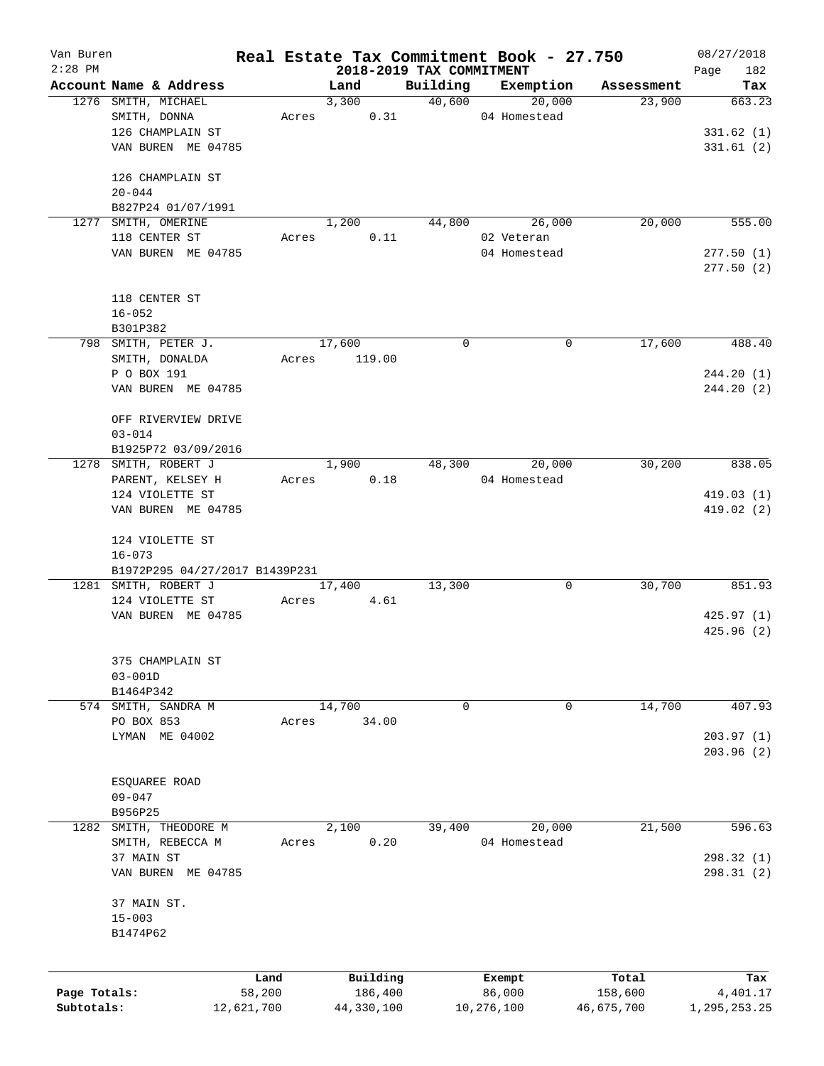| Van Buren    |                                   |            |                          |                    | Real Estate Tax Commitment Book - 27.750 |                      | 08/27/2018         |
|--------------|-----------------------------------|------------|--------------------------|--------------------|------------------------------------------|----------------------|--------------------|
| $2:28$ PM    | Account Name & Address            |            | 2018-2019 TAX COMMITMENT |                    | Exemption                                |                      | 182<br>Page<br>Tax |
|              | 1276 SMITH, MICHAEL               |            | Land<br>3,300            | Building<br>40,600 | 20,000                                   | Assessment<br>23,900 | 663.23             |
|              | SMITH, DONNA                      | Acres      | 0.31                     |                    | 04 Homestead                             |                      |                    |
|              | 126 CHAMPLAIN ST                  |            |                          |                    |                                          |                      | 331.62(1)          |
|              | VAN BUREN ME 04785                |            |                          |                    |                                          |                      | 331.61(2)          |
|              |                                   |            |                          |                    |                                          |                      |                    |
|              | 126 CHAMPLAIN ST                  |            |                          |                    |                                          |                      |                    |
|              | $20 - 044$                        |            |                          |                    |                                          |                      |                    |
|              | B827P24 01/07/1991                |            |                          |                    |                                          |                      |                    |
|              | 1277 SMITH, OMERINE               |            | 1,200                    | 44,800             | 26,000                                   | 20,000               | 555.00             |
|              | 118 CENTER ST                     | Acres      | 0.11                     |                    | 02 Veteran                               |                      |                    |
|              | VAN BUREN ME 04785                |            |                          |                    | 04 Homestead                             |                      | 277.50(1)          |
|              |                                   |            |                          |                    |                                          |                      | 277.50(2)          |
|              |                                   |            |                          |                    |                                          |                      |                    |
|              | 118 CENTER ST                     |            |                          |                    |                                          |                      |                    |
|              | $16 - 052$                        |            |                          |                    |                                          |                      |                    |
|              | B301P382                          |            |                          |                    |                                          |                      |                    |
|              | 798 SMITH, PETER J.               |            | 17,600                   | $\Omega$           | 0                                        | 17,600               | 488.40             |
|              | SMITH, DONALDA                    | Acres      | 119.00                   |                    |                                          |                      |                    |
|              | P O BOX 191                       |            |                          |                    |                                          |                      | 244.20(1)          |
|              | VAN BUREN ME 04785                |            |                          |                    |                                          |                      | 244.20(2)          |
|              | OFF RIVERVIEW DRIVE               |            |                          |                    |                                          |                      |                    |
|              | $03 - 014$                        |            |                          |                    |                                          |                      |                    |
|              | B1925P72 03/09/2016               |            |                          |                    |                                          |                      |                    |
|              | 1278 SMITH, ROBERT J              |            | 1,900                    | 48,300             | 20,000                                   | 30,200               | 838.05             |
|              | PARENT, KELSEY H                  |            | 0.18<br>Acres            |                    | 04 Homestead                             |                      |                    |
|              | 124 VIOLETTE ST                   |            |                          |                    |                                          |                      | 419.03(1)          |
|              | VAN BUREN ME 04785                |            |                          |                    |                                          |                      | 419.02 (2)         |
|              |                                   |            |                          |                    |                                          |                      |                    |
|              | 124 VIOLETTE ST                   |            |                          |                    |                                          |                      |                    |
|              | $16 - 073$                        |            |                          |                    |                                          |                      |                    |
|              | B1972P295 04/27/2017 B1439P231    |            |                          |                    |                                          |                      |                    |
|              | 1281 SMITH, ROBERT J              |            | 17,400                   | 13,300             | 0                                        | 30,700               | 851.93             |
|              | 124 VIOLETTE ST                   | Acres      | 4.61                     |                    |                                          |                      |                    |
|              | VAN BUREN ME 04785                |            |                          |                    |                                          |                      | 425.97(1)          |
|              |                                   |            |                          |                    |                                          |                      | 425.96(2)          |
|              |                                   |            |                          |                    |                                          |                      |                    |
|              | 375 CHAMPLAIN ST                  |            |                          |                    |                                          |                      |                    |
|              | $03 - 001D$                       |            |                          |                    |                                          |                      |                    |
|              | B1464P342                         |            |                          | 0                  | 0                                        |                      | 407.93             |
|              | 574 SMITH, SANDRA M<br>PO BOX 853 | Acres      | 14,700<br>34.00          |                    |                                          | 14,700               |                    |
|              | LYMAN ME 04002                    |            |                          |                    |                                          |                      | 203.97(1)          |
|              |                                   |            |                          |                    |                                          |                      | 203.96(2)          |
|              |                                   |            |                          |                    |                                          |                      |                    |
|              | ESQUAREE ROAD                     |            |                          |                    |                                          |                      |                    |
|              | $09 - 047$                        |            |                          |                    |                                          |                      |                    |
|              | B956P25                           |            |                          |                    |                                          |                      |                    |
| 1282         | SMITH, THEODORE M                 |            | 2,100                    | 39,400             | 20,000                                   | 21,500               | 596.63             |
|              | SMITH, REBECCA M                  | Acres      | 0.20                     |                    | 04 Homestead                             |                      |                    |
|              | 37 MAIN ST                        |            |                          |                    |                                          |                      | 298.32 (1)         |
|              | VAN BUREN ME 04785                |            |                          |                    |                                          |                      | 298.31(2)          |
|              |                                   |            |                          |                    |                                          |                      |                    |
|              | 37 MAIN ST.                       |            |                          |                    |                                          |                      |                    |
|              | $15 - 003$                        |            |                          |                    |                                          |                      |                    |
|              | B1474P62                          |            |                          |                    |                                          |                      |                    |
|              |                                   |            |                          |                    |                                          |                      |                    |
|              |                                   | Land       | Building                 |                    | Exempt                                   | Total                | Tax                |
| Page Totals: |                                   | 58,200     | 186,400                  |                    | 86,000                                   | 158,600              | 4,401.17           |
| Subtotals:   |                                   | 12,621,700 | 44,330,100               |                    | 10,276,100                               | 46,675,700           | 1,295,253.25       |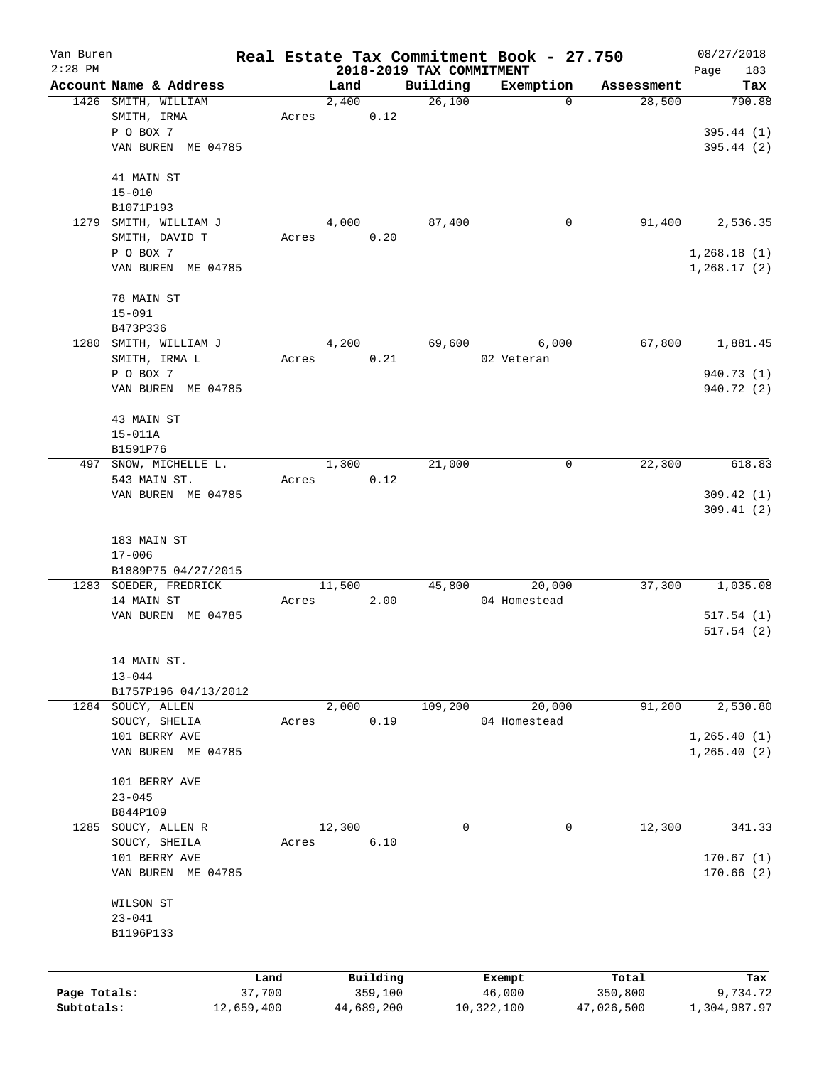| Van Buren<br>$2:28$ PM |                                        |            |                 |            |                                      | Real Estate Tax Commitment Book - 27.750 |            | 08/27/2018                  |
|------------------------|----------------------------------------|------------|-----------------|------------|--------------------------------------|------------------------------------------|------------|-----------------------------|
|                        | Account Name & Address                 |            | Land            |            | 2018-2019 TAX COMMITMENT<br>Building | Exemption                                | Assessment | 183<br>Page<br>Tax          |
|                        | 1426 SMITH, WILLIAM                    |            | 2,400           |            | 26,100                               | $\mathbf 0$                              | 28,500     | 790.88                      |
|                        | SMITH, IRMA<br>P O BOX 7               |            | Acres           | 0.12       |                                      |                                          |            | 395.44 (1)                  |
|                        | VAN BUREN ME 04785                     |            |                 |            |                                      |                                          |            | 395.44 (2)                  |
|                        | 41 MAIN ST                             |            |                 |            |                                      |                                          |            |                             |
|                        | $15 - 010$<br>B1071P193                |            |                 |            |                                      |                                          |            |                             |
|                        | 1279 SMITH, WILLIAM J                  |            | 4,000           |            | 87,400                               | 0                                        | 91,400     | 2,536.35                    |
|                        | SMITH, DAVID T<br>P O BOX 7            |            | Acres           | 0.20       |                                      |                                          |            |                             |
|                        | VAN BUREN ME 04785                     |            |                 |            |                                      |                                          |            | 1,268.18(1)<br>1, 268.17(2) |
|                        | 78 MAIN ST                             |            |                 |            |                                      |                                          |            |                             |
|                        | $15 - 091$                             |            |                 |            |                                      |                                          |            |                             |
|                        | B473P336                               |            |                 |            |                                      |                                          |            |                             |
|                        | 1280 SMITH, WILLIAM J<br>SMITH, IRMA L |            | 4,200<br>Acres  | 0.21       | 69,600                               | 6,000<br>02 Veteran                      | 67,800     | 1,881.45                    |
|                        | P O BOX 7                              |            |                 |            |                                      |                                          |            | 940.73 (1)                  |
|                        | VAN BUREN ME 04785                     |            |                 |            |                                      |                                          |            | 940.72 (2)                  |
|                        | 43 MAIN ST                             |            |                 |            |                                      |                                          |            |                             |
|                        | $15 - 011A$                            |            |                 |            |                                      |                                          |            |                             |
|                        | B1591P76                               |            |                 |            |                                      |                                          |            |                             |
| 497                    | SNOW, MICHELLE L.<br>543 MAIN ST.      |            | 1,300<br>Acres  | 0.12       | 21,000                               | 0                                        | 22,300     | 618.83                      |
|                        | VAN BUREN ME 04785                     |            |                 |            |                                      |                                          |            | 309.42(1)                   |
|                        |                                        |            |                 |            |                                      |                                          |            | 309.41(2)                   |
|                        | 183 MAIN ST                            |            |                 |            |                                      |                                          |            |                             |
|                        | $17 - 006$                             |            |                 |            |                                      |                                          |            |                             |
|                        | B1889P75 04/27/2015                    |            |                 |            |                                      |                                          |            |                             |
|                        | 1283 SOEDER, FREDRICK<br>14 MAIN ST    |            | 11,500<br>Acres | 2.00       | 45,800                               | 20,000<br>04 Homestead                   | 37,300     | 1,035.08                    |
|                        | VAN BUREN ME 04785                     |            |                 |            |                                      |                                          |            | 517.54(1)                   |
|                        |                                        |            |                 |            |                                      |                                          |            | 517.54(2)                   |
|                        | 14 MAIN ST.                            |            |                 |            |                                      |                                          |            |                             |
|                        | $13 - 044$                             |            |                 |            |                                      |                                          |            |                             |
|                        | B1757P196 04/13/2012                   |            |                 |            |                                      |                                          |            |                             |
|                        | 1284 SOUCY, ALLEN<br>SOUCY, SHELIA     |            | 2,000<br>Acres  | 0.19       | 109,200                              | 20,000<br>04 Homestead                   | 91,200     | 2,530.80                    |
|                        | 101 BERRY AVE                          |            |                 |            |                                      |                                          |            | 1, 265.40(1)                |
|                        | VAN BUREN ME 04785                     |            |                 |            |                                      |                                          |            | 1,265.40(2)                 |
|                        | 101 BERRY AVE                          |            |                 |            |                                      |                                          |            |                             |
|                        | $23 - 045$                             |            |                 |            |                                      |                                          |            |                             |
|                        | B844P109                               |            |                 |            |                                      |                                          |            |                             |
| 1285                   | SOUCY, ALLEN R<br>SOUCY, SHEILA        |            | 12,300<br>Acres | 6.10       | 0                                    | 0                                        | 12,300     | 341.33                      |
|                        | 101 BERRY AVE                          |            |                 |            |                                      |                                          |            | 170.67(1)                   |
|                        | VAN BUREN ME 04785                     |            |                 |            |                                      |                                          |            | 170.66(2)                   |
|                        | WILSON ST                              |            |                 |            |                                      |                                          |            |                             |
|                        | $23 - 041$                             |            |                 |            |                                      |                                          |            |                             |
|                        | B1196P133                              |            |                 |            |                                      |                                          |            |                             |
|                        |                                        | Land       |                 | Building   |                                      | Exempt                                   | Total      | Tax                         |
| Page Totals:           |                                        | 37,700     |                 | 359,100    |                                      | 46,000                                   | 350,800    | 9,734.72                    |
| Subtotals:             |                                        | 12,659,400 |                 | 44,689,200 |                                      | 10,322,100                               | 47,026,500 | 1,304,987.97                |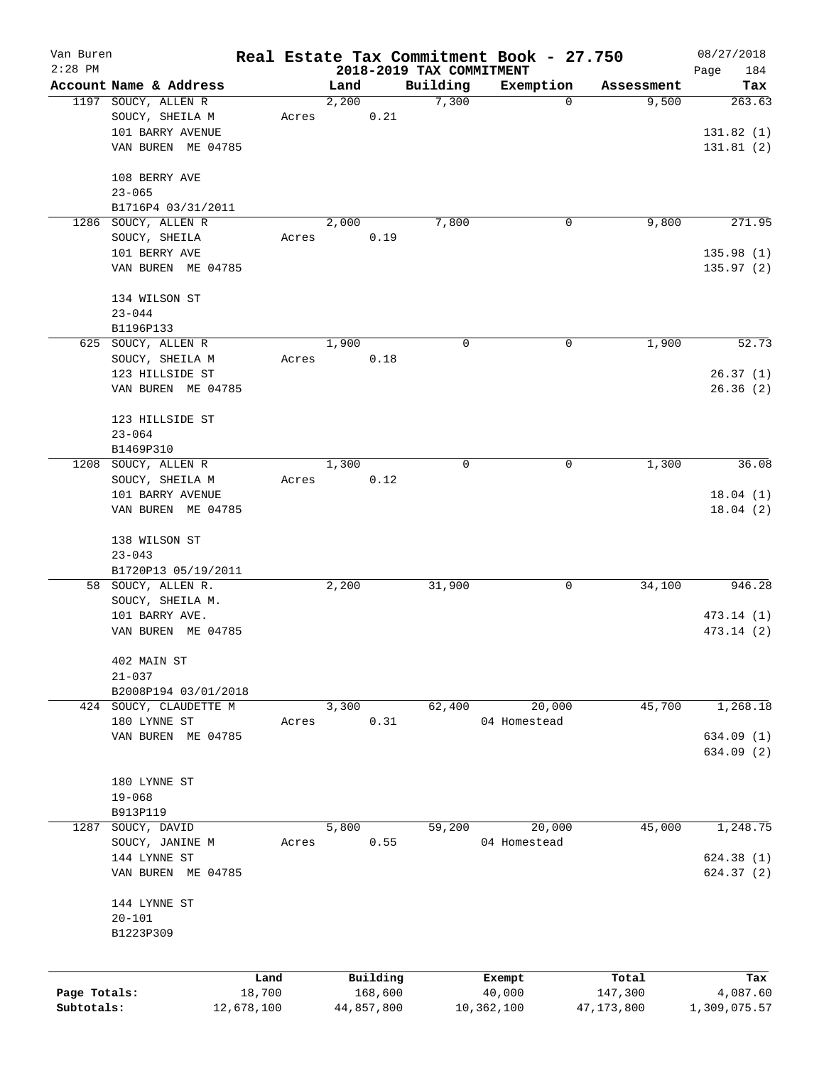| Van Buren    |                        |            |       |            |                          | Real Estate Tax Commitment Book - 27.750 |              | 08/27/2018             |
|--------------|------------------------|------------|-------|------------|--------------------------|------------------------------------------|--------------|------------------------|
| $2:28$ PM    |                        |            |       |            | 2018-2019 TAX COMMITMENT |                                          |              | Page<br>184            |
|              | Account Name & Address |            | Land  |            | Building                 | Exemption                                | Assessment   | Tax                    |
|              | 1197 SOUCY, ALLEN R    |            | 2,200 |            | 7,300                    | 0                                        | 9,500        | 263.63                 |
|              | SOUCY, SHEILA M        | Acres      |       | 0.21       |                          |                                          |              |                        |
|              | 101 BARRY AVENUE       |            |       |            |                          |                                          |              | 131.82(1)              |
|              | VAN BUREN ME 04785     |            |       |            |                          |                                          |              | 131.81(2)              |
|              | 108 BERRY AVE          |            |       |            |                          |                                          |              |                        |
|              | $23 - 065$             |            |       |            |                          |                                          |              |                        |
|              | B1716P4 03/31/2011     |            |       |            |                          |                                          |              |                        |
|              | 1286 SOUCY, ALLEN R    |            | 2,000 |            | 7,800                    | 0                                        | 9,800        | 271.95                 |
|              | SOUCY, SHEILA          | Acres      |       | 0.19       |                          |                                          |              |                        |
|              | 101 BERRY AVE          |            |       |            |                          |                                          |              | 135.98(1)              |
|              | VAN BUREN ME 04785     |            |       |            |                          |                                          |              | 135.97(2)              |
|              |                        |            |       |            |                          |                                          |              |                        |
|              | 134 WILSON ST          |            |       |            |                          |                                          |              |                        |
|              | $23 - 044$             |            |       |            |                          |                                          |              |                        |
|              | B1196P133              |            |       |            |                          |                                          |              |                        |
|              | 625 SOUCY, ALLEN R     |            | 1,900 |            | 0                        | 0                                        | 1,900        | 52.73                  |
|              | SOUCY, SHEILA M        | Acres      |       | 0.18       |                          |                                          |              |                        |
|              | 123 HILLSIDE ST        |            |       |            |                          |                                          |              | 26.37(1)               |
|              | VAN BUREN ME 04785     |            |       |            |                          |                                          |              | 26.36(2)               |
|              |                        |            |       |            |                          |                                          |              |                        |
|              | 123 HILLSIDE ST        |            |       |            |                          |                                          |              |                        |
|              | $23 - 064$             |            |       |            |                          |                                          |              |                        |
|              | B1469P310              |            |       |            |                          |                                          |              |                        |
| 1208         | SOUCY, ALLEN R         |            | 1,300 |            | 0                        | 0                                        | 1,300        | 36.08                  |
|              | SOUCY, SHEILA M        | Acres      |       | 0.12       |                          |                                          |              |                        |
|              | 101 BARRY AVENUE       |            |       |            |                          |                                          |              | 18.04(1)               |
|              | VAN BUREN ME 04785     |            |       |            |                          |                                          |              | 18.04(2)               |
|              |                        |            |       |            |                          |                                          |              |                        |
|              | 138 WILSON ST          |            |       |            |                          |                                          |              |                        |
|              | $23 - 043$             |            |       |            |                          |                                          |              |                        |
|              | B1720P13 05/19/2011    |            |       |            |                          |                                          |              |                        |
|              | 58 SOUCY, ALLEN R.     |            | 2,200 |            | 31,900                   | 0                                        | 34,100       | 946.28                 |
|              | SOUCY, SHEILA M.       |            |       |            |                          |                                          |              |                        |
|              | 101 BARRY AVE.         |            |       |            |                          |                                          |              | 473.14 (1)             |
|              | VAN BUREN ME 04785     |            |       |            |                          |                                          |              | 473.14 (2)             |
|              |                        |            |       |            |                          |                                          |              |                        |
|              | 402 MAIN ST            |            |       |            |                          |                                          |              |                        |
|              | $21 - 037$             |            |       |            |                          |                                          |              |                        |
|              | B2008P194 03/01/2018   |            |       |            |                          |                                          |              |                        |
|              | 424 SOUCY, CLAUDETTE M |            | 3,300 |            | 62,400                   | 20,000                                   | 45,700       | 1,268.18               |
|              | 180 LYNNE ST           | Acres      |       | 0.31       |                          | 04 Homestead                             |              |                        |
|              | VAN BUREN ME 04785     |            |       |            |                          |                                          |              | 634.09(1)<br>634.09(2) |
|              |                        |            |       |            |                          |                                          |              |                        |
|              | 180 LYNNE ST           |            |       |            |                          |                                          |              |                        |
|              | $19 - 068$             |            |       |            |                          |                                          |              |                        |
|              | B913P119               |            |       |            |                          |                                          |              |                        |
| 1287         | SOUCY, DAVID           |            | 5,800 |            | 59,200                   | 20,000                                   | 45,000       | 1,248.75               |
|              | SOUCY, JANINE M        | Acres      |       | 0.55       |                          | 04 Homestead                             |              |                        |
|              | 144 LYNNE ST           |            |       |            |                          |                                          |              | 624.38(1)              |
|              | VAN BUREN ME 04785     |            |       |            |                          |                                          |              | 624.37 (2)             |
|              |                        |            |       |            |                          |                                          |              |                        |
|              | 144 LYNNE ST           |            |       |            |                          |                                          |              |                        |
|              | $20 - 101$             |            |       |            |                          |                                          |              |                        |
|              | B1223P309              |            |       |            |                          |                                          |              |                        |
|              |                        |            |       |            |                          |                                          |              |                        |
|              |                        |            |       |            |                          |                                          |              |                        |
|              |                        | Land       |       | Building   |                          | Exempt                                   | Total        | Tax                    |
| Page Totals: |                        | 18,700     |       | 168,600    |                          | 40,000                                   | 147,300      | 4,087.60               |
| Subtotals:   |                        | 12,678,100 |       | 44,857,800 |                          | 10,362,100                               | 47, 173, 800 | 1,309,075.57           |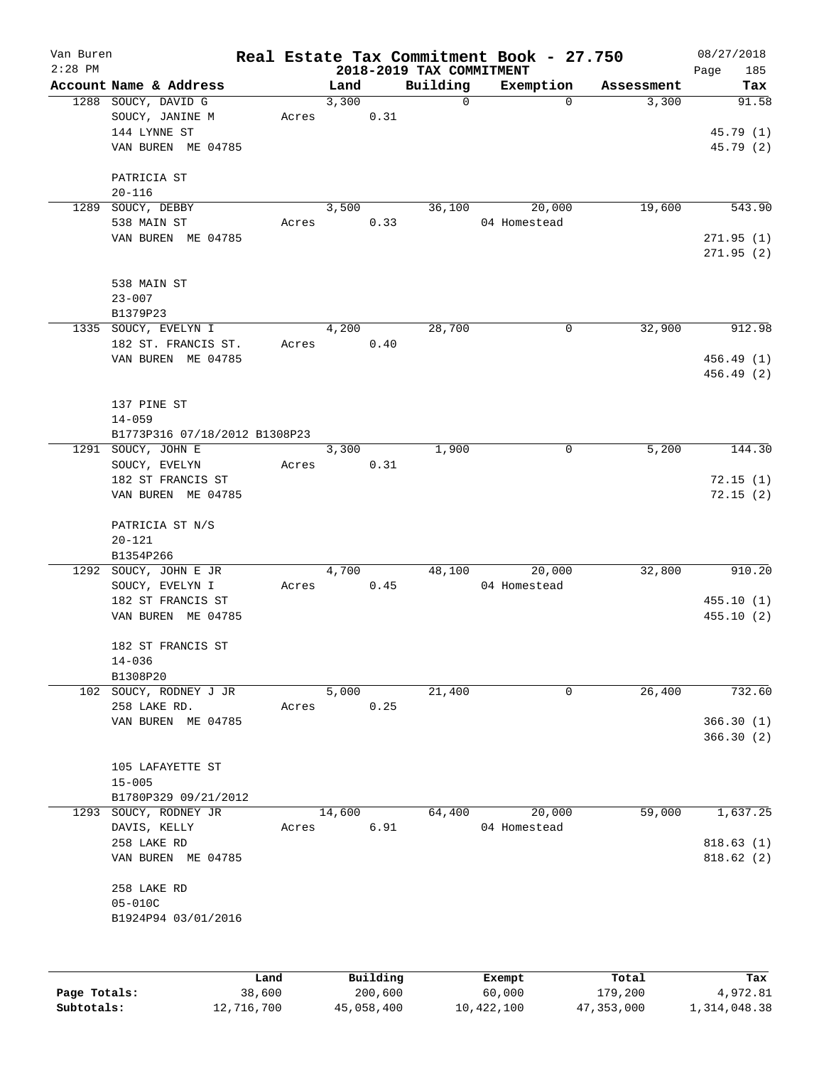| Van Buren |                               |       |          |                                      | Real Estate Tax Commitment Book - 27.750 |                     | 08/27/2018         |
|-----------|-------------------------------|-------|----------|--------------------------------------|------------------------------------------|---------------------|--------------------|
| $2:28$ PM | Account Name & Address        |       | Land     | 2018-2019 TAX COMMITMENT<br>Building | Exemption                                |                     | Page<br>185<br>Tax |
|           | 1288 SOUCY, DAVID G           |       | 3,300    | 0                                    | 0                                        | Assessment<br>3,300 | 91.58              |
|           | SOUCY, JANINE M               | Acres | 0.31     |                                      |                                          |                     |                    |
|           | 144 LYNNE ST                  |       |          |                                      |                                          |                     | 45.79 (1)          |
|           | VAN BUREN ME 04785            |       |          |                                      |                                          |                     | 45.79 (2)          |
|           |                               |       |          |                                      |                                          |                     |                    |
|           | PATRICIA ST                   |       |          |                                      |                                          |                     |                    |
|           | $20 - 116$                    |       |          |                                      |                                          |                     |                    |
| 1289      | SOUCY, DEBBY                  |       | 3,500    | 36,100                               | 20,000                                   | 19,600              | 543.90             |
|           | 538 MAIN ST                   | Acres | 0.33     |                                      | 04 Homestead                             |                     |                    |
|           | VAN BUREN ME 04785            |       |          |                                      |                                          |                     | 271.95(1)          |
|           |                               |       |          |                                      |                                          |                     | 271.95(2)          |
|           |                               |       |          |                                      |                                          |                     |                    |
|           | 538 MAIN ST                   |       |          |                                      |                                          |                     |                    |
|           | $23 - 007$                    |       |          |                                      |                                          |                     |                    |
|           | B1379P23                      |       |          |                                      |                                          |                     |                    |
|           | 1335 SOUCY, EVELYN I          |       | 4,200    | 28,700                               | $\mathbf 0$                              | 32,900              | 912.98             |
|           | 182 ST. FRANCIS ST.           | Acres | 0.40     |                                      |                                          |                     |                    |
|           | VAN BUREN ME 04785            |       |          |                                      |                                          |                     | 456.49 (1)         |
|           |                               |       |          |                                      |                                          |                     | 456.49 (2)         |
|           | 137 PINE ST                   |       |          |                                      |                                          |                     |                    |
|           |                               |       |          |                                      |                                          |                     |                    |
|           | $14 - 059$                    |       |          |                                      |                                          |                     |                    |
|           | B1773P316 07/18/2012 B1308P23 |       | 3,300    | 1,900                                |                                          | 5,200               | 144.30             |
|           | 1291 SOUCY, JOHN E            |       |          |                                      | 0                                        |                     |                    |
|           | SOUCY, EVELYN                 | Acres | 0.31     |                                      |                                          |                     |                    |
|           | 182 ST FRANCIS ST             |       |          |                                      |                                          |                     | 72.15(1)           |
|           | VAN BUREN ME 04785            |       |          |                                      |                                          |                     | 72.15(2)           |
|           | PATRICIA ST N/S               |       |          |                                      |                                          |                     |                    |
|           | $20 - 121$                    |       |          |                                      |                                          |                     |                    |
|           | B1354P266                     |       |          |                                      |                                          |                     |                    |
|           | 1292 SOUCY, JOHN E JR         |       | 4,700    | 48,100                               | 20,000                                   | 32,800              | 910.20             |
|           | SOUCY, EVELYN I               | Acres | 0.45     |                                      | 04 Homestead                             |                     |                    |
|           | 182 ST FRANCIS ST             |       |          |                                      |                                          |                     | 455.10(1)          |
|           | VAN BUREN ME 04785            |       |          |                                      |                                          |                     | 455.10 (2)         |
|           |                               |       |          |                                      |                                          |                     |                    |
|           | 182 ST FRANCIS ST             |       |          |                                      |                                          |                     |                    |
|           | $14 - 036$                    |       |          |                                      |                                          |                     |                    |
|           | B1308P20                      |       |          |                                      |                                          |                     |                    |
|           | 102 SOUCY, RODNEY J JR        |       | 5,000    | 21,400                               | $\mathsf{O}$                             | 26,400              | 732.60             |
|           | 258 LAKE RD.                  | Acres | 0.25     |                                      |                                          |                     |                    |
|           | VAN BUREN ME 04785            |       |          |                                      |                                          |                     | 366.30(1)          |
|           |                               |       |          |                                      |                                          |                     | 366.30(2)          |
|           |                               |       |          |                                      |                                          |                     |                    |
|           | 105 LAFAYETTE ST              |       |          |                                      |                                          |                     |                    |
|           | $15 - 005$                    |       |          |                                      |                                          |                     |                    |
|           | B1780P329 09/21/2012          |       |          |                                      |                                          |                     |                    |
| 1293      | SOUCY, RODNEY JR              |       | 14,600   | 64,400                               | 20,000                                   | 59,000              | 1,637.25           |
|           | DAVIS, KELLY                  | Acres | 6.91     |                                      | 04 Homestead                             |                     |                    |
|           | 258 LAKE RD                   |       |          |                                      |                                          |                     | 818.63(1)          |
|           | VAN BUREN ME 04785            |       |          |                                      |                                          |                     | 818.62 (2)         |
|           | 258 LAKE RD                   |       |          |                                      |                                          |                     |                    |
|           | $05 - 010C$                   |       |          |                                      |                                          |                     |                    |
|           | B1924P94 03/01/2016           |       |          |                                      |                                          |                     |                    |
|           |                               |       |          |                                      |                                          |                     |                    |
|           |                               |       |          |                                      |                                          |                     |                    |
|           |                               | Land  | Building |                                      | Exempt                                   | Total               | Tax                |

**Page Totals:** 38,600 200,600 60,000 179,200 4,972.81 **Subtotals:** 12,716,700 45,058,400 10,422,100 47,353,000 1,314,048.38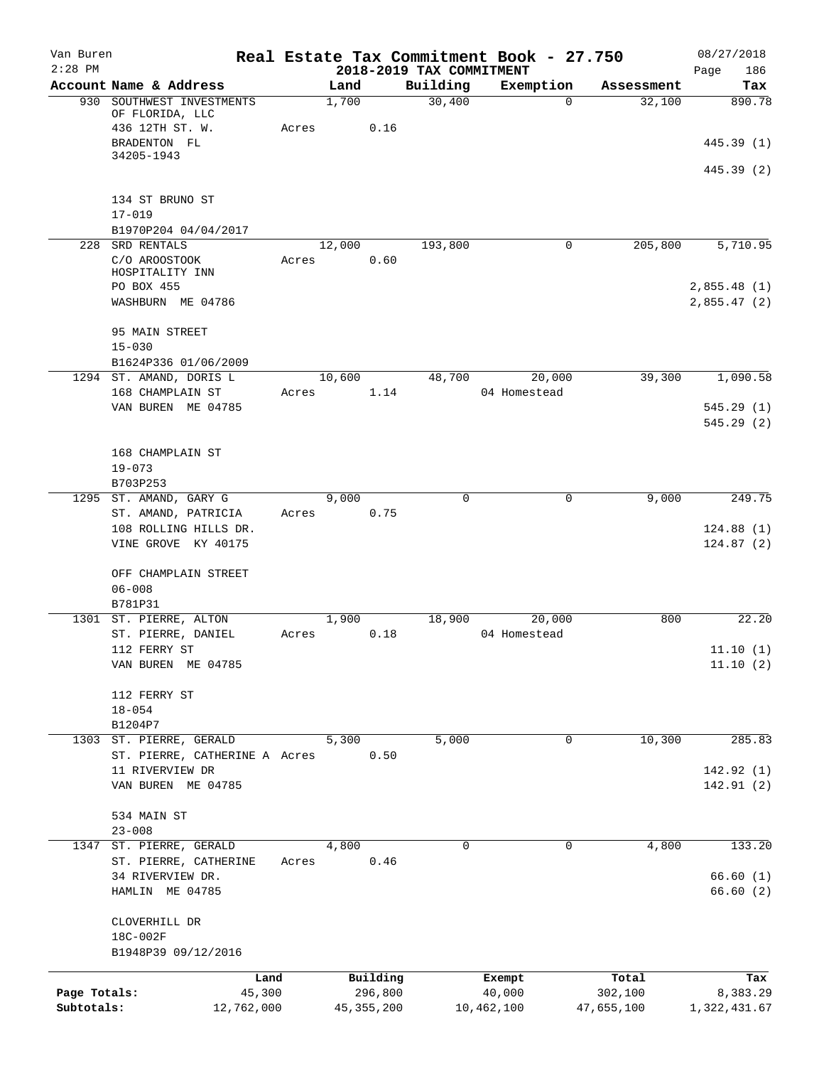| Van Buren<br>$2:28$ PM |                                                             |       |        |              | 2018-2019 TAX COMMITMENT | Real Estate Tax Commitment Book - 27.750 |            | 08/27/2018<br>Page<br>186 |
|------------------------|-------------------------------------------------------------|-------|--------|--------------|--------------------------|------------------------------------------|------------|---------------------------|
|                        | Account Name & Address                                      |       | Land   |              | Building                 | Exemption                                | Assessment | Tax                       |
| 930                    | SOUTHWEST INVESTMENTS<br>OF FLORIDA, LLC<br>436 12TH ST. W. | Acres | 1,700  | 0.16         | 30,400                   | $\mathbf 0$                              | 32,100     | 890.78                    |
|                        | BRADENTON FL                                                |       |        |              |                          |                                          |            | 445.39 (1)                |
|                        | 34205-1943                                                  |       |        |              |                          |                                          |            | 445.39 (2)                |
|                        | 134 ST BRUNO ST<br>$17 - 019$                               |       |        |              |                          |                                          |            |                           |
|                        | B1970P204 04/04/2017                                        |       |        |              |                          |                                          |            |                           |
| 228                    | SRD RENTALS                                                 |       | 12,000 |              | 193,800                  | 0                                        | 205,800    | 5,710.95                  |
|                        | C/O AROOSTOOK<br>HOSPITALITY INN<br>PO BOX 455              | Acres |        | 0.60         |                          |                                          |            | 2,855.48(1)               |
|                        | WASHBURN ME 04786                                           |       |        |              |                          |                                          |            | 2,855.47(2)               |
|                        | 95 MAIN STREET<br>$15 - 030$                                |       |        |              |                          |                                          |            |                           |
|                        | B1624P336 01/06/2009                                        |       |        |              |                          |                                          |            |                           |
|                        | 1294 ST. AMAND, DORIS L<br>168 CHAMPLAIN ST                 | Acres | 10,600 | 1.14         | 48,700                   | 20,000<br>04 Homestead                   | 39,300     | 1,090.58                  |
|                        | VAN BUREN ME 04785                                          |       |        |              |                          |                                          |            | 545.29(1)                 |
|                        |                                                             |       |        |              |                          |                                          |            | 545.29(2)                 |
|                        | 168 CHAMPLAIN ST                                            |       |        |              |                          |                                          |            |                           |
|                        | $19 - 073$                                                  |       |        |              |                          |                                          |            |                           |
|                        | B703P253                                                    |       |        |              |                          |                                          |            |                           |
| 1295                   | ST. AMAND, GARY G<br>ST. AMAND, PATRICIA                    | Acres | 9,000  | 0.75         | $\mathbf 0$              | 0                                        | 9,000      | 249.75                    |
|                        | 108 ROLLING HILLS DR.                                       |       |        |              |                          |                                          |            | 124.88(1)                 |
|                        | VINE GROVE KY 40175                                         |       |        |              |                          |                                          |            | 124.87(2)                 |
|                        | OFF CHAMPLAIN STREET                                        |       |        |              |                          |                                          |            |                           |
|                        | $06 - 008$<br>B781P31                                       |       |        |              |                          |                                          |            |                           |
|                        | 1301 ST. PIERRE, ALTON                                      |       | 1,900  |              | 18,900                   | 20,000                                   | 800        | 22.20                     |
|                        | ST. PIERRE, DANIEL                                          | Acres |        | 0.18         |                          | 04 Homestead                             |            |                           |
|                        | 112 FERRY ST                                                |       |        |              |                          |                                          |            | 11.10(1)                  |
|                        | VAN BUREN ME 04785                                          |       |        |              |                          |                                          |            | 11.10(2)                  |
|                        | 112 FERRY ST                                                |       |        |              |                          |                                          |            |                           |
|                        | $18 - 054$<br>B1204P7                                       |       |        |              |                          |                                          |            |                           |
|                        | 1303 ST. PIERRE, GERALD                                     |       | 5,300  |              | 5,000                    | $\mathbf 0$                              | 10,300     | 285.83                    |
|                        | ST. PIERRE, CATHERINE A Acres                               |       |        | 0.50         |                          |                                          |            |                           |
|                        | 11 RIVERVIEW DR<br>VAN BUREN ME 04785                       |       |        |              |                          |                                          |            | 142.92(1)<br>142.91(2)    |
|                        |                                                             |       |        |              |                          |                                          |            |                           |
|                        | 534 MAIN ST<br>$23 - 008$                                   |       |        |              |                          |                                          |            |                           |
| 1347                   | ST. PIERRE, GERALD                                          |       | 4,800  |              | 0                        | 0                                        | 4,800      | 133.20                    |
|                        | ST. PIERRE, CATHERINE                                       | Acres |        | 0.46         |                          |                                          |            |                           |
|                        | 34 RIVERVIEW DR.<br>HAMLIN ME 04785                         |       |        |              |                          |                                          |            | 66.60(1)<br>66.60(2)      |
|                        | CLOVERHILL DR<br>18C-002F                                   |       |        |              |                          |                                          |            |                           |
|                        | B1948P39 09/12/2016                                         |       |        |              |                          |                                          |            |                           |
|                        | Land                                                        |       |        | Building     |                          | Exempt                                   | Total      | Tax                       |
| Page Totals:           | 45,300                                                      |       |        | 296,800      |                          | 40,000                                   | 302,100    | 8,383.29                  |
| Subtotals:             | 12,762,000                                                  |       |        | 45, 355, 200 |                          | 10,462,100                               | 47,655,100 | 1,322,431.67              |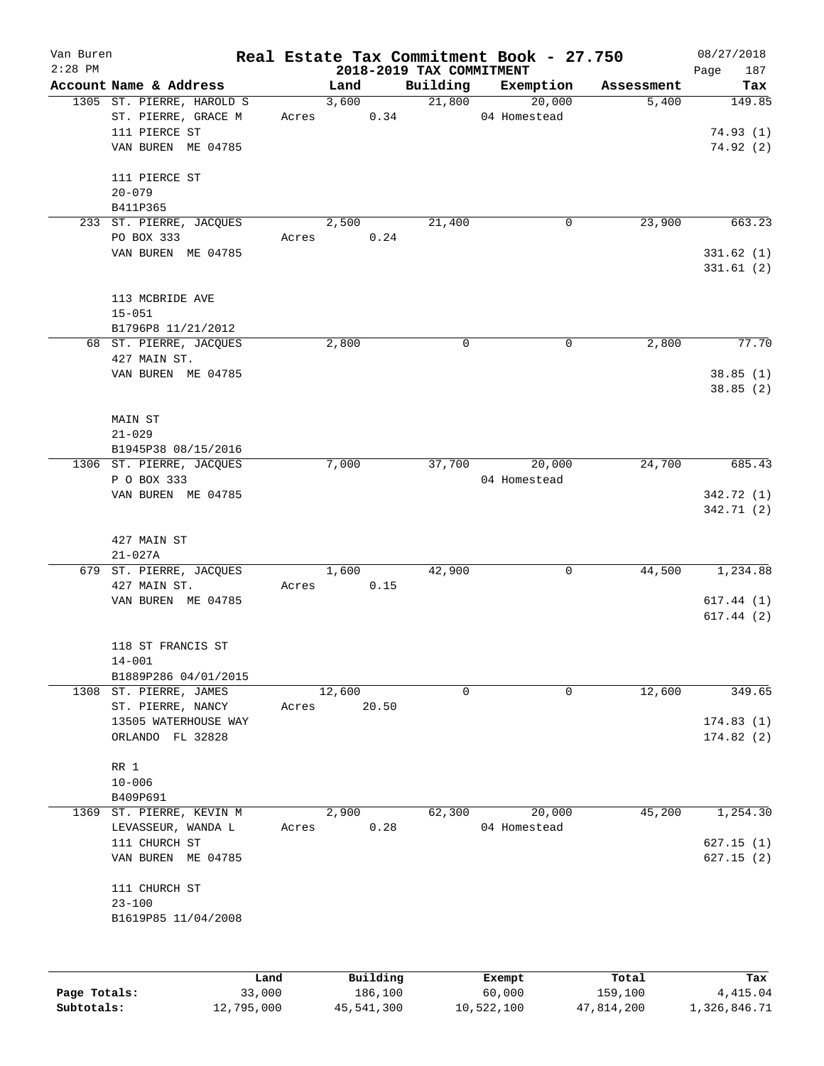| Van Buren<br>$2:28$ PM |                            |        |        |          |                                      | Real Estate Tax Commitment Book - 27.750 |            | 08/27/2018         |
|------------------------|----------------------------|--------|--------|----------|--------------------------------------|------------------------------------------|------------|--------------------|
|                        | Account Name & Address     |        | Land   |          | 2018-2019 TAX COMMITMENT<br>Building | Exemption                                | Assessment | Page<br>187<br>Tax |
|                        | 1305 ST. PIERRE, HAROLD S  |        | 3,600  |          | 21,800                               | 20,000                                   | 5,400      | 149.85             |
|                        | ST. PIERRE, GRACE M        | Acres  |        | 0.34     |                                      | 04 Homestead                             |            |                    |
|                        | 111 PIERCE ST              |        |        |          |                                      |                                          |            | 74.93(1)           |
|                        | VAN BUREN ME 04785         |        |        |          |                                      |                                          |            | 74.92(2)           |
|                        |                            |        |        |          |                                      |                                          |            |                    |
|                        | 111 PIERCE ST              |        |        |          |                                      |                                          |            |                    |
|                        | $20 - 079$                 |        |        |          |                                      |                                          |            |                    |
|                        | B411P365                   |        |        |          |                                      |                                          |            |                    |
|                        | 233 ST. PIERRE, JACQUES    |        | 2,500  |          | 21,400                               | 0                                        | 23,900     | 663.23             |
|                        | PO BOX 333                 | Acres  |        | 0.24     |                                      |                                          |            |                    |
|                        | VAN BUREN ME 04785         |        |        |          |                                      |                                          |            | 331.62(1)          |
|                        |                            |        |        |          |                                      |                                          |            | 331.61(2)          |
|                        |                            |        |        |          |                                      |                                          |            |                    |
|                        | 113 MCBRIDE AVE            |        |        |          |                                      |                                          |            |                    |
|                        | $15 - 051$                 |        |        |          |                                      |                                          |            |                    |
|                        | B1796P8 11/21/2012         |        |        |          |                                      |                                          |            |                    |
|                        | 68 ST. PIERRE, JACQUES     |        | 2,800  |          | 0                                    | $\mathsf{O}$                             | 2,800      | 77.70              |
|                        | 427 MAIN ST.               |        |        |          |                                      |                                          |            |                    |
|                        | VAN BUREN ME 04785         |        |        |          |                                      |                                          |            | 38.85(1)           |
|                        |                            |        |        |          |                                      |                                          |            | 38.85(2)           |
|                        |                            |        |        |          |                                      |                                          |            |                    |
|                        | MAIN ST                    |        |        |          |                                      |                                          |            |                    |
|                        | $21 - 029$                 |        |        |          |                                      |                                          |            |                    |
|                        | B1945P38 08/15/2016        |        |        |          |                                      |                                          |            |                    |
|                        | 1306 ST. PIERRE, JACQUES   |        | 7,000  |          | 37,700                               | 20,000                                   | 24,700     | 685.43             |
|                        | P O BOX 333                |        |        |          |                                      | 04 Homestead                             |            |                    |
|                        | VAN BUREN ME 04785         |        |        |          |                                      |                                          |            | 342.72 (1)         |
|                        |                            |        |        |          |                                      |                                          |            | 342.71 (2)         |
|                        |                            |        |        |          |                                      |                                          |            |                    |
|                        | 427 MAIN ST<br>$21 - 027A$ |        |        |          |                                      |                                          |            |                    |
|                        | 679 ST. PIERRE, JACQUES    |        | 1,600  |          | 42,900                               | $\mathbf 0$                              | 44,500     | 1,234.88           |
|                        | 427 MAIN ST.               | Acres  |        | 0.15     |                                      |                                          |            |                    |
|                        | VAN BUREN ME 04785         |        |        |          |                                      |                                          |            | 617.44(1)          |
|                        |                            |        |        |          |                                      |                                          |            | 617.44 (2)         |
|                        |                            |        |        |          |                                      |                                          |            |                    |
|                        | 118 ST FRANCIS ST          |        |        |          |                                      |                                          |            |                    |
|                        | $14 - 001$                 |        |        |          |                                      |                                          |            |                    |
|                        | B1889P286 04/01/2015       |        |        |          |                                      |                                          |            |                    |
|                        | 1308 ST. PIERRE, JAMES     |        | 12,600 |          | $\mathbf 0$                          | $\mathbf 0$                              | 12,600     | 349.65             |
|                        | ST. PIERRE, NANCY          | Acres  |        | 20.50    |                                      |                                          |            |                    |
|                        | 13505 WATERHOUSE WAY       |        |        |          |                                      |                                          |            | 174.83(1)          |
|                        | ORLANDO FL 32828           |        |        |          |                                      |                                          |            | 174.82(2)          |
|                        |                            |        |        |          |                                      |                                          |            |                    |
|                        | RR 1                       |        |        |          |                                      |                                          |            |                    |
|                        | $10 - 006$                 |        |        |          |                                      |                                          |            |                    |
|                        | B409P691                   |        |        |          |                                      |                                          |            |                    |
| 1369                   | ST. PIERRE, KEVIN M        |        | 2,900  |          | 62,300                               | 20,000                                   | 45,200     | 1,254.30           |
|                        | LEVASSEUR, WANDA L         | Acres  |        | 0.28     |                                      | 04 Homestead                             |            |                    |
|                        | 111 CHURCH ST              |        |        |          |                                      |                                          |            | 627.15(1)          |
|                        | VAN BUREN ME 04785         |        |        |          |                                      |                                          |            | 627.15(2)          |
|                        |                            |        |        |          |                                      |                                          |            |                    |
|                        | 111 CHURCH ST              |        |        |          |                                      |                                          |            |                    |
|                        | $23 - 100$                 |        |        |          |                                      |                                          |            |                    |
|                        | B1619P85 11/04/2008        |        |        |          |                                      |                                          |            |                    |
|                        |                            |        |        |          |                                      |                                          |            |                    |
|                        |                            |        |        |          |                                      |                                          |            |                    |
|                        |                            | Land   |        | Building |                                      | Exempt                                   | Total      | Tax                |
| Page Totals:           |                            | 33,000 |        | 186,100  |                                      | 60,000                                   | 159,100    | 4,415.04           |
|                        |                            |        |        |          |                                      |                                          |            |                    |

**Subtotals:** 12,795,000 45,541,300 10,522,100 47,814,200 1,326,846.71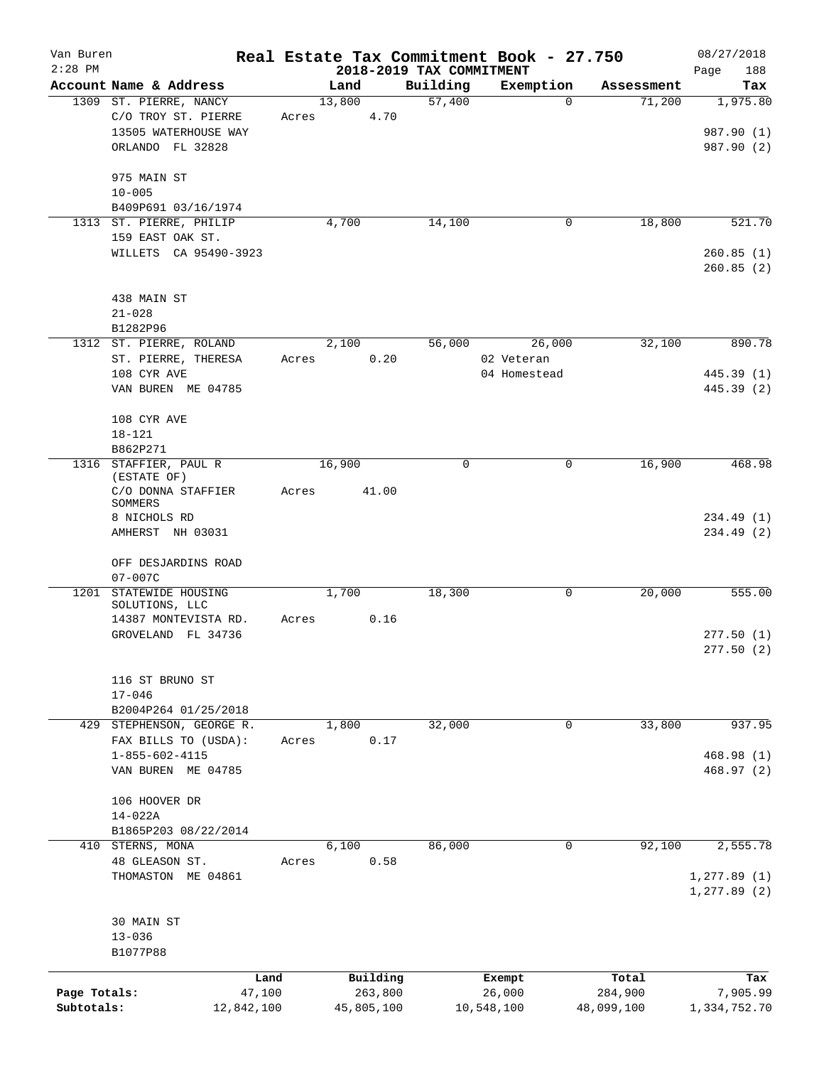| Van Buren    |                                            |                |                          |             | Real Estate Tax Commitment Book - 27.750 |                  | 08/27/2018               |
|--------------|--------------------------------------------|----------------|--------------------------|-------------|------------------------------------------|------------------|--------------------------|
| $2:28$ PM    |                                            |                | 2018-2019 TAX COMMITMENT |             |                                          |                  | 188<br>Page              |
|              | Account Name & Address                     |                | Land                     | Building    | Exemption                                | Assessment       | Tax                      |
|              | 1309 ST. PIERRE, NANCY                     |                | 13,800                   | 57,400      | 0                                        | 71,200           | 1,975.80                 |
|              | C/O TROY ST. PIERRE                        | Acres          | 4.70                     |             |                                          |                  |                          |
|              | 13505 WATERHOUSE WAY                       |                |                          |             |                                          |                  | 987.90 (1)               |
|              | ORLANDO FL 32828                           |                |                          |             |                                          |                  | 987.90 (2)               |
|              | 975 MAIN ST                                |                |                          |             |                                          |                  |                          |
|              | $10 - 005$                                 |                |                          |             |                                          |                  |                          |
|              | B409P691 03/16/1974                        |                |                          |             |                                          |                  |                          |
| 1313         | ST. PIERRE, PHILIP                         |                | 4,700                    | 14,100      | 0                                        | 18,800           | 521.70                   |
|              | 159 EAST OAK ST.                           |                |                          |             |                                          |                  |                          |
|              | WILLETS CA 95490-3923                      |                |                          |             |                                          |                  | 260.85(1)                |
|              |                                            |                |                          |             |                                          |                  | 260.85(2)                |
|              | 438 MAIN ST                                |                |                          |             |                                          |                  |                          |
|              | $21 - 028$                                 |                |                          |             |                                          |                  |                          |
|              | B1282P96                                   |                |                          |             |                                          |                  |                          |
|              | 1312 ST. PIERRE, ROLAND                    |                | 2,100                    | 56,000      | 26,000                                   | 32,100           | 890.78                   |
|              | ST. PIERRE, THERESA                        | Acres          | 0.20                     |             | 02 Veteran                               |                  |                          |
|              |                                            |                |                          |             | 04 Homestead                             |                  |                          |
|              | 108 CYR AVE<br>VAN BUREN ME 04785          |                |                          |             |                                          |                  | 445.39 (1)<br>445.39 (2) |
|              |                                            |                |                          |             |                                          |                  |                          |
|              | 108 CYR AVE                                |                |                          |             |                                          |                  |                          |
|              | $18 - 121$                                 |                |                          |             |                                          |                  |                          |
|              | B862P271                                   |                |                          |             |                                          |                  |                          |
|              | 1316 STAFFIER, PAUL R<br>(ESTATE OF)       |                | 16,900                   | $\mathbf 0$ | $\mathbf 0$                              | 16,900           | 468.98                   |
|              | C/O DONNA STAFFIER                         | Acres          | 41.00                    |             |                                          |                  |                          |
|              | SOMMERS                                    |                |                          |             |                                          |                  |                          |
|              | 8 NICHOLS RD                               |                |                          |             |                                          |                  | 234.49(1)                |
|              | AMHERST NH 03031                           |                |                          |             |                                          |                  | 234.49 (2)               |
|              |                                            |                |                          |             |                                          |                  |                          |
|              | OFF DESJARDINS ROAD                        |                |                          |             |                                          |                  |                          |
|              | $07 - 007C$                                |                |                          |             |                                          |                  |                          |
| 1201         | STATEWIDE HOUSING                          |                | 1,700                    | 18,300      | 0                                        | 20,000           | 555.00                   |
|              | SOLUTIONS, LLC                             |                | 0.16                     |             |                                          |                  |                          |
|              | 14387 MONTEVISTA RD.<br>GROVELAND FL 34736 | Acres          |                          |             |                                          |                  |                          |
|              |                                            |                |                          |             |                                          |                  | 277.50(1)                |
|              |                                            |                |                          |             |                                          |                  | 277.50(2)                |
|              | 116 ST BRUNO ST                            |                |                          |             |                                          |                  |                          |
|              | $17 - 046$                                 |                |                          |             |                                          |                  |                          |
|              | B2004P264 01/25/2018                       |                |                          |             |                                          |                  |                          |
|              | 429 STEPHENSON, GEORGE R.                  |                | 1,800                    | 32,000      | $\mathbf 0$                              | 33,800           | 937.95                   |
|              | FAX BILLS TO (USDA):                       | Acres          | 0.17                     |             |                                          |                  |                          |
|              | $1 - 855 - 602 - 4115$                     |                |                          |             |                                          |                  | 468.98(1)                |
|              | VAN BUREN ME 04785                         |                |                          |             |                                          |                  |                          |
|              |                                            |                |                          |             |                                          |                  | 468.97(2)                |
|              | 106 HOOVER DR                              |                |                          |             |                                          |                  |                          |
|              | 14-022A                                    |                |                          |             |                                          |                  |                          |
|              | B1865P203 08/22/2014                       |                |                          |             |                                          |                  |                          |
|              | 410 STERNS, MONA                           |                | 6,100                    | 86,000      | 0                                        | 92,100           | 2,555.78                 |
|              | 48 GLEASON ST.                             | Acres          | 0.58                     |             |                                          |                  |                          |
|              | THOMASTON ME 04861                         |                |                          |             |                                          |                  | 1, 277.89(1)             |
|              |                                            |                |                          |             |                                          |                  | 1, 277.89(2)             |
|              |                                            |                |                          |             |                                          |                  |                          |
|              | 30 MAIN ST                                 |                |                          |             |                                          |                  |                          |
|              | $13 - 036$<br>B1077P88                     |                |                          |             |                                          |                  |                          |
|              |                                            |                |                          |             |                                          |                  |                          |
| Page Totals: |                                            | Land<br>47,100 | Building<br>263,800      |             | Exempt<br>26,000                         | Total<br>284,900 | Tax<br>7,905.99          |
| Subtotals:   |                                            | 12,842,100     | 45,805,100               |             | 10,548,100                               | 48,099,100       | 1,334,752.70             |
|              |                                            |                |                          |             |                                          |                  |                          |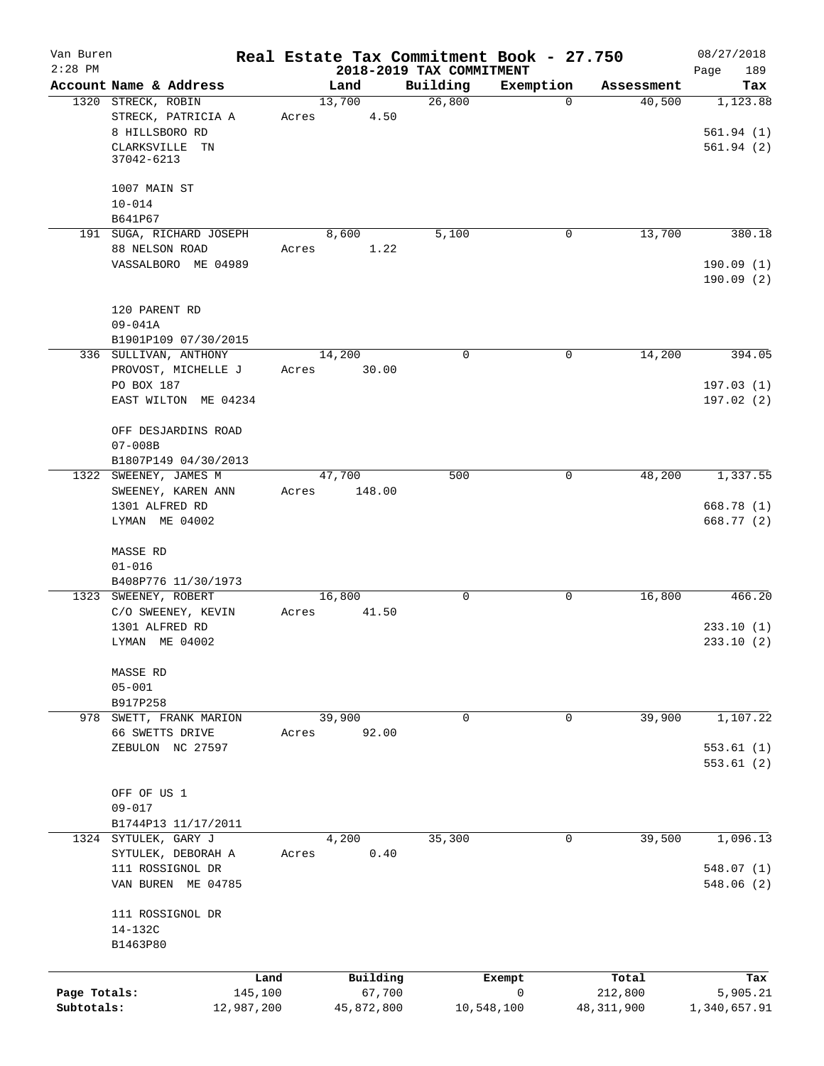| Van Buren<br>$2:28$ PM     |                                                                                            | Real Estate Tax Commitment Book - 27.750 | 2018-2019 TAX COMMITMENT   |              |                         | 08/27/2018<br>189<br>Page          |
|----------------------------|--------------------------------------------------------------------------------------------|------------------------------------------|----------------------------|--------------|-------------------------|------------------------------------|
|                            | Account Name & Address                                                                     | Land                                     | Building                   | Exemption    | Assessment              | Tax                                |
|                            | 1320 STRECK, ROBIN<br>STRECK, PATRICIA A<br>8 HILLSBORO RD<br>CLARKSVILLE TN<br>37042-6213 | 13,700<br>4.50<br>Acres                  | 26,800                     | $\Omega$     | 40,500                  | 1,123.88<br>561.94(1)<br>561.94(2) |
|                            | 1007 MAIN ST                                                                               |                                          |                            |              |                         |                                    |
|                            | $10 - 014$<br>B641P67                                                                      |                                          |                            |              |                         |                                    |
|                            | 191 SUGA, RICHARD JOSEPH<br>88 NELSON ROAD<br>VASSALBORO ME 04989                          | 8,600<br>1.22<br>Acres                   | 5,100                      | 0            | 13,700                  | 380.18<br>190.09(1)                |
|                            | 120 PARENT RD<br>$09 - 041A$<br>B1901P109 07/30/2015                                       |                                          |                            |              |                         | 190.09(2)                          |
|                            | 336 SULLIVAN, ANTHONY                                                                      | 14,200                                   | $\mathbf 0$                | 0            | 14,200                  | 394.05                             |
|                            | PROVOST, MICHELLE J<br>PO BOX 187<br>EAST WILTON ME 04234                                  | 30.00<br>Acres                           |                            |              |                         | 197.03(1)<br>197.02(2)             |
|                            | OFF DESJARDINS ROAD<br>$07 - 008B$<br>B1807P149 04/30/2013                                 |                                          |                            |              |                         |                                    |
|                            | 1322 SWEENEY, JAMES M<br>SWEENEY, KAREN ANN                                                | 47,700<br>148.00<br>Acres                | 500                        | $\mathbf 0$  | 48,200                  | 1,337.55                           |
|                            | 1301 ALFRED RD<br>LYMAN ME 04002                                                           |                                          |                            |              |                         | 668.78 (1)<br>668.77 (2)           |
|                            | MASSE RD<br>$01 - 016$<br>B408P776 11/30/1973                                              |                                          |                            |              |                         |                                    |
|                            | 1323 SWEENEY, ROBERT<br>C/O SWEENEY, KEVIN<br>1301 ALFRED RD<br>LYMAN ME 04002             | 16,800<br>41.50<br>Acres                 | 0                          | 0            | 16,800                  | 466.20<br>233.10(1)<br>233.10(2)   |
|                            | MASSE RD<br>$05 - 001$<br>B917P258                                                         |                                          |                            |              |                         |                                    |
|                            | 978 SWETT, FRANK MARION                                                                    | 39,900                                   | $\mathbf 0$                | 0            | 39,900                  | 1,107.22                           |
|                            | 66 SWETTS DRIVE<br>ZEBULON NC 27597                                                        | 92.00<br>Acres                           |                            |              |                         | 553.61(1)<br>553.61(2)             |
|                            | OFF OF US 1<br>$09 - 017$<br>B1744P13 11/17/2011                                           |                                          |                            |              |                         |                                    |
|                            | 1324 SYTULEK, GARY J<br>SYTULEK, DEBORAH A<br>111 ROSSIGNOL DR<br>VAN BUREN ME 04785       | 4,200<br>0.40<br>Acres                   | 35,300                     | $\mathbf{0}$ | 39,500                  | 1,096.13<br>548.07(1)<br>548.06(2) |
|                            | 111 ROSSIGNOL DR<br>14-132C<br>B1463P80                                                    |                                          |                            |              |                         |                                    |
|                            |                                                                                            | Building<br>Land                         | Exempt                     |              | Total                   | Tax                                |
| Page Totals:<br>Subtotals: | 145,100<br>12,987,200                                                                      | 67,700<br>45,872,800                     | $\mathsf{O}$<br>10,548,100 |              | 212,800<br>48, 311, 900 | 5,905.21<br>1,340,657.91           |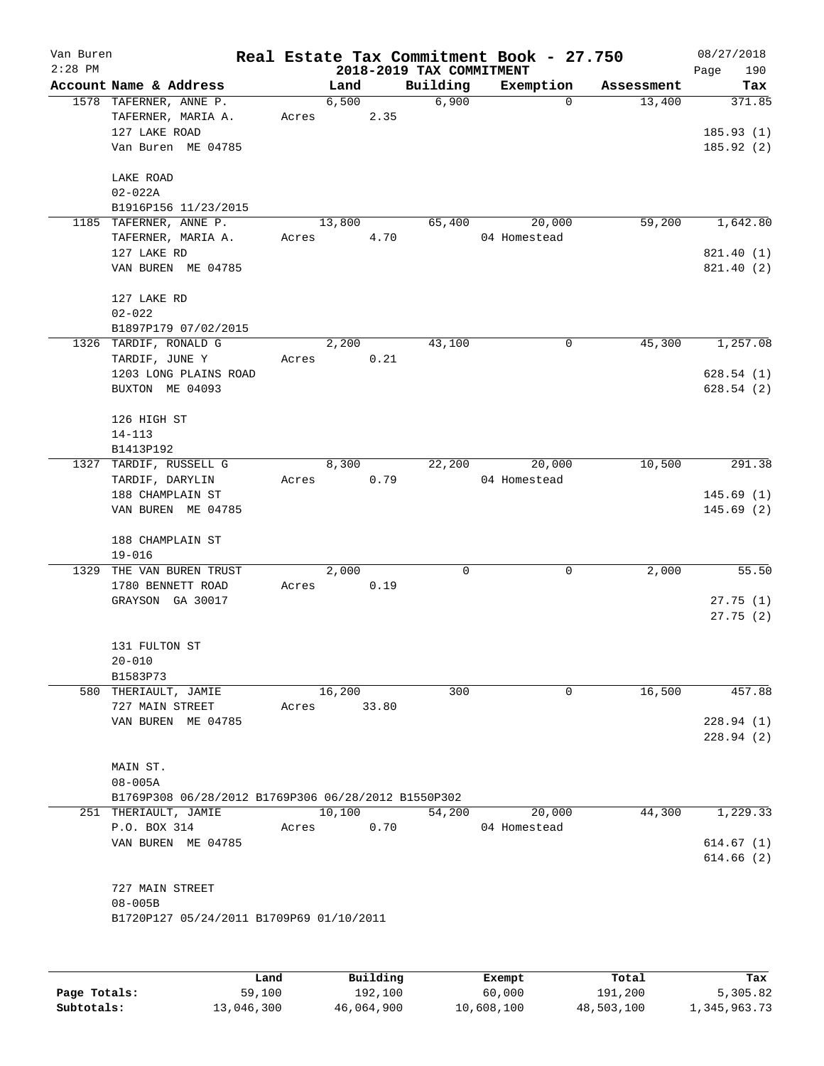|      | Account Name & Address                                  |       |        |       | 2018-2019 TAX COMMITMENT |                        |            | Page<br>190              |
|------|---------------------------------------------------------|-------|--------|-------|--------------------------|------------------------|------------|--------------------------|
|      |                                                         |       | Land   |       | Building                 | Exemption              | Assessment | Tax                      |
|      | 1578 TAFERNER, ANNE P.<br>TAFERNER, MARIA A.            | Acres | 6,500  | 2.35  | 6,900                    | $\Omega$               | 13,400     | 371.85                   |
|      | 127 LAKE ROAD<br>Van Buren ME 04785                     |       |        |       |                          |                        |            | 185.93(1)<br>185.92(2)   |
|      | LAKE ROAD<br>$02 - 022A$<br>B1916P156 11/23/2015        |       |        |       |                          |                        |            |                          |
|      | 1185 TAFERNER, ANNE P.<br>TAFERNER, MARIA A.            | Acres | 13,800 | 4.70  | 65,400                   | 20,000<br>04 Homestead | 59,200     | 1,642.80                 |
|      | 127 LAKE RD<br>VAN BUREN ME 04785                       |       |        |       |                          |                        |            | 821.40 (1)<br>821.40 (2) |
|      | 127 LAKE RD<br>$02 - 022$                               |       |        |       |                          |                        |            |                          |
|      | B1897P179 07/02/2015<br>1326 TARDIF, RONALD G           |       | 2,200  |       | 43,100                   | 0                      | 45,300     | 1,257.08                 |
|      | TARDIF, JUNE Y<br>1203 LONG PLAINS ROAD                 | Acres |        | 0.21  |                          |                        |            | 628.54(1)                |
|      | BUXTON ME 04093                                         |       |        |       |                          |                        |            | 628.54(2)                |
|      | 126 HIGH ST<br>$14 - 113$                               |       |        |       |                          |                        |            |                          |
|      | B1413P192                                               |       |        |       |                          |                        |            |                          |
|      | 1327 TARDIF, RUSSELL G<br>TARDIF, DARYLIN               | Acres | 8,300  | 0.79  | 22,200                   | 20,000<br>04 Homestead | 10,500     | $\overline{291}.38$      |
|      | 188 CHAMPLAIN ST<br>VAN BUREN ME 04785                  |       |        |       |                          |                        |            | 145.69(1)<br>145.69(2)   |
|      | 188 CHAMPLAIN ST<br>$19 - 016$                          |       |        |       |                          |                        |            |                          |
| 1329 | THE VAN BUREN TRUST<br>1780 BENNETT ROAD                | Acres | 2,000  | 0.19  | 0                        | $\mathbf 0$            | 2,000      | 55.50                    |
|      | GRAYSON GA 30017                                        |       |        |       |                          |                        |            | 27.75(1)<br>27.75(2)     |
|      | 131 FULTON ST<br>$20 - 010$                             |       |        |       |                          |                        |            |                          |
|      | B1583P73<br>580 THERIAULT, JAMIE                        |       | 16,200 |       | 300                      | $\mathbf 0$            | 16,500     | 457.88                   |
|      | 727 MAIN STREET                                         | Acres |        | 33.80 |                          |                        |            |                          |
|      | VAN BUREN ME 04785                                      |       |        |       |                          |                        |            | 228.94(1)                |
|      |                                                         |       |        |       |                          |                        |            | 228.94(2)                |
|      | MAIN ST.<br>$08 - 005A$                                 |       |        |       |                          |                        |            |                          |
|      | B1769P308 06/28/2012 B1769P306 06/28/2012 B1550P302     |       |        |       |                          |                        |            |                          |
|      | 251 THERIAULT, JAMIE<br>P.O. BOX 314                    | Acres | 10,100 | 0.70  | 54,200                   | 20,000<br>04 Homestead | 44,300     | 1,229.33                 |
|      | VAN BUREN ME 04785                                      |       |        |       |                          |                        |            | 614.67(1)                |
|      |                                                         |       |        |       |                          |                        |            | 614.66(2)                |
|      | 727 MAIN STREET                                         |       |        |       |                          |                        |            |                          |
|      | $08 - 005B$<br>B1720P127 05/24/2011 B1709P69 01/10/2011 |       |        |       |                          |                        |            |                          |
|      |                                                         |       |        |       |                          |                        |            |                          |

|              | Land       | Building   | Exempt     | Total      | Tax          |
|--------------|------------|------------|------------|------------|--------------|
| Page Totals: | 59,100     | 192,100    | 60,000     | 191,200    | 5,305.82     |
| Subtotals:   | 13,046,300 | 46,064,900 | 10,608,100 | 48,503,100 | 1,345,963.73 |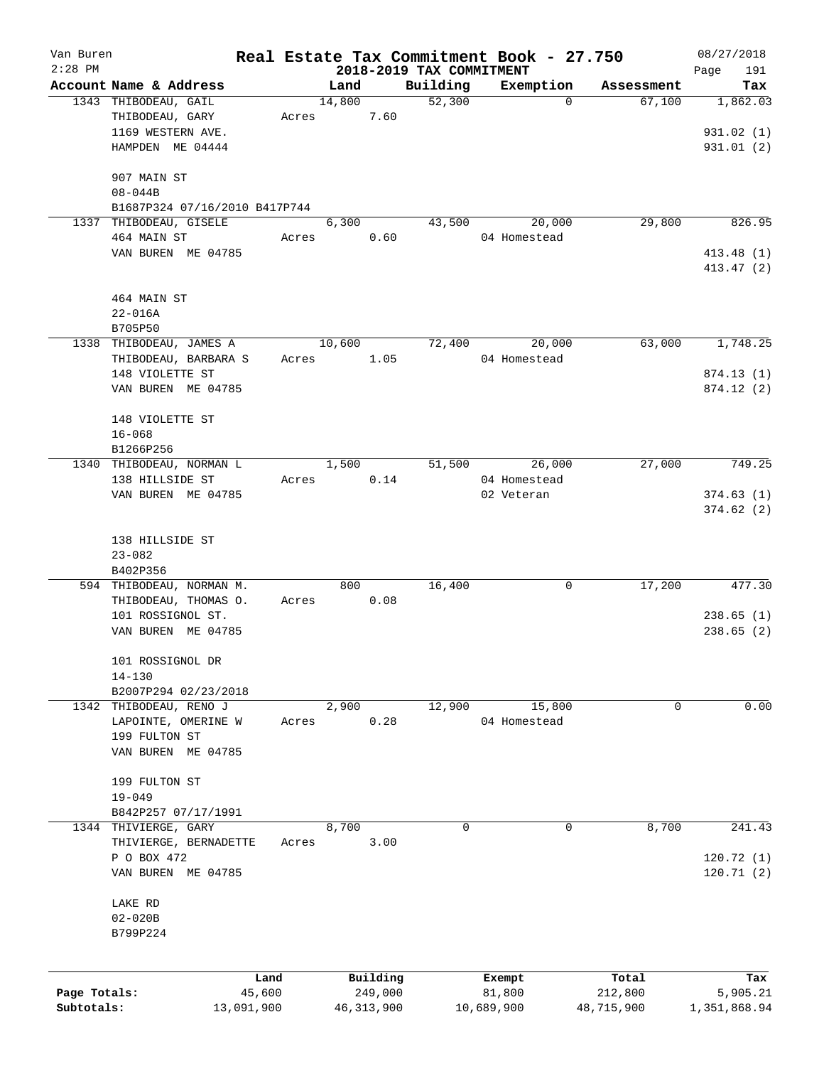| Van Buren<br>$2:28$ PM |                                       |            |        |              |                                      | Real Estate Tax Commitment Book - 27.750 |            | 08/27/2018         |
|------------------------|---------------------------------------|------------|--------|--------------|--------------------------------------|------------------------------------------|------------|--------------------|
|                        | Account Name & Address                |            | Land   |              | 2018-2019 TAX COMMITMENT<br>Building | Exemption                                | Assessment | 191<br>Page<br>Tax |
|                        | 1343 THIBODEAU, GAIL                  |            | 14,800 |              | 52,300                               | $\Omega$                                 | 67,100     | 1,862.03           |
|                        | THIBODEAU, GARY                       | Acres      |        | 7.60         |                                      |                                          |            |                    |
|                        | 1169 WESTERN AVE.                     |            |        |              |                                      |                                          |            | 931.02(1)          |
|                        | HAMPDEN ME 04444                      |            |        |              |                                      |                                          |            | 931.01(2)          |
|                        |                                       |            |        |              |                                      |                                          |            |                    |
|                        | 907 MAIN ST                           |            |        |              |                                      |                                          |            |                    |
|                        | $08 - 044B$                           |            |        |              |                                      |                                          |            |                    |
|                        | B1687P324 07/16/2010 B417P744         |            |        |              |                                      |                                          |            |                    |
|                        | 1337 THIBODEAU, GISELE                |            | 6,300  |              | 43,500                               | 20,000                                   | 29,800     | 826.95             |
|                        | 464 MAIN ST                           | Acres      |        | 0.60         |                                      | 04 Homestead                             |            |                    |
|                        | VAN BUREN ME 04785                    |            |        |              |                                      |                                          |            | 413.48(1)          |
|                        |                                       |            |        |              |                                      |                                          |            | 413.47 (2)         |
|                        |                                       |            |        |              |                                      |                                          |            |                    |
|                        | 464 MAIN ST                           |            |        |              |                                      |                                          |            |                    |
|                        | $22 - 016A$                           |            |        |              |                                      |                                          |            |                    |
|                        | B705P50                               |            |        |              |                                      |                                          |            |                    |
|                        | 1338 THIBODEAU, JAMES A               |            | 10,600 |              | 72,400                               | 20,000                                   | 63,000     | 1,748.25           |
|                        | THIBODEAU, BARBARA S                  | Acres      |        | 1.05         |                                      | 04 Homestead                             |            |                    |
|                        | 148 VIOLETTE ST                       |            |        |              |                                      |                                          |            | 874.13 (1)         |
|                        | VAN BUREN ME 04785                    |            |        |              |                                      |                                          |            | 874.12(2)          |
|                        |                                       |            |        |              |                                      |                                          |            |                    |
|                        | 148 VIOLETTE ST                       |            |        |              |                                      |                                          |            |                    |
|                        | $16 - 068$                            |            |        |              |                                      |                                          |            |                    |
|                        | B1266P256                             |            |        |              |                                      |                                          |            |                    |
|                        | 1340 THIBODEAU, NORMAN L              |            | 1,500  |              | 51,500                               | 26,000<br>04 Homestead                   | 27,000     | 749.25             |
|                        | 138 HILLSIDE ST<br>VAN BUREN ME 04785 | Acres      |        | 0.14         |                                      | 02 Veteran                               |            | 374.63(1)          |
|                        |                                       |            |        |              |                                      |                                          |            | 374.62(2)          |
|                        |                                       |            |        |              |                                      |                                          |            |                    |
|                        | 138 HILLSIDE ST                       |            |        |              |                                      |                                          |            |                    |
|                        | $23 - 082$                            |            |        |              |                                      |                                          |            |                    |
|                        | B402P356                              |            |        |              |                                      |                                          |            |                    |
|                        | 594 THIBODEAU, NORMAN M.              |            | 800    |              | 16,400                               | 0                                        | 17,200     | 477.30             |
|                        | THIBODEAU, THOMAS O.                  | Acres      |        | 0.08         |                                      |                                          |            |                    |
|                        | 101 ROSSIGNOL ST.                     |            |        |              |                                      |                                          |            | 238.65(1)          |
|                        | VAN BUREN ME 04785                    |            |        |              |                                      |                                          |            | 238.65(2)          |
|                        |                                       |            |        |              |                                      |                                          |            |                    |
|                        | 101 ROSSIGNOL DR                      |            |        |              |                                      |                                          |            |                    |
|                        | $14 - 130$                            |            |        |              |                                      |                                          |            |                    |
|                        | B2007P294 02/23/2018                  |            |        |              |                                      |                                          |            |                    |
|                        | 1342 THIBODEAU, RENO J                |            | 2,900  |              | 12,900                               | 15,800                                   | 0          | 0.00               |
|                        | LAPOINTE, OMERINE W                   | Acres      |        | 0.28         |                                      | 04 Homestead                             |            |                    |
|                        | 199 FULTON ST                         |            |        |              |                                      |                                          |            |                    |
|                        | VAN BUREN ME 04785                    |            |        |              |                                      |                                          |            |                    |
|                        |                                       |            |        |              |                                      |                                          |            |                    |
|                        | 199 FULTON ST                         |            |        |              |                                      |                                          |            |                    |
|                        | $19 - 049$                            |            |        |              |                                      |                                          |            |                    |
|                        | B842P257 07/17/1991                   |            |        |              |                                      |                                          |            |                    |
|                        | 1344 THIVIERGE, GARY                  |            | 8,700  |              | 0                                    | 0                                        | 8,700      | 241.43             |
|                        | THIVIERGE, BERNADETTE                 | Acres      |        | 3.00         |                                      |                                          |            |                    |
|                        | P O BOX 472                           |            |        |              |                                      |                                          |            | 120.72(1)          |
|                        | VAN BUREN ME 04785                    |            |        |              |                                      |                                          |            | 120.71(2)          |
|                        |                                       |            |        |              |                                      |                                          |            |                    |
|                        | LAKE RD                               |            |        |              |                                      |                                          |            |                    |
|                        | $02 - 020B$                           |            |        |              |                                      |                                          |            |                    |
|                        | B799P224                              |            |        |              |                                      |                                          |            |                    |
|                        |                                       |            |        |              |                                      |                                          |            |                    |
|                        |                                       | Land       |        | Building     |                                      | Exempt                                   | Total      | Tax                |
| Page Totals:           |                                       | 45,600     |        | 249,000      |                                      | 81,800                                   | 212,800    | 5,905.21           |
| Subtotals:             |                                       | 13,091,900 |        | 46, 313, 900 |                                      | 10,689,900                               | 48,715,900 | 1,351,868.94       |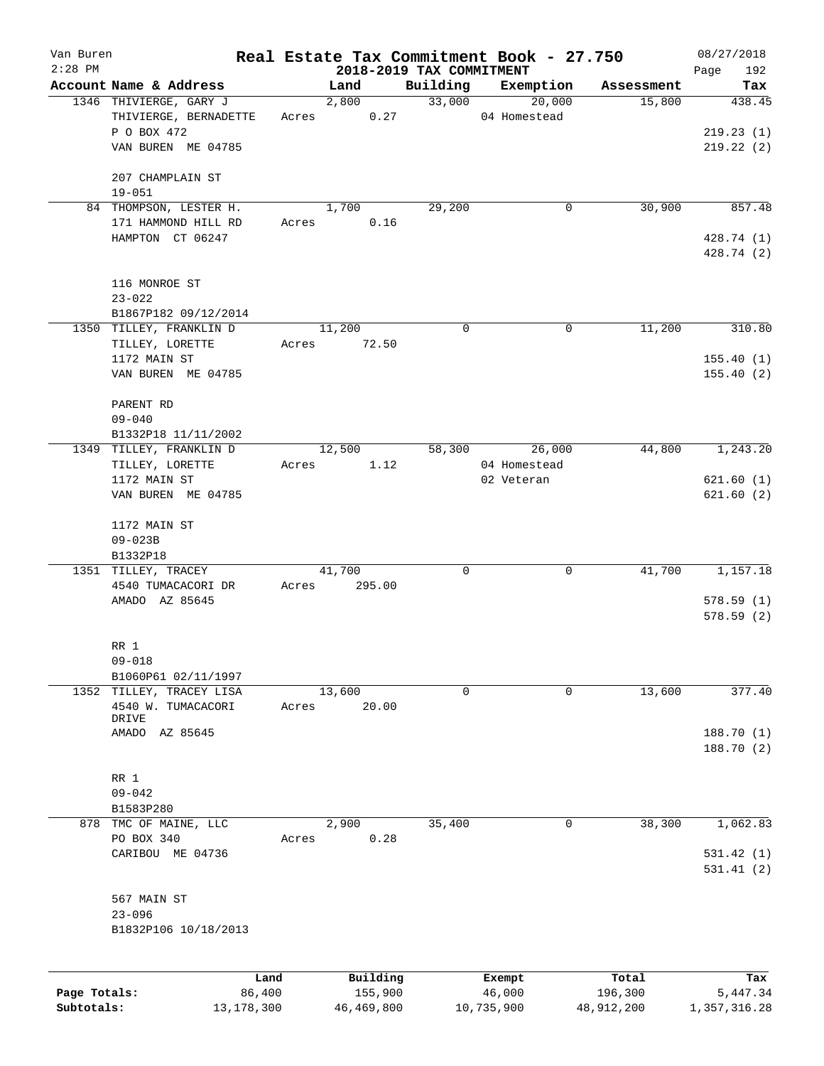| Van Buren<br>$2:28$ PM     |                                                 |                        |                       |                                      | Real Estate Tax Commitment Book - 27.750 |                       | 08/27/2018               |
|----------------------------|-------------------------------------------------|------------------------|-----------------------|--------------------------------------|------------------------------------------|-----------------------|--------------------------|
|                            | Account Name & Address                          |                        |                       | 2018-2019 TAX COMMITMENT<br>Building | Exemption                                |                       | 192<br>Page              |
|                            |                                                 |                        | Land<br>2,800         | 33,000                               | 20,000                                   | Assessment<br>15,800  | Tax<br>438.45            |
|                            | 1346 THIVIERGE, GARY J<br>THIVIERGE, BERNADETTE | Acres                  | 0.27                  |                                      | 04 Homestead                             |                       |                          |
|                            | P O BOX 472                                     |                        |                       |                                      |                                          |                       | 219.23(1)                |
|                            | VAN BUREN ME 04785                              |                        |                       |                                      |                                          |                       | 219.22(2)                |
|                            |                                                 |                        |                       |                                      |                                          |                       |                          |
|                            | 207 CHAMPLAIN ST                                |                        |                       |                                      |                                          |                       |                          |
|                            | $19 - 051$                                      |                        |                       |                                      |                                          |                       |                          |
|                            | 84 THOMPSON, LESTER H.                          |                        | 1,700                 | 29,200                               | 0                                        | 30,900                | 857.48                   |
|                            | 171 HAMMOND HILL RD                             | Acres                  | 0.16                  |                                      |                                          |                       |                          |
|                            | HAMPTON CT 06247                                |                        |                       |                                      |                                          |                       | 428.74 (1)               |
|                            |                                                 |                        |                       |                                      |                                          |                       | 428.74 (2)               |
|                            |                                                 |                        |                       |                                      |                                          |                       |                          |
|                            | 116 MONROE ST                                   |                        |                       |                                      |                                          |                       |                          |
|                            | $23 - 022$<br>B1867P182 09/12/2014              |                        |                       |                                      |                                          |                       |                          |
|                            | 1350 TILLEY, FRANKLIN D                         |                        | 11,200                | $\mathbf 0$                          | 0                                        | 11,200                | 310.80                   |
|                            | TILLEY, LORETTE                                 | Acres                  | 72.50                 |                                      |                                          |                       |                          |
|                            | 1172 MAIN ST                                    |                        |                       |                                      |                                          |                       | 155.40(1)                |
|                            | VAN BUREN ME 04785                              |                        |                       |                                      |                                          |                       | 155.40(2)                |
|                            |                                                 |                        |                       |                                      |                                          |                       |                          |
|                            | PARENT RD                                       |                        |                       |                                      |                                          |                       |                          |
|                            | $09 - 040$                                      |                        |                       |                                      |                                          |                       |                          |
|                            | B1332P18 11/11/2002                             |                        |                       |                                      |                                          |                       |                          |
|                            | 1349 TILLEY, FRANKLIN D                         |                        | 12,500                | 58,300                               | 26,000                                   | 44,800                | 1,243.20                 |
|                            | TILLEY, LORETTE                                 | Acres                  | 1.12                  |                                      | 04 Homestead                             |                       |                          |
|                            | 1172 MAIN ST                                    |                        |                       |                                      | 02 Veteran                               |                       | 621.60(1)                |
|                            | VAN BUREN ME 04785                              |                        |                       |                                      |                                          |                       | 621.60(2)                |
|                            | 1172 MAIN ST                                    |                        |                       |                                      |                                          |                       |                          |
|                            | $09 - 023B$                                     |                        |                       |                                      |                                          |                       |                          |
|                            | B1332P18                                        |                        |                       |                                      |                                          |                       |                          |
|                            | 1351 TILLEY, TRACEY                             |                        | 41,700                | $\mathbf 0$                          | $\mathbf 0$                              | 41,700                | 1,157.18                 |
|                            | 4540 TUMACACORI DR                              | Acres                  | 295.00                |                                      |                                          |                       |                          |
|                            | AMADO AZ 85645                                  |                        |                       |                                      |                                          |                       | 578.59(1)                |
|                            |                                                 |                        |                       |                                      |                                          |                       | 578.59(2)                |
|                            |                                                 |                        |                       |                                      |                                          |                       |                          |
|                            | RR 1                                            |                        |                       |                                      |                                          |                       |                          |
|                            | $09 - 018$                                      |                        |                       |                                      |                                          |                       |                          |
|                            | B1060P61 02/11/1997<br>1352 TILLEY, TRACEY LISA |                        | 13,600                | 0                                    | 0                                        | 13,600                | 377.40                   |
|                            | 4540 W. TUMACACORI                              | Acres                  | 20.00                 |                                      |                                          |                       |                          |
|                            | DRIVE                                           |                        |                       |                                      |                                          |                       |                          |
|                            | AMADO AZ 85645                                  |                        |                       |                                      |                                          |                       | 188.70 (1)               |
|                            |                                                 |                        |                       |                                      |                                          |                       | 188.70 (2)               |
|                            |                                                 |                        |                       |                                      |                                          |                       |                          |
|                            | RR 1                                            |                        |                       |                                      |                                          |                       |                          |
|                            | $09 - 042$<br>B1583P280                         |                        |                       |                                      |                                          |                       |                          |
|                            | 878 TMC OF MAINE, LLC                           |                        | 2,900                 | 35,400                               | 0                                        | 38,300                | 1,062.83                 |
|                            | PO BOX 340                                      | Acres                  | 0.28                  |                                      |                                          |                       |                          |
|                            | CARIBOU ME 04736                                |                        |                       |                                      |                                          |                       | 531.42(1)                |
|                            |                                                 |                        |                       |                                      |                                          |                       | 531.41(2)                |
|                            |                                                 |                        |                       |                                      |                                          |                       |                          |
|                            | 567 MAIN ST                                     |                        |                       |                                      |                                          |                       |                          |
|                            | $23 - 096$                                      |                        |                       |                                      |                                          |                       |                          |
|                            | B1832P106 10/18/2013                            |                        |                       |                                      |                                          |                       |                          |
|                            |                                                 |                        |                       |                                      |                                          |                       |                          |
|                            |                                                 |                        |                       |                                      |                                          |                       |                          |
|                            |                                                 | Land                   | Building              |                                      | Exempt                                   | Total                 | Tax                      |
| Page Totals:<br>Subtotals: |                                                 | 86,400<br>13, 178, 300 | 155,900<br>46,469,800 |                                      | 46,000<br>10,735,900                     | 196,300<br>48,912,200 | 5,447.34<br>1,357,316.28 |
|                            |                                                 |                        |                       |                                      |                                          |                       |                          |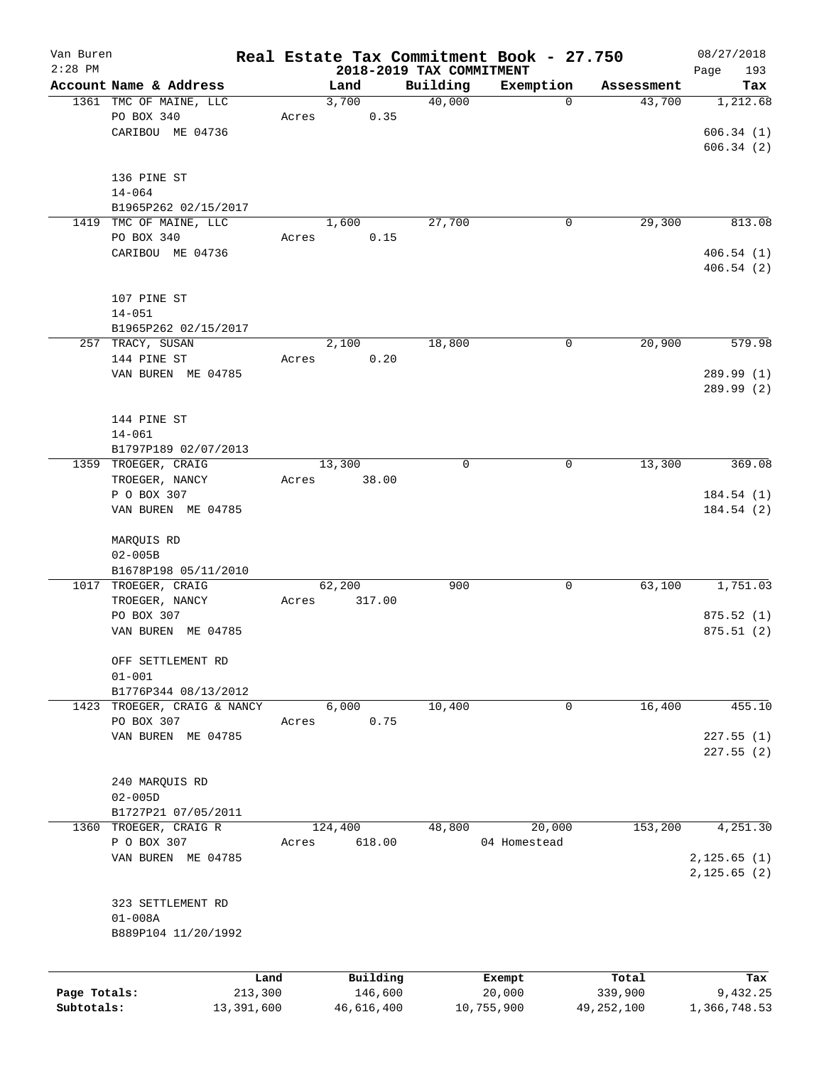| Van Buren    |                        |            |       |         |            |                          | Real Estate Tax Commitment Book - 27.750 |              | 08/27/2018   |
|--------------|------------------------|------------|-------|---------|------------|--------------------------|------------------------------------------|--------------|--------------|
| $2:28$ PM    |                        |            |       |         |            | 2018-2019 TAX COMMITMENT |                                          |              | Page<br>193  |
|              | Account Name & Address |            |       | Land    |            | Building                 | Exemption                                | Assessment   | Tax          |
|              | 1361 TMC OF MAINE, LLC |            |       | 3,700   |            | 40,000                   | $\mathbf 0$                              | 43,700       | 1,212.68     |
|              | PO BOX 340             |            | Acres |         | 0.35       |                          |                                          |              |              |
|              | CARIBOU ME 04736       |            |       |         |            |                          |                                          |              | 606.34(1)    |
|              |                        |            |       |         |            |                          |                                          |              | 606.34(2)    |
|              |                        |            |       |         |            |                          |                                          |              |              |
|              | 136 PINE ST            |            |       |         |            |                          |                                          |              |              |
|              | $14 - 064$             |            |       |         |            |                          |                                          |              |              |
|              | B1965P262 02/15/2017   |            |       |         |            |                          |                                          |              |              |
| 1419         | TMC OF MAINE, LLC      |            |       | 1,600   |            | 27,700                   | 0                                        | 29,300       | 813.08       |
|              | PO BOX 340             |            | Acres |         | 0.15       |                          |                                          |              |              |
|              | CARIBOU ME 04736       |            |       |         |            |                          |                                          |              | 406.54(1)    |
|              |                        |            |       |         |            |                          |                                          |              | 406.54(2)    |
|              |                        |            |       |         |            |                          |                                          |              |              |
|              | 107 PINE ST            |            |       |         |            |                          |                                          |              |              |
|              | $14 - 051$             |            |       |         |            |                          |                                          |              |              |
|              | B1965P262 02/15/2017   |            |       |         |            |                          |                                          |              |              |
|              | 257 TRACY, SUSAN       |            |       | 2,100   |            | 18,800                   | 0                                        | 20,900       | 579.98       |
|              | 144 PINE ST            |            | Acres |         | 0.20       |                          |                                          |              |              |
|              | VAN BUREN ME 04785     |            |       |         |            |                          |                                          |              | 289.99 (1)   |
|              |                        |            |       |         |            |                          |                                          |              | 289.99 (2)   |
|              |                        |            |       |         |            |                          |                                          |              |              |
|              | 144 PINE ST            |            |       |         |            |                          |                                          |              |              |
|              | $14 - 061$             |            |       |         |            |                          |                                          |              |              |
|              | B1797P189 02/07/2013   |            |       |         |            |                          |                                          |              |              |
|              | 1359 TROEGER, CRAIG    |            |       | 13,300  |            | 0                        | 0                                        | 13,300       | 369.08       |
|              | TROEGER, NANCY         |            | Acres |         | 38.00      |                          |                                          |              |              |
|              | P O BOX 307            |            |       |         |            |                          |                                          |              | 184.54(1)    |
|              |                        |            |       |         |            |                          |                                          |              |              |
|              | VAN BUREN ME 04785     |            |       |         |            |                          |                                          |              | 184.54(2)    |
|              |                        |            |       |         |            |                          |                                          |              |              |
|              | MARQUIS RD             |            |       |         |            |                          |                                          |              |              |
|              | $02 - 005B$            |            |       |         |            |                          |                                          |              |              |
|              | B1678P198 05/11/2010   |            |       |         |            |                          |                                          |              |              |
| 1017         | TROEGER, CRAIG         |            |       | 62,200  |            | 900                      | 0                                        | 63,100       | 1,751.03     |
|              | TROEGER, NANCY         |            | Acres |         | 317.00     |                          |                                          |              |              |
|              | PO BOX 307             |            |       |         |            |                          |                                          |              | 875.52(1)    |
|              | VAN BUREN ME 04785     |            |       |         |            |                          |                                          |              | 875.51(2)    |
|              |                        |            |       |         |            |                          |                                          |              |              |
|              | OFF SETTLEMENT RD      |            |       |         |            |                          |                                          |              |              |
|              | $01 - 001$             |            |       |         |            |                          |                                          |              |              |
|              | B1776P344 08/13/2012   |            |       |         |            |                          |                                          |              |              |
| 1423         | TROEGER, CRAIG & NANCY |            |       | 6,000   |            | 10,400                   | 0                                        | 16,400       | 455.10       |
|              | PO BOX 307             |            | Acres |         | 0.75       |                          |                                          |              |              |
|              | VAN BUREN ME 04785     |            |       |         |            |                          |                                          |              | 227.55(1)    |
|              |                        |            |       |         |            |                          |                                          |              | 227.55(2)    |
|              |                        |            |       |         |            |                          |                                          |              |              |
|              | 240 MARQUIS RD         |            |       |         |            |                          |                                          |              |              |
|              | $02 - 005D$            |            |       |         |            |                          |                                          |              |              |
|              | B1727P21 07/05/2011    |            |       |         |            |                          |                                          |              |              |
| 1360         | TROEGER, CRAIG R       |            |       | 124,400 |            | 48,800                   | 20,000                                   | 153,200      | 4,251.30     |
|              | P O BOX 307            |            | Acres |         | 618.00     |                          | 04 Homestead                             |              |              |
|              | VAN BUREN ME 04785     |            |       |         |            |                          |                                          |              | 2,125.65(1)  |
|              |                        |            |       |         |            |                          |                                          |              | 2, 125.65(2) |
|              |                        |            |       |         |            |                          |                                          |              |              |
|              | 323 SETTLEMENT RD      |            |       |         |            |                          |                                          |              |              |
|              | $01 - 008A$            |            |       |         |            |                          |                                          |              |              |
|              | B889P104 11/20/1992    |            |       |         |            |                          |                                          |              |              |
|              |                        |            |       |         |            |                          |                                          |              |              |
|              |                        |            |       |         |            |                          |                                          |              |              |
|              |                        | Land       |       |         | Building   |                          | Exempt                                   | Total        | Tax          |
| Page Totals: |                        | 213,300    |       |         | 146,600    |                          | 20,000                                   | 339,900      | 9,432.25     |
| Subtotals:   |                        | 13,391,600 |       |         | 46,616,400 |                          | 10,755,900                               | 49, 252, 100 | 1,366,748.53 |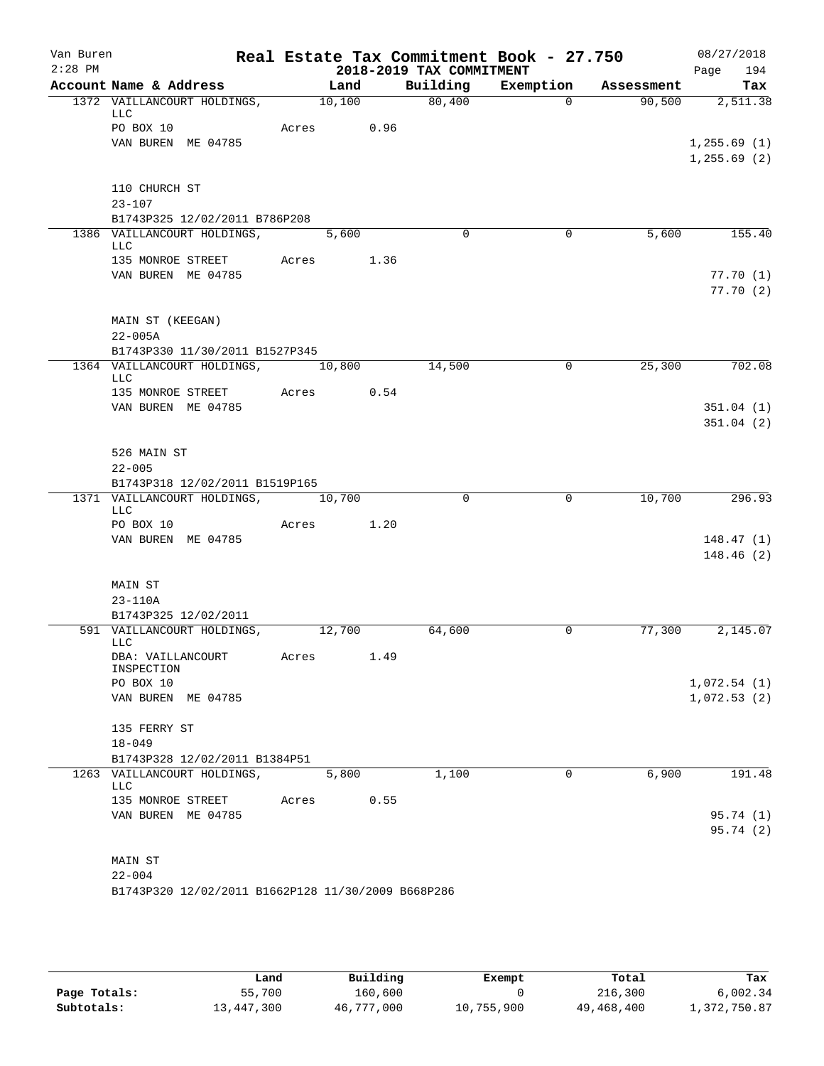| Van Buren<br>$2:28$ PM |                                                    |       |            |      |                                      | Real Estate Tax Commitment Book - 27.750 |            | 08/27/2018         |
|------------------------|----------------------------------------------------|-------|------------|------|--------------------------------------|------------------------------------------|------------|--------------------|
|                        | Account Name & Address                             |       | Land       |      | 2018-2019 TAX COMMITMENT<br>Building | Exemption                                | Assessment | 194<br>Page<br>Tax |
|                        | 1372 VAILLANCOURT HOLDINGS,                        |       | 10,100     |      | 80,400                               | $\Omega$                                 | 90,500     | 2,511.38           |
|                        | LLC                                                |       |            |      |                                      |                                          |            |                    |
|                        | PO BOX 10                                          |       | Acres 0.96 |      |                                      |                                          |            |                    |
|                        | VAN BUREN ME 04785                                 |       |            |      |                                      |                                          |            | 1, 255.69(1)       |
|                        |                                                    |       |            |      |                                      |                                          |            | 1, 255.69(2)       |
|                        |                                                    |       |            |      |                                      |                                          |            |                    |
|                        | 110 CHURCH ST<br>$23 - 107$                        |       |            |      |                                      |                                          |            |                    |
|                        | B1743P325 12/02/2011 B786P208                      |       |            |      |                                      |                                          |            |                    |
|                        | 1386 VAILLANCOURT HOLDINGS,                        |       | 5,600      |      | $\Omega$                             | 0                                        | 5,600      | 155.40             |
|                        | LLC                                                |       |            |      |                                      |                                          |            |                    |
|                        | 135 MONROE STREET                                  |       | Acres 1.36 |      |                                      |                                          |            |                    |
|                        | VAN BUREN ME 04785                                 |       |            |      |                                      |                                          |            | 77.70(1)           |
|                        |                                                    |       |            |      |                                      |                                          |            | 77.70(2)           |
|                        |                                                    |       |            |      |                                      |                                          |            |                    |
|                        | MAIN ST (KEEGAN)<br>$22 - 005A$                    |       |            |      |                                      |                                          |            |                    |
|                        | B1743P330 11/30/2011 B1527P345                     |       |            |      |                                      |                                          |            |                    |
|                        | 1364 VAILLANCOURT HOLDINGS, 10,800                 |       |            |      | 14,500                               | $\mathbf 0$                              | 25,300     | 702.08             |
|                        | <b>LLC</b>                                         |       |            |      |                                      |                                          |            |                    |
|                        | 135 MONROE STREET Acres 0.54                       |       |            |      |                                      |                                          |            |                    |
|                        | VAN BUREN ME 04785                                 |       |            |      |                                      |                                          |            | 351.04(1)          |
|                        |                                                    |       |            |      |                                      |                                          |            | 351.04(2)          |
|                        | 526 MAIN ST                                        |       |            |      |                                      |                                          |            |                    |
|                        | $22 - 005$                                         |       |            |      |                                      |                                          |            |                    |
|                        | B1743P318 12/02/2011 B1519P165                     |       |            |      |                                      |                                          |            |                    |
|                        | 1371 VAILLANCOURT HOLDINGS, 10,700                 |       |            |      | $\Omega$                             | $\overline{0}$                           | 10,700     | 296.93             |
|                        | LLC                                                |       |            |      |                                      |                                          |            |                    |
|                        | PO BOX 10<br>VAN BUREN ME 04785                    |       | Acres 1.20 |      |                                      |                                          |            | 148.47(1)          |
|                        |                                                    |       |            |      |                                      |                                          |            | 148.46(2)          |
|                        |                                                    |       |            |      |                                      |                                          |            |                    |
|                        | MAIN ST                                            |       |            |      |                                      |                                          |            |                    |
|                        | 23-110A                                            |       |            |      |                                      |                                          |            |                    |
|                        | B1743P325 12/02/2011                               |       |            |      |                                      |                                          |            |                    |
|                        | 591 VAILLANCOURT HOLDINGS,                         |       | 12,700     |      | 64,600                               | $\mathbf 0$                              | 77,300     | 2,145.07           |
|                        | LLC<br>DBA: VAILLANCOURT                           | Acres |            | 1.49 |                                      |                                          |            |                    |
|                        | INSPECTION                                         |       |            |      |                                      |                                          |            |                    |
|                        | PO BOX 10                                          |       |            |      |                                      |                                          |            | 1,072.54(1)        |
|                        | VAN BUREN ME 04785                                 |       |            |      |                                      |                                          |            | 1,072.53(2)        |
|                        |                                                    |       |            |      |                                      |                                          |            |                    |
|                        | 135 FERRY ST<br>$18 - 049$                         |       |            |      |                                      |                                          |            |                    |
|                        | B1743P328 12/02/2011 B1384P51                      |       |            |      |                                      |                                          |            |                    |
|                        | 1263 VAILLANCOURT HOLDINGS,                        |       | 5,800      |      | 1,100                                | 0                                        | 6,900      | 191.48             |
|                        | LLC                                                |       |            |      |                                      |                                          |            |                    |
|                        | 135 MONROE STREET                                  | Acres |            | 0.55 |                                      |                                          |            |                    |
|                        | VAN BUREN ME 04785                                 |       |            |      |                                      |                                          |            | 95.74 (1)          |
|                        |                                                    |       |            |      |                                      |                                          |            | 95.74(2)           |
|                        | MAIN ST                                            |       |            |      |                                      |                                          |            |                    |
|                        | $22 - 004$                                         |       |            |      |                                      |                                          |            |                    |
|                        | B1743P320 12/02/2011 B1662P128 11/30/2009 B668P286 |       |            |      |                                      |                                          |            |                    |
|                        |                                                    |       |            |      |                                      |                                          |            |                    |

|              | Land       | Building   | Exempt     | Total      | Tax          |
|--------------|------------|------------|------------|------------|--------------|
| Page Totals: | 55,700     | 160,600    |            | 216,300    | 6,002.34     |
| Subtotals:   | 13,447,300 | 46,777,000 | 10,755,900 | 49,468,400 | 1,372,750.87 |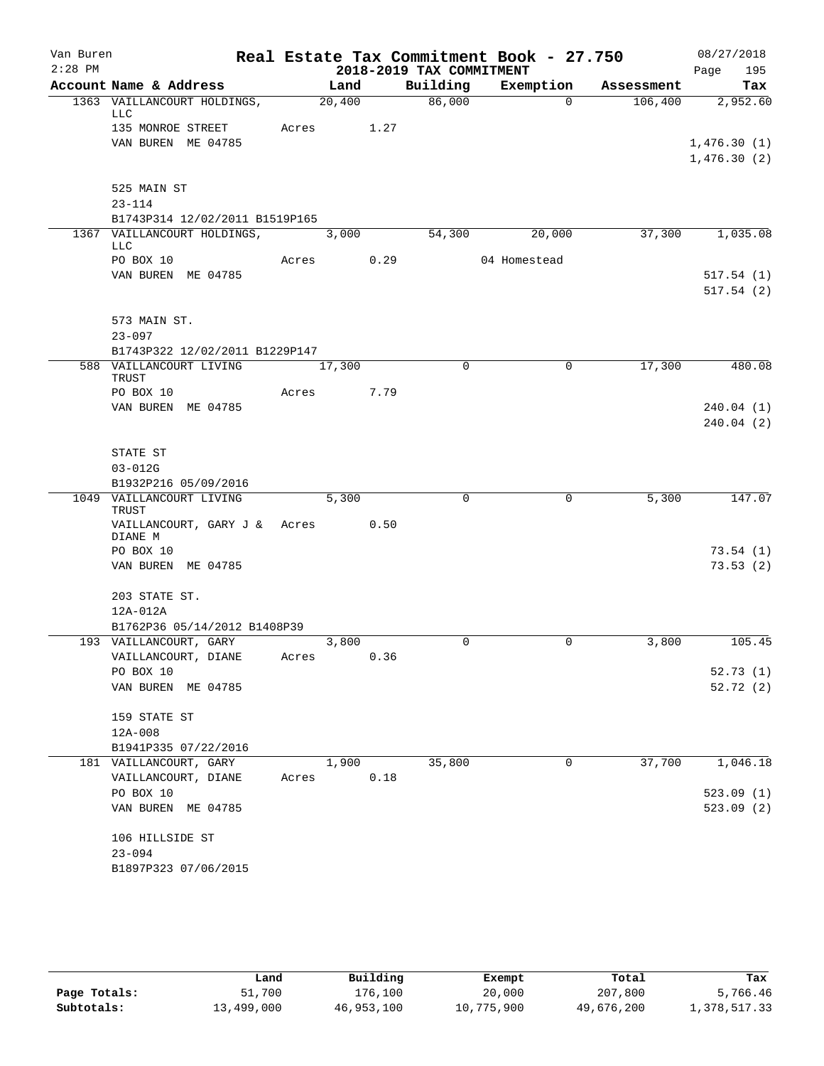| Van Buren |                                              |       |            |      |                          | Real Estate Tax Commitment Book - 27.750 |            | 08/27/2018             |
|-----------|----------------------------------------------|-------|------------|------|--------------------------|------------------------------------------|------------|------------------------|
| $2:28$ PM |                                              |       |            |      | 2018-2019 TAX COMMITMENT |                                          |            | Page<br>195            |
|           | Account Name & Address                       |       | Land       |      | Building                 | Exemption                                | Assessment | Tax                    |
|           | 1363 VAILLANCOURT HOLDINGS,<br>LLC           |       | 20,400     |      | 86,000                   | $\Omega$                                 | 106,400    | 2,952.60               |
|           | 135 MONROE STREET<br>VAN BUREN ME 04785      |       | Acres      | 1.27 |                          |                                          |            | 1,476.30(1)            |
|           |                                              |       |            |      |                          |                                          |            | 1,476.30(2)            |
|           | 525 MAIN ST                                  |       |            |      |                          |                                          |            |                        |
|           | $23 - 114$                                   |       |            |      |                          |                                          |            |                        |
|           | B1743P314 12/02/2011 B1519P165               |       |            |      |                          |                                          |            |                        |
|           | 1367 VAILLANCOURT HOLDINGS,<br><b>LLC</b>    |       | 3,000      |      | 54,300                   | 20,000                                   | 37,300     | 1,035.08               |
|           | PO BOX 10                                    |       | Acres 0.29 |      |                          | 04 Homestead                             |            |                        |
|           | VAN BUREN ME 04785                           |       |            |      |                          |                                          |            | 517.54(1)<br>517.54(2) |
|           | 573 MAIN ST.                                 |       |            |      |                          |                                          |            |                        |
|           | $23 - 097$                                   |       |            |      |                          |                                          |            |                        |
|           | B1743P322 12/02/2011 B1229P147               |       |            |      |                          |                                          |            |                        |
|           | 588 VAILLANCOURT LIVING                      |       | 17,300     |      | $\mathbf 0$              | 0                                        | 17,300     | 480.08                 |
|           | <b>TRUST</b><br>PO BOX 10                    | Acres |            | 7.79 |                          |                                          |            |                        |
|           | VAN BUREN ME 04785                           |       |            |      |                          |                                          |            | 240.04(1)              |
|           |                                              |       |            |      |                          |                                          |            | 240.04(2)              |
|           | STATE ST                                     |       |            |      |                          |                                          |            |                        |
|           | $03 - 012G$                                  |       |            |      |                          |                                          |            |                        |
|           | B1932P216 05/09/2016                         |       |            |      |                          |                                          |            |                        |
|           | 1049 VAILLANCOURT LIVING<br>TRUST            |       | 5,300      |      | $\mathbf 0$              | $\mathbf 0$                              | 5,300      | 147.07                 |
|           | VAILLANCOURT, GARY J & Acres 0.50<br>DIANE M |       |            |      |                          |                                          |            |                        |
|           | PO BOX 10                                    |       |            |      |                          |                                          |            | 73.54(1)               |
|           | VAN BUREN ME 04785                           |       |            |      |                          |                                          |            | 73.53(2)               |
|           | 203 STATE ST.                                |       |            |      |                          |                                          |            |                        |
|           | 12A-012A                                     |       |            |      |                          |                                          |            |                        |
|           | B1762P36 05/14/2012 B1408P39                 |       |            |      |                          |                                          |            |                        |
|           | 193 VAILLANCOURT, GARY                       |       | 3,800      |      | $\mathbf 0$              | 0                                        | 3,800      | 105.45                 |
|           | VAILLANCOURT, DIANE<br>PO BOX 10             | Acres |            | 0.36 |                          |                                          |            |                        |
|           | VAN BUREN ME 04785                           |       |            |      |                          |                                          |            | 52.73(1)<br>52.72(2)   |
|           | 159 STATE ST                                 |       |            |      |                          |                                          |            |                        |
|           | 12A-008                                      |       |            |      |                          |                                          |            |                        |
|           | B1941P335 07/22/2016                         |       |            |      |                          |                                          |            |                        |
|           | 181 VAILLANCOURT, GARY                       |       | 1,900      |      | 35,800                   | 0                                        | 37,700     | 1,046.18               |
|           | VAILLANCOURT, DIANE                          | Acres |            | 0.18 |                          |                                          |            |                        |
|           | PO BOX 10<br>VAN BUREN ME 04785              |       |            |      |                          |                                          |            | 523.09(1)<br>523.09(2) |
|           | 106 HILLSIDE ST                              |       |            |      |                          |                                          |            |                        |
|           | $23 - 094$                                   |       |            |      |                          |                                          |            |                        |
|           | B1897P323 07/06/2015                         |       |            |      |                          |                                          |            |                        |

|              | Land       | Building   | Exempt     | Total      | Tax          |
|--------------|------------|------------|------------|------------|--------------|
| Page Totals: | 51,700     | 176,100    | 20,000     | 207,800    | 5,766.46     |
| Subtotals:   | 13,499,000 | 46,953,100 | 10,775,900 | 49,676,200 | 1,378,517.33 |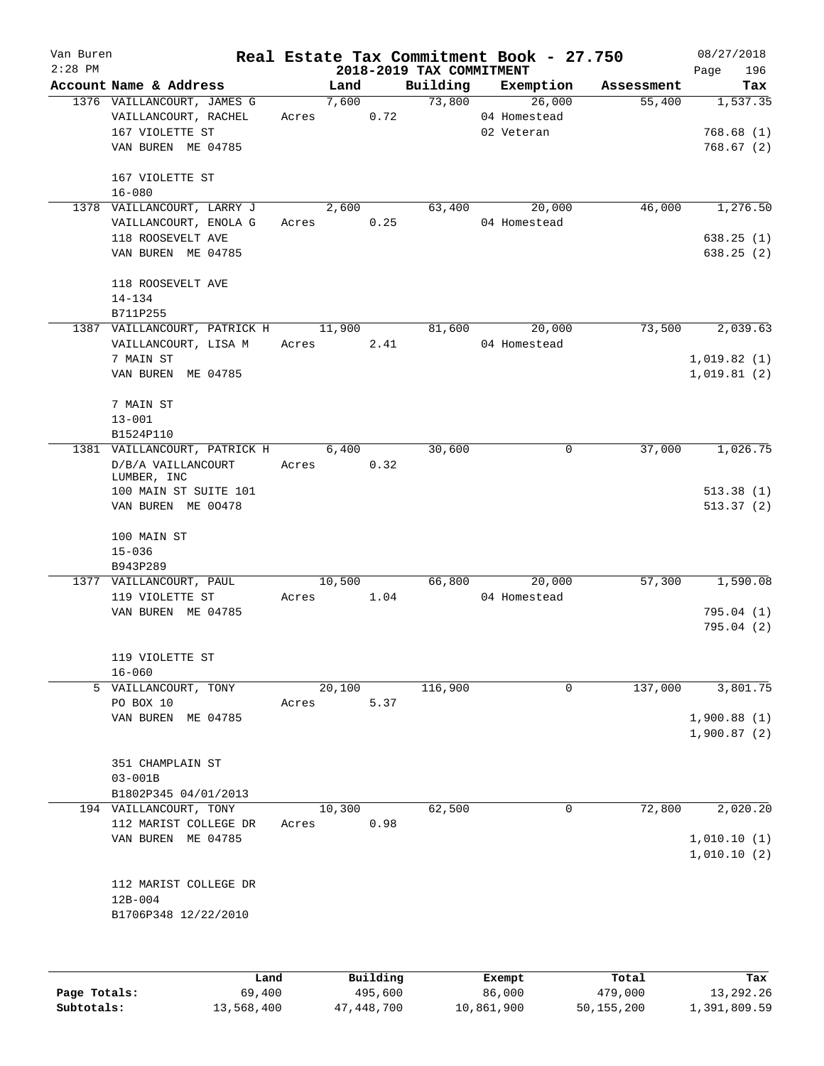| Van Buren |                                       |            |        |      |                          | Real Estate Tax Commitment Book - 27.750 |            | 08/27/2018             |
|-----------|---------------------------------------|------------|--------|------|--------------------------|------------------------------------------|------------|------------------------|
| $2:28$ PM |                                       |            |        |      | 2018-2019 TAX COMMITMENT |                                          |            | 196<br>Page            |
|           | Account Name & Address                |            | Land   |      |                          | Building Exemption                       | Assessment | Tax                    |
|           | 1376 VAILLANCOURT, JAMES G            |            | 7,600  |      | 73,800                   | 26,000                                   | 55,400     | 1, 537.35              |
|           | VAILLANCOURT, RACHEL                  | Acres      |        | 0.72 |                          | 04 Homestead                             |            |                        |
|           | 167 VIOLETTE ST<br>VAN BUREN ME 04785 |            |        |      |                          | 02 Veteran                               |            | 768.68(1)<br>768.67(2) |
|           |                                       |            |        |      |                          |                                          |            |                        |
|           | 167 VIOLETTE ST                       |            |        |      |                          |                                          |            |                        |
|           | $16 - 080$                            |            |        |      |                          |                                          |            |                        |
|           | 1378 VAILLANCOURT, LARRY J            |            | 2,600  |      | 63,400                   | 20,000                                   | 46,000     | 1,276.50               |
|           | VAILLANCOURT, ENOLA G                 | Acres 0.25 |        |      |                          | 04 Homestead                             |            |                        |
|           | 118 ROOSEVELT AVE                     |            |        |      |                          |                                          |            | 638.25(1)              |
|           | VAN BUREN ME 04785                    |            |        |      |                          |                                          |            | 638.25(2)              |
|           | 118 ROOSEVELT AVE                     |            |        |      |                          |                                          |            |                        |
|           | $14 - 134$                            |            |        |      |                          |                                          |            |                        |
|           | B711P255                              |            |        |      |                          |                                          |            |                        |
|           | 1387 VAILLANCOURT, PATRICK H          |            | 11,900 |      | 81,600                   | 20,000                                   | 73,500     | 2,039.63               |
|           | VAILLANCOURT, LISA M                  | Acres      |        | 2.41 |                          | 04 Homestead                             |            |                        |
|           | 7 MAIN ST                             |            |        |      |                          |                                          |            | 1,019.82(1)            |
|           | VAN BUREN ME 04785                    |            |        |      |                          |                                          |            | 1,019.81(2)            |
|           |                                       |            |        |      |                          |                                          |            |                        |
|           | 7 MAIN ST<br>$13 - 001$               |            |        |      |                          |                                          |            |                        |
|           | B1524P110                             |            |        |      |                          |                                          |            |                        |
|           | 1381 VAILLANCOURT, PATRICK H 6,400    |            |        |      | 30,600                   | 0                                        | 37,000     | 1,026.75               |
|           | D/B/A VAILLANCOURT                    | Acres 0.32 |        |      |                          |                                          |            |                        |
|           | LUMBER, INC                           |            |        |      |                          |                                          |            |                        |
|           | 100 MAIN ST SUITE 101                 |            |        |      |                          |                                          |            | 513.38(1)              |
|           | VAN BUREN ME 00478                    |            |        |      |                          |                                          |            | 513.37(2)              |
|           | 100 MAIN ST                           |            |        |      |                          |                                          |            |                        |
|           | $15 - 036$                            |            |        |      |                          |                                          |            |                        |
|           | B943P289                              |            |        |      |                          |                                          |            |                        |
|           | 1377 VAILLANCOURT, PAUL               |            | 10,500 |      |                          | 66,800<br>20,000                         | 57,300     | 1,590.08               |
|           | 119 VIOLETTE ST                       | Acres 1.04 |        |      |                          | 04 Homestead                             |            |                        |
|           | VAN BUREN ME 04785                    |            |        |      |                          |                                          |            | 795.04(1)              |
|           |                                       |            |        |      |                          |                                          |            | 795.04(2)              |
|           |                                       |            |        |      |                          |                                          |            |                        |
|           | 119 VIOLETTE ST<br>$16 - 060$         |            |        |      |                          |                                          |            |                        |
|           | 5 VAILLANCOURT, TONY                  |            | 20,100 |      | 116,900                  | 0                                        | 137,000    | 3,801.75               |
|           | PO BOX 10                             | Acres      |        | 5.37 |                          |                                          |            |                        |
|           | VAN BUREN ME 04785                    |            |        |      |                          |                                          |            | 1,900.88(1)            |
|           |                                       |            |        |      |                          |                                          |            | 1,900.87(2)            |
|           | 351 CHAMPLAIN ST                      |            |        |      |                          |                                          |            |                        |
|           | $03 - 001B$                           |            |        |      |                          |                                          |            |                        |
|           | B1802P345 04/01/2013                  |            |        |      |                          |                                          |            |                        |
|           | 194 VAILLANCOURT, TONY                |            | 10,300 |      | 62,500                   | 0                                        | 72,800     | 2,020.20               |
|           | 112 MARIST COLLEGE DR                 | Acres      |        | 0.98 |                          |                                          |            |                        |
|           | VAN BUREN ME 04785                    |            |        |      |                          |                                          |            | 1,010.10(1)            |
|           |                                       |            |        |      |                          |                                          |            | 1,010.10(2)            |
|           | 112 MARIST COLLEGE DR                 |            |        |      |                          |                                          |            |                        |
|           | $12B-004$                             |            |        |      |                          |                                          |            |                        |
|           | B1706P348 12/22/2010                  |            |        |      |                          |                                          |            |                        |
|           |                                       |            |        |      |                          |                                          |            |                        |
|           |                                       |            |        |      |                          |                                          |            |                        |
|           |                                       |            |        |      |                          |                                          |            |                        |
|           |                                       |            |        |      |                          |                                          |            |                        |

|              | Land       | Building   | Exempt     | Total      | Tax          |
|--------------|------------|------------|------------|------------|--------------|
| Page Totals: | 69,400     | 495,600    | 86,000     | 479,000    | 13,292.26    |
| Subtotals:   | 13,568,400 | 47,448,700 | 10,861,900 | 50,155,200 | 1,391,809.59 |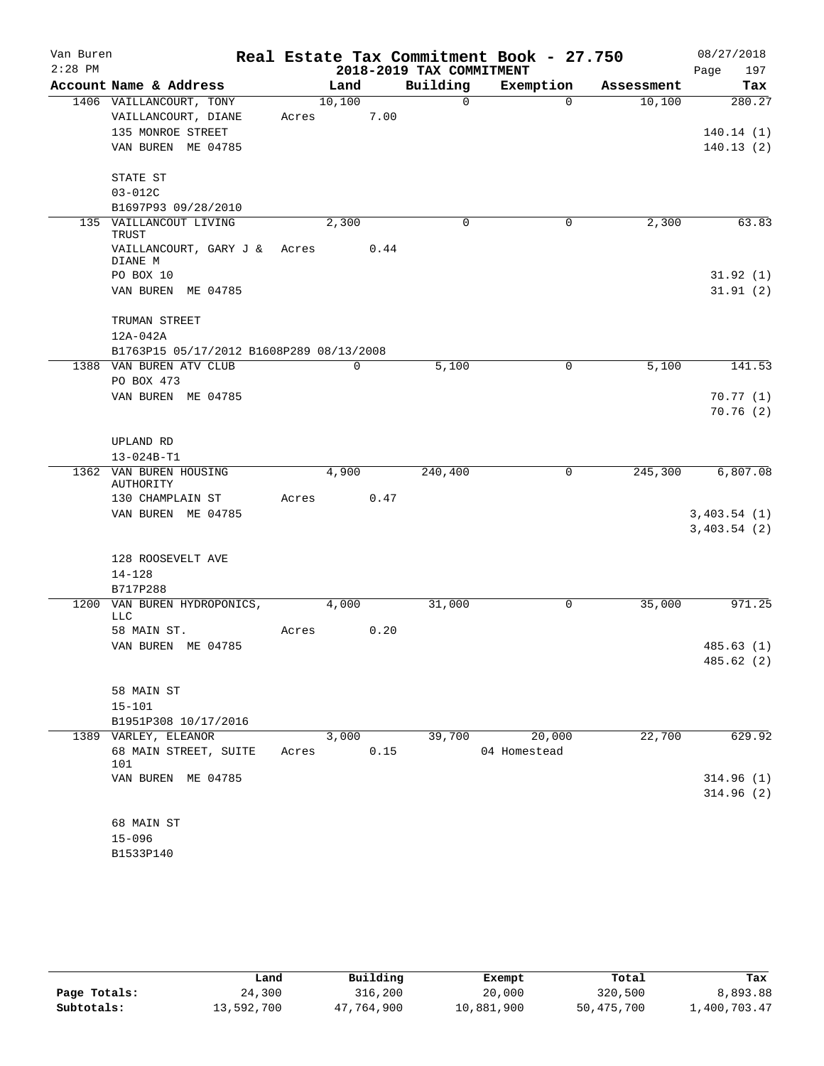| Van Buren |                                           |       |             |      |                          | Real Estate Tax Commitment Book - 27.750 |            | 08/27/2018  |
|-----------|-------------------------------------------|-------|-------------|------|--------------------------|------------------------------------------|------------|-------------|
| $2:28$ PM |                                           |       |             |      | 2018-2019 TAX COMMITMENT |                                          |            | 197<br>Page |
|           | Account Name & Address                    |       | Land        |      | Building                 | Exemption                                | Assessment | Tax         |
|           | 1406 VAILLANCOURT, TONY                   |       | 10,100      |      | 0                        | $\Omega$                                 | 10,100     | 280.27      |
|           | VAILLANCOURT, DIANE                       | Acres |             | 7.00 |                          |                                          |            |             |
|           | 135 MONROE STREET                         |       |             |      |                          |                                          |            | 140.14(1)   |
|           | VAN BUREN ME 04785                        |       |             |      |                          |                                          |            | 140.13(2)   |
|           | STATE ST                                  |       |             |      |                          |                                          |            |             |
|           | $03 - 012C$                               |       |             |      |                          |                                          |            |             |
|           | B1697P93 09/28/2010                       |       |             |      |                          |                                          |            |             |
|           | 135 VAILLANCOUT LIVING<br>TRUST           |       | 2,300       |      | 0                        | 0                                        | 2,300      | 63.83       |
|           | VAILLANCOURT, GARY J &<br>DIANE M         | Acres |             | 0.44 |                          |                                          |            |             |
|           | PO BOX 10                                 |       |             |      |                          |                                          |            | 31.92(1)    |
|           | VAN BUREN ME 04785                        |       |             |      |                          |                                          |            | 31.91(2)    |
|           | TRUMAN STREET                             |       |             |      |                          |                                          |            |             |
|           | $12A-042A$                                |       |             |      |                          |                                          |            |             |
|           | B1763P15 05/17/2012 B1608P289 08/13/2008  |       |             |      |                          |                                          |            |             |
|           | 1388 VAN BUREN ATV CLUB                   |       | $\mathbf 0$ |      | 5,100                    | 0                                        | 5,100      | 141.53      |
|           | PO BOX 473                                |       |             |      |                          |                                          |            |             |
|           | VAN BUREN ME 04785                        |       |             |      |                          |                                          |            | 70.77(1)    |
|           |                                           |       |             |      |                          |                                          |            | 70.76(2)    |
|           | UPLAND RD                                 |       |             |      |                          |                                          |            |             |
|           | 13-024B-T1                                |       |             |      |                          |                                          |            |             |
|           | 1362 VAN BUREN HOUSING<br>AUTHORITY       |       | 4,900       |      | 240,400                  | 0                                        | 245,300    | 6,807.08    |
|           | 130 CHAMPLAIN ST                          | Acres |             | 0.47 |                          |                                          |            |             |
|           | VAN BUREN ME 04785                        |       |             |      |                          |                                          |            | 3,403.54(1) |
|           |                                           |       |             |      |                          |                                          |            | 3,403.54(2) |
|           | 128 ROOSEVELT AVE                         |       |             |      |                          |                                          |            |             |
|           | $14 - 128$                                |       |             |      |                          |                                          |            |             |
|           | B717P288                                  |       |             |      |                          |                                          |            |             |
|           | 1200 VAN BUREN HYDROPONICS,<br><b>LLC</b> |       | 4,000       |      | 31,000                   | 0                                        | 35,000     | 971.25      |
|           | 58 MAIN ST.                               | Acres |             | 0.20 |                          |                                          |            |             |
|           | VAN BUREN ME 04785                        |       |             |      |                          |                                          |            | 485.63(1)   |
|           |                                           |       |             |      |                          |                                          |            | 485.62 (2)  |
|           | 58 MAIN ST                                |       |             |      |                          |                                          |            |             |
|           | $15 - 101$                                |       |             |      |                          |                                          |            |             |
|           | B1951P308 10/17/2016                      |       |             |      |                          |                                          |            |             |
|           | 1389 VARLEY, ELEANOR                      |       | 3,000       |      | 39,700                   | 20,000                                   | 22,700     | 629.92      |
|           | 68 MAIN STREET, SUITE<br>101              | Acres |             | 0.15 |                          | 04 Homestead                             |            |             |
|           | VAN BUREN ME 04785                        |       |             |      |                          |                                          |            | 314.96(1)   |
|           |                                           |       |             |      |                          |                                          |            | 314.96(2)   |
|           | 68 MAIN ST                                |       |             |      |                          |                                          |            |             |
|           | $15 - 096$                                |       |             |      |                          |                                          |            |             |
|           | B1533P140                                 |       |             |      |                          |                                          |            |             |

|              | Land       | Building   | Exempt     | Total      | Tax          |
|--------------|------------|------------|------------|------------|--------------|
| Page Totals: | 24,300     | 316,200    | 20,000     | 320,500    | 8,893.88     |
| Subtotals:   | 13,592,700 | 47,764,900 | 10,881,900 | 50,475,700 | 1,400,703.47 |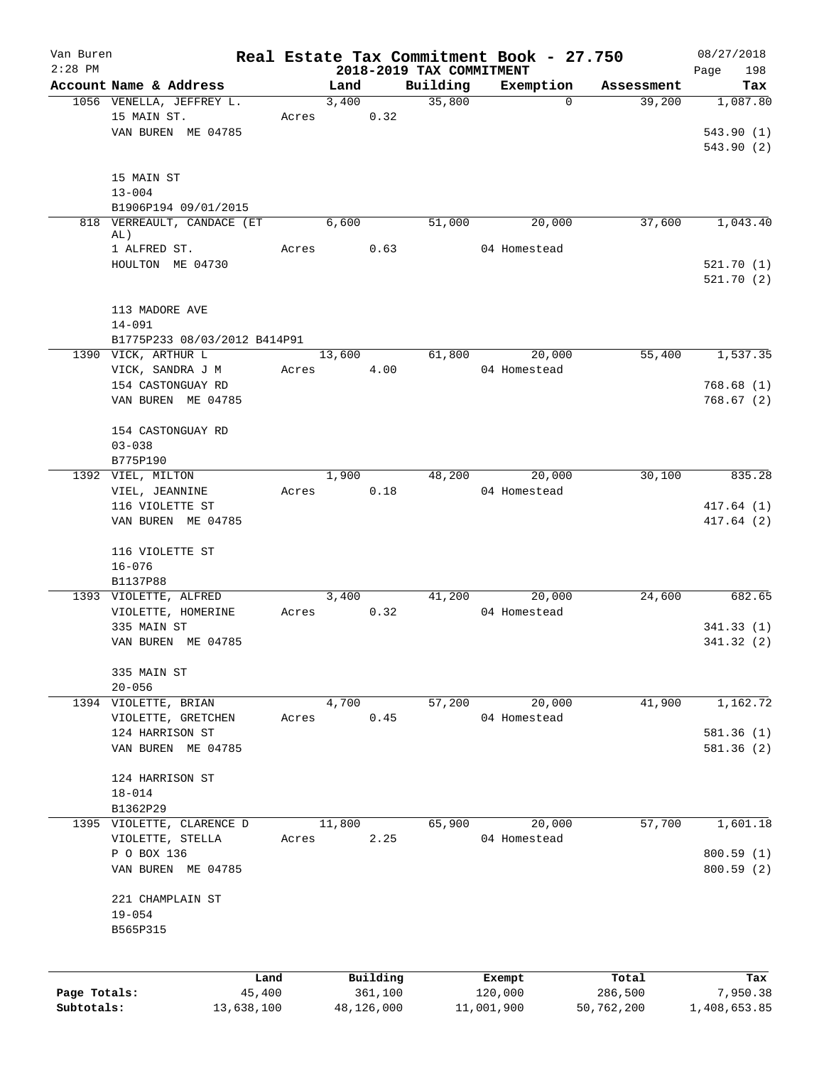| Van Buren<br>$2:28$ PM     |                                   |        |        |                       |                                      | Real Estate Tax Commitment Book - 27.750 |                       | 08/27/2018               |
|----------------------------|-----------------------------------|--------|--------|-----------------------|--------------------------------------|------------------------------------------|-----------------------|--------------------------|
|                            | Account Name & Address            |        | Land   |                       | 2018-2019 TAX COMMITMENT<br>Building | Exemption                                | Assessment            | 198<br>Page              |
|                            | 1056 VENELLA, JEFFREY L.          |        | 3,400  |                       | 35,800                               | $\Omega$                                 | 39,200                | Tax<br>1,087.80          |
|                            | 15 MAIN ST.                       | Acres  |        | 0.32                  |                                      |                                          |                       |                          |
|                            | VAN BUREN ME 04785                |        |        |                       |                                      |                                          |                       | 543.90(1)                |
|                            |                                   |        |        |                       |                                      |                                          |                       | 543.90(2)                |
|                            |                                   |        |        |                       |                                      |                                          |                       |                          |
|                            | 15 MAIN ST                        |        |        |                       |                                      |                                          |                       |                          |
|                            | $13 - 004$                        |        |        |                       |                                      |                                          |                       |                          |
|                            | B1906P194 09/01/2015              |        |        |                       |                                      |                                          |                       |                          |
|                            | 818 VERREAULT, CANDACE (ET        |        | 6,600  |                       | 51,000                               | 20,000                                   | 37,600                | 1,043.40                 |
|                            | AL)                               |        |        |                       |                                      |                                          |                       |                          |
|                            | 1 ALFRED ST.                      | Acres  |        | 0.63                  |                                      | 04 Homestead                             |                       |                          |
|                            | HOULTON ME 04730                  |        |        |                       |                                      |                                          |                       | 521.70(1)<br>521.70(2)   |
|                            |                                   |        |        |                       |                                      |                                          |                       |                          |
|                            | 113 MADORE AVE                    |        |        |                       |                                      |                                          |                       |                          |
|                            | $14 - 091$                        |        |        |                       |                                      |                                          |                       |                          |
|                            | B1775P233 08/03/2012 B414P91      |        |        |                       |                                      |                                          |                       |                          |
|                            | 1390 VICK, ARTHUR L               |        | 13,600 |                       | 61,800                               | 20,000                                   | 55,400                | 1,537.35                 |
|                            | VICK, SANDRA J M                  | Acres  |        | 4.00                  |                                      | 04 Homestead                             |                       |                          |
|                            | 154 CASTONGUAY RD                 |        |        |                       |                                      |                                          |                       | 768.68(1)                |
|                            | VAN BUREN ME 04785                |        |        |                       |                                      |                                          |                       | 768.67(2)                |
|                            |                                   |        |        |                       |                                      |                                          |                       |                          |
|                            | 154 CASTONGUAY RD                 |        |        |                       |                                      |                                          |                       |                          |
|                            | $03 - 038$                        |        |        |                       |                                      |                                          |                       |                          |
|                            | B775P190                          |        |        |                       |                                      |                                          |                       |                          |
|                            | 1392 VIEL, MILTON                 |        | 1,900  |                       | 48,200                               | 20,000                                   | 30,100                | 835.28                   |
|                            | VIEL, JEANNINE                    | Acres  |        | 0.18                  |                                      | 04 Homestead                             |                       |                          |
|                            | 116 VIOLETTE ST                   |        |        |                       |                                      |                                          |                       | 417.64(1)                |
|                            | VAN BUREN ME 04785                |        |        |                       |                                      |                                          |                       | 417.64(2)                |
|                            |                                   |        |        |                       |                                      |                                          |                       |                          |
|                            | 116 VIOLETTE ST                   |        |        |                       |                                      |                                          |                       |                          |
|                            | $16 - 076$                        |        |        |                       |                                      |                                          |                       |                          |
|                            | B1137P88<br>1393 VIOLETTE, ALFRED |        | 3,400  |                       | 41,200                               | 20,000                                   | 24,600                | 682.65                   |
|                            | VIOLETTE, HOMERINE                | Acres  |        | 0.32                  |                                      | 04 Homestead                             |                       |                          |
|                            | 335 MAIN ST                       |        |        |                       |                                      |                                          |                       | 341.33(1)                |
|                            | VAN BUREN ME 04785                |        |        |                       |                                      |                                          |                       | 341.32 (2)               |
|                            |                                   |        |        |                       |                                      |                                          |                       |                          |
|                            | 335 MAIN ST                       |        |        |                       |                                      |                                          |                       |                          |
|                            | $20 - 056$                        |        |        |                       |                                      |                                          |                       |                          |
|                            | 1394 VIOLETTE, BRIAN              |        | 4,700  |                       | 57,200                               | 20,000                                   | 41,900                | 1,162.72                 |
|                            | VIOLETTE, GRETCHEN                | Acres  |        | 0.45                  |                                      | 04 Homestead                             |                       |                          |
|                            | 124 HARRISON ST                   |        |        |                       |                                      |                                          |                       | 581.36(1)                |
|                            | VAN BUREN ME 04785                |        |        |                       |                                      |                                          |                       | 581.36(2)                |
|                            |                                   |        |        |                       |                                      |                                          |                       |                          |
|                            | 124 HARRISON ST                   |        |        |                       |                                      |                                          |                       |                          |
|                            | $18 - 014$                        |        |        |                       |                                      |                                          |                       |                          |
|                            | B1362P29                          |        |        |                       |                                      |                                          |                       |                          |
|                            | 1395 VIOLETTE, CLARENCE D         |        | 11,800 |                       | 65,900                               | 20,000                                   | 57,700                | 1,601.18                 |
|                            | VIOLETTE, STELLA                  | Acres  |        | 2.25                  |                                      | 04 Homestead                             |                       |                          |
|                            | P O BOX 136                       |        |        |                       |                                      |                                          |                       | 800.59(1)                |
|                            | VAN BUREN ME 04785                |        |        |                       |                                      |                                          |                       | 800.59(2)                |
|                            | 221 CHAMPLAIN ST                  |        |        |                       |                                      |                                          |                       |                          |
|                            | $19 - 054$                        |        |        |                       |                                      |                                          |                       |                          |
|                            | B565P315                          |        |        |                       |                                      |                                          |                       |                          |
|                            |                                   |        |        |                       |                                      |                                          |                       |                          |
|                            |                                   |        |        |                       |                                      |                                          |                       |                          |
|                            |                                   | Land   |        | Building              |                                      | Exempt                                   | Total                 | Tax                      |
| Page Totals:<br>Subtotals: | 13,638,100                        | 45,400 |        | 361,100<br>48,126,000 |                                      | 120,000<br>11,001,900                    | 286,500<br>50,762,200 | 7,950.38<br>1,408,653.85 |
|                            |                                   |        |        |                       |                                      |                                          |                       |                          |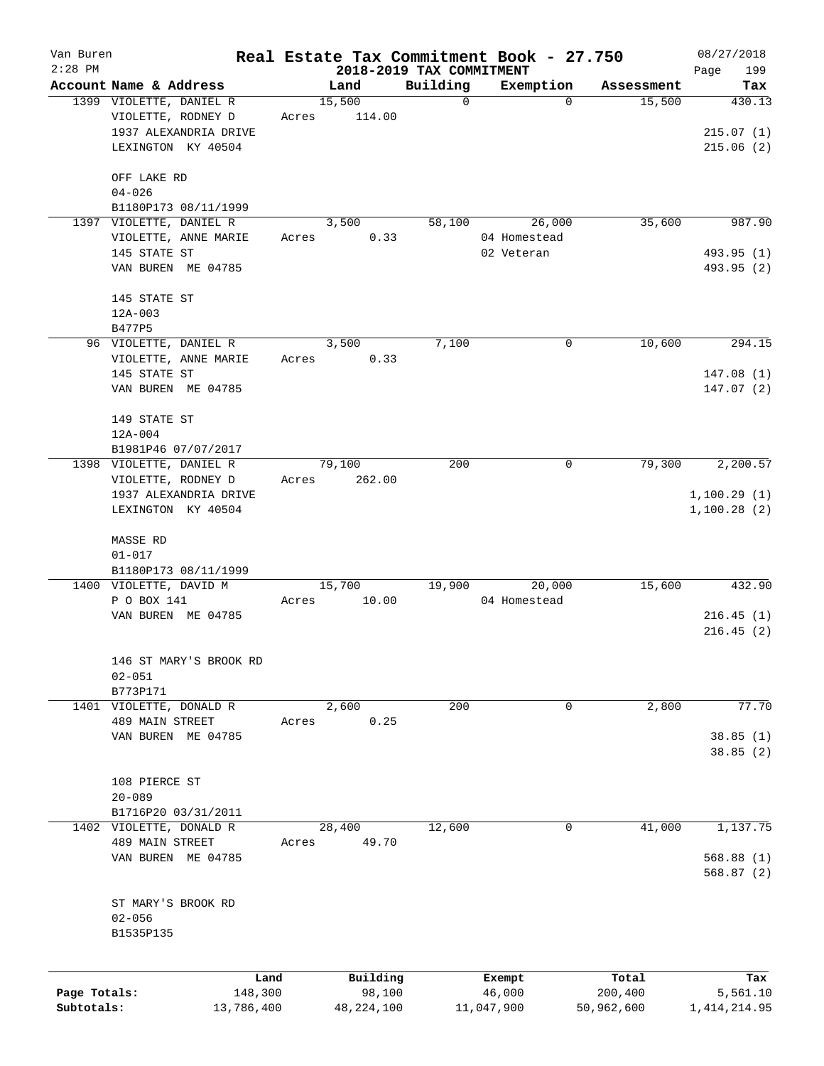| Van Buren    |                                                   |       |                          |                         | Real Estate Tax Commitment Book - 27.750 |                      | 08/27/2018     |
|--------------|---------------------------------------------------|-------|--------------------------|-------------------------|------------------------------------------|----------------------|----------------|
| $2:28$ PM    |                                                   |       | 2018-2019 TAX COMMITMENT |                         |                                          |                      | 199<br>Page    |
|              | Account Name & Address<br>1399 VIOLETTE, DANIEL R |       | Land<br>15,500           | Building<br>$\mathbf 0$ | Exemption<br>$\Omega$                    | Assessment<br>15,500 | Tax<br>430.13  |
|              | VIOLETTE, RODNEY D                                | Acres | 114.00                   |                         |                                          |                      |                |
|              | 1937 ALEXANDRIA DRIVE                             |       |                          |                         |                                          |                      | 215.07(1)      |
|              | LEXINGTON KY 40504                                |       |                          |                         |                                          |                      | 215.06(2)      |
|              |                                                   |       |                          |                         |                                          |                      |                |
|              | OFF LAKE RD                                       |       |                          |                         |                                          |                      |                |
|              | $04 - 026$                                        |       |                          |                         |                                          |                      |                |
|              | B1180P173 08/11/1999                              |       |                          |                         |                                          |                      |                |
|              | 1397 VIOLETTE, DANIEL R                           |       | 3,500                    | 58,100                  | 26,000                                   | 35,600               | 987.90         |
|              | VIOLETTE, ANNE MARIE                              | Acres | 0.33                     |                         | 04 Homestead                             |                      |                |
|              | 145 STATE ST                                      |       |                          |                         | 02 Veteran                               |                      | 493.95 (1)     |
|              | VAN BUREN ME 04785                                |       |                          |                         |                                          |                      | 493.95 (2)     |
|              |                                                   |       |                          |                         |                                          |                      |                |
|              | 145 STATE ST                                      |       |                          |                         |                                          |                      |                |
|              | $12A-003$                                         |       |                          |                         |                                          |                      |                |
|              | B477P5                                            |       |                          |                         |                                          |                      |                |
|              | 96 VIOLETTE, DANIEL R                             |       | 3,500                    | 7,100                   | 0                                        | 10,600               | 294.15         |
|              | VIOLETTE, ANNE MARIE                              | Acres | 0.33                     |                         |                                          |                      |                |
|              | 145 STATE ST                                      |       |                          |                         |                                          |                      | 147.08(1)      |
|              | VAN BUREN ME 04785                                |       |                          |                         |                                          |                      | 147.07(2)      |
|              | 149 STATE ST                                      |       |                          |                         |                                          |                      |                |
|              | $12A-004$                                         |       |                          |                         |                                          |                      |                |
|              | B1981P46 07/07/2017                               |       |                          |                         |                                          |                      |                |
|              | 1398 VIOLETTE, DANIEL R                           |       | 79,100                   | 200                     | $\mathbf 0$                              | 79,300               | 2,200.57       |
|              | VIOLETTE, RODNEY D                                | Acres | 262.00                   |                         |                                          |                      |                |
|              | 1937 ALEXANDRIA DRIVE                             |       |                          |                         |                                          |                      | 1,100.29(1)    |
|              | LEXINGTON KY 40504                                |       |                          |                         |                                          |                      | 1,100.28(2)    |
|              |                                                   |       |                          |                         |                                          |                      |                |
|              | MASSE RD                                          |       |                          |                         |                                          |                      |                |
|              | $01 - 017$                                        |       |                          |                         |                                          |                      |                |
|              | B1180P173 08/11/1999                              |       |                          |                         |                                          |                      |                |
|              | 1400 VIOLETTE, DAVID M                            |       | 15,700                   | 19,900                  | 20,000                                   | 15,600               | 432.90         |
|              | P O BOX 141                                       | Acres | 10.00                    |                         | 04 Homestead                             |                      |                |
|              | VAN BUREN ME 04785                                |       |                          |                         |                                          |                      | 216.45(1)      |
|              |                                                   |       |                          |                         |                                          |                      | 216.45(2)      |
|              |                                                   |       |                          |                         |                                          |                      |                |
|              | 146 ST MARY'S BROOK RD                            |       |                          |                         |                                          |                      |                |
|              | $02 - 051$                                        |       |                          |                         |                                          |                      |                |
|              | B773P171                                          |       |                          | 200                     | 0                                        |                      | 77.70          |
|              | 1401 VIOLETTE, DONALD R<br>489 MAIN STREET        | Acres | 2,600<br>0.25            |                         |                                          | 2,800                |                |
|              | VAN BUREN ME 04785                                |       |                          |                         |                                          |                      | 38.85(1)       |
|              |                                                   |       |                          |                         |                                          |                      | 38.85(2)       |
|              |                                                   |       |                          |                         |                                          |                      |                |
|              | 108 PIERCE ST                                     |       |                          |                         |                                          |                      |                |
|              | $20 - 089$                                        |       |                          |                         |                                          |                      |                |
|              | B1716P20 03/31/2011                               |       |                          |                         |                                          |                      |                |
|              | 1402 VIOLETTE, DONALD R                           |       | 28,400                   | 12,600                  | 0                                        | 41,000               | 1,137.75       |
|              | 489 MAIN STREET                                   | Acres | 49.70                    |                         |                                          |                      |                |
|              | VAN BUREN ME 04785                                |       |                          |                         |                                          |                      | 568.88(1)      |
|              |                                                   |       |                          |                         |                                          |                      | 568.87(2)      |
|              |                                                   |       |                          |                         |                                          |                      |                |
|              | ST MARY'S BROOK RD                                |       |                          |                         |                                          |                      |                |
|              | $02 - 056$                                        |       |                          |                         |                                          |                      |                |
|              | B1535P135                                         |       |                          |                         |                                          |                      |                |
|              |                                                   |       |                          |                         |                                          |                      |                |
|              |                                                   | Land  | Building                 |                         | Exempt                                   | Total                | Tax            |
| Page Totals: | 148,300                                           |       | 98,100                   |                         | 46,000                                   | 200,400              | 5,561.10       |
| Subtotals:   | 13,786,400                                        |       | 48, 224, 100             |                         | 11,047,900                               | 50,962,600           | 1, 414, 214.95 |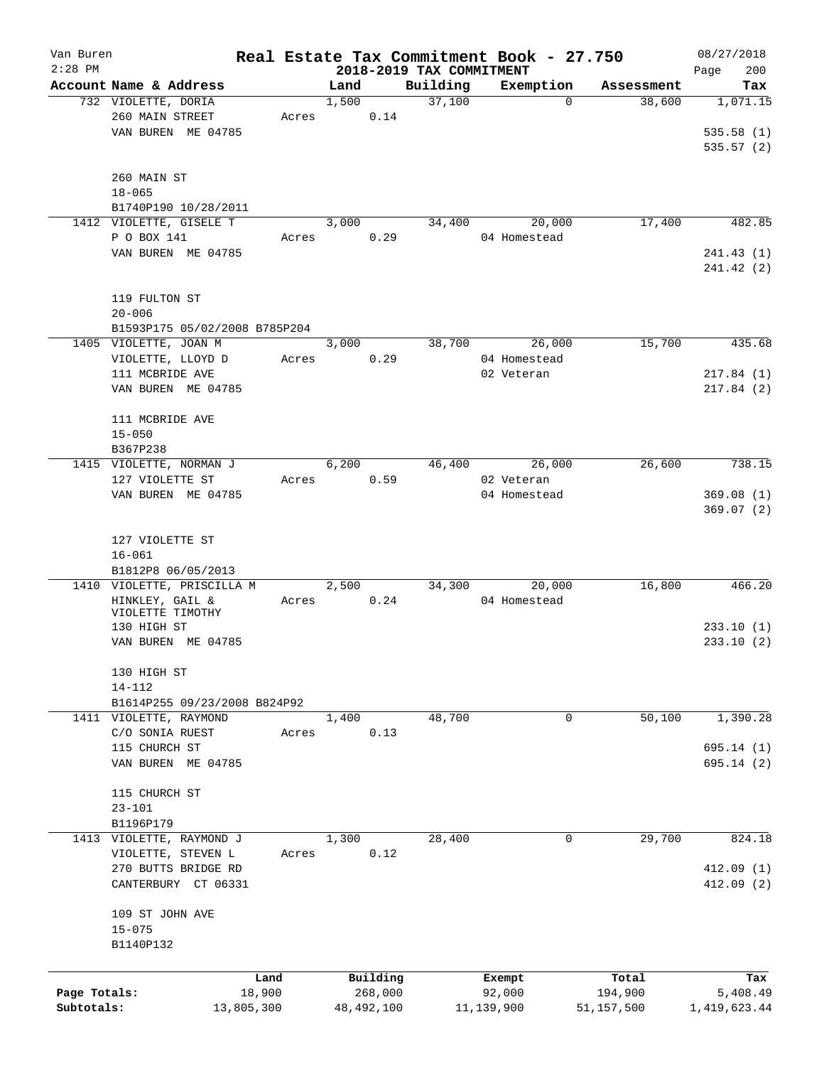| Van Buren    |                               |       |       |              |                          | Real Estate Tax Commitment Book - 27.750 |              | 08/27/2018   |
|--------------|-------------------------------|-------|-------|--------------|--------------------------|------------------------------------------|--------------|--------------|
| $2:28$ PM    |                               |       |       |              | 2018-2019 TAX COMMITMENT |                                          |              | 200<br>Page  |
|              | Account Name & Address        |       | Land  |              | Building                 | Exemption                                | Assessment   | Tax          |
|              | 732 VIOLETTE, DORIA           |       | 1,500 |              | 37,100                   | $\Omega$                                 | 38,600       | 1,071.15     |
|              | 260 MAIN STREET               | Acres |       | 0.14         |                          |                                          |              |              |
|              | VAN BUREN ME 04785            |       |       |              |                          |                                          |              | 535.58(1)    |
|              |                               |       |       |              |                          |                                          |              | 535.57(2)    |
|              |                               |       |       |              |                          |                                          |              |              |
|              | 260 MAIN ST                   |       |       |              |                          |                                          |              |              |
|              | $18 - 065$                    |       |       |              |                          |                                          |              |              |
|              | B1740P190 10/28/2011          |       |       |              |                          |                                          |              |              |
|              | 1412 VIOLETTE, GISELE T       |       | 3,000 |              | 34,400                   | 20,000                                   | 17,400       | 482.85       |
|              | P O BOX 141                   | Acres |       | 0.29         |                          | 04 Homestead                             |              |              |
|              | VAN BUREN ME 04785            |       |       |              |                          |                                          |              | 241.43(1)    |
|              |                               |       |       |              |                          |                                          |              | 241.42 (2)   |
|              |                               |       |       |              |                          |                                          |              |              |
|              | 119 FULTON ST                 |       |       |              |                          |                                          |              |              |
|              | $20 - 006$                    |       |       |              |                          |                                          |              |              |
|              | B1593P175 05/02/2008 B785P204 |       |       |              |                          |                                          |              |              |
|              | 1405 VIOLETTE, JOAN M         |       | 3,000 |              | 38,700                   | 26,000                                   | 15,700       | 435.68       |
|              | VIOLETTE, LLOYD D             | Acres |       | 0.29         |                          | 04 Homestead                             |              |              |
|              | 111 MCBRIDE AVE               |       |       |              |                          | 02 Veteran                               |              | 217.84(1)    |
|              | VAN BUREN ME 04785            |       |       |              |                          |                                          |              | 217.84(2)    |
|              |                               |       |       |              |                          |                                          |              |              |
|              | 111 MCBRIDE AVE               |       |       |              |                          |                                          |              |              |
|              | $15 - 050$                    |       |       |              |                          |                                          |              |              |
|              | B367P238                      |       |       |              |                          |                                          |              |              |
|              | 1415 VIOLETTE, NORMAN J       |       | 6,200 |              | 46,400                   | 26,000                                   | 26,600       | 738.15       |
|              | 127 VIOLETTE ST               | Acres |       | 0.59         |                          | 02 Veteran                               |              |              |
|              | VAN BUREN ME 04785            |       |       |              |                          | 04 Homestead                             |              | 369.08(1)    |
|              |                               |       |       |              |                          |                                          |              | 369.07(2)    |
|              |                               |       |       |              |                          |                                          |              |              |
|              | 127 VIOLETTE ST               |       |       |              |                          |                                          |              |              |
|              | $16 - 061$                    |       |       |              |                          |                                          |              |              |
|              | B1812P8 06/05/2013            |       |       |              |                          |                                          |              |              |
|              | 1410 VIOLETTE, PRISCILLA M    |       | 2,500 |              | 34,300                   | 20,000                                   | 16,800       | 466.20       |
|              | HINKLEY, GAIL &               | Acres |       | 0.24         |                          | 04 Homestead                             |              |              |
|              | VIOLETTE TIMOTHY              |       |       |              |                          |                                          |              |              |
|              | 130 HIGH ST                   |       |       |              |                          |                                          |              | 233.10(1)    |
|              | VAN BUREN ME 04785            |       |       |              |                          |                                          |              | 233.10(2)    |
|              |                               |       |       |              |                          |                                          |              |              |
|              | 130 HIGH ST                   |       |       |              |                          |                                          |              |              |
|              | $14 - 112$                    |       |       |              |                          |                                          |              |              |
|              | B1614P255 09/23/2008 B824P92  |       |       |              |                          |                                          |              |              |
|              | 1411 VIOLETTE, RAYMOND        |       | 1,400 |              | 48,700                   | 0                                        | 50,100       | 1,390.28     |
|              | C/O SONIA RUEST               | Acres |       | 0.13         |                          |                                          |              |              |
|              | 115 CHURCH ST                 |       |       |              |                          |                                          |              | 695.14(1)    |
|              | VAN BUREN ME 04785            |       |       |              |                          |                                          |              | 695.14 (2)   |
|              |                               |       |       |              |                          |                                          |              |              |
|              | 115 CHURCH ST                 |       |       |              |                          |                                          |              |              |
|              | $23 - 101$                    |       |       |              |                          |                                          |              |              |
|              | B1196P179                     |       |       |              |                          |                                          |              |              |
|              |                               |       | 1,300 |              | 28,400                   | 0                                        | 29,700       | 824.18       |
|              | 1413 VIOLETTE, RAYMOND J      |       |       |              |                          |                                          |              |              |
|              | VIOLETTE, STEVEN L            | Acres |       | 0.12         |                          |                                          |              |              |
|              | 270 BUTTS BRIDGE RD           |       |       |              |                          |                                          |              | 412.09(1)    |
|              | CANTERBURY CT 06331           |       |       |              |                          |                                          |              | 412.09(2)    |
|              |                               |       |       |              |                          |                                          |              |              |
|              | 109 ST JOHN AVE               |       |       |              |                          |                                          |              |              |
|              | $15 - 075$                    |       |       |              |                          |                                          |              |              |
|              | B1140P132                     |       |       |              |                          |                                          |              |              |
|              |                               |       |       |              |                          |                                          |              |              |
|              |                               | Land  |       | Building     |                          | Exempt                                   | Total        | Tax          |
| Page Totals: | 18,900                        |       |       | 268,000      |                          | 92,000                                   | 194,900      | 5,408.49     |
| Subtotals:   | 13,805,300                    |       |       | 48, 492, 100 |                          | 11,139,900                               | 51, 157, 500 | 1,419,623.44 |
|              |                               |       |       |              |                          |                                          |              |              |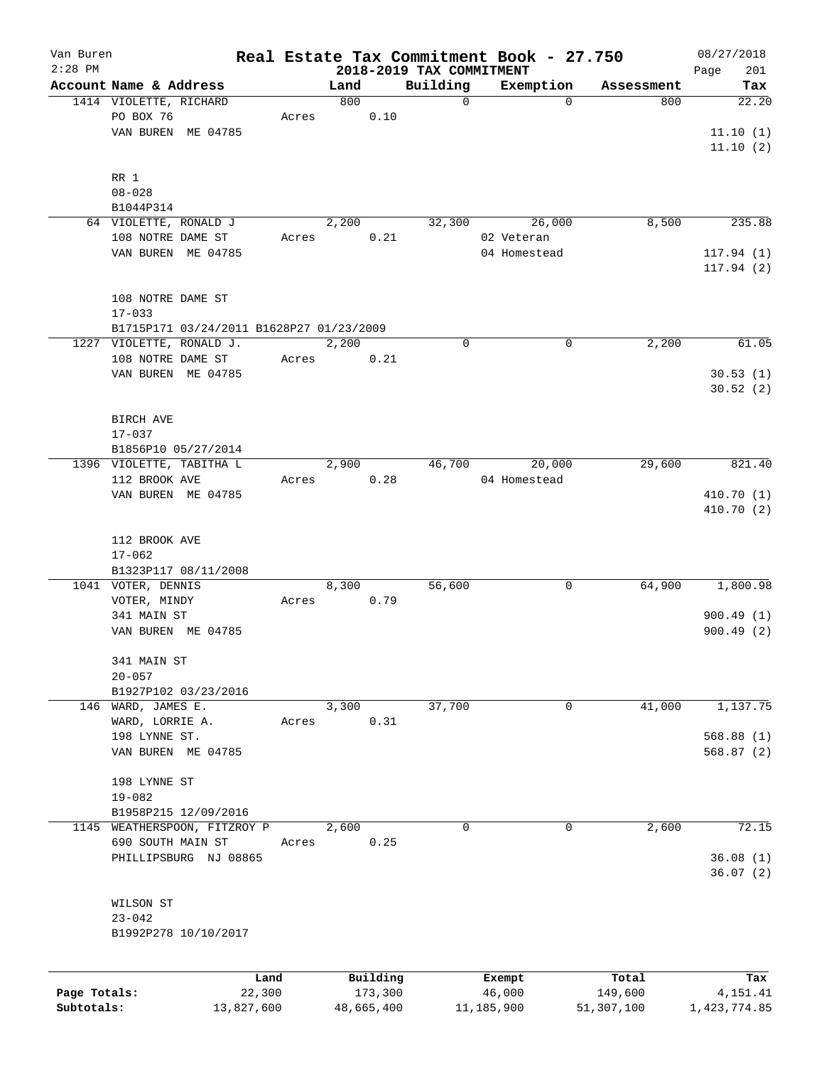| Van Buren    |                        |                                          |       |       |            |                          | Real Estate Tax Commitment Book - 27.750 |            | 08/27/2018   |
|--------------|------------------------|------------------------------------------|-------|-------|------------|--------------------------|------------------------------------------|------------|--------------|
| $2:28$ PM    |                        |                                          |       |       |            | 2018-2019 TAX COMMITMENT |                                          |            | 201<br>Page  |
|              | Account Name & Address |                                          |       | Land  |            | Building                 | Exemption                                | Assessment | Tax          |
|              | 1414 VIOLETTE, RICHARD |                                          |       | 800   |            | $\mathbf 0$              | $\Omega$                                 | 800        | 22.20        |
|              | PO BOX 76              |                                          | Acres |       | 0.10       |                          |                                          |            |              |
|              |                        | VAN BUREN ME 04785                       |       |       |            |                          |                                          |            | 11.10(1)     |
|              |                        |                                          |       |       |            |                          |                                          |            | 11.10(2)     |
|              |                        |                                          |       |       |            |                          |                                          |            |              |
|              | RR 1                   |                                          |       |       |            |                          |                                          |            |              |
|              | $08 - 028$             |                                          |       |       |            |                          |                                          |            |              |
|              | B1044P314              |                                          |       |       |            |                          |                                          |            |              |
|              | 64 VIOLETTE, RONALD J  |                                          |       | 2,200 |            | 32,300                   | 26,000                                   | 8,500      | 235.88       |
|              | 108 NOTRE DAME ST      |                                          | Acres |       | 0.21       |                          | 02 Veteran                               |            |              |
|              |                        | VAN BUREN ME 04785                       |       |       |            |                          | 04 Homestead                             |            | 117.94(1)    |
|              |                        |                                          |       |       |            |                          |                                          |            | 117.94(2)    |
|              |                        |                                          |       |       |            |                          |                                          |            |              |
|              | 108 NOTRE DAME ST      |                                          |       |       |            |                          |                                          |            |              |
|              | $17 - 033$             |                                          |       |       |            |                          |                                          |            |              |
|              |                        | B1715P171 03/24/2011 B1628P27 01/23/2009 |       |       |            |                          |                                          |            |              |
|              |                        | 1227 VIOLETTE, RONALD J.                 |       | 2,200 |            | 0                        | 0                                        | 2,200      | 61.05        |
|              | 108 NOTRE DAME ST      |                                          | Acres |       | 0.21       |                          |                                          |            |              |
|              |                        | VAN BUREN ME 04785                       |       |       |            |                          |                                          |            | 30.53(1)     |
|              |                        |                                          |       |       |            |                          |                                          |            | 30.52(2)     |
|              |                        |                                          |       |       |            |                          |                                          |            |              |
|              | BIRCH AVE              |                                          |       |       |            |                          |                                          |            |              |
|              | $17 - 037$             |                                          |       |       |            |                          |                                          |            |              |
|              |                        | B1856P10 05/27/2014                      |       |       |            |                          |                                          |            |              |
|              |                        | 1396 VIOLETTE, TABITHA L                 |       | 2,900 |            | 46,700                   | 20,000                                   | 29,600     | 821.40       |
|              | 112 BROOK AVE          |                                          | Acres |       | 0.28       |                          | 04 Homestead                             |            |              |
|              |                        |                                          |       |       |            |                          |                                          |            |              |
|              |                        | VAN BUREN ME 04785                       |       |       |            |                          |                                          |            | 410.70(1)    |
|              |                        |                                          |       |       |            |                          |                                          |            | 410.70 (2)   |
|              |                        |                                          |       |       |            |                          |                                          |            |              |
|              | 112 BROOK AVE          |                                          |       |       |            |                          |                                          |            |              |
|              | $17 - 062$             |                                          |       |       |            |                          |                                          |            |              |
|              |                        | B1323P117 08/11/2008                     |       |       |            |                          |                                          |            |              |
|              | 1041 VOTER, DENNIS     |                                          |       | 8,300 |            | 56,600                   | 0                                        | 64,900     | 1,800.98     |
|              | VOTER, MINDY           |                                          | Acres |       | 0.79       |                          |                                          |            |              |
|              | 341 MAIN ST            |                                          |       |       |            |                          |                                          |            | 900.49(1)    |
|              |                        | VAN BUREN ME 04785                       |       |       |            |                          |                                          |            | 900.49(2)    |
|              |                        |                                          |       |       |            |                          |                                          |            |              |
|              | 341 MAIN ST            |                                          |       |       |            |                          |                                          |            |              |
|              | $20 - 057$             |                                          |       |       |            |                          |                                          |            |              |
|              |                        | B1927P102 03/23/2016                     |       |       |            |                          |                                          |            |              |
|              | 146 WARD, JAMES E.     |                                          |       | 3,300 |            | 37,700                   | 0                                        | 41,000     | 1,137.75     |
|              | WARD, LORRIE A.        |                                          | Acres |       | 0.31       |                          |                                          |            |              |
|              | 198 LYNNE ST.          |                                          |       |       |            |                          |                                          |            | 568.88(1)    |
|              |                        | VAN BUREN ME 04785                       |       |       |            |                          |                                          |            | 568.87(2)    |
|              |                        |                                          |       |       |            |                          |                                          |            |              |
|              | 198 LYNNE ST           |                                          |       |       |            |                          |                                          |            |              |
|              | $19 - 082$             |                                          |       |       |            |                          |                                          |            |              |
|              |                        | B1958P215 12/09/2016                     |       |       |            |                          |                                          |            |              |
| 1145         |                        | WEATHERSPOON, FITZROY P                  |       | 2,600 |            | 0                        | $\mathbf 0$                              | 2,600      | 72.15        |
|              | 690 SOUTH MAIN ST      |                                          | Acres |       | 0.25       |                          |                                          |            |              |
|              |                        | PHILLIPSBURG NJ 08865                    |       |       |            |                          |                                          |            | 36.08(1)     |
|              |                        |                                          |       |       |            |                          |                                          |            | 36.07(2)     |
|              |                        |                                          |       |       |            |                          |                                          |            |              |
|              | WILSON ST              |                                          |       |       |            |                          |                                          |            |              |
|              | $23 - 042$             |                                          |       |       |            |                          |                                          |            |              |
|              |                        | B1992P278 10/10/2017                     |       |       |            |                          |                                          |            |              |
|              |                        |                                          |       |       |            |                          |                                          |            |              |
|              |                        |                                          |       |       |            |                          |                                          |            |              |
|              |                        | Land                                     |       |       | Building   |                          | Exempt                                   | Total      | Tax          |
| Page Totals: |                        | 22,300                                   |       |       | 173,300    |                          | 46,000                                   | 149,600    | 4,151.41     |
| Subtotals:   |                        | 13,827,600                               |       |       | 48,665,400 |                          | 11,185,900                               | 51,307,100 | 1,423,774.85 |